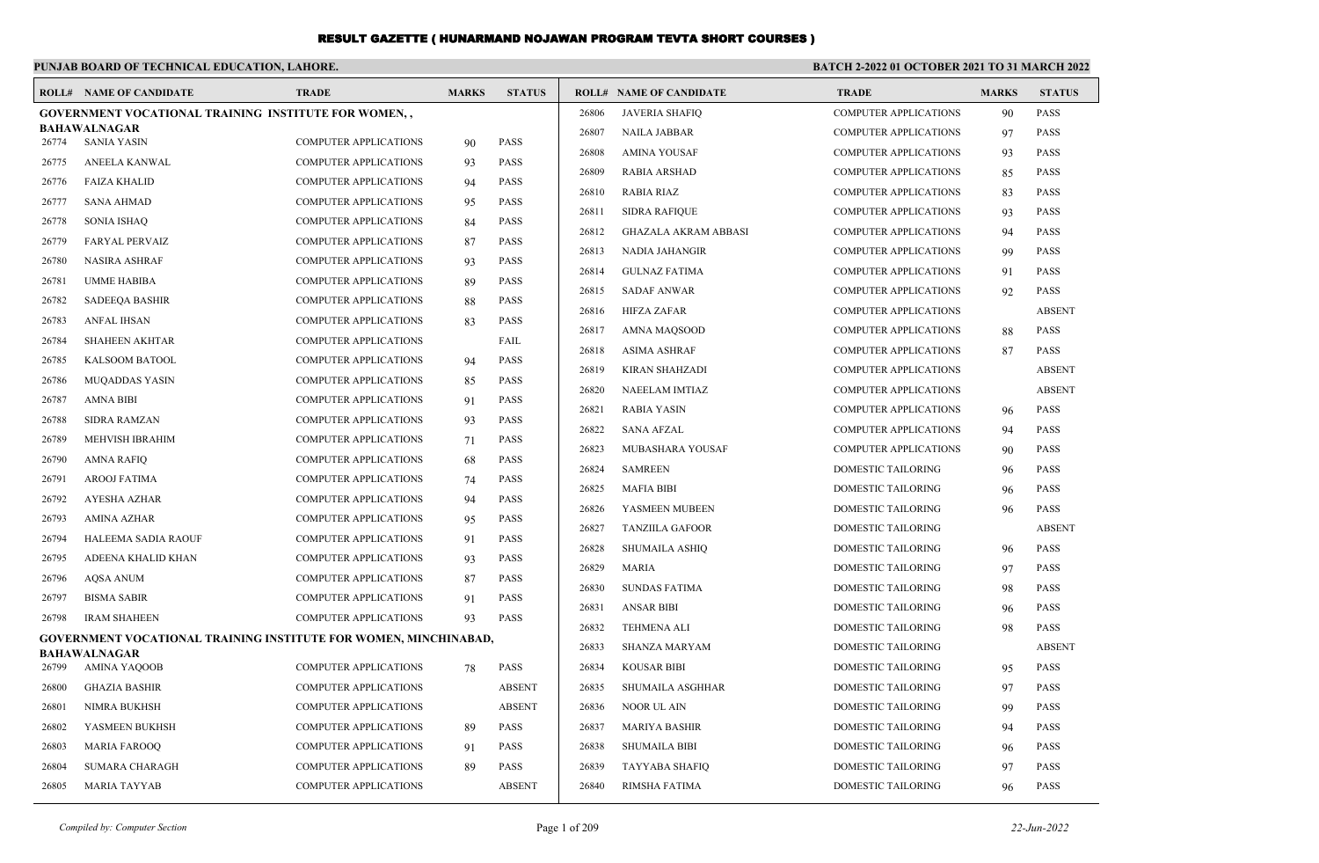|       | PUNJAB BOARD OF TECHNICAL EDUCATION, LAHORE.                            |                              |              |               | <b>BATCH 2-2022 01 OCTOBER 2021 TO 31 MARCH 2022</b> |                                |                              |              |               |
|-------|-------------------------------------------------------------------------|------------------------------|--------------|---------------|------------------------------------------------------|--------------------------------|------------------------------|--------------|---------------|
|       | <b>ROLL# NAME OF CANDIDATE</b>                                          | <b>TRADE</b>                 | <b>MARKS</b> | <b>STATUS</b> |                                                      | <b>ROLL# NAME OF CANDIDATE</b> | <b>TRADE</b>                 | <b>MARKS</b> | <b>STATUS</b> |
|       | <b>GOVERNMENT VOCATIONAL TRAINING INSTITUTE FOR WOMEN</b>               |                              |              |               | 26806                                                | <b>JAVERIA SHAFIQ</b>          | <b>COMPUTER APPLICATIONS</b> | 90           | <b>PASS</b>   |
| 26774 | <b>BAHAWALNAGAR</b><br>SANIA YASIN                                      | <b>COMPUTER APPLICATIONS</b> | 90           | <b>PASS</b>   | 26807                                                | <b>NAILA JABBAR</b>            | <b>COMPUTER APPLICATIONS</b> | 97           | <b>PASS</b>   |
| 26775 | ANEELA KANWAL                                                           | <b>COMPUTER APPLICATIONS</b> | 93           | <b>PASS</b>   | 26808                                                | <b>AMINA YOUSAF</b>            | <b>COMPUTER APPLICATIONS</b> | 93           | <b>PASS</b>   |
| 26776 | <b>FAIZA KHALID</b>                                                     | <b>COMPUTER APPLICATIONS</b> | 94           | <b>PASS</b>   | 26809                                                | <b>RABIA ARSHAD</b>            | COMPUTER APPLICATIONS        | 85           | <b>PASS</b>   |
| 26777 | <b>SANA AHMAD</b>                                                       | <b>COMPUTER APPLICATIONS</b> | 95           | <b>PASS</b>   | 26810                                                | <b>RABIA RIAZ</b>              | COMPUTER APPLICATIONS        | 83           | <b>PASS</b>   |
| 26778 | <b>SONIA ISHAQ</b>                                                      | <b>COMPUTER APPLICATIONS</b> | 84           | PASS          | 26811                                                | <b>SIDRA RAFIQUE</b>           | COMPUTER APPLICATIONS        | 93           | <b>PASS</b>   |
| 26779 | <b>FARYAL PERVAIZ</b>                                                   | <b>COMPUTER APPLICATIONS</b> | 87           | <b>PASS</b>   | 26812                                                | <b>GHAZALA AKRAM ABBASI</b>    | <b>COMPUTER APPLICATIONS</b> | 94           | <b>PASS</b>   |
| 26780 | <b>NASIRA ASHRAF</b>                                                    | <b>COMPUTER APPLICATIONS</b> | 93           | <b>PASS</b>   | 26813                                                | <b>NADIA JAHANGIR</b>          | <b>COMPUTER APPLICATIONS</b> | 99           | <b>PASS</b>   |
| 26781 | <b>UMME HABIBA</b>                                                      | <b>COMPUTER APPLICATIONS</b> | 89           | <b>PASS</b>   | 26814                                                | <b>GULNAZ FATIMA</b>           | COMPUTER APPLICATIONS        | 91           | PASS          |
| 26782 | <b>SADEEOA BASHIR</b>                                                   | <b>COMPUTER APPLICATIONS</b> | 88           | <b>PASS</b>   | 26815                                                | <b>SADAF ANWAR</b>             | COMPUTER APPLICATIONS        | 92           | <b>PASS</b>   |
| 26783 | <b>ANFAL IHSAN</b>                                                      | COMPUTER APPLICATIONS        | 83           | PASS          | 26816                                                | <b>HIFZA ZAFAR</b>             | COMPUTER APPLICATIONS        |              | <b>ABSENT</b> |
| 26784 | <b>SHAHEEN AKHTAR</b>                                                   | <b>COMPUTER APPLICATIONS</b> |              | FAIL          | 26817                                                | AMNA MAOSOOD                   | <b>COMPUTER APPLICATIONS</b> | 88           | <b>PASS</b>   |
| 26785 | KALSOOM BATOOL                                                          | <b>COMPUTER APPLICATIONS</b> | 94           | <b>PASS</b>   | 26818                                                | <b>ASIMA ASHRAF</b>            | <b>COMPUTER APPLICATIONS</b> | 87           | <b>PASS</b>   |
| 26786 | <b>MUQADDAS YASIN</b>                                                   | <b>COMPUTER APPLICATIONS</b> | 85           | <b>PASS</b>   | 26819                                                | KIRAN SHAHZADI                 | <b>COMPUTER APPLICATIONS</b> |              | <b>ABSENT</b> |
| 26787 | <b>AMNA BIBI</b>                                                        | COMPUTER APPLICATIONS        | 91           | PASS          | 26820                                                | NAEELAM IMTIAZ                 | <b>COMPUTER APPLICATIONS</b> |              | <b>ABSENT</b> |
| 26788 | <b>SIDRA RAMZAN</b>                                                     | <b>COMPUTER APPLICATIONS</b> | 93           | <b>PASS</b>   | 26821                                                | <b>RABIA YASIN</b>             | <b>COMPUTER APPLICATIONS</b> | 96           | <b>PASS</b>   |
| 26789 | MEHVISH IBRAHIM                                                         | <b>COMPUTER APPLICATIONS</b> | 71           | <b>PASS</b>   | 26822                                                | <b>SANA AFZAL</b>              | <b>COMPUTER APPLICATIONS</b> | 94           | <b>PASS</b>   |
| 26790 | <b>AMNA RAFIQ</b>                                                       | <b>COMPUTER APPLICATIONS</b> | 68           | <b>PASS</b>   | 26823                                                | <b>MUBASHARA YOUSAF</b>        | <b>COMPUTER APPLICATIONS</b> | 90           | <b>PASS</b>   |
| 26791 | <b>AROOJ FATIMA</b>                                                     | <b>COMPUTER APPLICATIONS</b> | 74           | <b>PASS</b>   | 26824                                                | <b>SAMREEN</b>                 | <b>DOMESTIC TAILORING</b>    | 96           | <b>PASS</b>   |
| 26792 | <b>AYESHA AZHAR</b>                                                     | COMPUTER APPLICATIONS        | 94           | PASS          | 26825                                                | <b>MAFIA BIBI</b>              | DOMESTIC TAILORING           | 96           | <b>PASS</b>   |
| 26793 | <b>AMINA AZHAR</b>                                                      | COMPUTER APPLICATIONS        | 95           | PASS          | 26826                                                | YASMEEN MUBEEN                 | <b>DOMESTIC TAILORING</b>    | 96           | <b>PASS</b>   |
| 26794 | HALEEMA SADIA RAOUF                                                     | COMPUTER APPLICATIONS        | 91           | PASS          | 26827                                                | <b>TANZIILA GAFOOR</b>         | <b>DOMESTIC TAILORING</b>    |              | <b>ABSENT</b> |
| 26795 | ADEENA KHALID KHAN                                                      | <b>COMPUTER APPLICATIONS</b> | 93           | <b>PASS</b>   | 26828                                                | <b>SHUMAILA ASHIQ</b>          | DOMESTIC TAILORING           | 96           | <b>PASS</b>   |
| 26796 | <b>AOSA ANUM</b>                                                        | <b>COMPUTER APPLICATIONS</b> | 87           | <b>PASS</b>   | 26829                                                | <b>MARIA</b>                   | DOMESTIC TAILORING           | 97           | <b>PASS</b>   |
| 26797 | <b>BISMA SABIR</b>                                                      | COMPUTER APPLICATIONS        | 91           | PASS          | 26830                                                | <b>SUNDAS FATIMA</b>           | DOMESTIC TAILORING           | 98           | <b>PASS</b>   |
| 26798 | <b>IRAM SHAHEEN</b>                                                     | <b>COMPUTER APPLICATIONS</b> | 93           | PASS          | 26831                                                | <b>ANSAR BIBI</b>              | <b>DOMESTIC TAILORING</b>    | 96           | <b>PASS</b>   |
|       | <b>GOVERNMENT VOCATIONAL TRAINING INSTITUTE FOR WOMEN, MINCHINABAD,</b> |                              |              |               | 26832                                                | <b>TEHMENA ALI</b>             | <b>DOMESTIC TAILORING</b>    | 98           | <b>PASS</b>   |
|       | <b>BAHAWALNAGAR</b>                                                     |                              |              |               | 26833                                                | SHANZA MARYAM                  | DOMESTIC TAILORING           |              | <b>ABSENT</b> |
| 26799 | <b>AMINA YAQOOB</b>                                                     | <b>COMPUTER APPLICATIONS</b> | 78           | <b>PASS</b>   | 26834                                                | KOUSAR BIBI                    | <b>DOMESTIC TAILORING</b>    | 95           | <b>PASS</b>   |
| 26800 | <b>GHAZIA BASHIR</b>                                                    | <b>COMPUTER APPLICATIONS</b> |              | <b>ABSENT</b> | 26835                                                | SHUMAILA ASGHHAR               | <b>DOMESTIC TAILORING</b>    | 97           | <b>PASS</b>   |
| 26801 | NIMRA BUKHSH                                                            | <b>COMPUTER APPLICATIONS</b> |              | <b>ABSENT</b> | 26836                                                | NOOR UL AIN                    | <b>DOMESTIC TAILORING</b>    | 99           | <b>PASS</b>   |
| 26802 | YASMEEN BUKHSH                                                          | COMPUTER APPLICATIONS        | 89           | <b>PASS</b>   | 26837                                                | <b>MARIYA BASHIR</b>           | DOMESTIC TAILORING           | 94           | <b>PASS</b>   |
| 26803 | <b>MARIA FAROOQ</b>                                                     | <b>COMPUTER APPLICATIONS</b> | 91           | <b>PASS</b>   | 26838                                                | <b>SHUMAILA BIBI</b>           | <b>DOMESTIC TAILORING</b>    | 96           | <b>PASS</b>   |
| 26804 | <b>SUMARA CHARAGH</b>                                                   | <b>COMPUTER APPLICATIONS</b> | 89           | <b>PASS</b>   | 26839                                                | <b>TAYYABA SHAFIQ</b>          | <b>DOMESTIC TAILORING</b>    | 97           | <b>PASS</b>   |
| 26805 | <b>MARIA TAYYAB</b>                                                     | <b>COMPUTER APPLICATIONS</b> |              | <b>ABSENT</b> | 26840                                                | RIMSHA FATIMA                  | <b>DOMESTIC TAILORING</b>    | 96           | <b>PASS</b>   |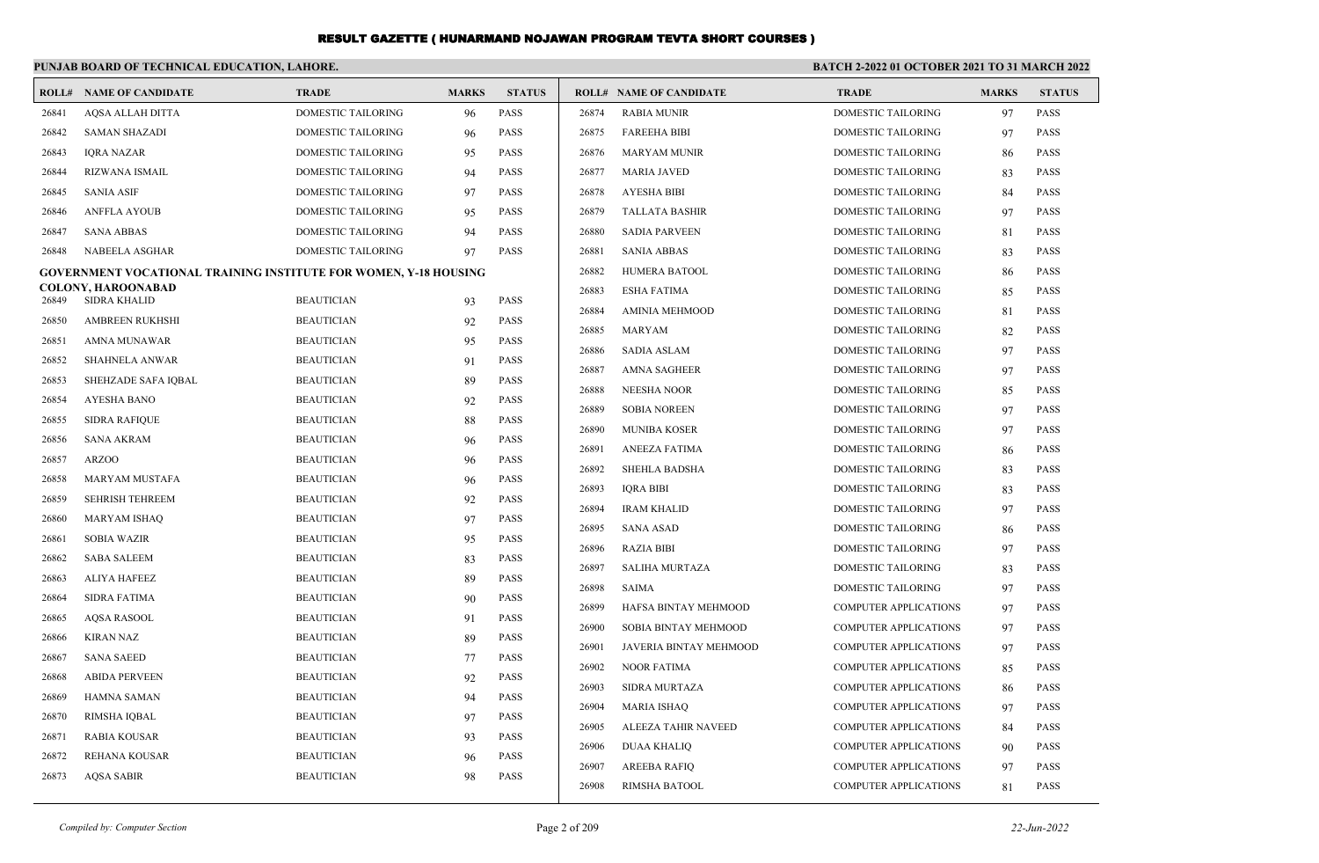|       | PUNJAB BOARD OF TECHNICAL EDUCATION, LAHORE.                            |                    |              |               | BATCH 2-2022 01 OCTOBER 2021 TO 31 MARCH 2022 |                                |                              |              |               |
|-------|-------------------------------------------------------------------------|--------------------|--------------|---------------|-----------------------------------------------|--------------------------------|------------------------------|--------------|---------------|
|       | <b>ROLL# NAME OF CANDIDATE</b>                                          | <b>TRADE</b>       | <b>MARKS</b> | <b>STATUS</b> |                                               | <b>ROLL# NAME OF CANDIDATE</b> | <b>TRADE</b>                 | <b>MARKS</b> | <b>STATUS</b> |
| 26841 | AQSA ALLAH DITTA                                                        | DOMESTIC TAILORING | 96           | <b>PASS</b>   | 26874                                         | <b>RABIA MUNIR</b>             | <b>DOMESTIC TAILORING</b>    | 97           | <b>PASS</b>   |
| 26842 | <b>SAMAN SHAZADI</b>                                                    | DOMESTIC TAILORING | 96           | <b>PASS</b>   | 26875                                         | <b>FAREEHA BIBI</b>            | DOMESTIC TAILORING           | 97           | <b>PASS</b>   |
| 26843 | <b>IQRA NAZAR</b>                                                       | DOMESTIC TAILORING | 95           | <b>PASS</b>   | 26876                                         | <b>MARYAM MUNIR</b>            | DOMESTIC TAILORING           | 86           | <b>PASS</b>   |
| 26844 | RIZWANA ISMAIL                                                          | DOMESTIC TAILORING | 94           | <b>PASS</b>   | 26877                                         | <b>MARIA JAVED</b>             | DOMESTIC TAILORING           | 83           | <b>PASS</b>   |
| 26845 | <b>SANIA ASIF</b>                                                       | DOMESTIC TAILORING | 97           | <b>PASS</b>   | 26878                                         | <b>AYESHA BIBI</b>             | DOMESTIC TAILORING           | 84           | <b>PASS</b>   |
| 26846 | <b>ANFFLA AYOUB</b>                                                     | DOMESTIC TAILORING | 95           | <b>PASS</b>   | 26879                                         | <b>TALLATA BASHIR</b>          | DOMESTIC TAILORING           | 97           | <b>PASS</b>   |
| 26847 | <b>SANA ABBAS</b>                                                       | DOMESTIC TAILORING | 94           | PASS          | 26880                                         | <b>SADIA PARVEEN</b>           | DOMESTIC TAILORING           | 81           | <b>PASS</b>   |
| 26848 | NABEELA ASGHAR                                                          | DOMESTIC TAILORING | 97           | <b>PASS</b>   | 26881                                         | SANIA ABBAS                    | DOMESTIC TAILORING           | 83           | <b>PASS</b>   |
|       | <b>GOVERNMENT VOCATIONAL TRAINING INSTITUTE FOR WOMEN, Y-18 HOUSING</b> |                    |              |               | 26882                                         | HUMERA BATOOL                  | DOMESTIC TAILORING           | 86           | <b>PASS</b>   |
| 26849 | COLONY, HAROONABAD<br><b>SIDRA KHALID</b>                               | <b>BEAUTICIAN</b>  |              | <b>PASS</b>   | 26883                                         | ESHA FATIMA                    | DOMESTIC TAILORING           | 85           | <b>PASS</b>   |
| 26850 | <b>AMBREEN RUKHSHI</b>                                                  | <b>BEAUTICIAN</b>  | 93           | <b>PASS</b>   | 26884                                         | AMINIA MEHMOOD                 | DOMESTIC TAILORING           | 81           | <b>PASS</b>   |
|       |                                                                         |                    | 92           | <b>PASS</b>   | 26885                                         | MARYAM                         | DOMESTIC TAILORING           | 82           | <b>PASS</b>   |
| 26851 | AMNA MUNAWAR                                                            | <b>BEAUTICIAN</b>  | 95           | <b>PASS</b>   | 26886                                         | SADIA ASLAM                    | <b>DOMESTIC TAILORING</b>    | 97           | <b>PASS</b>   |
| 26852 | <b>SHAHNELA ANWAR</b>                                                   | <b>BEAUTICIAN</b>  | 91           |               | 26887                                         | AMNA SAGHEER                   | DOMESTIC TAILORING           | 97           | <b>PASS</b>   |
| 26853 | SHEHZADE SAFA IQBAL                                                     | <b>BEAUTICIAN</b>  | 89           | <b>PASS</b>   | 26888                                         | NEESHA NOOR                    | DOMESTIC TAILORING           | 85           | <b>PASS</b>   |
| 26854 | <b>AYESHA BANO</b>                                                      | <b>BEAUTICIAN</b>  | 92           | <b>PASS</b>   | 26889                                         | <b>SOBIA NOREEN</b>            | DOMESTIC TAILORING           | 97           | <b>PASS</b>   |
| 26855 | <b>SIDRA RAFIQUE</b>                                                    | <b>BEAUTICIAN</b>  | 88           | <b>PASS</b>   | 26890                                         | <b>MUNIBA KOSER</b>            | DOMESTIC TAILORING           | 97           | <b>PASS</b>   |
| 26856 | <b>SANA AKRAM</b>                                                       | <b>BEAUTICIAN</b>  | 96           | <b>PASS</b>   | 26891                                         | ANEEZA FATIMA                  | <b>DOMESTIC TAILORING</b>    | 86           | <b>PASS</b>   |
| 26857 | <b>ARZOO</b>                                                            | <b>BEAUTICIAN</b>  | 96           | <b>PASS</b>   | 26892                                         | <b>SHEHLA BADSHA</b>           | <b>DOMESTIC TAILORING</b>    | 83           | <b>PASS</b>   |
| 26858 | <b>MARYAM MUSTAFA</b>                                                   | <b>BEAUTICIAN</b>  | 96           | <b>PASS</b>   | 26893                                         | <b>IQRA BIBI</b>               | <b>DOMESTIC TAILORING</b>    | 83           | <b>PASS</b>   |
| 26859 | <b>SEHRISH TEHREEM</b>                                                  | <b>BEAUTICIAN</b>  | 92           | <b>PASS</b>   | 26894                                         | <b>IRAM KHALID</b>             | DOMESTIC TAILORING           | 97           | <b>PASS</b>   |
| 26860 | <b>MARYAM ISHAQ</b>                                                     | <b>BEAUTICIAN</b>  | 97           | <b>PASS</b>   | 26895                                         | <b>SANA ASAD</b>               | DOMESTIC TAILORING           | 86           | <b>PASS</b>   |
| 26861 | <b>SOBIA WAZIR</b>                                                      | <b>BEAUTICIAN</b>  | 95           | <b>PASS</b>   | 26896                                         | <b>RAZIA BIBI</b>              | <b>DOMESTIC TAILORING</b>    | 97           | <b>PASS</b>   |
| 26862 | <b>SABA SALEEM</b>                                                      | <b>BEAUTICIAN</b>  | 83           | <b>PASS</b>   | 26897                                         | <b>SALIHA MURTAZA</b>          | <b>DOMESTIC TAILORING</b>    | 83           | <b>PASS</b>   |
| 26863 | ALIYA HAFEEZ                                                            | <b>BEAUTICIAN</b>  | 89           | <b>PASS</b>   | 26898                                         | SAIMA                          | DOMESTIC TAILORING           | 97           | <b>PASS</b>   |
| 26864 | <b>SIDRA FATIMA</b>                                                     | <b>BEAUTICIAN</b>  | 90           | <b>PASS</b>   | 26899                                         | HAFSA BINTAY MEHMOOD           | COMPUTER APPLICATIONS        | 97           | <b>PASS</b>   |
| 26865 | <b>AQSA RASOOL</b>                                                      | <b>BEAUTICIAN</b>  | 91           | <b>PASS</b>   | 26900                                         | <b>SOBIA BINTAY MEHMOOD</b>    | <b>COMPUTER APPLICATIONS</b> | 97           | <b>PASS</b>   |
| 26866 | <b>KIRAN NAZ</b>                                                        | <b>BEAUTICIAN</b>  | 89           | <b>PASS</b>   | 26901                                         | JAVERIA BINTAY MEHMOOD         | COMPUTER APPLICATIONS        | 97           | <b>PASS</b>   |
| 26867 | <b>SANA SAEED</b>                                                       | <b>BEAUTICIAN</b>  | 77           | <b>PASS</b>   | 26902                                         | <b>NOOR FATIMA</b>             | COMPUTER APPLICATIONS        | 85           | <b>PASS</b>   |
| 26868 | <b>ABIDA PERVEEN</b>                                                    | <b>BEAUTICIAN</b>  | 92           | <b>PASS</b>   | 26903                                         | <b>SIDRA MURTAZA</b>           | COMPUTER APPLICATIONS        | 86           | <b>PASS</b>   |
| 26869 | HAMNA SAMAN                                                             | <b>BEAUTICIAN</b>  | 94           | <b>PASS</b>   | 26904                                         | <b>MARIA ISHAQ</b>             | COMPUTER APPLICATIONS        | 97           | <b>PASS</b>   |
| 26870 | RIMSHA IQBAL                                                            | <b>BEAUTICIAN</b>  | 97           | <b>PASS</b>   | 26905                                         | ALEEZA TAHIR NAVEED            | <b>COMPUTER APPLICATIONS</b> | 84           | <b>PASS</b>   |
| 26871 | <b>RABIA KOUSAR</b>                                                     | <b>BEAUTICIAN</b>  | 93           | <b>PASS</b>   | 26906                                         | DUAA KHALIQ                    | <b>COMPUTER APPLICATIONS</b> | 90           | <b>PASS</b>   |
| 26872 | REHANA KOUSAR                                                           | <b>BEAUTICIAN</b>  | 96           | <b>PASS</b>   | 26907                                         | <b>AREEBA RAFIO</b>            | <b>COMPUTER APPLICATIONS</b> | 97           | <b>PASS</b>   |
| 26873 | <b>AQSA SABIR</b>                                                       | <b>BEAUTICIAN</b>  | 98           | <b>PASS</b>   | 26908                                         | RIMSHA BATOOL                  | <b>COMPUTER APPLICATIONS</b> | 81           | <b>PASS</b>   |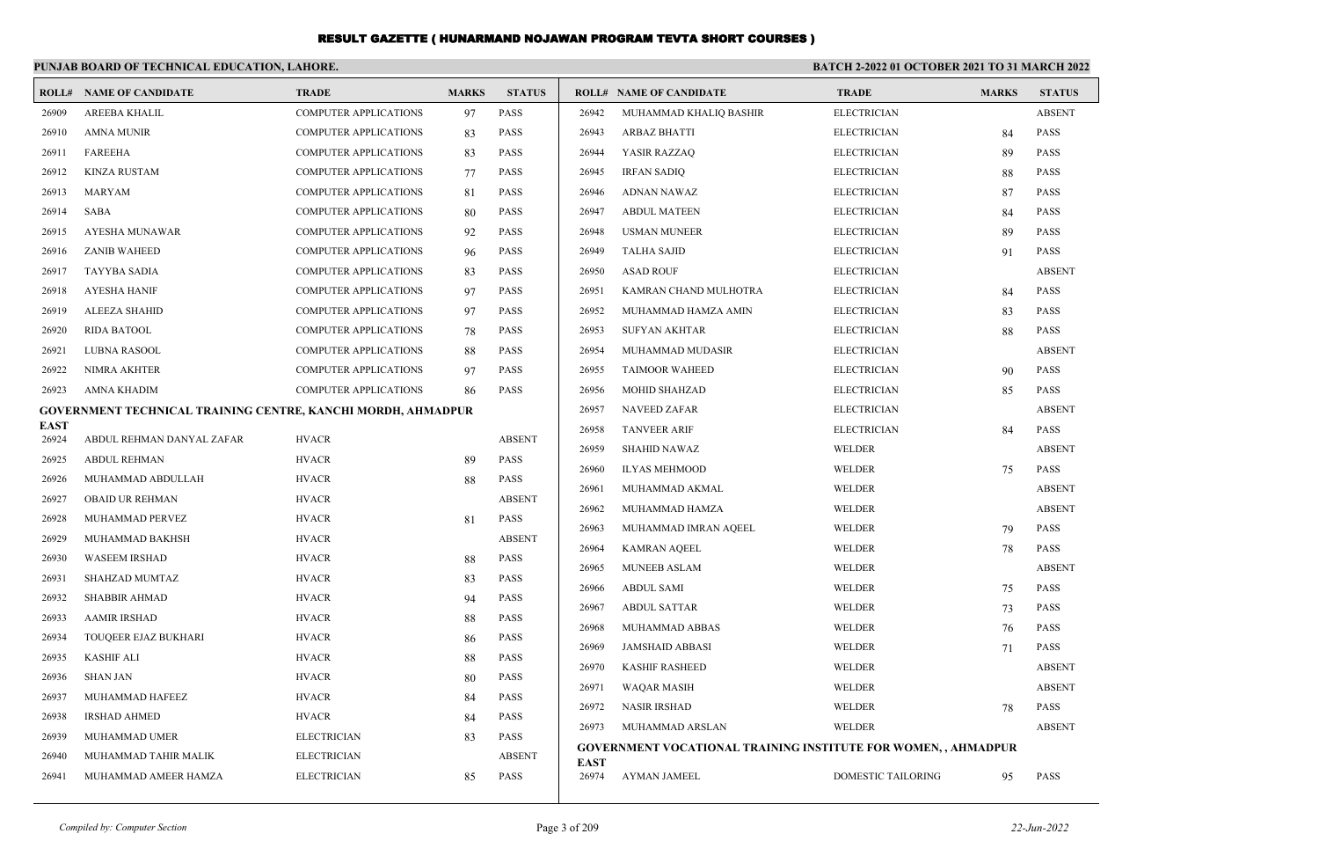|             | PUNJAB BOARD OF TECHNICAL EDUCATION, LAHORE.                 |                              |              |               | <b>BATCH 2-2022 01 OCTOBER 2021 TO 31 MARCH 2022</b> |                                                                      |                    |              |               |
|-------------|--------------------------------------------------------------|------------------------------|--------------|---------------|------------------------------------------------------|----------------------------------------------------------------------|--------------------|--------------|---------------|
|             | <b>ROLL# NAME OF CANDIDATE</b>                               | <b>TRADE</b>                 | <b>MARKS</b> | <b>STATUS</b> |                                                      | <b>ROLL# NAME OF CANDIDATE</b>                                       | <b>TRADE</b>       | <b>MARKS</b> | <b>STATUS</b> |
| 26909       | <b>AREEBA KHALIL</b>                                         | <b>COMPUTER APPLICATIONS</b> | 97           | <b>PASS</b>   | 26942                                                | MUHAMMAD KHALIQ BASHIR                                               | <b>ELECTRICIAN</b> |              | <b>ABSENT</b> |
| 26910       | <b>AMNA MUNIR</b>                                            | <b>COMPUTER APPLICATIONS</b> | 83           | <b>PASS</b>   | 26943                                                | <b>ARBAZ BHATTI</b>                                                  | <b>ELECTRICIAN</b> | 84           | <b>PASS</b>   |
| 26911       | <b>FAREEHA</b>                                               | COMPUTER APPLICATIONS        | 83           | <b>PASS</b>   | 26944                                                | YASIR RAZZAQ                                                         | <b>ELECTRICIAN</b> | 89           | <b>PASS</b>   |
| 26912       | <b>KINZA RUSTAM</b>                                          | COMPUTER APPLICATIONS        | 77           | <b>PASS</b>   | 26945                                                | <b>IRFAN SADIQ</b>                                                   | <b>ELECTRICIAN</b> | 88           | PASS          |
| 26913       | <b>MARYAM</b>                                                | COMPUTER APPLICATIONS        | 81           | <b>PASS</b>   | 26946                                                | ADNAN NAWAZ                                                          | <b>ELECTRICIAN</b> | 87           | <b>PASS</b>   |
| 26914       | SABA                                                         | COMPUTER APPLICATIONS        | 80           | <b>PASS</b>   | 26947                                                | <b>ABDUL MATEEN</b>                                                  | <b>ELECTRICIAN</b> | 84           | PASS          |
| 26915       | AYESHA MUNAWAR                                               | COMPUTER APPLICATIONS        | 92           | <b>PASS</b>   | 26948                                                | <b>USMAN MUNEER</b>                                                  | <b>ELECTRICIAN</b> | 89           | <b>PASS</b>   |
| 26916       | <b>ZANIB WAHEED</b>                                          | <b>COMPUTER APPLICATIONS</b> | 96           | <b>PASS</b>   | 26949                                                | <b>TALHA SAJID</b>                                                   | <b>ELECTRICIAN</b> | 91           | <b>PASS</b>   |
| 26917       | <b>TAYYBA SADIA</b>                                          | <b>COMPUTER APPLICATIONS</b> | 83           | <b>PASS</b>   | 26950                                                | <b>ASAD ROUF</b>                                                     | <b>ELECTRICIAN</b> |              | <b>ABSENT</b> |
| 26918       | <b>AYESHA HANIF</b>                                          | <b>COMPUTER APPLICATIONS</b> | 97           | <b>PASS</b>   | 26951                                                | KAMRAN CHAND MULHOTRA                                                | <b>ELECTRICIAN</b> | 84           | <b>PASS</b>   |
| 26919       | <b>ALEEZA SHAHID</b>                                         | <b>COMPUTER APPLICATIONS</b> | 97           | <b>PASS</b>   | 26952                                                | MUHAMMAD HAMZA AMIN                                                  | <b>ELECTRICIAN</b> | 83           | <b>PASS</b>   |
| 26920       | <b>RIDA BATOOL</b>                                           | COMPUTER APPLICATIONS        | 78           | <b>PASS</b>   | 26953                                                | <b>SUFYAN AKHTAR</b>                                                 | <b>ELECTRICIAN</b> | 88           | <b>PASS</b>   |
| 26921       | LUBNA RASOOL                                                 | COMPUTER APPLICATIONS        | 88           | <b>PASS</b>   | 26954                                                | MUHAMMAD MUDASIR                                                     | <b>ELECTRICIAN</b> |              | <b>ABSENT</b> |
| 26922       | NIMRA AKHTER                                                 | COMPUTER APPLICATIONS        | 97           | <b>PASS</b>   | 26955                                                | <b>TAIMOOR WAHEED</b>                                                | <b>ELECTRICIAN</b> | 90           | <b>PASS</b>   |
| 26923       | AMNA KHADIM                                                  | <b>COMPUTER APPLICATIONS</b> | 86           | <b>PASS</b>   | 26956                                                | MOHID SHAHZAD                                                        | <b>ELECTRICIAN</b> | 85           | <b>PASS</b>   |
|             | GOVERNMENT TECHNICAL TRAINING CENTRE, KANCHI MORDH, AHMADPUR |                              |              |               | 26957                                                | <b>NAVEED ZAFAR</b>                                                  | <b>ELECTRICIAN</b> |              | <b>ABSENT</b> |
| <b>EAST</b> |                                                              |                              |              |               | 26958                                                | <b>TANVEER ARIF</b>                                                  | <b>ELECTRICIAN</b> | 84           | <b>PASS</b>   |
| 26924       | ABDUL REHMAN DANYAL ZAFAR                                    | <b>HVACR</b>                 |              | <b>ABSENT</b> | 26959                                                | <b>SHAHID NAWAZ</b>                                                  | <b>WELDER</b>      |              | <b>ABSENT</b> |
| 26925       | <b>ABDUL REHMAN</b>                                          | <b>HVACR</b>                 | 89           | <b>PASS</b>   | 26960                                                | <b>ILYAS MEHMOOD</b>                                                 | WELDER             | 75           | <b>PASS</b>   |
| 26926       | MUHAMMAD ABDULLAH                                            | <b>HVACR</b>                 | 88           | <b>PASS</b>   | 26961                                                | MUHAMMAD AKMAL                                                       | WELDER             |              | <b>ABSENT</b> |
| 26927       | <b>OBAID UR REHMAN</b>                                       | <b>HVACR</b>                 |              | <b>ABSENT</b> | 26962                                                | MUHAMMAD HAMZA                                                       | WELDER             |              | <b>ABSENT</b> |
| 26928       | MUHAMMAD PERVEZ                                              | <b>HVACR</b>                 | 81           | <b>PASS</b>   | 26963                                                | MUHAMMAD IMRAN AQEEL                                                 | WELDER             | 79           | <b>PASS</b>   |
| 26929       | MUHAMMAD BAKHSH                                              | <b>HVACR</b>                 |              | <b>ABSENT</b> | 26964                                                | <b>KAMRAN AQEEL</b>                                                  | WELDER             | 78           | PASS          |
| 26930       | <b>WASEEM IRSHAD</b>                                         | <b>HVACR</b>                 | 88           | <b>PASS</b>   | 26965                                                | <b>MUNEEB ASLAM</b>                                                  | WELDER             |              | <b>ABSENT</b> |
| 26931       | SHAHZAD MUMTAZ                                               | <b>HVACR</b>                 | 83           | <b>PASS</b>   | 26966                                                | <b>ABDUL SAMI</b>                                                    | <b>WELDER</b>      | 75           | <b>PASS</b>   |
| 26932       | <b>SHABBIR AHMAD</b>                                         | <b>HVACR</b>                 | 94           | PASS          | 26967                                                | <b>ABDUL SATTAR</b>                                                  | <b>WELDER</b>      | 73           | <b>PASS</b>   |
| 26933       | <b>AAMIR IRSHAD</b>                                          | <b>HVACR</b>                 | 88           | PASS          | 26968                                                | MUHAMMAD ABBAS                                                       | WELDER             | 76           | <b>PASS</b>   |
| 26934       | TOUQEER EJAZ BUKHARI                                         | <b>HVACR</b>                 | 86           | <b>PASS</b>   | 26969                                                | <b>JAMSHAID ABBASI</b>                                               | WELDER             | 71           | <b>PASS</b>   |
| 26935       | <b>KASHIF ALI</b>                                            | <b>HVACR</b>                 | 88           | <b>PASS</b>   | 26970                                                | <b>KASHIF RASHEED</b>                                                | <b>WELDER</b>      |              | <b>ABSENT</b> |
| 26936       | <b>SHAN JAN</b>                                              | <b>HVACR</b>                 | 80           | <b>PASS</b>   | 26971                                                | <b>WAQAR MASIH</b>                                                   | WELDER             |              | <b>ABSENT</b> |
| 26937       | MUHAMMAD HAFEEZ                                              | <b>HVACR</b>                 | 84           | <b>PASS</b>   | 26972                                                | <b>NASIR IRSHAD</b>                                                  | <b>WELDER</b>      | 78           | <b>PASS</b>   |
| 26938       | <b>IRSHAD AHMED</b>                                          | <b>HVACR</b>                 | 84           | <b>PASS</b>   | 26973                                                | MUHAMMAD ARSLAN                                                      | <b>WELDER</b>      |              | <b>ABSENT</b> |
| 26939       | MUHAMMAD UMER                                                | <b>ELECTRICIAN</b>           | 83           | <b>PASS</b>   |                                                      | <b>GOVERNMENT VOCATIONAL TRAINING INSTITUTE FOR WOMEN,, AHMADPUR</b> |                    |              |               |
| 26940       | MUHAMMAD TAHIR MALIK                                         | <b>ELECTRICIAN</b>           |              | <b>ABSENT</b> | <b>EAST</b>                                          |                                                                      |                    |              |               |
| 26941       | MUHAMMAD AMEER HAMZA                                         | <b>ELECTRICIAN</b>           | 85           | <b>PASS</b>   | 26974                                                | AYMAN JAMEEL                                                         | DOMESTIC TAILORING | 95           | <b>PASS</b>   |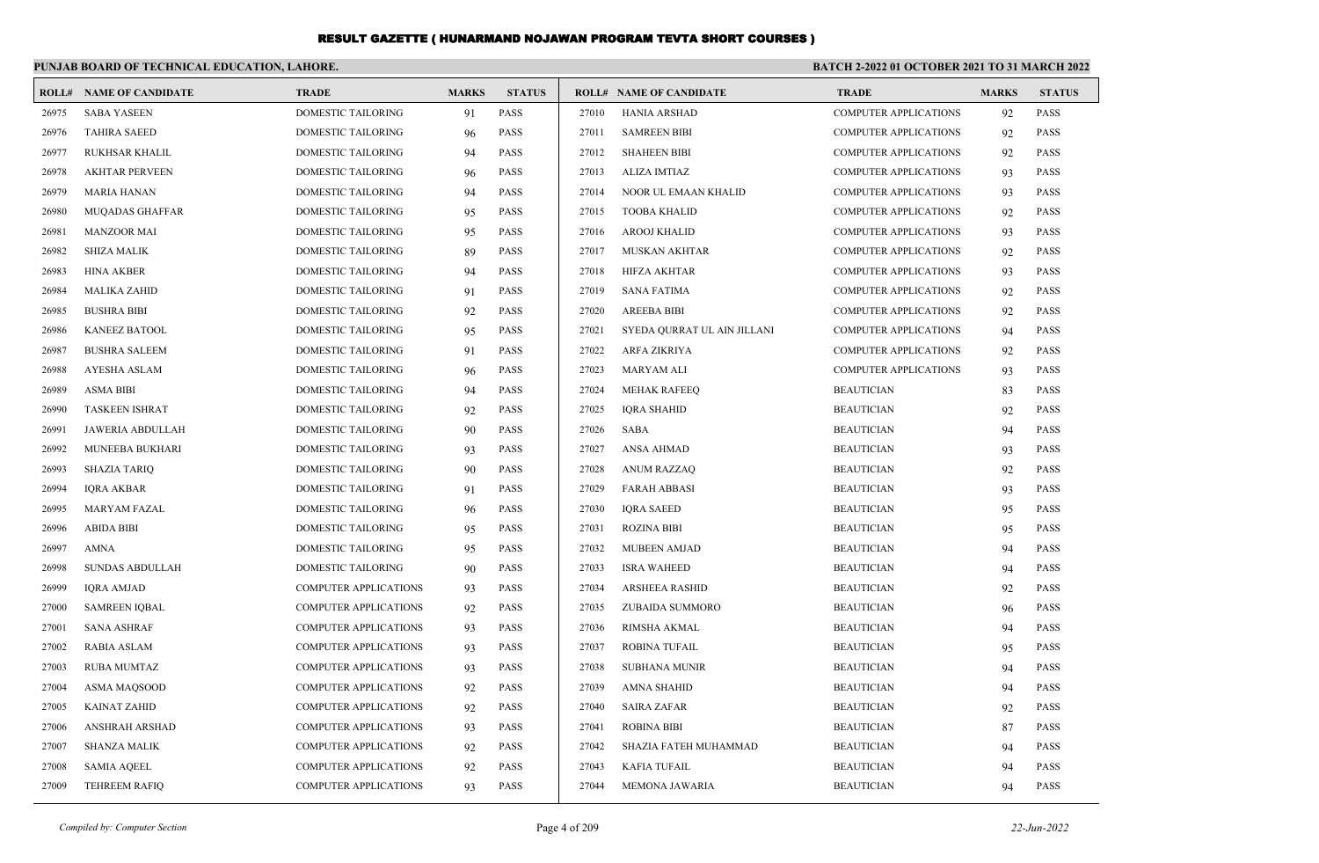|       | PUNJAB BOARD OF TECHNICAL EDUCATION, LAHORE. |                              |              |               |       | BATCH 2-2022 01 OCTOBER 2021 TO 31 MARCH 2022 |                              |              |               |
|-------|----------------------------------------------|------------------------------|--------------|---------------|-------|-----------------------------------------------|------------------------------|--------------|---------------|
|       | <b>ROLL# NAME OF CANDIDATE</b>               | <b>TRADE</b>                 | <b>MARKS</b> | <b>STATUS</b> |       | <b>ROLL# NAME OF CANDIDATE</b>                | <b>TRADE</b>                 | <b>MARKS</b> | <b>STATUS</b> |
| 26975 | <b>SABA YASEEN</b>                           | DOMESTIC TAILORING           | 91           | <b>PASS</b>   | 27010 | <b>HANIA ARSHAD</b>                           | <b>COMPUTER APPLICATIONS</b> | 92           | <b>PASS</b>   |
| 26976 | <b>TAHIRA SAEED</b>                          | DOMESTIC TAILORING           | 96           | <b>PASS</b>   | 27011 | <b>SAMREEN BIBI</b>                           | <b>COMPUTER APPLICATIONS</b> | 92           | <b>PASS</b>   |
| 26977 | <b>RUKHSAR KHALIL</b>                        | <b>DOMESTIC TAILORING</b>    | 94           | <b>PASS</b>   | 27012 | <b>SHAHEEN BIBI</b>                           | <b>COMPUTER APPLICATIONS</b> | 92           | <b>PASS</b>   |
| 26978 | <b>AKHTAR PERVEEN</b>                        | DOMESTIC TAILORING           | 96           | <b>PASS</b>   | 27013 | <b>ALIZA IMTIAZ</b>                           | <b>COMPUTER APPLICATIONS</b> | 93           | <b>PASS</b>   |
| 26979 | <b>MARIA HANAN</b>                           | <b>DOMESTIC TAILORING</b>    | 94           | <b>PASS</b>   | 27014 | NOOR UL EMAAN KHALID                          | <b>COMPUTER APPLICATIONS</b> | 93           | <b>PASS</b>   |
| 26980 | <b>MUQADAS GHAFFAR</b>                       | <b>DOMESTIC TAILORING</b>    | 95           | <b>PASS</b>   | 27015 | <b>TOOBA KHALID</b>                           | <b>COMPUTER APPLICATIONS</b> | 92           | <b>PASS</b>   |
| 26981 | <b>MANZOOR MAI</b>                           | DOMESTIC TAILORING           | 95           | <b>PASS</b>   | 27016 | <b>AROOJ KHALID</b>                           | <b>COMPUTER APPLICATIONS</b> | 93           | <b>PASS</b>   |
| 26982 | <b>SHIZA MALIK</b>                           | DOMESTIC TAILORING           | 89           | <b>PASS</b>   | 27017 | <b>MUSKAN AKHTAR</b>                          | <b>COMPUTER APPLICATIONS</b> | 92           | <b>PASS</b>   |
| 26983 | <b>HINA AKBER</b>                            | <b>DOMESTIC TAILORING</b>    | 94           | <b>PASS</b>   | 27018 | <b>HIFZA AKHTAR</b>                           | <b>COMPUTER APPLICATIONS</b> | 93           | <b>PASS</b>   |
| 26984 | <b>MALIKA ZAHID</b>                          | <b>DOMESTIC TAILORING</b>    | 91           | <b>PASS</b>   | 27019 | <b>SANA FATIMA</b>                            | <b>COMPUTER APPLICATIONS</b> | 92           | <b>PASS</b>   |
| 26985 | <b>BUSHRA BIBI</b>                           | DOMESTIC TAILORING           | 92           | <b>PASS</b>   | 27020 | <b>AREEBA BIBI</b>                            | <b>COMPUTER APPLICATIONS</b> | 92           | <b>PASS</b>   |
| 26986 | <b>KANEEZ BATOOL</b>                         | <b>DOMESTIC TAILORING</b>    | 95           | <b>PASS</b>   | 27021 | SYEDA QURRAT UL AIN JILLANI                   | <b>COMPUTER APPLICATIONS</b> | 94           | <b>PASS</b>   |
| 26987 | <b>BUSHRA SALEEM</b>                         | <b>DOMESTIC TAILORING</b>    | 91           | <b>PASS</b>   | 27022 | ARFA ZIKRIYA                                  | <b>COMPUTER APPLICATIONS</b> | 92           | <b>PASS</b>   |
| 26988 | AYESHA ASLAM                                 | DOMESTIC TAILORING           | 96           | <b>PASS</b>   | 27023 | <b>MARYAM ALI</b>                             | <b>COMPUTER APPLICATIONS</b> | 93           | <b>PASS</b>   |
| 26989 | <b>ASMA BIBI</b>                             | <b>DOMESTIC TAILORING</b>    | 94           | <b>PASS</b>   | 27024 | <b>MEHAK RAFEEQ</b>                           | <b>BEAUTICIAN</b>            | 83           | <b>PASS</b>   |
| 26990 | <b>TASKEEN ISHRAT</b>                        | <b>DOMESTIC TAILORING</b>    | 92           | <b>PASS</b>   | 27025 | <b>IQRA SHAHID</b>                            | <b>BEAUTICIAN</b>            | 92           | <b>PASS</b>   |
| 26991 | <b>JAWERIA ABDULLAH</b>                      | <b>DOMESTIC TAILORING</b>    | 90           | <b>PASS</b>   | 27026 | <b>SABA</b>                                   | <b>BEAUTICIAN</b>            | 94           | <b>PASS</b>   |
| 26992 | MUNEEBA BUKHARI                              | DOMESTIC TAILORING           | 93           | <b>PASS</b>   | 27027 | <b>ANSA AHMAD</b>                             | <b>BEAUTICIAN</b>            | 93           | <b>PASS</b>   |
| 26993 | <b>SHAZIA TARIQ</b>                          | <b>DOMESTIC TAILORING</b>    | 90           | <b>PASS</b>   | 27028 | <b>ANUM RAZZAQ</b>                            | <b>BEAUTICIAN</b>            | 92           | <b>PASS</b>   |
| 26994 | <b>IORA AKBAR</b>                            | DOMESTIC TAILORING           | 91           | <b>PASS</b>   | 27029 | <b>FARAH ABBASI</b>                           | <b>BEAUTICIAN</b>            | 93           | <b>PASS</b>   |
| 26995 | MARYAM FAZAL                                 | DOMESTIC TAILORING           | 96           | <b>PASS</b>   | 27030 | <b>IQRA SAEED</b>                             | <b>BEAUTICIAN</b>            | 95           | <b>PASS</b>   |
| 26996 | <b>ABIDA BIBI</b>                            | <b>DOMESTIC TAILORING</b>    | 95           | <b>PASS</b>   | 27031 | <b>ROZINA BIBI</b>                            | <b>BEAUTICIAN</b>            | 95           | <b>PASS</b>   |
| 26997 | <b>AMNA</b>                                  | <b>DOMESTIC TAILORING</b>    | 95           | <b>PASS</b>   | 27032 | <b>MUBEEN AMJAD</b>                           | <b>BEAUTICIAN</b>            | 94           | <b>PASS</b>   |
| 26998 | <b>SUNDAS ABDULLAH</b>                       | DOMESTIC TAILORING           | 90           | <b>PASS</b>   | 27033 | <b>ISRA WAHEED</b>                            | <b>BEAUTICIAN</b>            | 94           | <b>PASS</b>   |
| 26999 | <b>IQRA AMJAD</b>                            | COMPUTER APPLICATIONS        | 93           | <b>PASS</b>   | 27034 | <b>ARSHEEA RASHID</b>                         | <b>BEAUTICIAN</b>            | 92           | <b>PASS</b>   |
| 27000 | <b>SAMREEN IQBAL</b>                         | <b>COMPUTER APPLICATIONS</b> | 92           | <b>PASS</b>   | 27035 | ZUBAIDA SUMMORO                               | <b>BEAUTICIAN</b>            | 96           | <b>PASS</b>   |
| 27001 | <b>SANA ASHRAF</b>                           | COMPUTER APPLICATIONS        | 93           | <b>PASS</b>   | 27036 | RIMSHA AKMAL                                  | <b>BEAUTICIAN</b>            | 94           | <b>PASS</b>   |
| 27002 | <b>RABIA ASLAM</b>                           | COMPUTER APPLICATIONS        | 93           | <b>PASS</b>   | 27037 | ROBINA TUFAIL                                 | <b>BEAUTICIAN</b>            | 95           | <b>PASS</b>   |
| 27003 | <b>RUBA MUMTAZ</b>                           | <b>COMPUTER APPLICATIONS</b> | 93           | <b>PASS</b>   | 27038 | <b>SUBHANA MUNIR</b>                          | <b>BEAUTICIAN</b>            | 94           | <b>PASS</b>   |
| 27004 | <b>ASMA MAOSOOD</b>                          | <b>COMPUTER APPLICATIONS</b> | 92           | <b>PASS</b>   | 27039 | <b>AMNA SHAHID</b>                            | <b>BEAUTICIAN</b>            | 94           | <b>PASS</b>   |
| 27005 | <b>KAINAT ZAHID</b>                          | <b>COMPUTER APPLICATIONS</b> | 92           | <b>PASS</b>   | 27040 | <b>SAIRA ZAFAR</b>                            | <b>BEAUTICIAN</b>            | 92           | PASS          |
| 27006 | <b>ANSHRAH ARSHAD</b>                        | <b>COMPUTER APPLICATIONS</b> | 93           | <b>PASS</b>   | 27041 | <b>ROBINA BIBI</b>                            | <b>BEAUTICIAN</b>            | 87           | <b>PASS</b>   |
| 27007 | <b>SHANZA MALIK</b>                          | <b>COMPUTER APPLICATIONS</b> | 92           | <b>PASS</b>   | 27042 | SHAZIA FATEH MUHAMMAD                         | <b>BEAUTICIAN</b>            | 94           | <b>PASS</b>   |
| 27008 | <b>SAMIA AQEEL</b>                           | <b>COMPUTER APPLICATIONS</b> | 92           | <b>PASS</b>   | 27043 | <b>KAFIA TUFAIL</b>                           | <b>BEAUTICIAN</b>            | 94           | <b>PASS</b>   |
| 27009 | <b>TEHREEM RAFIO</b>                         | <b>COMPUTER APPLICATIONS</b> | 93           | <b>PASS</b>   | 27044 | <b>MEMONA JAWARIA</b>                         | <b>BEAUTICIAN</b>            | 94           | <b>PASS</b>   |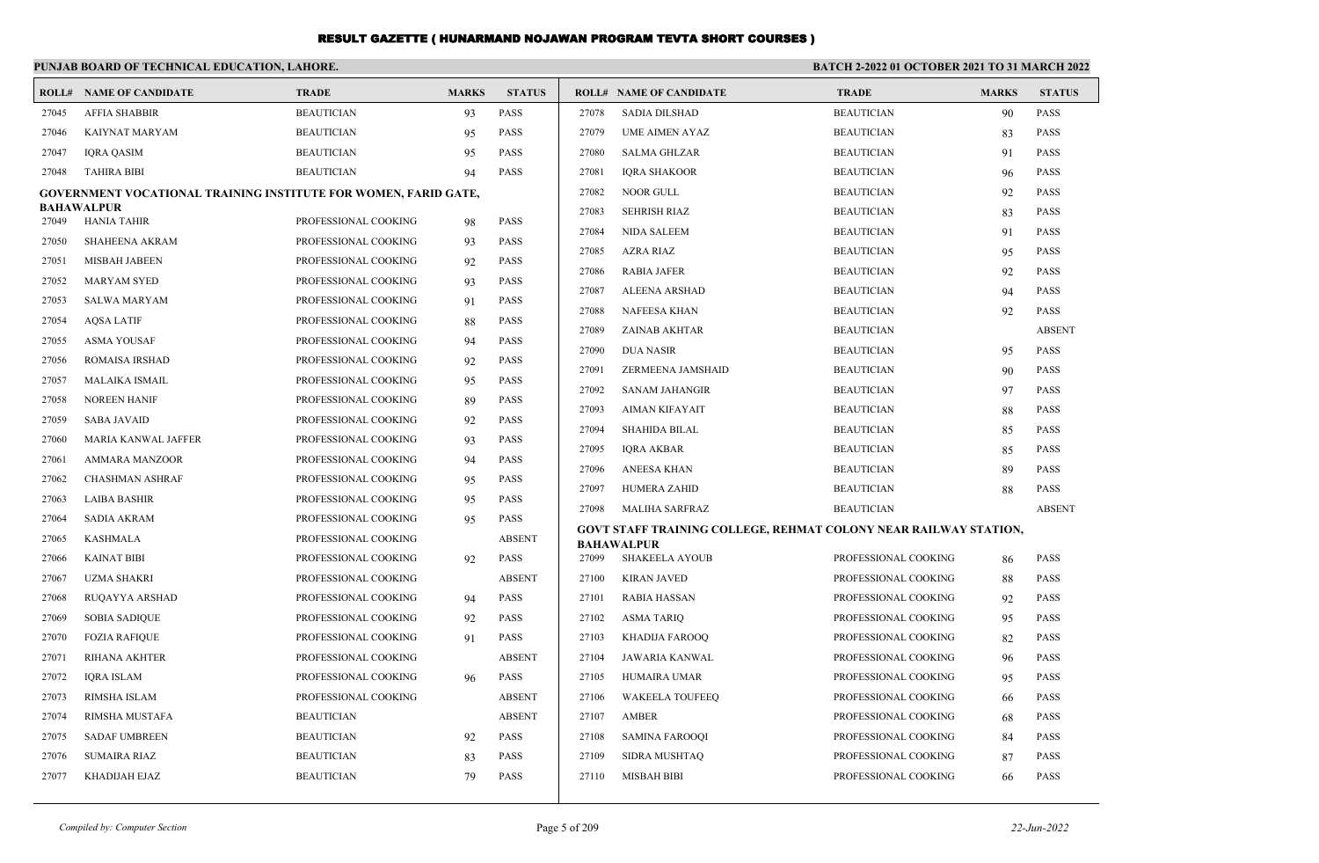|       | PUNJAB BOARD OF TECHNICAL EDUCATION, LAHORE.                           |                      |              |                            | <b>BATCH 2-2022 01 OCTOBER 2021 TO 31 MARCH 2022</b> |                                                                  |                      |              |               |
|-------|------------------------------------------------------------------------|----------------------|--------------|----------------------------|------------------------------------------------------|------------------------------------------------------------------|----------------------|--------------|---------------|
|       | <b>ROLL# NAME OF CANDIDATE</b>                                         | <b>TRADE</b>         | <b>MARKS</b> | <b>STATUS</b>              |                                                      | <b>ROLL# NAME OF CANDIDATE</b>                                   | <b>TRADE</b>         | <b>MARKS</b> | <b>STATUS</b> |
| 27045 | <b>AFFIA SHABBIR</b>                                                   | <b>BEAUTICIAN</b>    | 93           | <b>PASS</b>                | 27078                                                | <b>SADIA DILSHAD</b>                                             | <b>BEAUTICIAN</b>    | 90           | <b>PASS</b>   |
| 27046 | KAIYNAT MARYAM                                                         | <b>BEAUTICIAN</b>    | 95           | <b>PASS</b>                | 27079                                                | <b>UME AIMEN AYAZ</b>                                            | <b>BEAUTICIAN</b>    | 83           | <b>PASS</b>   |
| 27047 | <b>IQRA QASIM</b>                                                      | <b>BEAUTICIAN</b>    | 95           | <b>PASS</b>                | 27080                                                | <b>SALMA GHLZAR</b>                                              | <b>BEAUTICIAN</b>    | 91           | <b>PASS</b>   |
| 27048 | <b>TAHIRA BIBI</b>                                                     | <b>BEAUTICIAN</b>    | 94           | <b>PASS</b>                | 27081                                                | <b>IQRA SHAKOOR</b>                                              | <b>BEAUTICIAN</b>    | 96           | <b>PASS</b>   |
|       | <b>GOVERNMENT VOCATIONAL TRAINING INSTITUTE FOR WOMEN, FARID GATE,</b> |                      |              |                            | 27082                                                | NOOR GULL                                                        | <b>BEAUTICIAN</b>    | 92           | <b>PASS</b>   |
| 27049 | <b>BAHAWALPUR</b><br><b>HANIA TAHIR</b>                                | PROFESSIONAL COOKING | 98           | <b>PASS</b>                | 27083                                                | <b>SEHRISH RIAZ</b>                                              | <b>BEAUTICIAN</b>    | 83           | <b>PASS</b>   |
| 27050 | <b>SHAHEENA AKRAM</b>                                                  | PROFESSIONAL COOKING | 93           | <b>PASS</b>                | 27084                                                | <b>NIDA SALEEM</b>                                               | <b>BEAUTICIAN</b>    | 91           | <b>PASS</b>   |
| 27051 | <b>MISBAH JABEEN</b>                                                   | PROFESSIONAL COOKING | 92           | <b>PASS</b>                | 27085                                                | <b>AZRA RIAZ</b>                                                 | <b>BEAUTICIAN</b>    | 95           | <b>PASS</b>   |
| 27052 | <b>MARYAM SYED</b>                                                     | PROFESSIONAL COOKING |              | <b>PASS</b>                | 27086                                                | <b>RABIA JAFER</b>                                               | <b>BEAUTICIAN</b>    | 92           | <b>PASS</b>   |
| 27053 |                                                                        |                      | 93           | <b>PASS</b>                | 27087                                                | <b>ALEENA ARSHAD</b>                                             | <b>BEAUTICIAN</b>    | 94           | <b>PASS</b>   |
|       | <b>SALWA MARYAM</b><br><b>AOSA LATIF</b>                               | PROFESSIONAL COOKING | 91           | <b>PASS</b>                | 27088                                                | <b>NAFEESA KHAN</b>                                              | <b>BEAUTICIAN</b>    | 92           | <b>PASS</b>   |
| 27054 |                                                                        | PROFESSIONAL COOKING | 88           |                            | 27089                                                | <b>ZAINAB AKHTAR</b>                                             | <b>BEAUTICIAN</b>    |              | <b>ABSENT</b> |
| 27055 | <b>ASMA YOUSAF</b>                                                     | PROFESSIONAL COOKING | 94           | <b>PASS</b>                | 27090                                                | <b>DUA NASIR</b>                                                 | <b>BEAUTICIAN</b>    | 95           | <b>PASS</b>   |
| 27056 | <b>ROMAISA IRSHAD</b>                                                  | PROFESSIONAL COOKING | 92           | <b>PASS</b>                | 27091                                                | ZERMEENA JAMSHAID                                                | <b>BEAUTICIAN</b>    | 90           | <b>PASS</b>   |
| 27057 | MALAIKA ISMAIL                                                         | PROFESSIONAL COOKING | 95           | <b>PASS</b>                | 27092                                                | <b>SANAM JAHANGIR</b>                                            | <b>BEAUTICIAN</b>    | 97           | <b>PASS</b>   |
| 27058 | <b>NOREEN HANIF</b>                                                    | PROFESSIONAL COOKING | 89           | <b>PASS</b>                | 27093                                                | <b>AIMAN KIFAYAIT</b>                                            | <b>BEAUTICIAN</b>    | 88           | <b>PASS</b>   |
| 27059 | <b>SABA JAVAID</b>                                                     | PROFESSIONAL COOKING | 92           | <b>PASS</b>                | 27094                                                | SHAHIDA BILAL                                                    | <b>BEAUTICIAN</b>    | 85           | <b>PASS</b>   |
| 27060 | MARIA KANWAL JAFFER                                                    | PROFESSIONAL COOKING | 93           | <b>PASS</b>                | 27095                                                | IQRA AKBAR                                                       | <b>BEAUTICIAN</b>    | 85           | PASS          |
| 27061 | <b>AMMARA MANZOOR</b>                                                  | PROFESSIONAL COOKING | 94           | <b>PASS</b><br><b>PASS</b> | 27096                                                | ANEESA KHAN                                                      | <b>BEAUTICIAN</b>    | 89           | <b>PASS</b>   |
| 27062 | <b>CHASHMAN ASHRAF</b>                                                 | PROFESSIONAL COOKING | 95           |                            | 27097                                                | <b>HUMERA ZAHID</b>                                              | <b>BEAUTICIAN</b>    | 88           | <b>PASS</b>   |
| 27063 | <b>LAIBA BASHIR</b>                                                    | PROFESSIONAL COOKING | 95           | <b>PASS</b>                | 27098                                                | <b>MALIHA SARFRAZ</b>                                            | <b>BEAUTICIAN</b>    |              | <b>ABSENT</b> |
| 27064 | <b>SADIA AKRAM</b>                                                     | PROFESSIONAL COOKING | 95           | <b>PASS</b>                |                                                      | GOVT STAFF TRAINING COLLEGE, REHMAT COLONY NEAR RAILWAY STATION, |                      |              |               |
| 27065 | <b>KASHMALA</b>                                                        | PROFESSIONAL COOKING |              | <b>ABSENT</b>              |                                                      | <b>BAHAWALPUR</b>                                                |                      |              |               |
| 27066 | <b>KAINAT BIBI</b>                                                     | PROFESSIONAL COOKING | 92           | <b>PASS</b>                | 27099                                                | <b>SHAKEELA AYOUB</b>                                            | PROFESSIONAL COOKING | 86           | <b>PASS</b>   |
| 27067 | <b>UZMA SHAKRI</b>                                                     | PROFESSIONAL COOKING |              | <b>ABSENT</b>              | 27100                                                | <b>KIRAN JAVED</b>                                               | PROFESSIONAL COOKING | 88           | <b>PASS</b>   |
| 27068 | RUQAYYA ARSHAD                                                         | PROFESSIONAL COOKING | 94           | <b>PASS</b>                | 27101                                                | <b>RABIA HASSAN</b>                                              | PROFESSIONAL COOKING | 92           | <b>PASS</b>   |
| 27069 | <b>SOBIA SADIQUE</b>                                                   | PROFESSIONAL COOKING | 92           | <b>PASS</b>                | 27102                                                | <b>ASMA TARIO</b>                                                | PROFESSIONAL COOKING | 95           | <b>PASS</b>   |
| 27070 | <b>FOZIA RAFIQUE</b>                                                   | PROFESSIONAL COOKING | 91           | <b>PASS</b>                | 27103                                                | KHADIJA FAROOO                                                   | PROFESSIONAL COOKING | 82           | <b>PASS</b>   |
| 27071 | <b>RIHANA AKHTER</b>                                                   | PROFESSIONAL COOKING |              | <b>ABSENT</b>              | 27104                                                | JAWARIA KANWAL                                                   | PROFESSIONAL COOKING | 96           | <b>PASS</b>   |
| 27072 | <b>IQRA ISLAM</b>                                                      | PROFESSIONAL COOKING | 96           | PASS                       | 27105                                                | HUMAIRA UMAR                                                     | PROFESSIONAL COOKING | 95           | PASS          |
| 27073 | RIMSHA ISLAM                                                           | PROFESSIONAL COOKING |              | <b>ABSENT</b>              | 27106                                                | <b>WAKEELA TOUFEEQ</b>                                           | PROFESSIONAL COOKING | 66           | <b>PASS</b>   |
| 27074 | RIMSHA MUSTAFA                                                         | <b>BEAUTICIAN</b>    |              | <b>ABSENT</b>              | 27107                                                | AMBER                                                            | PROFESSIONAL COOKING | 68           | <b>PASS</b>   |
| 27075 | <b>SADAF UMBREEN</b>                                                   | <b>BEAUTICIAN</b>    | 92           | <b>PASS</b>                | 27108                                                | <b>SAMINA FAROOQI</b>                                            | PROFESSIONAL COOKING | 84           | <b>PASS</b>   |
| 27076 | <b>SUMAIRA RIAZ</b>                                                    | <b>BEAUTICIAN</b>    | 83           | <b>PASS</b>                | 27109                                                | <b>SIDRA MUSHTAQ</b>                                             | PROFESSIONAL COOKING | 87           | <b>PASS</b>   |
| 27077 | KHADIJAH EJAZ                                                          | <b>BEAUTICIAN</b>    | 79           | <b>PASS</b>                | 27110                                                | MISBAH BIBI                                                      | PROFESSIONAL COOKING | 66           | <b>PASS</b>   |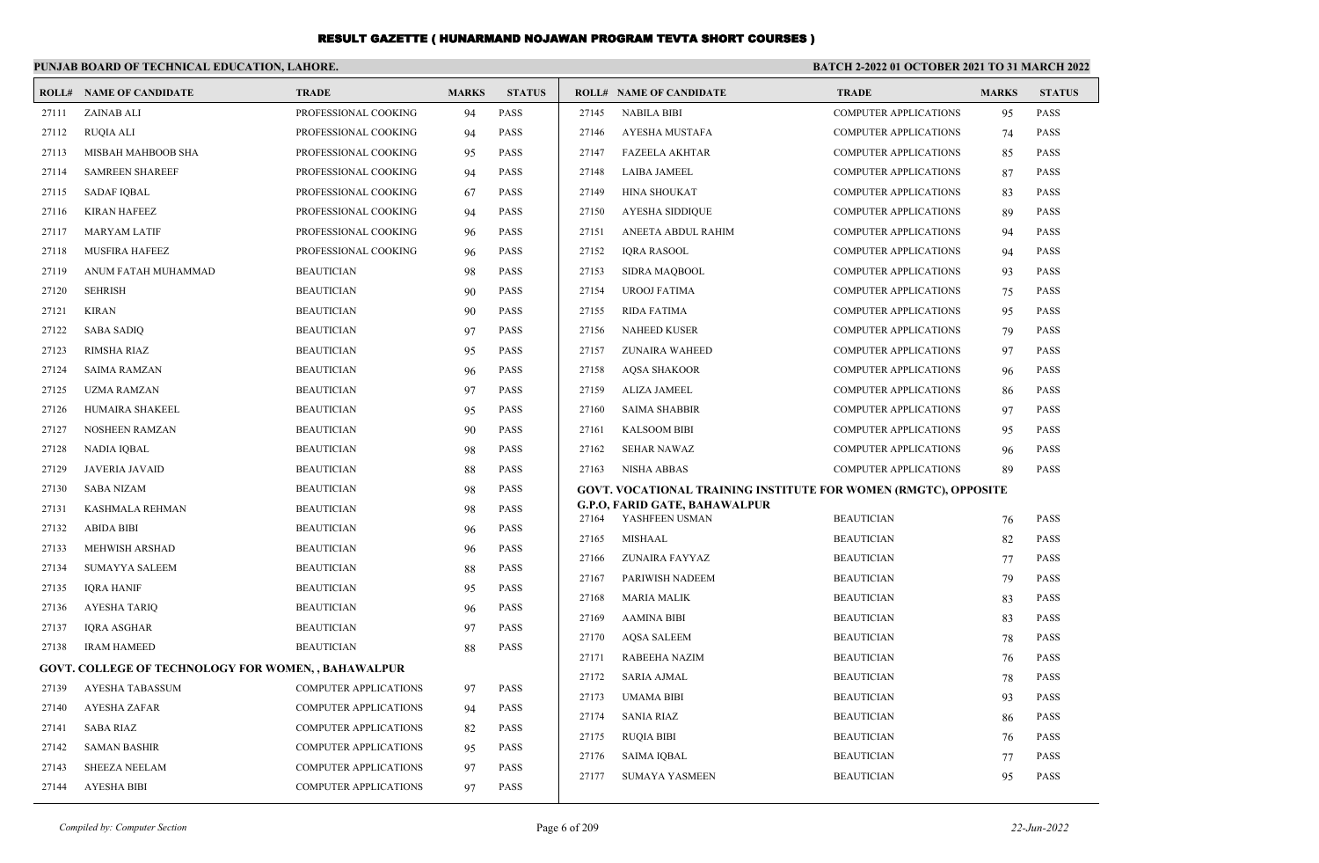|       | PUNJAB BOARD OF TECHNICAL EDUCATION, LAHORE.              |                              |              |               | BATCH 2-2022 01 OCTOBER 2021 TO 31 MARCH 2022 |                                                                        |                              |              |               |  |
|-------|-----------------------------------------------------------|------------------------------|--------------|---------------|-----------------------------------------------|------------------------------------------------------------------------|------------------------------|--------------|---------------|--|
|       | <b>ROLL# NAME OF CANDIDATE</b>                            | <b>TRADE</b>                 | <b>MARKS</b> | <b>STATUS</b> |                                               | <b>ROLL# NAME OF CANDIDATE</b>                                         | <b>TRADE</b>                 | <b>MARKS</b> | <b>STATUS</b> |  |
| 27111 | ZAINAB ALI                                                | PROFESSIONAL COOKING         | 94           | <b>PASS</b>   | 27145                                         | <b>NABILA BIBI</b>                                                     | <b>COMPUTER APPLICATIONS</b> | 95           | <b>PASS</b>   |  |
| 27112 | <b>RUQIA ALI</b>                                          | PROFESSIONAL COOKING         | 94           | PASS          | 27146                                         | AYESHA MUSTAFA                                                         | <b>COMPUTER APPLICATIONS</b> | 74           | <b>PASS</b>   |  |
| 27113 | MISBAH MAHBOOB SHA                                        | PROFESSIONAL COOKING         | 95           | PASS          | 27147                                         | <b>FAZEELA AKHTAR</b>                                                  | <b>COMPUTER APPLICATIONS</b> | 85           | <b>PASS</b>   |  |
| 27114 | <b>SAMREEN SHAREEF</b>                                    | PROFESSIONAL COOKING         | 94           | PASS          | 27148                                         | <b>LAIBA JAMEEL</b>                                                    | <b>COMPUTER APPLICATIONS</b> | 87           | PASS          |  |
| 27115 | <b>SADAF IQBAL</b>                                        | PROFESSIONAL COOKING         | 67           | <b>PASS</b>   | 27149                                         | <b>HINA SHOUKAT</b>                                                    | <b>COMPUTER APPLICATIONS</b> | 83           | PASS          |  |
| 27116 | <b>KIRAN HAFEEZ</b>                                       | PROFESSIONAL COOKING         | 94           | <b>PASS</b>   | 27150                                         | <b>AYESHA SIDDIQUE</b>                                                 | <b>COMPUTER APPLICATIONS</b> | 89           | PASS          |  |
| 27117 | <b>MARYAM LATIF</b>                                       | PROFESSIONAL COOKING         | 96           | PASS          | 27151                                         | ANEETA ABDUL RAHIM                                                     | <b>COMPUTER APPLICATIONS</b> | 94           | <b>PASS</b>   |  |
| 27118 | <b>MUSFIRA HAFEEZ</b>                                     | PROFESSIONAL COOKING         | 96           | PASS          | 27152                                         | <b>IORA RASOOL</b>                                                     | <b>COMPUTER APPLICATIONS</b> | 94           | PASS          |  |
| 27119 | ANUM FATAH MUHAMMAD                                       | <b>BEAUTICIAN</b>            | 98           | PASS          | 27153                                         | SIDRA MAQBOOL                                                          | <b>COMPUTER APPLICATIONS</b> | 93           | PASS          |  |
| 27120 | <b>SEHRISH</b>                                            | <b>BEAUTICIAN</b>            | 90           | PASS          | 27154                                         | <b>UROOJ FATIMA</b>                                                    | <b>COMPUTER APPLICATIONS</b> | 75           | <b>PASS</b>   |  |
| 27121 | <b>KIRAN</b>                                              | <b>BEAUTICIAN</b>            | 90           | PASS          | 27155                                         | <b>RIDA FATIMA</b>                                                     | <b>COMPUTER APPLICATIONS</b> | 95           | PASS          |  |
| 27122 | <b>SABA SADIQ</b>                                         | <b>BEAUTICIAN</b>            | 97           | PASS          | 27156                                         | <b>NAHEED KUSER</b>                                                    | <b>COMPUTER APPLICATIONS</b> | 79           | <b>PASS</b>   |  |
| 27123 | RIMSHA RIAZ                                               | <b>BEAUTICIAN</b>            | 95           | PASS          | 27157                                         | <b>ZUNAIRA WAHEED</b>                                                  | <b>COMPUTER APPLICATIONS</b> | 97           | PASS          |  |
| 27124 | <b>SAIMA RAMZAN</b>                                       | <b>BEAUTICIAN</b>            | 96           | PASS          | 27158                                         | <b>AOSA SHAKOOR</b>                                                    | <b>COMPUTER APPLICATIONS</b> | 96           | <b>PASS</b>   |  |
| 27125 | <b>UZMA RAMZAN</b>                                        | <b>BEAUTICIAN</b>            | 97           | PASS          | 27159                                         | <b>ALIZA JAMEEL</b>                                                    | <b>COMPUTER APPLICATIONS</b> | 86           | PASS          |  |
| 27126 | HUMAIRA SHAKEEL                                           | <b>BEAUTICIAN</b>            | 95           | <b>PASS</b>   | 27160                                         | <b>SAIMA SHABBIR</b>                                                   | <b>COMPUTER APPLICATIONS</b> | 97           | PASS          |  |
| 27127 | <b>NOSHEEN RAMZAN</b>                                     | <b>BEAUTICIAN</b>            | 90           | PASS          | 27161                                         | <b>KALSOOM BIBI</b>                                                    | <b>COMPUTER APPLICATIONS</b> | 95           | PASS          |  |
| 27128 | NADIA IQBAL                                               | <b>BEAUTICIAN</b>            | 98           | <b>PASS</b>   | 27162                                         | <b>SEHAR NAWAZ</b>                                                     | <b>COMPUTER APPLICATIONS</b> | 96           | PASS          |  |
| 27129 | <b>JAVERIA JAVAID</b>                                     | <b>BEAUTICIAN</b>            | 88           | <b>PASS</b>   | 27163                                         | <b>NISHA ABBAS</b>                                                     | <b>COMPUTER APPLICATIONS</b> | 89           | PASS          |  |
| 27130 | <b>SABA NIZAM</b>                                         | <b>BEAUTICIAN</b>            | 98           | PASS          |                                               | <b>GOVT. VOCATIONAL TRAINING INSTITUTE FOR WOMEN (RMGTC), OPPOSITE</b> |                              |              |               |  |
| 27131 | KASHMALA REHMAN                                           | <b>BEAUTICIAN</b>            | 98           | PASS          | 27164                                         | G.P.O, FARID GATE, BAHAWALPUR<br>YASHFEEN USMAN                        | <b>BEAUTICIAN</b>            | 76           | <b>PASS</b>   |  |
| 27132 | <b>ABIDA BIBI</b>                                         | <b>BEAUTICIAN</b>            | 96           | <b>PASS</b>   | 27165                                         | <b>MISHAAL</b>                                                         | <b>BEAUTICIAN</b>            | 82           | <b>PASS</b>   |  |
| 27133 | MEHWISH ARSHAD                                            | <b>BEAUTICIAN</b>            | 96           | <b>PASS</b>   | 27166                                         | ZUNAIRA FAYYAZ                                                         | <b>BEAUTICIAN</b>            | 77           | PASS          |  |
| 27134 | <b>SUMAYYA SALEEM</b>                                     | <b>BEAUTICIAN</b>            | 88           | PASS          | 27167                                         | PARIWISH NADEEM                                                        | <b>BEAUTICIAN</b>            | 79           | <b>PASS</b>   |  |
| 27135 | <b>IQRA HANIF</b>                                         | <b>BEAUTICIAN</b>            | 95           | PASS          | 27168                                         | <b>MARIA MALIK</b>                                                     | <b>BEAUTICIAN</b>            | 83           | <b>PASS</b>   |  |
| 27136 | <b>AYESHA TARIQ</b>                                       | <b>BEAUTICIAN</b>            | 96           | <b>PASS</b>   | 27169                                         | <b>AAMINA BIBI</b>                                                     | <b>BEAUTICIAN</b>            | 83           | <b>PASS</b>   |  |
| 27137 | <b>IQRA ASGHAR</b>                                        | <b>BEAUTICIAN</b>            | 97           | PASS          | 27170                                         | <b>AQSA SALEEM</b>                                                     | <b>BEAUTICIAN</b>            | 78           | <b>PASS</b>   |  |
| 27138 | <b>IRAM HAMEED</b>                                        | <b>BEAUTICIAN</b>            | 88           | PASS          | 27171                                         | RABEEHA NAZIM                                                          | <b>BEAUTICIAN</b>            | 76           | PASS          |  |
|       | <b>GOVT. COLLEGE OF TECHNOLOGY FOR WOMEN,, BAHAWALPUR</b> |                              |              |               | 27172                                         | <b>SARIA AJMAL</b>                                                     | <b>BEAUTICIAN</b>            | 78           | PASS          |  |
| 27139 | <b>AYESHA TABASSUM</b>                                    | <b>COMPUTER APPLICATIONS</b> | 97           | PASS          | 27173                                         | <b>UMAMA BIBI</b>                                                      | <b>BEAUTICIAN</b>            | 93           | PASS          |  |
| 27140 | <b>AYESHA ZAFAR</b>                                       | <b>COMPUTER APPLICATIONS</b> | 94           | <b>PASS</b>   | 27174                                         | <b>SANIA RIAZ</b>                                                      | <b>BEAUTICIAN</b>            | 86           | PASS          |  |
| 27141 | <b>SABA RIAZ</b>                                          | <b>COMPUTER APPLICATIONS</b> | 82           | <b>PASS</b>   | 27175                                         | <b>RUQIA BIBI</b>                                                      | <b>BEAUTICIAN</b>            |              | PASS          |  |
| 27142 | <b>SAMAN BASHIR</b>                                       | <b>COMPUTER APPLICATIONS</b> | 95           | <b>PASS</b>   | 27176                                         | <b>SAIMA IQBAL</b>                                                     | <b>BEAUTICIAN</b>            | 76<br>77     | PASS          |  |
| 27143 | <b>SHEEZA NEELAM</b>                                      | COMPUTER APPLICATIONS        | 97           | PASS          | 27177                                         | <b>SUMAYA YASMEEN</b>                                                  | <b>BEAUTICIAN</b>            | 95           | PASS          |  |
| 27144 | <b>AYESHA BIBI</b>                                        | <b>COMPUTER APPLICATIONS</b> | 97           | <b>PASS</b>   |                                               |                                                                        |                              |              |               |  |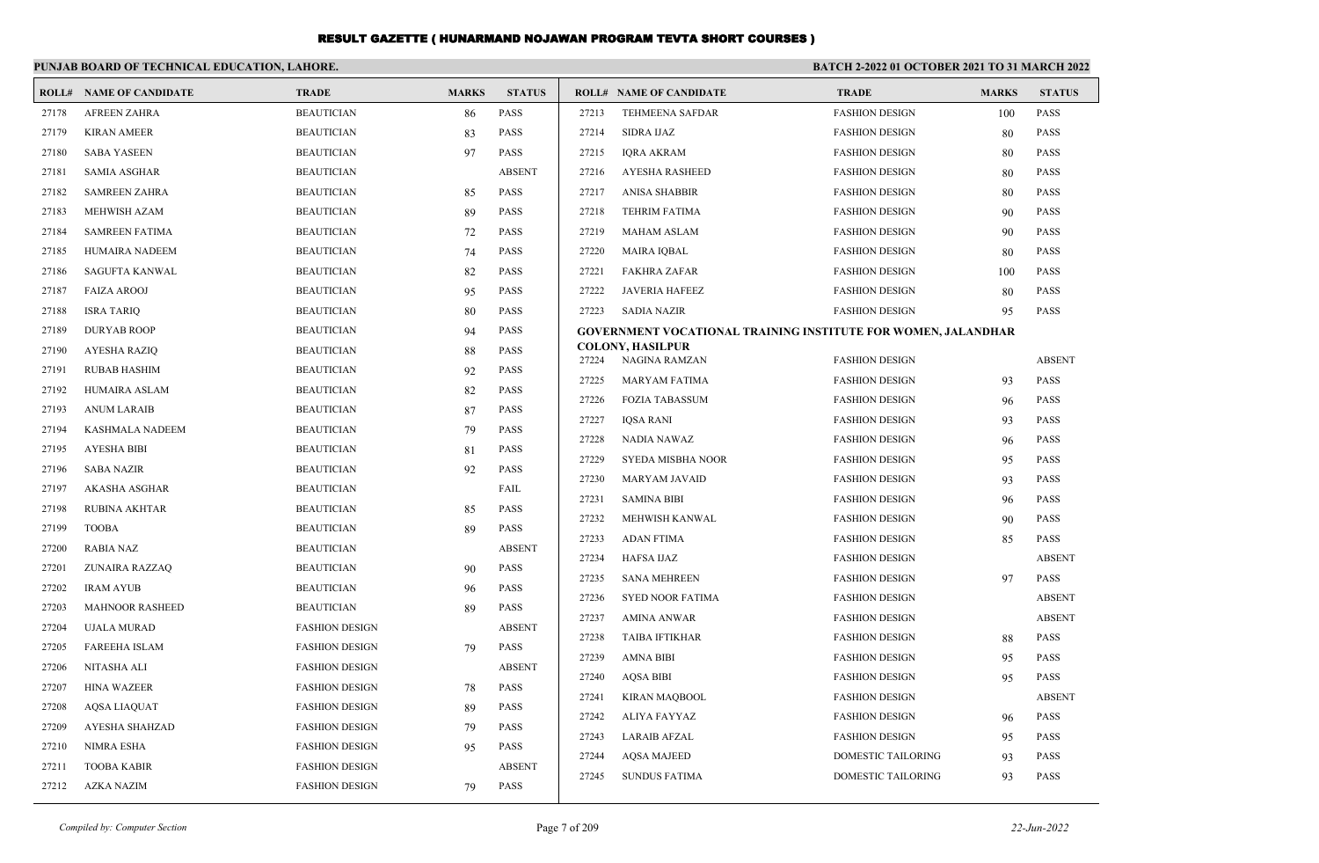|       | PUNJAB BOARD OF TECHNICAL EDUCATION, LAHORE. |                       |              |               | <b>BATCH 2-2022 01 OCTOBER 2021 TO 31 MARCH 2022</b> |                                                                      |                                                |              |                            |
|-------|----------------------------------------------|-----------------------|--------------|---------------|------------------------------------------------------|----------------------------------------------------------------------|------------------------------------------------|--------------|----------------------------|
|       | <b>ROLL# NAME OF CANDIDATE</b>               | <b>TRADE</b>          | <b>MARKS</b> | <b>STATUS</b> |                                                      | <b>ROLL# NAME OF CANDIDATE</b>                                       | <b>TRADE</b>                                   | <b>MARKS</b> | <b>STATUS</b>              |
| 27178 | <b>AFREEN ZAHRA</b>                          | <b>BEAUTICIAN</b>     | 86           | PASS          | 27213                                                | TEHMEENA SAFDAR                                                      | <b>FASHION DESIGN</b>                          | 100          | <b>PASS</b>                |
| 27179 | <b>KIRAN AMEER</b>                           | <b>BEAUTICIAN</b>     | 83           | <b>PASS</b>   | 27214                                                | <b>SIDRA IJAZ</b>                                                    | <b>FASHION DESIGN</b>                          | 80           | <b>PASS</b>                |
| 27180 | <b>SABA YASEEN</b>                           | <b>BEAUTICIAN</b>     | 97           | <b>PASS</b>   | 27215                                                | IQRA AKRAM                                                           | <b>FASHION DESIGN</b>                          | 80           | PASS                       |
| 27181 | <b>SAMIA ASGHAR</b>                          | <b>BEAUTICIAN</b>     |              | <b>ABSENT</b> | 27216                                                | AYESHA RASHEED                                                       | <b>FASHION DESIGN</b>                          | 80           | <b>PASS</b>                |
| 27182 | <b>SAMREEN ZAHRA</b>                         | <b>BEAUTICIAN</b>     | 85           | <b>PASS</b>   | 27217                                                | <b>ANISA SHABBIR</b>                                                 | <b>FASHION DESIGN</b>                          | 80           | <b>PASS</b>                |
| 27183 | MEHWISH AZAM                                 | <b>BEAUTICIAN</b>     | 89           | <b>PASS</b>   | 27218                                                | <b>TEHRIM FATIMA</b>                                                 | <b>FASHION DESIGN</b>                          | 90           | <b>PASS</b>                |
| 27184 | <b>SAMREEN FATIMA</b>                        | <b>BEAUTICIAN</b>     | 72           | <b>PASS</b>   | 27219                                                | <b>MAHAM ASLAM</b>                                                   | <b>FASHION DESIGN</b>                          | 90           | <b>PASS</b>                |
| 27185 | HUMAIRA NADEEM                               | <b>BEAUTICIAN</b>     | 74           | <b>PASS</b>   | 27220                                                | <b>MAIRA IQBAL</b>                                                   | <b>FASHION DESIGN</b>                          | 80           | <b>PASS</b>                |
| 27186 | SAGUFTA KANWAL                               | <b>BEAUTICIAN</b>     | 82           | <b>PASS</b>   | 27221                                                | FAKHRA ZAFAR                                                         | <b>FASHION DESIGN</b>                          | 100          | <b>PASS</b>                |
| 27187 | <b>FAIZA AROOJ</b>                           | <b>BEAUTICIAN</b>     | 95           | <b>PASS</b>   | 27222                                                | <b>JAVERIA HAFEEZ</b>                                                | <b>FASHION DESIGN</b>                          | 80           | <b>PASS</b>                |
| 27188 | <b>ISRA TARIQ</b>                            | <b>BEAUTICIAN</b>     | 80           | <b>PASS</b>   | 27223                                                | <b>SADIA NAZIR</b>                                                   | <b>FASHION DESIGN</b>                          | 95           | <b>PASS</b>                |
| 27189 | <b>DURYAB ROOP</b>                           | <b>BEAUTICIAN</b>     | 94           | <b>PASS</b>   |                                                      | <b>GOVERNMENT VOCATIONAL TRAINING INSTITUTE FOR WOMEN, JALANDHAR</b> |                                                |              |                            |
| 27190 | AYESHA RAZIQ                                 | <b>BEAUTICIAN</b>     | 88           | <b>PASS</b>   |                                                      | <b>COLONY, HASILPUR</b>                                              |                                                |              | <b>ABSENT</b>              |
| 27191 | <b>RUBAB HASHIM</b>                          | <b>BEAUTICIAN</b>     | 92           | <b>PASS</b>   | 27224                                                | NAGINA RAMZAN                                                        | <b>FASHION DESIGN</b>                          |              | <b>PASS</b>                |
| 27192 | HUMAIRA ASLAM                                | <b>BEAUTICIAN</b>     | 82           | <b>PASS</b>   | 27225<br>27226                                       | <b>MARYAM FATIMA</b><br><b>FOZIA TABASSUM</b>                        | <b>FASHION DESIGN</b>                          | 93           | PASS                       |
| 27193 | ANUM LARAIB                                  | <b>BEAUTICIAN</b>     | 87           | PASS          | 27227                                                | <b>IQSA RANI</b>                                                     | <b>FASHION DESIGN</b><br><b>FASHION DESIGN</b> | 96<br>93     | <b>PASS</b>                |
| 27194 | KASHMALA NADEEM                              | <b>BEAUTICIAN</b>     | 79           | <b>PASS</b>   | 27228                                                | NADIA NAWAZ                                                          | <b>FASHION DESIGN</b>                          |              | <b>PASS</b>                |
| 27195 | <b>AYESHA BIBI</b>                           | <b>BEAUTICIAN</b>     | 81           | PASS          | 27229                                                | SYEDA MISBHA NOOR                                                    | <b>FASHION DESIGN</b>                          | 96<br>95     | <b>PASS</b>                |
| 27196 | <b>SABA NAZIR</b>                            | <b>BEAUTICIAN</b>     | 92           | <b>PASS</b>   | 27230                                                | MARYAM JAVAID                                                        |                                                |              | <b>PASS</b>                |
| 27197 | AKASHA ASGHAR                                | <b>BEAUTICIAN</b>     |              | FAIL          | 27231                                                | <b>SAMINA BIBI</b>                                                   | <b>FASHION DESIGN</b><br><b>FASHION DESIGN</b> | 93           | <b>PASS</b>                |
| 27198 | <b>RUBINA AKHTAR</b>                         | <b>BEAUTICIAN</b>     | 85           | <b>PASS</b>   | 27232                                                |                                                                      |                                                | 96           |                            |
| 27199 | <b>TOOBA</b>                                 | <b>BEAUTICIAN</b>     | 89           | <b>PASS</b>   | 27233                                                | MEHWISH KANWAL<br><b>ADAN FTIMA</b>                                  | <b>FASHION DESIGN</b><br><b>FASHION DESIGN</b> | 90           | <b>PASS</b><br><b>PASS</b> |
| 27200 | RABIA NAZ                                    | <b>BEAUTICIAN</b>     |              | <b>ABSENT</b> |                                                      |                                                                      |                                                | 85           | <b>ABSENT</b>              |
| 27201 | ZUNAIRA RAZZAQ                               | <b>BEAUTICIAN</b>     | 90           | <b>PASS</b>   | 27234<br>27235                                       | HAFSA IJAZ<br><b>SANA MEHREEN</b>                                    | <b>FASHION DESIGN</b><br><b>FASHION DESIGN</b> | 97           | <b>PASS</b>                |
| 27202 | <b>IRAM AYUB</b>                             | <b>BEAUTICIAN</b>     | 96           | <b>PASS</b>   | 27236                                                | <b>SYED NOOR FATIMA</b>                                              |                                                |              | <b>ABSENT</b>              |
| 27203 | <b>MAHNOOR RASHEED</b>                       | <b>BEAUTICIAN</b>     | 89           | PASS          | 27237                                                | <b>AMINA ANWAR</b>                                                   | <b>FASHION DESIGN</b>                          |              | <b>ABSENT</b>              |
| 27204 | <b>UJALA MURAD</b>                           | <b>FASHION DESIGN</b> |              | <b>ABSENT</b> | 27238                                                | <b>TAIBA IFTIKHAR</b>                                                | <b>FASHION DESIGN</b>                          |              | <b>PASS</b>                |
| 27205 | <b>FAREEHA ISLAM</b>                         | <b>FASHION DESIGN</b> | 79           | <b>PASS</b>   | 27239                                                | <b>AMNA BIBI</b>                                                     | <b>FASHION DESIGN</b><br><b>FASHION DESIGN</b> | 88           | <b>PASS</b>                |
| 27206 | NITASHA ALI                                  | <b>FASHION DESIGN</b> |              | <b>ABSENT</b> | 27240                                                | <b>AOSA BIBI</b>                                                     |                                                | 95           |                            |
| 27207 | <b>HINA WAZEER</b>                           | <b>FASHION DESIGN</b> | 78           | PASS          |                                                      |                                                                      | <b>FASHION DESIGN</b>                          | 95           | <b>PASS</b>                |
| 27208 | <b>AQSA LIAQUAT</b>                          | <b>FASHION DESIGN</b> | 89           | PASS          | 27241                                                | <b>KIRAN MAQBOOL</b>                                                 | <b>FASHION DESIGN</b>                          |              | <b>ABSENT</b><br>PASS      |
| 27209 | AYESHA SHAHZAD                               | <b>FASHION DESIGN</b> | 79           | PASS          | 27242                                                | ALIYA FAYYAZ<br><b>LARAIB AFZAL</b>                                  | <b>FASHION DESIGN</b>                          | 96           |                            |
| 27210 | NIMRA ESHA                                   | <b>FASHION DESIGN</b> | 95           | PASS          | 27243                                                | <b>AQSA MAJEED</b>                                                   | <b>FASHION DESIGN</b>                          | 95           | PASS<br><b>PASS</b>        |
| 27211 | <b>TOOBA KABIR</b>                           | <b>FASHION DESIGN</b> |              | ABSENT        | 27244                                                |                                                                      | DOMESTIC TAILORING                             | 93           |                            |
| 27212 | AZKA NAZIM                                   | <b>FASHION DESIGN</b> | 79           | PASS          | 27245                                                | <b>SUNDUS FATIMA</b>                                                 | DOMESTIC TAILORING                             | 93           | PASS                       |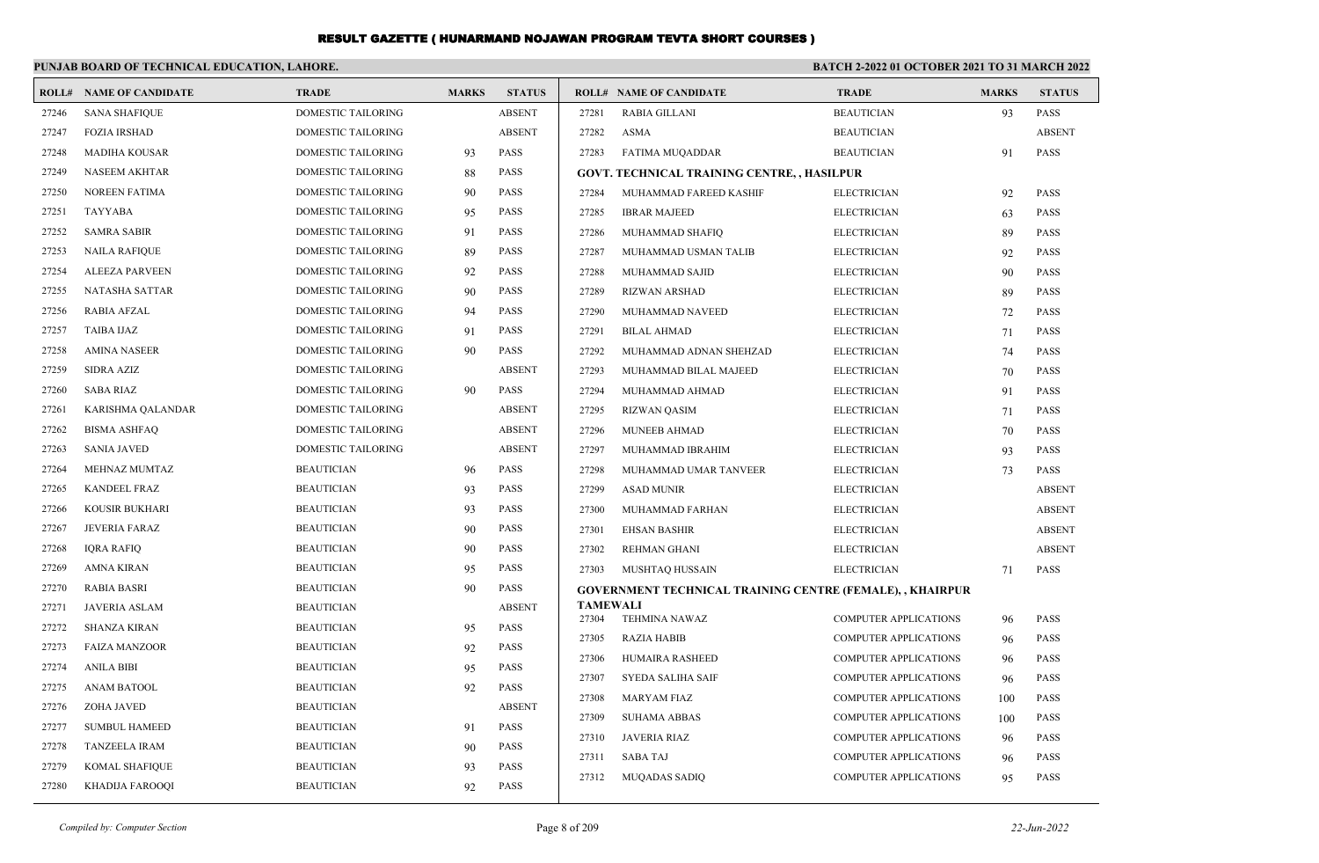|       | PUNJAB BOARD OF TECHNICAL EDUCATION, LAHORE. |                           |              |               |                          | <b>BATCH 2-2022 01 OCTOBER 2021 TO 31 MARCH 2022</b>            |                                                              |              |                     |
|-------|----------------------------------------------|---------------------------|--------------|---------------|--------------------------|-----------------------------------------------------------------|--------------------------------------------------------------|--------------|---------------------|
|       | <b>ROLL# NAME OF CANDIDATE</b>               | <b>TRADE</b>              | <b>MARKS</b> | <b>STATUS</b> |                          | <b>ROLL# NAME OF CANDIDATE</b>                                  | <b>TRADE</b>                                                 | <b>MARKS</b> | <b>STATUS</b>       |
| 27246 | <b>SANA SHAFIQUE</b>                         | DOMESTIC TAILORING        |              | <b>ABSENT</b> | 27281                    | RABIA GILLANI                                                   | <b>BEAUTICIAN</b>                                            | 93           | <b>PASS</b>         |
| 27247 | <b>FOZIA IRSHAD</b>                          | <b>DOMESTIC TAILORING</b> |              | <b>ABSENT</b> | 27282                    | <b>ASMA</b>                                                     | <b>BEAUTICIAN</b>                                            |              | <b>ABSENT</b>       |
| 27248 | <b>MADIHA KOUSAR</b>                         | <b>DOMESTIC TAILORING</b> | 93           | <b>PASS</b>   | 27283                    | FATIMA MUQADDAR                                                 | <b>BEAUTICIAN</b>                                            | 91           | <b>PASS</b>         |
| 27249 | NASEEM AKHTAR                                | DOMESTIC TAILORING        | 88           | PASS          |                          | <b>GOVT. TECHNICAL TRAINING CENTRE, , HASILPUR</b>              |                                                              |              |                     |
| 27250 | <b>NOREEN FATIMA</b>                         | DOMESTIC TAILORING        | 90           | <b>PASS</b>   | 27284                    | MUHAMMAD FAREED KASHIF                                          | <b>ELECTRICIAN</b>                                           | 92           | <b>PASS</b>         |
| 27251 | TAYYABA                                      | <b>DOMESTIC TAILORING</b> | 95           | <b>PASS</b>   | 27285                    | <b>IBRAR MAJEED</b>                                             | <b>ELECTRICIAN</b>                                           | 63           | <b>PASS</b>         |
| 27252 | SAMRA SABIR                                  | DOMESTIC TAILORING        | 91           | <b>PASS</b>   | 27286                    | MUHAMMAD SHAFIQ                                                 | <b>ELECTRICIAN</b>                                           | 89           | <b>PASS</b>         |
| 27253 | <b>NAILA RAFIQUE</b>                         | <b>DOMESTIC TAILORING</b> | 89           | <b>PASS</b>   | 27287                    | MUHAMMAD USMAN TALIB                                            | <b>ELECTRICIAN</b>                                           | 92           | <b>PASS</b>         |
| 27254 | <b>ALEEZA PARVEEN</b>                        | <b>DOMESTIC TAILORING</b> | 92           | <b>PASS</b>   | 27288                    | MUHAMMAD SAJID                                                  | <b>ELECTRICIAN</b>                                           | 90           | <b>PASS</b>         |
| 27255 | NATASHA SATTAR                               | DOMESTIC TAILORING        | 90           | <b>PASS</b>   | 27289                    | <b>RIZWAN ARSHAD</b>                                            | <b>ELECTRICIAN</b>                                           | 89           | <b>PASS</b>         |
| 27256 | <b>RABIA AFZAL</b>                           | <b>DOMESTIC TAILORING</b> | 94           | <b>PASS</b>   | 27290                    | MUHAMMAD NAVEED                                                 | <b>ELECTRICIAN</b>                                           | 72           | <b>PASS</b>         |
| 27257 | TAIBA IJAZ                                   | DOMESTIC TAILORING        | 91           | <b>PASS</b>   | 27291                    | <b>BILAL AHMAD</b>                                              | <b>ELECTRICIAN</b>                                           | 71           | <b>PASS</b>         |
| 27258 | <b>AMINA NASEER</b>                          | <b>DOMESTIC TAILORING</b> | 90           | <b>PASS</b>   | 27292                    | MUHAMMAD ADNAN SHEHZAD                                          | <b>ELECTRICIAN</b>                                           | 74           | <b>PASS</b>         |
| 27259 | <b>SIDRA AZIZ</b>                            | <b>DOMESTIC TAILORING</b> |              | <b>ABSENT</b> | 27293                    | MUHAMMAD BILAL MAJEED                                           | <b>ELECTRICIAN</b>                                           | 70           | <b>PASS</b>         |
| 27260 | SABA RIAZ                                    | DOMESTIC TAILORING        | 90           | PASS          | 27294                    | MUHAMMAD AHMAD                                                  | <b>ELECTRICIAN</b>                                           | 91           | <b>PASS</b>         |
| 27261 | KARISHMA QALANDAR                            | DOMESTIC TAILORING        |              | <b>ABSENT</b> | 27295                    | <b>RIZWAN QASIM</b>                                             | <b>ELECTRICIAN</b>                                           | 71           | <b>PASS</b>         |
| 27262 | <b>BISMA ASHFAQ</b>                          | <b>DOMESTIC TAILORING</b> |              | <b>ABSENT</b> | 27296                    | <b>MUNEEB AHMAD</b>                                             | <b>ELECTRICIAN</b>                                           | 70           | <b>PASS</b>         |
| 27263 | <b>SANIA JAVED</b>                           | DOMESTIC TAILORING        |              | <b>ABSENT</b> | 27297                    | MUHAMMAD IBRAHIM                                                | <b>ELECTRICIAN</b>                                           | 93           | <b>PASS</b>         |
| 27264 | MEHNAZ MUMTAZ                                | <b>BEAUTICIAN</b>         | 96           | PASS          | 27298                    | MUHAMMAD UMAR TANVEER                                           | <b>ELECTRICIAN</b>                                           | 73           | <b>PASS</b>         |
| 27265 | <b>KANDEEL FRAZ</b>                          | <b>BEAUTICIAN</b>         | 93           | <b>PASS</b>   | 27299                    | <b>ASAD MUNIR</b>                                               | <b>ELECTRICIAN</b>                                           |              | <b>ABSENT</b>       |
| 27266 | KOUSIR BUKHARI                               | <b>BEAUTICIAN</b>         | 93           | <b>PASS</b>   | 27300                    | MUHAMMAD FARHAN                                                 | <b>ELECTRICIAN</b>                                           |              | <b>ABSENT</b>       |
| 27267 | <b>JEVERIA FARAZ</b>                         | <b>BEAUTICIAN</b>         | 90           | <b>PASS</b>   | 27301                    | <b>EHSAN BASHIR</b>                                             | <b>ELECTRICIAN</b>                                           |              | <b>ABSENT</b>       |
| 27268 | IQRA RAFIQ                                   | <b>BEAUTICIAN</b>         | 90           | <b>PASS</b>   | 27302                    | <b>REHMAN GHANI</b>                                             | <b>ELECTRICIAN</b>                                           |              | <b>ABSENT</b>       |
| 27269 | AMNA KIRAN                                   | <b>BEAUTICIAN</b>         | 95           | <b>PASS</b>   | 27303                    | MUSHTAQ HUSSAIN                                                 | <b>ELECTRICIAN</b>                                           | 71           | <b>PASS</b>         |
| 27270 | <b>RABIA BASRI</b>                           | <b>BEAUTICIAN</b>         | 90           | <b>PASS</b>   |                          | <b>GOVERNMENT TECHNICAL TRAINING CENTRE (FEMALE),, KHAIRPUR</b> |                                                              |              |                     |
| 27271 | JAVERIA ASLAM                                | <b>BEAUTICIAN</b>         |              | <b>ABSENT</b> | <b>TAMEWALI</b><br>27304 | <b>TEHMINA NAWAZ</b>                                            | <b>COMPUTER APPLICATIONS</b>                                 |              | <b>PASS</b>         |
| 27272 | <b>SHANZA KIRAN</b>                          | <b>BEAUTICIAN</b>         | 95           | <b>PASS</b>   | 27305                    | <b>RAZIA HABIB</b>                                              | <b>COMPUTER APPLICATIONS</b>                                 | 96           | <b>PASS</b>         |
| 27273 | <b>FAIZA MANZOOR</b>                         | <b>BEAUTICIAN</b>         | 92           | PASS          | 27306                    | HUMAIRA RASHEED                                                 | <b>COMPUTER APPLICATIONS</b>                                 | 96           | <b>PASS</b>         |
| 27274 | <b>ANILA BIBI</b>                            | <b>BEAUTICIAN</b>         | 95           | PASS          | 27307                    | SYEDA SALIHA SAIF                                               | <b>COMPUTER APPLICATIONS</b>                                 | -96<br>96    | <b>PASS</b>         |
| 27275 | <b>ANAM BATOOL</b>                           | <b>BEAUTICIAN</b>         | 92           | <b>PASS</b>   | 27308                    |                                                                 |                                                              |              |                     |
| 27276 | ZOHA JAVED                                   | <b>BEAUTICIAN</b>         |              | <b>ABSENT</b> | 27309                    | MARYAM FIAZ<br><b>SUHAMA ABBAS</b>                              | <b>COMPUTER APPLICATIONS</b><br><b>COMPUTER APPLICATIONS</b> | 100          | PASS<br>PASS        |
| 27277 | <b>SUMBUL HAMEED</b>                         | <b>BEAUTICIAN</b>         | 91           | PASS          |                          |                                                                 |                                                              | 100          |                     |
| 27278 | TANZEELA IRAM                                | <b>BEAUTICIAN</b>         | 90           | PASS          | 27310                    | <b>JAVERIA RIAZ</b><br><b>SABA TAJ</b>                          | <b>COMPUTER APPLICATIONS</b>                                 | 96           | PASS                |
| 27279 | KOMAL SHAFIQUE                               | <b>BEAUTICIAN</b>         | 93           | PASS          | 27311                    | <b>MUQADAS SADIQ</b>                                            | <b>COMPUTER APPLICATIONS</b><br><b>COMPUTER APPLICATIONS</b> | 96           | PASS<br><b>PASS</b> |
| 27280 | KHADIJA FAROOQI                              | <b>BEAUTICIAN</b>         | 92           | PASS          | 27312                    |                                                                 |                                                              | 95           |                     |
|       |                                              |                           |              |               |                          |                                                                 |                                                              |              |                     |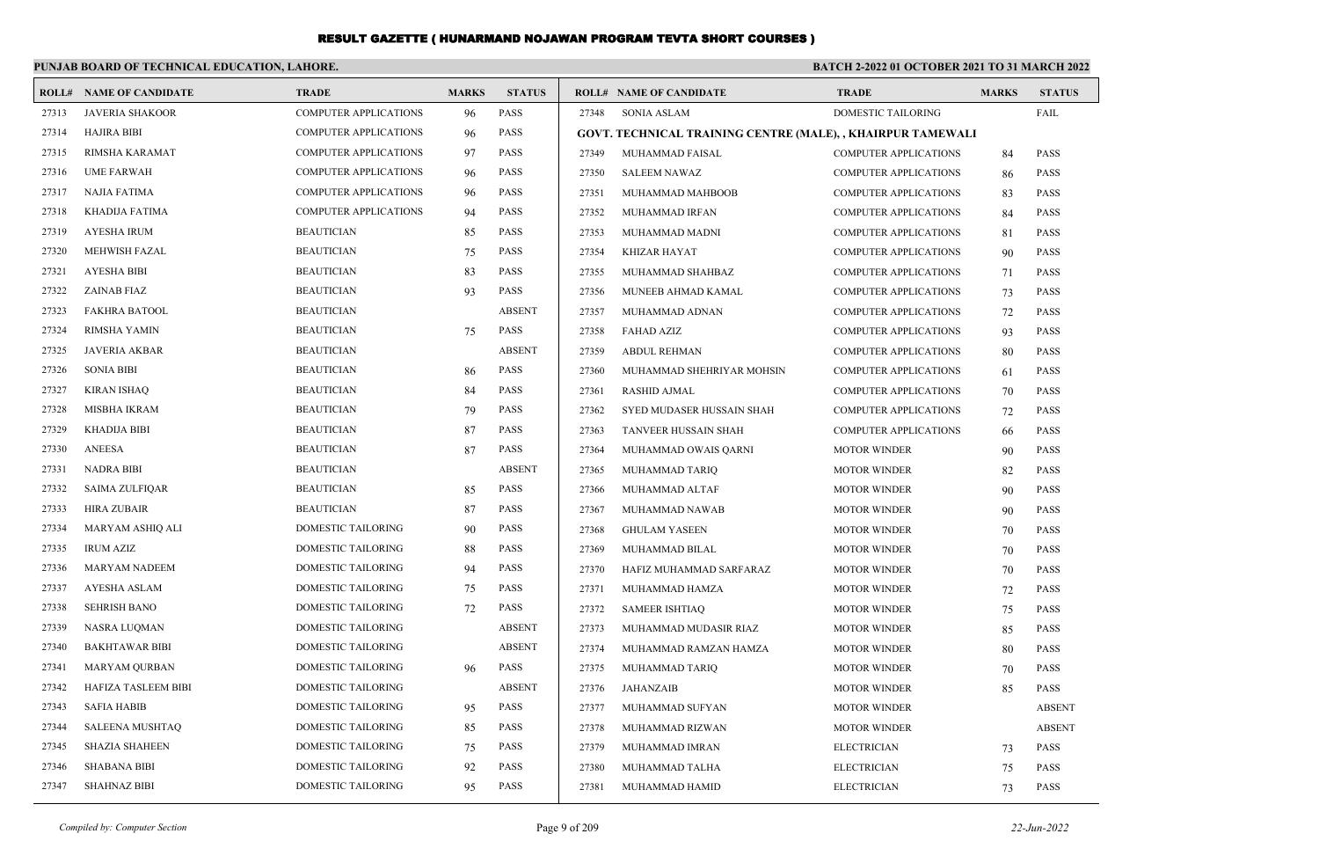#### **PUNJAB BOARD OF TECHNICAL EDUCATION, LAHORE. BATCH 2-2022 01 OCTOBER 2021 TO 31 MARCH 2022 ROLL# NAME OF CANDIDATE TRADE MARKS STATUS ROLL# NAME OF CANDIDATE TRADE MARKS STATUS** 27313 JAVERIA SHAKOOR COMPUTER APPLICATIONS 96 PASS 27314 HAJIRA BIBI COMPUTER APPLICATIONS 96 PASS 27315 RIMSHA KARAMAT COMPUTER APPLICATIONS 97 PASS 27316 UME FARWAH COMPUTER APPLICATIONS 96 PASS 27317 NAJIA FATIMA COMPUTER APPLICATIONS 96 PASS 27318 KHADIJA FATIMA COMPUTER APPLICATIONS 94 PASS 27319 AYESHA IRUM BEAUTICIAN 85 PASS 27320 MEHWISH FAZAL BEAUTICIAN BEAUTICIAN 75 PASS 27321 AYESHA BIBI BEAUTICIAN 83 PASS 27322 ZAINAB FIAZ BEAUTICIAN 93 PASS 27323 FAKHRA BATOOL BEAUTICIAN ABSENT 27324 RIMSHA YAMIN BEAUTICIAN 75 PASS 27325 JAVERIA AKBAR BEAUTICIAN ABSENT 27326 SONIA BIBI BEAUTICIAN 86 PASS 27327 KIRAN ISHAQ BEAUTICIAN 84 PASS 27328 MISBHA IKRAM BEAUTICIAN 79 PASS 27329 KHADIJA BIBI BEAUTICIAN 87 PASS 27330 ANEESA BEAUTICIAN 87 PASS 27331 NADRA BIBI BEAUTICIAN ABSENT 27332 SAIMA ZULFIQAR BEAUTICIAN 85 PASS 27333 HIRA ZUBAIR BEAUTICIAN 87 PASS 27334 MARYAM ASHIQ ALI DOMESTIC TAILORING 90 PASS 27335 IRUM AZIZ DOMESTIC TAILORING 88 PASS 27336 MARYAM NADEEM DOMESTIC TAILORING 94 PASS 27337 AYESHA ASLAM DOMESTIC TAILORING 75 PASS 27338 SEHRISH BANO DOMESTIC TAILORING 72 PASS 27339 NASRA LUQMAN DOMESTIC TAILORING ABSENT 27340 BAKHTAWAR BIBI DOMESTIC TAILORING ABSENT 27341 MARYAM QURBAN DOMESTIC TAILORING 96 PASS 27342 HAFIZA TASLEEM BIBI DOMESTIC TAILORING ABSENT 27343 SAFIA HABIB DOMESTIC TAILORING 95 PASS 27344 SALEENA MUSHTAQ DOMESTIC TAILORING 85 PASS 27345 SHAZIA SHAHEEN DOMESTIC TAILORING 75 PASS 27346 SHABANA BIBI DOMESTIC TAILORING 92 PASS 27347 SHAHNAZ BIBI DOMESTIC TAILORING 95 PASS 27348 SONIA ASLAM DOMESTIC TAILORING FAIL **GOVT. TECHNICAL TRAINING CENTRE (MALE), , KHAIRPUR TAMEWALI** 27349 MUHAMMAD FAISAL COMPUTER APPLICATIONS 84 PASS 27350 SALEEM NAWAZ COMPUTER APPLICATIONS 86 PASS 27351 MUHAMMAD MAHBOOB COMPUTER APPLICATIONS 83 PASS 27352 MUHAMMAD IRFAN COMPUTER APPLICATIONS 84 PASS 27353 MUHAMMAD MADNI COMPUTER APPLICATIONS 81 PASS 27354 KHIZAR HAYAT COMPUTER APPLICATIONS 90 PASS 27355 MUHAMMAD SHAHBAZ COMPUTER APPLICATIONS 71 PASS 27356 MUNEEB AHMAD KAMAL COMPUTER APPLICATIONS 73 PASS 27357 MUHAMMAD ADNAN COMPUTER APPLICATIONS 72 PASS 27358 FAHAD AZIZ COMPUTER APPLICATIONS 93 PASS 27359 ABDUL REHMAN COMPUTER APPLICATIONS 80 PASS 27360 MUHAMMAD SHEHRIYAR MOHSIN COMPUTER APPLICATIONS 61 PASS 27361 RASHID AJMAL COMPUTER APPLICATIONS 70 PASS 27362 SYED MUDASER HUSSAIN SHAH COMPUTER APPLICATIONS 72 PASS 27363 TANVEER HUSSAIN SHAH COMPUTER APPLICATIONS 66 PASS 27364 MUHAMMAD OWAIS QARNI MOTOR WINDER 90 PASS 27365 MUHAMMAD TARIQ MOTOR WINDER 82 PASS 27366 MUHAMMAD ALTAF MOTOR WINDER 90 PASS 27367 MUHAMMAD NAWAB MOTOR WINDER 90 PASS 27368 GHULAM YASEEN MOTOR WINDER 70 PASS 27369 MUHAMMAD BILAL MOTOR WINDER 70 PASS 27370 HAFIZ MUHAMMAD SARFARAZ MOTOR WINDER 70 PASS 27371 MUHAMMAD HAMZA MOTOR WINDER 72 PASS 27372 SAMEER ISHTIAQ MOTOR WINDER 75 PASS 27373 MUHAMMAD MUDASIR RIAZ MOTOR WINDER 85 PASS 27374 MUHAMMAD RAMZAN HAMZA MOTOR WINDER 80 PASS 27375 MUHAMMAD TARIQ MOTOR WINDER 70 PASS 27376 JAHANZAIB MOTOR WINDER 85 PASS 27377 MUHAMMAD SUFYAN MOTOR WINDER ABSENT 27378 MUHAMMAD RIZWAN MOTOR WINDER ABSENT 27379 MUHAMMAD IMRAN ELECTRICIAN 73 PASS 27380 MUHAMMAD TALHA ELECTRICIAN 75 PASS 27381 MUHAMMAD HAMID ELECTRICIAN 73 PASS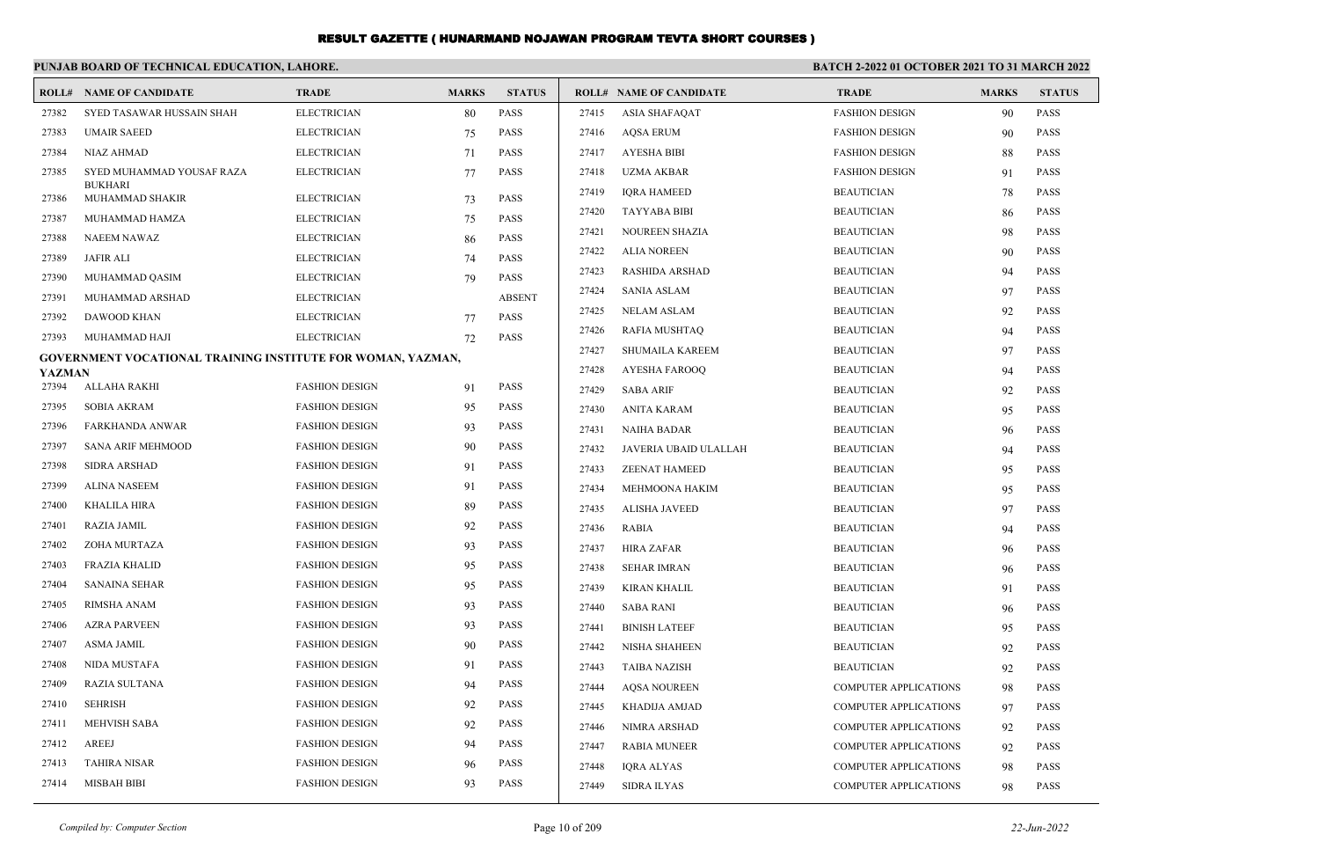|               | PUNJAB BOARD OF TECHNICAL EDUCATION, LAHORE.                |                       |              |               | <b>BATCH 2-2022 01 OCTOBER 2021 TO 31 MARCH 2022</b> |                                |                              |              |               |
|---------------|-------------------------------------------------------------|-----------------------|--------------|---------------|------------------------------------------------------|--------------------------------|------------------------------|--------------|---------------|
|               | <b>ROLL# NAME OF CANDIDATE</b>                              | <b>TRADE</b>          | <b>MARKS</b> | <b>STATUS</b> |                                                      | <b>ROLL# NAME OF CANDIDATE</b> | <b>TRADE</b>                 | <b>MARKS</b> | <b>STATUS</b> |
| 27382         | SYED TASAWAR HUSSAIN SHAH                                   | <b>ELECTRICIAN</b>    | 80           | <b>PASS</b>   | 27415                                                | <b>ASIA SHAFAQAT</b>           | <b>FASHION DESIGN</b>        | 90           | <b>PASS</b>   |
| 27383         | <b>UMAIR SAEED</b>                                          | <b>ELECTRICIAN</b>    | 75           | <b>PASS</b>   | 27416                                                | <b>AQSA ERUM</b>               | <b>FASHION DESIGN</b>        | 90           | <b>PASS</b>   |
| 27384         | NIAZ AHMAD                                                  | <b>ELECTRICIAN</b>    | 71           | <b>PASS</b>   | 27417                                                | AYESHA BIBI                    | <b>FASHION DESIGN</b>        | 88           | <b>PASS</b>   |
| 27385         | SYED MUHAMMAD YOUSAF RAZA                                   | <b>ELECTRICIAN</b>    | 77           | <b>PASS</b>   | 27418                                                | UZMA AKBAR                     | <b>FASHION DESIGN</b>        | 91           | <b>PASS</b>   |
| 27386         | <b>BUKHARI</b><br>MUHAMMAD SHAKIR                           | <b>ELECTRICIAN</b>    | 73           | <b>PASS</b>   | 27419                                                | <b>IORA HAMEED</b>             | <b>BEAUTICIAN</b>            | 78           | <b>PASS</b>   |
| 27387         | MUHAMMAD HAMZA                                              | <b>ELECTRICIAN</b>    | 75           | <b>PASS</b>   | 27420                                                | <b>TAYYABA BIBI</b>            | <b>BEAUTICIAN</b>            | 86           | <b>PASS</b>   |
| 27388         | <b>NAEEM NAWAZ</b>                                          | <b>ELECTRICIAN</b>    | 86           | <b>PASS</b>   | 27421                                                | NOUREEN SHAZIA                 | <b>BEAUTICIAN</b>            | 98           | <b>PASS</b>   |
| 27389         | <b>JAFIR ALI</b>                                            | <b>ELECTRICIAN</b>    | 74           | PASS          | 27422                                                | <b>ALIA NOREEN</b>             | <b>BEAUTICIAN</b>            | 90           | <b>PASS</b>   |
| 27390         | MUHAMMAD QASIM                                              | <b>ELECTRICIAN</b>    | 79           | <b>PASS</b>   | 27423                                                | <b>RASHIDA ARSHAD</b>          | <b>BEAUTICIAN</b>            | 94           | <b>PASS</b>   |
| 27391         | MUHAMMAD ARSHAD                                             | <b>ELECTRICIAN</b>    |              | <b>ABSENT</b> | 27424                                                | <b>SANIA ASLAM</b>             | <b>BEAUTICIAN</b>            | 97           | <b>PASS</b>   |
| 27392         | <b>DAWOOD KHAN</b>                                          | <b>ELECTRICIAN</b>    | 77           | <b>PASS</b>   | 27425                                                | <b>NELAM ASLAM</b>             | <b>BEAUTICIAN</b>            | 92           | <b>PASS</b>   |
| 27393         | MUHAMMAD HAJI                                               | <b>ELECTRICIAN</b>    | 72           | <b>PASS</b>   | 27426                                                | <b>RAFIA MUSHTAQ</b>           | <b>BEAUTICIAN</b>            | 94           | <b>PASS</b>   |
|               | GOVERNMENT VOCATIONAL TRAINING INSTITUTE FOR WOMAN, YAZMAN, |                       |              |               | 27427                                                | <b>SHUMAILA KAREEM</b>         | <b>BEAUTICIAN</b>            | 97           | <b>PASS</b>   |
| <b>YAZMAN</b> |                                                             |                       |              |               | 27428                                                | AYESHA FAROOQ                  | <b>BEAUTICIAN</b>            | 94           | <b>PASS</b>   |
| 27394         | ALLAHA RAKHI                                                | <b>FASHION DESIGN</b> | 91           | <b>PASS</b>   | 27429                                                | <b>SABA ARIF</b>               | <b>BEAUTICIAN</b>            | 92           | <b>PASS</b>   |
| 27395         | <b>SOBIA AKRAM</b>                                          | <b>FASHION DESIGN</b> | 95           | <b>PASS</b>   | 27430                                                | ANITA KARAM                    | <b>BEAUTICIAN</b>            | 95           | <b>PASS</b>   |
| 27396         | <b>FARKHANDA ANWAR</b>                                      | <b>FASHION DESIGN</b> | 93           | <b>PASS</b>   | 27431                                                | <b>NAIHA BADAR</b>             | <b>BEAUTICIAN</b>            | 96           | <b>PASS</b>   |
| 27397         | <b>SANA ARIF MEHMOOD</b>                                    | <b>FASHION DESIGN</b> | 90           | <b>PASS</b>   | 27432                                                | JAVERIA UBAID ULALLAH          | <b>BEAUTICIAN</b>            | 94           | <b>PASS</b>   |
| 27398         | <b>SIDRA ARSHAD</b>                                         | <b>FASHION DESIGN</b> | 91           | <b>PASS</b>   | 27433                                                | <b>ZEENAT HAMEED</b>           | <b>BEAUTICIAN</b>            | 95           | <b>PASS</b>   |
| 27399         | <b>ALINA NASEEM</b>                                         | <b>FASHION DESIGN</b> | 91           | <b>PASS</b>   | 27434                                                | MEHMOONA HAKIM                 | <b>BEAUTICIAN</b>            | 95           | <b>PASS</b>   |
| 27400         | <b>KHALILA HIRA</b>                                         | <b>FASHION DESIGN</b> | 89           | <b>PASS</b>   | 27435                                                | ALISHA JAVEED                  | <b>BEAUTICIAN</b>            | 97           | <b>PASS</b>   |
| 27401         | <b>RAZIA JAMIL</b>                                          | <b>FASHION DESIGN</b> | 92           | <b>PASS</b>   | 27436                                                | <b>RABIA</b>                   | <b>BEAUTICIAN</b>            | 94           | <b>PASS</b>   |
| 27402         | ZOHA MURTAZA                                                | <b>FASHION DESIGN</b> | 93           | <b>PASS</b>   | 27437                                                | <b>HIRA ZAFAR</b>              | <b>BEAUTICIAN</b>            | 96           | <b>PASS</b>   |
| 27403         | <b>FRAZIA KHALID</b>                                        | <b>FASHION DESIGN</b> | 95           | <b>PASS</b>   | 27438                                                | SEHAR IMRAN                    | <b>BEAUTICIAN</b>            | 96           | <b>PASS</b>   |
| 27404         | <b>SANAINA SEHAR</b>                                        | <b>FASHION DESIGN</b> | 95           | <b>PASS</b>   | 27439                                                | KIRAN KHALIL                   | <b>BEAUTICIAN</b>            | 91           | <b>PASS</b>   |
| 27405         | <b>RIMSHA ANAM</b>                                          | <b>FASHION DESIGN</b> | 93           | <b>PASS</b>   | 27440                                                | <b>SABA RANI</b>               | <b>BEAUTICIAN</b>            | 96           | <b>PASS</b>   |
| 27406         | <b>AZRA PARVEEN</b>                                         | <b>FASHION DESIGN</b> | 93           | <b>PASS</b>   | 27441                                                | <b>BINISH LATEEF</b>           | <b>BEAUTICIAN</b>            | 95           | <b>PASS</b>   |
| 27407         | <b>ASMA JAMIL</b>                                           | <b>FASHION DESIGN</b> | 90           | <b>PASS</b>   | 27442                                                | NISHA SHAHEEN                  | <b>BEAUTICIAN</b>            | 92           | <b>PASS</b>   |
| 27408         | <b>NIDA MUSTAFA</b>                                         | <b>FASHION DESIGN</b> | 91           | <b>PASS</b>   | 27443                                                | <b>TAIBA NAZISH</b>            | <b>BEAUTICIAN</b>            | 92           | <b>PASS</b>   |
| 27409         | <b>RAZIA SULTANA</b>                                        | <b>FASHION DESIGN</b> | 94           | <b>PASS</b>   | 27444                                                | <b>AOSA NOUREEN</b>            | <b>COMPUTER APPLICATIONS</b> | 98           | <b>PASS</b>   |
| 27410         | <b>SEHRISH</b>                                              | <b>FASHION DESIGN</b> | 92           | <b>PASS</b>   | 27445                                                | KHADIJA AMJAD                  | <b>COMPUTER APPLICATIONS</b> | 97           | <b>PASS</b>   |
| 27411         | <b>MEHVISH SABA</b>                                         | <b>FASHION DESIGN</b> | 92           | <b>PASS</b>   | 27446                                                | NIMRA ARSHAD                   | COMPUTER APPLICATIONS        | 92           | <b>PASS</b>   |
| 27412         | AREEJ                                                       | <b>FASHION DESIGN</b> | 94           | <b>PASS</b>   | 27447                                                | <b>RABIA MUNEER</b>            | COMPUTER APPLICATIONS        | 92           | <b>PASS</b>   |
| 27413         | <b>TAHIRA NISAR</b>                                         | <b>FASHION DESIGN</b> | 96           | <b>PASS</b>   | 27448                                                | <b>IQRA ALYAS</b>              | <b>COMPUTER APPLICATIONS</b> | 98           | <b>PASS</b>   |
| 27414         | <b>MISBAH BIBI</b>                                          | <b>FASHION DESIGN</b> | 93           | <b>PASS</b>   | 27449                                                | <b>SIDRA ILYAS</b>             | <b>COMPUTER APPLICATIONS</b> | 98           | <b>PASS</b>   |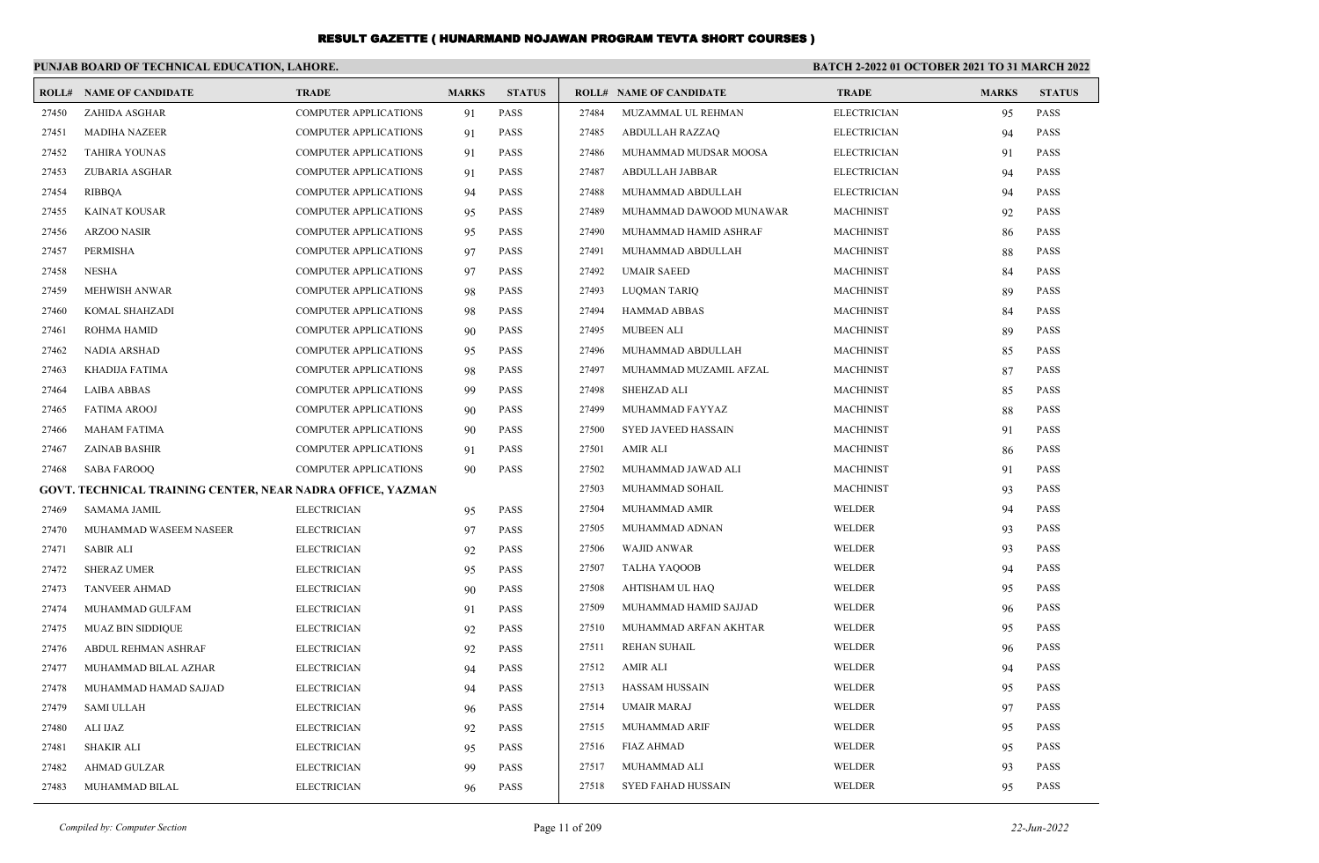|       | PUNJAB BOARD OF TECHNICAL EDUCATION, LAHORE.               |                              |              |               | <b>BATCH 2-2022 01 OCTOBER 2021 TO 31 MARCH 2022</b> |                                |                    |              |               |
|-------|------------------------------------------------------------|------------------------------|--------------|---------------|------------------------------------------------------|--------------------------------|--------------------|--------------|---------------|
|       | <b>ROLL# NAME OF CANDIDATE</b>                             | <b>TRADE</b>                 | <b>MARKS</b> | <b>STATUS</b> |                                                      | <b>ROLL# NAME OF CANDIDATE</b> | <b>TRADE</b>       | <b>MARKS</b> | <b>STATUS</b> |
| 27450 | <b>ZAHIDA ASGHAR</b>                                       | <b>COMPUTER APPLICATIONS</b> | 91           | PASS          | 27484                                                | MUZAMMAL UL REHMAN             | <b>ELECTRICIAN</b> | 95           | <b>PASS</b>   |
| 27451 | <b>MADIHA NAZEER</b>                                       | <b>COMPUTER APPLICATIONS</b> | 91           | <b>PASS</b>   | 27485                                                | <b>ABDULLAH RAZZAQ</b>         | <b>ELECTRICIAN</b> | 94           | PASS          |
| 27452 | <b>TAHIRA YOUNAS</b>                                       | <b>COMPUTER APPLICATIONS</b> | 91           | PASS          | 27486                                                | MUHAMMAD MUDSAR MOOSA          | <b>ELECTRICIAN</b> | 91           | PASS          |
| 27453 | ZUBARIA ASGHAR                                             | <b>COMPUTER APPLICATIONS</b> | 91           | PASS          | 27487                                                | ABDULLAH JABBAR                | <b>ELECTRICIAN</b> | 94           | <b>PASS</b>   |
| 27454 | RIBBQA                                                     | <b>COMPUTER APPLICATIONS</b> | 94           | PASS          | 27488                                                | MUHAMMAD ABDULLAH              | <b>ELECTRICIAN</b> | 94           | PASS          |
| 27455 | <b>KAINAT KOUSAR</b>                                       | <b>COMPUTER APPLICATIONS</b> | 95           | PASS          | 27489                                                | MUHAMMAD DAWOOD MUNAWAR        | <b>MACHINIST</b>   | 92           | PASS          |
| 27456 | <b>ARZOO NASIR</b>                                         | <b>COMPUTER APPLICATIONS</b> | 95           | <b>PASS</b>   | 27490                                                | MUHAMMAD HAMID ASHRAF          | <b>MACHINIST</b>   | 86           | <b>PASS</b>   |
| 27457 | PERMISHA                                                   | <b>COMPUTER APPLICATIONS</b> | 97           | PASS          | 27491                                                | MUHAMMAD ABDULLAH              | <b>MACHINIST</b>   | 88           | PASS          |
| 27458 | <b>NESHA</b>                                               | <b>COMPUTER APPLICATIONS</b> | 97           | PASS          | 27492                                                | <b>UMAIR SAEED</b>             | <b>MACHINIST</b>   | 84           | PASS          |
| 27459 | <b>MEHWISH ANWAR</b>                                       | <b>COMPUTER APPLICATIONS</b> | 98           | <b>PASS</b>   | 27493                                                | LUQMAN TARIQ                   | <b>MACHINIST</b>   | 89           | PASS          |
| 27460 | KOMAL SHAHZADI                                             | <b>COMPUTER APPLICATIONS</b> | 98           | PASS          | 27494                                                | HAMMAD ABBAS                   | <b>MACHINIST</b>   | 84           | PASS          |
| 27461 | ROHMA HAMID                                                | <b>COMPUTER APPLICATIONS</b> | 90           | PASS          | 27495                                                | <b>MUBEEN ALI</b>              | <b>MACHINIST</b>   | 89           | PASS          |
| 27462 | <b>NADIA ARSHAD</b>                                        | <b>COMPUTER APPLICATIONS</b> | 95           | <b>PASS</b>   | 27496                                                | MUHAMMAD ABDULLAH              | <b>MACHINIST</b>   | 85           | <b>PASS</b>   |
| 27463 | KHADIJA FATIMA                                             | <b>COMPUTER APPLICATIONS</b> | 98           | PASS          | 27497                                                | MUHAMMAD MUZAMIL AFZAL         | <b>MACHINIST</b>   | 87           | PASS          |
| 27464 | <b>LAIBA ABBAS</b>                                         | <b>COMPUTER APPLICATIONS</b> | -99          | PASS          | 27498                                                | <b>SHEHZAD ALI</b>             | <b>MACHINIST</b>   | 85           | PASS          |
| 27465 | <b>FATIMA AROOJ</b>                                        | <b>COMPUTER APPLICATIONS</b> | 90           | <b>PASS</b>   | 27499                                                | MUHAMMAD FAYYAZ                | <b>MACHINIST</b>   | 88           | PASS          |
| 27466 | <b>MAHAM FATIMA</b>                                        | <b>COMPUTER APPLICATIONS</b> | 90           | PASS          | 27500                                                | <b>SYED JAVEED HASSAIN</b>     | <b>MACHINIST</b>   | 91           | PASS          |
| 27467 | <b>ZAINAB BASHIR</b>                                       | <b>COMPUTER APPLICATIONS</b> | 91           | PASS          | 27501                                                | <b>AMIR ALI</b>                | <b>MACHINIST</b>   | 86           | PASS          |
| 27468 | <b>SABA FAROOQ</b>                                         | <b>COMPUTER APPLICATIONS</b> | 90           | <b>PASS</b>   | 27502                                                | MUHAMMAD JAWAD ALI             | <b>MACHINIST</b>   | 91           | PASS          |
|       | GOVT. TECHNICAL TRAINING CENTER, NEAR NADRA OFFICE, YAZMAN |                              |              |               | 27503                                                | MUHAMMAD SOHAIL                | <b>MACHINIST</b>   | 93           | <b>PASS</b>   |
| 27469 | SAMAMA JAMIL                                               | <b>ELECTRICIAN</b>           | 95           | PASS          | 27504                                                | <b>MUHAMMAD AMIR</b>           | WELDER             | 94           | PASS          |
| 27470 | MUHAMMAD WASEEM NASEER                                     | <b>ELECTRICIAN</b>           | 97           | PASS          | 27505                                                | MUHAMMAD ADNAN                 | WELDER             | 93           | PASS          |
| 27471 | <b>SABIR ALI</b>                                           | <b>ELECTRICIAN</b>           | 92           | <b>PASS</b>   | 27506                                                | WAJID ANWAR                    | WELDER             | 93           | PASS          |
| 27472 | <b>SHERAZ UMER</b>                                         | <b>ELECTRICIAN</b>           | 95           | PASS          | 27507                                                | TALHA YAQOOB                   | WELDER             | 94           | PASS          |
| 27473 | <b>TANVEER AHMAD</b>                                       | <b>ELECTRICIAN</b>           | 90           | PASS          | 27508                                                | AHTISHAM UL HAQ                | WELDER             | 95           | PASS          |
| 27474 | MUHAMMAD GULFAM                                            | <b>ELECTRICIAN</b>           | 91           | PASS          | 27509                                                | MUHAMMAD HAMID SAJJAD          | WELDER             | 96           | PASS          |
| 27475 | <b>MUAZ BIN SIDDIQUE</b>                                   | <b>ELECTRICIAN</b>           | 92           | <b>PASS</b>   | 27510                                                | MUHAMMAD ARFAN AKHTAR          | WELDER             | 95           | PASS          |
| 27476 | ABDUL REHMAN ASHRAF                                        | <b>ELECTRICIAN</b>           | 92           | PASS          | 27511                                                | <b>REHAN SUHAIL</b>            | WELDER             | 96           | PASS          |
| 27477 | MUHAMMAD BILAL AZHAR                                       | <b>ELECTRICIAN</b>           | 94           | PASS          | 27512                                                | <b>AMIR ALI</b>                | WELDER             | 94           | <b>PASS</b>   |
| 27478 | MUHAMMAD HAMAD SAJJAD                                      | <b>ELECTRICIAN</b>           | 94           | PASS          | 27513                                                | HASSAM HUSSAIN                 | WELDER             | 95           | <b>PASS</b>   |
| 27479 | SAMI ULLAH                                                 | <b>ELECTRICIAN</b>           | 96           | PASS          | 27514                                                | UMAIR MARAJ                    | WELDER             | 97           | <b>PASS</b>   |
| 27480 | ALI IJAZ                                                   | <b>ELECTRICIAN</b>           | 92           | PASS          | 27515                                                | <b>MUHAMMAD ARIF</b>           | WELDER             | 95           | <b>PASS</b>   |
| 27481 | <b>SHAKIR ALI</b>                                          | <b>ELECTRICIAN</b>           | 95           | PASS          | 27516                                                | FIAZ AHMAD                     | WELDER             | 95           | PASS          |
| 27482 | AHMAD GULZAR                                               | <b>ELECTRICIAN</b>           | 99           | PASS          | 27517                                                | MUHAMMAD ALI                   | <b>WELDER</b>      | 93           | PASS          |
| 27483 | MUHAMMAD BILAL                                             | <b>ELECTRICIAN</b>           | 96           | PASS          | 27518                                                | SYED FAHAD HUSSAIN             | WELDER             | 95           | PASS          |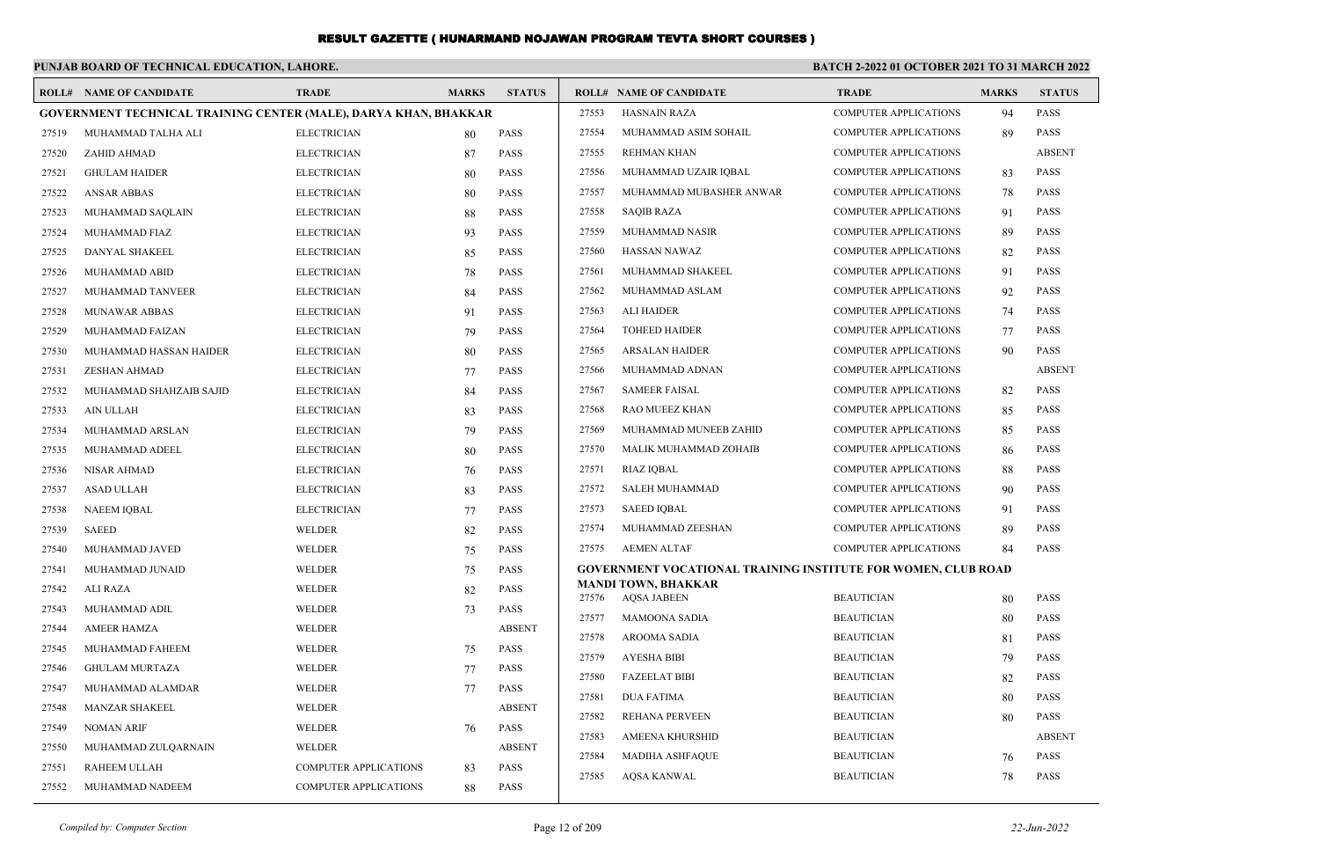|       | PUNJAB BOARD OF TECHNICAL EDUCATION, LAHORE.                     |                              |              |               | BATCH 2-2022 01 OCTOBER 2021 TO 31 MARCH 2022 |                                                                      |                              |              |               |  |  |
|-------|------------------------------------------------------------------|------------------------------|--------------|---------------|-----------------------------------------------|----------------------------------------------------------------------|------------------------------|--------------|---------------|--|--|
|       | <b>ROLL# NAME OF CANDIDATE</b>                                   | <b>TRADE</b>                 | <b>MARKS</b> | <b>STATUS</b> |                                               | <b>ROLL# NAME OF CANDIDATE</b>                                       | <b>TRADE</b>                 | <b>MARKS</b> | <b>STATUS</b> |  |  |
|       | GOVERNMENT TECHNICAL TRAINING CENTER (MALE), DARYA KHAN, BHAKKAR |                              |              |               | 27553                                         | <b>HASNAIN RAZA</b>                                                  | <b>COMPUTER APPLICATIONS</b> | 94           | <b>PASS</b>   |  |  |
| 27519 | MUHAMMAD TALHA ALI                                               | <b>ELECTRICIAN</b>           | 80           | PASS          | 27554                                         | MUHAMMAD ASIM SOHAIL                                                 | <b>COMPUTER APPLICATIONS</b> | 89           | <b>PASS</b>   |  |  |
| 27520 | ZAHID AHMAD                                                      | <b>ELECTRICIAN</b>           | 87           | <b>PASS</b>   | 27555                                         | <b>REHMAN KHAN</b>                                                   | COMPUTER APPLICATIONS        |              | <b>ABSENT</b> |  |  |
| 27521 | <b>GHULAM HAIDER</b>                                             | <b>ELECTRICIAN</b>           | 80           | <b>PASS</b>   | 27556                                         | MUHAMMAD UZAIR IQBAL                                                 | <b>COMPUTER APPLICATIONS</b> | 83           | <b>PASS</b>   |  |  |
| 27522 | <b>ANSAR ABBAS</b>                                               | <b>ELECTRICIAN</b>           | 80           | <b>PASS</b>   | 27557                                         | MUHAMMAD MUBASHER ANWAR                                              | <b>COMPUTER APPLICATIONS</b> | 78           | <b>PASS</b>   |  |  |
| 27523 | MUHAMMAD SAQLAIN                                                 | <b>ELECTRICIAN</b>           | 88           | <b>PASS</b>   | 27558                                         | <b>SAQIB RAZA</b>                                                    | COMPUTER APPLICATIONS        | 91           | <b>PASS</b>   |  |  |
| 27524 | MUHAMMAD FIAZ                                                    | <b>ELECTRICIAN</b>           | 93           | <b>PASS</b>   | 27559                                         | MUHAMMAD NASIR                                                       | <b>COMPUTER APPLICATIONS</b> | 89           | <b>PASS</b>   |  |  |
| 27525 | DANYAL SHAKEEL                                                   | <b>ELECTRICIAN</b>           | 85           | <b>PASS</b>   | 27560                                         | <b>HASSAN NAWAZ</b>                                                  | COMPUTER APPLICATIONS        | 82           | <b>PASS</b>   |  |  |
| 27526 | MUHAMMAD ABID                                                    | <b>ELECTRICIAN</b>           | 78           | <b>PASS</b>   | 27561                                         | MUHAMMAD SHAKEEL                                                     | COMPUTER APPLICATIONS        | 91           | <b>PASS</b>   |  |  |
| 27527 | MUHAMMAD TANVEER                                                 | <b>ELECTRICIAN</b>           | 84           | <b>PASS</b>   | 27562                                         | MUHAMMAD ASLAM                                                       | <b>COMPUTER APPLICATIONS</b> | 92           | <b>PASS</b>   |  |  |
| 27528 | MUNAWAR ABBAS                                                    | <b>ELECTRICIAN</b>           | 91           | <b>PASS</b>   | 27563                                         | <b>ALI HAIDER</b>                                                    | COMPUTER APPLICATIONS        | 74           | <b>PASS</b>   |  |  |
| 27529 | MUHAMMAD FAIZAN                                                  | <b>ELECTRICIAN</b>           | 79           | <b>PASS</b>   | 27564                                         | <b>TOHEED HAIDER</b>                                                 | <b>COMPUTER APPLICATIONS</b> | 77           | <b>PASS</b>   |  |  |
| 27530 | MUHAMMAD HASSAN HAIDER                                           | <b>ELECTRICIAN</b>           | 80           | <b>PASS</b>   | 27565                                         | <b>ARSALAN HAIDER</b>                                                | <b>COMPUTER APPLICATIONS</b> | 90           | <b>PASS</b>   |  |  |
| 27531 | <b>ZESHAN AHMAD</b>                                              | <b>ELECTRICIAN</b>           | 77           | <b>PASS</b>   | 27566                                         | MUHAMMAD ADNAN                                                       | <b>COMPUTER APPLICATIONS</b> |              | <b>ABSENT</b> |  |  |
| 27532 | MUHAMMAD SHAHZAIB SAJID                                          | <b>ELECTRICIAN</b>           | 84           | <b>PASS</b>   | 27567                                         | <b>SAMEER FAISAL</b>                                                 | <b>COMPUTER APPLICATIONS</b> | 82           | <b>PASS</b>   |  |  |
| 27533 | AIN ULLAH                                                        | <b>ELECTRICIAN</b>           | 83           | <b>PASS</b>   | 27568                                         | RAO MUEEZ KHAN                                                       | <b>COMPUTER APPLICATIONS</b> | 85           | <b>PASS</b>   |  |  |
| 27534 | MUHAMMAD ARSLAN                                                  | <b>ELECTRICIAN</b>           | 79           | <b>PASS</b>   | 27569                                         | MUHAMMAD MUNEEB ZAHID                                                | <b>COMPUTER APPLICATIONS</b> | 85           | <b>PASS</b>   |  |  |
| 27535 | MUHAMMAD ADEEL                                                   | <b>ELECTRICIAN</b>           | 80           | <b>PASS</b>   | 27570                                         | MALIK MUHAMMAD ZOHAIB                                                | COMPUTER APPLICATIONS        | 86           | <b>PASS</b>   |  |  |
| 27536 | <b>NISAR AHMAD</b>                                               | <b>ELECTRICIAN</b>           | 76           | <b>PASS</b>   | 27571                                         | <b>RIAZ IQBAL</b>                                                    | COMPUTER APPLICATIONS        | 88           | <b>PASS</b>   |  |  |
| 27537 | <b>ASAD ULLAH</b>                                                | <b>ELECTRICIAN</b>           | 83           | <b>PASS</b>   | 27572                                         | <b>SALEH MUHAMMAD</b>                                                | <b>COMPUTER APPLICATIONS</b> | 90           | <b>PASS</b>   |  |  |
| 27538 | <b>NAEEM IQBAL</b>                                               | <b>ELECTRICIAN</b>           | 77           | <b>PASS</b>   | 27573                                         | <b>SAEED IOBAL</b>                                                   | <b>COMPUTER APPLICATIONS</b> | 91           | <b>PASS</b>   |  |  |
| 27539 | <b>SAEED</b>                                                     | WELDER                       | 82           | <b>PASS</b>   | 27574                                         | MUHAMMAD ZEESHAN                                                     | <b>COMPUTER APPLICATIONS</b> | 89           | <b>PASS</b>   |  |  |
| 27540 | MUHAMMAD JAVED                                                   | WELDER                       | 75           | <b>PASS</b>   | 27575                                         | <b>AEMEN ALTAF</b>                                                   | <b>COMPUTER APPLICATIONS</b> | 84           | <b>PASS</b>   |  |  |
| 27541 | MUHAMMAD JUNAID                                                  | WELDER                       | 75           | <b>PASS</b>   |                                               | <b>GOVERNMENT VOCATIONAL TRAINING INSTITUTE FOR WOMEN, CLUB ROAD</b> |                              |              |               |  |  |
| 27542 | <b>ALI RAZA</b>                                                  | <b>WELDER</b>                | 82           | <b>PASS</b>   | 27576                                         | <b>MANDI TOWN, BHAKKAR</b><br><b>AQSA JABEEN</b>                     | <b>BEAUTICIAN</b>            | 80           | <b>PASS</b>   |  |  |
| 27543 | MUHAMMAD ADIL                                                    | WELDER                       | 73           | <b>PASS</b>   | 27577                                         | <b>MAMOONA SADIA</b>                                                 | <b>BEAUTICIAN</b>            | 80           | <b>PASS</b>   |  |  |
| 27544 | <b>AMEER HAMZA</b>                                               | WELDER                       |              | <b>ABSENT</b> | 27578                                         | AROOMA SADIA                                                         | <b>BEAUTICIAN</b>            | 81           | <b>PASS</b>   |  |  |
| 27545 | MUHAMMAD FAHEEM                                                  | WELDER                       | 75           | <b>PASS</b>   | 27579                                         | <b>AYESHA BIBI</b>                                                   | <b>BEAUTICIAN</b>            | 79           | <b>PASS</b>   |  |  |
| 27546 | <b>GHULAM MURTAZA</b>                                            | <b>WELDER</b>                | 77           | <b>PASS</b>   | 27580                                         | <b>FAZEELAT BIBI</b>                                                 | <b>BEAUTICIAN</b>            | 82           | <b>PASS</b>   |  |  |
| 27547 | MUHAMMAD ALAMDAR                                                 | <b>WELDER</b>                | 77           | <b>PASS</b>   | 27581                                         | <b>DUA FATIMA</b>                                                    | <b>BEAUTICIAN</b>            | 80           | <b>PASS</b>   |  |  |
| 27548 | MANZAR SHAKEEL                                                   | WELDER                       |              | <b>ABSENT</b> | 27582                                         | <b>REHANA PERVEEN</b>                                                | <b>BEAUTICIAN</b>            | 80           | <b>PASS</b>   |  |  |
| 27549 | <b>NOMAN ARIF</b>                                                | WELDER                       | 76           | <b>PASS</b>   | 27583                                         | <b>AMEENA KHURSHID</b>                                               | <b>BEAUTICIAN</b>            |              | <b>ABSENT</b> |  |  |
| 27550 | MUHAMMAD ZULQARNAIN                                              | <b>WELDER</b>                |              | <b>ABSENT</b> | 27584                                         | MADIHA ASHFAQUE                                                      | <b>BEAUTICIAN</b>            | 76           | <b>PASS</b>   |  |  |
| 27551 | RAHEEM ULLAH                                                     | <b>COMPUTER APPLICATIONS</b> | 83           | <b>PASS</b>   | 27585                                         | <b>AOSA KANWAL</b>                                                   | <b>BEAUTICIAN</b>            | 78           | <b>PASS</b>   |  |  |
| 27552 | MUHAMMAD NADEEM                                                  | <b>COMPUTER APPLICATIONS</b> | 88           | <b>PASS</b>   |                                               |                                                                      |                              |              |               |  |  |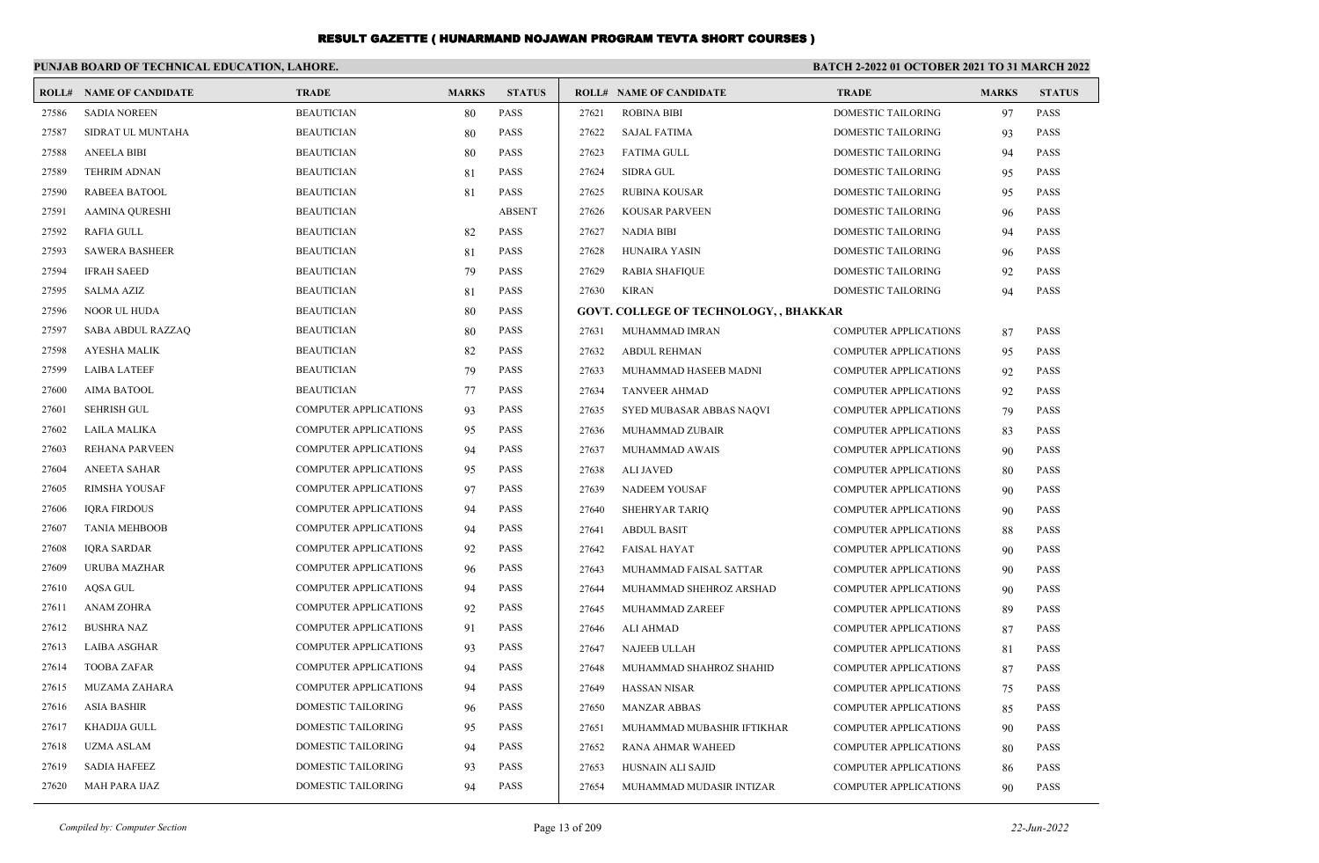|       | PUNJAB BOARD OF TECHNICAL EDUCATION, LAHORE. |                              |              |               | <b>BATCH 2-2022 01 OCTOBER 2021 TO 31 MARCH 2022</b> |                                               |                              |              |               |
|-------|----------------------------------------------|------------------------------|--------------|---------------|------------------------------------------------------|-----------------------------------------------|------------------------------|--------------|---------------|
|       | <b>ROLL# NAME OF CANDIDATE</b>               | <b>TRADE</b>                 | <b>MARKS</b> | <b>STATUS</b> |                                                      | <b>ROLL# NAME OF CANDIDATE</b>                | <b>TRADE</b>                 | <b>MARKS</b> | <b>STATUS</b> |
| 27586 | <b>SADIA NOREEN</b>                          | <b>BEAUTICIAN</b>            | 80           | <b>PASS</b>   | 27621                                                | <b>ROBINA BIBI</b>                            | DOMESTIC TAILORING           | 97           | PASS          |
| 27587 | SIDRAT UL MUNTAHA                            | <b>BEAUTICIAN</b>            | 80           | <b>PASS</b>   | 27622                                                | SAJAL FATIMA                                  | DOMESTIC TAILORING           | 93           | <b>PASS</b>   |
| 27588 | <b>ANEELA BIBI</b>                           | <b>BEAUTICIAN</b>            | 80           | <b>PASS</b>   | 27623                                                | <b>FATIMA GULL</b>                            | DOMESTIC TAILORING           | 94           | <b>PASS</b>   |
| 27589 | <b>TEHRIM ADNAN</b>                          | <b>BEAUTICIAN</b>            | 81           | <b>PASS</b>   | 27624                                                | SIDRA GUL                                     | DOMESTIC TAILORING           | 95           | PASS          |
| 27590 | <b>RABEEA BATOOL</b>                         | <b>BEAUTICIAN</b>            | 81           | <b>PASS</b>   | 27625                                                | RUBINA KOUSAR                                 | DOMESTIC TAILORING           | 95           | <b>PASS</b>   |
| 27591 | AAMINA QURESHI                               | <b>BEAUTICIAN</b>            |              | <b>ABSENT</b> | 27626                                                | <b>KOUSAR PARVEEN</b>                         | DOMESTIC TAILORING           | 96           | <b>PASS</b>   |
| 27592 | <b>RAFIA GULL</b>                            | <b>BEAUTICIAN</b>            | 82           | <b>PASS</b>   | 27627                                                | <b>NADIA BIBI</b>                             | DOMESTIC TAILORING           | 94           | PASS          |
| 27593 | <b>SAWERA BASHEER</b>                        | <b>BEAUTICIAN</b>            | 81           | <b>PASS</b>   | 27628                                                | HUNAIRA YASIN                                 | DOMESTIC TAILORING           | 96           | PASS          |
| 27594 | <b>IFRAH SAEED</b>                           | <b>BEAUTICIAN</b>            | 79           | <b>PASS</b>   | 27629                                                | <b>RABIA SHAFIQUE</b>                         | DOMESTIC TAILORING           | 92           | PASS          |
| 27595 | <b>SALMA AZIZ</b>                            | <b>BEAUTICIAN</b>            | 81           | <b>PASS</b>   | 27630                                                | KIRAN                                         | DOMESTIC TAILORING           | 94           | <b>PASS</b>   |
| 27596 | <b>NOOR UL HUDA</b>                          | <b>BEAUTICIAN</b>            | 80           | <b>PASS</b>   |                                                      | <b>GOVT. COLLEGE OF TECHNOLOGY, , BHAKKAR</b> |                              |              |               |
| 27597 | SABA ABDUL RAZZAQ                            | <b>BEAUTICIAN</b>            | 80           | <b>PASS</b>   | 27631                                                | MUHAMMAD IMRAN                                | <b>COMPUTER APPLICATIONS</b> | 87           | <b>PASS</b>   |
| 27598 | <b>AYESHA MALIK</b>                          | <b>BEAUTICIAN</b>            | 82           | <b>PASS</b>   | 27632                                                | <b>ABDUL REHMAN</b>                           | <b>COMPUTER APPLICATIONS</b> | 95           | <b>PASS</b>   |
| 27599 | <b>LAIBA LATEEF</b>                          | <b>BEAUTICIAN</b>            | 79           | <b>PASS</b>   | 27633                                                | MUHAMMAD HASEEB MADNI                         | COMPUTER APPLICATIONS        | 92           | PASS          |
| 27600 | <b>AIMA BATOOL</b>                           | <b>BEAUTICIAN</b>            | 77           | <b>PASS</b>   | 27634                                                | <b>TANVEER AHMAD</b>                          | <b>COMPUTER APPLICATIONS</b> | 92           | <b>PASS</b>   |
| 27601 | <b>SEHRISH GUL</b>                           | <b>COMPUTER APPLICATIONS</b> | 93           | <b>PASS</b>   | 27635                                                | SYED MUBASAR ABBAS NAQVI                      | <b>COMPUTER APPLICATIONS</b> | 79           | <b>PASS</b>   |
| 27602 | LAILA MALIKA                                 | <b>COMPUTER APPLICATIONS</b> | 95           | <b>PASS</b>   | 27636                                                | MUHAMMAD ZUBAIR                               | <b>COMPUTER APPLICATIONS</b> | 83           | <b>PASS</b>   |
| 27603 | REHANA PARVEEN                               | <b>COMPUTER APPLICATIONS</b> | 94           | <b>PASS</b>   | 27637                                                | MUHAMMAD AWAIS                                | <b>COMPUTER APPLICATIONS</b> | 90           | <b>PASS</b>   |
| 27604 | <b>ANEETA SAHAR</b>                          | <b>COMPUTER APPLICATIONS</b> | 95           | <b>PASS</b>   | 27638                                                | ALI JAVED                                     | <b>COMPUTER APPLICATIONS</b> | 80           | <b>PASS</b>   |
| 27605 | RIMSHA YOUSAF                                | <b>COMPUTER APPLICATIONS</b> | 97           | <b>PASS</b>   | 27639                                                | NADEEM YOUSAF                                 | <b>COMPUTER APPLICATIONS</b> | 90           | PASS          |
| 27606 | <b>IQRA FIRDOUS</b>                          | <b>COMPUTER APPLICATIONS</b> | 94           | <b>PASS</b>   | 27640                                                | SHEHRYAR TARIQ                                | <b>COMPUTER APPLICATIONS</b> | 90           | <b>PASS</b>   |
| 27607 | <b>TANIA MEHBOOB</b>                         | <b>COMPUTER APPLICATIONS</b> | 94           | <b>PASS</b>   | 27641                                                | <b>ABDUL BASIT</b>                            | <b>COMPUTER APPLICATIONS</b> | 88           | <b>PASS</b>   |
| 27608 | <b>IQRA SARDAR</b>                           | <b>COMPUTER APPLICATIONS</b> | 92           | <b>PASS</b>   | 27642                                                | FAISAL HAYAT                                  | <b>COMPUTER APPLICATIONS</b> | 90           | <b>PASS</b>   |
| 27609 | URUBA MAZHAR                                 | <b>COMPUTER APPLICATIONS</b> | 96           | <b>PASS</b>   | 27643                                                | MUHAMMAD FAISAL SATTAR                        | <b>COMPUTER APPLICATIONS</b> | 90           | <b>PASS</b>   |
| 27610 | AQSA GUL                                     | <b>COMPUTER APPLICATIONS</b> | 94           | <b>PASS</b>   | 27644                                                | MUHAMMAD SHEHROZ ARSHAD                       | <b>COMPUTER APPLICATIONS</b> | 90           | PASS          |
| 27611 | <b>ANAM ZOHRA</b>                            | <b>COMPUTER APPLICATIONS</b> | 92           | <b>PASS</b>   | 27645                                                | MUHAMMAD ZAREEF                               | <b>COMPUTER APPLICATIONS</b> | 89           | <b>PASS</b>   |
| 27612 | <b>BUSHRA NAZ</b>                            | <b>COMPUTER APPLICATIONS</b> | 91           | <b>PASS</b>   | 27646                                                | ALI AHMAD                                     | <b>COMPUTER APPLICATIONS</b> | 87           | PASS          |
| 27613 | <b>LAIBA ASGHAR</b>                          | <b>COMPUTER APPLICATIONS</b> | 93           | <b>PASS</b>   | 27647                                                | NAJEEB ULLAH                                  | <b>COMPUTER APPLICATIONS</b> | 81           | <b>PASS</b>   |
| 27614 | <b>TOOBA ZAFAR</b>                           | <b>COMPUTER APPLICATIONS</b> | 94           | <b>PASS</b>   | 27648                                                | MUHAMMAD SHAHROZ SHAHID                       | COMPUTER APPLICATIONS        | 87           | <b>PASS</b>   |
| 27615 | MUZAMA ZAHARA                                | COMPUTER APPLICATIONS        | 94           | <b>PASS</b>   |                                                      | 27649 HASSAN NISAR                            | <b>COMPUTER APPLICATIONS</b> | 75           | PASS          |
| 27616 | <b>ASIA BASHIR</b>                           | DOMESTIC TAILORING           | 96           | PASS          | 27650                                                | MANZAR ABBAS                                  | <b>COMPUTER APPLICATIONS</b> | 85           | PASS          |
| 27617 | KHADIJA GULL                                 | DOMESTIC TAILORING           | 95           | PASS          | 27651                                                | MUHAMMAD MUBASHIR IFTIKHAR                    | <b>COMPUTER APPLICATIONS</b> | 90           | PASS          |
| 27618 | <b>UZMA ASLAM</b>                            | DOMESTIC TAILORING           | 94           | <b>PASS</b>   | 27652                                                | <b>RANA AHMAR WAHEED</b>                      | <b>COMPUTER APPLICATIONS</b> | 80           | <b>PASS</b>   |
| 27619 | <b>SADIA HAFEEZ</b>                          | DOMESTIC TAILORING           | 93           | PASS          | 27653                                                | HUSNAIN ALI SAJID                             | <b>COMPUTER APPLICATIONS</b> | 86           | <b>PASS</b>   |
| 27620 | MAH PARA IJAZ                                | DOMESTIC TAILORING           | 94           | <b>PASS</b>   | 27654                                                | MUHAMMAD MUDASIR INTIZAR                      | <b>COMPUTER APPLICATIONS</b> | 90           | <b>PASS</b>   |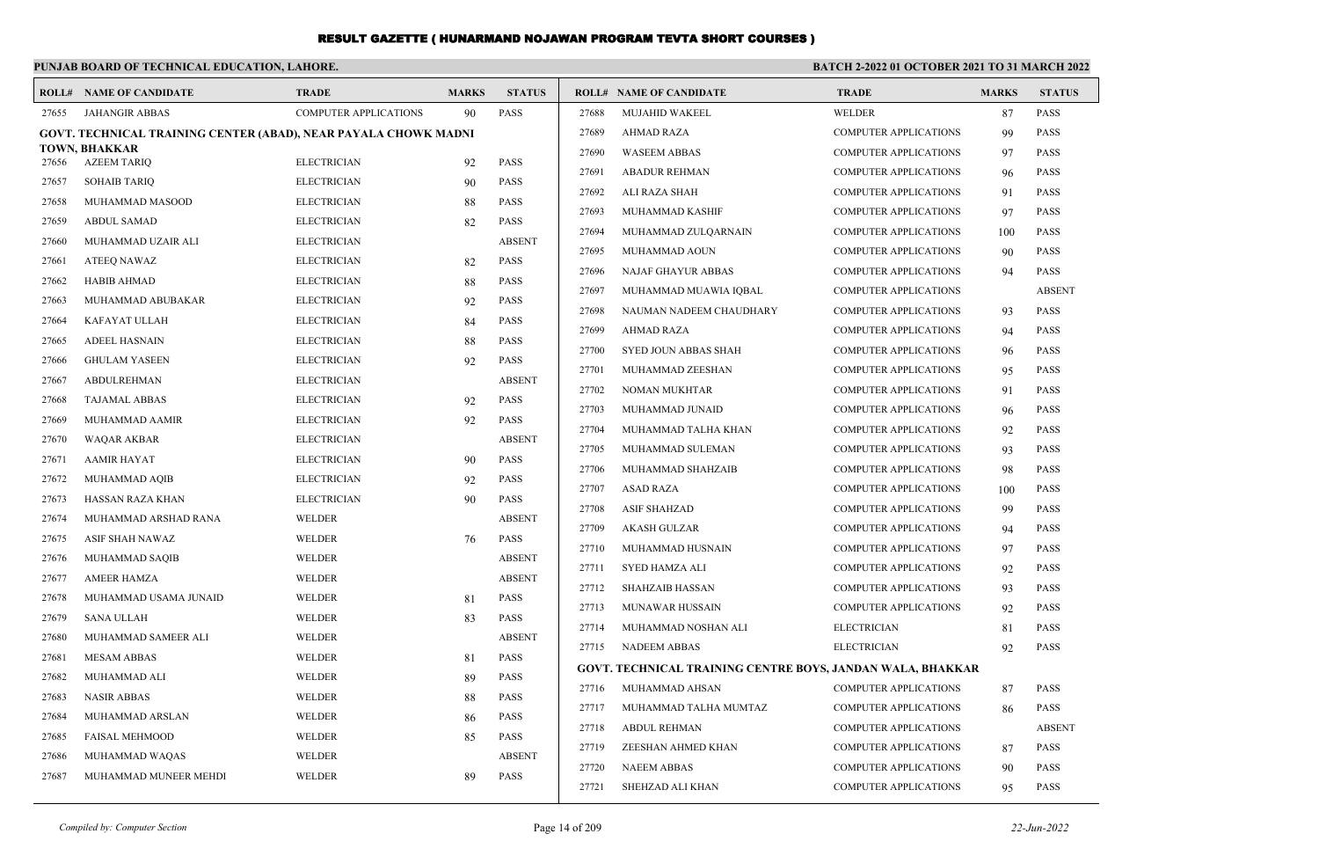#### **PUNJAB BOARD OF TECHNICAL EDUCATION, LAHORE. BATCH 2-2022 01 OCTOBER 2021 TO 31 MARCH 2022 ROLL# NAME OF CANDIDATE TRADE MARKS STATUS ROLL# NAME OF CANDIDATE TRADE MARKS STATUS** 27655 JAHANGIR ABBAS COMPUTER APPLICATIONS 90 PASS **GOVT. TECHNICAL TRAINING CENTER (ABAD), NEAR PAYALA CHOWK MADNI TOWN, BHAKKAR** 27656 AZEEM TARIQ ELECTRICIAN 92 PASS 27657 SOHAIB TARIQ ELECTRICIAN 90 PASS 27658 MUHAMMAD MASOOD ELECTRICIAN 88 PASS 27659 ABDUL SAMAD ELECTRICIAN 82 PASS 27660 MUHAMMAD UZAIR ALI ELECTRICIAN ABSENT 27661 ATEEQ NAWAZ ELECTRICIAN 82 PASS 27662 HABIB AHMAD ELECTRICIAN 88 PASS 27663 MUHAMMAD ABUBAKAR ELECTRICIAN 92 PASS 27664 KAFAYAT ULLAH ELECTRICIAN 84 PASS 27665 ADEEL HASNAIN ELECTRICIAN 88 PASS 27666 GHULAM YASEEN ELECTRICIAN 92 PASS 27667 ABDULREHMAN ELECTRICIAN ABSENT 27668 TAJAMAL ABBAS ELECTRICIAN 92 PASS 27669 MUHAMMAD AAMIR ELECTRICIAN 92 PASS 27670 WAQAR AKBAR ELECTRICIAN ABSENT 27671 AAMIR HAYAT ELECTRICIAN 90 PASS 27672 MUHAMMAD AQIB ELECTRICIAN 92 PASS 27673 HASSAN RAZA KHAN ELECTRICIAN 90 PASS 27674 MUHAMMAD ARSHAD RANA WELDER WELDER ABSENT 27675 ASIF SHAH NAWAZ WELDER 76 PASS 27676 MUHAMMAD SAQIB WELDER ABSENT 27677 AMEER HAMZA WELDER ABSENT 27678 MUHAMMAD USAMA JUNAID WELDER 81 PASS 27679 SANA ULLAH WELDER 83 PASS 27680 MUHAMMAD SAMEER ALI WELDER ABSENT 27681 MESAM ABBAS WELDER 81 PASS 27682 MUHAMMAD ALI WELDER 89 PASS 27683 NASIR ABBAS WELDER 88 PASS 27684 MUHAMMAD ARSLAN WELDER 86 PASS 27685 FAISAL MEHMOOD WELDER 85 PASS 27686 MUHAMMAD WAQAS WELDER ABSENT 27687 MUHAMMAD MUNEER MEHDI WELDER 89 PASS 27688 MUJAHID WAKEEL WELDER WELDER 87 PASS 27689 AHMAD RAZA COMPUTER APPLICATIONS 99 PASS 27690 WASEEM ABBAS COMPUTER APPLICATIONS 97 PASS 27691 ABADUR REHMAN COMPUTER APPLICATIONS 96 PASS 27692 ALI RAZA SHAH COMPUTER APPLICATIONS 91 PASS 27693 MUHAMMAD KASHIF COMPUTER APPLICATIONS 97 PASS 27694 MUHAMMAD ZULQARNAIN COMPUTER APPLICATIONS 100 PASS 27695 MUHAMMAD AOUN COMPUTER APPLICATIONS 90 PASS 27696 NAJAF GHAYUR ABBAS COMPUTER APPLICATIONS 94 PASS 27697 MUHAMMAD MUAWIA IQBAL COMPUTER APPLICATIONS ABSENT 27698 NAUMAN NADEEM CHAUDHARY COMPUTER APPLICATIONS 93 PASS 27699 AHMAD RAZA COMPUTER APPLICATIONS 94 PASS 27700 SYED JOUN ABBAS SHAH COMPUTER APPLICATIONS 96 PASS 27701 MUHAMMAD ZEESHAN COMPUTER APPLICATIONS 95 PASS 27702 NOMAN MUKHTAR COMPUTER APPLICATIONS 91 PASS 27703 MUHAMMAD JUNAID COMPUTER APPLICATIONS 96 PASS 27704 MUHAMMAD TALHA KHAN COMPUTER APPLICATIONS 92 PASS 27705 MUHAMMAD SULEMAN COMPUTER APPLICATIONS 93 PASS 27706 MUHAMMAD SHAHZAIB COMPUTER APPLICATIONS 98 PASS 27707 ASAD RAZA COMPUTER APPLICATIONS 100 PASS 27708 ASIF SHAHZAD COMPUTER APPLICATIONS 99 PASS 27709 AKASH GULZAR COMPUTER APPLICATIONS 94 PASS 27710 MUHAMMAD HUSNAIN COMPUTER APPLICATIONS 97 PASS 27711 SYED HAMZA ALI COMPUTER APPLICATIONS 92 PASS 27712 SHAHZAIB HASSAN COMPUTER APPLICATIONS 93 PASS 27713 MUNAWAR HUSSAIN COMPUTER APPLICATIONS 92 PASS 27714 MUHAMMAD NOSHAN ALI ELECTRICIAN 81 PASS 27715 NADEEM ABBAS ELECTRICIAN 92 PASS **GOVT. TECHNICAL TRAINING CENTRE BOYS, JANDAN WALA, BHAKKAR** 27716 MUHAMMAD AHSAN COMPUTER APPLICATIONS 87 PASS 27717 MUHAMMAD TALHA MUMTAZ COMPUTER APPLICATIONS 86 PASS 27718 ABDUL REHMAN COMPUTER APPLICATIONS ABSENT 27719 ZEESHAN AHMED KHAN COMPUTER APPLICATIONS 87 PASS 27720 NAEEM ABBAS COMPUTER APPLICATIONS 90 PASS 27721 SHEHZAD ALI KHAN COMPUTER APPLICATIONS 95 PASS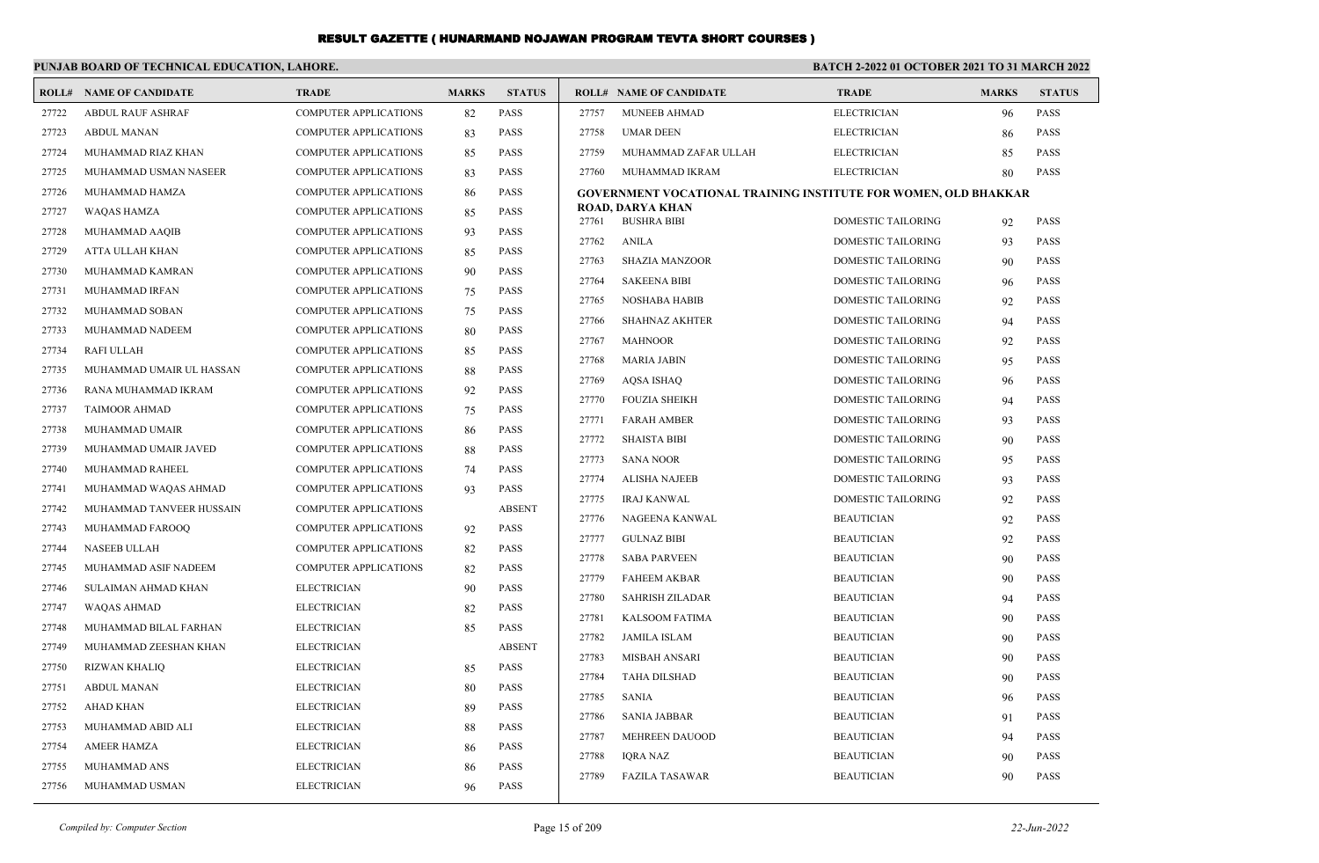#### **PUNJAB BOARD OF TECHNICAL EDUCATION, LAHORE. BATCH 2-2022 01 OCTOBER 2021 TO 31 MARCH 2022 ROLL# NAME OF CANDIDATE TRADE MARKS STATUS ROLL# NAME OF CANDIDATE TRADE MARKS STATUS** 27722 ABDUL RAUF ASHRAF COMPUTER APPLICATIONS 82 PASS 27723 ABDUL MANAN COMPUTER APPLICATIONS 83 PASS 27724 MUHAMMAD RIAZ KHAN COMPUTER APPLICATIONS 85 PASS 27725 MUHAMMAD USMAN NASEER COMPUTER APPLICATIONS 83 PASS 27726 MUHAMMAD HAMZA COMPUTER APPLICATIONS 86 PASS 27727 WAQAS HAMZA COMPUTER APPLICATIONS 85 PASS 27728 MUHAMMAD AAQIB COMPUTER APPLICATIONS 93 PASS 27729 ATTA ULLAH KHAN COMPUTER APPLICATIONS 85 PASS 27730 MUHAMMAD KAMRAN COMPUTER APPLICATIONS 90 PASS 27731 MUHAMMAD IRFAN COMPUTER APPLICATIONS 75 PASS 27732 MUHAMMAD SOBAN COMPUTER APPLICATIONS 75 PASS 27733 MUHAMMAD NADEEM COMPUTER APPLICATIONS 80 PASS 27734 RAFI ULLAH COMPUTER APPLICATIONS 85 PASS 27735 MUHAMMAD UMAIR UL HASSAN COMPUTER APPLICATIONS 88 PASS 27736 RANA MUHAMMAD IKRAM COMPUTER APPLICATIONS 92 PASS 27737 TAIMOOR AHMAD COMPUTER APPLICATIONS 75 PASS 27738 MUHAMMAD UMAIR COMPUTER APPLICATIONS 86 PASS 27739 MUHAMMAD UMAIR JAVED COMPUTER APPLICATIONS 88 PASS 27757 MUNEEB AHMAD ELECTRICIAN 96 PASS 27758 UMAR DEEN ELECTRICIAN 86 PASS 27759 MUHAMMAD ZAFAR ULLAH ELECTRICIAN 85 PASS 27760 MUHAMMAD IKRAM ELECTRICIAN 80 PASS **GOVERNMENT VOCATIONAL TRAINING INSTITUTE FOR WOMEN, OLD BHAKKAR ROAD, DARYA KHAN** 27761 BUSHRA BIBI DOMESTIC TAILORING 92 PASS 27762 ANILA DOMESTIC TAILORING 93 PASS 27763 SHAZIA MANZOOR DOMESTIC TAILORING 90 PASS 27764 SAKEENA BIBI DOMESTIC TAILORING 96 PASS 27765 NOSHABA HABIB DOMESTIC TAILORING 92 PASS 27766 SHAHNAZ AKHTER DOMESTIC TAILORING 94 PASS 27767 MAHNOOR DOMESTIC TAILORING 92 PASS 27768 MARIA JABIN DOMESTIC TAILORING 95 PASS 27769 AQSA ISHAQ DOMESTIC TAILORING 96 PASS ESTIC TAILORING 94 PASS ESTIC TAILORING 93 PASS ESTIC TAILORING 90 PASS ESTIC TAILORING 95 PASS

| 27736 | RANA MUHAMMAD IKRAM      | <b>COMPUTER APPLICATIONS</b> | 92 | <b>PASS</b>   |       |                        |                           |    |             |
|-------|--------------------------|------------------------------|----|---------------|-------|------------------------|---------------------------|----|-------------|
| 27737 | <b>TAIMOOR AHMAD</b>     | <b>COMPUTER APPLICATIONS</b> |    | <b>PASS</b>   | 27770 | <b>FOUZIA SHEIKH</b>   | <b>DOMESTIC TAILORING</b> | 94 | <b>PASS</b> |
|       |                          |                              | 75 |               | 27771 | <b>FARAH AMBER</b>     | <b>DOMESTIC TAILORING</b> | 93 | <b>PASS</b> |
| 27738 | MUHAMMAD UMAIR           | <b>COMPUTER APPLICATIONS</b> | 86 | <b>PASS</b>   | 27772 | <b>SHAISTA BIBI</b>    | <b>DOMESTIC TAILORING</b> | 90 | <b>PASS</b> |
| 27739 | MUHAMMAD UMAIR JAVED     | <b>COMPUTER APPLICATIONS</b> | 88 | <b>PASS</b>   | 27773 | <b>SANA NOOR</b>       | <b>DOMESTIC TAILORING</b> | 95 | <b>PASS</b> |
| 27740 | MUHAMMAD RAHEEL          | <b>COMPUTER APPLICATIONS</b> | 74 | <b>PASS</b>   | 27774 | <b>ALISHA NAJEEB</b>   | DOMESTIC TAILORING        | 93 | <b>PASS</b> |
| 27741 | MUHAMMAD WAQAS AHMAD     | <b>COMPUTER APPLICATIONS</b> | 93 | <b>PASS</b>   | 27775 | <b>IRAJ KANWAL</b>     | <b>DOMESTIC TAILORING</b> |    |             |
| 27742 | MUHAMMAD TANVEER HUSSAIN | <b>COMPUTER APPLICATIONS</b> |    | <b>ABSENT</b> |       |                        |                           | 92 | <b>PASS</b> |
| 27743 | MUHAMMAD FAROOQ          | <b>COMPUTER APPLICATIONS</b> | 92 | <b>PASS</b>   | 27776 | NAGEENA KANWAL         | <b>BEAUTICIAN</b>         | 92 | <b>PASS</b> |
| 27744 | <b>NASEEB ULLAH</b>      | <b>COMPUTER APPLICATIONS</b> | 82 | <b>PASS</b>   | 27777 | <b>GULNAZ BIBI</b>     | <b>BEAUTICIAN</b>         | 92 | <b>PASS</b> |
| 27745 | MUHAMMAD ASIF NADEEM     | <b>COMPUTER APPLICATIONS</b> | 82 | <b>PASS</b>   | 27778 | <b>SABA PARVEEN</b>    | <b>BEAUTICIAN</b>         | 90 | <b>PASS</b> |
|       |                          | <b>ELECTRICIAN</b>           |    |               | 27779 | <b>FAHEEM AKBAR</b>    | <b>BEAUTICIAN</b>         | 90 | <b>PASS</b> |
| 27746 | SULAIMAN AHMAD KHAN      |                              | 90 | <b>PASS</b>   | 27780 | <b>SAHRISH ZILADAR</b> | <b>BEAUTICIAN</b>         | 94 | <b>PASS</b> |
| 27747 | <b>WAQAS AHMAD</b>       | <b>ELECTRICIAN</b>           | 82 | <b>PASS</b>   | 27781 | <b>KALSOOM FATIMA</b>  | <b>BEAUTICIAN</b>         | 90 | <b>PASS</b> |
| 27748 | MUHAMMAD BILAL FARHAN    | <b>ELECTRICIAN</b>           | 85 | <b>PASS</b>   | 27782 | <b>JAMILA ISLAM</b>    | <b>BEAUTICIAN</b>         | 90 | <b>PASS</b> |
| 27749 | MUHAMMAD ZEESHAN KHAN    | <b>ELECTRICIAN</b>           |    | <b>ABSENT</b> | 27783 | <b>MISBAH ANSARI</b>   | <b>BEAUTICIAN</b>         | 90 | <b>PASS</b> |
| 27750 | <b>RIZWAN KHALIQ</b>     | <b>ELECTRICIAN</b>           | 85 | <b>PASS</b>   |       |                        |                           |    |             |
| 27751 | <b>ABDUL MANAN</b>       | <b>ELECTRICIAN</b>           | 80 | <b>PASS</b>   | 27784 | <b>TAHA DILSHAD</b>    | <b>BEAUTICIAN</b>         | 90 | <b>PASS</b> |
| 27752 | <b>AHAD KHAN</b>         | <b>ELECTRICIAN</b>           | 89 | <b>PASS</b>   | 27785 | <b>SANIA</b>           | <b>BEAUTICIAN</b>         | 96 | <b>PASS</b> |
| 27753 | MUHAMMAD ABID ALI        | <b>ELECTRICIAN</b>           | 88 | <b>PASS</b>   | 27786 | <b>SANIA JABBAR</b>    | <b>BEAUTICIAN</b>         | 91 | <b>PASS</b> |
| 27754 | <b>AMEER HAMZA</b>       | <b>ELECTRICIAN</b>           | 86 | <b>PASS</b>   | 27787 | <b>MEHREEN DAUOOD</b>  | <b>BEAUTICIAN</b>         | 94 | <b>PASS</b> |
|       |                          |                              |    |               | 27788 | <b>IORA NAZ</b>        | <b>BEAUTICIAN</b>         | 90 | <b>PASS</b> |
| 27755 | MUHAMMAD ANS             | <b>ELECTRICIAN</b>           | 86 | <b>PASS</b>   | 27789 | <b>FAZILA TASAWAR</b>  | <b>BEAUTICIAN</b>         | 90 | <b>PASS</b> |

27756 MUHAMMAD USMAN ELECTRICIAN 96 PASS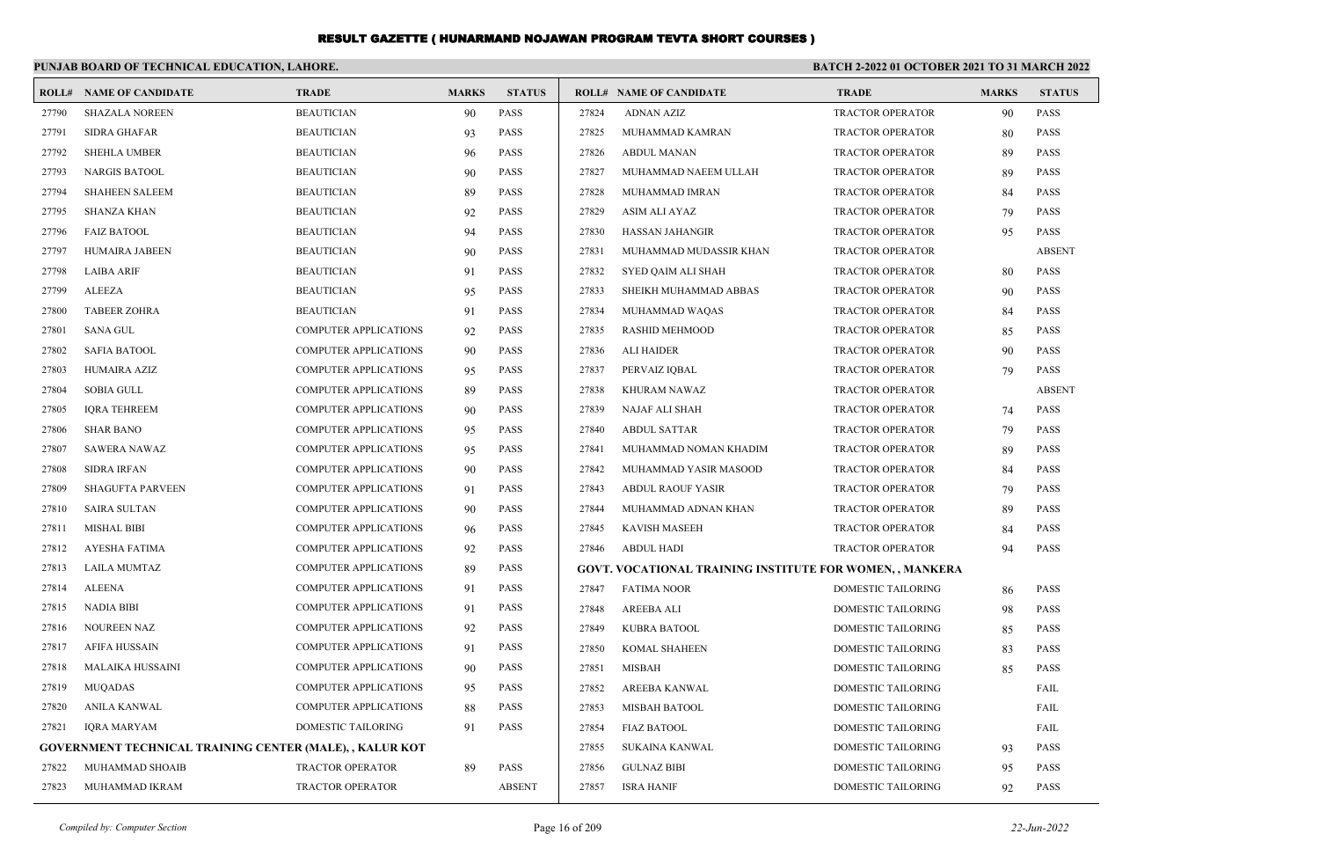|       | PUNJAB BOARD OF TECHNICAL EDUCATION, LAHORE.                    |                              |              |               | <b>BATCH 2-2022 01 OCTOBER 2021 TO 31 MARCH 2022</b> |                                                                 |                         |              |               |
|-------|-----------------------------------------------------------------|------------------------------|--------------|---------------|------------------------------------------------------|-----------------------------------------------------------------|-------------------------|--------------|---------------|
|       | <b>ROLL# NAME OF CANDIDATE</b>                                  | <b>TRADE</b>                 | <b>MARKS</b> | <b>STATUS</b> |                                                      | <b>ROLL# NAME OF CANDIDATE</b>                                  | <b>TRADE</b>            | <b>MARKS</b> | <b>STATUS</b> |
| 27790 | <b>SHAZALA NOREEN</b>                                           | <b>BEAUTICIAN</b>            | 90           | <b>PASS</b>   | 27824                                                | <b>ADNAN AZIZ</b>                                               | <b>TRACTOR OPERATOR</b> | 90           | <b>PASS</b>   |
| 27791 | <b>SIDRA GHAFAR</b>                                             | <b>BEAUTICIAN</b>            | 93           | <b>PASS</b>   | 27825                                                | MUHAMMAD KAMRAN                                                 | <b>TRACTOR OPERATOR</b> | 80           | <b>PASS</b>   |
| 27792 | <b>SHEHLA UMBER</b>                                             | <b>BEAUTICIAN</b>            | 96           | <b>PASS</b>   | 27826                                                | <b>ABDUL MANAN</b>                                              | TRACTOR OPERATOR        | 89           | <b>PASS</b>   |
| 27793 | <b>NARGIS BATOOL</b>                                            | <b>BEAUTICIAN</b>            | 90           | <b>PASS</b>   | 27827                                                | MUHAMMAD NAEEM ULLAH                                            | TRACTOR OPERATOR        | 89           | <b>PASS</b>   |
| 27794 | <b>SHAHEEN SALEEM</b>                                           | <b>BEAUTICIAN</b>            | 89           | <b>PASS</b>   | 27828                                                | MUHAMMAD IMRAN                                                  | TRACTOR OPERATOR        | 84           | <b>PASS</b>   |
| 27795 | <b>SHANZA KHAN</b>                                              | <b>BEAUTICIAN</b>            | 92           | <b>PASS</b>   | 27829                                                | ASIM ALI AYAZ                                                   | TRACTOR OPERATOR        | 79           | <b>PASS</b>   |
| 27796 | <b>FAIZ BATOOL</b>                                              | <b>BEAUTICIAN</b>            | 94           | <b>PASS</b>   | 27830                                                | <b>HASSAN JAHANGIR</b>                                          | <b>TRACTOR OPERATOR</b> | 95           | <b>PASS</b>   |
| 27797 | HUMAIRA JABEEN                                                  | <b>BEAUTICIAN</b>            | 90           | <b>PASS</b>   | 27831                                                | MUHAMMAD MUDASSIR KHAN                                          | TRACTOR OPERATOR        |              | <b>ABSENT</b> |
| 27798 | <b>LAIBA ARIF</b>                                               | <b>BEAUTICIAN</b>            | 91           | <b>PASS</b>   | 27832                                                | SYED QAIM ALI SHAH                                              | TRACTOR OPERATOR        | 80           | <b>PASS</b>   |
| 27799 | ALEEZA                                                          | <b>BEAUTICIAN</b>            | 95           | <b>PASS</b>   | 27833                                                | SHEIKH MUHAMMAD ABBAS                                           | TRACTOR OPERATOR        | 90           | <b>PASS</b>   |
| 27800 | <b>TABEER ZOHRA</b>                                             | <b>BEAUTICIAN</b>            | 91           | <b>PASS</b>   | 27834                                                | MUHAMMAD WAQAS                                                  | TRACTOR OPERATOR        | 84           | <b>PASS</b>   |
| 27801 | SANA GUL                                                        | <b>COMPUTER APPLICATIONS</b> | 92           | <b>PASS</b>   | 27835                                                | <b>RASHID MEHMOOD</b>                                           | TRACTOR OPERATOR        | 85           | <b>PASS</b>   |
| 27802 | <b>SAFIA BATOOL</b>                                             | <b>COMPUTER APPLICATIONS</b> | 90           | <b>PASS</b>   | 27836                                                | <b>ALI HAIDER</b>                                               | TRACTOR OPERATOR        | 90           | <b>PASS</b>   |
| 27803 | HUMAIRA AZIZ                                                    | <b>COMPUTER APPLICATIONS</b> | 95           | <b>PASS</b>   | 27837                                                | PERVAIZ IQBAL                                                   | <b>TRACTOR OPERATOR</b> | 79           | <b>PASS</b>   |
| 27804 | SOBIA GULL                                                      | <b>COMPUTER APPLICATIONS</b> | 89           | <b>PASS</b>   | 27838                                                | KHURAM NAWAZ                                                    | TRACTOR OPERATOR        |              | <b>ABSENT</b> |
| 27805 | <b>IQRA TEHREEM</b>                                             | COMPUTER APPLICATIONS        | 90           | <b>PASS</b>   | 27839                                                | NAJAF ALI SHAH                                                  | <b>TRACTOR OPERATOR</b> | 74           | <b>PASS</b>   |
| 27806 | <b>SHAR BANO</b>                                                | <b>COMPUTER APPLICATIONS</b> | 95           | <b>PASS</b>   | 27840                                                | <b>ABDUL SATTAR</b>                                             | TRACTOR OPERATOR        | 79           | <b>PASS</b>   |
| 27807 | <b>SAWERA NAWAZ</b>                                             | <b>COMPUTER APPLICATIONS</b> | 95           | <b>PASS</b>   | 27841                                                | MUHAMMAD NOMAN KHADIM                                           | TRACTOR OPERATOR        | 89           | <b>PASS</b>   |
| 27808 | <b>SIDRA IRFAN</b>                                              | COMPUTER APPLICATIONS        | 90           | <b>PASS</b>   | 27842                                                | MUHAMMAD YASIR MASOOD                                           | TRACTOR OPERATOR        | 84           | <b>PASS</b>   |
| 27809 | <b>SHAGUFTA PARVEEN</b>                                         | <b>COMPUTER APPLICATIONS</b> | 91           | <b>PASS</b>   | 27843                                                | <b>ABDUL RAOUF YASIR</b>                                        | TRACTOR OPERATOR        | 79           | <b>PASS</b>   |
| 27810 | <b>SAIRA SULTAN</b>                                             | COMPUTER APPLICATIONS        | 90           | <b>PASS</b>   | 27844                                                | MUHAMMAD ADNAN KHAN                                             | TRACTOR OPERATOR        | 89           | <b>PASS</b>   |
| 27811 | <b>MISHAL BIBI</b>                                              | <b>COMPUTER APPLICATIONS</b> | 96           | <b>PASS</b>   | 27845                                                | KAVISH MASEEH                                                   | TRACTOR OPERATOR        | 84           | <b>PASS</b>   |
| 27812 | AYESHA FATIMA                                                   | <b>COMPUTER APPLICATIONS</b> | 92           | <b>PASS</b>   | 27846                                                | <b>ABDUL HADI</b>                                               | TRACTOR OPERATOR        | 94           | <b>PASS</b>   |
| 27813 | LAILA MUMTAZ                                                    | <b>COMPUTER APPLICATIONS</b> | 89           | <b>PASS</b>   |                                                      | <b>GOVT. VOCATIONAL TRAINING INSTITUTE FOR WOMEN, , MANKERA</b> |                         |              |               |
| 27814 | ALEENA                                                          | <b>COMPUTER APPLICATIONS</b> | 91           | <b>PASS</b>   | 27847                                                | <b>FATIMA NOOR</b>                                              | DOMESTIC TAILORING      | 86           | <b>PASS</b>   |
| 27815 | NADIA BIBI                                                      | <b>COMPUTER APPLICATIONS</b> | 91           | <b>PASS</b>   | 27848                                                | AREEBA ALI                                                      | DOMESTIC TAILORING      | 98           | <b>PASS</b>   |
| 27816 | <b>NOUREEN NAZ</b>                                              | <b>COMPUTER APPLICATIONS</b> | 92           | <b>PASS</b>   | 27849                                                | KUBRA BATOOL                                                    | DOMESTIC TAILORING      | 85           | <b>PASS</b>   |
| 27817 | AFIFA HUSSAIN                                                   | <b>COMPUTER APPLICATIONS</b> | 91           | <b>PASS</b>   | 27850                                                | <b>KOMAL SHAHEEN</b>                                            | DOMESTIC TAILORING      | 83           | <b>PASS</b>   |
| 27818 | <b>MALAIKA HUSSAINI</b>                                         | COMPUTER APPLICATIONS        | 90           | <b>PASS</b>   | 27851                                                | MISBAH                                                          | DOMESTIC TAILORING      | 85           | <b>PASS</b>   |
| 27819 | MUQADAS                                                         | <b>COMPUTER APPLICATIONS</b> | 95           | <b>PASS</b>   |                                                      | 27852 AREEBA KANWAL                                             | DOMESTIC TAILORING      |              | FAIL          |
| 27820 | ANILA KANWAL                                                    | <b>COMPUTER APPLICATIONS</b> | 88           | PASS          | 27853                                                | MISBAH BATOOL                                                   | DOMESTIC TAILORING      |              | FAIL          |
| 27821 | <b>IQRA MARYAM</b>                                              | DOMESTIC TAILORING           | 91           | PASS          | 27854                                                | <b>FIAZ BATOOL</b>                                              | DOMESTIC TAILORING      |              | FAIL          |
|       | <b>GOVERNMENT TECHNICAL TRAINING CENTER (MALE), , KALUR KOT</b> |                              |              |               | 27855                                                | <b>SUKAINA KANWAL</b>                                           | DOMESTIC TAILORING      | 93           | <b>PASS</b>   |
| 27822 | MUHAMMAD SHOAIB                                                 | TRACTOR OPERATOR             | 89           | PASS          | 27856                                                | <b>GULNAZ BIBI</b>                                              | DOMESTIC TAILORING      | 95           | PASS          |
| 27823 | MUHAMMAD IKRAM                                                  | TRACTOR OPERATOR             |              | <b>ABSENT</b> | 27857                                                | <b>ISRA HANIF</b>                                               | DOMESTIC TAILORING      | 92           | PASS          |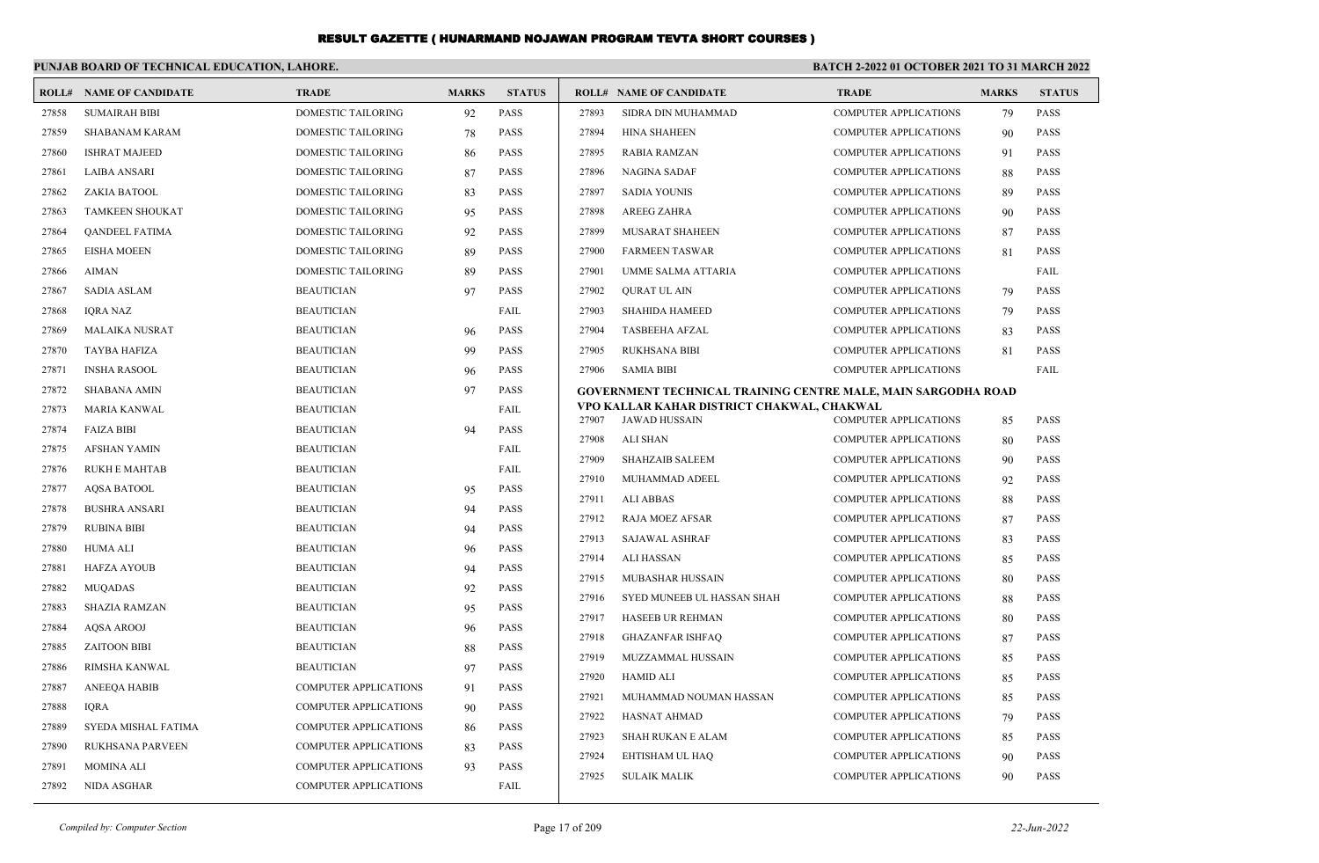|       | PUNJAB BOARD OF TECHNICAL EDUCATION, LAHORE. |                              |              | BATCH 2-2022 01 OCTOBER 2021 TO 31 MARCH 2022 |       |                                                                    |                              |              |               |
|-------|----------------------------------------------|------------------------------|--------------|-----------------------------------------------|-------|--------------------------------------------------------------------|------------------------------|--------------|---------------|
|       | <b>ROLL# NAME OF CANDIDATE</b>               | <b>TRADE</b>                 | <b>MARKS</b> | <b>STATUS</b>                                 |       | <b>ROLL# NAME OF CANDIDATE</b>                                     | <b>TRADE</b>                 | <b>MARKS</b> | <b>STATUS</b> |
| 27858 | <b>SUMAIRAH BIBI</b>                         | <b>DOMESTIC TAILORING</b>    | 92           | <b>PASS</b>                                   | 27893 | SIDRA DIN MUHAMMAD                                                 | <b>COMPUTER APPLICATIONS</b> | 79           | <b>PASS</b>   |
| 27859 | <b>SHABANAM KARAM</b>                        | <b>DOMESTIC TAILORING</b>    | 78           | PASS                                          | 27894 | <b>HINA SHAHEEN</b>                                                | <b>COMPUTER APPLICATIONS</b> | 90           | PASS          |
| 27860 | <b>ISHRAT MAJEED</b>                         | DOMESTIC TAILORING           | 86           | PASS                                          | 27895 | <b>RABIA RAMZAN</b>                                                | <b>COMPUTER APPLICATIONS</b> | 91           | <b>PASS</b>   |
| 27861 | <b>LAIBA ANSARI</b>                          | DOMESTIC TAILORING           | 87           | PASS                                          | 27896 | <b>NAGINA SADAF</b>                                                | <b>COMPUTER APPLICATIONS</b> | 88           | PASS          |
| 27862 | ZAKIA BATOOL                                 | DOMESTIC TAILORING           | 83           | PASS                                          | 27897 | <b>SADIA YOUNIS</b>                                                | <b>COMPUTER APPLICATIONS</b> | 89           | <b>PASS</b>   |
| 27863 | <b>TAMKEEN SHOUKAT</b>                       | DOMESTIC TAILORING           | 95           | PASS                                          | 27898 | <b>AREEG ZAHRA</b>                                                 | <b>COMPUTER APPLICATIONS</b> | 90           | <b>PASS</b>   |
| 27864 | <b>OANDEEL FATIMA</b>                        | DOMESTIC TAILORING           | 92           | <b>PASS</b>                                   | 27899 | MUSARAT SHAHEEN                                                    | <b>COMPUTER APPLICATIONS</b> | 87           | <b>PASS</b>   |
| 27865 | <b>EISHA MOEEN</b>                           | <b>DOMESTIC TAILORING</b>    | 89           | PASS                                          | 27900 | <b>FARMEEN TASWAR</b>                                              | <b>COMPUTER APPLICATIONS</b> | 81           | <b>PASS</b>   |
| 27866 | <b>AIMAN</b>                                 | <b>DOMESTIC TAILORING</b>    | 89           | PASS                                          | 27901 | UMME SALMA ATTARIA                                                 | <b>COMPUTER APPLICATIONS</b> |              | FAIL          |
| 27867 | <b>SADIA ASLAM</b>                           | <b>BEAUTICIAN</b>            | 97           | PASS                                          | 27902 | <b>QURAT UL AIN</b>                                                | <b>COMPUTER APPLICATIONS</b> | 79           | <b>PASS</b>   |
| 27868 | <b>IORA NAZ</b>                              | <b>BEAUTICIAN</b>            |              | FAIL                                          | 27903 | <b>SHAHIDA HAMEED</b>                                              | <b>COMPUTER APPLICATIONS</b> | 79           | <b>PASS</b>   |
| 27869 | <b>MALAIKA NUSRAT</b>                        | <b>BEAUTICIAN</b>            | 96           | PASS                                          | 27904 | <b>TASBEEHA AFZAL</b>                                              | <b>COMPUTER APPLICATIONS</b> | 83           | <b>PASS</b>   |
| 27870 | <b>TAYBA HAFIZA</b>                          | <b>BEAUTICIAN</b>            | 99           | PASS                                          | 27905 | <b>RUKHSANA BIBI</b>                                               | <b>COMPUTER APPLICATIONS</b> | 81           | <b>PASS</b>   |
| 27871 | <b>INSHA RASOOL</b>                          | <b>BEAUTICIAN</b>            | 96           | PASS                                          | 27906 | <b>SAMIA BIBI</b>                                                  | <b>COMPUTER APPLICATIONS</b> |              | FAIL          |
| 27872 | <b>SHABANA AMIN</b>                          | <b>BEAUTICIAN</b>            | 97           | PASS                                          |       | GOVERNMENT TECHNICAL TRAINING CENTRE MALE, MAIN SARGODHA ROAD      |                              |              |               |
| 27873 | <b>MARIA KANWAL</b>                          | <b>BEAUTICIAN</b>            |              | FAIL                                          | 27907 | VPO KALLAR KAHAR DISTRICT CHAKWAL, CHAKWAL<br><b>JAWAD HUSSAIN</b> | <b>COMPUTER APPLICATIONS</b> | 85           | PASS          |
| 27874 | <b>FAIZA BIBI</b>                            | <b>BEAUTICIAN</b>            | 94           | PASS                                          | 27908 | <b>ALI SHAN</b>                                                    | <b>COMPUTER APPLICATIONS</b> | 80           | <b>PASS</b>   |
| 27875 | <b>AFSHAN YAMIN</b>                          | <b>BEAUTICIAN</b>            |              | FAIL                                          | 27909 | <b>SHAHZAIB SALEEM</b>                                             | <b>COMPUTER APPLICATIONS</b> | 90           | PASS          |
| 27876 | <b>RUKH E MAHTAB</b>                         | <b>BEAUTICIAN</b>            |              | FAIL                                          | 27910 | MUHAMMAD ADEEL                                                     | <b>COMPUTER APPLICATIONS</b> | 92           | <b>PASS</b>   |
| 27877 | AQSA BATOOL                                  | <b>BEAUTICIAN</b>            | 95           | PASS                                          | 27911 | ALI ABBAS                                                          | <b>COMPUTER APPLICATIONS</b> | 88           | <b>PASS</b>   |
| 27878 | <b>BUSHRA ANSARI</b>                         | <b>BEAUTICIAN</b>            | 94           | PASS                                          | 27912 | <b>RAJA MOEZ AFSAR</b>                                             | <b>COMPUTER APPLICATIONS</b> | 87           | <b>PASS</b>   |
| 27879 | <b>RUBINA BIBI</b>                           | <b>BEAUTICIAN</b>            | 94           | <b>PASS</b>                                   | 27913 | <b>SAJAWAL ASHRAF</b>                                              | <b>COMPUTER APPLICATIONS</b> | 83           | PASS          |
| 27880 | <b>HUMA ALI</b>                              | <b>BEAUTICIAN</b>            | 96           | <b>PASS</b>                                   | 27914 | ALI HASSAN                                                         | <b>COMPUTER APPLICATIONS</b> | 85           | PASS          |
| 27881 | <b>HAFZA AYOUB</b>                           | <b>BEAUTICIAN</b>            | 94           | <b>PASS</b>                                   | 27915 | MUBASHAR HUSSAIN                                                   | <b>COMPUTER APPLICATIONS</b> | 80           | <b>PASS</b>   |
| 27882 | <b>MUQADAS</b>                               | <b>BEAUTICIAN</b>            | 92           | <b>PASS</b>                                   | 27916 | SYED MUNEEB UL HASSAN SHAH                                         | <b>COMPUTER APPLICATIONS</b> | 88           | <b>PASS</b>   |
| 27883 | <b>SHAZIA RAMZAN</b>                         | <b>BEAUTICIAN</b>            | 95           | <b>PASS</b>                                   | 27917 | <b>HASEEB UR REHMAN</b>                                            | <b>COMPUTER APPLICATIONS</b> | 80           | <b>PASS</b>   |
| 27884 | <b>AQSA AROOJ</b>                            | <b>BEAUTICIAN</b>            | 96           | <b>PASS</b>                                   | 27918 | <b>GHAZANFAR ISHFAQ</b>                                            | <b>COMPUTER APPLICATIONS</b> | 87           | <b>PASS</b>   |
| 27885 | <b>ZAITOON BIBI</b>                          | <b>BEAUTICIAN</b>            | 88           | <b>PASS</b>                                   | 27919 | MUZZAMMAL HUSSAIN                                                  | <b>COMPUTER APPLICATIONS</b> | 85           | <b>PASS</b>   |
| 27886 | RIMSHA KANWAL                                | <b>BEAUTICIAN</b>            | 97           | <b>PASS</b>                                   | 27920 | <b>HAMID ALI</b>                                                   | <b>COMPUTER APPLICATIONS</b> | 85           | <b>PASS</b>   |
| 27887 | <b>ANEEOA HABIB</b>                          | <b>COMPUTER APPLICATIONS</b> | 91           | <b>PASS</b>                                   | 27921 | MUHAMMAD NOUMAN HASSAN                                             | <b>COMPUTER APPLICATIONS</b> | 85           | <b>PASS</b>   |
| 27888 | <b>IQRA</b>                                  | COMPUTER APPLICATIONS        | 90           | <b>PASS</b>                                   | 27922 | HASNAT AHMAD                                                       | <b>COMPUTER APPLICATIONS</b> | 79           | <b>PASS</b>   |
| 27889 | SYEDA MISHAL FATIMA                          | COMPUTER APPLICATIONS        | 86           | <b>PASS</b>                                   | 27923 | <b>SHAH RUKAN E ALAM</b>                                           | <b>COMPUTER APPLICATIONS</b> | 85           | PASS          |
| 27890 | <b>RUKHSANA PARVEEN</b>                      | COMPUTER APPLICATIONS        | 83           | PASS                                          | 27924 | EHTISHAM UL HAQ                                                    | <b>COMPUTER APPLICATIONS</b> | 90           | PASS          |
| 27891 | <b>MOMINA ALI</b>                            | <b>COMPUTER APPLICATIONS</b> | 93           | <b>PASS</b>                                   | 27925 | <b>SULAIK MALIK</b>                                                | <b>COMPUTER APPLICATIONS</b> | 90           | <b>PASS</b>   |
| 27892 | <b>NIDA ASGHAR</b>                           | <b>COMPUTER APPLICATIONS</b> |              | FAIL                                          |       |                                                                    |                              |              |               |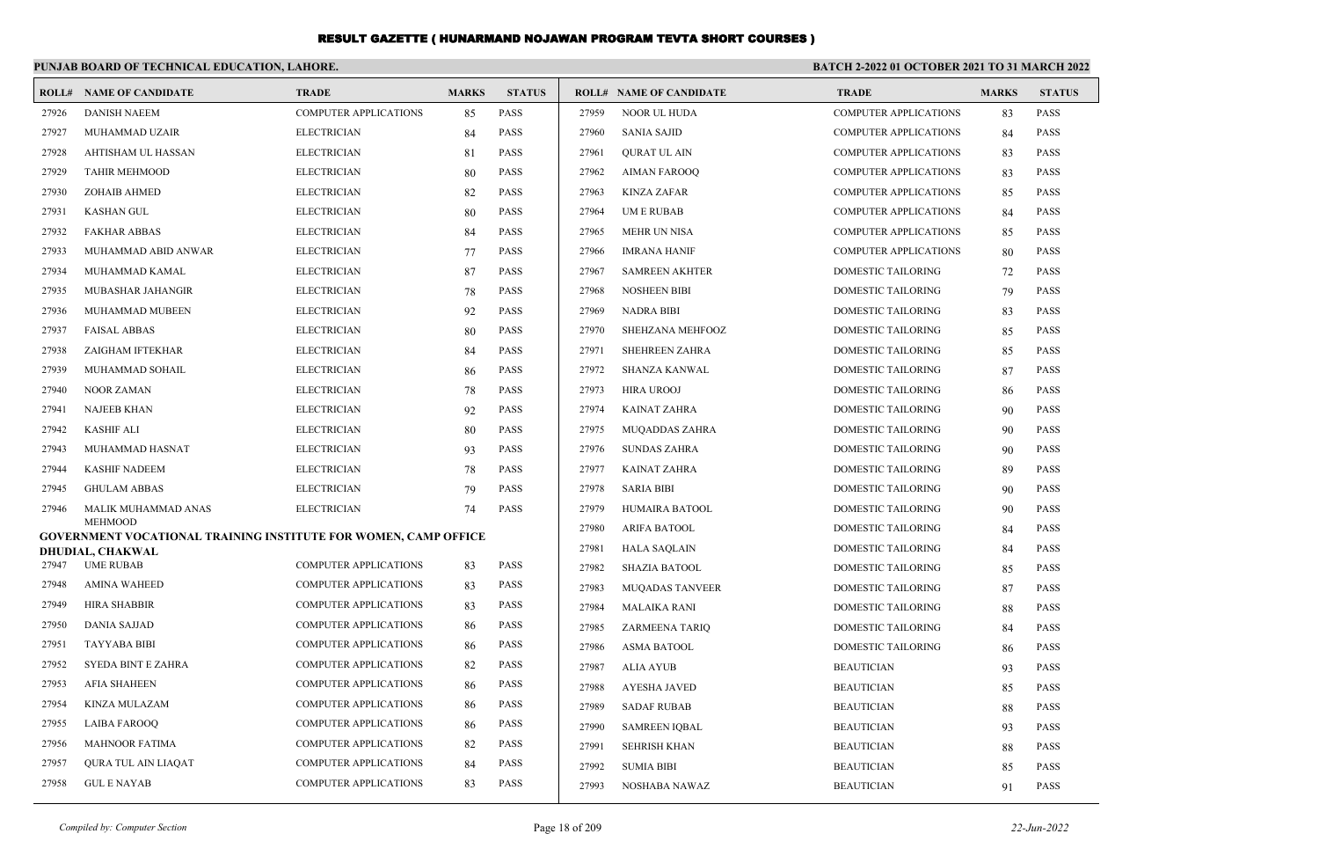|       | PUNJAB BOARD OF TECHNICAL EDUCATION, LAHORE.                                             |                              |              |               | <b>BATCH 2-2022 01 OCTOBER 2021 TO 31 MARCH 2022</b> |                                |                              |              |               |  |  |
|-------|------------------------------------------------------------------------------------------|------------------------------|--------------|---------------|------------------------------------------------------|--------------------------------|------------------------------|--------------|---------------|--|--|
|       | <b>ROLL# NAME OF CANDIDATE</b>                                                           | <b>TRADE</b>                 | <b>MARKS</b> | <b>STATUS</b> |                                                      | <b>ROLL# NAME OF CANDIDATE</b> | <b>TRADE</b>                 | <b>MARKS</b> | <b>STATUS</b> |  |  |
| 27926 | <b>DANISH NAEEM</b>                                                                      | COMPUTER APPLICATIONS        | 85           | <b>PASS</b>   | 27959                                                | <b>NOOR UL HUDA</b>            | <b>COMPUTER APPLICATIONS</b> | 83           | <b>PASS</b>   |  |  |
| 27927 | MUHAMMAD UZAIR                                                                           | <b>ELECTRICIAN</b>           | 84           | <b>PASS</b>   | 27960                                                | <b>SANIA SAJID</b>             | <b>COMPUTER APPLICATIONS</b> | 84           | <b>PASS</b>   |  |  |
| 27928 | AHTISHAM UL HASSAN                                                                       | <b>ELECTRICIAN</b>           | 81           | <b>PASS</b>   | 27961                                                | <b>QURAT UL AIN</b>            | <b>COMPUTER APPLICATIONS</b> | 83           | <b>PASS</b>   |  |  |
| 27929 | <b>TAHIR MEHMOOD</b>                                                                     | <b>ELECTRICIAN</b>           | 80           | <b>PASS</b>   | 27962                                                | <b>AIMAN FAROOQ</b>            | <b>COMPUTER APPLICATIONS</b> | 83           | <b>PASS</b>   |  |  |
| 27930 | ZOHAIB AHMED                                                                             | <b>ELECTRICIAN</b>           | 82           | PASS          | 27963                                                | <b>KINZA ZAFAR</b>             | <b>COMPUTER APPLICATIONS</b> | 85           | <b>PASS</b>   |  |  |
| 27931 | <b>KASHAN GUL</b>                                                                        | <b>ELECTRICIAN</b>           | 80           | <b>PASS</b>   | 27964                                                | <b>UMERUBAB</b>                | <b>COMPUTER APPLICATIONS</b> | 84           | <b>PASS</b>   |  |  |
| 27932 | <b>FAKHAR ABBAS</b>                                                                      | <b>ELECTRICIAN</b>           | 84           | <b>PASS</b>   | 27965                                                | <b>MEHR UN NISA</b>            | <b>COMPUTER APPLICATIONS</b> | 85           | <b>PASS</b>   |  |  |
| 27933 | MUHAMMAD ABID ANWAR                                                                      | <b>ELECTRICIAN</b>           | 77           | <b>PASS</b>   | 27966                                                | <b>IMRANA HANIF</b>            | COMPUTER APPLICATIONS        | 80           | <b>PASS</b>   |  |  |
| 27934 | MUHAMMAD KAMAL                                                                           | <b>ELECTRICIAN</b>           | 87           | <b>PASS</b>   | 27967                                                | <b>SAMREEN AKHTER</b>          | DOMESTIC TAILORING           | 72           | <b>PASS</b>   |  |  |
| 27935 | MUBASHAR JAHANGIR                                                                        | <b>ELECTRICIAN</b>           | 78           | <b>PASS</b>   | 27968                                                | <b>NOSHEEN BIBI</b>            | DOMESTIC TAILORING           | 79           | <b>PASS</b>   |  |  |
| 27936 | MUHAMMAD MUBEEN                                                                          | <b>ELECTRICIAN</b>           | 92           | <b>PASS</b>   | 27969                                                | <b>NADRA BIBI</b>              | <b>DOMESTIC TAILORING</b>    | 83           | <b>PASS</b>   |  |  |
| 27937 | <b>FAISAL ABBAS</b>                                                                      | <b>ELECTRICIAN</b>           | 80           | <b>PASS</b>   | 27970                                                | SHEHZANA MEHFOOZ               | DOMESTIC TAILORING           | 85           | <b>PASS</b>   |  |  |
| 27938 | ZAIGHAM IFTEKHAR                                                                         | <b>ELECTRICIAN</b>           | 84           | <b>PASS</b>   | 27971                                                | <b>SHEHREEN ZAHRA</b>          | <b>DOMESTIC TAILORING</b>    | 85           | <b>PASS</b>   |  |  |
| 27939 | MUHAMMAD SOHAIL                                                                          | <b>ELECTRICIAN</b>           | 86           | <b>PASS</b>   | 27972                                                | <b>SHANZA KANWAL</b>           | <b>DOMESTIC TAILORING</b>    | 87           | <b>PASS</b>   |  |  |
| 27940 | <b>NOOR ZAMAN</b>                                                                        | <b>ELECTRICIAN</b>           | 78           | <b>PASS</b>   | 27973                                                | <b>HIRA UROOJ</b>              | <b>DOMESTIC TAILORING</b>    | 86           | <b>PASS</b>   |  |  |
| 27941 | <b>NAJEEB KHAN</b>                                                                       | <b>ELECTRICIAN</b>           | 92           | <b>PASS</b>   | 27974                                                | <b>KAINAT ZAHRA</b>            | DOMESTIC TAILORING           | 90           | <b>PASS</b>   |  |  |
| 27942 | <b>KASHIF ALI</b>                                                                        | <b>ELECTRICIAN</b>           | 80           | <b>PASS</b>   | 27975                                                | <b>MUQADDAS ZAHRA</b>          | DOMESTIC TAILORING           | 90           | <b>PASS</b>   |  |  |
| 27943 | MUHAMMAD HASNAT                                                                          | <b>ELECTRICIAN</b>           | 93           | <b>PASS</b>   | 27976                                                | <b>SUNDAS ZAHRA</b>            | <b>DOMESTIC TAILORING</b>    | 90           | <b>PASS</b>   |  |  |
| 27944 | <b>KASHIF NADEEM</b>                                                                     | <b>ELECTRICIAN</b>           | 78           | <b>PASS</b>   | 27977                                                | <b>KAINAT ZAHRA</b>            | <b>DOMESTIC TAILORING</b>    | 89           | <b>PASS</b>   |  |  |
| 27945 | <b>GHULAM ABBAS</b>                                                                      | <b>ELECTRICIAN</b>           | 79           | <b>PASS</b>   | 27978                                                | <b>SARIA BIBI</b>              | <b>DOMESTIC TAILORING</b>    | 90           | <b>PASS</b>   |  |  |
| 27946 | MALIK MUHAMMAD ANAS                                                                      | <b>ELECTRICIAN</b>           | 74           | <b>PASS</b>   | 27979                                                | HUMAIRA BATOOL                 | <b>DOMESTIC TAILORING</b>    | 90           | <b>PASS</b>   |  |  |
|       | <b>MEHMOOD</b><br><b>GOVERNMENT VOCATIONAL TRAINING INSTITUTE FOR WOMEN, CAMP OFFICE</b> |                              |              |               | 27980                                                | <b>ARIFA BATOOL</b>            | <b>DOMESTIC TAILORING</b>    | 84           | <b>PASS</b>   |  |  |
|       | <b>DHUDIAL, CHAKWAL</b>                                                                  |                              |              |               | 27981                                                | <b>HALA SAQLAIN</b>            | <b>DOMESTIC TAILORING</b>    | 84           | <b>PASS</b>   |  |  |
| 27947 | <b>UME RUBAB</b>                                                                         | <b>COMPUTER APPLICATIONS</b> | 83           | <b>PASS</b>   | 27982                                                | <b>SHAZIA BATOOL</b>           | DOMESTIC TAILORING           | 85           | <b>PASS</b>   |  |  |
| 27948 | <b>AMINA WAHEED</b>                                                                      | <b>COMPUTER APPLICATIONS</b> | 83           | <b>PASS</b>   | 27983                                                | <b>MUQADAS TANVEER</b>         | DOMESTIC TAILORING           | 87           | <b>PASS</b>   |  |  |
| 27949 | <b>HIRA SHABBIR</b>                                                                      | <b>COMPUTER APPLICATIONS</b> | 83           | <b>PASS</b>   | 27984                                                | <b>MALAIKA RANI</b>            | DOMESTIC TAILORING           | 88           | <b>PASS</b>   |  |  |
| 27950 | <b>DANIA SAJJAD</b>                                                                      | <b>COMPUTER APPLICATIONS</b> | 86           | <b>PASS</b>   | 27985                                                | ZARMEENA TARIQ                 | DOMESTIC TAILORING           | 84           | <b>PASS</b>   |  |  |
| 27951 | <b>TAYYABA BIBI</b>                                                                      | COMPUTER APPLICATIONS        | 86           | <b>PASS</b>   | 27986                                                | <b>ASMA BATOOL</b>             | DOMESTIC TAILORING           | 86           | <b>PASS</b>   |  |  |
| 27952 | SYEDA BINT E ZAHRA                                                                       | COMPUTER APPLICATIONS        | 82           | <b>PASS</b>   | 27987                                                | <b>ALIA AYUB</b>               | <b>BEAUTICIAN</b>            | 93           | <b>PASS</b>   |  |  |
| 27953 | <b>AFIA SHAHEEN</b>                                                                      | COMPUTER APPLICATIONS        | 86           | <b>PASS</b>   | 27988                                                | <b>AYESHA JAVED</b>            | <b>BEAUTICIAN</b>            | 85           | <b>PASS</b>   |  |  |
| 27954 | KINZA MULAZAM                                                                            | COMPUTER APPLICATIONS        | 86           | <b>PASS</b>   | 27989                                                | <b>SADAF RUBAB</b>             | <b>BEAUTICIAN</b>            | 88           | <b>PASS</b>   |  |  |
| 27955 | <b>LAIBA FAROOQ</b>                                                                      | <b>COMPUTER APPLICATIONS</b> | 86           | <b>PASS</b>   | 27990                                                | <b>SAMREEN IQBAL</b>           | <b>BEAUTICIAN</b>            | 93           | <b>PASS</b>   |  |  |
| 27956 | <b>MAHNOOR FATIMA</b>                                                                    | COMPUTER APPLICATIONS        | 82           | <b>PASS</b>   | 27991                                                | <b>SEHRISH KHAN</b>            | <b>BEAUTICIAN</b>            | 88           | <b>PASS</b>   |  |  |
| 27957 | QURA TUL AIN LIAQAT                                                                      | <b>COMPUTER APPLICATIONS</b> | 84           | <b>PASS</b>   | 27992                                                | <b>SUMIA BIBI</b>              | <b>BEAUTICIAN</b>            | 85           | <b>PASS</b>   |  |  |
| 27958 | <b>GUL E NAYAB</b>                                                                       | <b>COMPUTER APPLICATIONS</b> | 83           | <b>PASS</b>   | 27993                                                | NOSHABA NAWAZ                  | <b>BEAUTICIAN</b>            | 91           | <b>PASS</b>   |  |  |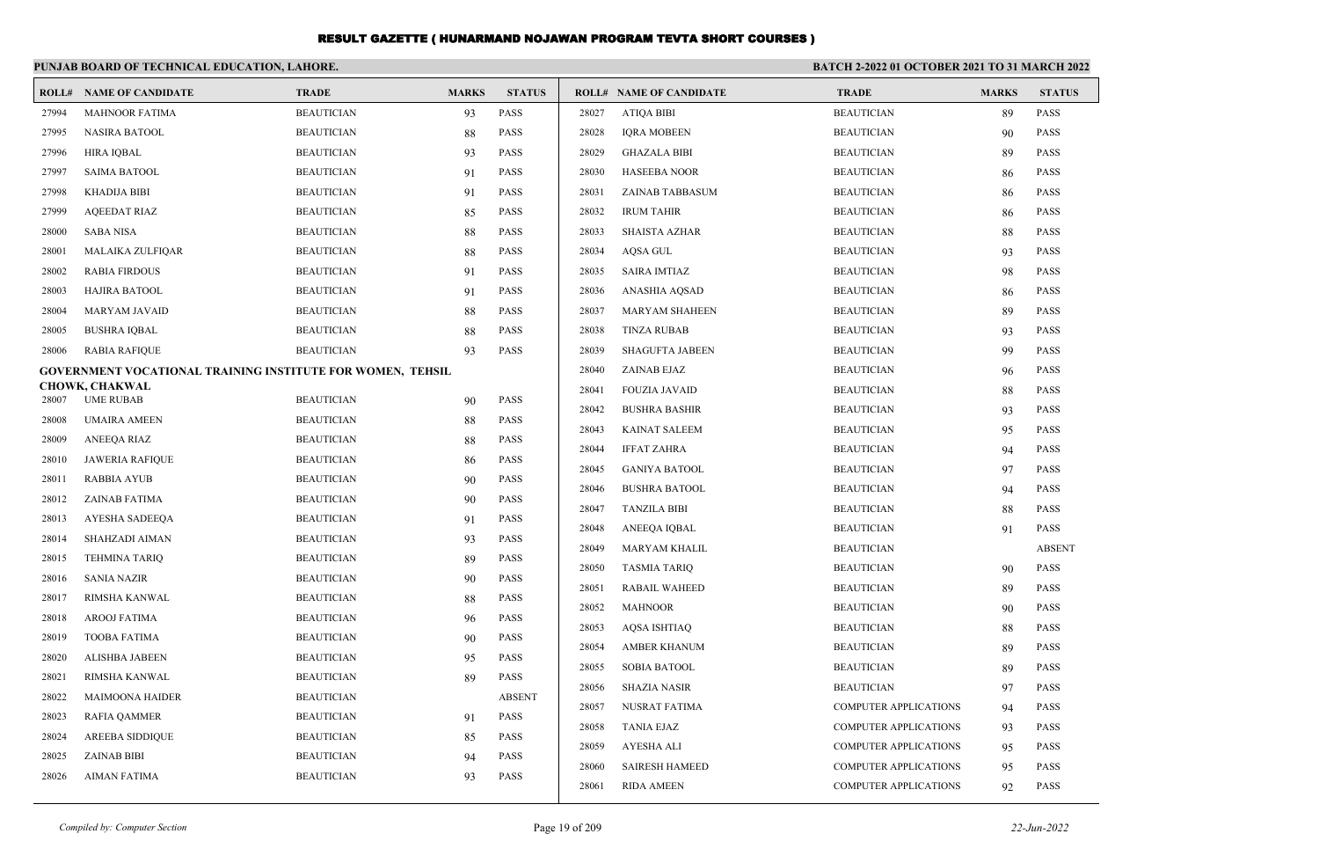|                | PUNJAB BOARD OF TECHNICAL EDUCATION, LAHORE.                      |                                        |              |                            | BATCH 2-2022 01 OCTOBER 2021 TO 31 MARCH 2022 |                                |                              |              |               |
|----------------|-------------------------------------------------------------------|----------------------------------------|--------------|----------------------------|-----------------------------------------------|--------------------------------|------------------------------|--------------|---------------|
|                | <b>ROLL# NAME OF CANDIDATE</b>                                    | <b>TRADE</b>                           | <b>MARKS</b> | <b>STATUS</b>              |                                               | <b>ROLL# NAME OF CANDIDATE</b> | <b>TRADE</b>                 | <b>MARKS</b> | <b>STATUS</b> |
| 27994          | <b>MAHNOOR FATIMA</b>                                             | <b>BEAUTICIAN</b>                      | 93           | <b>PASS</b>                | 28027                                         | <b>ATIQA BIBI</b>              | <b>BEAUTICIAN</b>            | 89           | <b>PASS</b>   |
| 27995          | <b>NASIRA BATOOL</b>                                              | <b>BEAUTICIAN</b>                      | 88           | <b>PASS</b>                | 28028                                         | <b>IORA MOBEEN</b>             | <b>BEAUTICIAN</b>            | 90           | <b>PASS</b>   |
| 27996          | <b>HIRA IQBAL</b>                                                 | <b>BEAUTICIAN</b>                      | 93           | <b>PASS</b>                | 28029                                         | <b>GHAZALA BIBI</b>            | <b>BEAUTICIAN</b>            | 89           | <b>PASS</b>   |
| 27997          | <b>SAIMA BATOOL</b>                                               | <b>BEAUTICIAN</b>                      | 91           | <b>PASS</b>                | 28030                                         | <b>HASEEBA NOOR</b>            | <b>BEAUTICIAN</b>            | 86           | <b>PASS</b>   |
| 27998          | <b>KHADIJA BIBI</b>                                               | <b>BEAUTICIAN</b>                      | 91           | <b>PASS</b>                | 28031                                         | ZAINAB TABBASUM                | <b>BEAUTICIAN</b>            | 86           | <b>PASS</b>   |
| 27999          | <b>AOEEDAT RIAZ</b>                                               | <b>BEAUTICIAN</b>                      | 85           | <b>PASS</b>                | 28032                                         | <b>IRUM TAHIR</b>              | <b>BEAUTICIAN</b>            | 86           | <b>PASS</b>   |
| 28000          | <b>SABA NISA</b>                                                  | <b>BEAUTICIAN</b>                      | 88           | <b>PASS</b>                | 28033                                         | <b>SHAISTA AZHAR</b>           | <b>BEAUTICIAN</b>            | 88           | <b>PASS</b>   |
| 28001          | <b>MALAIKA ZULFIQAR</b>                                           | <b>BEAUTICIAN</b>                      | 88           | <b>PASS</b>                | 28034                                         | AQSA GUL                       | <b>BEAUTICIAN</b>            | 93           | <b>PASS</b>   |
| 28002          | <b>RABIA FIRDOUS</b>                                              | <b>BEAUTICIAN</b>                      | 91           | <b>PASS</b>                | 28035                                         | <b>SAIRA IMTIAZ</b>            | <b>BEAUTICIAN</b>            | 98           | <b>PASS</b>   |
| 28003          | <b>HAJIRA BATOOL</b>                                              | <b>BEAUTICIAN</b>                      | 91           | <b>PASS</b>                | 28036                                         | ANASHIA AQSAD                  | <b>BEAUTICIAN</b>            | 86           | <b>PASS</b>   |
| 28004          | MARYAM JAVAID                                                     | <b>BEAUTICIAN</b>                      | 88           | <b>PASS</b>                | 28037                                         | <b>MARYAM SHAHEEN</b>          | <b>BEAUTICIAN</b>            | 89           | <b>PASS</b>   |
| 28005          | <b>BUSHRA IQBAL</b>                                               | <b>BEAUTICIAN</b>                      | 88           | <b>PASS</b>                | 28038                                         | <b>TINZA RUBAB</b>             | <b>BEAUTICIAN</b>            | 93           | <b>PASS</b>   |
| 28006          | <b>RABIA RAFIQUE</b>                                              | <b>BEAUTICIAN</b>                      | 93           | <b>PASS</b>                | 28039                                         | <b>SHAGUFTA JABEEN</b>         | <b>BEAUTICIAN</b>            | 99           | <b>PASS</b>   |
|                | <b>GOVERNMENT VOCATIONAL TRAINING INSTITUTE FOR WOMEN, TEHSIL</b> |                                        |              |                            | 28040                                         | ZAINAB EJAZ                    | <b>BEAUTICIAN</b>            | 96           | <b>PASS</b>   |
|                | <b>CHOWK, CHAKWAL</b>                                             |                                        |              | PASS                       | 28041                                         | <b>FOUZIA JAVAID</b>           | <b>BEAUTICIAN</b>            | 88           | <b>PASS</b>   |
| 28007          | <b>UME RUBAB</b>                                                  | <b>BEAUTICIAN</b>                      | 90           |                            | 28042                                         | <b>BUSHRA BASHIR</b>           | <b>BEAUTICIAN</b>            | 93           | <b>PASS</b>   |
| 28008<br>28009 | <b>UMAIRA AMEEN</b>                                               | <b>BEAUTICIAN</b>                      | 88           | <b>PASS</b><br><b>PASS</b> | 28043                                         | KAINAT SALEEM                  | <b>BEAUTICIAN</b>            | 95           | <b>PASS</b>   |
| 28010          | <b>ANEEQA RIAZ</b><br><b>JAWERIA RAFIQUE</b>                      | <b>BEAUTICIAN</b><br><b>BEAUTICIAN</b> | 88           | PASS                       | 28044                                         | <b>IFFAT ZAHRA</b>             | <b>BEAUTICIAN</b>            | 94           | <b>PASS</b>   |
|                |                                                                   |                                        | 86           | <b>PASS</b>                | 28045                                         | <b>GANIYA BATOOL</b>           | <b>BEAUTICIAN</b>            | 97           | <b>PASS</b>   |
| 28011          | <b>RABBIA AYUB</b>                                                | <b>BEAUTICIAN</b>                      | 90           | <b>PASS</b>                | 28046                                         | <b>BUSHRA BATOOL</b>           | <b>BEAUTICIAN</b>            | 94           | <b>PASS</b>   |
| 28012          | ZAINAB FATIMA                                                     | <b>BEAUTICIAN</b>                      | 90           |                            | 28047                                         | <b>TANZILA BIBI</b>            | <b>BEAUTICIAN</b>            | 88           | <b>PASS</b>   |
| 28013          | AYESHA SADEEQA                                                    | <b>BEAUTICIAN</b>                      | 91           | PASS                       | 28048                                         | ANEEOA IOBAL                   | <b>BEAUTICIAN</b>            | 91           | <b>PASS</b>   |
| 28014          | SHAHZADI AIMAN                                                    | <b>BEAUTICIAN</b>                      | 93           | <b>PASS</b>                | 28049                                         | <b>MARYAM KHALIL</b>           | <b>BEAUTICIAN</b>            |              | <b>ABSENT</b> |
| 28015          | <b>TEHMINA TARIO</b>                                              | <b>BEAUTICIAN</b>                      | 89           | <b>PASS</b>                | 28050                                         | <b>TASMIA TARIQ</b>            | <b>BEAUTICIAN</b>            | 90           | <b>PASS</b>   |
| 28016          | <b>SANIA NAZIR</b>                                                | <b>BEAUTICIAN</b>                      | 90           | PASS                       | 28051                                         | <b>RABAIL WAHEED</b>           | <b>BEAUTICIAN</b>            | 89           | <b>PASS</b>   |
| 28017          | RIMSHA KANWAL                                                     | <b>BEAUTICIAN</b>                      | 88           | <b>PASS</b>                | 28052                                         | <b>MAHNOOR</b>                 | <b>BEAUTICIAN</b>            | 90           | <b>PASS</b>   |
| 28018          | <b>AROOJ FATIMA</b>                                               | <b>BEAUTICIAN</b>                      | 96           | <b>PASS</b>                | 28053                                         | AQSA ISHTIAQ                   | <b>BEAUTICIAN</b>            | 88           | <b>PASS</b>   |
| 28019          | <b>TOOBA FATIMA</b>                                               | <b>BEAUTICIAN</b>                      | 90           | <b>PASS</b>                | 28054                                         | <b>AMBER KHANUM</b>            | <b>BEAUTICIAN</b>            | 89           | <b>PASS</b>   |
| 28020          | <b>ALISHBA JABEEN</b>                                             | <b>BEAUTICIAN</b>                      | 95           | <b>PASS</b>                | 28055                                         | <b>SOBIA BATOOL</b>            | <b>BEAUTICIAN</b>            | 89           | <b>PASS</b>   |
| 28021          | RIMSHA KANWAL                                                     | <b>BEAUTICIAN</b>                      | 89           | <b>PASS</b>                | 28056                                         | <b>SHAZIA NASIR</b>            | <b>BEAUTICIAN</b>            | 97           | <b>PASS</b>   |
| 28022          | MAIMOONA HAIDER                                                   | <b>BEAUTICIAN</b>                      |              | <b>ABSENT</b>              | 28057                                         | <b>NUSRAT FATIMA</b>           | <b>COMPUTER APPLICATIONS</b> | 94           | <b>PASS</b>   |
| 28023          | <b>RAFIA QAMMER</b>                                               | <b>BEAUTICIAN</b>                      | 91           | <b>PASS</b>                | 28058                                         | <b>TANIA EJAZ</b>              | <b>COMPUTER APPLICATIONS</b> | 93           | <b>PASS</b>   |
| 28024          | <b>AREEBA SIDDIQUE</b>                                            | <b>BEAUTICIAN</b>                      | 85           | PASS                       | 28059                                         | <b>AYESHA ALI</b>              | <b>COMPUTER APPLICATIONS</b> | 95           | <b>PASS</b>   |
| 28025          | <b>ZAINAB BIBI</b>                                                | <b>BEAUTICIAN</b>                      | 94           | <b>PASS</b>                | 28060                                         | <b>SAIRESH HAMEED</b>          | <b>COMPUTER APPLICATIONS</b> | 95           | <b>PASS</b>   |
| 28026          | <b>AIMAN FATIMA</b>                                               | <b>BEAUTICIAN</b>                      | 93           | <b>PASS</b>                | 28061                                         | <b>RIDA AMEEN</b>              | <b>COMPUTER APPLICATIONS</b> | 92           | <b>PASS</b>   |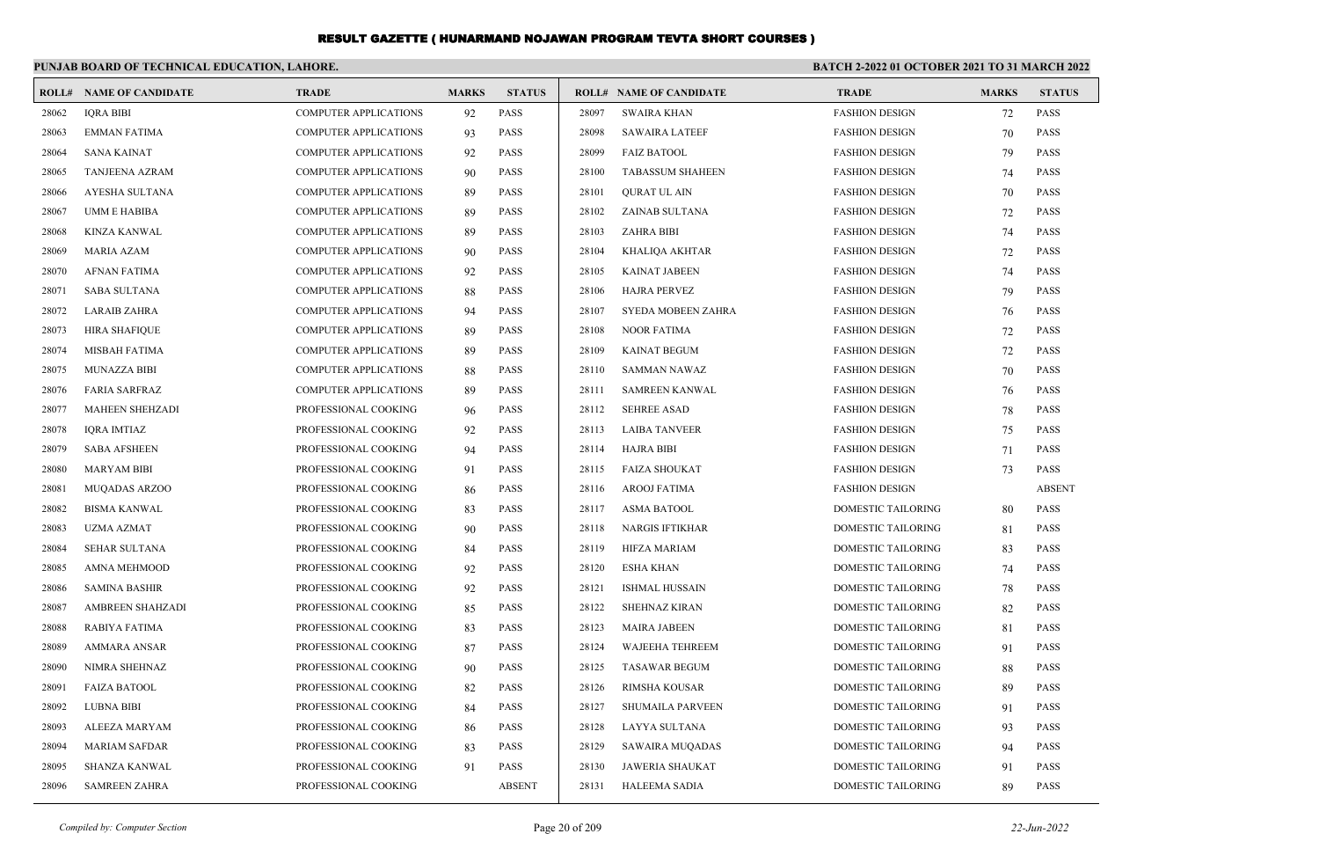|       | PUNJAB BOARD OF TECHNICAL EDUCATION, LAHORE. |                              |              |               |       |                                | BATCH 2-2022 01 OCTOBER 2021 TO 31 MARCH 2022 |              |               |
|-------|----------------------------------------------|------------------------------|--------------|---------------|-------|--------------------------------|-----------------------------------------------|--------------|---------------|
|       | <b>ROLL# NAME OF CANDIDATE</b>               | <b>TRADE</b>                 | <b>MARKS</b> | <b>STATUS</b> |       | <b>ROLL# NAME OF CANDIDATE</b> | <b>TRADE</b>                                  | <b>MARKS</b> | <b>STATUS</b> |
| 28062 | <b>IORA BIBI</b>                             | <b>COMPUTER APPLICATIONS</b> | 92           | <b>PASS</b>   | 28097 | <b>SWAIRA KHAN</b>             | <b>FASHION DESIGN</b>                         | 72           | <b>PASS</b>   |
| 28063 | <b>EMMAN FATIMA</b>                          | <b>COMPUTER APPLICATIONS</b> | 93           | <b>PASS</b>   | 28098 | <b>SAWAIRA LATEEF</b>          | <b>FASHION DESIGN</b>                         | 70           | <b>PASS</b>   |
| 28064 | <b>SANA KAINAT</b>                           | <b>COMPUTER APPLICATIONS</b> | 92           | <b>PASS</b>   | 28099 | <b>FAIZ BATOOL</b>             | <b>FASHION DESIGN</b>                         | 79           | <b>PASS</b>   |
| 28065 | <b>TANJEENA AZRAM</b>                        | <b>COMPUTER APPLICATIONS</b> | 90           | <b>PASS</b>   | 28100 | <b>TABASSUM SHAHEEN</b>        | <b>FASHION DESIGN</b>                         | 74           | PASS          |
| 28066 | AYESHA SULTANA                               | <b>COMPUTER APPLICATIONS</b> | -89          | <b>PASS</b>   | 28101 | <b>OURAT UL AIN</b>            | <b>FASHION DESIGN</b>                         | 70           | <b>PASS</b>   |
| 28067 | <b>UMM E HABIBA</b>                          | <b>COMPUTER APPLICATIONS</b> | 89           | <b>PASS</b>   | 28102 | ZAINAB SULTANA                 | <b>FASHION DESIGN</b>                         | 72           | <b>PASS</b>   |
| 28068 | KINZA KANWAL                                 | <b>COMPUTER APPLICATIONS</b> | 89           | <b>PASS</b>   | 28103 | <b>ZAHRA BIBI</b>              | <b>FASHION DESIGN</b>                         | 74           | <b>PASS</b>   |
| 28069 | <b>MARIA AZAM</b>                            | COMPUTER APPLICATIONS        | 90           | <b>PASS</b>   | 28104 | KHALIQA AKHTAR                 | <b>FASHION DESIGN</b>                         | 72           | <b>PASS</b>   |
| 28070 | <b>AFNAN FATIMA</b>                          | <b>COMPUTER APPLICATIONS</b> | 92           | <b>PASS</b>   | 28105 | <b>KAINAT JABEEN</b>           | <b>FASHION DESIGN</b>                         | 74           | <b>PASS</b>   |
| 28071 | <b>SABA SULTANA</b>                          | <b>COMPUTER APPLICATIONS</b> | 88           | <b>PASS</b>   | 28106 | <b>HAJRA PERVEZ</b>            | <b>FASHION DESIGN</b>                         | 79           | PASS          |
| 28072 | <b>LARAIB ZAHRA</b>                          | <b>COMPUTER APPLICATIONS</b> | 94           | <b>PASS</b>   | 28107 | <b>SYEDA MOBEEN ZAHRA</b>      | <b>FASHION DESIGN</b>                         | 76           | PASS          |
| 28073 | HIRA SHAFIQUE                                | <b>COMPUTER APPLICATIONS</b> | 89           | <b>PASS</b>   | 28108 | <b>NOOR FATIMA</b>             | <b>FASHION DESIGN</b>                         | 72           | <b>PASS</b>   |
| 28074 | MISBAH FATIMA                                | <b>COMPUTER APPLICATIONS</b> | 89           | PASS          | 28109 | <b>KAINAT BEGUM</b>            | <b>FASHION DESIGN</b>                         | 72           | <b>PASS</b>   |
| 28075 | <b>MUNAZZA BIBI</b>                          | COMPUTER APPLICATIONS        | 88           | PASS          | 28110 | SAMMAN NAWAZ                   | <b>FASHION DESIGN</b>                         | 70           | PASS          |
| 28076 | <b>FARIA SARFRAZ</b>                         | <b>COMPUTER APPLICATIONS</b> | 89           | PASS          | 28111 | <b>SAMREEN KANWAL</b>          | <b>FASHION DESIGN</b>                         | 76           | <b>PASS</b>   |
| 28077 | <b>MAHEEN SHEHZADI</b>                       | PROFESSIONAL COOKING         | 96           | PASS          | 28112 | <b>SEHREE ASAD</b>             | <b>FASHION DESIGN</b>                         | 78           | <b>PASS</b>   |
| 28078 | <b>IQRA IMTIAZ</b>                           | PROFESSIONAL COOKING         | 92           | <b>PASS</b>   | 28113 | <b>LAIBA TANVEER</b>           | <b>FASHION DESIGN</b>                         | 75           | PASS          |
| 28079 | <b>SABA AFSHEEN</b>                          | PROFESSIONAL COOKING         | 94           | <b>PASS</b>   | 28114 | <b>HAJRA BIBI</b>              | <b>FASHION DESIGN</b>                         | 71           | <b>PASS</b>   |
| 28080 | <b>MARYAM BIBI</b>                           | PROFESSIONAL COOKING         | 91           | <b>PASS</b>   | 28115 | <b>FAIZA SHOUKAT</b>           | <b>FASHION DESIGN</b>                         | 73           | <b>PASS</b>   |
| 28081 | <b>MUQADAS ARZOO</b>                         | PROFESSIONAL COOKING         | 86           | <b>PASS</b>   | 28116 | <b>AROOJ FATIMA</b>            | <b>FASHION DESIGN</b>                         |              | <b>ABSENT</b> |
| 28082 | <b>BISMA KANWAL</b>                          | PROFESSIONAL COOKING         | 83           | <b>PASS</b>   | 28117 | <b>ASMA BATOOL</b>             | DOMESTIC TAILORING                            | 80           | <b>PASS</b>   |
| 28083 | <b>UZMA AZMAT</b>                            | PROFESSIONAL COOKING         | 90           | <b>PASS</b>   | 28118 | <b>NARGIS IFTIKHAR</b>         | <b>DOMESTIC TAILORING</b>                     | 81           | <b>PASS</b>   |
| 28084 | <b>SEHAR SULTANA</b>                         | PROFESSIONAL COOKING         | 84           | PASS          | 28119 | HIFZA MARIAM                   | <b>DOMESTIC TAILORING</b>                     | 83           | <b>PASS</b>   |
| 28085 | AMNA MEHMOOD                                 | PROFESSIONAL COOKING         | 92           | <b>PASS</b>   | 28120 | <b>ESHA KHAN</b>               | DOMESTIC TAILORING                            | 74           | <b>PASS</b>   |
| 28086 | <b>SAMINA BASHIR</b>                         | PROFESSIONAL COOKING         | 92           | <b>PASS</b>   | 28121 | <b>ISHMAL HUSSAIN</b>          | <b>DOMESTIC TAILORING</b>                     | 78           | <b>PASS</b>   |
| 28087 | <b>AMBREEN SHAHZADI</b>                      | PROFESSIONAL COOKING         | 85           | <b>PASS</b>   | 28122 | <b>SHEHNAZ KIRAN</b>           | <b>DOMESTIC TAILORING</b>                     | 82           | <b>PASS</b>   |
| 28088 | RABIYA FATIMA                                | PROFESSIONAL COOKING         | 83           | <b>PASS</b>   | 28123 | <b>MAIRA JABEEN</b>            | <b>DOMESTIC TAILORING</b>                     | 81           | <b>PASS</b>   |
| 28089 | <b>AMMARA ANSAR</b>                          | PROFESSIONAL COOKING         | 87           | <b>PASS</b>   | 28124 | <b>WAJEEHA TEHREEM</b>         | <b>DOMESTIC TAILORING</b>                     | 91           | <b>PASS</b>   |
| 28090 | NIMRA SHEHNAZ                                | PROFESSIONAL COOKING         | 90           | PASS          | 28125 | <b>TASAWAR BEGUM</b>           | DOMESTIC TAILORING                            | 88           | <b>PASS</b>   |
| 28091 | <b>FAIZA BATOOL</b>                          | PROFESSIONAL COOKING         | 82           | PASS          | 28126 | RIMSHA KOUSAR                  | DOMESTIC TAILORING                            | 89           | <b>PASS</b>   |
| 28092 | <b>LUBNA BIBI</b>                            | PROFESSIONAL COOKING         | 84           | <b>PASS</b>   | 28127 | <b>SHUMAILA PARVEEN</b>        | <b>DOMESTIC TAILORING</b>                     | 91           | <b>PASS</b>   |
| 28093 | ALEEZA MARYAM                                | PROFESSIONAL COOKING         | 86           | <b>PASS</b>   | 28128 | LAYYA SULTANA                  | <b>DOMESTIC TAILORING</b>                     | 93           | <b>PASS</b>   |
| 28094 | <b>MARIAM SAFDAR</b>                         | PROFESSIONAL COOKING         | 83           | <b>PASS</b>   | 28129 | SAWAIRA MUQADAS                | DOMESTIC TAILORING                            | 94           | <b>PASS</b>   |
| 28095 | <b>SHANZA KANWAL</b>                         | PROFESSIONAL COOKING         | 91           | <b>PASS</b>   | 28130 | <b>JAWERIA SHAUKAT</b>         | <b>DOMESTIC TAILORING</b>                     | 91           | <b>PASS</b>   |
| 28096 | <b>SAMREEN ZAHRA</b>                         | PROFESSIONAL COOKING         |              | <b>ABSENT</b> | 28131 | <b>HALEEMA SADIA</b>           | <b>DOMESTIC TAILORING</b>                     | 89           | <b>PASS</b>   |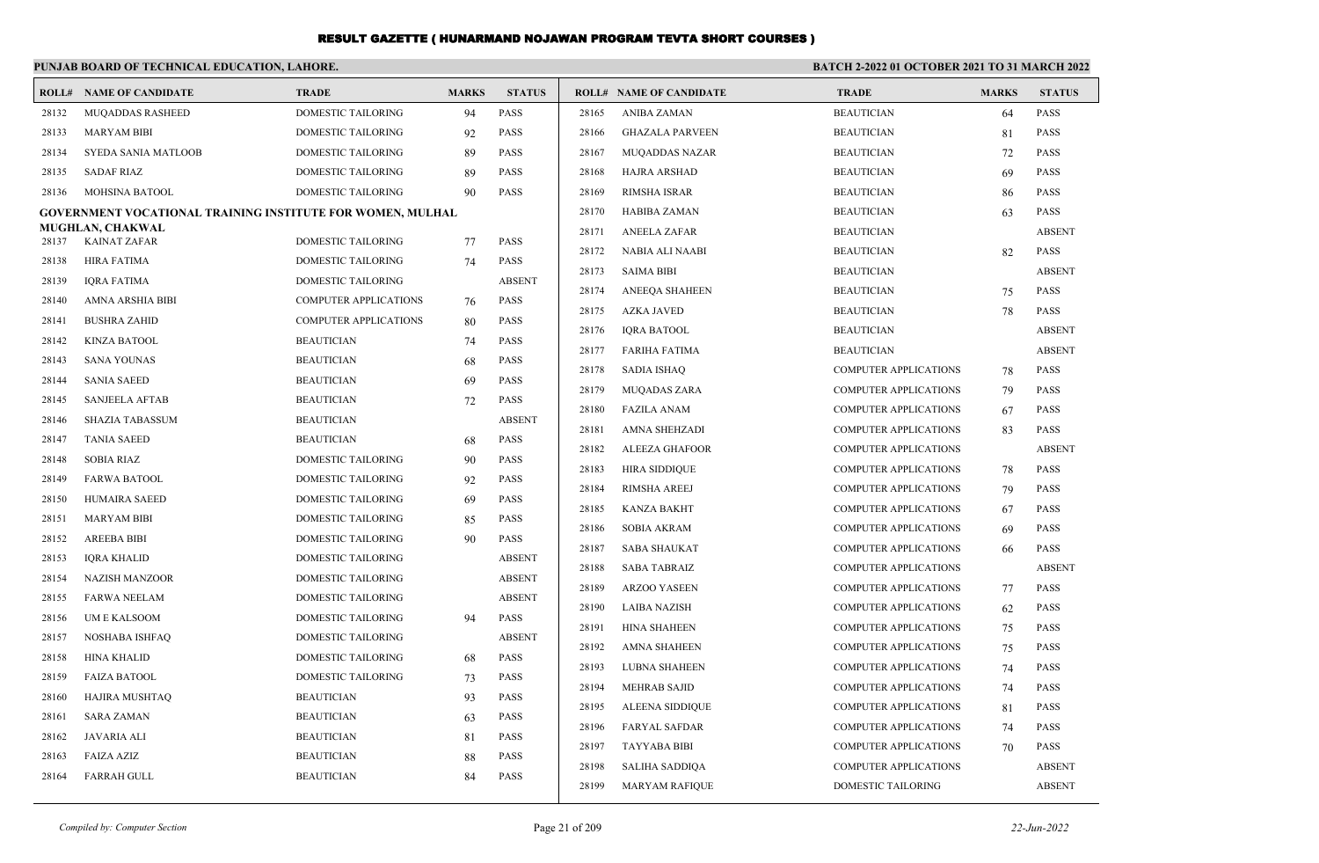|       | PUNJAB BOARD OF TECHNICAL EDUCATION, LAHORE.                      |                              |              |               | <b>BATCH 2-2022 01 OCTOBER 2021 TO 31 MARCH 2022</b> |                                |                              |              |               |  |
|-------|-------------------------------------------------------------------|------------------------------|--------------|---------------|------------------------------------------------------|--------------------------------|------------------------------|--------------|---------------|--|
|       | <b>ROLL# NAME OF CANDIDATE</b>                                    | <b>TRADE</b>                 | <b>MARKS</b> | <b>STATUS</b> |                                                      | <b>ROLL# NAME OF CANDIDATE</b> | <b>TRADE</b>                 | <b>MARKS</b> | <b>STATUS</b> |  |
| 28132 | <b>MUQADDAS RASHEED</b>                                           | <b>DOMESTIC TAILORING</b>    | 94           | <b>PASS</b>   | 28165                                                | <b>ANIBA ZAMAN</b>             | <b>BEAUTICIAN</b>            | 64           | <b>PASS</b>   |  |
| 28133 | <b>MARYAM BIBI</b>                                                | DOMESTIC TAILORING           | 92           | <b>PASS</b>   | 28166                                                | <b>GHAZALA PARVEEN</b>         | <b>BEAUTICIAN</b>            | 81           | <b>PASS</b>   |  |
| 28134 | SYEDA SANIA MATLOOB                                               | DOMESTIC TAILORING           | 89           | <b>PASS</b>   | 28167                                                | <b>MUQADDAS NAZAR</b>          | <b>BEAUTICIAN</b>            | 72           | <b>PASS</b>   |  |
| 28135 | SADAF RIAZ                                                        | DOMESTIC TAILORING           | 89           | <b>PASS</b>   | 28168                                                | HAJRA ARSHAD                   | <b>BEAUTICIAN</b>            | 69           | <b>PASS</b>   |  |
| 28136 | MOHSINA BATOOL                                                    | DOMESTIC TAILORING           | 90           | <b>PASS</b>   | 28169                                                | RIMSHA ISRAR                   | <b>BEAUTICIAN</b>            | 86           | <b>PASS</b>   |  |
|       | <b>GOVERNMENT VOCATIONAL TRAINING INSTITUTE FOR WOMEN, MULHAL</b> |                              |              |               | 28170                                                | HABIBA ZAMAN                   | <b>BEAUTICIAN</b>            | 63           | <b>PASS</b>   |  |
| 28137 | <b>MUGHLAN, CHAKWAL</b><br>KAINAT ZAFAR                           | <b>DOMESTIC TAILORING</b>    | 77           | <b>PASS</b>   | 28171                                                | <b>ANEELA ZAFAR</b>            | <b>BEAUTICIAN</b>            |              | <b>ABSENT</b> |  |
| 28138 | HIRA FATIMA                                                       | DOMESTIC TAILORING           | 74           | <b>PASS</b>   | 28172                                                | NABIA ALI NAABI                | <b>BEAUTICIAN</b>            | 82           | <b>PASS</b>   |  |
| 28139 | <b>IQRA FATIMA</b>                                                | DOMESTIC TAILORING           |              | <b>ABSENT</b> | 28173                                                | <b>SAIMA BIBI</b>              | <b>BEAUTICIAN</b>            |              | <b>ABSENT</b> |  |
| 28140 | AMNA ARSHIA BIBI                                                  | <b>COMPUTER APPLICATIONS</b> | 76           | <b>PASS</b>   | 28174                                                | ANEEQA SHAHEEN                 | <b>BEAUTICIAN</b>            | 75           | <b>PASS</b>   |  |
| 28141 | <b>BUSHRA ZAHID</b>                                               | <b>COMPUTER APPLICATIONS</b> | 80           | <b>PASS</b>   | 28175                                                | <b>AZKA JAVED</b>              | <b>BEAUTICIAN</b>            | 78           | <b>PASS</b>   |  |
| 28142 | KINZA BATOOL                                                      | <b>BEAUTICIAN</b>            | 74           | <b>PASS</b>   | 28176                                                | IQRA BATOOL                    | <b>BEAUTICIAN</b>            |              | <b>ABSENT</b> |  |
| 28143 | SANA YOUNAS                                                       | <b>BEAUTICIAN</b>            | 68           | <b>PASS</b>   | 28177                                                | FARIHA FATIMA                  | <b>BEAUTICIAN</b>            |              | <b>ABSENT</b> |  |
| 28144 | <b>SANIA SAEED</b>                                                | <b>BEAUTICIAN</b>            | 69           | <b>PASS</b>   | 28178                                                | <b>SADIA ISHAQ</b>             | <b>COMPUTER APPLICATIONS</b> | 78           | <b>PASS</b>   |  |
| 28145 | <b>SANJEELA AFTAB</b>                                             | <b>BEAUTICIAN</b>            | 72           | <b>PASS</b>   | 28179                                                | <b>MUQADAS ZARA</b>            | <b>COMPUTER APPLICATIONS</b> | 79           | <b>PASS</b>   |  |
| 28146 | <b>SHAZIA TABASSUM</b>                                            | <b>BEAUTICIAN</b>            |              | <b>ABSENT</b> | 28180                                                | <b>FAZILA ANAM</b>             | <b>COMPUTER APPLICATIONS</b> | 67           | <b>PASS</b>   |  |
| 28147 | <b>TANIA SAEED</b>                                                | <b>BEAUTICIAN</b>            | 68           | <b>PASS</b>   | 28181                                                | AMNA SHEHZADI                  | <b>COMPUTER APPLICATIONS</b> | 83           | <b>PASS</b>   |  |
| 28148 | <b>SOBIA RIAZ</b>                                                 | <b>DOMESTIC TAILORING</b>    | 90           | <b>PASS</b>   | 28182                                                | ALEEZA GHAFOOR                 | <b>COMPUTER APPLICATIONS</b> |              | <b>ABSENT</b> |  |
| 28149 | <b>FARWA BATOOL</b>                                               | DOMESTIC TAILORING           | 92           | <b>PASS</b>   | 28183                                                | <b>HIRA SIDDIQUE</b>           | <b>COMPUTER APPLICATIONS</b> | 78           | <b>PASS</b>   |  |
| 28150 | HUMAIRA SAEED                                                     | DOMESTIC TAILORING           | 69           | <b>PASS</b>   | 28184                                                | <b>RIMSHA AREEJ</b>            | <b>COMPUTER APPLICATIONS</b> | 79           | <b>PASS</b>   |  |
| 28151 | <b>MARYAM BIBI</b>                                                | <b>DOMESTIC TAILORING</b>    | 85           | <b>PASS</b>   | 28185                                                | KANZA BAKHT                    | <b>COMPUTER APPLICATIONS</b> | 67           | <b>PASS</b>   |  |
| 28152 | <b>AREEBA BIBI</b>                                                | DOMESTIC TAILORING           | 90           | <b>PASS</b>   | 28186                                                | SOBIA AKRAM                    | <b>COMPUTER APPLICATIONS</b> | -69          | <b>PASS</b>   |  |
| 28153 | IQRA KHALID                                                       | DOMESTIC TAILORING           |              | <b>ABSENT</b> | 28187                                                | SABA SHAUKAT                   | <b>COMPUTER APPLICATIONS</b> | 66           | <b>PASS</b>   |  |
| 28154 | NAZISH MANZOOR                                                    | DOMESTIC TAILORING           |              | <b>ABSENT</b> | 28188                                                | SABA TABRAIZ                   | <b>COMPUTER APPLICATIONS</b> |              | <b>ABSENT</b> |  |
| 28155 | <b>FARWA NEELAM</b>                                               | DOMESTIC TAILORING           |              | <b>ABSENT</b> | 28189                                                | ARZOO YASEEN                   | <b>COMPUTER APPLICATIONS</b> | 77           | <b>PASS</b>   |  |
| 28156 | UM E KALSOOM                                                      | DOMESTIC TAILORING           | 94           | <b>PASS</b>   | 28190                                                | LAIBA NAZISH                   | <b>COMPUTER APPLICATIONS</b> | 62           | <b>PASS</b>   |  |
| 28157 | NOSHABA ISHFAQ                                                    | <b>DOMESTIC TAILORING</b>    |              | <b>ABSENT</b> | 28191                                                | <b>HINA SHAHEEN</b>            | <b>COMPUTER APPLICATIONS</b> | 75           | <b>PASS</b>   |  |
| 28158 | HINA KHALID                                                       | DOMESTIC TAILORING           | 68           | <b>PASS</b>   | 28192                                                | AMNA SHAHEEN                   | <b>COMPUTER APPLICATIONS</b> | 75           | <b>PASS</b>   |  |
| 28159 | <b>FAIZA BATOOL</b>                                               | DOMESTIC TAILORING           | 73           | <b>PASS</b>   | 28193                                                | LUBNA SHAHEEN                  | <b>COMPUTER APPLICATIONS</b> | 74           | <b>PASS</b>   |  |
| 28160 | HAJIRA MUSHTAQ                                                    | <b>BEAUTICIAN</b>            | 93           | PASS          | 28194                                                | MEHRAB SAJID                   | <b>COMPUTER APPLICATIONS</b> | 74           | <b>PASS</b>   |  |
| 28161 | <b>SARA ZAMAN</b>                                                 | <b>BEAUTICIAN</b>            | 63           | PASS          | 28195                                                | ALEENA SIDDIQUE                | <b>COMPUTER APPLICATIONS</b> | 81           | <b>PASS</b>   |  |
| 28162 | JAVARIA ALI                                                       | <b>BEAUTICIAN</b>            | 81           | PASS          | 28196                                                | <b>FARYAL SAFDAR</b>           | <b>COMPUTER APPLICATIONS</b> | 74           | PASS          |  |
| 28163 | <b>FAIZA AZIZ</b>                                                 | <b>BEAUTICIAN</b>            | 88           | PASS          | 28197                                                | <b>TAYYABA BIBI</b>            | <b>COMPUTER APPLICATIONS</b> | 70           | <b>PASS</b>   |  |
| 28164 | <b>FARRAH GULL</b>                                                | <b>BEAUTICIAN</b>            | 84           | PASS          | 28198                                                | SALIHA SADDIQA                 | <b>COMPUTER APPLICATIONS</b> |              | <b>ABSENT</b> |  |
|       |                                                                   |                              |              |               | 28199                                                | <b>MARYAM RAFIQUE</b>          | <b>DOMESTIC TAILORING</b>    |              | <b>ABSENT</b> |  |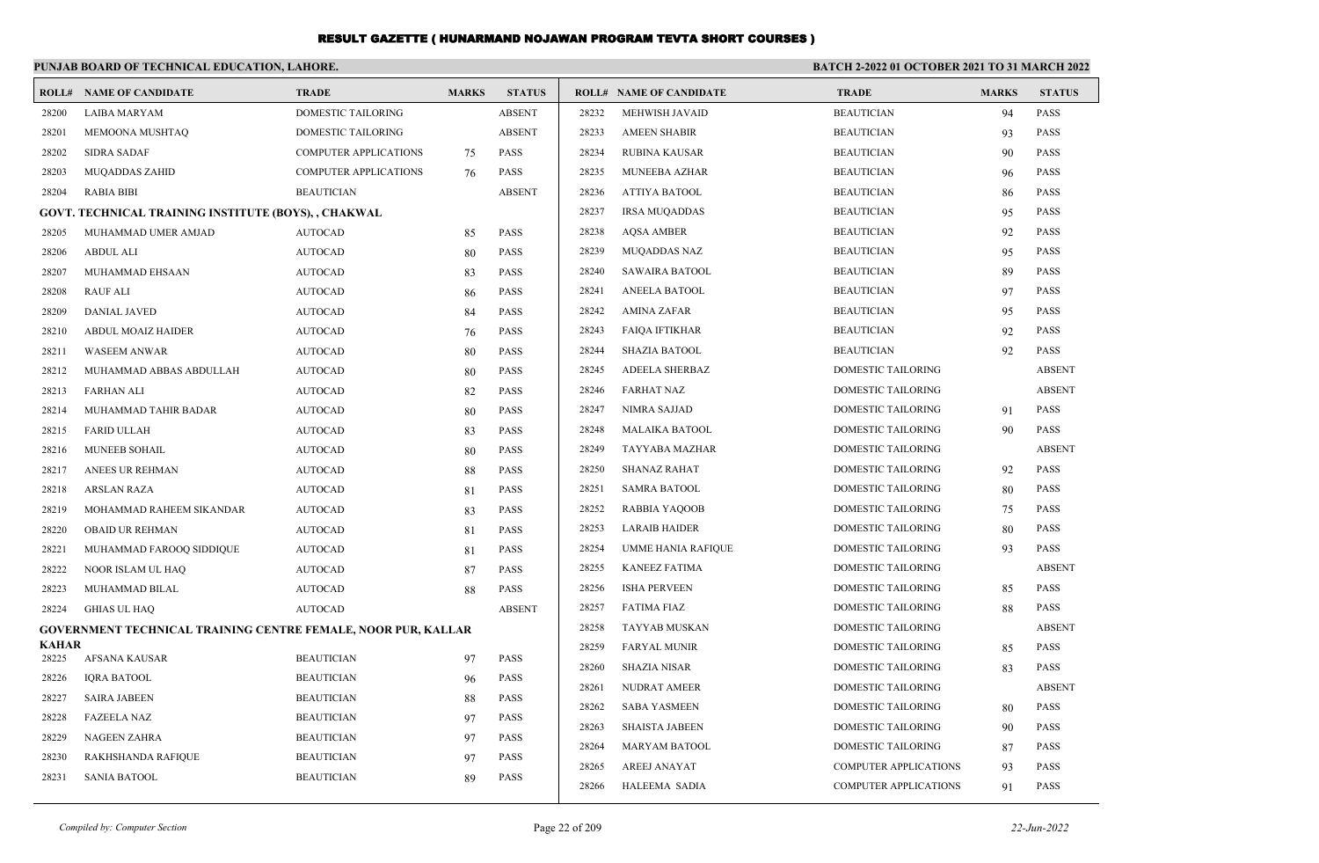|                       | PUNJAB BOARD OF TECHNICAL EDUCATION, LAHORE.                         |                              |              |               |       |                                |                              | <b>BATCH 2-2022 01 OCTOBER 2021 TO 31 MARCH 2022</b> |               |  |
|-----------------------|----------------------------------------------------------------------|------------------------------|--------------|---------------|-------|--------------------------------|------------------------------|------------------------------------------------------|---------------|--|
|                       | <b>ROLL# NAME OF CANDIDATE</b>                                       | <b>TRADE</b>                 | <b>MARKS</b> | <b>STATUS</b> |       | <b>ROLL# NAME OF CANDIDATE</b> | <b>TRADE</b>                 | <b>MARKS</b>                                         | <b>STATUS</b> |  |
| 28200                 | <b>LAIBA MARYAM</b>                                                  | <b>DOMESTIC TAILORING</b>    |              | <b>ABSENT</b> | 28232 | MEHWISH JAVAID                 | <b>BEAUTICIAN</b>            | 94                                                   | <b>PASS</b>   |  |
| 28201                 | MEMOONA MUSHTAQ                                                      | DOMESTIC TAILORING           |              | <b>ABSENT</b> | 28233 | <b>AMEEN SHABIR</b>            | <b>BEAUTICIAN</b>            | 93                                                   | <b>PASS</b>   |  |
| 28202                 | <b>SIDRA SADAF</b>                                                   | <b>COMPUTER APPLICATIONS</b> | 75           | <b>PASS</b>   | 28234 | <b>RUBINA KAUSAR</b>           | <b>BEAUTICIAN</b>            | 90                                                   | <b>PASS</b>   |  |
| 28203                 | MUQADDAS ZAHID                                                       | COMPUTER APPLICATIONS        | 76           | <b>PASS</b>   | 28235 | MUNEEBA AZHAR                  | <b>BEAUTICIAN</b>            | 96                                                   | <b>PASS</b>   |  |
| 28204                 | <b>RABIA BIBI</b>                                                    | <b>BEAUTICIAN</b>            |              | <b>ABSENT</b> | 28236 | <b>ATTIYA BATOOL</b>           | <b>BEAUTICIAN</b>            | 86                                                   | <b>PASS</b>   |  |
|                       | GOVT. TECHNICAL TRAINING INSTITUTE (BOYS), , CHAKWAL                 |                              |              |               | 28237 | <b>IRSA MUQADDAS</b>           | <b>BEAUTICIAN</b>            | 95                                                   | <b>PASS</b>   |  |
| 28205                 | MUHAMMAD UMER AMJAD                                                  | <b>AUTOCAD</b>               | 85           | <b>PASS</b>   | 28238 | <b>AQSA AMBER</b>              | <b>BEAUTICIAN</b>            | 92                                                   | <b>PASS</b>   |  |
| 28206                 | <b>ABDUL ALI</b>                                                     | <b>AUTOCAD</b>               | 80           | <b>PASS</b>   | 28239 | <b>MUQADDAS NAZ</b>            | <b>BEAUTICIAN</b>            | 95                                                   | <b>PASS</b>   |  |
| 28207                 | MUHAMMAD EHSAAN                                                      | <b>AUTOCAD</b>               | 83           | <b>PASS</b>   | 28240 | <b>SAWAIRA BATOOL</b>          | <b>BEAUTICIAN</b>            | 89                                                   | <b>PASS</b>   |  |
| 28208                 | <b>RAUF ALI</b>                                                      | <b>AUTOCAD</b>               | 86           | <b>PASS</b>   | 28241 | ANEELA BATOOL                  | <b>BEAUTICIAN</b>            | 97                                                   | <b>PASS</b>   |  |
| 28209                 | <b>DANIAL JAVED</b>                                                  | <b>AUTOCAD</b>               | 84           | <b>PASS</b>   | 28242 | <b>AMINA ZAFAR</b>             | <b>BEAUTICIAN</b>            | 95                                                   | <b>PASS</b>   |  |
| 28210                 | ABDUL MOAIZ HAIDER                                                   | <b>AUTOCAD</b>               | 76           | <b>PASS</b>   | 28243 | <b>FAIQA IFTIKHAR</b>          | <b>BEAUTICIAN</b>            | 92                                                   | <b>PASS</b>   |  |
| 28211                 | <b>WASEEM ANWAR</b>                                                  | <b>AUTOCAD</b>               | 80           | <b>PASS</b>   | 28244 | <b>SHAZIA BATOOL</b>           | <b>BEAUTICIAN</b>            | 92                                                   | <b>PASS</b>   |  |
| 28212                 | MUHAMMAD ABBAS ABDULLAH                                              | <b>AUTOCAD</b>               | 80           | <b>PASS</b>   | 28245 | <b>ADEELA SHERBAZ</b>          | DOMESTIC TAILORING           |                                                      | <b>ABSENT</b> |  |
| 28213                 | <b>FARHAN ALI</b>                                                    | <b>AUTOCAD</b>               | 82           | <b>PASS</b>   | 28246 | <b>FARHAT NAZ</b>              | DOMESTIC TAILORING           |                                                      | <b>ABSENT</b> |  |
| 28214                 | MUHAMMAD TAHIR BADAR                                                 | <b>AUTOCAD</b>               | 80           | <b>PASS</b>   | 28247 | <b>NIMRA SAJJAD</b>            | DOMESTIC TAILORING           | 91                                                   | <b>PASS</b>   |  |
| 28215                 | <b>FARID ULLAH</b>                                                   | <b>AUTOCAD</b>               | 83           | <b>PASS</b>   | 28248 | <b>MALAIKA BATOOL</b>          | DOMESTIC TAILORING           | 90                                                   | <b>PASS</b>   |  |
| 28216                 | MUNEEB SOHAIL                                                        | <b>AUTOCAD</b>               | 80           | <b>PASS</b>   | 28249 | TAYYABA MAZHAR                 | DOMESTIC TAILORING           |                                                      | <b>ABSENT</b> |  |
| 28217                 | ANEES UR REHMAN                                                      | <b>AUTOCAD</b>               | 88           | <b>PASS</b>   | 28250 | <b>SHANAZ RAHAT</b>            | DOMESTIC TAILORING           | 92                                                   | <b>PASS</b>   |  |
| 28218                 | <b>ARSLAN RAZA</b>                                                   | <b>AUTOCAD</b>               | 81           | <b>PASS</b>   | 28251 | <b>SAMRA BATOOL</b>            | DOMESTIC TAILORING           | 80                                                   | <b>PASS</b>   |  |
| 28219                 | MOHAMMAD RAHEEM SIKANDAR                                             | <b>AUTOCAD</b>               | 83           | <b>PASS</b>   | 28252 | RABBIA YAQOOB                  | DOMESTIC TAILORING           | 75                                                   | <b>PASS</b>   |  |
| 28220                 | <b>OBAID UR REHMAN</b>                                               | <b>AUTOCAD</b>               | 81           | <b>PASS</b>   | 28253 | <b>LARAIB HAIDER</b>           | DOMESTIC TAILORING           | 80                                                   | <b>PASS</b>   |  |
| 28221                 | MUHAMMAD FAROOQ SIDDIQUE                                             | <b>AUTOCAD</b>               | 81           | <b>PASS</b>   | 28254 | <b>UMME HANIA RAFIQUE</b>      | DOMESTIC TAILORING           | 93                                                   | <b>PASS</b>   |  |
| 28222                 | NOOR ISLAM UL HAQ                                                    | <b>AUTOCAD</b>               | 87           | <b>PASS</b>   | 28255 | <b>KANEEZ FATIMA</b>           | DOMESTIC TAILORING           |                                                      | <b>ABSENT</b> |  |
| 28223                 | MUHAMMAD BILAL                                                       | <b>AUTOCAD</b>               | 88           | <b>PASS</b>   | 28256 | <b>ISHA PERVEEN</b>            | DOMESTIC TAILORING           | 85                                                   | <b>PASS</b>   |  |
| 28224                 | <b>GHIAS UL HAQ</b>                                                  | <b>AUTOCAD</b>               |              | <b>ABSENT</b> | 28257 | <b>FATIMA FIAZ</b>             | DOMESTIC TAILORING           | 88                                                   | <b>PASS</b>   |  |
|                       | <b>GOVERNMENT TECHNICAL TRAINING CENTRE FEMALE, NOOR PUR, KALLAR</b> |                              |              |               | 28258 | <b>TAYYAB MUSKAN</b>           | DOMESTIC TAILORING           |                                                      | <b>ABSENT</b> |  |
| <b>KAHAR</b><br>28225 | AFSANA KAUSAR                                                        | <b>BEAUTICIAN</b>            | 97           | <b>PASS</b>   | 28259 | <b>FARYAL MUNIR</b>            | DOMESTIC TAILORING           | 85                                                   | <b>PASS</b>   |  |
| 28226                 | <b>IQRA BATOOL</b>                                                   | <b>BEAUTICIAN</b>            | 96           | <b>PASS</b>   | 28260 | <b>SHAZIA NISAR</b>            | DOMESTIC TAILORING           | 83                                                   | <b>PASS</b>   |  |
| 28227                 | <b>SAIRA JABEEN</b>                                                  | <b>BEAUTICIAN</b>            | 88           | PASS          | 28261 | NUDRAT AMEER                   | DOMESTIC TAILORING           |                                                      | <b>ABSENT</b> |  |
| 28228                 | <b>FAZEELA NAZ</b>                                                   | <b>BEAUTICIAN</b>            | 97           | <b>PASS</b>   | 28262 | <b>SABA YASMEEN</b>            | DOMESTIC TAILORING           | 80                                                   | <b>PASS</b>   |  |
| 28229                 | <b>NAGEEN ZAHRA</b>                                                  | <b>BEAUTICIAN</b>            | 97           | <b>PASS</b>   | 28263 | <b>SHAISTA JABEEN</b>          | DOMESTIC TAILORING           | 90                                                   | <b>PASS</b>   |  |
| 28230                 | RAKHSHANDA RAFIQUE                                                   | <b>BEAUTICIAN</b>            | 97           | PASS          | 28264 | MARYAM BATOOL                  | DOMESTIC TAILORING           | 87                                                   | <b>PASS</b>   |  |
| 28231                 | <b>SANIA BATOOL</b>                                                  | <b>BEAUTICIAN</b>            | 89           | <b>PASS</b>   | 28265 | <b>AREEJ ANAYAT</b>            | <b>COMPUTER APPLICATIONS</b> | 93                                                   | <b>PASS</b>   |  |
|                       |                                                                      |                              |              |               | 28266 | <b>HALEEMA SADIA</b>           | <b>COMPUTER APPLICATIONS</b> | 91                                                   | <b>PASS</b>   |  |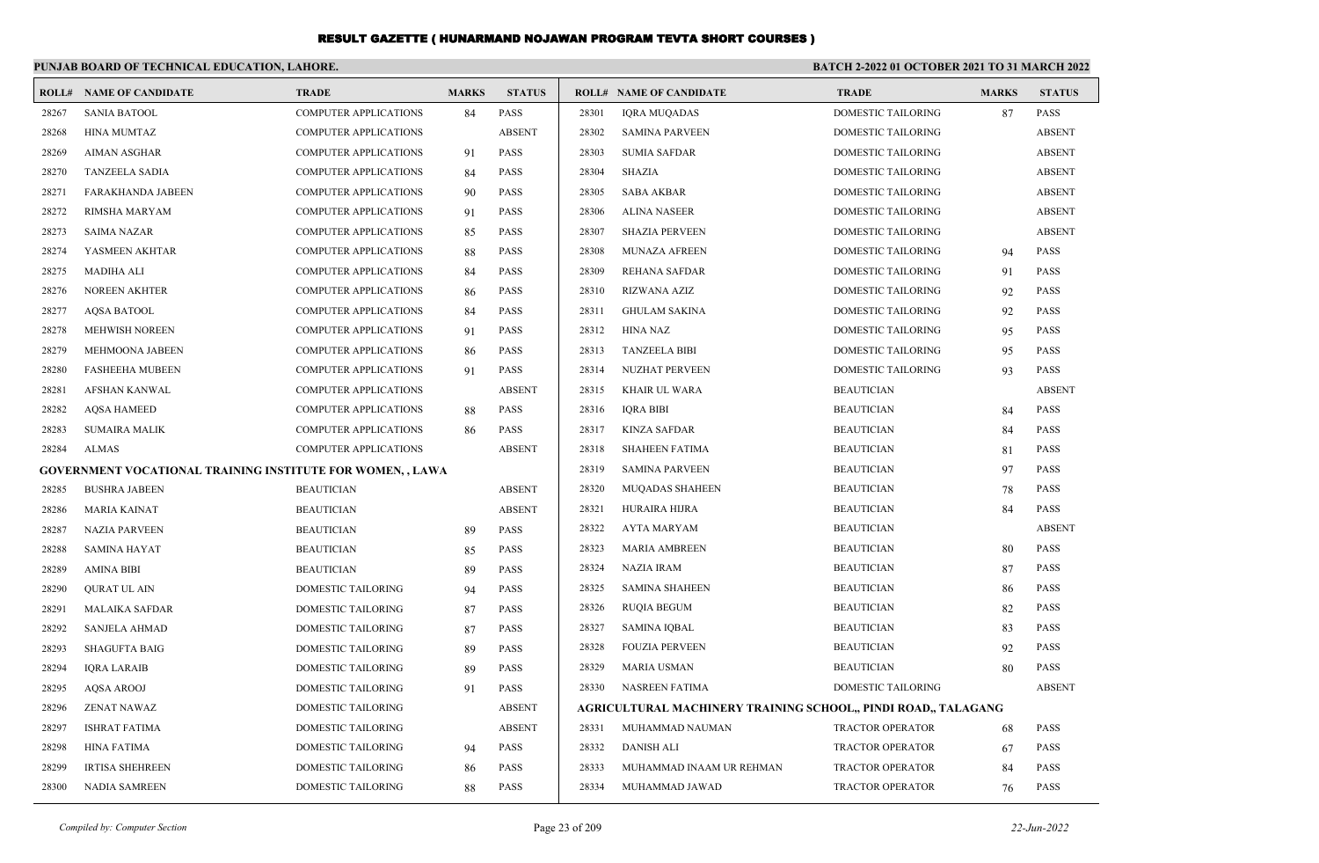|       | PUNJAB BOARD OF TECHNICAL EDUCATION, LAHORE.                      |                              |              |               | <b>BATCH 2-2022 01 OCTOBER 2021 TO 31 MARCH 2022</b> |                                                                |                           |              |               |
|-------|-------------------------------------------------------------------|------------------------------|--------------|---------------|------------------------------------------------------|----------------------------------------------------------------|---------------------------|--------------|---------------|
|       | <b>ROLL# NAME OF CANDIDATE</b>                                    | <b>TRADE</b>                 | <b>MARKS</b> | <b>STATUS</b> |                                                      | <b>ROLL# NAME OF CANDIDATE</b>                                 | <b>TRADE</b>              | <b>MARKS</b> | <b>STATUS</b> |
| 28267 | <b>SANIA BATOOL</b>                                               | <b>COMPUTER APPLICATIONS</b> | 84           | <b>PASS</b>   | 28301                                                | <b>IQRA MUQADAS</b>                                            | <b>DOMESTIC TAILORING</b> | 87           | <b>PASS</b>   |
| 28268 | HINA MUMTAZ                                                       | COMPUTER APPLICATIONS        |              | <b>ABSENT</b> | 28302                                                | <b>SAMINA PARVEEN</b>                                          | <b>DOMESTIC TAILORING</b> |              | <b>ABSENT</b> |
| 28269 | <b>AIMAN ASGHAR</b>                                               | <b>COMPUTER APPLICATIONS</b> | 91           | <b>PASS</b>   | 28303                                                | <b>SUMIA SAFDAR</b>                                            | DOMESTIC TAILORING        |              | <b>ABSENT</b> |
| 28270 | TANZEELA SADIA                                                    | <b>COMPUTER APPLICATIONS</b> | 84           | <b>PASS</b>   | 28304                                                | SHAZIA                                                         | DOMESTIC TAILORING        |              | <b>ABSENT</b> |
| 28271 | FARAKHANDA JABEEN                                                 | COMPUTER APPLICATIONS        | 90           | <b>PASS</b>   | 28305                                                | <b>SABA AKBAR</b>                                              | DOMESTIC TAILORING        |              | <b>ABSENT</b> |
| 28272 | <b>RIMSHA MARYAM</b>                                              | COMPUTER APPLICATIONS        | 91           | <b>PASS</b>   | 28306                                                | <b>ALINA NASEER</b>                                            | DOMESTIC TAILORING        |              | <b>ABSENT</b> |
| 28273 | <b>SAIMA NAZAR</b>                                                | <b>COMPUTER APPLICATIONS</b> | 85           | <b>PASS</b>   | 28307                                                | <b>SHAZIA PERVEEN</b>                                          | <b>DOMESTIC TAILORING</b> |              | <b>ABSENT</b> |
| 28274 | YASMEEN AKHTAR                                                    | <b>COMPUTER APPLICATIONS</b> | 88           | <b>PASS</b>   | 28308                                                | MUNAZA AFREEN                                                  | DOMESTIC TAILORING        | 94           | <b>PASS</b>   |
| 28275 | <b>MADIHA ALI</b>                                                 | COMPUTER APPLICATIONS        | 84           | <b>PASS</b>   | 28309                                                | <b>REHANA SAFDAR</b>                                           | DOMESTIC TAILORING        | 91           | <b>PASS</b>   |
| 28276 | NOREEN AKHTER                                                     | COMPUTER APPLICATIONS        | 86           | <b>PASS</b>   | 28310                                                | RIZWANA AZIZ                                                   | DOMESTIC TAILORING        | 92           | <b>PASS</b>   |
| 28277 | AQSA BATOOL                                                       | COMPUTER APPLICATIONS        | 84           | <b>PASS</b>   | 28311                                                | <b>GHULAM SAKINA</b>                                           | DOMESTIC TAILORING        | 92           | <b>PASS</b>   |
| 28278 | <b>MEHWISH NOREEN</b>                                             | <b>COMPUTER APPLICATIONS</b> | 91           | <b>PASS</b>   | 28312                                                | HINA NAZ                                                       | DOMESTIC TAILORING        | 95           | <b>PASS</b>   |
| 28279 | MEHMOONA JABEEN                                                   | COMPUTER APPLICATIONS        | 86           | <b>PASS</b>   | 28313                                                | <b>TANZEELA BIBI</b>                                           | DOMESTIC TAILORING        | 95           | <b>PASS</b>   |
| 28280 | <b>FASHEEHA MUBEEN</b>                                            | COMPUTER APPLICATIONS        | 91           | <b>PASS</b>   | 28314                                                | NUZHAT PERVEEN                                                 | <b>DOMESTIC TAILORING</b> | 93           | <b>PASS</b>   |
| 28281 | AFSHAN KANWAL                                                     | <b>COMPUTER APPLICATIONS</b> |              | <b>ABSENT</b> | 28315                                                | <b>KHAIR UL WARA</b>                                           | <b>BEAUTICIAN</b>         |              | <b>ABSENT</b> |
| 28282 | <b>AQSA HAMEED</b>                                                | COMPUTER APPLICATIONS        | 88           | <b>PASS</b>   | 28316                                                | <b>IQRA BIBI</b>                                               | <b>BEAUTICIAN</b>         | 84           | <b>PASS</b>   |
| 28283 | <b>SUMAIRA MALIK</b>                                              | COMPUTER APPLICATIONS        | 86           | <b>PASS</b>   | 28317                                                | KINZA SAFDAR                                                   | <b>BEAUTICIAN</b>         | 84           | <b>PASS</b>   |
| 28284 | ALMAS                                                             | <b>COMPUTER APPLICATIONS</b> |              | <b>ABSENT</b> | 28318                                                | <b>SHAHEEN FATIMA</b>                                          | <b>BEAUTICIAN</b>         | 81           | <b>PASS</b>   |
|       | <b>GOVERNMENT VOCATIONAL TRAINING INSTITUTE FOR WOMEN, , LAWA</b> |                              |              |               | 28319                                                | <b>SAMINA PARVEEN</b>                                          | <b>BEAUTICIAN</b>         | 97           | <b>PASS</b>   |
| 28285 | <b>BUSHRA JABEEN</b>                                              | <b>BEAUTICIAN</b>            |              | <b>ABSENT</b> | 28320                                                | <b>MUQADAS SHAHEEN</b>                                         | <b>BEAUTICIAN</b>         | 78           | <b>PASS</b>   |
| 28286 | <b>MARIA KAINAT</b>                                               | <b>BEAUTICIAN</b>            |              | <b>ABSENT</b> | 28321                                                | HURAIRA HIJRA                                                  | <b>BEAUTICIAN</b>         | 84           | <b>PASS</b>   |
| 28287 | <b>NAZIA PARVEEN</b>                                              | <b>BEAUTICIAN</b>            | 89           | <b>PASS</b>   | 28322                                                | AYTA MARYAM                                                    | <b>BEAUTICIAN</b>         |              | <b>ABSENT</b> |
| 28288 | <b>SAMINA HAYAT</b>                                               | <b>BEAUTICIAN</b>            | 85           | <b>PASS</b>   | 28323                                                | <b>MARIA AMBREEN</b>                                           | <b>BEAUTICIAN</b>         | 80           | <b>PASS</b>   |
| 28289 | <b>AMINA BIBI</b>                                                 | <b>BEAUTICIAN</b>            | 89           | <b>PASS</b>   | 28324                                                | <b>NAZIA IRAM</b>                                              | <b>BEAUTICIAN</b>         | 87           | <b>PASS</b>   |
| 28290 | QURAT UL AIN                                                      | DOMESTIC TAILORING           | 94           | <b>PASS</b>   | 28325                                                | SAMINA SHAHEEN                                                 | <b>BEAUTICIAN</b>         | 86           | <b>PASS</b>   |
| 28291 | <b>MALAIKA SAFDAR</b>                                             | DOMESTIC TAILORING           | 87           | <b>PASS</b>   | 28326                                                | RUQIA BEGUM                                                    | <b>BEAUTICIAN</b>         | 82           | <b>PASS</b>   |
| 28292 | <b>SANJELA AHMAD</b>                                              | <b>DOMESTIC TAILORING</b>    | 87           | <b>PASS</b>   | 28327                                                | <b>SAMINA IQBAL</b>                                            | <b>BEAUTICIAN</b>         | 83           | <b>PASS</b>   |
| 28293 | <b>SHAGUFTA BAIG</b>                                              | DOMESTIC TAILORING           | 89           | <b>PASS</b>   | 28328                                                | <b>FOUZIA PERVEEN</b>                                          | <b>BEAUTICIAN</b>         | 92           | <b>PASS</b>   |
| 28294 | <b>IQRA LARAIB</b>                                                | <b>DOMESTIC TAILORING</b>    | 89           | <b>PASS</b>   | 28329                                                | <b>MARIA USMAN</b>                                             | <b>BEAUTICIAN</b>         | 80           | <b>PASS</b>   |
| 28295 | AQSA AROOJ                                                        | DOMESTIC TAILORING           | 91           | PASS          | 28330                                                | NASREEN FATIMA                                                 | DOMESTIC TAILORING        |              | <b>ABSENT</b> |
| 28296 | ZENAT NAWAZ                                                       | DOMESTIC TAILORING           |              | <b>ABSENT</b> |                                                      | AGRICULTURAL MACHINERY TRAINING SCHOOL,, PINDI ROAD,, TALAGANG |                           |              |               |
| 28297 | <b>ISHRAT FATIMA</b>                                              | DOMESTIC TAILORING           |              | <b>ABSENT</b> | 28331                                                | MUHAMMAD NAUMAN                                                | TRACTOR OPERATOR          | 68           | <b>PASS</b>   |
| 28298 | HINA FATIMA                                                       | DOMESTIC TAILORING           | 94           | <b>PASS</b>   | 28332                                                | <b>DANISH ALI</b>                                              | <b>TRACTOR OPERATOR</b>   | 67           | <b>PASS</b>   |
| 28299 | <b>IRTISA SHEHREEN</b>                                            | DOMESTIC TAILORING           | 86           | PASS          | 28333                                                | MUHAMMAD INAAM UR REHMAN                                       | <b>TRACTOR OPERATOR</b>   | 84           | PASS          |
| 28300 | NADIA SAMREEN                                                     | DOMESTIC TAILORING           | 88           | PASS          | 28334                                                | MUHAMMAD JAWAD                                                 | TRACTOR OPERATOR          | 76           | PASS          |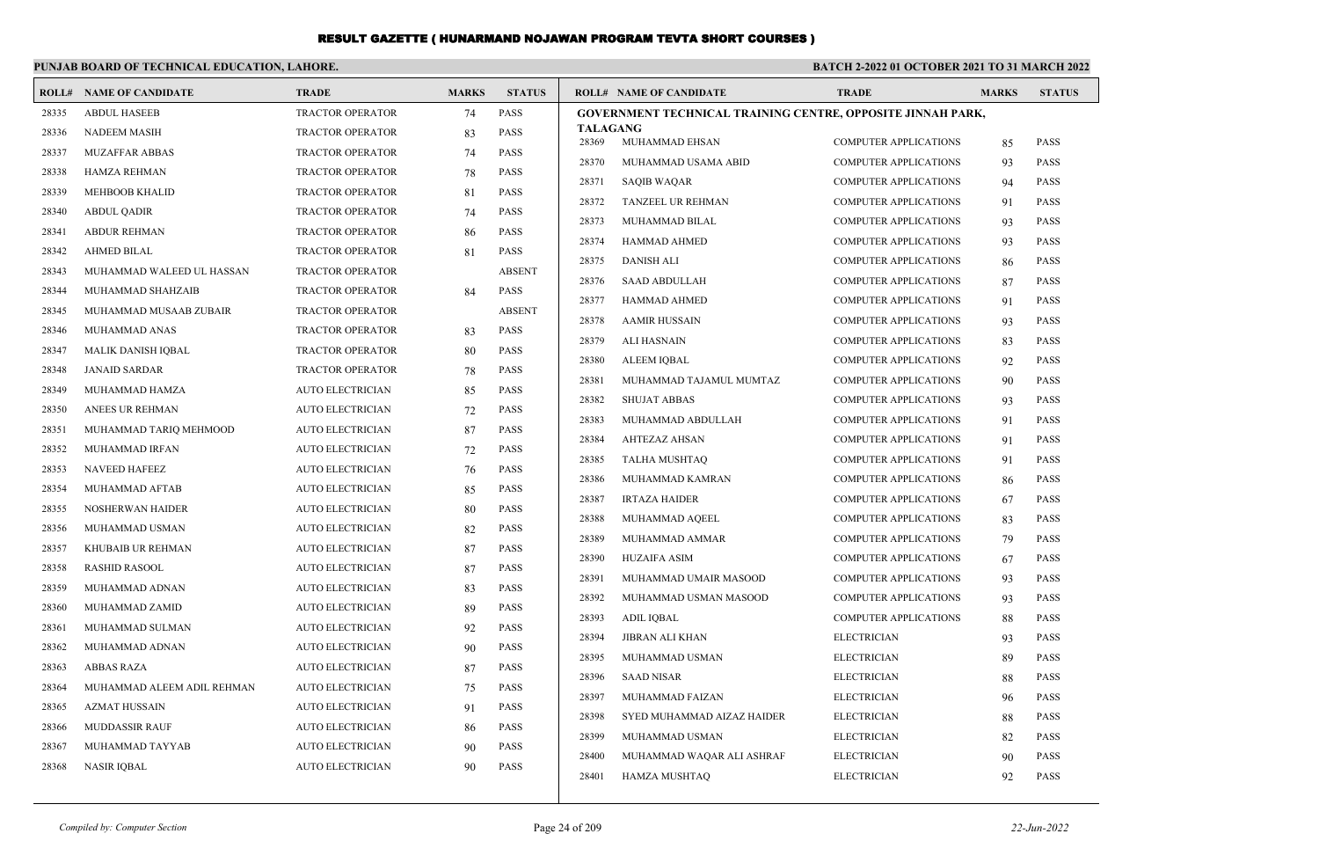|       | PUNJAB BOARD OF TECHNICAL EDUCATION, LAHORE. |                         |              |               | <b>BATCH 2-2022 01 OCTOBER 2021 TO 31 MARCH 2022</b>        |                                                              |              |               |  |
|-------|----------------------------------------------|-------------------------|--------------|---------------|-------------------------------------------------------------|--------------------------------------------------------------|--------------|---------------|--|
|       | <b>ROLL# NAME OF CANDIDATE</b>               | <b>TRADE</b>            | <b>MARKS</b> | <b>STATUS</b> | <b>ROLL# NAME OF CANDIDATE</b>                              | <b>TRADE</b>                                                 | <b>MARKS</b> | <b>STATUS</b> |  |
| 28335 | <b>ABDUL HASEEB</b>                          | <b>TRACTOR OPERATOR</b> | 74           | <b>PASS</b>   | GOVERNMENT TECHNICAL TRAINING CENTRE, OPPOSITE JINNAH PARK, |                                                              |              |               |  |
| 28336 | <b>NADEEM MASIH</b>                          | <b>TRACTOR OPERATOR</b> | 83           | <b>PASS</b>   | <b>TALAGANG</b><br>28369<br>MUHAMMAD EHSAN                  | <b>COMPUTER APPLICATIONS</b>                                 |              | PASS          |  |
| 28337 | <b>MUZAFFAR ABBAS</b>                        | <b>TRACTOR OPERATOR</b> | 74           | <b>PASS</b>   | 28370<br>MUHAMMAD USAMA ABID                                | <b>COMPUTER APPLICATIONS</b>                                 | 85<br>93     | PASS          |  |
| 28338 | HAMZA REHMAN                                 | <b>TRACTOR OPERATOR</b> | 78           | <b>PASS</b>   | 28371<br><b>SAQIB WAQAR</b>                                 | <b>COMPUTER APPLICATIONS</b>                                 | 94           | <b>PASS</b>   |  |
| 28339 | <b>MEHBOOB KHALID</b>                        | <b>TRACTOR OPERATOR</b> | 81           | <b>PASS</b>   | 28372<br>TANZEEL UR REHMAN                                  | COMPUTER APPLICATIONS                                        |              | PASS          |  |
| 28340 | <b>ABDUL QADIR</b>                           | <b>TRACTOR OPERATOR</b> | 74           | <b>PASS</b>   | 28373<br>MUHAMMAD BILAL                                     | COMPUTER APPLICATIONS                                        | 91<br>93     | PASS          |  |
| 28341 | <b>ABDUR REHMAN</b>                          | <b>TRACTOR OPERATOR</b> | 86           | <b>PASS</b>   | 28374<br>HAMMAD AHMED                                       | <b>COMPUTER APPLICATIONS</b>                                 | 93           | PASS          |  |
| 28342 | <b>AHMED BILAL</b>                           | <b>TRACTOR OPERATOR</b> | 81           | <b>PASS</b>   | 28375<br><b>DANISH ALI</b>                                  | <b>COMPUTER APPLICATIONS</b>                                 | 86           | <b>PASS</b>   |  |
| 28343 | MUHAMMAD WALEED UL HASSAN                    | <b>TRACTOR OPERATOR</b> |              | <b>ABSENT</b> | 28376<br><b>SAAD ABDULLAH</b>                               | <b>COMPUTER APPLICATIONS</b>                                 | 87           | <b>PASS</b>   |  |
| 28344 | MUHAMMAD SHAHZAIB                            | <b>TRACTOR OPERATOR</b> | 84           | <b>PASS</b>   | 28377<br><b>HAMMAD AHMED</b>                                | <b>COMPUTER APPLICATIONS</b>                                 |              | PASS          |  |
| 28345 | MUHAMMAD MUSAAB ZUBAIR                       | <b>TRACTOR OPERATOR</b> |              | <b>ABSENT</b> | 28378                                                       | COMPUTER APPLICATIONS                                        | 91           | PASS          |  |
| 28346 | MUHAMMAD ANAS                                | <b>TRACTOR OPERATOR</b> | 83           | <b>PASS</b>   | <b>AAMIR HUSSAIN</b><br>28379                               |                                                              | 93           | PASS          |  |
| 28347 | <b>MALIK DANISH IQBAL</b>                    | <b>TRACTOR OPERATOR</b> | 80           | <b>PASS</b>   | ALI HASNAIN<br>28380<br><b>ALEEM IOBAL</b>                  | <b>COMPUTER APPLICATIONS</b><br><b>COMPUTER APPLICATIONS</b> | 83           | PASS          |  |
| 28348 | <b>JANAID SARDAR</b>                         | <b>TRACTOR OPERATOR</b> | 78           | <b>PASS</b>   | 28381<br>MUHAMMAD TAJAMUL MUMTAZ                            | <b>COMPUTER APPLICATIONS</b>                                 | 92           | PASS          |  |
| 28349 | MUHAMMAD HAMZA                               | <b>AUTO ELECTRICIAN</b> | 85           | <b>PASS</b>   | 28382<br><b>SHUJAT ABBAS</b>                                | <b>COMPUTER APPLICATIONS</b>                                 | 90           | PASS          |  |
| 28350 | ANEES UR REHMAN                              | <b>AUTO ELECTRICIAN</b> | 72           | <b>PASS</b>   | 28383<br>MUHAMMAD ABDULLAH                                  | <b>COMPUTER APPLICATIONS</b>                                 | 93           | <b>PASS</b>   |  |
| 28351 | MUHAMMAD TARIQ MEHMOOD                       | <b>AUTO ELECTRICIAN</b> | 87           | <b>PASS</b>   | 28384<br><b>AHTEZAZ AHSAN</b>                               | COMPUTER APPLICATIONS                                        | 91           | PASS          |  |
| 28352 | MUHAMMAD IRFAN                               | <b>AUTO ELECTRICIAN</b> | 72           | <b>PASS</b>   | 28385<br>TALHA MUSHTAQ                                      | COMPUTER APPLICATIONS                                        | 91<br>91     | PASS          |  |
| 28353 | <b>NAVEED HAFEEZ</b>                         | <b>AUTO ELECTRICIAN</b> | 76           | <b>PASS</b>   | 28386<br>MUHAMMAD KAMRAN                                    | COMPUTER APPLICATIONS                                        | 86           | PASS          |  |
| 28354 | MUHAMMAD AFTAB                               | <b>AUTO ELECTRICIAN</b> | 85           | <b>PASS</b>   | 28387<br><b>IRTAZA HAIDER</b>                               | COMPUTER APPLICATIONS                                        | 67           | <b>PASS</b>   |  |
| 28355 | NOSHERWAN HAIDER                             | <b>AUTO ELECTRICIAN</b> | 80           | <b>PASS</b>   | 28388<br>MUHAMMAD AQEEL                                     | <b>COMPUTER APPLICATIONS</b>                                 | 83           | <b>PASS</b>   |  |
| 28356 | MUHAMMAD USMAN                               | <b>AUTO ELECTRICIAN</b> | 82           | <b>PASS</b>   | 28389<br>MUHAMMAD AMMAR                                     | <b>COMPUTER APPLICATIONS</b>                                 | 79           | <b>PASS</b>   |  |
| 28357 | KHUBAIB UR REHMAN                            | <b>AUTO ELECTRICIAN</b> | 87           | <b>PASS</b>   | 28390<br><b>HUZAIFA ASIM</b>                                | <b>COMPUTER APPLICATIONS</b>                                 | 67           | PASS          |  |
| 28358 | <b>RASHID RASOOL</b>                         | <b>AUTO ELECTRICIAN</b> | 87           | <b>PASS</b>   | 28391<br>MUHAMMAD UMAIR MASOOD                              | COMPUTER APPLICATIONS                                        | 93           | <b>PASS</b>   |  |
| 28359 | MUHAMMAD ADNAN                               | <b>AUTO ELECTRICIAN</b> | 83           | <b>PASS</b>   | 28392<br>MUHAMMAD USMAN MASOOD                              | <b>COMPUTER APPLICATIONS</b>                                 | 93           | <b>PASS</b>   |  |
| 28360 | MUHAMMAD ZAMID                               | <b>AUTO ELECTRICIAN</b> | 89           | <b>PASS</b>   | 28393<br><b>ADIL IQBAL</b>                                  | <b>COMPUTER APPLICATIONS</b>                                 | 88           | <b>PASS</b>   |  |
| 28361 | MUHAMMAD SULMAN                              | <b>AUTO ELECTRICIAN</b> | 92           | <b>PASS</b>   | 28394<br>JIBRAN ALI KHAN                                    | <b>ELECTRICIAN</b>                                           | 93           | PASS          |  |
| 28362 | MUHAMMAD ADNAN                               | <b>AUTO ELECTRICIAN</b> | 90           | <b>PASS</b>   | 28395<br>MUHAMMAD USMAN                                     | <b>ELECTRICIAN</b>                                           | 89           | PASS          |  |
| 28363 | <b>ABBAS RAZA</b>                            | <b>AUTO ELECTRICIAN</b> | 87           | <b>PASS</b>   | 28396<br><b>SAAD NISAR</b>                                  | <b>ELECTRICIAN</b>                                           | 88           | <b>PASS</b>   |  |
| 28364 | MUHAMMAD ALEEM ADIL REHMAN                   | <b>AUTO ELECTRICIAN</b> | 75           | <b>PASS</b>   | 28397<br>MUHAMMAD FAIZAN                                    | <b>ELECTRICIAN</b>                                           |              | PASS          |  |
| 28365 | <b>AZMAT HUSSAIN</b>                         | <b>AUTO ELECTRICIAN</b> | 91           | <b>PASS</b>   | 28398<br>SYED MUHAMMAD AIZAZ HAIDER                         | <b>ELECTRICIAN</b>                                           | 96<br>88     | PASS          |  |
| 28366 | <b>MUDDASSIR RAUF</b>                        | <b>AUTO ELECTRICIAN</b> | 86           | PASS          | 28399<br>MUHAMMAD USMAN                                     | <b>ELECTRICIAN</b>                                           | 82           | PASS          |  |
| 28367 | MUHAMMAD TAYYAB                              | <b>AUTO ELECTRICIAN</b> | 90           | <b>PASS</b>   | 28400<br>MUHAMMAD WAQAR ALI ASHRAF                          | <b>ELECTRICIAN</b>                                           | 90           | PASS          |  |
| 28368 | <b>NASIR IQBAL</b>                           | <b>AUTO ELECTRICIAN</b> | 90           | <b>PASS</b>   | 28401<br><b>HAMZA MUSHTAQ</b>                               | <b>ELECTRICIAN</b>                                           | 92           | <b>PASS</b>   |  |
|       |                                              |                         |              |               |                                                             |                                                              |              |               |  |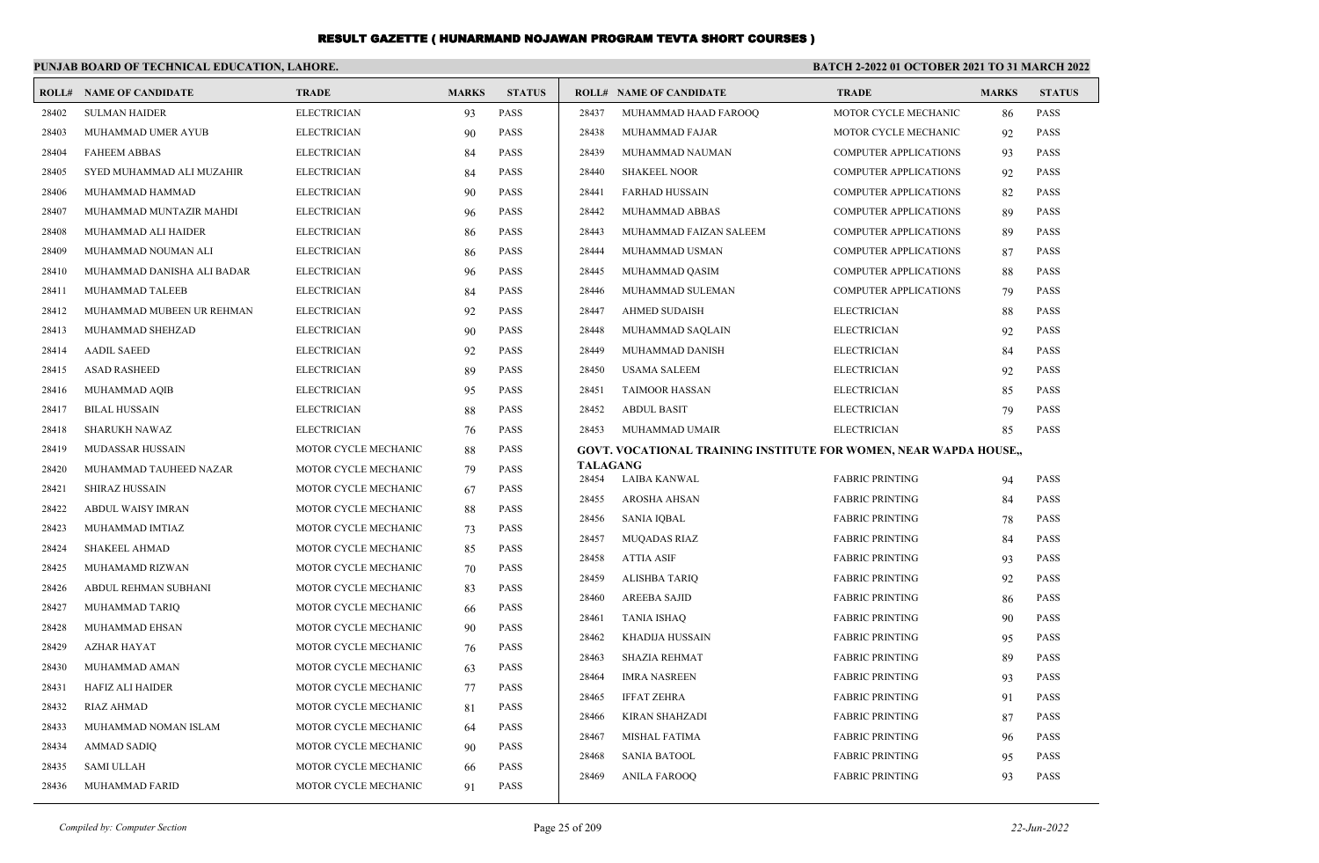|       | PUNJAB BOARD OF TECHNICAL EDUCATION, LAHORE. |                      |              |               | <b>BATCH 2-2022 01 OCTOBER 2021 TO 31 MARCH 2022</b> |                                                                   |                              |              |               |
|-------|----------------------------------------------|----------------------|--------------|---------------|------------------------------------------------------|-------------------------------------------------------------------|------------------------------|--------------|---------------|
|       | <b>ROLL# NAME OF CANDIDATE</b>               | <b>TRADE</b>         | <b>MARKS</b> | <b>STATUS</b> |                                                      | <b>ROLL# NAME OF CANDIDATE</b>                                    | <b>TRADE</b>                 | <b>MARKS</b> | <b>STATUS</b> |
| 28402 | <b>SULMAN HAIDER</b>                         | <b>ELECTRICIAN</b>   | 93           | <b>PASS</b>   | 28437                                                | MUHAMMAD HAAD FAROOQ                                              | MOTOR CYCLE MECHANIC         | 86           | <b>PASS</b>   |
| 28403 | MUHAMMAD UMER AYUB                           | <b>ELECTRICIAN</b>   | 90           | <b>PASS</b>   | 28438                                                | MUHAMMAD FAJAR                                                    | MOTOR CYCLE MECHANIC         | 92           | PASS          |
| 28404 | <b>FAHEEM ABBAS</b>                          | <b>ELECTRICIAN</b>   | 84           | <b>PASS</b>   | 28439                                                | MUHAMMAD NAUMAN                                                   | <b>COMPUTER APPLICATIONS</b> | 93           | <b>PASS</b>   |
| 28405 | SYED MUHAMMAD ALI MUZAHIR                    | <b>ELECTRICIAN</b>   | 84           | <b>PASS</b>   | 28440                                                | <b>SHAKEEL NOOR</b>                                               | <b>COMPUTER APPLICATIONS</b> | 92           | <b>PASS</b>   |
| 28406 | MUHAMMAD HAMMAD                              | <b>ELECTRICIAN</b>   | 90           | <b>PASS</b>   | 28441                                                | <b>FARHAD HUSSAIN</b>                                             | <b>COMPUTER APPLICATIONS</b> | 82           | <b>PASS</b>   |
| 28407 | MUHAMMAD MUNTAZIR MAHDI                      | <b>ELECTRICIAN</b>   | 96           | <b>PASS</b>   | 28442                                                | MUHAMMAD ABBAS                                                    | <b>COMPUTER APPLICATIONS</b> | 89           | <b>PASS</b>   |
| 28408 | MUHAMMAD ALI HAIDER                          | <b>ELECTRICIAN</b>   | 86           | <b>PASS</b>   | 28443                                                | MUHAMMAD FAIZAN SALEEM                                            | <b>COMPUTER APPLICATIONS</b> | 89           | <b>PASS</b>   |
| 28409 | MUHAMMAD NOUMAN ALI                          | <b>ELECTRICIAN</b>   | 86           | <b>PASS</b>   | 28444                                                | MUHAMMAD USMAN                                                    | <b>COMPUTER APPLICATIONS</b> | 87           | <b>PASS</b>   |
| 28410 | MUHAMMAD DANISHA ALI BADAR                   | <b>ELECTRICIAN</b>   | 96           | <b>PASS</b>   | 28445                                                | MUHAMMAD QASIM                                                    | <b>COMPUTER APPLICATIONS</b> | 88           | <b>PASS</b>   |
| 28411 | MUHAMMAD TALEEB                              | <b>ELECTRICIAN</b>   | 84           | <b>PASS</b>   | 28446                                                | MUHAMMAD SULEMAN                                                  | <b>COMPUTER APPLICATIONS</b> | 79           | <b>PASS</b>   |
| 28412 | MUHAMMAD MUBEEN UR REHMAN                    | <b>ELECTRICIAN</b>   | 92           | <b>PASS</b>   | 28447                                                | <b>AHMED SUDAISH</b>                                              | <b>ELECTRICIAN</b>           | 88           | <b>PASS</b>   |
| 28413 | MUHAMMAD SHEHZAD                             | <b>ELECTRICIAN</b>   | 90           | <b>PASS</b>   | 28448                                                | MUHAMMAD SAQLAIN                                                  | <b>ELECTRICIAN</b>           | 92           | <b>PASS</b>   |
| 28414 | <b>AADIL SAEED</b>                           | <b>ELECTRICIAN</b>   | 92           | <b>PASS</b>   | 28449                                                | MUHAMMAD DANISH                                                   | <b>ELECTRICIAN</b>           | 84           | <b>PASS</b>   |
| 28415 | <b>ASAD RASHEED</b>                          | <b>ELECTRICIAN</b>   | 89           | <b>PASS</b>   | 28450                                                | <b>USAMA SALEEM</b>                                               | <b>ELECTRICIAN</b>           | 92           | <b>PASS</b>   |
| 28416 | MUHAMMAD AQIB                                | <b>ELECTRICIAN</b>   | 95           | <b>PASS</b>   | 28451                                                | <b>TAIMOOR HASSAN</b>                                             | <b>ELECTRICIAN</b>           | 85           | <b>PASS</b>   |
| 28417 | <b>BILAL HUSSAIN</b>                         | <b>ELECTRICIAN</b>   | 88           | <b>PASS</b>   | 28452                                                | <b>ABDUL BASIT</b>                                                | <b>ELECTRICIAN</b>           | 79           | <b>PASS</b>   |
| 28418 | <b>SHARUKH NAWAZ</b>                         | <b>ELECTRICIAN</b>   | 76           | <b>PASS</b>   | 28453                                                | MUHAMMAD UMAIR                                                    | <b>ELECTRICIAN</b>           | 85           | <b>PASS</b>   |
| 28419 | <b>MUDASSAR HUSSAIN</b>                      | MOTOR CYCLE MECHANIC | 88           | <b>PASS</b>   |                                                      | GOVT. VOCATIONAL TRAINING INSTITUTE FOR WOMEN, NEAR WAPDA HOUSE,, |                              |              |               |
| 28420 | MUHAMMAD TAUHEED NAZAR                       | MOTOR CYCLE MECHANIC | 79           | <b>PASS</b>   | <b>TALAGANG</b><br>28454                             | LAIBA KANWAL                                                      | <b>FABRIC PRINTING</b>       | 94           | <b>PASS</b>   |
| 28421 | <b>SHIRAZ HUSSAIN</b>                        | MOTOR CYCLE MECHANIC | 67           | <b>PASS</b>   | 28455                                                | <b>AROSHA AHSAN</b>                                               | <b>FABRIC PRINTING</b>       | 84           | PASS          |
| 28422 | ABDUL WAISY IMRAN                            | MOTOR CYCLE MECHANIC | 88           | <b>PASS</b>   | 28456                                                | <b>SANIA IOBAL</b>                                                | <b>FABRIC PRINTING</b>       | 78           | <b>PASS</b>   |
| 28423 | MUHAMMAD IMTIAZ                              | MOTOR CYCLE MECHANIC | 73           | <b>PASS</b>   | 28457                                                | <b>MUQADAS RIAZ</b>                                               | <b>FABRIC PRINTING</b>       | 84           | <b>PASS</b>   |
| 28424 | <b>SHAKEEL AHMAD</b>                         | MOTOR CYCLE MECHANIC | 85           | <b>PASS</b>   | 28458                                                | <b>ATTIA ASIF</b>                                                 | <b>FABRIC PRINTING</b>       | 93           | <b>PASS</b>   |
| 28425 | MUHAMAMD RIZWAN                              | MOTOR CYCLE MECHANIC | 70           | <b>PASS</b>   | 28459                                                | <b>ALISHBA TARIQ</b>                                              | <b>FABRIC PRINTING</b>       | 92           | <b>PASS</b>   |
| 28426 | ABDUL REHMAN SUBHANI                         | MOTOR CYCLE MECHANIC | 83           | <b>PASS</b>   | 28460                                                | <b>AREEBA SAJID</b>                                               | <b>FABRIC PRINTING</b>       | 86           | <b>PASS</b>   |
| 28427 | MUHAMMAD TARIQ                               | MOTOR CYCLE MECHANIC | -66          | <b>PASS</b>   | 28461                                                | <b>TANIA ISHAQ</b>                                                | <b>FABRIC PRINTING</b>       | 90           | <b>PASS</b>   |
| 28428 | MUHAMMAD EHSAN                               | MOTOR CYCLE MECHANIC | 90           | <b>PASS</b>   | 28462                                                | KHADIJA HUSSAIN                                                   | <b>FABRIC PRINTING</b>       | 95           | <b>PASS</b>   |
| 28429 | <b>AZHAR HAYAT</b>                           | MOTOR CYCLE MECHANIC | 76           | <b>PASS</b>   | 28463                                                | <b>SHAZIA REHMAT</b>                                              | <b>FABRIC PRINTING</b>       | 89           | <b>PASS</b>   |
| 28430 | MUHAMMAD AMAN                                | MOTOR CYCLE MECHANIC | 63           | <b>PASS</b>   | 28464                                                | <b>IMRA NASREEN</b>                                               | <b>FABRIC PRINTING</b>       | 93           | <b>PASS</b>   |
| 28431 | <b>HAFIZ ALI HAIDER</b>                      | MOTOR CYCLE MECHANIC | 77           | <b>PASS</b>   | 28465                                                | <b>IFFAT ZEHRA</b>                                                | <b>FABRIC PRINTING</b>       | 91           | <b>PASS</b>   |
| 28432 | <b>RIAZ AHMAD</b>                            | MOTOR CYCLE MECHANIC | 81           | <b>PASS</b>   | 28466                                                | <b>KIRAN SHAHZADI</b>                                             | <b>FABRIC PRINTING</b>       | 87           | <b>PASS</b>   |
| 28433 | MUHAMMAD NOMAN ISLAM                         | MOTOR CYCLE MECHANIC | 64           | <b>PASS</b>   | 28467                                                | <b>MISHAL FATIMA</b>                                              | <b>FABRIC PRINTING</b>       | 96           | <b>PASS</b>   |
| 28434 | <b>AMMAD SADIQ</b>                           | MOTOR CYCLE MECHANIC | 90           | <b>PASS</b>   | 28468                                                | <b>SANIA BATOOL</b>                                               | <b>FABRIC PRINTING</b>       | 95           | <b>PASS</b>   |
| 28435 | <b>SAMI ULLAH</b>                            | MOTOR CYCLE MECHANIC | 66           | <b>PASS</b>   | 28469                                                | <b>ANILA FAROOO</b>                                               | <b>FABRIC PRINTING</b>       | 93           | <b>PASS</b>   |
| 28436 | MUHAMMAD FARID                               | MOTOR CYCLE MECHANIC | 91           | <b>PASS</b>   |                                                      |                                                                   |                              |              |               |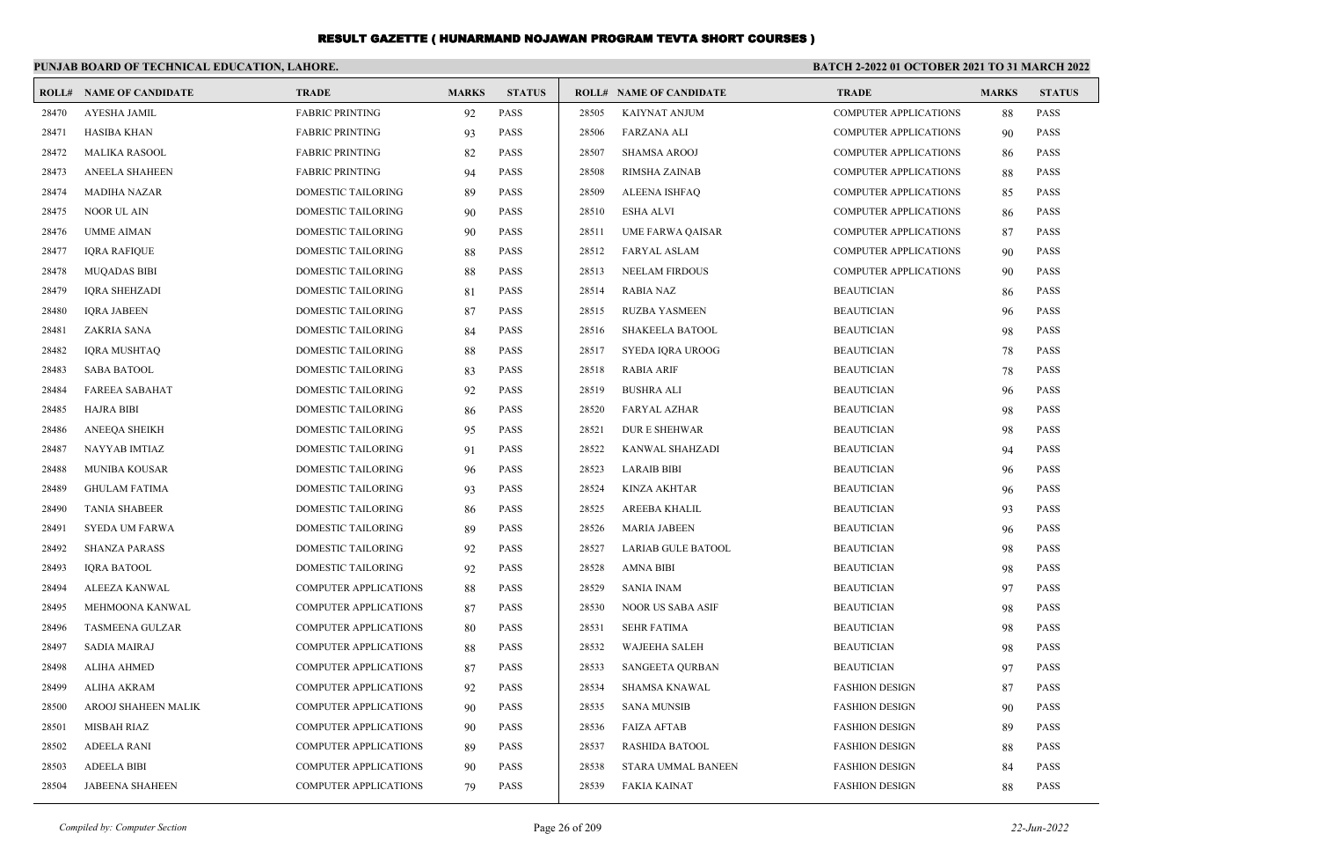|       | PUNJAB BOARD OF TECHNICAL EDUCATION, LAHORE. |                              |              |               |       |                                | BATCH 2-2022 01 OCTOBER 2021 TO 31 MARCH 2022 |              |               |
|-------|----------------------------------------------|------------------------------|--------------|---------------|-------|--------------------------------|-----------------------------------------------|--------------|---------------|
|       | <b>ROLL# NAME OF CANDIDATE</b>               | <b>TRADE</b>                 | <b>MARKS</b> | <b>STATUS</b> |       | <b>ROLL# NAME OF CANDIDATE</b> | <b>TRADE</b>                                  | <b>MARKS</b> | <b>STATUS</b> |
| 28470 | <b>AYESHA JAMIL</b>                          | <b>FABRIC PRINTING</b>       | 92           | <b>PASS</b>   | 28505 | <b>KAIYNAT ANJUM</b>           | <b>COMPUTER APPLICATIONS</b>                  | 88           | PASS          |
| 28471 | <b>HASIBA KHAN</b>                           | <b>FABRIC PRINTING</b>       | 93           | <b>PASS</b>   | 28506 | <b>FARZANA ALI</b>             | <b>COMPUTER APPLICATIONS</b>                  | 90           | PASS          |
| 28472 | <b>MALIKA RASOOL</b>                         | <b>FABRIC PRINTING</b>       | 82           | <b>PASS</b>   | 28507 | <b>SHAMSA AROOJ</b>            | <b>COMPUTER APPLICATIONS</b>                  | 86           | <b>PASS</b>   |
| 28473 | <b>ANEELA SHAHEEN</b>                        | <b>FABRIC PRINTING</b>       | 94           | <b>PASS</b>   | 28508 | <b>RIMSHA ZAINAB</b>           | COMPUTER APPLICATIONS                         | 88           | PASS          |
| 28474 | <b>MADIHA NAZAR</b>                          | <b>DOMESTIC TAILORING</b>    | 89           | PASS          | 28509 | <b>ALEENA ISHFAQ</b>           | <b>COMPUTER APPLICATIONS</b>                  | 85           | <b>PASS</b>   |
| 28475 | <b>NOOR UL AIN</b>                           | <b>DOMESTIC TAILORING</b>    | 90           | <b>PASS</b>   | 28510 | <b>ESHA ALVI</b>               | <b>COMPUTER APPLICATIONS</b>                  | 86           | <b>PASS</b>   |
| 28476 | <b>UMME AIMAN</b>                            | DOMESTIC TAILORING           | 90           | PASS          | 28511 | <b>UME FARWA QAISAR</b>        | <b>COMPUTER APPLICATIONS</b>                  | 87           | <b>PASS</b>   |
| 28477 | <b>IQRA RAFIQUE</b>                          | <b>DOMESTIC TAILORING</b>    | 88           | PASS          | 28512 | <b>FARYAL ASLAM</b>            | <b>COMPUTER APPLICATIONS</b>                  | 90           | PASS          |
| 28478 | <b>MUQADAS BIBI</b>                          | DOMESTIC TAILORING           | 88           | PASS          | 28513 | <b>NEELAM FIRDOUS</b>          | <b>COMPUTER APPLICATIONS</b>                  | 90           | PASS          |
| 28479 | <b>IQRA SHEHZADI</b>                         | DOMESTIC TAILORING           | 81           | <b>PASS</b>   | 28514 | <b>RABIA NAZ</b>               | <b>BEAUTICIAN</b>                             | 86           | <b>PASS</b>   |
| 28480 | <b>IORA JABEEN</b>                           | DOMESTIC TAILORING           | 87           | <b>PASS</b>   | 28515 | <b>RUZBA YASMEEN</b>           | <b>BEAUTICIAN</b>                             | 96           | <b>PASS</b>   |
| 28481 | ZAKRIA SANA                                  | DOMESTIC TAILORING           | 84           | PASS          | 28516 | <b>SHAKEELA BATOOL</b>         | <b>BEAUTICIAN</b>                             | 98           | <b>PASS</b>   |
| 28482 | <b>IQRA MUSHTAQ</b>                          | <b>DOMESTIC TAILORING</b>    | 88           | PASS          | 28517 | SYEDA IQRA UROOG               | <b>BEAUTICIAN</b>                             | 78           | PASS          |
| 28483 | <b>SABA BATOOL</b>                           | DOMESTIC TAILORING           | 83           | PASS          | 28518 | <b>RABIA ARIF</b>              | <b>BEAUTICIAN</b>                             | 78           | <b>PASS</b>   |
| 28484 | <b>FAREEA SABAHAT</b>                        | DOMESTIC TAILORING           | 92           | PASS          | 28519 | <b>BUSHRA ALI</b>              | <b>BEAUTICIAN</b>                             | 96           | PASS          |
| 28485 | <b>HAJRA BIBI</b>                            | DOMESTIC TAILORING           | 86           | PASS          | 28520 | FARYAL AZHAR                   | <b>BEAUTICIAN</b>                             | 98           | PASS          |
| 28486 | <b>ANEEQA SHEIKH</b>                         | <b>DOMESTIC TAILORING</b>    | 95           | PASS          | 28521 | <b>DURE SHEHWAR</b>            | <b>BEAUTICIAN</b>                             | 98           | PASS          |
| 28487 | NAYYAB IMTIAZ                                | DOMESTIC TAILORING           | 91           | <b>PASS</b>   | 28522 | KANWAL SHAHZADI                | <b>BEAUTICIAN</b>                             | 94           | PASS          |
| 28488 | MUNIBA KOUSAR                                | DOMESTIC TAILORING           | 96           | <b>PASS</b>   | 28523 | <b>LARAIB BIBI</b>             | <b>BEAUTICIAN</b>                             | 96           | PASS          |
| 28489 | <b>GHULAM FATIMA</b>                         | <b>DOMESTIC TAILORING</b>    | 93           | <b>PASS</b>   | 28524 | <b>KINZA AKHTAR</b>            | <b>BEAUTICIAN</b>                             | 96           | <b>PASS</b>   |
| 28490 | <b>TANIA SHABEER</b>                         | <b>DOMESTIC TAILORING</b>    | 86           | <b>PASS</b>   | 28525 | AREEBA KHALIL                  | <b>BEAUTICIAN</b>                             | 93           | PASS          |
| 28491 | <b>SYEDA UM FARWA</b>                        | DOMESTIC TAILORING           | 89           | <b>PASS</b>   | 28526 | <b>MARIA JABEEN</b>            | <b>BEAUTICIAN</b>                             | 96           | PASS          |
| 28492 | <b>SHANZA PARASS</b>                         | <b>DOMESTIC TAILORING</b>    | 92           | <b>PASS</b>   | 28527 | <b>LARIAB GULE BATOOL</b>      | <b>BEAUTICIAN</b>                             | 98           | PASS          |
| 28493 | <b>IORA BATOOL</b>                           | <b>DOMESTIC TAILORING</b>    | 92           | <b>PASS</b>   | 28528 | <b>AMNA BIBI</b>               | <b>BEAUTICIAN</b>                             | 98           | PASS          |
| 28494 | <b>ALEEZA KANWAL</b>                         | <b>COMPUTER APPLICATIONS</b> | 88           | <b>PASS</b>   | 28529 | <b>SANIA INAM</b>              | <b>BEAUTICIAN</b>                             | 97           | PASS          |
| 28495 | MEHMOONA KANWAL                              | <b>COMPUTER APPLICATIONS</b> | 87           | <b>PASS</b>   | 28530 | <b>NOOR US SABA ASIF</b>       | <b>BEAUTICIAN</b>                             | 98           | PASS          |
| 28496 | <b>TASMEENA GULZAR</b>                       | <b>COMPUTER APPLICATIONS</b> | 80           | <b>PASS</b>   | 28531 | <b>SEHR FATIMA</b>             | <b>BEAUTICIAN</b>                             | 98           | <b>PASS</b>   |
| 28497 | <b>SADIA MAIRAJ</b>                          | <b>COMPUTER APPLICATIONS</b> | 88           | <b>PASS</b>   | 28532 | <b>WAJEEHA SALEH</b>           | <b>BEAUTICIAN</b>                             | 98           | PASS          |
| 28498 | <b>ALIHA AHMED</b>                           | COMPUTER APPLICATIONS        | 87           | <b>PASS</b>   | 28533 | <b>SANGEETA QURBAN</b>         | <b>BEAUTICIAN</b>                             | 97           | PASS          |
| 28499 | <b>ALIHA AKRAM</b>                           | <b>COMPUTER APPLICATIONS</b> | 92           | <b>PASS</b>   | 28534 | <b>SHAMSA KNAWAL</b>           | <b>FASHION DESIGN</b>                         | 87           | PASS          |
| 28500 | AROOJ SHAHEEN MALIK                          | <b>COMPUTER APPLICATIONS</b> | 90           | <b>PASS</b>   | 28535 | <b>SANA MUNSIB</b>             | <b>FASHION DESIGN</b>                         | 90           | <b>PASS</b>   |
| 28501 | <b>MISBAH RIAZ</b>                           | <b>COMPUTER APPLICATIONS</b> | 90           | <b>PASS</b>   | 28536 | <b>FAIZA AFTAB</b>             | <b>FASHION DESIGN</b>                         | 89           | <b>PASS</b>   |
| 28502 | <b>ADEELA RANI</b>                           | <b>COMPUTER APPLICATIONS</b> | 89           | PASS          | 28537 | <b>RASHIDA BATOOL</b>          | <b>FASHION DESIGN</b>                         | 88           | PASS          |
| 28503 | <b>ADEELA BIBI</b>                           | <b>COMPUTER APPLICATIONS</b> | 90           | PASS          | 28538 | STARA UMMAL BANEEN             | <b>FASHION DESIGN</b>                         | 84           | PASS          |
| 28504 | <b>JABEENA SHAHEEN</b>                       | <b>COMPUTER APPLICATIONS</b> | 79           | <b>PASS</b>   | 28539 | <b>FAKIA KAINAT</b>            | <b>FASHION DESIGN</b>                         | 88           | <b>PASS</b>   |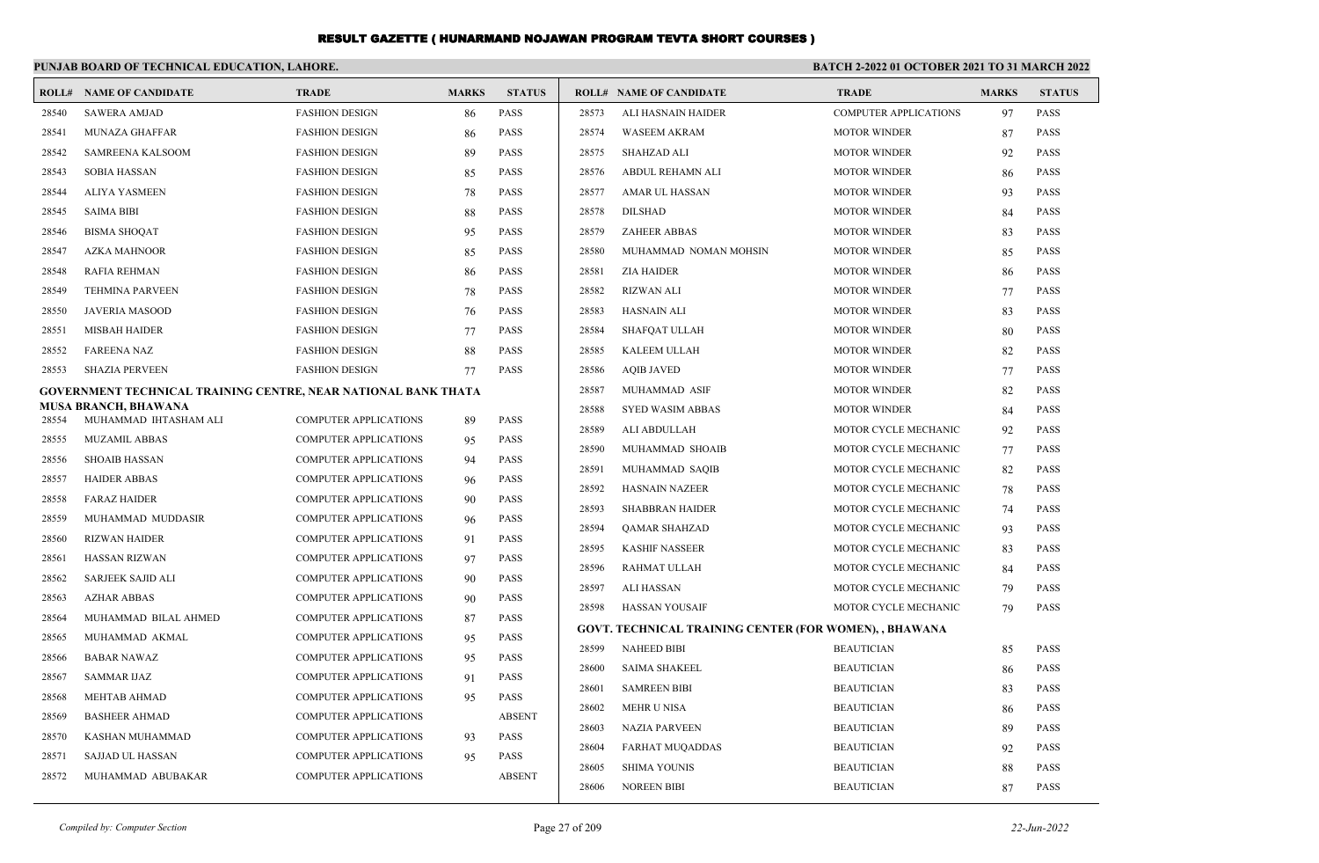|       | PUNJAB BOARD OF TECHNICAL EDUCATION, LAHORE.                          |                              |              | <b>BATCH 2-2022 01 OCTOBER 2021 TO 31 MARCH 2022</b> |       |                                                               |                              |              |               |
|-------|-----------------------------------------------------------------------|------------------------------|--------------|------------------------------------------------------|-------|---------------------------------------------------------------|------------------------------|--------------|---------------|
|       | <b>ROLL# NAME OF CANDIDATE</b>                                        | TRADE                        | <b>MARKS</b> | <b>STATUS</b>                                        |       | <b>ROLL# NAME OF CANDIDATE</b>                                | <b>TRADE</b>                 | <b>MARKS</b> | <b>STATUS</b> |
| 28540 | <b>SAWERA AMJAD</b>                                                   | <b>FASHION DESIGN</b>        | 86           | <b>PASS</b>                                          | 28573 | ALI HASNAIN HAIDER                                            | <b>COMPUTER APPLICATIONS</b> | 97           | <b>PASS</b>   |
| 28541 | <b>MUNAZA GHAFFAR</b>                                                 | <b>FASHION DESIGN</b>        | 86           | <b>PASS</b>                                          | 28574 | <b>WASEEM AKRAM</b>                                           | <b>MOTOR WINDER</b>          | 87           | <b>PASS</b>   |
| 28542 | <b>SAMREENA KALSOOM</b>                                               | <b>FASHION DESIGN</b>        | 89           | <b>PASS</b>                                          | 28575 | <b>SHAHZAD ALI</b>                                            | <b>MOTOR WINDER</b>          | 92           | <b>PASS</b>   |
| 28543 | <b>SOBIA HASSAN</b>                                                   | <b>FASHION DESIGN</b>        | 85           | <b>PASS</b>                                          | 28576 | ABDUL REHAMN ALI                                              | <b>MOTOR WINDER</b>          | 86           | <b>PASS</b>   |
| 28544 | <b>ALIYA YASMEEN</b>                                                  | <b>FASHION DESIGN</b>        | 78           | <b>PASS</b>                                          | 28577 | AMAR UL HASSAN                                                | <b>MOTOR WINDER</b>          | 93           | <b>PASS</b>   |
| 28545 | <b>SAIMA BIBI</b>                                                     | <b>FASHION DESIGN</b>        | 88           | <b>PASS</b>                                          | 28578 | <b>DILSHAD</b>                                                | <b>MOTOR WINDER</b>          | 84           | <b>PASS</b>   |
| 28546 | <b>BISMA SHOOAT</b>                                                   | <b>FASHION DESIGN</b>        | 95           | <b>PASS</b>                                          | 28579 | <b>ZAHEER ABBAS</b>                                           | <b>MOTOR WINDER</b>          | 83           | <b>PASS</b>   |
| 28547 | <b>AZKA MAHNOOR</b>                                                   | <b>FASHION DESIGN</b>        | 85           | <b>PASS</b>                                          | 28580 | MUHAMMAD NOMAN MOHSIN                                         | <b>MOTOR WINDER</b>          | 85           | <b>PASS</b>   |
| 28548 | <b>RAFIA REHMAN</b>                                                   | <b>FASHION DESIGN</b>        | 86           | <b>PASS</b>                                          | 28581 | <b>ZIA HAIDER</b>                                             | <b>MOTOR WINDER</b>          | 86           | <b>PASS</b>   |
| 28549 | <b>TEHMINA PARVEEN</b>                                                | <b>FASHION DESIGN</b>        | 78           | <b>PASS</b>                                          | 28582 | <b>RIZWAN ALI</b>                                             | <b>MOTOR WINDER</b>          | 77           | <b>PASS</b>   |
| 28550 | <b>JAVERIA MASOOD</b>                                                 | <b>FASHION DESIGN</b>        | 76           | <b>PASS</b>                                          | 28583 | HASNAIN ALI                                                   | <b>MOTOR WINDER</b>          | 83           | <b>PASS</b>   |
| 28551 | <b>MISBAH HAIDER</b>                                                  | <b>FASHION DESIGN</b>        | 77           | <b>PASS</b>                                          | 28584 | <b>SHAFOAT ULLAH</b>                                          | <b>MOTOR WINDER</b>          | 80           | <b>PASS</b>   |
| 28552 | <b>FAREENA NAZ</b>                                                    | <b>FASHION DESIGN</b>        | 88           | <b>PASS</b>                                          | 28585 | KALEEM ULLAH                                                  | <b>MOTOR WINDER</b>          | 82           | <b>PASS</b>   |
| 28553 | <b>SHAZIA PERVEEN</b>                                                 | <b>FASHION DESIGN</b>        | 77           | <b>PASS</b>                                          | 28586 | <b>AQIB JAVED</b>                                             | <b>MOTOR WINDER</b>          | 77           | PASS          |
|       | <b>GOVERNMENT TECHNICAL TRAINING CENTRE, NEAR NATIONAL BANK THATA</b> |                              |              |                                                      | 28587 | MUHAMMAD ASIF                                                 | <b>MOTOR WINDER</b>          | 82           | PASS          |
| 28554 | <b>MUSA BRANCH, BHAWANA</b><br>MUHAMMAD IHTASHAM ALI                  | <b>COMPUTER APPLICATIONS</b> | 89           | <b>PASS</b>                                          | 28588 | SYED WASIM ABBAS                                              | <b>MOTOR WINDER</b>          | 84           | <b>PASS</b>   |
| 28555 | <b>MUZAMIL ABBAS</b>                                                  | <b>COMPUTER APPLICATIONS</b> | 95           | PASS                                                 | 28589 | ALI ABDULLAH                                                  | MOTOR CYCLE MECHANIC         | 92           | <b>PASS</b>   |
| 28556 | <b>SHOAIB HASSAN</b>                                                  | <b>COMPUTER APPLICATIONS</b> | 94           | <b>PASS</b>                                          | 28590 | MUHAMMAD SHOAIB                                               | MOTOR CYCLE MECHANIC         | 77           | PASS          |
| 28557 | <b>HAIDER ABBAS</b>                                                   | <b>COMPUTER APPLICATIONS</b> | 96           | PASS                                                 | 28591 | MUHAMMAD SAQIB                                                | MOTOR CYCLE MECHANIC         | 82           | <b>PASS</b>   |
| 28558 | <b>FARAZ HAIDER</b>                                                   | <b>COMPUTER APPLICATIONS</b> | 90           | PASS                                                 | 28592 | <b>HASNAIN NAZEER</b>                                         | MOTOR CYCLE MECHANIC         | 78           | <b>PASS</b>   |
| 28559 | MUHAMMAD MUDDASIR                                                     | <b>COMPUTER APPLICATIONS</b> | 96           | <b>PASS</b>                                          | 28593 | <b>SHABBRAN HAIDER</b>                                        | MOTOR CYCLE MECHANIC         | 74           | <b>PASS</b>   |
| 28560 | <b>RIZWAN HAIDER</b>                                                  | <b>COMPUTER APPLICATIONS</b> | 91           | <b>PASS</b>                                          | 28594 | <b>QAMAR SHAHZAD</b>                                          | MOTOR CYCLE MECHANIC         | 93           | PASS          |
| 28561 | <b>HASSAN RIZWAN</b>                                                  | <b>COMPUTER APPLICATIONS</b> | 97           | <b>PASS</b>                                          | 28595 | <b>KASHIF NASSEER</b>                                         | MOTOR CYCLE MECHANIC         | 83           | PASS          |
| 28562 | <b>SARJEEK SAJID ALI</b>                                              | <b>COMPUTER APPLICATIONS</b> | 90           | PASS                                                 | 28596 | RAHMAT ULLAH                                                  | MOTOR CYCLE MECHANIC         | 84           | PASS          |
| 28563 | <b>AZHAR ABBAS</b>                                                    | <b>COMPUTER APPLICATIONS</b> | 90           | <b>PASS</b>                                          | 28597 | <b>ALI HASSAN</b>                                             | MOTOR CYCLE MECHANIC         | 79           | <b>PASS</b>   |
| 28564 | MUHAMMAD BILAL AHMED                                                  | <b>COMPUTER APPLICATIONS</b> | 87           | <b>PASS</b>                                          | 28598 | <b>HASSAN YOUSAIF</b>                                         | MOTOR CYCLE MECHANIC         | 79           | <b>PASS</b>   |
| 28565 | MUHAMMAD AKMAL                                                        | <b>COMPUTER APPLICATIONS</b> | 95           | <b>PASS</b>                                          |       | <b>GOVT. TECHNICAL TRAINING CENTER (FOR WOMEN), , BHAWANA</b> |                              |              |               |
| 28566 | <b>BABAR NAWAZ</b>                                                    | <b>COMPUTER APPLICATIONS</b> | 95           | <b>PASS</b>                                          | 28599 | <b>NAHEED BIBI</b>                                            | <b>BEAUTICIAN</b>            | 85           | <b>PASS</b>   |
| 28567 | <b>SAMMAR IJAZ</b>                                                    | <b>COMPUTER APPLICATIONS</b> | 91           | <b>PASS</b>                                          | 28600 | <b>SAIMA SHAKEEL</b>                                          | <b>BEAUTICIAN</b>            | 86           | <b>PASS</b>   |
| 28568 | <b>MEHTAB AHMAD</b>                                                   | <b>COMPUTER APPLICATIONS</b> | 95           | <b>PASS</b>                                          | 28601 | <b>SAMREEN BIBI</b>                                           | <b>BEAUTICIAN</b>            | 83           | <b>PASS</b>   |
| 28569 | <b>BASHEER AHMAD</b>                                                  | <b>COMPUTER APPLICATIONS</b> |              | <b>ABSENT</b>                                        | 28602 | <b>MEHR U NISA</b>                                            | <b>BEAUTICIAN</b>            | 86           | <b>PASS</b>   |
| 28570 | KASHAN MUHAMMAD                                                       | <b>COMPUTER APPLICATIONS</b> | 93           | <b>PASS</b>                                          | 28603 | <b>NAZIA PARVEEN</b>                                          | <b>BEAUTICIAN</b>            | 89           | PASS          |
| 28571 | <b>SAJJAD UL HASSAN</b>                                               | <b>COMPUTER APPLICATIONS</b> | 95           | <b>PASS</b>                                          | 28604 | <b>FARHAT MUQADDAS</b>                                        | <b>BEAUTICIAN</b>            | 92           | <b>PASS</b>   |
| 28572 | MUHAMMAD ABUBAKAR                                                     | <b>COMPUTER APPLICATIONS</b> |              | <b>ABSENT</b>                                        | 28605 | <b>SHIMA YOUNIS</b>                                           | <b>BEAUTICIAN</b>            | 88           | PASS          |
|       |                                                                       |                              |              |                                                      | 28606 | <b>NOREEN BIBI</b>                                            | <b>BEAUTICIAN</b>            | 87           | PASS          |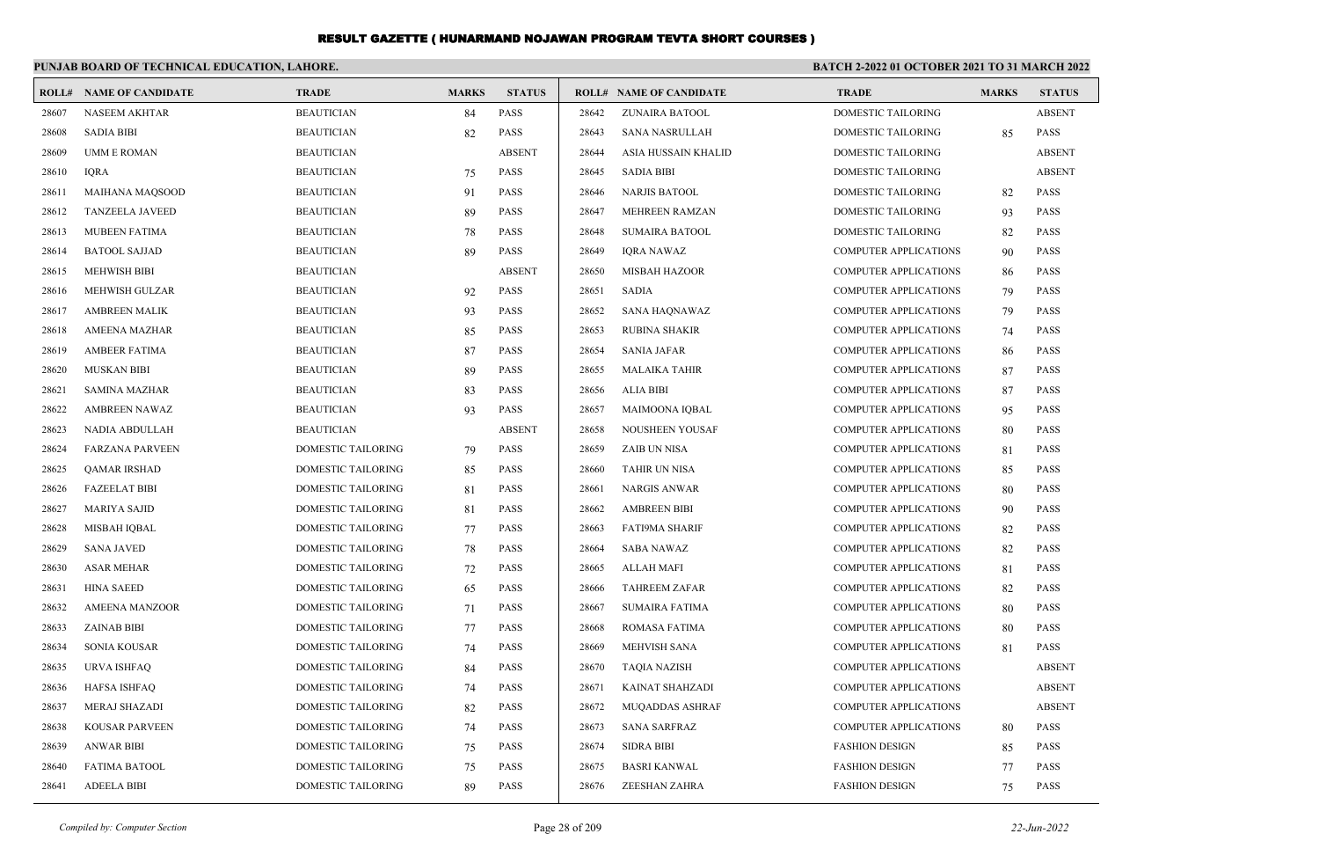|       | PUNJAB BOARD OF TECHNICAL EDUCATION, LAHORE. |                           |              |               | BATCH 2-2022 01 OCTOBER 2021 TO 31 MARCH 2022 |                                |                              |              |               |
|-------|----------------------------------------------|---------------------------|--------------|---------------|-----------------------------------------------|--------------------------------|------------------------------|--------------|---------------|
|       | <b>ROLL# NAME OF CANDIDATE</b>               | <b>TRADE</b>              | <b>MARKS</b> | <b>STATUS</b> |                                               | <b>ROLL# NAME OF CANDIDATE</b> | <b>TRADE</b>                 | <b>MARKS</b> | <b>STATUS</b> |
| 28607 | <b>NASEEM AKHTAR</b>                         | <b>BEAUTICIAN</b>         | 84           | PASS          | 28642                                         | ZUNAIRA BATOOL                 | DOMESTIC TAILORING           |              | <b>ABSENT</b> |
| 28608 | <b>SADIA BIBI</b>                            | <b>BEAUTICIAN</b>         | 82           | PASS          | 28643                                         | SANA NASRULLAH                 | DOMESTIC TAILORING           | 85           | <b>PASS</b>   |
| 28609 | <b>UMM E ROMAN</b>                           | <b>BEAUTICIAN</b>         |              | <b>ABSENT</b> | 28644                                         | ASIA HUSSAIN KHALID            | <b>DOMESTIC TAILORING</b>    |              | <b>ABSENT</b> |
| 28610 | <b>IORA</b>                                  | <b>BEAUTICIAN</b>         | 75           | <b>PASS</b>   | 28645                                         | <b>SADIA BIBI</b>              | <b>DOMESTIC TAILORING</b>    |              | <b>ABSENT</b> |
| 28611 | <b>MAIHANA MAQSOOD</b>                       | <b>BEAUTICIAN</b>         | 91           | <b>PASS</b>   | 28646                                         | <b>NARJIS BATOOL</b>           | DOMESTIC TAILORING           | 82           | <b>PASS</b>   |
| 28612 | <b>TANZEELA JAVEED</b>                       | <b>BEAUTICIAN</b>         | 89           | <b>PASS</b>   | 28647                                         | <b>MEHREEN RAMZAN</b>          | DOMESTIC TAILORING           | 93           | <b>PASS</b>   |
| 28613 | <b>MUBEEN FATIMA</b>                         | <b>BEAUTICIAN</b>         | 78           | <b>PASS</b>   | 28648                                         | <b>SUMAIRA BATOOL</b>          | <b>DOMESTIC TAILORING</b>    | 82           | <b>PASS</b>   |
| 28614 | <b>BATOOL SAJJAD</b>                         | <b>BEAUTICIAN</b>         | 89           | <b>PASS</b>   | 28649                                         | <b>IORA NAWAZ</b>              | <b>COMPUTER APPLICATIONS</b> | 90           | <b>PASS</b>   |
| 28615 | <b>MEHWISH BIBI</b>                          | <b>BEAUTICIAN</b>         |              | <b>ABSENT</b> | 28650                                         | <b>MISBAH HAZOOR</b>           | <b>COMPUTER APPLICATIONS</b> | 86           | <b>PASS</b>   |
| 28616 | <b>MEHWISH GULZAR</b>                        | <b>BEAUTICIAN</b>         | 92           | <b>PASS</b>   | 28651                                         | <b>SADIA</b>                   | <b>COMPUTER APPLICATIONS</b> | 79           | <b>PASS</b>   |
| 28617 | <b>AMBREEN MALIK</b>                         | <b>BEAUTICIAN</b>         | 93           | <b>PASS</b>   | 28652                                         | <b>SANA HAQNAWAZ</b>           | <b>COMPUTER APPLICATIONS</b> | 79           | <b>PASS</b>   |
| 28618 | <b>AMEENA MAZHAR</b>                         | <b>BEAUTICIAN</b>         | 85           | <b>PASS</b>   | 28653                                         | <b>RUBINA SHAKIR</b>           | <b>COMPUTER APPLICATIONS</b> | 74           | <b>PASS</b>   |
| 28619 | <b>AMBEER FATIMA</b>                         | <b>BEAUTICIAN</b>         | 87           | <b>PASS</b>   | 28654                                         | <b>SANIA JAFAR</b>             | <b>COMPUTER APPLICATIONS</b> | 86           | <b>PASS</b>   |
| 28620 | <b>MUSKAN BIBI</b>                           | <b>BEAUTICIAN</b>         | 89           | PASS          | 28655                                         | <b>MALAIKA TAHIR</b>           | <b>COMPUTER APPLICATIONS</b> | 87           | PASS          |
| 28621 | <b>SAMINA MAZHAR</b>                         | <b>BEAUTICIAN</b>         | 83           | <b>PASS</b>   | 28656                                         | <b>ALIA BIBI</b>               | <b>COMPUTER APPLICATIONS</b> | 87           | <b>PASS</b>   |
| 28622 | <b>AMBREEN NAWAZ</b>                         | <b>BEAUTICIAN</b>         | 93           | <b>PASS</b>   | 28657                                         | MAIMOONA IQBAL                 | <b>COMPUTER APPLICATIONS</b> | 95           | <b>PASS</b>   |
| 28623 | NADIA ABDULLAH                               | <b>BEAUTICIAN</b>         |              | <b>ABSENT</b> | 28658                                         | NOUSHEEN YOUSAF                | <b>COMPUTER APPLICATIONS</b> | 80           | <b>PASS</b>   |
| 28624 | <b>FARZANA PARVEEN</b>                       | DOMESTIC TAILORING        | 79           | <b>PASS</b>   | 28659                                         | <b>ZAIB UN NISA</b>            | <b>COMPUTER APPLICATIONS</b> | 81           | <b>PASS</b>   |
| 28625 | <b>OAMAR IRSHAD</b>                          | DOMESTIC TAILORING        | 85           | <b>PASS</b>   | 28660                                         | <b>TAHIR UN NISA</b>           | <b>COMPUTER APPLICATIONS</b> | 85           | <b>PASS</b>   |
| 28626 | <b>FAZEELAT BIBI</b>                         | <b>DOMESTIC TAILORING</b> | 81           | <b>PASS</b>   | 28661                                         | <b>NARGIS ANWAR</b>            | <b>COMPUTER APPLICATIONS</b> | 80           | <b>PASS</b>   |
| 28627 | <b>MARIYA SAJID</b>                          | DOMESTIC TAILORING        | 81           | PASS          | 28662                                         | <b>AMBREEN BIBI</b>            | COMPUTER APPLICATIONS        | 90           | PASS          |
| 28628 | MISBAH IQBAL                                 | DOMESTIC TAILORING        | 77           | <b>PASS</b>   | 28663                                         | <b>FATI9MA SHARIF</b>          | <b>COMPUTER APPLICATIONS</b> | 82           | <b>PASS</b>   |
| 28629 | <b>SANA JAVED</b>                            | DOMESTIC TAILORING        | 78           | <b>PASS</b>   | 28664                                         | <b>SABA NAWAZ</b>              | <b>COMPUTER APPLICATIONS</b> | 82           | <b>PASS</b>   |
| 28630 | <b>ASAR MEHAR</b>                            | <b>DOMESTIC TAILORING</b> | 72           | <b>PASS</b>   | 28665                                         | <b>ALLAH MAFI</b>              | <b>COMPUTER APPLICATIONS</b> | 81           | <b>PASS</b>   |
| 28631 | <b>HINA SAEED</b>                            | DOMESTIC TAILORING        | 65           | PASS          | 28666                                         | <b>TAHREEM ZAFAR</b>           | <b>COMPUTER APPLICATIONS</b> | 82           | <b>PASS</b>   |
| 28632 | <b>AMEENA MANZOOR</b>                        | DOMESTIC TAILORING        | 71           | <b>PASS</b>   | 28667                                         | <b>SUMAIRA FATIMA</b>          | <b>COMPUTER APPLICATIONS</b> | 80           | <b>PASS</b>   |
| 28633 | <b>ZAINAB BIBI</b>                           | DOMESTIC TAILORING        | 77           | PASS          | 28668                                         | <b>ROMASA FATIMA</b>           | <b>COMPUTER APPLICATIONS</b> | 80           | <b>PASS</b>   |
| 28634 | <b>SONIA KOUSAR</b>                          | DOMESTIC TAILORING        | 74           | PASS          | 28669                                         | <b>MEHVISH SANA</b>            | <b>COMPUTER APPLICATIONS</b> | 81           | <b>PASS</b>   |
| 28635 | URVA ISHFAQ                                  | DOMESTIC TAILORING        | 84           | <b>PASS</b>   | 28670                                         | TAQIA NAZISH                   | <b>COMPUTER APPLICATIONS</b> |              | <b>ABSENT</b> |
| 28636 | <b>HAFSA ISHFAO</b>                          | DOMESTIC TAILORING        | 74           | <b>PASS</b>   | 28671                                         | <b>KAINAT SHAHZADI</b>         | <b>COMPUTER APPLICATIONS</b> |              | <b>ABSENT</b> |
| 28637 | <b>MERAJ SHAZADI</b>                         | DOMESTIC TAILORING        | 82           | <b>PASS</b>   | 28672                                         | <b>MUQADDAS ASHRAF</b>         | <b>COMPUTER APPLICATIONS</b> |              | <b>ABSENT</b> |
| 28638 | KOUSAR PARVEEN                               | DOMESTIC TAILORING        | 74           | <b>PASS</b>   | 28673                                         | <b>SANA SARFRAZ</b>            | COMPUTER APPLICATIONS        | 80           | <b>PASS</b>   |
| 28639 | <b>ANWAR BIBI</b>                            | DOMESTIC TAILORING        | 75           | <b>PASS</b>   | 28674                                         | <b>SIDRA BIBI</b>              | <b>FASHION DESIGN</b>        | 85           | <b>PASS</b>   |
| 28640 | <b>FATIMA BATOOL</b>                         | <b>DOMESTIC TAILORING</b> | 75           | <b>PASS</b>   | 28675                                         | <b>BASRI KANWAL</b>            | <b>FASHION DESIGN</b>        | 77           | <b>PASS</b>   |
| 28641 | <b>ADEELA BIBI</b>                           | <b>DOMESTIC TAILORING</b> | 89           | <b>PASS</b>   | 28676                                         | ZEESHAN ZAHRA                  | <b>FASHION DESIGN</b>        | 75           | <b>PASS</b>   |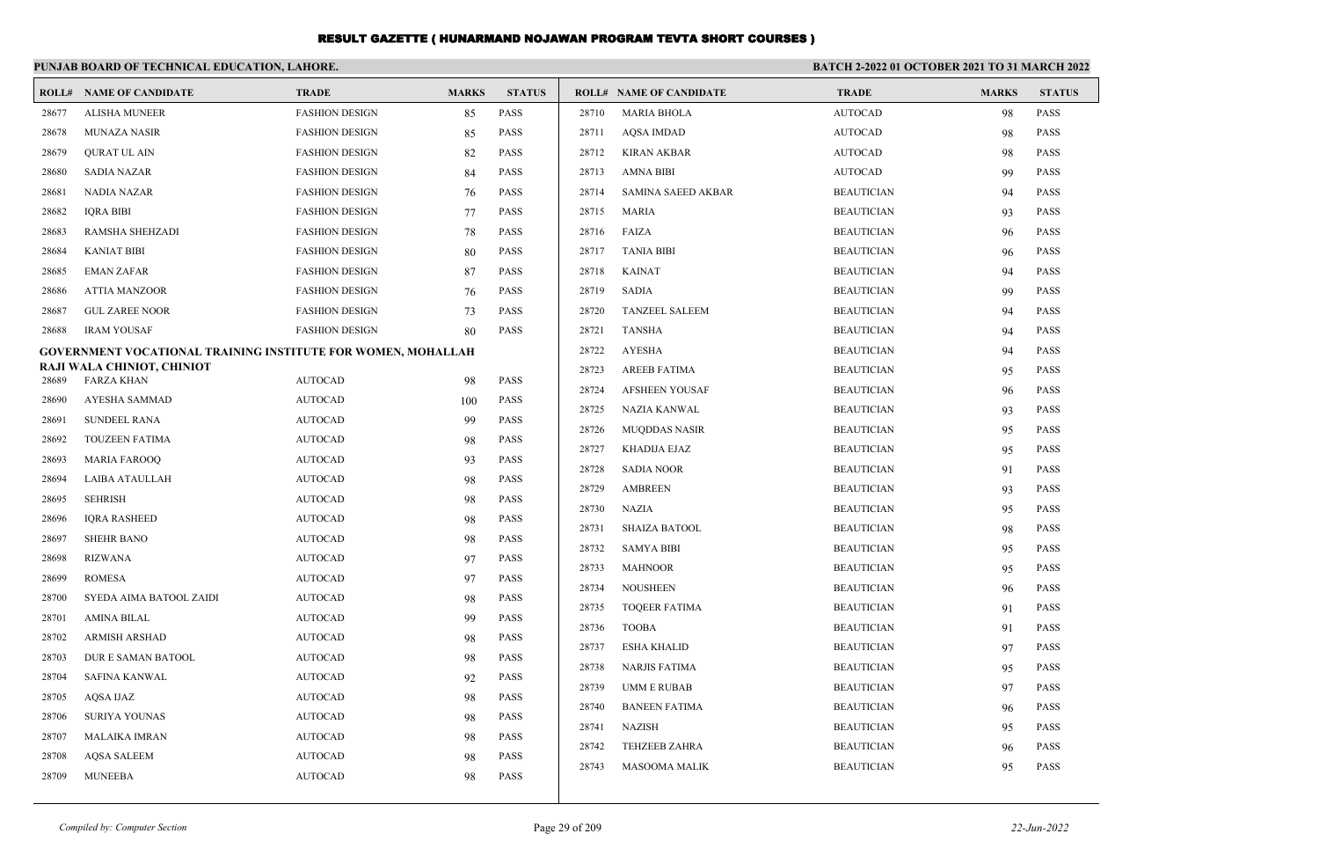|                                                                     | PUNJAB BOARD OF TECHNICAL EDUCATION, LAHORE.    |                       |              |               |       |                                | <b>BATCH 2-2022 01 OCTOBER 2021 TO 31 MARCH 2022</b> |              |               |  |
|---------------------------------------------------------------------|-------------------------------------------------|-----------------------|--------------|---------------|-------|--------------------------------|------------------------------------------------------|--------------|---------------|--|
|                                                                     | <b>ROLL# NAME OF CANDIDATE</b>                  | <b>TRADE</b>          | <b>MARKS</b> | <b>STATUS</b> |       | <b>ROLL# NAME OF CANDIDATE</b> | <b>TRADE</b>                                         | <b>MARKS</b> | <b>STATUS</b> |  |
| 28677                                                               | <b>ALISHA MUNEER</b>                            | <b>FASHION DESIGN</b> | 85           | PASS          | 28710 | <b>MARIA BHOLA</b>             | <b>AUTOCAD</b>                                       | 98           | PASS          |  |
| 28678                                                               | <b>MUNAZA NASIR</b>                             | <b>FASHION DESIGN</b> | 85           | PASS          | 28711 | <b>AQSA IMDAD</b>              | <b>AUTOCAD</b>                                       | 98           | <b>PASS</b>   |  |
| 28679                                                               | QURAT UL AIN                                    | <b>FASHION DESIGN</b> | 82           | <b>PASS</b>   | 28712 | <b>KIRAN AKBAR</b>             | <b>AUTOCAD</b>                                       | 98           | <b>PASS</b>   |  |
| 28680                                                               | SADIA NAZAR                                     | <b>FASHION DESIGN</b> | 84           | <b>PASS</b>   | 28713 | <b>AMNA BIBI</b>               | <b>AUTOCAD</b>                                       | 99           | <b>PASS</b>   |  |
| 28681                                                               | NADIA NAZAR                                     | <b>FASHION DESIGN</b> | 76           | PASS          | 28714 | SAMINA SAEED AKBAR             | <b>BEAUTICIAN</b>                                    | 94           | <b>PASS</b>   |  |
| 28682                                                               | <b>IQRA BIBI</b>                                | <b>FASHION DESIGN</b> | 77           | <b>PASS</b>   | 28715 | <b>MARIA</b>                   | <b>BEAUTICIAN</b>                                    | 93           | <b>PASS</b>   |  |
| 28683                                                               | <b>RAMSHA SHEHZADI</b>                          | <b>FASHION DESIGN</b> | 78           | <b>PASS</b>   | 28716 | FAIZA                          | <b>BEAUTICIAN</b>                                    | 96           | <b>PASS</b>   |  |
| 28684                                                               | <b>KANIAT BIBI</b>                              | <b>FASHION DESIGN</b> | 80           | <b>PASS</b>   | 28717 | <b>TANIA BIBI</b>              | <b>BEAUTICIAN</b>                                    | 96           | <b>PASS</b>   |  |
| 28685                                                               | <b>EMAN ZAFAR</b>                               | <b>FASHION DESIGN</b> | 87           | <b>PASS</b>   | 28718 | <b>KAINAT</b>                  | <b>BEAUTICIAN</b>                                    | 94           | <b>PASS</b>   |  |
| 28686                                                               | <b>ATTIA MANZOOR</b>                            | <b>FASHION DESIGN</b> | 76           | PASS          | 28719 | <b>SADIA</b>                   | <b>BEAUTICIAN</b>                                    | 99           | <b>PASS</b>   |  |
| 28687                                                               | <b>GUL ZAREE NOOR</b>                           | <b>FASHION DESIGN</b> | 73           | PASS          | 28720 | <b>TANZEEL SALEEM</b>          | <b>BEAUTICIAN</b>                                    | 94           | <b>PASS</b>   |  |
| 28688                                                               | <b>IRAM YOUSAF</b>                              | <b>FASHION DESIGN</b> | 80           | <b>PASS</b>   | 28721 | <b>TANSHA</b>                  | <b>BEAUTICIAN</b>                                    | 94           | <b>PASS</b>   |  |
| <b>GOVERNMENT VOCATIONAL TRAINING INSTITUTE FOR WOMEN, MOHALLAH</b> |                                                 |                       |              |               | 28722 | <b>AYESHA</b>                  | <b>BEAUTICIAN</b>                                    | 94           | <b>PASS</b>   |  |
| 28689                                                               | RAJI WALA CHINIOT, CHINIOT<br><b>FARZA KHAN</b> | <b>AUTOCAD</b>        | 98           | <b>PASS</b>   | 28723 | <b>AREEB FATIMA</b>            | <b>BEAUTICIAN</b>                                    | 95           | <b>PASS</b>   |  |
| 28690                                                               | AYESHA SAMMAD                                   | <b>AUTOCAD</b>        |              | PASS          | 28724 | <b>AFSHEEN YOUSAF</b>          | <b>BEAUTICIAN</b>                                    | 96           | <b>PASS</b>   |  |
| 28691                                                               | <b>SUNDEEL RANA</b>                             | <b>AUTOCAD</b>        | 100<br>99    | <b>PASS</b>   | 28725 | NAZIA KANWAL                   | <b>BEAUTICIAN</b>                                    | 93           | <b>PASS</b>   |  |
| 28692                                                               | <b>TOUZEEN FATIMA</b>                           | <b>AUTOCAD</b>        |              | <b>PASS</b>   | 28726 | <b>MUQDDAS NASIR</b>           | <b>BEAUTICIAN</b>                                    | 95           | PASS          |  |
| 28693                                                               | <b>MARIA FAROOQ</b>                             | <b>AUTOCAD</b>        | 98           | PASS          | 28727 | <b>KHADIJA EJAZ</b>            | <b>BEAUTICIAN</b>                                    | 95           | <b>PASS</b>   |  |
| 28694                                                               | LAIBA ATAULLAH                                  | <b>AUTOCAD</b>        | 93<br>98     | <b>PASS</b>   | 28728 | <b>SADIA NOOR</b>              | <b>BEAUTICIAN</b>                                    | 91           | <b>PASS</b>   |  |
| 28695                                                               | <b>SEHRISH</b>                                  | <b>AUTOCAD</b>        | 98           | <b>PASS</b>   | 28729 | <b>AMBREEN</b>                 | <b>BEAUTICIAN</b>                                    | 93           | <b>PASS</b>   |  |
| 28696                                                               | <b>IORA RASHEED</b>                             | <b>AUTOCAD</b>        | 98           | <b>PASS</b>   | 28730 | NAZIA                          | <b>BEAUTICIAN</b>                                    | 95           | <b>PASS</b>   |  |
| 28697                                                               | <b>SHEHR BANO</b>                               | <b>AUTOCAD</b>        | 98           | <b>PASS</b>   | 28731 | <b>SHAIZA BATOOL</b>           | <b>BEAUTICIAN</b>                                    | 98           | <b>PASS</b>   |  |
| 28698                                                               | <b>RIZWANA</b>                                  | <b>AUTOCAD</b>        | 97           | <b>PASS</b>   | 28732 | <b>SAMYA BIBI</b>              | <b>BEAUTICIAN</b>                                    | 95           | <b>PASS</b>   |  |
| 28699                                                               | <b>ROMESA</b>                                   | <b>AUTOCAD</b>        | 97           | <b>PASS</b>   | 28733 | <b>MAHNOOR</b>                 | <b>BEAUTICIAN</b>                                    | 95           | <b>PASS</b>   |  |
| 28700                                                               | SYEDA AIMA BATOOL ZAIDI                         | <b>AUTOCAD</b>        | 98           | <b>PASS</b>   | 28734 | <b>NOUSHEEN</b>                | <b>BEAUTICIAN</b>                                    | 96           | <b>PASS</b>   |  |
| 28701                                                               | <b>AMINA BILAL</b>                              | <b>AUTOCAD</b>        | 99           | <b>PASS</b>   | 28735 | <b>TOQEER FATIMA</b>           | <b>BEAUTICIAN</b>                                    | 91           | <b>PASS</b>   |  |
| 28702                                                               | <b>ARMISH ARSHAD</b>                            | <b>AUTOCAD</b>        | 98           | <b>PASS</b>   | 28736 | <b>TOOBA</b>                   | <b>BEAUTICIAN</b>                                    | 91           | <b>PASS</b>   |  |
| 28703                                                               | DUR E SAMAN BATOOL                              | <b>AUTOCAD</b>        | 98           | <b>PASS</b>   | 28737 | <b>ESHA KHALID</b>             | <b>BEAUTICIAN</b>                                    | 97           | <b>PASS</b>   |  |
| 28704                                                               | <b>SAFINA KANWAL</b>                            | <b>AUTOCAD</b>        | 92           | <b>PASS</b>   | 28738 | <b>NARJIS FATIMA</b>           | <b>BEAUTICIAN</b>                                    | 95           | <b>PASS</b>   |  |
| 28705                                                               | AQSA IJAZ                                       | <b>AUTOCAD</b>        | 98           | <b>PASS</b>   | 28739 | <b>UMM E RUBAB</b>             | <b>BEAUTICIAN</b>                                    | 97           | <b>PASS</b>   |  |
| 28706                                                               | SURIYA YOUNAS                                   | <b>AUTOCAD</b>        | 98           | <b>PASS</b>   | 28740 | <b>BANEEN FATIMA</b>           | <b>BEAUTICIAN</b>                                    | 96           | <b>PASS</b>   |  |
| 28707                                                               | <b>MALAIKA IMRAN</b>                            | <b>AUTOCAD</b>        | 98           | <b>PASS</b>   | 28741 | <b>NAZISH</b>                  | <b>BEAUTICIAN</b>                                    | 95           | <b>PASS</b>   |  |
| 28708                                                               | <b>AQSA SALEEM</b>                              | <b>AUTOCAD</b>        |              | <b>PASS</b>   | 28742 | <b>TEHZEEB ZAHRA</b>           | <b>BEAUTICIAN</b>                                    | 96           | <b>PASS</b>   |  |
|                                                                     | <b>MUNEEBA</b>                                  | <b>AUTOCAD</b>        | 98           | <b>PASS</b>   | 28743 | <b>MASOOMA MALIK</b>           | <b>BEAUTICIAN</b>                                    | 95           | <b>PASS</b>   |  |
| 28709                                                               |                                                 |                       | 98           |               |       |                                |                                                      |              |               |  |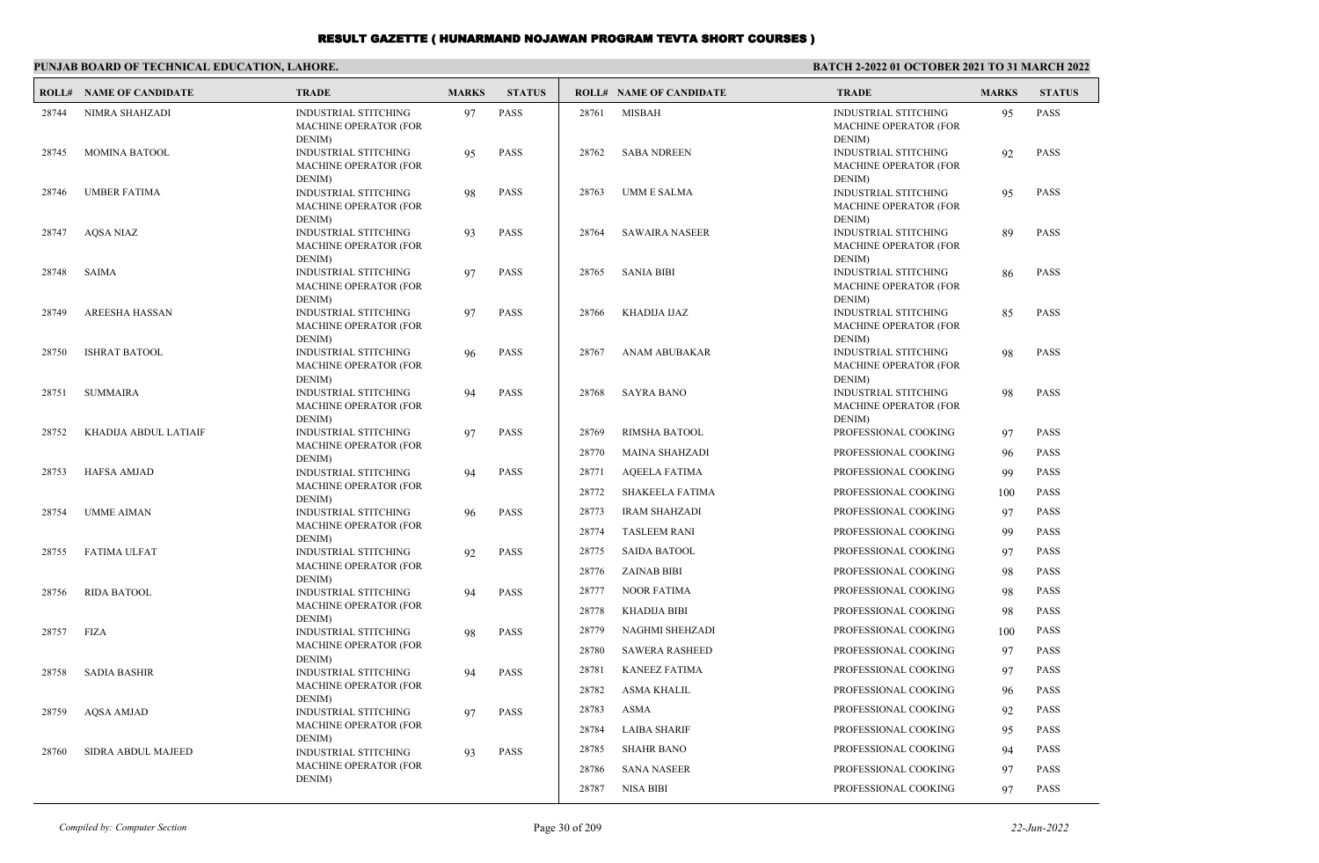#### **PUNJAB BOARD OF TECHNICAL EDUCATION, LAHORE. BATCH 2-2022 01 OCTOBER 2021 TO 31 MARCH 2022 ROLL# NAME OF CANDIDATE TRADE MARKS STATUS ROLL# NAME OF CANDIDATE TRADE MARKS STATUS** INDUSTRIAL STITCHING 97 PASS MACHINE OPERATOR (FOR DENIM) 28744 NIMRA SHAHZADI INDUSTRIAL STITCHING 95 PASS MACHINE OPERATOR (FOR DENIM) 28745 MOMINA BATOOL INDUSTRIAL STITCHING 98 PASS MACHINE OPERATOR (FOR DENIM) 28746 UMBER FATIMA INDUSTRIAL STITCHING 93 PASS MACHINE OPERATOR (FOR DENIM) 28747 AQSA NIAZ INDUSTRIAL STITCHING 97 PASS MACHINE OPERATOR (FOR DENIM) 28748 SAIMA INDUSTRIAL STITCHING 97 PASS MACHINE OPERATOR (FOR DENIM) 28749 AREESHA HASSAN INDUSTRIAL STITCHING 96 PASS MACHINE OPERATOR (FOR DENIM) 28750 ISHRAT BATOOL INDUSTRIAL STITCHING 94 PASS MACHINE OPERATOR (FOR DENIM) 28751 SUMMAIRA INDUSTRIAL STITCHING 97 PASS MACHINE OPERATOR (FOR DENIM) 28752 KHADIJA ABDUL LATIAIF INDUSTRIAL STITCHING 94 PASS MACHINE OPERATOR (FOR DENIM) 28753 HAFSA AMJAD INDUSTRIAL STITCHING 96 PASS MACHINE OPERATOR (FOR DENIM) 28754 UMME AIMAN INDUSTRIAL STITCHING 92 PASS MACHINE OPERATOR (FOR DENIM) 28755 FATIMA ULFAT INDUSTRIAL STITCHING 94 PASS MACHINE OPERATOR (FOR DENIM) 28756 RIDA BATOOL INDUSTRIAL STITCHING 98 PASS MACHINE OPERATOR (FOR DENIM) 28757 FIZA INDUSTRIAL STITCHING 94 PASS MACHINE OPERATOR (FOR DENIM) 28758 SADIA BASHIR INDUSTRIAL STITCHING 97 PASS MACHINE OPERATOR (FOR 28759 AQSA AMJAD INDUSTRIAL STITCHING 95 PASS MACHINE OPERATOR (FOR DENIM) 28761 MISBAH INDUSTRIAL STITCHING 92 PASS MACHINE OPERATOR (FOR DENIM) 28762 SABA NDREEN INDUSTRIAL STITCHING 95 PASS MACHINE OPERATOR (FOR DENIM) 28763 UMM E SALMA INDUSTRIAL STITCHING 89 PASS MACHINE OPERATOR (FOR DENIM) 28764 SAWAIRA NASEER INDUSTRIAL STITCHING 86 PASS MACHINE OPERATOR (FOR DENIM) 28765 SANIA BIBI INDUSTRIAL STITCHING 85 PASS MACHINE OPERATOR (FOR DENIM) 28766 KHADIJA IJAZ INDUSTRIAL STITCHING 98 PASS MACHINE OPERATOR (FOR DENIM) 28767 ANAM ABUBAKAR INDUSTRIAL STITCHING 98 PASS MACHINE OPERATOR (FOR DENIM) 28768 SAYRA BANO 28769 RIMSHA BATOOL PROFESSIONAL COOKING 97 PASS 28770 MAINA SHAHZADI PROFESSIONAL COOKING 96 PASS 28771 AQEELA FATIMA PROFESSIONAL COOKING 99 PASS 28772 SHAKEELA FATIMA PROFESSIONAL COOKING 100 PASS 28773 IRAM SHAHZADI PROFESSIONAL COOKING 97 PASS 28774 TASLEEM RANI PROFESSIONAL COOKING 99 PASS 28775 SAIDA BATOOL PROFESSIONAL COOKING 97 PASS 28776 ZAINAB BIBI PROFESSIONAL COOKING 98 PASS 28777 NOOR FATIMA PROFESSIONAL COOKING 98 PASS 28778 KHADIJA BIBI PROFESSIONAL COOKING 98 PASS 28779 NAGHMI SHEHZADI PROFESSIONAL COOKING 100 PASS 28780 SAWERA RASHEED PROFESSIONAL COOKING 97 PASS 28781 KANEEZ FATIMA PROFESSIONAL COOKING 97 PASS 28782 ASMA KHALIL PROFESSIONAL COOKING 96 PASS 28783 ASMA PROFESSIONAL COOKING 92 PASS

28760 SIDRA ABDUL MAJEED

DENIM)

DENIM)

MACHINE OPERATOR (FOR

INDUSTRIAL STITCHING 93 PASS

28784 LAIBA SHARIF PROFESSIONAL COOKING 95 PASS 28785 SHAHR BANO PROFESSIONAL COOKING 94 PASS 28786 SANA NASEER PROFESSIONAL COOKING 97 PASS 28787 NISA BIBI PROFESSIONAL COOKING 97 PASS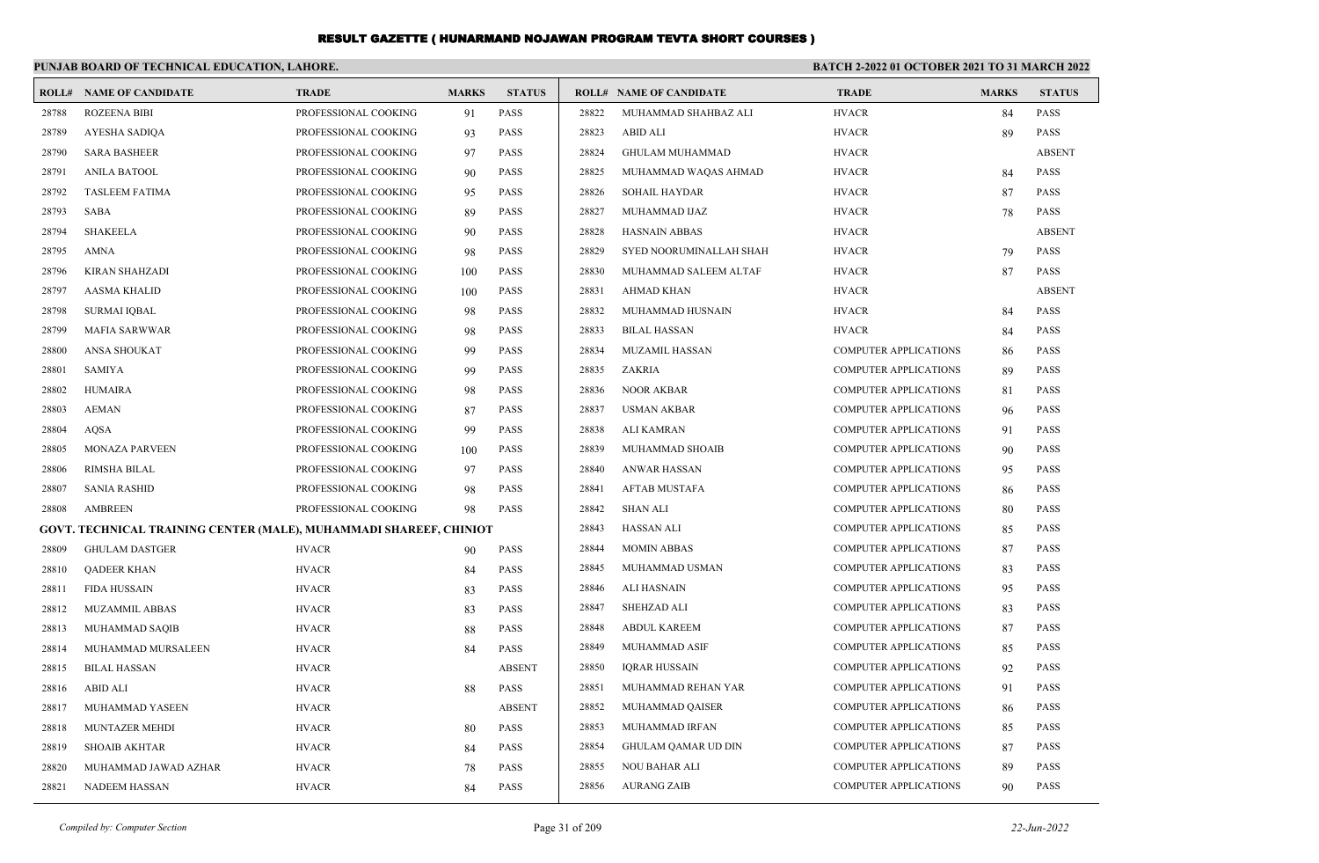|       | PUNJAB BOARD OF TECHNICAL EDUCATION, LAHORE.                       |                      |              |               | <b>BATCH 2-2022 01 OCTOBER 2021 TO 31 MARCH 2022</b> |                                |                              |              |               |
|-------|--------------------------------------------------------------------|----------------------|--------------|---------------|------------------------------------------------------|--------------------------------|------------------------------|--------------|---------------|
|       | <b>ROLL# NAME OF CANDIDATE</b>                                     | <b>TRADE</b>         | <b>MARKS</b> | <b>STATUS</b> |                                                      | <b>ROLL# NAME OF CANDIDATE</b> | <b>TRADE</b>                 | <b>MARKS</b> | <b>STATUS</b> |
| 28788 | <b>ROZEENA BIBI</b>                                                | PROFESSIONAL COOKING | 91           | <b>PASS</b>   | 28822                                                | MUHAMMAD SHAHBAZ ALI           | <b>HVACR</b>                 | 84           | <b>PASS</b>   |
| 28789 | AYESHA SADIQA                                                      | PROFESSIONAL COOKING | 93           | <b>PASS</b>   | 28823                                                | ABID ALI                       | <b>HVACR</b>                 | 89           | PASS          |
| 28790 | <b>SARA BASHEER</b>                                                | PROFESSIONAL COOKING | 97           | <b>PASS</b>   | 28824                                                | <b>GHULAM MUHAMMAD</b>         | <b>HVACR</b>                 |              | <b>ABSENT</b> |
| 28791 | <b>ANILA BATOOL</b>                                                | PROFESSIONAL COOKING | 90           | <b>PASS</b>   | 28825                                                | MUHAMMAD WAQAS AHMAD           | <b>HVACR</b>                 | 84           | PASS          |
| 28792 | <b>TASLEEM FATIMA</b>                                              | PROFESSIONAL COOKING | 95           | <b>PASS</b>   | 28826                                                | <b>SOHAIL HAYDAR</b>           | <b>HVACR</b>                 | 87           | <b>PASS</b>   |
| 28793 | SABA                                                               | PROFESSIONAL COOKING | 89           | <b>PASS</b>   | 28827                                                | MUHAMMAD IJAZ                  | <b>HVACR</b>                 | 78           | <b>PASS</b>   |
| 28794 | <b>SHAKEELA</b>                                                    | PROFESSIONAL COOKING | 90           | <b>PASS</b>   | 28828                                                | HASNAIN ABBAS                  | <b>HVACR</b>                 |              | <b>ABSENT</b> |
| 28795 | <b>AMNA</b>                                                        | PROFESSIONAL COOKING | 98           | <b>PASS</b>   | 28829                                                | SYED NOORUMINALLAH SHAH        | <b>HVACR</b>                 | 79           | PASS          |
| 28796 | <b>KIRAN SHAHZADI</b>                                              | PROFESSIONAL COOKING | 100          | <b>PASS</b>   | 28830                                                | MUHAMMAD SALEEM ALTAF          | <b>HVACR</b>                 | 87           | <b>PASS</b>   |
| 28797 | <b>AASMA KHALID</b>                                                | PROFESSIONAL COOKING | 100          | <b>PASS</b>   | 28831                                                | AHMAD KHAN                     | <b>HVACR</b>                 |              | <b>ABSENT</b> |
| 28798 | SURMAI IQBAL                                                       | PROFESSIONAL COOKING | 98           | <b>PASS</b>   | 28832                                                | MUHAMMAD HUSNAIN               | <b>HVACR</b>                 | 84           | PASS          |
| 28799 | MAFIA SARWWAR                                                      | PROFESSIONAL COOKING | 98           | <b>PASS</b>   | 28833                                                | BILAL HASSAN                   | <b>HVACR</b>                 | 84           | <b>PASS</b>   |
| 28800 | ANSA SHOUKAT                                                       | PROFESSIONAL COOKING | -99          | <b>PASS</b>   | 28834                                                | MUZAMIL HASSAN                 | <b>COMPUTER APPLICATIONS</b> | 86           | <b>PASS</b>   |
| 28801 | SAMIYA                                                             | PROFESSIONAL COOKING | 99           | <b>PASS</b>   | 28835                                                | ZAKRIA                         | <b>COMPUTER APPLICATIONS</b> | 89           | <b>PASS</b>   |
| 28802 | <b>HUMAIRA</b>                                                     | PROFESSIONAL COOKING | 98           | <b>PASS</b>   | 28836                                                | <b>NOOR AKBAR</b>              | <b>COMPUTER APPLICATIONS</b> | 81           | <b>PASS</b>   |
| 28803 | <b>AEMAN</b>                                                       | PROFESSIONAL COOKING | 87           | <b>PASS</b>   | 28837                                                | <b>USMAN AKBAR</b>             | <b>COMPUTER APPLICATIONS</b> | 96           | <b>PASS</b>   |
| 28804 | AQSA                                                               | PROFESSIONAL COOKING | 99           | <b>PASS</b>   | 28838                                                | ALI KAMRAN                     | <b>COMPUTER APPLICATIONS</b> | 91           | <b>PASS</b>   |
| 28805 | <b>MONAZA PARVEEN</b>                                              | PROFESSIONAL COOKING | 100          | <b>PASS</b>   | 28839                                                | <b>MUHAMMAD SHOAIB</b>         | <b>COMPUTER APPLICATIONS</b> | 90           | <b>PASS</b>   |
| 28806 | RIMSHA BILAL                                                       | PROFESSIONAL COOKING | 97           | <b>PASS</b>   | 28840                                                | ANWAR HASSAN                   | COMPUTER APPLICATIONS        | 95           | <b>PASS</b>   |
| 28807 | <b>SANIA RASHID</b>                                                | PROFESSIONAL COOKING | 98           | <b>PASS</b>   | 28841                                                | AFTAB MUSTAFA                  | <b>COMPUTER APPLICATIONS</b> | 86           | <b>PASS</b>   |
| 28808 | AMBREEN                                                            | PROFESSIONAL COOKING | 98           | <b>PASS</b>   | 28842                                                | SHAN ALI                       | <b>COMPUTER APPLICATIONS</b> | 80           | <b>PASS</b>   |
|       | GOVT. TECHNICAL TRAINING CENTER (MALE), MUHAMMADI SHAREEF, CHINIOT |                      |              |               | 28843                                                | HASSAN ALI                     | <b>COMPUTER APPLICATIONS</b> | 85           | <b>PASS</b>   |
| 28809 | <b>GHULAM DASTGER</b>                                              | <b>HVACR</b>         | 90           | <b>PASS</b>   | 28844                                                | <b>MOMIN ABBAS</b>             | <b>COMPUTER APPLICATIONS</b> | 87           | <b>PASS</b>   |
| 28810 | <b>QADEER KHAN</b>                                                 | <b>HVACR</b>         | 84           | <b>PASS</b>   | 28845                                                | MUHAMMAD USMAN                 | <b>COMPUTER APPLICATIONS</b> | 83           | <b>PASS</b>   |
| 28811 | FIDA HUSSAIN                                                       | <b>HVACR</b>         | 83           | <b>PASS</b>   | 28846                                                | ALI HASNAIN                    | <b>COMPUTER APPLICATIONS</b> | 95           | <b>PASS</b>   |
| 28812 | <b>MUZAMMIL ABBAS</b>                                              | <b>HVACR</b>         | 83           | <b>PASS</b>   | 28847                                                | <b>SHEHZAD ALI</b>             | <b>COMPUTER APPLICATIONS</b> | 83           | <b>PASS</b>   |
| 28813 | MUHAMMAD SAQIB                                                     | <b>HVACR</b>         | 88           | <b>PASS</b>   | 28848                                                | ABDUL KAREEM                   | <b>COMPUTER APPLICATIONS</b> | 87           | <b>PASS</b>   |
| 28814 | MUHAMMAD MURSALEEN                                                 | <b>HVACR</b>         | 84           | <b>PASS</b>   | 28849                                                | MUHAMMAD ASIF                  | <b>COMPUTER APPLICATIONS</b> | 85           | <b>PASS</b>   |
| 28815 | <b>BILAL HASSAN</b>                                                | <b>HVACR</b>         |              | <b>ABSENT</b> | 28850                                                | <b>IORAR HUSSAIN</b>           | COMPUTER APPLICATIONS        | 92           | <b>PASS</b>   |
|       | 28816 ABID ALI                                                     | <b>HVACR</b>         | 88           | PASS          | 28851                                                | MUHAMMAD REHAN YAR             | <b>COMPUTER APPLICATIONS</b> | 91           | <b>PASS</b>   |
| 28817 | MUHAMMAD YASEEN                                                    | <b>HVACR</b>         |              | <b>ABSENT</b> | 28852                                                | MUHAMMAD QAISER                | COMPUTER APPLICATIONS        | 86           | PASS          |
| 28818 | MUNTAZER MEHDI                                                     | <b>HVACR</b>         | 80           | <b>PASS</b>   | 28853                                                | MUHAMMAD IRFAN                 | <b>COMPUTER APPLICATIONS</b> | 85           | PASS          |
| 28819 | <b>SHOAIB AKHTAR</b>                                               | <b>HVACR</b>         | 84           | <b>PASS</b>   | 28854                                                | <b>GHULAM QAMAR UD DIN</b>     | COMPUTER APPLICATIONS        | 87           | <b>PASS</b>   |
| 28820 | MUHAMMAD JAWAD AZHAR                                               | <b>HVACR</b>         | 78           | PASS          | 28855                                                | NOU BAHAR ALI                  | <b>COMPUTER APPLICATIONS</b> | 89           | <b>PASS</b>   |
| 28821 | <b>NADEEM HASSAN</b>                                               | <b>HVACR</b>         | 84           | PASS          | 28856                                                | <b>AURANG ZAIB</b>             | COMPUTER APPLICATIONS        | 90           | PASS          |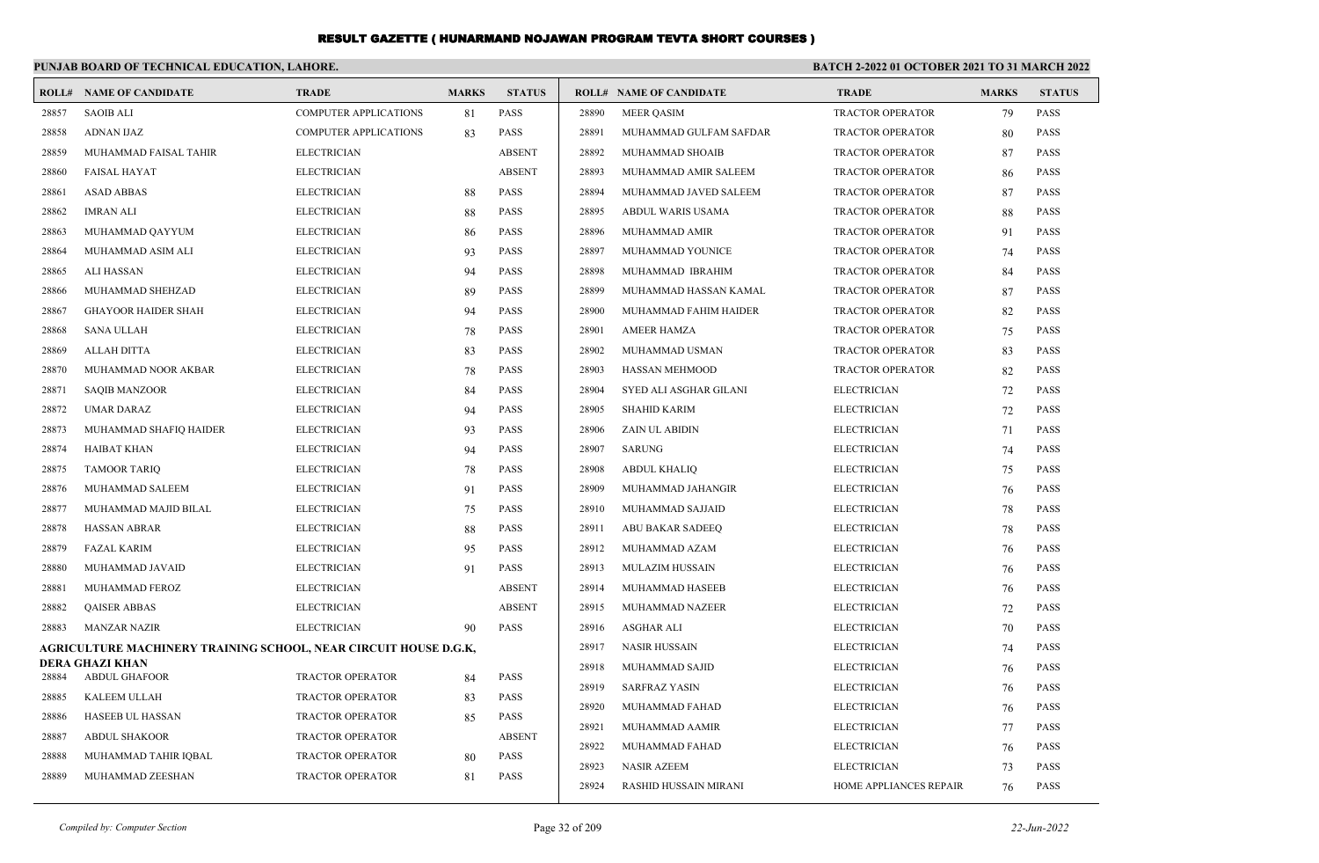|       | PUNJAB BOARD OF TECHNICAL EDUCATION, LAHORE.                     |                              |              |               | <b>BATCH 2-2022 01 OCTOBER 2021 TO 31 MARCH 2022</b> |                                |                         |              |               |  |
|-------|------------------------------------------------------------------|------------------------------|--------------|---------------|------------------------------------------------------|--------------------------------|-------------------------|--------------|---------------|--|
|       | <b>ROLL# NAME OF CANDIDATE</b>                                   | <b>TRADE</b>                 | <b>MARKS</b> | <b>STATUS</b> |                                                      | <b>ROLL# NAME OF CANDIDATE</b> | <b>TRADE</b>            | <b>MARKS</b> | <b>STATUS</b> |  |
| 28857 | <b>SAOIB ALI</b>                                                 | <b>COMPUTER APPLICATIONS</b> | 81           | <b>PASS</b>   | 28890                                                | <b>MEER OASIM</b>              | <b>TRACTOR OPERATOR</b> | 79           | <b>PASS</b>   |  |
| 28858 | <b>ADNAN IJAZ</b>                                                | <b>COMPUTER APPLICATIONS</b> | 83           | <b>PASS</b>   | 28891                                                | MUHAMMAD GULFAM SAFDAR         | <b>TRACTOR OPERATOR</b> | 80           | <b>PASS</b>   |  |
| 28859 | MUHAMMAD FAISAL TAHIR                                            | <b>ELECTRICIAN</b>           |              | <b>ABSENT</b> | 28892                                                | MUHAMMAD SHOAIB                | <b>TRACTOR OPERATOR</b> | 87           | <b>PASS</b>   |  |
| 28860 | <b>FAISAL HAYAT</b>                                              | <b>ELECTRICIAN</b>           |              | <b>ABSENT</b> | 28893                                                | MUHAMMAD AMIR SALEEM           | <b>TRACTOR OPERATOR</b> | 86           | <b>PASS</b>   |  |
| 28861 | <b>ASAD ABBAS</b>                                                | <b>ELECTRICIAN</b>           | 88           | <b>PASS</b>   | 28894                                                | MUHAMMAD JAVED SALEEM          | <b>TRACTOR OPERATOR</b> | 87           | <b>PASS</b>   |  |
| 28862 | <b>IMRAN ALI</b>                                                 | <b>ELECTRICIAN</b>           | 88           | <b>PASS</b>   | 28895                                                | ABDUL WARIS USAMA              | <b>TRACTOR OPERATOR</b> | 88           | <b>PASS</b>   |  |
| 28863 | MUHAMMAD QAYYUM                                                  | <b>ELECTRICIAN</b>           | 86           | <b>PASS</b>   | 28896                                                | MUHAMMAD AMIR                  | TRACTOR OPERATOR        | 91           | <b>PASS</b>   |  |
| 28864 | MUHAMMAD ASIM ALI                                                | <b>ELECTRICIAN</b>           | 93           | <b>PASS</b>   | 28897                                                | MUHAMMAD YOUNICE               | TRACTOR OPERATOR        | 74           | <b>PASS</b>   |  |
| 28865 | <b>ALI HASSAN</b>                                                | <b>ELECTRICIAN</b>           | 94           | <b>PASS</b>   | 28898                                                | MUHAMMAD IBRAHIM               | <b>TRACTOR OPERATOR</b> | 84           | <b>PASS</b>   |  |
| 28866 | MUHAMMAD SHEHZAD                                                 | <b>ELECTRICIAN</b>           | 89           | <b>PASS</b>   | 28899                                                | MUHAMMAD HASSAN KAMAL          | <b>TRACTOR OPERATOR</b> | 87           | <b>PASS</b>   |  |
| 28867 | <b>GHAYOOR HAIDER SHAH</b>                                       | <b>ELECTRICIAN</b>           | 94           | <b>PASS</b>   | 28900                                                | MUHAMMAD FAHIM HAIDER          | <b>TRACTOR OPERATOR</b> | 82           | <b>PASS</b>   |  |
| 28868 | <b>SANA ULLAH</b>                                                | <b>ELECTRICIAN</b>           | 78           | <b>PASS</b>   | 28901                                                | AMEER HAMZA                    | TRACTOR OPERATOR        | 75           | PASS          |  |
| 28869 | ALLAH DITTA                                                      | <b>ELECTRICIAN</b>           | 83           | <b>PASS</b>   | 28902                                                | MUHAMMAD USMAN                 | TRACTOR OPERATOR        | 83           | PASS          |  |
| 28870 | MUHAMMAD NOOR AKBAR                                              | <b>ELECTRICIAN</b>           | 78           | <b>PASS</b>   | 28903                                                | <b>HASSAN MEHMOOD</b>          | <b>TRACTOR OPERATOR</b> | 82           | <b>PASS</b>   |  |
| 28871 | <b>SAQIB MANZOOR</b>                                             | <b>ELECTRICIAN</b>           | 84           | <b>PASS</b>   | 28904                                                | SYED ALI ASGHAR GILANI         | <b>ELECTRICIAN</b>      | 72           | <b>PASS</b>   |  |
| 28872 | <b>UMAR DARAZ</b>                                                | <b>ELECTRICIAN</b>           | 94           | <b>PASS</b>   | 28905                                                | <b>SHAHID KARIM</b>            | <b>ELECTRICIAN</b>      | 72           | PASS          |  |
| 28873 | MUHAMMAD SHAFIQ HAIDER                                           | <b>ELECTRICIAN</b>           | 93           | <b>PASS</b>   | 28906                                                | ZAIN UL ABIDIN                 | <b>ELECTRICIAN</b>      | 71           | PASS          |  |
| 28874 | HAIBAT KHAN                                                      | <b>ELECTRICIAN</b>           | 94           | <b>PASS</b>   | 28907                                                | <b>SARUNG</b>                  | <b>ELECTRICIAN</b>      | 74           | <b>PASS</b>   |  |
| 28875 | <b>TAMOOR TARIQ</b>                                              | <b>ELECTRICIAN</b>           | 78           | <b>PASS</b>   | 28908                                                | <b>ABDUL KHALIQ</b>            | <b>ELECTRICIAN</b>      | 75           | <b>PASS</b>   |  |
| 28876 | MUHAMMAD SALEEM                                                  | <b>ELECTRICIAN</b>           | 91           | <b>PASS</b>   | 28909                                                | MUHAMMAD JAHANGIR              | <b>ELECTRICIAN</b>      | 76           | <b>PASS</b>   |  |
| 28877 | MUHAMMAD MAJID BILAL                                             | <b>ELECTRICIAN</b>           | 75           | <b>PASS</b>   | 28910                                                | MUHAMMAD SAJJAID               | <b>ELECTRICIAN</b>      | 78           | <b>PASS</b>   |  |
| 28878 | <b>HASSAN ABRAR</b>                                              | <b>ELECTRICIAN</b>           | 88           | <b>PASS</b>   | 28911                                                | ABU BAKAR SADEEQ               | <b>ELECTRICIAN</b>      | 78           | <b>PASS</b>   |  |
| 28879 | <b>FAZAL KARIM</b>                                               | <b>ELECTRICIAN</b>           | 95           | <b>PASS</b>   | 28912                                                | MUHAMMAD AZAM                  | <b>ELECTRICIAN</b>      | 76           | <b>PASS</b>   |  |
| 28880 | MUHAMMAD JAVAID                                                  | <b>ELECTRICIAN</b>           | 91           | <b>PASS</b>   | 28913                                                | <b>MULAZIM HUSSAIN</b>         | <b>ELECTRICIAN</b>      | 76           | <b>PASS</b>   |  |
| 28881 | MUHAMMAD FEROZ                                                   | <b>ELECTRICIAN</b>           |              | <b>ABSENT</b> | 28914                                                | MUHAMMAD HASEEB                | <b>ELECTRICIAN</b>      | 76           | <b>PASS</b>   |  |
| 28882 | <b>QAISER ABBAS</b>                                              | <b>ELECTRICIAN</b>           |              | <b>ABSENT</b> | 28915                                                | <b>MUHAMMAD NAZEER</b>         | <b>ELECTRICIAN</b>      | 72           | <b>PASS</b>   |  |
| 28883 | <b>MANZAR NAZIR</b>                                              | <b>ELECTRICIAN</b>           | 90           | <b>PASS</b>   | 28916                                                | <b>ASGHAR ALI</b>              | <b>ELECTRICIAN</b>      | 70           | <b>PASS</b>   |  |
|       | AGRICULTURE MACHINERY TRAINING SCHOOL, NEAR CIRCUIT HOUSE D.G.K, |                              |              |               | 28917                                                | <b>NASIR HUSSAIN</b>           | <b>ELECTRICIAN</b>      | 74           | <b>PASS</b>   |  |
| 28884 | <b>DERA GHAZI KHAN</b><br><b>ABDUL GHAFOOR</b>                   | <b>TRACTOR OPERATOR</b>      |              | <b>PASS</b>   | 28918                                                | MUHAMMAD SAJID                 | <b>ELECTRICIAN</b>      | 76           | <b>PASS</b>   |  |
| 28885 | KALEEM ULLAH                                                     | <b>TRACTOR OPERATOR</b>      | 84           | <b>PASS</b>   | 28919                                                | <b>SARFRAZ YASIN</b>           | <b>ELECTRICIAN</b>      | 76           | <b>PASS</b>   |  |
| 28886 | <b>HASEEB UL HASSAN</b>                                          | <b>TRACTOR OPERATOR</b>      | 83           | <b>PASS</b>   | 28920                                                | MUHAMMAD FAHAD                 | <b>ELECTRICIAN</b>      | 76           | PASS          |  |
| 28887 | <b>ABDUL SHAKOOR</b>                                             | <b>TRACTOR OPERATOR</b>      | 85           | <b>ABSENT</b> | 28921                                                | MUHAMMAD AAMIR                 | <b>ELECTRICIAN</b>      | 77           | <b>PASS</b>   |  |
| 28888 | MUHAMMAD TAHIR IQBAL                                             | TRACTOR OPERATOR             |              | <b>PASS</b>   | 28922                                                | MUHAMMAD FAHAD                 | <b>ELECTRICIAN</b>      | 76           | <b>PASS</b>   |  |
| 28889 | MUHAMMAD ZEESHAN                                                 | <b>TRACTOR OPERATOR</b>      | 80<br>81     | <b>PASS</b>   | 28923                                                | <b>NASIR AZEEM</b>             | <b>ELECTRICIAN</b>      | 73           | <b>PASS</b>   |  |
|       |                                                                  |                              |              |               | 28924                                                | <b>RASHID HUSSAIN MIRANI</b>   | HOME APPLIANCES REPAIR  | 76           | PASS          |  |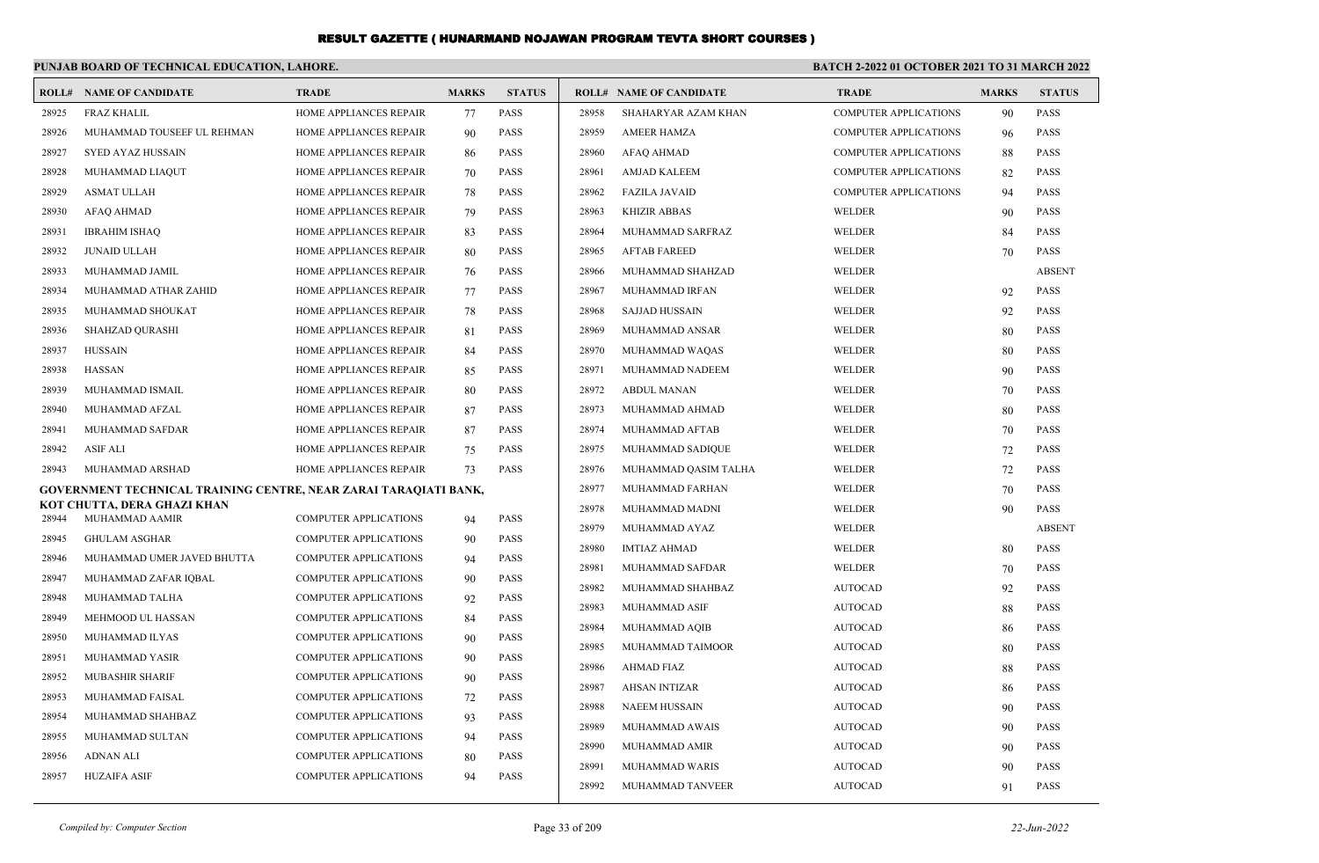|       | PUNJAB BOARD OF TECHNICAL EDUCATION, LAHORE.                     |                               |              |               | BATCH 2-2022 01 OCTOBER 2021 TO 31 MARCH 2022 |                                |                              |              |               |
|-------|------------------------------------------------------------------|-------------------------------|--------------|---------------|-----------------------------------------------|--------------------------------|------------------------------|--------------|---------------|
|       | <b>ROLL# NAME OF CANDIDATE</b>                                   | <b>TRADE</b>                  | <b>MARKS</b> | <b>STATUS</b> |                                               | <b>ROLL# NAME OF CANDIDATE</b> | <b>TRADE</b>                 | <b>MARKS</b> | <b>STATUS</b> |
| 28925 | <b>FRAZ KHALIL</b>                                               | HOME APPLIANCES REPAIR        | 77           | <b>PASS</b>   | 28958                                         | SHAHARYAR AZAM KHAN            | <b>COMPUTER APPLICATIONS</b> | 90           | <b>PASS</b>   |
| 28926 | MUHAMMAD TOUSEEF UL REHMAN                                       | HOME APPLIANCES REPAIR        | 90           | <b>PASS</b>   | 28959                                         | <b>AMEER HAMZA</b>             | <b>COMPUTER APPLICATIONS</b> | 96           | <b>PASS</b>   |
| 28927 | <b>SYED AYAZ HUSSAIN</b>                                         | HOME APPLIANCES REPAIR        | 86           | <b>PASS</b>   | 28960                                         | <b>AFAQ AHMAD</b>              | <b>COMPUTER APPLICATIONS</b> | 88           | <b>PASS</b>   |
| 28928 | MUHAMMAD LIAQUT                                                  | HOME APPLIANCES REPAIR        | 70           | <b>PASS</b>   | 28961                                         | <b>AMJAD KALEEM</b>            | <b>COMPUTER APPLICATIONS</b> | 82           | <b>PASS</b>   |
| 28929 | <b>ASMAT ULLAH</b>                                               | HOME APPLIANCES REPAIR        | 78           | <b>PASS</b>   | 28962                                         | <b>FAZILA JAVAID</b>           | <b>COMPUTER APPLICATIONS</b> | 94           | <b>PASS</b>   |
| 28930 | <b>AFAQ AHMAD</b>                                                | HOME APPLIANCES REPAIR        | 79           | <b>PASS</b>   | 28963                                         | <b>KHIZIR ABBAS</b>            | WELDER                       | 90           | <b>PASS</b>   |
| 28931 | <b>IBRAHIM ISHAQ</b>                                             | HOME APPLIANCES REPAIR        | 83           | <b>PASS</b>   | 28964                                         | MUHAMMAD SARFRAZ               | WELDER                       | 84           | <b>PASS</b>   |
| 28932 | <b>JUNAID ULLAH</b>                                              | HOME APPLIANCES REPAIR        | 80           | <b>PASS</b>   | 28965                                         | <b>AFTAB FAREED</b>            | WELDER                       | 70           | <b>PASS</b>   |
| 28933 | MUHAMMAD JAMIL                                                   | HOME APPLIANCES REPAIR        | 76           | <b>PASS</b>   | 28966                                         | MUHAMMAD SHAHZAD               | WELDER                       |              | <b>ABSENT</b> |
| 28934 | MUHAMMAD ATHAR ZAHID                                             | HOME APPLIANCES REPAIR        | 77           | <b>PASS</b>   | 28967                                         | MUHAMMAD IRFAN                 | WELDER                       | 92           | <b>PASS</b>   |
| 28935 | MUHAMMAD SHOUKAT                                                 | HOME APPLIANCES REPAIR        | 78           | <b>PASS</b>   | 28968                                         | SAJJAD HUSSAIN                 | WELDER                       | 92           | <b>PASS</b>   |
| 28936 | <b>SHAHZAD QURASHI</b>                                           | <b>HOME APPLIANCES REPAIR</b> | 81           | <b>PASS</b>   | 28969                                         | MUHAMMAD ANSAR                 | WELDER                       | 80           | <b>PASS</b>   |
| 28937 | <b>HUSSAIN</b>                                                   | HOME APPLIANCES REPAIR        | 84           | <b>PASS</b>   | 28970                                         | MUHAMMAD WAQAS                 | WELDER                       | 80           | <b>PASS</b>   |
| 28938 | <b>HASSAN</b>                                                    | HOME APPLIANCES REPAIR        | 85           | <b>PASS</b>   | 28971                                         | MUHAMMAD NADEEM                | WELDER                       | 90           | <b>PASS</b>   |
| 28939 | MUHAMMAD ISMAIL                                                  | HOME APPLIANCES REPAIR        | 80           | <b>PASS</b>   | 28972                                         | <b>ABDUL MANAN</b>             | WELDER                       | 70           | <b>PASS</b>   |
| 28940 | MUHAMMAD AFZAL                                                   | HOME APPLIANCES REPAIR        | 87           | <b>PASS</b>   | 28973                                         | MUHAMMAD AHMAD                 | WELDER                       | 80           | <b>PASS</b>   |
| 28941 | MUHAMMAD SAFDAR                                                  | HOME APPLIANCES REPAIR        | 87           | <b>PASS</b>   | 28974                                         | MUHAMMAD AFTAB                 | WELDER                       | 70           | <b>PASS</b>   |
| 28942 | <b>ASIF ALI</b>                                                  | HOME APPLIANCES REPAIR        | 75           | <b>PASS</b>   | 28975                                         | MUHAMMAD SADIQUE               | WELDER                       | 72           | <b>PASS</b>   |
| 28943 | MUHAMMAD ARSHAD                                                  | HOME APPLIANCES REPAIR        | 73           | <b>PASS</b>   | 28976                                         | MUHAMMAD QASIM TALHA           | WELDER                       | 72           | <b>PASS</b>   |
|       | GOVERNMENT TECHNICAL TRAINING CENTRE, NEAR ZARAI TARAQIATI BANK, |                               |              |               | 28977                                         | MUHAMMAD FARHAN                | WELDER                       | 70           | <b>PASS</b>   |
| 28944 | KOT CHUTTA, DERA GHAZI KHAN<br>MUHAMMAD AAMIR                    | <b>COMPUTER APPLICATIONS</b>  | 94           | <b>PASS</b>   | 28978                                         | MUHAMMAD MADNI                 | WELDER                       | 90           | <b>PASS</b>   |
| 28945 | <b>GHULAM ASGHAR</b>                                             | <b>COMPUTER APPLICATIONS</b>  | 90           | <b>PASS</b>   | 28979                                         | MUHAMMAD AYAZ                  | WELDER                       |              | <b>ABSENT</b> |
| 28946 | MUHAMMAD UMER JAVED BHUTTA                                       | <b>COMPUTER APPLICATIONS</b>  | 94           | <b>PASS</b>   | 28980                                         | <b>IMTIAZ AHMAD</b>            | WELDER                       | 80           | <b>PASS</b>   |
| 28947 | MUHAMMAD ZAFAR IQBAL                                             | <b>COMPUTER APPLICATIONS</b>  | 90           | <b>PASS</b>   | 28981                                         | MUHAMMAD SAFDAR                | WELDER                       | 70           | <b>PASS</b>   |
| 28948 | MUHAMMAD TALHA                                                   | <b>COMPUTER APPLICATIONS</b>  | 92           | <b>PASS</b>   | 28982                                         | MUHAMMAD SHAHBAZ               | <b>AUTOCAD</b>               | 92           | <b>PASS</b>   |
| 28949 | MEHMOOD UL HASSAN                                                | <b>COMPUTER APPLICATIONS</b>  | 84           | <b>PASS</b>   | 28983                                         | MUHAMMAD ASIF                  | <b>AUTOCAD</b>               | 88           | <b>PASS</b>   |
| 28950 | MUHAMMAD ILYAS                                                   | <b>COMPUTER APPLICATIONS</b>  | 90           | <b>PASS</b>   | 28984                                         | MUHAMMAD AQIB                  | <b>AUTOCAD</b>               | 86           | <b>PASS</b>   |
| 28951 | MUHAMMAD YASIR                                                   | <b>COMPUTER APPLICATIONS</b>  | 90           | <b>PASS</b>   | 28985                                         | MUHAMMAD TAIMOOR               | <b>AUTOCAD</b>               | 80           | <b>PASS</b>   |
| 28952 | <b>MUBASHIR SHARIF</b>                                           | <b>COMPUTER APPLICATIONS</b>  | 90           | <b>PASS</b>   | 28986                                         | AHMAD FIAZ                     | <b>AUTOCAD</b>               | 88           | <b>PASS</b>   |
| 28953 | MUHAMMAD FAISAL                                                  | <b>COMPUTER APPLICATIONS</b>  | 72           | <b>PASS</b>   | 28987                                         | AHSAN INTIZAR                  | <b>AUTOCAD</b>               | 86           | <b>PASS</b>   |
| 28954 | MUHAMMAD SHAHBAZ                                                 | <b>COMPUTER APPLICATIONS</b>  | 93           | <b>PASS</b>   | 28988                                         | <b>NAEEM HUSSAIN</b>           | <b>AUTOCAD</b>               | 90           | <b>PASS</b>   |
| 28955 | MUHAMMAD SULTAN                                                  | <b>COMPUTER APPLICATIONS</b>  | 94           | <b>PASS</b>   | 28989                                         | MUHAMMAD AWAIS                 | <b>AUTOCAD</b>               | 90           | <b>PASS</b>   |
| 28956 | <b>ADNAN ALI</b>                                                 | <b>COMPUTER APPLICATIONS</b>  | 80           | <b>PASS</b>   | 28990                                         | MUHAMMAD AMIR                  | <b>AUTOCAD</b>               | 90           | <b>PASS</b>   |
| 28957 | <b>HUZAIFA ASIF</b>                                              | <b>COMPUTER APPLICATIONS</b>  | 94           | <b>PASS</b>   | 28991                                         | MUHAMMAD WARIS                 | <b>AUTOCAD</b>               | 90           | <b>PASS</b>   |
|       |                                                                  |                               |              |               | 28992                                         | MUHAMMAD TANVEER               | <b>AUTOCAD</b>               | 91           | <b>PASS</b>   |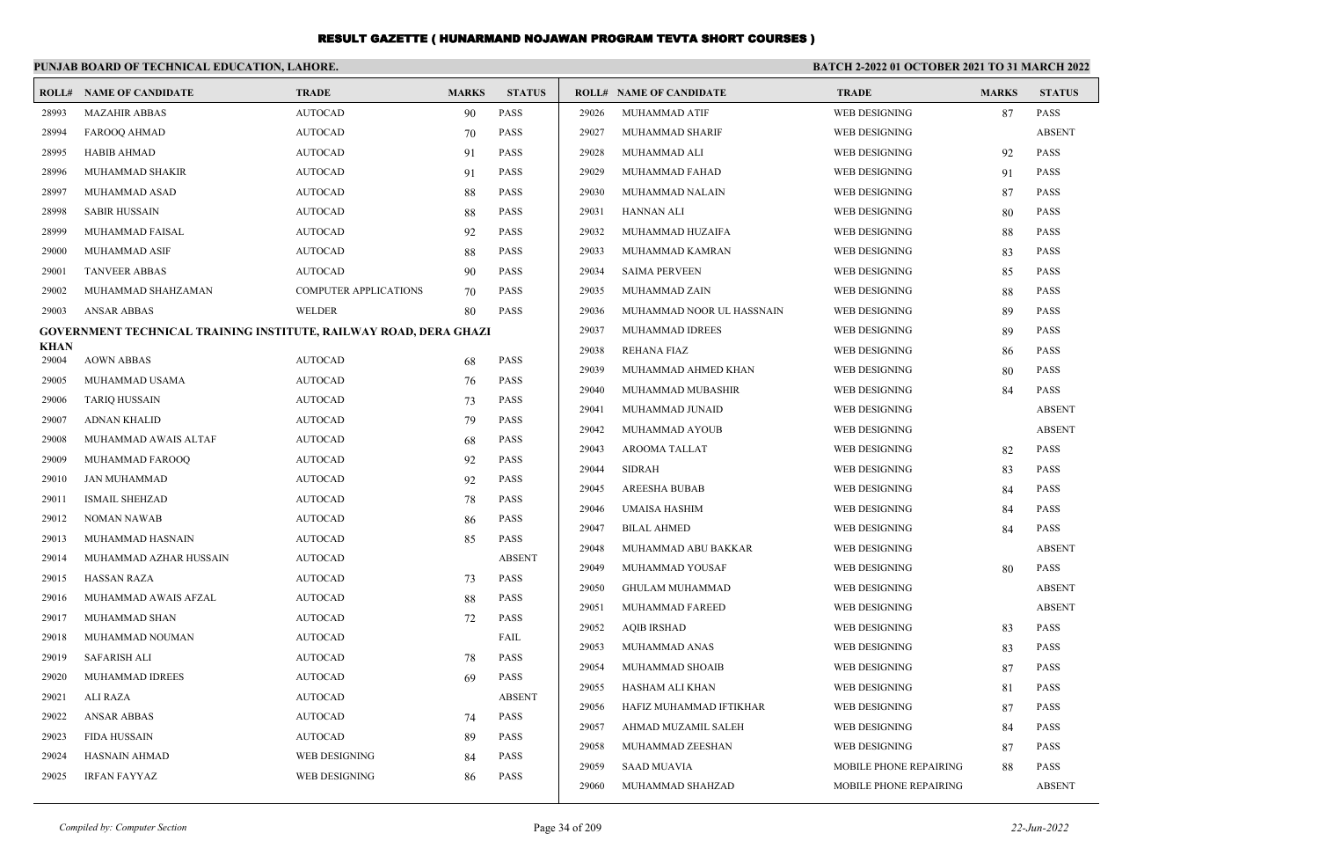|                      | PUNJAB BOARD OF TECHNICAL EDUCATION, LAHORE.                      |                              |              |               |       | <b>BATCH 2-2022 01 OCTOBER 2021 TO 31 MARCH 2022</b> |                        |              |               |  |
|----------------------|-------------------------------------------------------------------|------------------------------|--------------|---------------|-------|------------------------------------------------------|------------------------|--------------|---------------|--|
|                      | <b>ROLL# NAME OF CANDIDATE</b>                                    | <b>TRADE</b>                 | <b>MARKS</b> | <b>STATUS</b> |       | <b>ROLL# NAME OF CANDIDATE</b>                       | <b>TRADE</b>           | <b>MARKS</b> | <b>STATUS</b> |  |
| 28993                | <b>MAZAHIR ABBAS</b>                                              | <b>AUTOCAD</b>               | 90           | <b>PASS</b>   | 29026 | MUHAMMAD ATIF                                        | <b>WEB DESIGNING</b>   | 87           | <b>PASS</b>   |  |
| 28994                | FAROOQ AHMAD                                                      | <b>AUTOCAD</b>               | 70           | <b>PASS</b>   | 29027 | MUHAMMAD SHARIF                                      | <b>WEB DESIGNING</b>   |              | <b>ABSENT</b> |  |
| 28995                | <b>HABIB AHMAD</b>                                                | <b>AUTOCAD</b>               | 91           | <b>PASS</b>   | 29028 | MUHAMMAD ALI                                         | WEB DESIGNING          | 92           | PASS          |  |
| 28996                | MUHAMMAD SHAKIR                                                   | <b>AUTOCAD</b>               | 91           | <b>PASS</b>   | 29029 | MUHAMMAD FAHAD                                       | WEB DESIGNING          | 91           | PASS          |  |
| 28997                | MUHAMMAD ASAD                                                     | <b>AUTOCAD</b>               | 88           | <b>PASS</b>   | 29030 | MUHAMMAD NALAIN                                      | <b>WEB DESIGNING</b>   | 87           | <b>PASS</b>   |  |
| 28998                | <b>SABIR HUSSAIN</b>                                              | <b>AUTOCAD</b>               | 88           | <b>PASS</b>   | 29031 | <b>HANNAN ALI</b>                                    | <b>WEB DESIGNING</b>   | 80           | <b>PASS</b>   |  |
| 28999                | MUHAMMAD FAISAL                                                   | <b>AUTOCAD</b>               | 92           | <b>PASS</b>   | 29032 | MUHAMMAD HUZAIFA                                     | WEB DESIGNING          | 88           | <b>PASS</b>   |  |
| 29000                | <b>MUHAMMAD ASIF</b>                                              | <b>AUTOCAD</b>               | 88           | <b>PASS</b>   | 29033 | MUHAMMAD KAMRAN                                      | <b>WEB DESIGNING</b>   | 83           | <b>PASS</b>   |  |
| 29001                | <b>TANVEER ABBAS</b>                                              | <b>AUTOCAD</b>               | 90           | <b>PASS</b>   | 29034 | <b>SAIMA PERVEEN</b>                                 | <b>WEB DESIGNING</b>   | 85           | <b>PASS</b>   |  |
| 29002                | MUHAMMAD SHAHZAMAN                                                | <b>COMPUTER APPLICATIONS</b> | 70           | <b>PASS</b>   | 29035 | MUHAMMAD ZAIN                                        | <b>WEB DESIGNING</b>   | 88           | <b>PASS</b>   |  |
| 29003                | <b>ANSAR ABBAS</b>                                                | WELDER                       | 80           | <b>PASS</b>   | 29036 | MUHAMMAD NOOR UL HASSNAIN                            | WEB DESIGNING          | 89           | <b>PASS</b>   |  |
|                      | GOVERNMENT TECHNICAL TRAINING INSTITUTE, RAILWAY ROAD, DERA GHAZI |                              |              |               | 29037 | MUHAMMAD IDREES                                      | <b>WEB DESIGNING</b>   | 89           | <b>PASS</b>   |  |
| <b>KHAN</b><br>29004 | <b>AOWN ABBAS</b>                                                 | <b>AUTOCAD</b>               | 68           | <b>PASS</b>   | 29038 | <b>REHANA FIAZ</b>                                   | WEB DESIGNING          | 86           | <b>PASS</b>   |  |
| 29005                | MUHAMMAD USAMA                                                    | <b>AUTOCAD</b>               | 76           | <b>PASS</b>   | 29039 | MUHAMMAD AHMED KHAN                                  | WEB DESIGNING          | 80           | <b>PASS</b>   |  |
| 29006                | <b>TARIQ HUSSAIN</b>                                              | <b>AUTOCAD</b>               | 73           | <b>PASS</b>   | 29040 | MUHAMMAD MUBASHIR                                    | WEB DESIGNING          | 84           | <b>PASS</b>   |  |
| 29007                | <b>ADNAN KHALID</b>                                               | <b>AUTOCAD</b>               | 79           | <b>PASS</b>   | 29041 | MUHAMMAD JUNAID                                      | WEB DESIGNING          |              | <b>ABSENT</b> |  |
| 29008                | MUHAMMAD AWAIS ALTAF                                              | <b>AUTOCAD</b>               | 68           | <b>PASS</b>   | 29042 | MUHAMMAD AYOUB                                       | WEB DESIGNING          |              | <b>ABSENT</b> |  |
| 29009                | MUHAMMAD FAROOQ                                                   | <b>AUTOCAD</b>               | 92           | <b>PASS</b>   | 29043 | AROOMA TALLAT                                        | WEB DESIGNING          | 82           | <b>PASS</b>   |  |
| 29010                | JAN MUHAMMAD                                                      | <b>AUTOCAD</b>               | 92           | PASS          | 29044 | <b>SIDRAH</b>                                        | WEB DESIGNING          | 83           | <b>PASS</b>   |  |
| 29011                | ISMAIL SHEHZAD                                                    | <b>AUTOCAD</b>               | 78           | PASS          | 29045 | <b>AREESHA BUBAB</b>                                 | WEB DESIGNING          | 84           | <b>PASS</b>   |  |
| 29012                | <b>NOMAN NAWAB</b>                                                | <b>AUTOCAD</b>               | 86           | <b>PASS</b>   | 29046 | <b>UMAISA HASHIM</b>                                 | WEB DESIGNING          | 84           | <b>PASS</b>   |  |
| 29013                | MUHAMMAD HASNAIN                                                  | <b>AUTOCAD</b>               | 85           | <b>PASS</b>   | 29047 | <b>BILAL AHMED</b>                                   | WEB DESIGNING          | 84           | <b>PASS</b>   |  |
| 29014                | MUHAMMAD AZHAR HUSSAIN                                            | <b>AUTOCAD</b>               |              | <b>ABSENT</b> | 29048 | MUHAMMAD ABU BAKKAR                                  | WEB DESIGNING          |              | <b>ABSENT</b> |  |
| 29015                | HASSAN RAZA                                                       | <b>AUTOCAD</b>               | 73           | <b>PASS</b>   | 29049 | MUHAMMAD YOUSAF                                      | WEB DESIGNING          | 80           | <b>PASS</b>   |  |
| 29016                | MUHAMMAD AWAIS AFZAL                                              | <b>AUTOCAD</b>               | 88           | <b>PASS</b>   | 29050 | <b>GHULAM MUHAMMAD</b>                               | WEB DESIGNING          |              | <b>ABSENT</b> |  |
| 29017                | MUHAMMAD SHAN                                                     | <b>AUTOCAD</b>               | 72           | <b>PASS</b>   | 29051 | MUHAMMAD FAREED                                      | <b>WEB DESIGNING</b>   |              | <b>ABSENT</b> |  |
| 29018                | MUHAMMAD NOUMAN                                                   | <b>AUTOCAD</b>               |              | FAIL          | 29052 | <b>AQIB IRSHAD</b>                                   | WEB DESIGNING          | 83           | <b>PASS</b>   |  |
| 29019                | <b>SAFARISH ALI</b>                                               | <b>AUTOCAD</b>               | 78           | <b>PASS</b>   | 29053 | MUHAMMAD ANAS                                        | WEB DESIGNING          | 83           | <b>PASS</b>   |  |
| 29020                | MUHAMMAD IDREES                                                   | <b>AUTOCAD</b>               | 69           | <b>PASS</b>   | 29054 | MUHAMMAD SHOAIB                                      | WEB DESIGNING          | 87           | <b>PASS</b>   |  |
| 29021                | ALI RAZA                                                          | <b>AUTOCAD</b>               |              | <b>ABSENT</b> | 29055 | HASHAM ALI KHAN                                      | WEB DESIGNING          | 81           | <b>PASS</b>   |  |
| 29022                | <b>ANSAR ABBAS</b>                                                | <b>AUTOCAD</b>               | 74           | <b>PASS</b>   | 29056 | HAFIZ MUHAMMAD IFTIKHAR                              | WEB DESIGNING          | 87           | <b>PASS</b>   |  |
| 29023                | <b>FIDA HUSSAIN</b>                                               | <b>AUTOCAD</b>               | 89           | <b>PASS</b>   | 29057 | AHMAD MUZAMIL SALEH                                  | WEB DESIGNING          | 84           | <b>PASS</b>   |  |
| 29024                | HASNAIN AHMAD                                                     | WEB DESIGNING                | 84           | <b>PASS</b>   | 29058 | MUHAMMAD ZEESHAN                                     | WEB DESIGNING          | 87           | <b>PASS</b>   |  |
| 29025                | <b>IRFAN FAYYAZ</b>                                               | WEB DESIGNING                | 86           | <b>PASS</b>   | 29059 | <b>SAAD MUAVIA</b>                                   | MOBILE PHONE REPAIRING | 88           | <b>PASS</b>   |  |
|                      |                                                                   |                              |              |               | 29060 | MUHAMMAD SHAHZAD                                     | MOBILE PHONE REPAIRING |              | <b>ABSENT</b> |  |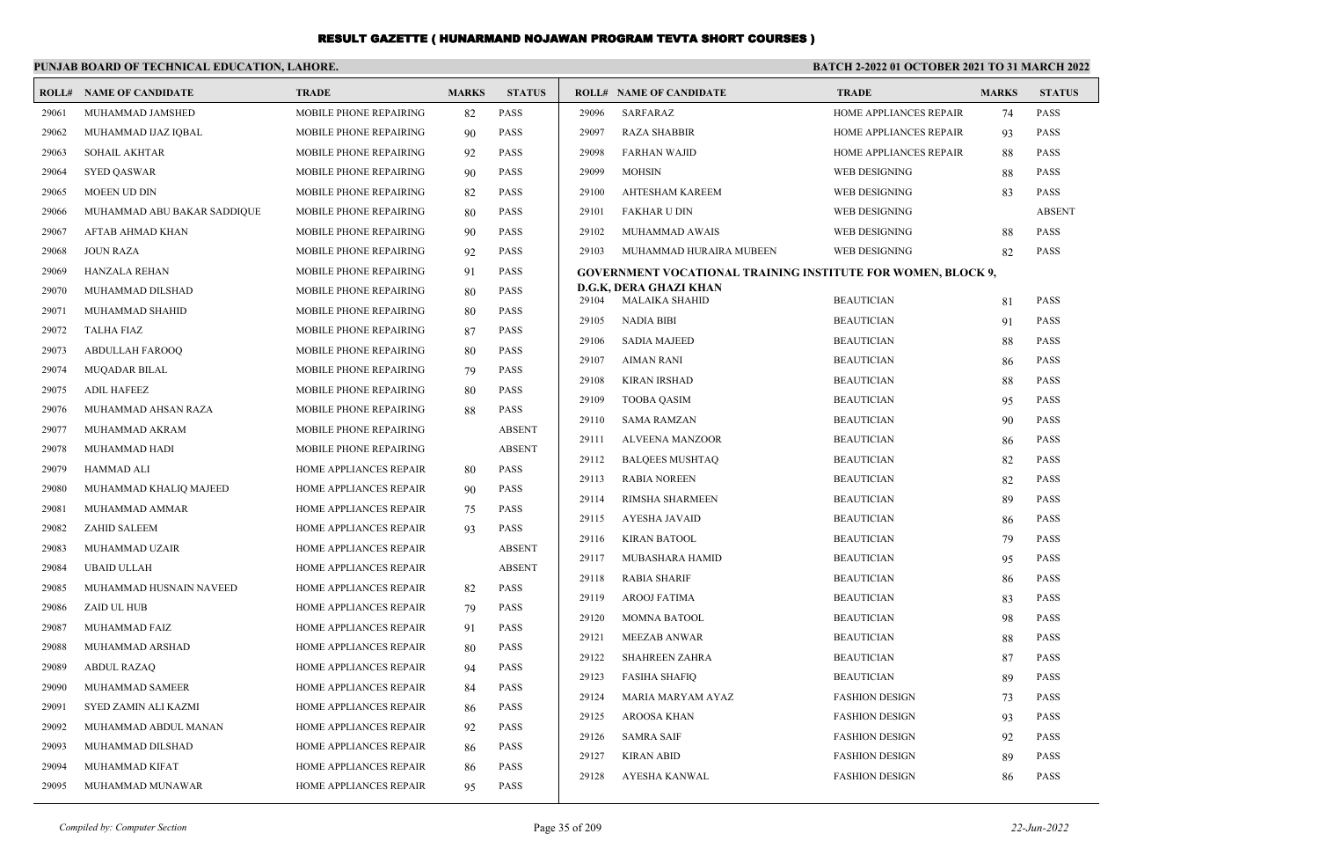|       | PUNJAB BOARD OF TECHNICAL EDUCATION, LAHORE. |                               |              |               | BATCH 2-2022 01 OCTOBER 2021 TO 31 MARCH 2022 |                                                              |                                            |              |               |
|-------|----------------------------------------------|-------------------------------|--------------|---------------|-----------------------------------------------|--------------------------------------------------------------|--------------------------------------------|--------------|---------------|
|       | <b>ROLL# NAME OF CANDIDATE</b>               | <b>TRADE</b>                  | <b>MARKS</b> | <b>STATUS</b> |                                               | <b>ROLL# NAME OF CANDIDATE</b>                               | <b>TRADE</b>                               | <b>MARKS</b> | <b>STATUS</b> |
| 29061 | MUHAMMAD JAMSHED                             | MOBILE PHONE REPAIRING        | 82           | <b>PASS</b>   | 29096                                         | <b>SARFARAZ</b>                                              | HOME APPLIANCES REPAIR                     | 74           | <b>PASS</b>   |
| 29062 | MUHAMMAD IJAZ IQBAL                          | MOBILE PHONE REPAIRING        | 90           | <b>PASS</b>   | 29097                                         | <b>RAZA SHABBIR</b>                                          | HOME APPLIANCES REPAIR                     | 93           | <b>PASS</b>   |
| 29063 | <b>SOHAIL AKHTAR</b>                         | <b>MOBILE PHONE REPAIRING</b> | 92           | <b>PASS</b>   | 29098                                         | <b>FARHAN WAJID</b>                                          | HOME APPLIANCES REPAIR                     | 88           | <b>PASS</b>   |
| 29064 | <b>SYED QASWAR</b>                           | <b>MOBILE PHONE REPAIRING</b> | 90           | <b>PASS</b>   | 29099                                         | <b>MOHSIN</b>                                                | <b>WEB DESIGNING</b>                       | 88           | <b>PASS</b>   |
| 29065 | <b>MOEEN UD DIN</b>                          | MOBILE PHONE REPAIRING        | 82           | <b>PASS</b>   | 29100                                         | <b>AHTESHAM KAREEM</b>                                       | <b>WEB DESIGNING</b>                       | 83           | <b>PASS</b>   |
| 29066 | MUHAMMAD ABU BAKAR SADDIQUE                  | <b>MOBILE PHONE REPAIRING</b> | 80           | <b>PASS</b>   | 29101                                         | <b>FAKHAR U DIN</b>                                          | <b>WEB DESIGNING</b>                       |              | <b>ABSENT</b> |
| 29067 | AFTAB AHMAD KHAN                             | MOBILE PHONE REPAIRING        | 90           | <b>PASS</b>   | 29102                                         | MUHAMMAD AWAIS                                               | <b>WEB DESIGNING</b>                       | 88           | <b>PASS</b>   |
| 29068 | <b>JOUN RAZA</b>                             | MOBILE PHONE REPAIRING        | 92           | <b>PASS</b>   | 29103                                         | MUHAMMAD HURAIRA MUBEEN                                      | WEB DESIGNING                              | 82           | <b>PASS</b>   |
| 29069 | <b>HANZALA REHAN</b>                         | <b>MOBILE PHONE REPAIRING</b> | 91           | <b>PASS</b>   |                                               | GOVERNMENT VOCATIONAL TRAINING INSTITUTE FOR WOMEN, BLOCK 9, |                                            |              |               |
| 29070 | MUHAMMAD DILSHAD                             | MOBILE PHONE REPAIRING        | 80           | <b>PASS</b>   | 29104                                         | D.G.K, DERA GHAZI KHAN<br><b>MALAIKA SHAHID</b>              | <b>BEAUTICIAN</b>                          | 81           | <b>PASS</b>   |
| 29071 | MUHAMMAD SHAHID                              | MOBILE PHONE REPAIRING        | 80           | <b>PASS</b>   | 29105                                         | <b>NADIA BIBI</b>                                            | <b>BEAUTICIAN</b>                          |              | <b>PASS</b>   |
| 29072 | <b>TALHA FIAZ</b>                            | MOBILE PHONE REPAIRING        | 87           | <b>PASS</b>   | 29106                                         | <b>SADIA MAJEED</b>                                          | <b>BEAUTICIAN</b>                          | 91<br>88     | <b>PASS</b>   |
| 29073 | ABDULLAH FAROOQ                              | MOBILE PHONE REPAIRING        | 80           | <b>PASS</b>   | 29107                                         | <b>AIMAN RANI</b>                                            | <b>BEAUTICIAN</b>                          |              | <b>PASS</b>   |
| 29074 | <b>MUQADAR BILAL</b>                         | MOBILE PHONE REPAIRING        | 79           | <b>PASS</b>   | 29108                                         | <b>KIRAN IRSHAD</b>                                          | <b>BEAUTICIAN</b>                          | 86           | <b>PASS</b>   |
| 29075 | <b>ADIL HAFEEZ</b>                           | MOBILE PHONE REPAIRING        | 80           | <b>PASS</b>   | 29109                                         | <b>TOOBA QASIM</b>                                           | <b>BEAUTICIAN</b>                          | 88<br>95     | <b>PASS</b>   |
| 29076 | MUHAMMAD AHSAN RAZA                          | MOBILE PHONE REPAIRING        | 88           | <b>PASS</b>   | 29110                                         | <b>SAMA RAMZAN</b>                                           | <b>BEAUTICIAN</b>                          | 90           | <b>PASS</b>   |
| 29077 | MUHAMMAD AKRAM                               | MOBILE PHONE REPAIRING        |              | <b>ABSENT</b> | 29111                                         | <b>ALVEENA MANZOOR</b>                                       | <b>BEAUTICIAN</b>                          |              | <b>PASS</b>   |
| 29078 | MUHAMMAD HADI                                | MOBILE PHONE REPAIRING        |              | <b>ABSENT</b> | 29112                                         | <b>BALQEES MUSHTAQ</b>                                       | <b>BEAUTICIAN</b>                          | 86<br>82     | <b>PASS</b>   |
| 29079 | HAMMAD ALI                                   | HOME APPLIANCES REPAIR        | 80           | PASS          | 29113                                         | <b>RABIA NOREEN</b>                                          | <b>BEAUTICIAN</b>                          | 82           | <b>PASS</b>   |
| 29080 | MUHAMMAD KHALIQ MAJEED                       | HOME APPLIANCES REPAIR        | 90           | <b>PASS</b>   | 29114                                         | RIMSHA SHARMEEN                                              | <b>BEAUTICIAN</b>                          | 89           | <b>PASS</b>   |
| 29081 | MUHAMMAD AMMAR                               | HOME APPLIANCES REPAIR        | 75           | <b>PASS</b>   | 29115                                         | <b>AYESHA JAVAID</b>                                         | <b>BEAUTICIAN</b>                          | 86           | <b>PASS</b>   |
| 29082 | ZAHID SALEEM                                 | HOME APPLIANCES REPAIR        | 93           | <b>PASS</b>   | 29116                                         | <b>KIRAN BATOOL</b>                                          | <b>BEAUTICIAN</b>                          | 79           | <b>PASS</b>   |
| 29083 | MUHAMMAD UZAIR                               | HOME APPLIANCES REPAIR        |              | <b>ABSENT</b> | 29117                                         |                                                              |                                            | 95           | <b>PASS</b>   |
| 29084 | <b>UBAID ULLAH</b>                           | HOME APPLIANCES REPAIR        |              | <b>ABSENT</b> | 29118                                         | MUBASHARA HAMID<br><b>RABIA SHARIF</b>                       | <b>BEAUTICIAN</b><br><b>BEAUTICIAN</b>     |              | <b>PASS</b>   |
| 29085 | MUHAMMAD HUSNAIN NAVEED                      | HOME APPLIANCES REPAIR        | 82           | <b>PASS</b>   | 29119                                         | <b>AROOJ FATIMA</b>                                          | <b>BEAUTICIAN</b>                          | 86<br>83     | <b>PASS</b>   |
| 29086 | ZAID UL HUB                                  | HOME APPLIANCES REPAIR        | 79           | <b>PASS</b>   | 29120                                         | MOMNA BATOOL                                                 | <b>BEAUTICIAN</b>                          | 98           | <b>PASS</b>   |
| 29087 | MUHAMMAD FAIZ                                | HOME APPLIANCES REPAIR        | 91           | <b>PASS</b>   | 29121                                         | <b>MEEZAB ANWAR</b>                                          | <b>BEAUTICIAN</b>                          |              | <b>PASS</b>   |
| 29088 | MUHAMMAD ARSHAD                              | HOME APPLIANCES REPAIR        | 80           | <b>PASS</b>   | 29122                                         | <b>SHAHREEN ZAHRA</b>                                        | <b>BEAUTICIAN</b>                          | 88           | <b>PASS</b>   |
| 29089 | <b>ABDUL RAZAQ</b>                           | HOME APPLIANCES REPAIR        | 94           | <b>PASS</b>   |                                               |                                                              |                                            | 87           | <b>PASS</b>   |
| 29090 | MUHAMMAD SAMEER                              | HOME APPLIANCES REPAIR        | 84           | <b>PASS</b>   | 29123<br>29124                                | <b>FASIHA SHAFIQ</b><br>MARIA MARYAM AYAZ                    | <b>BEAUTICIAN</b><br><b>FASHION DESIGN</b> | 89           | <b>PASS</b>   |
| 29091 | SYED ZAMIN ALI KAZMI                         | HOME APPLIANCES REPAIR        | 86           | <b>PASS</b>   | 29125                                         | <b>AROOSA KHAN</b>                                           | <b>FASHION DESIGN</b>                      | 73<br>93     | <b>PASS</b>   |
| 29092 | MUHAMMAD ABDUL MANAN                         | <b>HOME APPLIANCES REPAIR</b> | 92           | <b>PASS</b>   |                                               |                                                              | <b>FASHION DESIGN</b>                      |              | <b>PASS</b>   |
| 29093 | MUHAMMAD DILSHAD                             | HOME APPLIANCES REPAIR        | 86           | <b>PASS</b>   | 29126<br>29127                                | <b>SAMRA SAIF</b><br><b>KIRAN ABID</b>                       | <b>FASHION DESIGN</b>                      | 92           | <b>PASS</b>   |
| 29094 | MUHAMMAD KIFAT                               | <b>HOME APPLIANCES REPAIR</b> | 86           | <b>PASS</b>   | 29128                                         | AYESHA KANWAL                                                | <b>FASHION DESIGN</b>                      | 89           | <b>PASS</b>   |
| 29095 | MUHAMMAD MUNAWAR                             | <b>HOME APPLIANCES REPAIR</b> | 95           | <b>PASS</b>   |                                               |                                                              |                                            | 86           |               |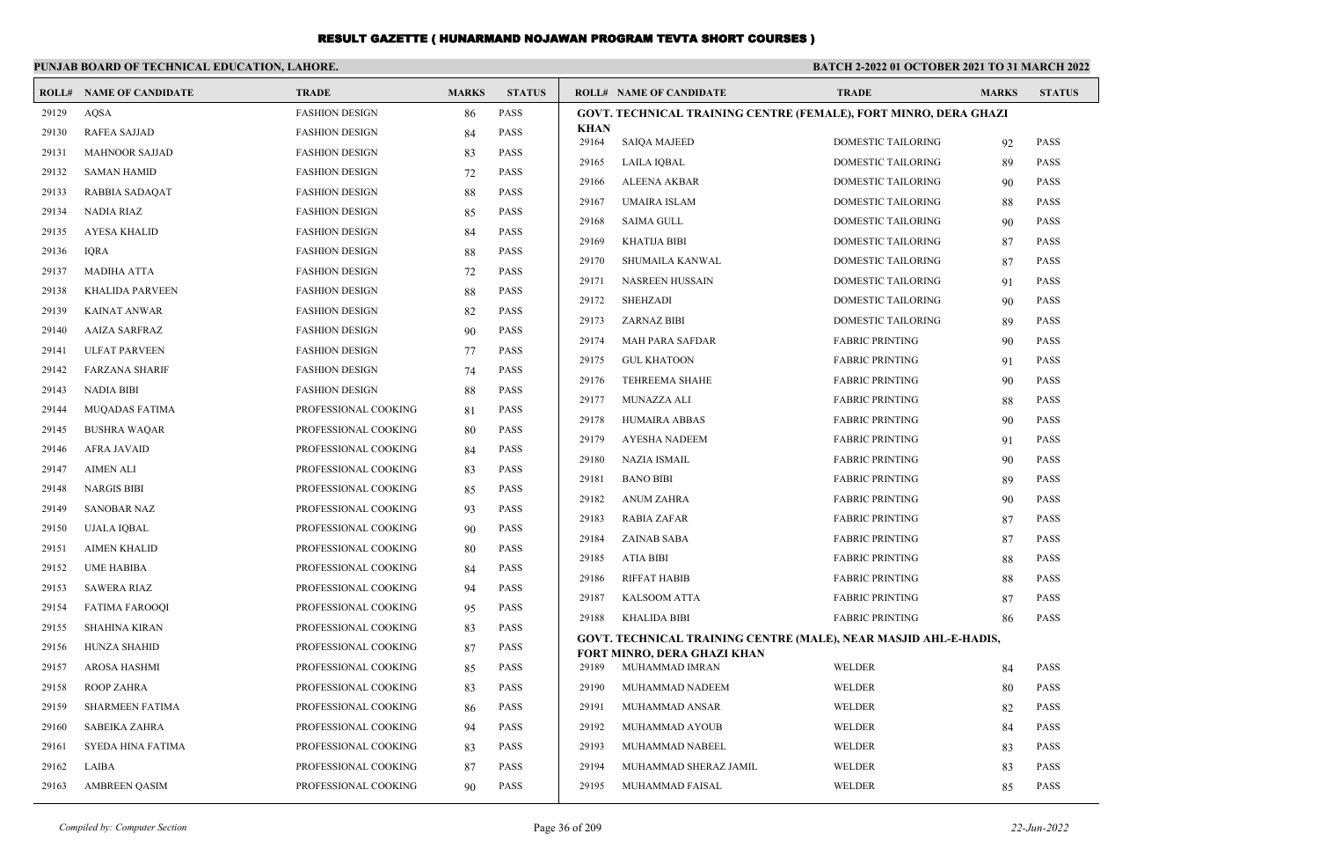|       | PUNJAB BOARD OF TECHNICAL EDUCATION, LAHORE. |                       |              |               | <b>BATCH 2-2022 01 OCTOBER 2021 TO 31 MARCH 2022</b> |                                                                         |                           |              |               |  |  |
|-------|----------------------------------------------|-----------------------|--------------|---------------|------------------------------------------------------|-------------------------------------------------------------------------|---------------------------|--------------|---------------|--|--|
|       | <b>ROLL# NAME OF CANDIDATE</b>               | <b>TRADE</b>          | <b>MARKS</b> | <b>STATUS</b> |                                                      | <b>ROLL# NAME OF CANDIDATE</b>                                          | <b>TRADE</b>              | <b>MARKS</b> | <b>STATUS</b> |  |  |
| 29129 | <b>AOSA</b>                                  | <b>FASHION DESIGN</b> | 86           | <b>PASS</b>   |                                                      | <b>GOVT. TECHNICAL TRAINING CENTRE (FEMALE), FORT MINRO, DERA GHAZI</b> |                           |              |               |  |  |
| 29130 | <b>RAFEA SAJJAD</b>                          | <b>FASHION DESIGN</b> | 84           | <b>PASS</b>   | <b>KHAN</b><br>29164                                 | <b>SAIQA MAJEED</b>                                                     | <b>DOMESTIC TAILORING</b> | 92           | <b>PASS</b>   |  |  |
| 29131 | <b>MAHNOOR SAJJAD</b>                        | <b>FASHION DESIGN</b> | 83           | <b>PASS</b>   | 29165                                                | <b>LAILA IQBAL</b>                                                      | <b>DOMESTIC TAILORING</b> | 89           | <b>PASS</b>   |  |  |
| 29132 | <b>SAMAN HAMID</b>                           | <b>FASHION DESIGN</b> | 72           | <b>PASS</b>   | 29166                                                | <b>ALEENA AKBAR</b>                                                     | <b>DOMESTIC TAILORING</b> | 90           | <b>PASS</b>   |  |  |
| 29133 | <b>RABBIA SADAQAT</b>                        | <b>FASHION DESIGN</b> | 88           | <b>PASS</b>   | 29167                                                | <b>UMAIRA ISLAM</b>                                                     | <b>DOMESTIC TAILORING</b> | 88           | PASS          |  |  |
| 29134 | NADIA RIAZ                                   | <b>FASHION DESIGN</b> | 85           | <b>PASS</b>   | 29168                                                | <b>SAIMA GULL</b>                                                       | <b>DOMESTIC TAILORING</b> | 90           | <b>PASS</b>   |  |  |
| 29135 | <b>AYESA KHALID</b>                          | <b>FASHION DESIGN</b> | 84           | <b>PASS</b>   | 29169                                                | <b>KHATIJA BIBI</b>                                                     | <b>DOMESTIC TAILORING</b> | 87           | <b>PASS</b>   |  |  |
| 29136 | <b>IQRA</b>                                  | <b>FASHION DESIGN</b> | 88           | <b>PASS</b>   | 29170                                                | SHUMAILA KANWAL                                                         | DOMESTIC TAILORING        | 87           | <b>PASS</b>   |  |  |
| 29137 | <b>MADIHA ATTA</b>                           | <b>FASHION DESIGN</b> | 72           | <b>PASS</b>   | 29171                                                | <b>NASREEN HUSSAIN</b>                                                  | <b>DOMESTIC TAILORING</b> | 91           | <b>PASS</b>   |  |  |
| 29138 | KHALIDA PARVEEN                              | <b>FASHION DESIGN</b> | 88           | PASS          | 29172                                                | <b>SHEHZADI</b>                                                         | <b>DOMESTIC TAILORING</b> | 90           | <b>PASS</b>   |  |  |
| 29139 | <b>KAINAT ANWAR</b>                          | <b>FASHION DESIGN</b> | 82           | PASS          | 29173                                                | <b>ZARNAZ BIBI</b>                                                      | <b>DOMESTIC TAILORING</b> | 89           | <b>PASS</b>   |  |  |
| 29140 | <b>AAIZA SARFRAZ</b>                         | <b>FASHION DESIGN</b> | 90           | <b>PASS</b>   | 29174                                                | <b>MAH PARA SAFDAR</b>                                                  | <b>FABRIC PRINTING</b>    | 90           | PASS          |  |  |
| 29141 | <b>ULFAT PARVEEN</b>                         | <b>FASHION DESIGN</b> | 77           | <b>PASS</b>   | 29175                                                | <b>GUL KHATOON</b>                                                      | <b>FABRIC PRINTING</b>    | 91           | <b>PASS</b>   |  |  |
| 29142 | <b>FARZANA SHARIF</b>                        | <b>FASHION DESIGN</b> | 74           | PASS          | 29176                                                | <b>TEHREEMA SHAHE</b>                                                   | <b>FABRIC PRINTING</b>    | 90           | <b>PASS</b>   |  |  |
| 29143 | <b>NADIA BIBI</b>                            | <b>FASHION DESIGN</b> | 88           | PASS          | 29177                                                | <b>MUNAZZA ALI</b>                                                      | <b>FABRIC PRINTING</b>    | 88           | PASS          |  |  |
| 29144 | <b>MUQADAS FATIMA</b>                        | PROFESSIONAL COOKING  | 81           | <b>PASS</b>   | 29178                                                | HUMAIRA ABBAS                                                           | <b>FABRIC PRINTING</b>    | 90           | <b>PASS</b>   |  |  |
| 29145 | <b>BUSHRA WAQAR</b>                          | PROFESSIONAL COOKING  | 80           | <b>PASS</b>   | 29179                                                | <b>AYESHA NADEEM</b>                                                    | <b>FABRIC PRINTING</b>    | 91           | <b>PASS</b>   |  |  |
| 29146 | AFRA JAVAID                                  | PROFESSIONAL COOKING  | 84           | PASS          | 29180                                                | <b>NAZIA ISMAIL</b>                                                     | <b>FABRIC PRINTING</b>    | 90           | <b>PASS</b>   |  |  |
| 29147 | <b>AIMEN ALI</b>                             | PROFESSIONAL COOKING  | 83           | <b>PASS</b>   | 29181                                                | <b>BANO BIBI</b>                                                        | <b>FABRIC PRINTING</b>    | 89           | PASS          |  |  |
| 29148 | <b>NARGIS BIBI</b>                           | PROFESSIONAL COOKING  | 85           | <b>PASS</b>   | 29182                                                | <b>ANUM ZAHRA</b>                                                       | <b>FABRIC PRINTING</b>    | 90           | <b>PASS</b>   |  |  |
| 29149 | <b>SANOBAR NAZ</b>                           | PROFESSIONAL COOKING  | 93           | PASS          | 29183                                                | <b>RABIA ZAFAR</b>                                                      | <b>FABRIC PRINTING</b>    | 87           | <b>PASS</b>   |  |  |
| 29150 | UJALA IQBAL                                  | PROFESSIONAL COOKING  | 90           | <b>PASS</b>   | 29184                                                | <b>ZAINAB SABA</b>                                                      | <b>FABRIC PRINTING</b>    | 87           | PASS          |  |  |
| 29151 | <b>AIMEN KHALID</b>                          | PROFESSIONAL COOKING  | 80           | <b>PASS</b>   | 29185                                                | <b>ATIA BIBI</b>                                                        | <b>FABRIC PRINTING</b>    | 88           | <b>PASS</b>   |  |  |
| 29152 | <b>UME HABIBA</b>                            | PROFESSIONAL COOKING  | 84           | <b>PASS</b>   | 29186                                                | <b>RIFFAT HABIB</b>                                                     | <b>FABRIC PRINTING</b>    | 88           | <b>PASS</b>   |  |  |
| 29153 | <b>SAWERA RIAZ</b>                           | PROFESSIONAL COOKING  | 94           | <b>PASS</b>   | 29187                                                | <b>KALSOOM ATTA</b>                                                     | <b>FABRIC PRINTING</b>    | 87           | <b>PASS</b>   |  |  |
| 29154 | <b>FATIMA FAROOQI</b>                        | PROFESSIONAL COOKING  | 95           | <b>PASS</b>   | 29188                                                | <b>KHALIDA BIBI</b>                                                     | <b>FABRIC PRINTING</b>    | 86           | <b>PASS</b>   |  |  |
| 29155 | SHAHINA KIRAN                                | PROFESSIONAL COOKING  | 83           | <b>PASS</b>   |                                                      | GOVT. TECHNICAL TRAINING CENTRE (MALE), NEAR MASJID AHL-E-HADIS,        |                           |              |               |  |  |
| 29156 | <b>HUNZA SHAHID</b>                          | PROFESSIONAL COOKING  | 87           | <b>PASS</b>   |                                                      | FORT MINRO, DERA GHAZI KHAN                                             |                           |              |               |  |  |
| 29157 | AROSA HASHMI                                 | PROFESSIONAL COOKING  | 85           | <b>PASS</b>   | 29189                                                | MUHAMMAD IMRAN                                                          | WELDER                    | 84           | <b>PASS</b>   |  |  |
| 29158 | <b>ROOP ZAHRA</b>                            | PROFESSIONAL COOKING  | 83           | <b>PASS</b>   | 29190                                                | MUHAMMAD NADEEM                                                         | WELDER                    | 80           | <b>PASS</b>   |  |  |
| 29159 | SHARMEEN FATIMA                              | PROFESSIONAL COOKING  | 86           | <b>PASS</b>   | 29191                                                | MUHAMMAD ANSAR                                                          | <b>WELDER</b>             | 82           | <b>PASS</b>   |  |  |
| 29160 | <b>SABEIKA ZAHRA</b>                         | PROFESSIONAL COOKING  | 94           | <b>PASS</b>   | 29192                                                | MUHAMMAD AYOUB                                                          | <b>WELDER</b>             | 84           | <b>PASS</b>   |  |  |
| 29161 | SYEDA HINA FATIMA                            | PROFESSIONAL COOKING  | 83           | PASS          | 29193                                                | MUHAMMAD NABEEL                                                         | WELDER                    | 83           | <b>PASS</b>   |  |  |
| 29162 | LAIBA                                        | PROFESSIONAL COOKING  | 87           | <b>PASS</b>   | 29194                                                | MUHAMMAD SHERAZ JAMIL                                                   | <b>WELDER</b>             | 83           | <b>PASS</b>   |  |  |
| 29163 | <b>AMBREEN QASIM</b>                         | PROFESSIONAL COOKING  | 90           | <b>PASS</b>   | 29195                                                | MUHAMMAD FAISAL                                                         | WELDER                    | 85           | PASS          |  |  |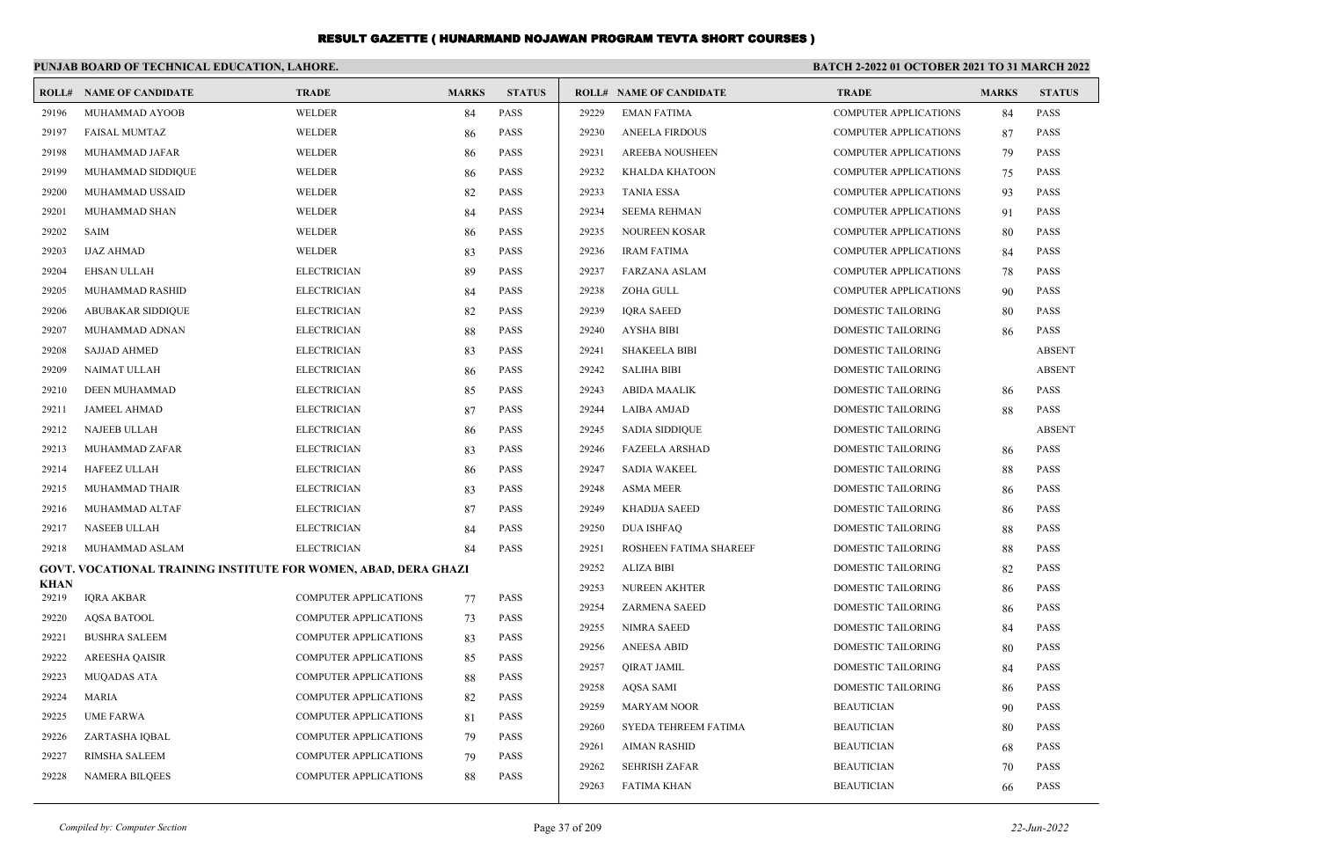|                      | PUNJAB BOARD OF TECHNICAL EDUCATION, LAHORE.                           |                              |              |               | <b>BATCH 2-2022 01 OCTOBER 2021 TO 31 MARCH 2022</b> |                                |                              |              |               |
|----------------------|------------------------------------------------------------------------|------------------------------|--------------|---------------|------------------------------------------------------|--------------------------------|------------------------------|--------------|---------------|
|                      | <b>ROLL# NAME OF CANDIDATE</b>                                         | <b>TRADE</b>                 | <b>MARKS</b> | <b>STATUS</b> |                                                      | <b>ROLL# NAME OF CANDIDATE</b> | <b>TRADE</b>                 | <b>MARKS</b> | <b>STATUS</b> |
| 29196                | MUHAMMAD AYOOB                                                         | WELDER                       | 84           | <b>PASS</b>   | 29229                                                | <b>EMAN FATIMA</b>             | <b>COMPUTER APPLICATIONS</b> | 84           | <b>PASS</b>   |
| 29197                | <b>FAISAL MUMTAZ</b>                                                   | <b>WELDER</b>                | 86           | <b>PASS</b>   | 29230                                                | <b>ANEELA FIRDOUS</b>          | <b>COMPUTER APPLICATIONS</b> | 87           | PASS          |
| 29198                | MUHAMMAD JAFAR                                                         | WELDER                       | 86           | <b>PASS</b>   | 29231                                                | <b>AREEBA NOUSHEEN</b>         | <b>COMPUTER APPLICATIONS</b> | 79           | PASS          |
| 29199                | MUHAMMAD SIDDIQUE                                                      | WELDER                       | 86           | <b>PASS</b>   | 29232                                                | KHALDA KHATOON                 | <b>COMPUTER APPLICATIONS</b> | 75           | PASS          |
| 29200                | MUHAMMAD USSAID                                                        | WELDER                       | 82           | <b>PASS</b>   | 29233                                                | <b>TANIA ESSA</b>              | <b>COMPUTER APPLICATIONS</b> | 93           | <b>PASS</b>   |
| 29201                | MUHAMMAD SHAN                                                          | WELDER                       | 84           | <b>PASS</b>   | 29234                                                | <b>SEEMA REHMAN</b>            | <b>COMPUTER APPLICATIONS</b> | 91           | <b>PASS</b>   |
| 29202                | <b>SAIM</b>                                                            | WELDER                       | 86           | <b>PASS</b>   | 29235                                                | NOUREEN KOSAR                  | <b>COMPUTER APPLICATIONS</b> | 80           | PASS          |
| 29203                | <b>IJAZ AHMAD</b>                                                      | WELDER                       | 83           | <b>PASS</b>   | 29236                                                | <b>IRAM FATIMA</b>             | <b>COMPUTER APPLICATIONS</b> | 84           | PASS          |
| 29204                | <b>EHSAN ULLAH</b>                                                     | <b>ELECTRICIAN</b>           | 89           | <b>PASS</b>   | 29237                                                | <b>FARZANA ASLAM</b>           | <b>COMPUTER APPLICATIONS</b> | 78           | <b>PASS</b>   |
| 29205                | MUHAMMAD RASHID                                                        | <b>ELECTRICIAN</b>           | 84           | <b>PASS</b>   | 29238                                                | ZOHA GULL                      | <b>COMPUTER APPLICATIONS</b> | 90           | <b>PASS</b>   |
| 29206                | <b>ABUBAKAR SIDDIQUE</b>                                               | <b>ELECTRICIAN</b>           | 82           | <b>PASS</b>   | 29239                                                | <b>IQRA SAEED</b>              | <b>DOMESTIC TAILORING</b>    | 80           | PASS          |
| 29207                | MUHAMMAD ADNAN                                                         | <b>ELECTRICIAN</b>           | 88           | <b>PASS</b>   | 29240                                                | <b>AYSHA BIBI</b>              | <b>DOMESTIC TAILORING</b>    | 86           | <b>PASS</b>   |
| 29208                | <b>SAJJAD AHMED</b>                                                    | <b>ELECTRICIAN</b>           | 83           | <b>PASS</b>   | 29241                                                | <b>SHAKEELA BIBI</b>           | <b>DOMESTIC TAILORING</b>    |              | <b>ABSENT</b> |
| 29209                | <b>NAIMAT ULLAH</b>                                                    | <b>ELECTRICIAN</b>           | 86           | <b>PASS</b>   | 29242                                                | <b>SALIHA BIBI</b>             | DOMESTIC TAILORING           |              | <b>ABSENT</b> |
| 29210                | <b>DEEN MUHAMMAD</b>                                                   | <b>ELECTRICIAN</b>           | 85           | <b>PASS</b>   | 29243                                                | <b>ABIDA MAALIK</b>            | DOMESTIC TAILORING           | 86           | <b>PASS</b>   |
| 29211                | <b>JAMEEL AHMAD</b>                                                    | <b>ELECTRICIAN</b>           | 87           | <b>PASS</b>   | 29244                                                | <b>LAIBA AMJAD</b>             | DOMESTIC TAILORING           | 88           | <b>PASS</b>   |
| 29212                | <b>NAJEEB ULLAH</b>                                                    | <b>ELECTRICIAN</b>           | 86           | <b>PASS</b>   | 29245                                                | <b>SADIA SIDDIQUE</b>          | DOMESTIC TAILORING           |              | <b>ABSENT</b> |
| 29213                | MUHAMMAD ZAFAR                                                         | <b>ELECTRICIAN</b>           | 83           | <b>PASS</b>   | 29246                                                | <b>FAZEELA ARSHAD</b>          | DOMESTIC TAILORING           | 86           | <b>PASS</b>   |
| 29214                | <b>HAFEEZ ULLAH</b>                                                    | <b>ELECTRICIAN</b>           | 86           | <b>PASS</b>   | 29247                                                | <b>SADIA WAKEEL</b>            | <b>DOMESTIC TAILORING</b>    | 88           | <b>PASS</b>   |
| 29215                | MUHAMMAD THAIR                                                         | <b>ELECTRICIAN</b>           | 83           | <b>PASS</b>   | 29248                                                | <b>ASMA MEER</b>               | DOMESTIC TAILORING           | 86           | PASS          |
| 29216                | MUHAMMAD ALTAF                                                         | <b>ELECTRICIAN</b>           | 87           | <b>PASS</b>   | 29249                                                | <b>KHADIJA SAEED</b>           | DOMESTIC TAILORING           | 86           | PASS          |
| 29217                | NASEEB ULLAH                                                           | <b>ELECTRICIAN</b>           | 84           | <b>PASS</b>   | 29250                                                | <b>DUA ISHFAQ</b>              | DOMESTIC TAILORING           | 88           | PASS          |
| 29218                | MUHAMMAD ASLAM                                                         | <b>ELECTRICIAN</b>           | 84           | <b>PASS</b>   | 29251                                                | ROSHEEN FATIMA SHAREEF         | DOMESTIC TAILORING           | 88           | <b>PASS</b>   |
|                      | <b>GOVT. VOCATIONAL TRAINING INSTITUTE FOR WOMEN, ABAD, DERA GHAZI</b> |                              |              |               | 29252                                                | ALIZA BIBI                     | DOMESTIC TAILORING           | 82           | <b>PASS</b>   |
| <b>KHAN</b><br>29219 | <b>IQRA AKBAR</b>                                                      | <b>COMPUTER APPLICATIONS</b> | 77           | <b>PASS</b>   | 29253                                                | NUREEN AKHTER                  | DOMESTIC TAILORING           | 86           | PASS          |
| 29220                | <b>AQSA BATOOL</b>                                                     | <b>COMPUTER APPLICATIONS</b> | 73           | <b>PASS</b>   | 29254                                                | <b>ZARMENA SAEED</b>           | DOMESTIC TAILORING           | 86           | PASS          |
| 29221                | <b>BUSHRA SALEEM</b>                                                   | COMPUTER APPLICATIONS        | 83           | <b>PASS</b>   | 29255                                                | <b>NIMRA SAEED</b>             | DOMESTIC TAILORING           | 84           | <b>PASS</b>   |
| 29222                | AREESHA QAISIR                                                         | COMPUTER APPLICATIONS        | 85           | <b>PASS</b>   | 29256                                                | <b>ANEESA ABID</b>             | DOMESTIC TAILORING           | 80           | <b>PASS</b>   |
| 29223                | <b>MUQADAS ATA</b>                                                     | <b>COMPUTER APPLICATIONS</b> | 88           | <b>PASS</b>   | 29257                                                | <b>QIRAT JAMIL</b>             | DOMESTIC TAILORING           | 84           | <b>PASS</b>   |
| 29224                | <b>MARIA</b>                                                           | <b>COMPUTER APPLICATIONS</b> |              | <b>PASS</b>   | 29258                                                | <b>AQSA SAMI</b>               | DOMESTIC TAILORING           | 86           | <b>PASS</b>   |
| 29225                | <b>UME FARWA</b>                                                       | <b>COMPUTER APPLICATIONS</b> | 82           | <b>PASS</b>   | 29259                                                | <b>MARYAM NOOR</b>             | <b>BEAUTICIAN</b>            | 90           | <b>PASS</b>   |
| 29226                |                                                                        | <b>COMPUTER APPLICATIONS</b> | 81           | <b>PASS</b>   | 29260                                                | SYEDA TEHREEM FATIMA           | <b>BEAUTICIAN</b>            | 80           | <b>PASS</b>   |
| 29227                | ZARTASHA IQBAL<br>RIMSHA SALEEM                                        | <b>COMPUTER APPLICATIONS</b> | 79           | <b>PASS</b>   | 29261                                                | <b>AIMAN RASHID</b>            | <b>BEAUTICIAN</b>            | 68           | <b>PASS</b>   |
| 29228                |                                                                        | <b>COMPUTER APPLICATIONS</b> | 79           | <b>PASS</b>   | 29262                                                | <b>SEHRISH ZAFAR</b>           | <b>BEAUTICIAN</b>            | 70           | <b>PASS</b>   |
|                      | NAMERA BILQEES                                                         |                              | 88           |               | 29263                                                | <b>FATIMA KHAN</b>             | <b>BEAUTICIAN</b>            | 66           | <b>PASS</b>   |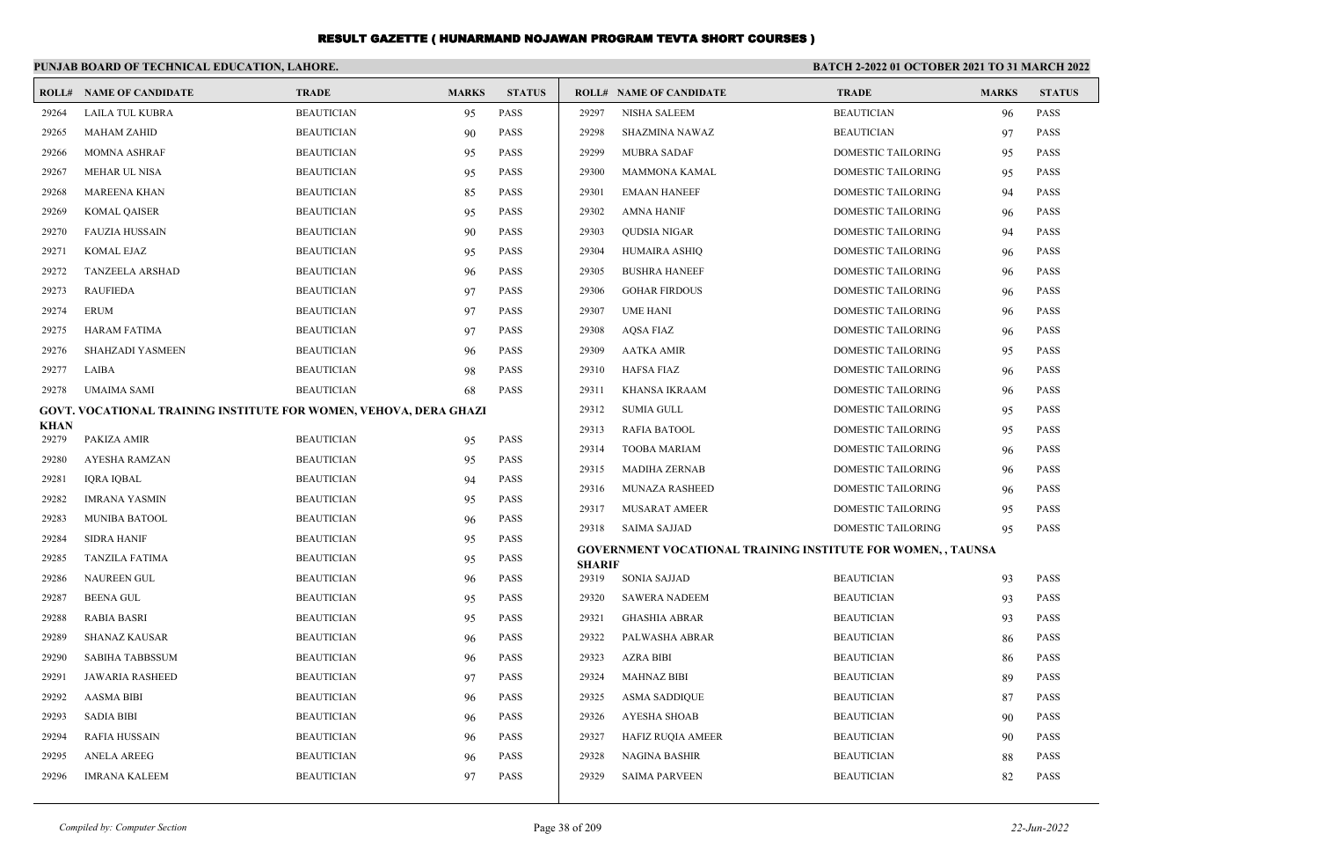|                      | PUNJAB BOARD OF TECHNICAL EDUCATION, LAHORE.                      |                   |              |               | BATCH 2-2022 01 OCTOBER 2021 TO 31 MARCH 2022 |                                                                    |                           |              |               |
|----------------------|-------------------------------------------------------------------|-------------------|--------------|---------------|-----------------------------------------------|--------------------------------------------------------------------|---------------------------|--------------|---------------|
|                      | <b>ROLL# NAME OF CANDIDATE</b>                                    | <b>TRADE</b>      | <b>MARKS</b> | <b>STATUS</b> |                                               | <b>ROLL# NAME OF CANDIDATE</b>                                     | <b>TRADE</b>              | <b>MARKS</b> | <b>STATUS</b> |
| 29264                | LAILA TUL KUBRA                                                   | <b>BEAUTICIAN</b> | 95           | <b>PASS</b>   | 29297                                         | <b>NISHA SALEEM</b>                                                | <b>BEAUTICIAN</b>         | 96           | <b>PASS</b>   |
| 29265                | <b>MAHAM ZAHID</b>                                                | <b>BEAUTICIAN</b> | 90           | <b>PASS</b>   | 29298                                         | <b>SHAZMINA NAWAZ</b>                                              | <b>BEAUTICIAN</b>         | 97           | <b>PASS</b>   |
| 29266                | <b>MOMNA ASHRAF</b>                                               | <b>BEAUTICIAN</b> | 95           | <b>PASS</b>   | 29299                                         | <b>MUBRA SADAF</b>                                                 | DOMESTIC TAILORING        | 95           | <b>PASS</b>   |
| 29267                | MEHAR UL NISA                                                     | <b>BEAUTICIAN</b> | 95           | <b>PASS</b>   | 29300                                         | <b>MAMMONA KAMAL</b>                                               | DOMESTIC TAILORING        | 95           | <b>PASS</b>   |
| 29268                | <b>MAREENA KHAN</b>                                               | <b>BEAUTICIAN</b> | 85           | <b>PASS</b>   | 29301                                         | <b>EMAAN HANEEF</b>                                                | <b>DOMESTIC TAILORING</b> | 94           | <b>PASS</b>   |
| 29269                | <b>KOMAL QAISER</b>                                               | <b>BEAUTICIAN</b> | 95           | <b>PASS</b>   | 29302                                         | <b>AMNA HANIF</b>                                                  | <b>DOMESTIC TAILORING</b> | 96           | <b>PASS</b>   |
| 29270                | <b>FAUZIA HUSSAIN</b>                                             | <b>BEAUTICIAN</b> | 90           | <b>PASS</b>   | 29303                                         | <b>OUDSIA NIGAR</b>                                                | <b>DOMESTIC TAILORING</b> | 94           | <b>PASS</b>   |
| 29271                | <b>KOMAL EJAZ</b>                                                 | <b>BEAUTICIAN</b> | 95           | <b>PASS</b>   | 29304                                         | HUMAIRA ASHIQ                                                      | DOMESTIC TAILORING        | 96           | <b>PASS</b>   |
| 29272                | <b>TANZEELA ARSHAD</b>                                            | <b>BEAUTICIAN</b> | 96           | <b>PASS</b>   | 29305                                         | <b>BUSHRA HANEEF</b>                                               | DOMESTIC TAILORING        | 96           | <b>PASS</b>   |
| 29273                | <b>RAUFIEDA</b>                                                   | <b>BEAUTICIAN</b> | 97           | PASS          | 29306                                         | <b>GOHAR FIRDOUS</b>                                               | DOMESTIC TAILORING        | 96           | <b>PASS</b>   |
| 29274                | <b>ERUM</b>                                                       | <b>BEAUTICIAN</b> | 97           | <b>PASS</b>   | 29307                                         | <b>UME HANI</b>                                                    | DOMESTIC TAILORING        | 96           | <b>PASS</b>   |
| 29275                | <b>HARAM FATIMA</b>                                               | <b>BEAUTICIAN</b> | 97           | <b>PASS</b>   | 29308                                         | <b>AOSA FIAZ</b>                                                   | <b>DOMESTIC TAILORING</b> | 96           | <b>PASS</b>   |
| 29276                | SHAHZADI YASMEEN                                                  | <b>BEAUTICIAN</b> | 96           | PASS          | 29309                                         | <b>AATKA AMIR</b>                                                  | DOMESTIC TAILORING        | 95           | <b>PASS</b>   |
| 29277                | LAIBA                                                             | <b>BEAUTICIAN</b> | 98           | <b>PASS</b>   | 29310                                         | HAFSA FIAZ                                                         | DOMESTIC TAILORING        | 96           | <b>PASS</b>   |
| 29278                | UMAIMA SAMI                                                       | <b>BEAUTICIAN</b> | 68           | <b>PASS</b>   | 29311                                         | KHANSA IKRAAM                                                      | DOMESTIC TAILORING        | 96           | <b>PASS</b>   |
|                      | GOVT. VOCATIONAL TRAINING INSTITUTE FOR WOMEN, VEHOVA, DERA GHAZI |                   |              |               | 29312                                         | <b>SUMIA GULL</b>                                                  | <b>DOMESTIC TAILORING</b> | 95           | <b>PASS</b>   |
| <b>KHAN</b><br>29279 | PAKIZA AMIR                                                       | <b>BEAUTICIAN</b> | 95           | <b>PASS</b>   | 29313                                         | <b>RAFIA BATOOL</b>                                                | <b>DOMESTIC TAILORING</b> | 95           | <b>PASS</b>   |
| 29280                | <b>AYESHA RAMZAN</b>                                              | <b>BEAUTICIAN</b> | 95           | <b>PASS</b>   | 29314                                         | <b>TOOBA MARIAM</b>                                                | DOMESTIC TAILORING        | 96           | <b>PASS</b>   |
| 29281                | <b>IORA IOBAL</b>                                                 | <b>BEAUTICIAN</b> | 94           | <b>PASS</b>   | 29315                                         | <b>MADIHA ZERNAB</b>                                               | DOMESTIC TAILORING        | 96           | <b>PASS</b>   |
| 29282                | <b>IMRANA YASMIN</b>                                              | <b>BEAUTICIAN</b> | 95           | <b>PASS</b>   | 29316                                         | <b>MUNAZA RASHEED</b>                                              | <b>DOMESTIC TAILORING</b> | 96           | <b>PASS</b>   |
| 29283                | <b>MUNIBA BATOOL</b>                                              | <b>BEAUTICIAN</b> | 96           | PASS          | 29317                                         | MUSARAT AMEER                                                      | <b>DOMESTIC TAILORING</b> | 95           | <b>PASS</b>   |
| 29284                | <b>SIDRA HANIF</b>                                                | <b>BEAUTICIAN</b> | 95           | PASS          | 29318                                         | <b>SAIMA SAJJAD</b>                                                | <b>DOMESTIC TAILORING</b> | 95           | <b>PASS</b>   |
| 29285                | <b>TANZILA FATIMA</b>                                             | <b>BEAUTICIAN</b> | 95           | <b>PASS</b>   |                                               | <b>GOVERNMENT VOCATIONAL TRAINING INSTITUTE FOR WOMEN,, TAUNSA</b> |                           |              |               |
| 29286                | <b>NAUREEN GUL</b>                                                | <b>BEAUTICIAN</b> | 96           | <b>PASS</b>   | <b>SHARIF</b><br>29319                        | <b>SONIA SAJJAD</b>                                                | <b>BEAUTICIAN</b>         | 93           | <b>PASS</b>   |
| 29287                | <b>BEENA GUL</b>                                                  | <b>BEAUTICIAN</b> | 95           | <b>PASS</b>   | 29320                                         | <b>SAWERA NADEEM</b>                                               | <b>BEAUTICIAN</b>         | 93           | <b>PASS</b>   |
| 29288                | RABIA BASRI                                                       | <b>BEAUTICIAN</b> | 95           | <b>PASS</b>   | 29321                                         | <b>GHASHIA ABRAR</b>                                               | <b>BEAUTICIAN</b>         | 93           | <b>PASS</b>   |
| 29289                | <b>SHANAZ KAUSAR</b>                                              | <b>BEAUTICIAN</b> | 96           | <b>PASS</b>   | 29322                                         | PALWASHA ABRAR                                                     | <b>BEAUTICIAN</b>         | 86           | <b>PASS</b>   |
| 29290                | <b>SABIHA TABBSSUM</b>                                            | <b>BEAUTICIAN</b> | 96           | <b>PASS</b>   | 29323                                         | <b>AZRA BIBI</b>                                                   | <b>BEAUTICIAN</b>         | 86           | <b>PASS</b>   |
| 29291                | <b>JAWARIA RASHEED</b>                                            | <b>BEAUTICIAN</b> | 97           | <b>PASS</b>   | 29324                                         | <b>MAHNAZ BIBI</b>                                                 | <b>BEAUTICIAN</b>         | 89           | <b>PASS</b>   |
| 29292                | <b>AASMA BIBI</b>                                                 | <b>BEAUTICIAN</b> | 96           | <b>PASS</b>   | 29325                                         | <b>ASMA SADDIQUE</b>                                               | <b>BEAUTICIAN</b>         | 87           | <b>PASS</b>   |
| 29293                | <b>SADIA BIBI</b>                                                 | <b>BEAUTICIAN</b> | 96           | <b>PASS</b>   | 29326                                         | AYESHA SHOAB                                                       | <b>BEAUTICIAN</b>         | 90           | <b>PASS</b>   |
| 29294                | RAFIA HUSSAIN                                                     | <b>BEAUTICIAN</b> | 96           | <b>PASS</b>   | 29327                                         | <b>HAFIZ RUQIA AMEER</b>                                           | <b>BEAUTICIAN</b>         | 90           | <b>PASS</b>   |
| 29295                | <b>ANELA AREEG</b>                                                | <b>BEAUTICIAN</b> | 96           | <b>PASS</b>   | 29328                                         | <b>NAGINA BASHIR</b>                                               | <b>BEAUTICIAN</b>         | 88           | <b>PASS</b>   |
| 29296                | <b>IMRANA KALEEM</b>                                              | <b>BEAUTICIAN</b> | 97           | <b>PASS</b>   | 29329                                         | <b>SAIMA PARVEEN</b>                                               | <b>BEAUTICIAN</b>         | 82           | <b>PASS</b>   |
|                      |                                                                   |                   |              |               |                                               |                                                                    |                           |              |               |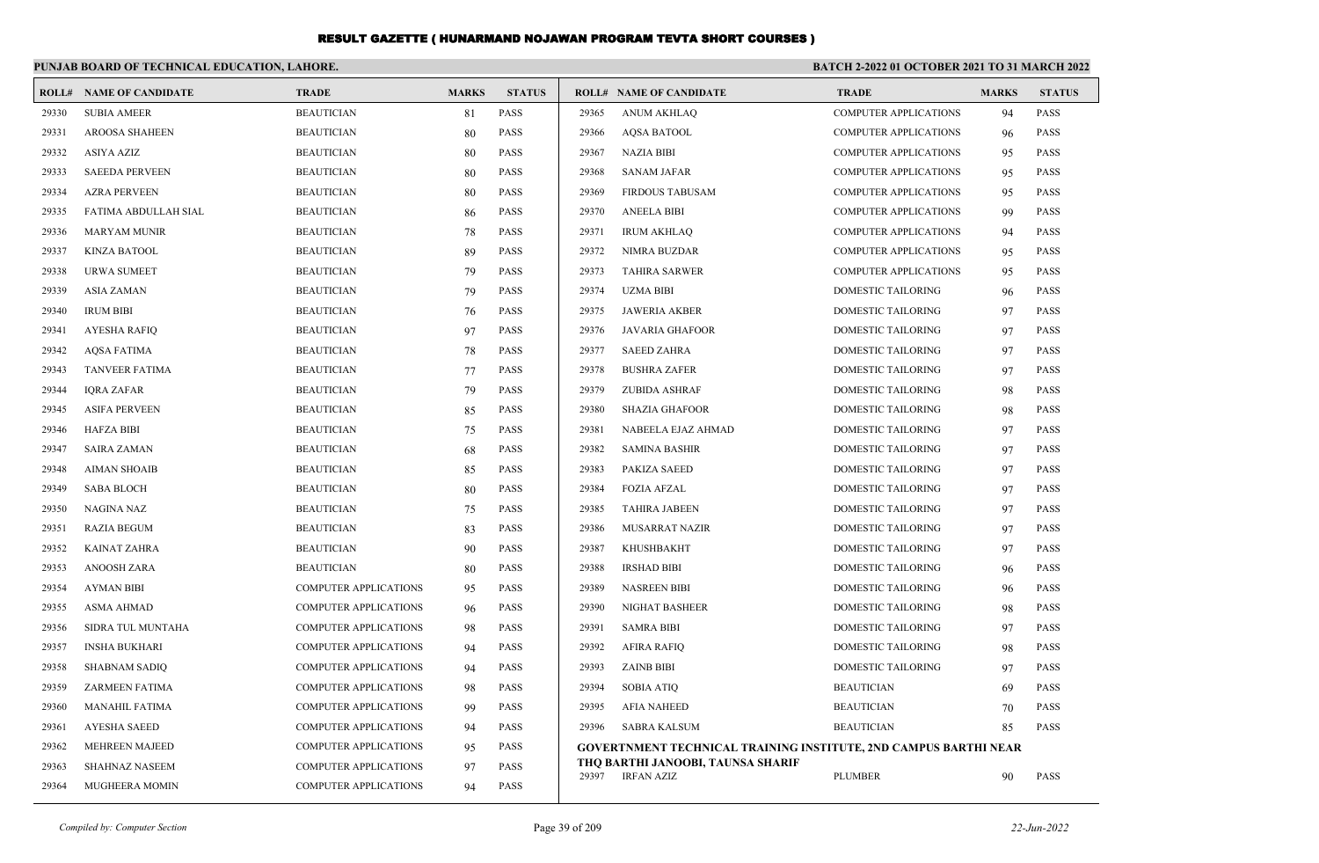|       | PUNJAB BOARD OF TECHNICAL EDUCATION, LAHORE. |                              |              |               |       |                                                                         | <b>BATCH 2-2022 01 OCTOBER 2021 TO 31 MARCH 2022</b> |              |               |
|-------|----------------------------------------------|------------------------------|--------------|---------------|-------|-------------------------------------------------------------------------|------------------------------------------------------|--------------|---------------|
| ROLL# | <b>NAME OF CANDIDATE</b>                     | <b>TRADE</b>                 | <b>MARKS</b> | <b>STATUS</b> |       | <b>ROLL# NAME OF CANDIDATE</b>                                          | <b>TRADE</b>                                         | <b>MARKS</b> | <b>STATUS</b> |
| 29330 | <b>SUBIA AMEER</b>                           | <b>BEAUTICIAN</b>            | 81           | PASS          | 29365 | <b>ANUM AKHLAQ</b>                                                      | <b>COMPUTER APPLICATIONS</b>                         | 94           | <b>PASS</b>   |
| 29331 | <b>AROOSA SHAHEEN</b>                        | <b>BEAUTICIAN</b>            | 80           | <b>PASS</b>   | 29366 | <b>AQSA BATOOL</b>                                                      | <b>COMPUTER APPLICATIONS</b>                         | 96           | <b>PASS</b>   |
| 29332 | <b>ASIYA AZIZ</b>                            | <b>BEAUTICIAN</b>            | 80           | <b>PASS</b>   | 29367 | <b>NAZIA BIBI</b>                                                       | <b>COMPUTER APPLICATIONS</b>                         | 95           | <b>PASS</b>   |
| 29333 | <b>SAEEDA PERVEEN</b>                        | <b>BEAUTICIAN</b>            | 80           | <b>PASS</b>   | 29368 | <b>SANAM JAFAR</b>                                                      | <b>COMPUTER APPLICATIONS</b>                         | 95           | <b>PASS</b>   |
| 29334 | <b>AZRA PERVEEN</b>                          | <b>BEAUTICIAN</b>            | 80           | <b>PASS</b>   | 29369 | <b>FIRDOUS TABUSAM</b>                                                  | <b>COMPUTER APPLICATIONS</b>                         | 95           | <b>PASS</b>   |
| 29335 | FATIMA ABDULLAH SIAL                         | <b>BEAUTICIAN</b>            | 86           | <b>PASS</b>   | 29370 | <b>ANEELA BIBI</b>                                                      | <b>COMPUTER APPLICATIONS</b>                         | 99           | <b>PASS</b>   |
| 29336 | <b>MARYAM MUNIR</b>                          | <b>BEAUTICIAN</b>            | 78           | <b>PASS</b>   | 29371 | <b>IRUM AKHLAQ</b>                                                      | <b>COMPUTER APPLICATIONS</b>                         | 94           | <b>PASS</b>   |
| 29337 | <b>KINZA BATOOL</b>                          | <b>BEAUTICIAN</b>            | 89           | <b>PASS</b>   | 29372 | NIMRA BUZDAR                                                            | <b>COMPUTER APPLICATIONS</b>                         | 95           | <b>PASS</b>   |
| 29338 | <b>URWA SUMEET</b>                           | <b>BEAUTICIAN</b>            | 79           | <b>PASS</b>   | 29373 | <b>TAHIRA SARWER</b>                                                    | <b>COMPUTER APPLICATIONS</b>                         | 95           | <b>PASS</b>   |
| 29339 | <b>ASIA ZAMAN</b>                            | <b>BEAUTICIAN</b>            | 79           | <b>PASS</b>   | 29374 | <b>UZMA BIBI</b>                                                        | DOMESTIC TAILORING                                   | 96           | PASS          |
| 29340 | <b>IRUM BIBI</b>                             | <b>BEAUTICIAN</b>            | 76           | <b>PASS</b>   | 29375 | <b>JAWERIA AKBER</b>                                                    | DOMESTIC TAILORING                                   | 97           | <b>PASS</b>   |
| 29341 | <b>AYESHA RAFIO</b>                          | <b>BEAUTICIAN</b>            | 97           | <b>PASS</b>   | 29376 | <b>JAVARIA GHAFOOR</b>                                                  | <b>DOMESTIC TAILORING</b>                            | 97           | <b>PASS</b>   |
| 29342 | <b>AOSA FATIMA</b>                           | <b>BEAUTICIAN</b>            | 78           | <b>PASS</b>   | 29377 | <b>SAEED ZAHRA</b>                                                      | <b>DOMESTIC TAILORING</b>                            | 97           | <b>PASS</b>   |
| 29343 | <b>TANVEER FATIMA</b>                        | <b>BEAUTICIAN</b>            | 77           | <b>PASS</b>   | 29378 | <b>BUSHRA ZAFER</b>                                                     | DOMESTIC TAILORING                                   | 97           | <b>PASS</b>   |
| 29344 | <b>IQRA ZAFAR</b>                            | <b>BEAUTICIAN</b>            | 79           | <b>PASS</b>   | 29379 | <b>ZUBIDA ASHRAF</b>                                                    | DOMESTIC TAILORING                                   | 98           | <b>PASS</b>   |
| 29345 | <b>ASIFA PERVEEN</b>                         | <b>BEAUTICIAN</b>            | 85           | <b>PASS</b>   | 29380 | <b>SHAZIA GHAFOOR</b>                                                   | <b>DOMESTIC TAILORING</b>                            | 98           | <b>PASS</b>   |
| 29346 | <b>HAFZA BIBI</b>                            | <b>BEAUTICIAN</b>            | 75           | <b>PASS</b>   | 29381 | NABEELA EJAZ AHMAD                                                      | <b>DOMESTIC TAILORING</b>                            | 97           | <b>PASS</b>   |
| 29347 | <b>SAIRA ZAMAN</b>                           | <b>BEAUTICIAN</b>            | 68           | <b>PASS</b>   | 29382 | <b>SAMINA BASHIR</b>                                                    | DOMESTIC TAILORING                                   | 97           | <b>PASS</b>   |
| 29348 | <b>AIMAN SHOAIB</b>                          | <b>BEAUTICIAN</b>            | 85           | <b>PASS</b>   | 29383 | <b>PAKIZA SAEED</b>                                                     | DOMESTIC TAILORING                                   | 97           | <b>PASS</b>   |
| 29349 | <b>SABA BLOCH</b>                            | <b>BEAUTICIAN</b>            | 80           | <b>PASS</b>   | 29384 | <b>FOZIA AFZAL</b>                                                      | DOMESTIC TAILORING                                   | 97           | <b>PASS</b>   |
| 29350 | NAGINA NAZ                                   | <b>BEAUTICIAN</b>            | 75           | <b>PASS</b>   | 29385 | <b>TAHIRA JABEEN</b>                                                    | <b>DOMESTIC TAILORING</b>                            | 97           | <b>PASS</b>   |
| 29351 | <b>RAZIA BEGUM</b>                           | <b>BEAUTICIAN</b>            | 83           | <b>PASS</b>   | 29386 | <b>MUSARRAT NAZIR</b>                                                   | <b>DOMESTIC TAILORING</b>                            | 97           | <b>PASS</b>   |
| 29352 | KAINAT ZAHRA                                 | <b>BEAUTICIAN</b>            | 90           | <b>PASS</b>   | 29387 | <b>KHUSHBAKHT</b>                                                       | DOMESTIC TAILORING                                   | 97           | <b>PASS</b>   |
| 29353 | <b>ANOOSH ZARA</b>                           | <b>BEAUTICIAN</b>            | 80           | <b>PASS</b>   | 29388 | <b>IRSHAD BIBI</b>                                                      | DOMESTIC TAILORING                                   | 96           | <b>PASS</b>   |
| 29354 | <b>AYMAN BIBI</b>                            | COMPUTER APPLICATIONS        | 95           | <b>PASS</b>   | 29389 | <b>NASREEN BIBI</b>                                                     | DOMESTIC TAILORING                                   | 96           | <b>PASS</b>   |
| 29355 | <b>ASMA AHMAD</b>                            | <b>COMPUTER APPLICATIONS</b> | 96           | <b>PASS</b>   | 29390 | NIGHAT BASHEER                                                          | DOMESTIC TAILORING                                   | 98           | <b>PASS</b>   |
| 29356 | SIDRA TUL MUNTAHA                            | <b>COMPUTER APPLICATIONS</b> | 98           | <b>PASS</b>   | 29391 | <b>SAMRA BIBI</b>                                                       | <b>DOMESTIC TAILORING</b>                            | 97           | <b>PASS</b>   |
| 29357 | <b>INSHA BUKHARI</b>                         | COMPUTER APPLICATIONS        | 94           | <b>PASS</b>   | 29392 | <b>AFIRA RAFIQ</b>                                                      | DOMESTIC TAILORING                                   | 98           | <b>PASS</b>   |
| 29358 | <b>SHABNAM SADIQ</b>                         | <b>COMPUTER APPLICATIONS</b> | 94           | <b>PASS</b>   | 29393 | <b>ZAINB BIBI</b>                                                       | <b>DOMESTIC TAILORING</b>                            | 97           | <b>PASS</b>   |
| 29359 | <b>ZARMEEN FATIMA</b>                        | <b>COMPUTER APPLICATIONS</b> | 98           | <b>PASS</b>   | 29394 | <b>SOBIA ATIQ</b>                                                       | <b>BEAUTICIAN</b>                                    | 69           | <b>PASS</b>   |
| 29360 | <b>MANAHIL FATIMA</b>                        | <b>COMPUTER APPLICATIONS</b> | 99           | PASS          | 29395 | <b>AFIA NAHEED</b>                                                      | <b>BEAUTICIAN</b>                                    | 70           | <b>PASS</b>   |
| 29361 | <b>AYESHA SAEED</b>                          | COMPUTER APPLICATIONS        | 94           | PASS          | 29396 | <b>SABRA KALSUM</b>                                                     | <b>BEAUTICIAN</b>                                    | 85           | <b>PASS</b>   |
| 29362 | <b>MEHREEN MAJEED</b>                        | COMPUTER APPLICATIONS        | 95           | <b>PASS</b>   |       | <b>GOVERTNMENT TECHNICAL TRAINING INSTITUTE, 2ND CAMPUS BARTHI NEAR</b> |                                                      |              |               |
| 29363 | <b>SHAHNAZ NASEEM</b>                        | <b>COMPUTER APPLICATIONS</b> | 97           | PASS          | 29397 | THO BARTHI JANOOBI, TAUNSA SHARIF                                       |                                                      |              |               |
| 29364 | MUGHEERA MOMIN                               | <b>COMPUTER APPLICATIONS</b> | 94           | <b>PASS</b>   |       | <b>IRFAN AZIZ</b>                                                       | <b>PLUMBER</b>                                       | 90           | <b>PASS</b>   |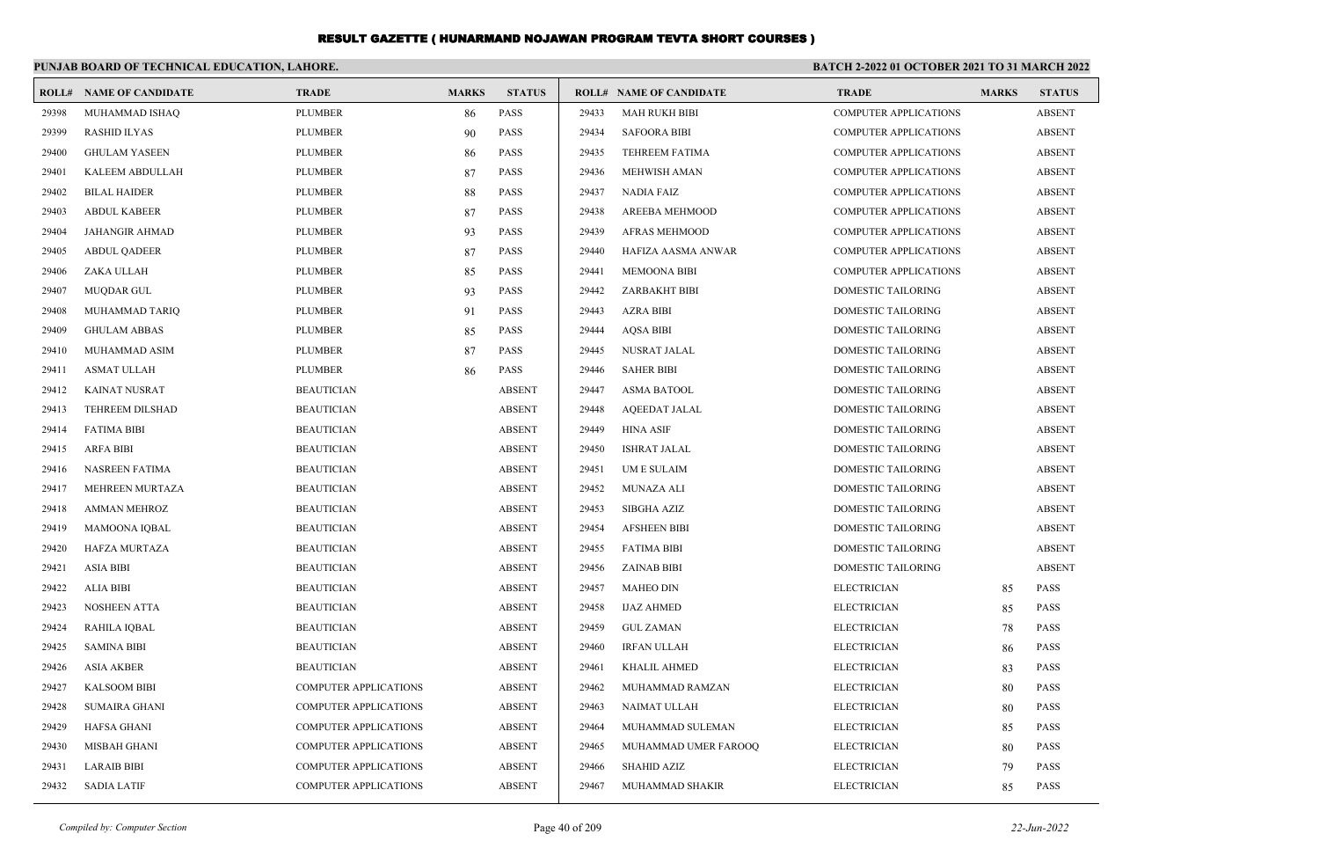|       | PUNJAB BOARD OF TECHNICAL EDUCATION, LAHORE. |                              |              |               | <b>BATCH 2-2022 01 OCTOBER 2021 TO 31 MARCH 2022</b> |                                |                              |              |               |
|-------|----------------------------------------------|------------------------------|--------------|---------------|------------------------------------------------------|--------------------------------|------------------------------|--------------|---------------|
| ROLL# | <b>NAME OF CANDIDATE</b>                     | <b>TRADE</b>                 | <b>MARKS</b> | <b>STATUS</b> |                                                      | <b>ROLL# NAME OF CANDIDATE</b> | <b>TRADE</b>                 | <b>MARKS</b> | <b>STATUS</b> |
| 29398 | MUHAMMAD ISHAQ                               | <b>PLUMBER</b>               | 86           | PASS          | 29433                                                | <b>MAH RUKH BIBI</b>           | <b>COMPUTER APPLICATIONS</b> |              | <b>ABSENT</b> |
| 29399 | <b>RASHID ILYAS</b>                          | <b>PLUMBER</b>               | 90           | PASS          | 29434                                                | <b>SAFOORA BIBI</b>            | <b>COMPUTER APPLICATIONS</b> |              | <b>ABSENT</b> |
| 29400 | <b>GHULAM YASEEN</b>                         | <b>PLUMBER</b>               | 86           | PASS          | 29435                                                | TEHREEM FATIMA                 | <b>COMPUTER APPLICATIONS</b> |              | <b>ABSENT</b> |
| 29401 | KALEEM ABDULLAH                              | <b>PLUMBER</b>               | 87           | PASS          | 29436                                                | <b>MEHWISH AMAN</b>            | <b>COMPUTER APPLICATIONS</b> |              | <b>ABSENT</b> |
| 29402 | <b>BILAL HAIDER</b>                          | <b>PLUMBER</b>               | 88           | PASS          | 29437                                                | <b>NADIA FAIZ</b>              | <b>COMPUTER APPLICATIONS</b> |              | <b>ABSENT</b> |
| 29403 | <b>ABDUL KABEER</b>                          | <b>PLUMBER</b>               | 87           | PASS          | 29438                                                | AREEBA MEHMOOD                 | <b>COMPUTER APPLICATIONS</b> |              | <b>ABSENT</b> |
| 29404 | <b>JAHANGIR AHMAD</b>                        | <b>PLUMBER</b>               | 93           | <b>PASS</b>   | 29439                                                | <b>AFRAS MEHMOOD</b>           | <b>COMPUTER APPLICATIONS</b> |              | <b>ABSENT</b> |
| 29405 | <b>ABDUL QADEER</b>                          | <b>PLUMBER</b>               | 87           | PASS          | 29440                                                | HAFIZA AASMA ANWAR             | <b>COMPUTER APPLICATIONS</b> |              | <b>ABSENT</b> |
| 29406 | ZAKA ULLAH                                   | <b>PLUMBER</b>               | 85           | PASS          | 29441                                                | <b>MEMOONA BIBI</b>            | <b>COMPUTER APPLICATIONS</b> |              | <b>ABSENT</b> |
| 29407 | <b>MUODAR GUL</b>                            | <b>PLUMBER</b>               | 93           | <b>PASS</b>   | 29442                                                | <b>ZARBAKHT BIBI</b>           | <b>DOMESTIC TAILORING</b>    |              | <b>ABSENT</b> |
| 29408 | MUHAMMAD TARIQ                               | <b>PLUMBER</b>               | 91           | PASS          | 29443                                                | <b>AZRA BIBI</b>               | <b>DOMESTIC TAILORING</b>    |              | <b>ABSENT</b> |
| 29409 | <b>GHULAM ABBAS</b>                          | <b>PLUMBER</b>               | 85           | <b>PASS</b>   | 29444                                                | <b>AOSA BIBI</b>               | <b>DOMESTIC TAILORING</b>    |              | <b>ABSENT</b> |
| 29410 | MUHAMMAD ASIM                                | <b>PLUMBER</b>               | 87           | PASS          | 29445                                                | NUSRAT JALAL                   | DOMESTIC TAILORING           |              | <b>ABSENT</b> |
| 29411 | <b>ASMAT ULLAH</b>                           | <b>PLUMBER</b>               | 86           | <b>PASS</b>   | 29446                                                | <b>SAHER BIBI</b>              | <b>DOMESTIC TAILORING</b>    |              | <b>ABSENT</b> |
| 29412 | <b>KAINAT NUSRAT</b>                         | <b>BEAUTICIAN</b>            |              | <b>ABSENT</b> | 29447                                                | <b>ASMA BATOOL</b>             | <b>DOMESTIC TAILORING</b>    |              | <b>ABSENT</b> |
| 29413 | TEHREEM DILSHAD                              | <b>BEAUTICIAN</b>            |              | <b>ABSENT</b> | 29448                                                | <b>AQEEDAT JALAL</b>           | <b>DOMESTIC TAILORING</b>    |              | <b>ABSENT</b> |
| 29414 | <b>FATIMA BIBI</b>                           | <b>BEAUTICIAN</b>            |              | <b>ABSENT</b> | 29449                                                | <b>HINA ASIF</b>               | <b>DOMESTIC TAILORING</b>    |              | <b>ABSENT</b> |
| 29415 | <b>ARFA BIBI</b>                             | <b>BEAUTICIAN</b>            |              | <b>ABSENT</b> | 29450                                                | <b>ISHRAT JALAL</b>            | DOMESTIC TAILORING           |              | <b>ABSENT</b> |
| 29416 | NASREEN FATIMA                               | <b>BEAUTICIAN</b>            |              | <b>ABSENT</b> | 29451                                                | UM E SULAIM                    | DOMESTIC TAILORING           |              | <b>ABSENT</b> |
| 29417 | <b>MEHREEN MURTAZA</b>                       | <b>BEAUTICIAN</b>            |              | <b>ABSENT</b> | 29452                                                | <b>MUNAZA ALI</b>              | <b>DOMESTIC TAILORING</b>    |              | <b>ABSENT</b> |
| 29418 | <b>AMMAN MEHROZ</b>                          | <b>BEAUTICIAN</b>            |              | <b>ABSENT</b> | 29453                                                | <b>SIBGHA AZIZ</b>             | <b>DOMESTIC TAILORING</b>    |              | <b>ABSENT</b> |
| 29419 | <b>MAMOONA IQBAL</b>                         | <b>BEAUTICIAN</b>            |              | <b>ABSENT</b> | 29454                                                | <b>AFSHEEN BIBI</b>            | DOMESTIC TAILORING           |              | <b>ABSENT</b> |
| 29420 | HAFZA MURTAZA                                | <b>BEAUTICIAN</b>            |              | <b>ABSENT</b> | 29455                                                | <b>FATIMA BIBI</b>             | DOMESTIC TAILORING           |              | <b>ABSENT</b> |
| 29421 | <b>ASIA BIBI</b>                             | <b>BEAUTICIAN</b>            |              | <b>ABSENT</b> | 29456                                                | <b>ZAINAB BIBI</b>             | DOMESTIC TAILORING           |              | <b>ABSENT</b> |
| 29422 | <b>ALIA BIBI</b>                             | <b>BEAUTICIAN</b>            |              | <b>ABSENT</b> | 29457                                                | <b>MAHEO DIN</b>               | <b>ELECTRICIAN</b>           | 85           | <b>PASS</b>   |
| 29423 | <b>NOSHEEN ATTA</b>                          | <b>BEAUTICIAN</b>            |              | <b>ABSENT</b> | 29458                                                | <b>IJAZ AHMED</b>              | <b>ELECTRICIAN</b>           | 85           | <b>PASS</b>   |
| 29424 | RAHILA IQBAL                                 | <b>BEAUTICIAN</b>            |              | <b>ABSENT</b> | 29459                                                | <b>GUL ZAMAN</b>               | <b>ELECTRICIAN</b>           | 78           | <b>PASS</b>   |
| 29425 | <b>SAMINA BIBI</b>                           | <b>BEAUTICIAN</b>            |              | <b>ABSENT</b> | 29460                                                | <b>IRFAN ULLAH</b>             | <b>ELECTRICIAN</b>           | 86           | <b>PASS</b>   |
| 29426 | <b>ASIA AKBER</b>                            | <b>BEAUTICIAN</b>            |              | <b>ABSENT</b> | 29461                                                | <b>KHALIL AHMED</b>            | <b>ELECTRICIAN</b>           | 83           | <b>PASS</b>   |
| 29427 | <b>KALSOOM BIBI</b>                          | <b>COMPUTER APPLICATIONS</b> |              | <b>ABSENT</b> | 29462                                                | MUHAMMAD RAMZAN                | <b>ELECTRICIAN</b>           | 80           | <b>PASS</b>   |
| 29428 | <b>SUMAIRA GHANI</b>                         | <b>COMPUTER APPLICATIONS</b> |              | <b>ABSENT</b> | 29463                                                | <b>NAIMAT ULLAH</b>            | <b>ELECTRICIAN</b>           | 80           | <b>PASS</b>   |
| 29429 | <b>HAFSA GHANI</b>                           | <b>COMPUTER APPLICATIONS</b> |              | <b>ABSENT</b> | 29464                                                | MUHAMMAD SULEMAN               | <b>ELECTRICIAN</b>           | 85           | <b>PASS</b>   |
| 29430 | MISBAH GHANI                                 | <b>COMPUTER APPLICATIONS</b> |              | <b>ABSENT</b> | 29465                                                | MUHAMMAD UMER FAROOQ           | <b>ELECTRICIAN</b>           | 80           | <b>PASS</b>   |
| 29431 | <b>LARAIB BIBI</b>                           | <b>COMPUTER APPLICATIONS</b> |              | <b>ABSENT</b> | 29466                                                | <b>SHAHID AZIZ</b>             | <b>ELECTRICIAN</b>           | 79           | <b>PASS</b>   |
| 29432 | <b>SADIA LATIF</b>                           | <b>COMPUTER APPLICATIONS</b> |              | <b>ABSENT</b> | 29467                                                | MUHAMMAD SHAKIR                | <b>ELECTRICIAN</b>           | 85           | <b>PASS</b>   |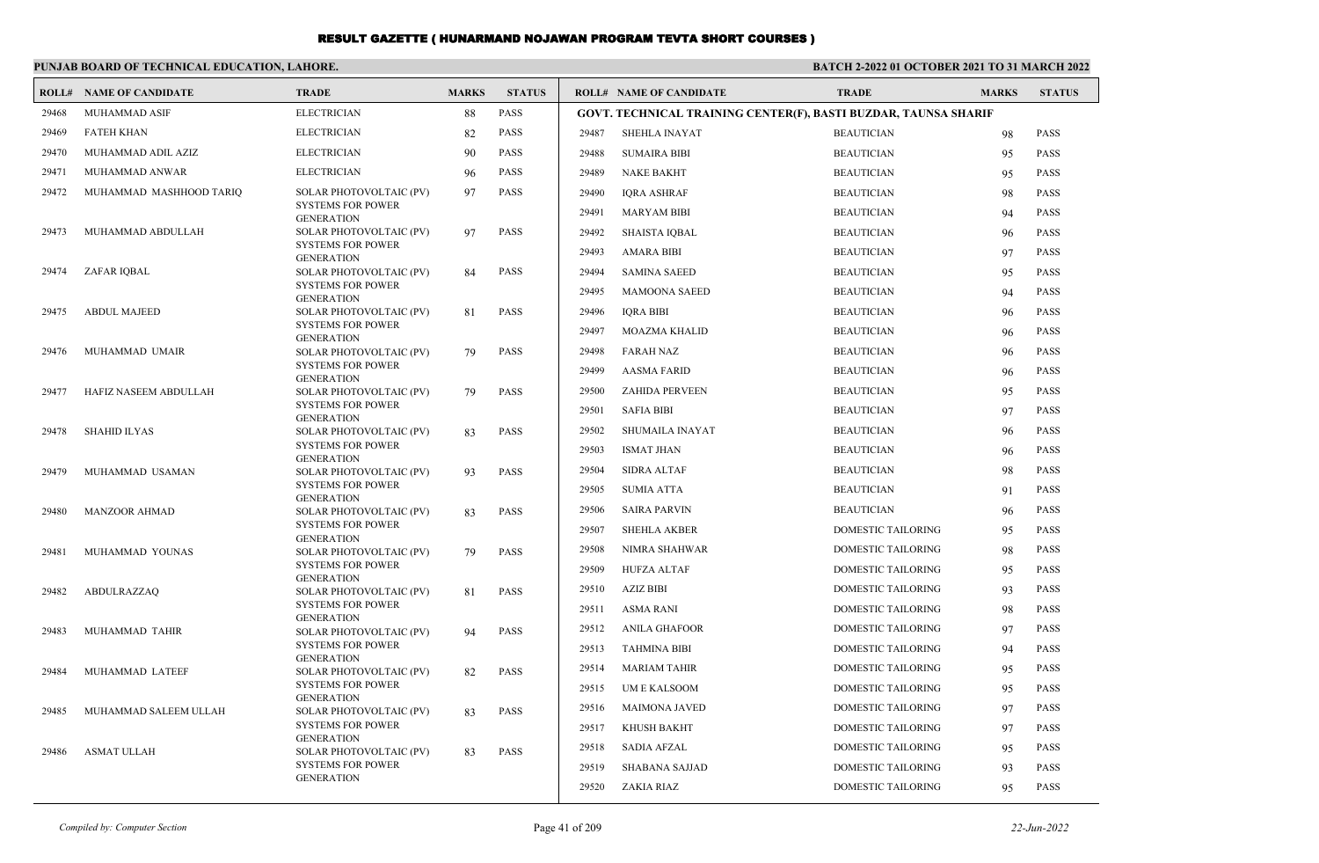|       | PUNJAB BOARD OF TECHNICAL EDUCATION, LAHORE. |                                               |              |               | BATCH 2-2022 01 OCTOBER 2021 TO 31 MARCH 2022 |                                                                 |                           |              |               |
|-------|----------------------------------------------|-----------------------------------------------|--------------|---------------|-----------------------------------------------|-----------------------------------------------------------------|---------------------------|--------------|---------------|
|       | <b>ROLL# NAME OF CANDIDATE</b>               | <b>TRADE</b>                                  | <b>MARKS</b> | <b>STATUS</b> |                                               | <b>ROLL# NAME OF CANDIDATE</b>                                  | <b>TRADE</b>              | <b>MARKS</b> | <b>STATUS</b> |
| 29468 | MUHAMMAD ASIF                                | <b>ELECTRICIAN</b>                            | 88           | <b>PASS</b>   |                                               | GOVT. TECHNICAL TRAINING CENTER(F), BASTI BUZDAR, TAUNSA SHARIF |                           |              |               |
| 29469 | <b>FATEH KHAN</b>                            | <b>ELECTRICIAN</b>                            | 82           | <b>PASS</b>   | 29487                                         | <b>SHEHLA INAYAT</b>                                            | <b>BEAUTICIAN</b>         | 98           | <b>PASS</b>   |
| 29470 | MUHAMMAD ADIL AZIZ                           | <b>ELECTRICIAN</b>                            | 90           | PASS          | 29488                                         | <b>SUMAIRA BIBI</b>                                             | <b>BEAUTICIAN</b>         | 95           | <b>PASS</b>   |
| 29471 | MUHAMMAD ANWAR                               | <b>ELECTRICIAN</b>                            | 96           | PASS          | 29489                                         | <b>NAKE BAKHT</b>                                               | <b>BEAUTICIAN</b>         | 95           | <b>PASS</b>   |
| 29472 | MUHAMMAD MASHHOOD TARIQ                      | SOLAR PHOTOVOLTAIC (PV)                       | 97           | <b>PASS</b>   | 29490                                         | <b>IORA ASHRAF</b>                                              | <b>BEAUTICIAN</b>         | 98           | <b>PASS</b>   |
|       |                                              | <b>SYSTEMS FOR POWER</b><br><b>GENERATION</b> |              |               | 29491                                         | <b>MARYAM BIBI</b>                                              | <b>BEAUTICIAN</b>         | 94           | <b>PASS</b>   |
| 29473 | MUHAMMAD ABDULLAH                            | SOLAR PHOTOVOLTAIC (PV)                       | 97           | <b>PASS</b>   | 29492                                         | <b>SHAISTA IQBAL</b>                                            | <b>BEAUTICIAN</b>         | 96           | <b>PASS</b>   |
|       |                                              | <b>SYSTEMS FOR POWER</b><br><b>GENERATION</b> |              |               | 29493                                         | <b>AMARA BIBI</b>                                               | <b>BEAUTICIAN</b>         | 97           | <b>PASS</b>   |
| 29474 | ZAFAR IQBAL                                  | SOLAR PHOTOVOLTAIC (PV)                       | 84           | <b>PASS</b>   | 29494                                         | <b>SAMINA SAEED</b>                                             | <b>BEAUTICIAN</b>         | 95           | <b>PASS</b>   |
|       |                                              | <b>SYSTEMS FOR POWER</b><br><b>GENERATION</b> |              |               | 29495                                         | <b>MAMOONA SAEED</b>                                            | <b>BEAUTICIAN</b>         | 94           | <b>PASS</b>   |
| 29475 | <b>ABDUL MAJEED</b>                          | SOLAR PHOTOVOLTAIC (PV)                       | 81           | <b>PASS</b>   | 29496                                         | <b>IQRA BIBI</b>                                                | <b>BEAUTICIAN</b>         | 96           | <b>PASS</b>   |
|       |                                              | <b>SYSTEMS FOR POWER</b><br><b>GENERATION</b> |              |               | 29497                                         | <b>MOAZMA KHALID</b>                                            | <b>BEAUTICIAN</b>         | 96           | <b>PASS</b>   |
| 29476 | MUHAMMAD UMAIR                               | SOLAR PHOTOVOLTAIC (PV)                       | 79           | <b>PASS</b>   | 29498                                         | <b>FARAH NAZ</b>                                                | <b>BEAUTICIAN</b>         | 96           | <b>PASS</b>   |
|       |                                              | <b>SYSTEMS FOR POWER</b><br><b>GENERATION</b> |              |               | 29499                                         | <b>AASMA FARID</b>                                              | <b>BEAUTICIAN</b>         | 96           | <b>PASS</b>   |
| 29477 | HAFIZ NASEEM ABDULLAH                        | SOLAR PHOTOVOLTAIC (PV)                       | 79           | <b>PASS</b>   | 29500                                         | <b>ZAHIDA PERVEEN</b>                                           | <b>BEAUTICIAN</b>         | 95           | <b>PASS</b>   |
|       |                                              | <b>SYSTEMS FOR POWER</b><br><b>GENERATION</b> |              |               | 29501                                         | <b>SAFIA BIBI</b>                                               | <b>BEAUTICIAN</b>         | 97           | <b>PASS</b>   |
| 29478 | <b>SHAHID ILYAS</b>                          | SOLAR PHOTOVOLTAIC (PV)                       | 83           | <b>PASS</b>   | 29502                                         | SHUMAILA INAYAT                                                 | <b>BEAUTICIAN</b>         | 96           | <b>PASS</b>   |
|       |                                              | <b>SYSTEMS FOR POWER</b><br><b>GENERATION</b> |              |               | 29503                                         | <b>ISMAT JHAN</b>                                               | <b>BEAUTICIAN</b>         | 96           | <b>PASS</b>   |
| 29479 | MUHAMMAD USAMAN                              | SOLAR PHOTOVOLTAIC (PV)                       | 93           | <b>PASS</b>   | 29504                                         | <b>SIDRA ALTAF</b>                                              | <b>BEAUTICIAN</b>         | 98           | <b>PASS</b>   |
|       |                                              | <b>SYSTEMS FOR POWER</b><br><b>GENERATION</b> |              |               | 29505                                         | <b>SUMIA ATTA</b>                                               | <b>BEAUTICIAN</b>         | 91           | <b>PASS</b>   |
| 29480 | <b>MANZOOR AHMAD</b>                         | SOLAR PHOTOVOLTAIC (PV)                       | 83           | <b>PASS</b>   | 29506                                         | <b>SAIRA PARVIN</b>                                             | <b>BEAUTICIAN</b>         | 96           | <b>PASS</b>   |
|       |                                              | <b>SYSTEMS FOR POWER</b>                      |              |               | 29507                                         | <b>SHEHLA AKBER</b>                                             | DOMESTIC TAILORING        | 95           | <b>PASS</b>   |
| 29481 | MUHAMMAD YOUNAS                              | <b>GENERATION</b><br>SOLAR PHOTOVOLTAIC (PV)  | 79           | <b>PASS</b>   | 29508                                         | NIMRA SHAHWAR                                                   | DOMESTIC TAILORING        | 98           | <b>PASS</b>   |
|       |                                              | <b>SYSTEMS FOR POWER</b>                      |              |               | 29509                                         | <b>HUFZA ALTAF</b>                                              | DOMESTIC TAILORING        | 95           | <b>PASS</b>   |
| 29482 | ABDULRAZZAQ                                  | <b>GENERATION</b><br>SOLAR PHOTOVOLTAIC (PV)  | 81           | <b>PASS</b>   | 29510                                         | <b>AZIZ BIBI</b>                                                | DOMESTIC TAILORING        | 93           | <b>PASS</b>   |
|       |                                              | <b>SYSTEMS FOR POWER</b>                      |              |               | 29511                                         | ASMA RANI                                                       | DOMESTIC TAILORING        | 98           | <b>PASS</b>   |
| 29483 | MUHAMMAD TAHIR                               | <b>GENERATION</b><br>SOLAR PHOTOVOLTAIC (PV)  | 94           | <b>PASS</b>   | 29512                                         | <b>ANILA GHAFOOR</b>                                            | <b>DOMESTIC TAILORING</b> | 97           | <b>PASS</b>   |
|       |                                              | <b>SYSTEMS FOR POWER</b>                      |              |               | 29513                                         | <b>TAHMINA BIBI</b>                                             | DOMESTIC TAILORING        | -94          | <b>PASS</b>   |
| 29484 | MUHAMMAD LATEEF                              | <b>GENERATION</b><br>SOLAR PHOTOVOLTAIC (PV)  | 82           | <b>PASS</b>   | 29514                                         | <b>MARIAM TAHIR</b>                                             | DOMESTIC TAILORING        | 95           | <b>PASS</b>   |
|       |                                              | <b>SYSTEMS FOR POWER</b>                      |              |               | 29515                                         | UM E KALSOOM                                                    | <b>DOMESTIC TAILORING</b> | 95           | <b>PASS</b>   |
| 29485 | MUHAMMAD SALEEM ULLAH                        | <b>GENERATION</b><br>SOLAR PHOTOVOLTAIC (PV)  | 83           | <b>PASS</b>   | 29516                                         | <b>MAIMONA JAVED</b>                                            | DOMESTIC TAILORING        | 97           | <b>PASS</b>   |
|       |                                              | <b>SYSTEMS FOR POWER</b>                      |              |               | 29517                                         | <b>KHUSH BAKHT</b>                                              | <b>DOMESTIC TAILORING</b> | 97           | <b>PASS</b>   |
| 29486 | <b>ASMAT ULLAH</b>                           | <b>GENERATION</b><br>SOLAR PHOTOVOLTAIC (PV)  | 83           | <b>PASS</b>   | 29518                                         | <b>SADIA AFZAL</b>                                              | <b>DOMESTIC TAILORING</b> | 95           | <b>PASS</b>   |
|       |                                              | <b>SYSTEMS FOR POWER</b>                      |              |               | 29519                                         | <b>SHABANA SAJJAD</b>                                           | DOMESTIC TAILORING        | 93           | <b>PASS</b>   |
|       |                                              | <b>GENERATION</b>                             |              |               | 29520                                         | ZAKIA RIAZ                                                      | DOMESTIC TAILORING        | 95           | <b>PASS</b>   |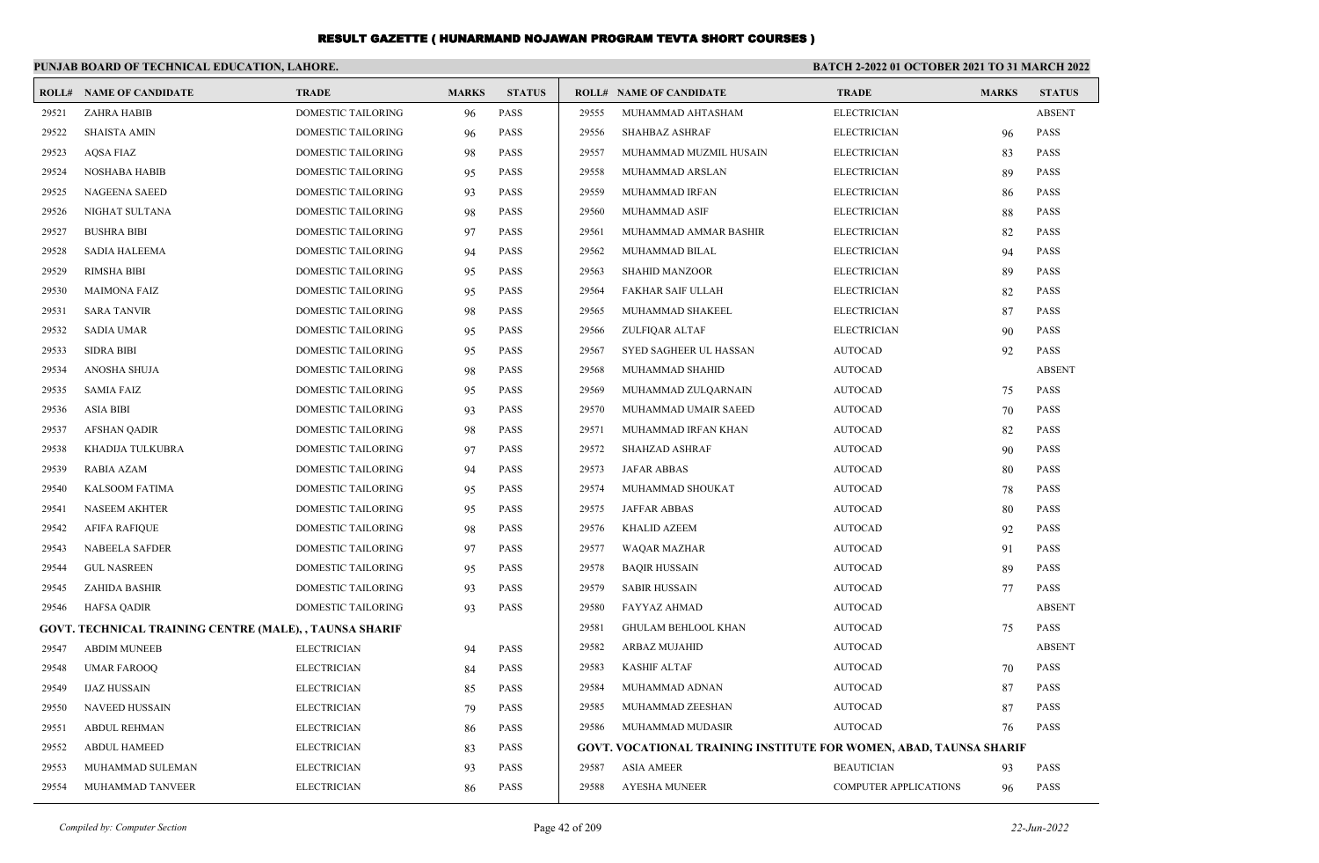|       | PUNJAB BOARD OF TECHNICAL EDUCATION, LAHORE.            |                           |              |               | BATCH 2-2022 01 OCTOBER 2021 TO 31 MARCH 2022 |                                                                    |                              |              |               |
|-------|---------------------------------------------------------|---------------------------|--------------|---------------|-----------------------------------------------|--------------------------------------------------------------------|------------------------------|--------------|---------------|
|       | <b>ROLL# NAME OF CANDIDATE</b>                          | <b>TRADE</b>              | <b>MARKS</b> | <b>STATUS</b> |                                               | <b>ROLL# NAME OF CANDIDATE</b>                                     | <b>TRADE</b>                 | <b>MARKS</b> | <b>STATUS</b> |
| 29521 | ZAHRA HABIB                                             | DOMESTIC TAILORING        | 96           | <b>PASS</b>   | 29555                                         | MUHAMMAD AHTASHAM                                                  | <b>ELECTRICIAN</b>           |              | <b>ABSENT</b> |
| 29522 | <b>SHAISTA AMIN</b>                                     | DOMESTIC TAILORING        | 96           | <b>PASS</b>   | 29556                                         | <b>SHAHBAZ ASHRAF</b>                                              | <b>ELECTRICIAN</b>           | 96           | <b>PASS</b>   |
| 29523 | AQSA FIAZ                                               | DOMESTIC TAILORING        | 98           | <b>PASS</b>   | 29557                                         | MUHAMMAD MUZMIL HUSAIN                                             | <b>ELECTRICIAN</b>           | 83           | PASS          |
| 29524 | NOSHABA HABIB                                           | DOMESTIC TAILORING        | 95           | <b>PASS</b>   | 29558                                         | MUHAMMAD ARSLAN                                                    | <b>ELECTRICIAN</b>           | 89           | <b>PASS</b>   |
| 29525 | <b>NAGEENA SAEED</b>                                    | DOMESTIC TAILORING        | 93           | <b>PASS</b>   | 29559                                         | MUHAMMAD IRFAN                                                     | <b>ELECTRICIAN</b>           | 86           | <b>PASS</b>   |
| 29526 | NIGHAT SULTANA                                          | DOMESTIC TAILORING        | 98           | <b>PASS</b>   | 29560                                         | MUHAMMAD ASIF                                                      | <b>ELECTRICIAN</b>           | 88           | PASS          |
| 29527 | <b>BUSHRA BIBI</b>                                      | <b>DOMESTIC TAILORING</b> | 97           | <b>PASS</b>   | 29561                                         | MUHAMMAD AMMAR BASHIR                                              | <b>ELECTRICIAN</b>           | 82           | <b>PASS</b>   |
| 29528 | <b>SADIA HALEEMA</b>                                    | <b>DOMESTIC TAILORING</b> | 94           | <b>PASS</b>   | 29562                                         | MUHAMMAD BILAL                                                     | <b>ELECTRICIAN</b>           | 94           | <b>PASS</b>   |
| 29529 | <b>RIMSHA BIBI</b>                                      | DOMESTIC TAILORING        | 95           | <b>PASS</b>   | 29563                                         | <b>SHAHID MANZOOR</b>                                              | <b>ELECTRICIAN</b>           | 89           | <b>PASS</b>   |
| 29530 | <b>MAIMONA FAIZ</b>                                     | DOMESTIC TAILORING        | 95           | <b>PASS</b>   | 29564                                         | FAKHAR SAIF ULLAH                                                  | <b>ELECTRICIAN</b>           | 82           | <b>PASS</b>   |
| 29531 | <b>SARA TANVIR</b>                                      | DOMESTIC TAILORING        | 98           | <b>PASS</b>   | 29565                                         | MUHAMMAD SHAKEEL                                                   | <b>ELECTRICIAN</b>           | 87           | <b>PASS</b>   |
| 29532 | <b>SADIA UMAR</b>                                       | DOMESTIC TAILORING        | 95           | <b>PASS</b>   | 29566                                         | ZULFIQAR ALTAF                                                     | <b>ELECTRICIAN</b>           | 90           | <b>PASS</b>   |
| 29533 | <b>SIDRA BIBI</b>                                       | DOMESTIC TAILORING        | 95           | <b>PASS</b>   | 29567                                         | SYED SAGHEER UL HASSAN                                             | <b>AUTOCAD</b>               | 92           | PASS          |
| 29534 | ANOSHA SHUJA                                            | DOMESTIC TAILORING        | 98           | <b>PASS</b>   | 29568                                         | MUHAMMAD SHAHID                                                    | AUTOCAD                      |              | <b>ABSENT</b> |
| 29535 | <b>SAMIA FAIZ</b>                                       | DOMESTIC TAILORING        | 95           | <b>PASS</b>   | 29569                                         | MUHAMMAD ZULQARNAIN                                                | <b>AUTOCAD</b>               | 75           | PASS          |
| 29536 | <b>ASIA BIBI</b>                                        | DOMESTIC TAILORING        | 93           | <b>PASS</b>   | 29570                                         | MUHAMMAD UMAIR SAEED                                               | <b>AUTOCAD</b>               | 70           | <b>PASS</b>   |
| 29537 | AFSHAN QADIR                                            | <b>DOMESTIC TAILORING</b> | 98           | <b>PASS</b>   | 29571                                         | MUHAMMAD IRFAN KHAN                                                | <b>AUTOCAD</b>               | 82           | PASS          |
| 29538 | KHADIJA TULKUBRA                                        | DOMESTIC TAILORING        | 97           | <b>PASS</b>   | 29572                                         | SHAHZAD ASHRAF                                                     | <b>AUTOCAD</b>               | 90           | <b>PASS</b>   |
| 29539 | RABIA AZAM                                              | DOMESTIC TAILORING        | 94           | <b>PASS</b>   | 29573                                         | <b>JAFAR ABBAS</b>                                                 | <b>AUTOCAD</b>               | 80           | <b>PASS</b>   |
| 29540 | KALSOOM FATIMA                                          | DOMESTIC TAILORING        | 95           | <b>PASS</b>   | 29574                                         | MUHAMMAD SHOUKAT                                                   | AUTOCAD                      | 78           | <b>PASS</b>   |
| 29541 | <b>NASEEM AKHTER</b>                                    | DOMESTIC TAILORING        | 95           | <b>PASS</b>   | 29575                                         | <b>JAFFAR ABBAS</b>                                                | <b>AUTOCAD</b>               | 80           | <b>PASS</b>   |
| 29542 | AFIFA RAFIQUE                                           | DOMESTIC TAILORING        | 98           | <b>PASS</b>   | 29576                                         | <b>KHALID AZEEM</b>                                                | <b>AUTOCAD</b>               | 92           | <b>PASS</b>   |
| 29543 | NABEELA SAFDER                                          | DOMESTIC TAILORING        | 97           | <b>PASS</b>   | 29577                                         | WAQAR MAZHAR                                                       | <b>AUTOCAD</b>               | 91           | <b>PASS</b>   |
| 29544 | <b>GUL NASREEN</b>                                      | DOMESTIC TAILORING        | 95           | <b>PASS</b>   | 29578                                         | <b>BAQIR HUSSAIN</b>                                               | <b>AUTOCAD</b>               | 89           | <b>PASS</b>   |
| 29545 | ZAHIDA BASHIR                                           | DOMESTIC TAILORING        | 93           | <b>PASS</b>   | 29579                                         | <b>SABIR HUSSAIN</b>                                               | <b>AUTOCAD</b>               | 77           | <b>PASS</b>   |
| 29546 | <b>HAFSA QADIR</b>                                      | DOMESTIC TAILORING        | 93           | <b>PASS</b>   | 29580                                         | <b>FAYYAZ AHMAD</b>                                                | <b>AUTOCAD</b>               |              | <b>ABSENT</b> |
|       | GOVT. TECHNICAL TRAINING CENTRE (MALE), , TAUNSA SHARIF |                           |              |               | 29581                                         | <b>GHULAM BEHLOOL KHAN</b>                                         | <b>AUTOCAD</b>               | 75           | <b>PASS</b>   |
| 29547 | <b>ABDIM MUNEEB</b>                                     | <b>ELECTRICIAN</b>        | 94           | <b>PASS</b>   | 29582                                         | ARBAZ MUJAHID                                                      | <b>AUTOCAD</b>               |              | <b>ABSENT</b> |
| 29548 | <b>UMAR FAROOQ</b>                                      | <b>ELECTRICIAN</b>        | 84           | <b>PASS</b>   | 29583                                         | <b>KASHIF ALTAF</b>                                                | <b>AUTOCAD</b>               | 70           | <b>PASS</b>   |
| 29549 | IJAZ HUSSAIN                                            | <b>ELECTRICIAN</b>        | 85           | <b>PASS</b>   | 29584                                         | MUHAMMAD ADNAN                                                     | <b>AUTOCAD</b>               | 87           | PASS          |
| 29550 | NAVEED HUSSAIN                                          | <b>ELECTRICIAN</b>        | 79           | <b>PASS</b>   | 29585                                         | MUHAMMAD ZEESHAN                                                   | <b>AUTOCAD</b>               | 87           | PASS          |
| 29551 | <b>ABDUL REHMAN</b>                                     | <b>ELECTRICIAN</b>        | 86           | PASS          | 29586                                         | MUHAMMAD MUDASIR                                                   | <b>AUTOCAD</b>               | 76           | <b>PASS</b>   |
| 29552 | <b>ABDUL HAMEED</b>                                     | <b>ELECTRICIAN</b>        | 83           | <b>PASS</b>   |                                               | GOVT. VOCATIONAL TRAINING INSTITUTE FOR WOMEN, ABAD, TAUNSA SHARIF |                              |              |               |
| 29553 | MUHAMMAD SULEMAN                                        | <b>ELECTRICIAN</b>        | 93           | PASS          | 29587                                         | ASIA AMEER                                                         | <b>BEAUTICIAN</b>            | 93           | PASS          |
| 29554 | MUHAMMAD TANVEER                                        | <b>ELECTRICIAN</b>        | 86           | PASS          | 29588                                         | AYESHA MUNEER                                                      | <b>COMPUTER APPLICATIONS</b> | 96           | PASS          |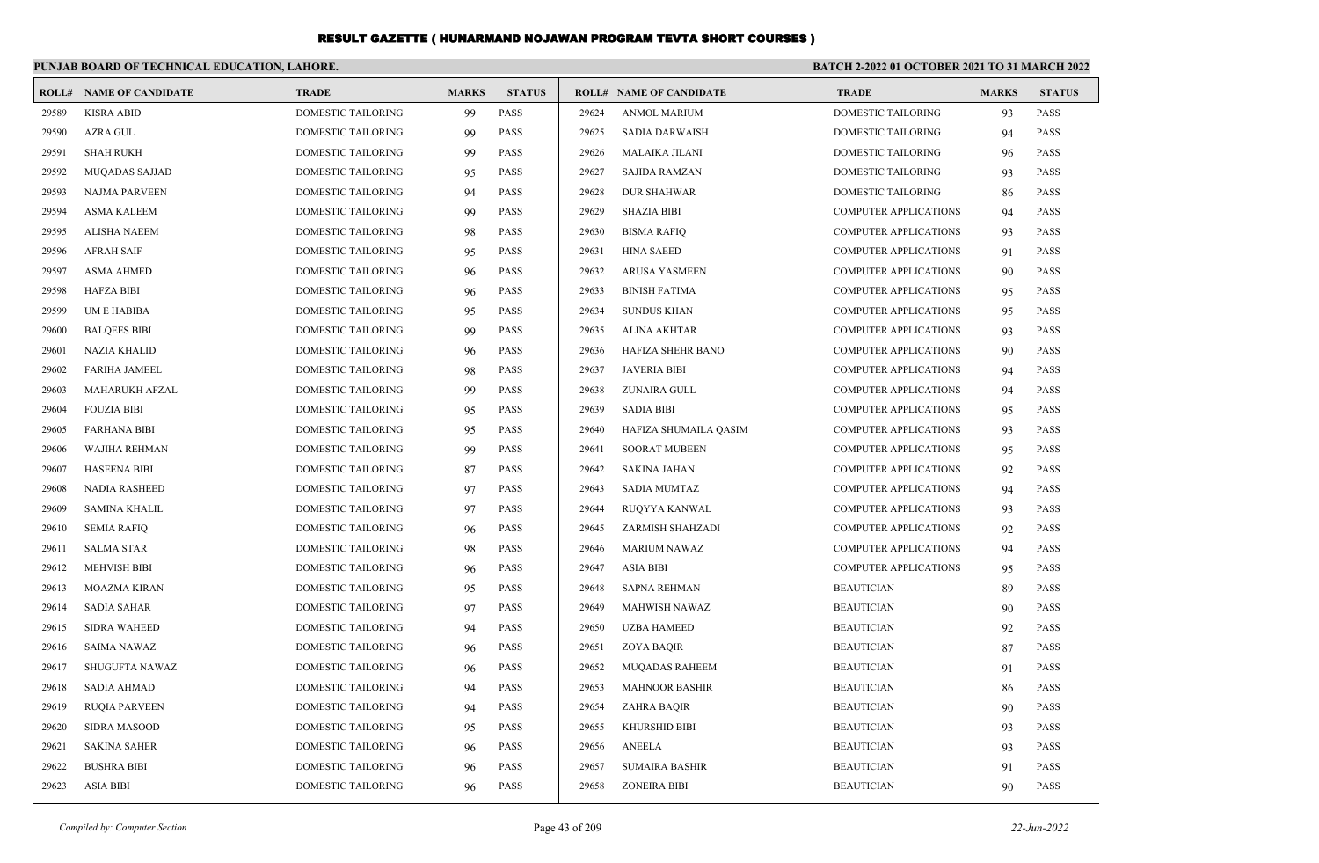|       | PUNJAB BOARD OF TECHNICAL EDUCATION, LAHORE. |                           |              |               |       | BATCH 2-2022 01 OCTOBER 2021 TO 31 MARCH 2022 |                              |              |               |
|-------|----------------------------------------------|---------------------------|--------------|---------------|-------|-----------------------------------------------|------------------------------|--------------|---------------|
|       | <b>ROLL# NAME OF CANDIDATE</b>               | <b>TRADE</b>              | <b>MARKS</b> | <b>STATUS</b> |       | <b>ROLL# NAME OF CANDIDATE</b>                | <b>TRADE</b>                 | <b>MARKS</b> | <b>STATUS</b> |
| 29589 | <b>KISRA ABID</b>                            | DOMESTIC TAILORING        | 99           | <b>PASS</b>   | 29624 | <b>ANMOL MARIUM</b>                           | <b>DOMESTIC TAILORING</b>    | 93           | <b>PASS</b>   |
| 29590 | <b>AZRA GUL</b>                              | DOMESTIC TAILORING        | 99           | <b>PASS</b>   | 29625 | <b>SADIA DARWAISH</b>                         | DOMESTIC TAILORING           | 94           | <b>PASS</b>   |
| 29591 | <b>SHAH RUKH</b>                             | DOMESTIC TAILORING        | 99           | <b>PASS</b>   | 29626 | <b>MALAIKA JILANI</b>                         | DOMESTIC TAILORING           | 96           | <b>PASS</b>   |
| 29592 | <b>MUQADAS SAJJAD</b>                        | DOMESTIC TAILORING        | 95           | <b>PASS</b>   | 29627 | <b>SAJIDA RAMZAN</b>                          | DOMESTIC TAILORING           | 93           | <b>PASS</b>   |
| 29593 | <b>NAJMA PARVEEN</b>                         | DOMESTIC TAILORING        | 94           | <b>PASS</b>   | 29628 | <b>DUR SHAHWAR</b>                            | DOMESTIC TAILORING           | 86           | <b>PASS</b>   |
| 29594 | <b>ASMA KALEEM</b>                           | DOMESTIC TAILORING        | 99           | <b>PASS</b>   | 29629 | <b>SHAZIA BIBI</b>                            | <b>COMPUTER APPLICATIONS</b> | 94           | <b>PASS</b>   |
| 29595 | <b>ALISHA NAEEM</b>                          | <b>DOMESTIC TAILORING</b> | 98           | <b>PASS</b>   | 29630 | <b>BISMA RAFIQ</b>                            | <b>COMPUTER APPLICATIONS</b> | 93           | <b>PASS</b>   |
| 29596 | <b>AFRAH SAIF</b>                            | <b>DOMESTIC TAILORING</b> | 95           | <b>PASS</b>   | 29631 | <b>HINA SAEED</b>                             | <b>COMPUTER APPLICATIONS</b> | 91           | <b>PASS</b>   |
| 29597 | <b>ASMA AHMED</b>                            | DOMESTIC TAILORING        | 96           | <b>PASS</b>   | 29632 | <b>ARUSA YASMEEN</b>                          | <b>COMPUTER APPLICATIONS</b> | 90           | <b>PASS</b>   |
| 29598 | <b>HAFZA BIBI</b>                            | DOMESTIC TAILORING        | 96           | <b>PASS</b>   | 29633 | <b>BINISH FATIMA</b>                          | <b>COMPUTER APPLICATIONS</b> | 95           | <b>PASS</b>   |
| 29599 | UM E HABIBA                                  | <b>DOMESTIC TAILORING</b> | 95           | <b>PASS</b>   | 29634 | <b>SUNDUS KHAN</b>                            | <b>COMPUTER APPLICATIONS</b> | 95           | <b>PASS</b>   |
| 29600 | <b>BALQEES BIBI</b>                          | DOMESTIC TAILORING        | 99           | <b>PASS</b>   | 29635 | <b>ALINA AKHTAR</b>                           | <b>COMPUTER APPLICATIONS</b> | 93           | <b>PASS</b>   |
| 29601 | <b>NAZIA KHALID</b>                          | DOMESTIC TAILORING        | 96           | <b>PASS</b>   | 29636 | HAFIZA SHEHR BANO                             | <b>COMPUTER APPLICATIONS</b> | 90           | <b>PASS</b>   |
| 29602 | <b>FARIHA JAMEEL</b>                         | DOMESTIC TAILORING        | 98           | <b>PASS</b>   | 29637 | <b>JAVERIA BIBI</b>                           | <b>COMPUTER APPLICATIONS</b> | 94           | <b>PASS</b>   |
| 29603 | <b>MAHARUKH AFZAL</b>                        | <b>DOMESTIC TAILORING</b> | 99           | <b>PASS</b>   | 29638 | ZUNAIRA GULL                                  | <b>COMPUTER APPLICATIONS</b> | 94           | <b>PASS</b>   |
| 29604 | <b>FOUZIA BIBI</b>                           | DOMESTIC TAILORING        | 95           | <b>PASS</b>   | 29639 | <b>SADIA BIBI</b>                             | <b>COMPUTER APPLICATIONS</b> | 95           | <b>PASS</b>   |
| 29605 | <b>FARHANA BIBI</b>                          | DOMESTIC TAILORING        | 95           | <b>PASS</b>   | 29640 | HAFIZA SHUMAILA QASIM                         | <b>COMPUTER APPLICATIONS</b> | 93           | <b>PASS</b>   |
| 29606 | WAJIHA REHMAN                                | <b>DOMESTIC TAILORING</b> | 99           | <b>PASS</b>   | 29641 | <b>SOORAT MUBEEN</b>                          | <b>COMPUTER APPLICATIONS</b> | 95           | <b>PASS</b>   |
| 29607 | <b>HASEENA BIBI</b>                          | <b>DOMESTIC TAILORING</b> | 87           | <b>PASS</b>   | 29642 | <b>SAKINA JAHAN</b>                           | <b>COMPUTER APPLICATIONS</b> | 92           | <b>PASS</b>   |
| 29608 | <b>NADIA RASHEED</b>                         | DOMESTIC TAILORING        | 97           | <b>PASS</b>   | 29643 | <b>SADIA MUMTAZ</b>                           | COMPUTER APPLICATIONS        | -94          | <b>PASS</b>   |
| 29609 | <b>SAMINA KHALIL</b>                         | <b>DOMESTIC TAILORING</b> | 97           | <b>PASS</b>   | 29644 | RUQYYA KANWAL                                 | COMPUTER APPLICATIONS        | 93           | <b>PASS</b>   |
| 29610 | <b>SEMIA RAFIQ</b>                           | DOMESTIC TAILORING        | 96           | <b>PASS</b>   | 29645 | ZARMISH SHAHZADI                              | <b>COMPUTER APPLICATIONS</b> | 92           | <b>PASS</b>   |
| 29611 | <b>SALMA STAR</b>                            | DOMESTIC TAILORING        | 98           | <b>PASS</b>   | 29646 | <b>MARIUM NAWAZ</b>                           | <b>COMPUTER APPLICATIONS</b> | 94           | <b>PASS</b>   |
| 29612 | <b>MEHVISH BIBI</b>                          | DOMESTIC TAILORING        | 96           | <b>PASS</b>   | 29647 | <b>ASIA BIBI</b>                              | COMPUTER APPLICATIONS        | 95           | <b>PASS</b>   |
| 29613 | <b>MOAZMA KIRAN</b>                          | DOMESTIC TAILORING        | 95           | <b>PASS</b>   | 29648 | <b>SAPNA REHMAN</b>                           | <b>BEAUTICIAN</b>            | 89           | <b>PASS</b>   |
| 29614 | <b>SADIA SAHAR</b>                           | DOMESTIC TAILORING        | 97           | <b>PASS</b>   | 29649 | <b>MAHWISH NAWAZ</b>                          | <b>BEAUTICIAN</b>            | 90           | <b>PASS</b>   |
| 29615 | <b>SIDRA WAHEED</b>                          | DOMESTIC TAILORING        | 94           | <b>PASS</b>   | 29650 | <b>UZBA HAMEED</b>                            | <b>BEAUTICIAN</b>            | 92           | <b>PASS</b>   |
| 29616 | <b>SAIMA NAWAZ</b>                           | DOMESTIC TAILORING        | 96           | <b>PASS</b>   | 29651 | <b>ZOYA BAQIR</b>                             | <b>BEAUTICIAN</b>            | 87           | <b>PASS</b>   |
| 29617 | SHUGUFTA NAWAZ                               | DOMESTIC TAILORING        | 96           | <b>PASS</b>   | 29652 | <b>MUQADAS RAHEEM</b>                         | <b>BEAUTICIAN</b>            | 91           | <b>PASS</b>   |
| 29618 | <b>SADIA AHMAD</b>                           | DOMESTIC TAILORING        | 94           | <b>PASS</b>   | 29653 | <b>MAHNOOR BASHIR</b>                         | <b>BEAUTICIAN</b>            | 86           | <b>PASS</b>   |
| 29619 | <b>RUOIA PARVEEN</b>                         | DOMESTIC TAILORING        | 94           | <b>PASS</b>   | 29654 | <b>ZAHRA BAQIR</b>                            | <b>BEAUTICIAN</b>            | 90           | PASS          |
| 29620 | <b>SIDRA MASOOD</b>                          | DOMESTIC TAILORING        | 95           | <b>PASS</b>   | 29655 | KHURSHID BIBI                                 | <b>BEAUTICIAN</b>            | 93           | <b>PASS</b>   |
| 29621 | <b>SAKINA SAHER</b>                          | DOMESTIC TAILORING        | 96           | <b>PASS</b>   | 29656 | <b>ANEELA</b>                                 | <b>BEAUTICIAN</b>            | 93           | <b>PASS</b>   |
| 29622 | <b>BUSHRA BIBI</b>                           | DOMESTIC TAILORING        | 96           | <b>PASS</b>   | 29657 | <b>SUMAIRA BASHIR</b>                         | <b>BEAUTICIAN</b>            | 91           | <b>PASS</b>   |
| 29623 | <b>ASIA BIBI</b>                             | DOMESTIC TAILORING        | 96           | <b>PASS</b>   | 29658 | <b>ZONEIRA BIBI</b>                           | <b>BEAUTICIAN</b>            | 90           | <b>PASS</b>   |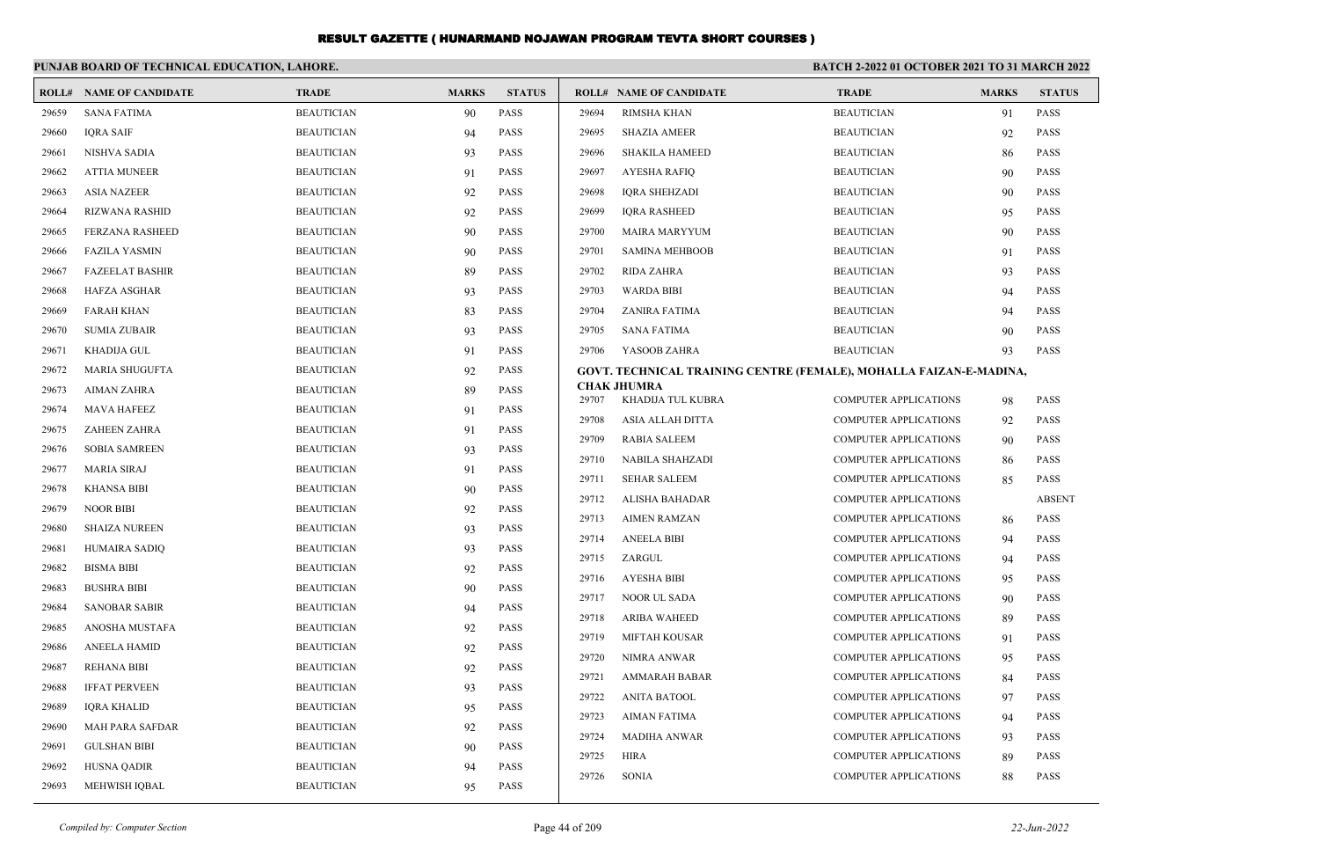|       | PUNJAB BOARD OF TECHNICAL EDUCATION, LAHORE. |                   |              |               | <b>BATCH 2-2022 01 OCTOBER 2021 TO 31 MARCH 2022</b> |                                                                    |                              |              |               |
|-------|----------------------------------------------|-------------------|--------------|---------------|------------------------------------------------------|--------------------------------------------------------------------|------------------------------|--------------|---------------|
|       | <b>ROLL# NAME OF CANDIDATE</b>               | <b>TRADE</b>      | <b>MARKS</b> | <b>STATUS</b> |                                                      | <b>ROLL# NAME OF CANDIDATE</b>                                     | <b>TRADE</b>                 | <b>MARKS</b> | <b>STATUS</b> |
| 29659 | <b>SANA FATIMA</b>                           | <b>BEAUTICIAN</b> | 90           | <b>PASS</b>   | 29694                                                | <b>RIMSHA KHAN</b>                                                 | <b>BEAUTICIAN</b>            | 91           | PASS          |
| 29660 | <b>IQRA SAIF</b>                             | <b>BEAUTICIAN</b> | 94           | <b>PASS</b>   | 29695                                                | <b>SHAZIA AMEER</b>                                                | <b>BEAUTICIAN</b>            | 92           | <b>PASS</b>   |
| 29661 | NISHVA SADIA                                 | <b>BEAUTICIAN</b> | 93           | <b>PASS</b>   | 29696                                                | SHAKILA HAMEED                                                     | <b>BEAUTICIAN</b>            | 86           | <b>PASS</b>   |
| 29662 | <b>ATTIA MUNEER</b>                          | <b>BEAUTICIAN</b> | 91           | <b>PASS</b>   | 29697                                                | AYESHA RAFIQ                                                       | <b>BEAUTICIAN</b>            | 90           | <b>PASS</b>   |
| 29663 | ASIA NAZEER                                  | <b>BEAUTICIAN</b> | 92           | <b>PASS</b>   | 29698                                                | IQRA SHEHZADI                                                      | <b>BEAUTICIAN</b>            | 90           | <b>PASS</b>   |
| 29664 | RIZWANA RASHID                               | <b>BEAUTICIAN</b> | 92           | <b>PASS</b>   | 29699                                                | <b>IQRA RASHEED</b>                                                | <b>BEAUTICIAN</b>            | 95           | <b>PASS</b>   |
| 29665 | <b>FERZANA RASHEED</b>                       | <b>BEAUTICIAN</b> | 90           | <b>PASS</b>   | 29700                                                | <b>MAIRA MARYYUM</b>                                               | <b>BEAUTICIAN</b>            | 90           | <b>PASS</b>   |
| 29666 | <b>FAZILA YASMIN</b>                         | <b>BEAUTICIAN</b> | 90           | <b>PASS</b>   | 29701                                                | <b>SAMINA MEHBOOB</b>                                              | <b>BEAUTICIAN</b>            | 91           | <b>PASS</b>   |
| 29667 | <b>FAZEELAT BASHIR</b>                       | <b>BEAUTICIAN</b> | 89           | <b>PASS</b>   | 29702                                                | RIDA ZAHRA                                                         | <b>BEAUTICIAN</b>            | 93           | <b>PASS</b>   |
| 29668 | <b>HAFZA ASGHAR</b>                          | <b>BEAUTICIAN</b> | 93           | PASS          | 29703                                                | <b>WARDA BIBI</b>                                                  | <b>BEAUTICIAN</b>            | 94           | <b>PASS</b>   |
| 29669 | <b>FARAH KHAN</b>                            | <b>BEAUTICIAN</b> | 83           | <b>PASS</b>   | 29704                                                | ZANIRA FATIMA                                                      | <b>BEAUTICIAN</b>            | 94           | <b>PASS</b>   |
| 29670 | <b>SUMIA ZUBAIR</b>                          | <b>BEAUTICIAN</b> | 93           | <b>PASS</b>   | 29705                                                | SANA FATIMA                                                        | <b>BEAUTICIAN</b>            | 90           | <b>PASS</b>   |
| 29671 | <b>KHADIJA GUL</b>                           | <b>BEAUTICIAN</b> | 91           | <b>PASS</b>   | 29706                                                | YASOOB ZAHRA                                                       | <b>BEAUTICIAN</b>            | 93           | <b>PASS</b>   |
| 29672 | MARIA SHUGUFTA                               | <b>BEAUTICIAN</b> | 92           | <b>PASS</b>   |                                                      | GOVT. TECHNICAL TRAINING CENTRE (FEMALE), MOHALLA FAIZAN-E-MADINA, |                              |              |               |
| 29673 | AIMAN ZAHRA                                  | <b>BEAUTICIAN</b> | 89           | PASS          | 29707                                                | <b>CHAK JHUMRA</b><br>KHADIJA TUL KUBRA                            | <b>COMPUTER APPLICATIONS</b> | 98           | <b>PASS</b>   |
| 29674 | <b>MAVA HAFEEZ</b>                           | <b>BEAUTICIAN</b> | 91           | <b>PASS</b>   | 29708                                                | ASIA ALLAH DITTA                                                   | <b>COMPUTER APPLICATIONS</b> | 92           | <b>PASS</b>   |
| 29675 | ZAHEEN ZAHRA                                 | <b>BEAUTICIAN</b> | 91           | <b>PASS</b>   | 29709                                                | <b>RABIA SALEEM</b>                                                | <b>COMPUTER APPLICATIONS</b> | 90           | <b>PASS</b>   |
| 29676 | <b>SOBIA SAMREEN</b>                         | <b>BEAUTICIAN</b> | 93           | PASS          | 29710                                                | NABILA SHAHZADI                                                    | <b>COMPUTER APPLICATIONS</b> | 86           | <b>PASS</b>   |
| 29677 | MARIA SIRAJ                                  | <b>BEAUTICIAN</b> | 91           | <b>PASS</b>   | 29711                                                | <b>SEHAR SALEEM</b>                                                | <b>COMPUTER APPLICATIONS</b> | 85           | <b>PASS</b>   |
| 29678 | KHANSA BIBI                                  | <b>BEAUTICIAN</b> | 90           | PASS          | 29712                                                | ALISHA BAHADAR                                                     | <b>COMPUTER APPLICATIONS</b> |              | <b>ABSENT</b> |
| 29679 | <b>NOOR BIBI</b>                             | <b>BEAUTICIAN</b> | 92           | PASS          | 29713                                                | <b>AIMEN RAMZAN</b>                                                | <b>COMPUTER APPLICATIONS</b> |              | <b>PASS</b>   |
| 29680 | <b>SHAIZA NUREEN</b>                         | <b>BEAUTICIAN</b> | 93           | <b>PASS</b>   | 29714                                                | <b>ANEELA BIBI</b>                                                 | <b>COMPUTER APPLICATIONS</b> | 86           | <b>PASS</b>   |
| 29681 | HUMAIRA SADIQ                                | <b>BEAUTICIAN</b> | 93           | <b>PASS</b>   | 29715                                                | ZARGUL                                                             | <b>COMPUTER APPLICATIONS</b> | 94<br>94     | <b>PASS</b>   |
| 29682 | <b>BISMA BIBI</b>                            | <b>BEAUTICIAN</b> | 92           | PASS          | 29716                                                | AYESHA BIBI                                                        | <b>COMPUTER APPLICATIONS</b> | 95           | <b>PASS</b>   |
| 29683 | <b>BUSHRA BIBI</b>                           | <b>BEAUTICIAN</b> | 90           | PASS          | 29717                                                | NOOR UL SADA                                                       | <b>COMPUTER APPLICATIONS</b> | 90           | <b>PASS</b>   |
| 29684 | <b>SANOBAR SABIR</b>                         | <b>BEAUTICIAN</b> | 94           | PASS          | 29718                                                | <b>ARIBA WAHEED</b>                                                | <b>COMPUTER APPLICATIONS</b> | 89           | <b>PASS</b>   |
| 29685 | ANOSHA MUSTAFA                               | <b>BEAUTICIAN</b> | 92           | PASS          | 29719                                                | <b>MIFTAH KOUSAR</b>                                               | <b>COMPUTER APPLICATIONS</b> | 91           | <b>PASS</b>   |
| 29686 | ANEELA HAMID                                 | <b>BEAUTICIAN</b> | 92           | PASS          | 29720                                                | NIMRA ANWAR                                                        | <b>COMPUTER APPLICATIONS</b> |              | <b>PASS</b>   |
| 29687 | <b>REHANA BIBI</b>                           | <b>BEAUTICIAN</b> | 92           | <b>PASS</b>   | 29721                                                | AMMARAH BABAR                                                      | <b>COMPUTER APPLICATIONS</b> | 95<br>84     | <b>PASS</b>   |
| 29688 | <b>IFFAT PERVEEN</b>                         | <b>BEAUTICIAN</b> | 93           | PASS          | 29722                                                | <b>ANITA BATOOL</b>                                                | <b>COMPUTER APPLICATIONS</b> |              | PASS          |
| 29689 | <b>IQRA KHALID</b>                           | <b>BEAUTICIAN</b> | 95           | PASS          | 29723                                                | <b>AIMAN FATIMA</b>                                                | <b>COMPUTER APPLICATIONS</b> | 97<br>94     | PASS          |
| 29690 | MAH PARA SAFDAR                              | <b>BEAUTICIAN</b> | 92           | PASS          | 29724                                                | <b>MADIHA ANWAR</b>                                                | <b>COMPUTER APPLICATIONS</b> |              | PASS          |
| 29691 | <b>GULSHAN BIBI</b>                          | <b>BEAUTICIAN</b> | 90           | PASS          | 29725                                                | <b>HIRA</b>                                                        | <b>COMPUTER APPLICATIONS</b> | 93<br>89     | <b>PASS</b>   |
| 29692 | HUSNA QADIR                                  | <b>BEAUTICIAN</b> | 94           | PASS          | 29726                                                | SONIA                                                              | <b>COMPUTER APPLICATIONS</b> |              | PASS          |
| 29693 | MEHWISH IQBAL                                | <b>BEAUTICIAN</b> | 95           | <b>PASS</b>   |                                                      |                                                                    |                              | 88           |               |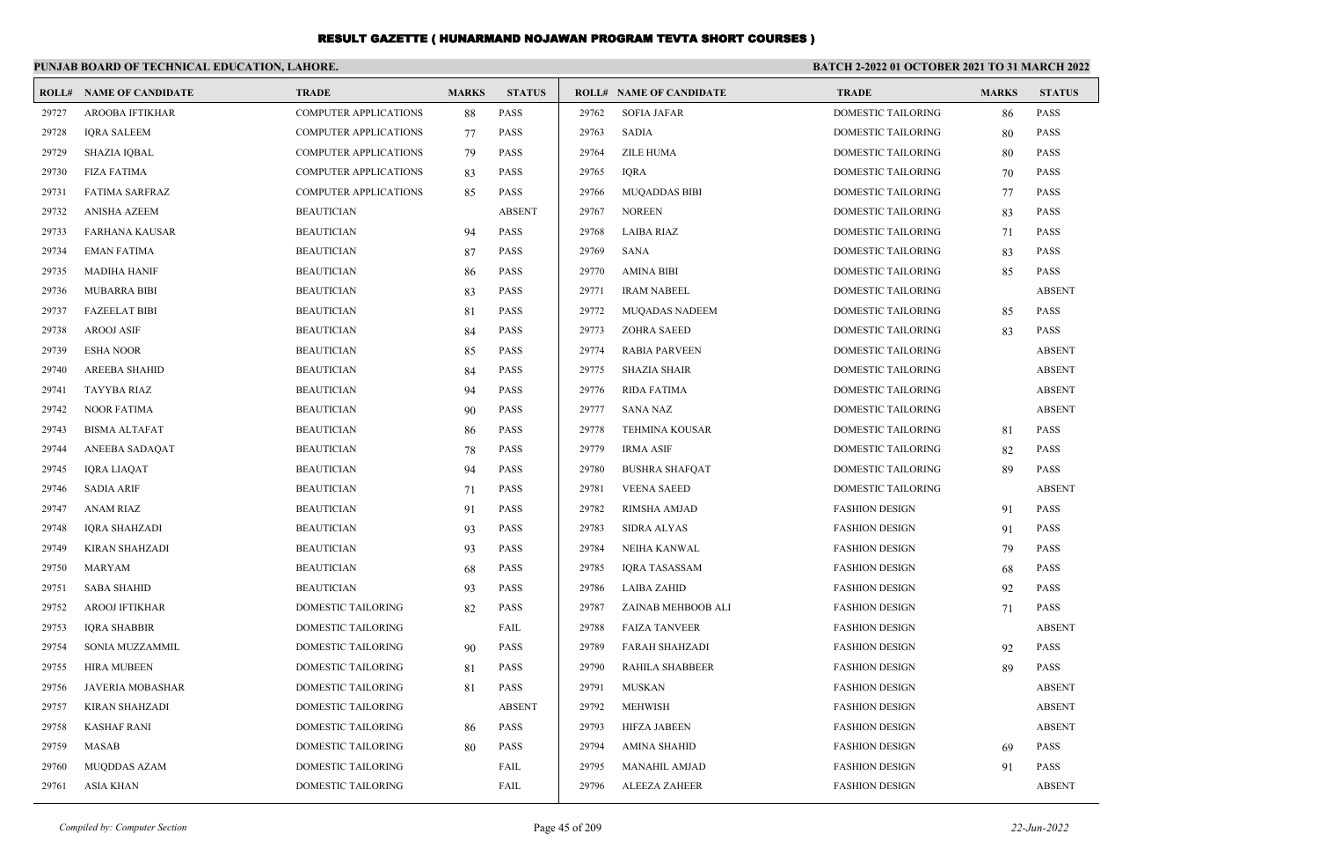|       | PUNJAB BOARD OF TECHNICAL EDUCATION, LAHORE. |                              |              |               |       |                                |                           | BATCH 2-2022 01 OCTOBER 2021 TO 31 MARCH 2022 |               |  |
|-------|----------------------------------------------|------------------------------|--------------|---------------|-------|--------------------------------|---------------------------|-----------------------------------------------|---------------|--|
|       | <b>ROLL# NAME OF CANDIDATE</b>               | <b>TRADE</b>                 | <b>MARKS</b> | <b>STATUS</b> |       | <b>ROLL# NAME OF CANDIDATE</b> | <b>TRADE</b>              | <b>MARKS</b>                                  | <b>STATUS</b> |  |
| 29727 | <b>AROOBA IFTIKHAR</b>                       | <b>COMPUTER APPLICATIONS</b> | 88           | <b>PASS</b>   | 29762 | <b>SOFIA JAFAR</b>             | <b>DOMESTIC TAILORING</b> | 86                                            | PASS          |  |
| 29728 | <b>IORA SALEEM</b>                           | <b>COMPUTER APPLICATIONS</b> | 77           | <b>PASS</b>   | 29763 | <b>SADIA</b>                   | <b>DOMESTIC TAILORING</b> | 80                                            | <b>PASS</b>   |  |
| 29729 | SHAZIA IQBAL                                 | <b>COMPUTER APPLICATIONS</b> | 79           | <b>PASS</b>   | 29764 | <b>ZILE HUMA</b>               | <b>DOMESTIC TAILORING</b> | 80                                            | <b>PASS</b>   |  |
| 29730 | <b>FIZA FATIMA</b>                           | COMPUTER APPLICATIONS        | 83           | <b>PASS</b>   | 29765 | <b>IQRA</b>                    | DOMESTIC TAILORING        | 70                                            | <b>PASS</b>   |  |
| 29731 | <b>FATIMA SARFRAZ</b>                        | <b>COMPUTER APPLICATIONS</b> | 85           | <b>PASS</b>   | 29766 | <b>MUQADDAS BIBI</b>           | DOMESTIC TAILORING        | 77                                            | <b>PASS</b>   |  |
| 29732 | ANISHA AZEEM                                 | <b>BEAUTICIAN</b>            |              | <b>ABSENT</b> | 29767 | <b>NOREEN</b>                  | DOMESTIC TAILORING        | 83                                            | <b>PASS</b>   |  |
| 29733 | FARHANA KAUSAR                               | <b>BEAUTICIAN</b>            | 94           | <b>PASS</b>   | 29768 | <b>LAIBA RIAZ</b>              | DOMESTIC TAILORING        | 71                                            | <b>PASS</b>   |  |
| 29734 | <b>EMAN FATIMA</b>                           | <b>BEAUTICIAN</b>            | 87           | PASS          | 29769 | SANA                           | DOMESTIC TAILORING        | 83                                            | PASS          |  |
| 29735 | <b>MADIHA HANIF</b>                          | <b>BEAUTICIAN</b>            | 86           | <b>PASS</b>   | 29770 | <b>AMINA BIBI</b>              | DOMESTIC TAILORING        | 85                                            | <b>PASS</b>   |  |
| 29736 | <b>MUBARRA BIBI</b>                          | <b>BEAUTICIAN</b>            | 83           | <b>PASS</b>   | 29771 | <b>IRAM NABEEL</b>             | <b>DOMESTIC TAILORING</b> |                                               | <b>ABSENT</b> |  |
| 29737 | <b>FAZEELAT BIBI</b>                         | <b>BEAUTICIAN</b>            | 81           | <b>PASS</b>   | 29772 | MUQADAS NADEEM                 | DOMESTIC TAILORING        | 85                                            | <b>PASS</b>   |  |
| 29738 | <b>AROOJ ASIF</b>                            | <b>BEAUTICIAN</b>            | 84           | <b>PASS</b>   | 29773 | <b>ZOHRA SAEED</b>             | DOMESTIC TAILORING        | 83                                            | <b>PASS</b>   |  |
| 29739 | <b>ESHA NOOR</b>                             | <b>BEAUTICIAN</b>            | 85           | <b>PASS</b>   | 29774 | <b>RABIA PARVEEN</b>           | DOMESTIC TAILORING        |                                               | <b>ABSENT</b> |  |
| 29740 | <b>AREEBA SHAHID</b>                         | <b>BEAUTICIAN</b>            | 84           | PASS          | 29775 | <b>SHAZIA SHAIR</b>            | DOMESTIC TAILORING        |                                               | <b>ABSENT</b> |  |
| 29741 | <b>TAYYBA RIAZ</b>                           | <b>BEAUTICIAN</b>            | 94           | PASS          | 29776 | <b>RIDA FATIMA</b>             | DOMESTIC TAILORING        |                                               | <b>ABSENT</b> |  |
| 29742 | <b>NOOR FATIMA</b>                           | <b>BEAUTICIAN</b>            | 90           | <b>PASS</b>   | 29777 | <b>SANA NAZ</b>                | <b>DOMESTIC TAILORING</b> |                                               | <b>ABSENT</b> |  |
| 29743 | <b>BISMA ALTAFAT</b>                         | <b>BEAUTICIAN</b>            | 86           | <b>PASS</b>   | 29778 | <b>TEHMINA KOUSAR</b>          | <b>DOMESTIC TAILORING</b> | 81                                            | <b>PASS</b>   |  |
| 29744 | ANEEBA SADAQAT                               | <b>BEAUTICIAN</b>            | 78           | PASS          | 29779 | <b>IRMA ASIF</b>               | DOMESTIC TAILORING        | 82                                            | <b>PASS</b>   |  |
| 29745 | <b>IQRA LIAQAT</b>                           | <b>BEAUTICIAN</b>            | 94           | PASS          | 29780 | <b>BUSHRA SHAFQAT</b>          | DOMESTIC TAILORING        | 89                                            | <b>PASS</b>   |  |
| 29746 | <b>SADIA ARIF</b>                            | <b>BEAUTICIAN</b>            | 71           | <b>PASS</b>   | 29781 | <b>VEENA SAEED</b>             | <b>DOMESTIC TAILORING</b> |                                               | <b>ABSENT</b> |  |
| 29747 | <b>ANAM RIAZ</b>                             | <b>BEAUTICIAN</b>            | 91           | <b>PASS</b>   | 29782 | RIMSHA AMJAD                   | <b>FASHION DESIGN</b>     | 91                                            | <b>PASS</b>   |  |
| 29748 | <b>IORA SHAHZADI</b>                         | <b>BEAUTICIAN</b>            | 93           | <b>PASS</b>   | 29783 | <b>SIDRA ALYAS</b>             | <b>FASHION DESIGN</b>     | 91                                            | <b>PASS</b>   |  |
| 29749 | <b>KIRAN SHAHZADI</b>                        | <b>BEAUTICIAN</b>            | 93           | <b>PASS</b>   | 29784 | <b>NEIHA KANWAL</b>            | <b>FASHION DESIGN</b>     | 79                                            | <b>PASS</b>   |  |
| 29750 | <b>MARYAM</b>                                | <b>BEAUTICIAN</b>            | 68           | <b>PASS</b>   | 29785 | <b>IORA TASASSAM</b>           | <b>FASHION DESIGN</b>     | 68                                            | <b>PASS</b>   |  |
| 29751 | <b>SABA SHAHID</b>                           | <b>BEAUTICIAN</b>            | 93           | PASS          | 29786 | LAIBA ZAHID                    | <b>FASHION DESIGN</b>     | 92                                            | <b>PASS</b>   |  |
| 29752 | <b>AROOJ IFTIKHAR</b>                        | DOMESTIC TAILORING           | 82           | <b>PASS</b>   | 29787 | ZAINAB MEHBOOB ALI             | <b>FASHION DESIGN</b>     | 71                                            | <b>PASS</b>   |  |
| 29753 | <b>IQRA SHABBIR</b>                          | DOMESTIC TAILORING           |              | FAIL          | 29788 | <b>FAIZA TANVEER</b>           | <b>FASHION DESIGN</b>     |                                               | <b>ABSENT</b> |  |
| 29754 | SONIA MUZZAMMIL                              | <b>DOMESTIC TAILORING</b>    | 90           | <b>PASS</b>   | 29789 | <b>FARAH SHAHZADI</b>          | <b>FASHION DESIGN</b>     | 92                                            | <b>PASS</b>   |  |
| 29755 | <b>HIRA MUBEEN</b>                           | DOMESTIC TAILORING           | -81          | <b>PASS</b>   | 29790 | RAHILA SHABBEER                | <b>FASHION DESIGN</b>     | 89                                            | <b>PASS</b>   |  |
| 29756 | <b>JAVERIA MOBASHAR</b>                      | DOMESTIC TAILORING           | 81           | <b>PASS</b>   | 29791 | <b>MUSKAN</b>                  | <b>FASHION DESIGN</b>     |                                               | <b>ABSENT</b> |  |
| 29757 | KIRAN SHAHZADI                               | DOMESTIC TAILORING           |              | <b>ABSENT</b> | 29792 | <b>MEHWISH</b>                 | <b>FASHION DESIGN</b>     |                                               | <b>ABSENT</b> |  |
| 29758 | <b>KASHAF RANI</b>                           | DOMESTIC TAILORING           | -86          | <b>PASS</b>   | 29793 | <b>HIFZA JABEEN</b>            | <b>FASHION DESIGN</b>     |                                               | <b>ABSENT</b> |  |
| 29759 | MASAB                                        | DOMESTIC TAILORING           | 80           | PASS          | 29794 | <b>AMINA SHAHID</b>            | <b>FASHION DESIGN</b>     | 69                                            | <b>PASS</b>   |  |
| 29760 | MUQDDAS AZAM                                 | <b>DOMESTIC TAILORING</b>    |              | FAIL          | 29795 | <b>MANAHIL AMJAD</b>           | <b>FASHION DESIGN</b>     | 91                                            | <b>PASS</b>   |  |
| 29761 | <b>ASIA KHAN</b>                             | DOMESTIC TAILORING           |              | FAIL          | 29796 | <b>ALEEZA ZAHEER</b>           | <b>FASHION DESIGN</b>     |                                               | <b>ABSENT</b> |  |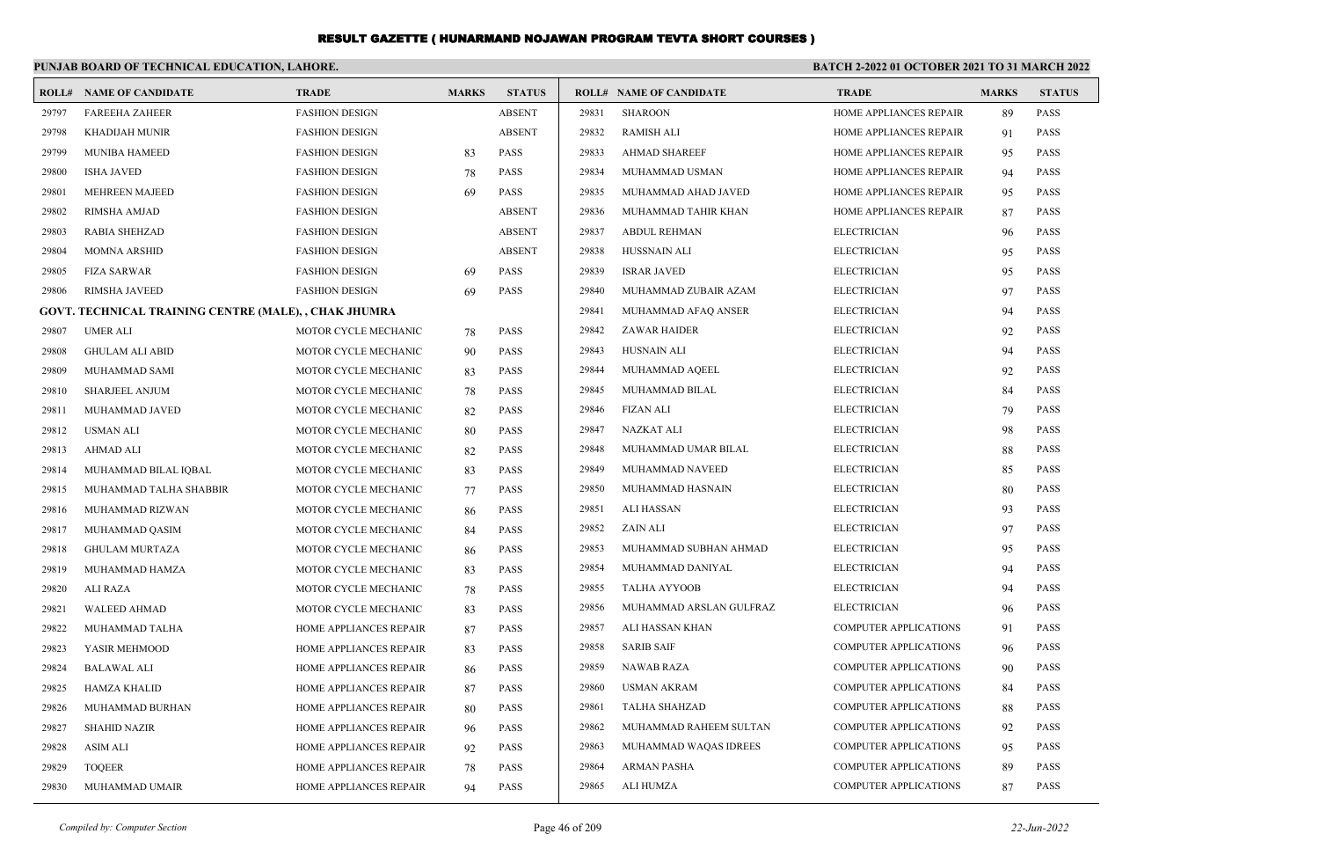|       | PUNJAB BOARD OF TECHNICAL EDUCATION, LAHORE.          |                        |              |               | <b>BATCH 2-2022 01 OCTOBER 2021 TO 31 MARCH 2022</b> |                                |                              |              |               |
|-------|-------------------------------------------------------|------------------------|--------------|---------------|------------------------------------------------------|--------------------------------|------------------------------|--------------|---------------|
|       | <b>ROLL# NAME OF CANDIDATE</b>                        | <b>TRADE</b>           | <b>MARKS</b> | <b>STATUS</b> |                                                      | <b>ROLL# NAME OF CANDIDATE</b> | <b>TRADE</b>                 | <b>MARKS</b> | <b>STATUS</b> |
| 29797 | <b>FAREEHA ZAHEER</b>                                 | <b>FASHION DESIGN</b>  |              | <b>ABSENT</b> | 29831                                                | <b>SHAROON</b>                 | HOME APPLIANCES REPAIR       | 89           | <b>PASS</b>   |
| 29798 | KHADIJAH MUNIR                                        | <b>FASHION DESIGN</b>  |              | <b>ABSENT</b> | 29832                                                | RAMISH ALI                     | HOME APPLIANCES REPAIR       | 91           | <b>PASS</b>   |
| 29799 | <b>MUNIBA HAMEED</b>                                  | <b>FASHION DESIGN</b>  | 83           | <b>PASS</b>   | 29833                                                | AHMAD SHAREEF                  | HOME APPLIANCES REPAIR       | 95           | <b>PASS</b>   |
| 29800 | <b>ISHA JAVED</b>                                     | <b>FASHION DESIGN</b>  | 78           | <b>PASS</b>   | 29834                                                | MUHAMMAD USMAN                 | HOME APPLIANCES REPAIR       | 94           | <b>PASS</b>   |
| 29801 | <b>MEHREEN MAJEED</b>                                 | <b>FASHION DESIGN</b>  | 69           | <b>PASS</b>   | 29835                                                | MUHAMMAD AHAD JAVED            | HOME APPLIANCES REPAIR       | 95           | <b>PASS</b>   |
| 29802 | RIMSHA AMJAD                                          | <b>FASHION DESIGN</b>  |              | <b>ABSENT</b> | 29836                                                | MUHAMMAD TAHIR KHAN            | HOME APPLIANCES REPAIR       | 87           | <b>PASS</b>   |
| 29803 | RABIA SHEHZAD                                         | <b>FASHION DESIGN</b>  |              | <b>ABSENT</b> | 29837                                                | ABDUL REHMAN                   | <b>ELECTRICIAN</b>           | 96           | <b>PASS</b>   |
| 29804 | <b>MOMNA ARSHID</b>                                   | <b>FASHION DESIGN</b>  |              | <b>ABSENT</b> | 29838                                                | <b>HUSSNAIN ALI</b>            | <b>ELECTRICIAN</b>           | 95           | <b>PASS</b>   |
| 29805 | <b>FIZA SARWAR</b>                                    | <b>FASHION DESIGN</b>  | 69           | <b>PASS</b>   | 29839                                                | <b>ISRAR JAVED</b>             | <b>ELECTRICIAN</b>           | 95           | <b>PASS</b>   |
| 29806 | RIMSHA JAVEED                                         | <b>FASHION DESIGN</b>  | 69           | <b>PASS</b>   | 29840                                                | MUHAMMAD ZUBAIR AZAM           | <b>ELECTRICIAN</b>           | 97           | <b>PASS</b>   |
|       | GOVT. TECHNICAL TRAINING CENTRE (MALE), , CHAK JHUMRA |                        |              |               | 29841                                                | MUHAMMAD AFAQ ANSER            | <b>ELECTRICIAN</b>           | 94           | <b>PASS</b>   |
| 29807 | <b>UMER ALI</b>                                       | MOTOR CYCLE MECHANIC   | 78           | <b>PASS</b>   | 29842                                                | <b>ZAWAR HAIDER</b>            | <b>ELECTRICIAN</b>           | 92           | <b>PASS</b>   |
| 29808 | <b>GHULAM ALI ABID</b>                                | MOTOR CYCLE MECHANIC   | 90           | <b>PASS</b>   | 29843                                                | HUSNAIN ALI                    | <b>ELECTRICIAN</b>           | 94           | <b>PASS</b>   |
| 29809 | MUHAMMAD SAMI                                         | MOTOR CYCLE MECHANIC   | 83           | <b>PASS</b>   | 29844                                                | MUHAMMAD AQEEL                 | <b>ELECTRICIAN</b>           | 92           | <b>PASS</b>   |
| 29810 | <b>SHARJEEL ANJUM</b>                                 | MOTOR CYCLE MECHANIC   | 78           | <b>PASS</b>   | 29845                                                | MUHAMMAD BILAL                 | <b>ELECTRICIAN</b>           | 84           | <b>PASS</b>   |
| 29811 | MUHAMMAD JAVED                                        | MOTOR CYCLE MECHANIC   | 82           | <b>PASS</b>   | 29846                                                | <b>FIZAN ALI</b>               | <b>ELECTRICIAN</b>           | 79           | <b>PASS</b>   |
| 29812 | USMAN ALI                                             | MOTOR CYCLE MECHANIC   | 80           | <b>PASS</b>   | 29847                                                | NAZKAT ALI                     | <b>ELECTRICIAN</b>           | 98           | <b>PASS</b>   |
| 29813 | <b>AHMAD ALI</b>                                      | MOTOR CYCLE MECHANIC   | 82           | <b>PASS</b>   | 29848                                                | MUHAMMAD UMAR BILAL            | <b>ELECTRICIAN</b>           | 88           | <b>PASS</b>   |
| 29814 | MUHAMMAD BILAL IQBAL                                  | MOTOR CYCLE MECHANIC   | 83           | <b>PASS</b>   | 29849                                                | MUHAMMAD NAVEED                | <b>ELECTRICIAN</b>           | 85           | <b>PASS</b>   |
| 29815 | MUHAMMAD TALHA SHABBIR                                | MOTOR CYCLE MECHANIC   | 77           | <b>PASS</b>   | 29850                                                | MUHAMMAD HASNAIN               | <b>ELECTRICIAN</b>           | 80           | <b>PASS</b>   |
| 29816 | MUHAMMAD RIZWAN                                       | MOTOR CYCLE MECHANIC   | 86           | <b>PASS</b>   | 29851                                                | ALI HASSAN                     | <b>ELECTRICIAN</b>           | 93           | <b>PASS</b>   |
| 29817 | MUHAMMAD QASIM                                        | MOTOR CYCLE MECHANIC   | 84           | <b>PASS</b>   | 29852                                                | ZAIN ALI                       | <b>ELECTRICIAN</b>           | 97           | <b>PASS</b>   |
| 29818 | <b>GHULAM MURTAZA</b>                                 | MOTOR CYCLE MECHANIC   | 86           | <b>PASS</b>   | 29853                                                | MUHAMMAD SUBHAN AHMAD          | <b>ELECTRICIAN</b>           | 95           | <b>PASS</b>   |
| 29819 | MUHAMMAD HAMZA                                        | MOTOR CYCLE MECHANIC   | 83           | <b>PASS</b>   | 29854                                                | MUHAMMAD DANIYAL               | <b>ELECTRICIAN</b>           | 94           | <b>PASS</b>   |
| 29820 | ALI RAZA                                              | MOTOR CYCLE MECHANIC   | 78           | <b>PASS</b>   | 29855                                                | TALHA AYYOOB                   | <b>ELECTRICIAN</b>           | 94           | <b>PASS</b>   |
| 29821 | <b>WALEED AHMAD</b>                                   | MOTOR CYCLE MECHANIC   | 83           | <b>PASS</b>   | 29856                                                | MUHAMMAD ARSLAN GULFRAZ        | <b>ELECTRICIAN</b>           | 96           | <b>PASS</b>   |
| 29822 | MUHAMMAD TALHA                                        | HOME APPLIANCES REPAIR | 87           | <b>PASS</b>   | 29857                                                | ALI HASSAN KHAN                | <b>COMPUTER APPLICATIONS</b> | 91           | <b>PASS</b>   |
| 29823 | YASIR MEHMOOD                                         | HOME APPLIANCES REPAIR | 83           | <b>PASS</b>   | 29858                                                | SARIB SAIF                     | <b>COMPUTER APPLICATIONS</b> | 96           | <b>PASS</b>   |
| 29824 | BALAWAL ALI                                           | HOME APPLIANCES REPAIR | 86           | <b>PASS</b>   | 29859                                                | <b>NAWAB RAZA</b>              | <b>COMPUTER APPLICATIONS</b> | 90           | <b>PASS</b>   |
| 29825 | HAMZA KHALID                                          | HOME APPLIANCES REPAIR | 87           | PASS          |                                                      | 29860 USMAN AKRAM              | COMPUTER APPLICATIONS        | 84           | PASS          |
| 29826 | MUHAMMAD BURHAN                                       | HOME APPLIANCES REPAIR | 80           | PASS          | 29861                                                | TALHA SHAHZAD                  | <b>COMPUTER APPLICATIONS</b> | 88           | PASS          |
| 29827 | <b>SHAHID NAZIR</b>                                   | HOME APPLIANCES REPAIR | 96           | PASS          | 29862                                                | MUHAMMAD RAHEEM SULTAN         | <b>COMPUTER APPLICATIONS</b> | 92           | <b>PASS</b>   |
| 29828 | ASIM ALI                                              | HOME APPLIANCES REPAIR | 92           | PASS          | 29863                                                | MUHAMMAD WAQAS IDREES          | COMPUTER APPLICATIONS        | 95           | <b>PASS</b>   |
| 29829 | <b>TOQEER</b>                                         | HOME APPLIANCES REPAIR | 78           | PASS          | 29864                                                | ARMAN PASHA                    | <b>COMPUTER APPLICATIONS</b> | 89           | PASS          |
| 29830 | MUHAMMAD UMAIR                                        | HOME APPLIANCES REPAIR | 94           | <b>PASS</b>   | 29865                                                | ALI HUMZA                      | <b>COMPUTER APPLICATIONS</b> | 87           | <b>PASS</b>   |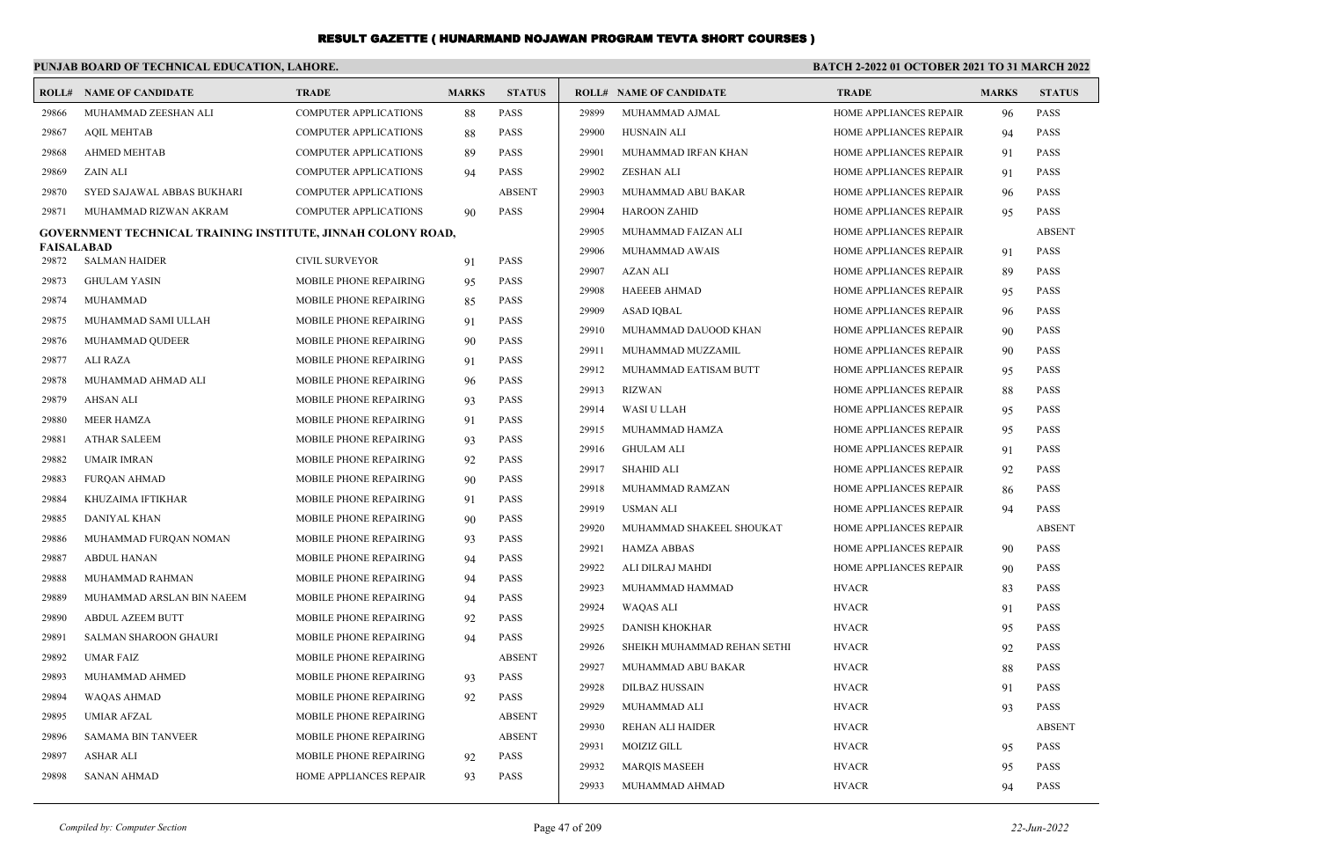#### **PUNJAB BOARD OF TECHNICAL EDUCATION, LAHORE. BATCH 2-2022 01 OCTOBER 2021 TO 31 MARCH 2022 ROLL# NAME OF CANDIDATE TRADE MARKS STATUS ROLL# NAME OF CANDIDATE TRADE MARKS STATUS** 29866 MUHAMMAD ZEESHAN ALI COMPUTER APPLICATIONS 88 PASS 29867 AQIL MEHTAB COMPUTER APPLICATIONS 88 PASS 29868 AHMED MEHTAB COMPUTER APPLICATIONS 89 PASS 29869 ZAIN ALI COMPUTER APPLICATIONS 94 PASS 29870 SYED SAJAWAL ABBAS BUKHARI COMPUTER APPLICATIONS ABSENT 29871 MUHAMMAD RIZWAN AKRAM COMPUTER APPLICATIONS 90 PASS **GOVERNMENT TECHNICAL TRAINING INSTITUTE, JINNAH COLONY ROAD, FAISALABAD** 29872 SALMAN HAIDER CIVIL SURVEYOR 91 PASS 29873 GHULAM YASIN MOBILE PHONE REPAIRING 95 PASS 29874 MUHAMMAD MOBILE PHONE REPAIRING 85 PASS 29875 MUHAMMAD SAMI ULLAH MOBILE PHONE REPAIRING 91 PASS 29876 MUHAMMAD QUDEER MOBILE PHONE REPAIRING 90 PASS 29877 ALI RAZA MOBILE PHONE REPAIRING 91 PASS 29878 MUHAMMAD AHMAD ALI MOBILE PHONE REPAIRING 96 PASS 29879 AHSAN ALI MOBILE PHONE REPAIRING 93 PASS 29880 MEER HAMZA MOBILE PHONE REPAIRING 91 PASS 29881 ATHAR SALEEM MOBILE PHONE REPAIRING 93 PASS 29882 UMAIR IMRAN MOBILE PHONE REPAIRING 92 PASS 29883 FURQAN AHMAD MOBILE PHONE REPAIRING 90 PASS 29884 KHUZAIMA IFTIKHAR MOBILE PHONE REPAIRING 91 PASS 29885 DANIYAL KHAN MOBILE PHONE REPAIRING 90 PASS 29886 MUHAMMAD FURQAN NOMAN MOBILE PHONE REPAIRING 93 PASS 29887 ABDUL HANAN MOBILE PHONE REPAIRING 94 PASS 29888 MUHAMMAD RAHMAN MOBILE PHONE REPAIRING 94 PASS 29889 MUHAMMAD ARSLAN BIN NAEEM MOBILE PHONE REPAIRING 94 PASS 29890 ABDUL AZEEM BUTT MOBILE PHONE REPAIRING 92 PASS 29891 SALMAN SHAROON GHAURI MOBILE PHONE REPAIRING 94 PASS 29892 UMAR FAIZ MOBILE PHONE REPAIRING ABSENT 29893 MUHAMMAD AHMED MOBILE PHONE REPAIRING 93 PASS 29894 WAQAS AHMAD MOBILE PHONE REPAIRING 92 PASS 29895 UMIAR AFZAL MOBILE PHONE REPAIRING ABSENT 29896 SAMAMA BIN TANVEER MOBILE PHONE REPAIRING ABSENT 29897 ASHAR ALI MOBILE PHONE REPAIRING 92 PASS 29898 SANAN AHMAD HOME APPLIANCES REPAIR 93 PASS 29899 MUHAMMAD AJMAL 1989 HOME APPLIANCES REPAIR 96 PASS 29900 HUSNAIN ALI HOME APPLIANCES REPAIR 94 PASS 29901 MUHAMMAD IRFAN KHAN HOME APPLIANCES REPAIR 91 PASS 29902 ZESHAN ALI HOME APPLIANCES REPAIR 91 PASS 29903 MUHAMMAD ABU BAKAR HOME APPLIANCES REPAIR 96 PASS 29904 HAROON ZAHID HOME APPLIANCES REPAIR 95 PASS 29905 MUHAMMAD FAIZAN ALI HOME APPLIANCES REPAIR ABSENT 29906 MUHAMMAD AWAIS HOME APPLIANCES REPAIR 91 PASS 29907 AZAN ALI HOME APPLIANCES REPAIR 89 PASS 29908 HAEEEB AHMAD **HOME APPLIANCES REPAIR** 95 PASS 29909 ASAD IQBAL HOME APPLIANCES REPAIR 96 PASS 29910 MUHAMMAD DAUOOD KHAN HOME APPLIANCES REPAIR 90 PASS 29911 MUHAMMAD MUZZAMIL HOME APPLIANCES REPAIR 90 PASS 29912 MUHAMMAD EATISAM BUTT HOME APPLIANCES REPAIR 95 PASS 29913 RIZWAN HOME APPLIANCES REPAIR 88 PASS 29914 WASI U LLAH HOME APPLIANCES REPAIR 95 PASS 29915 MUHAMMAD HAMZA HOME APPLIANCES REPAIR 95 PASS 29916 GHULAM ALI HOME APPLIANCES REPAIR 91 PASS 29917 SHAHID ALI HOME APPLIANCES REPAIR 92 PASS 29918 MUHAMMAD RAMZAN HOME APPLIANCES REPAIR 86 PASS 29919 USMAN ALI HOME APPLIANCES REPAIR 94 PASS 29920 MUHAMMAD SHAKEEL SHOUKAT HOME APPLIANCES REPAIR ABSENT 29921 HAMZA ABBAS HOME APPLIANCES REPAIR 90 PASS 29922 ALI DILRAJ MAHDI HOME APPLIANCES REPAIR 90 PASS 29923 MUHAMMAD HAMMAD HVACR 83 PASS 29924 WAQAS ALI HVACR 91 PASS 29925 DANISH KHOKHAR HVACR 95 PASS 29926 SHEIKH MUHAMMAD REHAN SETHI HVACR 92 PASS 29927 MUHAMMAD ABU BAKAR HVACR 88 PASS 29928 DILBAZ HUSSAIN HVACR 91 PASS 29929 MUHAMMAD ALI HVACR 93 PASS 29930 REHAN ALI HAIDER HVACR ABSENT 29931 MOIZIZ GILL HVACR 95 PASS 29932 MARQIS MASEEH HVACR HVACR 95 PASS 29933 MUHAMMAD AHMAD 19933 MUHAMMAD AHMAD 19933 MUHAMMAD 1993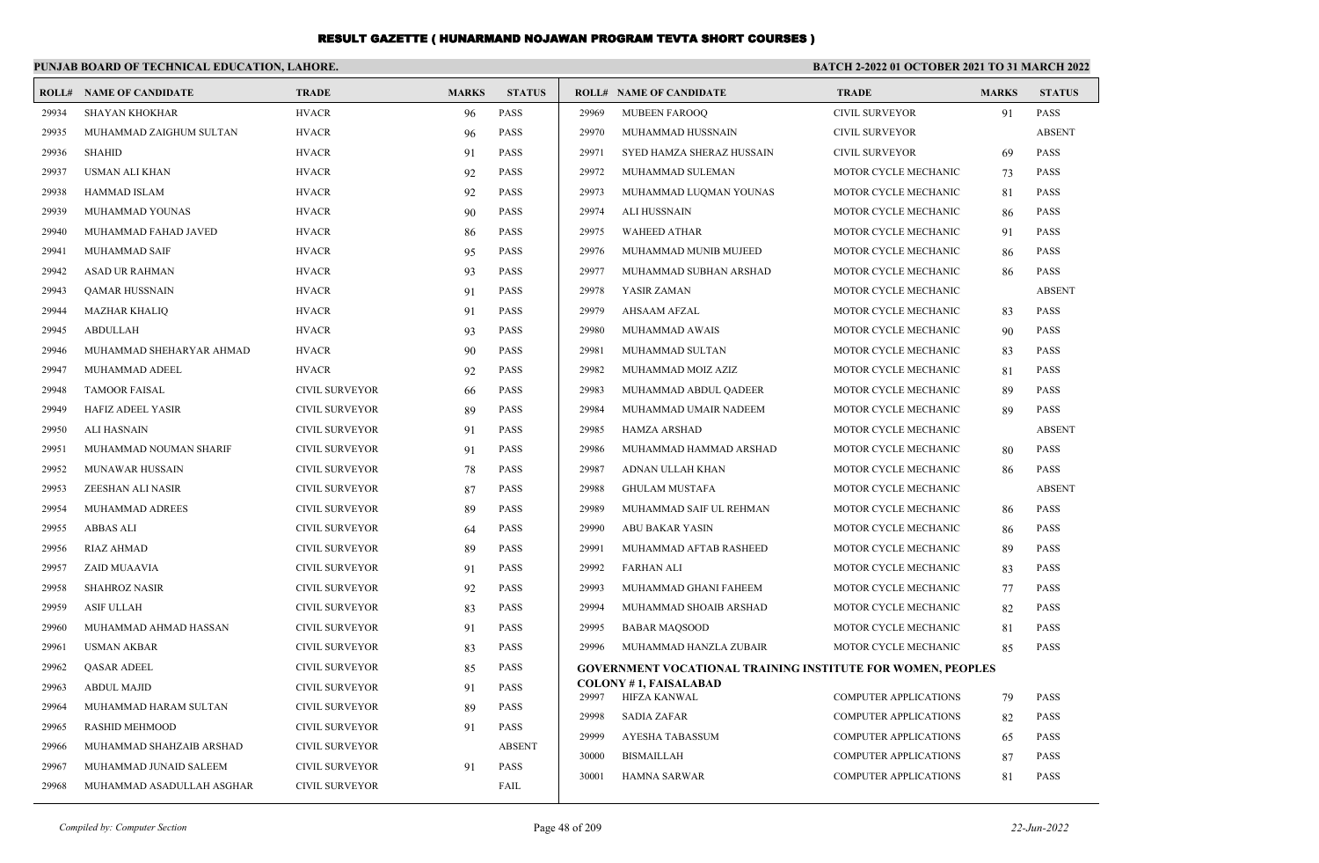|       | PUNJAB BOARD OF TECHNICAL EDUCATION, LAHORE. |                       |              |               |       | <b>BATCH 2-2022 01 OCTOBER 2021 TO 31 MARCH 2022</b>               |                              |              |               |
|-------|----------------------------------------------|-----------------------|--------------|---------------|-------|--------------------------------------------------------------------|------------------------------|--------------|---------------|
|       | <b>ROLL# NAME OF CANDIDATE</b>               | <b>TRADE</b>          | <b>MARKS</b> | <b>STATUS</b> |       | <b>ROLL# NAME OF CANDIDATE</b>                                     | <b>TRADE</b>                 | <b>MARKS</b> | <b>STATUS</b> |
| 29934 | <b>SHAYAN KHOKHAR</b>                        | <b>HVACR</b>          | 96           | <b>PASS</b>   | 29969 | <b>MUBEEN FAROOO</b>                                               | <b>CIVIL SURVEYOR</b>        | 91           | <b>PASS</b>   |
| 29935 | MUHAMMAD ZAIGHUM SULTAN                      | <b>HVACR</b>          | 96           | <b>PASS</b>   | 29970 | MUHAMMAD HUSSNAIN                                                  | <b>CIVIL SURVEYOR</b>        |              | <b>ABSENT</b> |
| 29936 | <b>SHAHID</b>                                | <b>HVACR</b>          | 91           | <b>PASS</b>   | 29971 | SYED HAMZA SHERAZ HUSSAIN                                          | <b>CIVIL SURVEYOR</b>        | 69           | <b>PASS</b>   |
| 29937 | <b>USMAN ALI KHAN</b>                        | <b>HVACR</b>          | 92           | <b>PASS</b>   | 29972 | MUHAMMAD SULEMAN                                                   | MOTOR CYCLE MECHANIC         | 73           | <b>PASS</b>   |
| 29938 | <b>HAMMAD ISLAM</b>                          | <b>HVACR</b>          | 92           | <b>PASS</b>   | 29973 | MUHAMMAD LUQMAN YOUNAS                                             | MOTOR CYCLE MECHANIC         | 81           | <b>PASS</b>   |
| 29939 | MUHAMMAD YOUNAS                              | <b>HVACR</b>          | 90           | <b>PASS</b>   | 29974 | ALI HUSSNAIN                                                       | MOTOR CYCLE MECHANIC         | 86           | <b>PASS</b>   |
| 29940 | MUHAMMAD FAHAD JAVED                         | <b>HVACR</b>          | 86           | <b>PASS</b>   | 29975 | <b>WAHEED ATHAR</b>                                                | MOTOR CYCLE MECHANIC         | 91           | <b>PASS</b>   |
| 29941 | MUHAMMAD SAIF                                | <b>HVACR</b>          | 95           | <b>PASS</b>   | 29976 | MUHAMMAD MUNIB MUJEED                                              | MOTOR CYCLE MECHANIC         | 86           | <b>PASS</b>   |
| 29942 | <b>ASAD UR RAHMAN</b>                        | <b>HVACR</b>          | 93           | <b>PASS</b>   | 29977 | MUHAMMAD SUBHAN ARSHAD                                             | MOTOR CYCLE MECHANIC         | 86           | <b>PASS</b>   |
| 29943 | <b>QAMAR HUSSNAIN</b>                        | <b>HVACR</b>          | 91           | <b>PASS</b>   | 29978 | YASIR ZAMAN                                                        | MOTOR CYCLE MECHANIC         |              | <b>ABSENT</b> |
| 29944 | <b>MAZHAR KHALIQ</b>                         | <b>HVACR</b>          | 91           | <b>PASS</b>   | 29979 | <b>AHSAAM AFZAL</b>                                                | MOTOR CYCLE MECHANIC         | 83           | <b>PASS</b>   |
| 29945 | <b>ABDULLAH</b>                              | <b>HVACR</b>          | 93           | <b>PASS</b>   | 29980 | MUHAMMAD AWAIS                                                     | MOTOR CYCLE MECHANIC         | 90           | <b>PASS</b>   |
| 29946 | MUHAMMAD SHEHARYAR AHMAD                     | <b>HVACR</b>          | 90           | <b>PASS</b>   | 29981 | MUHAMMAD SULTAN                                                    | MOTOR CYCLE MECHANIC         | 83           | <b>PASS</b>   |
| 29947 | MUHAMMAD ADEEL                               | <b>HVACR</b>          | 92           | <b>PASS</b>   | 29982 | MUHAMMAD MOIZ AZIZ                                                 | MOTOR CYCLE MECHANIC         | 81           | <b>PASS</b>   |
| 29948 | <b>TAMOOR FAISAL</b>                         | <b>CIVIL SURVEYOR</b> | 66           | <b>PASS</b>   | 29983 | MUHAMMAD ABDUL QADEER                                              | MOTOR CYCLE MECHANIC         | 89           | <b>PASS</b>   |
| 29949 | HAFIZ ADEEL YASIR                            | <b>CIVIL SURVEYOR</b> | 89           | <b>PASS</b>   | 29984 | MUHAMMAD UMAIR NADEEM                                              | MOTOR CYCLE MECHANIC         | 89           | <b>PASS</b>   |
| 29950 | ALI HASNAIN                                  | <b>CIVIL SURVEYOR</b> | 91           | <b>PASS</b>   | 29985 | HAMZA ARSHAD                                                       | MOTOR CYCLE MECHANIC         |              | <b>ABSENT</b> |
| 29951 | MUHAMMAD NOUMAN SHARIF                       | <b>CIVIL SURVEYOR</b> | 91           | <b>PASS</b>   | 29986 | MUHAMMAD HAMMAD ARSHAD                                             | MOTOR CYCLE MECHANIC         | 80           | <b>PASS</b>   |
| 29952 | <b>MUNAWAR HUSSAIN</b>                       | <b>CIVIL SURVEYOR</b> | 78           | <b>PASS</b>   | 29987 | ADNAN ULLAH KHAN                                                   | MOTOR CYCLE MECHANIC         | 86           | <b>PASS</b>   |
| 29953 | ZEESHAN ALI NASIR                            | <b>CIVIL SURVEYOR</b> | 87           | <b>PASS</b>   | 29988 | <b>GHULAM MUSTAFA</b>                                              | MOTOR CYCLE MECHANIC         |              | <b>ABSENT</b> |
| 29954 | MUHAMMAD ADREES                              | <b>CIVIL SURVEYOR</b> | 89           | <b>PASS</b>   | 29989 | MUHAMMAD SAIF UL REHMAN                                            | MOTOR CYCLE MECHANIC         | 86           | <b>PASS</b>   |
| 29955 | <b>ABBAS ALI</b>                             | <b>CIVIL SURVEYOR</b> | 64           | <b>PASS</b>   | 29990 | <b>ABU BAKAR YASIN</b>                                             | MOTOR CYCLE MECHANIC         | 86           | <b>PASS</b>   |
| 29956 | <b>RIAZ AHMAD</b>                            | <b>CIVIL SURVEYOR</b> | 89           | <b>PASS</b>   | 29991 | MUHAMMAD AFTAB RASHEED                                             | MOTOR CYCLE MECHANIC         | 89           | <b>PASS</b>   |
| 29957 | ZAID MUAAVIA                                 | <b>CIVIL SURVEYOR</b> | 91           | <b>PASS</b>   | 29992 | <b>FARHAN ALI</b>                                                  | MOTOR CYCLE MECHANIC         | 83           | <b>PASS</b>   |
| 29958 | <b>SHAHROZ NASIR</b>                         | <b>CIVIL SURVEYOR</b> | 92           | <b>PASS</b>   | 29993 | MUHAMMAD GHANI FAHEEM                                              | MOTOR CYCLE MECHANIC         | 77           | <b>PASS</b>   |
| 29959 | <b>ASIF ULLAH</b>                            | CIVIL SURVEYOR        | 83           | <b>PASS</b>   | 29994 | MUHAMMAD SHOAIB ARSHAD                                             | MOTOR CYCLE MECHANIC         | 82           | <b>PASS</b>   |
| 29960 | MUHAMMAD AHMAD HASSAN                        | <b>CIVIL SURVEYOR</b> | 91           | <b>PASS</b>   | 29995 | <b>BABAR MAQSOOD</b>                                               | MOTOR CYCLE MECHANIC         | 81           | <b>PASS</b>   |
| 29961 | <b>USMAN AKBAR</b>                           | <b>CIVIL SURVEYOR</b> | 83           | <b>PASS</b>   | 29996 | MUHAMMAD HANZLA ZUBAIR                                             | <b>MOTOR CYCLE MECHANIC</b>  | 85           | <b>PASS</b>   |
| 29962 | <b>QASAR ADEEL</b>                           | <b>CIVIL SURVEYOR</b> | 85           | <b>PASS</b>   |       | <b>GOVERNMENT VOCATIONAL TRAINING INSTITUTE FOR WOMEN, PEOPLES</b> |                              |              |               |
| 29963 | <b>ABDUL MAJID</b>                           | <b>CIVIL SURVEYOR</b> | 91           | <b>PASS</b>   | 29997 | <b>COLONY #1, FAISALABAD</b><br>HIFZA KANWAL                       | <b>COMPUTER APPLICATIONS</b> | 79           | <b>PASS</b>   |
| 29964 | MUHAMMAD HARAM SULTAN                        | <b>CIVIL SURVEYOR</b> | 89           | <b>PASS</b>   | 29998 | <b>SADIA ZAFAR</b>                                                 | <b>COMPUTER APPLICATIONS</b> |              | <b>PASS</b>   |
| 29965 | <b>RASHID MEHMOOD</b>                        | <b>CIVIL SURVEYOR</b> | 91           | <b>PASS</b>   | 29999 | AYESHA TABASSUM                                                    | <b>COMPUTER APPLICATIONS</b> | 82           | <b>PASS</b>   |
| 29966 | MUHAMMAD SHAHZAIB ARSHAD                     | <b>CIVIL SURVEYOR</b> |              | <b>ABSENT</b> | 30000 | <b>BISMAILLAH</b>                                                  | <b>COMPUTER APPLICATIONS</b> | 65           | PASS          |
| 29967 | MUHAMMAD JUNAID SALEEM                       | <b>CIVIL SURVEYOR</b> | 91           | <b>PASS</b>   | 30001 | HAMNA SARWAR                                                       | <b>COMPUTER APPLICATIONS</b> | 87<br>81     | <b>PASS</b>   |
| 29968 | MUHAMMAD ASADULLAH ASGHAR                    | <b>CIVIL SURVEYOR</b> |              | FAIL          |       |                                                                    |                              |              |               |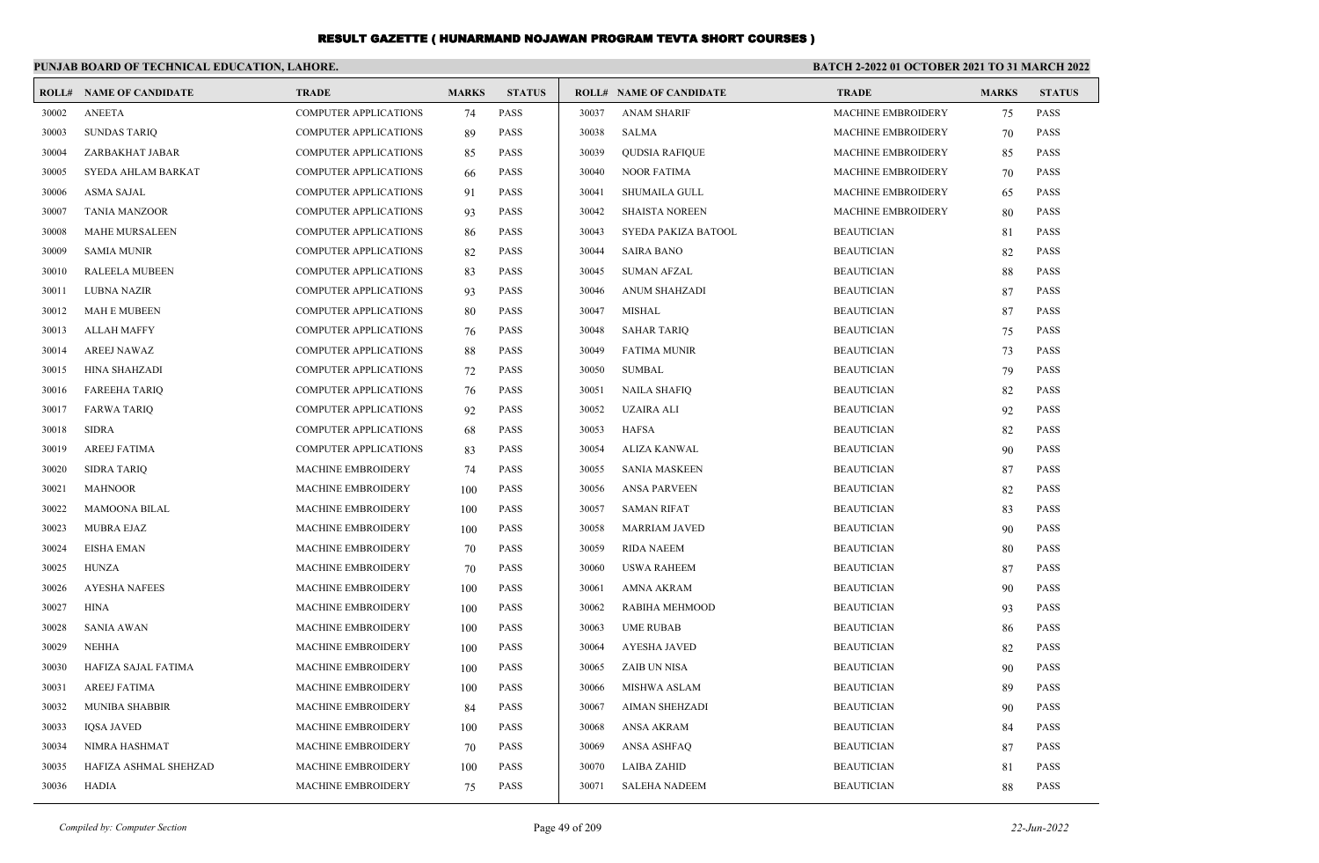|       | PUNJAB BOARD OF TECHNICAL EDUCATION, LAHORE. |                              |              |               | BATCH 2-2022 01 OCTOBER 2021 TO 31 MARCH 2022 |                                |                           |              |               |
|-------|----------------------------------------------|------------------------------|--------------|---------------|-----------------------------------------------|--------------------------------|---------------------------|--------------|---------------|
|       | <b>ROLL# NAME OF CANDIDATE</b>               | <b>TRADE</b>                 | <b>MARKS</b> | <b>STATUS</b> |                                               | <b>ROLL# NAME OF CANDIDATE</b> | <b>TRADE</b>              | <b>MARKS</b> | <b>STATUS</b> |
| 30002 | <b>ANEETA</b>                                | <b>COMPUTER APPLICATIONS</b> | 74           | <b>PASS</b>   | 30037                                         | <b>ANAM SHARIF</b>             | <b>MACHINE EMBROIDERY</b> | 75           | <b>PASS</b>   |
| 30003 | <b>SUNDAS TARIO</b>                          | <b>COMPUTER APPLICATIONS</b> | 89           | PASS          | 30038                                         | <b>SALMA</b>                   | <b>MACHINE EMBROIDERY</b> | 70           | <b>PASS</b>   |
| 30004 | ZARBAKHAT JABAR                              | <b>COMPUTER APPLICATIONS</b> | 85           | <b>PASS</b>   | 30039                                         | <b>QUDSIA RAFIQUE</b>          | <b>MACHINE EMBROIDERY</b> | 85           | <b>PASS</b>   |
| 30005 | SYEDA AHLAM BARKAT                           | <b>COMPUTER APPLICATIONS</b> | 66           | <b>PASS</b>   | 30040                                         | <b>NOOR FATIMA</b>             | <b>MACHINE EMBROIDERY</b> | 70           | <b>PASS</b>   |
| 30006 | ASMA SAJAL                                   | COMPUTER APPLICATIONS        | 91           | PASS          | 30041                                         | <b>SHUMAILA GULL</b>           | MACHINE EMBROIDERY        | 65           | <b>PASS</b>   |
| 30007 | <b>TANIA MANZOOR</b>                         | <b>COMPUTER APPLICATIONS</b> | 93           | <b>PASS</b>   | 30042                                         | <b>SHAISTA NOREEN</b>          | <b>MACHINE EMBROIDERY</b> | 80           | <b>PASS</b>   |
| 30008 | <b>MAHE MURSALEEN</b>                        | <b>COMPUTER APPLICATIONS</b> | 86           | PASS          | 30043                                         | SYEDA PAKIZA BATOOL            | <b>BEAUTICIAN</b>         | 81           | <b>PASS</b>   |
| 30009 | <b>SAMIA MUNIR</b>                           | COMPUTER APPLICATIONS        | 82           | PASS          | 30044                                         | <b>SAIRA BANO</b>              | <b>BEAUTICIAN</b>         | 82           | <b>PASS</b>   |
| 30010 | <b>RALEELA MUBEEN</b>                        | <b>COMPUTER APPLICATIONS</b> | 83           | PASS          | 30045                                         | <b>SUMAN AFZAL</b>             | <b>BEAUTICIAN</b>         | 88           | <b>PASS</b>   |
| 30011 | <b>LUBNA NAZIR</b>                           | <b>COMPUTER APPLICATIONS</b> | 93           | <b>PASS</b>   | 30046                                         | <b>ANUM SHAHZADI</b>           | <b>BEAUTICIAN</b>         | 87           | <b>PASS</b>   |
| 30012 | <b>MAH E MUBEEN</b>                          | COMPUTER APPLICATIONS        | 80           | PASS          | 30047                                         | <b>MISHAL</b>                  | <b>BEAUTICIAN</b>         | 87           | <b>PASS</b>   |
| 30013 | <b>ALLAH MAFFY</b>                           | <b>COMPUTER APPLICATIONS</b> | 76           | PASS          | 30048                                         | <b>SAHAR TARIQ</b>             | <b>BEAUTICIAN</b>         | 75           | <b>PASS</b>   |
| 30014 | <b>AREEJ NAWAZ</b>                           | <b>COMPUTER APPLICATIONS</b> | 88           | PASS          | 30049                                         | <b>FATIMA MUNIR</b>            | <b>BEAUTICIAN</b>         | 73           | <b>PASS</b>   |
| 30015 | HINA SHAHZADI                                | COMPUTER APPLICATIONS        | 72           | PASS          | 30050                                         | <b>SUMBAL</b>                  | <b>BEAUTICIAN</b>         | 79           | <b>PASS</b>   |
| 30016 | <b>FAREEHA TARIQ</b>                         | COMPUTER APPLICATIONS        | 76           | PASS          | 30051                                         | <b>NAILA SHAFIQ</b>            | <b>BEAUTICIAN</b>         | 82           | <b>PASS</b>   |
| 30017 | <b>FARWA TARIQ</b>                           | <b>COMPUTER APPLICATIONS</b> | 92           | PASS          | 30052                                         | <b>UZAIRA ALI</b>              | <b>BEAUTICIAN</b>         | 92           | <b>PASS</b>   |
| 30018 | <b>SIDRA</b>                                 | COMPUTER APPLICATIONS        | 68           | PASS          | 30053                                         | <b>HAFSA</b>                   | <b>BEAUTICIAN</b>         | 82           | <b>PASS</b>   |
| 30019 | <b>AREEJ FATIMA</b>                          | <b>COMPUTER APPLICATIONS</b> | 83           | PASS          | 30054                                         | ALIZA KANWAL                   | <b>BEAUTICIAN</b>         | 90           | <b>PASS</b>   |
| 30020 | <b>SIDRA TARIQ</b>                           | <b>MACHINE EMBROIDERY</b>    | 74           | PASS          | 30055                                         | <b>SANIA MASKEEN</b>           | <b>BEAUTICIAN</b>         | 87           | <b>PASS</b>   |
| 30021 | <b>MAHNOOR</b>                               | <b>MACHINE EMBROIDERY</b>    | 100          | <b>PASS</b>   | 30056                                         | <b>ANSA PARVEEN</b>            | <b>BEAUTICIAN</b>         | 82           | <b>PASS</b>   |
| 30022 | <b>MAMOONA BILAL</b>                         | <b>MACHINE EMBROIDERY</b>    | 100          | <b>PASS</b>   | 30057                                         | <b>SAMAN RIFAT</b>             | <b>BEAUTICIAN</b>         | 83           | <b>PASS</b>   |
| 30023 | <b>MUBRA EJAZ</b>                            | MACHINE EMBROIDERY           | 100          | <b>PASS</b>   | 30058                                         | <b>MARRIAM JAVED</b>           | <b>BEAUTICIAN</b>         | 90           | <b>PASS</b>   |
| 30024 | <b>EISHA EMAN</b>                            | <b>MACHINE EMBROIDERY</b>    | 70           | PASS          | 30059                                         | <b>RIDA NAEEM</b>              | <b>BEAUTICIAN</b>         | 80           | <b>PASS</b>   |
| 30025 | <b>HUNZA</b>                                 | <b>MACHINE EMBROIDERY</b>    | 70           | PASS          | 30060                                         | <b>USWA RAHEEM</b>             | <b>BEAUTICIAN</b>         | 87           | <b>PASS</b>   |
| 30026 | <b>AYESHA NAFEES</b>                         | MACHINE EMBROIDERY           | 100          | <b>PASS</b>   | 30061                                         | AMNA AKRAM                     | <b>BEAUTICIAN</b>         | 90           | <b>PASS</b>   |
| 30027 | <b>HINA</b>                                  | <b>MACHINE EMBROIDERY</b>    | 100          | <b>PASS</b>   | 30062                                         | RABIHA MEHMOOD                 | <b>BEAUTICIAN</b>         | 93           | <b>PASS</b>   |
| 30028 | <b>SANIA AWAN</b>                            | <b>MACHINE EMBROIDERY</b>    | 100          | <b>PASS</b>   | 30063                                         | <b>UME RUBAB</b>               | <b>BEAUTICIAN</b>         | 86           | <b>PASS</b>   |
| 30029 | <b>NEHHA</b>                                 | MACHINE EMBROIDERY           | 100          | <b>PASS</b>   | 30064                                         | <b>AYESHA JAVED</b>            | <b>BEAUTICIAN</b>         | 82           | <b>PASS</b>   |
| 30030 | HAFIZA SAJAL FATIMA                          | <b>MACHINE EMBROIDERY</b>    | 100          | <b>PASS</b>   | 30065                                         | ZAIB UN NISA                   | <b>BEAUTICIAN</b>         | 90           | <b>PASS</b>   |
| 30031 | <b>AREEJ FATIMA</b>                          | <b>MACHINE EMBROIDERY</b>    | 100          | <b>PASS</b>   | 30066                                         | <b>MISHWA ASLAM</b>            | <b>BEAUTICIAN</b>         | 89           | <b>PASS</b>   |
| 30032 | <b>MUNIBA SHABBIR</b>                        | <b>MACHINE EMBROIDERY</b>    | 84           | <b>PASS</b>   | 30067                                         | AIMAN SHEHZADI                 | <b>BEAUTICIAN</b>         | 90           | <b>PASS</b>   |
| 30033 | <b>IQSA JAVED</b>                            | <b>MACHINE EMBROIDERY</b>    | 100          | <b>PASS</b>   | 30068                                         | ANSA AKRAM                     | <b>BEAUTICIAN</b>         | 84           | <b>PASS</b>   |
| 30034 | NIMRA HASHMAT                                | <b>MACHINE EMBROIDERY</b>    | 70           | <b>PASS</b>   | 30069                                         | <b>ANSA ASHFAO</b>             | <b>BEAUTICIAN</b>         | 87           | <b>PASS</b>   |
| 30035 | HAFIZA ASHMAL SHEHZAD                        | <b>MACHINE EMBROIDERY</b>    | 100          | <b>PASS</b>   | 30070                                         | LAIBA ZAHID                    | <b>BEAUTICIAN</b>         | 81           | <b>PASS</b>   |
| 30036 | <b>HADIA</b>                                 | <b>MACHINE EMBROIDERY</b>    | 75           | <b>PASS</b>   | 30071                                         | <b>SALEHA NADEEM</b>           | <b>BEAUTICIAN</b>         | 88           | <b>PASS</b>   |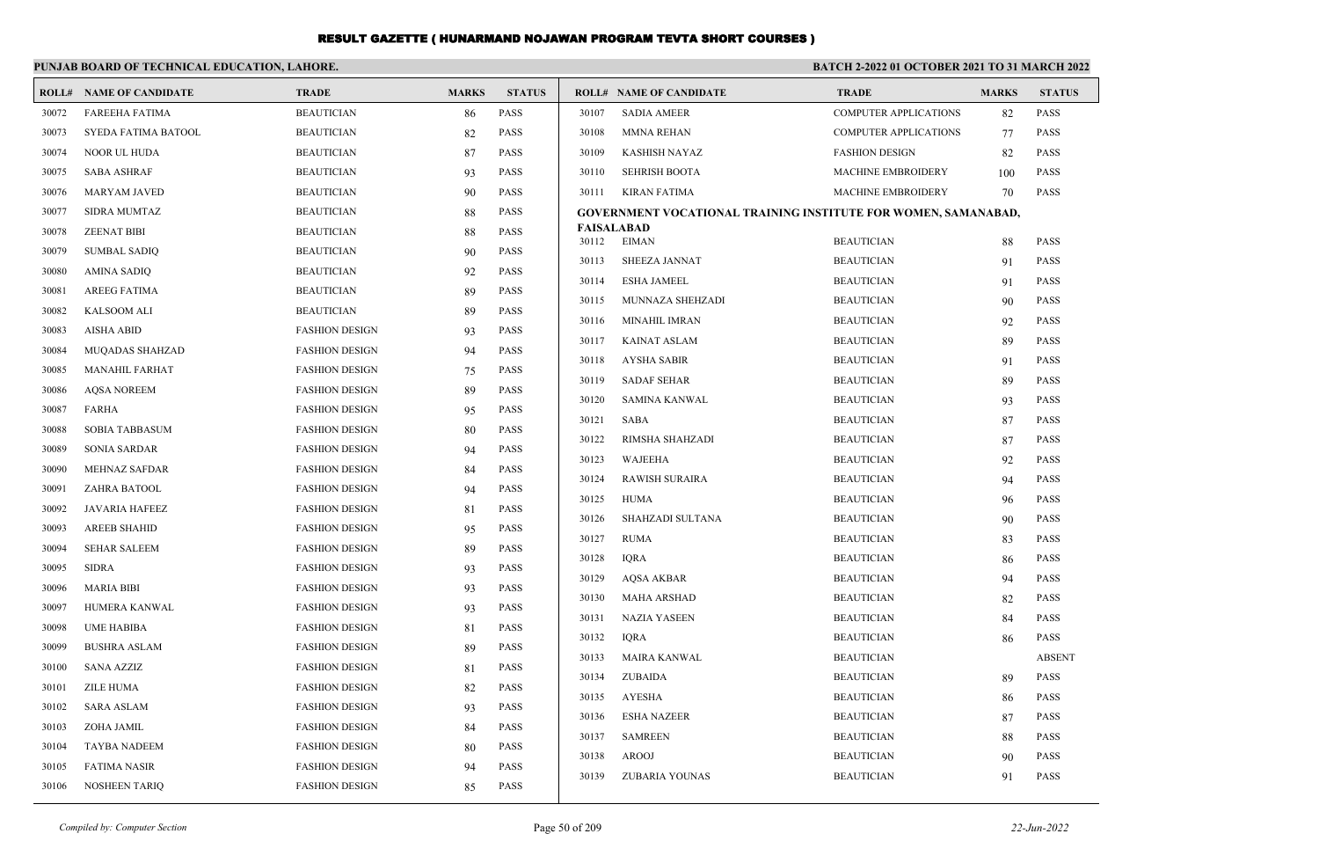|       | PUNJAB BOARD OF TECHNICAL EDUCATION, LAHORE. |                       |              | BATCH 2-2022 01 OCTOBER 2021 TO 31 MARCH 2022 |                |                                                                       |                                        |              |                            |
|-------|----------------------------------------------|-----------------------|--------------|-----------------------------------------------|----------------|-----------------------------------------------------------------------|----------------------------------------|--------------|----------------------------|
|       | <b>ROLL# NAME OF CANDIDATE</b>               | <b>TRADE</b>          | <b>MARKS</b> | <b>STATUS</b>                                 |                | <b>ROLL# NAME OF CANDIDATE</b>                                        | <b>TRADE</b>                           | <b>MARKS</b> | <b>STATUS</b>              |
| 30072 | <b>FAREEHA FATIMA</b>                        | <b>BEAUTICIAN</b>     | 86           | <b>PASS</b>                                   | 30107          | <b>SADIA AMEER</b>                                                    | <b>COMPUTER APPLICATIONS</b>           | 82           | <b>PASS</b>                |
| 30073 | SYEDA FATIMA BATOOL                          | <b>BEAUTICIAN</b>     | 82           | <b>PASS</b>                                   | 30108          | <b>MMNA REHAN</b>                                                     | <b>COMPUTER APPLICATIONS</b>           | 77           | PASS                       |
| 30074 | NOOR UL HUDA                                 | <b>BEAUTICIAN</b>     | 87           | <b>PASS</b>                                   | 30109          | <b>KASHISH NAYAZ</b>                                                  | <b>FASHION DESIGN</b>                  | 82           | PASS                       |
| 30075 | <b>SABA ASHRAF</b>                           | <b>BEAUTICIAN</b>     | 93           | <b>PASS</b>                                   | 30110          | <b>SEHRISH BOOTA</b>                                                  | <b>MACHINE EMBROIDERY</b>              | 100          | <b>PASS</b>                |
| 30076 | <b>MARYAM JAVED</b>                          | <b>BEAUTICIAN</b>     | 90           | <b>PASS</b>                                   | 30111          | <b>KIRAN FATIMA</b>                                                   | MACHINE EMBROIDERY                     | 70           | <b>PASS</b>                |
| 30077 | SIDRA MUMTAZ                                 | <b>BEAUTICIAN</b>     | 88           | <b>PASS</b>                                   |                | <b>GOVERNMENT VOCATIONAL TRAINING INSTITUTE FOR WOMEN, SAMANABAD,</b> |                                        |              |                            |
| 30078 | <b>ZEENAT BIBI</b>                           | <b>BEAUTICIAN</b>     | 88           | <b>PASS</b>                                   | 30112          | <b>FAISALABAD</b><br><b>EIMAN</b>                                     | <b>BEAUTICIAN</b>                      | 88           | PASS                       |
| 30079 | <b>SUMBAL SADIQ</b>                          | <b>BEAUTICIAN</b>     | 90           | <b>PASS</b>                                   | 30113          | SHEEZA JANNAT                                                         | <b>BEAUTICIAN</b>                      | 91           | PASS                       |
| 30080 | <b>AMINA SADIQ</b>                           | <b>BEAUTICIAN</b>     | 92           | <b>PASS</b>                                   | 30114          | <b>ESHA JAMEEL</b>                                                    | <b>BEAUTICIAN</b>                      |              | <b>PASS</b>                |
| 30081 | <b>AREEG FATIMA</b>                          | <b>BEAUTICIAN</b>     | 89           | <b>PASS</b>                                   | 30115          | MUNNAZA SHEHZADI                                                      | <b>BEAUTICIAN</b>                      | 91           | <b>PASS</b>                |
| 30082 | <b>KALSOOM ALI</b>                           | <b>BEAUTICIAN</b>     | 89           | <b>PASS</b>                                   | 30116          | <b>MINAHIL IMRAN</b>                                                  | <b>BEAUTICIAN</b>                      | 90           |                            |
| 30083 | <b>AISHA ABID</b>                            | <b>FASHION DESIGN</b> | 93           | <b>PASS</b>                                   |                |                                                                       |                                        | 92           | <b>PASS</b><br><b>PASS</b> |
| 30084 | MUQADAS SHAHZAD                              | <b>FASHION DESIGN</b> | 94           | <b>PASS</b>                                   | 30117          | <b>KAINAT ASLAM</b>                                                   | <b>BEAUTICIAN</b>                      | 89           | <b>PASS</b>                |
| 30085 | <b>MANAHIL FARHAT</b>                        | <b>FASHION DESIGN</b> | 75           | <b>PASS</b>                                   | 30118          | <b>AYSHA SABIR</b><br><b>SADAF SEHAR</b>                              | <b>BEAUTICIAN</b>                      | 91           |                            |
| 30086 | <b>AQSA NOREEM</b>                           | <b>FASHION DESIGN</b> | 89           | <b>PASS</b>                                   | 30119<br>30120 | <b>SAMINA KANWAL</b>                                                  | <b>BEAUTICIAN</b><br><b>BEAUTICIAN</b> | 89           | <b>PASS</b><br><b>PASS</b> |
| 30087 | <b>FARHA</b>                                 | <b>FASHION DESIGN</b> | 95           | <b>PASS</b>                                   |                |                                                                       |                                        | 93           |                            |
| 30088 | <b>SOBIA TABBASUM</b>                        | <b>FASHION DESIGN</b> | 80           | <b>PASS</b>                                   | 30121          | <b>SABA</b>                                                           | <b>BEAUTICIAN</b>                      | 87           | PASS                       |
| 30089 | <b>SONIA SARDAR</b>                          | <b>FASHION DESIGN</b> | 94           | <b>PASS</b>                                   | 30122          | RIMSHA SHAHZADI                                                       | <b>BEAUTICIAN</b>                      | 87           | PASS                       |
| 30090 | <b>MEHNAZ SAFDAR</b>                         | <b>FASHION DESIGN</b> | 84           | <b>PASS</b>                                   | 30123<br>30124 | WAJEEHA                                                               | <b>BEAUTICIAN</b>                      | 92           | PASS<br>PASS               |
| 30091 | ZAHRA BATOOL                                 | <b>FASHION DESIGN</b> | 94           | <b>PASS</b>                                   | 30125          | <b>RAWISH SURAIRA</b><br>HUMA                                         | <b>BEAUTICIAN</b><br><b>BEAUTICIAN</b> | 94           | PASS                       |
| 30092 | <b>JAVARIA HAFEEZ</b>                        | <b>FASHION DESIGN</b> | 81           | <b>PASS</b>                                   |                |                                                                       |                                        | 96           |                            |
| 30093 | <b>AREEB SHAHID</b>                          | <b>FASHION DESIGN</b> | 95           | <b>PASS</b>                                   | 30126<br>30127 | SHAHZADI SULTANA                                                      | <b>BEAUTICIAN</b>                      | 90           | <b>PASS</b><br><b>PASS</b> |
| 30094 | <b>SEHAR SALEEM</b>                          | <b>FASHION DESIGN</b> | 89           | <b>PASS</b>                                   |                | <b>RUMA</b>                                                           | <b>BEAUTICIAN</b>                      | 83           |                            |
| 30095 | <b>SIDRA</b>                                 | <b>FASHION DESIGN</b> | 93           | <b>PASS</b>                                   | 30128          | <b>IQRA</b>                                                           | <b>BEAUTICIAN</b>                      | 86           | <b>PASS</b>                |
| 30096 | <b>MARIA BIBI</b>                            | <b>FASHION DESIGN</b> | 93           | <b>PASS</b>                                   | 30129          | <b>AOSA AKBAR</b>                                                     | <b>BEAUTICIAN</b>                      | 94           | <b>PASS</b>                |
| 30097 | HUMERA KANWAL                                | <b>FASHION DESIGN</b> | 93           | <b>PASS</b>                                   | 30130          | <b>MAHA ARSHAD</b>                                                    | <b>BEAUTICIAN</b>                      | 82           | <b>PASS</b>                |
| 30098 | <b>UME HABIBA</b>                            | <b>FASHION DESIGN</b> | 81           | <b>PASS</b>                                   | 30131          | <b>NAZIA YASEEN</b>                                                   | <b>BEAUTICIAN</b>                      | 84           | <b>PASS</b>                |
| 30099 | <b>BUSHRA ASLAM</b>                          | <b>FASHION DESIGN</b> | 89           | <b>PASS</b>                                   | 30132          | <b>IQRA</b>                                                           | <b>BEAUTICIAN</b>                      | 86           | <b>PASS</b>                |
| 30100 | <b>SANA AZZIZ</b>                            | <b>FASHION DESIGN</b> | 81           | <b>PASS</b>                                   | 30133          | <b>MAIRA KANWAL</b>                                                   | <b>BEAUTICIAN</b>                      |              | <b>ABSENT</b>              |
| 30101 | ZILE HUMA                                    | <b>FASHION DESIGN</b> | 82           | <b>PASS</b>                                   | 30134          | ZUBAIDA                                                               | <b>BEAUTICIAN</b>                      | 89           | <b>PASS</b>                |
| 30102 | <b>SARA ASLAM</b>                            | <b>FASHION DESIGN</b> | 93           | <b>PASS</b>                                   | 30135          | <b>AYESHA</b>                                                         | <b>BEAUTICIAN</b>                      | 86           | PASS                       |
| 30103 | ZOHA JAMIL                                   | <b>FASHION DESIGN</b> | 84           | <b>PASS</b>                                   | 30136          | <b>ESHA NAZEER</b>                                                    | <b>BEAUTICIAN</b>                      | 87           | <b>PASS</b>                |
| 30104 | TAYBA NADEEM                                 | <b>FASHION DESIGN</b> | 80           | <b>PASS</b>                                   | 30137          | <b>SAMREEN</b>                                                        | <b>BEAUTICIAN</b>                      | 88           | <b>PASS</b>                |
| 30105 | <b>FATIMA NASIR</b>                          | <b>FASHION DESIGN</b> | 94           | <b>PASS</b>                                   | 30138          | AROOJ                                                                 | <b>BEAUTICIAN</b>                      | 90           | <b>PASS</b>                |
| 30106 | <b>NOSHEEN TARIO</b>                         | <b>FASHION DESIGN</b> | 85           | <b>PASS</b>                                   | 30139          | ZUBARIA YOUNAS                                                        | <b>BEAUTICIAN</b>                      | 91           | <b>PASS</b>                |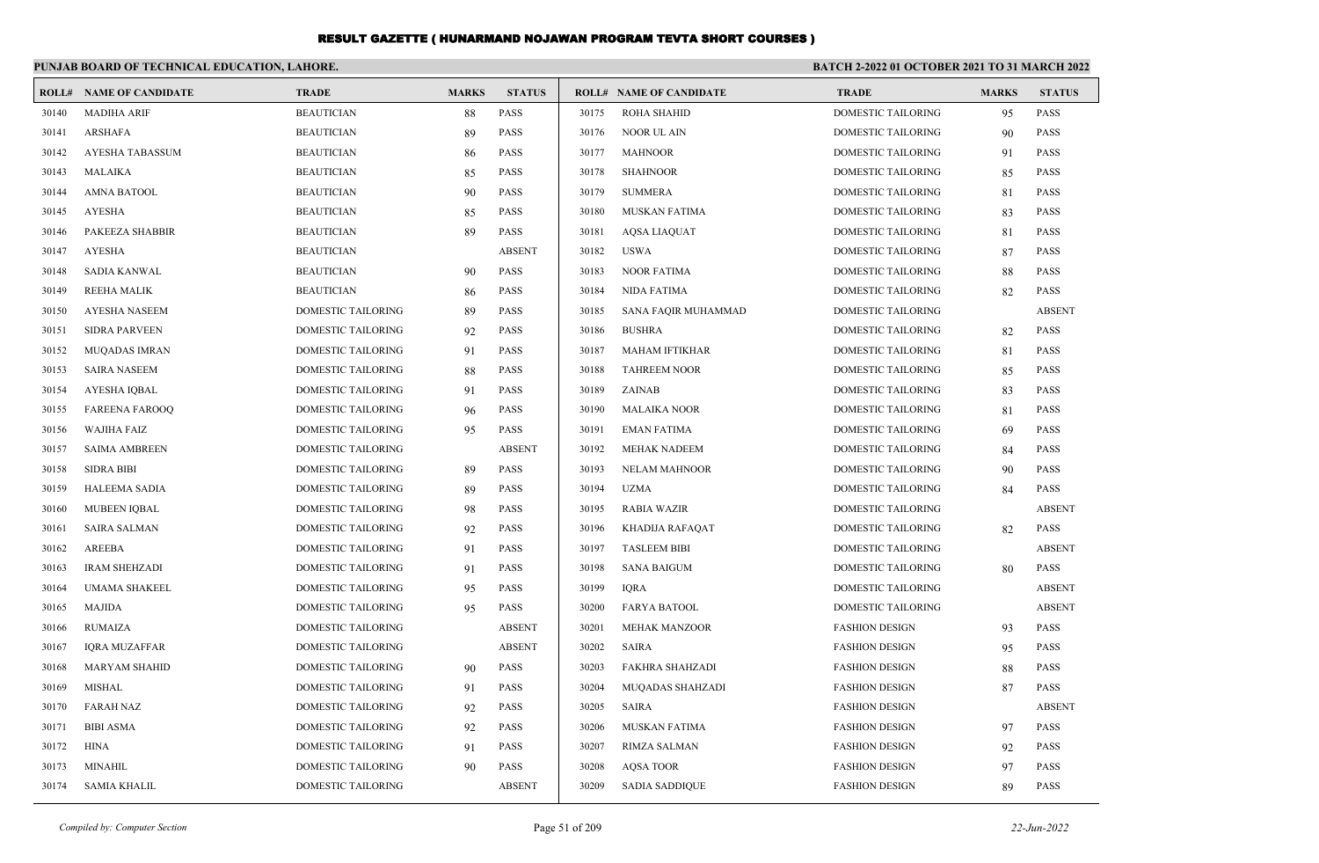|       | PUNJAB BOARD OF TECHNICAL EDUCATION, LAHORE. |                           |              |               |       |                                | <b>BATCH 2-2022 01 OCTOBER 2021 TO 31 MARCH 2022</b> |              |               |
|-------|----------------------------------------------|---------------------------|--------------|---------------|-------|--------------------------------|------------------------------------------------------|--------------|---------------|
| ROLL# | <b>NAME OF CANDIDATE</b>                     | <b>TRADE</b>              | <b>MARKS</b> | <b>STATUS</b> |       | <b>ROLL# NAME OF CANDIDATE</b> | <b>TRADE</b>                                         | <b>MARKS</b> | <b>STATUS</b> |
| 30140 | <b>MADIHA ARIF</b>                           | <b>BEAUTICIAN</b>         | 88           | <b>PASS</b>   | 30175 | <b>ROHA SHAHID</b>             | DOMESTIC TAILORING                                   | 95           | <b>PASS</b>   |
| 30141 | <b>ARSHAFA</b>                               | <b>BEAUTICIAN</b>         | 89           | PASS          | 30176 | NOOR UL AIN                    | DOMESTIC TAILORING                                   | 90           | <b>PASS</b>   |
| 30142 | <b>AYESHA TABASSUM</b>                       | <b>BEAUTICIAN</b>         | 86           | <b>PASS</b>   | 30177 | <b>MAHNOOR</b>                 | <b>DOMESTIC TAILORING</b>                            | 91           | <b>PASS</b>   |
| 30143 | <b>MALAIKA</b>                               | <b>BEAUTICIAN</b>         | 85           | PASS          | 30178 | <b>SHAHNOOR</b>                | DOMESTIC TAILORING                                   | 85           | <b>PASS</b>   |
| 30144 | <b>AMNA BATOOL</b>                           | <b>BEAUTICIAN</b>         | 90           | PASS          | 30179 | <b>SUMMERA</b>                 | DOMESTIC TAILORING                                   | 81           | <b>PASS</b>   |
| 30145 | <b>AYESHA</b>                                | <b>BEAUTICIAN</b>         | 85           | PASS          | 30180 | MUSKAN FATIMA                  | DOMESTIC TAILORING                                   | 83           | <b>PASS</b>   |
| 30146 | PAKEEZA SHABBIR                              | <b>BEAUTICIAN</b>         | 89           | <b>PASS</b>   | 30181 | <b>AQSA LIAQUAT</b>            | <b>DOMESTIC TAILORING</b>                            | 81           | <b>PASS</b>   |
| 30147 | <b>AYESHA</b>                                | <b>BEAUTICIAN</b>         |              | <b>ABSENT</b> | 30182 | <b>USWA</b>                    | <b>DOMESTIC TAILORING</b>                            | 87           | <b>PASS</b>   |
| 30148 | <b>SADIA KANWAL</b>                          | <b>BEAUTICIAN</b>         | 90           | <b>PASS</b>   | 30183 | <b>NOOR FATIMA</b>             | <b>DOMESTIC TAILORING</b>                            | 88           | <b>PASS</b>   |
| 30149 | <b>REEHA MALIK</b>                           | <b>BEAUTICIAN</b>         | 86           | PASS          | 30184 | <b>NIDA FATIMA</b>             | DOMESTIC TAILORING                                   | 82           | <b>PASS</b>   |
| 30150 | <b>AYESHA NASEEM</b>                         | DOMESTIC TAILORING        | 89           | <b>PASS</b>   | 30185 | SANA FAQIR MUHAMMAD            | DOMESTIC TAILORING                                   |              | <b>ABSENT</b> |
| 30151 | <b>SIDRA PARVEEN</b>                         | DOMESTIC TAILORING        | 92           | <b>PASS</b>   | 30186 | <b>BUSHRA</b>                  | <b>DOMESTIC TAILORING</b>                            | 82           | <b>PASS</b>   |
| 30152 | <b>MUQADAS IMRAN</b>                         | DOMESTIC TAILORING        | 91           | <b>PASS</b>   | 30187 | <b>MAHAM IFTIKHAR</b>          | <b>DOMESTIC TAILORING</b>                            | 81           | <b>PASS</b>   |
| 30153 | <b>SAIRA NASEEM</b>                          | <b>DOMESTIC TAILORING</b> | 88           | <b>PASS</b>   | 30188 | <b>TAHREEM NOOR</b>            | <b>DOMESTIC TAILORING</b>                            | 85           | <b>PASS</b>   |
| 30154 | <b>AYESHA IQBAL</b>                          | DOMESTIC TAILORING        | 91           | <b>PASS</b>   | 30189 | ZAINAB                         | DOMESTIC TAILORING                                   | 83           | <b>PASS</b>   |
| 30155 | <b>FAREENA FAROOQ</b>                        | DOMESTIC TAILORING        | 96           | PASS          | 30190 | <b>MALAIKA NOOR</b>            | DOMESTIC TAILORING                                   | 81           | <b>PASS</b>   |
| 30156 | <b>WAJIHA FAIZ</b>                           | DOMESTIC TAILORING        | 95           | <b>PASS</b>   | 30191 | <b>EMAN FATIMA</b>             | DOMESTIC TAILORING                                   | 69           | <b>PASS</b>   |
| 30157 | <b>SAIMA AMBREEN</b>                         | DOMESTIC TAILORING        |              | <b>ABSENT</b> | 30192 | <b>MEHAK NADEEM</b>            | DOMESTIC TAILORING                                   | 84           | <b>PASS</b>   |
| 30158 | <b>SIDRA BIBI</b>                            | <b>DOMESTIC TAILORING</b> | 89           | <b>PASS</b>   | 30193 | <b>NELAM MAHNOOR</b>           | DOMESTIC TAILORING                                   | 90           | <b>PASS</b>   |
| 30159 | <b>HALEEMA SADIA</b>                         | DOMESTIC TAILORING        | 89           | PASS          | 30194 | <b>UZMA</b>                    | DOMESTIC TAILORING                                   | 84           | PASS          |
| 30160 | <b>MUBEEN IQBAL</b>                          | DOMESTIC TAILORING        | 98           | PASS          | 30195 | <b>RABIA WAZIR</b>             | DOMESTIC TAILORING                                   |              | <b>ABSENT</b> |
| 30161 | <b>SAIRA SALMAN</b>                          | DOMESTIC TAILORING        | 92           | <b>PASS</b>   | 30196 | KHADIJA RAFAQAT                | <b>DOMESTIC TAILORING</b>                            | 82           | <b>PASS</b>   |
| 30162 | AREEBA                                       | DOMESTIC TAILORING        | 91           | <b>PASS</b>   | 30197 | <b>TASLEEM BIBI</b>            | <b>DOMESTIC TAILORING</b>                            |              | <b>ABSENT</b> |
| 30163 | <b>IRAM SHEHZADI</b>                         | DOMESTIC TAILORING        | 91           | <b>PASS</b>   | 30198 | <b>SANA BAIGUM</b>             | <b>DOMESTIC TAILORING</b>                            | 80           | <b>PASS</b>   |
| 30164 | <b>UMAMA SHAKEEL</b>                         | DOMESTIC TAILORING        | 95           | <b>PASS</b>   | 30199 | <b>IQRA</b>                    | DOMESTIC TAILORING                                   |              | <b>ABSENT</b> |
| 30165 | <b>MAJIDA</b>                                | DOMESTIC TAILORING        | 95           | <b>PASS</b>   | 30200 | <b>FARYA BATOOL</b>            | DOMESTIC TAILORING                                   |              | <b>ABSENT</b> |
| 30166 | <b>RUMAIZA</b>                               | DOMESTIC TAILORING        |              | <b>ABSENT</b> | 30201 | <b>MEHAK MANZOOR</b>           | <b>FASHION DESIGN</b>                                | 93           | <b>PASS</b>   |
| 30167 | <b>IORA MUZAFFAR</b>                         | DOMESTIC TAILORING        |              | <b>ABSENT</b> | 30202 | <b>SAIRA</b>                   | <b>FASHION DESIGN</b>                                | 95           | <b>PASS</b>   |
| 30168 | <b>MARYAM SHAHID</b>                         | <b>DOMESTIC TAILORING</b> | 90           | <b>PASS</b>   | 30203 | <b>FAKHRA SHAHZADI</b>         | <b>FASHION DESIGN</b>                                | 88           | <b>PASS</b>   |
| 30169 | <b>MISHAL</b>                                | <b>DOMESTIC TAILORING</b> | 91           | <b>PASS</b>   | 30204 | MUQADAS SHAHZADI               | <b>FASHION DESIGN</b>                                | 87           | <b>PASS</b>   |
| 30170 | <b>FARAH NAZ</b>                             | DOMESTIC TAILORING        | 92           | <b>PASS</b>   | 30205 | SAIRA                          | <b>FASHION DESIGN</b>                                |              | <b>ABSENT</b> |
| 30171 | <b>BIBI ASMA</b>                             | DOMESTIC TAILORING        | 92           | <b>PASS</b>   | 30206 | <b>MUSKAN FATIMA</b>           | <b>FASHION DESIGN</b>                                | 97           | <b>PASS</b>   |
| 30172 | <b>HINA</b>                                  | DOMESTIC TAILORING        | 91           | <b>PASS</b>   | 30207 | RIMZA SALMAN                   | <b>FASHION DESIGN</b>                                | 92           | <b>PASS</b>   |
| 30173 | <b>MINAHIL</b>                               | <b>DOMESTIC TAILORING</b> | 90           | <b>PASS</b>   | 30208 | <b>AOSA TOOR</b>               | <b>FASHION DESIGN</b>                                | 97           | <b>PASS</b>   |
| 30174 | <b>SAMIA KHALIL</b>                          | DOMESTIC TAILORING        |              | <b>ABSENT</b> | 30209 | <b>SADIA SADDIQUE</b>          | <b>FASHION DESIGN</b>                                | 89           | PASS          |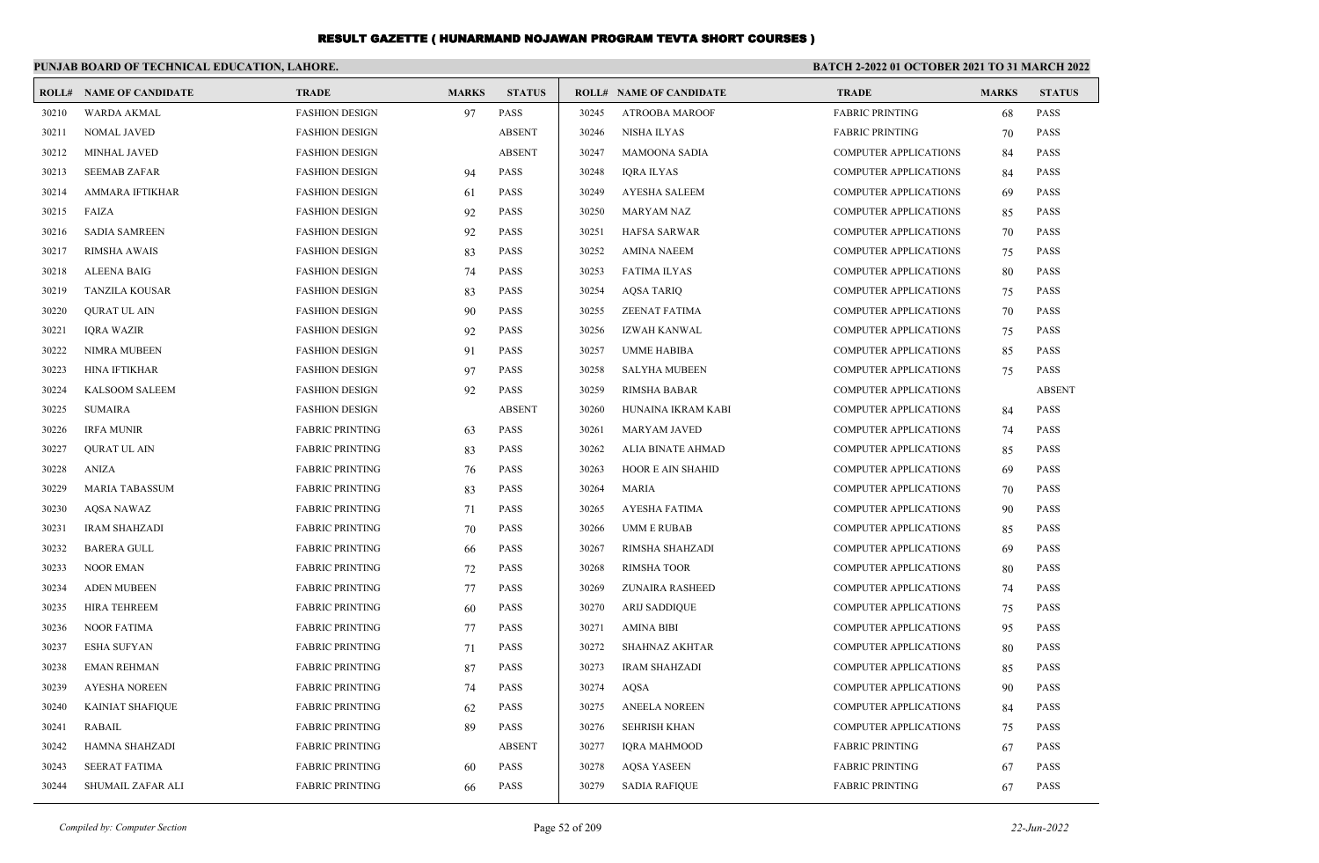|       | PUNJAB BOARD OF TECHNICAL EDUCATION, LAHORE. |                        |              |               | BATCH 2-2022 01 OCTOBER 2021 TO 31 MARCH 2022 |                                |                              |              |               |  |
|-------|----------------------------------------------|------------------------|--------------|---------------|-----------------------------------------------|--------------------------------|------------------------------|--------------|---------------|--|
|       | <b>ROLL# NAME OF CANDIDATE</b>               | <b>TRADE</b>           | <b>MARKS</b> | <b>STATUS</b> |                                               | <b>ROLL# NAME OF CANDIDATE</b> | <b>TRADE</b>                 | <b>MARKS</b> | <b>STATUS</b> |  |
| 30210 | <b>WARDA AKMAL</b>                           | <b>FASHION DESIGN</b>  | 97           | <b>PASS</b>   | 30245                                         | <b>ATROOBA MAROOF</b>          | <b>FABRIC PRINTING</b>       | 68           | <b>PASS</b>   |  |
| 30211 | <b>NOMAL JAVED</b>                           | <b>FASHION DESIGN</b>  |              | <b>ABSENT</b> | 30246                                         | <b>NISHA ILYAS</b>             | <b>FABRIC PRINTING</b>       | 70           | <b>PASS</b>   |  |
| 30212 | <b>MINHAL JAVED</b>                          | <b>FASHION DESIGN</b>  |              | <b>ABSENT</b> | 30247                                         | <b>MAMOONA SADIA</b>           | <b>COMPUTER APPLICATIONS</b> | 84           | <b>PASS</b>   |  |
| 30213 | <b>SEEMAB ZAFAR</b>                          | <b>FASHION DESIGN</b>  | 94           | <b>PASS</b>   | 30248                                         | <b>IORA ILYAS</b>              | <b>COMPUTER APPLICATIONS</b> | 84           | <b>PASS</b>   |  |
| 30214 | AMMARA IFTIKHAR                              | <b>FASHION DESIGN</b>  | 61           | <b>PASS</b>   | 30249                                         | AYESHA SALEEM                  | <b>COMPUTER APPLICATIONS</b> | 69           | <b>PASS</b>   |  |
| 30215 | FAIZA                                        | <b>FASHION DESIGN</b>  | 92           | PASS          | 30250                                         | <b>MARYAM NAZ</b>              | <b>COMPUTER APPLICATIONS</b> | 85           | <b>PASS</b>   |  |
| 30216 | <b>SADIA SAMREEN</b>                         | <b>FASHION DESIGN</b>  | 92           | <b>PASS</b>   | 30251                                         | <b>HAFSA SARWAR</b>            | <b>COMPUTER APPLICATIONS</b> | 70           | <b>PASS</b>   |  |
| 30217 | <b>RIMSHA AWAIS</b>                          | <b>FASHION DESIGN</b>  | 83           | <b>PASS</b>   | 30252                                         | <b>AMINA NAEEM</b>             | <b>COMPUTER APPLICATIONS</b> | 75           | <b>PASS</b>   |  |
| 30218 | <b>ALEENA BAIG</b>                           | <b>FASHION DESIGN</b>  | 74           | <b>PASS</b>   | 30253                                         | <b>FATIMA ILYAS</b>            | COMPUTER APPLICATIONS        | 80           | <b>PASS</b>   |  |
| 30219 | <b>TANZILA KOUSAR</b>                        | <b>FASHION DESIGN</b>  | 83           | <b>PASS</b>   | 30254                                         | <b>AQSA TARIQ</b>              | COMPUTER APPLICATIONS        | 75           | <b>PASS</b>   |  |
| 30220 | <b>QURAT UL AIN</b>                          | <b>FASHION DESIGN</b>  | 90           | <b>PASS</b>   | 30255                                         | ZEENAT FATIMA                  | <b>COMPUTER APPLICATIONS</b> | 70           | <b>PASS</b>   |  |
| 30221 | <b>IORA WAZIR</b>                            | <b>FASHION DESIGN</b>  | 92           | <b>PASS</b>   | 30256                                         | IZWAH KANWAL                   | <b>COMPUTER APPLICATIONS</b> | 75           | <b>PASS</b>   |  |
| 30222 | <b>NIMRA MUBEEN</b>                          | <b>FASHION DESIGN</b>  | 91           | <b>PASS</b>   | 30257                                         | <b>UMME HABIBA</b>             | <b>COMPUTER APPLICATIONS</b> | 85           | <b>PASS</b>   |  |
| 30223 | <b>HINA IFTIKHAR</b>                         | <b>FASHION DESIGN</b>  | 97           | PASS          | 30258                                         | <b>SALYHA MUBEEN</b>           | <b>COMPUTER APPLICATIONS</b> | 75           | <b>PASS</b>   |  |
| 30224 | <b>KALSOOM SALEEM</b>                        | <b>FASHION DESIGN</b>  | 92           | <b>PASS</b>   | 30259                                         | <b>RIMSHA BABAR</b>            | <b>COMPUTER APPLICATIONS</b> |              | <b>ABSENT</b> |  |
| 30225 | <b>SUMAIRA</b>                               | <b>FASHION DESIGN</b>  |              | <b>ABSENT</b> | 30260                                         | HUNAINA IKRAM KABI             | <b>COMPUTER APPLICATIONS</b> | 84           | <b>PASS</b>   |  |
| 30226 | <b>IRFA MUNIR</b>                            | <b>FABRIC PRINTING</b> | 63           | <b>PASS</b>   | 30261                                         | <b>MARYAM JAVED</b>            | <b>COMPUTER APPLICATIONS</b> | 74           | <b>PASS</b>   |  |
| 30227 | <b>OURAT UL AIN</b>                          | <b>FABRIC PRINTING</b> | 83           | PASS          | 30262                                         | ALIA BINATE AHMAD              | <b>COMPUTER APPLICATIONS</b> | 85           | <b>PASS</b>   |  |
| 30228 | <b>ANIZA</b>                                 | <b>FABRIC PRINTING</b> | 76           | PASS          | 30263                                         | HOOR E AIN SHAHID              | <b>COMPUTER APPLICATIONS</b> | 69           | <b>PASS</b>   |  |
| 30229 | <b>MARIA TABASSUM</b>                        | <b>FABRIC PRINTING</b> | 83           | <b>PASS</b>   | 30264                                         | <b>MARIA</b>                   | <b>COMPUTER APPLICATIONS</b> | 70           | <b>PASS</b>   |  |
| 30230 | <b>AOSA NAWAZ</b>                            | <b>FABRIC PRINTING</b> | 71           | <b>PASS</b>   | 30265                                         | <b>AYESHA FATIMA</b>           | <b>COMPUTER APPLICATIONS</b> | 90           | <b>PASS</b>   |  |
| 30231 | <b>IRAM SHAHZADI</b>                         | <b>FABRIC PRINTING</b> | 70           | <b>PASS</b>   | 30266                                         | <b>UMM E RUBAB</b>             | <b>COMPUTER APPLICATIONS</b> | 85           | <b>PASS</b>   |  |
| 30232 | <b>BARERA GULL</b>                           | <b>FABRIC PRINTING</b> | 66           | <b>PASS</b>   | 30267                                         | RIMSHA SHAHZADI                | <b>COMPUTER APPLICATIONS</b> | 69           | <b>PASS</b>   |  |
| 30233 | <b>NOOR EMAN</b>                             | <b>FABRIC PRINTING</b> | 72           | <b>PASS</b>   | 30268                                         | <b>RIMSHA TOOR</b>             | <b>COMPUTER APPLICATIONS</b> | 80           | <b>PASS</b>   |  |
| 30234 | <b>ADEN MUBEEN</b>                           | <b>FABRIC PRINTING</b> | 77           | <b>PASS</b>   | 30269                                         | <b>ZUNAIRA RASHEED</b>         | <b>COMPUTER APPLICATIONS</b> | 74           | <b>PASS</b>   |  |
| 30235 | <b>HIRA TEHREEM</b>                          | <b>FABRIC PRINTING</b> | 60           | <b>PASS</b>   | 30270                                         | <b>ARIJ SADDIQUE</b>           | <b>COMPUTER APPLICATIONS</b> | 75           | <b>PASS</b>   |  |
| 30236 | <b>NOOR FATIMA</b>                           | <b>FABRIC PRINTING</b> | 77           | <b>PASS</b>   | 30271                                         | <b>AMINA BIBI</b>              | <b>COMPUTER APPLICATIONS</b> | 95           | <b>PASS</b>   |  |
| 30237 | <b>ESHA SUFYAN</b>                           | <b>FABRIC PRINTING</b> | 71           | <b>PASS</b>   | 30272                                         | <b>SHAHNAZ AKHTAR</b>          | <b>COMPUTER APPLICATIONS</b> | 80           | <b>PASS</b>   |  |
| 30238 | <b>EMAN REHMAN</b>                           | <b>FABRIC PRINTING</b> | 87           | <b>PASS</b>   | 30273                                         | <b>IRAM SHAHZADI</b>           | <b>COMPUTER APPLICATIONS</b> | 85           | <b>PASS</b>   |  |
| 30239 | <b>AYESHA NOREEN</b>                         | <b>FABRIC PRINTING</b> | 74           | <b>PASS</b>   | 30274                                         | <b>AQSA</b>                    | <b>COMPUTER APPLICATIONS</b> | 90           | <b>PASS</b>   |  |
| 30240 | <b>KAINIAT SHAFIQUE</b>                      | <b>FABRIC PRINTING</b> | 62           | <b>PASS</b>   | 30275                                         | <b>ANEELA NOREEN</b>           | COMPUTER APPLICATIONS        | 84           | <b>PASS</b>   |  |
| 30241 | <b>RABAIL</b>                                | <b>FABRIC PRINTING</b> | 89           | <b>PASS</b>   | 30276                                         | <b>SEHRISH KHAN</b>            | <b>COMPUTER APPLICATIONS</b> | 75           | <b>PASS</b>   |  |
| 30242 | HAMNA SHAHZADI                               | <b>FABRIC PRINTING</b> |              | <b>ABSENT</b> | 30277                                         | <b>IORA MAHMOOD</b>            | <b>FABRIC PRINTING</b>       | 67           | <b>PASS</b>   |  |
| 30243 | <b>SEERAT FATIMA</b>                         | <b>FABRIC PRINTING</b> | 60           | <b>PASS</b>   | 30278                                         | <b>AOSA YASEEN</b>             | <b>FABRIC PRINTING</b>       | 67           | <b>PASS</b>   |  |
| 30244 | SHUMAIL ZAFAR ALI                            | <b>FABRIC PRINTING</b> | 66           | <b>PASS</b>   | 30279                                         | <b>SADIA RAFIQUE</b>           | <b>FABRIC PRINTING</b>       | 67           | <b>PASS</b>   |  |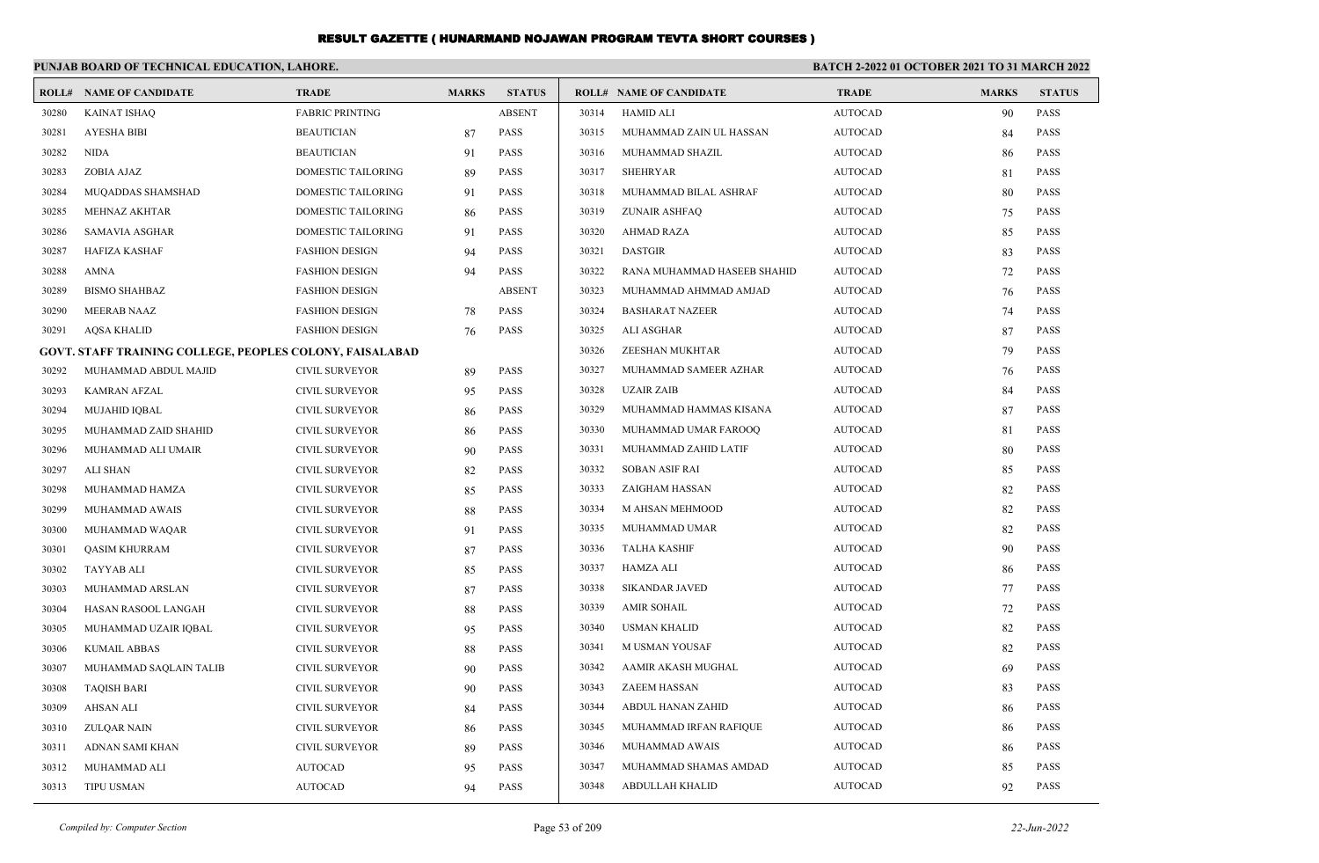|       | PUNJAB BOARD OF TECHNICAL EDUCATION, LAHORE.                    |                        |              |               | <b>BATCH 2-2022 01 OCTOBER 2021 TO 31 MARCH 2022</b> |                                |                |              |               |
|-------|-----------------------------------------------------------------|------------------------|--------------|---------------|------------------------------------------------------|--------------------------------|----------------|--------------|---------------|
|       | <b>ROLL# NAME OF CANDIDATE</b>                                  | <b>TRADE</b>           | <b>MARKS</b> | <b>STATUS</b> |                                                      | <b>ROLL# NAME OF CANDIDATE</b> | <b>TRADE</b>   | <b>MARKS</b> | <b>STATUS</b> |
| 30280 | <b>KAINAT ISHAQ</b>                                             | <b>FABRIC PRINTING</b> |              | <b>ABSENT</b> | 30314                                                | <b>HAMID ALI</b>               | <b>AUTOCAD</b> | 90           | <b>PASS</b>   |
| 30281 | AYESHA BIBI                                                     | <b>BEAUTICIAN</b>      | 87           | <b>PASS</b>   | 30315                                                | MUHAMMAD ZAIN UL HASSAN        | <b>AUTOCAD</b> | 84           | <b>PASS</b>   |
| 30282 | <b>NIDA</b>                                                     | <b>BEAUTICIAN</b>      | 91           | PASS          | 30316                                                | MUHAMMAD SHAZIL                | <b>AUTOCAD</b> | 86           | <b>PASS</b>   |
| 30283 | ZOBIA AJAZ                                                      | DOMESTIC TAILORING     | 89           | <b>PASS</b>   | 30317                                                | <b>SHEHRYAR</b>                | <b>AUTOCAD</b> | 81           | <b>PASS</b>   |
| 30284 | MUQADDAS SHAMSHAD                                               | DOMESTIC TAILORING     | 91           | <b>PASS</b>   | 30318                                                | MUHAMMAD BILAL ASHRAF          | <b>AUTOCAD</b> | 80           | <b>PASS</b>   |
| 30285 | <b>MEHNAZ AKHTAR</b>                                            | DOMESTIC TAILORING     | 86           | <b>PASS</b>   | 30319                                                | ZUNAIR ASHFAQ                  | <b>AUTOCAD</b> | 75           | <b>PASS</b>   |
| 30286 | <b>SAMAVIA ASGHAR</b>                                           | DOMESTIC TAILORING     | 91           | <b>PASS</b>   | 30320                                                | AHMAD RAZA                     | <b>AUTOCAD</b> | 85           | <b>PASS</b>   |
| 30287 | <b>HAFIZA KASHAF</b>                                            | <b>FASHION DESIGN</b>  | 94           | <b>PASS</b>   | 30321                                                | <b>DASTGIR</b>                 | <b>AUTOCAD</b> | 83           | <b>PASS</b>   |
| 30288 | AMNA                                                            | <b>FASHION DESIGN</b>  | 94           | PASS          | 30322                                                | RANA MUHAMMAD HASEEB SHAHID    | <b>AUTOCAD</b> | 72           | <b>PASS</b>   |
| 30289 | <b>BISMO SHAHBAZ</b>                                            | <b>FASHION DESIGN</b>  |              | <b>ABSENT</b> | 30323                                                | MUHAMMAD AHMMAD AMJAD          | <b>AUTOCAD</b> | 76           | <b>PASS</b>   |
| 30290 | <b>MEERAB NAAZ</b>                                              | <b>FASHION DESIGN</b>  | 78           | <b>PASS</b>   | 30324                                                | <b>BASHARAT NAZEER</b>         | <b>AUTOCAD</b> | 74           | <b>PASS</b>   |
| 30291 | AQSA KHALID                                                     | <b>FASHION DESIGN</b>  | 76           | <b>PASS</b>   | 30325                                                | ALI ASGHAR                     | <b>AUTOCAD</b> | 87           | <b>PASS</b>   |
|       | <b>GOVT. STAFF TRAINING COLLEGE, PEOPLES COLONY, FAISALABAD</b> |                        |              |               | 30326                                                | ZEESHAN MUKHTAR                | <b>AUTOCAD</b> | 79           | <b>PASS</b>   |
| 30292 | MUHAMMAD ABDUL MAJID                                            | CIVIL SURVEYOR         | 89           | <b>PASS</b>   | 30327                                                | MUHAMMAD SAMEER AZHAR          | <b>AUTOCAD</b> | 76           | <b>PASS</b>   |
| 30293 | KAMRAN AFZAL                                                    | CIVIL SURVEYOR         | 95           | <b>PASS</b>   | 30328                                                | UZAIR ZAIB                     | <b>AUTOCAD</b> | 84           | <b>PASS</b>   |
| 30294 | <b>MUJAHID IOBAL</b>                                            | <b>CIVIL SURVEYOR</b>  | 86           | <b>PASS</b>   | 30329                                                | MUHAMMAD HAMMAS KISANA         | <b>AUTOCAD</b> | 87           | <b>PASS</b>   |
| 30295 | MUHAMMAD ZAID SHAHID                                            | CIVIL SURVEYOR         | 86           | <b>PASS</b>   | 30330                                                | MUHAMMAD UMAR FAROOQ           | <b>AUTOCAD</b> | 81           | <b>PASS</b>   |
| 30296 | MUHAMMAD ALI UMAIR                                              | <b>CIVIL SURVEYOR</b>  | 90           | <b>PASS</b>   | 30331                                                | MUHAMMAD ZAHID LATIF           | <b>AUTOCAD</b> | 80           | <b>PASS</b>   |
| 30297 | ALI SHAN                                                        | <b>CIVIL SURVEYOR</b>  | 82           | <b>PASS</b>   | 30332                                                | SOBAN ASIF RAI                 | <b>AUTOCAD</b> | 85           | <b>PASS</b>   |
| 30298 | MUHAMMAD HAMZA                                                  | CIVIL SURVEYOR         | 85           | <b>PASS</b>   | 30333                                                | ZAIGHAM HASSAN                 | <b>AUTOCAD</b> | 82           | <b>PASS</b>   |
| 30299 | MUHAMMAD AWAIS                                                  | <b>CIVIL SURVEYOR</b>  | 88           | <b>PASS</b>   | 30334                                                | M AHSAN MEHMOOD                | <b>AUTOCAD</b> | 82           | <b>PASS</b>   |
| 30300 | MUHAMMAD WAQAR                                                  | <b>CIVIL SURVEYOR</b>  | 91           | <b>PASS</b>   | 30335                                                | MUHAMMAD UMAR                  | <b>AUTOCAD</b> | 82           | <b>PASS</b>   |
| 30301 | <b>QASIM KHURRAM</b>                                            | CIVIL SURVEYOR         | 87           | <b>PASS</b>   | 30336                                                | TALHA KASHIF                   | <b>AUTOCAD</b> | 90           | <b>PASS</b>   |
| 30302 | <b>TAYYAB ALI</b>                                               | <b>CIVIL SURVEYOR</b>  | 85           | <b>PASS</b>   | 30337                                                | HAMZA ALI                      | <b>AUTOCAD</b> | 86           | <b>PASS</b>   |
| 30303 | MUHAMMAD ARSLAN                                                 | CIVIL SURVEYOR         | 87           | <b>PASS</b>   | 30338                                                | SIKANDAR JAVED                 | <b>AUTOCAD</b> | 77           | <b>PASS</b>   |
| 30304 | HASAN RASOOL LANGAH                                             | <b>CIVIL SURVEYOR</b>  | 88           | <b>PASS</b>   | 30339                                                | <b>AMIR SOHAIL</b>             | <b>AUTOCAD</b> | 72           | <b>PASS</b>   |
| 30305 | MUHAMMAD UZAIR IQBAL                                            | CIVIL SURVEYOR         | 95           | <b>PASS</b>   | 30340                                                | USMAN KHALID                   | <b>AUTOCAD</b> | 82           | <b>PASS</b>   |
| 30306 | KUMAIL ABBAS                                                    | CIVIL SURVEYOR         | 88           | <b>PASS</b>   | 30341                                                | M USMAN YOUSAF                 | <b>AUTOCAD</b> | 82           | <b>PASS</b>   |
| 30307 | MUHAMMAD SAQLAIN TALIB                                          | <b>CIVIL SURVEYOR</b>  | 90           | <b>PASS</b>   | 30342                                                | AAMIR AKASH MUGHAL             | <b>AUTOCAD</b> | 69           | <b>PASS</b>   |
| 30308 | TAQISH BARI                                                     | CIVIL SURVEYOR         | 90           | PASS          |                                                      | 30343 ZAEEM HASSAN             | AUTOCAD        | 83           | <b>PASS</b>   |
| 30309 | AHSAN ALI                                                       | CIVIL SURVEYOR         | 84           | PASS          | 30344                                                | ABDUL HANAN ZAHID              | <b>AUTOCAD</b> | 86           | <b>PASS</b>   |
| 30310 | <b>ZULOAR NAIN</b>                                              | <b>CIVIL SURVEYOR</b>  | 86           | PASS          | 30345                                                | MUHAMMAD IRFAN RAFIQUE         | <b>AUTOCAD</b> | 86           | PASS          |
| 30311 | ADNAN SAMI KHAN                                                 | <b>CIVIL SURVEYOR</b>  | 89           | PASS          | 30346                                                | MUHAMMAD AWAIS                 | <b>AUTOCAD</b> | 86           | <b>PASS</b>   |
| 30312 | MUHAMMAD ALI                                                    | <b>AUTOCAD</b>         | 95           | PASS          | 30347                                                | MUHAMMAD SHAMAS AMDAD          | <b>AUTOCAD</b> | 85           | <b>PASS</b>   |
| 30313 | <b>TIPU USMAN</b>                                               | <b>AUTOCAD</b>         | 94           | PASS          | 30348                                                | ABDULLAH KHALID                | <b>AUTOCAD</b> | 92           | PASS          |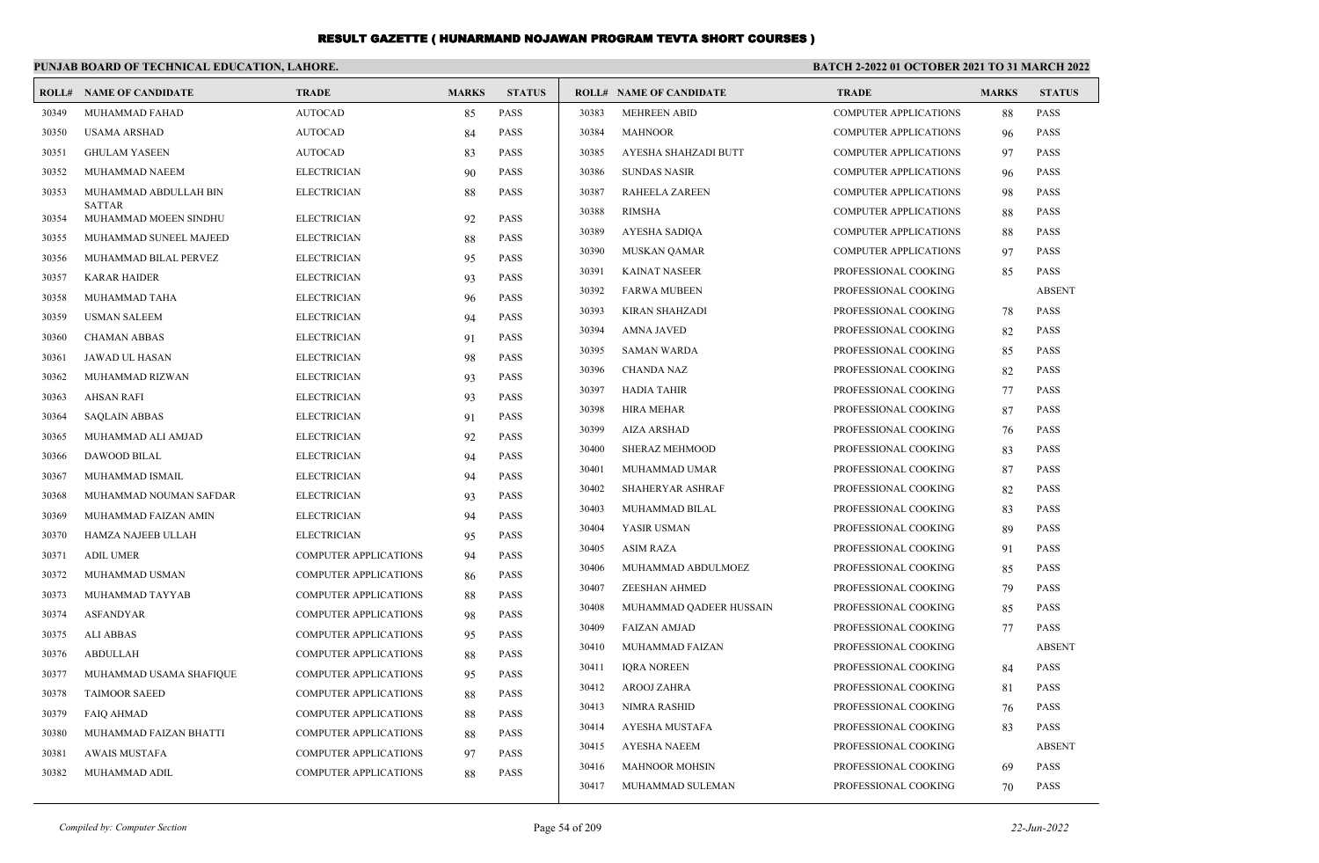|       | PUNJAB BOARD OF TECHNICAL EDUCATION, LAHORE. |                              |              |               | BATCH 2-2022 01 OCTOBER 2021 TO 31 MARCH 2022 |                                |                              |              |               |
|-------|----------------------------------------------|------------------------------|--------------|---------------|-----------------------------------------------|--------------------------------|------------------------------|--------------|---------------|
|       | <b>ROLL# NAME OF CANDIDATE</b>               | <b>TRADE</b>                 | <b>MARKS</b> | <b>STATUS</b> |                                               | <b>ROLL# NAME OF CANDIDATE</b> | <b>TRADE</b>                 | <b>MARKS</b> | <b>STATUS</b> |
| 30349 | MUHAMMAD FAHAD                               | <b>AUTOCAD</b>               | 85           | <b>PASS</b>   | 30383                                         | <b>MEHREEN ABID</b>            | <b>COMPUTER APPLICATIONS</b> | 88           | <b>PASS</b>   |
| 30350 | <b>USAMA ARSHAD</b>                          | <b>AUTOCAD</b>               | -84          | PASS          | 30384                                         | <b>MAHNOOR</b>                 | <b>COMPUTER APPLICATIONS</b> | 96           | PASS          |
| 30351 | <b>GHULAM YASEEN</b>                         | <b>AUTOCAD</b>               | 83           | <b>PASS</b>   | 30385                                         | AYESHA SHAHZADI BUTT           | <b>COMPUTER APPLICATIONS</b> | 97           | <b>PASS</b>   |
| 30352 | MUHAMMAD NAEEM                               | <b>ELECTRICIAN</b>           | 90           | <b>PASS</b>   | 30386                                         | <b>SUNDAS NASIR</b>            | <b>COMPUTER APPLICATIONS</b> | 96           | <b>PASS</b>   |
| 30353 | MUHAMMAD ABDULLAH BIN                        | <b>ELECTRICIAN</b>           | 88           | <b>PASS</b>   | 30387                                         | <b>RAHEELA ZAREEN</b>          | <b>COMPUTER APPLICATIONS</b> | 98           | <b>PASS</b>   |
| 30354 | <b>SATTAR</b><br>MUHAMMAD MOEEN SINDHU       | <b>ELECTRICIAN</b>           | 92           | <b>PASS</b>   | 30388                                         | <b>RIMSHA</b>                  | COMPUTER APPLICATIONS        | 88           | <b>PASS</b>   |
| 30355 | MUHAMMAD SUNEEL MAJEED                       | <b>ELECTRICIAN</b>           | 88           | <b>PASS</b>   | 30389                                         | AYESHA SADIQA                  | COMPUTER APPLICATIONS        | 88           | <b>PASS</b>   |
| 30356 | MUHAMMAD BILAL PERVEZ                        | <b>ELECTRICIAN</b>           | 95           | <b>PASS</b>   | 30390                                         | MUSKAN QAMAR                   | COMPUTER APPLICATIONS        | 97           | <b>PASS</b>   |
| 30357 | <b>KARAR HAIDER</b>                          | <b>ELECTRICIAN</b>           | 93           | <b>PASS</b>   | 30391                                         | <b>KAINAT NASEER</b>           | PROFESSIONAL COOKING         | 85           | <b>PASS</b>   |
| 30358 | MUHAMMAD TAHA                                | <b>ELECTRICIAN</b>           | 96           | <b>PASS</b>   | 30392                                         | <b>FARWA MUBEEN</b>            | PROFESSIONAL COOKING         |              | <b>ABSENT</b> |
| 30359 | <b>USMAN SALEEM</b>                          | <b>ELECTRICIAN</b>           | 94           | <b>PASS</b>   | 30393                                         | <b>KIRAN SHAHZADI</b>          | PROFESSIONAL COOKING         | 78           | <b>PASS</b>   |
| 30360 | <b>CHAMAN ABBAS</b>                          | <b>ELECTRICIAN</b>           | 91           | <b>PASS</b>   | 30394                                         | <b>AMNA JAVED</b>              | PROFESSIONAL COOKING         | 82           | PASS          |
| 30361 | JAWAD UL HASAN                               | <b>ELECTRICIAN</b>           | 98           | <b>PASS</b>   | 30395                                         | <b>SAMAN WARDA</b>             | PROFESSIONAL COOKING         | 85           | <b>PASS</b>   |
| 30362 | MUHAMMAD RIZWAN                              | <b>ELECTRICIAN</b>           | 93           | <b>PASS</b>   | 30396                                         | <b>CHANDA NAZ</b>              | PROFESSIONAL COOKING         | 82           | <b>PASS</b>   |
| 30363 | <b>AHSAN RAFI</b>                            | <b>ELECTRICIAN</b>           | 93           | PASS          | 30397                                         | <b>HADIA TAHIR</b>             | PROFESSIONAL COOKING         | 77           | <b>PASS</b>   |
| 30364 | <b>SAQLAIN ABBAS</b>                         | <b>ELECTRICIAN</b>           | 91           | <b>PASS</b>   | 30398                                         | <b>HIRA MEHAR</b>              | PROFESSIONAL COOKING         | 87           | <b>PASS</b>   |
| 30365 | MUHAMMAD ALI AMJAD                           | <b>ELECTRICIAN</b>           | 92           | <b>PASS</b>   | 30399                                         | <b>AIZA ARSHAD</b>             | PROFESSIONAL COOKING         | 76           | PASS          |
| 30366 | DAWOOD BILAL                                 | <b>ELECTRICIAN</b>           | 94           | PASS          | 30400                                         | <b>SHERAZ MEHMOOD</b>          | PROFESSIONAL COOKING         | 83           | <b>PASS</b>   |
| 30367 | MUHAMMAD ISMAIL                              | <b>ELECTRICIAN</b>           | 94           | PASS          | 30401                                         | MUHAMMAD UMAR                  | PROFESSIONAL COOKING         | 87           | <b>PASS</b>   |
| 30368 | MUHAMMAD NOUMAN SAFDAR                       | <b>ELECTRICIAN</b>           | 93           | <b>PASS</b>   | 30402                                         | SHAHERYAR ASHRAF               | PROFESSIONAL COOKING         | 82           | <b>PASS</b>   |
| 30369 | MUHAMMAD FAIZAN AMIN                         | <b>ELECTRICIAN</b>           | 94           | <b>PASS</b>   | 30403                                         | MUHAMMAD BILAL                 | PROFESSIONAL COOKING         | 83           | <b>PASS</b>   |
| 30370 | HAMZA NAJEEB ULLAH                           | <b>ELECTRICIAN</b>           | 95           | <b>PASS</b>   | 30404                                         | YASIR USMAN                    | PROFESSIONAL COOKING         | 89           | <b>PASS</b>   |
| 30371 | <b>ADIL UMER</b>                             | COMPUTER APPLICATIONS        | 94           | PASS          | 30405                                         | <b>ASIM RAZA</b>               | PROFESSIONAL COOKING         | 91           | <b>PASS</b>   |
| 30372 | MUHAMMAD USMAN                               | <b>COMPUTER APPLICATIONS</b> | 86           | PASS          | 30406                                         | MUHAMMAD ABDULMOEZ             | PROFESSIONAL COOKING         | 85           | <b>PASS</b>   |
| 30373 | MUHAMMAD TAYYAB                              | <b>COMPUTER APPLICATIONS</b> | 88           | <b>PASS</b>   | 30407                                         | <b>ZEESHAN AHMED</b>           | PROFESSIONAL COOKING         | 79           | <b>PASS</b>   |
| 30374 | <b>ASFANDYAR</b>                             | <b>COMPUTER APPLICATIONS</b> | 98           | <b>PASS</b>   | 30408                                         | MUHAMMAD QADEER HUSSAIN        | PROFESSIONAL COOKING         | 85           | <b>PASS</b>   |
| 30375 | <b>ALI ABBAS</b>                             | <b>COMPUTER APPLICATIONS</b> | 95           | <b>PASS</b>   | 30409                                         | <b>FAIZAN AMJAD</b>            | PROFESSIONAL COOKING         | 77           | <b>PASS</b>   |
| 30376 | <b>ABDULLAH</b>                              | <b>COMPUTER APPLICATIONS</b> | 88           | <b>PASS</b>   | 30410                                         | MUHAMMAD FAIZAN                | PROFESSIONAL COOKING         |              | <b>ABSENT</b> |
| 30377 | MUHAMMAD USAMA SHAFIQUE                      | COMPUTER APPLICATIONS        | 95           | PASS          | 30411                                         | <b>IQRA NOREEN</b>             | PROFESSIONAL COOKING         | 84           | <b>PASS</b>   |
| 30378 | <b>TAIMOOR SAEED</b>                         | COMPUTER APPLICATIONS        | 88           | PASS          | 30412                                         | AROOJ ZAHRA                    | PROFESSIONAL COOKING         | -81          | <b>PASS</b>   |
| 30379 | <b>FAIO AHMAD</b>                            | <b>COMPUTER APPLICATIONS</b> | 88           | <b>PASS</b>   | 30413                                         | <b>NIMRA RASHID</b>            | PROFESSIONAL COOKING         | 76           | <b>PASS</b>   |
| 30380 | MUHAMMAD FAIZAN BHATTI                       | <b>COMPUTER APPLICATIONS</b> | 88           | <b>PASS</b>   | 30414                                         | AYESHA MUSTAFA                 | PROFESSIONAL COOKING         | 83           | <b>PASS</b>   |
| 30381 | <b>AWAIS MUSTAFA</b>                         | COMPUTER APPLICATIONS        | 97           | PASS          | 30415                                         | AYESHA NAEEM                   | PROFESSIONAL COOKING         |              | <b>ABSENT</b> |
| 30382 | MUHAMMAD ADIL                                | COMPUTER APPLICATIONS        | 88           | <b>PASS</b>   | 30416                                         | <b>MAHNOOR MOHSIN</b>          | PROFESSIONAL COOKING         | 69           | <b>PASS</b>   |
|       |                                              |                              |              |               | 30417                                         | MUHAMMAD SULEMAN               | PROFESSIONAL COOKING         | 70           | <b>PASS</b>   |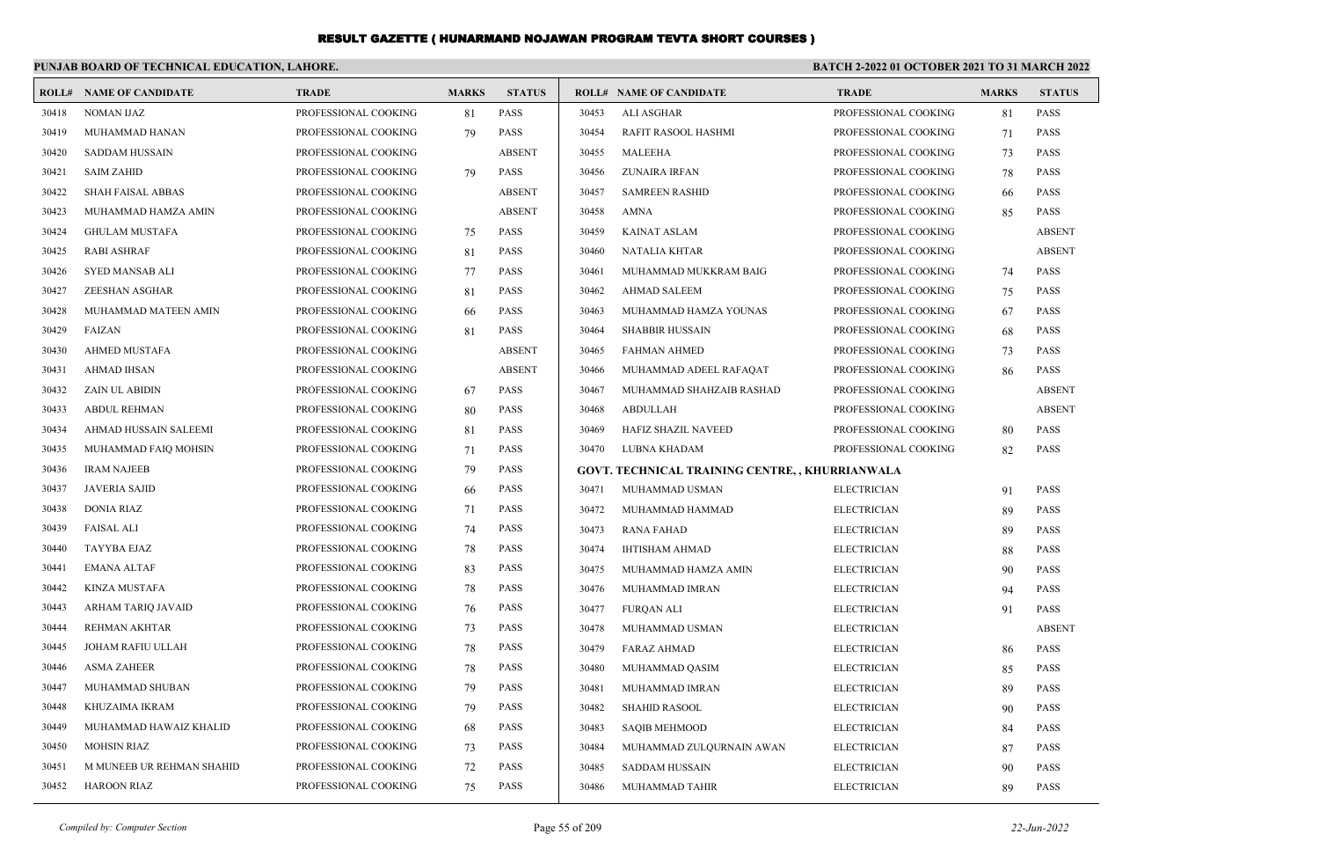|       | PUNJAB BOARD OF TECHNICAL EDUCATION, LAHORE. |                      |              |               | BATCH 2-2022 01 OCTOBER 2021 TO 31 MARCH 2022 |                                                 |                      |              |               |
|-------|----------------------------------------------|----------------------|--------------|---------------|-----------------------------------------------|-------------------------------------------------|----------------------|--------------|---------------|
|       | <b>ROLL# NAME OF CANDIDATE</b>               | <b>TRADE</b>         | <b>MARKS</b> | <b>STATUS</b> |                                               | <b>ROLL# NAME OF CANDIDATE</b>                  | <b>TRADE</b>         | <b>MARKS</b> | <b>STATUS</b> |
| 30418 | <b>NOMAN IJAZ</b>                            | PROFESSIONAL COOKING | 81           | PASS          | 30453                                         | <b>ALI ASGHAR</b>                               | PROFESSIONAL COOKING | 81           | <b>PASS</b>   |
| 30419 | MUHAMMAD HANAN                               | PROFESSIONAL COOKING | 79           | <b>PASS</b>   | 30454                                         | RAFIT RASOOL HASHMI                             | PROFESSIONAL COOKING | 71           | <b>PASS</b>   |
| 30420 | <b>SADDAM HUSSAIN</b>                        | PROFESSIONAL COOKING |              | <b>ABSENT</b> | 30455                                         | MALEEHA                                         | PROFESSIONAL COOKING | 73           | <b>PASS</b>   |
| 30421 | <b>SAIM ZAHID</b>                            | PROFESSIONAL COOKING | 79           | <b>PASS</b>   | 30456                                         | <b>ZUNAIRA IRFAN</b>                            | PROFESSIONAL COOKING | 78           | <b>PASS</b>   |
| 30422 | SHAH FAISAL ABBAS                            | PROFESSIONAL COOKING |              | <b>ABSENT</b> | 30457                                         | <b>SAMREEN RASHID</b>                           | PROFESSIONAL COOKING | 66           | <b>PASS</b>   |
| 30423 | MUHAMMAD HAMZA AMIN                          | PROFESSIONAL COOKING |              | <b>ABSENT</b> | 30458                                         | <b>AMNA</b>                                     | PROFESSIONAL COOKING | 85           | <b>PASS</b>   |
| 30424 | <b>GHULAM MUSTAFA</b>                        | PROFESSIONAL COOKING | 75           | <b>PASS</b>   | 30459                                         | <b>KAINAT ASLAM</b>                             | PROFESSIONAL COOKING |              | <b>ABSENT</b> |
| 30425 | <b>RABI ASHRAF</b>                           | PROFESSIONAL COOKING | 81           | <b>PASS</b>   | 30460                                         | <b>NATALIA KHTAR</b>                            | PROFESSIONAL COOKING |              | <b>ABSENT</b> |
| 30426 | <b>SYED MANSAB ALI</b>                       | PROFESSIONAL COOKING | 77           | <b>PASS</b>   | 30461                                         | MUHAMMAD MUKKRAM BAIG                           | PROFESSIONAL COOKING | 74           | <b>PASS</b>   |
| 30427 | ZEESHAN ASGHAR                               | PROFESSIONAL COOKING | 81           | <b>PASS</b>   | 30462                                         | <b>AHMAD SALEEM</b>                             | PROFESSIONAL COOKING | 75           | <b>PASS</b>   |
| 30428 | MUHAMMAD MATEEN AMIN                         | PROFESSIONAL COOKING | 66           | <b>PASS</b>   | 30463                                         | MUHAMMAD HAMZA YOUNAS                           | PROFESSIONAL COOKING | 67           | <b>PASS</b>   |
| 30429 | FAIZAN                                       | PROFESSIONAL COOKING | 81           | PASS          | 30464                                         | <b>SHABBIR HUSSAIN</b>                          | PROFESSIONAL COOKING | 68           | <b>PASS</b>   |
| 30430 | <b>AHMED MUSTAFA</b>                         | PROFESSIONAL COOKING |              | <b>ABSENT</b> | 30465                                         | <b>FAHMAN AHMED</b>                             | PROFESSIONAL COOKING | 73           | <b>PASS</b>   |
| 30431 | <b>AHMAD IHSAN</b>                           | PROFESSIONAL COOKING |              | <b>ABSENT</b> | 30466                                         | MUHAMMAD ADEEL RAFAQAT                          | PROFESSIONAL COOKING | 86           | <b>PASS</b>   |
| 30432 | ZAIN UL ABIDIN                               | PROFESSIONAL COOKING | 67           | <b>PASS</b>   | 30467                                         | MUHAMMAD SHAHZAIB RASHAD                        | PROFESSIONAL COOKING |              | <b>ABSENT</b> |
| 30433 | <b>ABDUL REHMAN</b>                          | PROFESSIONAL COOKING | 80           | <b>PASS</b>   | 30468                                         | <b>ABDULLAH</b>                                 | PROFESSIONAL COOKING |              | <b>ABSENT</b> |
| 30434 | AHMAD HUSSAIN SALEEMI                        | PROFESSIONAL COOKING | 81           | <b>PASS</b>   | 30469                                         | HAFIZ SHAZIL NAVEED                             | PROFESSIONAL COOKING | 80           | <b>PASS</b>   |
| 30435 | MUHAMMAD FAIQ MOHSIN                         | PROFESSIONAL COOKING | 71           | PASS          | 30470                                         | LUBNA KHADAM                                    | PROFESSIONAL COOKING | 82           | <b>PASS</b>   |
| 30436 | <b>IRAM NAJEEB</b>                           | PROFESSIONAL COOKING | 79           | PASS          |                                               | GOVT. TECHNICAL TRAINING CENTRE, , KHURRIANWALA |                      |              |               |
| 30437 | <b>JAVERIA SAJID</b>                         | PROFESSIONAL COOKING | 66           | <b>PASS</b>   | 30471                                         | MUHAMMAD USMAN                                  | <b>ELECTRICIAN</b>   | 91           | <b>PASS</b>   |
| 30438 | <b>DONIA RIAZ</b>                            | PROFESSIONAL COOKING | 71           | <b>PASS</b>   | 30472                                         | MUHAMMAD HAMMAD                                 | <b>ELECTRICIAN</b>   | 89           | <b>PASS</b>   |
| 30439 | <b>FAISAL ALI</b>                            | PROFESSIONAL COOKING | 74           | <b>PASS</b>   | 30473                                         | <b>RANA FAHAD</b>                               | <b>ELECTRICIAN</b>   | 89           | <b>PASS</b>   |
| 30440 | TAYYBA EJAZ                                  | PROFESSIONAL COOKING | 78           | <b>PASS</b>   | 30474                                         | <b>IHTISHAM AHMAD</b>                           | <b>ELECTRICIAN</b>   | 88           | <b>PASS</b>   |
| 30441 | <b>EMANA ALTAF</b>                           | PROFESSIONAL COOKING | 83           | <b>PASS</b>   | 30475                                         | MUHAMMAD HAMZA AMIN                             | <b>ELECTRICIAN</b>   | 90           | <b>PASS</b>   |
| 30442 | <b>KINZA MUSTAFA</b>                         | PROFESSIONAL COOKING | 78           | <b>PASS</b>   | 30476                                         | MUHAMMAD IMRAN                                  | <b>ELECTRICIAN</b>   | 94           | <b>PASS</b>   |
| 30443 | ARHAM TARIQ JAVAID                           | PROFESSIONAL COOKING | 76           | <b>PASS</b>   | 30477                                         | <b>FURQAN ALI</b>                               | <b>ELECTRICIAN</b>   | 91           | <b>PASS</b>   |
| 30444 | <b>REHMAN AKHTAR</b>                         | PROFESSIONAL COOKING | 73           | <b>PASS</b>   | 30478                                         | MUHAMMAD USMAN                                  | <b>ELECTRICIAN</b>   |              | <b>ABSENT</b> |
| 30445 | JOHAM RAFIU ULLAH                            | PROFESSIONAL COOKING | 78           | <b>PASS</b>   | 30479                                         | <b>FARAZ AHMAD</b>                              | <b>ELECTRICIAN</b>   | 86           | <b>PASS</b>   |
| 30446 | <b>ASMA ZAHEER</b>                           | PROFESSIONAL COOKING | 78           | <b>PASS</b>   | 30480                                         | MUHAMMAD QASIM                                  | <b>ELECTRICIAN</b>   | 85           | <b>PASS</b>   |
| 30447 | MUHAMMAD SHUBAN                              | PROFESSIONAL COOKING | 79           | <b>PASS</b>   | 30481                                         | MUHAMMAD IMRAN                                  | <b>ELECTRICIAN</b>   | 89           | <b>PASS</b>   |
| 30448 | KHUZAIMA IKRAM                               | PROFESSIONAL COOKING | 79           | <b>PASS</b>   | 30482                                         | <b>SHAHID RASOOL</b>                            | <b>ELECTRICIAN</b>   | 90           | <b>PASS</b>   |
| 30449 | MUHAMMAD HAWAIZ KHALID                       | PROFESSIONAL COOKING | 68           | <b>PASS</b>   | 30483                                         | <b>SAQIB MEHMOOD</b>                            | <b>ELECTRICIAN</b>   | 84           | <b>PASS</b>   |
| 30450 | <b>MOHSIN RIAZ</b>                           | PROFESSIONAL COOKING | 73           | <b>PASS</b>   | 30484                                         | MUHAMMAD ZULQURNAIN AWAN                        | <b>ELECTRICIAN</b>   | 87           | <b>PASS</b>   |
| 30451 | M MUNEEB UR REHMAN SHAHID                    | PROFESSIONAL COOKING | 72           | PASS          | 30485                                         | <b>SADDAM HUSSAIN</b>                           | <b>ELECTRICIAN</b>   | 90           | <b>PASS</b>   |
| 30452 | <b>HAROON RIAZ</b>                           | PROFESSIONAL COOKING | 75           | <b>PASS</b>   | 30486                                         | MUHAMMAD TAHIR                                  | <b>ELECTRICIAN</b>   | 89           | PASS          |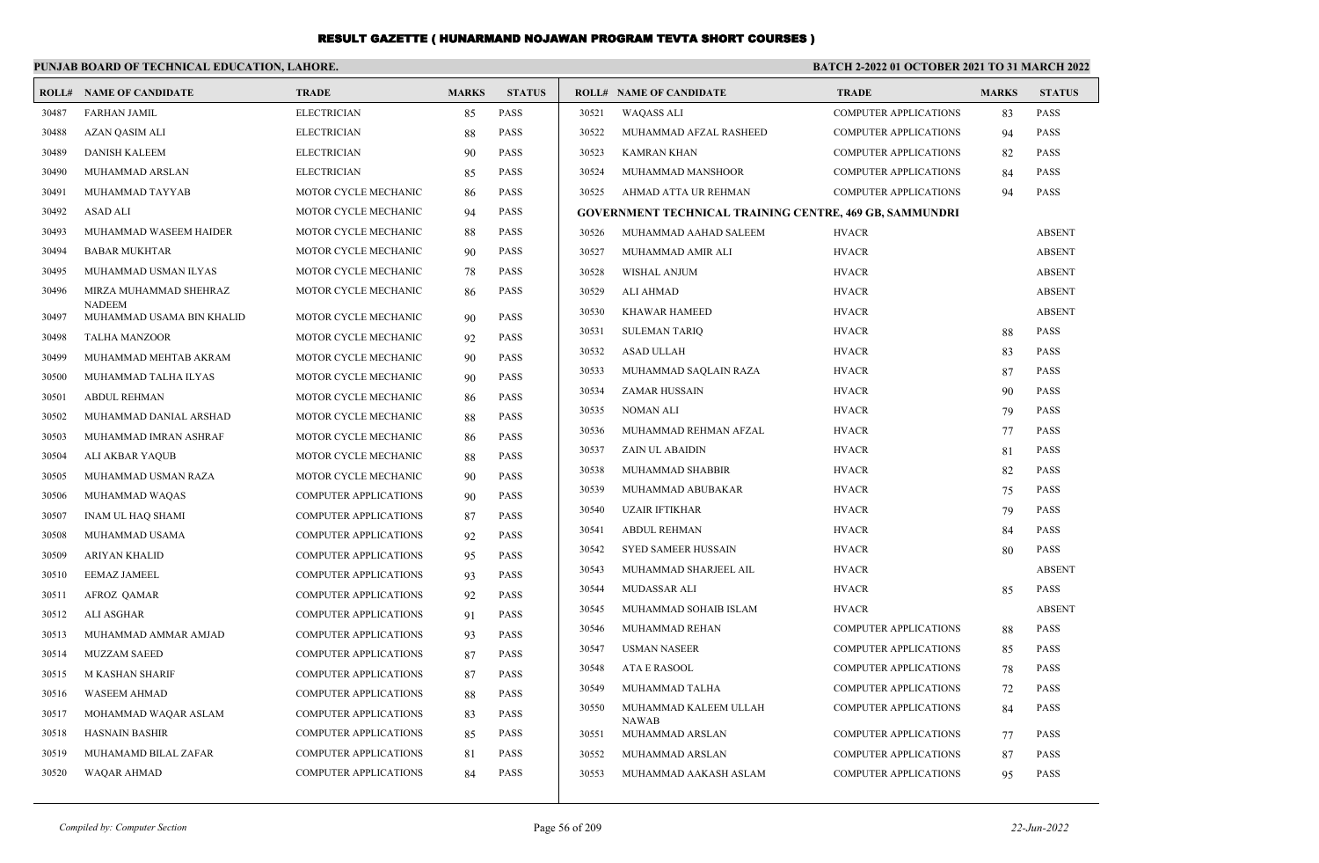|       | PUNJAB BOARD OF TECHNICAL EDUCATION, LAHORE. |                              |              |               |       | <b>BATCH 2-2022 01 OCTOBER 2021 TO 31 MARCH 2022</b>           |                              |              |               |
|-------|----------------------------------------------|------------------------------|--------------|---------------|-------|----------------------------------------------------------------|------------------------------|--------------|---------------|
|       | <b>ROLL# NAME OF CANDIDATE</b>               | <b>TRADE</b>                 | <b>MARKS</b> | <b>STATUS</b> |       | <b>ROLL# NAME OF CANDIDATE</b>                                 | <b>TRADE</b>                 | <b>MARKS</b> | <b>STATUS</b> |
| 30487 | <b>FARHAN JAMIL</b>                          | <b>ELECTRICIAN</b>           | 85           | <b>PASS</b>   | 30521 | <b>WAQASS ALI</b>                                              | <b>COMPUTER APPLICATIONS</b> | 83           | <b>PASS</b>   |
| 30488 | AZAN QASIM ALI                               | <b>ELECTRICIAN</b>           | 88           | <b>PASS</b>   | 30522 | MUHAMMAD AFZAL RASHEED                                         | <b>COMPUTER APPLICATIONS</b> | 94           | <b>PASS</b>   |
| 30489 | <b>DANISH KALEEM</b>                         | <b>ELECTRICIAN</b>           | 90           | <b>PASS</b>   | 30523 | <b>KAMRAN KHAN</b>                                             | <b>COMPUTER APPLICATIONS</b> | 82           | <b>PASS</b>   |
| 30490 | MUHAMMAD ARSLAN                              | <b>ELECTRICIAN</b>           | 85           | <b>PASS</b>   | 30524 | MUHAMMAD MANSHOOR                                              | <b>COMPUTER APPLICATIONS</b> | 84           | <b>PASS</b>   |
| 30491 | MUHAMMAD TAYYAB                              | MOTOR CYCLE MECHANIC         | 86           | <b>PASS</b>   | 30525 | AHMAD ATTA UR REHMAN                                           | <b>COMPUTER APPLICATIONS</b> | 94           | PASS          |
| 30492 | <b>ASAD ALI</b>                              | MOTOR CYCLE MECHANIC         | 94           | <b>PASS</b>   |       | <b>GOVERNMENT TECHNICAL TRAINING CENTRE, 469 GB, SAMMUNDRI</b> |                              |              |               |
| 30493 | MUHAMMAD WASEEM HAIDER                       | MOTOR CYCLE MECHANIC         | 88           | <b>PASS</b>   | 30526 | MUHAMMAD AAHAD SALEEM                                          | <b>HVACR</b>                 |              | <b>ABSENT</b> |
| 30494 | <b>BABAR MUKHTAR</b>                         | MOTOR CYCLE MECHANIC         | 90           | <b>PASS</b>   | 30527 | MUHAMMAD AMIR ALI                                              | <b>HVACR</b>                 |              | <b>ABSENT</b> |
| 30495 | MUHAMMAD USMAN ILYAS                         | MOTOR CYCLE MECHANIC         | 78           | <b>PASS</b>   | 30528 | WISHAL ANJUM                                                   | <b>HVACR</b>                 |              | <b>ABSENT</b> |
| 30496 | MIRZA MUHAMMAD SHEHRAZ                       | MOTOR CYCLE MECHANIC         | -86          | <b>PASS</b>   | 30529 | <b>ALI AHMAD</b>                                               | <b>HVACR</b>                 |              | <b>ABSENT</b> |
| 30497 | <b>NADEEM</b><br>MUHAMMAD USAMA BIN KHALID   | MOTOR CYCLE MECHANIC         | 90           | <b>PASS</b>   | 30530 | <b>KHAWAR HAMEED</b>                                           | <b>HVACR</b>                 |              | <b>ABSENT</b> |
| 30498 | <b>TALHA MANZOOR</b>                         | MOTOR CYCLE MECHANIC         | 92           | <b>PASS</b>   | 30531 | <b>SULEMAN TARIQ</b>                                           | <b>HVACR</b>                 | 88           | PASS          |
| 30499 | MUHAMMAD MEHTAB AKRAM                        | MOTOR CYCLE MECHANIC         | 90           | <b>PASS</b>   | 30532 | <b>ASAD ULLAH</b>                                              | <b>HVACR</b>                 | 83           | <b>PASS</b>   |
| 30500 | MUHAMMAD TALHA ILYAS                         | MOTOR CYCLE MECHANIC         | 90           | <b>PASS</b>   | 30533 | MUHAMMAD SAQLAIN RAZA                                          | <b>HVACR</b>                 | 87           | PASS          |
| 30501 | <b>ABDUL REHMAN</b>                          | MOTOR CYCLE MECHANIC         | 86           | <b>PASS</b>   | 30534 | <b>ZAMAR HUSSAIN</b>                                           | <b>HVACR</b>                 | 90           | PASS          |
| 30502 | MUHAMMAD DANIAL ARSHAD                       | MOTOR CYCLE MECHANIC         | 88           | <b>PASS</b>   | 30535 | NOMAN ALI                                                      | <b>HVACR</b>                 | 79           | <b>PASS</b>   |
| 30503 | MUHAMMAD IMRAN ASHRAF                        | MOTOR CYCLE MECHANIC         | 86           | <b>PASS</b>   | 30536 | MUHAMMAD REHMAN AFZAL                                          | <b>HVACR</b>                 | 77           | PASS          |
| 30504 | ALI AKBAR YAQUB                              | MOTOR CYCLE MECHANIC         | 88           | <b>PASS</b>   | 30537 | <b>ZAIN UL ABAIDIN</b>                                         | <b>HVACR</b>                 | 81           | <b>PASS</b>   |
| 30505 | MUHAMMAD USMAN RAZA                          | MOTOR CYCLE MECHANIC         | 90           | <b>PASS</b>   | 30538 | MUHAMMAD SHABBIR                                               | <b>HVACR</b>                 | 82           | <b>PASS</b>   |
| 30506 | MUHAMMAD WAQAS                               | <b>COMPUTER APPLICATIONS</b> | 90           | <b>PASS</b>   | 30539 | MUHAMMAD ABUBAKAR                                              | <b>HVACR</b>                 | 75           | PASS          |
| 30507 | <b>INAM UL HAQ SHAMI</b>                     | <b>COMPUTER APPLICATIONS</b> | 87           | <b>PASS</b>   | 30540 | <b>UZAIR IFTIKHAR</b>                                          | <b>HVACR</b>                 | 79           | PASS          |
| 30508 | MUHAMMAD USAMA                               | <b>COMPUTER APPLICATIONS</b> | 92           | <b>PASS</b>   | 30541 | <b>ABDUL REHMAN</b>                                            | <b>HVACR</b>                 | 84           | PASS          |
| 30509 | <b>ARIYAN KHALID</b>                         | <b>COMPUTER APPLICATIONS</b> | 95           | <b>PASS</b>   | 30542 | <b>SYED SAMEER HUSSAIN</b>                                     | <b>HVACR</b>                 | 80           | <b>PASS</b>   |
| 30510 | <b>EEMAZ JAMEEL</b>                          | COMPUTER APPLICATIONS        | 93           | <b>PASS</b>   | 30543 | MUHAMMAD SHARJEEL AIL                                          | <b>HVACR</b>                 |              | <b>ABSENT</b> |
| 30511 | AFROZ QAMAR                                  | COMPUTER APPLICATIONS        | 92           | PASS          | 30544 | <b>MUDASSAR ALI</b>                                            | <b>HVACR</b>                 | 85           | <b>PASS</b>   |
| 30512 | ALI ASGHAR                                   | COMPUTER APPLICATIONS        | 91           | PASS          | 30545 | MUHAMMAD SOHAIB ISLAM                                          | <b>HVACR</b>                 |              | <b>ABSENT</b> |
| 30513 | MUHAMMAD AMMAR AMJAD                         | <b>COMPUTER APPLICATIONS</b> | 93           | <b>PASS</b>   | 30546 | MUHAMMAD REHAN                                                 | <b>COMPUTER APPLICATIONS</b> | 88           | <b>PASS</b>   |
| 30514 | <b>MUZZAM SAEED</b>                          | <b>COMPUTER APPLICATIONS</b> | 87           | <b>PASS</b>   | 30547 | <b>USMAN NASEER</b>                                            | <b>COMPUTER APPLICATIONS</b> | 85           | PASS          |
| 30515 | <b>M KASHAN SHARIF</b>                       | <b>COMPUTER APPLICATIONS</b> | 87           | <b>PASS</b>   | 30548 | ATA E RASOOL                                                   | <b>COMPUTER APPLICATIONS</b> | 78           | PASS          |
| 30516 | <b>WASEEM AHMAD</b>                          | <b>COMPUTER APPLICATIONS</b> | 88           | <b>PASS</b>   | 30549 | MUHAMMAD TALHA                                                 | <b>COMPUTER APPLICATIONS</b> | 72           | PASS          |
| 30517 | MOHAMMAD WAQAR ASLAM                         | COMPUTER APPLICATIONS        | 83           | <b>PASS</b>   | 30550 | MUHAMMAD KALEEM ULLAH<br><b>NAWAB</b>                          | <b>COMPUTER APPLICATIONS</b> | 84           | <b>PASS</b>   |
| 30518 | <b>HASNAIN BASHIR</b>                        | COMPUTER APPLICATIONS        | 85           | <b>PASS</b>   | 30551 | MUHAMMAD ARSLAN                                                | <b>COMPUTER APPLICATIONS</b> | 77           | <b>PASS</b>   |
| 30519 | MUHAMAMD BILAL ZAFAR                         | COMPUTER APPLICATIONS        | 81           | <b>PASS</b>   | 30552 | MUHAMMAD ARSLAN                                                | <b>COMPUTER APPLICATIONS</b> | 87           | <b>PASS</b>   |
| 30520 | WAQAR AHMAD                                  | <b>COMPUTER APPLICATIONS</b> | 84           | <b>PASS</b>   | 30553 | MUHAMMAD AAKASH ASLAM                                          | <b>COMPUTER APPLICATIONS</b> | 95           | <b>PASS</b>   |
|       |                                              |                              |              |               |       |                                                                |                              |              |               |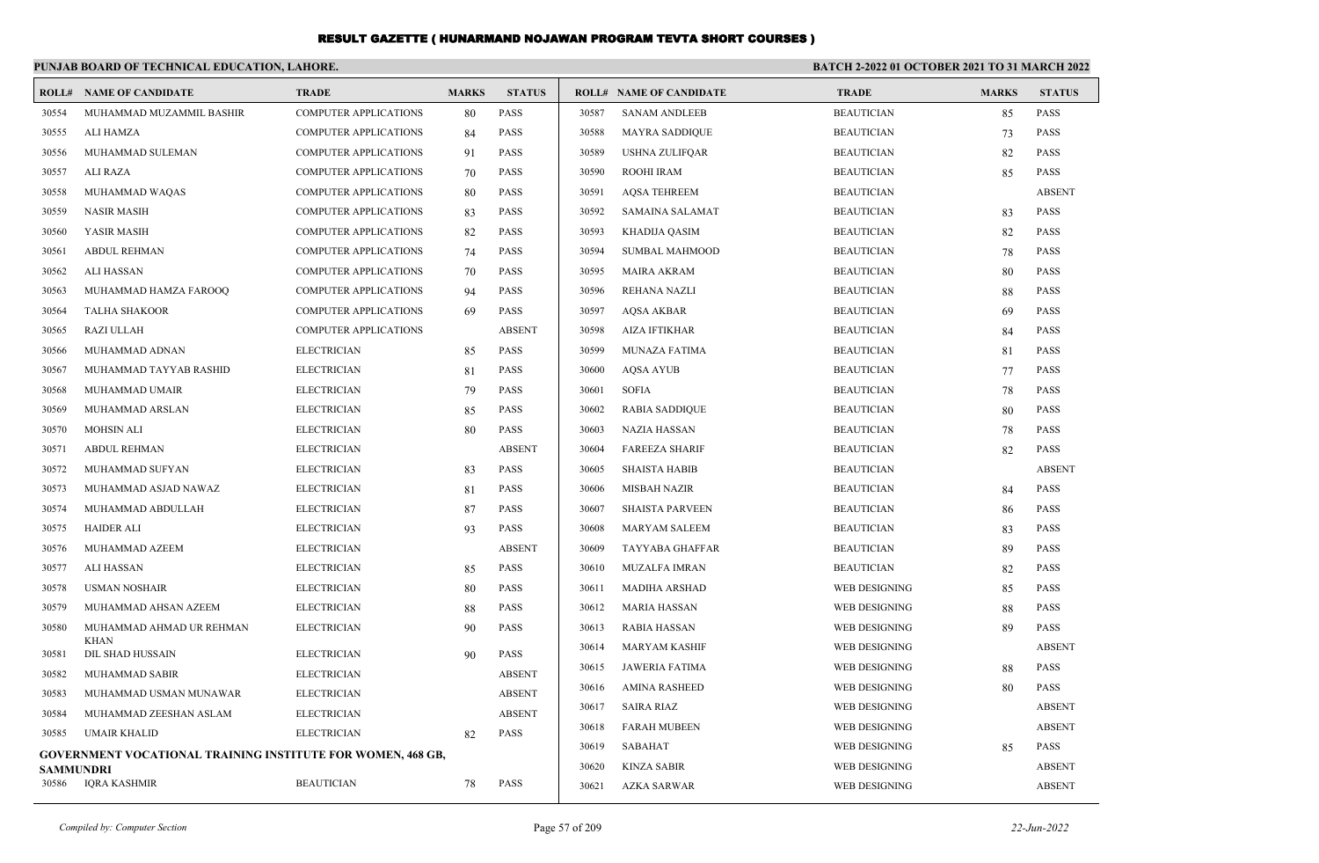|                  | PUNJAB BOARD OF TECHNICAL EDUCATION, LAHORE.                       |                              |              |               | BATCH 2-2022 01 OCTOBER 2021 TO 31 MARCH 2022 |                                |                   |              |               |
|------------------|--------------------------------------------------------------------|------------------------------|--------------|---------------|-----------------------------------------------|--------------------------------|-------------------|--------------|---------------|
|                  | <b>ROLL# NAME OF CANDIDATE</b>                                     | <b>TRADE</b>                 | <b>MARKS</b> | <b>STATUS</b> |                                               | <b>ROLL# NAME OF CANDIDATE</b> | <b>TRADE</b>      | <b>MARKS</b> | <b>STATUS</b> |
| 30554            | MUHAMMAD MUZAMMIL BASHIR                                           | <b>COMPUTER APPLICATIONS</b> | 80           | <b>PASS</b>   | 30587                                         | <b>SANAM ANDLEEB</b>           | <b>BEAUTICIAN</b> | 85           | <b>PASS</b>   |
| 30555            | ALI HAMZA                                                          | <b>COMPUTER APPLICATIONS</b> | 84           | <b>PASS</b>   | 30588                                         | <b>MAYRA SADDIQUE</b>          | <b>BEAUTICIAN</b> | 73           | <b>PASS</b>   |
| 30556            | MUHAMMAD SULEMAN                                                   | <b>COMPUTER APPLICATIONS</b> | 91           | <b>PASS</b>   | 30589                                         | <b>USHNA ZULIFQAR</b>          | <b>BEAUTICIAN</b> | 82           | <b>PASS</b>   |
| 30557            | ALI RAZA                                                           | <b>COMPUTER APPLICATIONS</b> | 70           | <b>PASS</b>   | 30590                                         | ROOHI IRAM                     | <b>BEAUTICIAN</b> | 85           | <b>PASS</b>   |
| 30558            | MUHAMMAD WAQAS                                                     | <b>COMPUTER APPLICATIONS</b> | 80           | <b>PASS</b>   | 30591                                         | <b>AOSA TEHREEM</b>            | <b>BEAUTICIAN</b> |              | <b>ABSENT</b> |
| 30559            | <b>NASIR MASIH</b>                                                 | <b>COMPUTER APPLICATIONS</b> | 83           | <b>PASS</b>   | 30592                                         | <b>SAMAINA SALAMAT</b>         | <b>BEAUTICIAN</b> | 83           | <b>PASS</b>   |
| 30560            | YASIR MASIH                                                        | <b>COMPUTER APPLICATIONS</b> | 82           | <b>PASS</b>   | 30593                                         | <b>KHADIJA QASIM</b>           | <b>BEAUTICIAN</b> | 82           | <b>PASS</b>   |
| 30561            | <b>ABDUL REHMAN</b>                                                | <b>COMPUTER APPLICATIONS</b> | 74           | <b>PASS</b>   | 30594                                         | <b>SUMBAL MAHMOOD</b>          | <b>BEAUTICIAN</b> | 78           | <b>PASS</b>   |
| 30562            | <b>ALI HASSAN</b>                                                  | <b>COMPUTER APPLICATIONS</b> | 70           | <b>PASS</b>   | 30595                                         | <b>MAIRA AKRAM</b>             | <b>BEAUTICIAN</b> | 80           | <b>PASS</b>   |
| 30563            | MUHAMMAD HAMZA FAROOQ                                              | COMPUTER APPLICATIONS        | 94           | <b>PASS</b>   | 30596                                         | REHANA NAZLI                   | <b>BEAUTICIAN</b> | 88           | <b>PASS</b>   |
| 30564            | <b>TALHA SHAKOOR</b>                                               | <b>COMPUTER APPLICATIONS</b> | -69          | <b>PASS</b>   | 30597                                         | <b>AQSA AKBAR</b>              | <b>BEAUTICIAN</b> | 69           | <b>PASS</b>   |
| 30565            | <b>RAZI ULLAH</b>                                                  | <b>COMPUTER APPLICATIONS</b> |              | <b>ABSENT</b> | 30598                                         | <b>AIZA IFTIKHAR</b>           | <b>BEAUTICIAN</b> | 84           | <b>PASS</b>   |
| 30566            | MUHAMMAD ADNAN                                                     | <b>ELECTRICIAN</b>           | 85           | <b>PASS</b>   | 30599                                         | MUNAZA FATIMA                  | <b>BEAUTICIAN</b> | 81           | <b>PASS</b>   |
| 30567            | MUHAMMAD TAYYAB RASHID                                             | <b>ELECTRICIAN</b>           | 81           | <b>PASS</b>   | 30600                                         | <b>AQSA AYUB</b>               | <b>BEAUTICIAN</b> | 77           | <b>PASS</b>   |
| 30568            | MUHAMMAD UMAIR                                                     | <b>ELECTRICIAN</b>           | 79           | <b>PASS</b>   | 30601                                         | <b>SOFIA</b>                   | <b>BEAUTICIAN</b> | 78           | <b>PASS</b>   |
| 30569            | MUHAMMAD ARSLAN                                                    | <b>ELECTRICIAN</b>           | 85           | <b>PASS</b>   | 30602                                         | <b>RABIA SADDIQUE</b>          | <b>BEAUTICIAN</b> | 80           | <b>PASS</b>   |
| 30570            | <b>MOHSIN ALI</b>                                                  | <b>ELECTRICIAN</b>           | 80           | <b>PASS</b>   | 30603                                         | NAZIA HASSAN                   | <b>BEAUTICIAN</b> | 78           | <b>PASS</b>   |
| 30571            | <b>ABDUL REHMAN</b>                                                | <b>ELECTRICIAN</b>           |              | <b>ABSENT</b> | 30604                                         | <b>FAREEZA SHARIF</b>          | <b>BEAUTICIAN</b> | 82           | <b>PASS</b>   |
| 30572            | MUHAMMAD SUFYAN                                                    | <b>ELECTRICIAN</b>           | 83           | <b>PASS</b>   | 30605                                         | <b>SHAISTA HABIB</b>           | <b>BEAUTICIAN</b> |              | <b>ABSENT</b> |
| 30573            | MUHAMMAD ASJAD NAWAZ                                               | <b>ELECTRICIAN</b>           | 81           | <b>PASS</b>   | 30606                                         | MISBAH NAZIR                   | <b>BEAUTICIAN</b> | 84           | <b>PASS</b>   |
| 30574            | MUHAMMAD ABDULLAH                                                  | <b>ELECTRICIAN</b>           | 87           | <b>PASS</b>   | 30607                                         | <b>SHAISTA PARVEEN</b>         | <b>BEAUTICIAN</b> | 86           | <b>PASS</b>   |
| 30575            | <b>HAIDER ALI</b>                                                  | <b>ELECTRICIAN</b>           | 93           | <b>PASS</b>   | 30608                                         | <b>MARYAM SALEEM</b>           | <b>BEAUTICIAN</b> | 83           | <b>PASS</b>   |
| 30576            | MUHAMMAD AZEEM                                                     | <b>ELECTRICIAN</b>           |              | <b>ABSENT</b> | 30609                                         | <b>TAYYABA GHAFFAR</b>         | <b>BEAUTICIAN</b> | 89           | <b>PASS</b>   |
| 30577            | ALI HASSAN                                                         | <b>ELECTRICIAN</b>           | 85           | <b>PASS</b>   | 30610                                         | <b>MUZALFA IMRAN</b>           | <b>BEAUTICIAN</b> | 82           | <b>PASS</b>   |
| 30578            | <b>USMAN NOSHAIR</b>                                               | <b>ELECTRICIAN</b>           | 80           | <b>PASS</b>   | 30611                                         | <b>MADIHA ARSHAD</b>           | WEB DESIGNING     | 85           | <b>PASS</b>   |
| 30579            | MUHAMMAD AHSAN AZEEM                                               | <b>ELECTRICIAN</b>           | 88           | <b>PASS</b>   | 30612                                         | <b>MARIA HASSAN</b>            | WEB DESIGNING     | 88           | <b>PASS</b>   |
| 30580            | MUHAMMAD AHMAD UR REHMAN                                           | <b>ELECTRICIAN</b>           | 90           | <b>PASS</b>   | 30613                                         | <b>RABIA HASSAN</b>            | WEB DESIGNING     | 89           | <b>PASS</b>   |
| 30581            | <b>KHAN</b><br>DIL SHAD HUSSAIN                                    | <b>ELECTRICIAN</b>           | 90           | <b>PASS</b>   | 30614                                         | <b>MARYAM KASHIF</b>           | WEB DESIGNING     |              | <b>ABSENT</b> |
| 30582            | <b>MUHAMMAD SABIR</b>                                              | <b>ELECTRICIAN</b>           |              | <b>ABSENT</b> | 30615                                         | <b>JAWERIA FATIMA</b>          | WEB DESIGNING     | 88           | <b>PASS</b>   |
| 30583            | MUHAMMAD USMAN MUNAWAR                                             | <b>ELECTRICIAN</b>           |              | <b>ABSENT</b> | 30616                                         | <b>AMINA RASHEED</b>           | WEB DESIGNING     | 80           | <b>PASS</b>   |
| 30584            | MUHAMMAD ZEESHAN ASLAM                                             | <b>ELECTRICIAN</b>           |              | <b>ABSENT</b> | 30617                                         | <b>SAIRA RIAZ</b>              | WEB DESIGNING     |              | <b>ABSENT</b> |
| 30585            | <b>UMAIR KHALID</b>                                                | <b>ELECTRICIAN</b>           | 82           | <b>PASS</b>   | 30618                                         | <b>FARAH MUBEEN</b>            | WEB DESIGNING     |              | <b>ABSENT</b> |
|                  | <b>GOVERNMENT VOCATIONAL TRAINING INSTITUTE FOR WOMEN, 468 GB,</b> |                              |              |               | 30619                                         | <b>SABAHAT</b>                 | WEB DESIGNING     | 85           | <b>PASS</b>   |
| <b>SAMMUNDRI</b> |                                                                    |                              |              |               | 30620                                         | <b>KINZA SABIR</b>             | WEB DESIGNING     |              | <b>ABSENT</b> |
| 30586            | IQRA KASHMIR                                                       | <b>BEAUTICIAN</b>            | 78           | <b>PASS</b>   | 30621                                         | <b>AZKA SARWAR</b>             | WEB DESIGNING     |              | <b>ABSENT</b> |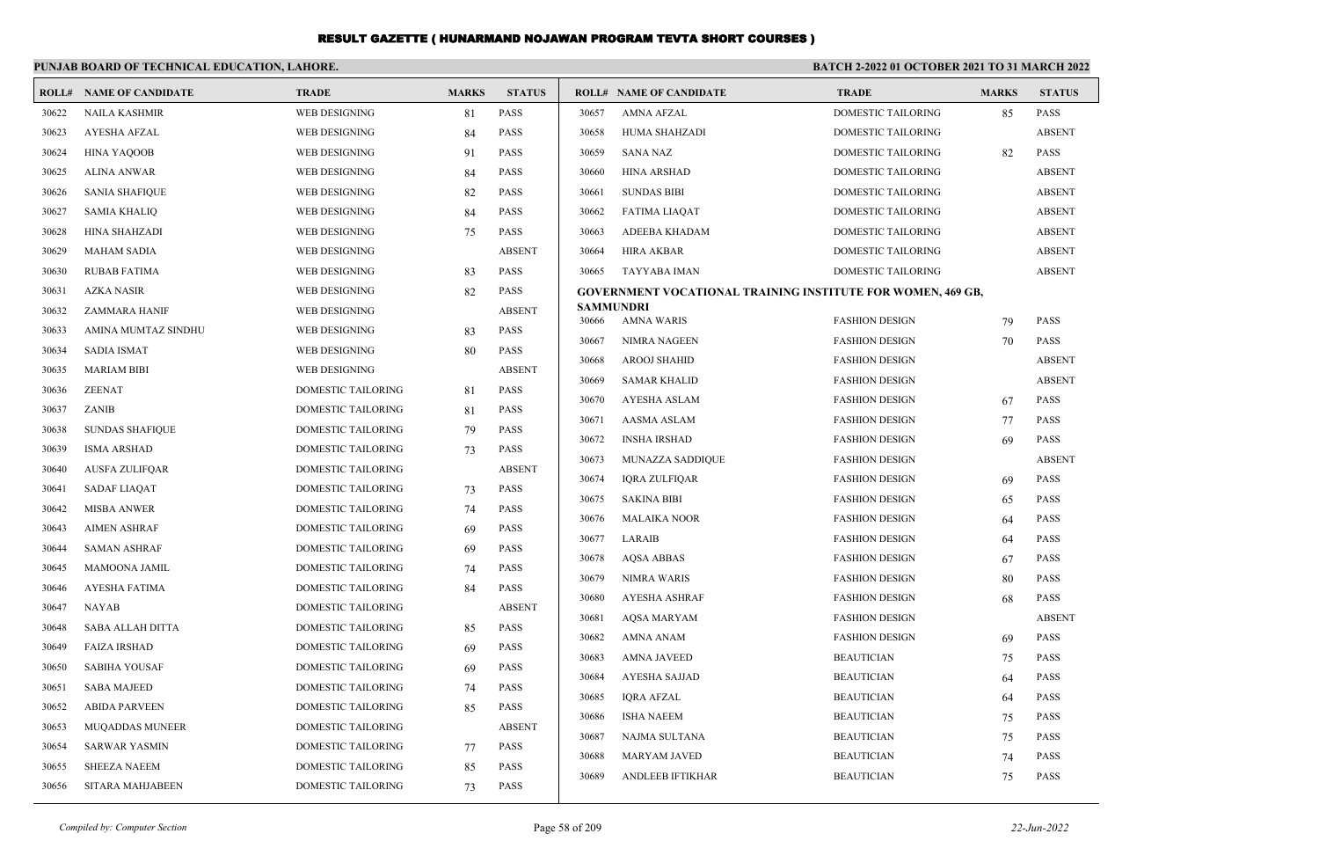|       | PUNJAB BOARD OF TECHNICAL EDUCATION, LAHORE. |                           |              |               | <b>BATCH 2-2022 01 OCTOBER 2021 TO 31 MARCH 2022</b> |                                                                    |                                                |              |               |
|-------|----------------------------------------------|---------------------------|--------------|---------------|------------------------------------------------------|--------------------------------------------------------------------|------------------------------------------------|--------------|---------------|
|       | <b>ROLL# NAME OF CANDIDATE</b>               | <b>TRADE</b>              | <b>MARKS</b> | <b>STATUS</b> |                                                      | <b>ROLL# NAME OF CANDIDATE</b>                                     | <b>TRADE</b>                                   | <b>MARKS</b> | <b>STATUS</b> |
| 30622 | <b>NAILA KASHMIR</b>                         | WEB DESIGNING             | 81           | <b>PASS</b>   | 30657                                                | AMNA AFZAL                                                         | <b>DOMESTIC TAILORING</b>                      | 85           | <b>PASS</b>   |
| 30623 | AYESHA AFZAL                                 | WEB DESIGNING             | 84           | <b>PASS</b>   | 30658                                                | HUMA SHAHZADI                                                      | DOMESTIC TAILORING                             |              | <b>ABSENT</b> |
| 30624 | <b>HINA YAQOOB</b>                           | <b>WEB DESIGNING</b>      | 91           | <b>PASS</b>   | 30659                                                | <b>SANA NAZ</b>                                                    | DOMESTIC TAILORING                             | 82           | <b>PASS</b>   |
| 30625 | ALINA ANWAR                                  | WEB DESIGNING             | 84           | <b>PASS</b>   | 30660                                                | <b>HINA ARSHAD</b>                                                 | DOMESTIC TAILORING                             |              | <b>ABSENT</b> |
| 30626 | <b>SANIA SHAFIQUE</b>                        | WEB DESIGNING             | 82           | <b>PASS</b>   | 30661                                                | <b>SUNDAS BIBI</b>                                                 | DOMESTIC TAILORING                             |              | <b>ABSENT</b> |
| 30627 | <b>SAMIA KHALIQ</b>                          | WEB DESIGNING             | 84           | <b>PASS</b>   | 30662                                                | FATIMA LIAQAT                                                      | DOMESTIC TAILORING                             |              | <b>ABSENT</b> |
| 30628 | HINA SHAHZADI                                | WEB DESIGNING             | 75           | <b>PASS</b>   | 30663                                                | ADEEBA KHADAM                                                      | DOMESTIC TAILORING                             |              | <b>ABSENT</b> |
| 30629 | MAHAM SADIA                                  | WEB DESIGNING             |              | <b>ABSENT</b> | 30664                                                | HIRA AKBAR                                                         | DOMESTIC TAILORING                             |              | <b>ABSENT</b> |
| 30630 | <b>RUBAB FATIMA</b>                          | WEB DESIGNING             | 83           | <b>PASS</b>   | 30665                                                | TAYYABA IMAN                                                       | DOMESTIC TAILORING                             |              | <b>ABSENT</b> |
| 30631 | AZKA NASIR                                   | WEB DESIGNING             | 82           | <b>PASS</b>   |                                                      | <b>GOVERNMENT VOCATIONAL TRAINING INSTITUTE FOR WOMEN, 469 GB,</b> |                                                |              |               |
| 30632 | ZAMMARA HANIF                                | WEB DESIGNING             |              | <b>ABSENT</b> | 30666                                                | <b>SAMMUNDRI</b><br>AMNA WARIS                                     | <b>FASHION DESIGN</b>                          |              | <b>PASS</b>   |
| 30633 | AMINA MUMTAZ SINDHU                          | WEB DESIGNING             | 83           | <b>PASS</b>   |                                                      | <b>NIMRA NAGEEN</b>                                                | <b>FASHION DESIGN</b>                          | 79<br>70     | <b>PASS</b>   |
| 30634 | <b>SADIA ISMAT</b>                           | WEB DESIGNING             | 80           | <b>PASS</b>   | 30667<br>30668                                       | AROOJ SHAHID                                                       | <b>FASHION DESIGN</b>                          |              | <b>ABSENT</b> |
| 30635 | <b>MARIAM BIBI</b>                           | WEB DESIGNING             |              | <b>ABSENT</b> |                                                      | <b>SAMAR KHALID</b>                                                |                                                |              | <b>ABSENT</b> |
| 30636 | <b>ZEENAT</b>                                | DOMESTIC TAILORING        | 81           | <b>PASS</b>   | 30669<br>30670                                       | AYESHA ASLAM                                                       | <b>FASHION DESIGN</b><br><b>FASHION DESIGN</b> | 67           | <b>PASS</b>   |
| 30637 | <b>ZANIB</b>                                 | <b>DOMESTIC TAILORING</b> | 81           | <b>PASS</b>   |                                                      |                                                                    |                                                |              | <b>PASS</b>   |
| 30638 | <b>SUNDAS SHAFIQUE</b>                       | <b>DOMESTIC TAILORING</b> | 79           | <b>PASS</b>   | 30671<br>30672                                       | AASMA ASLAM<br><b>INSHA IRSHAD</b>                                 | <b>FASHION DESIGN</b><br><b>FASHION DESIGN</b> | 77           | <b>PASS</b>   |
| 30639 | <b>ISMA ARSHAD</b>                           | DOMESTIC TAILORING        | 73           | <b>PASS</b>   | 30673                                                | MUNAZZA SADDIQUE                                                   | <b>FASHION DESIGN</b>                          | 69           | <b>ABSENT</b> |
| 30640 | AUSFA ZULIFQAR                               | <b>DOMESTIC TAILORING</b> |              | <b>ABSENT</b> | 30674                                                | IQRA ZULFIQAR                                                      | <b>FASHION DESIGN</b>                          |              | <b>PASS</b>   |
| 30641 | SADAF LIAQAT                                 | DOMESTIC TAILORING        | 73           | <b>PASS</b>   | 30675                                                | <b>SAKINA BIBI</b>                                                 | <b>FASHION DESIGN</b>                          | 69           | <b>PASS</b>   |
| 30642 | MISBA ANWER                                  | DOMESTIC TAILORING        | 74           | <b>PASS</b>   | 30676                                                | <b>MALAIKA NOOR</b>                                                | <b>FASHION DESIGN</b>                          | 65           | <b>PASS</b>   |
| 30643 | <b>AIMEN ASHRAF</b>                          | <b>DOMESTIC TAILORING</b> | 69           | <b>PASS</b>   | 30677                                                | LARAIB                                                             | <b>FASHION DESIGN</b>                          | 64           | <b>PASS</b>   |
| 30644 | <b>SAMAN ASHRAF</b>                          | DOMESTIC TAILORING        | 69           | <b>PASS</b>   | 30678                                                | <b>AQSA ABBAS</b>                                                  |                                                | 64           | <b>PASS</b>   |
| 30645 | MAMOONA JAMIL                                | DOMESTIC TAILORING        | 74           | <b>PASS</b>   | 30679                                                | <b>NIMRA WARIS</b>                                                 | <b>FASHION DESIGN</b><br><b>FASHION DESIGN</b> | 67<br>80     | <b>PASS</b>   |
| 30646 | <b>AYESHA FATIMA</b>                         | DOMESTIC TAILORING        | 84           | <b>PASS</b>   | 30680                                                | <b>AYESHA ASHRAF</b>                                               | <b>FASHION DESIGN</b>                          |              | <b>PASS</b>   |
| 30647 | NAYAB                                        | <b>DOMESTIC TAILORING</b> |              | <b>ABSENT</b> | 30681                                                | AQSA MARYAM                                                        | <b>FASHION DESIGN</b>                          | 68           | <b>ABSENT</b> |
| 30648 | SABA ALLAH DITTA                             | <b>DOMESTIC TAILORING</b> | 85           | <b>PASS</b>   |                                                      |                                                                    | <b>FASHION DESIGN</b>                          |              |               |
| 30649 | <b>FAIZA IRSHAD</b>                          | DOMESTIC TAILORING        | 69           | <b>PASS</b>   | 30682                                                | AMNA ANAM                                                          |                                                | 69           | <b>PASS</b>   |
| 30650 | SABIHA YOUSAF                                | DOMESTIC TAILORING        | 69           | <b>PASS</b>   | 30683                                                | <b>AMNA JAVEED</b>                                                 | <b>BEAUTICIAN</b>                              | 75           | <b>PASS</b>   |
| 30651 | SABA MAJEED                                  | DOMESTIC TAILORING        | 74           | PASS          | 30684                                                | AYESHA SAJJAD                                                      | <b>BEAUTICIAN</b>                              | 64           | <b>PASS</b>   |
| 30652 | ABIDA PARVEEN                                | DOMESTIC TAILORING        | 85           | PASS          | 30685                                                | IQRA AFZAL                                                         | <b>BEAUTICIAN</b>                              | 64           | PASS          |
| 30653 | <b>MUQADDAS MUNEER</b>                       | <b>DOMESTIC TAILORING</b> |              | <b>ABSENT</b> | 30686                                                | <b>ISHA NAEEM</b>                                                  | <b>BEAUTICIAN</b>                              | 75           | PASS          |
| 30654 | <b>SARWAR YASMIN</b>                         | DOMESTIC TAILORING        | 77           | PASS          | 30687                                                | NAJMA SULTANA                                                      | <b>BEAUTICIAN</b>                              | 75           | PASS          |
| 30655 | SHEEZA NAEEM                                 | DOMESTIC TAILORING        | 85           | PASS          | 30688                                                | <b>MARYAM JAVED</b>                                                | <b>BEAUTICIAN</b>                              | 74           | PASS          |
| 30656 | SITARA MAHJABEEN                             | <b>DOMESTIC TAILORING</b> | 73           | PASS          | 30689                                                | ANDLEEB IFTIKHAR                                                   | <b>BEAUTICIAN</b>                              | 75           | PASS          |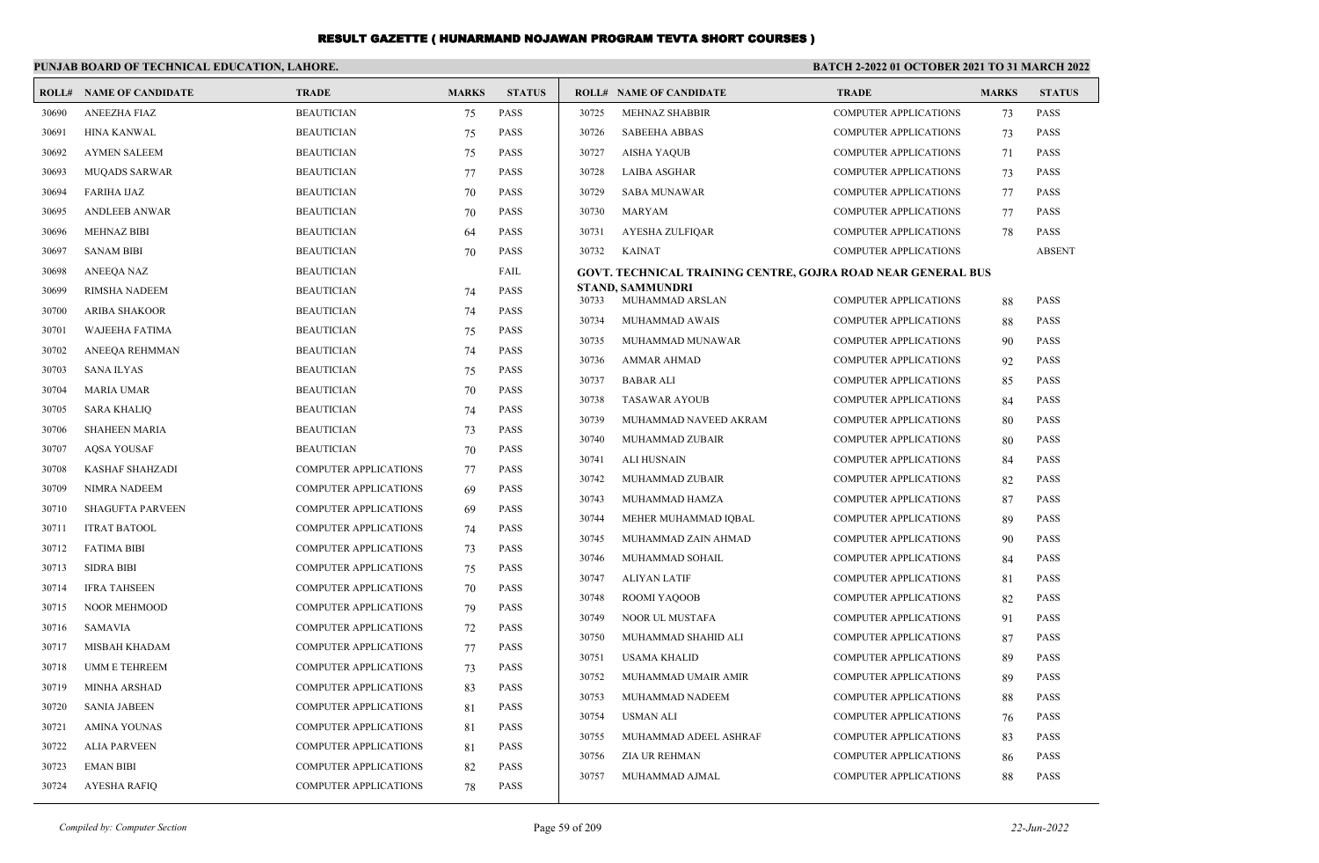|       | PUNJAB BOARD OF TECHNICAL EDUCATION, LAHORE. |                              |              |               | <b>BATCH 2-2022 01 OCTOBER 2021 TO 31 MARCH 2022</b> |                                                              |                              |              |               |
|-------|----------------------------------------------|------------------------------|--------------|---------------|------------------------------------------------------|--------------------------------------------------------------|------------------------------|--------------|---------------|
|       | <b>ROLL# NAME OF CANDIDATE</b>               | <b>TRADE</b>                 | <b>MARKS</b> | <b>STATUS</b> |                                                      | <b>ROLL# NAME OF CANDIDATE</b>                               | <b>TRADE</b>                 | <b>MARKS</b> | <b>STATUS</b> |
| 30690 | <b>ANEEZHA FIAZ</b>                          | <b>BEAUTICIAN</b>            | 75           | <b>PASS</b>   | 30725                                                | <b>MEHNAZ SHABBIR</b>                                        | <b>COMPUTER APPLICATIONS</b> | 73           | <b>PASS</b>   |
| 30691 | <b>HINA KANWAL</b>                           | <b>BEAUTICIAN</b>            | 75           | <b>PASS</b>   | 30726                                                | <b>SABEEHA ABBAS</b>                                         | <b>COMPUTER APPLICATIONS</b> | 73           | <b>PASS</b>   |
| 30692 | <b>AYMEN SALEEM</b>                          | <b>BEAUTICIAN</b>            | 75           | PASS          | 30727                                                | <b>AISHA YAQUB</b>                                           | <b>COMPUTER APPLICATIONS</b> | 71           | PASS          |
| 30693 | <b>MUQADS SARWAR</b>                         | <b>BEAUTICIAN</b>            | 77           | <b>PASS</b>   | 30728                                                | LAIBA ASGHAR                                                 | <b>COMPUTER APPLICATIONS</b> | 73           | <b>PASS</b>   |
| 30694 | <b>FARIHA IJAZ</b>                           | <b>BEAUTICIAN</b>            | 70           | <b>PASS</b>   | 30729                                                | <b>SABA MUNAWAR</b>                                          | <b>COMPUTER APPLICATIONS</b> | 77           | <b>PASS</b>   |
| 30695 | <b>ANDLEEB ANWAR</b>                         | <b>BEAUTICIAN</b>            | 70           | PASS          | 30730                                                | MARYAM                                                       | <b>COMPUTER APPLICATIONS</b> | 77           | PASS          |
| 30696 | <b>MEHNAZ BIBI</b>                           | <b>BEAUTICIAN</b>            | 64           | PASS          | 30731                                                | AYESHA ZULFIQAR                                              | <b>COMPUTER APPLICATIONS</b> | 78           | PASS          |
| 30697 | <b>SANAM BIBI</b>                            | <b>BEAUTICIAN</b>            | 70           | <b>PASS</b>   | 30732                                                | <b>KAINAT</b>                                                | <b>COMPUTER APPLICATIONS</b> |              | <b>ABSENT</b> |
| 30698 | <b>ANEEOA NAZ</b>                            | <b>BEAUTICIAN</b>            |              | FAIL          |                                                      | GOVT. TECHNICAL TRAINING CENTRE, GOJRA ROAD NEAR GENERAL BUS |                              |              |               |
| 30699 | RIMSHA NADEEM                                | <b>BEAUTICIAN</b>            | 74           | PASS          | 30733                                                | <b>STAND, SAMMUNDRI</b><br>MUHAMMAD ARSLAN                   | <b>COMPUTER APPLICATIONS</b> | 88           | <b>PASS</b>   |
| 30700 | <b>ARIBA SHAKOOR</b>                         | <b>BEAUTICIAN</b>            | 74           | PASS          | 30734                                                | MUHAMMAD AWAIS                                               | <b>COMPUTER APPLICATIONS</b> | 88           | PASS          |
| 30701 | <b>WAJEEHA FATIMA</b>                        | <b>BEAUTICIAN</b>            | 75           | <b>PASS</b>   | 30735                                                | MUHAMMAD MUNAWAR                                             | <b>COMPUTER APPLICATIONS</b> | 90           | PASS          |
| 30702 | ANEEOA REHMMAN                               | <b>BEAUTICIAN</b>            | 74           | <b>PASS</b>   | 30736                                                | <b>AMMAR AHMAD</b>                                           | <b>COMPUTER APPLICATIONS</b> | 92           | PASS          |
| 30703 | <b>SANA ILYAS</b>                            | <b>BEAUTICIAN</b>            | 75           | <b>PASS</b>   | 30737                                                | <b>BABAR ALI</b>                                             | <b>COMPUTER APPLICATIONS</b> | 85           | PASS          |
| 30704 | MARIA UMAR                                   | <b>BEAUTICIAN</b>            | 70           | <b>PASS</b>   | 30738                                                | <b>TASAWAR AYOUB</b>                                         | <b>COMPUTER APPLICATIONS</b> | 84           | PASS          |
| 30705 | <b>SARA KHALIO</b>                           | <b>BEAUTICIAN</b>            | 74           | <b>PASS</b>   | 30739                                                | MUHAMMAD NAVEED AKRAM                                        | <b>COMPUTER APPLICATIONS</b> | 80           | PASS          |
| 30706 | <b>SHAHEEN MARIA</b>                         | <b>BEAUTICIAN</b>            | 73           | PASS          | 30740                                                | MUHAMMAD ZUBAIR                                              | <b>COMPUTER APPLICATIONS</b> | 80           | <b>PASS</b>   |
| 30707 | <b>AOSA YOUSAF</b>                           | <b>BEAUTICIAN</b>            | 70           | <b>PASS</b>   | 30741                                                | <b>ALI HUSNAIN</b>                                           | <b>COMPUTER APPLICATIONS</b> | 84           | PASS          |
| 30708 | <b>KASHAF SHAHZADI</b>                       | <b>COMPUTER APPLICATIONS</b> | 77           | <b>PASS</b>   | 30742                                                | MUHAMMAD ZUBAIR                                              | <b>COMPUTER APPLICATIONS</b> | 82           | PASS          |
| 30709 | NIMRA NADEEM                                 | <b>COMPUTER APPLICATIONS</b> | 69           | PASS          | 30743                                                | MUHAMMAD HAMZA                                               | <b>COMPUTER APPLICATIONS</b> | 87           | <b>PASS</b>   |
| 30710 | <b>SHAGUFTA PARVEEN</b>                      | COMPUTER APPLICATIONS        | 69           | PASS          | 30744                                                | MEHER MUHAMMAD IOBAL                                         | <b>COMPUTER APPLICATIONS</b> | 89           | <b>PASS</b>   |
| 30711 | <b>ITRAT BATOOL</b>                          | <b>COMPUTER APPLICATIONS</b> | 74           | PASS          | 30745                                                | MUHAMMAD ZAIN AHMAD                                          | <b>COMPUTER APPLICATIONS</b> | 90           | PASS          |
| 30712 | <b>FATIMA BIBI</b>                           | <b>COMPUTER APPLICATIONS</b> | 73           | <b>PASS</b>   | 30746                                                | MUHAMMAD SOHAIL                                              | <b>COMPUTER APPLICATIONS</b> | 84           | PASS          |
| 30713 | <b>SIDRA BIBI</b>                            | <b>COMPUTER APPLICATIONS</b> | 75           | PASS          | 30747                                                | <b>ALIYAN LATIF</b>                                          | <b>COMPUTER APPLICATIONS</b> | 81           | <b>PASS</b>   |
| 30714 | <b>IFRA TAHSEEN</b>                          | <b>COMPUTER APPLICATIONS</b> | 70           | PASS          | 30748                                                | ROOMI YAQOOB                                                 | <b>COMPUTER APPLICATIONS</b> | 82           | PASS          |
| 30715 | <b>NOOR MEHMOOD</b>                          | <b>COMPUTER APPLICATIONS</b> | 79           | <b>PASS</b>   | 30749                                                | NOOR UL MUSTAFA                                              | <b>COMPUTER APPLICATIONS</b> | 91           | PASS          |
| 30716 | <b>SAMAVIA</b>                               | <b>COMPUTER APPLICATIONS</b> | 72           | PASS          | 30750                                                | MUHAMMAD SHAHID ALI                                          | <b>COMPUTER APPLICATIONS</b> | 87           | PASS          |
| 30717 | <b>MISBAH KHADAM</b>                         | <b>COMPUTER APPLICATIONS</b> | 77           | PASS          | 30751                                                | <b>USAMA KHALID</b>                                          | <b>COMPUTER APPLICATIONS</b> | 89           | PASS          |
| 30718 | UMM E TEHREEM                                | <b>COMPUTER APPLICATIONS</b> | 73           | PASS          | 30752                                                | MUHAMMAD UMAIR AMIR                                          | <b>COMPUTER APPLICATIONS</b> | 89           | PASS          |
| 30719 | <b>MINHA ARSHAD</b>                          | <b>COMPUTER APPLICATIONS</b> | 83           | <b>PASS</b>   | 30753                                                | MUHAMMAD NADEEM                                              | <b>COMPUTER APPLICATIONS</b> | 88           | PASS          |
| 30720 | <b>SANIA JABEEN</b>                          | <b>COMPUTER APPLICATIONS</b> | 81           | PASS          | 30754                                                | <b>USMAN ALI</b>                                             | <b>COMPUTER APPLICATIONS</b> | 76           | <b>PASS</b>   |
| 30721 | <b>AMINA YOUNAS</b>                          | <b>COMPUTER APPLICATIONS</b> | 81           | PASS          | 30755                                                | MUHAMMAD ADEEL ASHRAF                                        | <b>COMPUTER APPLICATIONS</b> | 83           | PASS          |
| 30722 | <b>ALIA PARVEEN</b>                          | <b>COMPUTER APPLICATIONS</b> | 81           | <b>PASS</b>   | 30756                                                | ZIA UR REHMAN                                                | <b>COMPUTER APPLICATIONS</b> | 86           | PASS          |
| 30723 | <b>EMAN BIBI</b>                             | <b>COMPUTER APPLICATIONS</b> | 82           | <b>PASS</b>   | 30757                                                | MUHAMMAD AJMAL                                               | <b>COMPUTER APPLICATIONS</b> | 88           | <b>PASS</b>   |
| 30724 | <b>AYESHA RAFIQ</b>                          | <b>COMPUTER APPLICATIONS</b> | 78           | PASS          |                                                      |                                                              |                              |              |               |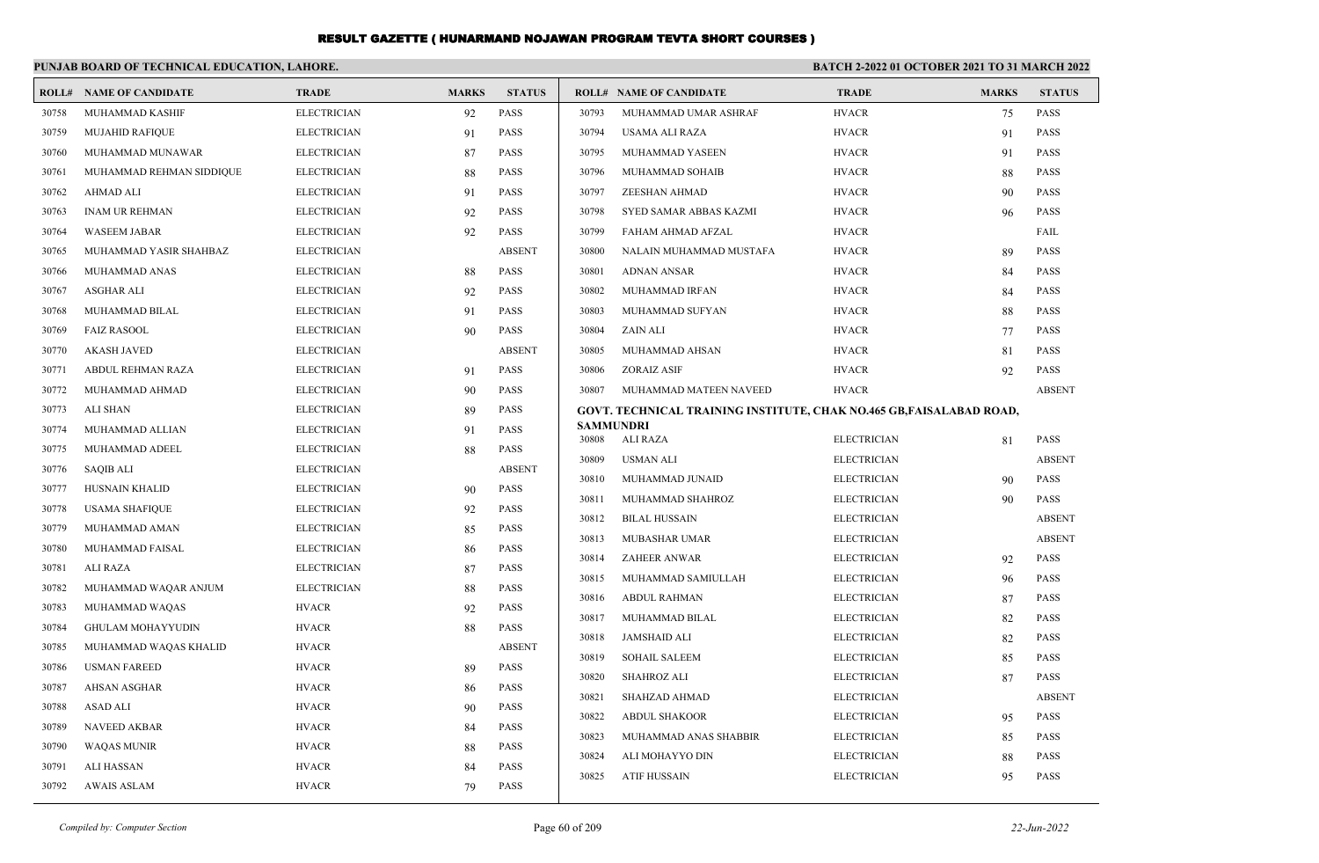|       | PUNJAB BOARD OF TECHNICAL EDUCATION, LAHORE. |                    |              |               | BATCH 2-2022 01 OCTOBER 2021 TO 31 MARCH 2022 |                                                                      |                    |              |               |
|-------|----------------------------------------------|--------------------|--------------|---------------|-----------------------------------------------|----------------------------------------------------------------------|--------------------|--------------|---------------|
| ROLL# | <b>NAME OF CANDIDATE</b>                     | <b>TRADE</b>       | <b>MARKS</b> | <b>STATUS</b> |                                               | <b>ROLL# NAME OF CANDIDATE</b>                                       | <b>TRADE</b>       | <b>MARKS</b> | <b>STATUS</b> |
| 30758 | MUHAMMAD KASHIF                              | <b>ELECTRICIAN</b> | 92           | <b>PASS</b>   | 30793                                         | MUHAMMAD UMAR ASHRAF                                                 | <b>HVACR</b>       | 75           | <b>PASS</b>   |
| 30759 | <b>MUJAHID RAFIQUE</b>                       | <b>ELECTRICIAN</b> | 91           | PASS          | 30794                                         | USAMA ALI RAZA                                                       | <b>HVACR</b>       | 91           | <b>PASS</b>   |
| 30760 | MUHAMMAD MUNAWAR                             | <b>ELECTRICIAN</b> | 87           | PASS          | 30795                                         | MUHAMMAD YASEEN                                                      | <b>HVACR</b>       | 91           | <b>PASS</b>   |
| 30761 | MUHAMMAD REHMAN SIDDIQUE                     | <b>ELECTRICIAN</b> | 88           | <b>PASS</b>   | 30796                                         | MUHAMMAD SOHAIB                                                      | <b>HVACR</b>       | 88           | <b>PASS</b>   |
| 30762 | <b>AHMAD ALI</b>                             | <b>ELECTRICIAN</b> | 91           | PASS          | 30797                                         | ZEESHAN AHMAD                                                        | <b>HVACR</b>       | 90           | <b>PASS</b>   |
| 30763 | <b>INAM UR REHMAN</b>                        | <b>ELECTRICIAN</b> | 92           | <b>PASS</b>   | 30798                                         | SYED SAMAR ABBAS KAZMI                                               | <b>HVACR</b>       | 96           | <b>PASS</b>   |
| 30764 | <b>WASEEM JABAR</b>                          | <b>ELECTRICIAN</b> | 92           | <b>PASS</b>   | 30799                                         | FAHAM AHMAD AFZAL                                                    | <b>HVACR</b>       |              | FAIL          |
| 30765 | MUHAMMAD YASIR SHAHBAZ                       | <b>ELECTRICIAN</b> |              | <b>ABSENT</b> | 30800                                         | NALAIN MUHAMMAD MUSTAFA                                              | <b>HVACR</b>       | 89           | PASS          |
| 30766 | MUHAMMAD ANAS                                | <b>ELECTRICIAN</b> | 88           | PASS          | 30801                                         | <b>ADNAN ANSAR</b>                                                   | <b>HVACR</b>       | 84           | <b>PASS</b>   |
| 30767 | <b>ASGHAR ALI</b>                            | <b>ELECTRICIAN</b> | 92           | <b>PASS</b>   | 30802                                         | MUHAMMAD IRFAN                                                       | <b>HVACR</b>       | 84           | <b>PASS</b>   |
| 30768 | MUHAMMAD BILAL                               | <b>ELECTRICIAN</b> | 91           | <b>PASS</b>   | 30803                                         | MUHAMMAD SUFYAN                                                      | <b>HVACR</b>       | 88           | <b>PASS</b>   |
| 30769 | <b>FAIZ RASOOL</b>                           | <b>ELECTRICIAN</b> | 90           | <b>PASS</b>   | 30804                                         | ZAIN ALI                                                             | <b>HVACR</b>       | 77           | <b>PASS</b>   |
| 30770 | <b>AKASH JAVED</b>                           | <b>ELECTRICIAN</b> |              | <b>ABSENT</b> | 30805                                         | MUHAMMAD AHSAN                                                       | <b>HVACR</b>       | 81           | <b>PASS</b>   |
| 30771 | ABDUL REHMAN RAZA                            | <b>ELECTRICIAN</b> | 91           | PASS          | 30806                                         | <b>ZORAIZ ASIF</b>                                                   | <b>HVACR</b>       | 92           | <b>PASS</b>   |
| 30772 | MUHAMMAD AHMAD                               | <b>ELECTRICIAN</b> | 90           | PASS          | 30807                                         | MUHAMMAD MATEEN NAVEED                                               | <b>HVACR</b>       |              | <b>ABSENT</b> |
| 30773 | <b>ALI SHAN</b>                              | <b>ELECTRICIAN</b> | 89           | <b>PASS</b>   |                                               | GOVT. TECHNICAL TRAINING INSTITUTE, CHAK NO.465 GB, FAISALABAD ROAD, |                    |              |               |
| 30774 | MUHAMMAD ALLIAN                              | <b>ELECTRICIAN</b> | 91           | <b>PASS</b>   | <b>SAMMUNDRI</b><br>30808                     | ALI RAZA                                                             | <b>ELECTRICIAN</b> | 81           | <b>PASS</b>   |
| 30775 | MUHAMMAD ADEEL                               | <b>ELECTRICIAN</b> | 88           | PASS          | 30809                                         | <b>USMAN ALI</b>                                                     | <b>ELECTRICIAN</b> |              | <b>ABSENT</b> |
| 30776 | <b>SAQIB ALI</b>                             | <b>ELECTRICIAN</b> |              | <b>ABSENT</b> | 30810                                         | MUHAMMAD JUNAID                                                      | <b>ELECTRICIAN</b> | 90           | <b>PASS</b>   |
| 30777 | HUSNAIN KHALID                               | <b>ELECTRICIAN</b> | 90           | <b>PASS</b>   | 30811                                         | MUHAMMAD SHAHROZ                                                     | <b>ELECTRICIAN</b> | 90           | <b>PASS</b>   |
| 30778 | <b>USAMA SHAFIQUE</b>                        | <b>ELECTRICIAN</b> | 92           | <b>PASS</b>   | 30812                                         | <b>BILAL HUSSAIN</b>                                                 | <b>ELECTRICIAN</b> |              | <b>ABSENT</b> |
| 30779 | MUHAMMAD AMAN                                | <b>ELECTRICIAN</b> | 85           | <b>PASS</b>   | 30813                                         | <b>MUBASHAR UMAR</b>                                                 | <b>ELECTRICIAN</b> |              | <b>ABSENT</b> |
| 30780 | MUHAMMAD FAISAL                              | <b>ELECTRICIAN</b> | 86           | <b>PASS</b>   | 30814                                         | <b>ZAHEER ANWAR</b>                                                  | <b>ELECTRICIAN</b> | 92           | <b>PASS</b>   |
| 30781 | <b>ALI RAZA</b>                              | <b>ELECTRICIAN</b> | 87           | PASS          | 30815                                         | MUHAMMAD SAMIULLAH                                                   | <b>ELECTRICIAN</b> | 96           | PASS          |
| 30782 | MUHAMMAD WAQAR ANJUM                         | <b>ELECTRICIAN</b> | 88           | <b>PASS</b>   | 30816                                         | <b>ABDUL RAHMAN</b>                                                  | <b>ELECTRICIAN</b> | 87           | <b>PASS</b>   |
| 30783 | MUHAMMAD WAQAS                               | <b>HVACR</b>       | 92           | <b>PASS</b>   | 30817                                         | MUHAMMAD BILAL                                                       | <b>ELECTRICIAN</b> | 82           | <b>PASS</b>   |
| 30784 | <b>GHULAM MOHAYYUDIN</b>                     | <b>HVACR</b>       | 88           | <b>PASS</b>   | 30818                                         | <b>JAMSHAID ALI</b>                                                  | <b>ELECTRICIAN</b> | 82           | <b>PASS</b>   |
| 30785 | MUHAMMAD WAQAS KHALID                        | <b>HVACR</b>       |              | <b>ABSENT</b> | 30819                                         | <b>SOHAIL SALEEM</b>                                                 | <b>ELECTRICIAN</b> |              | <b>PASS</b>   |
| 30786 | <b>USMAN FAREED</b>                          | <b>HVACR</b>       | 89           | PASS          | 30820                                         | <b>SHAHROZ ALI</b>                                                   | <b>ELECTRICIAN</b> | 85<br>87     | <b>PASS</b>   |
| 30787 | <b>AHSAN ASGHAR</b>                          | <b>HVACR</b>       | 86           | PASS          | 30821                                         | SHAHZAD AHMAD                                                        | <b>ELECTRICIAN</b> |              | <b>ABSENT</b> |
| 30788 | <b>ASAD ALI</b>                              | <b>HVACR</b>       | 90           | <b>PASS</b>   | 30822                                         | <b>ABDUL SHAKOOR</b>                                                 | <b>ELECTRICIAN</b> |              | PASS          |
| 30789 | <b>NAVEED AKBAR</b>                          | <b>HVACR</b>       | 84           | <b>PASS</b>   | 30823                                         | MUHAMMAD ANAS SHABBIR                                                | <b>ELECTRICIAN</b> | 95           | <b>PASS</b>   |
| 30790 | <b>WAQAS MUNIR</b>                           | <b>HVACR</b>       | 88           | <b>PASS</b>   | 30824                                         | ALI MOHAYYO DIN                                                      | <b>ELECTRICIAN</b> | 85           | <b>PASS</b>   |
| 30791 | <b>ALI HASSAN</b>                            | <b>HVACR</b>       | 84           | <b>PASS</b>   | 30825                                         | <b>ATIF HUSSAIN</b>                                                  | <b>ELECTRICIAN</b> | 88<br>95     | <b>PASS</b>   |
| 30792 | AWAIS ASLAM                                  | <b>HVACR</b>       | 79           | <b>PASS</b>   |                                               |                                                                      |                    |              |               |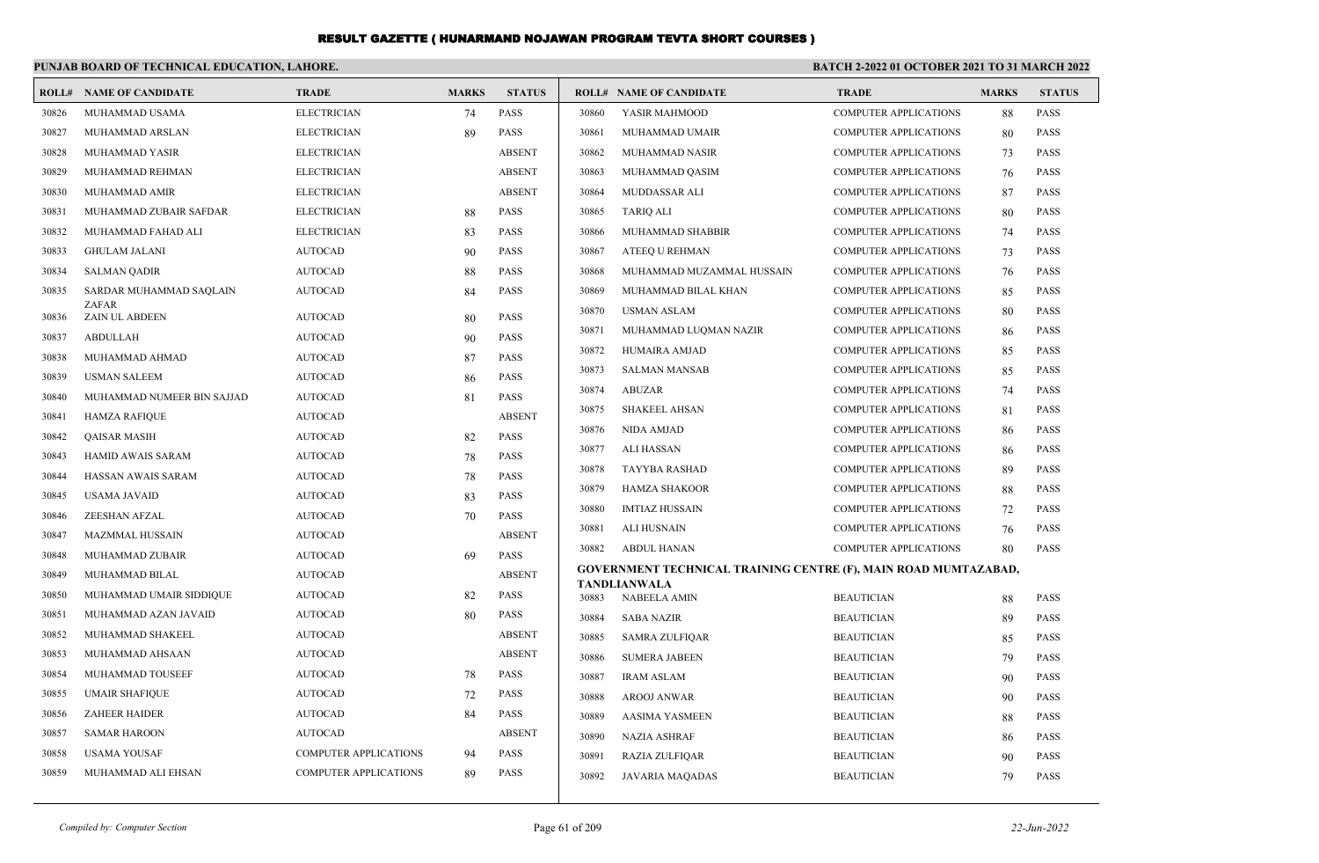|       | PUNJAB BOARD OF TECHNICAL EDUCATION, LAHORE. |                              |              |               | <b>BATCH 2-2022 01 OCTOBER 2021 TO 31 MARCH 2022</b> |                                                                 |                              |              |               |
|-------|----------------------------------------------|------------------------------|--------------|---------------|------------------------------------------------------|-----------------------------------------------------------------|------------------------------|--------------|---------------|
|       | <b>ROLL# NAME OF CANDIDATE</b>               | <b>TRADE</b>                 | <b>MARKS</b> | <b>STATUS</b> |                                                      | <b>ROLL# NAME OF CANDIDATE</b>                                  | <b>TRADE</b>                 | <b>MARKS</b> | <b>STATUS</b> |
| 30826 | MUHAMMAD USAMA                               | <b>ELECTRICIAN</b>           | 74           | <b>PASS</b>   | 30860                                                | YASIR MAHMOOD                                                   | <b>COMPUTER APPLICATIONS</b> | 88           | <b>PASS</b>   |
| 30827 | MUHAMMAD ARSLAN                              | <b>ELECTRICIAN</b>           | 89           | <b>PASS</b>   | 30861                                                | MUHAMMAD UMAIR                                                  | <b>COMPUTER APPLICATIONS</b> | 80           | <b>PASS</b>   |
| 30828 | MUHAMMAD YASIR                               | <b>ELECTRICIAN</b>           |              | <b>ABSENT</b> | 30862                                                | MUHAMMAD NASIR                                                  | <b>COMPUTER APPLICATIONS</b> | 73           | <b>PASS</b>   |
| 30829 | MUHAMMAD REHMAN                              | <b>ELECTRICIAN</b>           |              | <b>ABSENT</b> | 30863                                                | MUHAMMAD QASIM                                                  | <b>COMPUTER APPLICATIONS</b> | 76           | <b>PASS</b>   |
| 30830 | MUHAMMAD AMIR                                | <b>ELECTRICIAN</b>           |              | <b>ABSENT</b> | 30864                                                | MUDDASSAR ALI                                                   | COMPUTER APPLICATIONS        | 87           | <b>PASS</b>   |
| 30831 | MUHAMMAD ZUBAIR SAFDAR                       | <b>ELECTRICIAN</b>           | 88           | <b>PASS</b>   | 30865                                                | <b>TARIO ALI</b>                                                | <b>COMPUTER APPLICATIONS</b> | 80           | <b>PASS</b>   |
| 30832 | MUHAMMAD FAHAD ALI                           | <b>ELECTRICIAN</b>           | 83           | <b>PASS</b>   | 30866                                                | MUHAMMAD SHABBIR                                                | <b>COMPUTER APPLICATIONS</b> | 74           | <b>PASS</b>   |
| 30833 | <b>GHULAM JALANI</b>                         | <b>AUTOCAD</b>               | 90           | <b>PASS</b>   | 30867                                                | <b>ATEEO U REHMAN</b>                                           | COMPUTER APPLICATIONS        | 73           | <b>PASS</b>   |
| 30834 | <b>SALMAN QADIR</b>                          | <b>AUTOCAD</b>               | 88           | <b>PASS</b>   | 30868                                                | MUHAMMAD MUZAMMAL HUSSAIN                                       | <b>COMPUTER APPLICATIONS</b> | 76           | <b>PASS</b>   |
| 30835 | SARDAR MUHAMMAD SAQLAIN                      | <b>AUTOCAD</b>               | 84           | <b>PASS</b>   | 30869                                                | MUHAMMAD BILAL KHAN                                             | <b>COMPUTER APPLICATIONS</b> | 85           | <b>PASS</b>   |
| 30836 | ZAFAR<br><b>ZAIN UL ABDEEN</b>               | <b>AUTOCAD</b>               | 80           | PASS          | 30870                                                | <b>USMAN ASLAM</b>                                              | <b>COMPUTER APPLICATIONS</b> | 80           | <b>PASS</b>   |
| 30837 | <b>ABDULLAH</b>                              | <b>AUTOCAD</b>               | 90           | <b>PASS</b>   | 30871                                                | MUHAMMAD LUQMAN NAZIR                                           | <b>COMPUTER APPLICATIONS</b> | 86           | <b>PASS</b>   |
| 30838 | MUHAMMAD AHMAD                               | <b>AUTOCAD</b>               | 87           | <b>PASS</b>   | 30872                                                | HUMAIRA AMJAD                                                   | <b>COMPUTER APPLICATIONS</b> | 85           | <b>PASS</b>   |
| 30839 | <b>USMAN SALEEM</b>                          | <b>AUTOCAD</b>               | 86           | <b>PASS</b>   | 30873                                                | <b>SALMAN MANSAB</b>                                            | <b>COMPUTER APPLICATIONS</b> | 85           | <b>PASS</b>   |
| 30840 | MUHAMMAD NUMEER BIN SAJJAD                   | <b>AUTOCAD</b>               | 81           | <b>PASS</b>   | 30874                                                | ABUZAR                                                          | <b>COMPUTER APPLICATIONS</b> | 74           | <b>PASS</b>   |
| 30841 | <b>HAMZA RAFIOUE</b>                         | <b>AUTOCAD</b>               |              | <b>ABSENT</b> | 30875                                                | <b>SHAKEEL AHSAN</b>                                            | <b>COMPUTER APPLICATIONS</b> | 81           | <b>PASS</b>   |
| 30842 | <b>QAISAR MASIH</b>                          | <b>AUTOCAD</b>               | 82           | <b>PASS</b>   | 30876                                                | <b>NIDA AMJAD</b>                                               | COMPUTER APPLICATIONS        | 86           | <b>PASS</b>   |
| 30843 | <b>HAMID AWAIS SARAM</b>                     | <b>AUTOCAD</b>               | 78           | <b>PASS</b>   | 30877                                                | <b>ALI HASSAN</b>                                               | <b>COMPUTER APPLICATIONS</b> | 86           | <b>PASS</b>   |
| 30844 | HASSAN AWAIS SARAM                           | <b>AUTOCAD</b>               | 78           | <b>PASS</b>   | 30878                                                | <b>TAYYBA RASHAD</b>                                            | <b>COMPUTER APPLICATIONS</b> | 89           | <b>PASS</b>   |
| 30845 | <b>USAMA JAVAID</b>                          | <b>AUTOCAD</b>               | 83           | <b>PASS</b>   | 30879                                                | HAMZA SHAKOOR                                                   | <b>COMPUTER APPLICATIONS</b> | 88           | <b>PASS</b>   |
| 30846 | ZEESHAN AFZAL                                | <b>AUTOCAD</b>               | 70           | <b>PASS</b>   | 30880                                                | <b>IMTIAZ HUSSAIN</b>                                           | <b>COMPUTER APPLICATIONS</b> | 72           | <b>PASS</b>   |
| 30847 | <b>MAZMMAL HUSSAIN</b>                       | <b>AUTOCAD</b>               |              | <b>ABSENT</b> | 30881                                                | ALI HUSNAIN                                                     | <b>COMPUTER APPLICATIONS</b> | 76           | <b>PASS</b>   |
| 30848 | MUHAMMAD ZUBAIR                              | <b>AUTOCAD</b>               | 69           | <b>PASS</b>   | 30882                                                | <b>ABDUL HANAN</b>                                              | COMPUTER APPLICATIONS        | 80           | <b>PASS</b>   |
| 30849 | MUHAMMAD BILAL                               | <b>AUTOCAD</b>               |              | <b>ABSENT</b> |                                                      | GOVERNMENT TECHNICAL TRAINING CENTRE (F), MAIN ROAD MUMTAZABAD, |                              |              |               |
| 30850 | MUHAMMAD UMAIR SIDDIQUE                      | <b>AUTOCAD</b>               | 82           | <b>PASS</b>   | 30883                                                | <b>TANDLIANWALA</b><br><b>NABEELA AMIN</b>                      | <b>BEAUTICIAN</b>            | 88           | <b>PASS</b>   |
| 30851 | MUHAMMAD AZAN JAVAID                         | <b>AUTOCAD</b>               | 80           | <b>PASS</b>   | 30884                                                | <b>SABA NAZIR</b>                                               | <b>BEAUTICIAN</b>            | 89           | PASS          |
| 30852 | MUHAMMAD SHAKEEL                             | <b>AUTOCAD</b>               |              | <b>ABSENT</b> | 30885                                                | <b>SAMRA ZULFIQAR</b>                                           | <b>BEAUTICIAN</b>            | 85           | <b>PASS</b>   |
| 30853 | MUHAMMAD AHSAAN                              | <b>AUTOCAD</b>               |              | <b>ABSENT</b> | 30886                                                | <b>SUMERA JABEEN</b>                                            | <b>BEAUTICIAN</b>            | 79           | PASS          |
| 30854 | MUHAMMAD TOUSEEF                             | <b>AUTOCAD</b>               | 78           | <b>PASS</b>   | 30887                                                | <b>IRAM ASLAM</b>                                               | <b>BEAUTICIAN</b>            | 90           | <b>PASS</b>   |
| 30855 | <b>UMAIR SHAFIQUE</b>                        | <b>AUTOCAD</b>               | 72           | <b>PASS</b>   | 30888                                                | <b>AROOJ ANWAR</b>                                              | <b>BEAUTICIAN</b>            | 90           | <b>PASS</b>   |
| 30856 | <b>ZAHEER HAIDER</b>                         | <b>AUTOCAD</b>               | 84           | <b>PASS</b>   | 30889                                                | <b>AASIMA YASMEEN</b>                                           | <b>BEAUTICIAN</b>            | 88           | <b>PASS</b>   |
| 30857 | <b>SAMAR HAROON</b>                          | <b>AUTOCAD</b>               |              | <b>ABSENT</b> | 30890                                                | <b>NAZIA ASHRAF</b>                                             | <b>BEAUTICIAN</b>            | 86           | <b>PASS</b>   |
| 30858 | <b>USAMA YOUSAF</b>                          | <b>COMPUTER APPLICATIONS</b> | 94           | <b>PASS</b>   | 30891                                                | <b>RAZIA ZULFIQAR</b>                                           | <b>BEAUTICIAN</b>            | 90           | <b>PASS</b>   |
| 30859 | MUHAMMAD ALI EHSAN                           | <b>COMPUTER APPLICATIONS</b> | 89           | <b>PASS</b>   | 30892                                                | <b>JAVARIA MAQADAS</b>                                          | <b>BEAUTICIAN</b>            | 79           | PASS          |
|       |                                              |                              |              |               |                                                      |                                                                 |                              |              |               |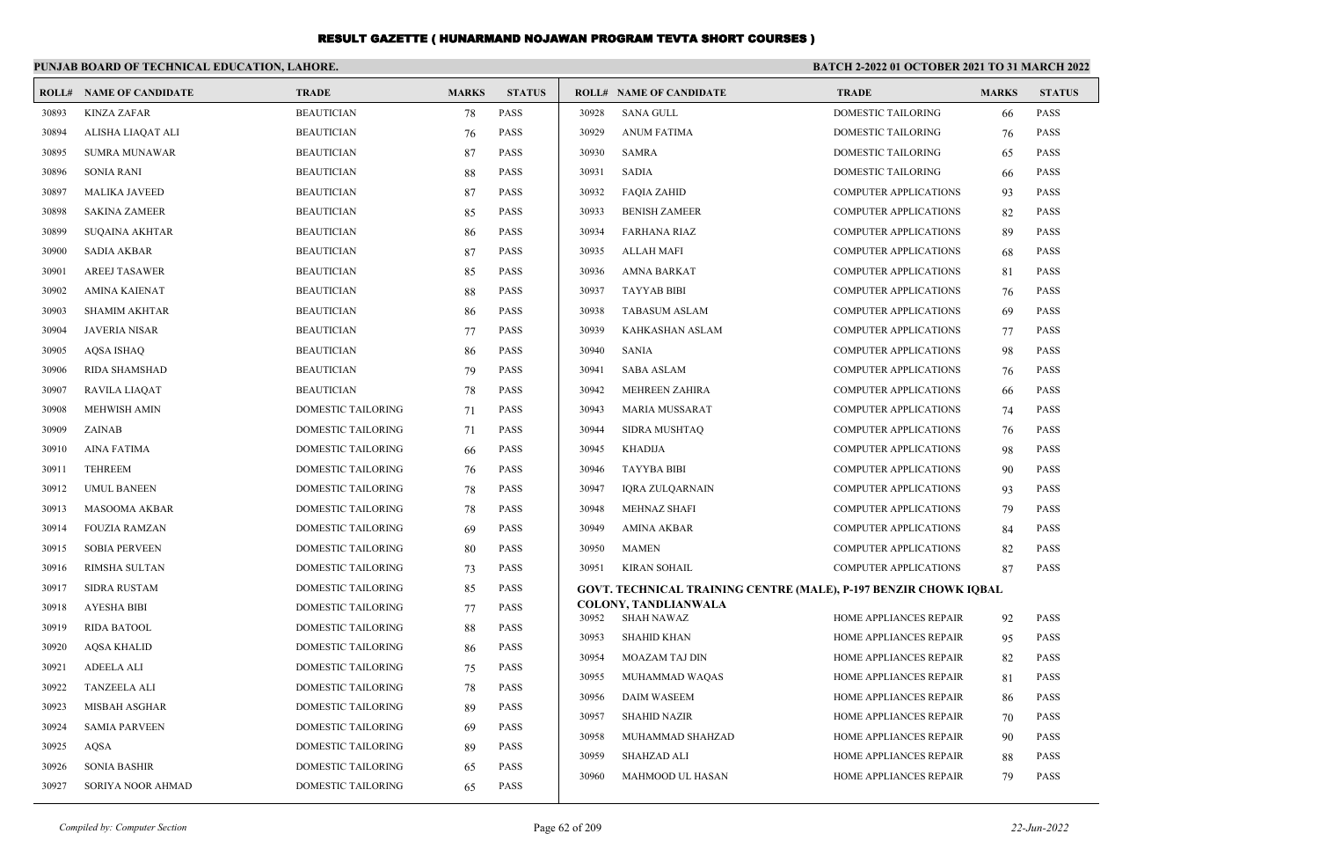|       | PUNJAB BOARD OF TECHNICAL EDUCATION, LAHORE. |                           |              |               | BATCH 2-2022 01 OCTOBER 2021 TO 31 MARCH 2022 |                                                                         |                              |              |               |  |
|-------|----------------------------------------------|---------------------------|--------------|---------------|-----------------------------------------------|-------------------------------------------------------------------------|------------------------------|--------------|---------------|--|
|       | <b>ROLL# NAME OF CANDIDATE</b>               | <b>TRADE</b>              | <b>MARKS</b> | <b>STATUS</b> |                                               | <b>ROLL# NAME OF CANDIDATE</b>                                          | <b>TRADE</b>                 | <b>MARKS</b> | <b>STATUS</b> |  |
| 30893 | <b>KINZA ZAFAR</b>                           | <b>BEAUTICIAN</b>         | 78           | <b>PASS</b>   | 30928                                         | <b>SANA GULL</b>                                                        | <b>DOMESTIC TAILORING</b>    | 66           | <b>PASS</b>   |  |
| 30894 | ALISHA LIAQAT ALI                            | <b>BEAUTICIAN</b>         | 76           | <b>PASS</b>   | 30929                                         | <b>ANUM FATIMA</b>                                                      | DOMESTIC TAILORING           | 76           | PASS          |  |
| 30895 | <b>SUMRA MUNAWAR</b>                         | <b>BEAUTICIAN</b>         | 87           | PASS          | 30930                                         | <b>SAMRA</b>                                                            | DOMESTIC TAILORING           | 65           | PASS          |  |
| 30896 | <b>SONIA RANI</b>                            | <b>BEAUTICIAN</b>         | 88           | <b>PASS</b>   | 30931                                         | <b>SADIA</b>                                                            | DOMESTIC TAILORING           | 66           | <b>PASS</b>   |  |
| 30897 | <b>MALIKA JAVEED</b>                         | <b>BEAUTICIAN</b>         | 87           | <b>PASS</b>   | 30932                                         | <b>FAQIA ZAHID</b>                                                      | <b>COMPUTER APPLICATIONS</b> | 93           | <b>PASS</b>   |  |
| 30898 | <b>SAKINA ZAMEER</b>                         | <b>BEAUTICIAN</b>         | 85           | <b>PASS</b>   | 30933                                         | <b>BENISH ZAMEER</b>                                                    | <b>COMPUTER APPLICATIONS</b> | 82           | <b>PASS</b>   |  |
| 30899 | <b>SUQAINA AKHTAR</b>                        | <b>BEAUTICIAN</b>         | 86           | <b>PASS</b>   | 30934                                         | FARHANA RIAZ                                                            | <b>COMPUTER APPLICATIONS</b> | 89           | <b>PASS</b>   |  |
| 30900 | <b>SADIA AKBAR</b>                           | <b>BEAUTICIAN</b>         | 87           | <b>PASS</b>   | 30935                                         | <b>ALLAH MAFI</b>                                                       | COMPUTER APPLICATIONS        | 68           | <b>PASS</b>   |  |
| 30901 | <b>AREEJ TASAWER</b>                         | <b>BEAUTICIAN</b>         | 85           | <b>PASS</b>   | 30936                                         | <b>AMNA BARKAT</b>                                                      | <b>COMPUTER APPLICATIONS</b> | 81           | <b>PASS</b>   |  |
| 30902 | <b>AMINA KAIENAT</b>                         | <b>BEAUTICIAN</b>         | 88           | <b>PASS</b>   | 30937                                         | <b>TAYYAB BIBI</b>                                                      | <b>COMPUTER APPLICATIONS</b> | 76           | <b>PASS</b>   |  |
| 30903 | <b>SHAMIM AKHTAR</b>                         | <b>BEAUTICIAN</b>         | 86           | <b>PASS</b>   | 30938                                         | <b>TABASUM ASLAM</b>                                                    | <b>COMPUTER APPLICATIONS</b> | 69           | <b>PASS</b>   |  |
| 30904 | <b>JAVERIA NISAR</b>                         | <b>BEAUTICIAN</b>         | 77           | <b>PASS</b>   | 30939                                         | KAHKASHAN ASLAM                                                         | <b>COMPUTER APPLICATIONS</b> | 77           | <b>PASS</b>   |  |
| 30905 | <b>AQSA ISHAQ</b>                            | <b>BEAUTICIAN</b>         | 86           | <b>PASS</b>   | 30940                                         | <b>SANIA</b>                                                            | <b>COMPUTER APPLICATIONS</b> | 98           | <b>PASS</b>   |  |
| 30906 | RIDA SHAMSHAD                                | <b>BEAUTICIAN</b>         | 79           | <b>PASS</b>   | 30941                                         | <b>SABA ASLAM</b>                                                       | <b>COMPUTER APPLICATIONS</b> | 76           | <b>PASS</b>   |  |
| 30907 | <b>RAVILA LIAQAT</b>                         | <b>BEAUTICIAN</b>         | 78           | <b>PASS</b>   | 30942                                         | MEHREEN ZAHIRA                                                          | <b>COMPUTER APPLICATIONS</b> | 66           | <b>PASS</b>   |  |
| 30908 | <b>MEHWISH AMIN</b>                          | <b>DOMESTIC TAILORING</b> | 71           | <b>PASS</b>   | 30943                                         | <b>MARIA MUSSARAT</b>                                                   | <b>COMPUTER APPLICATIONS</b> | 74           | <b>PASS</b>   |  |
| 30909 | ZAINAB                                       | <b>DOMESTIC TAILORING</b> | 71           | <b>PASS</b>   | 30944                                         | <b>SIDRA MUSHTAQ</b>                                                    | <b>COMPUTER APPLICATIONS</b> | 76           | <b>PASS</b>   |  |
| 30910 | <b>AINA FATIMA</b>                           | DOMESTIC TAILORING        | 66           | <b>PASS</b>   | 30945                                         | KHADIJA                                                                 | <b>COMPUTER APPLICATIONS</b> | 98           | <b>PASS</b>   |  |
| 30911 | <b>TEHREEM</b>                               | DOMESTIC TAILORING        | 76           | <b>PASS</b>   | 30946                                         | <b>TAYYBA BIBI</b>                                                      | <b>COMPUTER APPLICATIONS</b> | 90           | <b>PASS</b>   |  |
| 30912 | <b>UMUL BANEEN</b>                           | <b>DOMESTIC TAILORING</b> | 78           | <b>PASS</b>   | 30947                                         | IQRA ZULQARNAIN                                                         | <b>COMPUTER APPLICATIONS</b> | 93           | <b>PASS</b>   |  |
| 30913 | <b>MASOOMA AKBAR</b>                         | <b>DOMESTIC TAILORING</b> | 78           | <b>PASS</b>   | 30948                                         | <b>MEHNAZ SHAFI</b>                                                     | <b>COMPUTER APPLICATIONS</b> | 79           | <b>PASS</b>   |  |
| 30914 | <b>FOUZIA RAMZAN</b>                         | DOMESTIC TAILORING        | 69           | <b>PASS</b>   | 30949                                         | <b>AMINA AKBAR</b>                                                      | COMPUTER APPLICATIONS        | 84           | <b>PASS</b>   |  |
| 30915 | <b>SOBIA PERVEEN</b>                         | DOMESTIC TAILORING        | 80           | <b>PASS</b>   | 30950                                         | <b>MAMEN</b>                                                            | <b>COMPUTER APPLICATIONS</b> | 82           | PASS          |  |
| 30916 | RIMSHA SULTAN                                | DOMESTIC TAILORING        | 73           | <b>PASS</b>   | 30951                                         | <b>KIRAN SOHAIL</b>                                                     | <b>COMPUTER APPLICATIONS</b> | 87           | <b>PASS</b>   |  |
| 30917 | <b>SIDRA RUSTAM</b>                          | <b>DOMESTIC TAILORING</b> | 85           | <b>PASS</b>   |                                               | <b>GOVT. TECHNICAL TRAINING CENTRE (MALE), P-197 BENZIR CHOWK IQBAL</b> |                              |              |               |  |
| 30918 | <b>AYESHA BIBI</b>                           | <b>DOMESTIC TAILORING</b> | 77           | <b>PASS</b>   | 30952                                         | <b>COLONY, TANDLIANWALA</b><br><b>SHAH NAWAZ</b>                        | HOME APPLIANCES REPAIR       | 92           | <b>PASS</b>   |  |
| 30919 | <b>RIDA BATOOL</b>                           | DOMESTIC TAILORING        | 88           | <b>PASS</b>   | 30953                                         | <b>SHAHID KHAN</b>                                                      | HOME APPLIANCES REPAIR       | 95           | PASS          |  |
| 30920 | <b>AQSA KHALID</b>                           | DOMESTIC TAILORING        | 86           | <b>PASS</b>   | 30954                                         | <b>MOAZAM TAJ DIN</b>                                                   | HOME APPLIANCES REPAIR       | 82           | <b>PASS</b>   |  |
| 30921 | <b>ADEELA ALI</b>                            | DOMESTIC TAILORING        | 75           | <b>PASS</b>   | 30955                                         | MUHAMMAD WAQAS                                                          | HOME APPLIANCES REPAIR       | 81           | <b>PASS</b>   |  |
| 30922 | <b>TANZEELA ALI</b>                          | DOMESTIC TAILORING        | 78           | <b>PASS</b>   | 30956                                         | <b>DAIM WASEEM</b>                                                      | HOME APPLIANCES REPAIR       |              | <b>PASS</b>   |  |
| 30923 | <b>MISBAH ASGHAR</b>                         | <b>DOMESTIC TAILORING</b> | 89           | <b>PASS</b>   | 30957                                         | <b>SHAHID NAZIR</b>                                                     | HOME APPLIANCES REPAIR       | 86           | PASS          |  |
| 30924 | <b>SAMIA PARVEEN</b>                         | <b>DOMESTIC TAILORING</b> | 69           | <b>PASS</b>   | 30958                                         | MUHAMMAD SHAHZAD                                                        | HOME APPLIANCES REPAIR       | 70           | PASS          |  |
| 30925 | <b>AQSA</b>                                  | DOMESTIC TAILORING        | 89           | <b>PASS</b>   | 30959                                         | <b>SHAHZAD ALI</b>                                                      | HOME APPLIANCES REPAIR       | 90<br>88     | <b>PASS</b>   |  |
| 30926 | <b>SONIA BASHIR</b>                          | DOMESTIC TAILORING        | 65           | <b>PASS</b>   | 30960                                         | MAHMOOD UL HASAN                                                        | HOME APPLIANCES REPAIR       | 79           | <b>PASS</b>   |  |
| 30927 | SORIYA NOOR AHMAD                            | <b>DOMESTIC TAILORING</b> | 65           | <b>PASS</b>   |                                               |                                                                         |                              |              |               |  |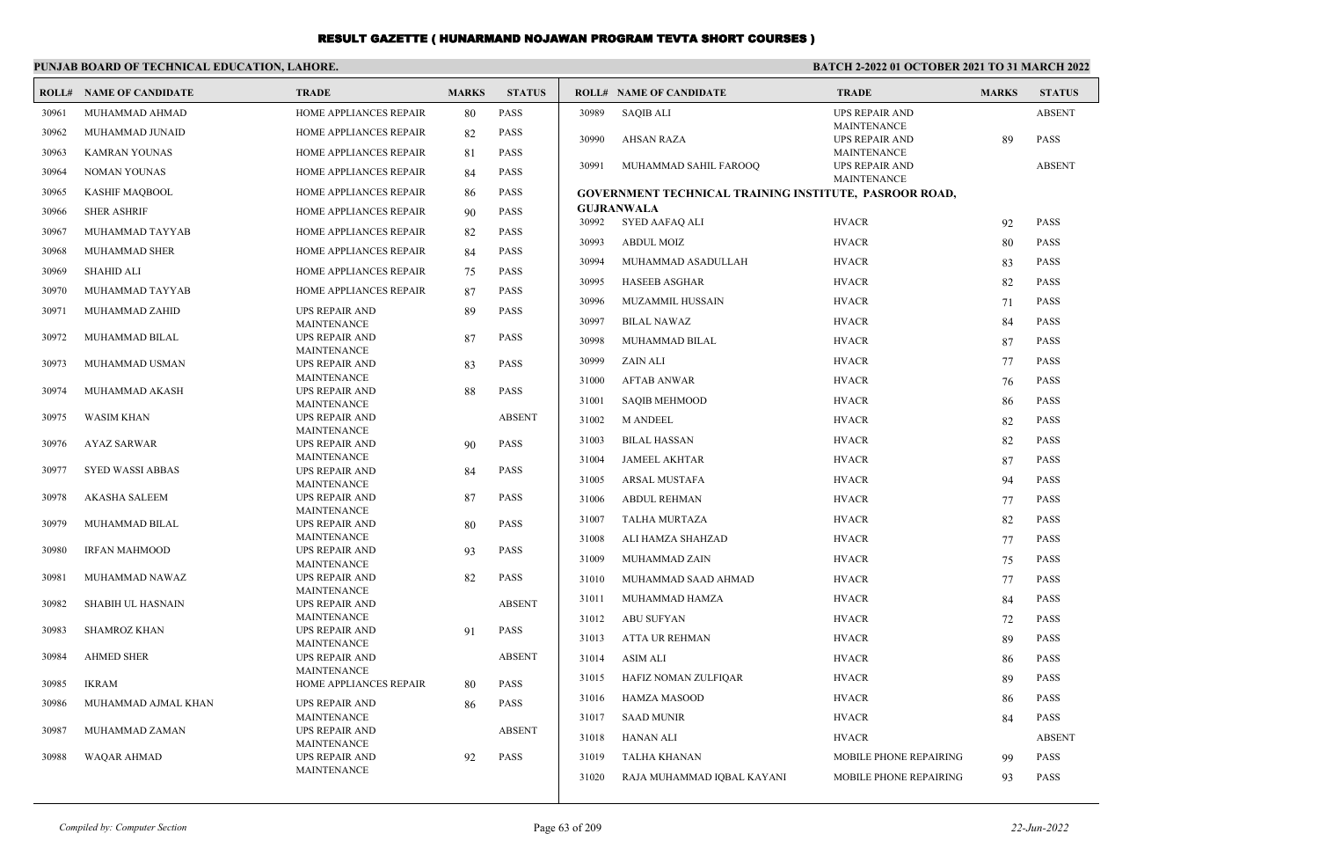#### **PUNJAB BOARD OF TECHNICAL EDUCATION, LAHORE.**

| ROLL# | NAME OF CANDIDATE       | <b>TRADE</b>                                | <b>MARKS</b> | <b>STATUS</b> |       | <b>ROLL# NAME OF CANDIDATE</b>                                | <b>TRADE</b>                                | <b>MARKS</b> | <b>STATUS</b> |
|-------|-------------------------|---------------------------------------------|--------------|---------------|-------|---------------------------------------------------------------|---------------------------------------------|--------------|---------------|
| 30961 | MUHAMMAD AHMAD          | HOME APPLIANCES REPAIR                      | 80           | PASS          | 30989 | <b>SAQIB ALI</b>                                              | <b>UPS REPAIR AND</b>                       |              | <b>ABSENT</b> |
| 30962 | MUHAMMAD JUNAID         | HOME APPLIANCES REPAIR                      | 82           | PASS          | 30990 | <b>AHSAN RAZA</b>                                             | <b>MAINTENANCE</b><br><b>UPS REPAIR AND</b> | 89           | <b>PASS</b>   |
| 30963 | <b>KAMRAN YOUNAS</b>    | HOME APPLIANCES REPAIR                      | 81           | <b>PASS</b>   |       |                                                               | MAINTENANCE                                 |              |               |
| 30964 | <b>NOMAN YOUNAS</b>     | <b>HOME APPLIANCES REPAIR</b>               | 84           | <b>PASS</b>   | 30991 | MUHAMMAD SAHIL FAROOQ                                         | <b>UPS REPAIR AND</b>                       |              | <b>ABSENT</b> |
| 30965 | <b>KASHIF MAOBOOL</b>   | <b>HOME APPLIANCES REPAIR</b>               | 86           | <b>PASS</b>   |       | <b>GOVERNMENT TECHNICAL TRAINING INSTITUTE, PASROOR ROAD,</b> | MAINTENANCE                                 |              |               |
| 30966 | <b>SHER ASHRIF</b>      | HOME APPLIANCES REPAIR                      | 90           | <b>PASS</b>   |       | <b>GUJRANWALA</b>                                             |                                             |              |               |
| 30967 | MUHAMMAD TAYYAB         | HOME APPLIANCES REPAIR                      | 82           | <b>PASS</b>   | 30992 | SYED AAFAQ ALI                                                | <b>HVACR</b>                                | 92           | <b>PASS</b>   |
| 30968 | MUHAMMAD SHER           | HOME APPLIANCES REPAIR                      | 84           | <b>PASS</b>   | 30993 | <b>ABDUL MOIZ</b>                                             | <b>HVACR</b>                                | 80           | <b>PASS</b>   |
| 30969 | <b>SHAHID ALI</b>       | HOME APPLIANCES REPAIR                      | 75           | <b>PASS</b>   | 30994 | MUHAMMAD ASADULLAH                                            | <b>HVACR</b>                                | 83           | <b>PASS</b>   |
|       |                         |                                             |              |               | 30995 | <b>HASEEB ASGHAR</b>                                          | <b>HVACR</b>                                | 82           | <b>PASS</b>   |
| 30970 | MUHAMMAD TAYYAB         | HOME APPLIANCES REPAIR                      | 87           | <b>PASS</b>   | 30996 | MUZAMMIL HUSSAIN                                              | <b>HVACR</b>                                | 71           | <b>PASS</b>   |
| 30971 | MUHAMMAD ZAHID          | <b>UPS REPAIR AND</b><br>MAINTENANCE        | 89           | <b>PASS</b>   | 30997 | <b>BILAL NAWAZ</b>                                            | <b>HVACR</b>                                | 84           | <b>PASS</b>   |
| 30972 | MUHAMMAD BILAL          | <b>UPS REPAIR AND</b>                       | 87           | <b>PASS</b>   | 30998 | MUHAMMAD BILAL                                                | <b>HVACR</b>                                | 87           | <b>PASS</b>   |
|       | MUHAMMAD USMAN          | <b>MAINTENANCE</b>                          |              | <b>PASS</b>   | 30999 | ZAIN ALI                                                      | <b>HVACR</b>                                | 77           | <b>PASS</b>   |
| 30973 |                         | UPS REPAIR AND<br><b>MAINTENANCE</b>        | 83           |               | 31000 | <b>AFTAB ANWAR</b>                                            | <b>HVACR</b>                                | 76           | <b>PASS</b>   |
| 30974 | MUHAMMAD AKASH          | <b>UPS REPAIR AND</b>                       | 88           | <b>PASS</b>   | 31001 | <b>SAQIB MEHMOOD</b>                                          | <b>HVACR</b>                                |              | <b>PASS</b>   |
| 30975 | <b>WASIM KHAN</b>       | <b>MAINTENANCE</b><br><b>UPS REPAIR AND</b> |              | <b>ABSENT</b> |       |                                                               |                                             | 86           |               |
|       |                         | MAINTENANCE                                 |              |               | 31002 | <b>M ANDEEL</b>                                               | <b>HVACR</b>                                | 82           | <b>PASS</b>   |
| 30976 | <b>AYAZ SARWAR</b>      | <b>UPS REPAIR AND</b>                       | 90           | <b>PASS</b>   | 31003 | <b>BILAL HASSAN</b>                                           | <b>HVACR</b>                                | 82           | <b>PASS</b>   |
| 30977 | <b>SYED WASSI ABBAS</b> | MAINTENANCE<br>UPS REPAIR AND               | 84           | <b>PASS</b>   | 31004 | <b>JAMEEL AKHTAR</b>                                          | <b>HVACR</b>                                | 87           | <b>PASS</b>   |
|       |                         | <b>MAINTENANCE</b>                          |              |               | 31005 | ARSAL MUSTAFA                                                 | <b>HVACR</b>                                | 94           | <b>PASS</b>   |
| 30978 | <b>AKASHA SALEEM</b>    | <b>UPS REPAIR AND</b>                       | 87           | <b>PASS</b>   | 31006 | <b>ABDUL REHMAN</b>                                           | <b>HVACR</b>                                | 77           | <b>PASS</b>   |
| 30979 | MUHAMMAD BILAL          | <b>MAINTENANCE</b><br><b>UPS REPAIR AND</b> | 80           | <b>PASS</b>   | 31007 | <b>TALHA MURTAZA</b>                                          | <b>HVACR</b>                                | 82           | <b>PASS</b>   |
|       |                         | <b>MAINTENANCE</b>                          |              |               | 31008 | ALI HAMZA SHAHZAD                                             | <b>HVACR</b>                                | 77           | <b>PASS</b>   |
| 30980 | <b>IRFAN MAHMOOD</b>    | UPS REPAIR AND<br><b>MAINTENANCE</b>        | 93           | PASS          | 31009 | MUHAMMAD ZAIN                                                 | <b>HVACR</b>                                | 75           | <b>PASS</b>   |
| 30981 | MUHAMMAD NAWAZ          | <b>UPS REPAIR AND</b>                       | 82           | <b>PASS</b>   | 31010 | MUHAMMAD SAAD AHMAD                                           | <b>HVACR</b>                                | 77           | <b>PASS</b>   |
|       |                         | <b>MAINTENANCE</b>                          |              |               | 31011 | MUHAMMAD HAMZA                                                | <b>HVACR</b>                                | 84           | <b>PASS</b>   |
| 30982 | SHABIH UL HASNAIN       | UPS REPAIR AND<br><b>MAINTENANCE</b>        |              | <b>ABSENT</b> | 31012 | <b>ABU SUFYAN</b>                                             | <b>HVACR</b>                                | 72           | <b>PASS</b>   |
| 30983 | <b>SHAMROZ KHAN</b>     | <b>UPS REPAIR AND</b>                       | -91          | <b>PASS</b>   | 31013 | ATTA UR REHMAN                                                | <b>HVACR</b>                                | 89           | <b>PASS</b>   |
| 30984 | <b>AHMED SHER</b>       | <b>MAINTENANCE</b><br><b>UPS REPAIR AND</b> |              | <b>ABSENT</b> | 31014 | <b>ASIM ALI</b>                                               | <b>HVACR</b>                                |              | <b>PASS</b>   |
|       |                         | MAINTENANCE                                 |              |               |       |                                                               |                                             | 86           |               |
| 30985 | <b>IKRAM</b>            | <b>HOME APPLIANCES REPAIR</b>               | -80          | <b>PASS</b>   | 31015 | HAFIZ NOMAN ZULFIQAR                                          | <b>HVACR</b>                                | 89           | <b>PASS</b>   |
| 30986 | MUHAMMAD AJMAL KHAN     | <b>UPS REPAIR AND</b>                       | 86           | <b>PASS</b>   | 31016 | HAMZA MASOOD                                                  | <b>HVACR</b>                                | 86           | <b>PASS</b>   |
| 30987 | MUHAMMAD ZAMAN          | <b>MAINTENANCE</b><br>UPS REPAIR AND        |              | <b>ABSENT</b> | 31017 | <b>SAAD MUNIR</b>                                             | <b>HVACR</b>                                | 84           | <b>PASS</b>   |
|       |                         | <b>MAINTENANCE</b>                          |              |               | 31018 | HANAN ALI                                                     | <b>HVACR</b>                                |              | <b>ABSENT</b> |
| 30988 | WAQAR AHMAD             | <b>UPS REPAIR AND</b>                       | 92           | PASS          | 31019 | <b>TALHA KHANAN</b>                                           | MOBILE PHONE REPAIRING                      | 99           | <b>PASS</b>   |
|       |                         | <b>MAINTENANCE</b>                          |              |               | 31020 | RAJA MUHAMMAD IQBAL KAYANI                                    | MOBILE PHONE REPAIRING                      | 93           | <b>PASS</b>   |
|       |                         |                                             |              |               |       |                                                               |                                             |              |               |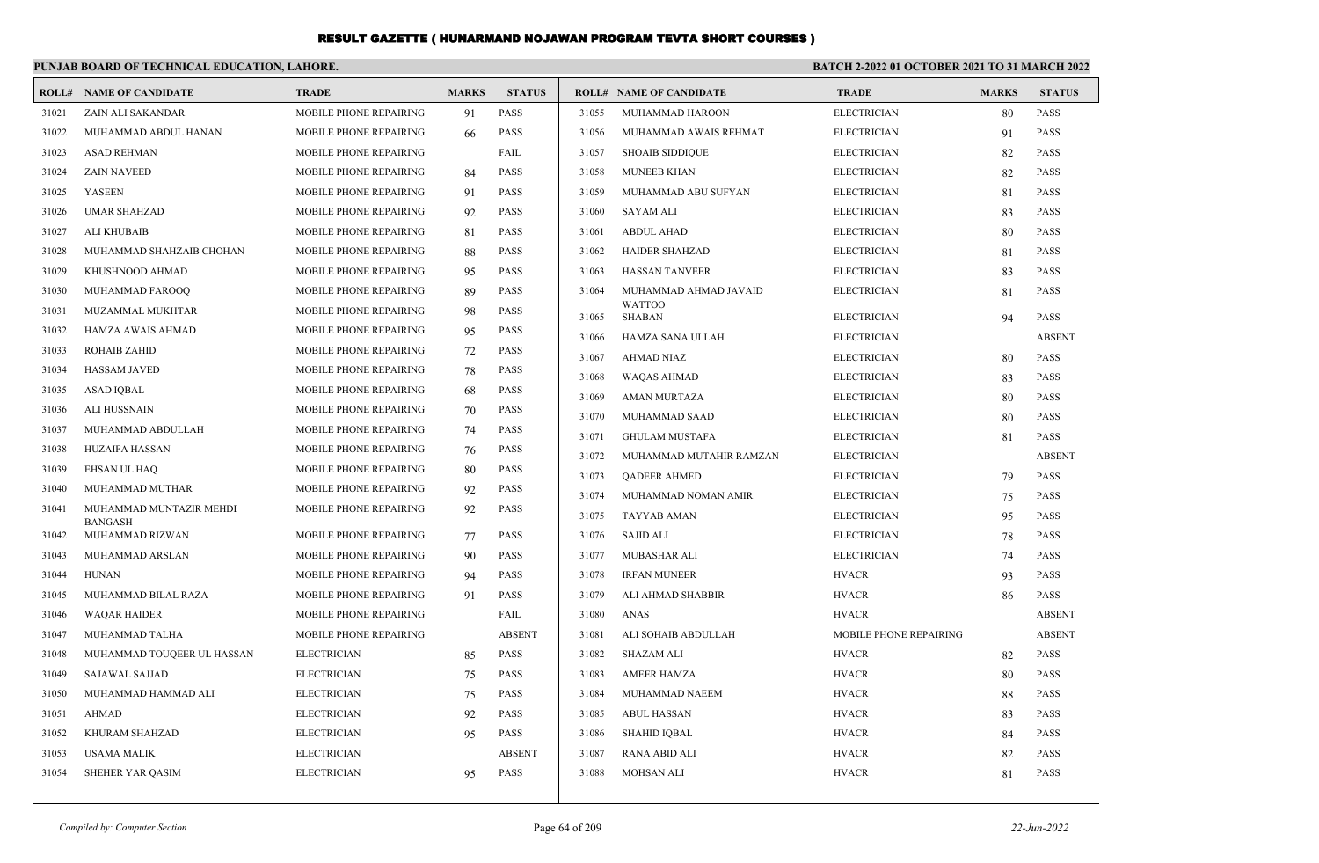|       | PUNJAB BOARD OF TECHNICAL EDUCATION, LAHORE. |                               |              |               |       |                                | BATCH 2-2022 01 OCTOBER 2021 TO 31 MARCH 2022 |              |               |  |
|-------|----------------------------------------------|-------------------------------|--------------|---------------|-------|--------------------------------|-----------------------------------------------|--------------|---------------|--|
|       | <b>ROLL# NAME OF CANDIDATE</b>               | <b>TRADE</b>                  | <b>MARKS</b> | <b>STATUS</b> |       | <b>ROLL# NAME OF CANDIDATE</b> | <b>TRADE</b>                                  | <b>MARKS</b> | <b>STATUS</b> |  |
| 31021 | ZAIN ALI SAKANDAR                            | MOBILE PHONE REPAIRING        | 91           | <b>PASS</b>   | 31055 | MUHAMMAD HAROON                | <b>ELECTRICIAN</b>                            | 80           | <b>PASS</b>   |  |
| 31022 | MUHAMMAD ABDUL HANAN                         | MOBILE PHONE REPAIRING        | 66           | <b>PASS</b>   | 31056 | MUHAMMAD AWAIS REHMAT          | <b>ELECTRICIAN</b>                            | 91           | <b>PASS</b>   |  |
| 31023 | <b>ASAD REHMAN</b>                           | MOBILE PHONE REPAIRING        |              | FAIL          | 31057 | <b>SHOAIB SIDDIQUE</b>         | <b>ELECTRICIAN</b>                            | 82           | <b>PASS</b>   |  |
| 31024 | <b>ZAIN NAVEED</b>                           | MOBILE PHONE REPAIRING        | 84           | <b>PASS</b>   | 31058 | <b>MUNEEB KHAN</b>             | <b>ELECTRICIAN</b>                            | 82           | <b>PASS</b>   |  |
| 31025 | <b>YASEEN</b>                                | MOBILE PHONE REPAIRING        | 91           | PASS          | 31059 | MUHAMMAD ABU SUFYAN            | <b>ELECTRICIAN</b>                            | 81           | <b>PASS</b>   |  |
| 31026 | <b>UMAR SHAHZAD</b>                          | MOBILE PHONE REPAIRING        | 92           | PASS          | 31060 | <b>SAYAM ALI</b>               | <b>ELECTRICIAN</b>                            | 83           | <b>PASS</b>   |  |
| 31027 | <b>ALI KHUBAIB</b>                           | MOBILE PHONE REPAIRING        | 81           | <b>PASS</b>   | 31061 | <b>ABDUL AHAD</b>              | <b>ELECTRICIAN</b>                            | 80           | <b>PASS</b>   |  |
| 31028 | MUHAMMAD SHAHZAIB CHOHAN                     | MOBILE PHONE REPAIRING        | 88           | <b>PASS</b>   | 31062 | <b>HAIDER SHAHZAD</b>          | <b>ELECTRICIAN</b>                            | 81           | <b>PASS</b>   |  |
| 31029 | KHUSHNOOD AHMAD                              | MOBILE PHONE REPAIRING        | 95           | <b>PASS</b>   | 31063 | <b>HASSAN TANVEER</b>          | <b>ELECTRICIAN</b>                            | 83           | <b>PASS</b>   |  |
| 31030 | MUHAMMAD FAROOQ                              | MOBILE PHONE REPAIRING        | 89           | PASS          | 31064 | MUHAMMAD AHMAD JAVAID          | <b>ELECTRICIAN</b>                            | 81           | <b>PASS</b>   |  |
| 31031 | MUZAMMAL MUKHTAR                             | MOBILE PHONE REPAIRING        | 98           | <b>PASS</b>   | 31065 | <b>WATTOO</b><br><b>SHABAN</b> | <b>ELECTRICIAN</b>                            | 94           | PASS          |  |
| 31032 | HAMZA AWAIS AHMAD                            | MOBILE PHONE REPAIRING        | 95           | <b>PASS</b>   | 31066 | HAMZA SANA ULLAH               | <b>ELECTRICIAN</b>                            |              | <b>ABSENT</b> |  |
| 31033 | <b>ROHAIB ZAHID</b>                          | MOBILE PHONE REPAIRING        | 72           | <b>PASS</b>   | 31067 | <b>AHMAD NIAZ</b>              | <b>ELECTRICIAN</b>                            | 80           | <b>PASS</b>   |  |
| 31034 | <b>HASSAM JAVED</b>                          | <b>MOBILE PHONE REPAIRING</b> | 78           | PASS          | 31068 | <b>WAQAS AHMAD</b>             | <b>ELECTRICIAN</b>                            | 83           | <b>PASS</b>   |  |
| 31035 | <b>ASAD IQBAL</b>                            | MOBILE PHONE REPAIRING        | 68           | <b>PASS</b>   | 31069 | <b>AMAN MURTAZA</b>            | <b>ELECTRICIAN</b>                            | 80           | <b>PASS</b>   |  |
| 31036 | <b>ALI HUSSNAIN</b>                          | MOBILE PHONE REPAIRING        | 70           | <b>PASS</b>   | 31070 | MUHAMMAD SAAD                  | <b>ELECTRICIAN</b>                            | 80           | <b>PASS</b>   |  |
| 31037 | MUHAMMAD ABDULLAH                            | MOBILE PHONE REPAIRING        | 74           | <b>PASS</b>   | 31071 | <b>GHULAM MUSTAFA</b>          | <b>ELECTRICIAN</b>                            | 81           | <b>PASS</b>   |  |
| 31038 | <b>HUZAIFA HASSAN</b>                        | MOBILE PHONE REPAIRING        | 76           | <b>PASS</b>   | 31072 | MUHAMMAD MUTAHIR RAMZAN        | <b>ELECTRICIAN</b>                            |              | <b>ABSENT</b> |  |
| 31039 | <b>EHSAN UL HAQ</b>                          | MOBILE PHONE REPAIRING        | 80           | <b>PASS</b>   | 31073 | <b>OADEER AHMED</b>            | <b>ELECTRICIAN</b>                            | 79           | PASS          |  |
| 31040 | MUHAMMAD MUTHAR                              | MOBILE PHONE REPAIRING        | 92           | <b>PASS</b>   | 31074 | MUHAMMAD NOMAN AMIR            | <b>ELECTRICIAN</b>                            | 75           | <b>PASS</b>   |  |
| 31041 | MUHAMMAD MUNTAZIR MEHDI                      | MOBILE PHONE REPAIRING        | 92           | <b>PASS</b>   | 31075 | <b>TAYYAB AMAN</b>             | <b>ELECTRICIAN</b>                            | 95           | <b>PASS</b>   |  |
| 31042 | <b>BANGASH</b><br>MUHAMMAD RIZWAN            | MOBILE PHONE REPAIRING        | 77           | <b>PASS</b>   | 31076 | <b>SAJID ALI</b>               | <b>ELECTRICIAN</b>                            | 78           | <b>PASS</b>   |  |
| 31043 | MUHAMMAD ARSLAN                              | MOBILE PHONE REPAIRING        | 90           | <b>PASS</b>   | 31077 | MUBASHAR ALI                   | <b>ELECTRICIAN</b>                            | 74           | <b>PASS</b>   |  |
| 31044 | <b>HUNAN</b>                                 | MOBILE PHONE REPAIRING        | 94           | <b>PASS</b>   | 31078 | <b>IRFAN MUNEER</b>            | <b>HVACR</b>                                  | 93           | <b>PASS</b>   |  |
| 31045 | MUHAMMAD BILAL RAZA                          | MOBILE PHONE REPAIRING        | 91           | <b>PASS</b>   | 31079 | ALI AHMAD SHABBIR              | <b>HVACR</b>                                  | 86           | <b>PASS</b>   |  |
| 31046 | <b>WAQAR HAIDER</b>                          | MOBILE PHONE REPAIRING        |              | FAIL          | 31080 | <b>ANAS</b>                    | <b>HVACR</b>                                  |              | <b>ABSENT</b> |  |
| 31047 | MUHAMMAD TALHA                               | MOBILE PHONE REPAIRING        |              | <b>ABSENT</b> | 31081 | ALI SOHAIB ABDULLAH            | MOBILE PHONE REPAIRING                        |              | <b>ABSENT</b> |  |
| 31048 | MUHAMMAD TOUQEER UL HASSAN                   | <b>ELECTRICIAN</b>            | 85           | <b>PASS</b>   | 31082 | <b>SHAZAM ALI</b>              | <b>HVACR</b>                                  | 82           | PASS          |  |
| 31049 | <b>SAJAWAL SAJJAD</b>                        | <b>ELECTRICIAN</b>            | 75           | <b>PASS</b>   | 31083 | <b>AMEER HAMZA</b>             | <b>HVACR</b>                                  | 80           | <b>PASS</b>   |  |
| 31050 | MUHAMMAD HAMMAD ALI                          | <b>ELECTRICIAN</b>            | 75           | <b>PASS</b>   | 31084 | MUHAMMAD NAEEM                 | <b>HVACR</b>                                  | 88           | <b>PASS</b>   |  |
| 31051 | <b>AHMAD</b>                                 | <b>ELECTRICIAN</b>            | 92           | PASS          | 31085 | <b>ABUL HASSAN</b>             | <b>HVACR</b>                                  | 83           | <b>PASS</b>   |  |
| 31052 | KHURAM SHAHZAD                               | <b>ELECTRICIAN</b>            | 95           | PASS          | 31086 | <b>SHAHID IQBAL</b>            | <b>HVACR</b>                                  | 84           | <b>PASS</b>   |  |
| 31053 | <b>USAMA MALIK</b>                           | <b>ELECTRICIAN</b>            |              | <b>ABSENT</b> | 31087 | <b>RANA ABID ALI</b>           | <b>HVACR</b>                                  | 82           | <b>PASS</b>   |  |
| 31054 | <b>SHEHER YAR OASIM</b>                      | <b>ELECTRICIAN</b>            | 95           | <b>PASS</b>   | 31088 | <b>MOHSAN ALI</b>              | <b>HVACR</b>                                  | 81           | PASS          |  |
|       |                                              |                               |              |               |       |                                |                                               |              |               |  |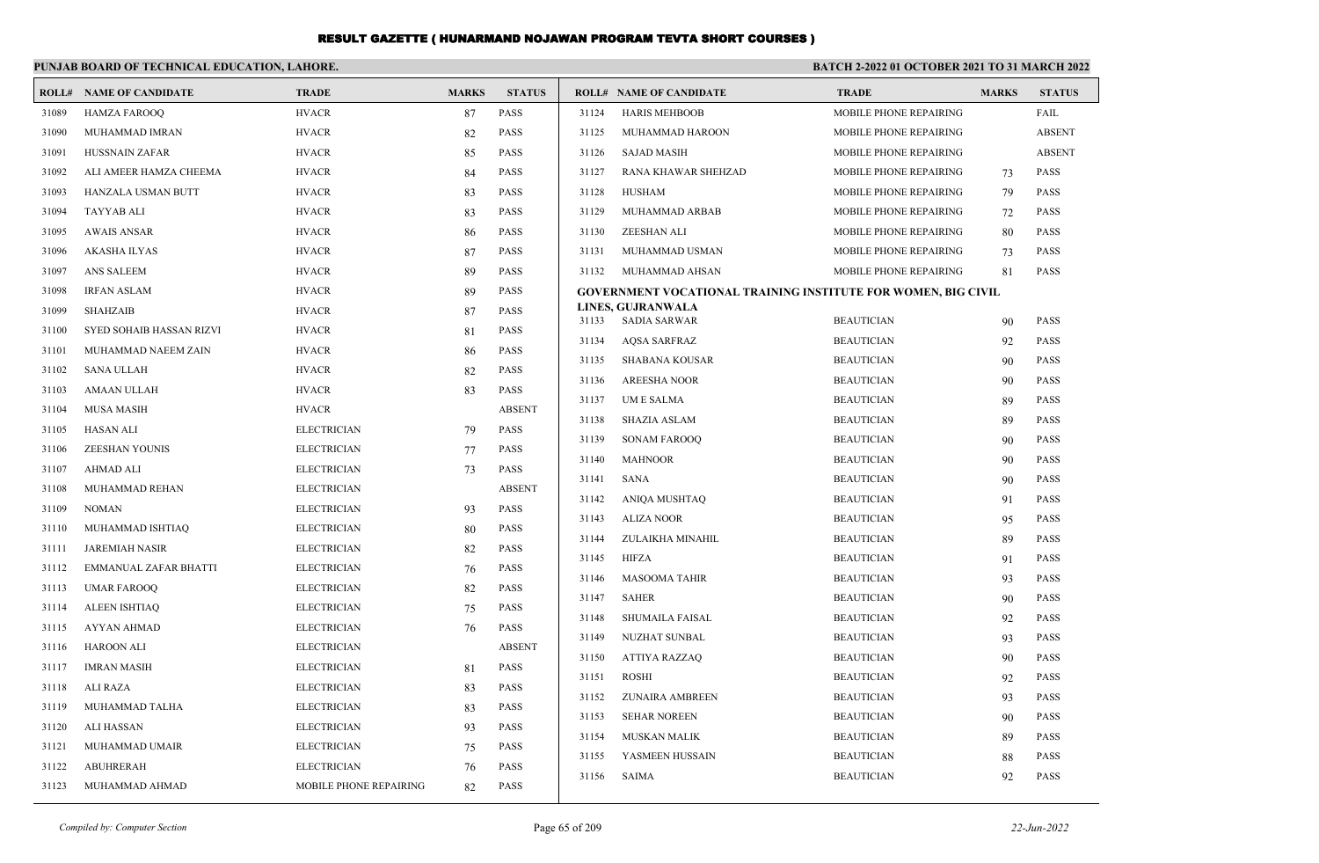|       | PUNJAB BOARD OF TECHNICAL EDUCATION, LAHORE. |                        |              |               |       |                                                                      | <b>BATCH 2-2022 01 OCTOBER 2021 TO 31 MARCH 2022</b> |              |               |  |
|-------|----------------------------------------------|------------------------|--------------|---------------|-------|----------------------------------------------------------------------|------------------------------------------------------|--------------|---------------|--|
|       | <b>ROLL# NAME OF CANDIDATE</b>               | <b>TRADE</b>           | <b>MARKS</b> | <b>STATUS</b> |       | <b>ROLL# NAME OF CANDIDATE</b>                                       | <b>TRADE</b>                                         | <b>MARKS</b> | <b>STATUS</b> |  |
| 31089 | <b>HAMZA FAROOQ</b>                          | <b>HVACR</b>           | 87           | PASS          | 31124 | <b>HARIS MEHBOOB</b>                                                 | MOBILE PHONE REPAIRING                               |              | FAIL          |  |
| 31090 | MUHAMMAD IMRAN                               | <b>HVACR</b>           | 82           | <b>PASS</b>   | 31125 | MUHAMMAD HAROON                                                      | MOBILE PHONE REPAIRING                               |              | <b>ABSENT</b> |  |
| 31091 | <b>HUSSNAIN ZAFAR</b>                        | <b>HVACR</b>           | 85           | PASS          | 31126 | <b>SAJAD MASIH</b>                                                   | MOBILE PHONE REPAIRING                               |              | <b>ABSENT</b> |  |
| 31092 | ALI AMEER HAMZA CHEEMA                       | <b>HVACR</b>           | 84           | <b>PASS</b>   | 31127 | RANA KHAWAR SHEHZAD                                                  | MOBILE PHONE REPAIRING                               | 73           | <b>PASS</b>   |  |
| 31093 | HANZALA USMAN BUTT                           | <b>HVACR</b>           | 83           | PASS          | 31128 | HUSHAM                                                               | MOBILE PHONE REPAIRING                               | 79           | <b>PASS</b>   |  |
| 31094 | <b>TAYYAB ALI</b>                            | <b>HVACR</b>           | 83           | <b>PASS</b>   | 31129 | MUHAMMAD ARBAB                                                       | MOBILE PHONE REPAIRING                               | 72           | <b>PASS</b>   |  |
| 31095 | <b>AWAIS ANSAR</b>                           | <b>HVACR</b>           | 86           | PASS          | 31130 | <b>ZEESHAN ALI</b>                                                   | MOBILE PHONE REPAIRING                               | 80           | <b>PASS</b>   |  |
| 31096 | <b>AKASHA ILYAS</b>                          | <b>HVACR</b>           | 87           | <b>PASS</b>   | 31131 | MUHAMMAD USMAN                                                       | MOBILE PHONE REPAIRING                               | 73           | <b>PASS</b>   |  |
| 31097 | ANS SALEEM                                   | <b>HVACR</b>           | 89           | PASS          | 31132 | MUHAMMAD AHSAN                                                       | MOBILE PHONE REPAIRING                               | 81           | <b>PASS</b>   |  |
| 31098 | <b>IRFAN ASLAM</b>                           | <b>HVACR</b>           | 89           | <b>PASS</b>   |       | <b>GOVERNMENT VOCATIONAL TRAINING INSTITUTE FOR WOMEN, BIG CIVIL</b> |                                                      |              |               |  |
| 31099 | <b>SHAHZAIB</b>                              | <b>HVACR</b>           | 87           | <b>PASS</b>   | 31133 | LINES, GUJRANWALA<br><b>SADIA SARWAR</b>                             | <b>BEAUTICIAN</b>                                    | 90           | <b>PASS</b>   |  |
| 31100 | SYED SOHAIB HASSAN RIZVI                     | <b>HVACR</b>           | 81           | <b>PASS</b>   | 31134 | <b>AQSA SARFRAZ</b>                                                  | <b>BEAUTICIAN</b>                                    | 92           | <b>PASS</b>   |  |
| 31101 | MUHAMMAD NAEEM ZAIN                          | <b>HVACR</b>           | 86           | <b>PASS</b>   | 31135 | <b>SHABANA KOUSAR</b>                                                | <b>BEAUTICIAN</b>                                    | 90           | <b>PASS</b>   |  |
| 31102 | <b>SANA ULLAH</b>                            | <b>HVACR</b>           | 82           | <b>PASS</b>   | 31136 | <b>AREESHA NOOR</b>                                                  | <b>BEAUTICIAN</b>                                    | 90           | <b>PASS</b>   |  |
| 31103 | <b>AMAAN ULLAH</b>                           | <b>HVACR</b>           | 83           | <b>PASS</b>   | 31137 | <b>UME SALMA</b>                                                     | <b>BEAUTICIAN</b>                                    | 89           | <b>PASS</b>   |  |
| 31104 | <b>MUSA MASIH</b>                            | <b>HVACR</b>           |              | <b>ABSENT</b> | 31138 | <b>SHAZIA ASLAM</b>                                                  | <b>BEAUTICIAN</b>                                    | 89           | <b>PASS</b>   |  |
| 31105 | <b>HASAN ALI</b>                             | <b>ELECTRICIAN</b>     | 79           | <b>PASS</b>   | 31139 | <b>SONAM FAROOO</b>                                                  | <b>BEAUTICIAN</b>                                    | 90           | <b>PASS</b>   |  |
| 31106 | <b>ZEESHAN YOUNIS</b>                        | <b>ELECTRICIAN</b>     | 77           | <b>PASS</b>   | 31140 | <b>MAHNOOR</b>                                                       | <b>BEAUTICIAN</b>                                    | 90           | <b>PASS</b>   |  |
| 31107 | <b>AHMAD ALI</b>                             | <b>ELECTRICIAN</b>     | 73           | <b>PASS</b>   | 31141 | <b>SANA</b>                                                          | <b>BEAUTICIAN</b>                                    | 90           | <b>PASS</b>   |  |
| 31108 | MUHAMMAD REHAN                               | <b>ELECTRICIAN</b>     |              | <b>ABSENT</b> | 31142 | <b>ANIOA MUSHTAO</b>                                                 | <b>BEAUTICIAN</b>                                    | 91           | <b>PASS</b>   |  |
| 31109 | <b>NOMAN</b>                                 | <b>ELECTRICIAN</b>     | 93           | <b>PASS</b>   | 31143 | <b>ALIZA NOOR</b>                                                    | <b>BEAUTICIAN</b>                                    | 95           | <b>PASS</b>   |  |
| 31110 | MUHAMMAD ISHTIAQ                             | <b>ELECTRICIAN</b>     | 80           | <b>PASS</b>   | 31144 | ZULAIKHA MINAHIL                                                     | <b>BEAUTICIAN</b>                                    | 89           | <b>PASS</b>   |  |
| 31111 | <b>JAREMIAH NASIR</b>                        | <b>ELECTRICIAN</b>     | 82           | <b>PASS</b>   | 31145 | <b>HIFZA</b>                                                         | <b>BEAUTICIAN</b>                                    | 91           | <b>PASS</b>   |  |
| 31112 | <b>EMMANUAL ZAFAR BHATTI</b>                 | <b>ELECTRICIAN</b>     | 76           | <b>PASS</b>   | 31146 | <b>MASOOMA TAHIR</b>                                                 | <b>BEAUTICIAN</b>                                    | 93           | <b>PASS</b>   |  |
| 31113 | <b>UMAR FAROOQ</b>                           | <b>ELECTRICIAN</b>     | 82           | <b>PASS</b>   | 31147 | <b>SAHER</b>                                                         | <b>BEAUTICIAN</b>                                    | 90           | <b>PASS</b>   |  |
| 31114 | <b>ALEEN ISHTIAQ</b>                         | <b>ELECTRICIAN</b>     | 75           | <b>PASS</b>   | 31148 | <b>SHUMAILA FAISAL</b>                                               | <b>BEAUTICIAN</b>                                    | 92           | <b>PASS</b>   |  |
| 31115 | AYYAN AHMAD                                  | <b>ELECTRICIAN</b>     | 76           | PASS          | 31149 | NUZHAT SUNBAL                                                        | <b>BEAUTICIAN</b>                                    | 93           | <b>PASS</b>   |  |
| 31116 | <b>HAROON ALI</b>                            | <b>ELECTRICIAN</b>     |              | <b>ABSENT</b> | 31150 | <b>ATTIYA RAZZAQ</b>                                                 | <b>BEAUTICIAN</b>                                    | 90           | <b>PASS</b>   |  |
| 31117 | <b>IMRAN MASIH</b>                           | <b>ELECTRICIAN</b>     | 81           | <b>PASS</b>   | 31151 | <b>ROSHI</b>                                                         | <b>BEAUTICIAN</b>                                    | 92           | <b>PASS</b>   |  |
| 31118 | ALI RAZA                                     | <b>ELECTRICIAN</b>     | 83           | <b>PASS</b>   | 31152 | ZUNAIRA AMBREEN                                                      | <b>BEAUTICIAN</b>                                    | 93           | <b>PASS</b>   |  |
| 31119 | MUHAMMAD TALHA                               | <b>ELECTRICIAN</b>     | 83           | <b>PASS</b>   | 31153 | <b>SEHAR NOREEN</b>                                                  | <b>BEAUTICIAN</b>                                    | 90           | <b>PASS</b>   |  |
| 31120 | <b>ALI HASSAN</b>                            | <b>ELECTRICIAN</b>     | 93           | <b>PASS</b>   | 31154 | <b>MUSKAN MALIK</b>                                                  | <b>BEAUTICIAN</b>                                    | 89           | <b>PASS</b>   |  |
| 31121 | MUHAMMAD UMAIR                               | <b>ELECTRICIAN</b>     | 75           | <b>PASS</b>   | 31155 | YASMEEN HUSSAIN                                                      | <b>BEAUTICIAN</b>                                    | 88           | PASS          |  |
| 31122 | <b>ABUHRERAH</b>                             | <b>ELECTRICIAN</b>     | 76           | <b>PASS</b>   | 31156 | <b>SAIMA</b>                                                         | <b>BEAUTICIAN</b>                                    | 92           | <b>PASS</b>   |  |
| 31123 | MUHAMMAD AHMAD                               | MOBILE PHONE REPAIRING | 82           | <b>PASS</b>   |       |                                                                      |                                                      |              |               |  |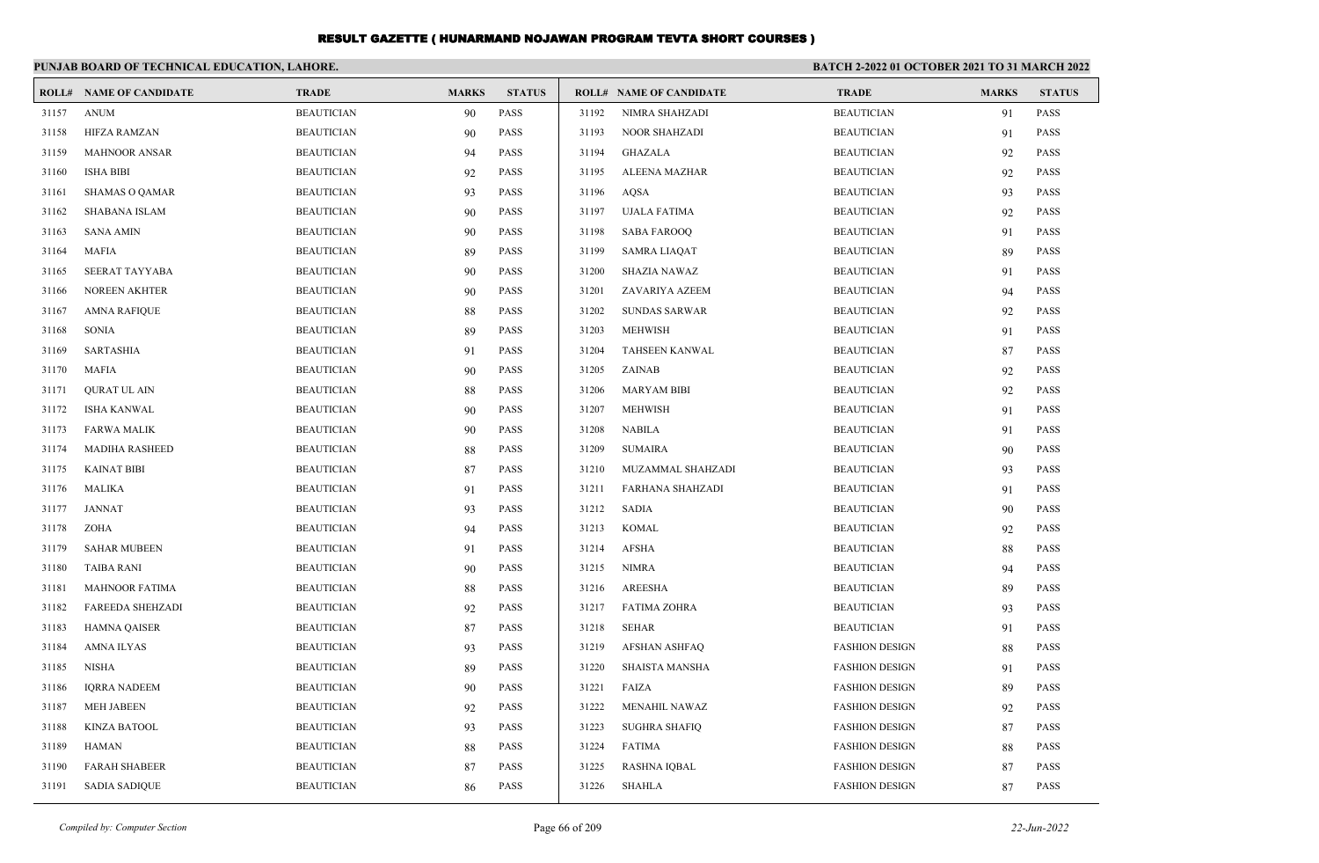|       | PUNJAB BOARD OF TECHNICAL EDUCATION, LAHORE. |                   |              |               |       |                                | <b>BATCH 2-2022 01 OCTOBER 2021 TO 31 MARCH 2022</b> |              |               |  |
|-------|----------------------------------------------|-------------------|--------------|---------------|-------|--------------------------------|------------------------------------------------------|--------------|---------------|--|
|       | <b>ROLL# NAME OF CANDIDATE</b>               | <b>TRADE</b>      | <b>MARKS</b> | <b>STATUS</b> |       | <b>ROLL# NAME OF CANDIDATE</b> | <b>TRADE</b>                                         | <b>MARKS</b> | <b>STATUS</b> |  |
| 31157 | <b>ANUM</b>                                  | <b>BEAUTICIAN</b> | 90           | PASS          | 31192 | NIMRA SHAHZADI                 | <b>BEAUTICIAN</b>                                    | 91           | <b>PASS</b>   |  |
| 31158 | <b>HIFZA RAMZAN</b>                          | <b>BEAUTICIAN</b> | 90           | PASS          | 31193 | <b>NOOR SHAHZADI</b>           | <b>BEAUTICIAN</b>                                    | 91           | PASS          |  |
| 31159 | <b>MAHNOOR ANSAR</b>                         | <b>BEAUTICIAN</b> | 94           | <b>PASS</b>   | 31194 | <b>GHAZALA</b>                 | <b>BEAUTICIAN</b>                                    | 92           | <b>PASS</b>   |  |
| 31160 | <b>ISHA BIBI</b>                             | <b>BEAUTICIAN</b> | 92           | PASS          | 31195 | ALEENA MAZHAR                  | <b>BEAUTICIAN</b>                                    | 92           | <b>PASS</b>   |  |
| 31161 | <b>SHAMAS O QAMAR</b>                        | <b>BEAUTICIAN</b> | 93           | <b>PASS</b>   | 31196 | <b>AOSA</b>                    | <b>BEAUTICIAN</b>                                    | 93           | <b>PASS</b>   |  |
| 31162 | <b>SHABANA ISLAM</b>                         | <b>BEAUTICIAN</b> | 90           | <b>PASS</b>   | 31197 | <b>UJALA FATIMA</b>            | <b>BEAUTICIAN</b>                                    | 92           | <b>PASS</b>   |  |
| 31163 | <b>SANA AMIN</b>                             | <b>BEAUTICIAN</b> | 90           | <b>PASS</b>   | 31198 | <b>SABA FAROOQ</b>             | <b>BEAUTICIAN</b>                                    | 91           | <b>PASS</b>   |  |
| 31164 | <b>MAFIA</b>                                 | <b>BEAUTICIAN</b> | 89           | PASS          | 31199 | <b>SAMRA LIAQAT</b>            | <b>BEAUTICIAN</b>                                    | 89           | <b>PASS</b>   |  |
| 31165 | <b>SEERAT TAYYABA</b>                        | <b>BEAUTICIAN</b> | 90           | <b>PASS</b>   | 31200 | <b>SHAZIA NAWAZ</b>            | <b>BEAUTICIAN</b>                                    | 91           | <b>PASS</b>   |  |
| 31166 | <b>NOREEN AKHTER</b>                         | <b>BEAUTICIAN</b> | 90           | <b>PASS</b>   | 31201 | ZAVARIYA AZEEM                 | <b>BEAUTICIAN</b>                                    | 94           | <b>PASS</b>   |  |
| 31167 | <b>AMNA RAFIQUE</b>                          | <b>BEAUTICIAN</b> | 88           | PASS          | 31202 | <b>SUNDAS SARWAR</b>           | <b>BEAUTICIAN</b>                                    | 92           | <b>PASS</b>   |  |
| 31168 | <b>SONIA</b>                                 | <b>BEAUTICIAN</b> | 89           | <b>PASS</b>   | 31203 | <b>MEHWISH</b>                 | <b>BEAUTICIAN</b>                                    | 91           | <b>PASS</b>   |  |
| 31169 | <b>SARTASHIA</b>                             | <b>BEAUTICIAN</b> | 91           | <b>PASS</b>   | 31204 | <b>TAHSEEN KANWAL</b>          | <b>BEAUTICIAN</b>                                    | 87           | <b>PASS</b>   |  |
| 31170 | <b>MAFIA</b>                                 | <b>BEAUTICIAN</b> | 90           | <b>PASS</b>   | 31205 | ZAINAB                         | <b>BEAUTICIAN</b>                                    | 92           | <b>PASS</b>   |  |
| 31171 | <b>QURAT UL AIN</b>                          | <b>BEAUTICIAN</b> | 88           | <b>PASS</b>   | 31206 | <b>MARYAM BIBI</b>             | <b>BEAUTICIAN</b>                                    | 92           | <b>PASS</b>   |  |
| 31172 | <b>ISHA KANWAL</b>                           | <b>BEAUTICIAN</b> | 90           | <b>PASS</b>   | 31207 | <b>MEHWISH</b>                 | <b>BEAUTICIAN</b>                                    | 91           | <b>PASS</b>   |  |
| 31173 | <b>FARWA MALIK</b>                           | <b>BEAUTICIAN</b> | 90           | <b>PASS</b>   | 31208 | <b>NABILA</b>                  | <b>BEAUTICIAN</b>                                    | 91           | <b>PASS</b>   |  |
| 31174 | <b>MADIHA RASHEED</b>                        | <b>BEAUTICIAN</b> | 88           | <b>PASS</b>   | 31209 | <b>SUMAIRA</b>                 | <b>BEAUTICIAN</b>                                    | 90           | <b>PASS</b>   |  |
| 31175 | <b>KAINAT BIBI</b>                           | <b>BEAUTICIAN</b> | 87           | <b>PASS</b>   | 31210 | MUZAMMAL SHAHZADI              | <b>BEAUTICIAN</b>                                    | 93           | <b>PASS</b>   |  |
| 31176 | <b>MALIKA</b>                                | <b>BEAUTICIAN</b> | 91           | <b>PASS</b>   | 31211 | <b>FARHANA SHAHZADI</b>        | <b>BEAUTICIAN</b>                                    | 91           | <b>PASS</b>   |  |
| 31177 | <b>JANNAT</b>                                | <b>BEAUTICIAN</b> | 93           | <b>PASS</b>   | 31212 | <b>SADIA</b>                   | <b>BEAUTICIAN</b>                                    | 90           | <b>PASS</b>   |  |
| 31178 | ZOHA                                         | <b>BEAUTICIAN</b> | 94           | PASS          | 31213 | <b>KOMAL</b>                   | <b>BEAUTICIAN</b>                                    | 92           | <b>PASS</b>   |  |
| 31179 | <b>SAHAR MUBEEN</b>                          | <b>BEAUTICIAN</b> | 91           | <b>PASS</b>   | 31214 | <b>AFSHA</b>                   | <b>BEAUTICIAN</b>                                    | 88           | <b>PASS</b>   |  |
| 31180 | <b>TAIBA RANI</b>                            | <b>BEAUTICIAN</b> | 90           | <b>PASS</b>   | 31215 | <b>NIMRA</b>                   | <b>BEAUTICIAN</b>                                    | 94           | <b>PASS</b>   |  |
| 31181 | <b>MAHNOOR FATIMA</b>                        | <b>BEAUTICIAN</b> | 88           | <b>PASS</b>   | 31216 | <b>AREESHA</b>                 | <b>BEAUTICIAN</b>                                    | 89           | <b>PASS</b>   |  |
| 31182 | <b>FAREEDA SHEHZADI</b>                      | <b>BEAUTICIAN</b> | 92           | PASS          | 31217 | <b>FATIMA ZOHRA</b>            | <b>BEAUTICIAN</b>                                    | 93           | <b>PASS</b>   |  |
| 31183 | <b>HAMNA QAISER</b>                          | <b>BEAUTICIAN</b> | 87           | PASS          | 31218 | <b>SEHAR</b>                   | <b>BEAUTICIAN</b>                                    | 91           | <b>PASS</b>   |  |
| 31184 | <b>AMNA ILYAS</b>                            | <b>BEAUTICIAN</b> | 93           | <b>PASS</b>   | 31219 | <b>AFSHAN ASHFAQ</b>           | <b>FASHION DESIGN</b>                                | 88           | PASS          |  |
| 31185 | <b>NISHA</b>                                 | <b>BEAUTICIAN</b> | 89           | <b>PASS</b>   | 31220 | <b>SHAISTA MANSHA</b>          | <b>FASHION DESIGN</b>                                | 91           | <b>PASS</b>   |  |
| 31186 | <b>IORRA NADEEM</b>                          | <b>BEAUTICIAN</b> | 90           | <b>PASS</b>   | 31221 | FAIZA                          | <b>FASHION DESIGN</b>                                | 89           | <b>PASS</b>   |  |
| 31187 | <b>MEH JABEEN</b>                            | <b>BEAUTICIAN</b> | 92           | <b>PASS</b>   | 31222 | <b>MENAHIL NAWAZ</b>           | <b>FASHION DESIGN</b>                                | 92           | <b>PASS</b>   |  |
| 31188 | <b>KINZA BATOOL</b>                          | <b>BEAUTICIAN</b> | 93           | <b>PASS</b>   | 31223 | <b>SUGHRA SHAFIQ</b>           | <b>FASHION DESIGN</b>                                | 87           | <b>PASS</b>   |  |
| 31189 | <b>HAMAN</b>                                 | <b>BEAUTICIAN</b> | 88           | <b>PASS</b>   | 31224 | <b>FATIMA</b>                  | <b>FASHION DESIGN</b>                                | 88           | <b>PASS</b>   |  |
| 31190 | <b>FARAH SHABEER</b>                         | <b>BEAUTICIAN</b> | 87           | PASS          | 31225 | <b>RASHNA IQBAL</b>            | <b>FASHION DESIGN</b>                                | 87           | <b>PASS</b>   |  |
| 31191 | <b>SADIA SADIQUE</b>                         | <b>BEAUTICIAN</b> | 86           | <b>PASS</b>   | 31226 | <b>SHAHLA</b>                  | <b>FASHION DESIGN</b>                                | 87           | <b>PASS</b>   |  |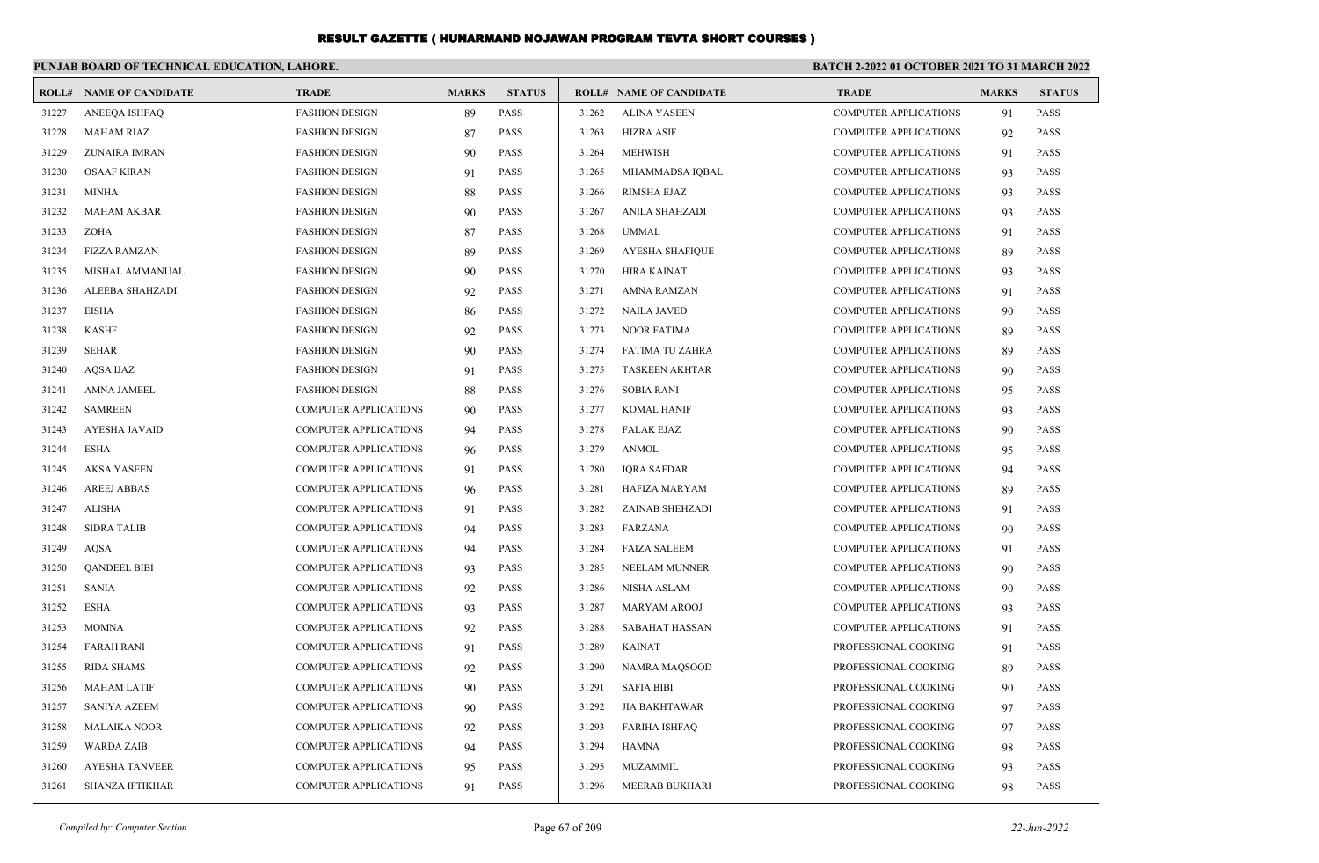|       | PUNJAB BOARD OF TECHNICAL EDUCATION, LAHORE. |                              |              |               |       |                                | <b>BATCH 2-2022 01 OCTOBER 2021 TO 31 MARCH 2022</b> |              |               |
|-------|----------------------------------------------|------------------------------|--------------|---------------|-------|--------------------------------|------------------------------------------------------|--------------|---------------|
|       | <b>ROLL# NAME OF CANDIDATE</b>               | <b>TRADE</b>                 | <b>MARKS</b> | <b>STATUS</b> |       | <b>ROLL# NAME OF CANDIDATE</b> | <b>TRADE</b>                                         | <b>MARKS</b> | <b>STATUS</b> |
| 31227 | ANEEQA ISHFAQ                                | <b>FASHION DESIGN</b>        | 89           | PASS          | 31262 | <b>ALINA YASEEN</b>            | <b>COMPUTER APPLICATIONS</b>                         | 91           | <b>PASS</b>   |
| 31228 | <b>MAHAM RIAZ</b>                            | <b>FASHION DESIGN</b>        | 87           | <b>PASS</b>   | 31263 | <b>HIZRA ASIF</b>              | <b>COMPUTER APPLICATIONS</b>                         | 92           | <b>PASS</b>   |
| 31229 | ZUNAIRA IMRAN                                | <b>FASHION DESIGN</b>        | 90           | <b>PASS</b>   | 31264 | <b>MEHWISH</b>                 | <b>COMPUTER APPLICATIONS</b>                         | 91           | <b>PASS</b>   |
| 31230 | <b>OSAAF KIRAN</b>                           | <b>FASHION DESIGN</b>        | 91           | PASS          | 31265 | MHAMMADSA IQBAL                | <b>COMPUTER APPLICATIONS</b>                         | 93           | <b>PASS</b>   |
| 31231 | <b>MINHA</b>                                 | <b>FASHION DESIGN</b>        | 88           | <b>PASS</b>   | 31266 | <b>RIMSHA EJAZ</b>             | <b>COMPUTER APPLICATIONS</b>                         | 93           | <b>PASS</b>   |
| 31232 | <b>MAHAM AKBAR</b>                           | <b>FASHION DESIGN</b>        | 90           | <b>PASS</b>   | 31267 | <b>ANILA SHAHZADI</b>          | <b>COMPUTER APPLICATIONS</b>                         | 93           | <b>PASS</b>   |
| 31233 | <b>ZOHA</b>                                  | <b>FASHION DESIGN</b>        | 87           | <b>PASS</b>   | 31268 | <b>UMMAL</b>                   | <b>COMPUTER APPLICATIONS</b>                         | 91           | <b>PASS</b>   |
| 31234 | <b>FIZZA RAMZAN</b>                          | <b>FASHION DESIGN</b>        | 89           | <b>PASS</b>   | 31269 | <b>AYESHA SHAFIQUE</b>         | <b>COMPUTER APPLICATIONS</b>                         | 89           | <b>PASS</b>   |
| 31235 | <b>MISHAL AMMANUAL</b>                       | <b>FASHION DESIGN</b>        | 90           | <b>PASS</b>   | 31270 | <b>HIRA KAINAT</b>             | <b>COMPUTER APPLICATIONS</b>                         | 93           | <b>PASS</b>   |
| 31236 | ALEEBA SHAHZADI                              | <b>FASHION DESIGN</b>        | 92           | <b>PASS</b>   | 31271 | <b>AMNA RAMZAN</b>             | <b>COMPUTER APPLICATIONS</b>                         | 91           | <b>PASS</b>   |
| 31237 | <b>EISHA</b>                                 | <b>FASHION DESIGN</b>        | 86           | <b>PASS</b>   | 31272 | <b>NAILA JAVED</b>             | <b>COMPUTER APPLICATIONS</b>                         | 90           | <b>PASS</b>   |
| 31238 | <b>KASHF</b>                                 | <b>FASHION DESIGN</b>        | 92           | <b>PASS</b>   | 31273 | <b>NOOR FATIMA</b>             | <b>COMPUTER APPLICATIONS</b>                         | 89           | <b>PASS</b>   |
| 31239 | <b>SEHAR</b>                                 | <b>FASHION DESIGN</b>        | 90           | <b>PASS</b>   | 31274 | FATIMA TU ZAHRA                | <b>COMPUTER APPLICATIONS</b>                         | 89           | <b>PASS</b>   |
| 31240 | <b>AOSA IJAZ</b>                             | <b>FASHION DESIGN</b>        | 91           | <b>PASS</b>   | 31275 | <b>TASKEEN AKHTAR</b>          | <b>COMPUTER APPLICATIONS</b>                         | 90           | <b>PASS</b>   |
| 31241 | <b>AMNA JAMEEL</b>                           | <b>FASHION DESIGN</b>        | 88           | <b>PASS</b>   | 31276 | <b>SOBIA RANI</b>              | <b>COMPUTER APPLICATIONS</b>                         | 95           | <b>PASS</b>   |
| 31242 | <b>SAMREEN</b>                               | COMPUTER APPLICATIONS        | 90           | PASS          | 31277 | <b>KOMAL HANIF</b>             | <b>COMPUTER APPLICATIONS</b>                         | 93           | <b>PASS</b>   |
| 31243 | <b>AYESHA JAVAID</b>                         | COMPUTER APPLICATIONS        | 94           | PASS          | 31278 | <b>FALAK EJAZ</b>              | <b>COMPUTER APPLICATIONS</b>                         | 90           | <b>PASS</b>   |
| 31244 | <b>ESHA</b>                                  | <b>COMPUTER APPLICATIONS</b> | 96           | <b>PASS</b>   | 31279 | <b>ANMOL</b>                   | <b>COMPUTER APPLICATIONS</b>                         | 95           | <b>PASS</b>   |
| 31245 | <b>AKSA YASEEN</b>                           | <b>COMPUTER APPLICATIONS</b> | 91           | PASS          | 31280 | <b>IORA SAFDAR</b>             | <b>COMPUTER APPLICATIONS</b>                         | 94           | <b>PASS</b>   |
| 31246 | <b>AREEJ ABBAS</b>                           | <b>COMPUTER APPLICATIONS</b> | 96           | PASS          | 31281 | HAFIZA MARYAM                  | <b>COMPUTER APPLICATIONS</b>                         | 89           | <b>PASS</b>   |
| 31247 | <b>ALISHA</b>                                | COMPUTER APPLICATIONS        | 91           | PASS          | 31282 | ZAINAB SHEHZADI                | COMPUTER APPLICATIONS                                | 91           | <b>PASS</b>   |
| 31248 | <b>SIDRA TALIB</b>                           | <b>COMPUTER APPLICATIONS</b> | 94           | PASS          | 31283 | FARZANA                        | <b>COMPUTER APPLICATIONS</b>                         | 90           | <b>PASS</b>   |
| 31249 | AQSA                                         | <b>COMPUTER APPLICATIONS</b> | 94           | PASS          | 31284 | <b>FAIZA SALEEM</b>            | <b>COMPUTER APPLICATIONS</b>                         | 91           | <b>PASS</b>   |
| 31250 | <b>QANDEEL BIBI</b>                          | COMPUTER APPLICATIONS        | 93           | PASS          | 31285 | NEELAM MUNNER                  | COMPUTER APPLICATIONS                                | 90           | <b>PASS</b>   |
| 31251 | <b>SANIA</b>                                 | <b>COMPUTER APPLICATIONS</b> | 92           | <b>PASS</b>   | 31286 | <b>NISHA ASLAM</b>             | <b>COMPUTER APPLICATIONS</b>                         | 90           | <b>PASS</b>   |
| 31252 | <b>ESHA</b>                                  | <b>COMPUTER APPLICATIONS</b> | 93           | PASS          | 31287 | <b>MARYAM AROOJ</b>            | <b>COMPUTER APPLICATIONS</b>                         | 93           | <b>PASS</b>   |
| 31253 | <b>MOMNA</b>                                 | <b>COMPUTER APPLICATIONS</b> | 92           | <b>PASS</b>   | 31288 | <b>SABAHAT HASSAN</b>          | <b>COMPUTER APPLICATIONS</b>                         | 91           | <b>PASS</b>   |
| 31254 | <b>FARAH RANI</b>                            | COMPUTER APPLICATIONS        | 91           | <b>PASS</b>   | 31289 | <b>KAINAT</b>                  | PROFESSIONAL COOKING                                 | 91           | <b>PASS</b>   |
| 31255 | <b>RIDA SHAMS</b>                            | COMPUTER APPLICATIONS        | 92           | <b>PASS</b>   | 31290 | NAMRA MAQSOOD                  | PROFESSIONAL COOKING                                 | 89           | <b>PASS</b>   |
| 31256 | <b>MAHAM LATIF</b>                           | COMPUTER APPLICATIONS        | 90           | <b>PASS</b>   | 31291 | <b>SAFIA BIBI</b>              | PROFESSIONAL COOKING                                 | 90           | <b>PASS</b>   |
| 31257 | <b>SANIYA AZEEM</b>                          | <b>COMPUTER APPLICATIONS</b> | 90           | <b>PASS</b>   | 31292 | <b>JIA BAKHTAWAR</b>           | PROFESSIONAL COOKING                                 | 97           | <b>PASS</b>   |
| 31258 | <b>MALAIKA NOOR</b>                          | COMPUTER APPLICATIONS        | 92           | <b>PASS</b>   | 31293 | <b>FARIHA ISHFAQ</b>           | PROFESSIONAL COOKING                                 | 97           | <b>PASS</b>   |
| 31259 | WARDA ZAIB                                   | COMPUTER APPLICATIONS        | 94           | <b>PASS</b>   | 31294 | <b>HAMNA</b>                   | PROFESSIONAL COOKING                                 | 98           | <b>PASS</b>   |
| 31260 | <b>AYESHA TANVEER</b>                        | <b>COMPUTER APPLICATIONS</b> | 95           | <b>PASS</b>   | 31295 | MUZAMMIL                       | PROFESSIONAL COOKING                                 | 93           | <b>PASS</b>   |
| 31261 | <b>SHANZA IFTIKHAR</b>                       | <b>COMPUTER APPLICATIONS</b> | 91           | PASS          | 31296 | MEERAB BUKHARI                 | PROFESSIONAL COOKING                                 | 98           | PASS          |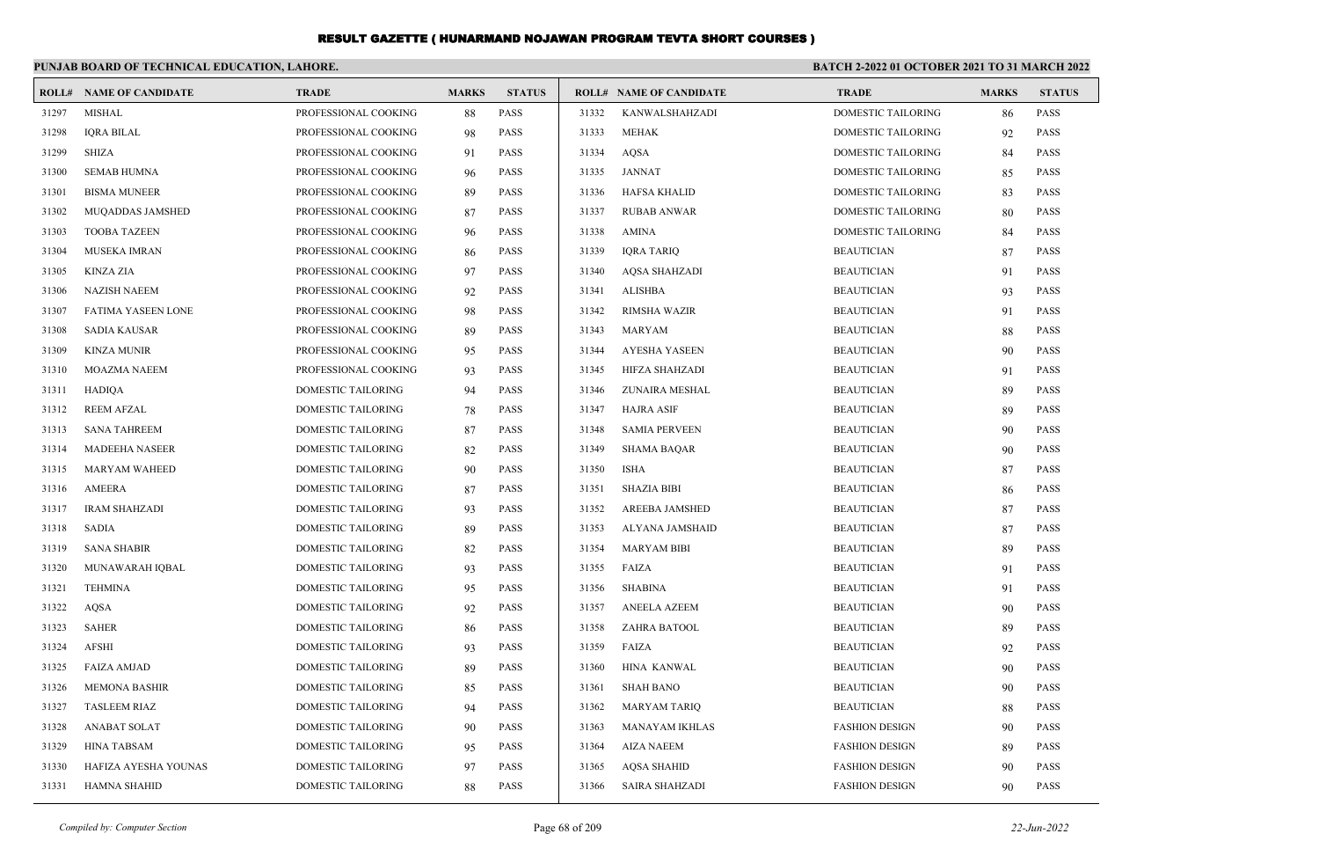|       | PUNJAB BOARD OF TECHNICAL EDUCATION, LAHORE. | BATCH 2-2022 01 OCTOBER 2021 TO 31 MARCH 2022 |              |               |       |                                |                           |              |               |
|-------|----------------------------------------------|-----------------------------------------------|--------------|---------------|-------|--------------------------------|---------------------------|--------------|---------------|
|       | <b>ROLL# NAME OF CANDIDATE</b>               | <b>TRADE</b>                                  | <b>MARKS</b> | <b>STATUS</b> |       | <b>ROLL# NAME OF CANDIDATE</b> | <b>TRADE</b>              | <b>MARKS</b> | <b>STATUS</b> |
| 31297 | <b>MISHAL</b>                                | PROFESSIONAL COOKING                          | 88           | <b>PASS</b>   | 31332 | KANWALSHAHZADI                 | <b>DOMESTIC TAILORING</b> | 86           | <b>PASS</b>   |
| 31298 | <b>IORA BILAL</b>                            | PROFESSIONAL COOKING                          | 98           | <b>PASS</b>   | 31333 | <b>MEHAK</b>                   | <b>DOMESTIC TAILORING</b> | 92           | <b>PASS</b>   |
| 31299 | <b>SHIZA</b>                                 | PROFESSIONAL COOKING                          | 91           | <b>PASS</b>   | 31334 | AQSA                           | <b>DOMESTIC TAILORING</b> | 84           | <b>PASS</b>   |
| 31300 | <b>SEMAB HUMNA</b>                           | PROFESSIONAL COOKING                          | 96           | <b>PASS</b>   | 31335 | <b>JANNAT</b>                  | <b>DOMESTIC TAILORING</b> | 85           | <b>PASS</b>   |
| 31301 | <b>BISMA MUNEER</b>                          | PROFESSIONAL COOKING                          | 89           | PASS          | 31336 | <b>HAFSA KHALID</b>            | DOMESTIC TAILORING        | 83           | <b>PASS</b>   |
| 31302 | MUQADDAS JAMSHED                             | PROFESSIONAL COOKING                          | 87           | <b>PASS</b>   | 31337 | <b>RUBAB ANWAR</b>             | DOMESTIC TAILORING        | 80           | <b>PASS</b>   |
| 31303 | <b>TOOBA TAZEEN</b>                          | PROFESSIONAL COOKING                          | 96           | <b>PASS</b>   | 31338 | <b>AMINA</b>                   | <b>DOMESTIC TAILORING</b> | 84           | <b>PASS</b>   |
| 31304 | <b>MUSEKA IMRAN</b>                          | PROFESSIONAL COOKING                          | 86           | PASS          | 31339 | <b>IQRA TARIQ</b>              | <b>BEAUTICIAN</b>         | 87           | <b>PASS</b>   |
| 31305 | <b>KINZA ZIA</b>                             | PROFESSIONAL COOKING                          | 97           | <b>PASS</b>   | 31340 | <b>AQSA SHAHZADI</b>           | <b>BEAUTICIAN</b>         | 91           | <b>PASS</b>   |
| 31306 | <b>NAZISH NAEEM</b>                          | PROFESSIONAL COOKING                          | 92           | <b>PASS</b>   | 31341 | <b>ALISHBA</b>                 | <b>BEAUTICIAN</b>         | 93           | <b>PASS</b>   |
| 31307 | FATIMA YASEEN LONE                           | PROFESSIONAL COOKING                          | 98           | PASS          | 31342 | <b>RIMSHA WAZIR</b>            | <b>BEAUTICIAN</b>         | 91           | <b>PASS</b>   |
| 31308 | <b>SADIA KAUSAR</b>                          | PROFESSIONAL COOKING                          | 89           | <b>PASS</b>   | 31343 | <b>MARYAM</b>                  | <b>BEAUTICIAN</b>         | 88           | <b>PASS</b>   |
| 31309 | <b>KINZA MUNIR</b>                           | PROFESSIONAL COOKING                          | 95           | <b>PASS</b>   | 31344 | <b>AYESHA YASEEN</b>           | <b>BEAUTICIAN</b>         | 90           | <b>PASS</b>   |
| 31310 | MOAZMA NAEEM                                 | PROFESSIONAL COOKING                          | 93           | PASS          | 31345 | HIFZA SHAHZADI                 | <b>BEAUTICIAN</b>         | 91           | <b>PASS</b>   |
| 31311 | HADIQA                                       | DOMESTIC TAILORING                            | 94           | PASS          | 31346 | ZUNAIRA MESHAL                 | <b>BEAUTICIAN</b>         | 89           | <b>PASS</b>   |
| 31312 | <b>REEM AFZAL</b>                            | DOMESTIC TAILORING                            | 78           | <b>PASS</b>   | 31347 | <b>HAJRA ASIF</b>              | <b>BEAUTICIAN</b>         | 89           | <b>PASS</b>   |
| 31313 | <b>SANA TAHREEM</b>                          | DOMESTIC TAILORING                            | 87           | PASS          | 31348 | <b>SAMIA PERVEEN</b>           | <b>BEAUTICIAN</b>         | 90           | <b>PASS</b>   |
| 31314 | <b>MADEEHA NASEER</b>                        | DOMESTIC TAILORING                            | 82           | <b>PASS</b>   | 31349 | <b>SHAMA BAQAR</b>             | <b>BEAUTICIAN</b>         | 90           | <b>PASS</b>   |
| 31315 | <b>MARYAM WAHEED</b>                         | DOMESTIC TAILORING                            | 90           | <b>PASS</b>   | 31350 | <b>ISHA</b>                    | <b>BEAUTICIAN</b>         | 87           | <b>PASS</b>   |
| 31316 | <b>AMEERA</b>                                | DOMESTIC TAILORING                            | 87           | PASS          | 31351 | <b>SHAZIA BIBI</b>             | <b>BEAUTICIAN</b>         | 86           | <b>PASS</b>   |
| 31317 | <b>IRAM SHAHZADI</b>                         | DOMESTIC TAILORING                            | 93           | PASS          | 31352 | <b>AREEBA JAMSHED</b>          | <b>BEAUTICIAN</b>         | 87           | <b>PASS</b>   |
| 31318 | <b>SADIA</b>                                 | DOMESTIC TAILORING                            | 89           | PASS          | 31353 | ALYANA JAMSHAID                | <b>BEAUTICIAN</b>         | 87           | <b>PASS</b>   |
| 31319 | <b>SANA SHABIR</b>                           | DOMESTIC TAILORING                            | 82           | PASS          | 31354 | <b>MARYAM BIBI</b>             | <b>BEAUTICIAN</b>         | 89           | <b>PASS</b>   |
| 31320 | MUNAWARAH IQBAL                              | DOMESTIC TAILORING                            | 93           | <b>PASS</b>   | 31355 | FAIZA                          | <b>BEAUTICIAN</b>         | 91           | <b>PASS</b>   |
| 31321 | <b>TEHMINA</b>                               | DOMESTIC TAILORING                            | 95           | PASS          | 31356 | <b>SHABINA</b>                 | <b>BEAUTICIAN</b>         | 91           | <b>PASS</b>   |
| 31322 | <b>AQSA</b>                                  | DOMESTIC TAILORING                            | 92           | PASS          | 31357 | ANEELA AZEEM                   | <b>BEAUTICIAN</b>         | 90           | <b>PASS</b>   |
| 31323 | <b>SAHER</b>                                 | <b>DOMESTIC TAILORING</b>                     | 86           | <b>PASS</b>   | 31358 | ZAHRA BATOOL                   | <b>BEAUTICIAN</b>         | 89           | <b>PASS</b>   |
| 31324 | <b>AFSHI</b>                                 | DOMESTIC TAILORING                            | 93           | PASS          | 31359 | FAIZA                          | <b>BEAUTICIAN</b>         | 92           | <b>PASS</b>   |
| 31325 | <b>FAIZA AMJAD</b>                           | <b>DOMESTIC TAILORING</b>                     | 89           | <b>PASS</b>   | 31360 | <b>HINA KANWAL</b>             | <b>BEAUTICIAN</b>         | 90           | <b>PASS</b>   |
| 31326 | <b>MEMONA BASHIR</b>                         | <b>DOMESTIC TAILORING</b>                     | 85           | <b>PASS</b>   | 31361 | <b>SHAH BANO</b>               | <b>BEAUTICIAN</b>         | 90           | <b>PASS</b>   |
| 31327 | <b>TASLEEM RIAZ</b>                          | DOMESTIC TAILORING                            | 94           | PASS          | 31362 | <b>MARYAM TARIQ</b>            | <b>BEAUTICIAN</b>         | 88           | <b>PASS</b>   |
| 31328 | <b>ANABAT SOLAT</b>                          | DOMESTIC TAILORING                            | 90           | PASS          | 31363 | <b>MANAYAM IKHLAS</b>          | <b>FASHION DESIGN</b>     | 90           | <b>PASS</b>   |
| 31329 | <b>HINA TABSAM</b>                           | DOMESTIC TAILORING                            | 95           | <b>PASS</b>   | 31364 | <b>AIZA NAEEM</b>              | <b>FASHION DESIGN</b>     | 89           | <b>PASS</b>   |
| 31330 | HAFIZA AYESHA YOUNAS                         | DOMESTIC TAILORING                            | 97           | <b>PASS</b>   | 31365 | AQSA SHAHID                    | <b>FASHION DESIGN</b>     | 90           | <b>PASS</b>   |
| 31331 | <b>HAMNA SHAHID</b>                          | <b>DOMESTIC TAILORING</b>                     | 88           | <b>PASS</b>   | 31366 | <b>SAIRA SHAHZADI</b>          | <b>FASHION DESIGN</b>     | 90           | <b>PASS</b>   |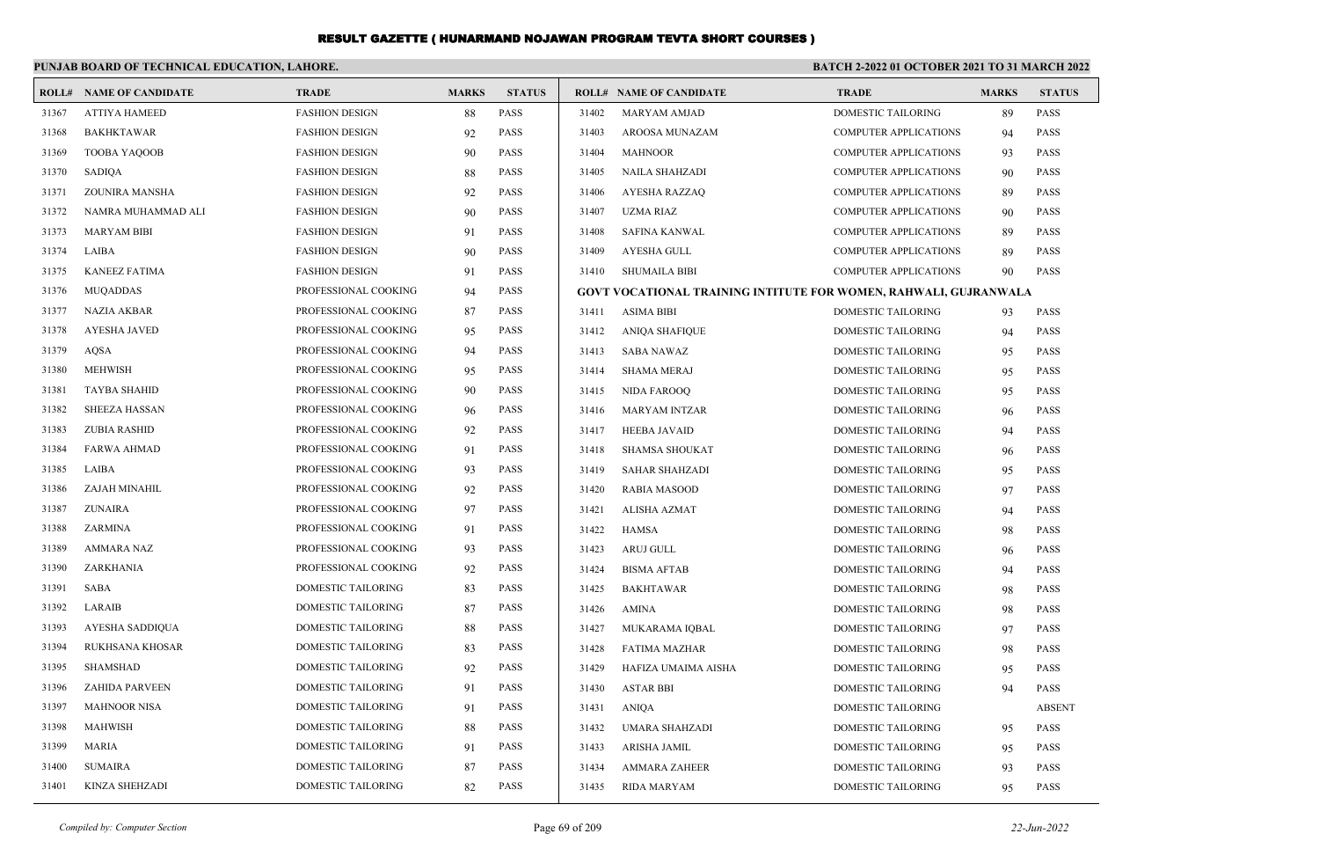|       | PUNJAB BOARD OF TECHNICAL EDUCATION, LAHORE. |                           |              |               |       |                                                                         | BATCH 2-2022 01 OCTOBER 2021 TO 31 MARCH 2022 |              |               |  |
|-------|----------------------------------------------|---------------------------|--------------|---------------|-------|-------------------------------------------------------------------------|-----------------------------------------------|--------------|---------------|--|
|       | <b>ROLL# NAME OF CANDIDATE</b>               | <b>TRADE</b>              | <b>MARKS</b> | <b>STATUS</b> |       | <b>ROLL# NAME OF CANDIDATE</b>                                          | <b>TRADE</b>                                  | <b>MARKS</b> | <b>STATUS</b> |  |
| 31367 | <b>ATTIYA HAMEED</b>                         | <b>FASHION DESIGN</b>     | 88           | <b>PASS</b>   | 31402 | <b>MARYAM AMJAD</b>                                                     | <b>DOMESTIC TAILORING</b>                     | 89           | <b>PASS</b>   |  |
| 31368 | <b>BAKHKTAWAR</b>                            | <b>FASHION DESIGN</b>     | 92           | PASS          | 31403 | AROOSA MUNAZAM                                                          | <b>COMPUTER APPLICATIONS</b>                  | 94           | <b>PASS</b>   |  |
| 31369 | <b>TOOBA YAQOOB</b>                          | <b>FASHION DESIGN</b>     | 90           | <b>PASS</b>   | 31404 | <b>MAHNOOR</b>                                                          | <b>COMPUTER APPLICATIONS</b>                  | 93           | <b>PASS</b>   |  |
| 31370 | SADIQA                                       | <b>FASHION DESIGN</b>     | 88           | PASS          | 31405 | <b>NAILA SHAHZADI</b>                                                   | <b>COMPUTER APPLICATIONS</b>                  | 90           | <b>PASS</b>   |  |
| 31371 | ZOUNIRA MANSHA                               | <b>FASHION DESIGN</b>     | 92           | <b>PASS</b>   | 31406 | <b>AYESHA RAZZAQ</b>                                                    | <b>COMPUTER APPLICATIONS</b>                  | 89           | <b>PASS</b>   |  |
| 31372 | NAMRA MUHAMMAD ALI                           | <b>FASHION DESIGN</b>     | 90           | <b>PASS</b>   | 31407 | UZMA RIAZ                                                               | <b>COMPUTER APPLICATIONS</b>                  | 90           | <b>PASS</b>   |  |
| 31373 | <b>MARYAM BIBI</b>                           | <b>FASHION DESIGN</b>     | 91           | <b>PASS</b>   | 31408 | <b>SAFINA KANWAL</b>                                                    | <b>COMPUTER APPLICATIONS</b>                  | 89           | <b>PASS</b>   |  |
| 31374 | <b>LAIBA</b>                                 | <b>FASHION DESIGN</b>     | 90           | <b>PASS</b>   | 31409 | <b>AYESHA GULL</b>                                                      | <b>COMPUTER APPLICATIONS</b>                  | 89           | <b>PASS</b>   |  |
| 31375 | <b>KANEEZ FATIMA</b>                         | <b>FASHION DESIGN</b>     | 91           | <b>PASS</b>   | 31410 | <b>SHUMAILA BIBI</b>                                                    | <b>COMPUTER APPLICATIONS</b>                  | 90           | PASS          |  |
| 31376 | <b>MUQADDAS</b>                              | PROFESSIONAL COOKING      | 94           | <b>PASS</b>   |       | <b>GOVT VOCATIONAL TRAINING INTITUTE FOR WOMEN, RAHWALI, GUJRANWALA</b> |                                               |              |               |  |
| 31377 | <b>NAZIA AKBAR</b>                           | PROFESSIONAL COOKING      | 87           | PASS          | 31411 | <b>ASIMA BIBI</b>                                                       | DOMESTIC TAILORING                            | 93           | PASS          |  |
| 31378 | <b>AYESHA JAVED</b>                          | PROFESSIONAL COOKING      | 95           | <b>PASS</b>   | 31412 | <b>ANIQA SHAFIQUE</b>                                                   | <b>DOMESTIC TAILORING</b>                     | 94           | <b>PASS</b>   |  |
| 31379 | AQSA                                         | PROFESSIONAL COOKING      | 94           | PASS          | 31413 | <b>SABA NAWAZ</b>                                                       | DOMESTIC TAILORING                            | 95           | <b>PASS</b>   |  |
| 31380 | <b>MEHWISH</b>                               | PROFESSIONAL COOKING      | 95           | <b>PASS</b>   | 31414 | <b>SHAMA MERAJ</b>                                                      | <b>DOMESTIC TAILORING</b>                     | 95           | <b>PASS</b>   |  |
| 31381 | <b>TAYBA SHAHID</b>                          | PROFESSIONAL COOKING      | 90           | PASS          | 31415 | NIDA FAROOO                                                             | <b>DOMESTIC TAILORING</b>                     | 95           | <b>PASS</b>   |  |
| 31382 | <b>SHEEZA HASSAN</b>                         | PROFESSIONAL COOKING      | 96           | <b>PASS</b>   | 31416 | <b>MARYAM INTZAR</b>                                                    | DOMESTIC TAILORING                            | 96           | <b>PASS</b>   |  |
| 31383 | <b>ZUBIA RASHID</b>                          | PROFESSIONAL COOKING      | 92           | <b>PASS</b>   | 31417 | <b>HEEBA JAVAID</b>                                                     | <b>DOMESTIC TAILORING</b>                     | 94           | <b>PASS</b>   |  |
| 31384 | <b>FARWA AHMAD</b>                           | PROFESSIONAL COOKING      | 91           | <b>PASS</b>   | 31418 | <b>SHAMSA SHOUKAT</b>                                                   | <b>DOMESTIC TAILORING</b>                     | 96           | <b>PASS</b>   |  |
| 31385 | LAIBA                                        | PROFESSIONAL COOKING      | 93           | <b>PASS</b>   | 31419 | <b>SAHAR SHAHZADI</b>                                                   | DOMESTIC TAILORING                            | 95           | <b>PASS</b>   |  |
| 31386 | ZAJAH MINAHIL                                | PROFESSIONAL COOKING      | 92           | PASS          | 31420 | <b>RABIA MASOOD</b>                                                     | <b>DOMESTIC TAILORING</b>                     | 97           | <b>PASS</b>   |  |
| 31387 | <b>ZUNAIRA</b>                               | PROFESSIONAL COOKING      | 97           | PASS          | 31421 | ALISHA AZMAT                                                            | <b>DOMESTIC TAILORING</b>                     | 94           | <b>PASS</b>   |  |
| 31388 | ZARMINA                                      | PROFESSIONAL COOKING      | 91           | <b>PASS</b>   | 31422 | <b>HAMSA</b>                                                            | DOMESTIC TAILORING                            | 98           | <b>PASS</b>   |  |
| 31389 | <b>AMMARA NAZ</b>                            | PROFESSIONAL COOKING      | 93           | <b>PASS</b>   | 31423 | <b>ARUJ GULL</b>                                                        | <b>DOMESTIC TAILORING</b>                     | 96           | <b>PASS</b>   |  |
| 31390 | ZARKHANIA                                    | PROFESSIONAL COOKING      | 92           | PASS          | 31424 | <b>BISMA AFTAB</b>                                                      | <b>DOMESTIC TAILORING</b>                     | 94           | <b>PASS</b>   |  |
| 31391 | <b>SABA</b>                                  | DOMESTIC TAILORING        | 83           | PASS          | 31425 | <b>BAKHTAWAR</b>                                                        | <b>DOMESTIC TAILORING</b>                     | 98           | <b>PASS</b>   |  |
| 31392 | LARAIB                                       | DOMESTIC TAILORING        | 87           | <b>PASS</b>   | 31426 | AMINA                                                                   | <b>DOMESTIC TAILORING</b>                     | 98           | <b>PASS</b>   |  |
| 31393 | AYESHA SADDIQUA                              | <b>DOMESTIC TAILORING</b> | 88           | PASS          | 31427 | MUKARAMA IQBAL                                                          | DOMESTIC TAILORING                            | 97           | <b>PASS</b>   |  |
| 31394 | RUKHSANA KHOSAR                              | DOMESTIC TAILORING        | 83           | <b>PASS</b>   | 31428 | FATIMA MAZHAR                                                           | <b>DOMESTIC TAILORING</b>                     | 98           | <b>PASS</b>   |  |
| 31395 | <b>SHAMSHAD</b>                              | <b>DOMESTIC TAILORING</b> | 92           | PASS          | 31429 | HAFIZA UMAIMA AISHA                                                     | <b>DOMESTIC TAILORING</b>                     | 95           | <b>PASS</b>   |  |
| 31396 | <b>ZAHIDA PARVEEN</b>                        | <b>DOMESTIC TAILORING</b> | 91           | PASS          | 31430 | <b>ASTAR BBI</b>                                                        | DOMESTIC TAILORING                            | 94           | <b>PASS</b>   |  |
| 31397 | <b>MAHNOOR NISA</b>                          | DOMESTIC TAILORING        | 91           | <b>PASS</b>   | 31431 | <b>ANIQA</b>                                                            | DOMESTIC TAILORING                            |              | <b>ABSENT</b> |  |
| 31398 | <b>MAHWISH</b>                               | <b>DOMESTIC TAILORING</b> | 88           | <b>PASS</b>   | 31432 | UMARA SHAHZADI                                                          | DOMESTIC TAILORING                            | 95           | <b>PASS</b>   |  |
| 31399 | <b>MARIA</b>                                 | DOMESTIC TAILORING        | 91           | <b>PASS</b>   | 31433 | ARISHA JAMIL                                                            | DOMESTIC TAILORING                            | 95           | <b>PASS</b>   |  |
| 31400 | <b>SUMAIRA</b>                               | <b>DOMESTIC TAILORING</b> | 87           | <b>PASS</b>   | 31434 | <b>AMMARA ZAHEER</b>                                                    | <b>DOMESTIC TAILORING</b>                     | 93           | <b>PASS</b>   |  |
| 31401 | KINZA SHEHZADI                               | <b>DOMESTIC TAILORING</b> | 82           | <b>PASS</b>   | 31435 | RIDA MARYAM                                                             | <b>DOMESTIC TAILORING</b>                     | 95           | <b>PASS</b>   |  |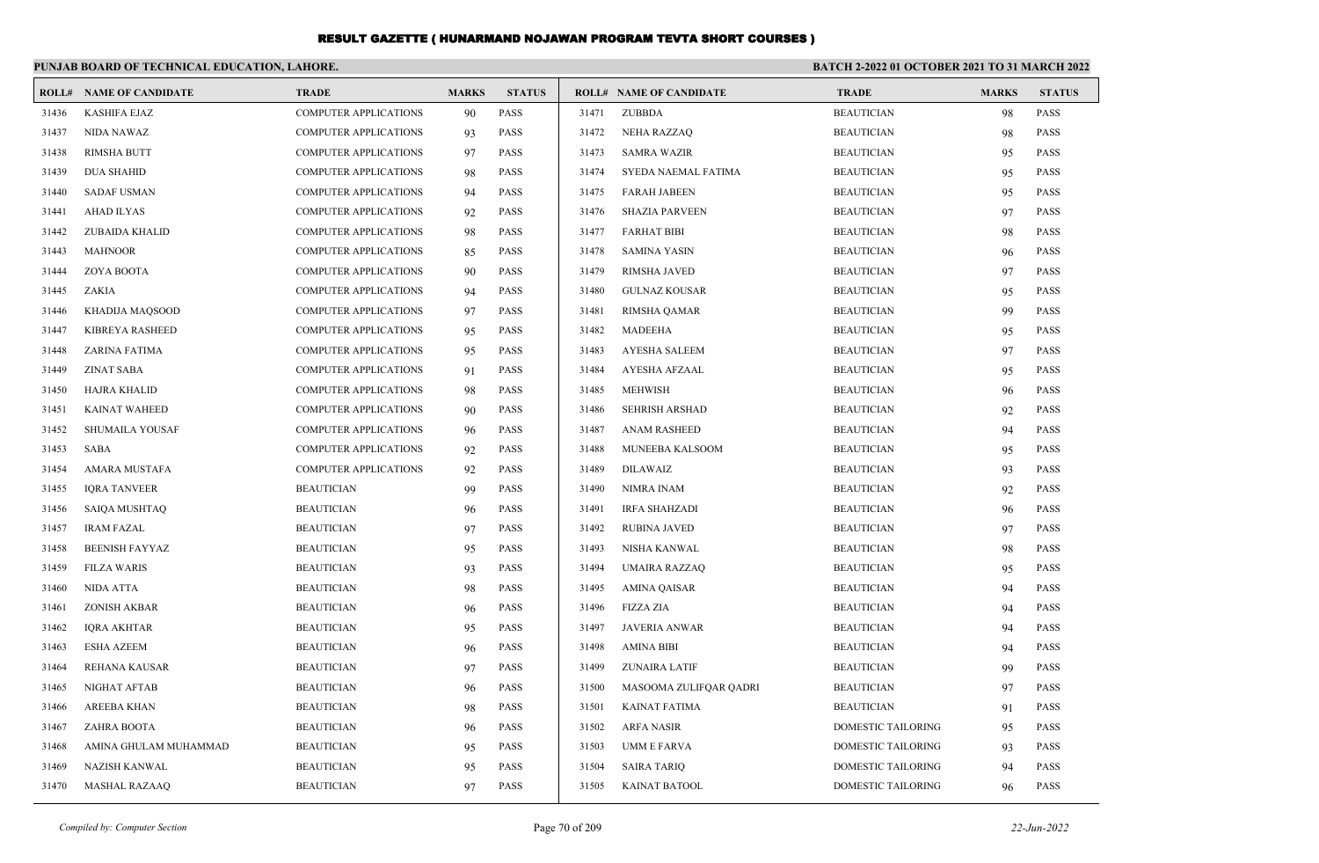|       | PUNJAB BOARD OF TECHNICAL EDUCATION, LAHORE. |                              |              |               |       |                                | <b>BATCH 2-2022 01 OCTOBER 2021 TO 31 MARCH 2022</b> |              |               |  |
|-------|----------------------------------------------|------------------------------|--------------|---------------|-------|--------------------------------|------------------------------------------------------|--------------|---------------|--|
|       | <b>ROLL# NAME OF CANDIDATE</b>               | <b>TRADE</b>                 | <b>MARKS</b> | <b>STATUS</b> |       | <b>ROLL# NAME OF CANDIDATE</b> | <b>TRADE</b>                                         | <b>MARKS</b> | <b>STATUS</b> |  |
| 31436 | <b>KASHIFA EJAZ</b>                          | <b>COMPUTER APPLICATIONS</b> | 90           | PASS          | 31471 | ZUBBDA                         | <b>BEAUTICIAN</b>                                    | 98           | <b>PASS</b>   |  |
| 31437 | NIDA NAWAZ                                   | <b>COMPUTER APPLICATIONS</b> | 93           | <b>PASS</b>   | 31472 | <b>NEHA RAZZAQ</b>             | <b>BEAUTICIAN</b>                                    | 98           | <b>PASS</b>   |  |
| 31438 | <b>RIMSHA BUTT</b>                           | COMPUTER APPLICATIONS        | 97           | <b>PASS</b>   | 31473 | <b>SAMRA WAZIR</b>             | <b>BEAUTICIAN</b>                                    | 95           | <b>PASS</b>   |  |
| 31439 | <b>DUA SHAHID</b>                            | <b>COMPUTER APPLICATIONS</b> | 98           | <b>PASS</b>   | 31474 | SYEDA NAEMAL FATIMA            | <b>BEAUTICIAN</b>                                    | 95           | <b>PASS</b>   |  |
| 31440 | <b>SADAF USMAN</b>                           | <b>COMPUTER APPLICATIONS</b> | 94           | <b>PASS</b>   | 31475 | <b>FARAH JABEEN</b>            | <b>BEAUTICIAN</b>                                    | 95           | <b>PASS</b>   |  |
| 31441 | AHAD ILYAS                                   | <b>COMPUTER APPLICATIONS</b> | 92           | <b>PASS</b>   | 31476 | <b>SHAZIA PARVEEN</b>          | <b>BEAUTICIAN</b>                                    | 97           | <b>PASS</b>   |  |
| 31442 | ZUBAIDA KHALID                               | <b>COMPUTER APPLICATIONS</b> | 98           | <b>PASS</b>   | 31477 | <b>FARHAT BIBI</b>             | <b>BEAUTICIAN</b>                                    | 98           | <b>PASS</b>   |  |
| 31443 | <b>MAHNOOR</b>                               | <b>COMPUTER APPLICATIONS</b> | 85           | <b>PASS</b>   | 31478 | SAMINA YASIN                   | <b>BEAUTICIAN</b>                                    | 96           | <b>PASS</b>   |  |
| 31444 | ZOYA BOOTA                                   | <b>COMPUTER APPLICATIONS</b> | 90           | <b>PASS</b>   | 31479 | RIMSHA JAVED                   | <b>BEAUTICIAN</b>                                    | 97           | <b>PASS</b>   |  |
| 31445 | ZAKIA                                        | <b>COMPUTER APPLICATIONS</b> | 94           | <b>PASS</b>   | 31480 | <b>GULNAZ KOUSAR</b>           | <b>BEAUTICIAN</b>                                    | 95           | <b>PASS</b>   |  |
| 31446 | KHADIJA MAQSOOD                              | <b>COMPUTER APPLICATIONS</b> | 97           | <b>PASS</b>   | 31481 | RIMSHA QAMAR                   | <b>BEAUTICIAN</b>                                    | 99           | <b>PASS</b>   |  |
| 31447 | <b>KIBREYA RASHEED</b>                       | <b>COMPUTER APPLICATIONS</b> | 95           | <b>PASS</b>   | 31482 | <b>MADEEHA</b>                 | <b>BEAUTICIAN</b>                                    | 95           | <b>PASS</b>   |  |
| 31448 | <b>ZARINA FATIMA</b>                         | <b>COMPUTER APPLICATIONS</b> | 95           | <b>PASS</b>   | 31483 | <b>AYESHA SALEEM</b>           | <b>BEAUTICIAN</b>                                    | 97           | <b>PASS</b>   |  |
| 31449 | ZINAT SABA                                   | <b>COMPUTER APPLICATIONS</b> | 91           | <b>PASS</b>   | 31484 | AYESHA AFZAAL                  | <b>BEAUTICIAN</b>                                    | 95           | <b>PASS</b>   |  |
| 31450 | HAJRA KHALID                                 | <b>COMPUTER APPLICATIONS</b> | 98           | <b>PASS</b>   | 31485 | <b>MEHWISH</b>                 | <b>BEAUTICIAN</b>                                    | 96           | <b>PASS</b>   |  |
| 31451 | <b>KAINAT WAHEED</b>                         | <b>COMPUTER APPLICATIONS</b> | 90           | <b>PASS</b>   | 31486 | <b>SEHRISH ARSHAD</b>          | <b>BEAUTICIAN</b>                                    | 92           | <b>PASS</b>   |  |
| 31452 | SHUMAILA YOUSAF                              | <b>COMPUTER APPLICATIONS</b> | 96           | <b>PASS</b>   | 31487 | <b>ANAM RASHEED</b>            | <b>BEAUTICIAN</b>                                    | 94           | <b>PASS</b>   |  |
| 31453 | SABA                                         | <b>COMPUTER APPLICATIONS</b> | 92           | <b>PASS</b>   | 31488 | <b>MUNEEBA KALSOOM</b>         | <b>BEAUTICIAN</b>                                    | 95           | <b>PASS</b>   |  |
| 31454 | AMARA MUSTAFA                                | <b>COMPUTER APPLICATIONS</b> | 92           | <b>PASS</b>   | 31489 | <b>DILAWAIZ</b>                | <b>BEAUTICIAN</b>                                    | 93           | <b>PASS</b>   |  |
| 31455 | <b>IQRA TANVEER</b>                          | <b>BEAUTICIAN</b>            | 99           | <b>PASS</b>   | 31490 | NIMRA INAM                     | <b>BEAUTICIAN</b>                                    | 92           | <b>PASS</b>   |  |
| 31456 | SAIQA MUSHTAQ                                | <b>BEAUTICIAN</b>            | 96           | <b>PASS</b>   | 31491 | <b>IRFA SHAHZADI</b>           | <b>BEAUTICIAN</b>                                    | 96           | <b>PASS</b>   |  |
| 31457 | <b>IRAM FAZAL</b>                            | <b>BEAUTICIAN</b>            | 97           | <b>PASS</b>   | 31492 | <b>RUBINA JAVED</b>            | <b>BEAUTICIAN</b>                                    | 97           | <b>PASS</b>   |  |
| 31458 | <b>BEENISH FAYYAZ</b>                        | <b>BEAUTICIAN</b>            | 95           | <b>PASS</b>   | 31493 | NISHA KANWAL                   | <b>BEAUTICIAN</b>                                    | 98           | <b>PASS</b>   |  |
| 31459 | <b>FILZA WARIS</b>                           | <b>BEAUTICIAN</b>            | 93           | <b>PASS</b>   | 31494 | UMAIRA RAZZAQ                  | <b>BEAUTICIAN</b>                                    | 95           | <b>PASS</b>   |  |
| 31460 | <b>NIDA ATTA</b>                             | <b>BEAUTICIAN</b>            | 98           | <b>PASS</b>   | 31495 | <b>AMINA QAISAR</b>            | <b>BEAUTICIAN</b>                                    | 94           | <b>PASS</b>   |  |
| 31461 | <b>ZONISH AKBAR</b>                          | <b>BEAUTICIAN</b>            | 96           | <b>PASS</b>   | 31496 | <b>FIZZA ZIA</b>               | <b>BEAUTICIAN</b>                                    | 94           | <b>PASS</b>   |  |
| 31462 | <b>IQRA AKHTAR</b>                           | <b>BEAUTICIAN</b>            | 95           | <b>PASS</b>   | 31497 | <b>JAVERIA ANWAR</b>           | <b>BEAUTICIAN</b>                                    | 94           | <b>PASS</b>   |  |
| 31463 | <b>ESHA AZEEM</b>                            | <b>BEAUTICIAN</b>            | 96           | <b>PASS</b>   | 31498 | <b>AMINA BIBI</b>              | <b>BEAUTICIAN</b>                                    | 94           | <b>PASS</b>   |  |
| 31464 | REHANA KAUSAR                                | <b>BEAUTICIAN</b>            | 97           | <b>PASS</b>   | 31499 | <b>ZUNAIRA LATIF</b>           | <b>BEAUTICIAN</b>                                    | 99           | <b>PASS</b>   |  |
| 31465 | NIGHAT AFTAB                                 | <b>BEAUTICIAN</b>            | 96           | <b>PASS</b>   | 31500 | MASOOMA ZULIFQAR QADRI         | <b>BEAUTICIAN</b>                                    | 97           | <b>PASS</b>   |  |
| 31466 | <b>AREEBA KHAN</b>                           | <b>BEAUTICIAN</b>            | 98           | <b>PASS</b>   | 31501 | KAINAT FATIMA                  | <b>BEAUTICIAN</b>                                    | 91           | <b>PASS</b>   |  |
| 31467 | ZAHRA BOOTA                                  | <b>BEAUTICIAN</b>            | 96           | PASS          | 31502 | ARFA NASIR                     | DOMESTIC TAILORING                                   | 95           | <b>PASS</b>   |  |
| 31468 | AMINA GHULAM MUHAMMAD                        | <b>BEAUTICIAN</b>            | 95           | <b>PASS</b>   | 31503 | UMM E FARVA                    | DOMESTIC TAILORING                                   | 93           | <b>PASS</b>   |  |
| 31469 | NAZISH KANWAL                                | <b>BEAUTICIAN</b>            | 95           | <b>PASS</b>   | 31504 | <b>SAIRA TARIO</b>             | DOMESTIC TAILORING                                   | 94           | <b>PASS</b>   |  |
| 31470 | <b>MASHAL RAZAAQ</b>                         | <b>BEAUTICIAN</b>            | 97           | PASS          | 31505 | KAINAT BATOOL                  | DOMESTIC TAILORING                                   | 96           | PASS          |  |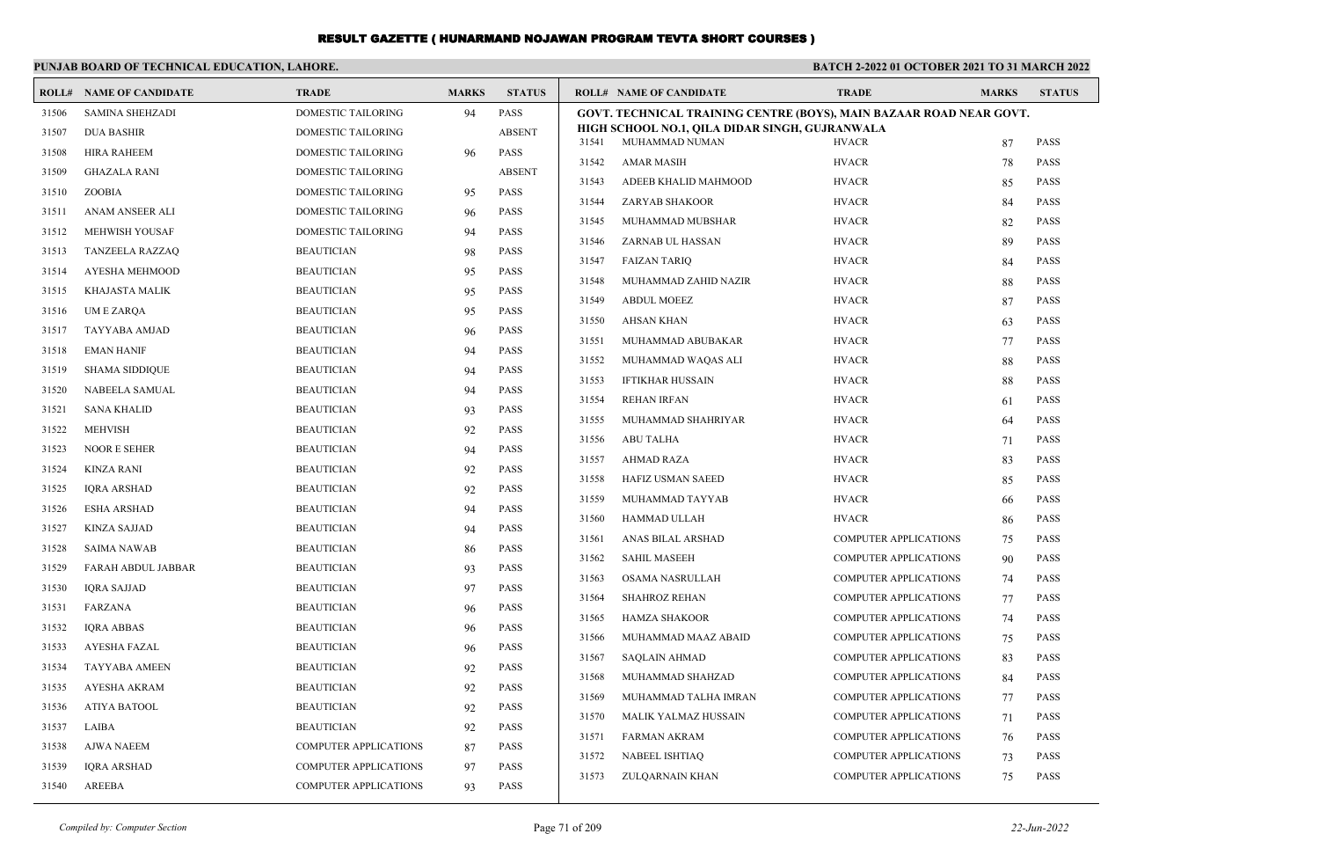|       | PUNJAB BOARD OF TECHNICAL EDUCATION, LAHORE. |                       |                |               | <b>BATCH 2-2022 01 OCTOBER 2021 TO 31 MARCH 2022</b>                |                              |              |               |  |
|-------|----------------------------------------------|-----------------------|----------------|---------------|---------------------------------------------------------------------|------------------------------|--------------|---------------|--|
|       | <b>ROLL# NAME OF CANDIDATE</b>               | <b>TRADE</b>          | <b>MARKS</b>   | <b>STATUS</b> | <b>ROLL# NAME OF CANDIDATE</b>                                      | <b>TRADE</b>                 | <b>MARKS</b> | <b>STATUS</b> |  |
| 31506 | <b>SAMINA SHEHZADI</b>                       | DOMESTIC TAILORING    | 94             | <b>PASS</b>   | GOVT. TECHNICAL TRAINING CENTRE (BOYS), MAIN BAZAAR ROAD NEAR GOVT. |                              |              |               |  |
| 31507 | <b>DUA BASHIR</b>                            | DOMESTIC TAILORING    |                | <b>ABSENT</b> | HIGH SCHOOL NO.1, OILA DIDAR SINGH, GUJRANWALA                      |                              |              |               |  |
| 31508 | <b>HIRA RAHEEM</b>                           | DOMESTIC TAILORING    | 96             | PASS          | MUHAMMAD NUMAN<br>31541<br>31542<br>AMAR MASIH                      | <b>HVACR</b><br><b>HVACR</b> | 87           | PASS<br>PASS  |  |
| 31509 | <b>GHAZALA RANI</b>                          | DOMESTIC TAILORING    |                | <b>ABSENT</b> | 31543                                                               | <b>HVACR</b>                 | 78           | PASS          |  |
| 31510 | ZOOBIA                                       | DOMESTIC TAILORING    | 95             | <b>PASS</b>   | ADEEB KHALID MAHMOOD<br>31544<br>ZARYAB SHAKOOR                     | <b>HVACR</b>                 | 85<br>84     | PASS          |  |
| 31511 | ANAM ANSEER ALI                              | DOMESTIC TAILORING    | 96             | <b>PASS</b>   | 31545<br>MUHAMMAD MUBSHAR                                           | <b>HVACR</b>                 | 82           | PASS          |  |
| 31512 | MEHWISH YOUSAF                               | DOMESTIC TAILORING    | 94             | <b>PASS</b>   | 31546<br>ZARNAB UL HASSAN                                           | <b>HVACR</b>                 | 89           | PASS          |  |
| 31513 | TANZEELA RAZZAQ                              | <b>BEAUTICIAN</b>     | 98             | <b>PASS</b>   | 31547<br><b>FAIZAN TARIQ</b>                                        | <b>HVACR</b>                 | 84           | <b>PASS</b>   |  |
| 31514 | AYESHA MEHMOOD                               | <b>BEAUTICIAN</b>     | 95             | <b>PASS</b>   | 31548<br>MUHAMMAD ZAHID NAZIR                                       | <b>HVACR</b>                 | 88           | PASS          |  |
| 31515 | KHAJASTA MALIK                               | <b>BEAUTICIAN</b>     | 95             | <b>PASS</b>   | 31549<br><b>ABDUL MOEEZ</b>                                         | <b>HVACR</b>                 | 87           | <b>PASS</b>   |  |
| 31516 | UM E ZARQA                                   | <b>BEAUTICIAN</b>     | 95             | <b>PASS</b>   | 31550<br>AHSAN KHAN                                                 | <b>HVACR</b>                 |              | PASS          |  |
| 31517 | <b>TAYYABA AMJAD</b>                         | <b>BEAUTICIAN</b>     | 96             | <b>PASS</b>   | 31551<br>MUHAMMAD ABUBAKAR                                          | <b>HVACR</b>                 | 63<br>77     | PASS          |  |
| 31518 | <b>EMAN HANIF</b>                            | <b>BEAUTICIAN</b>     | 94             | <b>PASS</b>   | 31552<br>MUHAMMAD WAQAS ALI                                         | <b>HVACR</b>                 | 88           | <b>PASS</b>   |  |
| 31519 | <b>SHAMA SIDDIQUE</b>                        | <b>BEAUTICIAN</b>     | 94             | <b>PASS</b>   | 31553<br><b>IFTIKHAR HUSSAIN</b>                                    | <b>HVACR</b>                 | 88           | PASS          |  |
| 31520 | <b>NABEELA SAMUAL</b>                        | <b>BEAUTICIAN</b>     | 94             | <b>PASS</b>   | 31554<br><b>REHAN IRFAN</b>                                         | <b>HVACR</b>                 | 61           | PASS          |  |
| 31521 | <b>SANA KHALID</b>                           | <b>BEAUTICIAN</b>     | 93             | <b>PASS</b>   | 31555<br>MUHAMMAD SHAHRIYAR                                         | <b>HVACR</b>                 | 64           | <b>PASS</b>   |  |
| 31522 | <b>MEHVISH</b>                               | <b>BEAUTICIAN</b>     | 92             | <b>PASS</b>   | 31556<br>ABU TALHA                                                  | <b>HVACR</b>                 | 71           | PASS          |  |
| 31523 | <b>NOOR E SEHER</b>                          | <b>BEAUTICIAN</b>     | 94             | <b>PASS</b>   | 31557<br>AHMAD RAZA                                                 | <b>HVACR</b>                 | 83           | PASS          |  |
| 31524 | KINZA RANI                                   | <b>BEAUTICIAN</b>     | 92             | <b>PASS</b>   | 31558<br>HAFIZ USMAN SAEED                                          | <b>HVACR</b>                 | 85           | <b>PASS</b>   |  |
| 31525 | <b>IQRA ARSHAD</b>                           | <b>BEAUTICIAN</b>     | 92             | <b>PASS</b>   | 31559<br>MUHAMMAD TAYYAB                                            | <b>HVACR</b>                 | 66           | PASS          |  |
| 31526 | <b>ESHA ARSHAD</b>                           | <b>BEAUTICIAN</b>     | 94             | <b>PASS</b>   | 31560<br>HAMMAD ULLAH                                               | <b>HVACR</b>                 | 86           | PASS          |  |
| 31527 | KINZA SAJJAD                                 | <b>BEAUTICIAN</b>     | 94             | <b>PASS</b>   | 31561<br>ANAS BILAL ARSHAD                                          | <b>COMPUTER APPLICATIONS</b> | 75           | <b>PASS</b>   |  |
| 31528 | <b>SAIMA NAWAB</b>                           | <b>BEAUTICIAN</b>     | 86             | <b>PASS</b>   | <b>SAHIL MASEEH</b><br>31562                                        | <b>COMPUTER APPLICATIONS</b> | 90           | PASS          |  |
| 31529 | FARAH ABDUL JABBAR                           | <b>BEAUTICIAN</b>     | 93             | <b>PASS</b>   | 31563<br>OSAMA NASRULLAH                                            | <b>COMPUTER APPLICATIONS</b> | 74           | PASS          |  |
| 31530 | IQRA SAJJAD                                  | <b>BEAUTICIAN</b>     | 97             | <b>PASS</b>   | 31564<br>SHAHROZ REHAN                                              | <b>COMPUTER APPLICATIONS</b> | 77           | PASS          |  |
| 31531 | FARZANA                                      | <b>BEAUTICIAN</b>     | 96             | <b>PASS</b>   | 31565<br><b>HAMZA SHAKOOR</b>                                       | <b>COMPUTER APPLICATIONS</b> | 74           | PASS          |  |
| 31532 | <b>IORA ABBAS</b>                            | <b>BEAUTICIAN</b>     | 96             | <b>PASS</b>   | 31566<br>MUHAMMAD MAAZ ABAID                                        | <b>COMPUTER APPLICATIONS</b> | 75           | PASS          |  |
| 31533 | <b>AYESHA FAZAL</b>                          | <b>BEAUTICIAN</b>     | 96             | <b>PASS</b>   | 31567<br><b>SAQLAIN AHMAD</b>                                       | <b>COMPUTER APPLICATIONS</b> | 83           | PASS          |  |
| 31534 | <b>TAYYABA AMEEN</b>                         | <b>BEAUTICIAN</b>     | 92             | <b>PASS</b>   | 31568<br>MUHAMMAD SHAHZAD                                           | <b>COMPUTER APPLICATIONS</b> | 84           | PASS          |  |
| 31535 | AYESHA AKRAM                                 | <b>BEAUTICIAN</b>     | Q <sub>2</sub> | <b>PASS</b>   | 31569<br>MUHAMMAD TALHA IMRAN                                       | <b>COMPUTER APPLICATIONS</b> | 77           | PASS          |  |
| 31536 | <b>ATIYA BATOOL</b>                          | <b>BEAUTICIAN</b>     | 92             | <b>PASS</b>   | 31570<br>MALIK YALMAZ HUSSAIN                                       | <b>COMPUTER APPLICATIONS</b> | 71           | PASS          |  |
| 31537 | LAIBA                                        | <b>BEAUTICIAN</b>     | 92             | PASS          | FARMAN AKRAM<br>31571                                               | <b>COMPUTER APPLICATIONS</b> | 76           | PASS          |  |
| 31538 | <b>AJWA NAEEM</b>                            | COMPUTER APPLICATIONS | 87             | PASS          | NABEEL ISHTIAQ<br>31572                                             | <b>COMPUTER APPLICATIONS</b> | 73           | PASS          |  |
| 31539 | <b>IQRA ARSHAD</b>                           | COMPUTER APPLICATIONS | 97             | <b>PASS</b>   | 31573<br>ZULQARNAIN KHAN                                            | <b>COMPUTER APPLICATIONS</b> | 75           | PASS          |  |
| 31540 | AREEBA                                       | COMPUTER APPLICATIONS | 93             | PASS          |                                                                     |                              |              |               |  |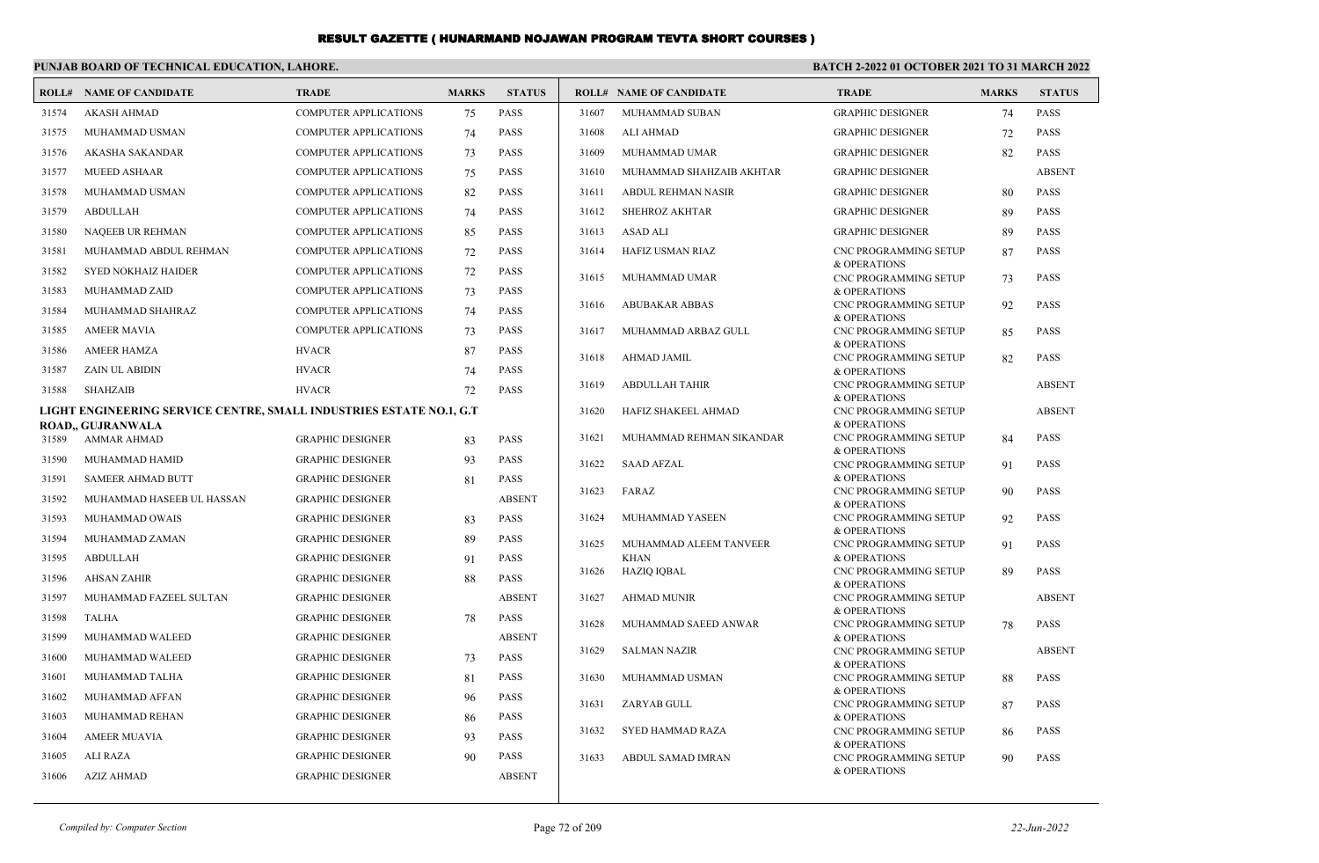|       | PUNJAB BOARD OF TECHNICAL EDUCATION, LAHORE.                        |                              |              |               | <b>BATCH 2-2022 01 OCTOBER 2021 TO 31 MARCH 2022</b> |                                |                                              |              |               |
|-------|---------------------------------------------------------------------|------------------------------|--------------|---------------|------------------------------------------------------|--------------------------------|----------------------------------------------|--------------|---------------|
|       | <b>ROLL# NAME OF CANDIDATE</b>                                      | <b>TRADE</b>                 | <b>MARKS</b> | <b>STATUS</b> |                                                      | <b>ROLL# NAME OF CANDIDATE</b> | <b>TRADE</b>                                 | <b>MARKS</b> | <b>STATUS</b> |
| 31574 | AKASH AHMAD                                                         | <b>COMPUTER APPLICATIONS</b> | 75           | <b>PASS</b>   | 31607                                                | MUHAMMAD SUBAN                 | <b>GRAPHIC DESIGNER</b>                      | 74           | <b>PASS</b>   |
| 31575 | <b>MUHAMMAD USMAN</b>                                               | <b>COMPUTER APPLICATIONS</b> | 74           | <b>PASS</b>   | 31608                                                | <b>ALI AHMAD</b>               | <b>GRAPHIC DESIGNER</b>                      | 72           | <b>PASS</b>   |
| 31576 | AKASHA SAKANDAR                                                     | <b>COMPUTER APPLICATIONS</b> | 73           | <b>PASS</b>   | 31609                                                | MUHAMMAD UMAR                  | <b>GRAPHIC DESIGNER</b>                      | 82           | <b>PASS</b>   |
| 31577 | <b>MUEED ASHAAR</b>                                                 | <b>COMPUTER APPLICATIONS</b> | 75           | <b>PASS</b>   | 31610                                                | MUHAMMAD SHAHZAIB AKHTAR       | <b>GRAPHIC DESIGNER</b>                      |              | <b>ABSENT</b> |
| 31578 | MUHAMMAD USMAN                                                      | <b>COMPUTER APPLICATIONS</b> | 82           | <b>PASS</b>   | 31611                                                | ABDUL REHMAN NASIR             | <b>GRAPHIC DESIGNER</b>                      | 80           | <b>PASS</b>   |
| 31579 | <b>ABDULLAH</b>                                                     | <b>COMPUTER APPLICATIONS</b> | 74           | <b>PASS</b>   | 31612                                                | <b>SHEHROZ AKHTAR</b>          | <b>GRAPHIC DESIGNER</b>                      | 89           | PASS          |
| 31580 | NAQEEB UR REHMAN                                                    | <b>COMPUTER APPLICATIONS</b> | 85           | <b>PASS</b>   | 31613                                                | <b>ASAD ALI</b>                | <b>GRAPHIC DESIGNER</b>                      | 89           | <b>PASS</b>   |
| 31581 | MUHAMMAD ABDUL REHMAN                                               | <b>COMPUTER APPLICATIONS</b> | 72           | <b>PASS</b>   | 31614                                                | HAFIZ USMAN RIAZ               | <b>CNC PROGRAMMING SETUP</b>                 | 87           | <b>PASS</b>   |
| 31582 | <b>SYED NOKHAIZ HAIDER</b>                                          | <b>COMPUTER APPLICATIONS</b> | 72           | <b>PASS</b>   | 31615                                                | MUHAMMAD UMAR                  | & OPERATIONS<br><b>CNC PROGRAMMING SETUP</b> | 73           | <b>PASS</b>   |
| 31583 | MUHAMMAD ZAID                                                       | <b>COMPUTER APPLICATIONS</b> | 73           | <b>PASS</b>   |                                                      |                                | & OPERATIONS                                 |              |               |
| 31584 | MUHAMMAD SHAHRAZ                                                    | <b>COMPUTER APPLICATIONS</b> | 74           | <b>PASS</b>   | 31616                                                | <b>ABUBAKAR ABBAS</b>          | <b>CNC PROGRAMMING SETUP</b><br>& OPERATIONS | 92           | <b>PASS</b>   |
| 31585 | <b>AMEER MAVIA</b>                                                  | <b>COMPUTER APPLICATIONS</b> | 73           | <b>PASS</b>   | 31617                                                | MUHAMMAD ARBAZ GULL            | <b>CNC PROGRAMMING SETUP</b>                 | 85           | <b>PASS</b>   |
| 31586 | <b>AMEER HAMZA</b>                                                  | <b>HVACR</b>                 | 87           | <b>PASS</b>   |                                                      |                                | & OPERATIONS                                 |              |               |
| 31587 | <b>ZAIN UL ABIDIN</b>                                               | <b>HVACR</b>                 | 74           | <b>PASS</b>   | 31618                                                | AHMAD JAMIL                    | <b>CNC PROGRAMMING SETUP</b><br>& OPERATIONS | 82           | <b>PASS</b>   |
| 31588 | <b>SHAHZAIB</b>                                                     | <b>HVACR</b>                 | 72           | <b>PASS</b>   | 31619                                                | <b>ABDULLAH TAHIR</b>          | <b>CNC PROGRAMMING SETUP</b>                 |              | <b>ABSENT</b> |
|       | LIGHT ENGINEERING SERVICE CENTRE, SMALL INDUSTRIES ESTATE NO.1, G.T |                              |              |               | 31620                                                | HAFIZ SHAKEEL AHMAD            | & OPERATIONS<br><b>CNC PROGRAMMING SETUP</b> |              | <b>ABSENT</b> |
|       | <b>ROAD,, GUJRANWALA</b>                                            |                              |              |               |                                                      |                                | & OPERATIONS                                 |              |               |
| 31589 | AMMAR AHMAD                                                         | <b>GRAPHIC DESIGNER</b>      | 83           | <b>PASS</b>   | 31621                                                | MUHAMMAD REHMAN SIKANDAR       | CNC PROGRAMMING SETUP<br>& OPERATIONS        | 84           | PASS          |
| 31590 | MUHAMMAD HAMID                                                      | <b>GRAPHIC DESIGNER</b>      | 93           | <b>PASS</b>   | 31622                                                | <b>SAAD AFZAL</b>              | CNC PROGRAMMING SETUP                        | 91           | <b>PASS</b>   |
| 31591 | <b>SAMEER AHMAD BUTT</b>                                            | <b>GRAPHIC DESIGNER</b>      | 81           | <b>PASS</b>   | 31623                                                | FARAZ                          | & OPERATIONS<br>CNC PROGRAMMING SETUP        | 90           | <b>PASS</b>   |
| 31592 | MUHAMMAD HASEEB UL HASSAN                                           | <b>GRAPHIC DESIGNER</b>      |              | <b>ABSENT</b> |                                                      |                                | & OPERATIONS                                 |              |               |
| 31593 | MUHAMMAD OWAIS                                                      | <b>GRAPHIC DESIGNER</b>      | 83           | <b>PASS</b>   | 31624                                                | MUHAMMAD YASEEN                | CNC PROGRAMMING SETUP<br>& OPERATIONS        | 92           | <b>PASS</b>   |
| 31594 | MUHAMMAD ZAMAN                                                      | <b>GRAPHIC DESIGNER</b>      | 89           | <b>PASS</b>   | 31625                                                | MUHAMMAD ALEEM TANVEER         | <b>CNC PROGRAMMING SETUP</b>                 | 91           | <b>PASS</b>   |
| 31595 | <b>ABDULLAH</b>                                                     | <b>GRAPHIC DESIGNER</b>      | 91           | <b>PASS</b>   | 31626                                                | <b>KHAN</b><br>HAZIQ IQBAL     | & OPERATIONS<br>CNC PROGRAMMING SETUP        | 89           | <b>PASS</b>   |
| 31596 | <b>AHSAN ZAHIR</b>                                                  | <b>GRAPHIC DESIGNER</b>      | 88           | <b>PASS</b>   |                                                      |                                | & OPERATIONS                                 |              |               |
| 31597 | MUHAMMAD FAZEEL SULTAN                                              | <b>GRAPHIC DESIGNER</b>      |              | <b>ABSENT</b> | 31627                                                | <b>AHMAD MUNIR</b>             | <b>CNC PROGRAMMING SETUP</b>                 |              | <b>ABSENT</b> |
| 31598 | <b>TALHA</b>                                                        | <b>GRAPHIC DESIGNER</b>      | 78           | <b>PASS</b>   | 31628                                                | MUHAMMAD SAEED ANWAR           | & OPERATIONS<br>CNC PROGRAMMING SETUP        | 78           | <b>PASS</b>   |
| 31599 | MUHAMMAD WALEED                                                     | <b>GRAPHIC DESIGNER</b>      |              | <b>ABSENT</b> |                                                      |                                | & OPERATIONS                                 |              |               |
| 31600 | MUHAMMAD WALEED                                                     | <b>GRAPHIC DESIGNER</b>      | 73           | <b>PASS</b>   | 31629                                                | <b>SALMAN NAZIR</b>            | CNC PROGRAMMING SETUP<br>& OPERATIONS        |              | <b>ABSENT</b> |
| 31601 | MUHAMMAD TALHA                                                      | <b>GRAPHIC DESIGNER</b>      | 81           | <b>PASS</b>   | 31630                                                | MUHAMMAD USMAN                 | <b>CNC PROGRAMMING SETUP</b>                 | 88           | <b>PASS</b>   |
| 31602 | MUHAMMAD AFFAN                                                      | <b>GRAPHIC DESIGNER</b>      | 96           | <b>PASS</b>   | 31631                                                | ZARYAB GULL                    | & OPERATIONS<br><b>CNC PROGRAMMING SETUP</b> | 87           | <b>PASS</b>   |
| 31603 | MUHAMMAD REHAN                                                      | <b>GRAPHIC DESIGNER</b>      | 86           | <b>PASS</b>   |                                                      |                                | & OPERATIONS                                 |              |               |
| 31604 | <b>AMEER MUAVIA</b>                                                 | <b>GRAPHIC DESIGNER</b>      | 93           | <b>PASS</b>   | 31632                                                | SYED HAMMAD RAZA               | CNC PROGRAMMING SETUP<br>& OPERATIONS        | 86           | <b>PASS</b>   |
| 31605 | ALI RAZA                                                            | <b>GRAPHIC DESIGNER</b>      | 90           | <b>PASS</b>   | 31633                                                | ABDUL SAMAD IMRAN              | <b>CNC PROGRAMMING SETUP</b>                 | 90           | <b>PASS</b>   |
| 31606 | AZIZ AHMAD                                                          | <b>GRAPHIC DESIGNER</b>      |              | <b>ABSENT</b> |                                                      |                                | & OPERATIONS                                 |              |               |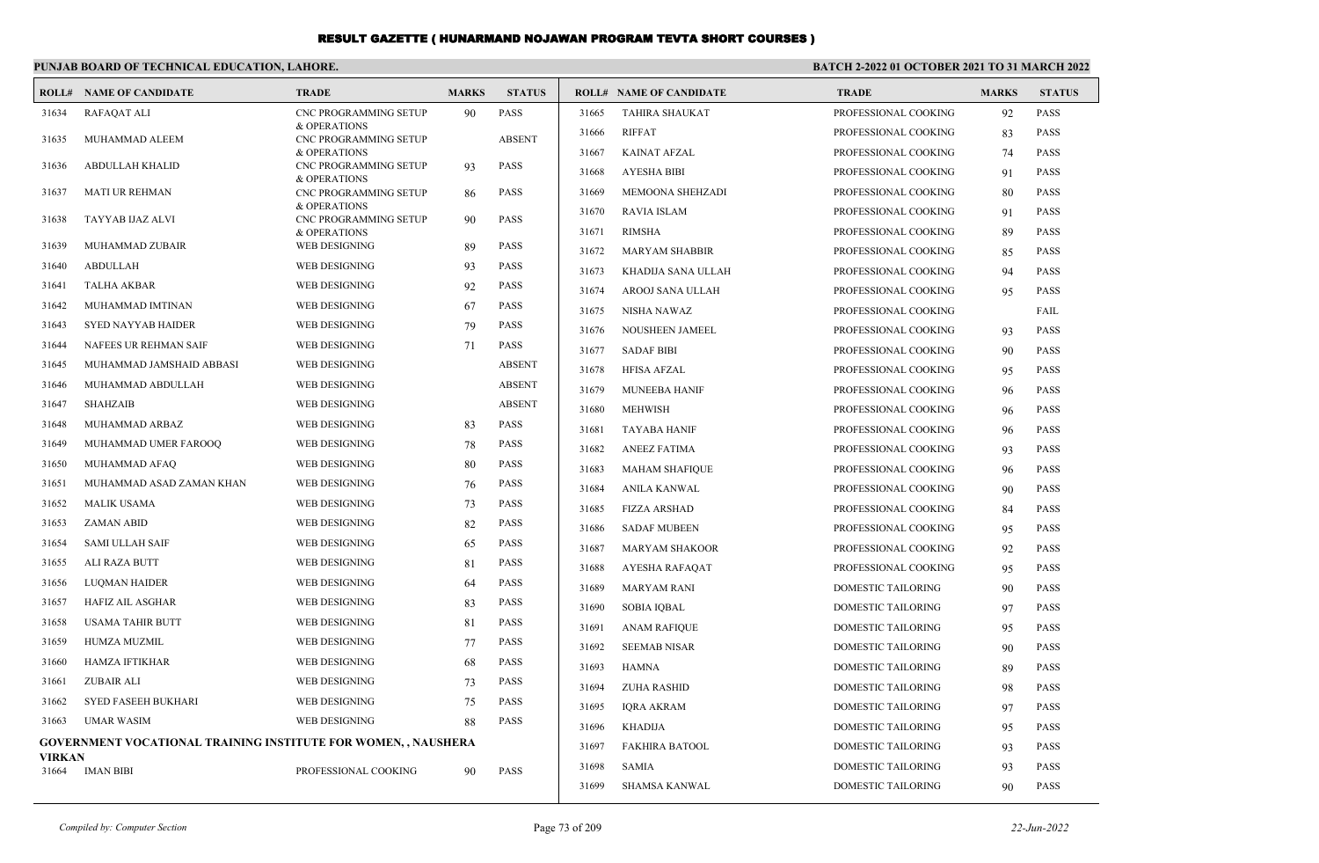#### **PUNJAB BOARD OF TECHNICAL EDUCATION, LAHORE. BATCH 2-2022 01 OCTOBER 2021 TO 31 MARCH 2022 ROLL# NAME OF CANDIDATE TRADE MARKS STATUS ROLL# NAME OF CANDIDATE TRADE MARKS STATUS** CNC PROGRAMMING SETUP 90 PASS & OPERATIONS 31634 RAFAQAT ALI CNC PROGRAMMING SETUP ABSENT & OPERATIONS 31635 MUHAMMAD ALEEM CNC PROGRAMMING SETUP 93 PASS & OPERATIONS 31636 ABDULLAH KHALID CNC PROGRAMMING SETUP 86 PASS & OPERATIONS 31637 MATI UR REHMAN CNC PROGRAMMING SETUP 90 PASS & OPERATIONS 31638 TAYYAB IJAZ ALVI 31639 MUHAMMAD ZUBAIR WEB DESIGNING 89 PASS 31640 ABDULLAH WEB DESIGNING 93 PASS 31641 TALHA AKBAR WEB DESIGNING 92 PASS 31642 MUHAMMAD IMTINAN WEB DESIGNING 67 PASS 31643 SYED NAYYAB HAIDER WEB DESIGNING 79 PASS 31644 NAFEES UR REHMAN SAIF WEB DESIGNING 71 PASS 31645 MUHAMMAD JAMSHAID ABBASI WEB DESIGNING ABSENT 31646 MUHAMMAD ABDULLAH WEB DESIGNING ABSENT 31647 SHAHZAIB WEB DESIGNING ABSENT 31648 MUHAMMAD ARBAZ WEB DESIGNING 83 PASS 31649 MUHAMMAD UMER FAROOQ WEB DESIGNING 78 PASS 31650 MUHAMMAD AFAQ WEB DESIGNING 80 PASS 31651 MUHAMMAD ASAD ZAMAN KHAN WEB DESIGNING 76 PASS 31652 MALIK USAMA WEB DESIGNING 73 PASS 31653 ZAMAN ABID WEB DESIGNING 82 PASS 31654 SAMI ULLAH SAIF WEB DESIGNING 65 PASS 31655 ALI RAZA BUTT WEB DESIGNING 81 PASS 31656 LUQMAN HAIDER WEB DESIGNING 64 PASS 31657 HAFIZ AIL ASGHAR WEB DESIGNING 83 PASS 31658 USAMA TAHIR BUTT WEB DESIGNING 81 PASS 31659 HUMZA MUZMIL WEB DESIGNING 77 PASS 31660 HAMZA IFTIKHAR WEB DESIGNING 68 PASS 31661 ZUBAIR ALI WEB DESIGNING 73 PASS 31662 SYED FASEEH BUKHARI WEB DESIGNING 75 PASS 31663 UMAR WASIM WEB DESIGNING 88 PASS **GOVERNMENT VOCATIONAL TRAINING INSTITUTE FOR WOMEN, , NAUSHERA VIRKAN** 31664 IMAN BIBI PROFESSIONAL COOKING 90 PASS 31665 TAHIRA SHAUKAT PROFESSIONAL COOKING 92 PASS 31666 RIFFAT PROFESSIONAL COOKING 83 PASS 31667 KAINAT AFZAL PROFESSIONAL COOKING 74 PASS 31668 AYESHA BIBI PROFESSIONAL COOKING 91 PASS 31669 MEMOONA SHEHZADI PROFESSIONAL COOKING 80 PASS 31670 RAVIA ISLAM PROFESSIONAL COOKING 91 PASS 31671 RIMSHA PROFESSIONAL COOKING 89 PASS 31672 MARYAM SHABBIR PROFESSIONAL COOKING 85 PASS 31673 KHADIJA SANA ULLAH PROFESSIONAL COOKING 94 PASS 31674 AROOJ SANA ULLAH PROFESSIONAL COOKING 95 PASS 31675 NISHA NAWAZ PROFESSIONAL COOKING FAIL 31676 NOUSHEEN JAMEEL PROFESSIONAL COOKING 93 PASS 31677 SADAF BIBI PROFESSIONAL COOKING 90 PASS 31678 HFISA AFZAL PROFESSIONAL COOKING 95 PASS 31679 MUNEEBA HANIF PROFESSIONAL COOKING 96 PASS 31680 MEHWISH PROFESSIONAL COOKING 96 PASS 31681 TAYABA HANIF PROFESSIONAL COOKING 96 PASS 31682 ANEEZ FATIMA PROFESSIONAL COOKING 93 PASS 31683 MAHAM SHAFIQUE PROFESSIONAL COOKING 96 PASS 31684 ANILA KANWAL PROFESSIONAL COOKING 90 PASS 31685 FIZZA ARSHAD PROFESSIONAL COOKING 84 PASS 31686 SADAF MUBEEN PROFESSIONAL COOKING 95 PASS 31687 MARYAM SHAKOOR PROFESSIONAL COOKING 92 PASS 31688 AYESHA RAFAQAT PROFESSIONAL COOKING 95 PASS 31689 MARYAM RANI DOMESTIC TAILORING 90 PASS 31690 SOBIA IQBAL DOMESTIC TAILORING 97 PASS 31691 ANAM RAFIQUE DOMESTIC TAILORING 95 PASS 31692 SEEMAB NISAR DOMESTIC TAILORING 90 PASS 31693 HAMNA DOMESTIC TAILORING 89 PASS 31694 ZUHA RASHID DOMESTIC TAILORING 98 PASS 31695 IQRA AKRAM DOMESTIC TAILORING 97 PASS 31696 KHADIJA DOMESTIC TAILORING 95 PASS 31697 FAKHIRA BATOOL DOMESTIC TAILORING 93 PASS 31698 SAMIA DOMESTIC TAILORING 93 PASS 31699 SHAMSA KANWAL DOMESTIC TAILORING 90 PASS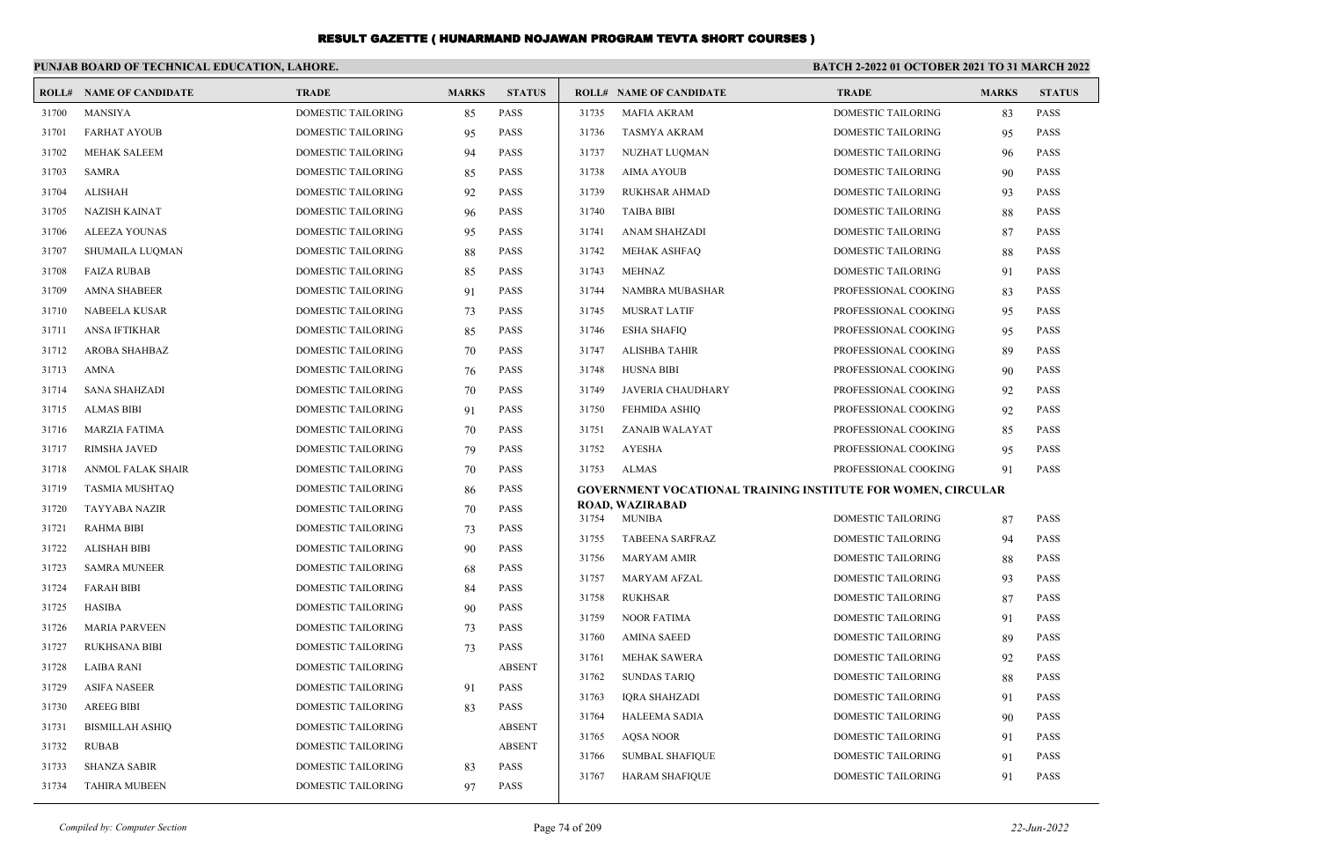|       | PUNJAB BOARD OF TECHNICAL EDUCATION, LAHORE. |                           |              |               | <b>BATCH 2-2022 01 OCTOBER 2021 TO 31 MARCH 2022</b> |                                                                     |                                          |              |                            |
|-------|----------------------------------------------|---------------------------|--------------|---------------|------------------------------------------------------|---------------------------------------------------------------------|------------------------------------------|--------------|----------------------------|
|       | <b>ROLL# NAME OF CANDIDATE</b>               | <b>TRADE</b>              | <b>MARKS</b> | <b>STATUS</b> |                                                      | <b>ROLL# NAME OF CANDIDATE</b>                                      | <b>TRADE</b>                             | <b>MARKS</b> | <b>STATUS</b>              |
| 31700 | <b>MANSIYA</b>                               | <b>DOMESTIC TAILORING</b> | 85           | <b>PASS</b>   | 31735                                                | <b>MAFIA AKRAM</b>                                                  | <b>DOMESTIC TAILORING</b>                | 83           | <b>PASS</b>                |
| 31701 | <b>FARHAT AYOUB</b>                          | DOMESTIC TAILORING        | 95           | <b>PASS</b>   | 31736                                                | <b>TASMYA AKRAM</b>                                                 | <b>DOMESTIC TAILORING</b>                | 95           | <b>PASS</b>                |
| 31702 | <b>MEHAK SALEEM</b>                          | <b>DOMESTIC TAILORING</b> | 94           | <b>PASS</b>   | 31737                                                | NUZHAT LUQMAN                                                       | DOMESTIC TAILORING                       | 96           | PASS                       |
| 31703 | <b>SAMRA</b>                                 | DOMESTIC TAILORING        | 85           | <b>PASS</b>   | 31738                                                | <b>AIMA AYOUB</b>                                                   | DOMESTIC TAILORING                       | 90           | PASS                       |
| 31704 | <b>ALISHAH</b>                               | DOMESTIC TAILORING        | 92           | <b>PASS</b>   | 31739                                                | <b>RUKHSAR AHMAD</b>                                                | DOMESTIC TAILORING                       | 93           | PASS                       |
| 31705 | <b>NAZISH KAINAT</b>                         | DOMESTIC TAILORING        | 96           | <b>PASS</b>   | 31740                                                | <b>TAIBA BIBI</b>                                                   | <b>DOMESTIC TAILORING</b>                | 88           | PASS                       |
| 31706 | <b>ALEEZA YOUNAS</b>                         | DOMESTIC TAILORING        | 95           | <b>PASS</b>   | 31741                                                | <b>ANAM SHAHZADI</b>                                                | <b>DOMESTIC TAILORING</b>                | 87           | <b>PASS</b>                |
| 31707 | SHUMAILA LUQMAN                              | DOMESTIC TAILORING        | 88           | <b>PASS</b>   | 31742                                                | MEHAK ASHFAQ                                                        | DOMESTIC TAILORING                       | 88           | PASS                       |
| 31708 | <b>FAIZA RUBAB</b>                           | DOMESTIC TAILORING        | 85           | <b>PASS</b>   | 31743                                                | MEHNAZ                                                              | DOMESTIC TAILORING                       | 91           | PASS                       |
| 31709 | <b>AMNA SHABEER</b>                          | DOMESTIC TAILORING        | 91           | <b>PASS</b>   | 31744                                                | NAMBRA MUBASHAR                                                     | PROFESSIONAL COOKING                     | 83           | <b>PASS</b>                |
| 31710 | <b>NABEELA KUSAR</b>                         | DOMESTIC TAILORING        | 73           | <b>PASS</b>   | 31745                                                | <b>MUSRAT LATIF</b>                                                 | PROFESSIONAL COOKING                     | 95           | <b>PASS</b>                |
| 31711 | ANSA IFTIKHAR                                | DOMESTIC TAILORING        | 85           | <b>PASS</b>   | 31746                                                | <b>ESHA SHAFIQ</b>                                                  | PROFESSIONAL COOKING                     | 95           | PASS                       |
| 31712 | AROBA SHAHBAZ                                | DOMESTIC TAILORING        | 70           | <b>PASS</b>   | 31747                                                | ALISHBA TAHIR                                                       | PROFESSIONAL COOKING                     | 89           | PASS                       |
| 31713 | <b>AMNA</b>                                  | <b>DOMESTIC TAILORING</b> | 76           | <b>PASS</b>   | 31748                                                | <b>HUSNA BIBI</b>                                                   | PROFESSIONAL COOKING                     | 90           | <b>PASS</b>                |
| 31714 | <b>SANA SHAHZADI</b>                         | <b>DOMESTIC TAILORING</b> | 70           | <b>PASS</b>   | 31749                                                | <b>JAVERIA CHAUDHARY</b>                                            | PROFESSIONAL COOKING                     | 92           | <b>PASS</b>                |
| 31715 | <b>ALMAS BIBI</b>                            | DOMESTIC TAILORING        | 91           | <b>PASS</b>   | 31750                                                | FEHMIDA ASHIQ                                                       | PROFESSIONAL COOKING                     | 92           | <b>PASS</b>                |
| 31716 | <b>MARZIA FATIMA</b>                         | DOMESTIC TAILORING        | 70           | <b>PASS</b>   | 31751                                                | ZANAIB WALAYAT                                                      | PROFESSIONAL COOKING                     | 85           | PASS                       |
| 31717 | <b>RIMSHA JAVED</b>                          | DOMESTIC TAILORING        | 79           | <b>PASS</b>   | 31752                                                | <b>AYESHA</b>                                                       | PROFESSIONAL COOKING                     | 95           | <b>PASS</b>                |
| 31718 | <b>ANMOL FALAK SHAIR</b>                     | DOMESTIC TAILORING        | 70           | <b>PASS</b>   | 31753                                                | <b>ALMAS</b>                                                        | PROFESSIONAL COOKING                     | 91           | <b>PASS</b>                |
| 31719 | <b>TASMIA MUSHTAQ</b>                        | DOMESTIC TAILORING        | 86           | <b>PASS</b>   |                                                      | <b>GOVERNMENT VOCATIONAL TRAINING INSTITUTE FOR WOMEN, CIRCULAR</b> |                                          |              |                            |
| 31720 | <b>TAYYABA NAZIR</b>                         | <b>DOMESTIC TAILORING</b> | 70           | <b>PASS</b>   | 31754                                                | <b>ROAD, WAZIRABAD</b><br><b>MUNIBA</b>                             | <b>DOMESTIC TAILORING</b>                | 87           | <b>PASS</b>                |
| 31721 | <b>RAHMA BIBI</b>                            | DOMESTIC TAILORING        | 73           | <b>PASS</b>   | 31755                                                | <b>TABEENA SARFRAZ</b>                                              | <b>DOMESTIC TAILORING</b>                |              | PASS                       |
| 31722 | <b>ALISHAH BIBI</b>                          | <b>DOMESTIC TAILORING</b> | 90           | <b>PASS</b>   | 31756                                                | <b>MARYAM AMIR</b>                                                  | DOMESTIC TAILORING                       | 94<br>88     | PASS                       |
| 31723 | <b>SAMRA MUNEER</b>                          | <b>DOMESTIC TAILORING</b> | 68           | <b>PASS</b>   | 31757                                                | <b>MARYAM AFZAL</b>                                                 | DOMESTIC TAILORING                       | 93           | <b>PASS</b>                |
| 31724 | <b>FARAH BIBI</b>                            | DOMESTIC TAILORING        | 84           | <b>PASS</b>   | 31758                                                | <b>RUKHSAR</b>                                                      | <b>DOMESTIC TAILORING</b>                | 87           | <b>PASS</b>                |
| 31725 | <b>HASIBA</b>                                | DOMESTIC TAILORING        | 90           | <b>PASS</b>   | 31759                                                | <b>NOOR FATIMA</b>                                                  | DOMESTIC TAILORING                       | 91           | PASS                       |
| 31726 | <b>MARIA PARVEEN</b>                         | DOMESTIC TAILORING        | 73           | <b>PASS</b>   | 31760                                                | <b>AMINA SAEED</b>                                                  | DOMESTIC TAILORING                       | 89           | PASS                       |
| 31727 | <b>RUKHSANA BIBI</b>                         | <b>DOMESTIC TAILORING</b> | 73           | <b>PASS</b>   | 31761                                                | <b>MEHAK SAWERA</b>                                                 | DOMESTIC TAILORING                       |              | PASS                       |
| 31728 | LAIBA RANI                                   | DOMESTIC TAILORING        |              | <b>ABSENT</b> | 31762                                                | <b>SUNDAS TARIO</b>                                                 | DOMESTIC TAILORING                       | 92<br>88     | <b>PASS</b>                |
| 31729 | <b>ASIFA NASEER</b>                          | DOMESTIC TAILORING        | 91           | <b>PASS</b>   | 31763                                                | <b>IORA SHAHZADI</b>                                                | DOMESTIC TAILORING                       |              | <b>PASS</b>                |
| 31730 | <b>AREEG BIBI</b>                            | <b>DOMESTIC TAILORING</b> | 83           | <b>PASS</b>   |                                                      |                                                                     |                                          | 91           | <b>PASS</b>                |
| 31731 | <b>BISMILLAH ASHIO</b>                       | <b>DOMESTIC TAILORING</b> |              | <b>ABSENT</b> | 31764<br>31765                                       | HALEEMA SADIA                                                       | DOMESTIC TAILORING<br>DOMESTIC TAILORING | 90           |                            |
| 31732 | <b>RUBAB</b>                                 | DOMESTIC TAILORING        |              | <b>ABSENT</b> | 31766                                                | AQSA NOOR<br><b>SUMBAL SHAFIQUE</b>                                 | <b>DOMESTIC TAILORING</b>                | 91           | <b>PASS</b><br><b>PASS</b> |
| 31733 | <b>SHANZA SABIR</b>                          | <b>DOMESTIC TAILORING</b> | 83           | <b>PASS</b>   | 31767                                                | <b>HARAM SHAFIOUE</b>                                               | <b>DOMESTIC TAILORING</b>                | 91<br>91     | <b>PASS</b>                |
| 31734 | <b>TAHIRA MUBEEN</b>                         | <b>DOMESTIC TAILORING</b> | 97           | <b>PASS</b>   |                                                      |                                                                     |                                          |              |                            |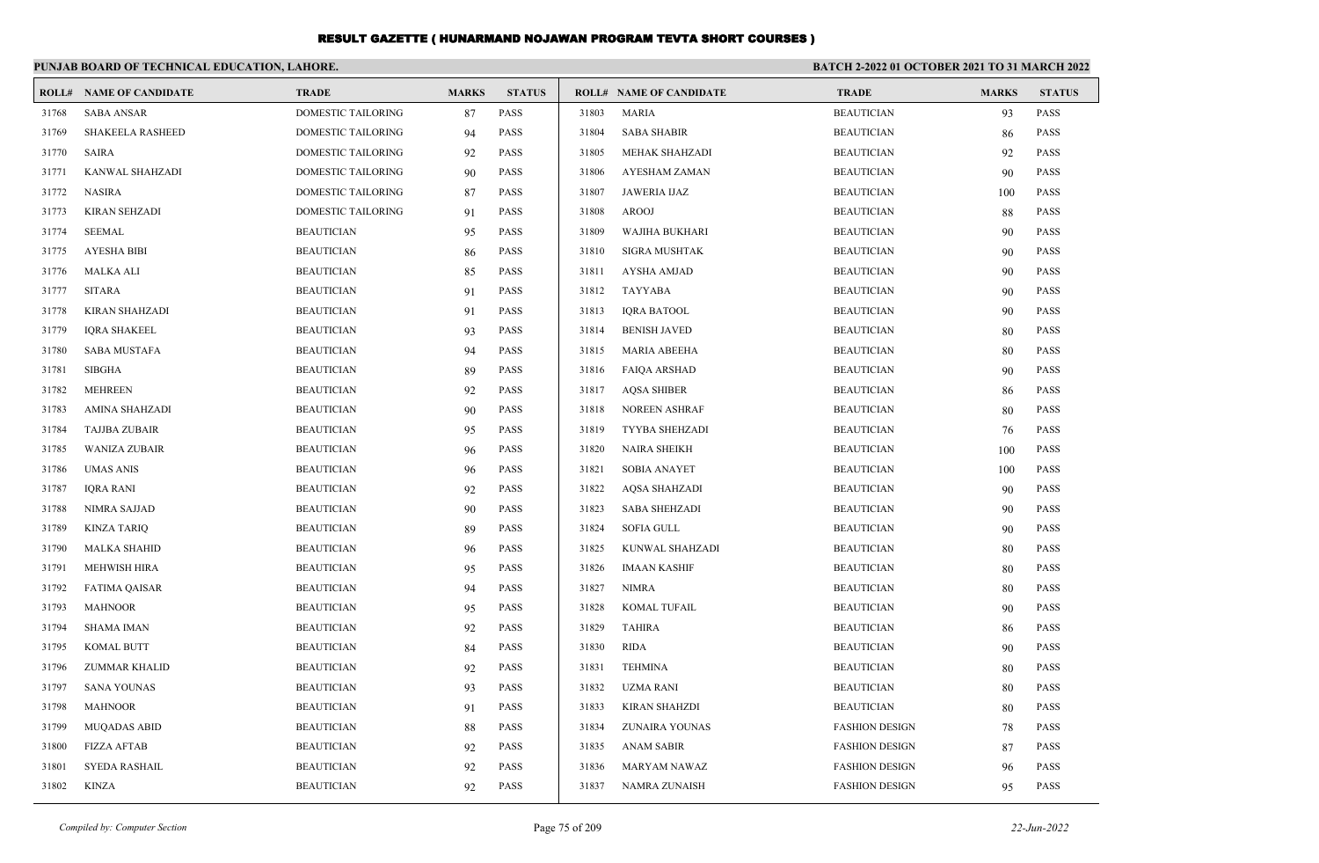|       | PUNJAB BOARD OF TECHNICAL EDUCATION, LAHORE. |                           |              |               |       |                                | BATCH 2-2022 01 OCTOBER 2021 TO 31 MARCH 2022 |              |               |
|-------|----------------------------------------------|---------------------------|--------------|---------------|-------|--------------------------------|-----------------------------------------------|--------------|---------------|
|       | <b>ROLL# NAME OF CANDIDATE</b>               | <b>TRADE</b>              | <b>MARKS</b> | <b>STATUS</b> |       | <b>ROLL# NAME OF CANDIDATE</b> | <b>TRADE</b>                                  | <b>MARKS</b> | <b>STATUS</b> |
| 31768 | <b>SABA ANSAR</b>                            | <b>DOMESTIC TAILORING</b> | 87           | <b>PASS</b>   | 31803 | <b>MARIA</b>                   | <b>BEAUTICIAN</b>                             | 93           | <b>PASS</b>   |
| 31769 | <b>SHAKEELA RASHEED</b>                      | <b>DOMESTIC TAILORING</b> | 94           | <b>PASS</b>   | 31804 | <b>SABA SHABIR</b>             | <b>BEAUTICIAN</b>                             | 86           | <b>PASS</b>   |
| 31770 | <b>SAIRA</b>                                 | DOMESTIC TAILORING        | 92           | <b>PASS</b>   | 31805 | MEHAK SHAHZADI                 | <b>BEAUTICIAN</b>                             | 92           | <b>PASS</b>   |
| 31771 | KANWAL SHAHZADI                              | DOMESTIC TAILORING        | 90           | <b>PASS</b>   | 31806 | AYESHAM ZAMAN                  | <b>BEAUTICIAN</b>                             | 90           | <b>PASS</b>   |
| 31772 | NASIRA                                       | DOMESTIC TAILORING        | 87           | <b>PASS</b>   | 31807 | JAWERIA IJAZ                   | <b>BEAUTICIAN</b>                             | 100          | <b>PASS</b>   |
| 31773 | KIRAN SEHZADI                                | DOMESTIC TAILORING        | 91           | <b>PASS</b>   | 31808 | AROOJ                          | <b>BEAUTICIAN</b>                             | 88           | <b>PASS</b>   |
| 31774 | <b>SEEMAL</b>                                | <b>BEAUTICIAN</b>         | 95           | <b>PASS</b>   | 31809 | WAJIHA BUKHARI                 | <b>BEAUTICIAN</b>                             | 90           | <b>PASS</b>   |
| 31775 | <b>AYESHA BIBI</b>                           | <b>BEAUTICIAN</b>         | 86           | <b>PASS</b>   | 31810 | <b>SIGRA MUSHTAK</b>           | <b>BEAUTICIAN</b>                             | 90           | <b>PASS</b>   |
| 31776 | <b>MALKA ALI</b>                             | <b>BEAUTICIAN</b>         | 85           | <b>PASS</b>   | 31811 | <b>AYSHA AMJAD</b>             | <b>BEAUTICIAN</b>                             | 90           | <b>PASS</b>   |
| 31777 | <b>SITARA</b>                                | <b>BEAUTICIAN</b>         | 91           | <b>PASS</b>   | 31812 | <b>TAYYABA</b>                 | <b>BEAUTICIAN</b>                             | 90           | <b>PASS</b>   |
| 31778 | KIRAN SHAHZADI                               | <b>BEAUTICIAN</b>         | 91           | <b>PASS</b>   | 31813 | <b>IQRA BATOOL</b>             | <b>BEAUTICIAN</b>                             | 90           | <b>PASS</b>   |
| 31779 | <b>IQRA SHAKEEL</b>                          | <b>BEAUTICIAN</b>         | 93           | <b>PASS</b>   | 31814 | <b>BENISH JAVED</b>            | <b>BEAUTICIAN</b>                             | 80           | <b>PASS</b>   |
| 31780 | <b>SABA MUSTAFA</b>                          | <b>BEAUTICIAN</b>         | 94           | <b>PASS</b>   | 31815 | <b>MARIA ABEEHA</b>            | <b>BEAUTICIAN</b>                             | 80           | <b>PASS</b>   |
| 31781 | <b>SIBGHA</b>                                | <b>BEAUTICIAN</b>         | 89           | <b>PASS</b>   | 31816 | <b>FAIQA ARSHAD</b>            | <b>BEAUTICIAN</b>                             | 90           | <b>PASS</b>   |
| 31782 | MEHREEN                                      | <b>BEAUTICIAN</b>         | 92           | <b>PASS</b>   | 31817 | <b>AQSA SHIBER</b>             | <b>BEAUTICIAN</b>                             | 86           | <b>PASS</b>   |
| 31783 | AMINA SHAHZADI                               | <b>BEAUTICIAN</b>         | 90           | <b>PASS</b>   | 31818 | <b>NOREEN ASHRAF</b>           | <b>BEAUTICIAN</b>                             | 80           | <b>PASS</b>   |
| 31784 | TAJJBA ZUBAIR                                | <b>BEAUTICIAN</b>         | 95           | <b>PASS</b>   | 31819 | TYYBA SHEHZADI                 | <b>BEAUTICIAN</b>                             | 76           | <b>PASS</b>   |
| 31785 | <b>WANIZA ZUBAIR</b>                         | <b>BEAUTICIAN</b>         | 96           | <b>PASS</b>   | 31820 | <b>NAIRA SHEIKH</b>            | <b>BEAUTICIAN</b>                             | 100          | <b>PASS</b>   |
| 31786 | UMAS ANIS                                    | <b>BEAUTICIAN</b>         | 96           | <b>PASS</b>   | 31821 | <b>SOBIA ANAYET</b>            | <b>BEAUTICIAN</b>                             | 100          | <b>PASS</b>   |
| 31787 | IQRA RANI                                    | <b>BEAUTICIAN</b>         | 92           | <b>PASS</b>   | 31822 | <b>AQSA SHAHZADI</b>           | <b>BEAUTICIAN</b>                             | 90           | <b>PASS</b>   |
| 31788 | NIMRA SAJJAD                                 | <b>BEAUTICIAN</b>         | 90           | <b>PASS</b>   | 31823 | <b>SABA SHEHZADI</b>           | <b>BEAUTICIAN</b>                             | 90           | <b>PASS</b>   |
| 31789 | KINZA TARIQ                                  | <b>BEAUTICIAN</b>         | 89           | <b>PASS</b>   | 31824 | <b>SOFIA GULL</b>              | <b>BEAUTICIAN</b>                             | 90           | <b>PASS</b>   |
| 31790 | <b>MALKA SHAHID</b>                          | <b>BEAUTICIAN</b>         | 96           | <b>PASS</b>   | 31825 | KUNWAL SHAHZADI                | <b>BEAUTICIAN</b>                             | 80           | <b>PASS</b>   |
| 31791 | <b>MEHWISH HIRA</b>                          | <b>BEAUTICIAN</b>         | 95           | <b>PASS</b>   | 31826 | <b>IMAAN KASHIF</b>            | <b>BEAUTICIAN</b>                             | 80           | <b>PASS</b>   |
| 31792 | <b>FATIMA QAISAR</b>                         | <b>BEAUTICIAN</b>         | 94           | <b>PASS</b>   | 31827 | <b>NIMRA</b>                   | <b>BEAUTICIAN</b>                             | 80           | <b>PASS</b>   |
| 31793 | <b>MAHNOOR</b>                               | <b>BEAUTICIAN</b>         | 95           | <b>PASS</b>   | 31828 | <b>KOMAL TUFAIL</b>            | <b>BEAUTICIAN</b>                             | 90           | <b>PASS</b>   |
| 31794 | SHAMA IMAN                                   | <b>BEAUTICIAN</b>         | 92           | <b>PASS</b>   | 31829 | <b>TAHIRA</b>                  | <b>BEAUTICIAN</b>                             | 86           | <b>PASS</b>   |
| 31795 | KOMAL BUTT                                   | <b>BEAUTICIAN</b>         | 84           | <b>PASS</b>   | 31830 | <b>RIDA</b>                    | <b>BEAUTICIAN</b>                             | 90           | <b>PASS</b>   |
| 31796 | ZUMMAR KHALID                                | <b>BEAUTICIAN</b>         | 92           | <b>PASS</b>   | 31831 | <b>TEHMINA</b>                 | <b>BEAUTICIAN</b>                             | 80           | <b>PASS</b>   |
| 31797 | SANA YOUNAS                                  | <b>BEAUTICIAN</b>         | 93           | <b>PASS</b>   | 31832 | UZMA RANI                      | <b>BEAUTICIAN</b>                             | 80           | <b>PASS</b>   |
| 31798 | <b>MAHNOOR</b>                               | <b>BEAUTICIAN</b>         | 91           | <b>PASS</b>   | 31833 | <b>KIRAN SHAHZDI</b>           | <b>BEAUTICIAN</b>                             | 80           | <b>PASS</b>   |
| 31799 | <b>MUQADAS ABID</b>                          | <b>BEAUTICIAN</b>         | 88           | PASS          | 31834 | ZUNAIRA YOUNAS                 | <b>FASHION DESIGN</b>                         | 78           | PASS          |
| 31800 | FIZZA AFTAB                                  | <b>BEAUTICIAN</b>         | 92           | PASS          | 31835 | <b>ANAM SABIR</b>              | <b>FASHION DESIGN</b>                         | 87           | <b>PASS</b>   |
| 31801 | SYEDA RASHAIL                                | <b>BEAUTICIAN</b>         | 92           | PASS          | 31836 | <b>MARYAM NAWAZ</b>            | <b>FASHION DESIGN</b>                         | 96           | <b>PASS</b>   |
| 31802 | KINZA                                        | <b>BEAUTICIAN</b>         | 92           | PASS          | 31837 | NAMRA ZUNAISH                  | <b>FASHION DESIGN</b>                         | 95           | PASS          |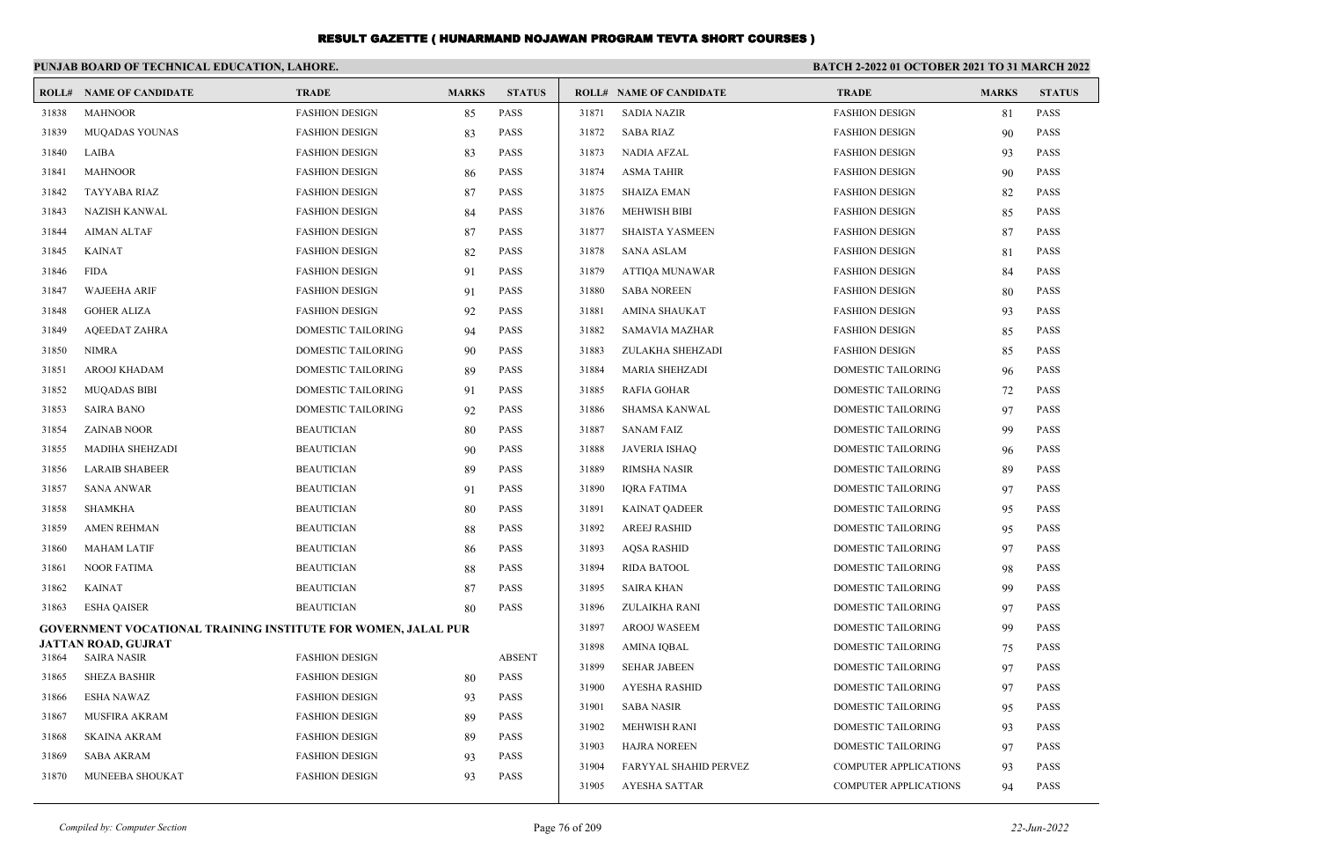|       | PUNJAB BOARD OF TECHNICAL EDUCATION, LAHORE.                         |                           |              | <b>BATCH 2-2022 01 OCTOBER 2021 TO 31 MARCH 2022</b> |       |                                |                              |              |               |  |
|-------|----------------------------------------------------------------------|---------------------------|--------------|------------------------------------------------------|-------|--------------------------------|------------------------------|--------------|---------------|--|
|       | <b>ROLL# NAME OF CANDIDATE</b>                                       | <b>TRADE</b>              | <b>MARKS</b> | <b>STATUS</b>                                        |       | <b>ROLL# NAME OF CANDIDATE</b> | <b>TRADE</b>                 | <b>MARKS</b> | <b>STATUS</b> |  |
| 31838 | <b>MAHNOOR</b>                                                       | <b>FASHION DESIGN</b>     | 85           | <b>PASS</b>                                          | 31871 | <b>SADIA NAZIR</b>             | <b>FASHION DESIGN</b>        | 81           | <b>PASS</b>   |  |
| 31839 | MUQADAS YOUNAS                                                       | <b>FASHION DESIGN</b>     | 83           | <b>PASS</b>                                          | 31872 | <b>SABA RIAZ</b>               | <b>FASHION DESIGN</b>        | 90           | <b>PASS</b>   |  |
| 31840 | LAIBA                                                                | <b>FASHION DESIGN</b>     | 83           | <b>PASS</b>                                          | 31873 | NADIA AFZAL                    | <b>FASHION DESIGN</b>        | 93           | <b>PASS</b>   |  |
| 31841 | <b>MAHNOOR</b>                                                       | <b>FASHION DESIGN</b>     | 86           | <b>PASS</b>                                          | 31874 | <b>ASMA TAHIR</b>              | <b>FASHION DESIGN</b>        | 90           | <b>PASS</b>   |  |
| 31842 | <b>TAYYABA RIAZ</b>                                                  | <b>FASHION DESIGN</b>     | 87           | <b>PASS</b>                                          | 31875 | <b>SHAIZA EMAN</b>             | <b>FASHION DESIGN</b>        | 82           | <b>PASS</b>   |  |
| 31843 | <b>NAZISH KANWAL</b>                                                 | <b>FASHION DESIGN</b>     | 84           | <b>PASS</b>                                          | 31876 | <b>MEHWISH BIBI</b>            | <b>FASHION DESIGN</b>        | 85           | <b>PASS</b>   |  |
| 31844 | <b>AIMAN ALTAF</b>                                                   | <b>FASHION DESIGN</b>     | 87           | <b>PASS</b>                                          | 31877 | <b>SHAISTA YASMEEN</b>         | <b>FASHION DESIGN</b>        | 87           | <b>PASS</b>   |  |
| 31845 | <b>KAINAT</b>                                                        | <b>FASHION DESIGN</b>     | 82           | <b>PASS</b>                                          | 31878 | <b>SANA ASLAM</b>              | <b>FASHION DESIGN</b>        | 81           | <b>PASS</b>   |  |
| 31846 | <b>FIDA</b>                                                          | <b>FASHION DESIGN</b>     | 91           | <b>PASS</b>                                          | 31879 | <b>ATTIOA MUNAWAR</b>          | <b>FASHION DESIGN</b>        | 84           | <b>PASS</b>   |  |
| 31847 | <b>WAJEEHA ARIF</b>                                                  | <b>FASHION DESIGN</b>     | 91           | <b>PASS</b>                                          | 31880 | <b>SABA NOREEN</b>             | <b>FASHION DESIGN</b>        | 80           | <b>PASS</b>   |  |
| 31848 | <b>GOHER ALIZA</b>                                                   | <b>FASHION DESIGN</b>     | 92           | <b>PASS</b>                                          | 31881 | <b>AMINA SHAUKAT</b>           | <b>FASHION DESIGN</b>        | 93           | <b>PASS</b>   |  |
| 31849 | <b>AQEEDAT ZAHRA</b>                                                 | <b>DOMESTIC TAILORING</b> | 94           | <b>PASS</b>                                          | 31882 | <b>SAMAVIA MAZHAR</b>          | <b>FASHION DESIGN</b>        | 85           | <b>PASS</b>   |  |
| 31850 | <b>NIMRA</b>                                                         | DOMESTIC TAILORING        | 90           | <b>PASS</b>                                          | 31883 | ZULAKHA SHEHZADI               | <b>FASHION DESIGN</b>        | 85           | <b>PASS</b>   |  |
| 31851 | AROOJ KHADAM                                                         | <b>DOMESTIC TAILORING</b> | 89           | <b>PASS</b>                                          | 31884 | <b>MARIA SHEHZADI</b>          | DOMESTIC TAILORING           | 96           | <b>PASS</b>   |  |
| 31852 | <b>MUQADAS BIBI</b>                                                  | DOMESTIC TAILORING        | 91           | <b>PASS</b>                                          | 31885 | <b>RAFIA GOHAR</b>             | DOMESTIC TAILORING           | 72           | <b>PASS</b>   |  |
| 31853 | <b>SAIRA BANO</b>                                                    | DOMESTIC TAILORING        | 92           | <b>PASS</b>                                          | 31886 | <b>SHAMSA KANWAL</b>           | DOMESTIC TAILORING           | 97           | <b>PASS</b>   |  |
| 31854 | <b>ZAINAB NOOR</b>                                                   | <b>BEAUTICIAN</b>         | 80           | <b>PASS</b>                                          | 31887 | <b>SANAM FAIZ</b>              | DOMESTIC TAILORING           | 99           | <b>PASS</b>   |  |
| 31855 | <b>MADIHA SHEHZADI</b>                                               | <b>BEAUTICIAN</b>         | 90           | <b>PASS</b>                                          | 31888 | <b>JAVERIA ISHAQ</b>           | <b>DOMESTIC TAILORING</b>    | 96           | <b>PASS</b>   |  |
| 31856 | <b>LARAIB SHABEER</b>                                                | <b>BEAUTICIAN</b>         | 89           | <b>PASS</b>                                          | 31889 | <b>RIMSHA NASIR</b>            | DOMESTIC TAILORING           | 89           | <b>PASS</b>   |  |
| 31857 | <b>SANA ANWAR</b>                                                    | <b>BEAUTICIAN</b>         | 91           | <b>PASS</b>                                          | 31890 | <b>IQRA FATIMA</b>             | DOMESTIC TAILORING           | 97           | <b>PASS</b>   |  |
| 31858 | <b>SHAMKHA</b>                                                       | <b>BEAUTICIAN</b>         | 80           | <b>PASS</b>                                          | 31891 | <b>KAINAT QADEER</b>           | DOMESTIC TAILORING           | 95           | <b>PASS</b>   |  |
| 31859 | <b>AMEN REHMAN</b>                                                   | <b>BEAUTICIAN</b>         | 88           | <b>PASS</b>                                          | 31892 | <b>AREEJ RASHID</b>            | <b>DOMESTIC TAILORING</b>    | 95           | <b>PASS</b>   |  |
| 31860 | <b>MAHAM LATIF</b>                                                   | <b>BEAUTICIAN</b>         | 86           | <b>PASS</b>                                          | 31893 | <b>AOSA RASHID</b>             | <b>DOMESTIC TAILORING</b>    | 97           | <b>PASS</b>   |  |
| 31861 | <b>NOOR FATIMA</b>                                                   | <b>BEAUTICIAN</b>         | 88           | <b>PASS</b>                                          | 31894 | RIDA BATOOL                    | DOMESTIC TAILORING           | 98           | <b>PASS</b>   |  |
| 31862 | <b>KAINAT</b>                                                        | <b>BEAUTICIAN</b>         | 87           | <b>PASS</b>                                          | 31895 | SAIRA KHAN                     | <b>DOMESTIC TAILORING</b>    | 99           | <b>PASS</b>   |  |
| 31863 | <b>ESHA QAISER</b>                                                   | <b>BEAUTICIAN</b>         | 80           | <b>PASS</b>                                          | 31896 | ZULAIKHA RANI                  | <b>DOMESTIC TAILORING</b>    | 97           | <b>PASS</b>   |  |
|       | <b>GOVERNMENT VOCATIONAL TRAINING INSTITUTE FOR WOMEN, JALAL PUR</b> |                           |              |                                                      | 31897 | <b>AROOJ WASEEM</b>            | <b>DOMESTIC TAILORING</b>    | 99           | <b>PASS</b>   |  |
| 31864 | JATTAN ROAD, GUJRAT<br><b>SAIRA NASIR</b>                            | <b>FASHION DESIGN</b>     |              | <b>ABSENT</b>                                        | 31898 | AMINA IQBAL                    | DOMESTIC TAILORING           | 75           | <b>PASS</b>   |  |
| 31865 | <b>SHEZA BASHIR</b>                                                  | <b>FASHION DESIGN</b>     | 80           | <b>PASS</b>                                          | 31899 | <b>SEHAR JABEEN</b>            | <b>DOMESTIC TAILORING</b>    | 97           | <b>PASS</b>   |  |
| 31866 | <b>ESHA NAWAZ</b>                                                    | <b>FASHION DESIGN</b>     | 93           | <b>PASS</b>                                          | 31900 | <b>AYESHA RASHID</b>           | <b>DOMESTIC TAILORING</b>    | 97           | <b>PASS</b>   |  |
| 31867 | MUSFIRA AKRAM                                                        | <b>FASHION DESIGN</b>     | 89           | <b>PASS</b>                                          | 31901 | <b>SABA NASIR</b>              | <b>DOMESTIC TAILORING</b>    | 95           | <b>PASS</b>   |  |
| 31868 | <b>SKAINA AKRAM</b>                                                  | <b>FASHION DESIGN</b>     | 89           | <b>PASS</b>                                          | 31902 | <b>MEHWISH RANI</b>            | DOMESTIC TAILORING           | 93           | <b>PASS</b>   |  |
| 31869 | <b>SABA AKRAM</b>                                                    | <b>FASHION DESIGN</b>     | 93           | <b>PASS</b>                                          | 31903 | <b>HAJRA NOREEN</b>            | DOMESTIC TAILORING           | 97           | <b>PASS</b>   |  |
| 31870 | MUNEEBA SHOUKAT                                                      | <b>FASHION DESIGN</b>     | 93           | <b>PASS</b>                                          | 31904 | FARYYAL SHAHID PERVEZ          | <b>COMPUTER APPLICATIONS</b> | 93           | <b>PASS</b>   |  |
|       |                                                                      |                           |              |                                                      | 31905 | <b>AYESHA SATTAR</b>           | <b>COMPUTER APPLICATIONS</b> | 94           | <b>PASS</b>   |  |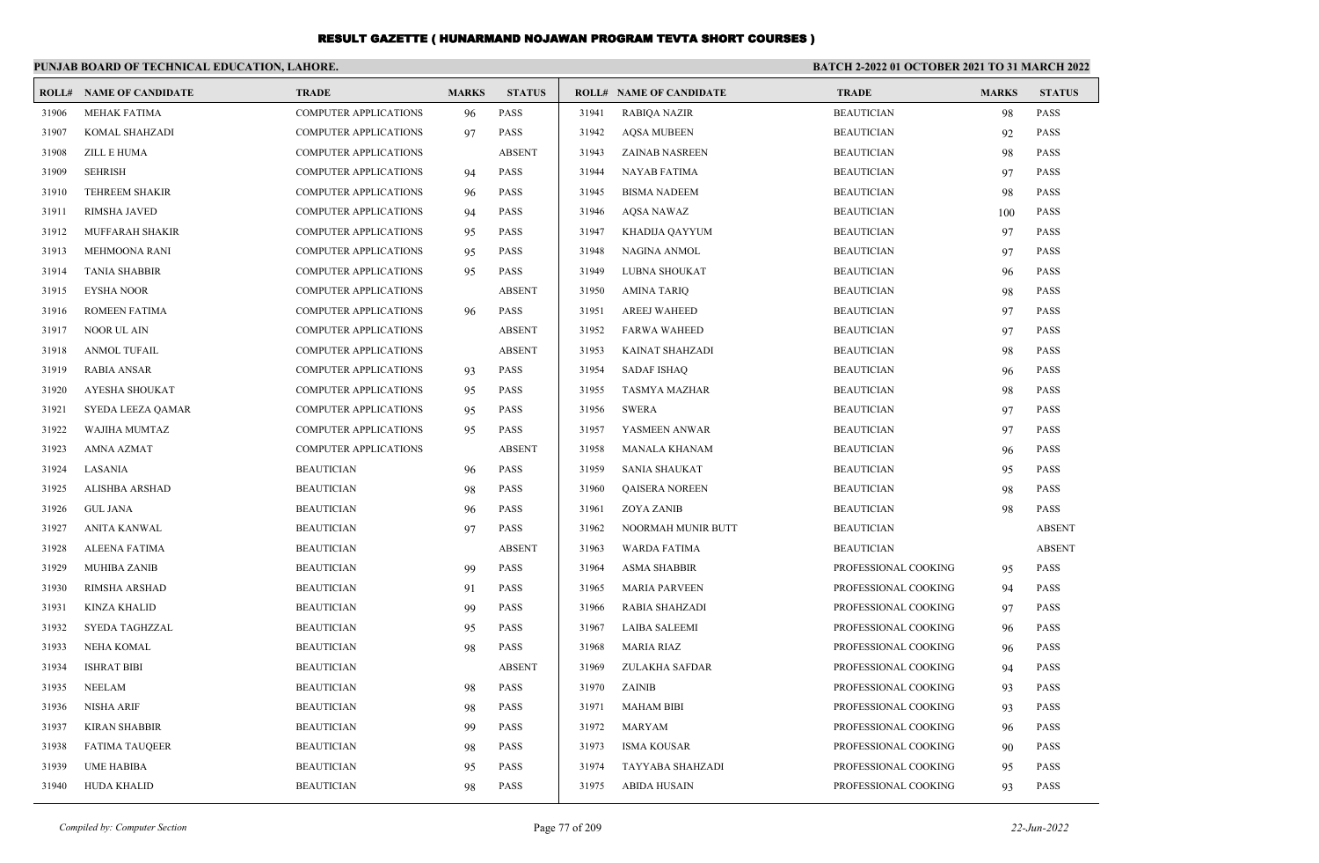|       | PUNJAB BOARD OF TECHNICAL EDUCATION, LAHORE. |                              |              |               |       |                                |                      |              | <b>BATCH 2-2022 01 OCTOBER 2021 TO 31 MARCH 2022</b> |  |  |
|-------|----------------------------------------------|------------------------------|--------------|---------------|-------|--------------------------------|----------------------|--------------|------------------------------------------------------|--|--|
|       | <b>ROLL# NAME OF CANDIDATE</b>               | <b>TRADE</b>                 | <b>MARKS</b> | <b>STATUS</b> |       | <b>ROLL# NAME OF CANDIDATE</b> | <b>TRADE</b>         | <b>MARKS</b> | <b>STATUS</b>                                        |  |  |
| 31906 | <b>MEHAK FATIMA</b>                          | <b>COMPUTER APPLICATIONS</b> | 96           | <b>PASS</b>   | 31941 | <b>RABIQA NAZIR</b>            | <b>BEAUTICIAN</b>    | 98           | <b>PASS</b>                                          |  |  |
| 31907 | KOMAL SHAHZADI                               | <b>COMPUTER APPLICATIONS</b> | 97           | <b>PASS</b>   | 31942 | <b>AQSA MUBEEN</b>             | <b>BEAUTICIAN</b>    | 92           | <b>PASS</b>                                          |  |  |
| 31908 | ZILL E HUMA                                  | <b>COMPUTER APPLICATIONS</b> |              | <b>ABSENT</b> | 31943 | <b>ZAINAB NASREEN</b>          | <b>BEAUTICIAN</b>    | 98           | <b>PASS</b>                                          |  |  |
| 31909 | <b>SEHRISH</b>                               | <b>COMPUTER APPLICATIONS</b> | 94           | <b>PASS</b>   | 31944 | <b>NAYAB FATIMA</b>            | <b>BEAUTICIAN</b>    | 97           | <b>PASS</b>                                          |  |  |
| 31910 | TEHREEM SHAKIR                               | <b>COMPUTER APPLICATIONS</b> | 96           | <b>PASS</b>   | 31945 | <b>BISMA NADEEM</b>            | <b>BEAUTICIAN</b>    | 98           | <b>PASS</b>                                          |  |  |
| 31911 | <b>RIMSHA JAVED</b>                          | <b>COMPUTER APPLICATIONS</b> | 94           | <b>PASS</b>   | 31946 | AQSA NAWAZ                     | <b>BEAUTICIAN</b>    | 100          | <b>PASS</b>                                          |  |  |
| 31912 | <b>MUFFARAH SHAKIR</b>                       | <b>COMPUTER APPLICATIONS</b> | 95           | <b>PASS</b>   | 31947 | KHADIJA QAYYUM                 | <b>BEAUTICIAN</b>    | 97           | <b>PASS</b>                                          |  |  |
| 31913 | MEHMOONA RANI                                | <b>COMPUTER APPLICATIONS</b> | 95           | <b>PASS</b>   | 31948 | NAGINA ANMOL                   | <b>BEAUTICIAN</b>    | 97           | <b>PASS</b>                                          |  |  |
| 31914 | <b>TANIA SHABBIR</b>                         | <b>COMPUTER APPLICATIONS</b> | 95           | <b>PASS</b>   | 31949 | LUBNA SHOUKAT                  | <b>BEAUTICIAN</b>    | 96           | <b>PASS</b>                                          |  |  |
| 31915 | EYSHA NOOR                                   | <b>COMPUTER APPLICATIONS</b> |              | <b>ABSENT</b> | 31950 | AMINA TARIQ                    | <b>BEAUTICIAN</b>    | 98           | <b>PASS</b>                                          |  |  |
| 31916 | ROMEEN FATIMA                                | <b>COMPUTER APPLICATIONS</b> | 96           | <b>PASS</b>   | 31951 | <b>AREEJ WAHEED</b>            | <b>BEAUTICIAN</b>    | 97           | <b>PASS</b>                                          |  |  |
| 31917 | NOOR UL AIN                                  | <b>COMPUTER APPLICATIONS</b> |              | <b>ABSENT</b> | 31952 | <b>FARWA WAHEED</b>            | <b>BEAUTICIAN</b>    | 97           | <b>PASS</b>                                          |  |  |
| 31918 | <b>ANMOL TUFAIL</b>                          | <b>COMPUTER APPLICATIONS</b> |              | <b>ABSENT</b> | 31953 | KAINAT SHAHZADI                | <b>BEAUTICIAN</b>    | 98           | <b>PASS</b>                                          |  |  |
| 31919 | <b>RABIA ANSAR</b>                           | <b>COMPUTER APPLICATIONS</b> | 93           | <b>PASS</b>   | 31954 | <b>SADAF ISHAQ</b>             | <b>BEAUTICIAN</b>    | 96           | <b>PASS</b>                                          |  |  |
| 31920 | <b>AYESHA SHOUKAT</b>                        | <b>COMPUTER APPLICATIONS</b> | 95           | <b>PASS</b>   | 31955 | <b>TASMYA MAZHAR</b>           | <b>BEAUTICIAN</b>    | 98           | <b>PASS</b>                                          |  |  |
| 31921 | SYEDA LEEZA QAMAR                            | <b>COMPUTER APPLICATIONS</b> | 95           | <b>PASS</b>   | 31956 | SWERA                          | <b>BEAUTICIAN</b>    | 97           | <b>PASS</b>                                          |  |  |
| 31922 | WAJIHA MUMTAZ                                | <b>COMPUTER APPLICATIONS</b> | 95           | <b>PASS</b>   | 31957 | YASMEEN ANWAR                  | <b>BEAUTICIAN</b>    | 97           | <b>PASS</b>                                          |  |  |
| 31923 | AMNA AZMAT                                   | <b>COMPUTER APPLICATIONS</b> |              | <b>ABSENT</b> | 31958 | <b>MANALA KHANAM</b>           | <b>BEAUTICIAN</b>    | 96           | <b>PASS</b>                                          |  |  |
| 31924 | LASANIA                                      | <b>BEAUTICIAN</b>            | 96           | <b>PASS</b>   | 31959 | <b>SANIA SHAUKAT</b>           | <b>BEAUTICIAN</b>    | 95           | <b>PASS</b>                                          |  |  |
| 31925 | <b>ALISHBA ARSHAD</b>                        | <b>BEAUTICIAN</b>            | 98           | <b>PASS</b>   | 31960 | <b>QAISERA NOREEN</b>          | <b>BEAUTICIAN</b>    | 98           | <b>PASS</b>                                          |  |  |
| 31926 | <b>GUL JANA</b>                              | <b>BEAUTICIAN</b>            | 96           | <b>PASS</b>   | 31961 | ZOYA ZANIB                     | <b>BEAUTICIAN</b>    | 98           | <b>PASS</b>                                          |  |  |
| 31927 | <b>ANITA KANWAL</b>                          | <b>BEAUTICIAN</b>            | 97           | <b>PASS</b>   | 31962 | NOORMAH MUNIR BUTT             | <b>BEAUTICIAN</b>    |              | <b>ABSENT</b>                                        |  |  |
| 31928 | ALEENA FATIMA                                | <b>BEAUTICIAN</b>            |              | <b>ABSENT</b> | 31963 | <b>WARDA FATIMA</b>            | <b>BEAUTICIAN</b>    |              | <b>ABSENT</b>                                        |  |  |
| 31929 | <b>MUHIBA ZANIB</b>                          | <b>BEAUTICIAN</b>            | 99           | <b>PASS</b>   | 31964 | ASMA SHABBIR                   | PROFESSIONAL COOKING | 95           | <b>PASS</b>                                          |  |  |
| 31930 | RIMSHA ARSHAD                                | <b>BEAUTICIAN</b>            | 91           | <b>PASS</b>   | 31965 | <b>MARIA PARVEEN</b>           | PROFESSIONAL COOKING | 94           | <b>PASS</b>                                          |  |  |
| 31931 | KINZA KHALID                                 | <b>BEAUTICIAN</b>            | 99           | <b>PASS</b>   | 31966 | RABIA SHAHZADI                 | PROFESSIONAL COOKING | 97           | <b>PASS</b>                                          |  |  |
| 31932 | SYEDA TAGHZZAL                               | <b>BEAUTICIAN</b>            | 95           | <b>PASS</b>   | 31967 | <b>LAIBA SALEEMI</b>           | PROFESSIONAL COOKING | 96           | <b>PASS</b>                                          |  |  |
| 31933 | <b>NEHA KOMAL</b>                            | <b>BEAUTICIAN</b>            | 98           | <b>PASS</b>   | 31968 | MARIA RIAZ                     | PROFESSIONAL COOKING | 96           | <b>PASS</b>                                          |  |  |
| 31934 | <b>ISHRAT BIBI</b>                           | <b>BEAUTICIAN</b>            |              | <b>ABSENT</b> | 31969 | ZULAKHA SAFDAR                 | PROFESSIONAL COOKING | 94           | <b>PASS</b>                                          |  |  |
| 31935 | NEELAM                                       | <b>BEAUTICIAN</b>            | 98           | <b>PASS</b>   |       | 31970 ZAINIB                   | PROFESSIONAL COOKING | 93           | <b>PASS</b>                                          |  |  |
| 31936 | NISHA ARIF                                   | <b>BEAUTICIAN</b>            | 98           | PASS          | 31971 | MAHAM BIBI                     | PROFESSIONAL COOKING | 93           | <b>PASS</b>                                          |  |  |
| 31937 | <b>KIRAN SHABBIR</b>                         | <b>BEAUTICIAN</b>            | 99           | PASS          | 31972 | MARYAM                         | PROFESSIONAL COOKING | 96           | <b>PASS</b>                                          |  |  |
| 31938 | <b>FATIMA TAUQEER</b>                        | <b>BEAUTICIAN</b>            | 98           | <b>PASS</b>   | 31973 | <b>ISMA KOUSAR</b>             | PROFESSIONAL COOKING | 90           | <b>PASS</b>                                          |  |  |
| 31939 | UME HABIBA                                   | <b>BEAUTICIAN</b>            | 95           | PASS          | 31974 | TAYYABA SHAHZADI               | PROFESSIONAL COOKING | 95           | PASS                                                 |  |  |
| 31940 | <b>HUDA KHALID</b>                           | <b>BEAUTICIAN</b>            | 98           | PASS          | 31975 | <b>ABIDA HUSAIN</b>            | PROFESSIONAL COOKING | 93           | PASS                                                 |  |  |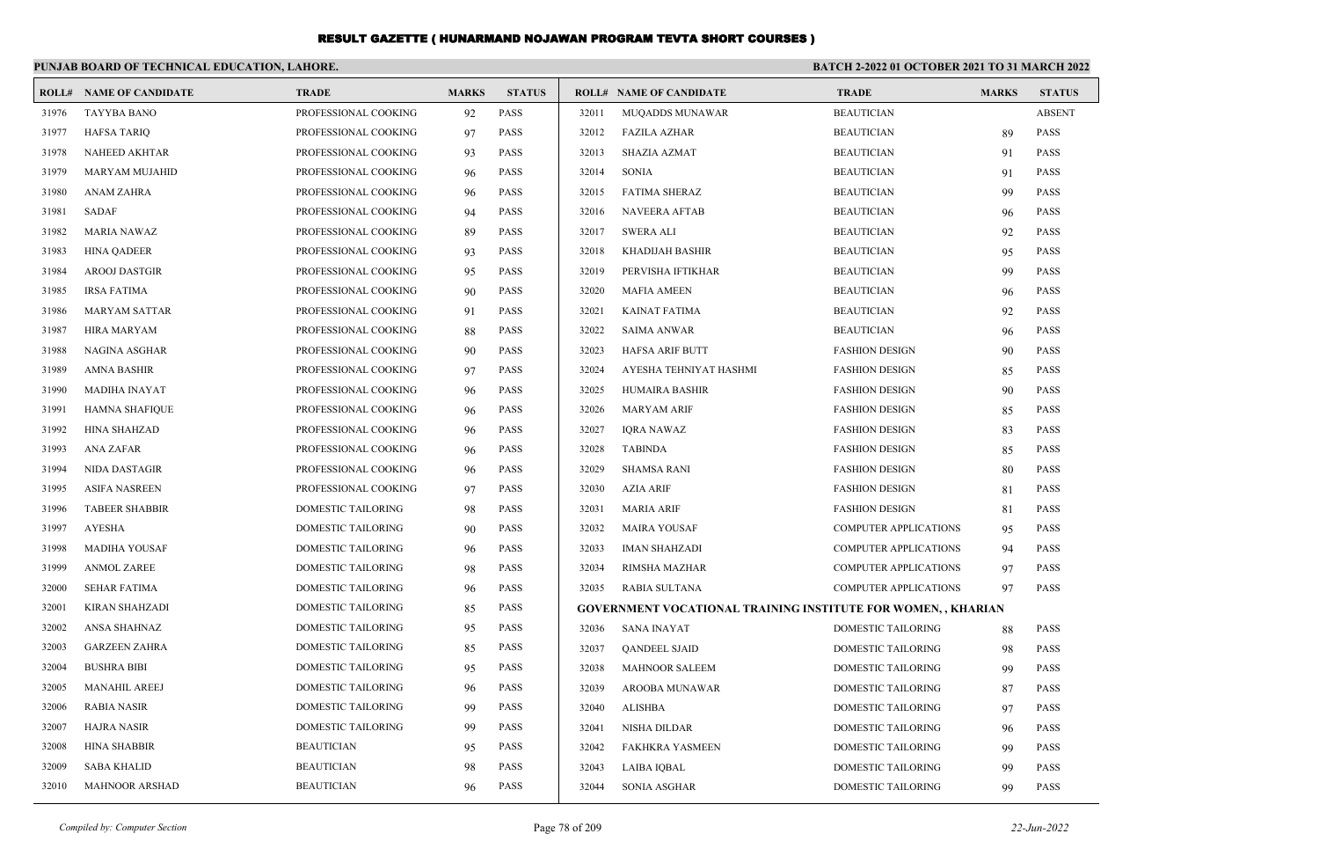|       | PUNJAB BOARD OF TECHNICAL EDUCATION, LAHORE. |                      |              |               |       |                                                                     |                              | <b>BATCH 2-2022 01 OCTOBER 2021 TO 31 MARCH 2022</b> |               |  |
|-------|----------------------------------------------|----------------------|--------------|---------------|-------|---------------------------------------------------------------------|------------------------------|------------------------------------------------------|---------------|--|
|       | <b>ROLL# NAME OF CANDIDATE</b>               | <b>TRADE</b>         | <b>MARKS</b> | <b>STATUS</b> |       | <b>ROLL# NAME OF CANDIDATE</b>                                      | <b>TRADE</b>                 | <b>MARKS</b>                                         | <b>STATUS</b> |  |
| 31976 | <b>TAYYBA BANO</b>                           | PROFESSIONAL COOKING | 92           | PASS          | 32011 | <b>MUQADDS MUNAWAR</b>                                              | <b>BEAUTICIAN</b>            |                                                      | <b>ABSENT</b> |  |
| 31977 | <b>HAFSA TARIQ</b>                           | PROFESSIONAL COOKING | 97           | PASS          | 32012 | <b>FAZILA AZHAR</b>                                                 | <b>BEAUTICIAN</b>            | 89                                                   | <b>PASS</b>   |  |
| 31978 | NAHEED AKHTAR                                | PROFESSIONAL COOKING | 93           | PASS          | 32013 | <b>SHAZIA AZMAT</b>                                                 | <b>BEAUTICIAN</b>            | 91                                                   | <b>PASS</b>   |  |
| 31979 | <b>MARYAM MUJAHID</b>                        | PROFESSIONAL COOKING | 96           | PASS          | 32014 | <b>SONIA</b>                                                        | <b>BEAUTICIAN</b>            | 91                                                   | <b>PASS</b>   |  |
| 31980 | <b>ANAM ZAHRA</b>                            | PROFESSIONAL COOKING | 96           | <b>PASS</b>   | 32015 | <b>FATIMA SHERAZ</b>                                                | <b>BEAUTICIAN</b>            | 99                                                   | <b>PASS</b>   |  |
| 31981 | <b>SADAF</b>                                 | PROFESSIONAL COOKING | 94           | PASS          | 32016 | <b>NAVEERA AFTAB</b>                                                | <b>BEAUTICIAN</b>            | 96                                                   | <b>PASS</b>   |  |
| 31982 | <b>MARIA NAWAZ</b>                           | PROFESSIONAL COOKING | 89           | <b>PASS</b>   | 32017 | <b>SWERA ALI</b>                                                    | <b>BEAUTICIAN</b>            | 92                                                   | <b>PASS</b>   |  |
| 31983 | <b>HINA OADEER</b>                           | PROFESSIONAL COOKING | 93           | <b>PASS</b>   | 32018 | KHADIJAH BASHIR                                                     | <b>BEAUTICIAN</b>            | 95                                                   | <b>PASS</b>   |  |
| 31984 | <b>AROOJ DASTGIR</b>                         | PROFESSIONAL COOKING | 95           | <b>PASS</b>   | 32019 | PERVISHA IFTIKHAR                                                   | <b>BEAUTICIAN</b>            | 99                                                   | <b>PASS</b>   |  |
| 31985 | <b>IRSA FATIMA</b>                           | PROFESSIONAL COOKING | 90           | <b>PASS</b>   | 32020 | <b>MAFIA AMEEN</b>                                                  | <b>BEAUTICIAN</b>            | 96                                                   | <b>PASS</b>   |  |
| 31986 | <b>MARYAM SATTAR</b>                         | PROFESSIONAL COOKING | 91           | <b>PASS</b>   | 32021 | <b>KAINAT FATIMA</b>                                                | <b>BEAUTICIAN</b>            | 92                                                   | <b>PASS</b>   |  |
| 31987 | <b>HIRA MARYAM</b>                           | PROFESSIONAL COOKING | 88           | <b>PASS</b>   | 32022 | <b>SAIMA ANWAR</b>                                                  | <b>BEAUTICIAN</b>            | 96                                                   | <b>PASS</b>   |  |
| 31988 | <b>NAGINA ASGHAR</b>                         | PROFESSIONAL COOKING | 90           | <b>PASS</b>   | 32023 | HAFSA ARIF BUTT                                                     | <b>FASHION DESIGN</b>        | 90                                                   | <b>PASS</b>   |  |
| 31989 | <b>AMNA BASHIR</b>                           | PROFESSIONAL COOKING | 97           | <b>PASS</b>   | 32024 | AYESHA TEHNIYAT HASHMI                                              | <b>FASHION DESIGN</b>        | 85                                                   | <b>PASS</b>   |  |
| 31990 | <b>MADIHA INAYAT</b>                         | PROFESSIONAL COOKING | 96           | <b>PASS</b>   | 32025 | HUMAIRA BASHIR                                                      | <b>FASHION DESIGN</b>        | 90                                                   | <b>PASS</b>   |  |
| 31991 | <b>HAMNA SHAFIQUE</b>                        | PROFESSIONAL COOKING | 96           | <b>PASS</b>   | 32026 | <b>MARYAM ARIF</b>                                                  | <b>FASHION DESIGN</b>        | 85                                                   | <b>PASS</b>   |  |
| 31992 | <b>HINA SHAHZAD</b>                          | PROFESSIONAL COOKING | 96           | <b>PASS</b>   | 32027 | <b>IORA NAWAZ</b>                                                   | <b>FASHION DESIGN</b>        | 83                                                   | <b>PASS</b>   |  |
| 31993 | <b>ANA ZAFAR</b>                             | PROFESSIONAL COOKING | 96           | <b>PASS</b>   | 32028 | <b>TABINDA</b>                                                      | <b>FASHION DESIGN</b>        | 85                                                   | <b>PASS</b>   |  |
| 31994 | <b>NIDA DASTAGIR</b>                         | PROFESSIONAL COOKING | 96           | <b>PASS</b>   | 32029 | <b>SHAMSA RANI</b>                                                  | <b>FASHION DESIGN</b>        | 80                                                   | <b>PASS</b>   |  |
| 31995 | <b>ASIFA NASREEN</b>                         | PROFESSIONAL COOKING | 97           | <b>PASS</b>   | 32030 | <b>AZIA ARIF</b>                                                    | <b>FASHION DESIGN</b>        | 81                                                   | <b>PASS</b>   |  |
| 31996 | <b>TABEER SHABBIR</b>                        | DOMESTIC TAILORING   | 98           | <b>PASS</b>   | 32031 | <b>MARIA ARIF</b>                                                   | <b>FASHION DESIGN</b>        | 81                                                   | <b>PASS</b>   |  |
| 31997 | <b>AYESHA</b>                                | DOMESTIC TAILORING   | 90           | <b>PASS</b>   | 32032 | <b>MAIRA YOUSAF</b>                                                 | <b>COMPUTER APPLICATIONS</b> | 95                                                   | <b>PASS</b>   |  |
| 31998 | <b>MADIHA YOUSAF</b>                         | DOMESTIC TAILORING   | 96           | <b>PASS</b>   | 32033 | <b>IMAN SHAHZADI</b>                                                | <b>COMPUTER APPLICATIONS</b> | 94                                                   | <b>PASS</b>   |  |
| 31999 | <b>ANMOL ZAREE</b>                           | DOMESTIC TAILORING   | 98           | <b>PASS</b>   | 32034 | <b>RIMSHA MAZHAR</b>                                                | <b>COMPUTER APPLICATIONS</b> | 97                                                   | <b>PASS</b>   |  |
| 32000 | <b>SEHAR FATIMA</b>                          | DOMESTIC TAILORING   | 96           | PASS          | 32035 | <b>RABIA SULTANA</b>                                                | <b>COMPUTER APPLICATIONS</b> | 97                                                   | <b>PASS</b>   |  |
| 32001 | <b>KIRAN SHAHZADI</b>                        | DOMESTIC TAILORING   | 85           | <b>PASS</b>   |       | <b>GOVERNMENT VOCATIONAL TRAINING INSTITUTE FOR WOMEN,, KHARIAN</b> |                              |                                                      |               |  |
| 32002 | ANSA SHAHNAZ                                 | DOMESTIC TAILORING   | 95           | PASS          | 32036 | <b>SANA INAYAT</b>                                                  | <b>DOMESTIC TAILORING</b>    | 88                                                   | <b>PASS</b>   |  |
| 32003 | <b>GARZEEN ZAHRA</b>                         | DOMESTIC TAILORING   | 85           | <b>PASS</b>   | 32037 | <b>QANDEEL SJAID</b>                                                | DOMESTIC TAILORING           | 98                                                   | <b>PASS</b>   |  |
| 32004 | <b>BUSHRA BIBI</b>                           | DOMESTIC TAILORING   | 95           | <b>PASS</b>   | 32038 | <b>MAHNOOR SALEEM</b>                                               | DOMESTIC TAILORING           | 99                                                   | <b>PASS</b>   |  |
| 32005 | <b>MANAHIL AREEJ</b>                         | DOMESTIC TAILORING   | 96           | <b>PASS</b>   | 32039 | AROOBA MUNAWAR                                                      | <b>DOMESTIC TAILORING</b>    | 87                                                   | <b>PASS</b>   |  |
| 32006 | <b>RABIA NASIR</b>                           | DOMESTIC TAILORING   | 99           | <b>PASS</b>   | 32040 | ALISHBA                                                             | DOMESTIC TAILORING           | 97                                                   | <b>PASS</b>   |  |
| 32007 | <b>HAJRA NASIR</b>                           | DOMESTIC TAILORING   | 99           | PASS          | 32041 | NISHA DILDAR                                                        | DOMESTIC TAILORING           | 96                                                   | <b>PASS</b>   |  |
| 32008 | <b>HINA SHABBIR</b>                          | <b>BEAUTICIAN</b>    | 95           | PASS          | 32042 | <b>FAKHKRA YASMEEN</b>                                              | <b>DOMESTIC TAILORING</b>    | 99                                                   | <b>PASS</b>   |  |
| 32009 | <b>SABA KHALID</b>                           | <b>BEAUTICIAN</b>    | 98           | <b>PASS</b>   | 32043 | LAIBA IQBAL                                                         | DOMESTIC TAILORING           | 99                                                   | <b>PASS</b>   |  |
| 32010 | <b>MAHNOOR ARSHAD</b>                        | <b>BEAUTICIAN</b>    | 96           | PASS          | 32044 | <b>SONIA ASGHAR</b>                                                 | <b>DOMESTIC TAILORING</b>    | 99                                                   | <b>PASS</b>   |  |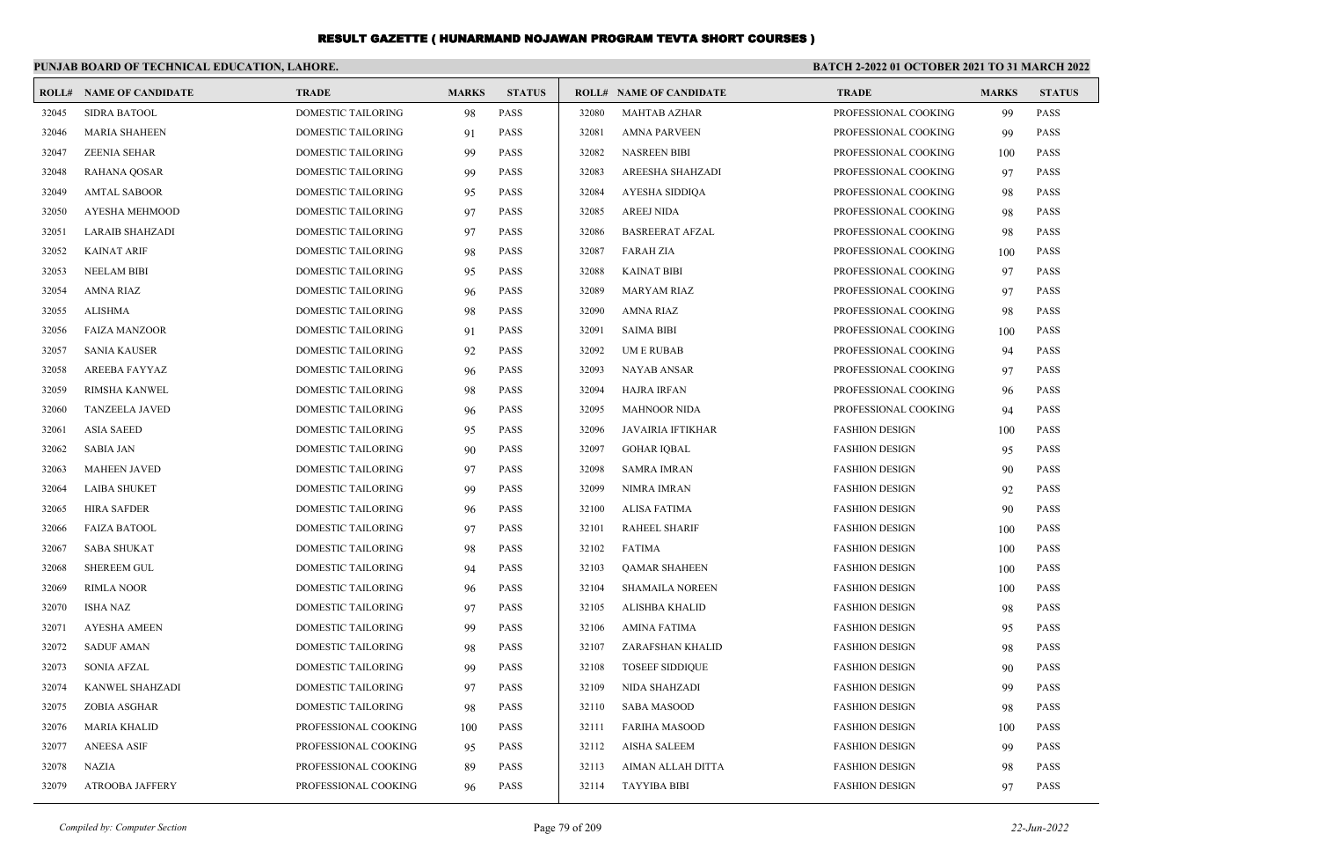|       | PUNJAB BOARD OF TECHNICAL EDUCATION, LAHORE. |                           |              |               |       |                                | BATCH 2-2022 01 OCTOBER 2021 TO 31 MARCH 2022 |              |               |
|-------|----------------------------------------------|---------------------------|--------------|---------------|-------|--------------------------------|-----------------------------------------------|--------------|---------------|
|       | <b>ROLL# NAME OF CANDIDATE</b>               | <b>TRADE</b>              | <b>MARKS</b> | <b>STATUS</b> |       | <b>ROLL# NAME OF CANDIDATE</b> | <b>TRADE</b>                                  | <b>MARKS</b> | <b>STATUS</b> |
| 32045 | <b>SIDRA BATOOL</b>                          | <b>DOMESTIC TAILORING</b> | 98           | <b>PASS</b>   | 32080 | <b>MAHTAB AZHAR</b>            | PROFESSIONAL COOKING                          | 99           | <b>PASS</b>   |
| 32046 | <b>MARIA SHAHEEN</b>                         | DOMESTIC TAILORING        | 91           | <b>PASS</b>   | 32081 | <b>AMNA PARVEEN</b>            | PROFESSIONAL COOKING                          | 99           | <b>PASS</b>   |
| 32047 | <b>ZEENIA SEHAR</b>                          | <b>DOMESTIC TAILORING</b> | 99           | <b>PASS</b>   | 32082 | <b>NASREEN BIBI</b>            | PROFESSIONAL COOKING                          | 100          | <b>PASS</b>   |
| 32048 | <b>RAHANA QOSAR</b>                          | <b>DOMESTIC TAILORING</b> | 99           | <b>PASS</b>   | 32083 | <b>AREESHA SHAHZADI</b>        | PROFESSIONAL COOKING                          | 97           | <b>PASS</b>   |
| 32049 | <b>AMTAL SABOOR</b>                          | <b>DOMESTIC TAILORING</b> | 95           | PASS          | 32084 | AYESHA SIDDIQA                 | PROFESSIONAL COOKING                          | 98           | <b>PASS</b>   |
| 32050 | AYESHA MEHMOOD                               | <b>DOMESTIC TAILORING</b> | 97           | PASS          | 32085 | <b>AREEJ NIDA</b>              | PROFESSIONAL COOKING                          | 98           | <b>PASS</b>   |
| 32051 | <b>LARAIB SHAHZADI</b>                       | <b>DOMESTIC TAILORING</b> | 97           | <b>PASS</b>   | 32086 | <b>BASREERAT AFZAL</b>         | PROFESSIONAL COOKING                          | 98           | <b>PASS</b>   |
| 32052 | <b>KAINAT ARIF</b>                           | <b>DOMESTIC TAILORING</b> | 98           | <b>PASS</b>   | 32087 | <b>FARAH ZIA</b>               | PROFESSIONAL COOKING                          | 100          | <b>PASS</b>   |
| 32053 | <b>NEELAM BIBI</b>                           | DOMESTIC TAILORING        | 95           | PASS          | 32088 | <b>KAINAT BIBI</b>             | PROFESSIONAL COOKING                          | 97           | <b>PASS</b>   |
| 32054 | AMNA RIAZ                                    | DOMESTIC TAILORING        | 96           | PASS          | 32089 | <b>MARYAM RIAZ</b>             | PROFESSIONAL COOKING                          | 97           | <b>PASS</b>   |
| 32055 | <b>ALISHMA</b>                               | <b>DOMESTIC TAILORING</b> | 98           | <b>PASS</b>   | 32090 | <b>AMNA RIAZ</b>               | PROFESSIONAL COOKING                          | 98           | <b>PASS</b>   |
| 32056 | <b>FAIZA MANZOOR</b>                         | <b>DOMESTIC TAILORING</b> | 91           | <b>PASS</b>   | 32091 | <b>SAIMA BIBI</b>              | PROFESSIONAL COOKING                          | 100          | <b>PASS</b>   |
| 32057 | <b>SANIA KAUSER</b>                          | DOMESTIC TAILORING        | 92           | PASS          | 32092 | <b>UMERUBAB</b>                | PROFESSIONAL COOKING                          | -94          | <b>PASS</b>   |
| 32058 | AREEBA FAYYAZ                                | DOMESTIC TAILORING        | 96           | PASS          | 32093 | NAYAB ANSAR                    | PROFESSIONAL COOKING                          | 97           | <b>PASS</b>   |
| 32059 | <b>RIMSHA KANWEL</b>                         | <b>DOMESTIC TAILORING</b> | 98           | <b>PASS</b>   | 32094 | <b>HAJRA IRFAN</b>             | PROFESSIONAL COOKING                          | 96           | <b>PASS</b>   |
| 32060 | <b>TANZEELA JAVED</b>                        | DOMESTIC TAILORING        | 96           | PASS          | 32095 | <b>MAHNOOR NIDA</b>            | PROFESSIONAL COOKING                          | 94           | <b>PASS</b>   |
| 32061 | <b>ASIA SAEED</b>                            | DOMESTIC TAILORING        | 95           | PASS          | 32096 | JAVAIRIA IFTIKHAR              | <b>FASHION DESIGN</b>                         | 100          | <b>PASS</b>   |
| 32062 | <b>SABIA JAN</b>                             | <b>DOMESTIC TAILORING</b> | 90           | <b>PASS</b>   | 32097 | <b>GOHAR IOBAL</b>             | <b>FASHION DESIGN</b>                         | 95           | <b>PASS</b>   |
| 32063 | <b>MAHEEN JAVED</b>                          | <b>DOMESTIC TAILORING</b> | 97           | <b>PASS</b>   | 32098 | <b>SAMRA IMRAN</b>             | <b>FASHION DESIGN</b>                         | 90           | <b>PASS</b>   |
| 32064 | <b>LAIBA SHUKET</b>                          | <b>DOMESTIC TAILORING</b> | 99           | <b>PASS</b>   | 32099 | NIMRA IMRAN                    | <b>FASHION DESIGN</b>                         | 92           | <b>PASS</b>   |
| 32065 | <b>HIRA SAFDER</b>                           | <b>DOMESTIC TAILORING</b> | 96           | <b>PASS</b>   | 32100 | <b>ALISA FATIMA</b>            | <b>FASHION DESIGN</b>                         | 90           | <b>PASS</b>   |
| 32066 | <b>FAIZA BATOOL</b>                          | <b>DOMESTIC TAILORING</b> | 97           | <b>PASS</b>   | 32101 | <b>RAHEEL SHARIF</b>           | <b>FASHION DESIGN</b>                         | 100          | <b>PASS</b>   |
| 32067 | <b>SABA SHUKAT</b>                           | <b>DOMESTIC TAILORING</b> | 98           | <b>PASS</b>   | 32102 | <b>FATIMA</b>                  | <b>FASHION DESIGN</b>                         | 100          | <b>PASS</b>   |
| 32068 | <b>SHEREEM GUL</b>                           | DOMESTIC TAILORING        | 94           | <b>PASS</b>   | 32103 | <b>QAMAR SHAHEEN</b>           | <b>FASHION DESIGN</b>                         | 100          | <b>PASS</b>   |
| 32069 | <b>RIMLA NOOR</b>                            | <b>DOMESTIC TAILORING</b> | 96           | <b>PASS</b>   | 32104 | <b>SHAMAILA NOREEN</b>         | <b>FASHION DESIGN</b>                         | 100          | <b>PASS</b>   |
| 32070 | <b>ISHA NAZ</b>                              | <b>DOMESTIC TAILORING</b> | 97           | <b>PASS</b>   | 32105 | ALISHBA KHALID                 | <b>FASHION DESIGN</b>                         | 98           | <b>PASS</b>   |
| 32071 | <b>AYESHA AMEEN</b>                          | <b>DOMESTIC TAILORING</b> | 99           | <b>PASS</b>   | 32106 | <b>AMINA FATIMA</b>            | <b>FASHION DESIGN</b>                         | 95           | <b>PASS</b>   |
| 32072 | <b>SADUF AMAN</b>                            | DOMESTIC TAILORING        | 98           | <b>PASS</b>   | 32107 | ZARAFSHAN KHALID               | <b>FASHION DESIGN</b>                         | 98           | <b>PASS</b>   |
| 32073 | <b>SONIA AFZAL</b>                           | DOMESTIC TAILORING        | 99           | <b>PASS</b>   | 32108 | <b>TOSEEF SIDDIQUE</b>         | <b>FASHION DESIGN</b>                         | 90           | <b>PASS</b>   |
| 32074 | KANWEL SHAHZADI                              | DOMESTIC TAILORING        | 97           | <b>PASS</b>   | 32109 | NIDA SHAHZADI                  | <b>FASHION DESIGN</b>                         | 99           | <b>PASS</b>   |
| 32075 | <b>ZOBIA ASGHAR</b>                          | <b>DOMESTIC TAILORING</b> | 98           | <b>PASS</b>   | 32110 | <b>SABA MASOOD</b>             | <b>FASHION DESIGN</b>                         | 98           | <b>PASS</b>   |
| 32076 | <b>MARIA KHALID</b>                          | PROFESSIONAL COOKING      | 100          | PASS          | 32111 | <b>FARIHA MASOOD</b>           | <b>FASHION DESIGN</b>                         | 100          | <b>PASS</b>   |
| 32077 | <b>ANEESA ASIF</b>                           | PROFESSIONAL COOKING      | 95           | <b>PASS</b>   | 32112 | <b>AISHA SALEEM</b>            | <b>FASHION DESIGN</b>                         | 99           | <b>PASS</b>   |
| 32078 | <b>NAZIA</b>                                 | PROFESSIONAL COOKING      | 89           | <b>PASS</b>   | 32113 | AIMAN ALLAH DITTA              | <b>FASHION DESIGN</b>                         | 98           | <b>PASS</b>   |
| 32079 | <b>ATROOBA JAFFERY</b>                       | PROFESSIONAL COOKING      | 96           | <b>PASS</b>   | 32114 | TAYYIBA BIBI                   | <b>FASHION DESIGN</b>                         | 97           | <b>PASS</b>   |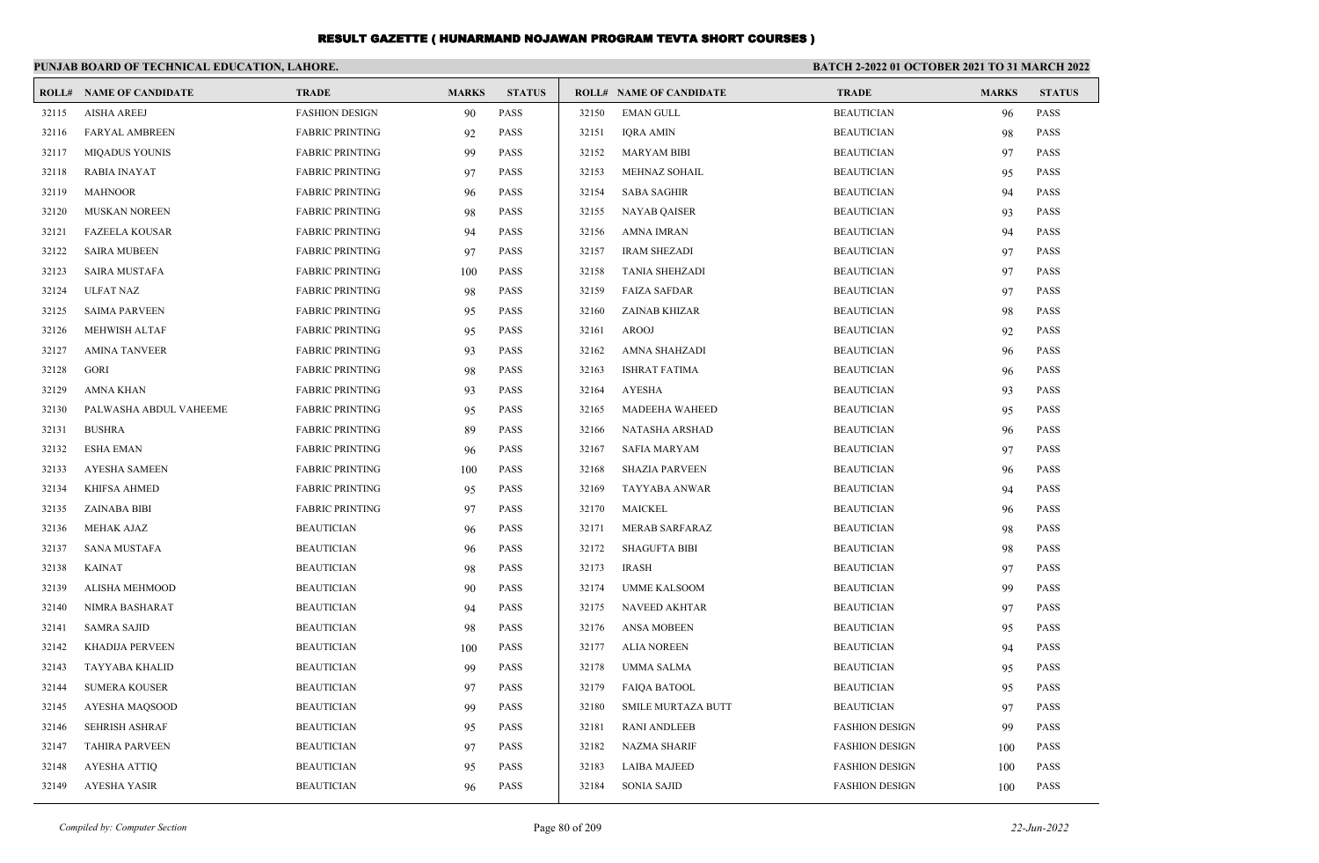|       | PUNJAB BOARD OF TECHNICAL EDUCATION, LAHORE. |                        |              |               |       |                                |                       | BATCH 2-2022 01 OCTOBER 2021 TO 31 MARCH 2022 |               |  |
|-------|----------------------------------------------|------------------------|--------------|---------------|-------|--------------------------------|-----------------------|-----------------------------------------------|---------------|--|
|       | <b>ROLL# NAME OF CANDIDATE</b>               | <b>TRADE</b>           | <b>MARKS</b> | <b>STATUS</b> |       | <b>ROLL# NAME OF CANDIDATE</b> | <b>TRADE</b>          | <b>MARKS</b>                                  | <b>STATUS</b> |  |
| 32115 | <b>AISHA AREEJ</b>                           | <b>FASHION DESIGN</b>  | 90           | <b>PASS</b>   | 32150 | <b>EMAN GULL</b>               | <b>BEAUTICIAN</b>     | 96                                            | <b>PASS</b>   |  |
| 32116 | <b>FARYAL AMBREEN</b>                        | <b>FABRIC PRINTING</b> | 92           | <b>PASS</b>   | 32151 | <b>IQRA AMIN</b>               | <b>BEAUTICIAN</b>     | 98                                            | <b>PASS</b>   |  |
| 32117 | <b>MIQADUS YOUNIS</b>                        | <b>FABRIC PRINTING</b> | 99           | <b>PASS</b>   | 32152 | <b>MARYAM BIBI</b>             | <b>BEAUTICIAN</b>     | 97                                            | <b>PASS</b>   |  |
| 32118 | RABIA INAYAT                                 | <b>FABRIC PRINTING</b> | 97           | <b>PASS</b>   | 32153 | MEHNAZ SOHAIL                  | <b>BEAUTICIAN</b>     | 95                                            | <b>PASS</b>   |  |
| 32119 | <b>MAHNOOR</b>                               | <b>FABRIC PRINTING</b> | 96           | <b>PASS</b>   | 32154 | <b>SABA SAGHIR</b>             | <b>BEAUTICIAN</b>     | 94                                            | <b>PASS</b>   |  |
| 32120 | <b>MUSKAN NOREEN</b>                         | <b>FABRIC PRINTING</b> | 98           | <b>PASS</b>   | 32155 | <b>NAYAB QAISER</b>            | <b>BEAUTICIAN</b>     | 93                                            | <b>PASS</b>   |  |
| 32121 | <b>FAZEELA KOUSAR</b>                        | <b>FABRIC PRINTING</b> | 94           | <b>PASS</b>   | 32156 | <b>AMNA IMRAN</b>              | <b>BEAUTICIAN</b>     | 94                                            | <b>PASS</b>   |  |
| 32122 | <b>SAIRA MUBEEN</b>                          | <b>FABRIC PRINTING</b> | 97           | <b>PASS</b>   | 32157 | <b>IRAM SHEZADI</b>            | <b>BEAUTICIAN</b>     | 97                                            | <b>PASS</b>   |  |
| 32123 | <b>SAIRA MUSTAFA</b>                         | <b>FABRIC PRINTING</b> | 100          | <b>PASS</b>   | 32158 | <b>TANIA SHEHZADI</b>          | <b>BEAUTICIAN</b>     | 97                                            | <b>PASS</b>   |  |
| 32124 | <b>ULFAT NAZ</b>                             | <b>FABRIC PRINTING</b> | 98           | <b>PASS</b>   | 32159 | <b>FAIZA SAFDAR</b>            | <b>BEAUTICIAN</b>     | 97                                            | <b>PASS</b>   |  |
| 32125 | <b>SAIMA PARVEEN</b>                         | <b>FABRIC PRINTING</b> | 95           | <b>PASS</b>   | 32160 | ZAINAB KHIZAR                  | <b>BEAUTICIAN</b>     | 98                                            | <b>PASS</b>   |  |
| 32126 | <b>MEHWISH ALTAF</b>                         | <b>FABRIC PRINTING</b> | 95           | <b>PASS</b>   | 32161 | <b>AROOJ</b>                   | <b>BEAUTICIAN</b>     | 92                                            | <b>PASS</b>   |  |
| 32127 | <b>AMINA TANVEER</b>                         | <b>FABRIC PRINTING</b> | 93           | <b>PASS</b>   | 32162 | AMNA SHAHZADI                  | <b>BEAUTICIAN</b>     | 96                                            | <b>PASS</b>   |  |
| 32128 | GORI                                         | <b>FABRIC PRINTING</b> | 98           | <b>PASS</b>   | 32163 | <b>ISHRAT FATIMA</b>           | <b>BEAUTICIAN</b>     | 96                                            | <b>PASS</b>   |  |
| 32129 | <b>AMNA KHAN</b>                             | <b>FABRIC PRINTING</b> | 93           | <b>PASS</b>   | 32164 | <b>AYESHA</b>                  | <b>BEAUTICIAN</b>     | 93                                            | <b>PASS</b>   |  |
| 32130 | PALWASHA ABDUL VAHEEME                       | <b>FABRIC PRINTING</b> | 95           | <b>PASS</b>   | 32165 | <b>MADEEHA WAHEED</b>          | <b>BEAUTICIAN</b>     | 95                                            | <b>PASS</b>   |  |
| 32131 | <b>BUSHRA</b>                                | <b>FABRIC PRINTING</b> | 89           | <b>PASS</b>   | 32166 | NATASHA ARSHAD                 | <b>BEAUTICIAN</b>     | 96                                            | <b>PASS</b>   |  |
| 32132 | <b>ESHA EMAN</b>                             | <b>FABRIC PRINTING</b> | 96           | <b>PASS</b>   | 32167 | <b>SAFIA MARYAM</b>            | <b>BEAUTICIAN</b>     | 97                                            | <b>PASS</b>   |  |
| 32133 | <b>AYESHA SAMEEN</b>                         | <b>FABRIC PRINTING</b> | 100          | <b>PASS</b>   | 32168 | <b>SHAZIA PARVEEN</b>          | <b>BEAUTICIAN</b>     | 96                                            | <b>PASS</b>   |  |
| 32134 | KHIFSA AHMED                                 | <b>FABRIC PRINTING</b> | 95           | <b>PASS</b>   | 32169 | TAYYABA ANWAR                  | <b>BEAUTICIAN</b>     | 94                                            | <b>PASS</b>   |  |
| 32135 | <b>ZAINABA BIBI</b>                          | <b>FABRIC PRINTING</b> | 97           | <b>PASS</b>   | 32170 | MAICKEL                        | <b>BEAUTICIAN</b>     | 96                                            | <b>PASS</b>   |  |
| 32136 | <b>MEHAK AJAZ</b>                            | <b>BEAUTICIAN</b>      | 96           | <b>PASS</b>   | 32171 | <b>MERAB SARFARAZ</b>          | <b>BEAUTICIAN</b>     | 98                                            | <b>PASS</b>   |  |
| 32137 | <b>SANA MUSTAFA</b>                          | <b>BEAUTICIAN</b>      | 96           | <b>PASS</b>   | 32172 | <b>SHAGUFTA BIBI</b>           | <b>BEAUTICIAN</b>     | 98                                            | <b>PASS</b>   |  |
| 32138 | KAINAT                                       | <b>BEAUTICIAN</b>      | 98           | <b>PASS</b>   | 32173 | <b>IRASH</b>                   | <b>BEAUTICIAN</b>     | 97                                            | <b>PASS</b>   |  |
| 32139 | <b>ALISHA MEHMOOD</b>                        | <b>BEAUTICIAN</b>      | 90           | <b>PASS</b>   | 32174 | <b>UMME KALSOOM</b>            | <b>BEAUTICIAN</b>     | 99                                            | <b>PASS</b>   |  |
| 32140 | NIMRA BASHARAT                               | <b>BEAUTICIAN</b>      | 94           | <b>PASS</b>   | 32175 | <b>NAVEED AKHTAR</b>           | <b>BEAUTICIAN</b>     | 97                                            | <b>PASS</b>   |  |
| 32141 | <b>SAMRA SAJID</b>                           | <b>BEAUTICIAN</b>      | 98           | <b>PASS</b>   | 32176 | <b>ANSA MOBEEN</b>             | <b>BEAUTICIAN</b>     | 95                                            | <b>PASS</b>   |  |
| 32142 | <b>KHADIJA PERVEEN</b>                       | <b>BEAUTICIAN</b>      | 100          | <b>PASS</b>   | 32177 | <b>ALIA NOREEN</b>             | <b>BEAUTICIAN</b>     | 94                                            | <b>PASS</b>   |  |
| 32143 | <b>TAYYABA KHALID</b>                        | <b>BEAUTICIAN</b>      | 99           | <b>PASS</b>   | 32178 | <b>UMMA SALMA</b>              | <b>BEAUTICIAN</b>     | 95                                            | <b>PASS</b>   |  |
| 32144 | <b>SUMERA KOUSER</b>                         | <b>BEAUTICIAN</b>      | 97           | <b>PASS</b>   | 32179 | <b>FAIQA BATOOL</b>            | <b>BEAUTICIAN</b>     | 95                                            | <b>PASS</b>   |  |
| 32145 | AYESHA MAQSOOD                               | <b>BEAUTICIAN</b>      | 99           | <b>PASS</b>   | 32180 | <b>SMILE MURTAZA BUTT</b>      | <b>BEAUTICIAN</b>     | 97                                            | <b>PASS</b>   |  |
| 32146 | <b>SEHRISH ASHRAF</b>                        | <b>BEAUTICIAN</b>      | 95           | <b>PASS</b>   | 32181 | <b>RANI ANDLEEB</b>            | <b>FASHION DESIGN</b> | 99                                            | <b>PASS</b>   |  |
| 32147 | <b>TAHIRA PARVEEN</b>                        | <b>BEAUTICIAN</b>      | 97           | <b>PASS</b>   | 32182 | <b>NAZMA SHARIF</b>            | <b>FASHION DESIGN</b> | 100                                           | <b>PASS</b>   |  |
| 32148 | <b>AYESHA ATTIQ</b>                          | <b>BEAUTICIAN</b>      | 95           | <b>PASS</b>   | 32183 | <b>LAIBA MAJEED</b>            | <b>FASHION DESIGN</b> | 100                                           | <b>PASS</b>   |  |
| 32149 | <b>AYESHA YASIR</b>                          | <b>BEAUTICIAN</b>      | 96           | <b>PASS</b>   | 32184 | <b>SONIA SAJID</b>             | <b>FASHION DESIGN</b> | 100                                           | <b>PASS</b>   |  |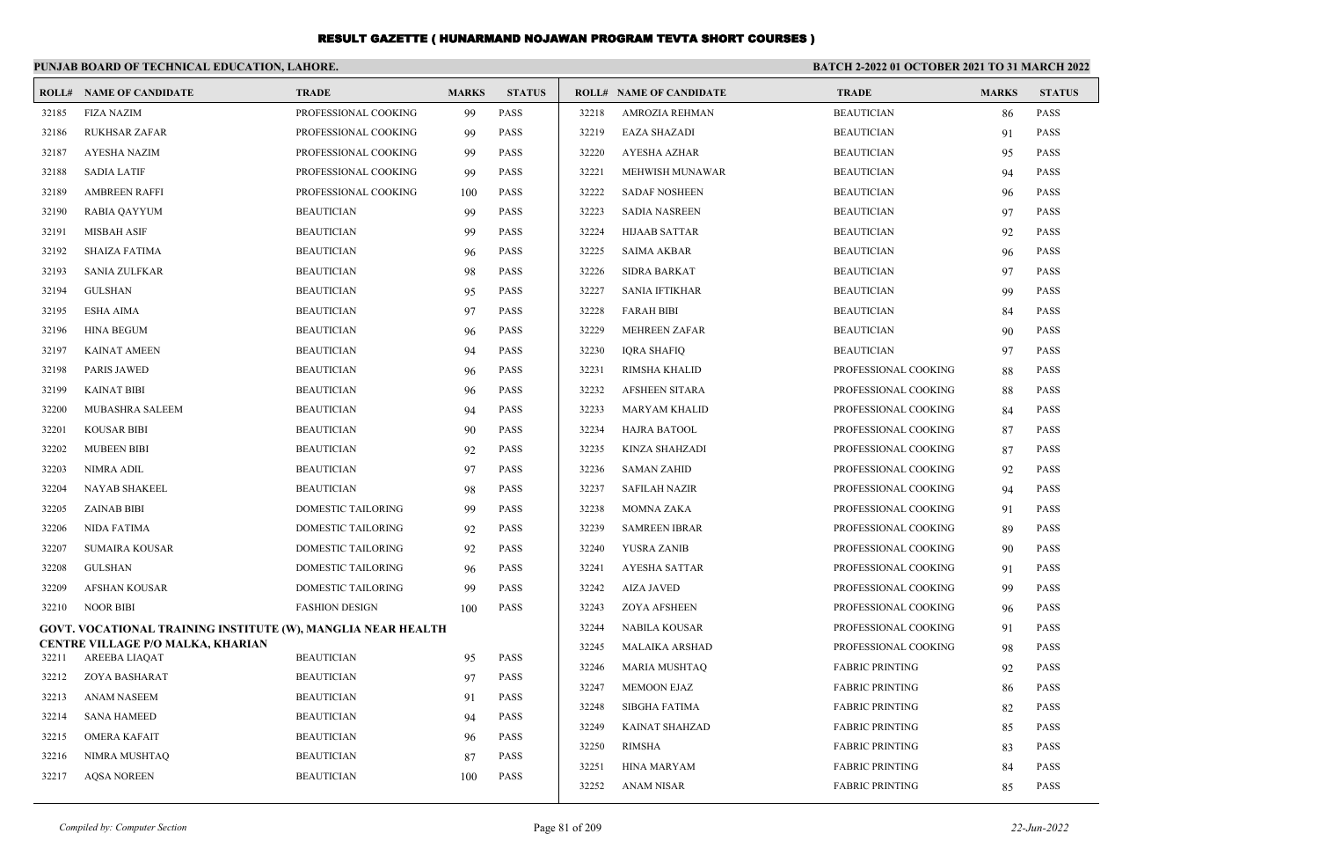|       | PUNJAB BOARD OF TECHNICAL EDUCATION, LAHORE.                 |                           |              |               |       | <b>BATCH 2-2022 01 OCTOBER 2021 TO 31 MARCH 2022</b> |                        |              |               |
|-------|--------------------------------------------------------------|---------------------------|--------------|---------------|-------|------------------------------------------------------|------------------------|--------------|---------------|
|       | <b>ROLL# NAME OF CANDIDATE</b>                               | <b>TRADE</b>              | <b>MARKS</b> | <b>STATUS</b> |       | <b>ROLL# NAME OF CANDIDATE</b>                       | <b>TRADE</b>           | <b>MARKS</b> | <b>STATUS</b> |
| 32185 | <b>FIZA NAZIM</b>                                            | PROFESSIONAL COOKING      | 99           | <b>PASS</b>   | 32218 | AMROZIA REHMAN                                       | <b>BEAUTICIAN</b>      | 86           | <b>PASS</b>   |
| 32186 | <b>RUKHSAR ZAFAR</b>                                         | PROFESSIONAL COOKING      | 99           | <b>PASS</b>   | 32219 | <b>EAZA SHAZADI</b>                                  | <b>BEAUTICIAN</b>      | 91           | <b>PASS</b>   |
| 32187 | <b>AYESHA NAZIM</b>                                          | PROFESSIONAL COOKING      | 99           | PASS          | 32220 | <b>AYESHA AZHAR</b>                                  | <b>BEAUTICIAN</b>      | 95           | <b>PASS</b>   |
| 32188 | <b>SADIA LATIF</b>                                           | PROFESSIONAL COOKING      | 99           | PASS          | 32221 | MEHWISH MUNAWAR                                      | <b>BEAUTICIAN</b>      | 94           | <b>PASS</b>   |
| 32189 | <b>AMBREEN RAFFI</b>                                         | PROFESSIONAL COOKING      | 100          | <b>PASS</b>   | 32222 | <b>SADAF NOSHEEN</b>                                 | <b>BEAUTICIAN</b>      | 96           | <b>PASS</b>   |
| 32190 | <b>RABIA QAYYUM</b>                                          | <b>BEAUTICIAN</b>         | 99           | <b>PASS</b>   | 32223 | <b>SADIA NASREEN</b>                                 | <b>BEAUTICIAN</b>      | 97           | <b>PASS</b>   |
| 32191 | <b>MISBAH ASIF</b>                                           | <b>BEAUTICIAN</b>         | 99           | <b>PASS</b>   | 32224 | <b>HIJAAB SATTAR</b>                                 | <b>BEAUTICIAN</b>      | 92           | <b>PASS</b>   |
| 32192 | <b>SHAIZA FATIMA</b>                                         | <b>BEAUTICIAN</b>         | 96           | PASS          | 32225 | <b>SAIMA AKBAR</b>                                   | <b>BEAUTICIAN</b>      | 96           | <b>PASS</b>   |
| 32193 | <b>SANIA ZULFKAR</b>                                         | <b>BEAUTICIAN</b>         | 98           | PASS          | 32226 | <b>SIDRA BARKAT</b>                                  | <b>BEAUTICIAN</b>      | 97           | <b>PASS</b>   |
| 32194 | <b>GULSHAN</b>                                               | <b>BEAUTICIAN</b>         | 95           | <b>PASS</b>   | 32227 | <b>SANIA IFTIKHAR</b>                                | <b>BEAUTICIAN</b>      | 99           | <b>PASS</b>   |
| 32195 | <b>ESHA AIMA</b>                                             | <b>BEAUTICIAN</b>         | 97           | <b>PASS</b>   | 32228 | <b>FARAH BIBI</b>                                    | <b>BEAUTICIAN</b>      | 84           | <b>PASS</b>   |
| 32196 | <b>HINA BEGUM</b>                                            | <b>BEAUTICIAN</b>         | 96           | <b>PASS</b>   | 32229 | <b>MEHREEN ZAFAR</b>                                 | <b>BEAUTICIAN</b>      | 90           | <b>PASS</b>   |
| 32197 | <b>KAINAT AMEEN</b>                                          | <b>BEAUTICIAN</b>         | 94           | <b>PASS</b>   | 32230 | <b>IQRA SHAFIQ</b>                                   | <b>BEAUTICIAN</b>      | 97           | <b>PASS</b>   |
| 32198 | <b>PARIS JAWED</b>                                           | <b>BEAUTICIAN</b>         | 96           | PASS          | 32231 | RIMSHA KHALID                                        | PROFESSIONAL COOKING   | 88           | <b>PASS</b>   |
| 32199 | <b>KAINAT BIBI</b>                                           | <b>BEAUTICIAN</b>         | 96           | PASS          | 32232 | <b>AFSHEEN SITARA</b>                                | PROFESSIONAL COOKING   | 88           | <b>PASS</b>   |
| 32200 | MUBASHRA SALEEM                                              | <b>BEAUTICIAN</b>         | 94           | <b>PASS</b>   | 32233 | <b>MARYAM KHALID</b>                                 | PROFESSIONAL COOKING   | 84           | <b>PASS</b>   |
| 32201 | <b>KOUSAR BIBI</b>                                           | <b>BEAUTICIAN</b>         | 90           | PASS          | 32234 | <b>HAJRA BATOOL</b>                                  | PROFESSIONAL COOKING   | 87           | <b>PASS</b>   |
| 32202 | <b>MUBEEN BIBI</b>                                           | <b>BEAUTICIAN</b>         | 92           | <b>PASS</b>   | 32235 | <b>KINZA SHAHZADI</b>                                | PROFESSIONAL COOKING   | 87           | <b>PASS</b>   |
| 32203 | <b>NIMRA ADIL</b>                                            | <b>BEAUTICIAN</b>         | 97           | <b>PASS</b>   | 32236 | <b>SAMAN ZAHID</b>                                   | PROFESSIONAL COOKING   | 92           | <b>PASS</b>   |
| 32204 | NAYAB SHAKEEL                                                | <b>BEAUTICIAN</b>         | 98           | PASS          | 32237 | <b>SAFILAH NAZIR</b>                                 | PROFESSIONAL COOKING   | 94           | <b>PASS</b>   |
| 32205 | <b>ZAINAB BIBI</b>                                           | DOMESTIC TAILORING        | 99           | <b>PASS</b>   | 32238 | <b>MOMNA ZAKA</b>                                    | PROFESSIONAL COOKING   | 91           | <b>PASS</b>   |
| 32206 | <b>NIDA FATIMA</b>                                           | <b>DOMESTIC TAILORING</b> | 92           | PASS          | 32239 | <b>SAMREEN IBRAR</b>                                 | PROFESSIONAL COOKING   | 89           | <b>PASS</b>   |
| 32207 | <b>SUMAIRA KOUSAR</b>                                        | DOMESTIC TAILORING        | 92           | PASS          | 32240 | YUSRA ZANIB                                          | PROFESSIONAL COOKING   | 90           | <b>PASS</b>   |
| 32208 | <b>GULSHAN</b>                                               | DOMESTIC TAILORING        | 96           | <b>PASS</b>   | 32241 | <b>AYESHA SATTAR</b>                                 | PROFESSIONAL COOKING   | 91           | <b>PASS</b>   |
| 32209 | <b>AFSHAN KOUSAR</b>                                         | <b>DOMESTIC TAILORING</b> | 99           | <b>PASS</b>   | 32242 | <b>AIZA JAVED</b>                                    | PROFESSIONAL COOKING   | 99           | <b>PASS</b>   |
| 32210 | <b>NOOR BIBI</b>                                             | <b>FASHION DESIGN</b>     | 100          | <b>PASS</b>   | 32243 | <b>ZOYA AFSHEEN</b>                                  | PROFESSIONAL COOKING   | 96           | <b>PASS</b>   |
|       | GOVT. VOCATIONAL TRAINING INSTITUTE (W), MANGLIA NEAR HEALTH |                           |              |               | 32244 | <b>NABILA KOUSAR</b>                                 | PROFESSIONAL COOKING   | 91           | <b>PASS</b>   |
| 32211 | CENTRE VILLAGE P/O MALKA, KHARIAN<br><b>AREEBA LIAQAT</b>    | <b>BEAUTICIAN</b>         |              | <b>PASS</b>   | 32245 | <b>MALAIKA ARSHAD</b>                                | PROFESSIONAL COOKING   | 98           | <b>PASS</b>   |
| 32212 |                                                              | <b>BEAUTICIAN</b>         | 95           | <b>PASS</b>   | 32246 | <b>MARIA MUSHTAQ</b>                                 | <b>FABRIC PRINTING</b> | 92           | <b>PASS</b>   |
| 32213 | ZOYA BASHARAT<br><b>ANAM NASEEM</b>                          | <b>BEAUTICIAN</b>         | 97           | <b>PASS</b>   | 32247 | <b>MEMOON EJAZ</b>                                   | <b>FABRIC PRINTING</b> | 86           | <b>PASS</b>   |
| 32214 | <b>SANA HAMEED</b>                                           | <b>BEAUTICIAN</b>         | 91<br>94     | <b>PASS</b>   | 32248 | <b>SIBGHA FATIMA</b>                                 | <b>FABRIC PRINTING</b> | 82           | <b>PASS</b>   |
| 32215 | <b>OMERA KAFAIT</b>                                          | <b>BEAUTICIAN</b>         |              | <b>PASS</b>   | 32249 | KAINAT SHAHZAD                                       | <b>FABRIC PRINTING</b> | 85           | <b>PASS</b>   |
| 32216 | NIMRA MUSHTAQ                                                | <b>BEAUTICIAN</b>         | 96           | PASS          | 32250 | <b>RIMSHA</b>                                        | <b>FABRIC PRINTING</b> | 83           | <b>PASS</b>   |
| 32217 |                                                              | <b>BEAUTICIAN</b>         | 87<br>100    | <b>PASS</b>   | 32251 | <b>HINA MARYAM</b>                                   | <b>FABRIC PRINTING</b> | 84           | <b>PASS</b>   |
|       | <b>AQSA NOREEN</b>                                           |                           |              |               | 32252 | <b>ANAM NISAR</b>                                    | <b>FABRIC PRINTING</b> | 85           | <b>PASS</b>   |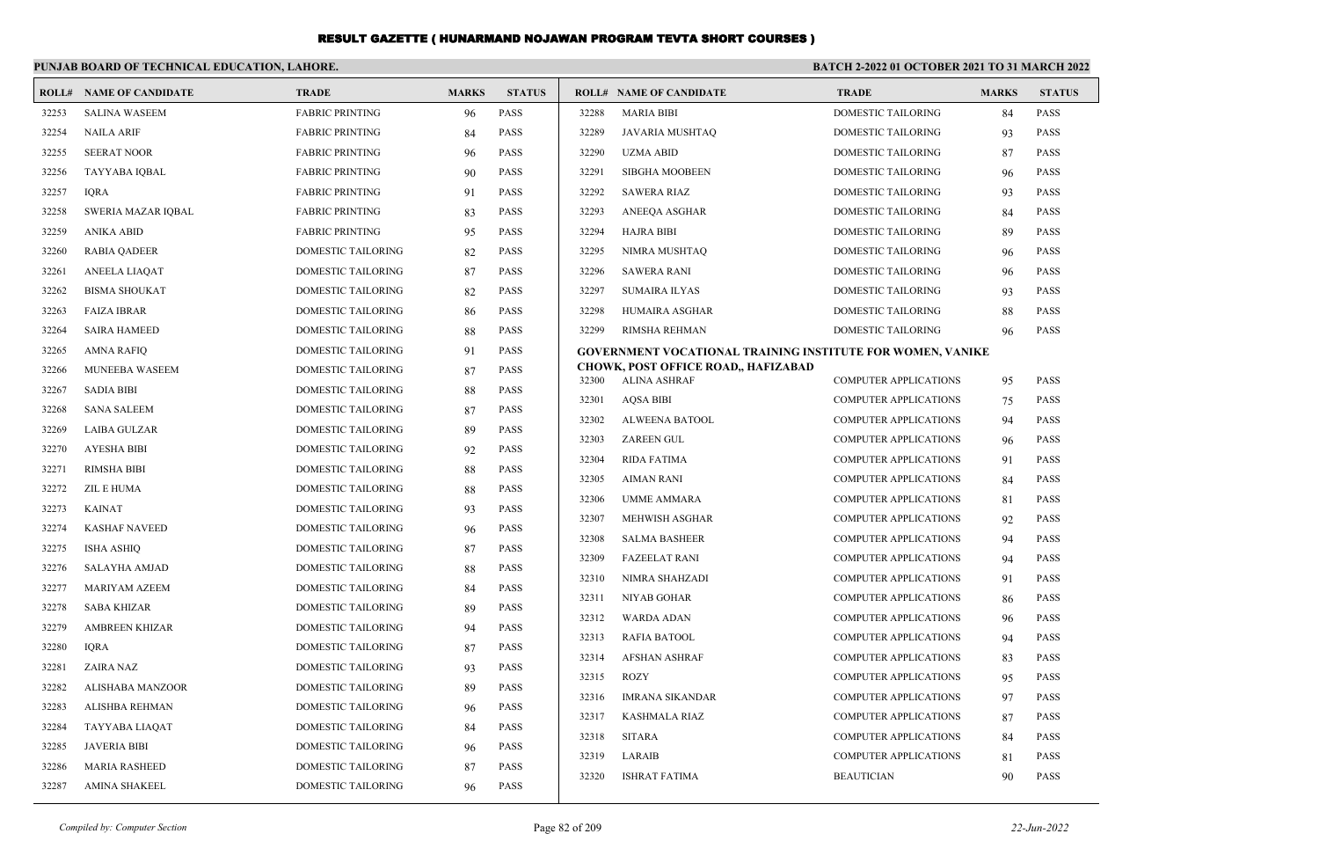|       | PUNJAB BOARD OF TECHNICAL EDUCATION, LAHORE. |                           |              |               | <b>BATCH 2-2022 01 OCTOBER 2021 TO 31 MARCH 2022</b> |                                                                   |                              |              |               |
|-------|----------------------------------------------|---------------------------|--------------|---------------|------------------------------------------------------|-------------------------------------------------------------------|------------------------------|--------------|---------------|
|       | <b>ROLL# NAME OF CANDIDATE</b>               | <b>TRADE</b>              | <b>MARKS</b> | <b>STATUS</b> |                                                      | <b>ROLL# NAME OF CANDIDATE</b>                                    | <b>TRADE</b>                 | <b>MARKS</b> | <b>STATUS</b> |
| 32253 | <b>SALINA WASEEM</b>                         | <b>FABRIC PRINTING</b>    | 96           | <b>PASS</b>   | 32288                                                | <b>MARIA BIBI</b>                                                 | <b>DOMESTIC TAILORING</b>    | 84           | <b>PASS</b>   |
| 32254 | <b>NAILA ARIF</b>                            | <b>FABRIC PRINTING</b>    | 84           | <b>PASS</b>   | 32289                                                | <b>JAVARIA MUSHTAQ</b>                                            | DOMESTIC TAILORING           | 93           | PASS          |
| 32255 | <b>SEERAT NOOR</b>                           | <b>FABRIC PRINTING</b>    | 96           | <b>PASS</b>   | 32290                                                | <b>UZMA ABID</b>                                                  | <b>DOMESTIC TAILORING</b>    | 87           | <b>PASS</b>   |
| 32256 | TAYYABA IOBAL                                | <b>FABRIC PRINTING</b>    | 90           | <b>PASS</b>   | 32291                                                | <b>SIBGHA MOOBEEN</b>                                             | <b>DOMESTIC TAILORING</b>    | 96           | <b>PASS</b>   |
| 32257 | <b>IORA</b>                                  | <b>FABRIC PRINTING</b>    | 91           | <b>PASS</b>   | 32292                                                | <b>SAWERA RIAZ</b>                                                | DOMESTIC TAILORING           | 93           | <b>PASS</b>   |
| 32258 | SWERIA MAZAR IQBAL                           | <b>FABRIC PRINTING</b>    | 83           | <b>PASS</b>   | 32293                                                | ANEEQA ASGHAR                                                     | <b>DOMESTIC TAILORING</b>    | 84           | <b>PASS</b>   |
| 32259 | <b>ANIKA ABID</b>                            | <b>FABRIC PRINTING</b>    | 95           | <b>PASS</b>   | 32294                                                | <b>HAJRA BIBI</b>                                                 | DOMESTIC TAILORING           | 89           | PASS          |
| 32260 | <b>RABIA QADEER</b>                          | DOMESTIC TAILORING        | 82           | <b>PASS</b>   | 32295                                                | NIMRA MUSHTAQ                                                     | DOMESTIC TAILORING           | 96           | PASS          |
| 32261 | <b>ANEELA LIAQAT</b>                         | DOMESTIC TAILORING        | 87           | <b>PASS</b>   | 32296                                                | <b>SAWERA RANI</b>                                                | <b>DOMESTIC TAILORING</b>    | 96           | <b>PASS</b>   |
| 32262 | <b>BISMA SHOUKAT</b>                         | DOMESTIC TAILORING        | 82           | <b>PASS</b>   | 32297                                                | <b>SUMAIRA ILYAS</b>                                              | DOMESTIC TAILORING           | 93           | PASS          |
| 32263 | <b>FAIZA IBRAR</b>                           | DOMESTIC TAILORING        | -86          | <b>PASS</b>   | 32298                                                | HUMAIRA ASGHAR                                                    | DOMESTIC TAILORING           | 88           | PASS          |
| 32264 | <b>SAIRA HAMEED</b>                          | DOMESTIC TAILORING        | 88           | <b>PASS</b>   | 32299                                                | <b>RIMSHA REHMAN</b>                                              | <b>DOMESTIC TAILORING</b>    | 96           | <b>PASS</b>   |
| 32265 | <b>AMNA RAFIQ</b>                            | DOMESTIC TAILORING        | 91           | <b>PASS</b>   |                                                      | <b>GOVERNMENT VOCATIONAL TRAINING INSTITUTE FOR WOMEN, VANIKE</b> |                              |              |               |
| 32266 | MUNEEBA WASEEM                               | DOMESTIC TAILORING        | 87           | <b>PASS</b>   | 32300                                                | <b>CHOWK, POST OFFICE ROAD,, HAFIZABAD</b><br><b>ALINA ASHRAF</b> | <b>COMPUTER APPLICATIONS</b> | 95           | PASS          |
| 32267 | <b>SADIA BIBI</b>                            | DOMESTIC TAILORING        | 88           | <b>PASS</b>   | 32301                                                | <b>AQSA BIBI</b>                                                  | <b>COMPUTER APPLICATIONS</b> | 75           | <b>PASS</b>   |
| 32268 | <b>SANA SALEEM</b>                           | DOMESTIC TAILORING        | 87           | <b>PASS</b>   | 32302                                                | <b>ALWEENA BATOOL</b>                                             | <b>COMPUTER APPLICATIONS</b> | 94           | <b>PASS</b>   |
| 32269 | <b>LAIBA GULZAR</b>                          | DOMESTIC TAILORING        | 89           | <b>PASS</b>   | 32303                                                | <b>ZAREEN GUL</b>                                                 | <b>COMPUTER APPLICATIONS</b> | 96           | PASS          |
| 32270 | <b>AYESHA BIBI</b>                           | <b>DOMESTIC TAILORING</b> | 92           | <b>PASS</b>   | 32304                                                | <b>RIDA FATIMA</b>                                                | <b>COMPUTER APPLICATIONS</b> | 91           | <b>PASS</b>   |
| 32271 | <b>RIMSHA BIBI</b>                           | DOMESTIC TAILORING        | 88           | <b>PASS</b>   | 32305                                                | <b>AIMAN RANI</b>                                                 | <b>COMPUTER APPLICATIONS</b> | 84           | <b>PASS</b>   |
| 32272 | <b>ZIL E HUMA</b>                            | DOMESTIC TAILORING        | 88           | <b>PASS</b>   | 32306                                                | <b>UMME AMMARA</b>                                                | <b>COMPUTER APPLICATIONS</b> | 81           | PASS          |
| 32273 | <b>KAINAT</b>                                | <b>DOMESTIC TAILORING</b> | 93           | <b>PASS</b>   | 32307                                                | <b>MEHWISH ASGHAR</b>                                             | <b>COMPUTER APPLICATIONS</b> | 92           | <b>PASS</b>   |
| 32274 | <b>KASHAF NAVEED</b>                         | DOMESTIC TAILORING        | 96           | <b>PASS</b>   | 32308                                                | <b>SALMA BASHEER</b>                                              | <b>COMPUTER APPLICATIONS</b> | 94           | <b>PASS</b>   |
| 32275 | <b>ISHA ASHIQ</b>                            | DOMESTIC TAILORING        | 87           | <b>PASS</b>   | 32309                                                | <b>FAZEELAT RANI</b>                                              | <b>COMPUTER APPLICATIONS</b> | 94           | <b>PASS</b>   |
| 32276 | <b>SALAYHA AMJAD</b>                         | DOMESTIC TAILORING        | 88           | <b>PASS</b>   | 32310                                                | NIMRA SHAHZADI                                                    | <b>COMPUTER APPLICATIONS</b> | 91           | PASS          |
| 32277 | MARIYAM AZEEM                                | DOMESTIC TAILORING        | 84           | <b>PASS</b>   | 32311                                                | NIYAB GOHAR                                                       | <b>COMPUTER APPLICATIONS</b> | 86           | PASS          |
| 32278 | <b>SABA KHIZAR</b>                           | DOMESTIC TAILORING        | 89           | <b>PASS</b>   | 32312                                                | <b>WARDA ADAN</b>                                                 | <b>COMPUTER APPLICATIONS</b> | 96           | <b>PASS</b>   |
| 32279 | <b>AMBREEN KHIZAR</b>                        | DOMESTIC TAILORING        | 94           | <b>PASS</b>   | 32313                                                | <b>RAFIA BATOOL</b>                                               | <b>COMPUTER APPLICATIONS</b> | 94           | <b>PASS</b>   |
| 32280 | <b>IQRA</b>                                  | DOMESTIC TAILORING        | 87           | <b>PASS</b>   | 32314                                                | <b>AFSHAN ASHRAF</b>                                              | <b>COMPUTER APPLICATIONS</b> | 83           | <b>PASS</b>   |
| 32281 | <b>ZAIRA NAZ</b>                             | <b>DOMESTIC TAILORING</b> | 93           | <b>PASS</b>   | 32315                                                | <b>ROZY</b>                                                       | <b>COMPUTER APPLICATIONS</b> | 95           | <b>PASS</b>   |
| 32282 | ALISHABA MANZOOR                             | DOMESTIC TAILORING        | 89           | <b>PASS</b>   | 32316                                                | <b>IMRANA SIKANDAR</b>                                            | <b>COMPUTER APPLICATIONS</b> | 97           | <b>PASS</b>   |
| 32283 | <b>ALISHBA REHMAN</b>                        | DOMESTIC TAILORING        | 96           | <b>PASS</b>   | 32317                                                | <b>KASHMALA RIAZ</b>                                              | <b>COMPUTER APPLICATIONS</b> | 87           | <b>PASS</b>   |
| 32284 | TAYYABA LIAQAT                               | <b>DOMESTIC TAILORING</b> | 84           | <b>PASS</b>   | 32318                                                | <b>SITARA</b>                                                     | <b>COMPUTER APPLICATIONS</b> | 84           | <b>PASS</b>   |
| 32285 | <b>JAVERIA BIBI</b>                          | DOMESTIC TAILORING        | 96           | <b>PASS</b>   | 32319                                                | LARAIB                                                            | <b>COMPUTER APPLICATIONS</b> | 81           | <b>PASS</b>   |
| 32286 | <b>MARIA RASHEED</b>                         | DOMESTIC TAILORING        | 87           | <b>PASS</b>   | 32320                                                | <b>ISHRAT FATIMA</b>                                              | <b>BEAUTICIAN</b>            | 90           | <b>PASS</b>   |
| 32287 | <b>AMINA SHAKEEL</b>                         | <b>DOMESTIC TAILORING</b> | 96           | <b>PASS</b>   |                                                      |                                                                   |                              |              |               |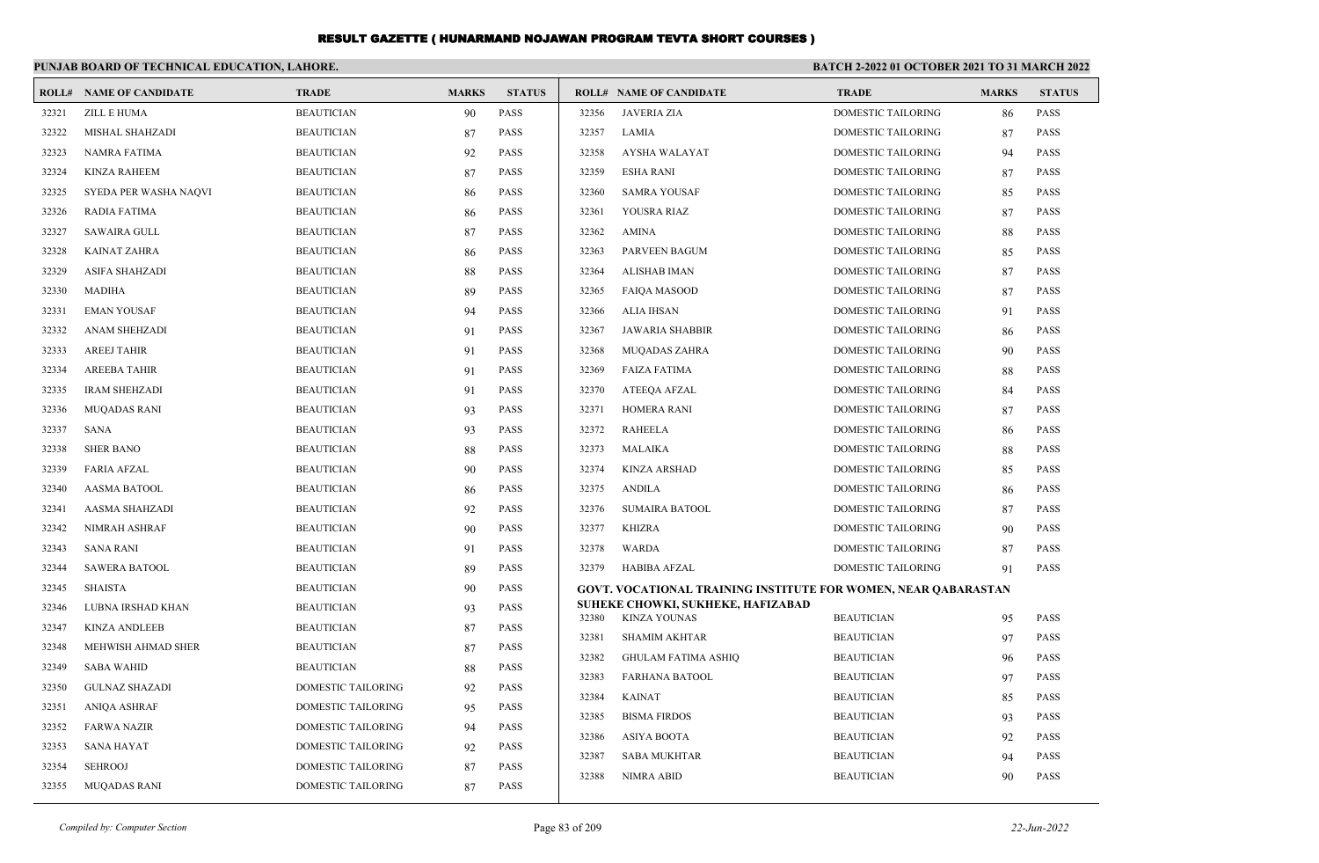|       | PUNJAB BOARD OF TECHNICAL EDUCATION, LAHORE. |                    |              |               | BATCH 2-2022 01 OCTOBER 2021 TO 31 MARCH 2022 |                                                                |                           |              |               |
|-------|----------------------------------------------|--------------------|--------------|---------------|-----------------------------------------------|----------------------------------------------------------------|---------------------------|--------------|---------------|
|       | <b>ROLL# NAME OF CANDIDATE</b>               | <b>TRADE</b>       | <b>MARKS</b> | <b>STATUS</b> |                                               | <b>ROLL# NAME OF CANDIDATE</b>                                 | <b>TRADE</b>              | <b>MARKS</b> | <b>STATUS</b> |
| 32321 | ZILL E HUMA                                  | <b>BEAUTICIAN</b>  | 90           | <b>PASS</b>   | 32356                                         | <b>JAVERIA ZIA</b>                                             | <b>DOMESTIC TAILORING</b> | 86           | <b>PASS</b>   |
| 32322 | MISHAL SHAHZADI                              | <b>BEAUTICIAN</b>  | 87           | <b>PASS</b>   | 32357                                         | LAMIA                                                          | DOMESTIC TAILORING        | 87           | <b>PASS</b>   |
| 32323 | NAMRA FATIMA                                 | <b>BEAUTICIAN</b>  | 92           | <b>PASS</b>   | 32358                                         | AYSHA WALAYAT                                                  | DOMESTIC TAILORING        | 94           | <b>PASS</b>   |
| 32324 | <b>KINZA RAHEEM</b>                          | <b>BEAUTICIAN</b>  | 87           | <b>PASS</b>   | 32359                                         | <b>ESHA RANI</b>                                               | DOMESTIC TAILORING        | 87           | <b>PASS</b>   |
| 32325 | SYEDA PER WASHA NAQVI                        | <b>BEAUTICIAN</b>  | 86           | <b>PASS</b>   | 32360                                         | <b>SAMRA YOUSAF</b>                                            | DOMESTIC TAILORING        | 85           | <b>PASS</b>   |
| 32326 | RADIA FATIMA                                 | <b>BEAUTICIAN</b>  | 86           | <b>PASS</b>   | 32361                                         | YOUSRA RIAZ                                                    | DOMESTIC TAILORING        | 87           | <b>PASS</b>   |
| 32327 | <b>SAWAIRA GULL</b>                          | <b>BEAUTICIAN</b>  | 87           | <b>PASS</b>   | 32362                                         | <b>AMINA</b>                                                   | DOMESTIC TAILORING        | 88           | <b>PASS</b>   |
| 32328 | <b>KAINAT ZAHRA</b>                          | <b>BEAUTICIAN</b>  | -86          | <b>PASS</b>   | 32363                                         | PARVEEN BAGUM                                                  | DOMESTIC TAILORING        | 85           | <b>PASS</b>   |
| 32329 | ASIFA SHAHZADI                               | <b>BEAUTICIAN</b>  | 88           | <b>PASS</b>   | 32364                                         | <b>ALISHAB IMAN</b>                                            | DOMESTIC TAILORING        | 87           | <b>PASS</b>   |
| 32330 | MADIHA                                       | <b>BEAUTICIAN</b>  | -89          | <b>PASS</b>   | 32365                                         | <b>FAIQA MASOOD</b>                                            | DOMESTIC TAILORING        | 87           | <b>PASS</b>   |
| 32331 | <b>EMAN YOUSAF</b>                           | <b>BEAUTICIAN</b>  | 94           | <b>PASS</b>   | 32366                                         | <b>ALIA IHSAN</b>                                              | DOMESTIC TAILORING        | 91           | <b>PASS</b>   |
| 32332 | ANAM SHEHZADI                                | <b>BEAUTICIAN</b>  | 91           | <b>PASS</b>   | 32367                                         | <b>JAWARIA SHABBIR</b>                                         | DOMESTIC TAILORING        | -86          | <b>PASS</b>   |
| 32333 | <b>AREEJ TAHIR</b>                           | <b>BEAUTICIAN</b>  | 91           | <b>PASS</b>   | 32368                                         | <b>MUQADAS ZAHRA</b>                                           | DOMESTIC TAILORING        | 90           | <b>PASS</b>   |
| 32334 | <b>AREEBA TAHIR</b>                          | <b>BEAUTICIAN</b>  | 91           | <b>PASS</b>   | 32369                                         | <b>FAIZA FATIMA</b>                                            | DOMESTIC TAILORING        | 88           | <b>PASS</b>   |
| 32335 | <b>IRAM SHEHZADI</b>                         | <b>BEAUTICIAN</b>  | 91           | <b>PASS</b>   | 32370                                         | ATEEQA AFZAL                                                   | DOMESTIC TAILORING        | -84          | <b>PASS</b>   |
| 32336 | <b>MUQADAS RANI</b>                          | <b>BEAUTICIAN</b>  | 93           | <b>PASS</b>   | 32371                                         | <b>HOMERA RANI</b>                                             | DOMESTIC TAILORING        | 87           | <b>PASS</b>   |
| 32337 | SANA                                         | <b>BEAUTICIAN</b>  | 93           | <b>PASS</b>   | 32372                                         | RAHEELA                                                        | DOMESTIC TAILORING        | -86          | <b>PASS</b>   |
| 32338 | <b>SHER BANO</b>                             | <b>BEAUTICIAN</b>  | 88           | <b>PASS</b>   | 32373                                         | MALAIKA                                                        | DOMESTIC TAILORING        | 88           | <b>PASS</b>   |
| 32339 | <b>FARIA AFZAL</b>                           | <b>BEAUTICIAN</b>  | 90           | <b>PASS</b>   | 32374                                         | <b>KINZA ARSHAD</b>                                            | DOMESTIC TAILORING        | 85           | <b>PASS</b>   |
| 32340 | AASMA BATOOL                                 | <b>BEAUTICIAN</b>  | 86           | <b>PASS</b>   | 32375                                         | <b>ANDILA</b>                                                  | DOMESTIC TAILORING        | 86           | <b>PASS</b>   |
| 32341 | AASMA SHAHZADI                               | <b>BEAUTICIAN</b>  | 92           | <b>PASS</b>   | 32376                                         | <b>SUMAIRA BATOOL</b>                                          | DOMESTIC TAILORING        | 87           | <b>PASS</b>   |
| 32342 | NIMRAH ASHRAF                                | <b>BEAUTICIAN</b>  | 90           | <b>PASS</b>   | 32377                                         | <b>KHIZRA</b>                                                  | DOMESTIC TAILORING        | -90          | <b>PASS</b>   |
| 32343 | <b>SANA RANI</b>                             | <b>BEAUTICIAN</b>  | 91           | <b>PASS</b>   | 32378                                         | <b>WARDA</b>                                                   | DOMESTIC TAILORING        | 87           | <b>PASS</b>   |
| 32344 | <b>SAWERA BATOOL</b>                         | <b>BEAUTICIAN</b>  | 89           | <b>PASS</b>   | 32379                                         | <b>HABIBA AFZAL</b>                                            | DOMESTIC TAILORING        | 91           | <b>PASS</b>   |
| 32345 | <b>SHAISTA</b>                               | <b>BEAUTICIAN</b>  | 90           | <b>PASS</b>   |                                               | GOVT. VOCATIONAL TRAINING INSTITUTE FOR WOMEN, NEAR QABARASTAN |                           |              |               |
| 32346 | LUBNA IRSHAD KHAN                            | <b>BEAUTICIAN</b>  | 93           | <b>PASS</b>   | 32380                                         | SUHEKE CHOWKI, SUKHEKE, HAFIZABAD<br><b>KINZA YOUNAS</b>       | <b>BEAUTICIAN</b>         | 95           | <b>PASS</b>   |
| 32347 | <b>KINZA ANDLEEB</b>                         | <b>BEAUTICIAN</b>  | 87           | <b>PASS</b>   | 32381                                         | <b>SHAMIM AKHTAR</b>                                           | <b>BEAUTICIAN</b>         | 97           | <b>PASS</b>   |
| 32348 | MEHWISH AHMAD SHER                           | <b>BEAUTICIAN</b>  | 87           | <b>PASS</b>   | 32382                                         | <b>GHULAM FATIMA ASHIO</b>                                     | <b>BEAUTICIAN</b>         |              | <b>PASS</b>   |
| 32349 | <b>SABA WAHID</b>                            | <b>BEAUTICIAN</b>  | 88           | <b>PASS</b>   | 32383                                         | <b>FARHANA BATOOL</b>                                          | <b>BEAUTICIAN</b>         | -96<br>97    | PASS          |
| 32350 | <b>GULNAZ SHAZADI</b>                        | DOMESTIC TAILORING | 92           | <b>PASS</b>   | 32384                                         | <b>KAINAT</b>                                                  | <b>BEAUTICIAN</b>         |              | PASS          |
| 32351 | <b>ANIOA ASHRAF</b>                          | DOMESTIC TAILORING | 95           | <b>PASS</b>   | 32385                                         | <b>BISMA FIRDOS</b>                                            | <b>BEAUTICIAN</b>         | 85           | <b>PASS</b>   |
| 32352 | <b>FARWA NAZIR</b>                           | DOMESTIC TAILORING | 94           | <b>PASS</b>   | 32386                                         | <b>ASIYA BOOTA</b>                                             | <b>BEAUTICIAN</b>         | 93           | <b>PASS</b>   |
| 32353 | SANA HAYAT                                   | DOMESTIC TAILORING | 92           | <b>PASS</b>   | 32387                                         | <b>SABA MUKHTAR</b>                                            | <b>BEAUTICIAN</b>         | 92           | <b>PASS</b>   |
| 32354 | <b>SEHROOJ</b>                               | DOMESTIC TAILORING | 87           | <b>PASS</b>   | 32388                                         | <b>NIMRA ABID</b>                                              | <b>BEAUTICIAN</b>         | 94           | <b>PASS</b>   |
| 32355 | <b>MUOADAS RANI</b>                          | DOMESTIC TAILORING | 87           | <b>PASS</b>   |                                               |                                                                |                           | 90           |               |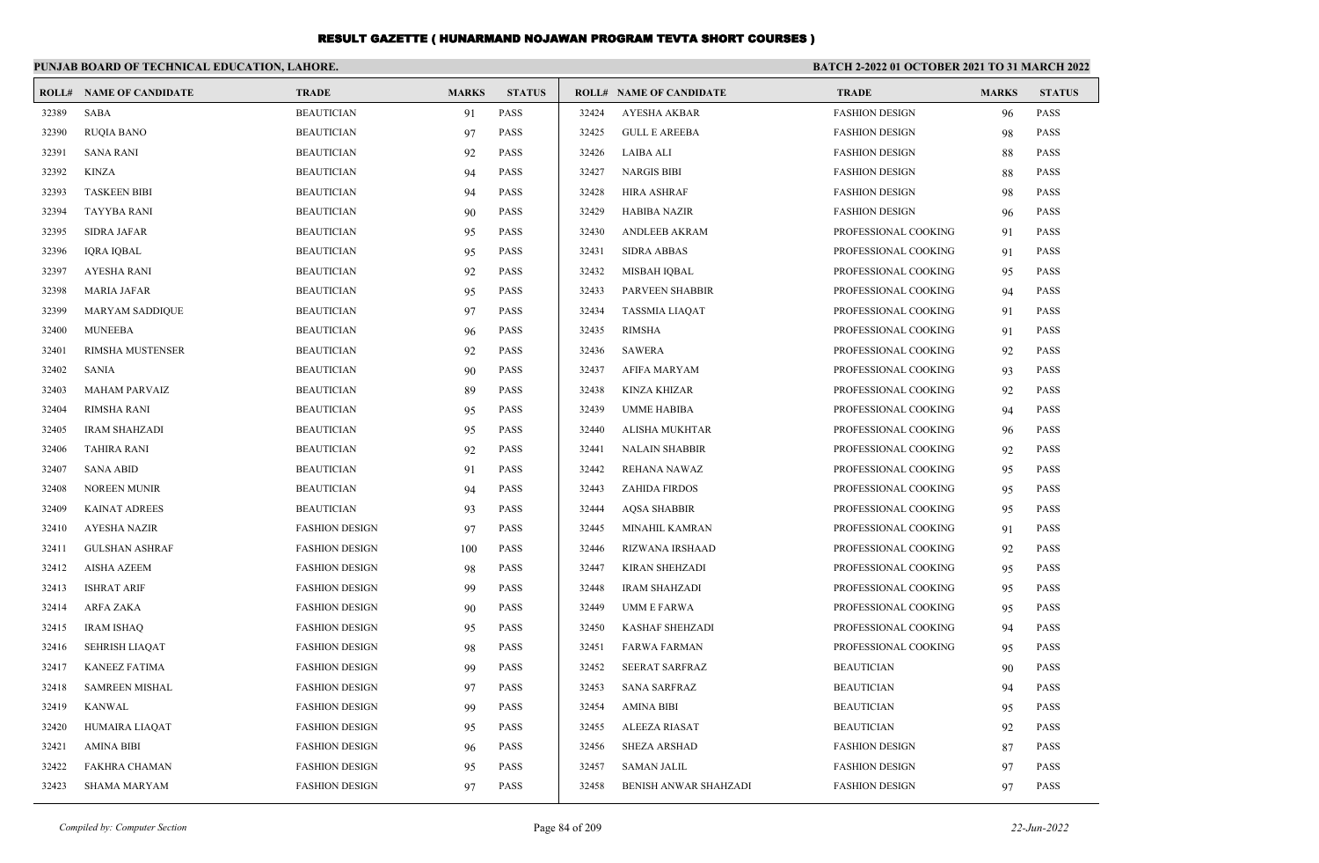|       | PUNJAB BOARD OF TECHNICAL EDUCATION, LAHORE. |                       |              |               |       | <b>BATCH 2-2022 01 OCTOBER 2021 TO 31 MARCH 2022</b> |                       |              |               |
|-------|----------------------------------------------|-----------------------|--------------|---------------|-------|------------------------------------------------------|-----------------------|--------------|---------------|
| ROLL# | <b>NAME OF CANDIDATE</b>                     | <b>TRADE</b>          | <b>MARKS</b> | <b>STATUS</b> |       | <b>ROLL# NAME OF CANDIDATE</b>                       | <b>TRADE</b>          | <b>MARKS</b> | <b>STATUS</b> |
| 32389 | <b>SABA</b>                                  | <b>BEAUTICIAN</b>     | 91           | <b>PASS</b>   | 32424 | <b>AYESHA AKBAR</b>                                  | <b>FASHION DESIGN</b> | 96           | <b>PASS</b>   |
| 32390 | <b>RUQIA BANO</b>                            | <b>BEAUTICIAN</b>     | 97           | <b>PASS</b>   | 32425 | <b>GULL E AREEBA</b>                                 | <b>FASHION DESIGN</b> | 98           | <b>PASS</b>   |
| 32391 | <b>SANA RANI</b>                             | <b>BEAUTICIAN</b>     | 92           | <b>PASS</b>   | 32426 | <b>LAIBA ALI</b>                                     | <b>FASHION DESIGN</b> | 88           | <b>PASS</b>   |
| 32392 | <b>KINZA</b>                                 | <b>BEAUTICIAN</b>     | 94           | <b>PASS</b>   | 32427 | <b>NARGIS BIBI</b>                                   | <b>FASHION DESIGN</b> | 88           | PASS          |
| 32393 | <b>TASKEEN BIBI</b>                          | <b>BEAUTICIAN</b>     | 94           | <b>PASS</b>   | 32428 | <b>HIRA ASHRAF</b>                                   | <b>FASHION DESIGN</b> | 98           | PASS          |
| 32394 | <b>TAYYBA RANI</b>                           | <b>BEAUTICIAN</b>     | 90           | <b>PASS</b>   | 32429 | <b>HABIBA NAZIR</b>                                  | <b>FASHION DESIGN</b> | 96           | <b>PASS</b>   |
| 32395 | <b>SIDRA JAFAR</b>                           | <b>BEAUTICIAN</b>     | 95           | <b>PASS</b>   | 32430 | <b>ANDLEEB AKRAM</b>                                 | PROFESSIONAL COOKING  | 91           | <b>PASS</b>   |
| 32396 | <b>IORA IOBAL</b>                            | <b>BEAUTICIAN</b>     | 95           | <b>PASS</b>   | 32431 | <b>SIDRA ABBAS</b>                                   | PROFESSIONAL COOKING  | 91           | <b>PASS</b>   |
| 32397 | <b>AYESHA RANI</b>                           | <b>BEAUTICIAN</b>     | 92           | <b>PASS</b>   | 32432 | MISBAH IOBAL                                         | PROFESSIONAL COOKING  | 95           | <b>PASS</b>   |
| 32398 | <b>MARIA JAFAR</b>                           | <b>BEAUTICIAN</b>     | 95           | <b>PASS</b>   | 32433 | <b>PARVEEN SHABBIR</b>                               | PROFESSIONAL COOKING  | 94           | <b>PASS</b>   |
| 32399 | <b>MARYAM SADDIQUE</b>                       | <b>BEAUTICIAN</b>     | 97           | <b>PASS</b>   | 32434 | <b>TASSMIA LIAQAT</b>                                | PROFESSIONAL COOKING  | 91           | <b>PASS</b>   |
| 32400 | <b>MUNEEBA</b>                               | <b>BEAUTICIAN</b>     | 96           | <b>PASS</b>   | 32435 | <b>RIMSHA</b>                                        | PROFESSIONAL COOKING  | 91           | <b>PASS</b>   |
| 32401 | <b>RIMSHA MUSTENSER</b>                      | <b>BEAUTICIAN</b>     | 92           | <b>PASS</b>   | 32436 | <b>SAWERA</b>                                        | PROFESSIONAL COOKING  | 92           | <b>PASS</b>   |
| 32402 | <b>SANIA</b>                                 | <b>BEAUTICIAN</b>     | 90           | <b>PASS</b>   | 32437 | <b>AFIFA MARYAM</b>                                  | PROFESSIONAL COOKING  | 93           | <b>PASS</b>   |
| 32403 | <b>MAHAM PARVAIZ</b>                         | <b>BEAUTICIAN</b>     | 89           | <b>PASS</b>   | 32438 | <b>KINZA KHIZAR</b>                                  | PROFESSIONAL COOKING  | 92           | <b>PASS</b>   |
| 32404 | <b>RIMSHA RANI</b>                           | <b>BEAUTICIAN</b>     | 95           | <b>PASS</b>   | 32439 | <b>UMME HABIBA</b>                                   | PROFESSIONAL COOKING  | 94           | <b>PASS</b>   |
| 32405 | <b>IRAM SHAHZADI</b>                         | <b>BEAUTICIAN</b>     | 95           | <b>PASS</b>   | 32440 | ALISHA MUKHTAR                                       | PROFESSIONAL COOKING  | 96           | <b>PASS</b>   |
| 32406 | <b>TAHIRA RANI</b>                           | <b>BEAUTICIAN</b>     | 92           | <b>PASS</b>   | 32441 | <b>NALAIN SHABBIR</b>                                | PROFESSIONAL COOKING  | 92           | <b>PASS</b>   |
| 32407 | <b>SANA ABID</b>                             | <b>BEAUTICIAN</b>     | 91           | <b>PASS</b>   | 32442 | REHANA NAWAZ                                         | PROFESSIONAL COOKING  | 95           | <b>PASS</b>   |
| 32408 | NOREEN MUNIR                                 | <b>BEAUTICIAN</b>     | 94           | <b>PASS</b>   | 32443 | <b>ZAHIDA FIRDOS</b>                                 | PROFESSIONAL COOKING  | 95           | PASS          |
| 32409 | <b>KAINAT ADREES</b>                         | <b>BEAUTICIAN</b>     | 93           | <b>PASS</b>   | 32444 | <b>AQSA SHABBIR</b>                                  | PROFESSIONAL COOKING  | 95           | PASS          |
| 32410 | <b>AYESHA NAZIR</b>                          | <b>FASHION DESIGN</b> | 97           | <b>PASS</b>   | 32445 | MINAHIL KAMRAN                                       | PROFESSIONAL COOKING  | 91           | <b>PASS</b>   |
| 32411 | <b>GULSHAN ASHRAF</b>                        | <b>FASHION DESIGN</b> | 100          | <b>PASS</b>   | 32446 | <b>RIZWANA IRSHAAD</b>                               | PROFESSIONAL COOKING  | 92           | <b>PASS</b>   |
| 32412 | <b>AISHA AZEEM</b>                           | <b>FASHION DESIGN</b> | 98           | <b>PASS</b>   | 32447 | <b>KIRAN SHEHZADI</b>                                | PROFESSIONAL COOKING  | 95           | <b>PASS</b>   |
| 32413 | <b>ISHRAT ARIF</b>                           | <b>FASHION DESIGN</b> | 99           | <b>PASS</b>   | 32448 | <b>IRAM SHAHZADI</b>                                 | PROFESSIONAL COOKING  | 95           | <b>PASS</b>   |
| 32414 | ARFA ZAKA                                    | <b>FASHION DESIGN</b> | 90           | <b>PASS</b>   | 32449 | UMM E FARWA                                          | PROFESSIONAL COOKING  | 95           | <b>PASS</b>   |
| 32415 | <b>IRAM ISHAO</b>                            | <b>FASHION DESIGN</b> | 95           | <b>PASS</b>   | 32450 | <b>KASHAF SHEHZADI</b>                               | PROFESSIONAL COOKING  | 94           | <b>PASS</b>   |
| 32416 | <b>SEHRISH LIAOAT</b>                        | <b>FASHION DESIGN</b> | 98           | <b>PASS</b>   | 32451 | <b>FARWA FARMAN</b>                                  | PROFESSIONAL COOKING  | 95           | <b>PASS</b>   |
| 32417 | <b>KANEEZ FATIMA</b>                         | <b>FASHION DESIGN</b> | 99           | <b>PASS</b>   | 32452 | <b>SEERAT SARFRAZ</b>                                | <b>BEAUTICIAN</b>     | 90           | <b>PASS</b>   |
| 32418 | <b>SAMREEN MISHAL</b>                        | <b>FASHION DESIGN</b> | 97           | <b>PASS</b>   | 32453 | <b>SANA SARFRAZ</b>                                  | <b>BEAUTICIAN</b>     | 94           | <b>PASS</b>   |
| 32419 | <b>KANWAL</b>                                | <b>FASHION DESIGN</b> | 99           | <b>PASS</b>   | 32454 | <b>AMINA BIBI</b>                                    | <b>BEAUTICIAN</b>     | 95           | PASS          |
| 32420 | HUMAIRA LIAQAT                               | <b>FASHION DESIGN</b> | 95           | <b>PASS</b>   | 32455 | <b>ALEEZA RIASAT</b>                                 | <b>BEAUTICIAN</b>     | 92           | <b>PASS</b>   |
| 32421 | <b>AMINA BIBI</b>                            | <b>FASHION DESIGN</b> | 96           | <b>PASS</b>   | 32456 | <b>SHEZA ARSHAD</b>                                  | <b>FASHION DESIGN</b> | 87           | <b>PASS</b>   |
| 32422 | <b>FAKHRA CHAMAN</b>                         | <b>FASHION DESIGN</b> | 95           | <b>PASS</b>   | 32457 | <b>SAMAN JALIL</b>                                   | <b>FASHION DESIGN</b> | 97           | <b>PASS</b>   |
| 32423 | <b>SHAMA MARYAM</b>                          | <b>FASHION DESIGN</b> | 97           | <b>PASS</b>   | 32458 | BENISH ANWAR SHAHZADI                                | <b>FASHION DESIGN</b> | 97           | PASS          |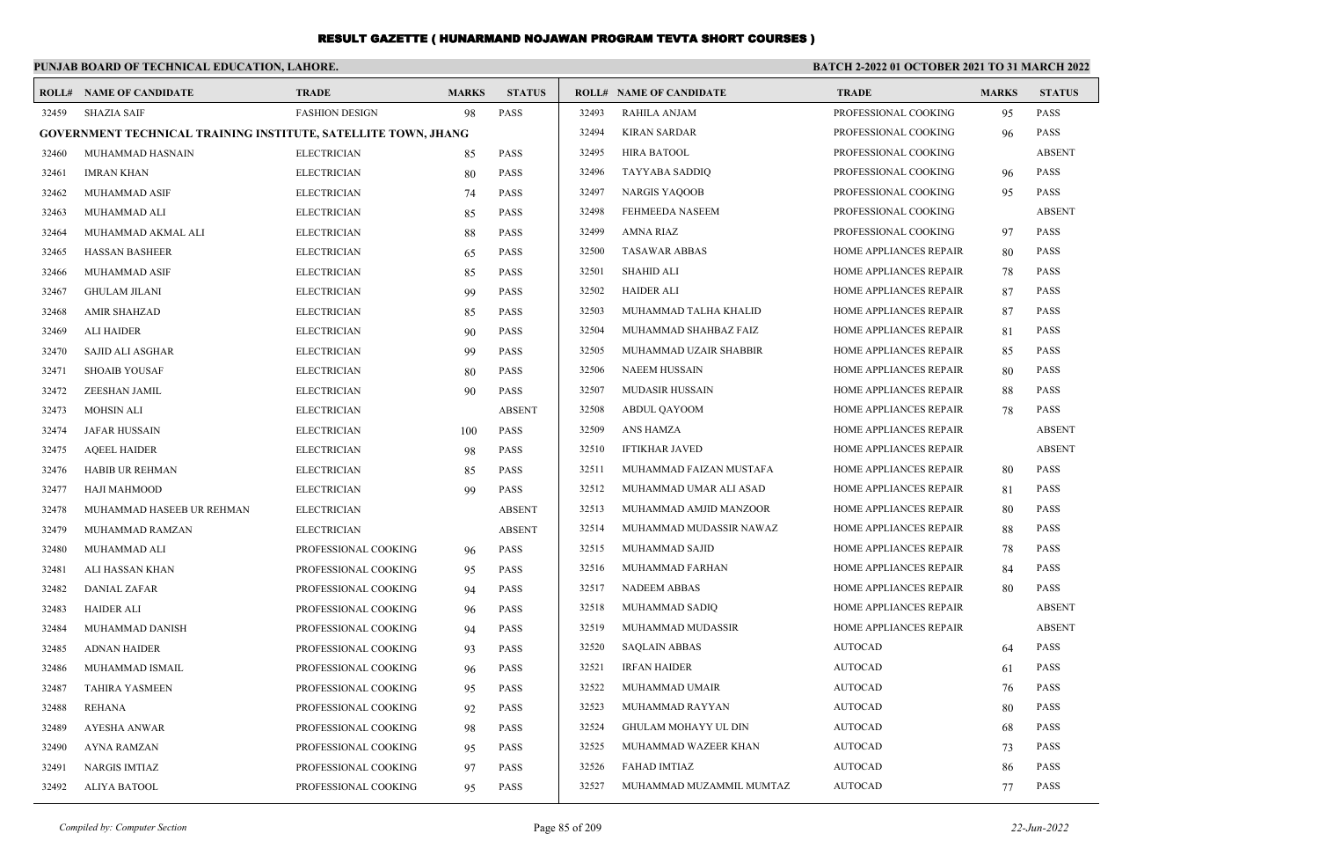|       | PUNJAB BOARD OF TECHNICAL EDUCATION, LAHORE.                          |                       |              |               |       | <b>BATCH 2-2022 01 OCTOBER 2021 TO 31 MARCH 2022</b> |                               |              |               |
|-------|-----------------------------------------------------------------------|-----------------------|--------------|---------------|-------|------------------------------------------------------|-------------------------------|--------------|---------------|
|       | <b>ROLL# NAME OF CANDIDATE</b>                                        | <b>TRADE</b>          | <b>MARKS</b> | <b>STATUS</b> |       | <b>ROLL# NAME OF CANDIDATE</b>                       | <b>TRADE</b>                  | <b>MARKS</b> | <b>STATUS</b> |
| 32459 | <b>SHAZIA SAIF</b>                                                    | <b>FASHION DESIGN</b> | 98           | <b>PASS</b>   | 32493 | <b>RAHILA ANJAM</b>                                  | PROFESSIONAL COOKING          | 95           | <b>PASS</b>   |
|       | <b>GOVERNMENT TECHNICAL TRAINING INSTITUTE, SATELLITE TOWN, JHANG</b> |                       |              |               | 32494 | KIRAN SARDAR                                         | PROFESSIONAL COOKING          | 96           | <b>PASS</b>   |
| 32460 | MUHAMMAD HASNAIN                                                      | <b>ELECTRICIAN</b>    | 85           | <b>PASS</b>   | 32495 | <b>HIRA BATOOL</b>                                   | PROFESSIONAL COOKING          |              | <b>ABSENT</b> |
| 32461 | <b>IMRAN KHAN</b>                                                     | <b>ELECTRICIAN</b>    | 80           | <b>PASS</b>   | 32496 | TAYYABA SADDIQ                                       | PROFESSIONAL COOKING          | 96           | <b>PASS</b>   |
| 32462 | MUHAMMAD ASIF                                                         | <b>ELECTRICIAN</b>    | 74           | <b>PASS</b>   | 32497 | NARGIS YAQOOB                                        | PROFESSIONAL COOKING          | 95           | <b>PASS</b>   |
| 32463 | MUHAMMAD ALI                                                          | <b>ELECTRICIAN</b>    | 85           | <b>PASS</b>   | 32498 | FEHMEEDA NASEEM                                      | PROFESSIONAL COOKING          |              | <b>ABSENT</b> |
| 32464 | MUHAMMAD AKMAL ALI                                                    | <b>ELECTRICIAN</b>    | 88           | <b>PASS</b>   | 32499 | AMNA RIAZ                                            | PROFESSIONAL COOKING          | 97           | <b>PASS</b>   |
| 32465 | <b>HASSAN BASHEER</b>                                                 | <b>ELECTRICIAN</b>    | 65           | <b>PASS</b>   | 32500 | <b>TASAWAR ABBAS</b>                                 | HOME APPLIANCES REPAIR        | 80           | <b>PASS</b>   |
| 32466 | MUHAMMAD ASIF                                                         | <b>ELECTRICIAN</b>    | 85           | <b>PASS</b>   | 32501 | SHAHID ALI                                           | HOME APPLIANCES REPAIR        | 78           | <b>PASS</b>   |
| 32467 | <b>GHULAM JILANI</b>                                                  | <b>ELECTRICIAN</b>    | 99           | <b>PASS</b>   | 32502 | HAIDER ALI                                           | HOME APPLIANCES REPAIR        | 87           | <b>PASS</b>   |
| 32468 | <b>AMIR SHAHZAD</b>                                                   | <b>ELECTRICIAN</b>    | 85           | <b>PASS</b>   | 32503 | MUHAMMAD TALHA KHALID                                | HOME APPLIANCES REPAIR        | 87           | <b>PASS</b>   |
| 32469 | ALI HAIDER                                                            | <b>ELECTRICIAN</b>    | 90           | <b>PASS</b>   | 32504 | MUHAMMAD SHAHBAZ FAIZ                                | HOME APPLIANCES REPAIR        | -81          | <b>PASS</b>   |
| 32470 | SAJID ALI ASGHAR                                                      | <b>ELECTRICIAN</b>    | 99           | <b>PASS</b>   | 32505 | MUHAMMAD UZAIR SHABBIR                               | HOME APPLIANCES REPAIR        | 85           | <b>PASS</b>   |
| 32471 | <b>SHOAIB YOUSAF</b>                                                  | <b>ELECTRICIAN</b>    | 80           | <b>PASS</b>   | 32506 | NAEEM HUSSAIN                                        | <b>HOME APPLIANCES REPAIR</b> | 80           | <b>PASS</b>   |
| 32472 | ZEESHAN JAMIL                                                         | <b>ELECTRICIAN</b>    | 90           | <b>PASS</b>   | 32507 | <b>MUDASIR HUSSAIN</b>                               | HOME APPLIANCES REPAIR        | 88           | <b>PASS</b>   |
| 32473 | <b>MOHSIN ALI</b>                                                     | <b>ELECTRICIAN</b>    |              | <b>ABSENT</b> | 32508 | ABDUL QAYOOM                                         | HOME APPLIANCES REPAIR        | 78           | <b>PASS</b>   |
| 32474 | JAFAR HUSSAIN                                                         | <b>ELECTRICIAN</b>    | 100          | <b>PASS</b>   | 32509 | ANS HAMZA                                            | HOME APPLIANCES REPAIR        |              | <b>ABSENT</b> |
| 32475 | <b>AQEEL HAIDER</b>                                                   | <b>ELECTRICIAN</b>    | 98           | <b>PASS</b>   | 32510 | <b>IFTIKHAR JAVED</b>                                | HOME APPLIANCES REPAIR        |              | <b>ABSENT</b> |
| 32476 | <b>HABIB UR REHMAN</b>                                                | <b>ELECTRICIAN</b>    | 85           | <b>PASS</b>   | 32511 | MUHAMMAD FAIZAN MUSTAFA                              | HOME APPLIANCES REPAIR        | -80          | <b>PASS</b>   |
| 32477 | HAJI MAHMOOD                                                          | <b>ELECTRICIAN</b>    | 99           | <b>PASS</b>   | 32512 | MUHAMMAD UMAR ALI ASAD                               | <b>HOME APPLIANCES REPAIR</b> | -81          | <b>PASS</b>   |
| 32478 | MUHAMMAD HASEEB UR REHMAN                                             | <b>ELECTRICIAN</b>    |              | <b>ABSENT</b> | 32513 | MUHAMMAD AMJID MANZOOR                               | HOME APPLIANCES REPAIR        | 80           | <b>PASS</b>   |
| 32479 | MUHAMMAD RAMZAN                                                       | <b>ELECTRICIAN</b>    |              | <b>ABSENT</b> | 32514 | MUHAMMAD MUDASSIR NAWAZ                              | <b>HOME APPLIANCES REPAIR</b> | 88           | <b>PASS</b>   |
| 32480 | MUHAMMAD ALI                                                          | PROFESSIONAL COOKING  | 96           | <b>PASS</b>   | 32515 | MUHAMMAD SAJID                                       | <b>HOME APPLIANCES REPAIR</b> | 78           | <b>PASS</b>   |
| 32481 | ALI HASSAN KHAN                                                       | PROFESSIONAL COOKING  | 95           | <b>PASS</b>   | 32516 | MUHAMMAD FARHAN                                      | HOME APPLIANCES REPAIR        | -84          | <b>PASS</b>   |
| 32482 | DANIAL ZAFAR                                                          | PROFESSIONAL COOKING  | 94           | <b>PASS</b>   | 32517 | <b>NADEEM ABBAS</b>                                  | <b>HOME APPLIANCES REPAIR</b> | -80          | <b>PASS</b>   |
| 32483 | HAIDER ALI                                                            | PROFESSIONAL COOKING  | 96           | <b>PASS</b>   | 32518 | MUHAMMAD SADIQ                                       | <b>HOME APPLIANCES REPAIR</b> |              | <b>ABSENT</b> |
| 32484 | MUHAMMAD DANISH                                                       | PROFESSIONAL COOKING  | 94           | <b>PASS</b>   | 32519 | MUHAMMAD MUDASSIR                                    | HOME APPLIANCES REPAIR        |              | <b>ABSENT</b> |
| 32485 | <b>ADNAN HAIDER</b>                                                   | PROFESSIONAL COOKING  | 93           | <b>PASS</b>   | 32520 | <b>SAQLAIN ABBAS</b>                                 | <b>AUTOCAD</b>                | 64           | <b>PASS</b>   |
| 32486 | MUHAMMAD ISMAIL                                                       | PROFESSIONAL COOKING  | 96           | <b>PASS</b>   | 32521 | <b>IRFAN HAIDER</b>                                  | <b>AUTOCAD</b>                | 61           | <b>PASS</b>   |
| 32487 | <b>TAHIRA YASMEEN</b>                                                 | PROFESSIONAL COOKING  | 95           | PASS          | 32522 | MUHAMMAD UMAIR                                       | <b>AUTOCAD</b>                | 76           | <b>PASS</b>   |
| 32488 | REHANA                                                                | PROFESSIONAL COOKING  | 92           | PASS          | 32523 | MUHAMMAD RAYYAN                                      | <b>AUTOCAD</b>                | 80           | <b>PASS</b>   |
| 32489 | <b>AYESHA ANWAR</b>                                                   | PROFESSIONAL COOKING  | 98           | PASS          | 32524 | GHULAM MOHAYY UL DIN                                 | <b>AUTOCAD</b>                | 68           | <b>PASS</b>   |
| 32490 | <b>AYNA RAMZAN</b>                                                    | PROFESSIONAL COOKING  | 95           | PASS          | 32525 | MUHAMMAD WAZEER KHAN                                 | <b>AUTOCAD</b>                | 73           | <b>PASS</b>   |
| 32491 | <b>NARGIS IMTIAZ</b>                                                  | PROFESSIONAL COOKING  | 97           | PASS          | 32526 | FAHAD IMTIAZ                                         | <b>AUTOCAD</b>                | -86          | PASS          |
| 32492 | ALIYA BATOOL                                                          | PROFESSIONAL COOKING  | 95           | <b>PASS</b>   | 32527 | MUHAMMAD MUZAMMIL MUMTAZ                             | <b>AUTOCAD</b>                | 77           | <b>PASS</b>   |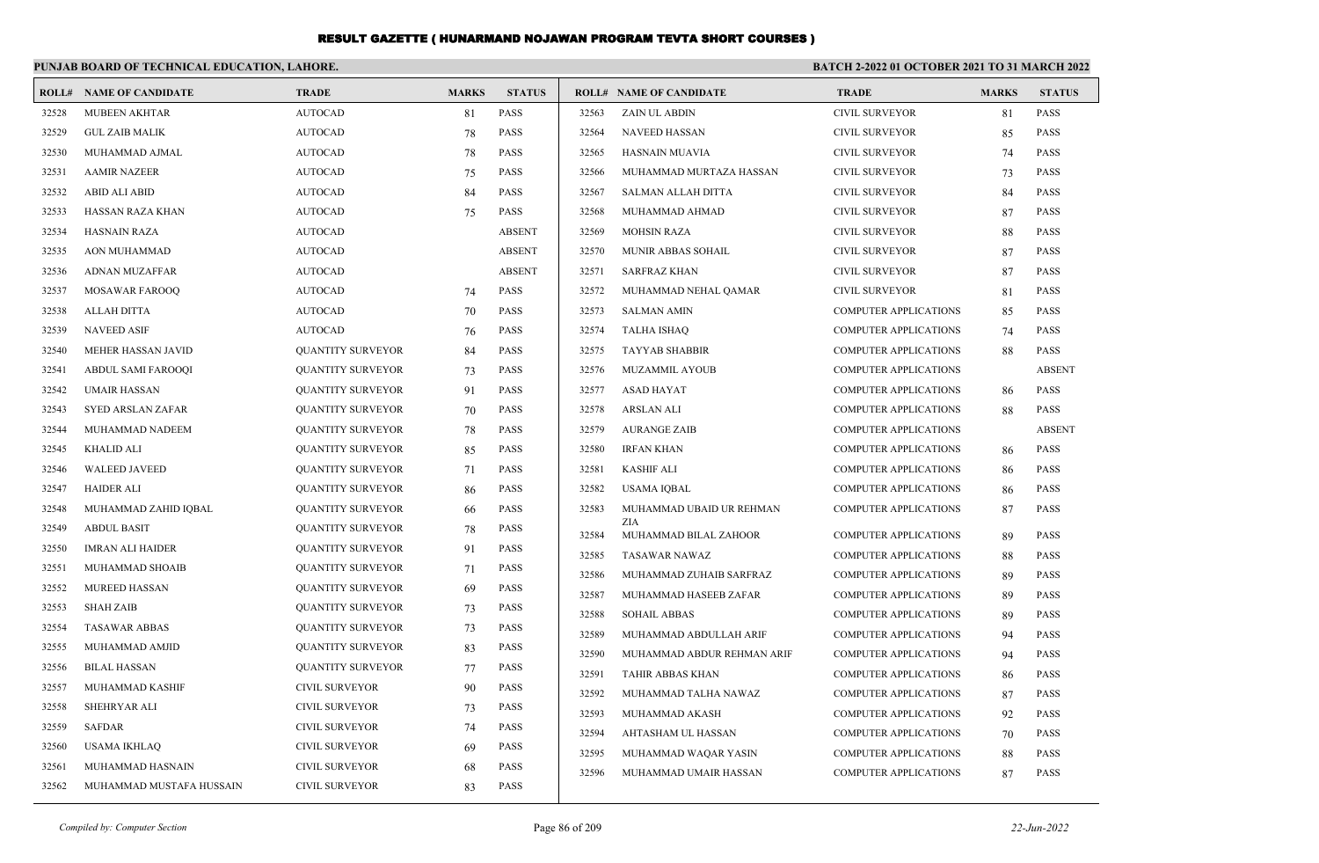|       | PUNJAB BOARD OF TECHNICAL EDUCATION, LAHORE. |                          |              |               |       |                                | BATCH 2-2022 01 OCTOBER 2021 TO 31 MARCH 2022 |              |               |
|-------|----------------------------------------------|--------------------------|--------------|---------------|-------|--------------------------------|-----------------------------------------------|--------------|---------------|
|       | <b>ROLL# NAME OF CANDIDATE</b>               | <b>TRADE</b>             | <b>MARKS</b> | <b>STATUS</b> |       | <b>ROLL# NAME OF CANDIDATE</b> | <b>TRADE</b>                                  | <b>MARKS</b> | <b>STATUS</b> |
| 32528 | <b>MUBEEN AKHTAR</b>                         | <b>AUTOCAD</b>           | 81           | PASS          | 32563 | ZAIN UL ABDIN                  | CIVIL SURVEYOR                                | 81           | <b>PASS</b>   |
| 32529 | <b>GUL ZAIB MALIK</b>                        | <b>AUTOCAD</b>           | 78           | PASS          | 32564 | NAVEED HASSAN                  | <b>CIVIL SURVEYOR</b>                         | 85           | <b>PASS</b>   |
| 32530 | MUHAMMAD AJMAL                               | <b>AUTOCAD</b>           | 78           | <b>PASS</b>   | 32565 | <b>HASNAIN MUAVIA</b>          | <b>CIVIL SURVEYOR</b>                         | 74           | <b>PASS</b>   |
| 32531 | <b>AAMIR NAZEER</b>                          | <b>AUTOCAD</b>           | 75           | <b>PASS</b>   | 32566 | MUHAMMAD MURTAZA HASSAN        | <b>CIVIL SURVEYOR</b>                         | 73           | <b>PASS</b>   |
| 32532 | <b>ABID ALI ABID</b>                         | <b>AUTOCAD</b>           | 84           | <b>PASS</b>   | 32567 | SALMAN ALLAH DITTA             | <b>CIVIL SURVEYOR</b>                         | 84           | <b>PASS</b>   |
| 32533 | HASSAN RAZA KHAN                             | <b>AUTOCAD</b>           | 75           | <b>PASS</b>   | 32568 | MUHAMMAD AHMAD                 | <b>CIVIL SURVEYOR</b>                         | 87           | <b>PASS</b>   |
| 32534 | <b>HASNAIN RAZA</b>                          | <b>AUTOCAD</b>           |              | <b>ABSENT</b> | 32569 | <b>MOHSIN RAZA</b>             | <b>CIVIL SURVEYOR</b>                         | 88           | <b>PASS</b>   |
| 32535 | <b>AON MUHAMMAD</b>                          | <b>AUTOCAD</b>           |              | <b>ABSENT</b> | 32570 | MUNIR ABBAS SOHAIL             | <b>CIVIL SURVEYOR</b>                         | 87           | <b>PASS</b>   |
| 32536 | ADNAN MUZAFFAR                               | <b>AUTOCAD</b>           |              | <b>ABSENT</b> | 32571 | <b>SARFRAZ KHAN</b>            | <b>CIVIL SURVEYOR</b>                         | 87           | <b>PASS</b>   |
| 32537 | MOSAWAR FAROOQ                               | <b>AUTOCAD</b>           | 74           | <b>PASS</b>   | 32572 | MUHAMMAD NEHAL QAMAR           | <b>CIVIL SURVEYOR</b>                         | 81           | <b>PASS</b>   |
| 32538 | <b>ALLAH DITTA</b>                           | <b>AUTOCAD</b>           | 70           | <b>PASS</b>   | 32573 | <b>SALMAN AMIN</b>             | <b>COMPUTER APPLICATIONS</b>                  | 85           | <b>PASS</b>   |
| 32539 | <b>NAVEED ASIF</b>                           | <b>AUTOCAD</b>           | 76           | <b>PASS</b>   | 32574 | <b>TALHA ISHAQ</b>             | <b>COMPUTER APPLICATIONS</b>                  | 74           | <b>PASS</b>   |
| 32540 | MEHER HASSAN JAVID                           | <b>QUANTITY SURVEYOR</b> | 84           | <b>PASS</b>   | 32575 | <b>TAYYAB SHABBIR</b>          | <b>COMPUTER APPLICATIONS</b>                  | 88           | <b>PASS</b>   |
| 32541 | ABDUL SAMI FAROOQI                           | <b>QUANTITY SURVEYOR</b> | 73           | <b>PASS</b>   | 32576 | <b>MUZAMMIL AYOUB</b>          | <b>COMPUTER APPLICATIONS</b>                  |              | <b>ABSENT</b> |
| 32542 | <b>UMAIR HASSAN</b>                          | <b>QUANTITY SURVEYOR</b> | 91           | <b>PASS</b>   | 32577 | <b>ASAD HAYAT</b>              | <b>COMPUTER APPLICATIONS</b>                  | 86           | <b>PASS</b>   |
| 32543 | SYED ARSLAN ZAFAR                            | <b>QUANTITY SURVEYOR</b> | 70           | <b>PASS</b>   | 32578 | <b>ARSLAN ALI</b>              | <b>COMPUTER APPLICATIONS</b>                  | 88           | <b>PASS</b>   |
| 32544 | MUHAMMAD NADEEM                              | <b>QUANTITY SURVEYOR</b> | 78           | <b>PASS</b>   | 32579 | <b>AURANGE ZAIB</b>            | <b>COMPUTER APPLICATIONS</b>                  |              | <b>ABSENT</b> |
| 32545 | <b>KHALID ALI</b>                            | <b>QUANTITY SURVEYOR</b> | 85           | PASS          | 32580 | <b>IRFAN KHAN</b>              | <b>COMPUTER APPLICATIONS</b>                  | 86           | PASS          |
| 32546 | <b>WALEED JAVEED</b>                         | <b>QUANTITY SURVEYOR</b> | 71           | <b>PASS</b>   | 32581 | <b>KASHIF ALI</b>              | <b>COMPUTER APPLICATIONS</b>                  | 86           | <b>PASS</b>   |
| 32547 | <b>HAIDER ALI</b>                            | <b>QUANTITY SURVEYOR</b> | 86           | <b>PASS</b>   | 32582 | <b>USAMA IOBAL</b>             | <b>COMPUTER APPLICATIONS</b>                  | 86           | <b>PASS</b>   |
| 32548 | MUHAMMAD ZAHID IQBAL                         | <b>QUANTITY SURVEYOR</b> | 66           | PASS          | 32583 | MUHAMMAD UBAID UR REHMAN       | <b>COMPUTER APPLICATIONS</b>                  | 87           | <b>PASS</b>   |
| 32549 | <b>ABDUL BASIT</b>                           | <b>QUANTITY SURVEYOR</b> | 78           | <b>PASS</b>   | 32584 | ZIA<br>MUHAMMAD BILAL ZAHOOR   | <b>COMPUTER APPLICATIONS</b>                  | 89           | <b>PASS</b>   |
| 32550 | <b>IMRAN ALI HAIDER</b>                      | <b>QUANTITY SURVEYOR</b> | 91           | <b>PASS</b>   | 32585 | <b>TASAWAR NAWAZ</b>           | <b>COMPUTER APPLICATIONS</b>                  | 88           | <b>PASS</b>   |
| 32551 | MUHAMMAD SHOAIB                              | <b>QUANTITY SURVEYOR</b> | 71           | <b>PASS</b>   | 32586 | MUHAMMAD ZUHAIB SARFRAZ        | <b>COMPUTER APPLICATIONS</b>                  | 89           | <b>PASS</b>   |
| 32552 | MUREED HASSAN                                | <b>QUANTITY SURVEYOR</b> | 69           | <b>PASS</b>   | 32587 | MUHAMMAD HASEEB ZAFAR          | <b>COMPUTER APPLICATIONS</b>                  | 89           | <b>PASS</b>   |
| 32553 | <b>SHAH ZAIB</b>                             | <b>QUANTITY SURVEYOR</b> | 73           | <b>PASS</b>   | 32588 | <b>SOHAIL ABBAS</b>            | <b>COMPUTER APPLICATIONS</b>                  | 89           | <b>PASS</b>   |
| 32554 | <b>TASAWAR ABBAS</b>                         | <b>QUANTITY SURVEYOR</b> | 73           | PASS          | 32589 | MUHAMMAD ABDULLAH ARIF         | <b>COMPUTER APPLICATIONS</b>                  | 94           | <b>PASS</b>   |
| 32555 | MUHAMMAD AMJID                               | <b>QUANTITY SURVEYOR</b> | 83           | PASS          | 32590 | MUHAMMAD ABDUR REHMAN ARIF     | <b>COMPUTER APPLICATIONS</b>                  | 94           | <b>PASS</b>   |
| 32556 | <b>BILAL HASSAN</b>                          | <b>QUANTITY SURVEYOR</b> | 77           | <b>PASS</b>   | 32591 | TAHIR ABBAS KHAN               | <b>COMPUTER APPLICATIONS</b>                  | 86           | <b>PASS</b>   |
| 32557 | MUHAMMAD KASHIF                              | <b>CIVIL SURVEYOR</b>    | 90           | <b>PASS</b>   | 32592 | MUHAMMAD TALHA NAWAZ           | <b>COMPUTER APPLICATIONS</b>                  | 87           | <b>PASS</b>   |
| 32558 | SHEHRYAR ALI                                 | <b>CIVIL SURVEYOR</b>    | 73           | <b>PASS</b>   | 32593 | MUHAMMAD AKASH                 | <b>COMPUTER APPLICATIONS</b>                  | 92           | <b>PASS</b>   |
| 32559 | SAFDAR                                       | <b>CIVIL SURVEYOR</b>    | 74           | <b>PASS</b>   | 32594 | AHTASHAM UL HASSAN             | <b>COMPUTER APPLICATIONS</b>                  | 70           | <b>PASS</b>   |
| 32560 | <b>USAMA IKHLAQ</b>                          | <b>CIVIL SURVEYOR</b>    | 69           | <b>PASS</b>   | 32595 | MUHAMMAD WAQAR YASIN           | <b>COMPUTER APPLICATIONS</b>                  | 88           | <b>PASS</b>   |
| 32561 | MUHAMMAD HASNAIN                             | CIVIL SURVEYOR           | 68           | PASS          | 32596 | MUHAMMAD UMAIR HASSAN          | <b>COMPUTER APPLICATIONS</b>                  | 87           | <b>PASS</b>   |
| 32562 | MUHAMMAD MUSTAFA HUSSAIN                     | <b>CIVIL SURVEYOR</b>    | 83           | <b>PASS</b>   |       |                                |                                               |              |               |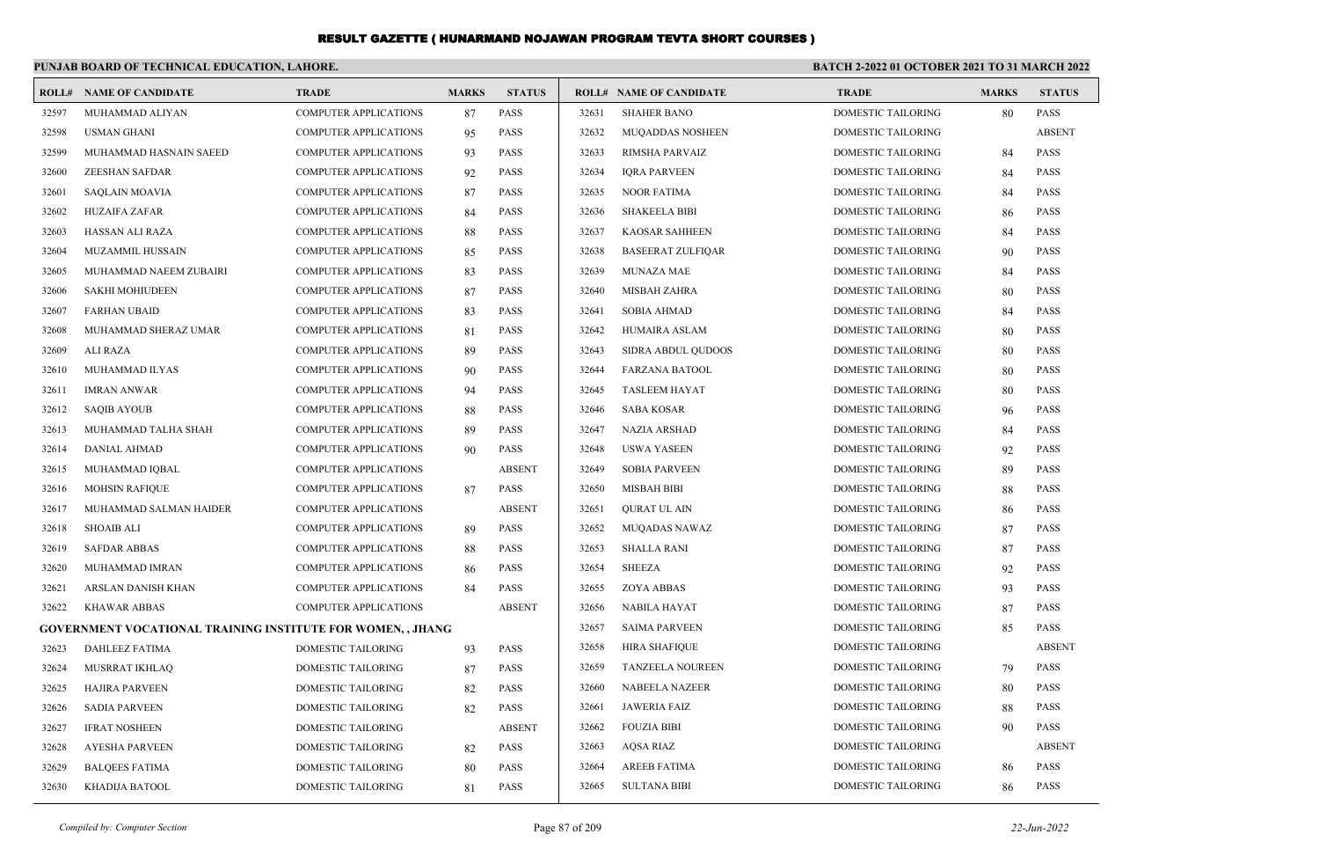|       | PUNJAB BOARD OF TECHNICAL EDUCATION, LAHORE.                |                              |              |               | <b>BATCH 2-2022 01 OCTOBER 2021 TO 31 MARCH 2022</b> |                                |                           |              |               |
|-------|-------------------------------------------------------------|------------------------------|--------------|---------------|------------------------------------------------------|--------------------------------|---------------------------|--------------|---------------|
|       | <b>ROLL# NAME OF CANDIDATE</b>                              | <b>TRADE</b>                 | <b>MARKS</b> | <b>STATUS</b> |                                                      | <b>ROLL# NAME OF CANDIDATE</b> | <b>TRADE</b>              | <b>MARKS</b> | <b>STATUS</b> |
| 32597 | MUHAMMAD ALIYAN                                             | <b>COMPUTER APPLICATIONS</b> | 87           | <b>PASS</b>   | 32631                                                | <b>SHAHER BANO</b>             | DOMESTIC TAILORING        | 80           | PASS          |
| 32598 | <b>USMAN GHANI</b>                                          | <b>COMPUTER APPLICATIONS</b> | 95           | <b>PASS</b>   | 32632                                                | <b>MUQADDAS NOSHEEN</b>        | DOMESTIC TAILORING        |              | <b>ABSENT</b> |
| 32599 | MUHAMMAD HASNAIN SAEED                                      | <b>COMPUTER APPLICATIONS</b> | 93           | <b>PASS</b>   | 32633                                                | RIMSHA PARVAIZ                 | DOMESTIC TAILORING        | 84           | PASS          |
| 32600 | <b>ZEESHAN SAFDAR</b>                                       | <b>COMPUTER APPLICATIONS</b> | 92           | <b>PASS</b>   | 32634                                                | <b>IQRA PARVEEN</b>            | <b>DOMESTIC TAILORING</b> | 84           | <b>PASS</b>   |
| 32601 | <b>SAQLAIN MOAVIA</b>                                       | <b>COMPUTER APPLICATIONS</b> | 87           | <b>PASS</b>   | 32635                                                | <b>NOOR FATIMA</b>             | DOMESTIC TAILORING        | 84           | <b>PASS</b>   |
| 32602 | HUZAIFA ZAFAR                                               | <b>COMPUTER APPLICATIONS</b> | 84           | <b>PASS</b>   | 32636                                                | <b>SHAKEELA BIBI</b>           | DOMESTIC TAILORING        | 86           | <b>PASS</b>   |
| 32603 | HASSAN ALI RAZA                                             | <b>COMPUTER APPLICATIONS</b> | 88           | <b>PASS</b>   | 32637                                                | <b>KAOSAR SAHHEEN</b>          | DOMESTIC TAILORING        | 84           | <b>PASS</b>   |
| 32604 | <b>MUZAMMIL HUSSAIN</b>                                     | <b>COMPUTER APPLICATIONS</b> | 85           | <b>PASS</b>   | 32638                                                | <b>BASEERAT ZULFIQAR</b>       | DOMESTIC TAILORING        | 90           | <b>PASS</b>   |
| 32605 | MUHAMMAD NAEEM ZUBAIRI                                      | <b>COMPUTER APPLICATIONS</b> | 83           | <b>PASS</b>   | 32639                                                | <b>MUNAZA MAE</b>              | DOMESTIC TAILORING        | 84           | <b>PASS</b>   |
| 32606 | <b>SAKHI MOHIUDEEN</b>                                      | <b>COMPUTER APPLICATIONS</b> | 87           | <b>PASS</b>   | 32640                                                | <b>MISBAH ZAHRA</b>            | <b>DOMESTIC TAILORING</b> | 80           | <b>PASS</b>   |
| 32607 | <b>FARHAN UBAID</b>                                         | <b>COMPUTER APPLICATIONS</b> | 83           | <b>PASS</b>   | 32641                                                | SOBIA AHMAD                    | DOMESTIC TAILORING        | 84           | <b>PASS</b>   |
| 32608 | MUHAMMAD SHERAZ UMAR                                        | <b>COMPUTER APPLICATIONS</b> | -81          | <b>PASS</b>   | 32642                                                | HUMAIRA ASLAM                  | DOMESTIC TAILORING        | 80           | <b>PASS</b>   |
| 32609 | ALI RAZA                                                    | <b>COMPUTER APPLICATIONS</b> | 89           | <b>PASS</b>   | 32643                                                | SIDRA ABDUL QUDOOS             | <b>DOMESTIC TAILORING</b> | 80           | <b>PASS</b>   |
| 32610 | MUHAMMAD ILYAS                                              | <b>COMPUTER APPLICATIONS</b> | 90           | <b>PASS</b>   | 32644                                                | <b>FARZANA BATOOL</b>          | DOMESTIC TAILORING        | 80           | <b>PASS</b>   |
| 32611 | <b>IMRAN ANWAR</b>                                          | <b>COMPUTER APPLICATIONS</b> | 94           | <b>PASS</b>   | 32645                                                | <b>TASLEEM HAYAT</b>           | DOMESTIC TAILORING        | 80           | <b>PASS</b>   |
| 32612 | <b>SAQIB AYOUB</b>                                          | <b>COMPUTER APPLICATIONS</b> | 88           | <b>PASS</b>   | 32646                                                | SABA KOSAR                     | DOMESTIC TAILORING        | 96           | PASS          |
| 32613 | MUHAMMAD TALHA SHAH                                         | <b>COMPUTER APPLICATIONS</b> | 89           | <b>PASS</b>   | 32647                                                | NAZIA ARSHAD                   | DOMESTIC TAILORING        | 84           | <b>PASS</b>   |
| 32614 | <b>DANIAL AHMAD</b>                                         | <b>COMPUTER APPLICATIONS</b> | 90           | <b>PASS</b>   | 32648                                                | <b>USWA YASEEN</b>             | DOMESTIC TAILORING        | 92           | <b>PASS</b>   |
| 32615 | MUHAMMAD IQBAL                                              | <b>COMPUTER APPLICATIONS</b> |              | <b>ABSENT</b> | 32649                                                | <b>SOBIA PARVEEN</b>           | DOMESTIC TAILORING        | 89           | <b>PASS</b>   |
| 32616 | <b>MOHSIN RAFIQUE</b>                                       | <b>COMPUTER APPLICATIONS</b> | 87           | <b>PASS</b>   | 32650                                                | <b>MISBAH BIBI</b>             | <b>DOMESTIC TAILORING</b> | 88           | <b>PASS</b>   |
| 32617 | MUHAMMAD SALMAN HAIDER                                      | <b>COMPUTER APPLICATIONS</b> |              | <b>ABSENT</b> | 32651                                                | <b>OURAT UL AIN</b>            | DOMESTIC TAILORING        | 86           | <b>PASS</b>   |
| 32618 | SHOAIB ALI                                                  | <b>COMPUTER APPLICATIONS</b> | -89          | <b>PASS</b>   | 32652                                                | <b>MUQADAS NAWAZ</b>           | DOMESTIC TAILORING        | 87           | <b>PASS</b>   |
| 32619 | <b>SAFDAR ABBAS</b>                                         | <b>COMPUTER APPLICATIONS</b> | 88           | <b>PASS</b>   | 32653                                                | <b>SHALLA RANI</b>             | DOMESTIC TAILORING        | 87           | <b>PASS</b>   |
| 32620 | MUHAMMAD IMRAN                                              | <b>COMPUTER APPLICATIONS</b> | 86           | <b>PASS</b>   | 32654                                                | <b>SHEEZA</b>                  | DOMESTIC TAILORING        | 92           | <b>PASS</b>   |
| 32621 | ARSLAN DANISH KHAN                                          | <b>COMPUTER APPLICATIONS</b> | 84           | <b>PASS</b>   | 32655                                                | <b>ZOYA ABBAS</b>              | DOMESTIC TAILORING        | 93           | <b>PASS</b>   |
| 32622 | <b>KHAWAR ABBAS</b>                                         | <b>COMPUTER APPLICATIONS</b> |              | <b>ABSENT</b> | 32656                                                | <b>NABILA HAYAT</b>            | DOMESTIC TAILORING        | 87           | <b>PASS</b>   |
|       | GOVERNMENT VOCATIONAL TRAINING INSTITUTE FOR WOMEN, , JHANG |                              |              |               | 32657                                                | <b>SAIMA PARVEEN</b>           | DOMESTIC TAILORING        | 85           | <b>PASS</b>   |
| 32623 | <b>DAHLEEZ FATIMA</b>                                       | <b>DOMESTIC TAILORING</b>    | 93           | <b>PASS</b>   | 32658                                                | <b>HIRA SHAFIQUE</b>           | DOMESTIC TAILORING        |              | <b>ABSENT</b> |
| 32624 | MUSRRAT IKHLAQ                                              | DOMESTIC TAILORING           | 87           | <b>PASS</b>   | 32659                                                | TANZEELA NOUREEN               | <b>DOMESTIC TAILORING</b> | 79           | <b>PASS</b>   |
| 32625 | HAJIRA PARVEEN                                              | DOMESTIC TAILORING           | 82           | PASS          | 32660                                                | NABEELA NAZEER                 | DOMESTIC TAILORING        | 80           | PASS          |
| 32626 | SADIA PARVEEN                                               | <b>DOMESTIC TAILORING</b>    | 82           | PASS          | 32661                                                | JAWERIA FAIZ                   | <b>DOMESTIC TAILORING</b> | 88           | <b>PASS</b>   |
| 32627 | <b>IFRAT NOSHEEN</b>                                        | DOMESTIC TAILORING           |              | <b>ABSENT</b> | 32662                                                | <b>FOUZIA BIBI</b>             | DOMESTIC TAILORING        | 90           | <b>PASS</b>   |
| 32628 | <b>AYESHA PARVEEN</b>                                       | DOMESTIC TAILORING           | 82           | <b>PASS</b>   | 32663                                                | AQSA RIAZ                      | DOMESTIC TAILORING        |              | <b>ABSENT</b> |
| 32629 | <b>BALQEES FATIMA</b>                                       | DOMESTIC TAILORING           | -80          | <b>PASS</b>   | 32664                                                | AREEB FATIMA                   | DOMESTIC TAILORING        | 86           | <b>PASS</b>   |
| 32630 | KHADIJA BATOOL                                              | DOMESTIC TAILORING           | 81           | PASS          | 32665                                                | <b>SULTANA BIBI</b>            | DOMESTIC TAILORING        | 86           | PASS          |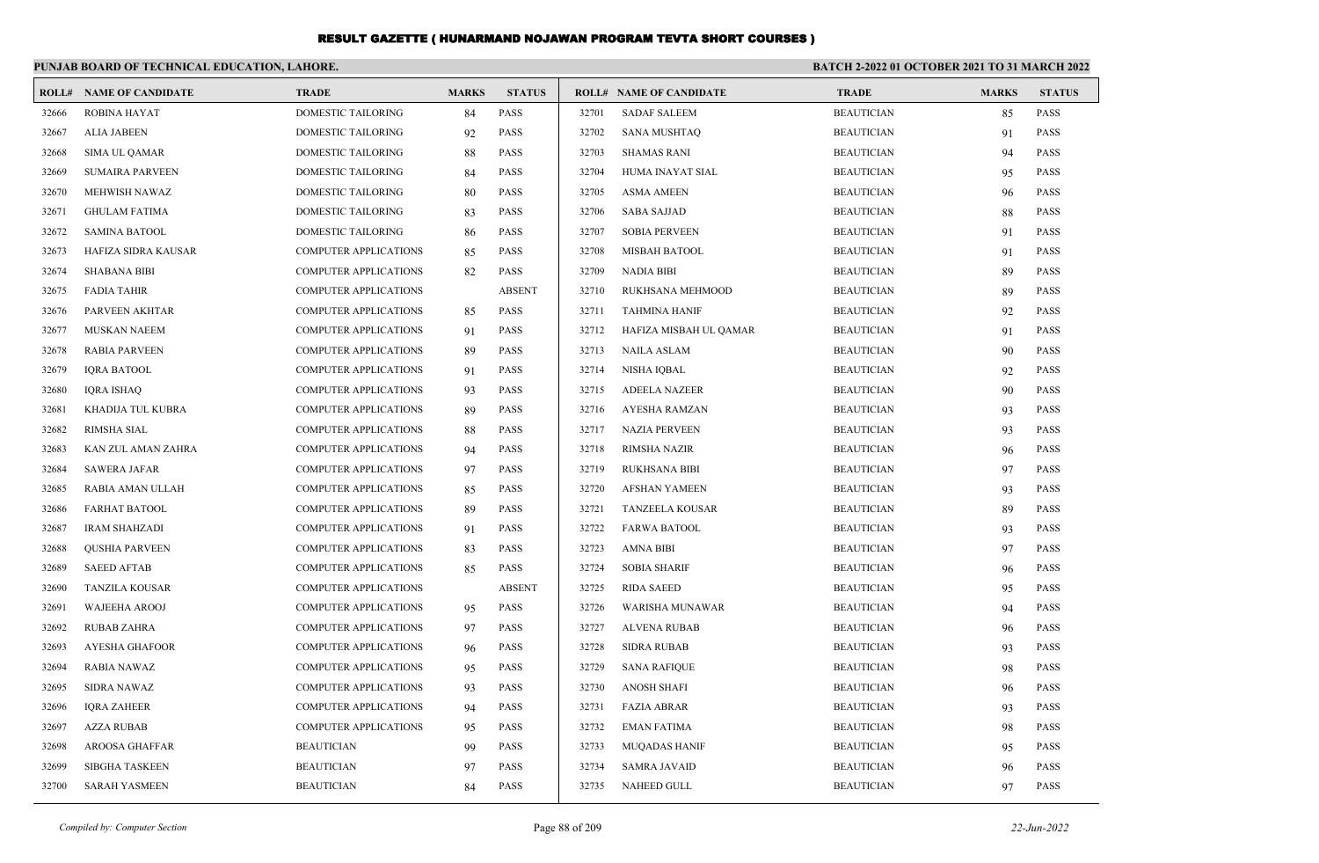|       | PUNJAB BOARD OF TECHNICAL EDUCATION, LAHORE. |                              |              |               | BATCH 2-2022 01 OCTOBER 2021 TO 31 MARCH 2022 |                                |                   |              |               |
|-------|----------------------------------------------|------------------------------|--------------|---------------|-----------------------------------------------|--------------------------------|-------------------|--------------|---------------|
|       | <b>ROLL# NAME OF CANDIDATE</b>               | <b>TRADE</b>                 | <b>MARKS</b> | <b>STATUS</b> |                                               | <b>ROLL# NAME OF CANDIDATE</b> | <b>TRADE</b>      | <b>MARKS</b> | <b>STATUS</b> |
| 32666 | <b>ROBINA HAYAT</b>                          | <b>DOMESTIC TAILORING</b>    | 84           | PASS          | 32701                                         | <b>SADAF SALEEM</b>            | <b>BEAUTICIAN</b> | 85           | <b>PASS</b>   |
| 32667 | <b>ALIA JABEEN</b>                           | <b>DOMESTIC TAILORING</b>    | 92           | <b>PASS</b>   | 32702                                         | <b>SANA MUSHTAQ</b>            | <b>BEAUTICIAN</b> | 91           | <b>PASS</b>   |
| 32668 | <b>SIMA UL QAMAR</b>                         | DOMESTIC TAILORING           | 88           | <b>PASS</b>   | 32703                                         | <b>SHAMAS RANI</b>             | <b>BEAUTICIAN</b> | 94           | <b>PASS</b>   |
| 32669 | <b>SUMAIRA PARVEEN</b>                       | DOMESTIC TAILORING           | 84           | <b>PASS</b>   | 32704                                         | HUMA INAYAT SIAL               | <b>BEAUTICIAN</b> | 95           | <b>PASS</b>   |
| 32670 | MEHWISH NAWAZ                                | <b>DOMESTIC TAILORING</b>    | 80           | <b>PASS</b>   | 32705                                         | <b>ASMA AMEEN</b>              | <b>BEAUTICIAN</b> | 96           | <b>PASS</b>   |
| 32671 | <b>GHULAM FATIMA</b>                         | <b>DOMESTIC TAILORING</b>    | 83           | <b>PASS</b>   | 32706                                         | <b>SABA SAJJAD</b>             | <b>BEAUTICIAN</b> | 88           | <b>PASS</b>   |
| 32672 | <b>SAMINA BATOOL</b>                         | <b>DOMESTIC TAILORING</b>    | 86           | <b>PASS</b>   | 32707                                         | <b>SOBIA PERVEEN</b>           | <b>BEAUTICIAN</b> | 91           | <b>PASS</b>   |
| 32673 | HAFIZA SIDRA KAUSAR                          | <b>COMPUTER APPLICATIONS</b> | 85           | <b>PASS</b>   | 32708                                         | MISBAH BATOOL                  | <b>BEAUTICIAN</b> | 91           | <b>PASS</b>   |
| 32674 | <b>SHABANA BIBI</b>                          | <b>COMPUTER APPLICATIONS</b> | 82           | <b>PASS</b>   | 32709                                         | <b>NADIA BIBI</b>              | <b>BEAUTICIAN</b> | 89           | <b>PASS</b>   |
| 32675 | <b>FADIA TAHIR</b>                           | <b>COMPUTER APPLICATIONS</b> |              | <b>ABSENT</b> | 32710                                         | RUKHSANA MEHMOOD               | <b>BEAUTICIAN</b> | 89           | <b>PASS</b>   |
| 32676 | PARVEEN AKHTAR                               | <b>COMPUTER APPLICATIONS</b> | 85           | <b>PASS</b>   | 32711                                         | <b>TAHMINA HANIF</b>           | <b>BEAUTICIAN</b> | 92           | <b>PASS</b>   |
| 32677 | <b>MUSKAN NAEEM</b>                          | <b>COMPUTER APPLICATIONS</b> | 91           | <b>PASS</b>   | 32712                                         | HAFIZA MISBAH UL QAMAR         | <b>BEAUTICIAN</b> | 91           | <b>PASS</b>   |
| 32678 | <b>RABIA PARVEEN</b>                         | COMPUTER APPLICATIONS        | 89           | <b>PASS</b>   | 32713                                         | <b>NAILA ASLAM</b>             | <b>BEAUTICIAN</b> | 90           | <b>PASS</b>   |
| 32679 | <b>IQRA BATOOL</b>                           | <b>COMPUTER APPLICATIONS</b> | 91           | <b>PASS</b>   | 32714                                         | NISHA IQBAL                    | <b>BEAUTICIAN</b> | 92           | <b>PASS</b>   |
| 32680 | <b>IQRA ISHAQ</b>                            | <b>COMPUTER APPLICATIONS</b> | 93           | <b>PASS</b>   | 32715                                         | <b>ADEELA NAZEER</b>           | <b>BEAUTICIAN</b> | 90           | <b>PASS</b>   |
| 32681 | KHADIJA TUL KUBRA                            | COMPUTER APPLICATIONS        | 89           | <b>PASS</b>   | 32716                                         | AYESHA RAMZAN                  | <b>BEAUTICIAN</b> | 93           | PASS          |
| 32682 | <b>RIMSHA SIAL</b>                           | <b>COMPUTER APPLICATIONS</b> | 88           | <b>PASS</b>   | 32717                                         | <b>NAZIA PERVEEN</b>           | <b>BEAUTICIAN</b> | 93           | <b>PASS</b>   |
| 32683 | KAN ZUL AMAN ZAHRA                           | <b>COMPUTER APPLICATIONS</b> | 94           | <b>PASS</b>   | 32718                                         | <b>RIMSHA NAZIR</b>            | <b>BEAUTICIAN</b> | 96           | <b>PASS</b>   |
| 32684 | <b>SAWERA JAFAR</b>                          | COMPUTER APPLICATIONS        | 97           | PASS          | 32719                                         | <b>RUKHSANA BIBI</b>           | <b>BEAUTICIAN</b> | 97           | PASS          |
| 32685 | RABIA AMAN ULLAH                             | <b>COMPUTER APPLICATIONS</b> | 85           | PASS          | 32720                                         | <b>AFSHAN YAMEEN</b>           | <b>BEAUTICIAN</b> | 93           | <b>PASS</b>   |
| 32686 | <b>FARHAT BATOOL</b>                         | <b>COMPUTER APPLICATIONS</b> | 89           | <b>PASS</b>   | 32721                                         | <b>TANZEELA KOUSAR</b>         | <b>BEAUTICIAN</b> | 89           | <b>PASS</b>   |
| 32687 | <b>IRAM SHAHZADI</b>                         | COMPUTER APPLICATIONS        | 91           | PASS          | 32722                                         | <b>FARWA BATOOL</b>            | <b>BEAUTICIAN</b> | 93           | <b>PASS</b>   |
| 32688 | <b>QUSHIA PARVEEN</b>                        | COMPUTER APPLICATIONS        | 83           | <b>PASS</b>   | 32723                                         | <b>AMNA BIBI</b>               | <b>BEAUTICIAN</b> | 97           | <b>PASS</b>   |
| 32689 | <b>SAEED AFTAB</b>                           | <b>COMPUTER APPLICATIONS</b> | 85           | <b>PASS</b>   | 32724                                         | <b>SOBIA SHARIF</b>            | <b>BEAUTICIAN</b> | 96           | <b>PASS</b>   |
| 32690 | TANZILA KOUSAR                               | COMPUTER APPLICATIONS        |              | <b>ABSENT</b> | 32725                                         | <b>RIDA SAEED</b>              | <b>BEAUTICIAN</b> | 95           | <b>PASS</b>   |
| 32691 | <b>WAJEEHA AROOJ</b>                         | COMPUTER APPLICATIONS        | 95           | <b>PASS</b>   | 32726                                         | WARISHA MUNAWAR                | <b>BEAUTICIAN</b> | 94           | <b>PASS</b>   |
| 32692 | <b>RUBAB ZAHRA</b>                           | <b>COMPUTER APPLICATIONS</b> | 97           | <b>PASS</b>   | 32727                                         | <b>ALVENA RUBAB</b>            | <b>BEAUTICIAN</b> | 96           | <b>PASS</b>   |
| 32693 | AYESHA GHAFOOR                               | COMPUTER APPLICATIONS        | 96           | <b>PASS</b>   | 32728                                         | <b>SIDRA RUBAB</b>             | <b>BEAUTICIAN</b> | 93           | <b>PASS</b>   |
| 32694 | <b>RABIA NAWAZ</b>                           | <b>COMPUTER APPLICATIONS</b> | 95           | <b>PASS</b>   | 32729                                         | <b>SANA RAFIQUE</b>            | <b>BEAUTICIAN</b> | 98           | <b>PASS</b>   |
| 32695 | <b>SIDRA NAWAZ</b>                           | <b>COMPUTER APPLICATIONS</b> | 93           | PASS          | 32730                                         | <b>ANOSH SHAFI</b>             | <b>BEAUTICIAN</b> | 96           | <b>PASS</b>   |
| 32696 | <b>IQRA ZAHEER</b>                           | <b>COMPUTER APPLICATIONS</b> | 94           | PASS          | 32731                                         | <b>FAZIA ABRAR</b>             | <b>BEAUTICIAN</b> | 93           | <b>PASS</b>   |
| 32697 | <b>AZZA RUBAB</b>                            | <b>COMPUTER APPLICATIONS</b> | 95           | PASS          | 32732                                         | <b>EMAN FATIMA</b>             | <b>BEAUTICIAN</b> | 98           | <b>PASS</b>   |
| 32698 | <b>AROOSA GHAFFAR</b>                        | <b>BEAUTICIAN</b>            | 99           | PASS          | 32733                                         | <b>MUOADAS HANIF</b>           | <b>BEAUTICIAN</b> | 95           | <b>PASS</b>   |
| 32699 | <b>SIBGHA TASKEEN</b>                        | <b>BEAUTICIAN</b>            | 97           | PASS          | 32734                                         | <b>SAMRA JAVAID</b>            | <b>BEAUTICIAN</b> | 96           | <b>PASS</b>   |
| 32700 | <b>SARAH YASMEEN</b>                         | <b>BEAUTICIAN</b>            | 84           | <b>PASS</b>   | 32735                                         | <b>NAHEED GULL</b>             | <b>BEAUTICIAN</b> | 97           | <b>PASS</b>   |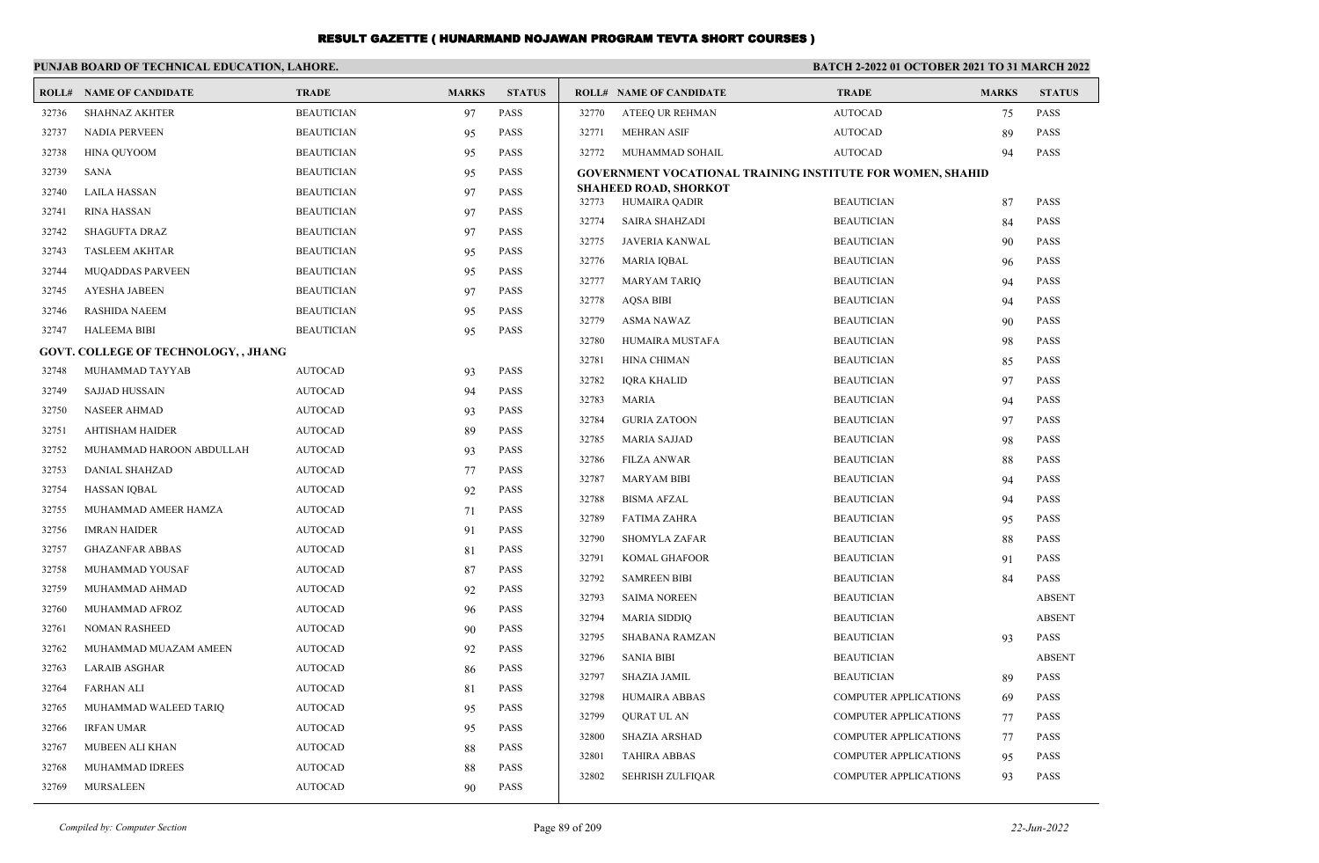|       | PUNJAB BOARD OF TECHNICAL EDUCATION, LAHORE. |                   |              |               | <b>BATCH 2-2022 01 OCTOBER 2021 TO 31 MARCH 2022</b> |                                                            |                              |              |               |
|-------|----------------------------------------------|-------------------|--------------|---------------|------------------------------------------------------|------------------------------------------------------------|------------------------------|--------------|---------------|
|       | <b>ROLL# NAME OF CANDIDATE</b>               | <b>TRADE</b>      | <b>MARKS</b> | <b>STATUS</b> |                                                      | <b>ROLL# NAME OF CANDIDATE</b>                             | <b>TRADE</b>                 | <b>MARKS</b> | <b>STATUS</b> |
| 32736 | <b>SHAHNAZ AKHTER</b>                        | <b>BEAUTICIAN</b> | 97           | PASS          | 32770                                                | ATEEQ UR REHMAN                                            | <b>AUTOCAD</b>               | 75           | <b>PASS</b>   |
| 32737 | <b>NADIA PERVEEN</b>                         | <b>BEAUTICIAN</b> | 95           | <b>PASS</b>   | 32771                                                | <b>MEHRAN ASIF</b>                                         | <b>AUTOCAD</b>               | 89           | <b>PASS</b>   |
| 32738 | <b>HINA QUYOOM</b>                           | <b>BEAUTICIAN</b> | 95           | <b>PASS</b>   | 32772                                                | MUHAMMAD SOHAIL                                            | <b>AUTOCAD</b>               | 94           | <b>PASS</b>   |
| 32739 | <b>SANA</b>                                  | <b>BEAUTICIAN</b> | 95           | <b>PASS</b>   |                                                      | GOVERNMENT VOCATIONAL TRAINING INSTITUTE FOR WOMEN, SHAHID |                              |              |               |
| 32740 | <b>LAILA HASSAN</b>                          | <b>BEAUTICIAN</b> | 97           | <b>PASS</b>   | 32773                                                | <b>SHAHEED ROAD, SHORKOT</b><br>HUMAIRA QADIR              | <b>BEAUTICIAN</b>            | 87           | <b>PASS</b>   |
| 32741 | <b>RINA HASSAN</b>                           | <b>BEAUTICIAN</b> | 97           | <b>PASS</b>   | 32774                                                | <b>SAIRA SHAHZADI</b>                                      | <b>BEAUTICIAN</b>            | 84           | <b>PASS</b>   |
| 32742 | <b>SHAGUFTA DRAZ</b>                         | <b>BEAUTICIAN</b> | 97           | <b>PASS</b>   | 32775                                                | JAVERIA KANWAL                                             | <b>BEAUTICIAN</b>            | 90           | <b>PASS</b>   |
| 32743 | <b>TASLEEM AKHTAR</b>                        | <b>BEAUTICIAN</b> | 95           | <b>PASS</b>   | 32776                                                | <b>MARIA IQBAL</b>                                         | <b>BEAUTICIAN</b>            | 96           | <b>PASS</b>   |
| 32744 | MUQADDAS PARVEEN                             | <b>BEAUTICIAN</b> | 95           | <b>PASS</b>   | 32777                                                | <b>MARYAM TARIQ</b>                                        | <b>BEAUTICIAN</b>            | 94           | <b>PASS</b>   |
| 32745 | <b>AYESHA JABEEN</b>                         | <b>BEAUTICIAN</b> | 97           | <b>PASS</b>   | 32778                                                | <b>AOSA BIBI</b>                                           | <b>BEAUTICIAN</b>            | 94           | <b>PASS</b>   |
| 32746 | <b>RASHIDA NAEEM</b>                         | <b>BEAUTICIAN</b> | 95           | <b>PASS</b>   | 32779                                                | <b>ASMA NAWAZ</b>                                          | <b>BEAUTICIAN</b>            | 90           | <b>PASS</b>   |
| 32747 | <b>HALEEMA BIBI</b>                          | <b>BEAUTICIAN</b> | 95           | <b>PASS</b>   | 32780                                                | HUMAIRA MUSTAFA                                            | <b>BEAUTICIAN</b>            | 98           | <b>PASS</b>   |
|       | <b>GOVT. COLLEGE OF TECHNOLOGY, , JHANG</b>  |                   |              |               | 32781                                                | <b>HINA CHIMAN</b>                                         | <b>BEAUTICIAN</b>            | 85           | <b>PASS</b>   |
| 32748 | MUHAMMAD TAYYAB                              | <b>AUTOCAD</b>    | 93           | <b>PASS</b>   | 32782                                                | <b>IQRA KHALID</b>                                         | <b>BEAUTICIAN</b>            | 97           | <b>PASS</b>   |
| 32749 | <b>SAJJAD HUSSAIN</b>                        | <b>AUTOCAD</b>    | 94           | <b>PASS</b>   | 32783                                                | <b>MARIA</b>                                               | <b>BEAUTICIAN</b>            | 94           | <b>PASS</b>   |
| 32750 | <b>NASEER AHMAD</b>                          | <b>AUTOCAD</b>    | 93           | <b>PASS</b>   | 32784                                                | <b>GURIA ZATOON</b>                                        | <b>BEAUTICIAN</b>            | 97           | <b>PASS</b>   |
| 32751 | <b>AHTISHAM HAIDER</b>                       | <b>AUTOCAD</b>    | 89           | <b>PASS</b>   | 32785                                                | <b>MARIA SAJJAD</b>                                        | <b>BEAUTICIAN</b>            | 98           | <b>PASS</b>   |
| 32752 | MUHAMMAD HAROON ABDULLAH                     | <b>AUTOCAD</b>    | 93           | <b>PASS</b>   | 32786                                                | <b>FILZA ANWAR</b>                                         | <b>BEAUTICIAN</b>            | 88           | <b>PASS</b>   |
| 32753 | <b>DANIAL SHAHZAD</b>                        | <b>AUTOCAD</b>    | 77           | <b>PASS</b>   | 32787                                                | <b>MARYAM BIBI</b>                                         | <b>BEAUTICIAN</b>            | 94           | <b>PASS</b>   |
| 32754 | <b>HASSAN IQBAL</b>                          | <b>AUTOCAD</b>    | 92           | <b>PASS</b>   | 32788                                                | <b>BISMA AFZAL</b>                                         | <b>BEAUTICIAN</b>            | 94           | <b>PASS</b>   |
| 32755 | MUHAMMAD AMEER HAMZA                         | <b>AUTOCAD</b>    | 71           | <b>PASS</b>   | 32789                                                | <b>FATIMA ZAHRA</b>                                        | <b>BEAUTICIAN</b>            | 95           | <b>PASS</b>   |
| 32756 | <b>IMRAN HAIDER</b>                          | <b>AUTOCAD</b>    | 91           | <b>PASS</b>   | 32790                                                | <b>SHOMYLA ZAFAR</b>                                       | <b>BEAUTICIAN</b>            | 88           | <b>PASS</b>   |
| 32757 | <b>GHAZANFAR ABBAS</b>                       | <b>AUTOCAD</b>    | 81           | <b>PASS</b>   | 32791                                                | <b>KOMAL GHAFOOR</b>                                       | <b>BEAUTICIAN</b>            | 91           | <b>PASS</b>   |
| 32758 | MUHAMMAD YOUSAF                              | <b>AUTOCAD</b>    | 87           | <b>PASS</b>   | 32792                                                | <b>SAMREEN BIBI</b>                                        | <b>BEAUTICIAN</b>            | 84           | <b>PASS</b>   |
| 32759 | MUHAMMAD AHMAD                               | <b>AUTOCAD</b>    | 92           | <b>PASS</b>   | 32793                                                | <b>SAIMA NOREEN</b>                                        | <b>BEAUTICIAN</b>            |              | <b>ABSENT</b> |
| 32760 | MUHAMMAD AFROZ                               | <b>AUTOCAD</b>    | 96           | <b>PASS</b>   | 32794                                                | <b>MARIA SIDDIO</b>                                        | <b>BEAUTICIAN</b>            |              | <b>ABSENT</b> |
| 32761 | <b>NOMAN RASHEED</b>                         | <b>AUTOCAD</b>    | 90           | <b>PASS</b>   | 32795                                                | SHABANA RAMZAN                                             | <b>BEAUTICIAN</b>            | 93           | <b>PASS</b>   |
| 32762 | MUHAMMAD MUAZAM AMEEN                        | <b>AUTOCAD</b>    | 92           | PASS          | 32796                                                | <b>SANIA BIBI</b>                                          | <b>BEAUTICIAN</b>            |              | <b>ABSENT</b> |
| 32763 | <b>LARAIB ASGHAR</b>                         | <b>AUTOCAD</b>    | 86           | <b>PASS</b>   | 32797                                                | <b>SHAZIA JAMIL</b>                                        | <b>BEAUTICIAN</b>            | 89           | <b>PASS</b>   |
| 32764 | <b>FARHAN ALI</b>                            | <b>AUTOCAD</b>    | 81           | PASS          | 32798                                                | HUMAIRA ABBAS                                              | <b>COMPUTER APPLICATIONS</b> | 69           | <b>PASS</b>   |
| 32765 | MUHAMMAD WALEED TARIQ                        | <b>AUTOCAD</b>    | 95           | PASS          | 32799                                                | <b>QURAT UL AN</b>                                         | <b>COMPUTER APPLICATIONS</b> | 77           | <b>PASS</b>   |
| 32766 | <b>IRFAN UMAR</b>                            | <b>AUTOCAD</b>    | 95           | PASS          | 32800                                                | <b>SHAZIA ARSHAD</b>                                       | <b>COMPUTER APPLICATIONS</b> | 77           | <b>PASS</b>   |
| 32767 | MUBEEN ALI KHAN                              | <b>AUTOCAD</b>    | 88           | PASS          | 32801                                                | <b>TAHIRA ABBAS</b>                                        | <b>COMPUTER APPLICATIONS</b> | 95           | PASS          |
| 32768 | MUHAMMAD IDREES                              | <b>AUTOCAD</b>    | 88           | PASS          | 32802                                                | <b>SEHRISH ZULFIQAR</b>                                    | <b>COMPUTER APPLICATIONS</b> | 93           | <b>PASS</b>   |
| 32769 | <b>MURSALEEN</b>                             | <b>AUTOCAD</b>    | 90           | <b>PASS</b>   |                                                      |                                                            |                              |              |               |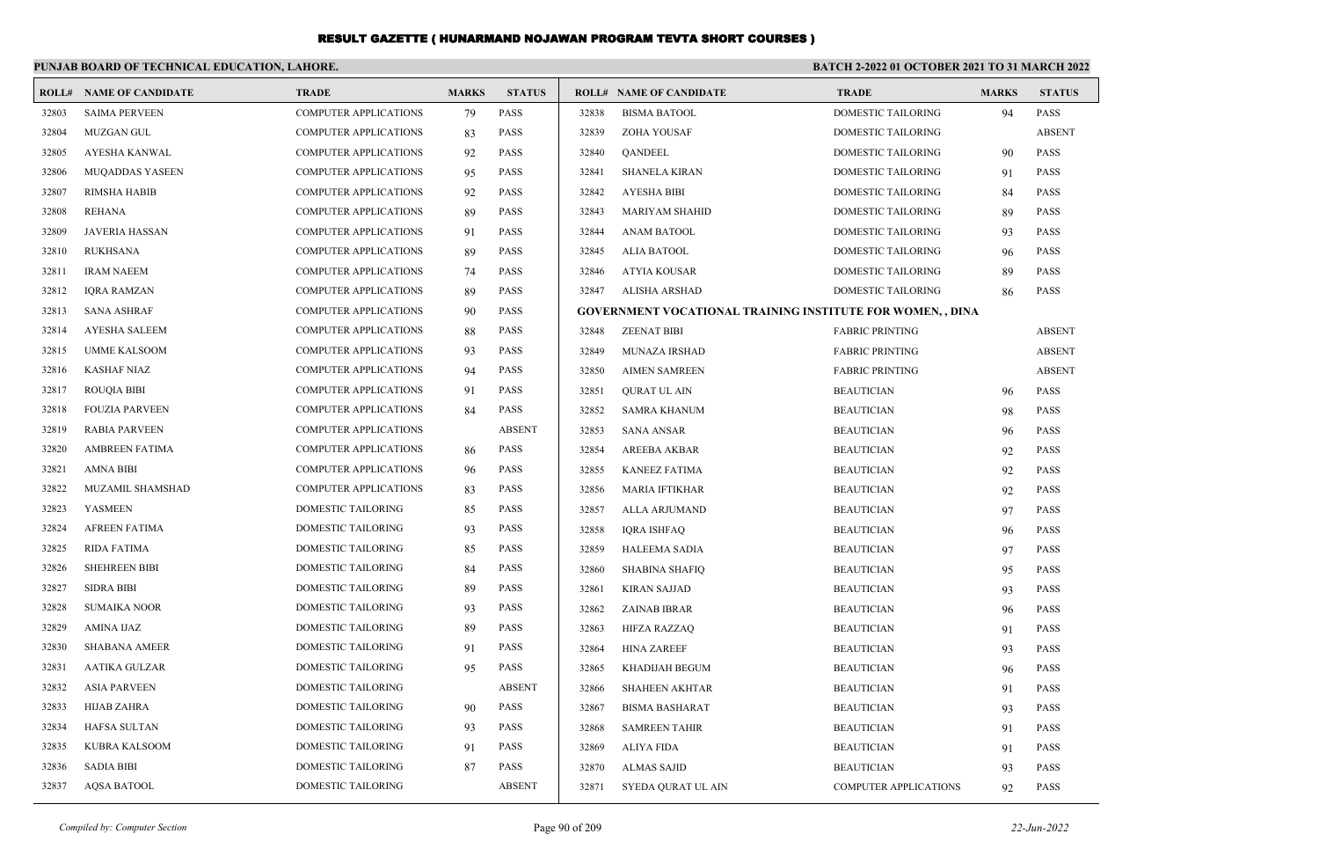|       | PUNJAB BOARD OF TECHNICAL EDUCATION, LAHORE. |                              |              |               | <b>BATCH 2-2022 01 OCTOBER 2021 TO 31 MARCH 2022</b> |                                                                  |                           |              |               |
|-------|----------------------------------------------|------------------------------|--------------|---------------|------------------------------------------------------|------------------------------------------------------------------|---------------------------|--------------|---------------|
|       | <b>ROLL# NAME OF CANDIDATE</b>               | <b>TRADE</b>                 | <b>MARKS</b> | <b>STATUS</b> |                                                      | <b>ROLL# NAME OF CANDIDATE</b>                                   | <b>TRADE</b>              | <b>MARKS</b> | <b>STATUS</b> |
| 32803 | <b>SAIMA PERVEEN</b>                         | <b>COMPUTER APPLICATIONS</b> | 79           | PASS          | 32838                                                | <b>BISMA BATOOL</b>                                              | <b>DOMESTIC TAILORING</b> | 94           | <b>PASS</b>   |
| 32804 | <b>MUZGAN GUL</b>                            | <b>COMPUTER APPLICATIONS</b> | 83           | <b>PASS</b>   | 32839                                                | ZOHA YOUSAF                                                      | DOMESTIC TAILORING        |              | <b>ABSENT</b> |
| 32805 | AYESHA KANWAL                                | <b>COMPUTER APPLICATIONS</b> | 92           | PASS          | 32840                                                | <b>QANDEEL</b>                                                   | DOMESTIC TAILORING        | 90           | <b>PASS</b>   |
| 32806 | <b>MUQADDAS YASEEN</b>                       | <b>COMPUTER APPLICATIONS</b> | 95           | <b>PASS</b>   | 32841                                                | <b>SHANELA KIRAN</b>                                             | DOMESTIC TAILORING        | 91           | <b>PASS</b>   |
| 32807 | RIMSHA HABIB                                 | <b>COMPUTER APPLICATIONS</b> | 92           | <b>PASS</b>   | 32842                                                | AYESHA BIBI                                                      | DOMESTIC TAILORING        | 84           | <b>PASS</b>   |
| 32808 | REHANA                                       | <b>COMPUTER APPLICATIONS</b> | 89           | PASS          | 32843                                                | MARIYAM SHAHID                                                   | DOMESTIC TAILORING        | 89           | <b>PASS</b>   |
| 32809 | JAVERIA HASSAN                               | <b>COMPUTER APPLICATIONS</b> | 91           | <b>PASS</b>   | 32844                                                | <b>ANAM BATOOL</b>                                               | DOMESTIC TAILORING        | 93           | <b>PASS</b>   |
| 32810 | <b>RUKHSANA</b>                              | <b>COMPUTER APPLICATIONS</b> | 89           | <b>PASS</b>   | 32845                                                | ALIA BATOOL                                                      | <b>DOMESTIC TAILORING</b> | 96           | <b>PASS</b>   |
| 32811 | <b>IRAM NAEEM</b>                            | <b>COMPUTER APPLICATIONS</b> | 74           | <b>PASS</b>   | 32846                                                | ATYIA KOUSAR                                                     | DOMESTIC TAILORING        | 89           | <b>PASS</b>   |
| 32812 | <b>IQRA RAMZAN</b>                           | <b>COMPUTER APPLICATIONS</b> | 89           | <b>PASS</b>   | 32847                                                | ALISHA ARSHAD                                                    | DOMESTIC TAILORING        | 86           | <b>PASS</b>   |
| 32813 | <b>SANA ASHRAF</b>                           | <b>COMPUTER APPLICATIONS</b> | 90           | <b>PASS</b>   |                                                      | <b>GOVERNMENT VOCATIONAL TRAINING INSTITUTE FOR WOMEN,, DINA</b> |                           |              |               |
| 32814 | <b>AYESHA SALEEM</b>                         | <b>COMPUTER APPLICATIONS</b> | 88           | <b>PASS</b>   | 32848                                                | <b>ZEENAT BIBI</b>                                               | <b>FABRIC PRINTING</b>    |              | <b>ABSENT</b> |
| 32815 | <b>UMME KALSOOM</b>                          | <b>COMPUTER APPLICATIONS</b> | 93           | <b>PASS</b>   | 32849                                                | <b>MUNAZA IRSHAD</b>                                             | <b>FABRIC PRINTING</b>    |              | <b>ABSENT</b> |
| 32816 | <b>KASHAF NIAZ</b>                           | <b>COMPUTER APPLICATIONS</b> | 94           | <b>PASS</b>   | 32850                                                | <b>AIMEN SAMREEN</b>                                             | <b>FABRIC PRINTING</b>    |              | <b>ABSENT</b> |
| 32817 | <b>ROUQIA BIBI</b>                           | <b>COMPUTER APPLICATIONS</b> | 91           | <b>PASS</b>   | 32851                                                | QURAT UL AIN                                                     | <b>BEAUTICIAN</b>         | 96           | PASS          |
| 32818 | <b>FOUZIA PARVEEN</b>                        | <b>COMPUTER APPLICATIONS</b> | 84           | <b>PASS</b>   | 32852                                                | SAMRA KHANUM                                                     | <b>BEAUTICIAN</b>         | 98           | <b>PASS</b>   |
| 32819 | <b>RABIA PARVEEN</b>                         | <b>COMPUTER APPLICATIONS</b> |              | <b>ABSENT</b> | 32853                                                | SANA ANSAR                                                       | <b>BEAUTICIAN</b>         | 96           | <b>PASS</b>   |
| 32820 | AMBREEN FATIMA                               | <b>COMPUTER APPLICATIONS</b> | 86           | <b>PASS</b>   | 32854                                                | <b>AREEBA AKBAR</b>                                              | <b>BEAUTICIAN</b>         | 92           | <b>PASS</b>   |
| 32821 | <b>AMNA BIBI</b>                             | <b>COMPUTER APPLICATIONS</b> | 96           | <b>PASS</b>   | 32855                                                | <b>KANEEZ FATIMA</b>                                             | <b>BEAUTICIAN</b>         | 92           | <b>PASS</b>   |
| 32822 | MUZAMIL SHAMSHAD                             | <b>COMPUTER APPLICATIONS</b> | 83           | PASS          | 32856                                                | MARIA IFTIKHAR                                                   | <b>BEAUTICIAN</b>         | 92           | <b>PASS</b>   |
| 32823 | YASMEEN                                      | DOMESTIC TAILORING           | 85           | <b>PASS</b>   | 32857                                                | ALLA ARJUMAND                                                    | <b>BEAUTICIAN</b>         | 97           | <b>PASS</b>   |
| 32824 | <b>AFREEN FATIMA</b>                         | DOMESTIC TAILORING           | 93           | PASS          | 32858                                                | IQRA ISHFAQ                                                      | <b>BEAUTICIAN</b>         | 96           | <b>PASS</b>   |
| 32825 | <b>RIDA FATIMA</b>                           | DOMESTIC TAILORING           | 85           | PASS          | 32859                                                | <b>HALEEMA SADIA</b>                                             | <b>BEAUTICIAN</b>         | 97           | <b>PASS</b>   |
| 32826 | <b>SHEHREEN BIBI</b>                         | DOMESTIC TAILORING           | 84           | <b>PASS</b>   | 32860                                                | <b>SHABINA SHAFIQ</b>                                            | <b>BEAUTICIAN</b>         | 95           | <b>PASS</b>   |
| 32827 | <b>SIDRA BIBI</b>                            | DOMESTIC TAILORING           | 89           | PASS          | 32861                                                | KIRAN SAJJAD                                                     | <b>BEAUTICIAN</b>         | 93           | <b>PASS</b>   |
| 32828 | <b>SUMAIKA NOOR</b>                          | DOMESTIC TAILORING           | 93           | <b>PASS</b>   | 32862                                                | ZAINAB IBRAR                                                     | <b>BEAUTICIAN</b>         | 96           | <b>PASS</b>   |
| 32829 | AMINA IJAZ                                   | DOMESTIC TAILORING           | 89           | <b>PASS</b>   | 32863                                                | <b>HIFZA RAZZAO</b>                                              | <b>BEAUTICIAN</b>         | 91           | <b>PASS</b>   |
| 32830 | <b>SHABANA AMEER</b>                         | DOMESTIC TAILORING           | 91           | <b>PASS</b>   | 32864                                                | <b>HINA ZAREEF</b>                                               | <b>BEAUTICIAN</b>         | 93           | <b>PASS</b>   |
| 32831 | <b>AATIKA GULZAR</b>                         | DOMESTIC TAILORING           | 95           | PASS          | 32865                                                | KHADIJAH BEGUM                                                   | <b>BEAUTICIAN</b>         | 96           | <b>PASS</b>   |
| 32832 | ASIA PARVEEN                                 | <b>DOMESTIC TAILORING</b>    |              | <b>ABSENT</b> |                                                      | 32866 SHAHEEN AKHTAR                                             | BEAUTICIAN                | 91           | PASS          |
| 32833 | <b>HIJAB ZAHRA</b>                           | <b>DOMESTIC TAILORING</b>    | 90           | PASS          | 32867                                                | BISMA BASHARAT                                                   | <b>BEAUTICIAN</b>         | 93           | PASS          |
| 32834 | HAFSA SULTAN                                 | DOMESTIC TAILORING           | 93           | PASS          | 32868                                                | <b>SAMREEN TAHIR</b>                                             | <b>BEAUTICIAN</b>         | 91           | <b>PASS</b>   |
| 32835 | <b>KUBRA KALSOOM</b>                         | DOMESTIC TAILORING           | 91           | <b>PASS</b>   | 32869                                                | ALIYA FIDA                                                       | <b>BEAUTICIAN</b>         | 91           | <b>PASS</b>   |
| 32836 | <b>SADIA BIBI</b>                            | DOMESTIC TAILORING           | 87           | PASS          | 32870                                                | ALMAS SAJID                                                      | <b>BEAUTICIAN</b>         | 93           | <b>PASS</b>   |
| 32837 | <b>AQSA BATOOL</b>                           | DOMESTIC TAILORING           |              | <b>ABSENT</b> | 32871                                                | SYEDA QURAT UL AIN                                               | COMPUTER APPLICATIONS     | 92           | <b>PASS</b>   |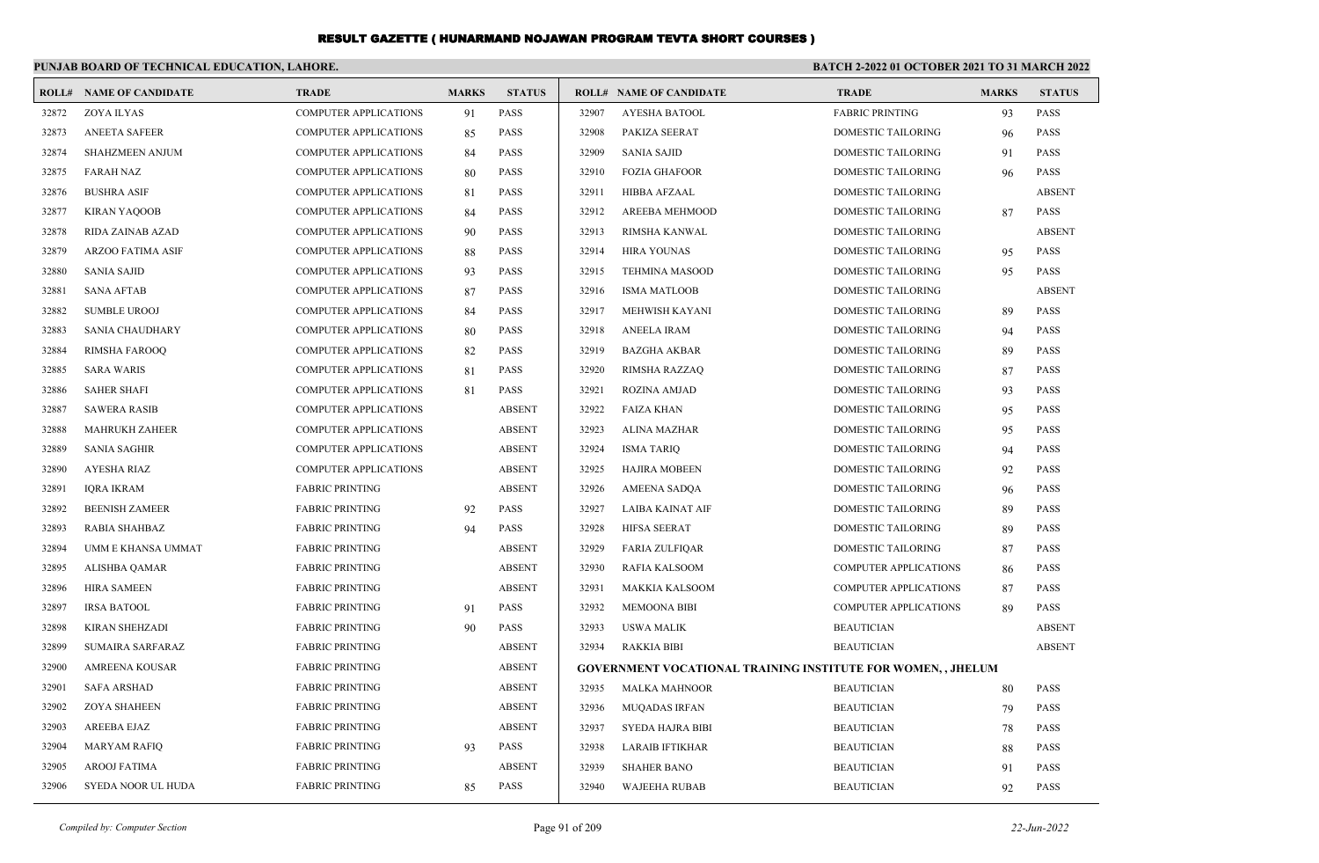|       | PUNJAB BOARD OF TECHNICAL EDUCATION, LAHORE. |                              |              |               | BATCH 2-2022 01 OCTOBER 2021 TO 31 MARCH 2022 |                                                                    |                              |              |               |
|-------|----------------------------------------------|------------------------------|--------------|---------------|-----------------------------------------------|--------------------------------------------------------------------|------------------------------|--------------|---------------|
|       | <b>ROLL# NAME OF CANDIDATE</b>               | <b>TRADE</b>                 | <b>MARKS</b> | <b>STATUS</b> |                                               | <b>ROLL# NAME OF CANDIDATE</b>                                     | <b>TRADE</b>                 | <b>MARKS</b> | <b>STATUS</b> |
| 32872 | ZOYA ILYAS                                   | <b>COMPUTER APPLICATIONS</b> | 91           | <b>PASS</b>   | 32907                                         | <b>AYESHA BATOOL</b>                                               | <b>FABRIC PRINTING</b>       | 93           | PASS          |
| 32873 | <b>ANEETA SAFEER</b>                         | COMPUTER APPLICATIONS        | 85           | <b>PASS</b>   | 32908                                         | PAKIZA SEERAT                                                      | DOMESTIC TAILORING           | 96           | <b>PASS</b>   |
| 32874 | <b>SHAHZMEEN ANJUM</b>                       | <b>COMPUTER APPLICATIONS</b> | 84           | <b>PASS</b>   | 32909                                         | <b>SANIA SAJID</b>                                                 | DOMESTIC TAILORING           | 91           | <b>PASS</b>   |
| 32875 | <b>FARAH NAZ</b>                             | <b>COMPUTER APPLICATIONS</b> | 80           | <b>PASS</b>   | 32910                                         | <b>FOZIA GHAFOOR</b>                                               | DOMESTIC TAILORING           | 96           | <b>PASS</b>   |
| 32876 | <b>BUSHRA ASIF</b>                           | <b>COMPUTER APPLICATIONS</b> | 81           | PASS          | 32911                                         | HIBBA AFZAAL                                                       | DOMESTIC TAILORING           |              | <b>ABSENT</b> |
| 32877 | <b>KIRAN YAQOOB</b>                          | <b>COMPUTER APPLICATIONS</b> | 84           | <b>PASS</b>   | 32912                                         | AREEBA MEHMOOD                                                     | DOMESTIC TAILORING           | 87           | <b>PASS</b>   |
| 32878 | RIDA ZAINAB AZAD                             | <b>COMPUTER APPLICATIONS</b> | -90          | <b>PASS</b>   | 32913                                         | RIMSHA KANWAL                                                      | <b>DOMESTIC TAILORING</b>    |              | <b>ABSENT</b> |
| 32879 | <b>ARZOO FATIMA ASIF</b>                     | <b>COMPUTER APPLICATIONS</b> | 88           | <b>PASS</b>   | 32914                                         | <b>HIRA YOUNAS</b>                                                 | <b>DOMESTIC TAILORING</b>    | 95           | <b>PASS</b>   |
| 32880 | <b>SANIA SAJID</b>                           | COMPUTER APPLICATIONS        | 93           | <b>PASS</b>   | 32915                                         | <b>TEHMINA MASOOD</b>                                              | DOMESTIC TAILORING           | 95           | <b>PASS</b>   |
| 32881 | <b>SANA AFTAB</b>                            | <b>COMPUTER APPLICATIONS</b> | 87           | <b>PASS</b>   | 32916                                         | <b>ISMA MATLOOB</b>                                                | DOMESTIC TAILORING           |              | <b>ABSENT</b> |
| 32882 | <b>SUMBLE UROOJ</b>                          | <b>COMPUTER APPLICATIONS</b> | 84           | <b>PASS</b>   | 32917                                         | MEHWISH KAYANI                                                     | <b>DOMESTIC TAILORING</b>    | 89           | <b>PASS</b>   |
| 32883 | <b>SANIA CHAUDHARY</b>                       | COMPUTER APPLICATIONS        | 80           | PASS          | 32918                                         | <b>ANEELA IRAM</b>                                                 | DOMESTIC TAILORING           | 94           | <b>PASS</b>   |
| 32884 | <b>RIMSHA FAROOQ</b>                         | COMPUTER APPLICATIONS        | 82           | PASS          | 32919                                         | <b>BAZGHA AKBAR</b>                                                | DOMESTIC TAILORING           | 89           | <b>PASS</b>   |
| 32885 | <b>SARA WARIS</b>                            | <b>COMPUTER APPLICATIONS</b> | 81           | <b>PASS</b>   | 32920                                         | RIMSHA RAZZAQ                                                      | <b>DOMESTIC TAILORING</b>    | 87           | <b>PASS</b>   |
| 32886 | <b>SAHER SHAFI</b>                           | <b>COMPUTER APPLICATIONS</b> | 81           | <b>PASS</b>   | 32921                                         | <b>ROZINA AMJAD</b>                                                | <b>DOMESTIC TAILORING</b>    | 93           | <b>PASS</b>   |
| 32887 | <b>SAWERA RASIB</b>                          | COMPUTER APPLICATIONS        |              | <b>ABSENT</b> | 32922                                         | <b>FAIZA KHAN</b>                                                  | DOMESTIC TAILORING           | 95           | <b>PASS</b>   |
| 32888 | <b>MAHRUKH ZAHEER</b>                        | <b>COMPUTER APPLICATIONS</b> |              | <b>ABSENT</b> | 32923                                         | <b>ALINA MAZHAR</b>                                                | <b>DOMESTIC TAILORING</b>    | 95           | <b>PASS</b>   |
| 32889 | <b>SANIA SAGHIR</b>                          | <b>COMPUTER APPLICATIONS</b> |              | <b>ABSENT</b> | 32924                                         | <b>ISMA TARIO</b>                                                  | <b>DOMESTIC TAILORING</b>    | 94           | <b>PASS</b>   |
| 32890 | <b>AYESHA RIAZ</b>                           | <b>COMPUTER APPLICATIONS</b> |              | <b>ABSENT</b> | 32925                                         | <b>HAJIRA MOBEEN</b>                                               | <b>DOMESTIC TAILORING</b>    | 92           | <b>PASS</b>   |
| 32891 | <b>IQRA IKRAM</b>                            | <b>FABRIC PRINTING</b>       |              | <b>ABSENT</b> | 32926                                         | <b>AMEENA SADQA</b>                                                | DOMESTIC TAILORING           | 96           | <b>PASS</b>   |
| 32892 | <b>BEENISH ZAMEER</b>                        | <b>FABRIC PRINTING</b>       | 92           | <b>PASS</b>   | 32927                                         | LAIBA KAINAT AIF                                                   | DOMESTIC TAILORING           | 89           | <b>PASS</b>   |
| 32893 | <b>RABIA SHAHBAZ</b>                         | <b>FABRIC PRINTING</b>       | 94           | <b>PASS</b>   | 32928                                         | HIFSA SEERAT                                                       | <b>DOMESTIC TAILORING</b>    | 89           | <b>PASS</b>   |
| 32894 | UMM E KHANSA UMMAT                           | <b>FABRIC PRINTING</b>       |              | <b>ABSENT</b> | 32929                                         | <b>FARIA ZULFIQAR</b>                                              | DOMESTIC TAILORING           | 87           | <b>PASS</b>   |
| 32895 | ALISHBA QAMAR                                | <b>FABRIC PRINTING</b>       |              | <b>ABSENT</b> | 32930                                         | RAFIA KALSOOM                                                      | <b>COMPUTER APPLICATIONS</b> | 86           | <b>PASS</b>   |
| 32896 | <b>HIRA SAMEEN</b>                           | <b>FABRIC PRINTING</b>       |              | <b>ABSENT</b> | 32931                                         | <b>MAKKIA KALSOOM</b>                                              | <b>COMPUTER APPLICATIONS</b> | 87           | <b>PASS</b>   |
| 32897 | <b>IRSA BATOOL</b>                           | <b>FABRIC PRINTING</b>       | 91           | <b>PASS</b>   | 32932                                         | <b>MEMOONA BIBI</b>                                                | <b>COMPUTER APPLICATIONS</b> | 89           | <b>PASS</b>   |
| 32898 | <b>KIRAN SHEHZADI</b>                        | <b>FABRIC PRINTING</b>       | 90           | PASS          | 32933                                         | <b>USWA MALIK</b>                                                  | <b>BEAUTICIAN</b>            |              | <b>ABSENT</b> |
| 32899 | SUMAIRA SARFARAZ                             | <b>FABRIC PRINTING</b>       |              | <b>ABSENT</b> | 32934                                         | <b>RAKKIA BIBI</b>                                                 | <b>BEAUTICIAN</b>            |              | <b>ABSENT</b> |
| 32900 | <b>AMREENA KOUSAR</b>                        | <b>FABRIC PRINTING</b>       |              | <b>ABSENT</b> |                                               | <b>GOVERNMENT VOCATIONAL TRAINING INSTITUTE FOR WOMEN,, JHELUM</b> |                              |              |               |
| 32901 | <b>SAFA ARSHAD</b>                           | <b>FABRIC PRINTING</b>       |              | <b>ABSENT</b> | 32935                                         | <b>MALKA MAHNOOR</b>                                               | <b>BEAUTICIAN</b>            | 80           | <b>PASS</b>   |
| 32902 | <b>ZOYA SHAHEEN</b>                          | <b>FABRIC PRINTING</b>       |              | <b>ABSENT</b> | 32936                                         | <b>MUOADAS IRFAN</b>                                               | <b>BEAUTICIAN</b>            | 79           | <b>PASS</b>   |
| 32903 | AREEBA EJAZ                                  | <b>FABRIC PRINTING</b>       |              | <b>ABSENT</b> | 32937                                         | <b>SYEDA HAJRA BIBI</b>                                            | <b>BEAUTICIAN</b>            | 78           | <b>PASS</b>   |
| 32904 | <b>MARYAM RAFIQ</b>                          | <b>FABRIC PRINTING</b>       | 93           | <b>PASS</b>   | 32938                                         | <b>LARAIB IFTIKHAR</b>                                             | <b>BEAUTICIAN</b>            | 88           | <b>PASS</b>   |
| 32905 | AROOJ FATIMA                                 | <b>FABRIC PRINTING</b>       |              | <b>ABSENT</b> | 32939                                         | <b>SHAHER BANO</b>                                                 | <b>BEAUTICIAN</b>            | 91           | <b>PASS</b>   |
| 32906 | SYEDA NOOR UL HUDA                           | <b>FABRIC PRINTING</b>       | 85           | <b>PASS</b>   | 32940                                         | <b>WAJEEHA RUBAB</b>                                               | <b>BEAUTICIAN</b>            | 92           | <b>PASS</b>   |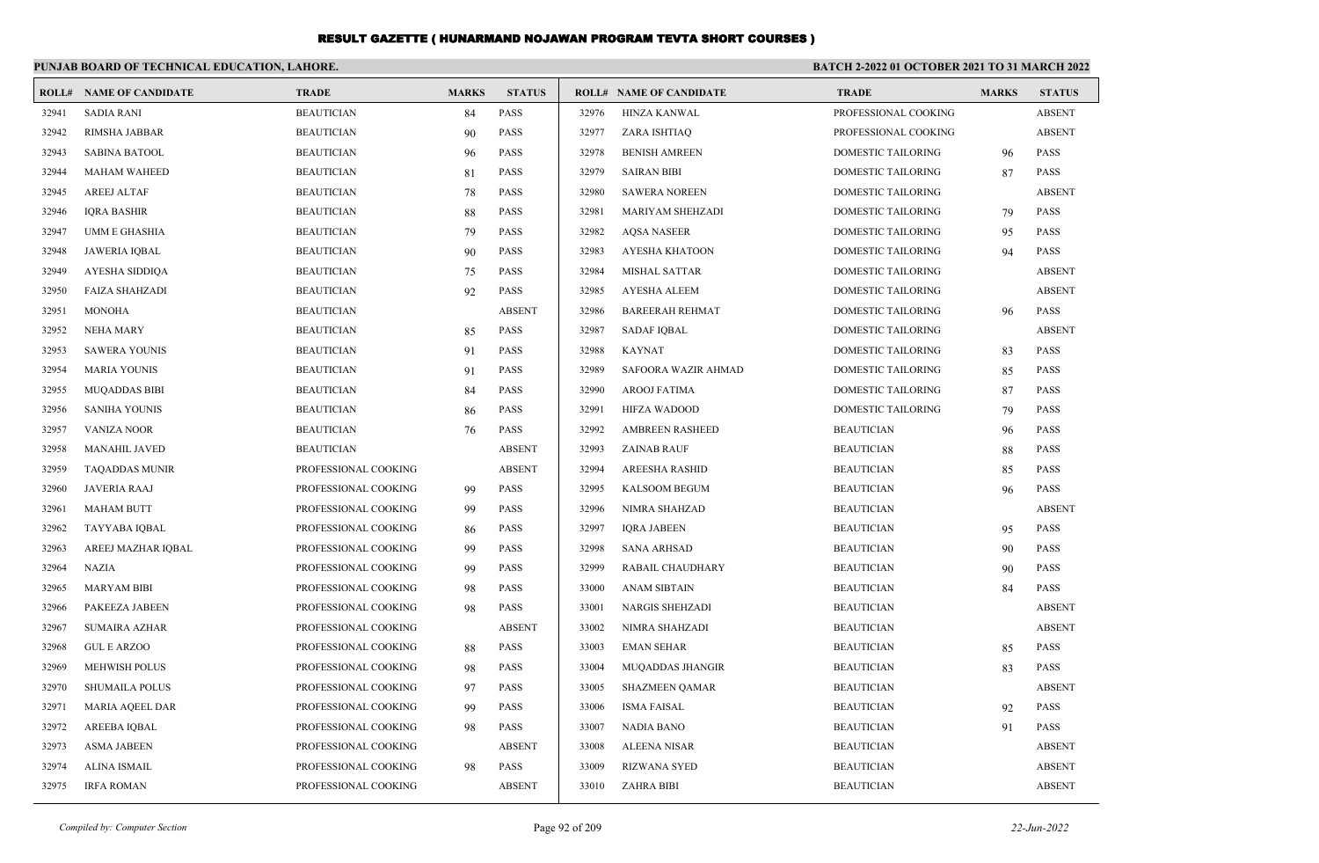|       | PUNJAB BOARD OF TECHNICAL EDUCATION, LAHORE. |                      |              |               |       |                                |                           | <b>BATCH 2-2022 01 OCTOBER 2021 TO 31 MARCH 2022</b> |               |  |
|-------|----------------------------------------------|----------------------|--------------|---------------|-------|--------------------------------|---------------------------|------------------------------------------------------|---------------|--|
| ROLL# | <b>NAME OF CANDIDATE</b>                     | <b>TRADE</b>         | <b>MARKS</b> | <b>STATUS</b> |       | <b>ROLL# NAME OF CANDIDATE</b> | <b>TRADE</b>              | <b>MARKS</b>                                         | <b>STATUS</b> |  |
| 32941 | <b>SADIA RANI</b>                            | <b>BEAUTICIAN</b>    | 84           | PASS          | 32976 | <b>HINZA KANWAL</b>            | PROFESSIONAL COOKING      |                                                      | <b>ABSENT</b> |  |
| 32942 | RIMSHA JABBAR                                | <b>BEAUTICIAN</b>    | 90           | PASS          | 32977 | ZARA ISHTIAQ                   | PROFESSIONAL COOKING      |                                                      | <b>ABSENT</b> |  |
| 32943 | <b>SABINA BATOOL</b>                         | <b>BEAUTICIAN</b>    | 96           | <b>PASS</b>   | 32978 | <b>BENISH AMREEN</b>           | DOMESTIC TAILORING        | 96                                                   | <b>PASS</b>   |  |
| 32944 | <b>MAHAM WAHEED</b>                          | <b>BEAUTICIAN</b>    | 81           | PASS          | 32979 | <b>SAIRAN BIBI</b>             | DOMESTIC TAILORING        | 87                                                   | <b>PASS</b>   |  |
| 32945 | <b>AREEJ ALTAF</b>                           | <b>BEAUTICIAN</b>    | 78           | <b>PASS</b>   | 32980 | <b>SAWERA NOREEN</b>           | DOMESTIC TAILORING        |                                                      | <b>ABSENT</b> |  |
| 32946 | <b>IQRA BASHIR</b>                           | <b>BEAUTICIAN</b>    | 88           | <b>PASS</b>   | 32981 | MARIYAM SHEHZADI               | DOMESTIC TAILORING        | 79                                                   | <b>PASS</b>   |  |
| 32947 | <b>UMM E GHASHIA</b>                         | <b>BEAUTICIAN</b>    | 79           | <b>PASS</b>   | 32982 | <b>AOSA NASEER</b>             | <b>DOMESTIC TAILORING</b> | 95                                                   | <b>PASS</b>   |  |
| 32948 | <b>JAWERIA IOBAL</b>                         | <b>BEAUTICIAN</b>    | 90           | <b>PASS</b>   | 32983 | <b>AYESHA KHATOON</b>          | <b>DOMESTIC TAILORING</b> | 94                                                   | <b>PASS</b>   |  |
| 32949 | AYESHA SIDDIQA                               | <b>BEAUTICIAN</b>    | 75           | PASS          | 32984 | <b>MISHAL SATTAR</b>           | DOMESTIC TAILORING        |                                                      | <b>ABSENT</b> |  |
| 32950 | <b>FAIZA SHAHZADI</b>                        | <b>BEAUTICIAN</b>    | 92           | <b>PASS</b>   | 32985 | <b>AYESHA ALEEM</b>            | DOMESTIC TAILORING        |                                                      | <b>ABSENT</b> |  |
| 32951 | <b>MONOHA</b>                                | <b>BEAUTICIAN</b>    |              | <b>ABSENT</b> | 32986 | <b>BAREERAH REHMAT</b>         | <b>DOMESTIC TAILORING</b> | 96                                                   | <b>PASS</b>   |  |
| 32952 | <b>NEHA MARY</b>                             | <b>BEAUTICIAN</b>    | 85           | <b>PASS</b>   | 32987 | <b>SADAF IQBAL</b>             | DOMESTIC TAILORING        |                                                      | <b>ABSENT</b> |  |
| 32953 | <b>SAWERA YOUNIS</b>                         | <b>BEAUTICIAN</b>    | 91           | <b>PASS</b>   | 32988 | <b>KAYNAT</b>                  | DOMESTIC TAILORING        | 83                                                   | <b>PASS</b>   |  |
| 32954 | <b>MARIA YOUNIS</b>                          | <b>BEAUTICIAN</b>    | 91           | <b>PASS</b>   | 32989 | SAFOORA WAZIR AHMAD            | <b>DOMESTIC TAILORING</b> | 85                                                   | <b>PASS</b>   |  |
| 32955 | <b>MUQADDAS BIBI</b>                         | <b>BEAUTICIAN</b>    | 84           | <b>PASS</b>   | 32990 | <b>AROOJ FATIMA</b>            | <b>DOMESTIC TAILORING</b> | 87                                                   | <b>PASS</b>   |  |
| 32956 | <b>SANIHA YOUNIS</b>                         | <b>BEAUTICIAN</b>    | 86           | <b>PASS</b>   | 32991 | <b>HIFZA WADOOD</b>            | DOMESTIC TAILORING        | 79                                                   | <b>PASS</b>   |  |
| 32957 | <b>VANIZA NOOR</b>                           | <b>BEAUTICIAN</b>    | 76           | <b>PASS</b>   | 32992 | <b>AMBREEN RASHEED</b>         | <b>BEAUTICIAN</b>         | 96                                                   | <b>PASS</b>   |  |
| 32958 | <b>MANAHIL JAVED</b>                         | <b>BEAUTICIAN</b>    |              | <b>ABSENT</b> | 32993 | <b>ZAINAB RAUF</b>             | <b>BEAUTICIAN</b>         | 88                                                   | <b>PASS</b>   |  |
| 32959 | <b>TAQADDAS MUNIR</b>                        | PROFESSIONAL COOKING |              | <b>ABSENT</b> | 32994 | <b>AREESHA RASHID</b>          | <b>BEAUTICIAN</b>         | 85                                                   | <b>PASS</b>   |  |
| 32960 | <b>JAVERIA RAAJ</b>                          | PROFESSIONAL COOKING | 99           | PASS          | 32995 | KALSOOM BEGUM                  | <b>BEAUTICIAN</b>         | 96                                                   | PASS          |  |
| 32961 | <b>MAHAM BUTT</b>                            | PROFESSIONAL COOKING | 99           | PASS          | 32996 | NIMRA SHAHZAD                  | <b>BEAUTICIAN</b>         |                                                      | <b>ABSENT</b> |  |
| 32962 | TAYYABA IQBAL                                | PROFESSIONAL COOKING | 86           | <b>PASS</b>   | 32997 | <b>IQRA JABEEN</b>             | <b>BEAUTICIAN</b>         | 95                                                   | <b>PASS</b>   |  |
| 32963 | AREEJ MAZHAR IQBAL                           | PROFESSIONAL COOKING | 99           | PASS          | 32998 | <b>SANA ARHSAD</b>             | <b>BEAUTICIAN</b>         | 90                                                   | <b>PASS</b>   |  |
| 32964 | <b>NAZIA</b>                                 | PROFESSIONAL COOKING | 99           | PASS          | 32999 | RABAIL CHAUDHARY               | <b>BEAUTICIAN</b>         | 90                                                   | PASS          |  |
| 32965 | <b>MARYAM BIBI</b>                           | PROFESSIONAL COOKING | 98           | <b>PASS</b>   | 33000 | <b>ANAM SIBTAIN</b>            | <b>BEAUTICIAN</b>         | 84                                                   | <b>PASS</b>   |  |
| 32966 | PAKEEZA JABEEN                               | PROFESSIONAL COOKING | 98           | <b>PASS</b>   | 33001 | <b>NARGIS SHEHZADI</b>         | <b>BEAUTICIAN</b>         |                                                      | <b>ABSENT</b> |  |
| 32967 | <b>SUMAIRA AZHAR</b>                         | PROFESSIONAL COOKING |              | <b>ABSENT</b> | 33002 | NIMRA SHAHZADI                 | <b>BEAUTICIAN</b>         |                                                      | <b>ABSENT</b> |  |
| 32968 | <b>GUL E ARZOO</b>                           | PROFESSIONAL COOKING | 88           | <b>PASS</b>   | 33003 | <b>EMAN SEHAR</b>              | <b>BEAUTICIAN</b>         | 85                                                   | <b>PASS</b>   |  |
| 32969 | <b>MEHWISH POLUS</b>                         | PROFESSIONAL COOKING | 98           | <b>PASS</b>   | 33004 | <b>MUQADDAS JHANGIR</b>        | <b>BEAUTICIAN</b>         | 83                                                   | <b>PASS</b>   |  |
| 32970 | SHUMAILA POLUS                               | PROFESSIONAL COOKING | 97           | <b>PASS</b>   | 33005 | SHAZMEEN QAMAR                 | <b>BEAUTICIAN</b>         |                                                      | <b>ABSENT</b> |  |
| 32971 | <b>MARIA AQEEL DAR</b>                       | PROFESSIONAL COOKING | 99           | <b>PASS</b>   | 33006 | <b>ISMA FAISAL</b>             | <b>BEAUTICIAN</b>         | 92                                                   | <b>PASS</b>   |  |
| 32972 | <b>AREEBA IOBAL</b>                          | PROFESSIONAL COOKING | 98           | <b>PASS</b>   | 33007 | <b>NADIA BANO</b>              | <b>BEAUTICIAN</b>         | 91                                                   | <b>PASS</b>   |  |
| 32973 | <b>ASMA JABEEN</b>                           | PROFESSIONAL COOKING |              | <b>ABSENT</b> | 33008 | <b>ALEENA NISAR</b>            | <b>BEAUTICIAN</b>         |                                                      | <b>ABSENT</b> |  |
| 32974 | ALINA ISMAIL                                 | PROFESSIONAL COOKING | 98           | <b>PASS</b>   | 33009 | <b>RIZWANA SYED</b>            | <b>BEAUTICIAN</b>         |                                                      | <b>ABSENT</b> |  |
| 32975 | <b>IRFA ROMAN</b>                            | PROFESSIONAL COOKING |              | <b>ABSENT</b> | 33010 | <b>ZAHRA BIBI</b>              | <b>BEAUTICIAN</b>         |                                                      | <b>ABSENT</b> |  |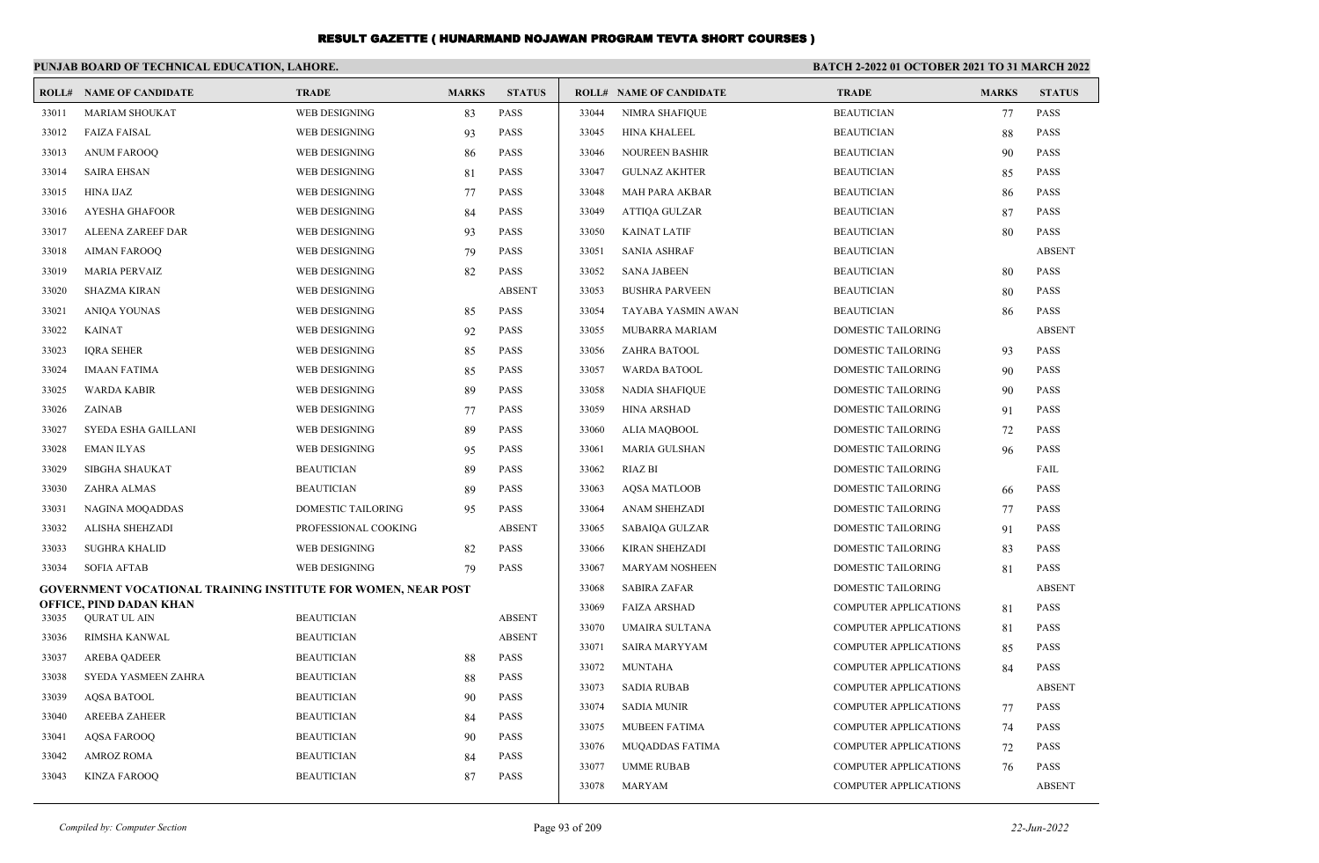|                | PUNJAB BOARD OF TECHNICAL EDUCATION, LAHORE.                  |                      |              |               | <b>BATCH 2-2022 01 OCTOBER 2021 TO 31 MARCH 2022</b> |                                |                              |              |               |  |
|----------------|---------------------------------------------------------------|----------------------|--------------|---------------|------------------------------------------------------|--------------------------------|------------------------------|--------------|---------------|--|
|                | <b>ROLL# NAME OF CANDIDATE</b>                                | <b>TRADE</b>         | <b>MARKS</b> | <b>STATUS</b> |                                                      | <b>ROLL# NAME OF CANDIDATE</b> | <b>TRADE</b>                 | <b>MARKS</b> | <b>STATUS</b> |  |
| 33011          | <b>MARIAM SHOUKAT</b>                                         | WEB DESIGNING        | 83           | <b>PASS</b>   | 33044                                                | <b>NIMRA SHAFIQUE</b>          | <b>BEAUTICIAN</b>            | 77           | PASS          |  |
| 33012          | <b>FAIZA FAISAL</b>                                           | WEB DESIGNING        | 93           | PASS          | 33045                                                | <b>HINA KHALEEL</b>            | <b>BEAUTICIAN</b>            | 88           | <b>PASS</b>   |  |
| 33013          | <b>ANUM FAROOQ</b>                                            | WEB DESIGNING        | -86          | <b>PASS</b>   | 33046                                                | <b>NOUREEN BASHIR</b>          | <b>BEAUTICIAN</b>            | 90           | <b>PASS</b>   |  |
| 33014          | <b>SAIRA EHSAN</b>                                            | WEB DESIGNING        | 81           | <b>PASS</b>   | 33047                                                | <b>GULNAZ AKHTER</b>           | <b>BEAUTICIAN</b>            | 85           | <b>PASS</b>   |  |
| 33015          | <b>HINA IJAZ</b>                                              | WEB DESIGNING        | 77           | PASS          | 33048                                                | MAH PARA AKBAR                 | <b>BEAUTICIAN</b>            | 86           | <b>PASS</b>   |  |
| 33016          | <b>AYESHA GHAFOOR</b>                                         | WEB DESIGNING        | 84           | <b>PASS</b>   | 33049                                                | ATTIQA GULZAR                  | <b>BEAUTICIAN</b>            | 87           | <b>PASS</b>   |  |
| 33017          | ALEENA ZAREEF DAR                                             | WEB DESIGNING        | 93           | <b>PASS</b>   | 33050                                                | <b>KAINAT LATIF</b>            | <b>BEAUTICIAN</b>            | 80           | <b>PASS</b>   |  |
| 33018          | <b>AIMAN FAROOO</b>                                           | WEB DESIGNING        | 79           | <b>PASS</b>   | 33051                                                | <b>SANIA ASHRAF</b>            | <b>BEAUTICIAN</b>            |              | <b>ABSENT</b> |  |
| 33019          | <b>MARIA PERVAIZ</b>                                          | WEB DESIGNING        | 82           | PASS          | 33052                                                | <b>SANA JABEEN</b>             | <b>BEAUTICIAN</b>            | 80           | <b>PASS</b>   |  |
| 33020          | <b>SHAZMA KIRAN</b>                                           | WEB DESIGNING        |              | <b>ABSENT</b> | 33053                                                | <b>BUSHRA PARVEEN</b>          | <b>BEAUTICIAN</b>            | 80           | <b>PASS</b>   |  |
| 33021          | ANIQA YOUNAS                                                  | WEB DESIGNING        | 85           | <b>PASS</b>   | 33054                                                | TAYABA YASMIN AWAN             | <b>BEAUTICIAN</b>            | 86           | <b>PASS</b>   |  |
| 33022          | <b>KAINAT</b>                                                 | WEB DESIGNING        | 92           | PASS          | 33055                                                | MUBARRA MARIAM                 | DOMESTIC TAILORING           |              | <b>ABSENT</b> |  |
| 33023          | <b>IQRA SEHER</b>                                             | WEB DESIGNING        | 85           | <b>PASS</b>   | 33056                                                | ZAHRA BATOOL                   | DOMESTIC TAILORING           | 93           | <b>PASS</b>   |  |
| 33024          | <b>IMAAN FATIMA</b>                                           | WEB DESIGNING        | 85           | <b>PASS</b>   | 33057                                                | <b>WARDA BATOOL</b>            | <b>DOMESTIC TAILORING</b>    | 90           | <b>PASS</b>   |  |
| 33025          | <b>WARDA KABIR</b>                                            | WEB DESIGNING        | 89           | <b>PASS</b>   | 33058                                                | <b>NADIA SHAFIQUE</b>          | <b>DOMESTIC TAILORING</b>    | 90           | <b>PASS</b>   |  |
| 33026          | ZAINAB                                                        | WEB DESIGNING        | 77           | <b>PASS</b>   | 33059                                                | <b>HINA ARSHAD</b>             | DOMESTIC TAILORING           | 91           | <b>PASS</b>   |  |
| 33027          | SYEDA ESHA GAILLANI                                           | WEB DESIGNING        | 89           | <b>PASS</b>   | 33060                                                | ALIA MAQBOOL                   | DOMESTIC TAILORING           | 72           | <b>PASS</b>   |  |
| 33028          | <b>EMAN ILYAS</b>                                             | WEB DESIGNING        | 95           | <b>PASS</b>   | 33061                                                | <b>MARIA GULSHAN</b>           | <b>DOMESTIC TAILORING</b>    | 96           | <b>PASS</b>   |  |
| 33029          | <b>SIBGHA SHAUKAT</b>                                         | <b>BEAUTICIAN</b>    | 89           | <b>PASS</b>   | 33062                                                | <b>RIAZ BI</b>                 | <b>DOMESTIC TAILORING</b>    |              | FAIL          |  |
| 33030          | ZAHRA ALMAS                                                   | <b>BEAUTICIAN</b>    | 89           | PASS          | 33063                                                | <b>AQSA MATLOOB</b>            | DOMESTIC TAILORING           | 66           | PASS          |  |
| 33031          | NAGINA MOQADDAS                                               | DOMESTIC TAILORING   | 95           | <b>PASS</b>   | 33064                                                | ANAM SHEHZADI                  | DOMESTIC TAILORING           | 77           | <b>PASS</b>   |  |
| 33032          | <b>ALISHA SHEHZADI</b>                                        | PROFESSIONAL COOKING |              | <b>ABSENT</b> | 33065                                                | SABAIQA GULZAR                 | <b>DOMESTIC TAILORING</b>    | 91           | <b>PASS</b>   |  |
| 33033          | <b>SUGHRA KHALID</b>                                          | WEB DESIGNING        | 82           | <b>PASS</b>   | 33066                                                | KIRAN SHEHZADI                 | DOMESTIC TAILORING           | 83           | <b>PASS</b>   |  |
| 33034          | <b>SOFIA AFTAB</b>                                            | WEB DESIGNING        | 79           | <b>PASS</b>   | 33067                                                | MARYAM NOSHEEN                 | DOMESTIC TAILORING           | 81           | PASS          |  |
|                | GOVERNMENT VOCATIONAL TRAINING INSTITUTE FOR WOMEN, NEAR POST |                      |              |               | 33068                                                | <b>SABIRA ZAFAR</b>            | DOMESTIC TAILORING           |              | <b>ABSENT</b> |  |
| 33035          | OFFICE, PIND DADAN KHAN<br><b>QURAT UL AIN</b>                | <b>BEAUTICIAN</b>    |              | <b>ABSENT</b> | 33069                                                | <b>FAIZA ARSHAD</b>            | <b>COMPUTER APPLICATIONS</b> | 81           | <b>PASS</b>   |  |
| 33036          | RIMSHA KANWAL                                                 | <b>BEAUTICIAN</b>    |              | <b>ABSENT</b> | 33070                                                | UMAIRA SULTANA                 | <b>COMPUTER APPLICATIONS</b> | 81           | <b>PASS</b>   |  |
| 33037          | <b>AREBA QADEER</b>                                           | <b>BEAUTICIAN</b>    | 88           | <b>PASS</b>   | 33071                                                | <b>SAIRA MARYYAM</b>           | <b>COMPUTER APPLICATIONS</b> | 85           | <b>PASS</b>   |  |
| 33038          | SYEDA YASMEEN ZAHRA                                           | <b>BEAUTICIAN</b>    | 88           | <b>PASS</b>   | 33072                                                | <b>MUNTAHA</b>                 | <b>COMPUTER APPLICATIONS</b> | 84           | <b>PASS</b>   |  |
| 33039          | <b>AOSA BATOOL</b>                                            | <b>BEAUTICIAN</b>    |              | <b>PASS</b>   | 33073                                                | <b>SADIA RUBAB</b>             | <b>COMPUTER APPLICATIONS</b> |              | <b>ABSENT</b> |  |
|                |                                                               | <b>BEAUTICIAN</b>    | 90           | <b>PASS</b>   | 33074                                                | <b>SADIA MUNIR</b>             | <b>COMPUTER APPLICATIONS</b> | 77           | <b>PASS</b>   |  |
| 33040<br>33041 | AREEBA ZAHEER<br><b>AQSA FAROOQ</b>                           | <b>BEAUTICIAN</b>    | 84           | PASS          | 33075                                                | <b>MUBEEN FATIMA</b>           | <b>COMPUTER APPLICATIONS</b> | 74           | <b>PASS</b>   |  |
| 33042          | <b>AMROZ ROMA</b>                                             | <b>BEAUTICIAN</b>    | 90           | <b>PASS</b>   | 33076                                                | <b>MUQADDAS FATIMA</b>         | <b>COMPUTER APPLICATIONS</b> | 72           | <b>PASS</b>   |  |
| 33043          | <b>KINZA FAROOO</b>                                           | <b>BEAUTICIAN</b>    | 84<br>87     | <b>PASS</b>   | 33077                                                | <b>UMME RUBAB</b>              | <b>COMPUTER APPLICATIONS</b> | 76           | <b>PASS</b>   |  |
|                |                                                               |                      |              |               | 33078                                                | <b>MARYAM</b>                  | <b>COMPUTER APPLICATIONS</b> |              | <b>ABSENT</b> |  |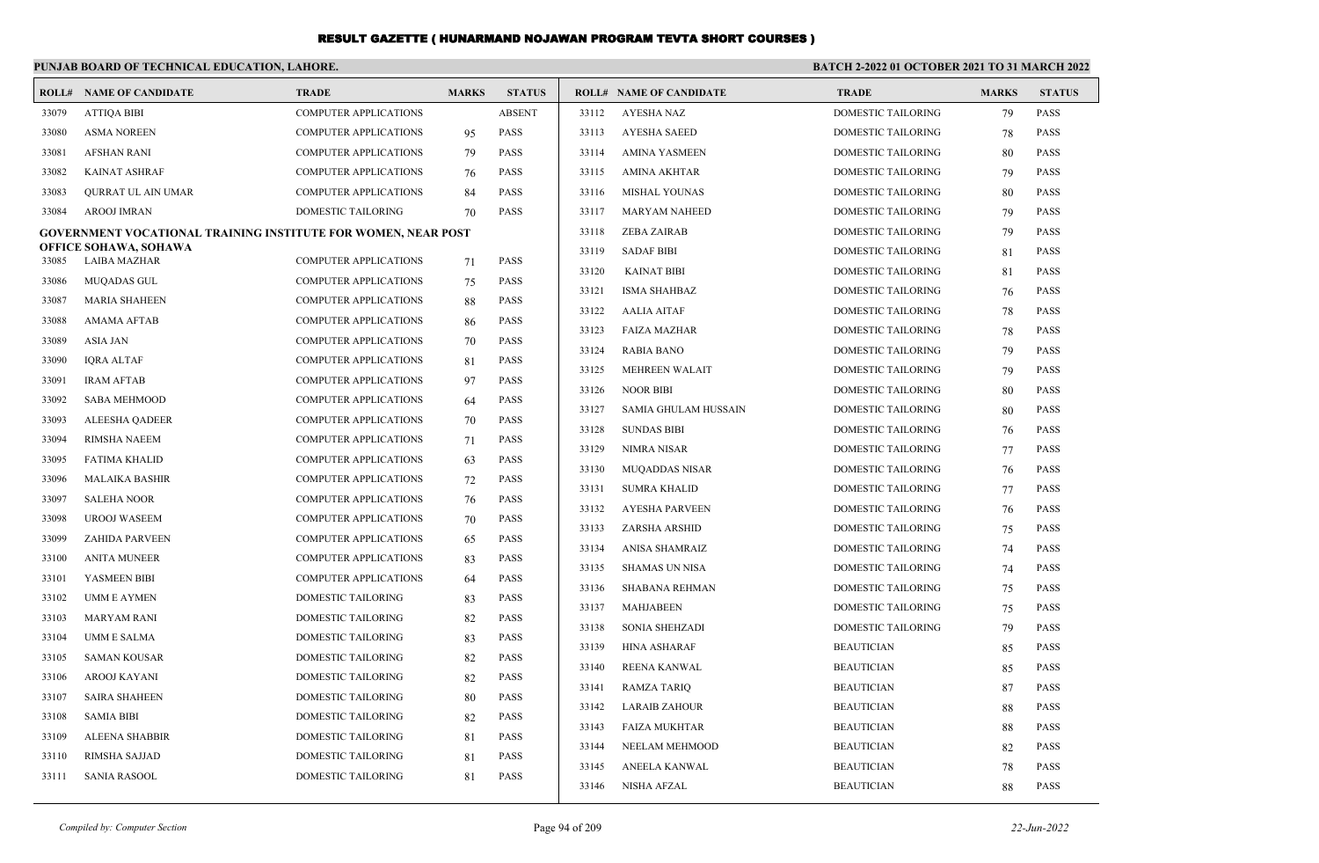|                | PUNJAB BOARD OF TECHNICAL EDUCATION, LAHORE.                  |                                                              |              |                            | <b>BATCH 2-2022 01 OCTOBER 2021 TO 31 MARCH 2022</b> |                                |                           |              |               |
|----------------|---------------------------------------------------------------|--------------------------------------------------------------|--------------|----------------------------|------------------------------------------------------|--------------------------------|---------------------------|--------------|---------------|
|                | <b>ROLL# NAME OF CANDIDATE</b>                                | <b>TRADE</b>                                                 | <b>MARKS</b> | <b>STATUS</b>              |                                                      | <b>ROLL# NAME OF CANDIDATE</b> | <b>TRADE</b>              | <b>MARKS</b> | <b>STATUS</b> |
| 33079          | <b>ATTIQA BIBI</b>                                            | <b>COMPUTER APPLICATIONS</b>                                 |              | <b>ABSENT</b>              | 33112                                                | AYESHA NAZ                     | DOMESTIC TAILORING        | 79           | <b>PASS</b>   |
| 33080          | <b>ASMA NOREEN</b>                                            | <b>COMPUTER APPLICATIONS</b>                                 | 95           | <b>PASS</b>                | 33113                                                | <b>AYESHA SAEED</b>            | <b>DOMESTIC TAILORING</b> | 78           | <b>PASS</b>   |
| 33081          | <b>AFSHAN RANI</b>                                            | <b>COMPUTER APPLICATIONS</b>                                 | 79           | <b>PASS</b>                | 33114                                                | <b>AMINA YASMEEN</b>           | DOMESTIC TAILORING        | 80           | PASS          |
| 33082          | <b>KAINAT ASHRAF</b>                                          | <b>COMPUTER APPLICATIONS</b>                                 | 76           | <b>PASS</b>                | 33115                                                | <b>AMINA AKHTAR</b>            | DOMESTIC TAILORING        | 79           | <b>PASS</b>   |
| 33083          | QURRAT UL AIN UMAR                                            | <b>COMPUTER APPLICATIONS</b>                                 | 84           | <b>PASS</b>                | 33116                                                | MISHAL YOUNAS                  | DOMESTIC TAILORING        | 80           | PASS          |
| 33084          | AROOJ IMRAN                                                   | DOMESTIC TAILORING                                           | 70           | <b>PASS</b>                | 33117                                                | <b>MARYAM NAHEED</b>           | DOMESTIC TAILORING        | 79           | <b>PASS</b>   |
|                | GOVERNMENT VOCATIONAL TRAINING INSTITUTE FOR WOMEN, NEAR POST |                                                              |              |                            | 33118                                                | <b>ZEBA ZAIRAB</b>             | DOMESTIC TAILORING        | 79           | <b>PASS</b>   |
| 33085          | OFFICE SOHAWA, SOHAWA<br><b>LAIBA MAZHAR</b>                  | <b>COMPUTER APPLICATIONS</b>                                 | 71           | <b>PASS</b>                | 33119                                                | <b>SADAF BIBI</b>              | DOMESTIC TAILORING        | 81           | <b>PASS</b>   |
| 33086          | MUQADAS GUL                                                   | <b>COMPUTER APPLICATIONS</b>                                 |              | <b>PASS</b>                | 33120                                                | KAINAT BIBI                    | DOMESTIC TAILORING        | 81           | <b>PASS</b>   |
| 33087          | <b>MARIA SHAHEEN</b>                                          | <b>COMPUTER APPLICATIONS</b>                                 | 75           | <b>PASS</b>                | 33121                                                | <b>ISMA SHAHBAZ</b>            | DOMESTIC TAILORING        | 76           | <b>PASS</b>   |
| 33088          | AMAMA AFTAB                                                   |                                                              | 88           | <b>PASS</b>                | 33122                                                | AALIA AITAF                    | DOMESTIC TAILORING        | 78           | PASS          |
|                |                                                               | <b>COMPUTER APPLICATIONS</b>                                 | 86           |                            | 33123                                                | <b>FAIZA MAZHAR</b>            | DOMESTIC TAILORING        | 78           | <b>PASS</b>   |
| 33089<br>33090 | <b>ASIA JAN</b>                                               | <b>COMPUTER APPLICATIONS</b>                                 | 70           | <b>PASS</b><br><b>PASS</b> | 33124                                                | RABIA BANO                     | DOMESTIC TAILORING        | 79           | <b>PASS</b>   |
|                | IQRA ALTAF                                                    | <b>COMPUTER APPLICATIONS</b>                                 | 81           |                            | 33125                                                | <b>MEHREEN WALAIT</b>          | DOMESTIC TAILORING        | 79           | <b>PASS</b>   |
| 33091<br>33092 | <b>IRAM AFTAB</b><br><b>SABA MEHMOOD</b>                      | <b>COMPUTER APPLICATIONS</b><br><b>COMPUTER APPLICATIONS</b> | 97           | <b>PASS</b><br><b>PASS</b> | 33126                                                | <b>NOOR BIBI</b>               | DOMESTIC TAILORING        | 80           | <b>PASS</b>   |
|                |                                                               | <b>COMPUTER APPLICATIONS</b>                                 | 64           | <b>PASS</b>                | 33127                                                | SAMIA GHULAM HUSSAIN           | DOMESTIC TAILORING        | 80           | PASS          |
| 33093          | ALEESHA QADEER                                                |                                                              | 70           |                            | 33128                                                | <b>SUNDAS BIBI</b>             | DOMESTIC TAILORING        | 76           | PASS          |
| 33094<br>33095 | RIMSHA NAEEM<br><b>FATIMA KHALID</b>                          | <b>COMPUTER APPLICATIONS</b>                                 | 71           | <b>PASS</b><br><b>PASS</b> | 33129                                                | NIMRA NISAR                    | DOMESTIC TAILORING        | 77           | <b>PASS</b>   |
|                |                                                               | <b>COMPUTER APPLICATIONS</b>                                 | 63           | <b>PASS</b>                | 33130                                                | MUQADDAS NISAR                 | DOMESTIC TAILORING        | 76           | PASS          |
| 33096<br>33097 | MALAIKA BASHIR<br><b>SALEHA NOOR</b>                          | <b>COMPUTER APPLICATIONS</b><br><b>COMPUTER APPLICATIONS</b> | 72           | <b>PASS</b>                | 33131                                                | <b>SUMRA KHALID</b>            | DOMESTIC TAILORING        | 77           | <b>PASS</b>   |
| 33098          | <b>UROOJ WASEEM</b>                                           | <b>COMPUTER APPLICATIONS</b>                                 | 76           | <b>PASS</b>                | 33132                                                | <b>AYESHA PARVEEN</b>          | DOMESTIC TAILORING        | 76           | <b>PASS</b>   |
| 33099          |                                                               | <b>COMPUTER APPLICATIONS</b>                                 | 70           | <b>PASS</b>                | 33133                                                | ZARSHA ARSHID                  | DOMESTIC TAILORING        | 75           | <b>PASS</b>   |
|                | ZAHIDA PARVEEN                                                |                                                              | 65           |                            | 33134                                                | ANISA SHAMRAIZ                 | DOMESTIC TAILORING        | 74           | <b>PASS</b>   |
| 33100          | <b>ANITA MUNEER</b><br>YASMEEN BIBI                           | <b>COMPUTER APPLICATIONS</b>                                 | 83           | <b>PASS</b>                | 33135                                                | SHAMAS UN NISA                 | DOMESTIC TAILORING        | 74           | <b>PASS</b>   |
| 33101          |                                                               | <b>COMPUTER APPLICATIONS</b>                                 | 64           | <b>PASS</b>                | 33136                                                | SHABANA REHMAN                 | DOMESTIC TAILORING        | 75           | <b>PASS</b>   |
| 33102          | UMM E AYMEN                                                   | DOMESTIC TAILORING                                           | 83           | <b>PASS</b>                | 33137                                                | MAHJABEEN                      | DOMESTIC TAILORING        | 75           | <b>PASS</b>   |
| 33103          | MARYAM RANI                                                   | DOMESTIC TAILORING<br><b>DOMESTIC TAILORING</b>              | 82           | <b>PASS</b><br><b>PASS</b> | 33138                                                | SONIA SHEHZADI                 | DOMESTIC TAILORING        | 79           | PASS          |
| 33104          | <b>UMM E SALMA</b>                                            |                                                              | 83           |                            | 33139                                                | HINA ASHARAF                   | <b>BEAUTICIAN</b>         | 85           | <b>PASS</b>   |
| 33105          | SAMAN KOUSAR                                                  | DOMESTIC TAILORING                                           | 82           | <b>PASS</b>                | 33140                                                | <b>REENA KANWAL</b>            | <b>BEAUTICIAN</b>         | 85           | <b>PASS</b>   |
| 33106          | AROOJ KAYANI                                                  | <b>DOMESTIC TAILORING</b>                                    | 82           | <b>PASS</b>                | 33141                                                | RAMZA TARIQ                    | <b>BEAUTICIAN</b>         | 87           | <b>PASS</b>   |
| 33107          | <b>SAIRA SHAHEEN</b>                                          | DOMESTIC TAILORING                                           | 80           | PASS                       | 33142                                                | <b>LARAIB ZAHOUR</b>           | <b>BEAUTICIAN</b>         | 88           | PASS          |
| 33108          | <b>SAMIA BIBI</b>                                             | DOMESTIC TAILORING                                           | 82           | PASS                       | 33143                                                | <b>FAIZA MUKHTAR</b>           | <b>BEAUTICIAN</b>         | 88           | PASS          |
| 33109          | ALEENA SHABBIR                                                | DOMESTIC TAILORING                                           | 81           | PASS                       | 33144                                                | NEELAM MEHMOOD                 | <b>BEAUTICIAN</b>         | 82           | PASS          |
| 33110          | RIMSHA SAJJAD                                                 | DOMESTIC TAILORING                                           | 81           | PASS                       | 33145                                                | ANEELA KANWAL                  | <b>BEAUTICIAN</b>         | 78           | <b>PASS</b>   |
| 33111          | SANIA RASOOL                                                  | DOMESTIC TAILORING                                           | 81           | PASS                       | 33146                                                | NISHA AFZAL                    | <b>BEAUTICIAN</b>         | 88           | PASS          |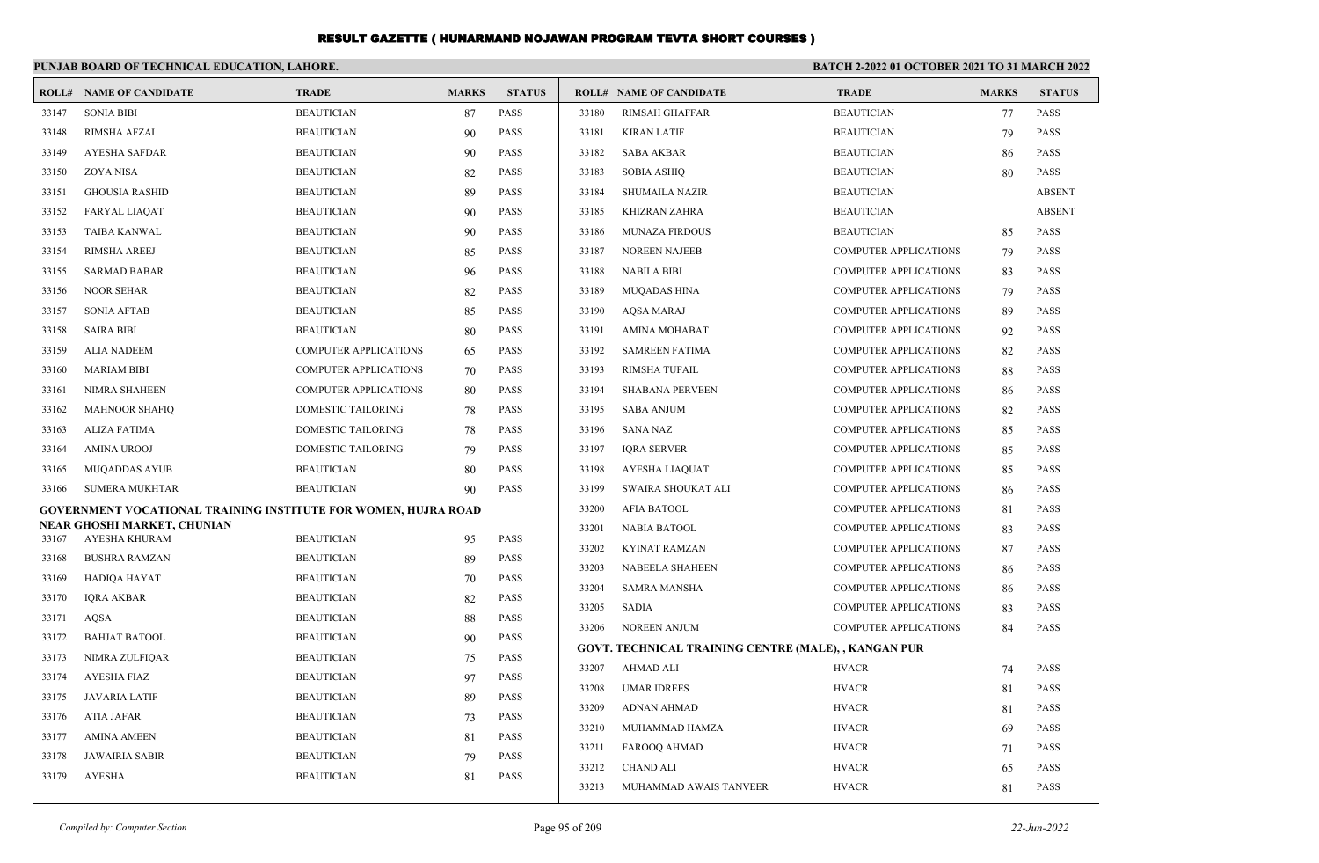|       | PUNJAB BOARD OF TECHNICAL EDUCATION, LAHORE.                   |                              |              |               | BATCH 2-2022 01 OCTOBER 2021 TO 31 MARCH 2022 |                                                      |                              |              |               |
|-------|----------------------------------------------------------------|------------------------------|--------------|---------------|-----------------------------------------------|------------------------------------------------------|------------------------------|--------------|---------------|
|       | <b>ROLL# NAME OF CANDIDATE</b>                                 | <b>TRADE</b>                 | <b>MARKS</b> | <b>STATUS</b> |                                               | <b>ROLL# NAME OF CANDIDATE</b>                       | <b>TRADE</b>                 | <b>MARKS</b> | <b>STATUS</b> |
| 33147 | <b>SONIA BIBI</b>                                              | <b>BEAUTICIAN</b>            | 87           | <b>PASS</b>   | 33180                                         | <b>RIMSAH GHAFFAR</b>                                | <b>BEAUTICIAN</b>            | 77           | <b>PASS</b>   |
| 33148 | <b>RIMSHA AFZAL</b>                                            | <b>BEAUTICIAN</b>            | 90           | <b>PASS</b>   | 33181                                         | <b>KIRAN LATIF</b>                                   | <b>BEAUTICIAN</b>            | 79           | <b>PASS</b>   |
| 33149 | <b>AYESHA SAFDAR</b>                                           | <b>BEAUTICIAN</b>            | 90           | PASS          | 33182                                         | <b>SABA AKBAR</b>                                    | <b>BEAUTICIAN</b>            | 86           | <b>PASS</b>   |
| 33150 | ZOYA NISA                                                      | <b>BEAUTICIAN</b>            | 82           | PASS          | 33183                                         | <b>SOBIA ASHIQ</b>                                   | <b>BEAUTICIAN</b>            | 80           | <b>PASS</b>   |
| 33151 | <b>GHOUSIA RASHID</b>                                          | <b>BEAUTICIAN</b>            | 89           | <b>PASS</b>   | 33184                                         | <b>SHUMAILA NAZIR</b>                                | <b>BEAUTICIAN</b>            |              | <b>ABSENT</b> |
| 33152 | <b>FARYAL LIAQAT</b>                                           | <b>BEAUTICIAN</b>            | 90           | <b>PASS</b>   | 33185                                         | KHIZRAN ZAHRA                                        | <b>BEAUTICIAN</b>            |              | <b>ABSENT</b> |
| 33153 | <b>TAIBA KANWAL</b>                                            | <b>BEAUTICIAN</b>            | 90           | <b>PASS</b>   | 33186                                         | <b>MUNAZA FIRDOUS</b>                                | <b>BEAUTICIAN</b>            | 85           | <b>PASS</b>   |
| 33154 | <b>RIMSHA AREEJ</b>                                            | <b>BEAUTICIAN</b>            | 85           | <b>PASS</b>   | 33187                                         | <b>NOREEN NAJEEB</b>                                 | <b>COMPUTER APPLICATIONS</b> | 79           | <b>PASS</b>   |
| 33155 | <b>SARMAD BABAR</b>                                            | <b>BEAUTICIAN</b>            | 96           | <b>PASS</b>   | 33188                                         | <b>NABILA BIBI</b>                                   | COMPUTER APPLICATIONS        | 83           | <b>PASS</b>   |
| 33156 | <b>NOOR SEHAR</b>                                              | <b>BEAUTICIAN</b>            | 82           | <b>PASS</b>   | 33189                                         | <b>MUQADAS HINA</b>                                  | COMPUTER APPLICATIONS        | 79           | <b>PASS</b>   |
| 33157 | <b>SONIA AFTAB</b>                                             | <b>BEAUTICIAN</b>            | 85           | <b>PASS</b>   | 33190                                         | <b>AQSA MARAJ</b>                                    | COMPUTER APPLICATIONS        | 89           | <b>PASS</b>   |
| 33158 | <b>SAIRA BIBI</b>                                              | <b>BEAUTICIAN</b>            | 80           | <b>PASS</b>   | 33191                                         | <b>AMINA MOHABAT</b>                                 | COMPUTER APPLICATIONS        | 92           | <b>PASS</b>   |
| 33159 | <b>ALIA NADEEM</b>                                             | <b>COMPUTER APPLICATIONS</b> | 65           | <b>PASS</b>   | 33192                                         | <b>SAMREEN FATIMA</b>                                | COMPUTER APPLICATIONS        | 82           | <b>PASS</b>   |
| 33160 | <b>MARIAM BIBI</b>                                             | <b>COMPUTER APPLICATIONS</b> | 70           | <b>PASS</b>   | 33193                                         | <b>RIMSHA TUFAIL</b>                                 | <b>COMPUTER APPLICATIONS</b> | 88           | <b>PASS</b>   |
| 33161 | <b>NIMRA SHAHEEN</b>                                           | <b>COMPUTER APPLICATIONS</b> | 80           | <b>PASS</b>   | 33194                                         | <b>SHABANA PERVEEN</b>                               | <b>COMPUTER APPLICATIONS</b> | 86           | <b>PASS</b>   |
| 33162 | <b>MAHNOOR SHAFIQ</b>                                          | <b>DOMESTIC TAILORING</b>    | 78           | <b>PASS</b>   | 33195                                         | <b>SABA ANJUM</b>                                    | <b>COMPUTER APPLICATIONS</b> | 82           | <b>PASS</b>   |
| 33163 | <b>ALIZA FATIMA</b>                                            | <b>DOMESTIC TAILORING</b>    | 78           | <b>PASS</b>   | 33196                                         | <b>SANA NAZ</b>                                      | <b>COMPUTER APPLICATIONS</b> | 85           | <b>PASS</b>   |
| 33164 | <b>AMINA UROOJ</b>                                             | DOMESTIC TAILORING           | 79           | <b>PASS</b>   | 33197                                         | <b>IQRA SERVER</b>                                   | COMPUTER APPLICATIONS        | 85           | <b>PASS</b>   |
| 33165 | <b>MUQADDAS AYUB</b>                                           | <b>BEAUTICIAN</b>            | 80           | <b>PASS</b>   | 33198                                         | AYESHA LIAQUAT                                       | COMPUTER APPLICATIONS        | 85           | <b>PASS</b>   |
| 33166 | <b>SUMERA MUKHTAR</b>                                          | <b>BEAUTICIAN</b>            | 90           | <b>PASS</b>   | 33199                                         | SWAIRA SHOUKAT ALI                                   | COMPUTER APPLICATIONS        | 86           | <b>PASS</b>   |
|       | GOVERNMENT VOCATIONAL TRAINING INSTITUTE FOR WOMEN, HUJRA ROAD |                              |              |               | 33200                                         | <b>AFIA BATOOL</b>                                   | COMPUTER APPLICATIONS        | 81           | <b>PASS</b>   |
| 33167 | NEAR GHOSHI MARKET, CHUNIAN<br>AYESHA KHURAM                   | <b>BEAUTICIAN</b>            | 95           | <b>PASS</b>   | 33201                                         | <b>NABIA BATOOL</b>                                  | <b>COMPUTER APPLICATIONS</b> | 83           | <b>PASS</b>   |
| 33168 | <b>BUSHRA RAMZAN</b>                                           | <b>BEAUTICIAN</b>            | 89           | <b>PASS</b>   | 33202                                         | <b>KYINAT RAMZAN</b>                                 | <b>COMPUTER APPLICATIONS</b> | 87           | <b>PASS</b>   |
| 33169 | <b>HADIQA HAYAT</b>                                            | <b>BEAUTICIAN</b>            | 70           | <b>PASS</b>   | 33203                                         | <b>NABEELA SHAHEEN</b>                               | <b>COMPUTER APPLICATIONS</b> | 86           | <b>PASS</b>   |
| 33170 | <b>IQRA AKBAR</b>                                              | <b>BEAUTICIAN</b>            | 82           | <b>PASS</b>   | 33204                                         | <b>SAMRA MANSHA</b>                                  | <b>COMPUTER APPLICATIONS</b> | 86           | <b>PASS</b>   |
| 33171 | AQSA                                                           | <b>BEAUTICIAN</b>            | 88           | <b>PASS</b>   | 33205                                         | <b>SADIA</b>                                         | <b>COMPUTER APPLICATIONS</b> | 83           | <b>PASS</b>   |
| 33172 | <b>BAHJAT BATOOL</b>                                           | <b>BEAUTICIAN</b>            | 90           | <b>PASS</b>   | 33206                                         | <b>NOREEN ANJUM</b>                                  | <b>COMPUTER APPLICATIONS</b> | 84           | <b>PASS</b>   |
| 33173 | NIMRA ZULFIQAR                                                 | <b>BEAUTICIAN</b>            | 75           | <b>PASS</b>   |                                               | GOVT. TECHNICAL TRAINING CENTRE (MALE), , KANGAN PUR |                              |              |               |
| 33174 | <b>AYESHA FIAZ</b>                                             | <b>BEAUTICIAN</b>            | 97           | <b>PASS</b>   | 33207                                         | <b>AHMAD ALI</b>                                     | <b>HVACR</b>                 | 74           | <b>PASS</b>   |
| 33175 | <b>JAVARIA LATIF</b>                                           | <b>BEAUTICIAN</b>            | 89           | <b>PASS</b>   | 33208                                         | <b>UMAR IDREES</b>                                   | <b>HVACR</b>                 | 81           | <b>PASS</b>   |
| 33176 | <b>ATIA JAFAR</b>                                              | <b>BEAUTICIAN</b>            | 73           | PASS          | 33209                                         | <b>ADNAN AHMAD</b>                                   | <b>HVACR</b>                 | 81           | <b>PASS</b>   |
| 33177 | <b>AMINA AMEEN</b>                                             | <b>BEAUTICIAN</b>            | 81           | <b>PASS</b>   | 33210                                         | MUHAMMAD HAMZA                                       | <b>HVACR</b>                 | 69           | PASS          |
| 33178 | <b>JAWAIRIA SABIR</b>                                          | <b>BEAUTICIAN</b>            | 79           | <b>PASS</b>   | 33211                                         | <b>FAROOQ AHMAD</b>                                  | <b>HVACR</b>                 | 71           | <b>PASS</b>   |
| 33179 | <b>AYESHA</b>                                                  | <b>BEAUTICIAN</b>            | 81           | <b>PASS</b>   | 33212                                         | <b>CHAND ALI</b>                                     | <b>HVACR</b>                 | 65           | <b>PASS</b>   |
|       |                                                                |                              |              |               | 33213                                         | MUHAMMAD AWAIS TANVEER                               | <b>HVACR</b>                 | 81           | <b>PASS</b>   |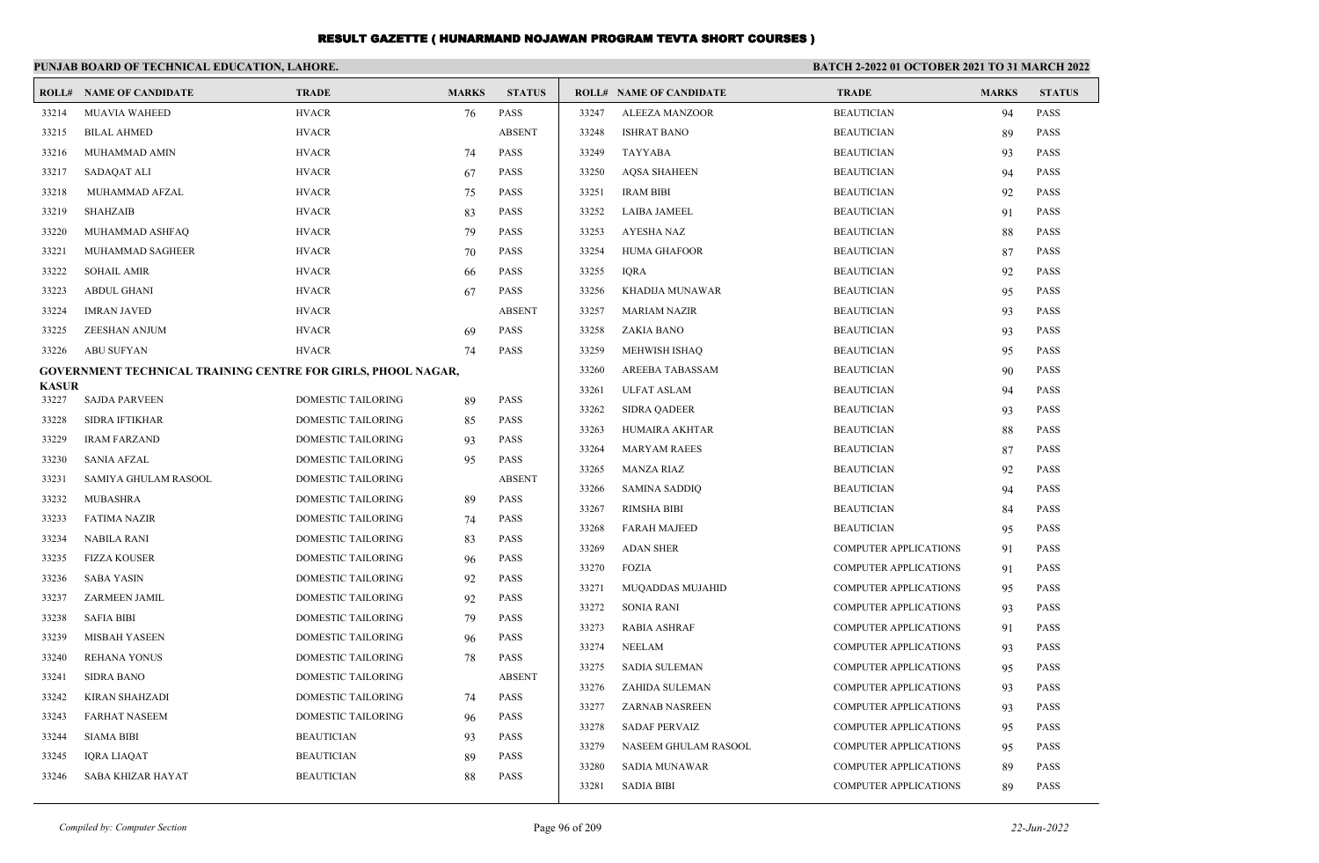|                       | PUNJAB BOARD OF TECHNICAL EDUCATION, LAHORE.                        |                           |              |               | BATCH 2-2022 01 OCTOBER 2021 TO 31 MARCH 2022 |                                |                              |              |               |
|-----------------------|---------------------------------------------------------------------|---------------------------|--------------|---------------|-----------------------------------------------|--------------------------------|------------------------------|--------------|---------------|
|                       | <b>ROLL# NAME OF CANDIDATE</b>                                      | <b>TRADE</b>              | <b>MARKS</b> | <b>STATUS</b> |                                               | <b>ROLL# NAME OF CANDIDATE</b> | <b>TRADE</b>                 | <b>MARKS</b> | <b>STATUS</b> |
| 33214                 | <b>MUAVIA WAHEED</b>                                                | <b>HVACR</b>              | 76           | PASS          | 33247                                         | <b>ALEEZA MANZOOR</b>          | <b>BEAUTICIAN</b>            | 94           | <b>PASS</b>   |
| 33215                 | <b>BILAL AHMED</b>                                                  | <b>HVACR</b>              |              | <b>ABSENT</b> | 33248                                         | <b>ISHRAT BANO</b>             | <b>BEAUTICIAN</b>            | 89           | <b>PASS</b>   |
| 33216                 | MUHAMMAD AMIN                                                       | <b>HVACR</b>              | 74           | <b>PASS</b>   | 33249                                         | <b>TAYYABA</b>                 | <b>BEAUTICIAN</b>            | 93           | <b>PASS</b>   |
| 33217                 | SADAQAT ALI                                                         | <b>HVACR</b>              | 67           | <b>PASS</b>   | 33250                                         | <b>AQSA SHAHEEN</b>            | <b>BEAUTICIAN</b>            | 94           | <b>PASS</b>   |
| 33218                 | MUHAMMAD AFZAL                                                      | <b>HVACR</b>              | 75           | <b>PASS</b>   | 33251                                         | <b>IRAM BIBI</b>               | <b>BEAUTICIAN</b>            | 92           | <b>PASS</b>   |
| 33219                 | <b>SHAHZAIB</b>                                                     | <b>HVACR</b>              | 83           | <b>PASS</b>   | 33252                                         | <b>LAIBA JAMEEL</b>            | <b>BEAUTICIAN</b>            | 91           | <b>PASS</b>   |
| 33220                 | MUHAMMAD ASHFAQ                                                     | <b>HVACR</b>              | 79           | <b>PASS</b>   | 33253                                         | <b>AYESHA NAZ</b>              | <b>BEAUTICIAN</b>            | 88           | <b>PASS</b>   |
| 33221                 | MUHAMMAD SAGHEER                                                    | <b>HVACR</b>              | 70           | <b>PASS</b>   | 33254                                         | <b>HUMA GHAFOOR</b>            | <b>BEAUTICIAN</b>            | 87           | <b>PASS</b>   |
| 33222                 | <b>SOHAIL AMIR</b>                                                  | <b>HVACR</b>              | 66           | <b>PASS</b>   | 33255                                         | <b>IORA</b>                    | <b>BEAUTICIAN</b>            | 92           | <b>PASS</b>   |
| 33223                 | <b>ABDUL GHANI</b>                                                  | <b>HVACR</b>              | 67           | <b>PASS</b>   | 33256                                         | KHADIJA MUNAWAR                | <b>BEAUTICIAN</b>            | 95           | <b>PASS</b>   |
| 33224                 | <b>IMRAN JAVED</b>                                                  | <b>HVACR</b>              |              | <b>ABSENT</b> | 33257                                         | <b>MARIAM NAZIR</b>            | <b>BEAUTICIAN</b>            | 93           | <b>PASS</b>   |
| 33225                 | ZEESHAN ANJUM                                                       | <b>HVACR</b>              | 69           | <b>PASS</b>   | 33258                                         | ZAKIA BANO                     | <b>BEAUTICIAN</b>            | 93           | <b>PASS</b>   |
| 33226                 | <b>ABU SUFYAN</b>                                                   | <b>HVACR</b>              | 74           | <b>PASS</b>   | 33259                                         | MEHWISH ISHAQ                  | <b>BEAUTICIAN</b>            | 95           | <b>PASS</b>   |
|                       | <b>GOVERNMENT TECHNICAL TRAINING CENTRE FOR GIRLS, PHOOL NAGAR,</b> |                           |              |               | 33260                                         | AREEBA TABASSAM                | <b>BEAUTICIAN</b>            | 90           | <b>PASS</b>   |
| <b>KASUR</b><br>33227 | <b>SAJDA PARVEEN</b>                                                | DOMESTIC TAILORING        | 89           | <b>PASS</b>   | 33261                                         | <b>ULFAT ASLAM</b>             | <b>BEAUTICIAN</b>            | 94           | <b>PASS</b>   |
| 33228                 | SIDRA IFTIKHAR                                                      | DOMESTIC TAILORING        | 85           | <b>PASS</b>   | 33262                                         | <b>SIDRA QADEER</b>            | <b>BEAUTICIAN</b>            | 93           | <b>PASS</b>   |
| 33229                 | <b>IRAM FARZAND</b>                                                 | DOMESTIC TAILORING        | 93           | <b>PASS</b>   | 33263                                         | <b>HUMAIRA AKHTAR</b>          | <b>BEAUTICIAN</b>            | 88           | <b>PASS</b>   |
| 33230                 | <b>SANIA AFZAL</b>                                                  | <b>DOMESTIC TAILORING</b> | 95           | <b>PASS</b>   | 33264                                         | <b>MARYAM RAEES</b>            | <b>BEAUTICIAN</b>            | 87           | <b>PASS</b>   |
| 33231                 | SAMIYA GHULAM RASOOL                                                | DOMESTIC TAILORING        |              | <b>ABSENT</b> | 33265                                         | <b>MANZA RIAZ</b>              | <b>BEAUTICIAN</b>            | 92           | <b>PASS</b>   |
| 33232                 | <b>MUBASHRA</b>                                                     | DOMESTIC TAILORING        | -89          | <b>PASS</b>   | 33266                                         | <b>SAMINA SADDIO</b>           | <b>BEAUTICIAN</b>            | 94           | <b>PASS</b>   |
| 33233                 | <b>FATIMA NAZIR</b>                                                 | <b>DOMESTIC TAILORING</b> | 74           | <b>PASS</b>   | 33267                                         | <b>RIMSHA BIBI</b>             | <b>BEAUTICIAN</b>            | 84           | <b>PASS</b>   |
| 33234                 | <b>NABILA RANI</b>                                                  | DOMESTIC TAILORING        | 83           | <b>PASS</b>   | 33268                                         | <b>FARAH MAJEED</b>            | <b>BEAUTICIAN</b>            | 95           | <b>PASS</b>   |
| 33235                 | <b>FIZZA KOUSER</b>                                                 | <b>DOMESTIC TAILORING</b> | 96           | <b>PASS</b>   | 33269                                         | <b>ADAN SHER</b>               | <b>COMPUTER APPLICATIONS</b> | 91           | <b>PASS</b>   |
| 33236                 | <b>SABA YASIN</b>                                                   | <b>DOMESTIC TAILORING</b> | 92           | <b>PASS</b>   | 33270                                         | <b>FOZIA</b>                   | <b>COMPUTER APPLICATIONS</b> | 91           | <b>PASS</b>   |
| 33237                 | <b>ZARMEEN JAMIL</b>                                                | DOMESTIC TAILORING        | 92           | <b>PASS</b>   | 33271                                         | MUQADDAS MUJAHID               | <b>COMPUTER APPLICATIONS</b> | 95           | <b>PASS</b>   |
| 33238                 | <b>SAFIA BIBI</b>                                                   | DOMESTIC TAILORING        | 79           | <b>PASS</b>   | 33272                                         | <b>SONIA RANI</b>              | <b>COMPUTER APPLICATIONS</b> | 93           | <b>PASS</b>   |
| 33239                 | <b>MISBAH YASEEN</b>                                                | DOMESTIC TAILORING        | 96           | <b>PASS</b>   | 33273                                         | <b>RABIA ASHRAF</b>            | <b>COMPUTER APPLICATIONS</b> | 91           | <b>PASS</b>   |
| 33240                 | <b>REHANA YONUS</b>                                                 | DOMESTIC TAILORING        | 78           | <b>PASS</b>   | 33274                                         | <b>NEELAM</b>                  | <b>COMPUTER APPLICATIONS</b> | 93           | <b>PASS</b>   |
| 33241                 | <b>SIDRA BANO</b>                                                   | DOMESTIC TAILORING        |              | <b>ABSENT</b> | 33275                                         | <b>SADIA SULEMAN</b>           | <b>COMPUTER APPLICATIONS</b> | 95           | <b>PASS</b>   |
| 33242                 | KIRAN SHAHZADI                                                      | DOMESTIC TAILORING        | 74           | <b>PASS</b>   | 33276                                         | ZAHIDA SULEMAN                 | <b>COMPUTER APPLICATIONS</b> | 93           | <b>PASS</b>   |
| 33243                 | <b>FARHAT NASEEM</b>                                                | <b>DOMESTIC TAILORING</b> | 96           | <b>PASS</b>   | 33277                                         | ZARNAB NASREEN                 | <b>COMPUTER APPLICATIONS</b> | 93           | <b>PASS</b>   |
| 33244                 | <b>SIAMA BIBI</b>                                                   | <b>BEAUTICIAN</b>         | 93           | <b>PASS</b>   | 33278                                         | <b>SADAF PERVAIZ</b>           | <b>COMPUTER APPLICATIONS</b> | 95           | <b>PASS</b>   |
| 33245                 | IQRA LIAQAT                                                         | <b>BEAUTICIAN</b>         | 89           | <b>PASS</b>   | 33279                                         | NASEEM GHULAM RASOOL           | <b>COMPUTER APPLICATIONS</b> | 95           | <b>PASS</b>   |
| 33246                 | SABA KHIZAR HAYAT                                                   | <b>BEAUTICIAN</b>         | 88           | <b>PASS</b>   | 33280                                         | <b>SADIA MUNAWAR</b>           | <b>COMPUTER APPLICATIONS</b> | 89           | <b>PASS</b>   |
|                       |                                                                     |                           |              |               | 33281                                         | <b>SADIA BIBI</b>              | <b>COMPUTER APPLICATIONS</b> | 89           | <b>PASS</b>   |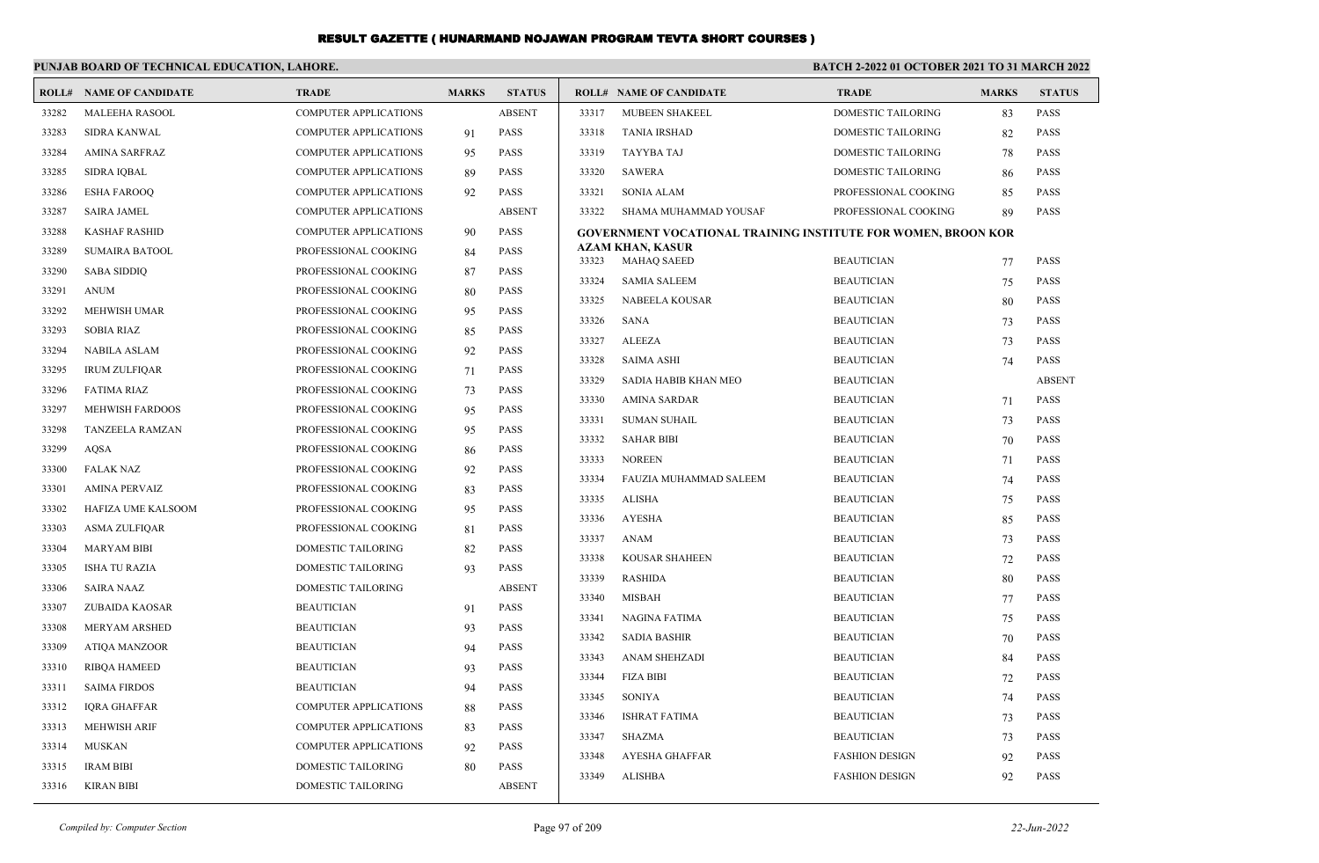|       | PUNJAB BOARD OF TECHNICAL EDUCATION, LAHORE. |                              |              |               | <b>BATCH 2-2022 01 OCTOBER 2021 TO 31 MARCH 2022</b> |                                                                      |                                        |              |                              |
|-------|----------------------------------------------|------------------------------|--------------|---------------|------------------------------------------------------|----------------------------------------------------------------------|----------------------------------------|--------------|------------------------------|
|       | <b>ROLL# NAME OF CANDIDATE</b>               | <b>TRADE</b>                 | <b>MARKS</b> | <b>STATUS</b> |                                                      | <b>ROLL# NAME OF CANDIDATE</b>                                       | <b>TRADE</b>                           | <b>MARKS</b> | <b>STATUS</b>                |
| 33282 | <b>MALEEHA RASOOL</b>                        | <b>COMPUTER APPLICATIONS</b> |              | <b>ABSENT</b> | 33317                                                | <b>MUBEEN SHAKEEL</b>                                                | <b>DOMESTIC TAILORING</b>              | 83           | <b>PASS</b>                  |
| 33283 | <b>SIDRA KANWAL</b>                          | <b>COMPUTER APPLICATIONS</b> | 91           | <b>PASS</b>   | 33318                                                | <b>TANIA IRSHAD</b>                                                  | DOMESTIC TAILORING                     | 82           | PASS                         |
| 33284 | AMINA SARFRAZ                                | <b>COMPUTER APPLICATIONS</b> | 95           | <b>PASS</b>   | 33319                                                | TAYYBA TAJ                                                           | DOMESTIC TAILORING                     | 78           | PASS                         |
| 33285 | <b>SIDRA IQBAL</b>                           | <b>COMPUTER APPLICATIONS</b> | 89           | <b>PASS</b>   | 33320                                                | <b>SAWERA</b>                                                        | DOMESTIC TAILORING                     | 86           | PASS                         |
| 33286 | <b>ESHA FAROOQ</b>                           | <b>COMPUTER APPLICATIONS</b> | 92           | <b>PASS</b>   | 33321                                                | <b>SONIA ALAM</b>                                                    | PROFESSIONAL COOKING                   | 85           | PASS                         |
| 33287 | <b>SAIRA JAMEL</b>                           | <b>COMPUTER APPLICATIONS</b> |              | <b>ABSENT</b> | 33322                                                | SHAMA MUHAMMAD YOUSAF                                                | PROFESSIONAL COOKING                   | 89           | PASS                         |
| 33288 | <b>KASHAF RASHID</b>                         | <b>COMPUTER APPLICATIONS</b> | 90           | <b>PASS</b>   |                                                      | <b>GOVERNMENT VOCATIONAL TRAINING INSTITUTE FOR WOMEN, BROON KOR</b> |                                        |              |                              |
| 33289 | <b>SUMAIRA BATOOL</b>                        | PROFESSIONAL COOKING         | 84           | <b>PASS</b>   | 33323                                                | <b>AZAM KHAN, KASUR</b><br><b>MAHAQ SAEED</b>                        | <b>BEAUTICIAN</b>                      | 77           | <b>PASS</b>                  |
| 33290 | <b>SABA SIDDIQ</b>                           | PROFESSIONAL COOKING         | 87           | PASS          | 33324                                                | <b>SAMIA SALEEM</b>                                                  | <b>BEAUTICIAN</b>                      | 75           | <b>PASS</b>                  |
| 33291 | <b>ANUM</b>                                  | PROFESSIONAL COOKING         | 80           | <b>PASS</b>   | 33325                                                |                                                                      |                                        |              | PASS                         |
| 33292 | <b>MEHWISH UMAR</b>                          | PROFESSIONAL COOKING         | 95           | <b>PASS</b>   | 33326                                                | NABEELA KOUSAR<br><b>SANA</b>                                        | <b>BEAUTICIAN</b><br><b>BEAUTICIAN</b> | 80           | PASS                         |
| 33293 | <b>SOBIA RIAZ</b>                            | PROFESSIONAL COOKING         | 85           | <b>PASS</b>   | 33327                                                | <b>ALEEZA</b>                                                        | <b>BEAUTICIAN</b>                      | 73           | <b>PASS</b>                  |
| 33294 | <b>NABILA ASLAM</b>                          | PROFESSIONAL COOKING         | 92           | <b>PASS</b>   | 33328                                                | <b>SAIMA ASHI</b>                                                    | <b>BEAUTICIAN</b>                      | 73           | PASS                         |
| 33295 | <b>IRUM ZULFIOAR</b>                         | PROFESSIONAL COOKING         | 71           | <b>PASS</b>   |                                                      |                                                                      |                                        | 74           |                              |
| 33296 | <b>FATIMA RIAZ</b>                           | PROFESSIONAL COOKING         | 73           | PASS          | 33329<br>33330                                       | SADIA HABIB KHAN MEO                                                 | <b>BEAUTICIAN</b>                      |              | <b>ABSENT</b><br><b>PASS</b> |
| 33297 | <b>MEHWISH FARDOOS</b>                       | PROFESSIONAL COOKING         | 95           | <b>PASS</b>   |                                                      | <b>AMINA SARDAR</b>                                                  | <b>BEAUTICIAN</b>                      | 71           |                              |
| 33298 | <b>TANZEELA RAMZAN</b>                       | PROFESSIONAL COOKING         | 95           | <b>PASS</b>   | 33331                                                | <b>SUMAN SUHAIL</b>                                                  | <b>BEAUTICIAN</b>                      | 73           | <b>PASS</b>                  |
| 33299 | <b>AQSA</b>                                  | PROFESSIONAL COOKING         | 86           | <b>PASS</b>   | 33332<br>33333                                       | <b>SAHAR BIBI</b>                                                    | <b>BEAUTICIAN</b>                      | 70           | PASS<br><b>PASS</b>          |
| 33300 | <b>FALAK NAZ</b>                             | PROFESSIONAL COOKING         | 92           | <b>PASS</b>   |                                                      | <b>NOREEN</b>                                                        | <b>BEAUTICIAN</b>                      | 71           |                              |
| 33301 | <b>AMINA PERVAIZ</b>                         | PROFESSIONAL COOKING         | 83           | <b>PASS</b>   | 33334                                                | <b>FAUZIA MUHAMMAD SALEEM</b>                                        | <b>BEAUTICIAN</b>                      | 74           | <b>PASS</b>                  |
| 33302 | HAFIZA UME KALSOOM                           | PROFESSIONAL COOKING         | 95           | <b>PASS</b>   | 33335                                                | <b>ALISHA</b>                                                        | <b>BEAUTICIAN</b>                      | 75           | <b>PASS</b>                  |
| 33303 | ASMA ZULFIQAR                                | PROFESSIONAL COOKING         | 81           | <b>PASS</b>   | 33336<br>33337                                       | <b>AYESHA</b><br><b>ANAM</b>                                         | <b>BEAUTICIAN</b>                      | 85           | <b>PASS</b><br><b>PASS</b>   |
| 33304 | <b>MARYAM BIBI</b>                           | <b>DOMESTIC TAILORING</b>    | 82           | <b>PASS</b>   |                                                      |                                                                      | <b>BEAUTICIAN</b>                      | 73           | <b>PASS</b>                  |
| 33305 | <b>ISHA TU RAZIA</b>                         | <b>DOMESTIC TAILORING</b>    | 93           | <b>PASS</b>   | 33338<br>33339                                       | <b>KOUSAR SHAHEEN</b>                                                | <b>BEAUTICIAN</b>                      | 72           | <b>PASS</b>                  |
| 33306 | <b>SAIRA NAAZ</b>                            | <b>DOMESTIC TAILORING</b>    |              | <b>ABSENT</b> |                                                      | <b>RASHIDA</b><br><b>MISBAH</b>                                      | <b>BEAUTICIAN</b>                      | 80           |                              |
| 33307 | ZUBAIDA KAOSAR                               | <b>BEAUTICIAN</b>            | 91           | <b>PASS</b>   | 33340                                                | <b>NAGINA FATIMA</b>                                                 | <b>BEAUTICIAN</b><br><b>BEAUTICIAN</b> | 77           | <b>PASS</b>                  |
| 33308 | <b>MERYAM ARSHED</b>                         | <b>BEAUTICIAN</b>            | 93           | <b>PASS</b>   | 33341                                                |                                                                      |                                        | 75           | <b>PASS</b>                  |
| 33309 | <b>ATIQA MANZOOR</b>                         | <b>BEAUTICIAN</b>            | 94           | <b>PASS</b>   | 33342                                                | <b>SADIA BASHIR</b>                                                  | <b>BEAUTICIAN</b>                      | 70           | PASS                         |
| 33310 | <b>RIBQA HAMEED</b>                          | <b>BEAUTICIAN</b>            | 93           | PASS          | 33343                                                | ANAM SHEHZADI                                                        | <b>BEAUTICIAN</b>                      | 84           | <b>PASS</b>                  |
| 33311 | <b>SAIMA FIRDOS</b>                          | <b>BEAUTICIAN</b>            | 94           | <b>PASS</b>   | 33344                                                | <b>FIZA BIBI</b>                                                     | <b>BEAUTICIAN</b>                      | 72           | PASS                         |
| 33312 | <b>IQRA GHAFFAR</b>                          | COMPUTER APPLICATIONS        | 88           | PASS          | 33345                                                | <b>SONIYA</b>                                                        | <b>BEAUTICIAN</b>                      | 74           | PASS                         |
| 33313 | <b>MEHWISH ARIF</b>                          | <b>COMPUTER APPLICATIONS</b> | 83           | <b>PASS</b>   | 33346                                                | <b>ISHRAT FATIMA</b>                                                 | <b>BEAUTICIAN</b>                      | 73           | <b>PASS</b>                  |
| 33314 | <b>MUSKAN</b>                                | <b>COMPUTER APPLICATIONS</b> | 92           | <b>PASS</b>   | 33347                                                | <b>SHAZMA</b>                                                        | <b>BEAUTICIAN</b>                      | 73           | <b>PASS</b>                  |
| 33315 | <b>IRAM BIBI</b>                             | <b>DOMESTIC TAILORING</b>    | 80           | <b>PASS</b>   | 33348                                                | <b>AYESHA GHAFFAR</b>                                                | <b>FASHION DESIGN</b>                  | 92           | PASS                         |
| 33316 | KIRAN BIBI                                   | DOMESTIC TAILORING           |              | <b>ABSENT</b> | 33349                                                | <b>ALISHBA</b>                                                       | <b>FASHION DESIGN</b>                  | 92           | <b>PASS</b>                  |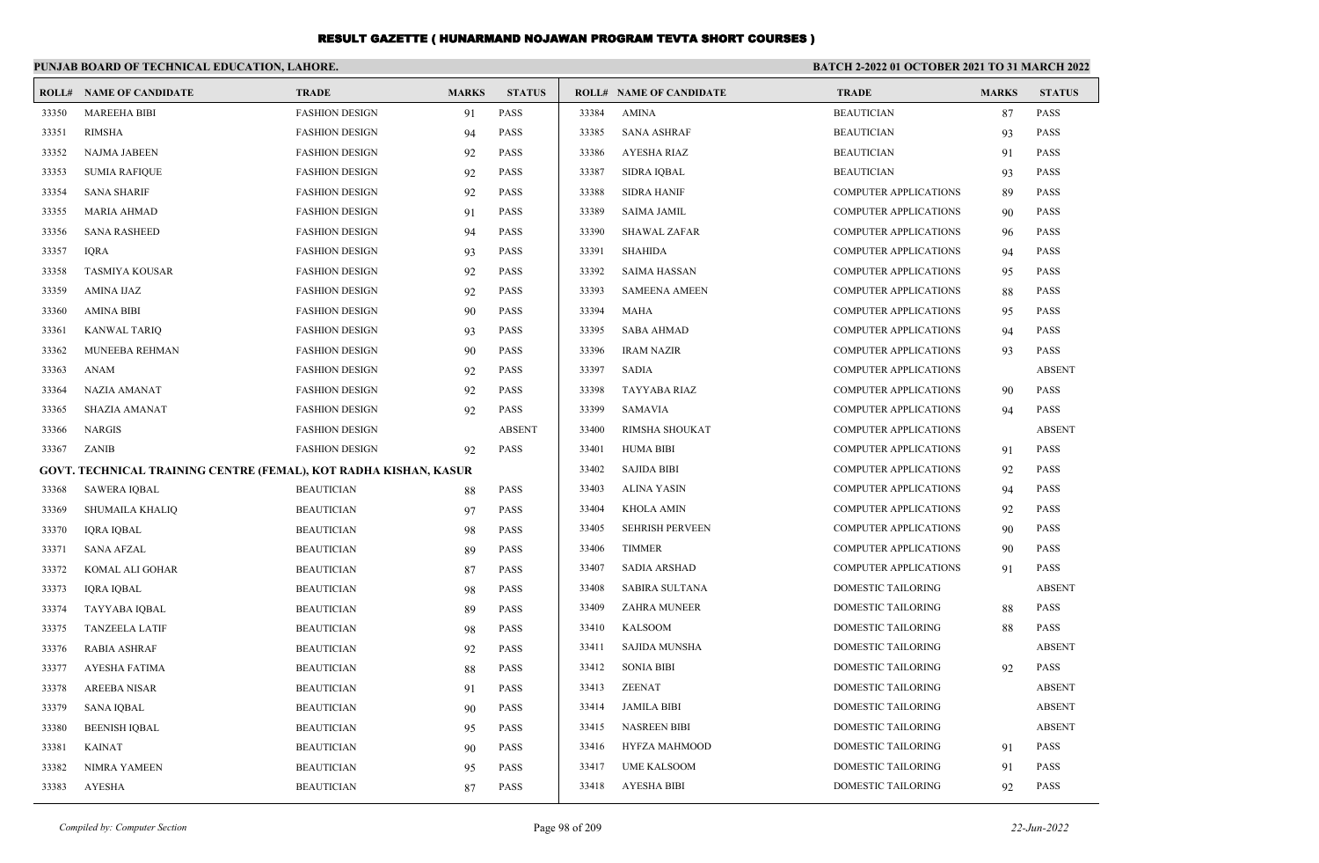|       | PUNJAB BOARD OF TECHNICAL EDUCATION, LAHORE.                     |                       |              |               | <b>BATCH 2-2022 01 OCTOBER 2021 TO 31 MARCH 2022</b> |                                |                              |              |               |
|-------|------------------------------------------------------------------|-----------------------|--------------|---------------|------------------------------------------------------|--------------------------------|------------------------------|--------------|---------------|
|       | <b>ROLL# NAME OF CANDIDATE</b>                                   | <b>TRADE</b>          | <b>MARKS</b> | <b>STATUS</b> |                                                      | <b>ROLL# NAME OF CANDIDATE</b> | <b>TRADE</b>                 | <b>MARKS</b> | <b>STATUS</b> |
| 33350 | <b>MAREEHA BIBI</b>                                              | <b>FASHION DESIGN</b> | 91           | <b>PASS</b>   | 33384                                                | <b>AMINA</b>                   | <b>BEAUTICIAN</b>            | 87           | <b>PASS</b>   |
| 33351 | <b>RIMSHA</b>                                                    | <b>FASHION DESIGN</b> | 94           | <b>PASS</b>   | 33385                                                | <b>SANA ASHRAF</b>             | <b>BEAUTICIAN</b>            | 93           | <b>PASS</b>   |
| 33352 | <b>NAJMA JABEEN</b>                                              | <b>FASHION DESIGN</b> | 92           | PASS          | 33386                                                | <b>AYESHA RIAZ</b>             | <b>BEAUTICIAN</b>            | 91           | <b>PASS</b>   |
| 33353 | <b>SUMIA RAFIQUE</b>                                             | <b>FASHION DESIGN</b> | 92           | <b>PASS</b>   | 33387                                                | <b>SIDRA IQBAL</b>             | <b>BEAUTICIAN</b>            | 93           | <b>PASS</b>   |
| 33354 | <b>SANA SHARIF</b>                                               | <b>FASHION DESIGN</b> | 92           | <b>PASS</b>   | 33388                                                | <b>SIDRA HANIF</b>             | <b>COMPUTER APPLICATIONS</b> | 89           | <b>PASS</b>   |
| 33355 | <b>MARIA AHMAD</b>                                               | <b>FASHION DESIGN</b> | 91           | PASS          | 33389                                                | <b>SAIMA JAMIL</b>             | <b>COMPUTER APPLICATIONS</b> | 90           | <b>PASS</b>   |
| 33356 | <b>SANA RASHEED</b>                                              | <b>FASHION DESIGN</b> | 94           | <b>PASS</b>   | 33390                                                | <b>SHAWAL ZAFAR</b>            | <b>COMPUTER APPLICATIONS</b> | 96           | <b>PASS</b>   |
| 33357 | <b>IQRA</b>                                                      | <b>FASHION DESIGN</b> | 93           | <b>PASS</b>   | 33391                                                | <b>SHAHIDA</b>                 | <b>COMPUTER APPLICATIONS</b> | 94           | <b>PASS</b>   |
| 33358 | <b>TASMIYA KOUSAR</b>                                            | <b>FASHION DESIGN</b> | 92           | PASS          | 33392                                                | <b>SAIMA HASSAN</b>            | <b>COMPUTER APPLICATIONS</b> | 95           | <b>PASS</b>   |
| 33359 | AMINA IJAZ                                                       | <b>FASHION DESIGN</b> | 92           | <b>PASS</b>   | 33393                                                | <b>SAMEENA AMEEN</b>           | <b>COMPUTER APPLICATIONS</b> | 88           | <b>PASS</b>   |
| 33360 | AMINA BIBI                                                       | <b>FASHION DESIGN</b> | 90           | <b>PASS</b>   | 33394                                                | MAHA                           | <b>COMPUTER APPLICATIONS</b> | 95           | <b>PASS</b>   |
| 33361 | <b>KANWAL TARIO</b>                                              | <b>FASHION DESIGN</b> | 93           | <b>PASS</b>   | 33395                                                | <b>SABA AHMAD</b>              | <b>COMPUTER APPLICATIONS</b> | 94           | <b>PASS</b>   |
| 33362 | <b>MUNEEBA REHMAN</b>                                            | <b>FASHION DESIGN</b> | 90           | <b>PASS</b>   | 33396                                                | <b>IRAM NAZIR</b>              | <b>COMPUTER APPLICATIONS</b> | 93           | <b>PASS</b>   |
| 33363 | <b>ANAM</b>                                                      | <b>FASHION DESIGN</b> | 92           | PASS          | 33397                                                | <b>SADIA</b>                   | <b>COMPUTER APPLICATIONS</b> |              | <b>ABSENT</b> |
| 33364 | NAZIA AMANAT                                                     | <b>FASHION DESIGN</b> | 92           | PASS          | 33398                                                | <b>TAYYABA RIAZ</b>            | <b>COMPUTER APPLICATIONS</b> | 90           | <b>PASS</b>   |
| 33365 | <b>SHAZIA AMANAT</b>                                             | <b>FASHION DESIGN</b> | 92           | <b>PASS</b>   | 33399                                                | SAMAVIA                        | <b>COMPUTER APPLICATIONS</b> | 94           | <b>PASS</b>   |
| 33366 | <b>NARGIS</b>                                                    | <b>FASHION DESIGN</b> |              | <b>ABSENT</b> | 33400                                                | RIMSHA SHOUKAT                 | <b>COMPUTER APPLICATIONS</b> |              | <b>ABSENT</b> |
| 33367 | <b>ZANIB</b>                                                     | <b>FASHION DESIGN</b> | 92           | <b>PASS</b>   | 33401                                                | HUMA BIBI                      | <b>COMPUTER APPLICATIONS</b> | 91           | <b>PASS</b>   |
|       | GOVT. TECHNICAL TRAINING CENTRE (FEMAL), KOT RADHA KISHAN, KASUR |                       |              |               | 33402                                                | <b>SAJIDA BIBI</b>             | <b>COMPUTER APPLICATIONS</b> | 92           | <b>PASS</b>   |
| 33368 | <b>SAWERA IQBAL</b>                                              | <b>BEAUTICIAN</b>     | 88           | <b>PASS</b>   | 33403                                                | <b>ALINA YASIN</b>             | <b>COMPUTER APPLICATIONS</b> | 94           | <b>PASS</b>   |
| 33369 | <b>SHUMAILA KHALIQ</b>                                           | <b>BEAUTICIAN</b>     | 97           | <b>PASS</b>   | 33404                                                | <b>KHOLA AMIN</b>              | <b>COMPUTER APPLICATIONS</b> | 92           | <b>PASS</b>   |
| 33370 | <b>IQRA IQBAL</b>                                                | <b>BEAUTICIAN</b>     | 98           | <b>PASS</b>   | 33405                                                | <b>SEHRISH PERVEEN</b>         | <b>COMPUTER APPLICATIONS</b> | 90           | <b>PASS</b>   |
| 33371 | <b>SANA AFZAL</b>                                                | <b>BEAUTICIAN</b>     | 89           | <b>PASS</b>   | 33406                                                | <b>TIMMER</b>                  | <b>COMPUTER APPLICATIONS</b> | 90           | <b>PASS</b>   |
| 33372 | KOMAL ALI GOHAR                                                  | <b>BEAUTICIAN</b>     | 87           | <b>PASS</b>   | 33407                                                | <b>SADIA ARSHAD</b>            | <b>COMPUTER APPLICATIONS</b> | 91           | <b>PASS</b>   |
| 33373 | IQRA IQBAL                                                       | <b>BEAUTICIAN</b>     | 98           | <b>PASS</b>   | 33408                                                | <b>SABIRA SULTANA</b>          | <b>DOMESTIC TAILORING</b>    |              | <b>ABSENT</b> |
| 33374 | TAYYABA IQBAL                                                    | <b>BEAUTICIAN</b>     | 89           | PASS          | 33409                                                | <b>ZAHRA MUNEER</b>            | <b>DOMESTIC TAILORING</b>    | 88           | <b>PASS</b>   |
| 33375 | <b>TANZEELA LATIF</b>                                            | <b>BEAUTICIAN</b>     | 98           | <b>PASS</b>   | 33410                                                | <b>KALSOOM</b>                 | <b>DOMESTIC TAILORING</b>    | 88           | <b>PASS</b>   |
| 33376 | RABIA ASHRAF                                                     | <b>BEAUTICIAN</b>     | 92           | <b>PASS</b>   | 33411                                                | <b>SAJIDA MUNSHA</b>           | DOMESTIC TAILORING           |              | <b>ABSENT</b> |
| 33377 | <b>AYESHA FATIMA</b>                                             | <b>BEAUTICIAN</b>     | 88           | <b>PASS</b>   | 33412                                                | <b>SONIA BIBI</b>              | <b>DOMESTIC TAILORING</b>    | 92           | <b>PASS</b>   |
|       | 33378 AREEBA NISAR                                               | <b>BEAUTICIAN</b>     | 91           | PASS          |                                                      | 33413 <b>ZEENAT</b>            | DOMESTIC TAILORING           |              | ABSENT        |
| 33379 | SANA IQBAL                                                       | <b>BEAUTICIAN</b>     | 90           | PASS          | 33414                                                | JAMILA BIBI                    | DOMESTIC TAILORING           |              | <b>ABSENT</b> |
| 33380 | <b>BEENISH IQBAL</b>                                             | <b>BEAUTICIAN</b>     | 95           | <b>PASS</b>   | 33415                                                | <b>NASREEN BIBI</b>            | DOMESTIC TAILORING           |              | <b>ABSENT</b> |
| 33381 | KAINAT                                                           | <b>BEAUTICIAN</b>     | 90           | PASS          | 33416                                                | <b>HYFZA MAHMOOD</b>           | DOMESTIC TAILORING           | 91           | <b>PASS</b>   |
| 33382 | NIMRA YAMEEN                                                     | <b>BEAUTICIAN</b>     | 95           | <b>PASS</b>   | 33417                                                | <b>UME KALSOOM</b>             | <b>DOMESTIC TAILORING</b>    | 91           | <b>PASS</b>   |
| 33383 | AYESHA                                                           | <b>BEAUTICIAN</b>     | 87           | PASS          | 33418                                                | AYESHA BIBI                    | <b>DOMESTIC TAILORING</b>    | 92           | PASS          |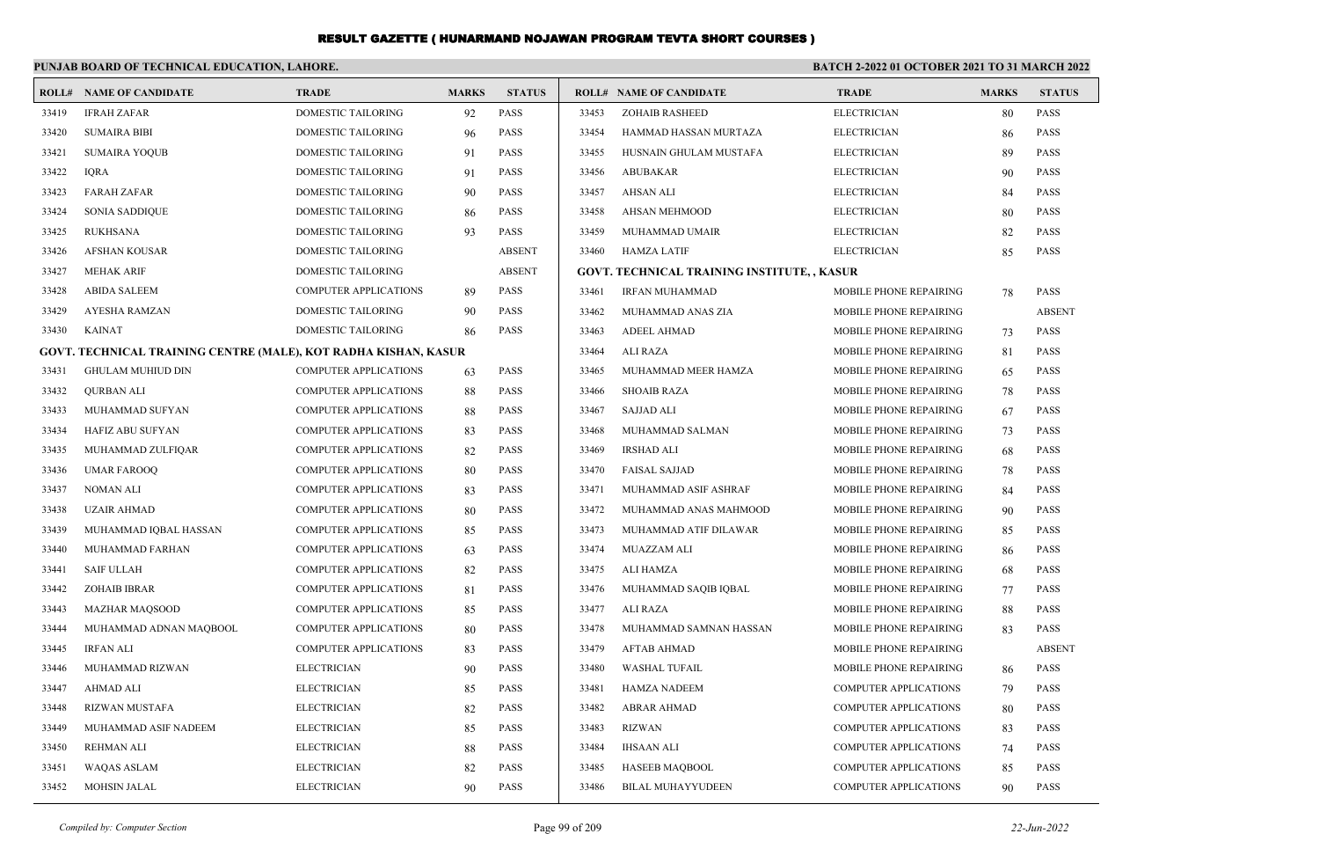|       | PUNJAB BOARD OF TECHNICAL EDUCATION, LAHORE.                    |                              |              |               | <b>BATCH 2-2022 01 OCTOBER 2021 TO 31 MARCH 2022</b> |                                             |                               |              |               |
|-------|-----------------------------------------------------------------|------------------------------|--------------|---------------|------------------------------------------------------|---------------------------------------------|-------------------------------|--------------|---------------|
|       | <b>ROLL# NAME OF CANDIDATE</b>                                  | <b>TRADE</b>                 | <b>MARKS</b> | <b>STATUS</b> |                                                      | <b>ROLL# NAME OF CANDIDATE</b>              | <b>TRADE</b>                  | <b>MARKS</b> | <b>STATUS</b> |
| 33419 | <b>IFRAH ZAFAR</b>                                              | <b>DOMESTIC TAILORING</b>    | 92           | <b>PASS</b>   | 33453                                                | <b>ZOHAIB RASHEED</b>                       | <b>ELECTRICIAN</b>            | 80           | <b>PASS</b>   |
| 33420 | <b>SUMAIRA BIBI</b>                                             | DOMESTIC TAILORING           | 96           | <b>PASS</b>   | 33454                                                | HAMMAD HASSAN MURTAZA                       | <b>ELECTRICIAN</b>            | 86           | <b>PASS</b>   |
| 33421 | SUMAIRA YOQUB                                                   | DOMESTIC TAILORING           | 91           | <b>PASS</b>   | 33455                                                | HUSNAIN GHULAM MUSTAFA                      | <b>ELECTRICIAN</b>            | 89           | <b>PASS</b>   |
| 33422 | <b>IQRA</b>                                                     | DOMESTIC TAILORING           | 91           | <b>PASS</b>   | 33456                                                | ABUBAKAR                                    | <b>ELECTRICIAN</b>            | 90           | <b>PASS</b>   |
| 33423 | <b>FARAH ZAFAR</b>                                              | DOMESTIC TAILORING           | 90           | <b>PASS</b>   | 33457                                                | AHSAN ALI                                   | <b>ELECTRICIAN</b>            | 84           | <b>PASS</b>   |
| 33424 | SONIA SADDIQUE                                                  | DOMESTIC TAILORING           | 86           | <b>PASS</b>   | 33458                                                | AHSAN MEHMOOD                               | <b>ELECTRICIAN</b>            | 80           | <b>PASS</b>   |
| 33425 | <b>RUKHSANA</b>                                                 | <b>DOMESTIC TAILORING</b>    | 93           | <b>PASS</b>   | 33459                                                | MUHAMMAD UMAIR                              | ELECTRICIAN                   | 82           | <b>PASS</b>   |
| 33426 | AFSHAN KOUSAR                                                   | DOMESTIC TAILORING           |              | <b>ABSENT</b> | 33460                                                | HAMZA LATIF                                 | <b>ELECTRICIAN</b>            | 85           | <b>PASS</b>   |
| 33427 | MEHAK ARIF                                                      | DOMESTIC TAILORING           |              | <b>ABSENT</b> |                                                      | GOVT. TECHNICAL TRAINING INSTITUTE, , KASUR |                               |              |               |
| 33428 | <b>ABIDA SALEEM</b>                                             | <b>COMPUTER APPLICATIONS</b> | 89           | <b>PASS</b>   | 33461                                                | <b>IRFAN MUHAMMAD</b>                       | MOBILE PHONE REPAIRING        | 78           | <b>PASS</b>   |
| 33429 | AYESHA RAMZAN                                                   | DOMESTIC TAILORING           | 90           | <b>PASS</b>   | 33462                                                | MUHAMMAD ANAS ZIA                           | MOBILE PHONE REPAIRING        |              | <b>ABSENT</b> |
| 33430 | <b>KAINAT</b>                                                   | DOMESTIC TAILORING           | 86           | <b>PASS</b>   | 33463                                                | <b>ADEEL AHMAD</b>                          | <b>MOBILE PHONE REPAIRING</b> | 73           | <b>PASS</b>   |
|       | GOVT. TECHNICAL TRAINING CENTRE (MALE), KOT RADHA KISHAN, KASUR |                              |              |               | 33464                                                | ALI RAZA                                    | MOBILE PHONE REPAIRING        | 81           | <b>PASS</b>   |
| 33431 | <b>GHULAM MUHIUD DIN</b>                                        | <b>COMPUTER APPLICATIONS</b> | 63           | <b>PASS</b>   | 33465                                                | MUHAMMAD MEER HAMZA                         | MOBILE PHONE REPAIRING        | 65           | <b>PASS</b>   |
| 33432 | <b>QURBAN ALI</b>                                               | <b>COMPUTER APPLICATIONS</b> | 88           | <b>PASS</b>   | 33466                                                | <b>SHOAIB RAZA</b>                          | <b>MOBILE PHONE REPAIRING</b> | 78           | <b>PASS</b>   |
| 33433 | MUHAMMAD SUFYAN                                                 | <b>COMPUTER APPLICATIONS</b> | 88           | <b>PASS</b>   | 33467                                                | <b>SAJJAD ALI</b>                           | MOBILE PHONE REPAIRING        | 67           | <b>PASS</b>   |
| 33434 | HAFIZ ABU SUFYAN                                                | <b>COMPUTER APPLICATIONS</b> | 83           | <b>PASS</b>   | 33468                                                | MUHAMMAD SALMAN                             | MOBILE PHONE REPAIRING        | 73           | <b>PASS</b>   |
| 33435 | MUHAMMAD ZULFIQAR                                               | <b>COMPUTER APPLICATIONS</b> | 82           | <b>PASS</b>   | 33469                                                | IRSHAD ALI                                  | MOBILE PHONE REPAIRING        | 68           | <b>PASS</b>   |
| 33436 | <b>UMAR FAROOQ</b>                                              | <b>COMPUTER APPLICATIONS</b> | 80           | <b>PASS</b>   | 33470                                                | FAISAL SAJJAD                               | MOBILE PHONE REPAIRING        | 78           | <b>PASS</b>   |
| 33437 | NOMAN ALI                                                       | <b>COMPUTER APPLICATIONS</b> | 83           | <b>PASS</b>   | 33471                                                | MUHAMMAD ASIF ASHRAF                        | MOBILE PHONE REPAIRING        | 84           | <b>PASS</b>   |
| 33438 | <b>UZAIR AHMAD</b>                                              | <b>COMPUTER APPLICATIONS</b> | 80           | <b>PASS</b>   | 33472                                                | MUHAMMAD ANAS MAHMOOD                       | MOBILE PHONE REPAIRING        | 90           | <b>PASS</b>   |
| 33439 | MUHAMMAD IQBAL HASSAN                                           | <b>COMPUTER APPLICATIONS</b> | 85           | <b>PASS</b>   | 33473                                                | MUHAMMAD ATIF DILAWAR                       | MOBILE PHONE REPAIRING        | 85           | <b>PASS</b>   |
| 33440 | MUHAMMAD FARHAN                                                 | <b>COMPUTER APPLICATIONS</b> | 63           | <b>PASS</b>   | 33474                                                | MUAZZAM ALI                                 | MOBILE PHONE REPAIRING        | 86           | <b>PASS</b>   |
| 33441 | SAIF ULLAH                                                      | <b>COMPUTER APPLICATIONS</b> | 82           | <b>PASS</b>   | 33475                                                | ALI HAMZA                                   | MOBILE PHONE REPAIRING        | 68           | <b>PASS</b>   |
| 33442 | <b>ZOHAIB IBRAR</b>                                             | <b>COMPUTER APPLICATIONS</b> | 81           | <b>PASS</b>   | 33476                                                | MUHAMMAD SAQIB IQBAL                        | MOBILE PHONE REPAIRING        | 77           | <b>PASS</b>   |
| 33443 | <b>MAZHAR MAQSOOD</b>                                           | <b>COMPUTER APPLICATIONS</b> | 85           | <b>PASS</b>   | 33477                                                | ALI RAZA                                    | MOBILE PHONE REPAIRING        | 88           | <b>PASS</b>   |
| 33444 | MUHAMMAD ADNAN MAQBOOL                                          | <b>COMPUTER APPLICATIONS</b> | 80           | <b>PASS</b>   | 33478                                                | MUHAMMAD SAMNAN HASSAN                      | MOBILE PHONE REPAIRING        | 83           | <b>PASS</b>   |
| 33445 | <b>IRFAN ALI</b>                                                | <b>COMPUTER APPLICATIONS</b> | 83           | <b>PASS</b>   | 33479                                                | <b>AFTAB AHMAD</b>                          | MOBILE PHONE REPAIRING        |              | <b>ABSENT</b> |
| 33446 | MUHAMMAD RIZWAN                                                 | <b>ELECTRICIAN</b>           | 90           | <b>PASS</b>   | 33480                                                | WASHAL TUFAIL                               | MOBILE PHONE REPAIRING        | 86           | <b>PASS</b>   |
| 33447 | AHMAD ALI                                                       | ELECTRICIAN                  | 85           | PASS          |                                                      | 33481 HAMZA NADEEM                          | <b>COMPUTER APPLICATIONS</b>  | 79           | PASS          |
| 33448 | RIZWAN MUSTAFA                                                  | <b>ELECTRICIAN</b>           | 82           | PASS          | 33482                                                | ABRAR AHMAD                                 | <b>COMPUTER APPLICATIONS</b>  | 80           | PASS          |
| 33449 | MUHAMMAD ASIF NADEEM                                            | <b>ELECTRICIAN</b>           | 85           | PASS          | 33483                                                | RIZWAN                                      | <b>COMPUTER APPLICATIONS</b>  | 83           | PASS          |
| 33450 | REHMAN ALI                                                      | <b>ELECTRICIAN</b>           | 88           | <b>PASS</b>   | 33484                                                | <b>IHSAAN ALI</b>                           | <b>COMPUTER APPLICATIONS</b>  | 74           | <b>PASS</b>   |
| 33451 | WAQAS ASLAM                                                     | <b>ELECTRICIAN</b>           | 82           | PASS          | 33485                                                | <b>HASEEB MAQBOOL</b>                       | COMPUTER APPLICATIONS         | 85           | <b>PASS</b>   |
| 33452 | <b>MOHSIN JALAL</b>                                             | <b>ELECTRICIAN</b>           | 90           | <b>PASS</b>   | 33486                                                | <b>BILAL MUHAYYUDEEN</b>                    | COMPUTER APPLICATIONS         | 90           | <b>PASS</b>   |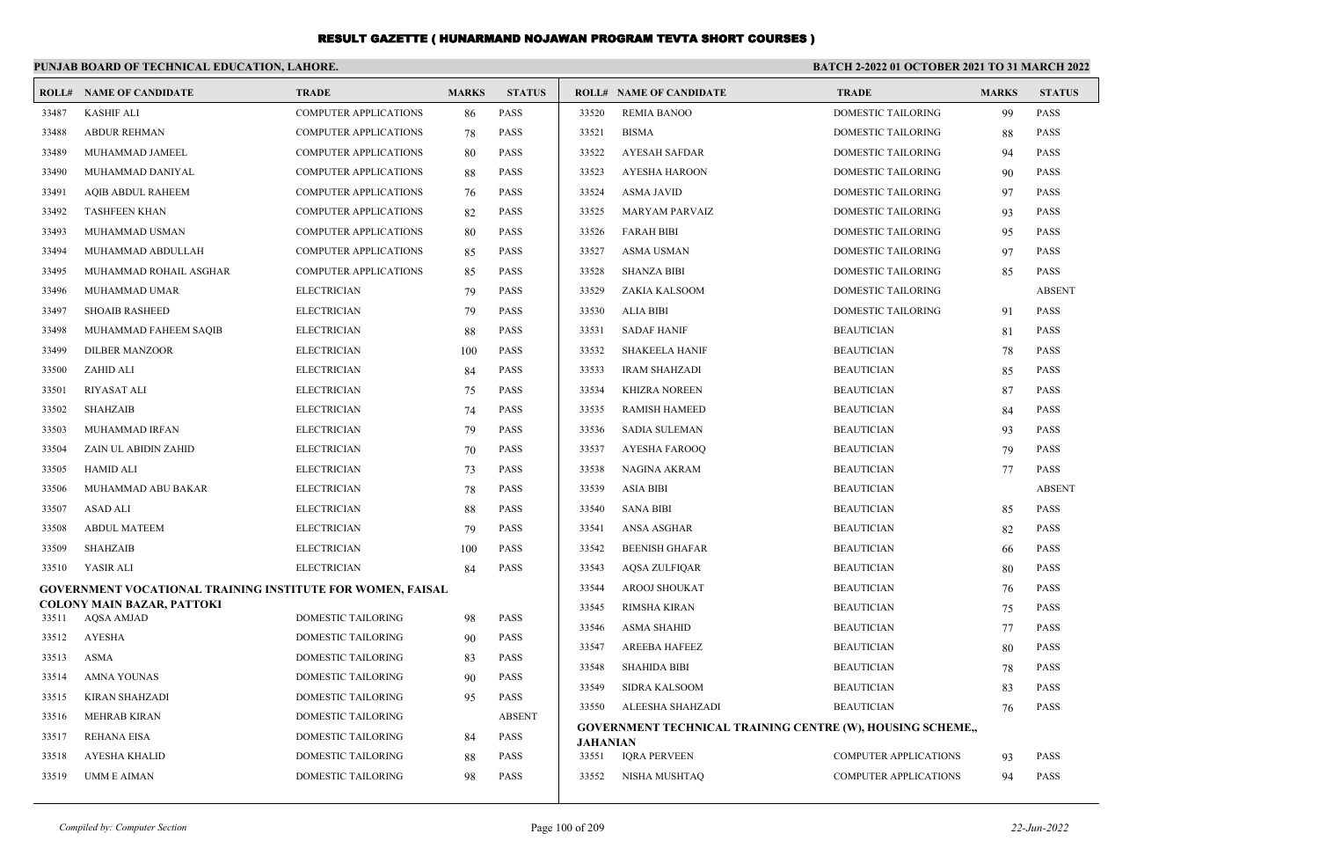|       | PUNJAB BOARD OF TECHNICAL EDUCATION, LAHORE.                      |                              |              |               | <b>BATCH 2-2022 01 OCTOBER 2021 TO 31 MARCH 2022</b> |                                                                   |                              |              |               |
|-------|-------------------------------------------------------------------|------------------------------|--------------|---------------|------------------------------------------------------|-------------------------------------------------------------------|------------------------------|--------------|---------------|
|       | <b>ROLL# NAME OF CANDIDATE</b>                                    | <b>TRADE</b>                 | <b>MARKS</b> | <b>STATUS</b> |                                                      | <b>ROLL# NAME OF CANDIDATE</b>                                    | <b>TRADE</b>                 | <b>MARKS</b> | <b>STATUS</b> |
| 33487 | <b>KASHIF ALI</b>                                                 | <b>COMPUTER APPLICATIONS</b> | 86           | <b>PASS</b>   | 33520                                                | <b>REMIA BANOO</b>                                                | DOMESTIC TAILORING           | 99           | PASS          |
| 33488 | <b>ABDUR REHMAN</b>                                               | <b>COMPUTER APPLICATIONS</b> | 78           | <b>PASS</b>   | 33521                                                | <b>BISMA</b>                                                      | DOMESTIC TAILORING           | 88           | <b>PASS</b>   |
| 33489 | MUHAMMAD JAMEEL                                                   | <b>COMPUTER APPLICATIONS</b> | 80           | <b>PASS</b>   | 33522                                                | <b>AYESAH SAFDAR</b>                                              | DOMESTIC TAILORING           | 94           | <b>PASS</b>   |
| 33490 | MUHAMMAD DANIYAL                                                  | <b>COMPUTER APPLICATIONS</b> | 88           | <b>PASS</b>   | 33523                                                | <b>AYESHA HAROON</b>                                              | DOMESTIC TAILORING           | 90           | <b>PASS</b>   |
| 33491 | <b>AOIB ABDUL RAHEEM</b>                                          | <b>COMPUTER APPLICATIONS</b> | 76           | <b>PASS</b>   | 33524                                                | <b>ASMA JAVID</b>                                                 | <b>DOMESTIC TAILORING</b>    | 97           | <b>PASS</b>   |
| 33492 | <b>TASHFEEN KHAN</b>                                              | <b>COMPUTER APPLICATIONS</b> | 82           | <b>PASS</b>   | 33525                                                | <b>MARYAM PARVAIZ</b>                                             | <b>DOMESTIC TAILORING</b>    | 93           | <b>PASS</b>   |
| 33493 | MUHAMMAD USMAN                                                    | <b>COMPUTER APPLICATIONS</b> | 80           | <b>PASS</b>   | 33526                                                | <b>FARAH BIBI</b>                                                 | DOMESTIC TAILORING           | 95           | <b>PASS</b>   |
| 33494 | MUHAMMAD ABDULLAH                                                 | <b>COMPUTER APPLICATIONS</b> | 85           | <b>PASS</b>   | 33527                                                | ASMA USMAN                                                        | DOMESTIC TAILORING           | 97           | <b>PASS</b>   |
| 33495 | MUHAMMAD ROHAIL ASGHAR                                            | <b>COMPUTER APPLICATIONS</b> | 85           | <b>PASS</b>   | 33528                                                | <b>SHANZA BIBI</b>                                                | DOMESTIC TAILORING           | 85           | <b>PASS</b>   |
| 33496 | MUHAMMAD UMAR                                                     | <b>ELECTRICIAN</b>           | 79           | <b>PASS</b>   | 33529                                                | ZAKIA KALSOOM                                                     | <b>DOMESTIC TAILORING</b>    |              | <b>ABSENT</b> |
| 33497 | <b>SHOAIB RASHEED</b>                                             | <b>ELECTRICIAN</b>           | 79           | <b>PASS</b>   | 33530                                                | ALIA BIBI                                                         | DOMESTIC TAILORING           | 91           | <b>PASS</b>   |
| 33498 | MUHAMMAD FAHEEM SAQIB                                             | <b>ELECTRICIAN</b>           | 88           | <b>PASS</b>   | 33531                                                | <b>SADAF HANIF</b>                                                | <b>BEAUTICIAN</b>            | 81           | <b>PASS</b>   |
| 33499 | <b>DILBER MANZOOR</b>                                             | <b>ELECTRICIAN</b>           | 100          | <b>PASS</b>   | 33532                                                | <b>SHAKEELA HANIF</b>                                             | <b>BEAUTICIAN</b>            | 78           | <b>PASS</b>   |
| 33500 | ZAHID ALI                                                         | <b>ELECTRICIAN</b>           | 84           | <b>PASS</b>   | 33533                                                | <b>IRAM SHAHZADI</b>                                              | <b>BEAUTICIAN</b>            | 85           | <b>PASS</b>   |
| 33501 | <b>RIYASAT ALI</b>                                                | <b>ELECTRICIAN</b>           | 75           | <b>PASS</b>   | 33534                                                | <b>KHIZRA NOREEN</b>                                              | <b>BEAUTICIAN</b>            | 87           | <b>PASS</b>   |
| 33502 | <b>SHAHZAIB</b>                                                   | <b>ELECTRICIAN</b>           | 74           | <b>PASS</b>   | 33535                                                | <b>RAMISH HAMEED</b>                                              | <b>BEAUTICIAN</b>            | 84           | <b>PASS</b>   |
| 33503 | MUHAMMAD IRFAN                                                    | <b>ELECTRICIAN</b>           | 79           | <b>PASS</b>   | 33536                                                | SADIA SULEMAN                                                     | <b>BEAUTICIAN</b>            | 93           | <b>PASS</b>   |
| 33504 | ZAIN UL ABIDIN ZAHID                                              | <b>ELECTRICIAN</b>           | 70           | <b>PASS</b>   | 33537                                                | AYESHA FAROOQ                                                     | <b>BEAUTICIAN</b>            | 79           | <b>PASS</b>   |
| 33505 | <b>HAMID ALI</b>                                                  | <b>ELECTRICIAN</b>           | 73           | <b>PASS</b>   | 33538                                                | <b>NAGINA AKRAM</b>                                               | <b>BEAUTICIAN</b>            | 77           | <b>PASS</b>   |
| 33506 | MUHAMMAD ABU BAKAR                                                | <b>ELECTRICIAN</b>           | 78           | <b>PASS</b>   | 33539                                                | <b>ASIA BIBI</b>                                                  | <b>BEAUTICIAN</b>            |              | <b>ABSENT</b> |
| 33507 | <b>ASAD ALI</b>                                                   | <b>ELECTRICIAN</b>           | 88           | <b>PASS</b>   | 33540                                                | <b>SANA BIBI</b>                                                  | <b>BEAUTICIAN</b>            | 85           | <b>PASS</b>   |
| 33508 | <b>ABDUL MATEEM</b>                                               | <b>ELECTRICIAN</b>           | 79           | <b>PASS</b>   | 33541                                                | ANSA ASGHAR                                                       | <b>BEAUTICIAN</b>            | 82           | <b>PASS</b>   |
| 33509 | <b>SHAHZAIB</b>                                                   | <b>ELECTRICIAN</b>           | 100          | <b>PASS</b>   | 33542                                                | <b>BEENISH GHAFAR</b>                                             | <b>BEAUTICIAN</b>            | 66           | <b>PASS</b>   |
| 33510 | YASIR ALI                                                         | <b>ELECTRICIAN</b>           | 84           | <b>PASS</b>   | 33543                                                | <b>AQSA ZULFIQAR</b>                                              | <b>BEAUTICIAN</b>            | 80           | <b>PASS</b>   |
|       | <b>GOVERNMENT VOCATIONAL TRAINING INSTITUTE FOR WOMEN, FAISAL</b> |                              |              |               | 33544                                                | AROOJ SHOUKAT                                                     | <b>BEAUTICIAN</b>            | 76           | <b>PASS</b>   |
| 33511 | COLONY MAIN BAZAR, PATTOKI<br><b>AOSA AMJAD</b>                   | <b>DOMESTIC TAILORING</b>    | 98           | <b>PASS</b>   | 33545                                                | <b>RIMSHA KIRAN</b>                                               | <b>BEAUTICIAN</b>            | 75           | <b>PASS</b>   |
| 33512 | <b>AYESHA</b>                                                     | DOMESTIC TAILORING           | 90           | <b>PASS</b>   | 33546                                                | <b>ASMA SHAHID</b>                                                | <b>BEAUTICIAN</b>            | 77           | <b>PASS</b>   |
| 33513 | <b>ASMA</b>                                                       | DOMESTIC TAILORING           | 83           | <b>PASS</b>   | 33547                                                | <b>AREEBA HAFEEZ</b>                                              | <b>BEAUTICIAN</b>            | 80           | <b>PASS</b>   |
| 33514 | <b>AMNA YOUNAS</b>                                                | DOMESTIC TAILORING           | 90           | <b>PASS</b>   | 33548                                                | <b>SHAHIDA BIBI</b>                                               | <b>BEAUTICIAN</b>            | 78           | <b>PASS</b>   |
| 33515 | <b>KIRAN SHAHZADI</b>                                             | DOMESTIC TAILORING           | 95           | <b>PASS</b>   | 33549                                                | <b>SIDRA KALSOOM</b>                                              | <b>BEAUTICIAN</b>            | 83           | <b>PASS</b>   |
| 33516 | <b>MEHRAB KIRAN</b>                                               | DOMESTIC TAILORING           |              | <b>ABSENT</b> | 33550                                                | ALEESHA SHAHZADI                                                  | <b>BEAUTICIAN</b>            | 76           | <b>PASS</b>   |
| 33517 | <b>REHANA EISA</b>                                                | DOMESTIC TAILORING           | 84           | <b>PASS</b>   |                                                      | <b>GOVERNMENT TECHNICAL TRAINING CENTRE (W), HOUSING SCHEME,,</b> |                              |              |               |
| 33518 | <b>AYESHA KHALID</b>                                              | DOMESTIC TAILORING           | 88           | <b>PASS</b>   | <b>JAHANIAN</b><br>33551                             | <b>IORA PERVEEN</b>                                               | <b>COMPUTER APPLICATIONS</b> | 93           | <b>PASS</b>   |
| 33519 | <b>UMM E AIMAN</b>                                                | <b>DOMESTIC TAILORING</b>    | 98           | <b>PASS</b>   | 33552                                                | NISHA MUSHTAQ                                                     | <b>COMPUTER APPLICATIONS</b> | 94           | <b>PASS</b>   |
|       |                                                                   |                              |              |               |                                                      |                                                                   |                              |              |               |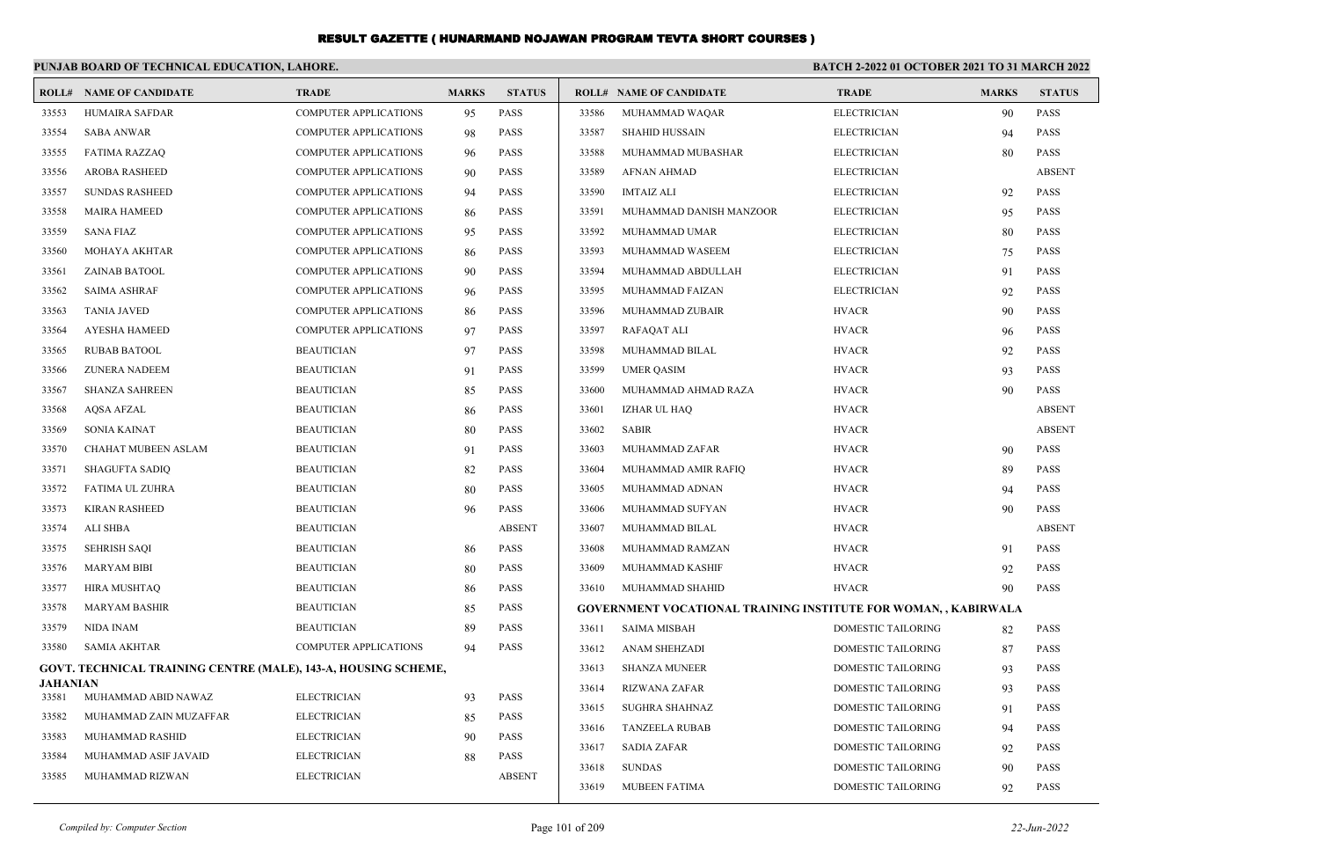|                          | PUNJAB BOARD OF TECHNICAL EDUCATION, LAHORE.                   |                                          |              |                            | <b>BATCH 2-2022 01 OCTOBER 2021 TO 31 MARCH 2022</b> |                                                                 |                    |              |               |
|--------------------------|----------------------------------------------------------------|------------------------------------------|--------------|----------------------------|------------------------------------------------------|-----------------------------------------------------------------|--------------------|--------------|---------------|
| ROLL#                    | <b>NAME OF CANDIDATE</b>                                       | <b>TRADE</b>                             | <b>MARKS</b> | <b>STATUS</b>              |                                                      | <b>ROLL# NAME OF CANDIDATE</b>                                  | <b>TRADE</b>       | <b>MARKS</b> | <b>STATUS</b> |
| 33553                    | HUMAIRA SAFDAR                                                 | <b>COMPUTER APPLICATIONS</b>             | 95           | <b>PASS</b>                | 33586                                                | MUHAMMAD WAQAR                                                  | <b>ELECTRICIAN</b> | 90           | <b>PASS</b>   |
| 33554                    | <b>SABA ANWAR</b>                                              | <b>COMPUTER APPLICATIONS</b>             | 98           | <b>PASS</b>                | 33587                                                | <b>SHAHID HUSSAIN</b>                                           | <b>ELECTRICIAN</b> | 94           | <b>PASS</b>   |
| 33555                    | <b>FATIMA RAZZAQ</b>                                           | <b>COMPUTER APPLICATIONS</b>             | 96           | <b>PASS</b>                | 33588                                                | MUHAMMAD MUBASHAR                                               | <b>ELECTRICIAN</b> | 80           | <b>PASS</b>   |
| 33556                    | <b>AROBA RASHEED</b>                                           | <b>COMPUTER APPLICATIONS</b>             | 90           | <b>PASS</b>                | 33589                                                | <b>AFNAN AHMAD</b>                                              | <b>ELECTRICIAN</b> |              | <b>ABSENT</b> |
| 33557                    | <b>SUNDAS RASHEED</b>                                          | <b>COMPUTER APPLICATIONS</b>             | 94           | <b>PASS</b>                | 33590                                                | <b>IMTAIZ ALI</b>                                               | <b>ELECTRICIAN</b> | 92           | PASS          |
| 33558                    | <b>MAIRA HAMEED</b>                                            | <b>COMPUTER APPLICATIONS</b>             | 86           | <b>PASS</b>                | 33591                                                | MUHAMMAD DANISH MANZOOR                                         | <b>ELECTRICIAN</b> | 95           | <b>PASS</b>   |
| 33559                    | <b>SANA FIAZ</b>                                               | <b>COMPUTER APPLICATIONS</b>             | 95           | <b>PASS</b>                | 33592                                                | MUHAMMAD UMAR                                                   | <b>ELECTRICIAN</b> | 80           | <b>PASS</b>   |
| 33560                    | MOHAYA AKHTAR                                                  | <b>COMPUTER APPLICATIONS</b>             | 86           | <b>PASS</b>                | 33593                                                | MUHAMMAD WASEEM                                                 | <b>ELECTRICIAN</b> | 75           | <b>PASS</b>   |
| 33561                    | ZAINAB BATOOL                                                  | <b>COMPUTER APPLICATIONS</b>             | -90          | <b>PASS</b>                | 33594                                                | MUHAMMAD ABDULLAH                                               | <b>ELECTRICIAN</b> | 91           | <b>PASS</b>   |
| 33562                    | <b>SAIMA ASHRAF</b>                                            | <b>COMPUTER APPLICATIONS</b>             | 96           | <b>PASS</b>                | 33595                                                | MUHAMMAD FAIZAN                                                 | <b>ELECTRICIAN</b> | 92           | PASS          |
| 33563                    | <b>TANIA JAVED</b>                                             | <b>COMPUTER APPLICATIONS</b>             | 86           | <b>PASS</b>                | 33596                                                | MUHAMMAD ZUBAIR                                                 | <b>HVACR</b>       | 90           | <b>PASS</b>   |
| 33564                    | <b>AYESHA HAMEED</b>                                           | <b>COMPUTER APPLICATIONS</b>             | 97           | <b>PASS</b>                | 33597                                                | <b>RAFAQAT ALI</b>                                              | <b>HVACR</b>       | 96           | <b>PASS</b>   |
| 33565                    | <b>RUBAB BATOOL</b>                                            | <b>BEAUTICIAN</b>                        | 97           | <b>PASS</b>                | 33598                                                | MUHAMMAD BILAL                                                  | <b>HVACR</b>       | 92           | <b>PASS</b>   |
| 33566                    | <b>ZUNERA NADEEM</b>                                           | <b>BEAUTICIAN</b>                        | 91           | <b>PASS</b>                | 33599                                                | <b>UMER QASIM</b>                                               | <b>HVACR</b>       | 93           | <b>PASS</b>   |
| 33567                    | <b>SHANZA SAHREEN</b>                                          | <b>BEAUTICIAN</b>                        | 85           | <b>PASS</b>                | 33600                                                | MUHAMMAD AHMAD RAZA                                             | <b>HVACR</b>       | 90           | <b>PASS</b>   |
| 33568                    | <b>AOSA AFZAL</b>                                              | <b>BEAUTICIAN</b>                        | 86           | <b>PASS</b>                | 33601                                                | IZHAR UL HAQ                                                    | <b>HVACR</b>       |              | <b>ABSENT</b> |
| 33569                    | <b>SONIA KAINAT</b>                                            | <b>BEAUTICIAN</b>                        | 80           | <b>PASS</b>                | 33602                                                | <b>SABIR</b>                                                    | <b>HVACR</b>       |              | <b>ABSENT</b> |
| 33570                    | CHAHAT MUBEEN ASLAM                                            | <b>BEAUTICIAN</b>                        | 91           | <b>PASS</b>                | 33603                                                | MUHAMMAD ZAFAR                                                  | <b>HVACR</b>       | 90           | <b>PASS</b>   |
| 33571                    | <b>SHAGUFTA SADIQ</b>                                          | <b>BEAUTICIAN</b>                        | 82           | <b>PASS</b>                | 33604                                                | MUHAMMAD AMIR RAFIQ                                             | <b>HVACR</b>       | 89           | <b>PASS</b>   |
| 33572                    | FATIMA UL ZUHRA                                                | <b>BEAUTICIAN</b>                        | 80           | <b>PASS</b>                | 33605                                                | MUHAMMAD ADNAN                                                  | <b>HVACR</b>       | 94           | <b>PASS</b>   |
| 33573                    | <b>KIRAN RASHEED</b>                                           | <b>BEAUTICIAN</b>                        | 96           | <b>PASS</b>                | 33606                                                | MUHAMMAD SUFYAN                                                 | <b>HVACR</b>       | 90           | <b>PASS</b>   |
| 33574                    | <b>ALI SHBA</b>                                                | <b>BEAUTICIAN</b>                        |              | <b>ABSENT</b>              | 33607                                                | MUHAMMAD BILAL                                                  | <b>HVACR</b>       |              | <b>ABSENT</b> |
| 33575                    | <b>SEHRISH SAQI</b>                                            | <b>BEAUTICIAN</b>                        | 86           | <b>PASS</b>                | 33608                                                | MUHAMMAD RAMZAN                                                 | <b>HVACR</b>       | 91           | PASS          |
| 33576                    | <b>MARYAM BIBI</b>                                             | <b>BEAUTICIAN</b>                        | 80           | <b>PASS</b>                | 33609                                                | MUHAMMAD KASHIF                                                 | <b>HVACR</b>       | 92           | <b>PASS</b>   |
| 33577                    | <b>HIRA MUSHTAQ</b>                                            | <b>BEAUTICIAN</b>                        | 86           | <b>PASS</b>                | 33610                                                | MUHAMMAD SHAHID                                                 | <b>HVACR</b>       | 90           | <b>PASS</b>   |
| 33578                    | <b>MARYAM BASHIR</b>                                           | <b>BEAUTICIAN</b>                        | 85           | <b>PASS</b>                |                                                      | GOVERNMENT VOCATIONAL TRAINING INSTITUTE FOR WOMAN, , KABIRWALA |                    |              |               |
| 33579                    | NIDA INAM                                                      | <b>BEAUTICIAN</b>                        | 89           | <b>PASS</b>                | 33611                                                | <b>SAIMA MISBAH</b>                                             | DOMESTIC TAILORING | 82           | <b>PASS</b>   |
| 33580                    | SAMIA AKHTAR                                                   | <b>COMPUTER APPLICATIONS</b>             | 94           | <b>PASS</b>                | 33612                                                | <b>ANAM SHEHZADI</b>                                            | DOMESTIC TAILORING | 87           | <b>PASS</b>   |
|                          | GOVT. TECHNICAL TRAINING CENTRE (MALE), 143-A, HOUSING SCHEME, |                                          |              |                            | 33613                                                | <b>SHANZA MUNEER</b>                                            | DOMESTIC TAILORING | 93           | <b>PASS</b>   |
| <b>JAHANIAN</b><br>33581 | MUHAMMAD ABID NAWAZ                                            | <b>ELECTRICIAN</b>                       |              | <b>PASS</b>                | 33614                                                | <b>RIZWANA ZAFAR</b>                                            | DOMESTIC TAILORING | 93           | <b>PASS</b>   |
|                          |                                                                |                                          | 93           |                            | 33615                                                | <b>SUGHRA SHAHNAZ</b>                                           | DOMESTIC TAILORING | 91           | <b>PASS</b>   |
| 33582<br>33583           | MUHAMMAD ZAIN MUZAFFAR<br>MUHAMMAD RASHID                      | <b>ELECTRICIAN</b><br><b>ELECTRICIAN</b> | 85           | <b>PASS</b><br><b>PASS</b> | 33616                                                | <b>TANZEELA RUBAB</b>                                           | DOMESTIC TAILORING | 94           | <b>PASS</b>   |
| 33584                    | MUHAMMAD ASIF JAVAID                                           | <b>ELECTRICIAN</b>                       | 90           | <b>PASS</b>                | 33617                                                | <b>SADIA ZAFAR</b>                                              | DOMESTIC TAILORING | 92           | <b>PASS</b>   |
| 33585                    | MUHAMMAD RIZWAN                                                | <b>ELECTRICIAN</b>                       | 88           | <b>ABSENT</b>              | 33618                                                | <b>SUNDAS</b>                                                   | DOMESTIC TAILORING | 90           | <b>PASS</b>   |
|                          |                                                                |                                          |              |                            | 33619                                                | <b>MUBEEN FATIMA</b>                                            | DOMESTIC TAILORING | 92           | <b>PASS</b>   |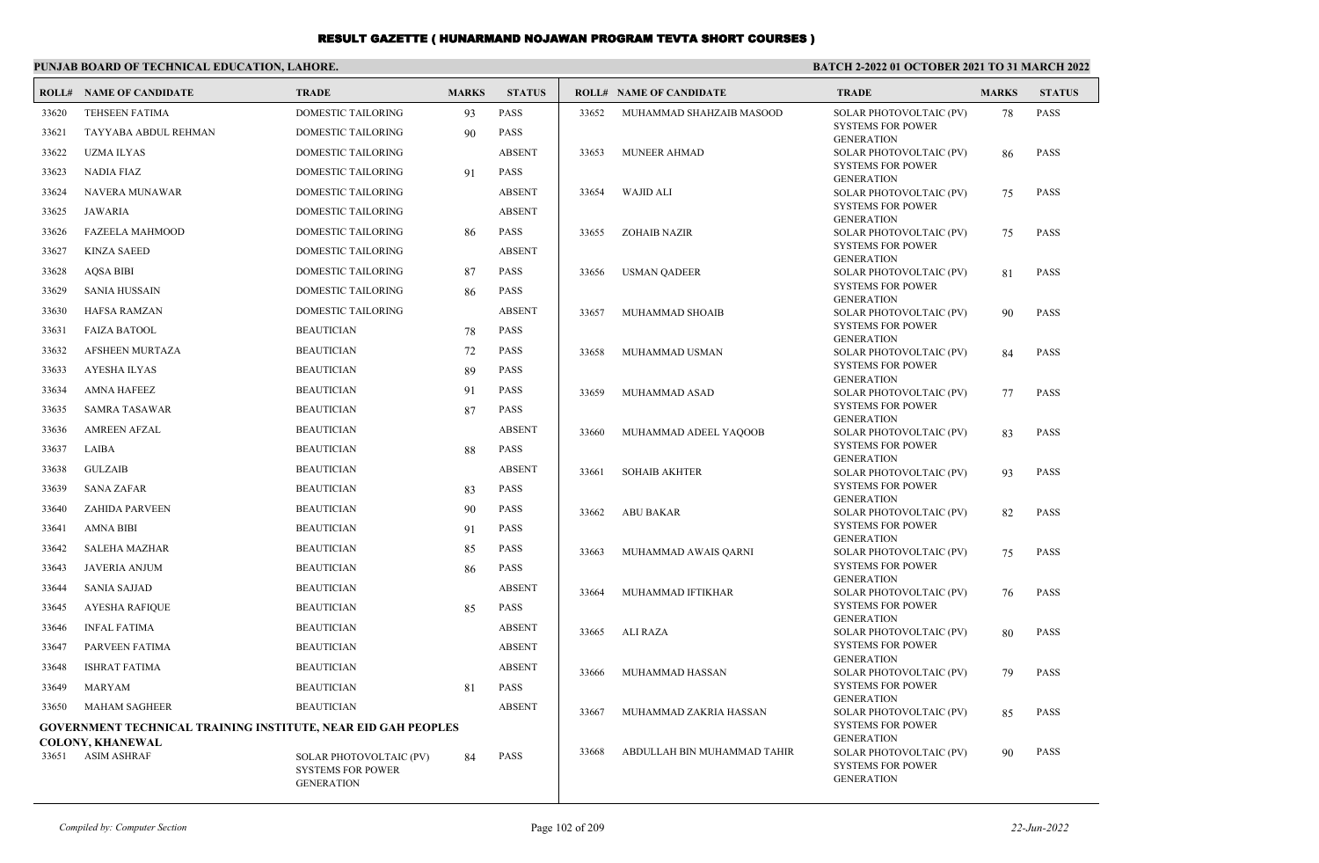#### **PUNJAB BOARD OF TECHNICAL EDUCATION, LAHORE.**

#### **BATCH 2-2022 01 OCTOBER 2021 TO 31 MARCH 2022**

|       | <b>ROLL# NAME OF CANDIDATE</b>                                                           | <b>TRADE</b>                                                             | <b>MARKS</b> | <b>STATUS</b> |       | <b>ROLL# NAME OF CANDIDATE</b> | <b>TRADE</b>                                                             | <b>MARKS</b> | <b>STATUS</b> |
|-------|------------------------------------------------------------------------------------------|--------------------------------------------------------------------------|--------------|---------------|-------|--------------------------------|--------------------------------------------------------------------------|--------------|---------------|
| 33620 | <b>TEHSEEN FATIMA</b>                                                                    | <b>DOMESTIC TAILORING</b>                                                | 93           | <b>PASS</b>   | 33652 | MUHAMMAD SHAHZAIB MASOOD       | SOLAR PHOTOVOLTAIC (PV)                                                  | 78           | <b>PASS</b>   |
| 33621 | TAYYABA ABDUL REHMAN                                                                     | <b>DOMESTIC TAILORING</b>                                                | 90           | <b>PASS</b>   |       |                                | <b>SYSTEMS FOR POWER</b><br><b>GENERATION</b>                            |              |               |
| 33622 | <b>UZMA ILYAS</b>                                                                        | DOMESTIC TAILORING                                                       |              | <b>ABSENT</b> | 33653 | <b>MUNEER AHMAD</b>            | SOLAR PHOTOVOLTAIC (PV)                                                  | 86           | <b>PASS</b>   |
| 33623 | <b>NADIA FIAZ</b>                                                                        | <b>DOMESTIC TAILORING</b>                                                | 91           | <b>PASS</b>   |       |                                | <b>SYSTEMS FOR POWER</b><br><b>GENERATION</b>                            |              |               |
| 33624 | <b>NAVERA MUNAWAR</b>                                                                    | <b>DOMESTIC TAILORING</b>                                                |              | <b>ABSENT</b> | 33654 | <b>WAJID ALI</b>               | SOLAR PHOTOVOLTAIC (PV)                                                  | 75           | <b>PASS</b>   |
| 33625 | <b>JAWARIA</b>                                                                           | <b>DOMESTIC TAILORING</b>                                                |              | <b>ABSENT</b> |       |                                | <b>SYSTEMS FOR POWER</b>                                                 |              |               |
| 33626 | <b>FAZEELA MAHMOOD</b>                                                                   | DOMESTIC TAILORING                                                       | 86           | <b>PASS</b>   | 33655 | <b>ZOHAIB NAZIR</b>            | <b>GENERATION</b><br>SOLAR PHOTOVOLTAIC (PV)                             | 75           | <b>PASS</b>   |
| 33627 | <b>KINZA SAEED</b>                                                                       | DOMESTIC TAILORING                                                       |              | <b>ABSENT</b> |       |                                | <b>SYSTEMS FOR POWER</b>                                                 |              |               |
| 33628 | <b>AOSA BIBI</b>                                                                         | <b>DOMESTIC TAILORING</b>                                                | 87           | <b>PASS</b>   | 33656 | <b>USMAN QADEER</b>            | <b>GENERATION</b><br>SOLAR PHOTOVOLTAIC (PV)                             | 81           | <b>PASS</b>   |
| 33629 | <b>SANIA HUSSAIN</b>                                                                     | <b>DOMESTIC TAILORING</b>                                                | 86           | <b>PASS</b>   |       |                                | <b>SYSTEMS FOR POWER</b>                                                 |              |               |
| 33630 | <b>HAFSA RAMZAN</b>                                                                      | <b>DOMESTIC TAILORING</b>                                                |              | <b>ABSENT</b> | 33657 | MUHAMMAD SHOAIB                | <b>GENERATION</b><br>SOLAR PHOTOVOLTAIC (PV)                             | 90           | <b>PASS</b>   |
| 33631 | <b>FAIZA BATOOL</b>                                                                      | <b>BEAUTICIAN</b>                                                        | 78           | <b>PASS</b>   |       |                                | <b>SYSTEMS FOR POWER</b>                                                 |              |               |
| 33632 | <b>AFSHEEN MURTAZA</b>                                                                   | <b>BEAUTICIAN</b>                                                        | 72           | <b>PASS</b>   | 33658 | MUHAMMAD USMAN                 | <b>GENERATION</b><br>SOLAR PHOTOVOLTAIC (PV)                             | 84           | <b>PASS</b>   |
| 33633 | <b>AYESHA ILYAS</b>                                                                      | <b>BEAUTICIAN</b>                                                        | 89           | <b>PASS</b>   |       |                                | <b>SYSTEMS FOR POWER</b>                                                 |              |               |
| 33634 | <b>AMNA HAFEEZ</b>                                                                       | <b>BEAUTICIAN</b>                                                        | 91           | <b>PASS</b>   | 33659 | MUHAMMAD ASAD                  | <b>GENERATION</b><br>SOLAR PHOTOVOLTAIC (PV)                             | 77           | <b>PASS</b>   |
| 33635 | <b>SAMRA TASAWAR</b>                                                                     | <b>BEAUTICIAN</b>                                                        | 87           | <b>PASS</b>   |       |                                | <b>SYSTEMS FOR POWER</b>                                                 |              |               |
| 33636 | <b>AMREEN AFZAL</b>                                                                      | <b>BEAUTICIAN</b>                                                        |              | <b>ABSENT</b> | 33660 | MUHAMMAD ADEEL YAQOOB          | <b>GENERATION</b><br>SOLAR PHOTOVOLTAIC (PV)                             | 83           | <b>PASS</b>   |
| 33637 | LAIBA                                                                                    | <b>BEAUTICIAN</b>                                                        | 88           | <b>PASS</b>   |       |                                | <b>SYSTEMS FOR POWER</b>                                                 |              |               |
| 33638 | GULZAIB                                                                                  | <b>BEAUTICIAN</b>                                                        |              | <b>ABSENT</b> | 33661 | <b>SOHAIB AKHTER</b>           | <b>GENERATION</b><br>SOLAR PHOTOVOLTAIC (PV)                             | 93           | <b>PASS</b>   |
| 33639 | <b>SANA ZAFAR</b>                                                                        | <b>BEAUTICIAN</b>                                                        | 83           | <b>PASS</b>   |       |                                | <b>SYSTEMS FOR POWER</b>                                                 |              |               |
| 33640 | <b>ZAHIDA PARVEEN</b>                                                                    | <b>BEAUTICIAN</b>                                                        | 90           | <b>PASS</b>   | 33662 | <b>ABU BAKAR</b>               | <b>GENERATION</b><br>SOLAR PHOTOVOLTAIC (PV)                             | 82           | <b>PASS</b>   |
| 33641 | <b>AMNA BIBI</b>                                                                         | <b>BEAUTICIAN</b>                                                        | 91           | <b>PASS</b>   |       |                                | <b>SYSTEMS FOR POWER</b>                                                 |              |               |
| 33642 | <b>SALEHA MAZHAR</b>                                                                     | <b>BEAUTICIAN</b>                                                        | 85           | <b>PASS</b>   |       |                                | <b>GENERATION</b>                                                        |              |               |
| 33643 | <b>JAVERIA ANJUM</b>                                                                     | <b>BEAUTICIAN</b>                                                        | 86           | <b>PASS</b>   | 33663 | MUHAMMAD AWAIS QARNI           | SOLAR PHOTOVOLTAIC (PV)<br><b>SYSTEMS FOR POWER</b>                      | 75           | <b>PASS</b>   |
| 33644 | <b>SANIA SAJJAD</b>                                                                      | <b>BEAUTICIAN</b>                                                        |              | <b>ABSENT</b> |       |                                | <b>GENERATION</b>                                                        |              |               |
| 33645 | <b>AYESHA RAFIQUE</b>                                                                    | <b>BEAUTICIAN</b>                                                        | 85           | <b>PASS</b>   | 33664 | MUHAMMAD IFTIKHAR              | SOLAR PHOTOVOLTAIC (PV)<br><b>SYSTEMS FOR POWER</b>                      | 76           | <b>PASS</b>   |
| 33646 | <b>INFAL FATIMA</b>                                                                      | <b>BEAUTICIAN</b>                                                        |              | <b>ABSENT</b> |       |                                | <b>GENERATION</b>                                                        |              |               |
| 33647 | PARVEEN FATIMA                                                                           | <b>BEAUTICIAN</b>                                                        |              | <b>ABSENT</b> | 33665 | <b>ALI RAZA</b>                | SOLAR PHOTOVOLTAIC (PV)<br><b>SYSTEMS FOR POWER</b>                      | 80           | <b>PASS</b>   |
| 33648 | <b>ISHRAT FATIMA</b>                                                                     | <b>BEAUTICIAN</b>                                                        |              | <b>ABSENT</b> |       |                                | <b>GENERATION</b>                                                        |              |               |
| 33649 | <b>MARYAM</b>                                                                            | <b>BEAUTICIAN</b>                                                        | 81           | <b>PASS</b>   | 33666 | MUHAMMAD HASSAN                | SOLAR PHOTOVOLTAIC (PV)<br><b>SYSTEMS FOR POWER</b>                      | 79           | <b>PASS</b>   |
| 33650 | <b>MAHAM SAGHEER</b>                                                                     | <b>BEAUTICIAN</b>                                                        |              | <b>ABSENT</b> |       |                                | <b>GENERATION</b>                                                        |              |               |
|       |                                                                                          |                                                                          |              |               | 33667 | MUHAMMAD ZAKRIA HASSAN         | SOLAR PHOTOVOLTAIC (PV)<br><b>SYSTEMS FOR POWER</b>                      | 85           | <b>PASS</b>   |
|       | GOVERNMENT TECHNICAL TRAINING INSTITUTE, NEAR EID GAH PEOPLES<br><b>COLONY, KHANEWAL</b> |                                                                          |              |               |       |                                | <b>GENERATION</b>                                                        |              |               |
| 33651 | <b>ASIM ASHRAF</b>                                                                       | SOLAR PHOTOVOLTAIC (PV)<br><b>SYSTEMS FOR POWER</b><br><b>GENERATION</b> | 84           | <b>PASS</b>   | 33668 | ABDULLAH BIN MUHAMMAD TAHIR    | SOLAR PHOTOVOLTAIC (PV)<br><b>SYSTEMS FOR POWER</b><br><b>GENERATION</b> | 90           | <b>PASS</b>   |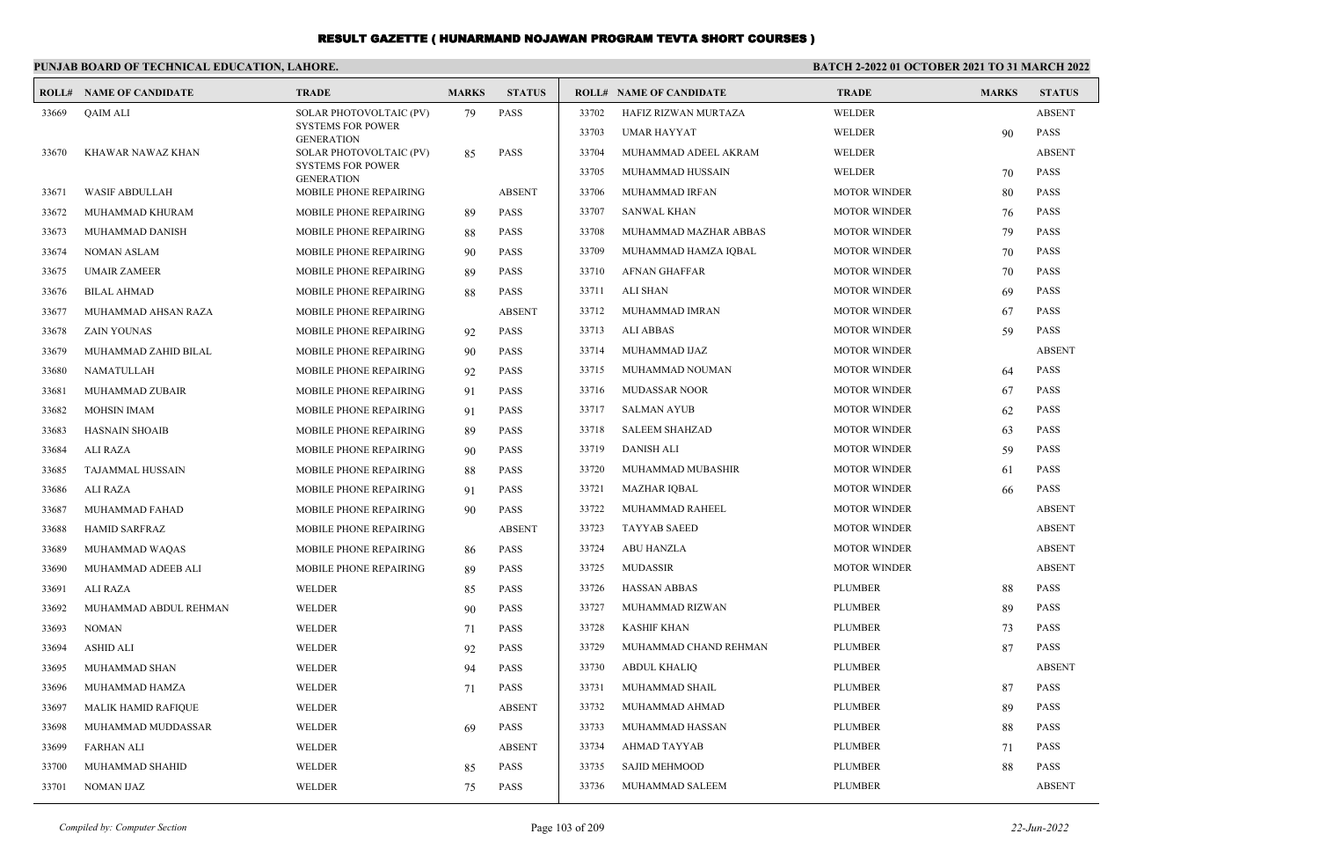|       | PUNJAB BOARD OF TECHNICAL EDUCATION, LAHORE. |                                               |              |               | <b>BATCH 2-2022 01 OCTOBER 2021 TO 31 MARCH 2022</b> |                                |                     |              |               |
|-------|----------------------------------------------|-----------------------------------------------|--------------|---------------|------------------------------------------------------|--------------------------------|---------------------|--------------|---------------|
| ROLL# | <b>NAME OF CANDIDATE</b>                     | <b>TRADE</b>                                  | <b>MARKS</b> | <b>STATUS</b> |                                                      | <b>ROLL# NAME OF CANDIDATE</b> | <b>TRADE</b>        | <b>MARKS</b> | <b>STATUS</b> |
| 33669 | <b>QAIM ALI</b>                              | SOLAR PHOTOVOLTAIC (PV)                       | 79           | <b>PASS</b>   | 33702                                                | HAFIZ RIZWAN MURTAZA           | <b>WELDER</b>       |              | <b>ABSENT</b> |
|       |                                              | <b>SYSTEMS FOR POWER</b><br><b>GENERATION</b> |              |               | 33703                                                | <b>UMAR HAYYAT</b>             | WELDER              | 90           | <b>PASS</b>   |
| 33670 | KHAWAR NAWAZ KHAN                            | SOLAR PHOTOVOLTAIC (PV)                       | 85           | <b>PASS</b>   | 33704                                                | MUHAMMAD ADEEL AKRAM           | WELDER              |              | <b>ABSENT</b> |
|       |                                              | <b>SYSTEMS FOR POWER</b><br><b>GENERATION</b> |              |               | 33705                                                | MUHAMMAD HUSSAIN               | <b>WELDER</b>       | 70           | <b>PASS</b>   |
| 33671 | <b>WASIF ABDULLAH</b>                        | MOBILE PHONE REPAIRING                        |              | <b>ABSENT</b> | 33706                                                | MUHAMMAD IRFAN                 | <b>MOTOR WINDER</b> | 80           | <b>PASS</b>   |
| 33672 | MUHAMMAD KHURAM                              | MOBILE PHONE REPAIRING                        | 89           | <b>PASS</b>   | 33707                                                | <b>SANWAL KHAN</b>             | <b>MOTOR WINDER</b> | 76           | <b>PASS</b>   |
| 33673 | MUHAMMAD DANISH                              | <b>MOBILE PHONE REPAIRING</b>                 | 88           | <b>PASS</b>   | 33708                                                | MUHAMMAD MAZHAR ABBAS          | <b>MOTOR WINDER</b> | 79           | <b>PASS</b>   |
| 33674 | <b>NOMAN ASLAM</b>                           | <b>MOBILE PHONE REPAIRING</b>                 | 90           | <b>PASS</b>   | 33709                                                | MUHAMMAD HAMZA IQBAL           | <b>MOTOR WINDER</b> | 70           | <b>PASS</b>   |
| 33675 | <b>UMAIR ZAMEER</b>                          | MOBILE PHONE REPAIRING                        | 89           | <b>PASS</b>   | 33710                                                | <b>AFNAN GHAFFAR</b>           | <b>MOTOR WINDER</b> | 70           | <b>PASS</b>   |
| 33676 | <b>BILAL AHMAD</b>                           | MOBILE PHONE REPAIRING                        | 88           | <b>PASS</b>   | 33711                                                | <b>ALI SHAN</b>                | <b>MOTOR WINDER</b> | 69           | <b>PASS</b>   |
| 33677 | MUHAMMAD AHSAN RAZA                          | MOBILE PHONE REPAIRING                        |              | <b>ABSENT</b> | 33712                                                | MUHAMMAD IMRAN                 | <b>MOTOR WINDER</b> | 67           | <b>PASS</b>   |
| 33678 | <b>ZAIN YOUNAS</b>                           | MOBILE PHONE REPAIRING                        | 92           | <b>PASS</b>   | 33713                                                | ALI ABBAS                      | <b>MOTOR WINDER</b> | 59           | <b>PASS</b>   |
| 33679 | MUHAMMAD ZAHID BILAL                         | MOBILE PHONE REPAIRING                        | 90           | PASS          | 33714                                                | MUHAMMAD IJAZ                  | <b>MOTOR WINDER</b> |              | <b>ABSENT</b> |
| 33680 | NAMATULLAH                                   | MOBILE PHONE REPAIRING                        | 92           | PASS          | 33715                                                | MUHAMMAD NOUMAN                | <b>MOTOR WINDER</b> | 64           | <b>PASS</b>   |
| 33681 | MUHAMMAD ZUBAIR                              | MOBILE PHONE REPAIRING                        | 91           | PASS          | 33716                                                | <b>MUDASSAR NOOR</b>           | <b>MOTOR WINDER</b> | 67           | <b>PASS</b>   |
| 33682 | <b>MOHSIN IMAM</b>                           | MOBILE PHONE REPAIRING                        | 91           | <b>PASS</b>   | 33717                                                | <b>SALMAN AYUB</b>             | <b>MOTOR WINDER</b> | 62           | <b>PASS</b>   |
| 33683 | <b>HASNAIN SHOAIB</b>                        | MOBILE PHONE REPAIRING                        | 89           | PASS          | 33718                                                | <b>SALEEM SHAHZAD</b>          | <b>MOTOR WINDER</b> | 63           | <b>PASS</b>   |
| 33684 | ALI RAZA                                     | MOBILE PHONE REPAIRING                        | 90           | PASS          | 33719                                                | <b>DANISH ALI</b>              | <b>MOTOR WINDER</b> | 59           | <b>PASS</b>   |
| 33685 | TAJAMMAL HUSSAIN                             | MOBILE PHONE REPAIRING                        | 88           | PASS          | 33720                                                | MUHAMMAD MUBASHIR              | <b>MOTOR WINDER</b> | 61           | <b>PASS</b>   |
| 33686 | ALI RAZA                                     | MOBILE PHONE REPAIRING                        | 91           | <b>PASS</b>   | 33721                                                | <b>MAZHAR IQBAL</b>            | <b>MOTOR WINDER</b> | 66           | <b>PASS</b>   |
| 33687 | MUHAMMAD FAHAD                               | MOBILE PHONE REPAIRING                        | 90           | <b>PASS</b>   | 33722                                                | MUHAMMAD RAHEEL                | <b>MOTOR WINDER</b> |              | <b>ABSENT</b> |
| 33688 | <b>HAMID SARFRAZ</b>                         | <b>MOBILE PHONE REPAIRING</b>                 |              | <b>ABSENT</b> | 33723                                                | <b>TAYYAB SAEED</b>            | <b>MOTOR WINDER</b> |              | <b>ABSENT</b> |
| 33689 | MUHAMMAD WAQAS                               | <b>MOBILE PHONE REPAIRING</b>                 | 86           | <b>PASS</b>   | 33724                                                | <b>ABU HANZLA</b>              | <b>MOTOR WINDER</b> |              | <b>ABSENT</b> |
| 33690 | MUHAMMAD ADEEB ALI                           | MOBILE PHONE REPAIRING                        | 89           | <b>PASS</b>   | 33725                                                | <b>MUDASSIR</b>                | <b>MOTOR WINDER</b> |              | <b>ABSENT</b> |
| 33691 | ALI RAZA                                     | WELDER                                        | 85           | <b>PASS</b>   | 33726                                                | <b>HASSAN ABBAS</b>            | <b>PLUMBER</b>      | 88           | <b>PASS</b>   |
| 33692 | MUHAMMAD ABDUL REHMAN                        | WELDER                                        | 90           | <b>PASS</b>   | 33727                                                | MUHAMMAD RIZWAN                | <b>PLUMBER</b>      | 89           | <b>PASS</b>   |
| 33693 | <b>NOMAN</b>                                 | WELDER                                        | 71           | <b>PASS</b>   | 33728                                                | <b>KASHIF KHAN</b>             | <b>PLUMBER</b>      | 73           | <b>PASS</b>   |
| 33694 | <b>ASHID ALI</b>                             | WELDER                                        | 92           | <b>PASS</b>   | 33729                                                | MUHAMMAD CHAND REHMAN          | <b>PLUMBER</b>      | 87           | <b>PASS</b>   |
| 33695 | MUHAMMAD SHAN                                | WELDER                                        | 94           | <b>PASS</b>   | 33730                                                | <b>ABDUL KHALIQ</b>            | <b>PLUMBER</b>      |              | <b>ABSENT</b> |
| 33696 | MUHAMMAD HAMZA                               | WELDER                                        | 71           | PASS          | 33731                                                | MUHAMMAD SHAIL                 | <b>PLUMBER</b>      | 87           | <b>PASS</b>   |
| 33697 | <b>MALIK HAMID RAFIQUE</b>                   | WELDER                                        |              | <b>ABSENT</b> | 33732                                                | MUHAMMAD AHMAD                 | <b>PLUMBER</b>      | 89           | <b>PASS</b>   |
| 33698 | MUHAMMAD MUDDASSAR                           | WELDER                                        | 69           | <b>PASS</b>   | 33733                                                | MUHAMMAD HASSAN                | <b>PLUMBER</b>      | 88           | <b>PASS</b>   |
| 33699 | <b>FARHAN ALI</b>                            | <b>WELDER</b>                                 |              | <b>ABSENT</b> | 33734                                                | <b>AHMAD TAYYAB</b>            | <b>PLUMBER</b>      | 71           | <b>PASS</b>   |
| 33700 | MUHAMMAD SHAHID                              | <b>WELDER</b>                                 | 85           | <b>PASS</b>   | 33735                                                | <b>SAJID MEHMOOD</b>           | <b>PLUMBER</b>      | 88           | <b>PASS</b>   |
| 33701 | <b>NOMAN IJAZ</b>                            | WELDER                                        | 75           | PASS          | 33736                                                | MUHAMMAD SALEEM                | <b>PLUMBER</b>      |              | <b>ABSENT</b> |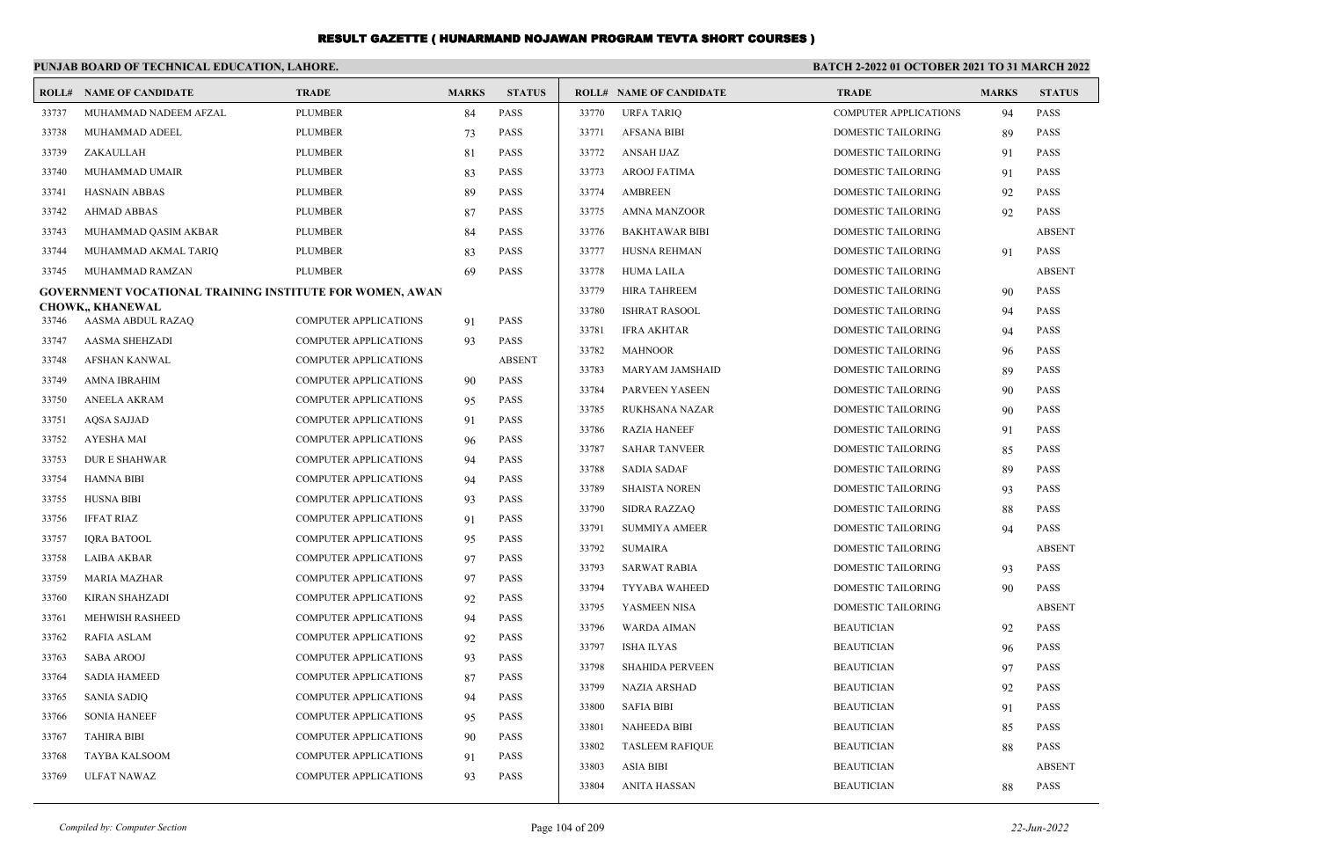|       | PUNJAB BOARD OF TECHNICAL EDUCATION, LAHORE.                    |                              |              |               |       | <b>BATCH 2-2022 01 OCTOBER 2021 TO 31 MARCH 2022</b> |                              |              |               |
|-------|-----------------------------------------------------------------|------------------------------|--------------|---------------|-------|------------------------------------------------------|------------------------------|--------------|---------------|
|       | <b>ROLL# NAME OF CANDIDATE</b>                                  | <b>TRADE</b>                 | <b>MARKS</b> | <b>STATUS</b> |       | <b>ROLL# NAME OF CANDIDATE</b>                       | <b>TRADE</b>                 | <b>MARKS</b> | <b>STATUS</b> |
| 33737 | MUHAMMAD NADEEM AFZAL                                           | <b>PLUMBER</b>               | 84           | <b>PASS</b>   | 33770 | <b>URFA TARIO</b>                                    | <b>COMPUTER APPLICATIONS</b> | 94           | <b>PASS</b>   |
| 33738 | MUHAMMAD ADEEL                                                  | <b>PLUMBER</b>               | 73           | <b>PASS</b>   | 33771 | <b>AFSANA BIBI</b>                                   | DOMESTIC TAILORING           | 89           | <b>PASS</b>   |
| 33739 | ZAKAULLAH                                                       | <b>PLUMBER</b>               | 81           | <b>PASS</b>   | 33772 | <b>ANSAH IJAZ</b>                                    | DOMESTIC TAILORING           | 91           | <b>PASS</b>   |
| 33740 | MUHAMMAD UMAIR                                                  | <b>PLUMBER</b>               | 83           | <b>PASS</b>   | 33773 | <b>AROOJ FATIMA</b>                                  | <b>DOMESTIC TAILORING</b>    | 91           | <b>PASS</b>   |
| 33741 | <b>HASNAIN ABBAS</b>                                            | <b>PLUMBER</b>               | 89           | <b>PASS</b>   | 33774 | <b>AMBREEN</b>                                       | DOMESTIC TAILORING           | 92           | <b>PASS</b>   |
| 33742 | <b>AHMAD ABBAS</b>                                              | <b>PLUMBER</b>               | 87           | <b>PASS</b>   | 33775 | AMNA MANZOOR                                         | DOMESTIC TAILORING           | 92           | <b>PASS</b>   |
| 33743 | MUHAMMAD QASIM AKBAR                                            | <b>PLUMBER</b>               | 84           | <b>PASS</b>   | 33776 | <b>BAKHTAWAR BIBI</b>                                | <b>DOMESTIC TAILORING</b>    |              | <b>ABSENT</b> |
| 33744 | MUHAMMAD AKMAL TARIQ                                            | <b>PLUMBER</b>               | 83           | <b>PASS</b>   | 33777 | HUSNA REHMAN                                         | <b>DOMESTIC TAILORING</b>    | 91           | <b>PASS</b>   |
| 33745 | MUHAMMAD RAMZAN                                                 | <b>PLUMBER</b>               | 69           | <b>PASS</b>   | 33778 | <b>HUMA LAILA</b>                                    | DOMESTIC TAILORING           |              | <b>ABSENT</b> |
|       | <b>GOVERNMENT VOCATIONAL TRAINING INSTITUTE FOR WOMEN, AWAN</b> |                              |              |               | 33779 | <b>HIRA TAHREEM</b>                                  | <b>DOMESTIC TAILORING</b>    | 90           | <b>PASS</b>   |
| 33746 | <b>CHOWK., KHANEWAL</b><br>AASMA ABDUL RAZAQ                    | <b>COMPUTER APPLICATIONS</b> | 91           | <b>PASS</b>   | 33780 | <b>ISHRAT RASOOL</b>                                 | <b>DOMESTIC TAILORING</b>    | 94           | <b>PASS</b>   |
| 33747 | <b>AASMA SHEHZADI</b>                                           | <b>COMPUTER APPLICATIONS</b> | 93           | <b>PASS</b>   | 33781 | <b>IFRA AKHTAR</b>                                   | DOMESTIC TAILORING           | 94           | <b>PASS</b>   |
| 33748 | <b>AFSHAN KANWAL</b>                                            | <b>COMPUTER APPLICATIONS</b> |              | <b>ABSENT</b> | 33782 | <b>MAHNOOR</b>                                       | <b>DOMESTIC TAILORING</b>    | 96           | <b>PASS</b>   |
| 33749 | <b>AMNA IBRAHIM</b>                                             | <b>COMPUTER APPLICATIONS</b> | 90           | <b>PASS</b>   | 33783 | <b>MARYAM JAMSHAID</b>                               | <b>DOMESTIC TAILORING</b>    | 89           | <b>PASS</b>   |
| 33750 | <b>ANEELA AKRAM</b>                                             | <b>COMPUTER APPLICATIONS</b> | 95           | <b>PASS</b>   | 33784 | <b>PARVEEN YASEEN</b>                                | <b>DOMESTIC TAILORING</b>    | 90           | <b>PASS</b>   |
| 33751 | <b>AOSA SAJJAD</b>                                              | <b>COMPUTER APPLICATIONS</b> | 91           | <b>PASS</b>   | 33785 | <b>RUKHSANA NAZAR</b>                                | <b>DOMESTIC TAILORING</b>    | 90           | <b>PASS</b>   |
| 33752 | <b>AYESHA MAI</b>                                               | <b>COMPUTER APPLICATIONS</b> | 96           | <b>PASS</b>   | 33786 | <b>RAZIA HANEEF</b>                                  | DOMESTIC TAILORING           | 91           | <b>PASS</b>   |
| 33753 | <b>DUR E SHAHWAR</b>                                            | <b>COMPUTER APPLICATIONS</b> | 94           | <b>PASS</b>   | 33787 | <b>SAHAR TANVEER</b>                                 | <b>DOMESTIC TAILORING</b>    | 85           | <b>PASS</b>   |
| 33754 | <b>HAMNA BIBI</b>                                               | <b>COMPUTER APPLICATIONS</b> | 94           | <b>PASS</b>   | 33788 | <b>SADIA SADAF</b>                                   | <b>DOMESTIC TAILORING</b>    | 89           | <b>PASS</b>   |
| 33755 | <b>HUSNA BIBI</b>                                               | <b>COMPUTER APPLICATIONS</b> | 93           | <b>PASS</b>   | 33789 | <b>SHAISTA NOREN</b>                                 | DOMESTIC TAILORING           | 93           | <b>PASS</b>   |
| 33756 | <b>IFFAT RIAZ</b>                                               | <b>COMPUTER APPLICATIONS</b> | 91           | <b>PASS</b>   | 33790 | <b>SIDRA RAZZAQ</b>                                  | DOMESTIC TAILORING           | 88           | <b>PASS</b>   |
| 33757 | <b>IQRA BATOOL</b>                                              | <b>COMPUTER APPLICATIONS</b> | 95           | <b>PASS</b>   | 33791 | <b>SUMMIYA AMEER</b>                                 | <b>DOMESTIC TAILORING</b>    | 94           | <b>PASS</b>   |
| 33758 | <b>LAIBA AKBAR</b>                                              | <b>COMPUTER APPLICATIONS</b> | 97           | <b>PASS</b>   | 33792 | <b>SUMAIRA</b>                                       | DOMESTIC TAILORING           |              | <b>ABSENT</b> |
| 33759 | <b>MARIA MAZHAR</b>                                             | <b>COMPUTER APPLICATIONS</b> | 97           | PASS          | 33793 | <b>SARWAT RABIA</b>                                  | DOMESTIC TAILORING           | 93           | <b>PASS</b>   |
| 33760 | <b>KIRAN SHAHZADI</b>                                           | <b>COMPUTER APPLICATIONS</b> | 92           | PASS          | 33794 | <b>TYYABA WAHEED</b>                                 | <b>DOMESTIC TAILORING</b>    | 90           | <b>PASS</b>   |
| 33761 | MEHWISH RASHEED                                                 | <b>COMPUTER APPLICATIONS</b> | 94           | <b>PASS</b>   | 33795 | YASMEEN NISA                                         | <b>DOMESTIC TAILORING</b>    |              | <b>ABSENT</b> |
| 33762 | <b>RAFIA ASLAM</b>                                              | <b>COMPUTER APPLICATIONS</b> | 92           | <b>PASS</b>   | 33796 | WARDA AIMAN                                          | <b>BEAUTICIAN</b>            | 92           | PASS          |
| 33763 | <b>SABA AROOJ</b>                                               | <b>COMPUTER APPLICATIONS</b> | 93           | <b>PASS</b>   | 33797 | <b>ISHA ILYAS</b>                                    | <b>BEAUTICIAN</b>            | 96           | <b>PASS</b>   |
| 33764 | <b>SADIA HAMEED</b>                                             | <b>COMPUTER APPLICATIONS</b> |              | <b>PASS</b>   | 33798 | <b>SHAHIDA PERVEEN</b>                               | <b>BEAUTICIAN</b>            | 97           | <b>PASS</b>   |
| 33765 | <b>SANIA SADIO</b>                                              | <b>COMPUTER APPLICATIONS</b> | 87<br>94     | <b>PASS</b>   | 33799 | <b>NAZIA ARSHAD</b>                                  | <b>BEAUTICIAN</b>            | 92           | <b>PASS</b>   |
| 33766 | <b>SONIA HANEEF</b>                                             | <b>COMPUTER APPLICATIONS</b> | 95           | <b>PASS</b>   | 33800 | <b>SAFIA BIBI</b>                                    | <b>BEAUTICIAN</b>            | 91           | <b>PASS</b>   |
| 33767 | <b>TAHIRA BIBI</b>                                              | <b>COMPUTER APPLICATIONS</b> | 90           | <b>PASS</b>   | 33801 | <b>NAHEEDA BIBI</b>                                  | <b>BEAUTICIAN</b>            | 85           | <b>PASS</b>   |
| 33768 | <b>TAYBA KALSOOM</b>                                            | <b>COMPUTER APPLICATIONS</b> | 91           | <b>PASS</b>   | 33802 | <b>TASLEEM RAFIQUE</b>                               | <b>BEAUTICIAN</b>            | 88           | <b>PASS</b>   |
| 33769 | <b>ULFAT NAWAZ</b>                                              | <b>COMPUTER APPLICATIONS</b> | 93           | <b>PASS</b>   | 33803 | ASIA BIBI                                            | <b>BEAUTICIAN</b>            |              | <b>ABSENT</b> |
|       |                                                                 |                              |              |               | 33804 | ANITA HASSAN                                         | <b>BEAUTICIAN</b>            | 88           | <b>PASS</b>   |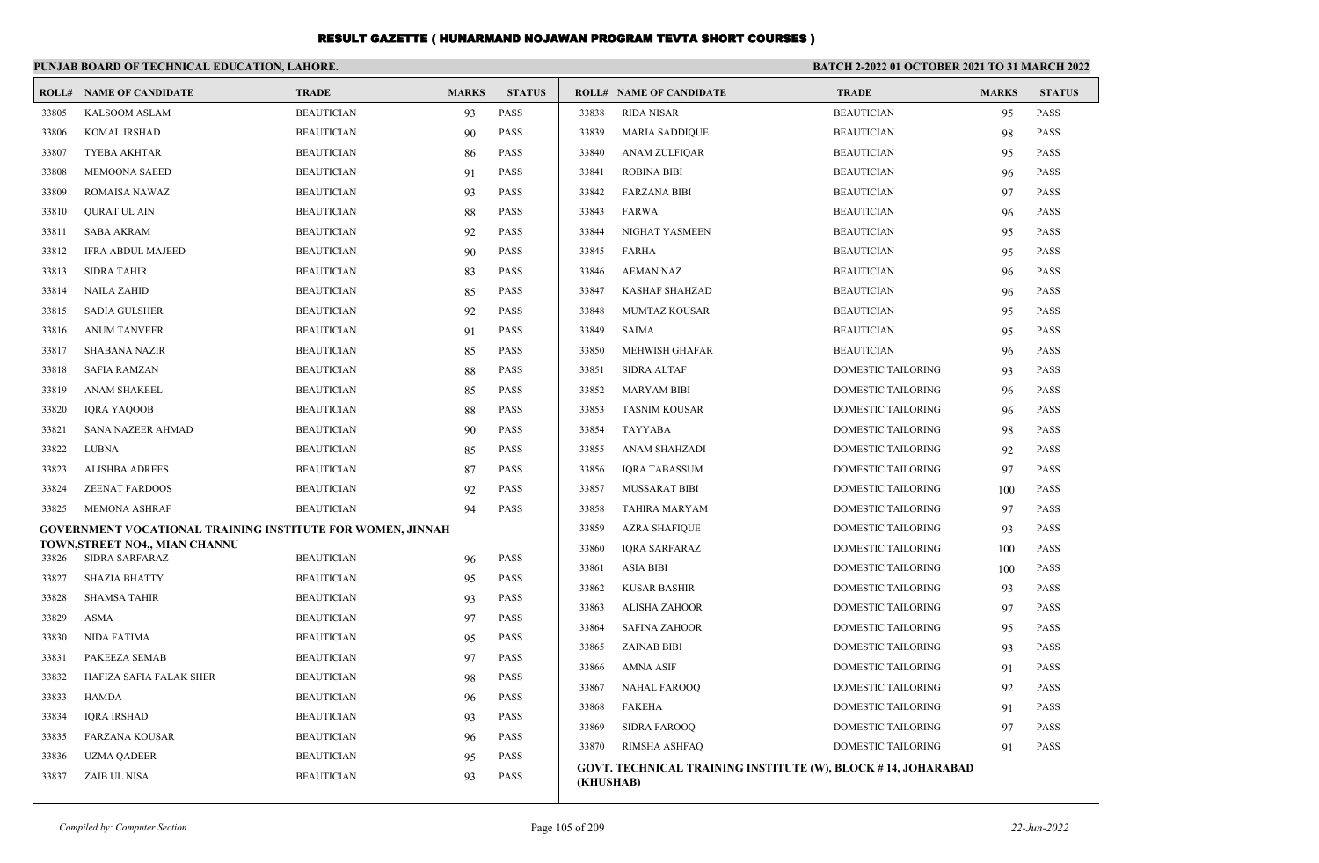|       | PUNJAB BOARD OF TECHNICAL EDUCATION, LAHORE.               |                   |              |               | <b>BATCH 2-2022 01 OCTOBER 2021 TO 31 MARCH 2022</b> |                                                              |                           |              |               |
|-------|------------------------------------------------------------|-------------------|--------------|---------------|------------------------------------------------------|--------------------------------------------------------------|---------------------------|--------------|---------------|
|       | <b>ROLL# NAME OF CANDIDATE</b>                             | <b>TRADE</b>      | <b>MARKS</b> | <b>STATUS</b> |                                                      | <b>ROLL# NAME OF CANDIDATE</b>                               | <b>TRADE</b>              | <b>MARKS</b> | <b>STATUS</b> |
| 33805 | KALSOOM ASLAM                                              | <b>BEAUTICIAN</b> | 93           | PASS          | 33838                                                | <b>RIDA NISAR</b>                                            | <b>BEAUTICIAN</b>         | 95           | <b>PASS</b>   |
| 33806 | <b>KOMAL IRSHAD</b>                                        | <b>BEAUTICIAN</b> | 90           | <b>PASS</b>   | 33839                                                | <b>MARIA SADDIQUE</b>                                        | <b>BEAUTICIAN</b>         | 98           | <b>PASS</b>   |
| 33807 | <b>TYEBA AKHTAR</b>                                        | <b>BEAUTICIAN</b> | -86          | <b>PASS</b>   | 33840                                                | <b>ANAM ZULFIQAR</b>                                         | <b>BEAUTICIAN</b>         | 95           | <b>PASS</b>   |
| 33808 | <b>MEMOONA SAEED</b>                                       | <b>BEAUTICIAN</b> | 91           | <b>PASS</b>   | 33841                                                | <b>ROBINA BIBI</b>                                           | <b>BEAUTICIAN</b>         | 96           | <b>PASS</b>   |
| 33809 | <b>ROMAISA NAWAZ</b>                                       | <b>BEAUTICIAN</b> | 93           | <b>PASS</b>   | 33842                                                | <b>FARZANA BIBI</b>                                          | <b>BEAUTICIAN</b>         | 97           | <b>PASS</b>   |
| 33810 | QURAT UL AIN                                               | <b>BEAUTICIAN</b> | 88           | <b>PASS</b>   | 33843                                                | <b>FARWA</b>                                                 | <b>BEAUTICIAN</b>         | 96           | <b>PASS</b>   |
| 33811 | <b>SABA AKRAM</b>                                          | <b>BEAUTICIAN</b> | 92           | <b>PASS</b>   | 33844                                                | NIGHAT YASMEEN                                               | <b>BEAUTICIAN</b>         | 95           | <b>PASS</b>   |
| 33812 | <b>IFRA ABDUL MAJEED</b>                                   | <b>BEAUTICIAN</b> | 90           | <b>PASS</b>   | 33845                                                | <b>FARHA</b>                                                 | <b>BEAUTICIAN</b>         | 95           | <b>PASS</b>   |
| 33813 | <b>SIDRA TAHIR</b>                                         | <b>BEAUTICIAN</b> | 83           | <b>PASS</b>   | 33846                                                | <b>AEMAN NAZ</b>                                             | <b>BEAUTICIAN</b>         | 96           | <b>PASS</b>   |
| 33814 | <b>NAILA ZAHID</b>                                         | <b>BEAUTICIAN</b> | 85           | <b>PASS</b>   | 33847                                                | <b>KASHAF SHAHZAD</b>                                        | <b>BEAUTICIAN</b>         | 96           | <b>PASS</b>   |
| 33815 | <b>SADIA GULSHER</b>                                       | <b>BEAUTICIAN</b> | 92           | <b>PASS</b>   | 33848                                                | <b>MUMTAZ KOUSAR</b>                                         | <b>BEAUTICIAN</b>         | 95           | <b>PASS</b>   |
| 33816 | <b>ANUM TANVEER</b>                                        | <b>BEAUTICIAN</b> | 91           | <b>PASS</b>   | 33849                                                | <b>SAIMA</b>                                                 | <b>BEAUTICIAN</b>         | 95           | <b>PASS</b>   |
| 33817 | <b>SHABANA NAZIR</b>                                       | <b>BEAUTICIAN</b> | 85           | PASS          | 33850                                                | MEHWISH GHAFAR                                               | <b>BEAUTICIAN</b>         | 96           | <b>PASS</b>   |
| 33818 | <b>SAFIA RAMZAN</b>                                        | <b>BEAUTICIAN</b> | 88           | <b>PASS</b>   | 33851                                                | <b>SIDRA ALTAF</b>                                           | DOMESTIC TAILORING        | 93           | PASS          |
| 33819 | ANAM SHAKEEL                                               | <b>BEAUTICIAN</b> | 85           | <b>PASS</b>   | 33852                                                | <b>MARYAM BIBI</b>                                           | DOMESTIC TAILORING        | 96           | <b>PASS</b>   |
| 33820 | <b>IQRA YAQOOB</b>                                         | <b>BEAUTICIAN</b> | 88           | <b>PASS</b>   | 33853                                                | <b>TASNIM KOUSAR</b>                                         | <b>DOMESTIC TAILORING</b> | 96           | <b>PASS</b>   |
| 33821 | SANA NAZEER AHMAD                                          | <b>BEAUTICIAN</b> | 90           | PASS          | 33854                                                | TAYYABA                                                      | DOMESTIC TAILORING        | 98           | <b>PASS</b>   |
| 33822 | <b>LUBNA</b>                                               | <b>BEAUTICIAN</b> | 85           | PASS          | 33855                                                | ANAM SHAHZADI                                                | DOMESTIC TAILORING        | 92           | <b>PASS</b>   |
| 33823 | <b>ALISHBA ADREES</b>                                      | <b>BEAUTICIAN</b> | 87           | <b>PASS</b>   | 33856                                                | <b>IQRA TABASSUM</b>                                         | DOMESTIC TAILORING        | 97           | <b>PASS</b>   |
| 33824 | <b>ZEENAT FARDOOS</b>                                      | <b>BEAUTICIAN</b> | 92           | <b>PASS</b>   | 33857                                                | MUSSARAT BIBI                                                | <b>DOMESTIC TAILORING</b> | 100          | <b>PASS</b>   |
| 33825 | <b>MEMONA ASHRAF</b>                                       | <b>BEAUTICIAN</b> | 94           | PASS          | 33858                                                | TAHIRA MARYAM                                                | DOMESTIC TAILORING        | 97           | <b>PASS</b>   |
|       | GOVERNMENT VOCATIONAL TRAINING INSTITUTE FOR WOMEN, JINNAH |                   |              |               | 33859                                                | <b>AZRA SHAFIQUE</b>                                         | <b>DOMESTIC TAILORING</b> | 93           | <b>PASS</b>   |
| 33826 | TOWN, STREET NO4,, MIAN CHANNU<br>SIDRA SARFARAZ           | <b>BEAUTICIAN</b> | 96           | PASS          | 33860                                                | <b>IQRA SARFARAZ</b>                                         | <b>DOMESTIC TAILORING</b> | 100          | <b>PASS</b>   |
| 33827 | <b>SHAZIA BHATTY</b>                                       | <b>BEAUTICIAN</b> | 95           | <b>PASS</b>   | 33861                                                | <b>ASIA BIBI</b>                                             | <b>DOMESTIC TAILORING</b> | 100          | <b>PASS</b>   |
| 33828 | <b>SHAMSA TAHIR</b>                                        | <b>BEAUTICIAN</b> | 93           | <b>PASS</b>   | 33862                                                | <b>KUSAR BASHIR</b>                                          | DOMESTIC TAILORING        | 93           | <b>PASS</b>   |
| 33829 | ASMA                                                       | <b>BEAUTICIAN</b> | 97           | PASS          | 33863                                                | <b>ALISHA ZAHOOR</b>                                         | <b>DOMESTIC TAILORING</b> | 97           | <b>PASS</b>   |
| 33830 | NIDA FATIMA                                                | <b>BEAUTICIAN</b> | 95           | <b>PASS</b>   | 33864                                                | <b>SAFINA ZAHOOR</b>                                         | <b>DOMESTIC TAILORING</b> | 95           | <b>PASS</b>   |
| 33831 | PAKEEZA SEMAB                                              | <b>BEAUTICIAN</b> | 97           | <b>PASS</b>   | 33865                                                | <b>ZAINAB BIBI</b>                                           | <b>DOMESTIC TAILORING</b> | 93           | <b>PASS</b>   |
| 33832 | HAFIZA SAFIA FALAK SHER                                    | <b>BEAUTICIAN</b> | 98           | <b>PASS</b>   | 33866                                                | <b>AMNA ASIF</b>                                             | <b>DOMESTIC TAILORING</b> | 91           | <b>PASS</b>   |
| 33833 | <b>HAMDA</b>                                               | <b>BEAUTICIAN</b> |              | PASS          | 33867                                                | <b>NAHAL FAROOQ</b>                                          | <b>DOMESTIC TAILORING</b> | 92           | <b>PASS</b>   |
| 33834 | <b>IQRA IRSHAD</b>                                         | <b>BEAUTICIAN</b> | 96<br>93     | <b>PASS</b>   | 33868                                                | <b>FAKEHA</b>                                                | <b>DOMESTIC TAILORING</b> | 91           | <b>PASS</b>   |
| 33835 | <b>FARZANA KOUSAR</b>                                      | <b>BEAUTICIAN</b> | 96           | <b>PASS</b>   | 33869                                                | <b>SIDRA FAROOQ</b>                                          | DOMESTIC TAILORING        | 97           | <b>PASS</b>   |
| 33836 | <b>UZMA QADEER</b>                                         | <b>BEAUTICIAN</b> | 95           | <b>PASS</b>   | 33870                                                | RIMSHA ASHFAQ                                                | DOMESTIC TAILORING        | 91           | <b>PASS</b>   |
| 33837 | ZAIB UL NISA                                               | <b>BEAUTICIAN</b> | 93           | <b>PASS</b>   |                                                      | GOVT. TECHNICAL TRAINING INSTITUTE (W), BLOCK #14, JOHARABAD |                           |              |               |
|       |                                                            |                   |              |               | (KHUSHAB)                                            |                                                              |                           |              |               |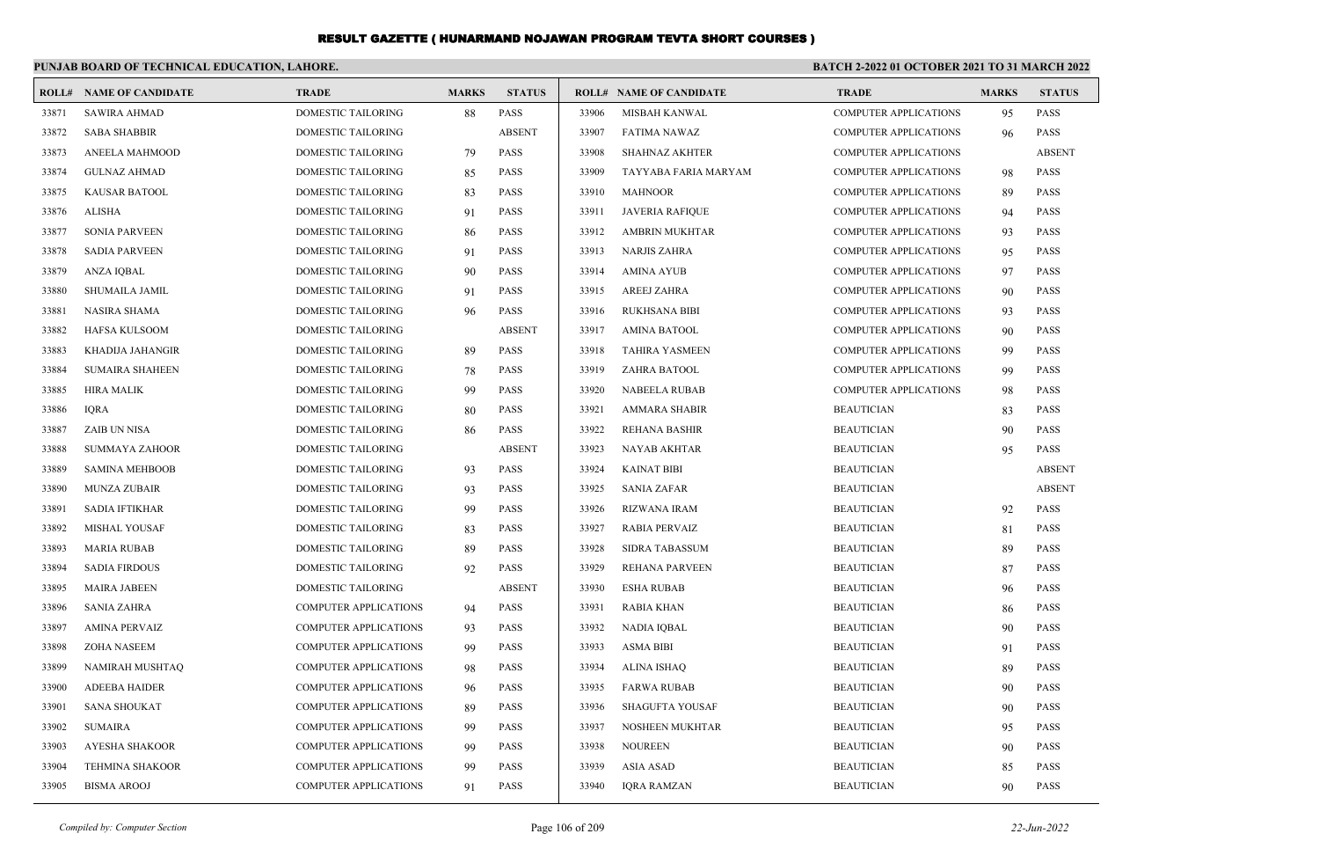| BATCH 2-2022 01 OCTOBER 2021 TO 31 MARCH 2022<br>PUNJAB BOARD OF TECHNICAL EDUCATION, LAHORE. |                                |                              |              |               |       |                                |                              |              |               |  |
|-----------------------------------------------------------------------------------------------|--------------------------------|------------------------------|--------------|---------------|-------|--------------------------------|------------------------------|--------------|---------------|--|
|                                                                                               | <b>ROLL# NAME OF CANDIDATE</b> | <b>TRADE</b>                 | <b>MARKS</b> | <b>STATUS</b> |       | <b>ROLL# NAME OF CANDIDATE</b> | <b>TRADE</b>                 | <b>MARKS</b> | <b>STATUS</b> |  |
| 33871                                                                                         | <b>SAWIRA AHMAD</b>            | DOMESTIC TAILORING           | 88           | <b>PASS</b>   | 33906 | MISBAH KANWAL                  | <b>COMPUTER APPLICATIONS</b> | 95           | <b>PASS</b>   |  |
| 33872                                                                                         | <b>SABA SHABBIR</b>            | <b>DOMESTIC TAILORING</b>    |              | <b>ABSENT</b> | 33907 | <b>FATIMA NAWAZ</b>            | <b>COMPUTER APPLICATIONS</b> | 96           | <b>PASS</b>   |  |
| 33873                                                                                         | <b>ANEELA MAHMOOD</b>          | DOMESTIC TAILORING           | 79           | <b>PASS</b>   | 33908 | <b>SHAHNAZ AKHTER</b>          | <b>COMPUTER APPLICATIONS</b> |              | <b>ABSENT</b> |  |
| 33874                                                                                         | <b>GULNAZ AHMAD</b>            | <b>DOMESTIC TAILORING</b>    | 85           | PASS          | 33909 | TAYYABA FARIA MARYAM           | <b>COMPUTER APPLICATIONS</b> | 98           | <b>PASS</b>   |  |
| 33875                                                                                         | KAUSAR BATOOL                  | <b>DOMESTIC TAILORING</b>    | 83           | PASS          | 33910 | <b>MAHNOOR</b>                 | <b>COMPUTER APPLICATIONS</b> | 89           | <b>PASS</b>   |  |
| 33876                                                                                         | <b>ALISHA</b>                  | <b>DOMESTIC TAILORING</b>    | 91           | PASS          | 33911 | <b>JAVERIA RAFIQUE</b>         | <b>COMPUTER APPLICATIONS</b> | 94           | <b>PASS</b>   |  |
| 33877                                                                                         | <b>SONIA PARVEEN</b>           | DOMESTIC TAILORING           | 86           | PASS          | 33912 | AMBRIN MUKHTAR                 | <b>COMPUTER APPLICATIONS</b> | 93           | <b>PASS</b>   |  |
| 33878                                                                                         | <b>SADIA PARVEEN</b>           | DOMESTIC TAILORING           | 91           | PASS          | 33913 | <b>NARJIS ZAHRA</b>            | <b>COMPUTER APPLICATIONS</b> | 95           | <b>PASS</b>   |  |
| 33879                                                                                         | ANZA IQBAL                     | <b>DOMESTIC TAILORING</b>    | 90           | PASS          | 33914 | <b>AMINA AYUB</b>              | <b>COMPUTER APPLICATIONS</b> | 97           | <b>PASS</b>   |  |
| 33880                                                                                         | SHUMAILA JAMIL                 | DOMESTIC TAILORING           | 91           | PASS          | 33915 | AREEJ ZAHRA                    | <b>COMPUTER APPLICATIONS</b> | 90           | <b>PASS</b>   |  |
| 33881                                                                                         | <b>NASIRA SHAMA</b>            | DOMESTIC TAILORING           | 96           | PASS          | 33916 | <b>RUKHSANA BIBI</b>           | <b>COMPUTER APPLICATIONS</b> | 93           | <b>PASS</b>   |  |
| 33882                                                                                         | HAFSA KULSOOM                  | <b>DOMESTIC TAILORING</b>    |              | <b>ABSENT</b> | 33917 | <b>AMINA BATOOL</b>            | <b>COMPUTER APPLICATIONS</b> | 90           | <b>PASS</b>   |  |
| 33883                                                                                         | KHADIJA JAHANGIR               | DOMESTIC TAILORING           | 89           | PASS          | 33918 | <b>TAHIRA YASMEEN</b>          | <b>COMPUTER APPLICATIONS</b> | 99           | <b>PASS</b>   |  |
| 33884                                                                                         | <b>SUMAIRA SHAHEEN</b>         | DOMESTIC TAILORING           | 78           | PASS          | 33919 | ZAHRA BATOOL                   | <b>COMPUTER APPLICATIONS</b> | 99           | <b>PASS</b>   |  |
| 33885                                                                                         | <b>HIRA MALIK</b>              | DOMESTIC TAILORING           | 99           | PASS          | 33920 | <b>NABEELA RUBAB</b>           | <b>COMPUTER APPLICATIONS</b> | 98           | <b>PASS</b>   |  |
| 33886                                                                                         | <b>IQRA</b>                    | DOMESTIC TAILORING           | 80           | <b>PASS</b>   | 33921 | <b>AMMARA SHABIR</b>           | <b>BEAUTICIAN</b>            | 83           | <b>PASS</b>   |  |
| 33887                                                                                         | ZAIB UN NISA                   | DOMESTIC TAILORING           | 86           | PASS          | 33922 | REHANA BASHIR                  | <b>BEAUTICIAN</b>            | 90           | <b>PASS</b>   |  |
| 33888                                                                                         | <b>SUMMAYA ZAHOOR</b>          | <b>DOMESTIC TAILORING</b>    |              | <b>ABSENT</b> | 33923 | <b>NAYAB AKHTAR</b>            | <b>BEAUTICIAN</b>            | 95           | <b>PASS</b>   |  |
| 33889                                                                                         | <b>SAMINA MEHBOOB</b>          | <b>DOMESTIC TAILORING</b>    | 93           | <b>PASS</b>   | 33924 | <b>KAINAT BIBI</b>             | <b>BEAUTICIAN</b>            |              | <b>ABSENT</b> |  |
| 33890                                                                                         | MUNZA ZUBAIR                   | DOMESTIC TAILORING           | 93           | <b>PASS</b>   | 33925 | <b>SANIA ZAFAR</b>             | <b>BEAUTICIAN</b>            |              | <b>ABSENT</b> |  |
| 33891                                                                                         | <b>SADIA IFTIKHAR</b>          | <b>DOMESTIC TAILORING</b>    | 99           | <b>PASS</b>   | 33926 | <b>RIZWANA IRAM</b>            | <b>BEAUTICIAN</b>            | 92           | <b>PASS</b>   |  |
| 33892                                                                                         | <b>MISHAL YOUSAF</b>           | <b>DOMESTIC TAILORING</b>    | 83           | <b>PASS</b>   | 33927 | <b>RABIA PERVAIZ</b>           | <b>BEAUTICIAN</b>            | 81           | <b>PASS</b>   |  |
| 33893                                                                                         | MARIA RUBAB                    | DOMESTIC TAILORING           | 89           | <b>PASS</b>   | 33928 | <b>SIDRA TABASSUM</b>          | <b>BEAUTICIAN</b>            | 89           | <b>PASS</b>   |  |
| 33894                                                                                         | <b>SADIA FIRDOUS</b>           | DOMESTIC TAILORING           | 92           | <b>PASS</b>   | 33929 | REHANA PARVEEN                 | <b>BEAUTICIAN</b>            | 87           | <b>PASS</b>   |  |
| 33895                                                                                         | <b>MAIRA JABEEN</b>            | <b>DOMESTIC TAILORING</b>    |              | <b>ABSENT</b> | 33930 | <b>ESHA RUBAB</b>              | <b>BEAUTICIAN</b>            | 96           | <b>PASS</b>   |  |
| 33896                                                                                         | <b>SANIA ZAHRA</b>             | <b>COMPUTER APPLICATIONS</b> | 94           | <b>PASS</b>   | 33931 | <b>RABIA KHAN</b>              | <b>BEAUTICIAN</b>            | 86           | <b>PASS</b>   |  |
| 33897                                                                                         | <b>AMINA PERVAIZ</b>           | <b>COMPUTER APPLICATIONS</b> | 93           | <b>PASS</b>   | 33932 | <b>NADIA IQBAL</b>             | <b>BEAUTICIAN</b>            | 90           | <b>PASS</b>   |  |
| 33898                                                                                         | ZOHA NASEEM                    | <b>COMPUTER APPLICATIONS</b> | 99           | <b>PASS</b>   | 33933 | <b>ASMA BIBI</b>               | <b>BEAUTICIAN</b>            | 91           | <b>PASS</b>   |  |
| 33899                                                                                         | NAMIRAH MUSHTAQ                | COMPUTER APPLICATIONS        | 98           | <b>PASS</b>   | 33934 | <b>ALINA ISHAQ</b>             | <b>BEAUTICIAN</b>            | 89           | <b>PASS</b>   |  |
| 33900                                                                                         | <b>ADEEBA HAIDER</b>           | COMPUTER APPLICATIONS        | 96           | <b>PASS</b>   | 33935 | <b>FARWA RUBAB</b>             | <b>BEAUTICIAN</b>            | 90           | <b>PASS</b>   |  |
| 33901                                                                                         | <b>SANA SHOUKAT</b>            | <b>COMPUTER APPLICATIONS</b> | 89           | <b>PASS</b>   | 33936 | <b>SHAGUFTA YOUSAF</b>         | <b>BEAUTICIAN</b>            | 90           | <b>PASS</b>   |  |
| 33902                                                                                         | <b>SUMAIRA</b>                 | <b>COMPUTER APPLICATIONS</b> | 99           | <b>PASS</b>   | 33937 | <b>NOSHEEN MUKHTAR</b>         | <b>BEAUTICIAN</b>            | 95           | <b>PASS</b>   |  |
| 33903                                                                                         | <b>AYESHA SHAKOOR</b>          | COMPUTER APPLICATIONS        | 99           | <b>PASS</b>   | 33938 | <b>NOUREEN</b>                 | <b>BEAUTICIAN</b>            | 90           | <b>PASS</b>   |  |
| 33904                                                                                         | <b>TEHMINA SHAKOOR</b>         | <b>COMPUTER APPLICATIONS</b> | 99           | <b>PASS</b>   | 33939 | <b>ASIA ASAD</b>               | <b>BEAUTICIAN</b>            | 85           | <b>PASS</b>   |  |
| 33905                                                                                         | <b>BISMA AROOJ</b>             | <b>COMPUTER APPLICATIONS</b> | 91           | <b>PASS</b>   | 33940 | <b>IORA RAMZAN</b>             | <b>BEAUTICIAN</b>            | 90           | <b>PASS</b>   |  |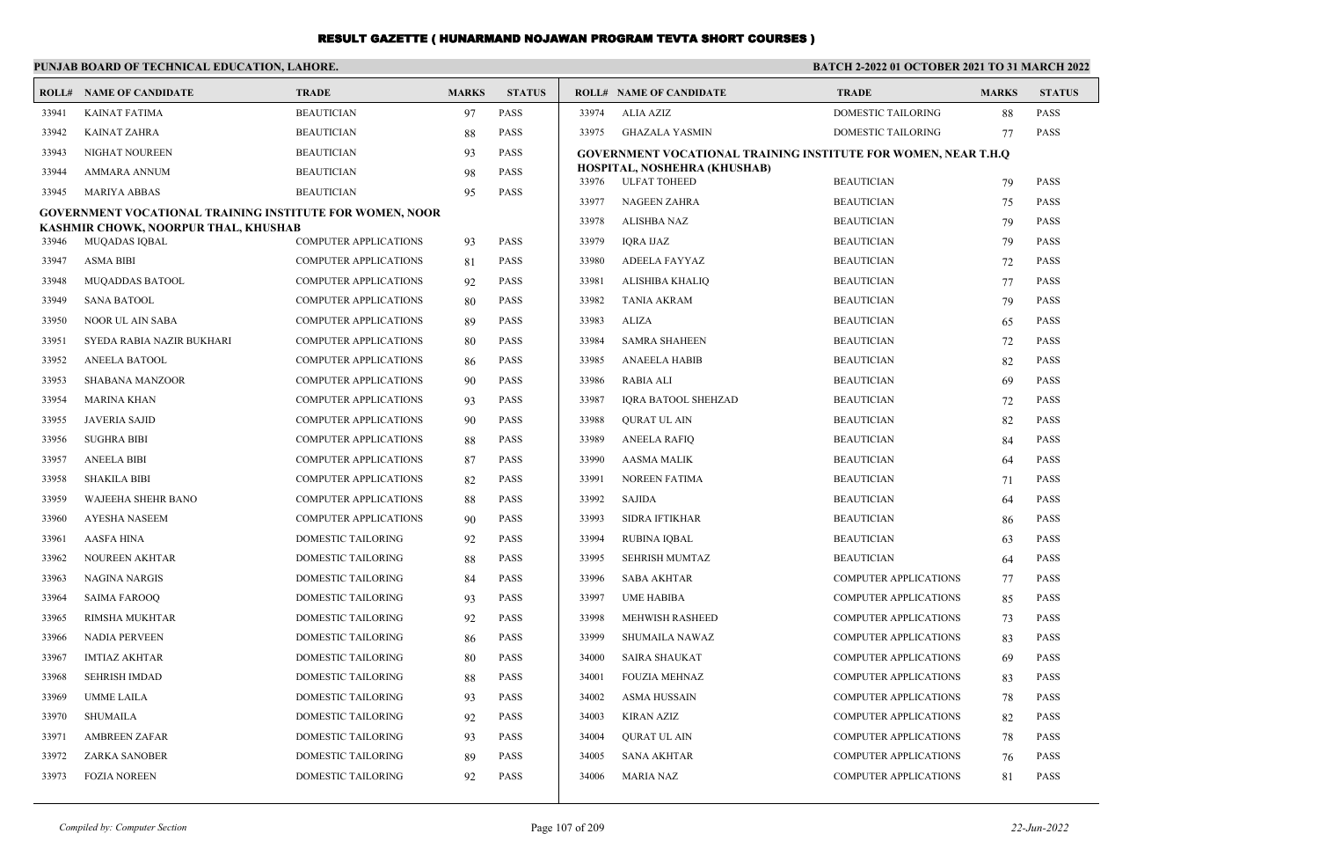|                | PUNJAB BOARD OF TECHNICAL EDUCATION, LAHORE.                    |                                                              |              |                            | <b>BATCH 2-2022 01 OCTOBER 2021 TO 31 MARCH 2022</b> |                                                                       |                                        |              |                            |
|----------------|-----------------------------------------------------------------|--------------------------------------------------------------|--------------|----------------------------|------------------------------------------------------|-----------------------------------------------------------------------|----------------------------------------|--------------|----------------------------|
|                | <b>ROLL# NAME OF CANDIDATE</b>                                  | <b>TRADE</b>                                                 | <b>MARKS</b> | <b>STATUS</b>              |                                                      | <b>ROLL# NAME OF CANDIDATE</b>                                        | <b>TRADE</b>                           | <b>MARKS</b> | <b>STATUS</b>              |
| 33941          | <b>KAINAT FATIMA</b>                                            | <b>BEAUTICIAN</b>                                            | 97           | <b>PASS</b>                | 33974                                                | <b>ALIA AZIZ</b>                                                      | <b>DOMESTIC TAILORING</b>              | 88           | <b>PASS</b>                |
| 33942          | <b>KAINAT ZAHRA</b>                                             | <b>BEAUTICIAN</b>                                            | 88           | <b>PASS</b>                | 33975                                                | <b>GHAZALA YASMIN</b>                                                 | DOMESTIC TAILORING                     | 77           | <b>PASS</b>                |
| 33943          | NIGHAT NOUREEN                                                  | <b>BEAUTICIAN</b>                                            | 93           | <b>PASS</b>                |                                                      | <b>GOVERNMENT VOCATIONAL TRAINING INSTITUTE FOR WOMEN, NEAR T.H.O</b> |                                        |              |                            |
| 33944          | AMMARA ANNUM                                                    | <b>BEAUTICIAN</b>                                            | 98           | <b>PASS</b>                | 33976                                                | HOSPITAL, NOSHEHRA (KHUSHAB)<br><b>ULFAT TOHEED</b>                   | <b>BEAUTICIAN</b>                      | 79           | <b>PASS</b>                |
| 33945          | <b>MARIYA ABBAS</b>                                             | <b>BEAUTICIAN</b>                                            | 95           | <b>PASS</b>                | 33977                                                | NAGEEN ZAHRA                                                          | <b>BEAUTICIAN</b>                      | 75           | <b>PASS</b>                |
|                | <b>GOVERNMENT VOCATIONAL TRAINING INSTITUTE FOR WOMEN, NOOR</b> |                                                              |              |                            | 33978                                                | <b>ALISHBA NAZ</b>                                                    | <b>BEAUTICIAN</b>                      | 79           | <b>PASS</b>                |
| 33946          | KASHMIR CHOWK, NOORPUR THAL, KHUSHAB<br>MUQADAS IQBAL           | <b>COMPUTER APPLICATIONS</b>                                 | 93           | <b>PASS</b>                | 33979                                                | <b>IQRA IJAZ</b>                                                      | <b>BEAUTICIAN</b>                      | 79           | <b>PASS</b>                |
| 33947          | <b>ASMA BIBI</b>                                                | <b>COMPUTER APPLICATIONS</b>                                 |              | PASS                       | 33980                                                | ADEELA FAYYAZ                                                         | <b>BEAUTICIAN</b>                      | 72           | <b>PASS</b>                |
| 33948          | <b>MUQADDAS BATOOL</b>                                          | <b>COMPUTER APPLICATIONS</b>                                 | 81           | PASS                       | 33981                                                | ALISHIBA KHALIQ                                                       | <b>BEAUTICIAN</b>                      | 77           | <b>PASS</b>                |
| 33949          | <b>SANA BATOOL</b>                                              | <b>COMPUTER APPLICATIONS</b>                                 | 92           | <b>PASS</b>                | 33982                                                | <b>TANIA AKRAM</b>                                                    | <b>BEAUTICIAN</b>                      |              | <b>PASS</b>                |
| 33950          | NOOR UL AIN SABA                                                | <b>COMPUTER APPLICATIONS</b>                                 | 80           | <b>PASS</b>                | 33983                                                | ALIZA                                                                 | <b>BEAUTICIAN</b>                      | 79           | <b>PASS</b>                |
| 33951          |                                                                 |                                                              | 89           | <b>PASS</b>                | 33984                                                |                                                                       |                                        | 65           | <b>PASS</b>                |
| 33952          | SYEDA RABIA NAZIR BUKHARI<br><b>ANEELA BATOOL</b>               | <b>COMPUTER APPLICATIONS</b><br><b>COMPUTER APPLICATIONS</b> | 80           | <b>PASS</b>                | 33985                                                | <b>SAMRA SHAHEEN</b><br><b>ANAEELA HABIB</b>                          | <b>BEAUTICIAN</b><br><b>BEAUTICIAN</b> | 72           | <b>PASS</b>                |
| 33953          |                                                                 |                                                              | 86           | <b>PASS</b>                | 33986                                                |                                                                       |                                        | 82           | <b>PASS</b>                |
|                | SHABANA MANZOOR                                                 | <b>COMPUTER APPLICATIONS</b>                                 | 90           |                            |                                                      | RABIA ALI                                                             | <b>BEAUTICIAN</b>                      | 69           |                            |
| 33954          | MARINA KHAN                                                     | <b>COMPUTER APPLICATIONS</b>                                 | 93           | <b>PASS</b>                | 33987                                                | <b>IQRA BATOOL SHEHZAD</b>                                            | <b>BEAUTICIAN</b>                      | 72           | <b>PASS</b>                |
| 33955          | <b>JAVERIA SAJID</b>                                            | <b>COMPUTER APPLICATIONS</b>                                 | 90           | <b>PASS</b>                | 33988                                                | <b>QURAT UL AIN</b>                                                   | <b>BEAUTICIAN</b>                      | 82           | <b>PASS</b>                |
| 33956          | <b>SUGHRA BIBI</b>                                              | <b>COMPUTER APPLICATIONS</b>                                 | 88           | <b>PASS</b><br><b>PASS</b> | 33989                                                | <b>ANEELA RAFIQ</b>                                                   | <b>BEAUTICIAN</b>                      | 84           | <b>PASS</b><br><b>PASS</b> |
| 33957          | <b>ANEELA BIBI</b>                                              | <b>COMPUTER APPLICATIONS</b>                                 | 87           |                            | 33990                                                | AASMA MALIK                                                           | <b>BEAUTICIAN</b>                      | 64           |                            |
| 33958<br>33959 | <b>SHAKILA BIBI</b><br><b>WAJEEHA SHEHR BANO</b>                | <b>COMPUTER APPLICATIONS</b><br><b>COMPUTER APPLICATIONS</b> | 82           | <b>PASS</b><br><b>PASS</b> | 33991<br>33992                                       | <b>NOREEN FATIMA</b><br>SAJIDA                                        | <b>BEAUTICIAN</b><br><b>BEAUTICIAN</b> | 71           | <b>PASS</b><br><b>PASS</b> |
|                |                                                                 |                                                              | 88           |                            |                                                      |                                                                       |                                        | 64           |                            |
| 33960          | <b>AYESHA NASEEM</b>                                            | COMPUTER APPLICATIONS                                        | 90           | <b>PASS</b>                | 33993<br>33994                                       | <b>SIDRA IFTIKHAR</b>                                                 | <b>BEAUTICIAN</b>                      | 86           | <b>PASS</b>                |
| 33961          | <b>AASFA HINA</b>                                               | DOMESTIC TAILORING                                           | 92           | <b>PASS</b>                |                                                      | <b>RUBINA IQBAL</b>                                                   | <b>BEAUTICIAN</b>                      | 63           | <b>PASS</b>                |
| 33962          | <b>NOUREEN AKHTAR</b>                                           | DOMESTIC TAILORING                                           | 88           | <b>PASS</b>                | 33995                                                | SEHRISH MUMTAZ                                                        | <b>BEAUTICIAN</b>                      | 64           | <b>PASS</b>                |
| 33963          | <b>NAGINA NARGIS</b>                                            | DOMESTIC TAILORING                                           | 84           | <b>PASS</b>                | 33996                                                | <b>SABA AKHTAR</b>                                                    | COMPUTER APPLICATIONS                  | 77           | <b>PASS</b>                |
| 33964          | <b>SAIMA FAROOQ</b>                                             | <b>DOMESTIC TAILORING</b>                                    | 93           | <b>PASS</b>                | 33997                                                | <b>UME HABIBA</b>                                                     | <b>COMPUTER APPLICATIONS</b>           | 85           | <b>PASS</b>                |
| 33965          | <b>RIMSHA MUKHTAR</b>                                           | <b>DOMESTIC TAILORING</b>                                    | 92           | <b>PASS</b>                | 33998                                                | <b>MEHWISH RASHEED</b>                                                | <b>COMPUTER APPLICATIONS</b>           | 73           | <b>PASS</b>                |
| 33966          | <b>NADIA PERVEEN</b>                                            | DOMESTIC TAILORING                                           | 86           | <b>PASS</b>                | 33999                                                | SHUMAILA NAWAZ                                                        | <b>COMPUTER APPLICATIONS</b>           | 83           | <b>PASS</b>                |
| 33967          | <b>IMTIAZ AKHTAR</b>                                            | DOMESTIC TAILORING                                           | 80           | <b>PASS</b>                | 34000                                                | SAIRA SHAUKAT                                                         | <b>COMPUTER APPLICATIONS</b>           | 69           | <b>PASS</b>                |
| 33968          | <b>SEHRISH IMDAD</b>                                            | DOMESTIC TAILORING                                           | 88           | <b>PASS</b>                | 34001                                                | <b>FOUZIA MEHNAZ</b>                                                  | COMPUTER APPLICATIONS                  | 83           | <b>PASS</b>                |
| 33969          | <b>UMME LAILA</b>                                               | DOMESTIC TAILORING                                           | 93           | <b>PASS</b>                | 34002                                                | ASMA HUSSAIN                                                          | <b>COMPUTER APPLICATIONS</b>           | 78           | <b>PASS</b>                |
| 33970          | <b>SHUMAILA</b>                                                 | DOMESTIC TAILORING                                           | 92           | <b>PASS</b>                | 34003                                                | <b>KIRAN AZIZ</b>                                                     | COMPUTER APPLICATIONS                  | 82           | <b>PASS</b>                |
| 33971          | <b>AMBREEN ZAFAR</b>                                            | DOMESTIC TAILORING                                           | 93           | <b>PASS</b>                | 34004                                                | <b>QURAT UL AIN</b>                                                   | COMPUTER APPLICATIONS                  | 78           | <b>PASS</b>                |
| 33972          | <b>ZARKA SANOBER</b>                                            | DOMESTIC TAILORING                                           | 89           | <b>PASS</b>                | 34005                                                | <b>SANA AKHTAR</b>                                                    | <b>COMPUTER APPLICATIONS</b>           | 76           | <b>PASS</b>                |
| 33973          | <b>FOZIA NOREEN</b>                                             | <b>DOMESTIC TAILORING</b>                                    | 92           | <b>PASS</b>                | 34006                                                | <b>MARIA NAZ</b>                                                      | <b>COMPUTER APPLICATIONS</b>           | 81           | <b>PASS</b>                |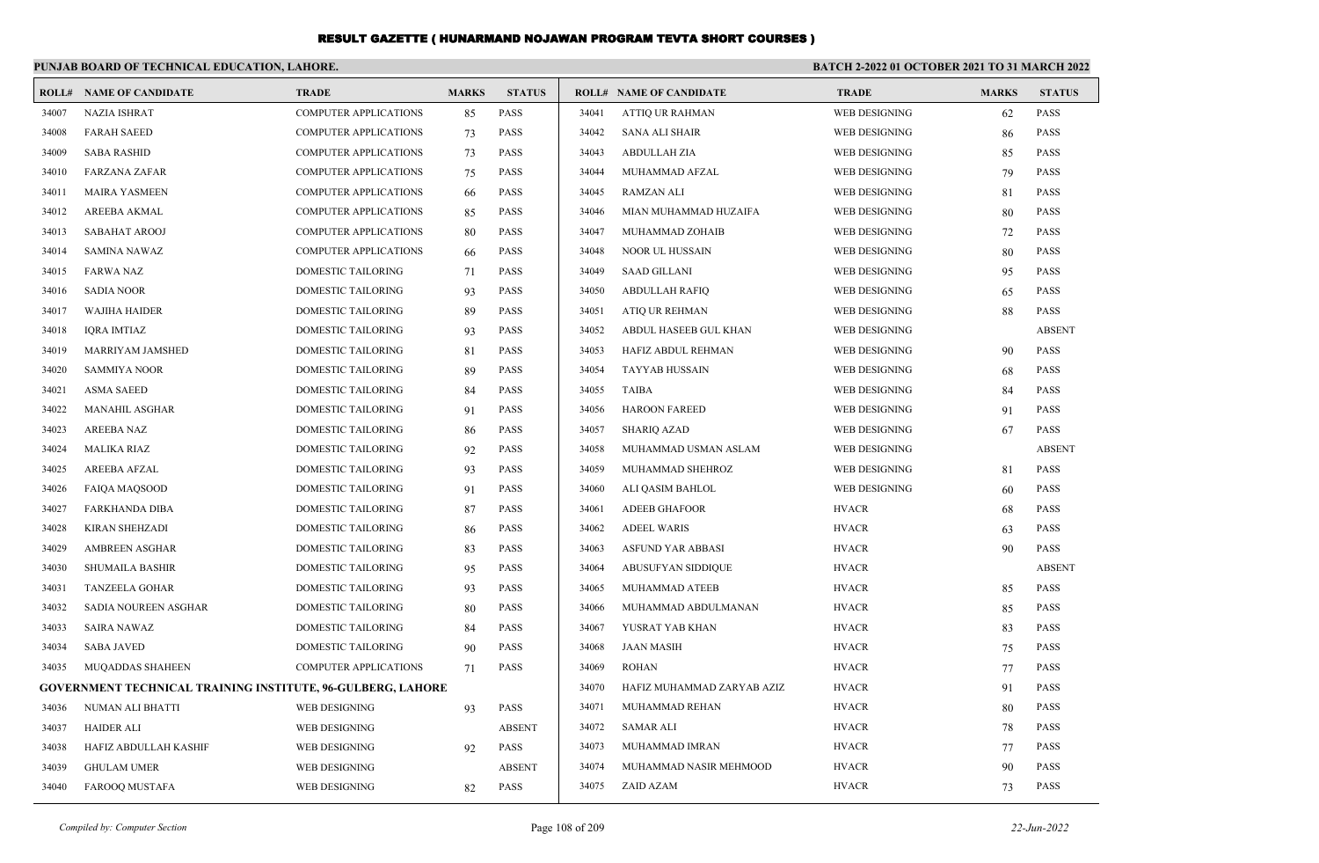|       | PUNJAB BOARD OF TECHNICAL EDUCATION, LAHORE.                |                              |              |               | <b>BATCH 2-2022 01 OCTOBER 2021 TO 31 MARCH 2022</b> |                                |                      |              |               |
|-------|-------------------------------------------------------------|------------------------------|--------------|---------------|------------------------------------------------------|--------------------------------|----------------------|--------------|---------------|
|       | <b>ROLL# NAME OF CANDIDATE</b>                              | <b>TRADE</b>                 | <b>MARKS</b> | <b>STATUS</b> |                                                      | <b>ROLL# NAME OF CANDIDATE</b> | <b>TRADE</b>         | <b>MARKS</b> | <b>STATUS</b> |
| 34007 | <b>NAZIA ISHRAT</b>                                         | <b>COMPUTER APPLICATIONS</b> | 85           | <b>PASS</b>   | 34041                                                | <b>ATTIQ UR RAHMAN</b>         | WEB DESIGNING        | 62           | <b>PASS</b>   |
| 34008 | <b>FARAH SAEED</b>                                          | <b>COMPUTER APPLICATIONS</b> | 73           | <b>PASS</b>   | 34042                                                | <b>SANA ALI SHAIR</b>          | WEB DESIGNING        | 86           | <b>PASS</b>   |
| 34009 | <b>SABA RASHID</b>                                          | <b>COMPUTER APPLICATIONS</b> | 73           | <b>PASS</b>   | 34043                                                | ABDULLAH ZIA                   | WEB DESIGNING        | 85           | <b>PASS</b>   |
| 34010 | <b>FARZANA ZAFAR</b>                                        | <b>COMPUTER APPLICATIONS</b> | 75           | <b>PASS</b>   | 34044                                                | MUHAMMAD AFZAL                 | WEB DESIGNING        | 79           | <b>PASS</b>   |
| 34011 | <b>MAIRA YASMEEN</b>                                        | <b>COMPUTER APPLICATIONS</b> | 66           | <b>PASS</b>   | 34045                                                | RAMZAN ALI                     | WEB DESIGNING        | 81           | <b>PASS</b>   |
| 34012 | AREEBA AKMAL                                                | <b>COMPUTER APPLICATIONS</b> | 85           | <b>PASS</b>   | 34046                                                | MIAN MUHAMMAD HUZAIFA          | WEB DESIGNING        | 80           | <b>PASS</b>   |
| 34013 | <b>SABAHAT AROOJ</b>                                        | <b>COMPUTER APPLICATIONS</b> | -80          | <b>PASS</b>   | 34047                                                | MUHAMMAD ZOHAIB                | WEB DESIGNING        | 72           | <b>PASS</b>   |
| 34014 | <b>SAMINA NAWAZ</b>                                         | <b>COMPUTER APPLICATIONS</b> | -66          | <b>PASS</b>   | 34048                                                | <b>NOOR UL HUSSAIN</b>         | WEB DESIGNING        | 80           | <b>PASS</b>   |
| 34015 | <b>FARWA NAZ</b>                                            | DOMESTIC TAILORING           | 71           | <b>PASS</b>   | 34049                                                | <b>SAAD GILLANI</b>            | WEB DESIGNING        | 95           | <b>PASS</b>   |
| 34016 | <b>SADIA NOOR</b>                                           | DOMESTIC TAILORING           | 93           | <b>PASS</b>   | 34050                                                | <b>ABDULLAH RAFIQ</b>          | WEB DESIGNING        | 65           | <b>PASS</b>   |
| 34017 | <b>WAJIHA HAIDER</b>                                        | DOMESTIC TAILORING           | 89           | <b>PASS</b>   | 34051                                                | ATIQ UR REHMAN                 | WEB DESIGNING        | 88           | <b>PASS</b>   |
| 34018 | IQRA IMTIAZ                                                 | DOMESTIC TAILORING           | 93           | <b>PASS</b>   | 34052                                                | ABDUL HASEEB GUL KHAN          | WEB DESIGNING        |              | <b>ABSENT</b> |
| 34019 | <b>MARRIYAM JAMSHED</b>                                     | DOMESTIC TAILORING           | 81           | <b>PASS</b>   | 34053                                                | HAFIZ ABDUL REHMAN             | WEB DESIGNING        | 90           | <b>PASS</b>   |
| 34020 | <b>SAMMIYA NOOR</b>                                         | DOMESTIC TAILORING           | 89           | <b>PASS</b>   | 34054                                                | <b>TAYYAB HUSSAIN</b>          | WEB DESIGNING        | 68           | <b>PASS</b>   |
| 34021 | <b>ASMA SAEED</b>                                           | DOMESTIC TAILORING           | 84           | <b>PASS</b>   | 34055                                                | TAIBA                          | WEB DESIGNING        | 84           | <b>PASS</b>   |
| 34022 | <b>MANAHIL ASGHAR</b>                                       | DOMESTIC TAILORING           | 91           | <b>PASS</b>   | 34056                                                | <b>HAROON FAREED</b>           | <b>WEB DESIGNING</b> | 91           | <b>PASS</b>   |
| 34023 | <b>AREEBA NAZ</b>                                           | DOMESTIC TAILORING           | -86          | <b>PASS</b>   | 34057                                                | <b>SHARIQ AZAD</b>             | WEB DESIGNING        | 67           | <b>PASS</b>   |
| 34024 | MALIKA RIAZ                                                 | DOMESTIC TAILORING           | 92           | <b>PASS</b>   | 34058                                                | MUHAMMAD USMAN ASLAM           | WEB DESIGNING        |              | <b>ABSENT</b> |
| 34025 | AREEBA AFZAL                                                | DOMESTIC TAILORING           | 93           | <b>PASS</b>   | 34059                                                | MUHAMMAD SHEHROZ               | WEB DESIGNING        | 81           | <b>PASS</b>   |
| 34026 | <b>FAIQA MAQSOOD</b>                                        | DOMESTIC TAILORING           | 91           | <b>PASS</b>   | 34060                                                | ALI QASIM BAHLOL               | WEB DESIGNING        | 60           | <b>PASS</b>   |
| 34027 | FARKHANDA DIBA                                              | DOMESTIC TAILORING           | 87           | <b>PASS</b>   | 34061                                                | <b>ADEEB GHAFOOR</b>           | <b>HVACR</b>         | 68           | <b>PASS</b>   |
| 34028 | KIRAN SHEHZADI                                              | DOMESTIC TAILORING           | 86           | <b>PASS</b>   | 34062                                                | <b>ADEEL WARIS</b>             | <b>HVACR</b>         | 63           | <b>PASS</b>   |
| 34029 | <b>AMBREEN ASGHAR</b>                                       | DOMESTIC TAILORING           | 83           | <b>PASS</b>   | 34063                                                | ASFUND YAR ABBASI              | <b>HVACR</b>         | 90           | <b>PASS</b>   |
| 34030 | <b>SHUMAILA BASHIR</b>                                      | DOMESTIC TAILORING           | 95           | <b>PASS</b>   | 34064                                                | ABUSUFYAN SIDDIQUE             | <b>HVACR</b>         |              | <b>ABSENT</b> |
| 34031 | <b>TANZEELA GOHAR</b>                                       | DOMESTIC TAILORING           | 93           | <b>PASS</b>   | 34065                                                | MUHAMMAD ATEEB                 | <b>HVACR</b>         | 85           | <b>PASS</b>   |
| 34032 | SADIA NOUREEN ASGHAR                                        | DOMESTIC TAILORING           | -80          | <b>PASS</b>   | 34066                                                | MUHAMMAD ABDULMANAN            | <b>HVACR</b>         | 85           | <b>PASS</b>   |
| 34033 | <b>SAIRA NAWAZ</b>                                          | DOMESTIC TAILORING           | 84           | <b>PASS</b>   | 34067                                                | YUSRAT YAB KHAN                | <b>HVACR</b>         | 83           | <b>PASS</b>   |
| 34034 | <b>SABA JAVED</b>                                           | DOMESTIC TAILORING           | 90           | PASS          | 34068                                                | <b>JAAN MASIH</b>              | <b>HVACR</b>         | 75           | PASS          |
| 34035 | MUQADDAS SHAHEEN                                            | <b>COMPUTER APPLICATIONS</b> | 71           | <b>PASS</b>   | 34069                                                | <b>ROHAN</b>                   | <b>HVACR</b>         | 77           | <b>PASS</b>   |
|       | GOVERNMENT TECHNICAL TRAINING INSTITUTE, 96-GULBERG, LAHORE |                              |              |               | 34070                                                | HAFIZ MUHAMMAD ZARYAB AZIZ     | <b>HVACR</b>         | 91           | PASS          |
| 34036 | NUMAN ALI BHATTI                                            | WEB DESIGNING                | 93           | PASS          | 34071                                                | MUHAMMAD REHAN                 | <b>HVACR</b>         | 80           | PASS          |
| 34037 | <b>HAIDER ALI</b>                                           | WEB DESIGNING                |              | <b>ABSENT</b> | 34072                                                | <b>SAMAR ALI</b>               | <b>HVACR</b>         | 78           | <b>PASS</b>   |
| 34038 | HAFIZ ABDULLAH KASHIF                                       | WEB DESIGNING                | 92           | <b>PASS</b>   | 34073                                                | MUHAMMAD IMRAN                 | <b>HVACR</b>         | 77           | <b>PASS</b>   |
| 34039 | <b>GHULAM UMER</b>                                          | WEB DESIGNING                |              | <b>ABSENT</b> | 34074                                                | MUHAMMAD NASIR MEHMOOD         | <b>HVACR</b>         | 90           | <b>PASS</b>   |
| 34040 | FAROOQ MUSTAFA                                              | WEB DESIGNING                | 82           | PASS          | 34075                                                | ZAID AZAM                      | <b>HVACR</b>         | 73           | PASS          |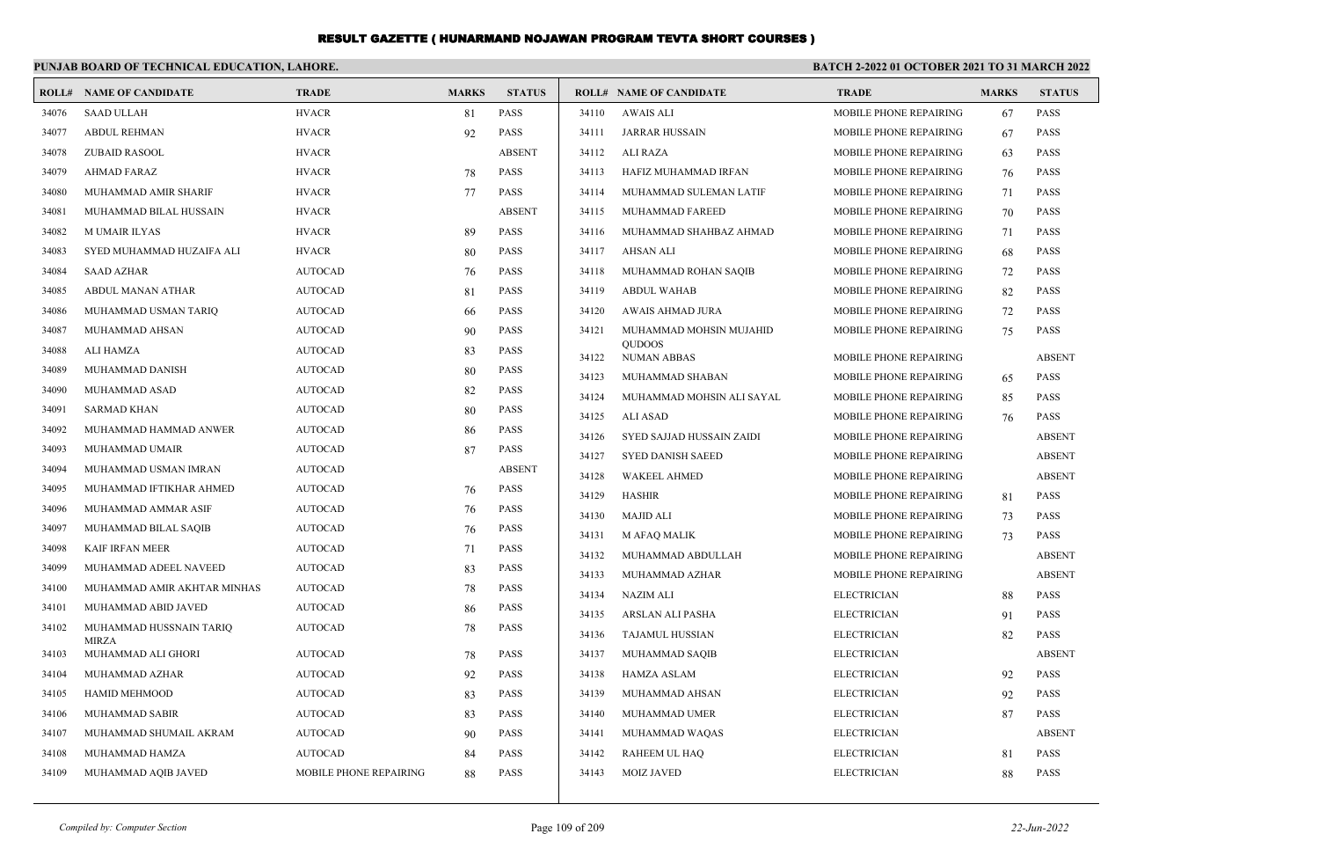|       | PUNJAB BOARD OF TECHNICAL EDUCATION, LAHORE. |                        |              |               |       |                                     | <b>BATCH 2-2022 01 OCTOBER 2021 TO 31 MARCH 2022</b> |              |               |
|-------|----------------------------------------------|------------------------|--------------|---------------|-------|-------------------------------------|------------------------------------------------------|--------------|---------------|
|       | <b>ROLL# NAME OF CANDIDATE</b>               | <b>TRADE</b>           | <b>MARKS</b> | <b>STATUS</b> |       | <b>ROLL# NAME OF CANDIDATE</b>      | <b>TRADE</b>                                         | <b>MARKS</b> | <b>STATUS</b> |
| 34076 | <b>SAAD ULLAH</b>                            | <b>HVACR</b>           | 81           | <b>PASS</b>   | 34110 | <b>AWAIS ALI</b>                    | MOBILE PHONE REPAIRING                               | 67           | PASS          |
| 34077 | <b>ABDUL REHMAN</b>                          | <b>HVACR</b>           | 92           | PASS          | 34111 | <b>JARRAR HUSSAIN</b>               | MOBILE PHONE REPAIRING                               | 67           | <b>PASS</b>   |
| 34078 | <b>ZUBAID RASOOL</b>                         | <b>HVACR</b>           |              | <b>ABSENT</b> | 34112 | <b>ALI RAZA</b>                     | MOBILE PHONE REPAIRING                               | 63           | <b>PASS</b>   |
| 34079 | <b>AHMAD FARAZ</b>                           | <b>HVACR</b>           | 78           | PASS          | 34113 | HAFIZ MUHAMMAD IRFAN                | MOBILE PHONE REPAIRING                               | 76           | <b>PASS</b>   |
| 34080 | MUHAMMAD AMIR SHARIF                         | <b>HVACR</b>           | 77           | PASS          | 34114 | MUHAMMAD SULEMAN LATIF              | MOBILE PHONE REPAIRING                               | 71           | <b>PASS</b>   |
| 34081 | MUHAMMAD BILAL HUSSAIN                       | <b>HVACR</b>           |              | <b>ABSENT</b> | 34115 | MUHAMMAD FAREED                     | MOBILE PHONE REPAIRING                               | 70           | <b>PASS</b>   |
| 34082 | <b>MUMAIR ILYAS</b>                          | <b>HVACR</b>           | 89           | PASS          | 34116 | MUHAMMAD SHAHBAZ AHMAD              | MOBILE PHONE REPAIRING                               | 71           | <b>PASS</b>   |
| 34083 | SYED MUHAMMAD HUZAIFA ALI                    | <b>HVACR</b>           | 80           | PASS          | 34117 | <b>AHSAN ALI</b>                    | MOBILE PHONE REPAIRING                               | 68           | <b>PASS</b>   |
| 34084 | <b>SAAD AZHAR</b>                            | <b>AUTOCAD</b>         | 76           | <b>PASS</b>   | 34118 | MUHAMMAD ROHAN SAQIB                | MOBILE PHONE REPAIRING                               | 72           | <b>PASS</b>   |
| 34085 | ABDUL MANAN ATHAR                            | <b>AUTOCAD</b>         | 81           | PASS          | 34119 | <b>ABDUL WAHAB</b>                  | MOBILE PHONE REPAIRING                               | 82           | <b>PASS</b>   |
| 34086 | MUHAMMAD USMAN TARIQ                         | <b>AUTOCAD</b>         | 66           | PASS          | 34120 | <b>AWAIS AHMAD JURA</b>             | MOBILE PHONE REPAIRING                               | 72           | <b>PASS</b>   |
| 34087 | MUHAMMAD AHSAN                               | <b>AUTOCAD</b>         | 90           | PASS          | 34121 | MUHAMMAD MOHSIN MUJAHID             | MOBILE PHONE REPAIRING                               | 75           | <b>PASS</b>   |
| 34088 | ALI HAMZA                                    | <b>AUTOCAD</b>         | 83           | PASS          | 34122 | <b>OUDOOS</b><br><b>NUMAN ABBAS</b> | MOBILE PHONE REPAIRING                               |              | <b>ABSENT</b> |
| 34089 | MUHAMMAD DANISH                              | <b>AUTOCAD</b>         | 80           | PASS          | 34123 | MUHAMMAD SHABAN                     | MOBILE PHONE REPAIRING                               | 65           | <b>PASS</b>   |
| 34090 | MUHAMMAD ASAD                                | <b>AUTOCAD</b>         | 82           | <b>PASS</b>   | 34124 | MUHAMMAD MOHSIN ALI SAYAL           | MOBILE PHONE REPAIRING                               | 85           | <b>PASS</b>   |
| 34091 | SARMAD KHAN                                  | <b>AUTOCAD</b>         | 80           | PASS          | 34125 | <b>ALI ASAD</b>                     | MOBILE PHONE REPAIRING                               | 76           | <b>PASS</b>   |
| 34092 | MUHAMMAD HAMMAD ANWER                        | <b>AUTOCAD</b>         | 86           | <b>PASS</b>   | 34126 | SYED SAJJAD HUSSAIN ZAIDI           | MOBILE PHONE REPAIRING                               |              | <b>ABSENT</b> |
| 34093 | MUHAMMAD UMAIR                               | <b>AUTOCAD</b>         | 87           | <b>PASS</b>   | 34127 | <b>SYED DANISH SAEED</b>            | MOBILE PHONE REPAIRING                               |              | <b>ABSENT</b> |
| 34094 | MUHAMMAD USMAN IMRAN                         | <b>AUTOCAD</b>         |              | <b>ABSENT</b> | 34128 | <b>WAKEEL AHMED</b>                 | MOBILE PHONE REPAIRING                               |              | <b>ABSENT</b> |
| 34095 | MUHAMMAD IFTIKHAR AHMED                      | <b>AUTOCAD</b>         | 76           | PASS          | 34129 | <b>HASHIR</b>                       | MOBILE PHONE REPAIRING                               | 81           | <b>PASS</b>   |
| 34096 | MUHAMMAD AMMAR ASIF                          | <b>AUTOCAD</b>         | 76           | <b>PASS</b>   | 34130 | <b>MAJID ALI</b>                    | MOBILE PHONE REPAIRING                               | 73           | <b>PASS</b>   |
| 34097 | MUHAMMAD BILAL SAQIB                         | <b>AUTOCAD</b>         | 76           | <b>PASS</b>   | 34131 | <b>M AFAQ MALIK</b>                 | MOBILE PHONE REPAIRING                               | 73           | <b>PASS</b>   |
| 34098 | <b>KAIF IRFAN MEER</b>                       | <b>AUTOCAD</b>         | 71           | <b>PASS</b>   | 34132 | MUHAMMAD ABDULLAH                   | MOBILE PHONE REPAIRING                               |              | <b>ABSENT</b> |
| 34099 | MUHAMMAD ADEEL NAVEED                        | <b>AUTOCAD</b>         | 83           | <b>PASS</b>   | 34133 | MUHAMMAD AZHAR                      | MOBILE PHONE REPAIRING                               |              | <b>ABSENT</b> |
| 34100 | MUHAMMAD AMIR AKHTAR MINHAS                  | <b>AUTOCAD</b>         | 78           | PASS          | 34134 | <b>NAZIM ALI</b>                    | <b>ELECTRICIAN</b>                                   | 88           | <b>PASS</b>   |
| 34101 | MUHAMMAD ABID JAVED                          | <b>AUTOCAD</b>         | 86           | <b>PASS</b>   | 34135 | ARSLAN ALI PASHA                    | <b>ELECTRICIAN</b>                                   | 91           | <b>PASS</b>   |
| 34102 | MUHAMMAD HUSSNAIN TARIQ<br><b>MIRZA</b>      | <b>AUTOCAD</b>         | 78           | <b>PASS</b>   | 34136 | <b>TAJAMUL HUSSIAN</b>              | <b>ELECTRICIAN</b>                                   | 82           | <b>PASS</b>   |
| 34103 | MUHAMMAD ALI GHORI                           | <b>AUTOCAD</b>         | 78           | <b>PASS</b>   | 34137 | MUHAMMAD SAQIB                      | <b>ELECTRICIAN</b>                                   |              | <b>ABSENT</b> |
| 34104 | MUHAMMAD AZHAR                               | <b>AUTOCAD</b>         | 92           | <b>PASS</b>   | 34138 | <b>HAMZA ASLAM</b>                  | <b>ELECTRICIAN</b>                                   | 92           | <b>PASS</b>   |
| 34105 | <b>HAMID MEHMOOD</b>                         | <b>AUTOCAD</b>         | 83           | <b>PASS</b>   | 34139 | MUHAMMAD AHSAN                      | <b>ELECTRICIAN</b>                                   | 92           | <b>PASS</b>   |
| 34106 | MUHAMMAD SABIR                               | <b>AUTOCAD</b>         | 83           | <b>PASS</b>   | 34140 | MUHAMMAD UMER                       | <b>ELECTRICIAN</b>                                   | 87           | <b>PASS</b>   |
| 34107 | MUHAMMAD SHUMAIL AKRAM                       | <b>AUTOCAD</b>         | 90           | <b>PASS</b>   | 34141 | MUHAMMAD WAQAS                      | <b>ELECTRICIAN</b>                                   |              | <b>ABSENT</b> |
| 34108 | MUHAMMAD HAMZA                               | <b>AUTOCAD</b>         | 84           | <b>PASS</b>   | 34142 | RAHEEM UL HAQ                       | <b>ELECTRICIAN</b>                                   | 81           | <b>PASS</b>   |
| 34109 | MUHAMMAD AQIB JAVED                          | MOBILE PHONE REPAIRING | 88           | <b>PASS</b>   | 34143 | <b>MOIZ JAVED</b>                   | <b>ELECTRICIAN</b>                                   | 88           | <b>PASS</b>   |
|       |                                              |                        |              |               |       |                                     |                                                      |              |               |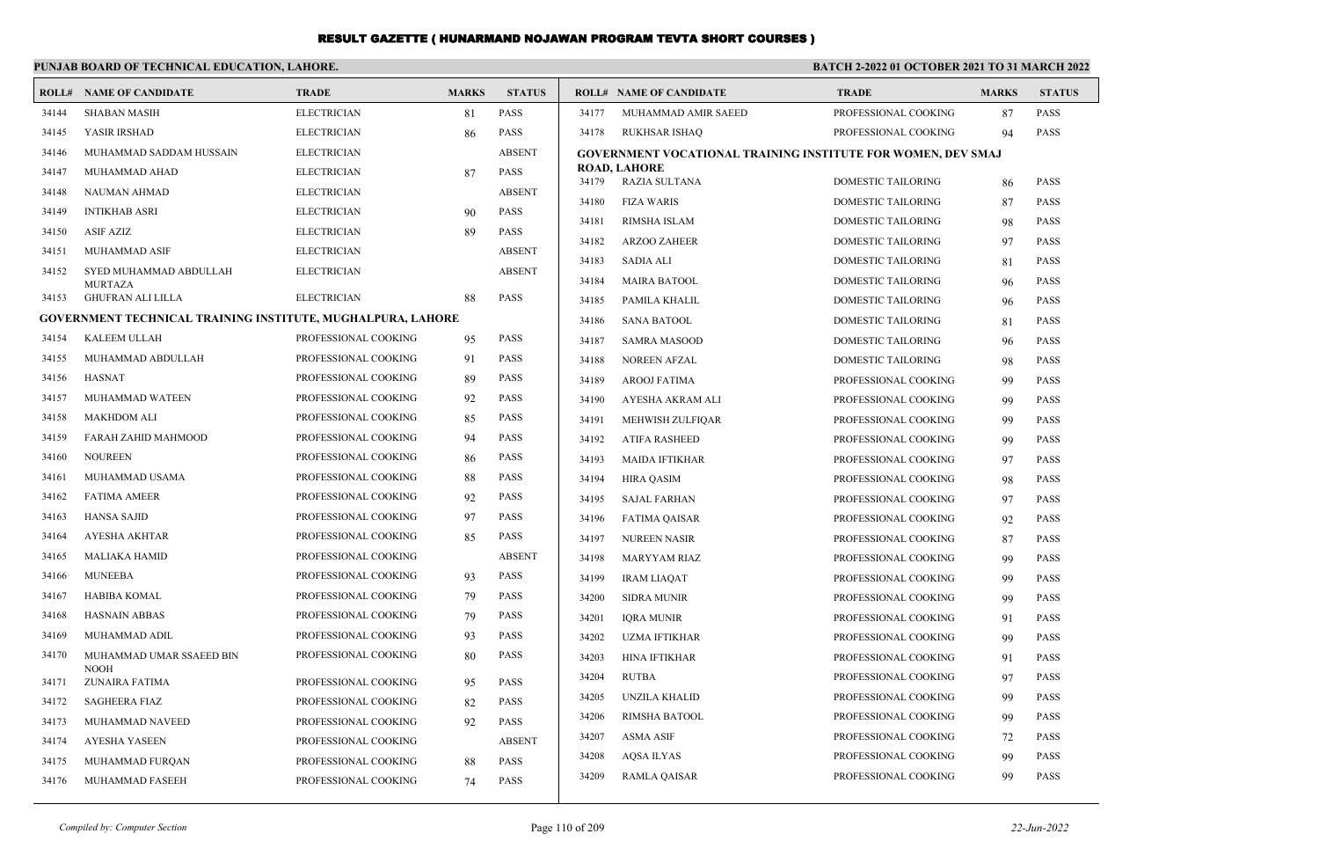#### **PUNJAB BOARD OF TECHNICAL EDUCATION, LAHORE. BATCH 2-2022 01 OCTOBER 2021 TO 31 MARCH 2022 ROLL# NAME OF CANDIDATE TRADE MARKS STATUS ROLL# NAME OF CANDIDATE TRADE MARKS STATUS** 34144 SHABAN MASIH ELECTRICIAN 81 PASS 34145 YASIR IRSHAD ELECTRICIAN 86 PASS 34146 MUHAMMAD SADDAM HUSSAIN ELECTRICIAN ABSENT 34147 MUHAMMAD AHAD ELECTRICIAN 87 PASS 34148 NAUMAN AHMAD ELECTRICIAN ABSENT 34149 INTIKHAB ASRI ELECTRICIAN 90 PASS 34150 ASIF AZIZ ELECTRICIAN 89 PASS 34151 MUHAMMAD ASIF ELECTRICIAN ABSENT SYED MUHAMMAD ABDULLAH ELECTRICIAN ABSENT **MURTAZA**  34152 34153 GHUFRAN ALI LILLA ELECTRICIAN 88 PASS **GOVERNMENT TECHNICAL TRAINING INSTITUTE, MUGHALPURA, LAHORE** 34154 KALEEM ULLAH PROFESSIONAL COOKING 95 PASS 34155 MUHAMMAD ABDULLAH PROFESSIONAL COOKING 91 PASS 34156 HASNAT PROFESSIONAL COOKING 89 PASS 34157 MUHAMMAD WATEEN PROFESSIONAL COOKING 92 PASS 34158 MAKHDOM ALI PROFESSIONAL COOKING 85 PASS 34159 FARAH ZAHID MAHMOOD PROFESSIONAL COOKING 94 PASS 34160 NOUREEN PROFESSIONAL COOKING 86 PASS 34161 MUHAMMAD USAMA PROFESSIONAL COOKING 88 PASS 34162 FATIMA AMEER PROFESSIONAL COOKING 92 PASS 34163 HANSA SAJID PROFESSIONAL COOKING 97 PASS 34164 AYESHA AKHTAR PROFESSIONAL COOKING 85 PASS 34165 MALIAKA HAMID PROFESSIONAL COOKING ABSENT 34166 MUNEEBA PROFESSIONAL COOKING 93 PASS 34167 HABIBA KOMAL PROFESSIONAL COOKING 79 PASS 34168 HASNAIN ABBAS PROFESSIONAL COOKING 79 PASS 34169 MUHAMMAD ADIL PROFESSIONAL COOKING 93 PASS MUHAMMAD UMAR SSAEED BIN PROFESSIONAL COOKING 80 PASS NOOH 34170 34171 ZUNAIRA FATIMA PROFESSIONAL COOKING 95 PASS 34172 SAGHEERA FIAZ PROFESSIONAL COOKING 82 PASS 34173 MUHAMMAD NAVEED PROFESSIONAL COOKING 92 PASS 34174 AYESHA YASEEN PROFESSIONAL COOKING ABSENT 34175 MUHAMMAD FURQAN PROFESSIONAL COOKING 88 PASS 34176 MUHAMMAD FASEEH PROFESSIONAL COOKING 74 PASS 34177 MUHAMMAD AMIR SAEED PROFESSIONAL COOKING 87 PASS 34178 RUKHSAR ISHAQ PROFESSIONAL COOKING 94 PASS **GOVERNMENT VOCATIONAL TRAINING INSTITUTE FOR WOMEN, DEV SMAJ ROAD, LAHORE** 34179 RAZIA SULTANA DOMESTIC TAILORING 86 PASS 34180 FIZA WARIS DOMESTIC TAILORING 87 PASS 34181 RIMSHA ISLAM DOMESTIC TAILORING 98 PASS 34182 ARZOO ZAHEER DOMESTIC TAILORING 97 PASS 34183 SADIA ALI DOMESTIC TAILORING 81 PASS 34184 MAIRA BATOOL DOMESTIC TAILORING 96 PASS 34185 PAMILA KHALIL DOMESTIC TAILORING 96 PASS 34186 SANA BATOOL DOMESTIC TAILORING 81 PASS 34187 SAMRA MASOOD DOMESTIC TAILORING 96 PASS 34188 NOREEN AFZAL DOMESTIC TAILORING 98 PASS 34189 AROOJ FATIMA PROFESSIONAL COOKING 99 PASS 34190 AYESHA AKRAM ALI PROFESSIONAL COOKING 99 PASS 34191 MEHWISH ZULFIQAR PROFESSIONAL COOKING 99 PASS 34192 ATIFA RASHEED PROFESSIONAL COOKING 99 PASS 34193 MAIDA IFTIKHAR PROFESSIONAL COOKING 97 PASS 34194 HIRA QASIM PROFESSIONAL COOKING 98 PASS 34195 SAJAL FARHAN PROFESSIONAL COOKING 97 PASS 34196 FATIMA QAISAR PROFESSIONAL COOKING 92 PASS 34197 NUREEN NASIR PROFESSIONAL COOKING 87 PASS 34198 MARYYAM RIAZ PROFESSIONAL COOKING 99 PASS 34199 IRAM LIAQAT PROFESSIONAL COOKING 99 PASS 34200 SIDRA MUNIR PROFESSIONAL COOKING 99 PASS 34201 IQRA MUNIR PROFESSIONAL COOKING 91 PASS 34202 UZMA IFTIKHAR PROFESSIONAL COOKING 99 PASS 34203 HINA IFTIKHAR PROFESSIONAL COOKING 91 PASS 34204 RUTBA PROFESSIONAL COOKING 97 PASS 34205 UNZILA KHALID PROFESSIONAL COOKING 99 PASS 34206 RIMSHA BATOOL PROFESSIONAL COOKING 99 PASS 34207 ASMA ASIF PROFESSIONAL COOKING 72 PASS 34208 AQSA ILYAS PROFESSIONAL COOKING 99 PASS 34209 RAMLA QAISAR PROFESSIONAL COOKING 99 PASS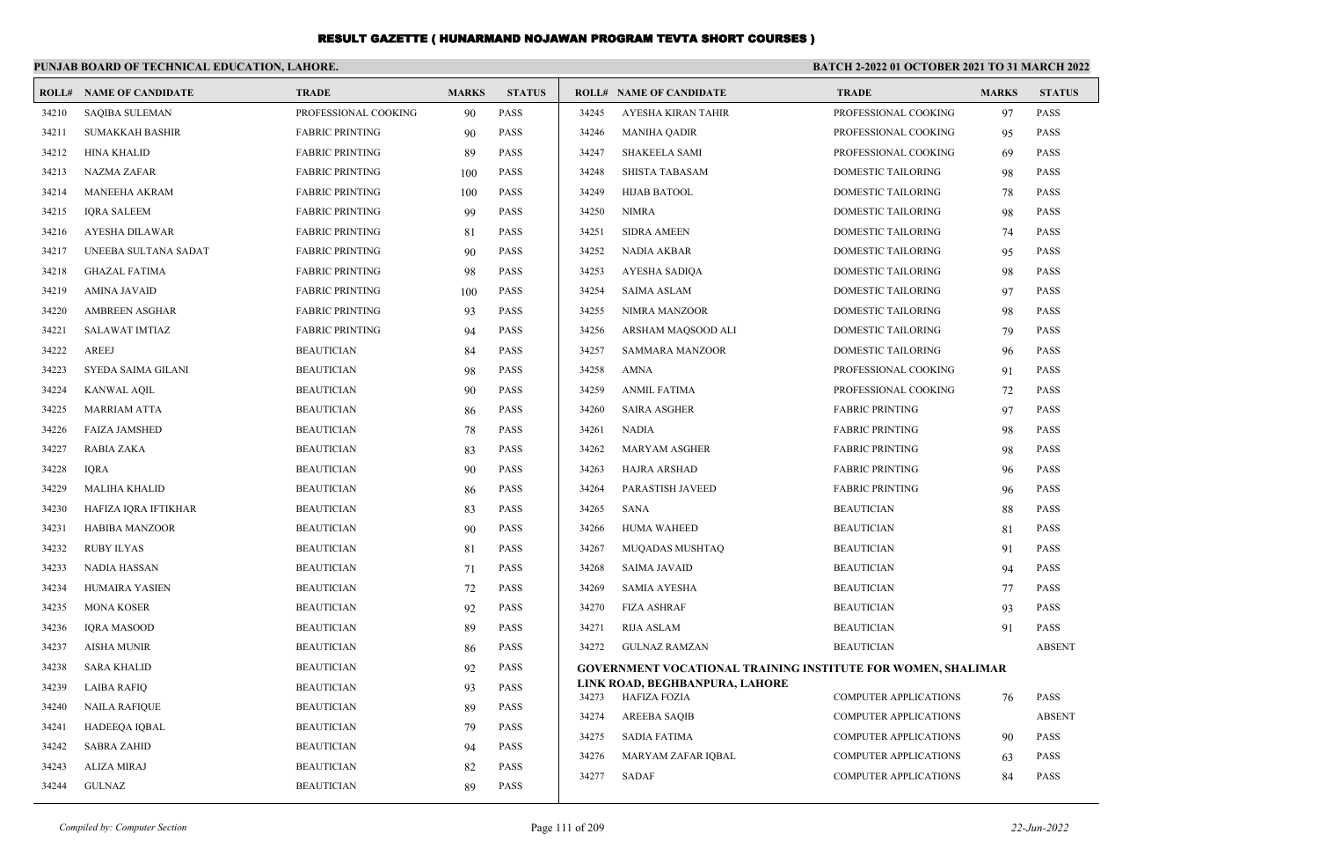|       | PUNJAB BOARD OF TECHNICAL EDUCATION, LAHORE. |                        |              |               | <b>BATCH 2-2022 01 OCTOBER 2021 TO 31 MARCH 2022</b> |                                                                     |                              |              |               |  |
|-------|----------------------------------------------|------------------------|--------------|---------------|------------------------------------------------------|---------------------------------------------------------------------|------------------------------|--------------|---------------|--|
|       | <b>ROLL# NAME OF CANDIDATE</b>               | <b>TRADE</b>           | <b>MARKS</b> | <b>STATUS</b> |                                                      | <b>ROLL# NAME OF CANDIDATE</b>                                      | <b>TRADE</b>                 | <b>MARKS</b> | <b>STATUS</b> |  |
| 34210 | <b>SAQIBA SULEMAN</b>                        | PROFESSIONAL COOKING   | 90           | PASS          | 34245                                                | AYESHA KIRAN TAHIR                                                  | PROFESSIONAL COOKING         | 97           | <b>PASS</b>   |  |
| 34211 | <b>SUMAKKAH BASHIR</b>                       | <b>FABRIC PRINTING</b> | 90           | <b>PASS</b>   | 34246                                                | <b>MANIHA QADIR</b>                                                 | PROFESSIONAL COOKING         | 95           | <b>PASS</b>   |  |
| 34212 | <b>HINA KHALID</b>                           | <b>FABRIC PRINTING</b> | 89           | PASS          | 34247                                                | <b>SHAKEELA SAMI</b>                                                | PROFESSIONAL COOKING         | 69           | <b>PASS</b>   |  |
| 34213 | <b>NAZMA ZAFAR</b>                           | <b>FABRIC PRINTING</b> | 100          | PASS          | 34248                                                | <b>SHISTA TABASAM</b>                                               | DOMESTIC TAILORING           | 98           | <b>PASS</b>   |  |
| 34214 | <b>MANEEHA AKRAM</b>                         | <b>FABRIC PRINTING</b> | 100          | PASS          | 34249                                                | <b>HIJAB BATOOL</b>                                                 | DOMESTIC TAILORING           | 78           | <b>PASS</b>   |  |
| 34215 | <b>IQRA SALEEM</b>                           | <b>FABRIC PRINTING</b> | 99           | PASS          | 34250                                                | <b>NIMRA</b>                                                        | DOMESTIC TAILORING           | 98           | <b>PASS</b>   |  |
| 34216 | <b>AYESHA DILAWAR</b>                        | <b>FABRIC PRINTING</b> | 81           | <b>PASS</b>   | 34251                                                | <b>SIDRA AMEEN</b>                                                  | DOMESTIC TAILORING           | 74           | <b>PASS</b>   |  |
| 34217 | UNEEBA SULTANA SADAT                         | <b>FABRIC PRINTING</b> | 90           | PASS          | 34252                                                | <b>NADIA AKBAR</b>                                                  | DOMESTIC TAILORING           | 95           | <b>PASS</b>   |  |
| 34218 | <b>GHAZAL FATIMA</b>                         | <b>FABRIC PRINTING</b> | 98           | PASS          | 34253                                                | <b>AYESHA SADIQA</b>                                                | DOMESTIC TAILORING           | 98           | <b>PASS</b>   |  |
| 34219 | <b>AMINA JAVAID</b>                          | <b>FABRIC PRINTING</b> | 100          | <b>PASS</b>   | 34254                                                | <b>SAIMA ASLAM</b>                                                  | DOMESTIC TAILORING           | 97           | <b>PASS</b>   |  |
| 34220 | <b>AMBREEN ASGHAR</b>                        | <b>FABRIC PRINTING</b> | 93           | <b>PASS</b>   | 34255                                                | NIMRA MANZOOR                                                       | DOMESTIC TAILORING           | 98           | <b>PASS</b>   |  |
| 34221 | <b>SALAWAT IMTIAZ</b>                        | <b>FABRIC PRINTING</b> | 94           | <b>PASS</b>   | 34256                                                | ARSHAM MAQSOOD ALI                                                  | DOMESTIC TAILORING           | 79           | <b>PASS</b>   |  |
| 34222 | <b>AREEJ</b>                                 | <b>BEAUTICIAN</b>      | 84           | <b>PASS</b>   | 34257                                                | <b>SAMMARA MANZOOR</b>                                              | DOMESTIC TAILORING           | 96           | <b>PASS</b>   |  |
| 34223 | SYEDA SAIMA GILANI                           | <b>BEAUTICIAN</b>      | 98           | <b>PASS</b>   | 34258                                                | <b>AMNA</b>                                                         | PROFESSIONAL COOKING         | 91           | <b>PASS</b>   |  |
| 34224 | <b>KANWAL AQIL</b>                           | <b>BEAUTICIAN</b>      | 90           | <b>PASS</b>   | 34259                                                | <b>ANMIL FATIMA</b>                                                 | PROFESSIONAL COOKING         | 72           | <b>PASS</b>   |  |
| 34225 | <b>MARRIAM ATTA</b>                          | <b>BEAUTICIAN</b>      | 86           | <b>PASS</b>   | 34260                                                | <b>SAIRA ASGHER</b>                                                 | <b>FABRIC PRINTING</b>       | 97           | <b>PASS</b>   |  |
| 34226 | <b>FAIZA JAMSHED</b>                         | <b>BEAUTICIAN</b>      | 78           | <b>PASS</b>   | 34261                                                | <b>NADIA</b>                                                        | <b>FABRIC PRINTING</b>       | 98           | <b>PASS</b>   |  |
| 34227 | <b>RABIA ZAKA</b>                            | <b>BEAUTICIAN</b>      | 83           | PASS          | 34262                                                | <b>MARYAM ASGHER</b>                                                | <b>FABRIC PRINTING</b>       | 98           | <b>PASS</b>   |  |
| 34228 | <b>IQRA</b>                                  | <b>BEAUTICIAN</b>      | 90           | PASS          | 34263                                                | <b>HAJRA ARSHAD</b>                                                 | <b>FABRIC PRINTING</b>       | 96           | <b>PASS</b>   |  |
| 34229 | <b>MALIHA KHALID</b>                         | <b>BEAUTICIAN</b>      | 86           | <b>PASS</b>   | 34264                                                | PARASTISH JAVEED                                                    | <b>FABRIC PRINTING</b>       | 96           | <b>PASS</b>   |  |
| 34230 | HAFIZA IQRA IFTIKHAR                         | <b>BEAUTICIAN</b>      | 83           | <b>PASS</b>   | 34265                                                | <b>SANA</b>                                                         | <b>BEAUTICIAN</b>            | 88           | <b>PASS</b>   |  |
| 34231 | <b>HABIBA MANZOOR</b>                        | <b>BEAUTICIAN</b>      | 90           | PASS          | 34266                                                | <b>HUMA WAHEED</b>                                                  | <b>BEAUTICIAN</b>            | 81           | <b>PASS</b>   |  |
| 34232 | <b>RUBY ILYAS</b>                            | <b>BEAUTICIAN</b>      | 81           | PASS          | 34267                                                | MUQADAS MUSHTAQ                                                     | <b>BEAUTICIAN</b>            | 91           | <b>PASS</b>   |  |
| 34233 | <b>NADIA HASSAN</b>                          | <b>BEAUTICIAN</b>      | 71           | PASS          | 34268                                                | <b>SAIMA JAVAID</b>                                                 | <b>BEAUTICIAN</b>            | 94           | <b>PASS</b>   |  |
| 34234 | <b>HUMAIRA YASIEN</b>                        | <b>BEAUTICIAN</b>      | 72           | <b>PASS</b>   | 34269                                                | <b>SAMIA AYESHA</b>                                                 | <b>BEAUTICIAN</b>            | 77           | <b>PASS</b>   |  |
| 34235 | <b>MONA KOSER</b>                            | <b>BEAUTICIAN</b>      | 92           | <b>PASS</b>   | 34270                                                | <b>FIZA ASHRAF</b>                                                  | <b>BEAUTICIAN</b>            | 93           | <b>PASS</b>   |  |
| 34236 | <b>IQRA MASOOD</b>                           | <b>BEAUTICIAN</b>      | 89           | <b>PASS</b>   | 34271                                                | RIJA ASLAM                                                          | <b>BEAUTICIAN</b>            | 91           | <b>PASS</b>   |  |
| 34237 | <b>AISHA MUNIR</b>                           | <b>BEAUTICIAN</b>      | 86           | PASS          | 34272                                                | <b>GULNAZ RAMZAN</b>                                                | <b>BEAUTICIAN</b>            |              | <b>ABSENT</b> |  |
| 34238 | <b>SARA KHALID</b>                           | <b>BEAUTICIAN</b>      | 92           | <b>PASS</b>   |                                                      | <b>GOVERNMENT VOCATIONAL TRAINING INSTITUTE FOR WOMEN, SHALIMAR</b> |                              |              |               |  |
| 34239 | <b>LAIBA RAFIO</b>                           | <b>BEAUTICIAN</b>      | 93           | <b>PASS</b>   | 34273                                                | LINK ROAD, BEGHBANPURA, LAHORE                                      | <b>COMPUTER APPLICATIONS</b> |              | <b>PASS</b>   |  |
| 34240 | <b>NAILA RAFIQUE</b>                         | <b>BEAUTICIAN</b>      | 89           | PASS          | 34274                                                | HAFIZA FOZIA<br><b>AREEBA SAQIB</b>                                 | <b>COMPUTER APPLICATIONS</b> | 76           | <b>ABSENT</b> |  |
| 34241 | HADEEQA IQBAL                                | <b>BEAUTICIAN</b>      | 79           | PASS          | 34275                                                | <b>SADIA FATIMA</b>                                                 | <b>COMPUTER APPLICATIONS</b> |              | <b>PASS</b>   |  |
| 34242 | <b>SABRA ZAHID</b>                           | <b>BEAUTICIAN</b>      | 94           | PASS          | 34276                                                | MARYAM ZAFAR IOBAL                                                  | <b>COMPUTER APPLICATIONS</b> | 90           | <b>PASS</b>   |  |
| 34243 | <b>ALIZA MIRAJ</b>                           | <b>BEAUTICIAN</b>      | 82           | <b>PASS</b>   |                                                      |                                                                     |                              | 63           |               |  |
| 34244 | <b>GULNAZ</b>                                | <b>BEAUTICIAN</b>      | 89           | <b>PASS</b>   | 34277                                                | <b>SADAF</b>                                                        | <b>COMPUTER APPLICATIONS</b> | 84           | <b>PASS</b>   |  |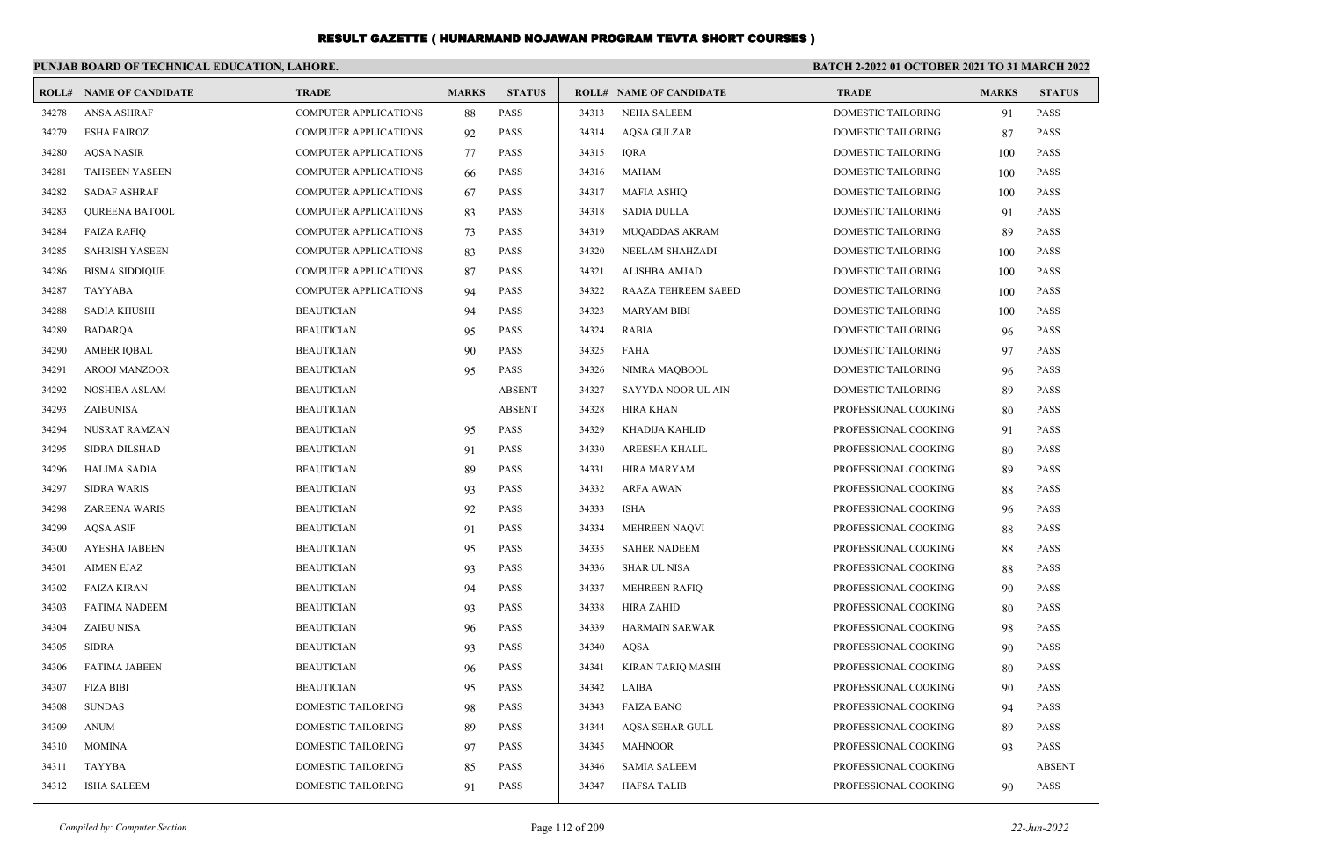|       | PUNJAB BOARD OF TECHNICAL EDUCATION, LAHORE. |                              |              |               | BATCH 2-2022 01 OCTOBER 2021 TO 31 MARCH 2022 |                                |                           |              |               |  |  |
|-------|----------------------------------------------|------------------------------|--------------|---------------|-----------------------------------------------|--------------------------------|---------------------------|--------------|---------------|--|--|
|       | <b>ROLL# NAME OF CANDIDATE</b>               | <b>TRADE</b>                 | <b>MARKS</b> | <b>STATUS</b> |                                               | <b>ROLL# NAME OF CANDIDATE</b> | <b>TRADE</b>              | <b>MARKS</b> | <b>STATUS</b> |  |  |
| 34278 | <b>ANSA ASHRAF</b>                           | <b>COMPUTER APPLICATIONS</b> | 88           | <b>PASS</b>   | 34313                                         | <b>NEHA SALEEM</b>             | DOMESTIC TAILORING        | 91           | <b>PASS</b>   |  |  |
| 34279 | <b>ESHA FAIROZ</b>                           | <b>COMPUTER APPLICATIONS</b> | 92           | <b>PASS</b>   | 34314                                         | <b>AQSA GULZAR</b>             | DOMESTIC TAILORING        | 87           | <b>PASS</b>   |  |  |
| 34280 | <b>AQSA NASIR</b>                            | <b>COMPUTER APPLICATIONS</b> | 77           | <b>PASS</b>   | 34315                                         | <b>IORA</b>                    | <b>DOMESTIC TAILORING</b> | 100          | <b>PASS</b>   |  |  |
| 34281 | <b>TAHSEEN YASEEN</b>                        | <b>COMPUTER APPLICATIONS</b> | 66           | <b>PASS</b>   | 34316                                         | <b>MAHAM</b>                   | <b>DOMESTIC TAILORING</b> | 100          | <b>PASS</b>   |  |  |
| 34282 | <b>SADAF ASHRAF</b>                          | <b>COMPUTER APPLICATIONS</b> | 67           | <b>PASS</b>   | 34317                                         | <b>MAFIA ASHIO</b>             | <b>DOMESTIC TAILORING</b> | 100          | <b>PASS</b>   |  |  |
| 34283 | QUREENA BATOOL                               | <b>COMPUTER APPLICATIONS</b> | 83           | <b>PASS</b>   | 34318                                         | <b>SADIA DULLA</b>             | DOMESTIC TAILORING        | 91           | <b>PASS</b>   |  |  |
| 34284 | <b>FAIZA RAFIQ</b>                           | COMPUTER APPLICATIONS        | 73           | <b>PASS</b>   | 34319                                         | MUQADDAS AKRAM                 | DOMESTIC TAILORING        | 89           | PASS          |  |  |
| 34285 | <b>SAHRISH YASEEN</b>                        | <b>COMPUTER APPLICATIONS</b> | 83           | <b>PASS</b>   | 34320                                         | NEELAM SHAHZADI                | DOMESTIC TAILORING        | 100          | <b>PASS</b>   |  |  |
| 34286 | <b>BISMA SIDDIQUE</b>                        | <b>COMPUTER APPLICATIONS</b> | 87           | <b>PASS</b>   | 34321                                         | ALISHBA AMJAD                  | <b>DOMESTIC TAILORING</b> | 100          | <b>PASS</b>   |  |  |
| 34287 | <b>TAYYABA</b>                               | <b>COMPUTER APPLICATIONS</b> | 94           | <b>PASS</b>   | 34322                                         | <b>RAAZA TEHREEM SAEED</b>     | <b>DOMESTIC TAILORING</b> | 100          | <b>PASS</b>   |  |  |
| 34288 | <b>SADIA KHUSHI</b>                          | <b>BEAUTICIAN</b>            | 94           | <b>PASS</b>   | 34323                                         | <b>MARYAM BIBI</b>             | DOMESTIC TAILORING        | 100          | <b>PASS</b>   |  |  |
| 34289 | <b>BADARQA</b>                               | <b>BEAUTICIAN</b>            | 95           | PASS          | 34324                                         | <b>RABIA</b>                   | DOMESTIC TAILORING        | 96           | PASS          |  |  |
| 34290 | <b>AMBER IQBAL</b>                           | <b>BEAUTICIAN</b>            | 90           | <b>PASS</b>   | 34325                                         | <b>FAHA</b>                    | DOMESTIC TAILORING        | 97           | <b>PASS</b>   |  |  |
| 34291 | <b>AROOJ MANZOOR</b>                         | <b>BEAUTICIAN</b>            | 95           | <b>PASS</b>   | 34326                                         | NIMRA MAQBOOL                  | <b>DOMESTIC TAILORING</b> | 96           | <b>PASS</b>   |  |  |
| 34292 | <b>NOSHIBA ASLAM</b>                         | <b>BEAUTICIAN</b>            |              | <b>ABSENT</b> | 34327                                         | SAYYDA NOOR UL AIN             | <b>DOMESTIC TAILORING</b> | 89           | <b>PASS</b>   |  |  |
| 34293 | ZAIBUNISA                                    | <b>BEAUTICIAN</b>            |              | <b>ABSENT</b> | 34328                                         | HIRA KHAN                      | PROFESSIONAL COOKING      | 80           | <b>PASS</b>   |  |  |
| 34294 | NUSRAT RAMZAN                                | <b>BEAUTICIAN</b>            | 95           | <b>PASS</b>   | 34329                                         | KHADIJA KAHLID                 | PROFESSIONAL COOKING      | 91           | <b>PASS</b>   |  |  |
| 34295 | <b>SIDRA DILSHAD</b>                         | <b>BEAUTICIAN</b>            | 91           | <b>PASS</b>   | 34330                                         | AREESHA KHALIL                 | PROFESSIONAL COOKING      | 80           | <b>PASS</b>   |  |  |
| 34296 | <b>HALIMA SADIA</b>                          | <b>BEAUTICIAN</b>            | 89           | <b>PASS</b>   | 34331                                         | <b>HIRA MARYAM</b>             | PROFESSIONAL COOKING      | 89           | <b>PASS</b>   |  |  |
| 34297 | <b>SIDRA WARIS</b>                           | <b>BEAUTICIAN</b>            | 93           | PASS          | 34332                                         | <b>ARFA AWAN</b>               | PROFESSIONAL COOKING      | 88           | <b>PASS</b>   |  |  |
| 34298 | <b>ZAREENA WARIS</b>                         | <b>BEAUTICIAN</b>            | 92           | <b>PASS</b>   | 34333                                         | ISHA                           | PROFESSIONAL COOKING      | 96           | <b>PASS</b>   |  |  |
| 34299 | <b>AQSA ASIF</b>                             | <b>BEAUTICIAN</b>            | 91           | <b>PASS</b>   | 34334                                         | <b>MEHREEN NAQVI</b>           | PROFESSIONAL COOKING      | 88           | <b>PASS</b>   |  |  |
| 34300 | <b>AYESHA JABEEN</b>                         | <b>BEAUTICIAN</b>            | 95           | <b>PASS</b>   | 34335                                         | <b>SAHER NADEEM</b>            | PROFESSIONAL COOKING      | 88           | <b>PASS</b>   |  |  |
| 34301 | <b>AIMEN EJAZ</b>                            | <b>BEAUTICIAN</b>            | 93           | <b>PASS</b>   | 34336                                         | <b>SHAR UL NISA</b>            | PROFESSIONAL COOKING      | 88           | <b>PASS</b>   |  |  |
| 34302 | <b>FAIZA KIRAN</b>                           | <b>BEAUTICIAN</b>            | 94           | PASS          | 34337                                         | MEHREEN RAFIQ                  | PROFESSIONAL COOKING      | 90           | <b>PASS</b>   |  |  |
| 34303 | <b>FATIMA NADEEM</b>                         | <b>BEAUTICIAN</b>            | 93           | <b>PASS</b>   | 34338                                         | <b>HIRA ZAHID</b>              | PROFESSIONAL COOKING      | 80           | <b>PASS</b>   |  |  |
| 34304 | <b>ZAIBU NISA</b>                            | <b>BEAUTICIAN</b>            | 96           | PASS          | 34339                                         | <b>HARMAIN SARWAR</b>          | PROFESSIONAL COOKING      | 98           | <b>PASS</b>   |  |  |
| 34305 | <b>SIDRA</b>                                 | <b>BEAUTICIAN</b>            | 93           | PASS          | 34340                                         | <b>AQSA</b>                    | PROFESSIONAL COOKING      | 90           | <b>PASS</b>   |  |  |
| 34306 | <b>FATIMA JABEEN</b>                         | <b>BEAUTICIAN</b>            | 96           | <b>PASS</b>   | 34341                                         | <b>KIRAN TARIO MASIH</b>       | PROFESSIONAL COOKING      | 80           | <b>PASS</b>   |  |  |
| 34307 | <b>FIZA BIBI</b>                             | <b>BEAUTICIAN</b>            | 95           | PASS          | 34342                                         | LAIBA                          | PROFESSIONAL COOKING      | 90           | <b>PASS</b>   |  |  |
| 34308 | <b>SUNDAS</b>                                | DOMESTIC TAILORING           | 98           | <b>PASS</b>   | 34343                                         | <b>FAIZA BANO</b>              | PROFESSIONAL COOKING      | 94           | <b>PASS</b>   |  |  |
| 34309 | <b>ANUM</b>                                  | DOMESTIC TAILORING           | -89          | <b>PASS</b>   | 34344                                         | <b>AQSA SEHAR GULL</b>         | PROFESSIONAL COOKING      | 89           | <b>PASS</b>   |  |  |
| 34310 | <b>MOMINA</b>                                | DOMESTIC TAILORING           | 97           | <b>PASS</b>   | 34345                                         | <b>MAHNOOR</b>                 | PROFESSIONAL COOKING      | 93           | <b>PASS</b>   |  |  |
| 34311 | <b>TAYYBA</b>                                | DOMESTIC TAILORING           | 85           | PASS          | 34346                                         | <b>SAMIA SALEEM</b>            | PROFESSIONAL COOKING      |              | <b>ABSENT</b> |  |  |
| 34312 | <b>ISHA SALEEM</b>                           | DOMESTIC TAILORING           | 91           | <b>PASS</b>   | 34347                                         | <b>HAFSA TALIB</b>             | PROFESSIONAL COOKING      | 90           | <b>PASS</b>   |  |  |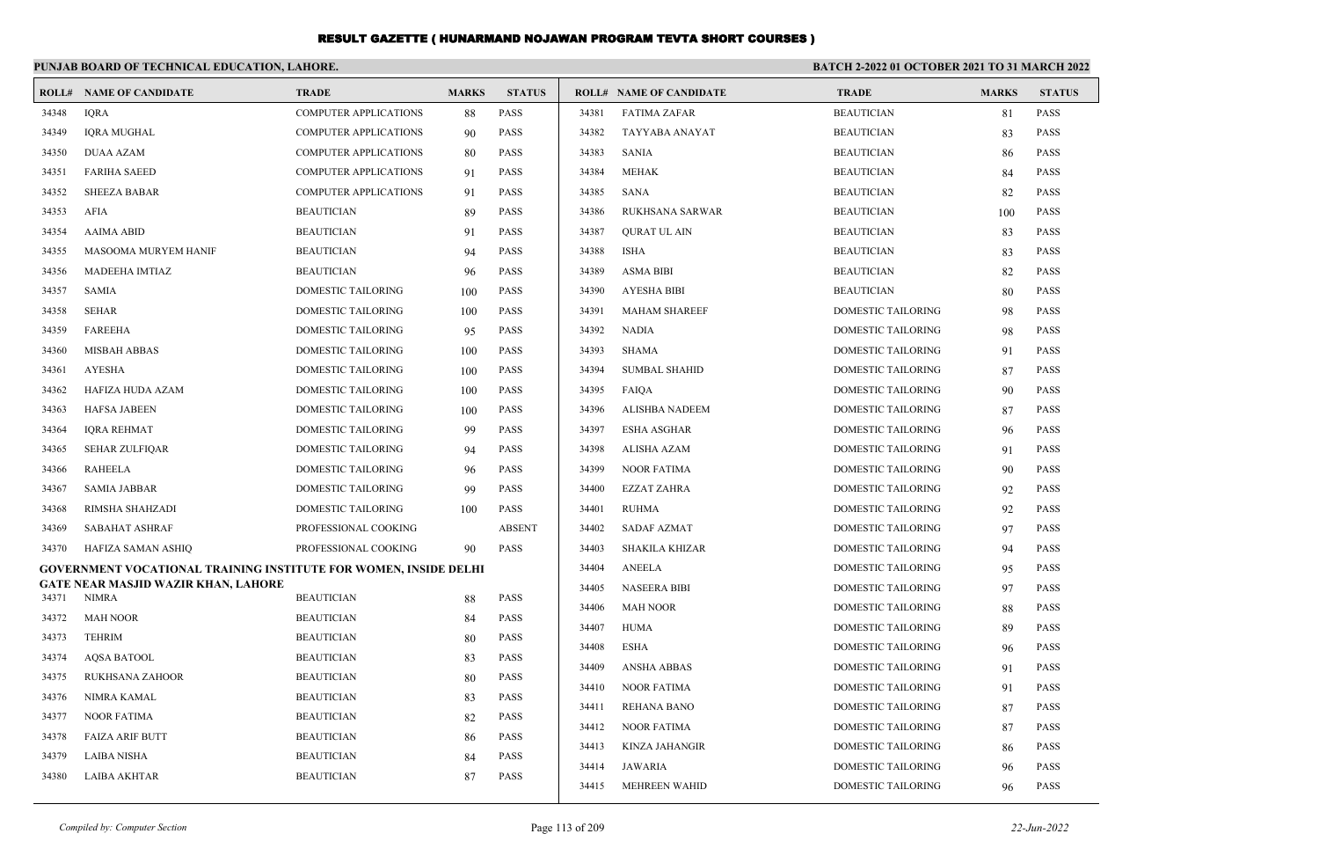|       | PUNJAB BOARD OF TECHNICAL EDUCATION, LAHORE.                            |                              |              | <b>BATCH 2-2022 01 OCTOBER 2021 TO 31 MARCH 2022</b> |       |                                |                           |              |               |
|-------|-------------------------------------------------------------------------|------------------------------|--------------|------------------------------------------------------|-------|--------------------------------|---------------------------|--------------|---------------|
| ROLL# | <b>NAME OF CANDIDATE</b>                                                | <b>TRADE</b>                 | <b>MARKS</b> | <b>STATUS</b>                                        |       | <b>ROLL# NAME OF CANDIDATE</b> | <b>TRADE</b>              | <b>MARKS</b> | <b>STATUS</b> |
| 34348 | <b>IORA</b>                                                             | <b>COMPUTER APPLICATIONS</b> | 88           | <b>PASS</b>                                          | 34381 | <b>FATIMA ZAFAR</b>            | <b>BEAUTICIAN</b>         | 81           | <b>PASS</b>   |
| 34349 | <b>IQRA MUGHAL</b>                                                      | <b>COMPUTER APPLICATIONS</b> | 90           | PASS                                                 | 34382 | TAYYABA ANAYAT                 | <b>BEAUTICIAN</b>         | 83           | <b>PASS</b>   |
| 34350 | <b>DUAA AZAM</b>                                                        | <b>COMPUTER APPLICATIONS</b> | 80           | <b>PASS</b>                                          | 34383 | <b>SANIA</b>                   | <b>BEAUTICIAN</b>         | 86           | <b>PASS</b>   |
| 34351 | <b>FARIHA SAEED</b>                                                     | <b>COMPUTER APPLICATIONS</b> | 91           | <b>PASS</b>                                          | 34384 | <b>MEHAK</b>                   | <b>BEAUTICIAN</b>         | 84           | <b>PASS</b>   |
| 34352 | <b>SHEEZA BABAR</b>                                                     | <b>COMPUTER APPLICATIONS</b> | 91           | PASS                                                 | 34385 | <b>SANA</b>                    | <b>BEAUTICIAN</b>         | 82           | <b>PASS</b>   |
| 34353 | AFIA                                                                    | <b>BEAUTICIAN</b>            | 89           | PASS                                                 | 34386 | RUKHSANA SARWAR                | <b>BEAUTICIAN</b>         | 100          | <b>PASS</b>   |
| 34354 | <b>AAIMA ABID</b>                                                       | <b>BEAUTICIAN</b>            | 91           | <b>PASS</b>                                          | 34387 | <b>OURAT UL AIN</b>            | <b>BEAUTICIAN</b>         | 83           | <b>PASS</b>   |
| 34355 | MASOOMA MURYEM HANIF                                                    | <b>BEAUTICIAN</b>            | 94           | <b>PASS</b>                                          | 34388 | <b>ISHA</b>                    | <b>BEAUTICIAN</b>         | 83           | <b>PASS</b>   |
| 34356 | MADEEHA IMTIAZ                                                          | <b>BEAUTICIAN</b>            | 96           | PASS                                                 | 34389 | <b>ASMA BIBI</b>               | <b>BEAUTICIAN</b>         | 82           | <b>PASS</b>   |
| 34357 | <b>SAMIA</b>                                                            | DOMESTIC TAILORING           | 100          | PASS                                                 | 34390 | <b>AYESHA BIBI</b>             | <b>BEAUTICIAN</b>         | 80           | PASS          |
| 34358 | <b>SEHAR</b>                                                            | DOMESTIC TAILORING           | 100          | <b>PASS</b>                                          | 34391 | <b>MAHAM SHAREEF</b>           | <b>DOMESTIC TAILORING</b> | 98           | PASS          |
| 34359 | <b>FAREEHA</b>                                                          | DOMESTIC TAILORING           | 95           | PASS                                                 | 34392 | <b>NADIA</b>                   | DOMESTIC TAILORING        | 98           | PASS          |
| 34360 | <b>MISBAH ABBAS</b>                                                     | DOMESTIC TAILORING           | 100          | PASS                                                 | 34393 | <b>SHAMA</b>                   | DOMESTIC TAILORING        | 91           | <b>PASS</b>   |
| 34361 | <b>AYESHA</b>                                                           | DOMESTIC TAILORING           | 100          | <b>PASS</b>                                          | 34394 | <b>SUMBAL SHAHID</b>           | <b>DOMESTIC TAILORING</b> | 87           | PASS          |
| 34362 | HAFIZA HUDA AZAM                                                        | DOMESTIC TAILORING           | 100          | PASS                                                 | 34395 | FAIQA                          | <b>DOMESTIC TAILORING</b> | 90           | PASS          |
| 34363 | <b>HAFSA JABEEN</b>                                                     | DOMESTIC TAILORING           | 100          | <b>PASS</b>                                          | 34396 | <b>ALISHBA NADEEM</b>          | <b>DOMESTIC TAILORING</b> | 87           | <b>PASS</b>   |
| 34364 | <b>IORA REHMAT</b>                                                      | DOMESTIC TAILORING           | 99           | <b>PASS</b>                                          | 34397 | <b>ESHA ASGHAR</b>             | <b>DOMESTIC TAILORING</b> | 96           | <b>PASS</b>   |
| 34365 | <b>SEHAR ZULFIQAR</b>                                                   | DOMESTIC TAILORING           | 94           | <b>PASS</b>                                          | 34398 | <b>ALISHA AZAM</b>             | DOMESTIC TAILORING        | 91           | <b>PASS</b>   |
| 34366 | <b>RAHEELA</b>                                                          | DOMESTIC TAILORING           | 96           | PASS                                                 | 34399 | <b>NOOR FATIMA</b>             | DOMESTIC TAILORING        | 90           | <b>PASS</b>   |
| 34367 | <b>SAMIA JABBAR</b>                                                     | DOMESTIC TAILORING           | 99           | <b>PASS</b>                                          | 34400 | <b>EZZAT ZAHRA</b>             | DOMESTIC TAILORING        | 92           | <b>PASS</b>   |
| 34368 | RIMSHA SHAHZADI                                                         | DOMESTIC TAILORING           | 100          | <b>PASS</b>                                          | 34401 | <b>RUHMA</b>                   | DOMESTIC TAILORING        | 92           | <b>PASS</b>   |
| 34369 | <b>SABAHAT ASHRAF</b>                                                   | PROFESSIONAL COOKING         |              | <b>ABSENT</b>                                        | 34402 | <b>SADAF AZMAT</b>             | DOMESTIC TAILORING        | 97           | <b>PASS</b>   |
| 34370 | HAFIZA SAMAN ASHIQ                                                      | PROFESSIONAL COOKING         | 90           | <b>PASS</b>                                          | 34403 | <b>SHAKILA KHIZAR</b>          | DOMESTIC TAILORING        | 94           | <b>PASS</b>   |
|       | <b>GOVERNMENT VOCATIONAL TRAINING INSTITUTE FOR WOMEN, INSIDE DELHI</b> |                              |              |                                                      | 34404 | <b>ANEELA</b>                  | DOMESTIC TAILORING        | 95           | <b>PASS</b>   |
| 34371 | <b>GATE NEAR MASJID WAZIR KHAN, LAHORE</b><br><b>NIMRA</b>              | <b>BEAUTICIAN</b>            | 88           | <b>PASS</b>                                          | 34405 | <b>NASEERA BIBI</b>            | DOMESTIC TAILORING        | 97           | PASS          |
| 34372 | <b>MAH NOOR</b>                                                         | <b>BEAUTICIAN</b>            | 84           | PASS                                                 | 34406 | <b>MAH NOOR</b>                | DOMESTIC TAILORING        | 88           | <b>PASS</b>   |
| 34373 | <b>TEHRIM</b>                                                           | <b>BEAUTICIAN</b>            | 80           | PASS                                                 | 34407 | <b>HUMA</b>                    | DOMESTIC TAILORING        | 89           | PASS          |
| 34374 | <b>AOSA BATOOL</b>                                                      | <b>BEAUTICIAN</b>            |              | <b>PASS</b>                                          | 34408 | <b>ESHA</b>                    | DOMESTIC TAILORING        | 96           | PASS          |
| 34375 | RUKHSANA ZAHOOR                                                         | <b>BEAUTICIAN</b>            | 83           | PASS                                                 | 34409 | <b>ANSHA ABBAS</b>             | DOMESTIC TAILORING        | 91           | <b>PASS</b>   |
| 34376 | NIMRA KAMAL                                                             | <b>BEAUTICIAN</b>            | 80           | PASS                                                 | 34410 | <b>NOOR FATIMA</b>             | DOMESTIC TAILORING        | 91           | <b>PASS</b>   |
| 34377 | <b>NOOR FATIMA</b>                                                      | <b>BEAUTICIAN</b>            | 83<br>82     | <b>PASS</b>                                          | 34411 | REHANA BANO                    | DOMESTIC TAILORING        | 87           | <b>PASS</b>   |
| 34378 | <b>FAIZA ARIF BUTT</b>                                                  | <b>BEAUTICIAN</b>            |              | <b>PASS</b>                                          | 34412 | <b>NOOR FATIMA</b>             | DOMESTIC TAILORING        | 87           | <b>PASS</b>   |
| 34379 | <b>LAIBA NISHA</b>                                                      | <b>BEAUTICIAN</b>            | 86           | PASS                                                 | 34413 | <b>KINZA JAHANGIR</b>          | DOMESTIC TAILORING        | 86           | <b>PASS</b>   |
| 34380 | LAIBA AKHTAR                                                            | <b>BEAUTICIAN</b>            | 84<br>87     | <b>PASS</b>                                          | 34414 | <b>JAWARIA</b>                 | <b>DOMESTIC TAILORING</b> | 96           | <b>PASS</b>   |
|       |                                                                         |                              |              |                                                      | 34415 | MEHREEN WAHID                  | DOMESTIC TAILORING        | 96           | <b>PASS</b>   |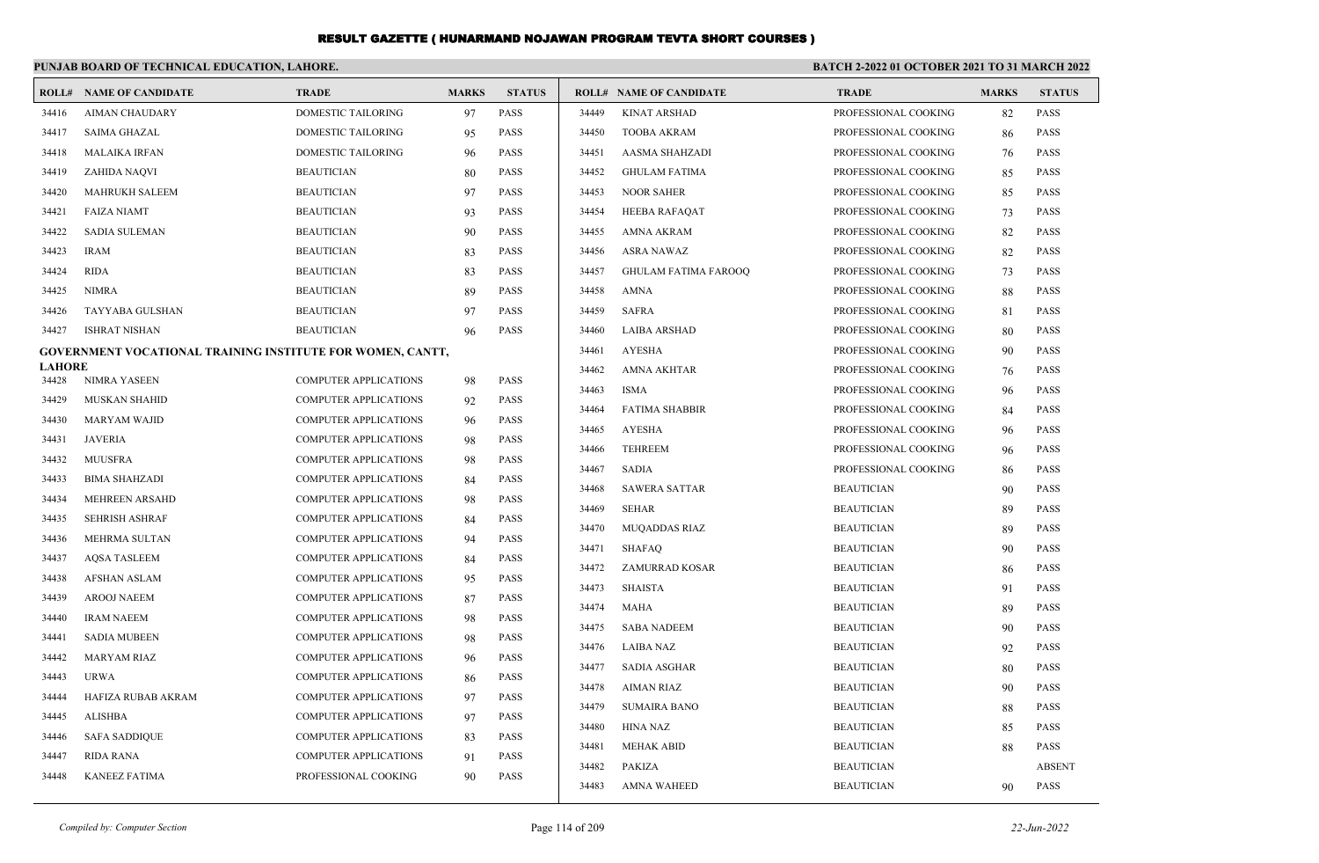|                        | PUNJAB BOARD OF TECHNICAL EDUCATION, LAHORE.               |                              |              |               | BATCH 2-2022 01 OCTOBER 2021 TO 31 MARCH 2022 |                                |                      |              |               |
|------------------------|------------------------------------------------------------|------------------------------|--------------|---------------|-----------------------------------------------|--------------------------------|----------------------|--------------|---------------|
|                        | <b>ROLL# NAME OF CANDIDATE</b>                             | <b>TRADE</b>                 | <b>MARKS</b> | <b>STATUS</b> |                                               | <b>ROLL# NAME OF CANDIDATE</b> | <b>TRADE</b>         | <b>MARKS</b> | <b>STATUS</b> |
| 34416                  | <b>AIMAN CHAUDARY</b>                                      | <b>DOMESTIC TAILORING</b>    | 97           | <b>PASS</b>   | 34449                                         | <b>KINAT ARSHAD</b>            | PROFESSIONAL COOKING | 82           | <b>PASS</b>   |
| 34417                  | <b>SAIMA GHAZAL</b>                                        | DOMESTIC TAILORING           | 95           | <b>PASS</b>   | 34450                                         | <b>TOOBA AKRAM</b>             | PROFESSIONAL COOKING | 86           | <b>PASS</b>   |
| 34418                  | <b>MALAIKA IRFAN</b>                                       | DOMESTIC TAILORING           | 96           | <b>PASS</b>   | 34451                                         | <b>AASMA SHAHZADI</b>          | PROFESSIONAL COOKING | 76           | <b>PASS</b>   |
| 34419                  | <b>ZAHIDA NAQVI</b>                                        | <b>BEAUTICIAN</b>            | 80           | <b>PASS</b>   | 34452                                         | <b>GHULAM FATIMA</b>           | PROFESSIONAL COOKING | 85           | <b>PASS</b>   |
| 34420                  | <b>MAHRUKH SALEEM</b>                                      | <b>BEAUTICIAN</b>            | 97           | <b>PASS</b>   | 34453                                         | <b>NOOR SAHER</b>              | PROFESSIONAL COOKING | 85           | <b>PASS</b>   |
| 34421                  | <b>FAIZA NIAMT</b>                                         | <b>BEAUTICIAN</b>            | 93           | <b>PASS</b>   | 34454                                         | <b>HEEBA RAFAQAT</b>           | PROFESSIONAL COOKING | 73           | <b>PASS</b>   |
| 34422                  | <b>SADIA SULEMAN</b>                                       | <b>BEAUTICIAN</b>            | 90           | <b>PASS</b>   | 34455                                         | AMNA AKRAM                     | PROFESSIONAL COOKING | 82           | <b>PASS</b>   |
| 34423                  | <b>IRAM</b>                                                | <b>BEAUTICIAN</b>            | 83           | <b>PASS</b>   | 34456                                         | <b>ASRA NAWAZ</b>              | PROFESSIONAL COOKING | 82           | <b>PASS</b>   |
| 34424                  | <b>RIDA</b>                                                | <b>BEAUTICIAN</b>            | 83           | <b>PASS</b>   | 34457                                         | <b>GHULAM FATIMA FAROOQ</b>    | PROFESSIONAL COOKING | 73           | <b>PASS</b>   |
| 34425                  | <b>NIMRA</b>                                               | <b>BEAUTICIAN</b>            | 89           | <b>PASS</b>   | 34458                                         | <b>AMNA</b>                    | PROFESSIONAL COOKING | 88           | <b>PASS</b>   |
| 34426                  | TAYYABA GULSHAN                                            | <b>BEAUTICIAN</b>            | 97           | <b>PASS</b>   | 34459                                         | <b>SAFRA</b>                   | PROFESSIONAL COOKING | 81           | <b>PASS</b>   |
| 34427                  | <b>ISHRAT NISHAN</b>                                       | <b>BEAUTICIAN</b>            | 96           | <b>PASS</b>   | 34460                                         | <b>LAIBA ARSHAD</b>            | PROFESSIONAL COOKING | 80           | <b>PASS</b>   |
|                        | GOVERNMENT VOCATIONAL TRAINING INSTITUTE FOR WOMEN, CANTT, |                              |              |               | 34461                                         | <b>AYESHA</b>                  | PROFESSIONAL COOKING | 90           | <b>PASS</b>   |
| <b>LAHORE</b><br>34428 | NIMRA YASEEN                                               | <b>COMPUTER APPLICATIONS</b> | 98           | <b>PASS</b>   | 34462                                         | <b>AMNA AKHTAR</b>             | PROFESSIONAL COOKING | 76           | <b>PASS</b>   |
| 34429                  | <b>MUSKAN SHAHID</b>                                       | <b>COMPUTER APPLICATIONS</b> | 92           | <b>PASS</b>   | 34463                                         | <b>ISMA</b>                    | PROFESSIONAL COOKING | 96           | <b>PASS</b>   |
| 34430                  | <b>MARYAM WAJID</b>                                        | COMPUTER APPLICATIONS        | 96           | <b>PASS</b>   | 34464                                         | <b>FATIMA SHABBIR</b>          | PROFESSIONAL COOKING | 84           | <b>PASS</b>   |
| 34431                  | <b>JAVERIA</b>                                             | COMPUTER APPLICATIONS        |              | PASS          | 34465                                         | <b>AYESHA</b>                  | PROFESSIONAL COOKING | 96           | <b>PASS</b>   |
| 34432                  | <b>MUUSFRA</b>                                             | COMPUTER APPLICATIONS        | 98<br>98     | <b>PASS</b>   | 34466                                         | <b>TEHREEM</b>                 | PROFESSIONAL COOKING | 96           | <b>PASS</b>   |
| 34433                  | <b>BIMA SHAHZADI</b>                                       | <b>COMPUTER APPLICATIONS</b> | 84           | <b>PASS</b>   | 34467                                         | <b>SADIA</b>                   | PROFESSIONAL COOKING | 86           | <b>PASS</b>   |
| 34434                  | <b>MEHREEN ARSAHD</b>                                      | COMPUTER APPLICATIONS        | 98           | <b>PASS</b>   | 34468                                         | <b>SAWERA SATTAR</b>           | <b>BEAUTICIAN</b>    | 90           | <b>PASS</b>   |
| 34435                  | <b>SEHRISH ASHRAF</b>                                      | <b>COMPUTER APPLICATIONS</b> | 84           | <b>PASS</b>   | 34469                                         | <b>SEHAR</b>                   | <b>BEAUTICIAN</b>    | 89           | <b>PASS</b>   |
| 34436                  | MEHRMA SULTAN                                              | <b>COMPUTER APPLICATIONS</b> | 94           | <b>PASS</b>   | 34470                                         | <b>MUQADDAS RIAZ</b>           | <b>BEAUTICIAN</b>    | 89           | <b>PASS</b>   |
| 34437                  | <b>AQSA TASLEEM</b>                                        | <b>COMPUTER APPLICATIONS</b> | 84           | <b>PASS</b>   | 34471                                         | <b>SHAFAQ</b>                  | <b>BEAUTICIAN</b>    | 90           | <b>PASS</b>   |
| 34438                  | <b>AFSHAN ASLAM</b>                                        | <b>COMPUTER APPLICATIONS</b> | 95           | <b>PASS</b>   | 34472                                         | <b>ZAMURRAD KOSAR</b>          | <b>BEAUTICIAN</b>    | 86           | <b>PASS</b>   |
| 34439                  | <b>AROOJ NAEEM</b>                                         | <b>COMPUTER APPLICATIONS</b> | 87           | <b>PASS</b>   | 34473                                         | <b>SHAISTA</b>                 | <b>BEAUTICIAN</b>    | 91           | <b>PASS</b>   |
| 34440                  | <b>IRAM NAEEM</b>                                          | <b>COMPUTER APPLICATIONS</b> | 98           | <b>PASS</b>   | 34474                                         | MAHA                           | <b>BEAUTICIAN</b>    | 89           | <b>PASS</b>   |
| 34441                  | <b>SADIA MUBEEN</b>                                        | <b>COMPUTER APPLICATIONS</b> | 98           | <b>PASS</b>   | 34475                                         | <b>SABA NADEEM</b>             | <b>BEAUTICIAN</b>    | 90           | <b>PASS</b>   |
| 34442                  | <b>MARYAM RIAZ</b>                                         | <b>COMPUTER APPLICATIONS</b> | 96           | <b>PASS</b>   | 34476                                         | <b>LAIBA NAZ</b>               | <b>BEAUTICIAN</b>    | 92           | <b>PASS</b>   |
| 34443                  | <b>URWA</b>                                                | <b>COMPUTER APPLICATIONS</b> | 86           | <b>PASS</b>   | 34477                                         | <b>SADIA ASGHAR</b>            | <b>BEAUTICIAN</b>    | 80           | <b>PASS</b>   |
| 34444                  | HAFIZA RUBAB AKRAM                                         | COMPUTER APPLICATIONS        | 97           | <b>PASS</b>   | 34478                                         | <b>AIMAN RIAZ</b>              | <b>BEAUTICIAN</b>    | 90           | PASS          |
| 34445                  | <b>ALISHBA</b>                                             | COMPUTER APPLICATIONS        | 97           | <b>PASS</b>   | 34479                                         | <b>SUMAIRA BANO</b>            | <b>BEAUTICIAN</b>    | 88           | <b>PASS</b>   |
| 34446                  | <b>SAFA SADDIQUE</b>                                       | COMPUTER APPLICATIONS        | 83           | <b>PASS</b>   | 34480                                         | <b>HINA NAZ</b>                | <b>BEAUTICIAN</b>    | 85           | <b>PASS</b>   |
| 34447                  | <b>RIDA RANA</b>                                           | <b>COMPUTER APPLICATIONS</b> | 91           | <b>PASS</b>   | 34481                                         | <b>MEHAK ABID</b>              | <b>BEAUTICIAN</b>    | 88           | <b>PASS</b>   |
| 34448                  | <b>KANEEZ FATIMA</b>                                       | PROFESSIONAL COOKING         | 90           | <b>PASS</b>   | 34482                                         | <b>PAKIZA</b>                  | <b>BEAUTICIAN</b>    |              | <b>ABSENT</b> |
|                        |                                                            |                              |              |               | 34483                                         | <b>AMNA WAHEED</b>             | <b>BEAUTICIAN</b>    | 90           | <b>PASS</b>   |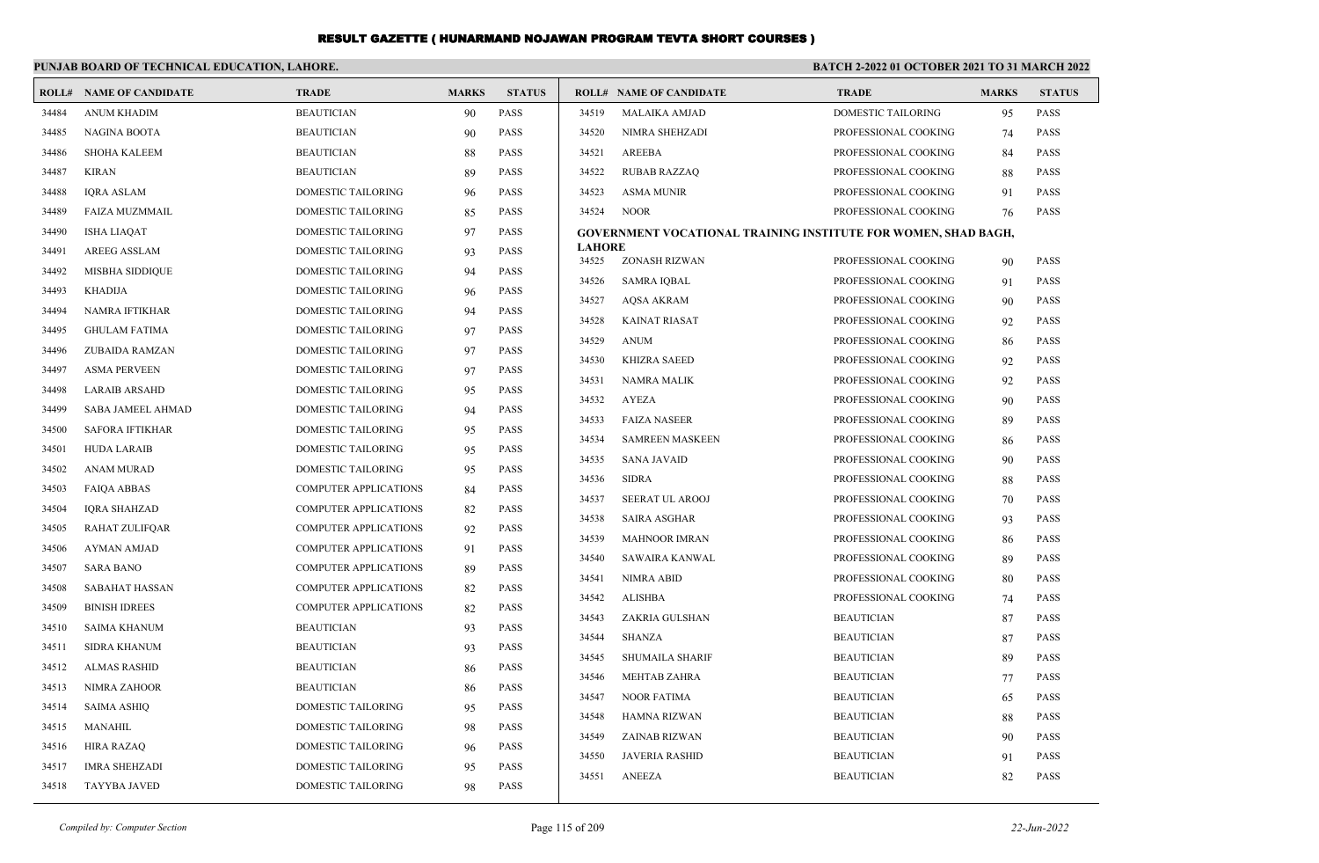|       | PUNJAB BOARD OF TECHNICAL EDUCATION, LAHORE. |                              |              |               | BATCH 2-2022 01 OCTOBER 2021 TO 31 MARCH 2022 |                                                                       |                      |              |               |
|-------|----------------------------------------------|------------------------------|--------------|---------------|-----------------------------------------------|-----------------------------------------------------------------------|----------------------|--------------|---------------|
|       | <b>ROLL# NAME OF CANDIDATE</b>               | <b>TRADE</b>                 | <b>MARKS</b> | <b>STATUS</b> |                                               | <b>ROLL# NAME OF CANDIDATE</b>                                        | <b>TRADE</b>         | <b>MARKS</b> | <b>STATUS</b> |
| 34484 | <b>ANUM KHADIM</b>                           | <b>BEAUTICIAN</b>            | 90           | PASS          | 34519                                         | <b>MALAIKA AMJAD</b>                                                  | DOMESTIC TAILORING   | 95           | PASS          |
| 34485 | NAGINA BOOTA                                 | <b>BEAUTICIAN</b>            | 90           | PASS          | 34520                                         | NIMRA SHEHZADI                                                        | PROFESSIONAL COOKING | 74           | <b>PASS</b>   |
| 34486 | SHOHA KALEEM                                 | <b>BEAUTICIAN</b>            | 88           | <b>PASS</b>   | 34521                                         | AREEBA                                                                | PROFESSIONAL COOKING | 84           | <b>PASS</b>   |
| 34487 | <b>KIRAN</b>                                 | <b>BEAUTICIAN</b>            | 89           | <b>PASS</b>   | 34522                                         | <b>RUBAB RAZZAQ</b>                                                   | PROFESSIONAL COOKING | 88           | <b>PASS</b>   |
| 34488 | <b>IORA ASLAM</b>                            | DOMESTIC TAILORING           | 96           | PASS          | 34523                                         | <b>ASMA MUNIR</b>                                                     | PROFESSIONAL COOKING | 91           | <b>PASS</b>   |
| 34489 | <b>FAIZA MUZMMAIL</b>                        | DOMESTIC TAILORING           | 85           | PASS          | 34524                                         | <b>NOOR</b>                                                           | PROFESSIONAL COOKING | 76           | PASS          |
| 34490 | <b>ISHA LIAQAT</b>                           | DOMESTIC TAILORING           | 97           | <b>PASS</b>   |                                               | <b>GOVERNMENT VOCATIONAL TRAINING INSTITUTE FOR WOMEN, SHAD BAGH,</b> |                      |              |               |
| 34491 | <b>AREEG ASSLAM</b>                          | DOMESTIC TAILORING           | 93           | <b>PASS</b>   | <b>LAHORE</b><br>34525                        | ZONASH RIZWAN                                                         | PROFESSIONAL COOKING | 90           | <b>PASS</b>   |
| 34492 | <b>MISBHA SIDDIQUE</b>                       | DOMESTIC TAILORING           | 94           | <b>PASS</b>   | 34526                                         | <b>SAMRA IQBAL</b>                                                    | PROFESSIONAL COOKING | 91           | <b>PASS</b>   |
| 34493 | KHADIJA                                      | DOMESTIC TAILORING           | 96           | PASS          | 34527                                         | <b>AQSA AKRAM</b>                                                     | PROFESSIONAL COOKING | 90           | <b>PASS</b>   |
| 34494 | NAMRA IFTIKHAR                               | DOMESTIC TAILORING           | 94           | <b>PASS</b>   | 34528                                         | <b>KAINAT RIASAT</b>                                                  | PROFESSIONAL COOKING | 92           | PASS          |
| 34495 | <b>GHULAM FATIMA</b>                         | DOMESTIC TAILORING           | 97           | <b>PASS</b>   | 34529                                         | <b>ANUM</b>                                                           | PROFESSIONAL COOKING | 86           | PASS          |
| 34496 | ZUBAIDA RAMZAN                               | DOMESTIC TAILORING           | 97           | <b>PASS</b>   | 34530                                         | <b>KHIZRA SAEED</b>                                                   | PROFESSIONAL COOKING | 92           | PASS          |
| 34497 | <b>ASMA PERVEEN</b>                          | DOMESTIC TAILORING           | 97           | PASS          | 34531                                         | <b>NAMRA MALIK</b>                                                    | PROFESSIONAL COOKING | 92           | <b>PASS</b>   |
| 34498 | <b>LARAIB ARSAHD</b>                         | DOMESTIC TAILORING           | 95           | <b>PASS</b>   | 34532                                         | <b>AYEZA</b>                                                          | PROFESSIONAL COOKING | 90           | <b>PASS</b>   |
| 34499 | SABA JAMEEL AHMAD                            | <b>DOMESTIC TAILORING</b>    | 94           | PASS          | 34533                                         | <b>FAIZA NASEER</b>                                                   | PROFESSIONAL COOKING | 89           | <b>PASS</b>   |
| 34500 | <b>SAFORA IFTIKHAR</b>                       | DOMESTIC TAILORING           | 95           | PASS          | 34534                                         | <b>SAMREEN MASKEEN</b>                                                | PROFESSIONAL COOKING | 86           | <b>PASS</b>   |
| 34501 | <b>HUDA LARAIB</b>                           | DOMESTIC TAILORING           | 95           | <b>PASS</b>   | 34535                                         | <b>SANA JAVAID</b>                                                    | PROFESSIONAL COOKING | 90           | <b>PASS</b>   |
| 34502 | <b>ANAM MURAD</b>                            | <b>DOMESTIC TAILORING</b>    | 95           | <b>PASS</b>   | 34536                                         | <b>SIDRA</b>                                                          | PROFESSIONAL COOKING | 88           | PASS          |
| 34503 | <b>FAIOA ABBAS</b>                           | <b>COMPUTER APPLICATIONS</b> | 84           | <b>PASS</b>   | 34537                                         | <b>SEERAT UL AROOJ</b>                                                | PROFESSIONAL COOKING | 70           | <b>PASS</b>   |
| 34504 | <b>IORA SHAHZAD</b>                          | <b>COMPUTER APPLICATIONS</b> | 82           | <b>PASS</b>   | 34538                                         | <b>SAIRA ASGHAR</b>                                                   | PROFESSIONAL COOKING | 93           | <b>PASS</b>   |
| 34505 | <b>RAHAT ZULIFQAR</b>                        | COMPUTER APPLICATIONS        | 92           | PASS          | 34539                                         | <b>MAHNOOR IMRAN</b>                                                  | PROFESSIONAL COOKING | 86           | <b>PASS</b>   |
| 34506 | <b>AYMAN AMJAD</b>                           | <b>COMPUTER APPLICATIONS</b> | 91           | PASS          | 34540                                         | <b>SAWAIRA KANWAL</b>                                                 | PROFESSIONAL COOKING | 89           | <b>PASS</b>   |
| 34507 | <b>SARA BANO</b>                             | COMPUTER APPLICATIONS        | 89           | <b>PASS</b>   | 34541                                         | <b>NIMRA ABID</b>                                                     | PROFESSIONAL COOKING | 80           | <b>PASS</b>   |
| 34508 | <b>SABAHAT HASSAN</b>                        | <b>COMPUTER APPLICATIONS</b> | 82           | PASS          | 34542                                         | <b>ALISHBA</b>                                                        | PROFESSIONAL COOKING | 74           | PASS          |
| 34509 | <b>BINISH IDREES</b>                         | <b>COMPUTER APPLICATIONS</b> | 82           | PASS          | 34543                                         | ZAKRIA GULSHAN                                                        | <b>BEAUTICIAN</b>    | 87           | PASS          |
| 34510 | <b>SAIMA KHANUM</b>                          | <b>BEAUTICIAN</b>            | 93           | PASS          | 34544                                         | <b>SHANZA</b>                                                         | <b>BEAUTICIAN</b>    | 87           | PASS          |
| 34511 | <b>SIDRA KHANUM</b>                          | <b>BEAUTICIAN</b>            | 93           | PASS          | 34545                                         | <b>SHUMAILA SHARIF</b>                                                | <b>BEAUTICIAN</b>    | 89           | PASS          |
| 34512 | <b>ALMAS RASHID</b>                          | <b>BEAUTICIAN</b>            | 86           | PASS          | 34546                                         | MEHTAB ZAHRA                                                          | <b>BEAUTICIAN</b>    | 77           | PASS          |
| 34513 | NIMRA ZAHOOR                                 | <b>BEAUTICIAN</b>            | 86           | PASS          | 34547                                         | <b>NOOR FATIMA</b>                                                    | <b>BEAUTICIAN</b>    | 65           | PASS          |
| 34514 | <b>SAIMA ASHIO</b>                           | <b>DOMESTIC TAILORING</b>    | 95           | PASS          | 34548                                         | HAMNA RIZWAN                                                          | <b>BEAUTICIAN</b>    | 88           | <b>PASS</b>   |
| 34515 | <b>MANAHIL</b>                               | <b>DOMESTIC TAILORING</b>    | 98           | <b>PASS</b>   | 34549                                         | ZAINAB RIZWAN                                                         | <b>BEAUTICIAN</b>    | 90           | <b>PASS</b>   |
| 34516 | HIRA RAZAQ                                   | DOMESTIC TAILORING           | 96           | <b>PASS</b>   | 34550                                         | <b>JAVERIA RASHID</b>                                                 | <b>BEAUTICIAN</b>    | 91           | <b>PASS</b>   |
| 34517 | <b>IMRA SHEHZADI</b>                         | <b>DOMESTIC TAILORING</b>    | 95           | <b>PASS</b>   | 34551                                         | <b>ANEEZA</b>                                                         | <b>BEAUTICIAN</b>    | 82           | <b>PASS</b>   |
| 34518 | <b>TAYYBA JAVED</b>                          | <b>DOMESTIC TAILORING</b>    | 98           | <b>PASS</b>   |                                               |                                                                       |                      |              |               |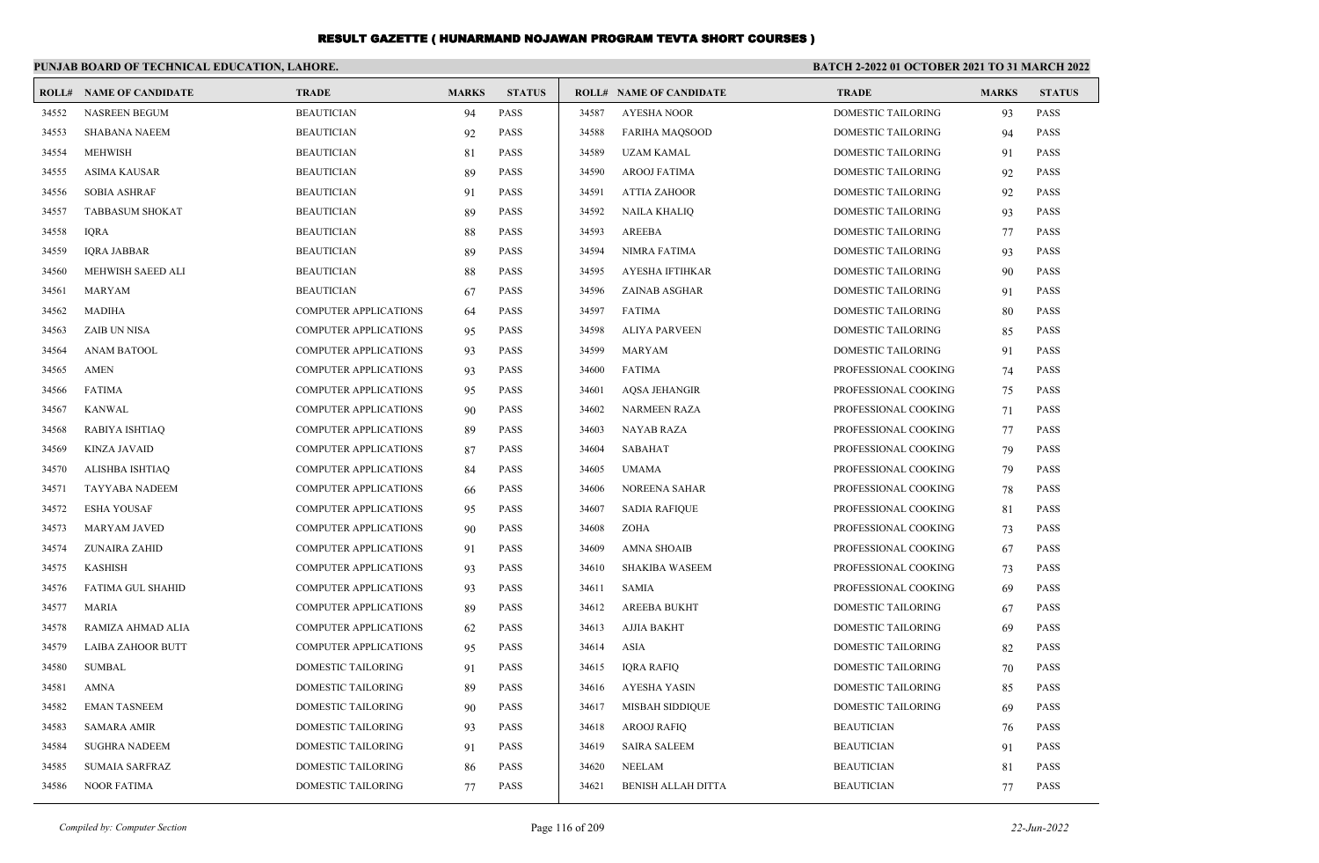|       | PUNJAB BOARD OF TECHNICAL EDUCATION, LAHORE. |                              |              |               | BATCH 2-2022 01 OCTOBER 2021 TO 31 MARCH 2022 |                                |                           |              |               |
|-------|----------------------------------------------|------------------------------|--------------|---------------|-----------------------------------------------|--------------------------------|---------------------------|--------------|---------------|
|       | <b>ROLL# NAME OF CANDIDATE</b>               | <b>TRADE</b>                 | <b>MARKS</b> | <b>STATUS</b> |                                               | <b>ROLL# NAME OF CANDIDATE</b> | <b>TRADE</b>              | <b>MARKS</b> | <b>STATUS</b> |
| 34552 | NASREEN BEGUM                                | <b>BEAUTICIAN</b>            | 94           | <b>PASS</b>   | 34587                                         | <b>AYESHA NOOR</b>             | DOMESTIC TAILORING        | 93           | <b>PASS</b>   |
| 34553 | <b>SHABANA NAEEM</b>                         | <b>BEAUTICIAN</b>            | 92           | <b>PASS</b>   | 34588                                         | <b>FARIHA MAQSOOD</b>          | DOMESTIC TAILORING        | 94           | PASS          |
| 34554 | <b>MEHWISH</b>                               | <b>BEAUTICIAN</b>            | 81           | <b>PASS</b>   | 34589                                         | <b>UZAM KAMAL</b>              | <b>DOMESTIC TAILORING</b> | 91           | <b>PASS</b>   |
| 34555 | <b>ASIMA KAUSAR</b>                          | <b>BEAUTICIAN</b>            | 89           | <b>PASS</b>   | 34590                                         | <b>AROOJ FATIMA</b>            | DOMESTIC TAILORING        | 92           | <b>PASS</b>   |
| 34556 | <b>SOBIA ASHRAF</b>                          | <b>BEAUTICIAN</b>            | 91           | <b>PASS</b>   | 34591                                         | <b>ATTIA ZAHOOR</b>            | <b>DOMESTIC TAILORING</b> | 92           | PASS          |
| 34557 | <b>TABBASUM SHOKAT</b>                       | <b>BEAUTICIAN</b>            | 89           | <b>PASS</b>   | 34592                                         | <b>NAILA KHALIQ</b>            | <b>DOMESTIC TAILORING</b> | 93           | <b>PASS</b>   |
| 34558 | <b>IQRA</b>                                  | <b>BEAUTICIAN</b>            | 88           | <b>PASS</b>   | 34593                                         | <b>AREEBA</b>                  | DOMESTIC TAILORING        | 77           | <b>PASS</b>   |
| 34559 | <b>IQRA JABBAR</b>                           | <b>BEAUTICIAN</b>            | 89           | <b>PASS</b>   | 34594                                         | <b>NIMRA FATIMA</b>            | DOMESTIC TAILORING        | 93           | PASS          |
| 34560 | MEHWISH SAEED ALI                            | <b>BEAUTICIAN</b>            | 88           | <b>PASS</b>   | 34595                                         | AYESHA IFTIHKAR                | <b>DOMESTIC TAILORING</b> | 90           | <b>PASS</b>   |
| 34561 | <b>MARYAM</b>                                | <b>BEAUTICIAN</b>            | 67           | <b>PASS</b>   | 34596                                         | <b>ZAINAB ASGHAR</b>           | <b>DOMESTIC TAILORING</b> | 91           | <b>PASS</b>   |
| 34562 | <b>MADIHA</b>                                | <b>COMPUTER APPLICATIONS</b> | 64           | <b>PASS</b>   | 34597                                         | <b>FATIMA</b>                  | DOMESTIC TAILORING        | 80           | <b>PASS</b>   |
| 34563 | <b>ZAIB UN NISA</b>                          | <b>COMPUTER APPLICATIONS</b> | 95           | <b>PASS</b>   | 34598                                         | <b>ALIYA PARVEEN</b>           | DOMESTIC TAILORING        | 85           | <b>PASS</b>   |
| 34564 | <b>ANAM BATOOL</b>                           | <b>COMPUTER APPLICATIONS</b> | 93           | <b>PASS</b>   | 34599                                         | <b>MARYAM</b>                  | DOMESTIC TAILORING        | 91           | <b>PASS</b>   |
| 34565 | <b>AMEN</b>                                  | COMPUTER APPLICATIONS        | 93           | <b>PASS</b>   | 34600                                         | <b>FATIMA</b>                  | PROFESSIONAL COOKING      | 74           | <b>PASS</b>   |
| 34566 | <b>FATIMA</b>                                | <b>COMPUTER APPLICATIONS</b> | 95           | <b>PASS</b>   | 34601                                         | <b>AQSA JEHANGIR</b>           | PROFESSIONAL COOKING      | 75           | <b>PASS</b>   |
| 34567 | <b>KANWAL</b>                                | <b>COMPUTER APPLICATIONS</b> | 90           | <b>PASS</b>   | 34602                                         | <b>NARMEEN RAZA</b>            | PROFESSIONAL COOKING      | 71           | <b>PASS</b>   |
| 34568 | RABIYA ISHTIAO                               | <b>COMPUTER APPLICATIONS</b> | 89           | <b>PASS</b>   | 34603                                         | <b>NAYAB RAZA</b>              | PROFESSIONAL COOKING      | 77           | <b>PASS</b>   |
| 34569 | <b>KINZA JAVAID</b>                          | <b>COMPUTER APPLICATIONS</b> | 87           | <b>PASS</b>   | 34604                                         | SABAHAT                        | PROFESSIONAL COOKING      | 79           | <b>PASS</b>   |
| 34570 | ALISHBA ISHTIAQ                              | <b>COMPUTER APPLICATIONS</b> | 84           | <b>PASS</b>   | 34605                                         | <b>UMAMA</b>                   | PROFESSIONAL COOKING      | 79           | <b>PASS</b>   |
| 34571 | <b>TAYYABA NADEEM</b>                        | COMPUTER APPLICATIONS        | 66           | <b>PASS</b>   | 34606                                         | NOREENA SAHAR                  | PROFESSIONAL COOKING      | 78           | <b>PASS</b>   |
| 34572 | <b>ESHA YOUSAF</b>                           | COMPUTER APPLICATIONS        | 95           | <b>PASS</b>   | 34607                                         | <b>SADIA RAFIQUE</b>           | PROFESSIONAL COOKING      | 81           | <b>PASS</b>   |
| 34573 | <b>MARYAM JAVED</b>                          | <b>COMPUTER APPLICATIONS</b> | 90           | <b>PASS</b>   | 34608                                         | ZOHA                           | PROFESSIONAL COOKING      | 73           | <b>PASS</b>   |
| 34574 | ZUNAIRA ZAHID                                | <b>COMPUTER APPLICATIONS</b> | 91           | <b>PASS</b>   | 34609                                         | <b>AMNA SHOAIB</b>             | PROFESSIONAL COOKING      | 67           | <b>PASS</b>   |
| 34575 | <b>KASHISH</b>                               | COMPUTER APPLICATIONS        | 93           | <b>PASS</b>   | 34610                                         | <b>SHAKIBA WASEEM</b>          | PROFESSIONAL COOKING      | 73           | <b>PASS</b>   |
| 34576 | FATIMA GUL SHAHID                            | COMPUTER APPLICATIONS        | 93           | <b>PASS</b>   | 34611                                         | <b>SAMIA</b>                   | PROFESSIONAL COOKING      | 69           | <b>PASS</b>   |
| 34577 | <b>MARIA</b>                                 | <b>COMPUTER APPLICATIONS</b> | 89           | <b>PASS</b>   | 34612                                         | <b>AREEBA BUKHT</b>            | DOMESTIC TAILORING        | 67           | <b>PASS</b>   |
| 34578 | RAMIZA AHMAD ALIA                            | COMPUTER APPLICATIONS        | 62           | <b>PASS</b>   | 34613                                         | <b>AJJIA BAKHT</b>             | DOMESTIC TAILORING        | 69           | <b>PASS</b>   |
| 34579 | LAIBA ZAHOOR BUTT                            | COMPUTER APPLICATIONS        | 95           | <b>PASS</b>   | 34614                                         | <b>ASIA</b>                    | DOMESTIC TAILORING        | 82           | <b>PASS</b>   |
| 34580 | <b>SUMBAL</b>                                | <b>DOMESTIC TAILORING</b>    | 91           | <b>PASS</b>   | 34615                                         | <b>IQRA RAFIQ</b>              | <b>DOMESTIC TAILORING</b> | 70           | <b>PASS</b>   |
| 34581 | <b>AMNA</b>                                  | <b>DOMESTIC TAILORING</b>    | 89           | <b>PASS</b>   | 34616                                         | <b>AYESHA YASIN</b>            | <b>DOMESTIC TAILORING</b> | 85           | <b>PASS</b>   |
| 34582 | <b>EMAN TASNEEM</b>                          | <b>DOMESTIC TAILORING</b>    | 90           | <b>PASS</b>   | 34617                                         | <b>MISBAH SIDDIQUE</b>         | <b>DOMESTIC TAILORING</b> | 69           | PASS          |
| 34583 | <b>SAMARA AMIR</b>                           | <b>DOMESTIC TAILORING</b>    | 93           | <b>PASS</b>   | 34618                                         | <b>AROOJ RAFIQ</b>             | <b>BEAUTICIAN</b>         | 76           | <b>PASS</b>   |
| 34584 | <b>SUGHRA NADEEM</b>                         | <b>DOMESTIC TAILORING</b>    | 91           | <b>PASS</b>   | 34619                                         | <b>SAIRA SALEEM</b>            | <b>BEAUTICIAN</b>         | 91           | <b>PASS</b>   |
| 34585 | <b>SUMAIA SARFRAZ</b>                        | DOMESTIC TAILORING           | 86           | <b>PASS</b>   | 34620                                         | <b>NEELAM</b>                  | <b>BEAUTICIAN</b>         | 81           | <b>PASS</b>   |
| 34586 | <b>NOOR FATIMA</b>                           | <b>DOMESTIC TAILORING</b>    | 77           | <b>PASS</b>   | 34621                                         | <b>BENISH ALLAH DITTA</b>      | <b>BEAUTICIAN</b>         | 77           | <b>PASS</b>   |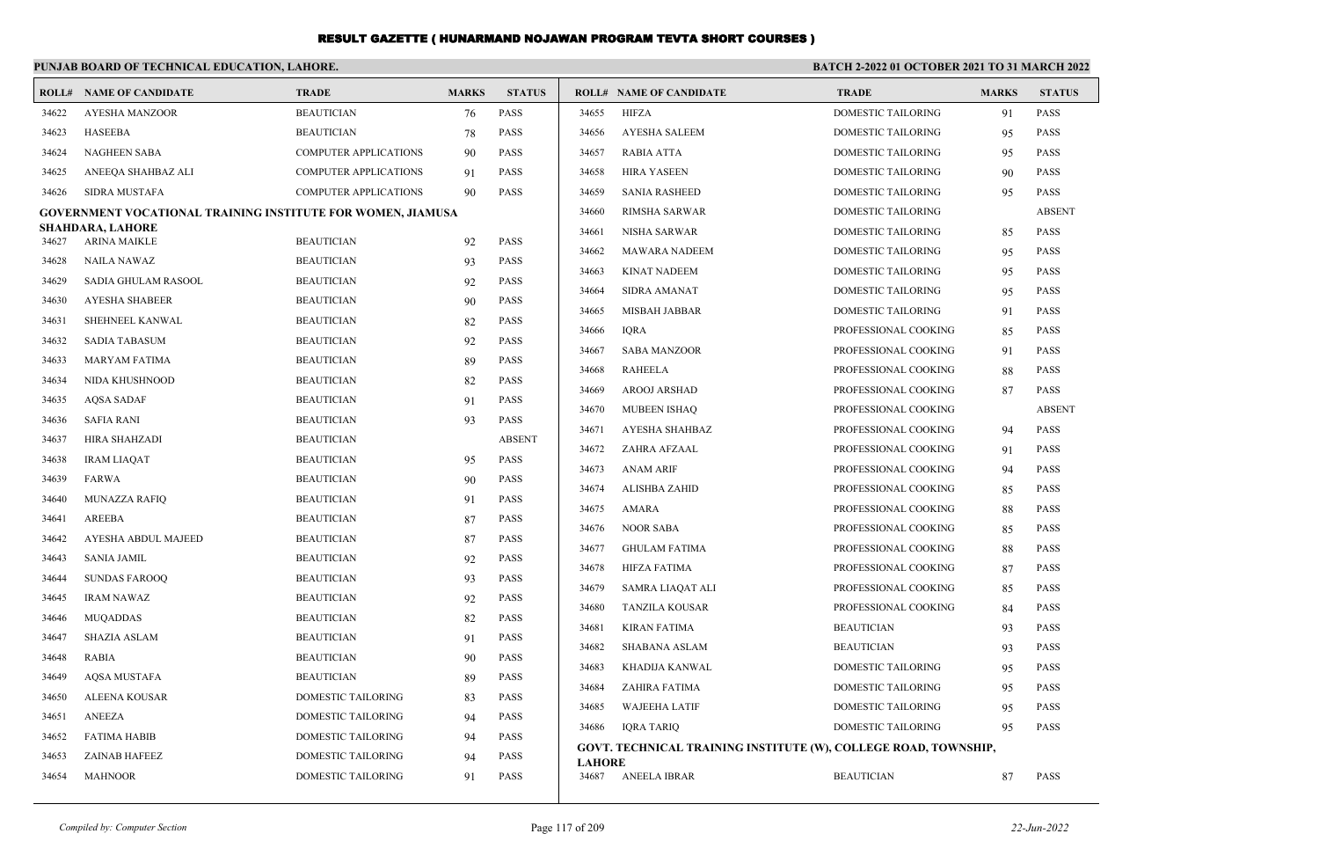|       | PUNJAB BOARD OF TECHNICAL EDUCATION, LAHORE.                       |                              |              |               | BATCH 2-2022 01 OCTOBER 2021 TO 31 MARCH 2022 |                                                                 |                           |              |               |
|-------|--------------------------------------------------------------------|------------------------------|--------------|---------------|-----------------------------------------------|-----------------------------------------------------------------|---------------------------|--------------|---------------|
|       | <b>ROLL# NAME OF CANDIDATE</b>                                     | <b>TRADE</b>                 | <b>MARKS</b> | <b>STATUS</b> |                                               | <b>ROLL# NAME OF CANDIDATE</b>                                  | <b>TRADE</b>              | <b>MARKS</b> | <b>STATUS</b> |
| 34622 | AYESHA MANZOOR                                                     | <b>BEAUTICIAN</b>            | 76           | <b>PASS</b>   | 34655                                         | <b>HIFZA</b>                                                    | <b>DOMESTIC TAILORING</b> | 91           | <b>PASS</b>   |
| 34623 | HASEEBA                                                            | <b>BEAUTICIAN</b>            | 78           | <b>PASS</b>   | 34656                                         | <b>AYESHA SALEEM</b>                                            | <b>DOMESTIC TAILORING</b> | 95           | <b>PASS</b>   |
| 34624 | <b>NAGHEEN SABA</b>                                                | <b>COMPUTER APPLICATIONS</b> | 90           | <b>PASS</b>   | 34657                                         | <b>RABIA ATTA</b>                                               | <b>DOMESTIC TAILORING</b> | 95           | <b>PASS</b>   |
| 34625 | ANEEQA SHAHBAZ ALI                                                 | <b>COMPUTER APPLICATIONS</b> | 91           | <b>PASS</b>   | 34658                                         | <b>HIRA YASEEN</b>                                              | DOMESTIC TAILORING        | 90           | <b>PASS</b>   |
| 34626 | <b>SIDRA MUSTAFA</b>                                               | <b>COMPUTER APPLICATIONS</b> | 90           | <b>PASS</b>   | 34659                                         | <b>SANIA RASHEED</b>                                            | <b>DOMESTIC TAILORING</b> | 95           | <b>PASS</b>   |
|       | <b>GOVERNMENT VOCATIONAL TRAINING INSTITUTE FOR WOMEN, JIAMUSA</b> |                              |              |               | 34660                                         | <b>RIMSHA SARWAR</b>                                            | <b>DOMESTIC TAILORING</b> |              | <b>ABSENT</b> |
| 34627 | <b>SHAHDARA, LAHORE</b><br>ARINA MAIKLE                            | <b>BEAUTICIAN</b>            | 92           | <b>PASS</b>   | 34661                                         | <b>NISHA SARWAR</b>                                             | DOMESTIC TAILORING        | 85           | <b>PASS</b>   |
| 34628 | <b>NAILA NAWAZ</b>                                                 | <b>BEAUTICIAN</b>            | 93           | <b>PASS</b>   | 34662                                         | MAWARA NADEEM                                                   | DOMESTIC TAILORING        | 95           | <b>PASS</b>   |
| 34629 | SADIA GHULAM RASOOL                                                | <b>BEAUTICIAN</b>            | 92           | <b>PASS</b>   | 34663                                         | <b>KINAT NADEEM</b>                                             | <b>DOMESTIC TAILORING</b> | 95           | <b>PASS</b>   |
| 34630 | <b>AYESHA SHABEER</b>                                              | <b>BEAUTICIAN</b>            | 90           | <b>PASS</b>   | 34664                                         | <b>SIDRA AMANAT</b>                                             | <b>DOMESTIC TAILORING</b> | 95           | <b>PASS</b>   |
| 34631 | SHEHNEEL KANWAL                                                    | <b>BEAUTICIAN</b>            | 82           | <b>PASS</b>   | 34665                                         | MISBAH JABBAR                                                   | DOMESTIC TAILORING        | 91           | <b>PASS</b>   |
| 34632 | SADIA TABASUM                                                      | <b>BEAUTICIAN</b>            | 92           | PASS          | 34666                                         | <b>IQRA</b>                                                     | PROFESSIONAL COOKING      | 85           | <b>PASS</b>   |
| 34633 | <b>MARYAM FATIMA</b>                                               | <b>BEAUTICIAN</b>            | 89           | <b>PASS</b>   | 34667                                         | <b>SABA MANZOOR</b>                                             | PROFESSIONAL COOKING      | 91           | <b>PASS</b>   |
| 34634 | NIDA KHUSHNOOD                                                     | <b>BEAUTICIAN</b>            | 82           | <b>PASS</b>   | 34668                                         | <b>RAHEELA</b>                                                  | PROFESSIONAL COOKING      | 88           | <b>PASS</b>   |
| 34635 | <b>AOSA SADAF</b>                                                  | <b>BEAUTICIAN</b>            | 91           | <b>PASS</b>   | 34669                                         | AROOJ ARSHAD                                                    | PROFESSIONAL COOKING      | 87           | <b>PASS</b>   |
| 34636 | SAFIA RANI                                                         | <b>BEAUTICIAN</b>            | 93           | <b>PASS</b>   | 34670                                         | <b>MUBEEN ISHAO</b>                                             | PROFESSIONAL COOKING      |              | <b>ABSENT</b> |
| 34637 | HIRA SHAHZADI                                                      | <b>BEAUTICIAN</b>            |              | <b>ABSENT</b> | 34671                                         | <b>AYESHA SHAHBAZ</b>                                           | PROFESSIONAL COOKING      | 94           | <b>PASS</b>   |
| 34638 | <b>IRAM LIAOAT</b>                                                 | <b>BEAUTICIAN</b>            | 95           | <b>PASS</b>   | 34672                                         | ZAHRA AFZAAL                                                    | PROFESSIONAL COOKING      | 91           | <b>PASS</b>   |
| 34639 | <b>FARWA</b>                                                       | <b>BEAUTICIAN</b>            | 90           | <b>PASS</b>   | 34673                                         | <b>ANAM ARIF</b>                                                | PROFESSIONAL COOKING      | 94           | <b>PASS</b>   |
| 34640 | <b>MUNAZZA RAFIQ</b>                                               | <b>BEAUTICIAN</b>            | 91           | <b>PASS</b>   | 34674                                         | <b>ALISHBA ZAHID</b>                                            | PROFESSIONAL COOKING      | 85           | <b>PASS</b>   |
| 34641 | <b>AREEBA</b>                                                      | <b>BEAUTICIAN</b>            | 87           | <b>PASS</b>   | 34675                                         | <b>AMARA</b>                                                    | PROFESSIONAL COOKING      | 88           | <b>PASS</b>   |
| 34642 | AYESHA ABDUL MAJEED                                                | <b>BEAUTICIAN</b>            | 87           | <b>PASS</b>   | 34676                                         | <b>NOOR SABA</b>                                                | PROFESSIONAL COOKING      | 85           | <b>PASS</b>   |
| 34643 | <b>SANIA JAMIL</b>                                                 | <b>BEAUTICIAN</b>            | 92           | <b>PASS</b>   | 34677                                         | <b>GHULAM FATIMA</b>                                            | PROFESSIONAL COOKING      | 88           | <b>PASS</b>   |
| 34644 | <b>SUNDAS FAROOO</b>                                               | <b>BEAUTICIAN</b>            | 93           | <b>PASS</b>   | 34678                                         | <b>HIFZA FATIMA</b>                                             | PROFESSIONAL COOKING      | 87           | <b>PASS</b>   |
| 34645 | <b>IRAM NAWAZ</b>                                                  | <b>BEAUTICIAN</b>            | 92           | <b>PASS</b>   | 34679                                         | SAMRA LIAQAT ALI                                                | PROFESSIONAL COOKING      | 85           | <b>PASS</b>   |
| 34646 | <b>MUQADDAS</b>                                                    | <b>BEAUTICIAN</b>            | 82           | <b>PASS</b>   | 34680                                         | <b>TANZILA KOUSAR</b>                                           | PROFESSIONAL COOKING      | 84           | <b>PASS</b>   |
| 34647 | <b>SHAZIA ASLAM</b>                                                | <b>BEAUTICIAN</b>            | 91           | <b>PASS</b>   | 34681                                         | <b>KIRAN FATIMA</b>                                             | <b>BEAUTICIAN</b>         | 93           | <b>PASS</b>   |
| 34648 | RABIA                                                              | <b>BEAUTICIAN</b>            | 90           | <b>PASS</b>   | 34682                                         | <b>SHABANA ASLAM</b>                                            | <b>BEAUTICIAN</b>         | 93           | <b>PASS</b>   |
| 34649 | <b>AOSA MUSTAFA</b>                                                | <b>BEAUTICIAN</b>            | 89           | <b>PASS</b>   | 34683                                         | KHADIJA KANWAL                                                  | DOMESTIC TAILORING        | 95           | <b>PASS</b>   |
| 34650 | <b>ALEENA KOUSAR</b>                                               | DOMESTIC TAILORING           | 83           | <b>PASS</b>   | 34684                                         | <b>ZAHIRA FATIMA</b>                                            | DOMESTIC TAILORING        | 95           | <b>PASS</b>   |
| 34651 | <b>ANEEZA</b>                                                      | DOMESTIC TAILORING           | 94           | <b>PASS</b>   | 34685                                         | <b>WAJEEHA LATIF</b>                                            | <b>DOMESTIC TAILORING</b> | 95           | <b>PASS</b>   |
| 34652 | <b>FATIMA HABIB</b>                                                | <b>DOMESTIC TAILORING</b>    | 94           | <b>PASS</b>   | 34686                                         | <b>IQRA TARIQ</b>                                               | DOMESTIC TAILORING        | 95           | <b>PASS</b>   |
| 34653 | <b>ZAINAB HAFEEZ</b>                                               | <b>DOMESTIC TAILORING</b>    | 94           | <b>PASS</b>   |                                               | GOVT. TECHNICAL TRAINING INSTITUTE (W), COLLEGE ROAD, TOWNSHIP, |                           |              |               |
| 34654 | MAHNOOR                                                            | DOMESTIC TAILORING           | 91           | <b>PASS</b>   | <b>LAHORE</b><br>34687                        | ANEELA IBRAR                                                    | <b>BEAUTICIAN</b>         | 87           | <b>PASS</b>   |
|       |                                                                    |                              |              |               |                                               |                                                                 |                           |              |               |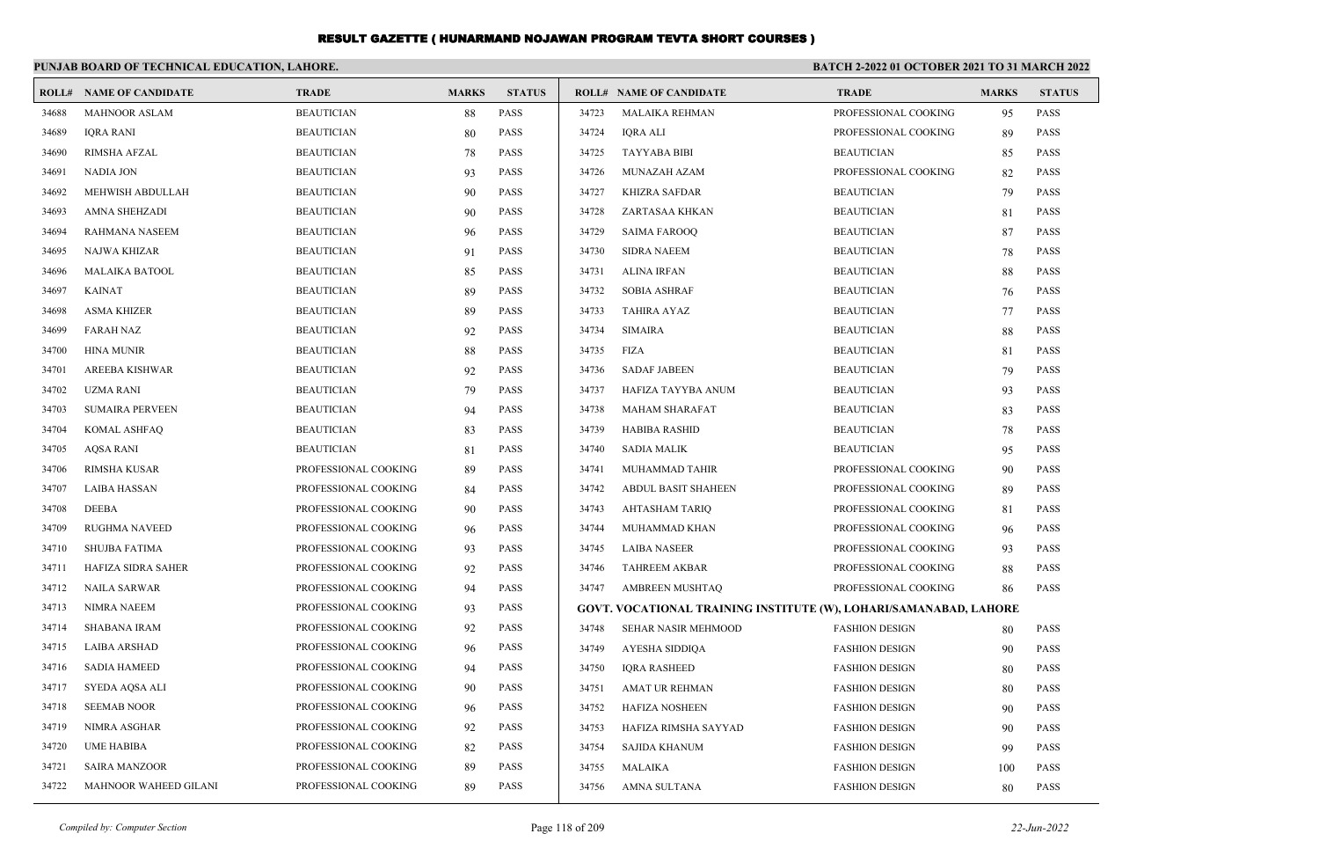|       | PUNJAB BOARD OF TECHNICAL EDUCATION, LAHORE. |                      |              |               | <b>BATCH 2-2022 01 OCTOBER 2021 TO 31 MARCH 2022</b> |                                                                   |                       |              |               |
|-------|----------------------------------------------|----------------------|--------------|---------------|------------------------------------------------------|-------------------------------------------------------------------|-----------------------|--------------|---------------|
|       | <b>ROLL# NAME OF CANDIDATE</b>               | <b>TRADE</b>         | <b>MARKS</b> | <b>STATUS</b> |                                                      | <b>ROLL# NAME OF CANDIDATE</b>                                    | <b>TRADE</b>          | <b>MARKS</b> | <b>STATUS</b> |
| 34688 | <b>MAHNOOR ASLAM</b>                         | <b>BEAUTICIAN</b>    | 88           | <b>PASS</b>   | 34723                                                | <b>MALAIKA REHMAN</b>                                             | PROFESSIONAL COOKING  | 95           | <b>PASS</b>   |
| 34689 | <b>IQRA RANI</b>                             | <b>BEAUTICIAN</b>    | 80           | PASS          | 34724                                                | <b>IQRA ALI</b>                                                   | PROFESSIONAL COOKING  | 89           | <b>PASS</b>   |
| 34690 | <b>RIMSHA AFZAL</b>                          | <b>BEAUTICIAN</b>    | 78           | PASS          | 34725                                                | <b>TAYYABA BIBI</b>                                               | <b>BEAUTICIAN</b>     | 85           | <b>PASS</b>   |
| 34691 | <b>NADIA JON</b>                             | <b>BEAUTICIAN</b>    | 93           | PASS          | 34726                                                | MUNAZAH AZAM                                                      | PROFESSIONAL COOKING  | 82           | <b>PASS</b>   |
| 34692 | MEHWISH ABDULLAH                             | <b>BEAUTICIAN</b>    | 90           | PASS          | 34727                                                | <b>KHIZRA SAFDAR</b>                                              | <b>BEAUTICIAN</b>     | 79           | PASS          |
| 34693 | <b>AMNA SHEHZADI</b>                         | <b>BEAUTICIAN</b>    | 90           | PASS          | 34728                                                | ZARTASAA KHKAN                                                    | <b>BEAUTICIAN</b>     | 81           | <b>PASS</b>   |
| 34694 | <b>RAHMANA NASEEM</b>                        | <b>BEAUTICIAN</b>    | 96           | PASS          | 34729                                                | <b>SAIMA FAROOO</b>                                               | <b>BEAUTICIAN</b>     | 87           | <b>PASS</b>   |
| 34695 | NAJWA KHIZAR                                 | <b>BEAUTICIAN</b>    | 91           | <b>PASS</b>   | 34730                                                | <b>SIDRA NAEEM</b>                                                | <b>BEAUTICIAN</b>     | 78           | <b>PASS</b>   |
| 34696 | <b>MALAIKA BATOOL</b>                        | <b>BEAUTICIAN</b>    | 85           | PASS          | 34731                                                | <b>ALINA IRFAN</b>                                                | <b>BEAUTICIAN</b>     | 88           | <b>PASS</b>   |
| 34697 | <b>KAINAT</b>                                | <b>BEAUTICIAN</b>    | 89           | PASS          | 34732                                                | <b>SOBIA ASHRAF</b>                                               | <b>BEAUTICIAN</b>     | 76           | <b>PASS</b>   |
| 34698 | <b>ASMA KHIZER</b>                           | <b>BEAUTICIAN</b>    | 89           | PASS          | 34733                                                | <b>TAHIRA AYAZ</b>                                                | <b>BEAUTICIAN</b>     | 77           | <b>PASS</b>   |
| 34699 | <b>FARAH NAZ</b>                             | <b>BEAUTICIAN</b>    | 92           | <b>PASS</b>   | 34734                                                | <b>SIMAIRA</b>                                                    | <b>BEAUTICIAN</b>     | 88           | <b>PASS</b>   |
| 34700 | <b>HINA MUNIR</b>                            | <b>BEAUTICIAN</b>    | 88           | PASS          | 34735                                                | <b>FIZA</b>                                                       | <b>BEAUTICIAN</b>     | 81           | <b>PASS</b>   |
| 34701 | <b>AREEBA KISHWAR</b>                        | <b>BEAUTICIAN</b>    | 92           | PASS          | 34736                                                | <b>SADAF JABEEN</b>                                               | <b>BEAUTICIAN</b>     | 79           | <b>PASS</b>   |
| 34702 | UZMA RANI                                    | <b>BEAUTICIAN</b>    | 79           | <b>PASS</b>   | 34737                                                | HAFIZA TAYYBA ANUM                                                | <b>BEAUTICIAN</b>     | 93           | <b>PASS</b>   |
| 34703 | <b>SUMAIRA PERVEEN</b>                       | <b>BEAUTICIAN</b>    | 94           | PASS          | 34738                                                | <b>MAHAM SHARAFAT</b>                                             | <b>BEAUTICIAN</b>     | 83           | <b>PASS</b>   |
| 34704 | KOMAL ASHFAQ                                 | <b>BEAUTICIAN</b>    | 83           | <b>PASS</b>   | 34739                                                | <b>HABIBA RASHID</b>                                              | <b>BEAUTICIAN</b>     | 78           | <b>PASS</b>   |
| 34705 | <b>AOSA RANI</b>                             | <b>BEAUTICIAN</b>    | 81           | PASS          | 34740                                                | <b>SADIA MALIK</b>                                                | <b>BEAUTICIAN</b>     | 95           | <b>PASS</b>   |
| 34706 | <b>RIMSHA KUSAR</b>                          | PROFESSIONAL COOKING | 89           | PASS          | 34741                                                | MUHAMMAD TAHIR                                                    | PROFESSIONAL COOKING  | 90           | <b>PASS</b>   |
| 34707 | <b>LAIBA HASSAN</b>                          | PROFESSIONAL COOKING | 84           | PASS          | 34742                                                | <b>ABDUL BASIT SHAHEEN</b>                                        | PROFESSIONAL COOKING  | 89           | PASS          |
| 34708 | <b>DEEBA</b>                                 | PROFESSIONAL COOKING | 90           | <b>PASS</b>   | 34743                                                | <b>AHTASHAM TARIQ</b>                                             | PROFESSIONAL COOKING  | 81           | <b>PASS</b>   |
| 34709 | <b>RUGHMA NAVEED</b>                         | PROFESSIONAL COOKING | 96           | PASS          | 34744                                                | MUHAMMAD KHAN                                                     | PROFESSIONAL COOKING  | 96           | <b>PASS</b>   |
| 34710 | <b>SHUJBA FATIMA</b>                         | PROFESSIONAL COOKING | 93           | PASS          | 34745                                                | <b>LAIBA NASEER</b>                                               | PROFESSIONAL COOKING  | 93           | <b>PASS</b>   |
| 34711 | HAFIZA SIDRA SAHER                           | PROFESSIONAL COOKING | 92           | PASS          | 34746                                                | <b>TAHREEM AKBAR</b>                                              | PROFESSIONAL COOKING  | 88           | <b>PASS</b>   |
| 34712 | <b>NAILA SARWAR</b>                          | PROFESSIONAL COOKING | 94           | PASS          | 34747                                                | AMBREEN MUSHTAQ                                                   | PROFESSIONAL COOKING  | 86           | <b>PASS</b>   |
| 34713 | <b>NIMRA NAEEM</b>                           | PROFESSIONAL COOKING | 93           | <b>PASS</b>   |                                                      | GOVT. VOCATIONAL TRAINING INSTITUTE (W), LOHARI/SAMANABAD, LAHORE |                       |              |               |
| 34714 | <b>SHABANA IRAM</b>                          | PROFESSIONAL COOKING | 92           | PASS          | 34748                                                | SEHAR NASIR MEHMOOD                                               | <b>FASHION DESIGN</b> | 80           | <b>PASS</b>   |
| 34715 | <b>LAIBA ARSHAD</b>                          | PROFESSIONAL COOKING | 96           | PASS          | 34749                                                | AYESHA SIDDIQA                                                    | <b>FASHION DESIGN</b> | 90           | <b>PASS</b>   |
| 34716 | <b>SADIA HAMEED</b>                          | PROFESSIONAL COOKING | 94           | PASS          | 34750                                                | <b>IQRA RASHEED</b>                                               | <b>FASHION DESIGN</b> | 80           | <b>PASS</b>   |
| 34717 | SYEDA AQSA ALI                               | PROFESSIONAL COOKING | 90           | <b>PASS</b>   | 34751                                                | AMAT UR REHMAN                                                    | <b>FASHION DESIGN</b> | 80           | <b>PASS</b>   |
| 34718 | <b>SEEMAB NOOR</b>                           | PROFESSIONAL COOKING | 96           | <b>PASS</b>   | 34752                                                | <b>HAFIZA NOSHEEN</b>                                             | <b>FASHION DESIGN</b> | 90           | <b>PASS</b>   |
| 34719 | NIMRA ASGHAR                                 | PROFESSIONAL COOKING | 92           | <b>PASS</b>   | 34753                                                | HAFIZA RIMSHA SAYYAD                                              | <b>FASHION DESIGN</b> | 90           | <b>PASS</b>   |
| 34720 | <b>UME HABIBA</b>                            | PROFESSIONAL COOKING | 82           | <b>PASS</b>   | 34754                                                | <b>SAJIDA KHANUM</b>                                              | <b>FASHION DESIGN</b> | 99           | <b>PASS</b>   |
| 34721 | <b>SAIRA MANZOOR</b>                         | PROFESSIONAL COOKING | 89           | <b>PASS</b>   | 34755                                                | MALAIKA                                                           | <b>FASHION DESIGN</b> | 100          | <b>PASS</b>   |
| 34722 | MAHNOOR WAHEED GILANI                        | PROFESSIONAL COOKING | 89           | <b>PASS</b>   | 34756                                                | AMNA SULTANA                                                      | <b>FASHION DESIGN</b> | 80           | <b>PASS</b>   |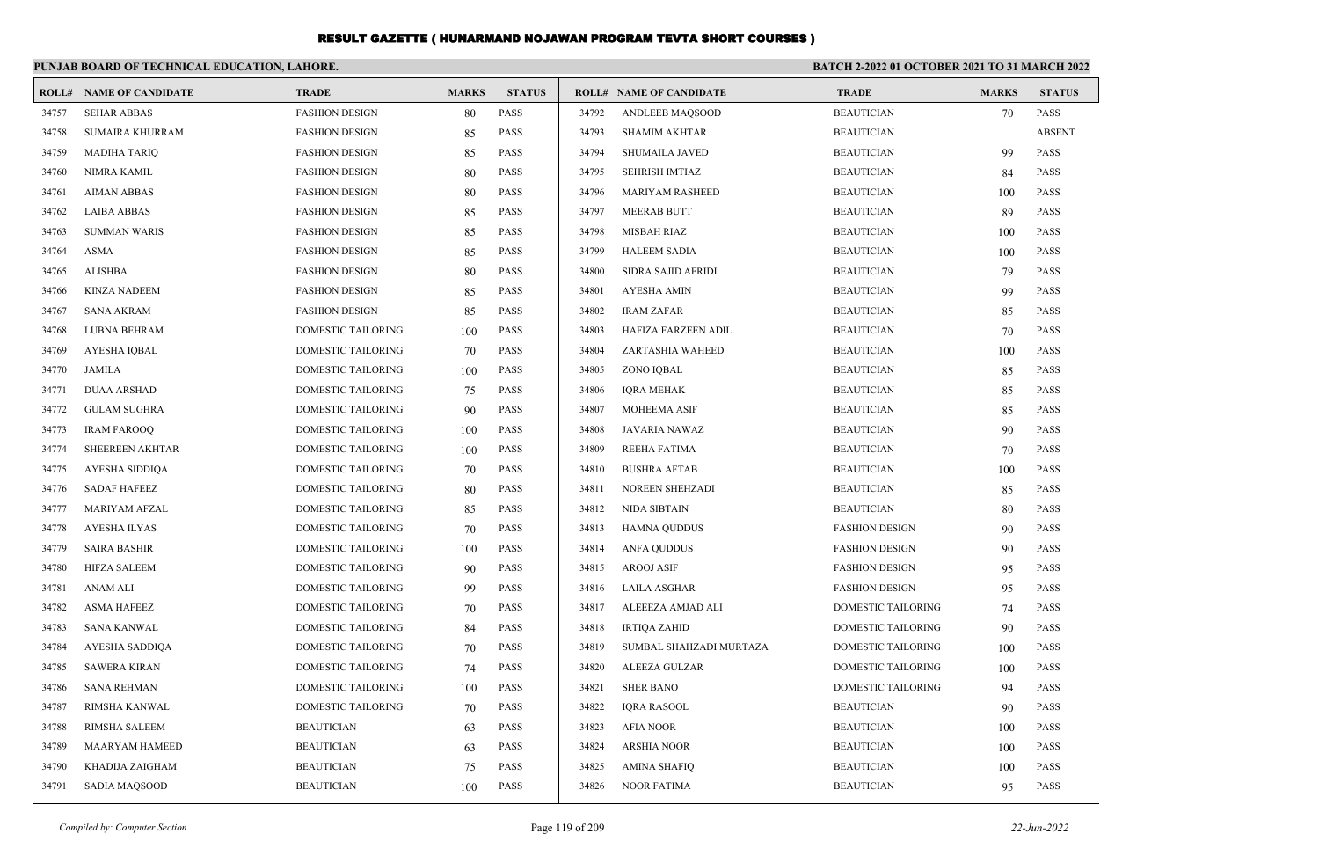|       | PUNJAB BOARD OF TECHNICAL EDUCATION, LAHORE. |                           |              |               | BATCH 2-2022 01 OCTOBER 2021 TO 31 MARCH 2022 |                                |                           |              |               |
|-------|----------------------------------------------|---------------------------|--------------|---------------|-----------------------------------------------|--------------------------------|---------------------------|--------------|---------------|
|       | <b>ROLL# NAME OF CANDIDATE</b>               | <b>TRADE</b>              | <b>MARKS</b> | <b>STATUS</b> |                                               | <b>ROLL# NAME OF CANDIDATE</b> | <b>TRADE</b>              | <b>MARKS</b> | <b>STATUS</b> |
| 34757 | <b>SEHAR ABBAS</b>                           | <b>FASHION DESIGN</b>     | 80           | <b>PASS</b>   | 34792                                         | ANDLEEB MAOSOOD                | <b>BEAUTICIAN</b>         | 70           | PASS          |
| 34758 | <b>SUMAIRA KHURRAM</b>                       | <b>FASHION DESIGN</b>     | 85           | <b>PASS</b>   | 34793                                         | <b>SHAMIM AKHTAR</b>           | <b>BEAUTICIAN</b>         |              | <b>ABSENT</b> |
| 34759 | <b>MADIHA TARIO</b>                          | <b>FASHION DESIGN</b>     | 85           | <b>PASS</b>   | 34794                                         | <b>SHUMAILA JAVED</b>          | <b>BEAUTICIAN</b>         | 99           | <b>PASS</b>   |
| 34760 | NIMRA KAMIL                                  | <b>FASHION DESIGN</b>     | 80           | <b>PASS</b>   | 34795                                         | <b>SEHRISH IMTIAZ</b>          | <b>BEAUTICIAN</b>         | 84           | <b>PASS</b>   |
| 34761 | <b>AIMAN ABBAS</b>                           | <b>FASHION DESIGN</b>     | 80           | <b>PASS</b>   | 34796                                         | <b>MARIYAM RASHEED</b>         | <b>BEAUTICIAN</b>         | 100          | <b>PASS</b>   |
| 34762 | <b>LAIBA ABBAS</b>                           | <b>FASHION DESIGN</b>     | 85           | <b>PASS</b>   | 34797                                         | <b>MEERAB BUTT</b>             | <b>BEAUTICIAN</b>         | 89           | <b>PASS</b>   |
| 34763 | <b>SUMMAN WARIS</b>                          | <b>FASHION DESIGN</b>     | 85           | <b>PASS</b>   | 34798                                         | <b>MISBAH RIAZ</b>             | <b>BEAUTICIAN</b>         | 100          | <b>PASS</b>   |
| 34764 | ASMA                                         | <b>FASHION DESIGN</b>     | 85           | <b>PASS</b>   | 34799                                         | <b>HALEEM SADIA</b>            | <b>BEAUTICIAN</b>         | 100          | <b>PASS</b>   |
| 34765 | <b>ALISHBA</b>                               | <b>FASHION DESIGN</b>     | 80           | <b>PASS</b>   | 34800                                         | SIDRA SAJID AFRIDI             | <b>BEAUTICIAN</b>         | 79           | <b>PASS</b>   |
| 34766 | <b>KINZA NADEEM</b>                          | <b>FASHION DESIGN</b>     | 85           | <b>PASS</b>   | 34801                                         | <b>AYESHA AMIN</b>             | <b>BEAUTICIAN</b>         | 99           | <b>PASS</b>   |
| 34767 | <b>SANA AKRAM</b>                            | <b>FASHION DESIGN</b>     | 85           | <b>PASS</b>   | 34802                                         | <b>IRAM ZAFAR</b>              | <b>BEAUTICIAN</b>         | 85           | <b>PASS</b>   |
| 34768 | LUBNA BEHRAM                                 | DOMESTIC TAILORING        | 100          | <b>PASS</b>   | 34803                                         | HAFIZA FARZEEN ADIL            | <b>BEAUTICIAN</b>         | 70           | <b>PASS</b>   |
| 34769 | AYESHA IQBAL                                 | <b>DOMESTIC TAILORING</b> | 70           | <b>PASS</b>   | 34804                                         | ZARTASHIA WAHEED               | <b>BEAUTICIAN</b>         | 100          | <b>PASS</b>   |
| 34770 | <b>JAMILA</b>                                | DOMESTIC TAILORING        | 100          | <b>PASS</b>   | 34805                                         | ZONO IQBAL                     | <b>BEAUTICIAN</b>         | 85           | <b>PASS</b>   |
| 34771 | <b>DUAA ARSHAD</b>                           | DOMESTIC TAILORING        | 75           | <b>PASS</b>   | 34806                                         | <b>IORA MEHAK</b>              | <b>BEAUTICIAN</b>         | 85           | <b>PASS</b>   |
| 34772 | <b>GULAM SUGHRA</b>                          | <b>DOMESTIC TAILORING</b> | 90           | <b>PASS</b>   | 34807                                         | <b>MOHEEMA ASIF</b>            | <b>BEAUTICIAN</b>         | 85           | <b>PASS</b>   |
| 34773 | <b>IRAM FAROOQ</b>                           | DOMESTIC TAILORING        | 100          | <b>PASS</b>   | 34808                                         | JAVARIA NAWAZ                  | <b>BEAUTICIAN</b>         | 90           | <b>PASS</b>   |
| 34774 | <b>SHEEREEN AKHTAR</b>                       | DOMESTIC TAILORING        | 100          | <b>PASS</b>   | 34809                                         | REEHA FATIMA                   | <b>BEAUTICIAN</b>         | 70           | <b>PASS</b>   |
| 34775 | AYESHA SIDDIQA                               | DOMESTIC TAILORING        | 70           | <b>PASS</b>   | 34810                                         | <b>BUSHRA AFTAB</b>            | <b>BEAUTICIAN</b>         | 100          | <b>PASS</b>   |
| 34776 | <b>SADAF HAFEEZ</b>                          | DOMESTIC TAILORING        | 80           | <b>PASS</b>   | 34811                                         | NOREEN SHEHZADI                | <b>BEAUTICIAN</b>         | 85           | <b>PASS</b>   |
| 34777 | MARIYAM AFZAL                                | DOMESTIC TAILORING        | 85           | <b>PASS</b>   | 34812                                         | NIDA SIBTAIN                   | <b>BEAUTICIAN</b>         | 80           | <b>PASS</b>   |
| 34778 | <b>AYESHA ILYAS</b>                          | <b>DOMESTIC TAILORING</b> | 70           | <b>PASS</b>   | 34813                                         | <b>HAMNA QUDDUS</b>            | <b>FASHION DESIGN</b>     | 90           | <b>PASS</b>   |
| 34779 | <b>SAIRA BASHIR</b>                          | <b>DOMESTIC TAILORING</b> | 100          | <b>PASS</b>   | 34814                                         | <b>ANFA QUDDUS</b>             | <b>FASHION DESIGN</b>     | 90           | <b>PASS</b>   |
| 34780 | <b>HIFZA SALEEM</b>                          | DOMESTIC TAILORING        | 90           | <b>PASS</b>   | 34815                                         | <b>AROOJ ASIF</b>              | <b>FASHION DESIGN</b>     | 95           | <b>PASS</b>   |
| 34781 | <b>ANAM ALI</b>                              | <b>DOMESTIC TAILORING</b> | 99           | <b>PASS</b>   | 34816                                         | LAILA ASGHAR                   | <b>FASHION DESIGN</b>     | 95           | <b>PASS</b>   |
| 34782 | <b>ASMA HAFEEZ</b>                           | <b>DOMESTIC TAILORING</b> | 70           | <b>PASS</b>   | 34817                                         | ALEEEZA AMJAD ALI              | <b>DOMESTIC TAILORING</b> | 74           | <b>PASS</b>   |
| 34783 | SANA KANWAL                                  | DOMESTIC TAILORING        | 84           | <b>PASS</b>   | 34818                                         | <b>IRTIQA ZAHID</b>            | DOMESTIC TAILORING        | 90           | <b>PASS</b>   |
| 34784 | AYESHA SADDIQA                               | <b>DOMESTIC TAILORING</b> | 70           | <b>PASS</b>   | 34819                                         | SUMBAL SHAHZADI MURTAZA        | <b>DOMESTIC TAILORING</b> | 100          | <b>PASS</b>   |
| 34785 | <b>SAWERA KIRAN</b>                          | <b>DOMESTIC TAILORING</b> | 74           | <b>PASS</b>   | 34820                                         | <b>ALEEZA GULZAR</b>           | <b>DOMESTIC TAILORING</b> | 100          | <b>PASS</b>   |
| 34786 | <b>SANA REHMAN</b>                           | DOMESTIC TAILORING        | 100          | <b>PASS</b>   | 34821                                         | <b>SHER BANO</b>               | DOMESTIC TAILORING        | 94           | <b>PASS</b>   |
| 34787 | RIMSHA KANWAL                                | <b>DOMESTIC TAILORING</b> | 70           | <b>PASS</b>   | 34822                                         | <b>IQRA RASOOL</b>             | <b>BEAUTICIAN</b>         | 90           | <b>PASS</b>   |
| 34788 | <b>RIMSHA SALEEM</b>                         | <b>BEAUTICIAN</b>         | 63           | <b>PASS</b>   | 34823                                         | <b>AFIA NOOR</b>               | <b>BEAUTICIAN</b>         | 100          | <b>PASS</b>   |
| 34789 | <b>MAARYAM HAMEED</b>                        | <b>BEAUTICIAN</b>         | 63           | <b>PASS</b>   | 34824                                         | <b>ARSHIA NOOR</b>             | <b>BEAUTICIAN</b>         | 100          | <b>PASS</b>   |
| 34790 | KHADIJA ZAIGHAM                              | <b>BEAUTICIAN</b>         | 75           | <b>PASS</b>   | 34825                                         | <b>AMINA SHAFIQ</b>            | <b>BEAUTICIAN</b>         | 100          | <b>PASS</b>   |
| 34791 | <b>SADIA MAOSOOD</b>                         | <b>BEAUTICIAN</b>         | 100          | <b>PASS</b>   | 34826                                         | <b>NOOR FATIMA</b>             | <b>BEAUTICIAN</b>         | 95           | <b>PASS</b>   |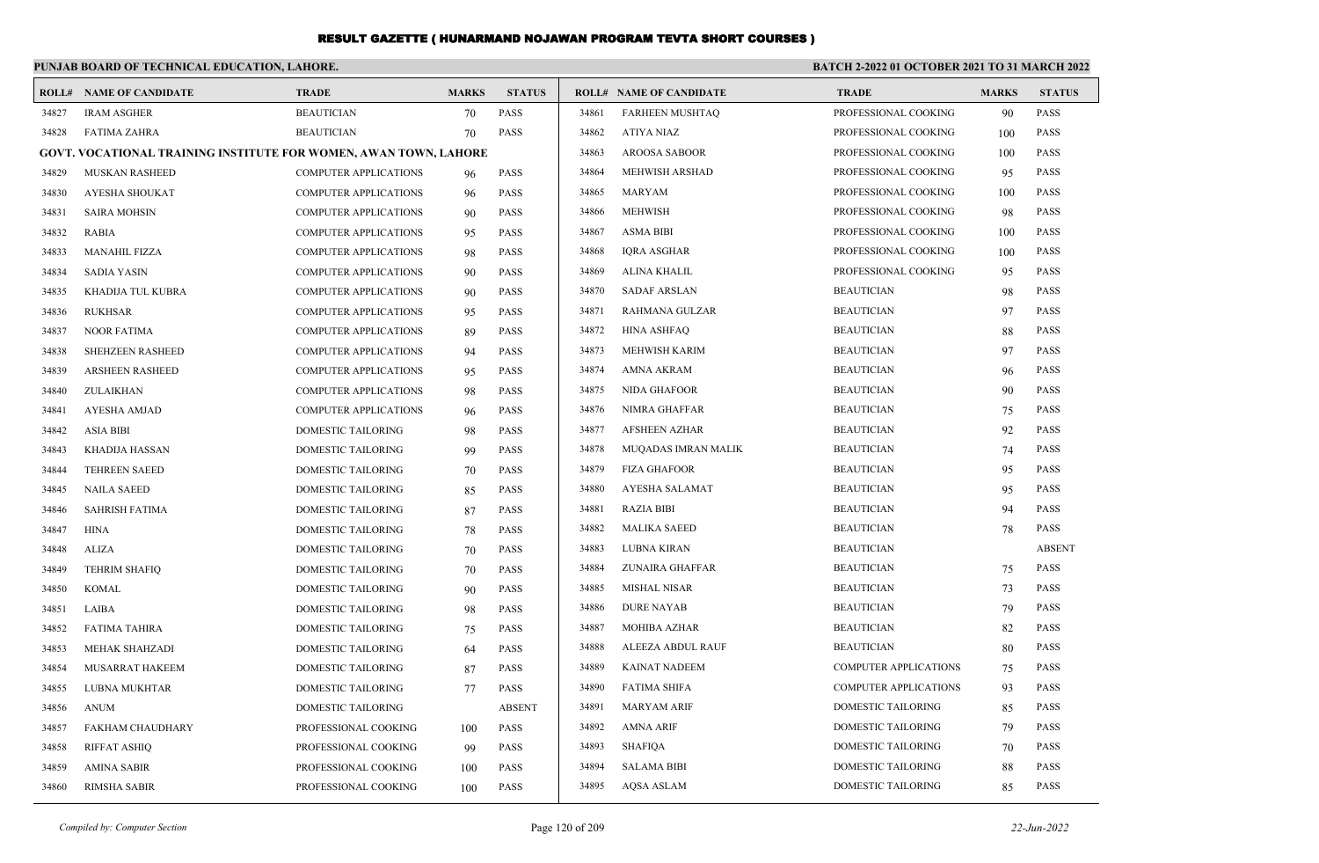|       | PUNJAB BOARD OF TECHNICAL EDUCATION, LAHORE.                            |                              |              |               | BATCH 2-2022 01 OCTOBER 2021 TO 31 MARCH 2022 |                                |                              |              |               |  |  |
|-------|-------------------------------------------------------------------------|------------------------------|--------------|---------------|-----------------------------------------------|--------------------------------|------------------------------|--------------|---------------|--|--|
|       | <b>ROLL# NAME OF CANDIDATE</b>                                          | <b>TRADE</b>                 | <b>MARKS</b> | <b>STATUS</b> |                                               | <b>ROLL# NAME OF CANDIDATE</b> | <b>TRADE</b>                 | <b>MARKS</b> | <b>STATUS</b> |  |  |
| 34827 | <b>IRAM ASGHER</b>                                                      | <b>BEAUTICIAN</b>            | 70           | <b>PASS</b>   | 34861                                         | <b>FARHEEN MUSHTAO</b>         | PROFESSIONAL COOKING         | 90           | <b>PASS</b>   |  |  |
| 34828 | <b>FATIMA ZAHRA</b>                                                     | <b>BEAUTICIAN</b>            | 70           | <b>PASS</b>   | 34862                                         | ATIYA NIAZ                     | PROFESSIONAL COOKING         | 100          | <b>PASS</b>   |  |  |
|       | <b>GOVT. VOCATIONAL TRAINING INSTITUTE FOR WOMEN, AWAN TOWN, LAHORE</b> |                              |              |               | 34863                                         | <b>AROOSA SABOOR</b>           | PROFESSIONAL COOKING         | 100          | <b>PASS</b>   |  |  |
| 34829 | <b>MUSKAN RASHEED</b>                                                   | <b>COMPUTER APPLICATIONS</b> | 96           | <b>PASS</b>   | 34864                                         | MEHWISH ARSHAD                 | PROFESSIONAL COOKING         | 95           | <b>PASS</b>   |  |  |
| 34830 | AYESHA SHOUKAT                                                          | <b>COMPUTER APPLICATIONS</b> | 96           | <b>PASS</b>   | 34865                                         | <b>MARYAM</b>                  | PROFESSIONAL COOKING         | 100          | <b>PASS</b>   |  |  |
| 34831 | <b>SAIRA MOHSIN</b>                                                     | <b>COMPUTER APPLICATIONS</b> | 90           | <b>PASS</b>   | 34866                                         | <b>MEHWISH</b>                 | PROFESSIONAL COOKING         | 98           | <b>PASS</b>   |  |  |
| 34832 | <b>RABIA</b>                                                            | <b>COMPUTER APPLICATIONS</b> | 95           | <b>PASS</b>   | 34867                                         | <b>ASMA BIBI</b>               | PROFESSIONAL COOKING         | 100          | <b>PASS</b>   |  |  |
| 34833 | <b>MANAHIL FIZZA</b>                                                    | <b>COMPUTER APPLICATIONS</b> | 98           | PASS          | 34868                                         | <b>IQRA ASGHAR</b>             | PROFESSIONAL COOKING         | 100          | <b>PASS</b>   |  |  |
| 34834 | <b>SADIA YASIN</b>                                                      | <b>COMPUTER APPLICATIONS</b> | 90           | <b>PASS</b>   | 34869                                         | <b>ALINA KHALIL</b>            | PROFESSIONAL COOKING         | 95           | <b>PASS</b>   |  |  |
| 34835 | KHADIJA TUL KUBRA                                                       | <b>COMPUTER APPLICATIONS</b> | 90           | PASS          | 34870                                         | <b>SADAF ARSLAN</b>            | <b>BEAUTICIAN</b>            | 98           | <b>PASS</b>   |  |  |
| 34836 | <b>RUKHSAR</b>                                                          | <b>COMPUTER APPLICATIONS</b> | 95           | PASS          | 34871                                         | RAHMANA GULZAR                 | <b>BEAUTICIAN</b>            | 97           | <b>PASS</b>   |  |  |
| 34837 | <b>NOOR FATIMA</b>                                                      | <b>COMPUTER APPLICATIONS</b> | 89           | <b>PASS</b>   | 34872                                         | <b>HINA ASHFAQ</b>             | <b>BEAUTICIAN</b>            | 88           | <b>PASS</b>   |  |  |
| 34838 | SHEHZEEN RASHEED                                                        | <b>COMPUTER APPLICATIONS</b> | 94           | <b>PASS</b>   | 34873                                         | MEHWISH KARIM                  | <b>BEAUTICIAN</b>            | 97           | <b>PASS</b>   |  |  |
| 34839 | <b>ARSHEEN RASHEED</b>                                                  | <b>COMPUTER APPLICATIONS</b> | 95           | <b>PASS</b>   | 34874                                         | AMNA AKRAM                     | <b>BEAUTICIAN</b>            | 96           | <b>PASS</b>   |  |  |
| 34840 | ZULAIKHAN                                                               | <b>COMPUTER APPLICATIONS</b> | 98           | <b>PASS</b>   | 34875                                         | NIDA GHAFOOR                   | <b>BEAUTICIAN</b>            | 90           | <b>PASS</b>   |  |  |
| 34841 | <b>AYESHA AMJAD</b>                                                     | <b>COMPUTER APPLICATIONS</b> | 96           | <b>PASS</b>   | 34876                                         | NIMRA GHAFFAR                  | <b>BEAUTICIAN</b>            | 75           | <b>PASS</b>   |  |  |
| 34842 | <b>ASIA BIBI</b>                                                        | DOMESTIC TAILORING           | 98           | <b>PASS</b>   | 34877                                         | AFSHEEN AZHAR                  | <b>BEAUTICIAN</b>            | 92           | <b>PASS</b>   |  |  |
| 34843 | <b>KHADIJA HASSAN</b>                                                   | DOMESTIC TAILORING           | 99           | <b>PASS</b>   | 34878                                         | MUQADAS IMRAN MALIK            | <b>BEAUTICIAN</b>            | 74           | <b>PASS</b>   |  |  |
| 34844 | <b>TEHREEN SAEED</b>                                                    | DOMESTIC TAILORING           | 70           | <b>PASS</b>   | 34879                                         | <b>FIZA GHAFOOR</b>            | <b>BEAUTICIAN</b>            | 95           | <b>PASS</b>   |  |  |
| 34845 | <b>NAILA SAEED</b>                                                      | DOMESTIC TAILORING           | 85           | <b>PASS</b>   | 34880                                         | AYESHA SALAMAT                 | <b>BEAUTICIAN</b>            | 95           | <b>PASS</b>   |  |  |
| 34846 | <b>SAHRISH FATIMA</b>                                                   | DOMESTIC TAILORING           | 87           | <b>PASS</b>   | 34881                                         | <b>RAZIA BIBI</b>              | <b>BEAUTICIAN</b>            | 94           | <b>PASS</b>   |  |  |
| 34847 | <b>HINA</b>                                                             | DOMESTIC TAILORING           | 78           | <b>PASS</b>   | 34882                                         | <b>MALIKA SAEED</b>            | <b>BEAUTICIAN</b>            | 78           | <b>PASS</b>   |  |  |
| 34848 | <b>ALIZA</b>                                                            | DOMESTIC TAILORING           | 70           | <b>PASS</b>   | 34883                                         | LUBNA KIRAN                    | <b>BEAUTICIAN</b>            |              | <b>ABSENT</b> |  |  |
| 34849 | <b>TEHRIM SHAFIO</b>                                                    | DOMESTIC TAILORING           | 70           | <b>PASS</b>   | 34884                                         | ZUNAIRA GHAFFAR                | <b>BEAUTICIAN</b>            | 75           | <b>PASS</b>   |  |  |
| 34850 | <b>KOMAL</b>                                                            | DOMESTIC TAILORING           | 90           | <b>PASS</b>   | 34885                                         | <b>MISHAL NISAR</b>            | <b>BEAUTICIAN</b>            | 73           | <b>PASS</b>   |  |  |
| 34851 | LAIBA                                                                   | DOMESTIC TAILORING           | 98           | <b>PASS</b>   | 34886                                         | <b>DURE NAYAB</b>              | <b>BEAUTICIAN</b>            | 79           | <b>PASS</b>   |  |  |
| 34852 | <b>FATIMA TAHIRA</b>                                                    | DOMESTIC TAILORING           | 75           | <b>PASS</b>   | 34887                                         | MOHIBA AZHAR                   | <b>BEAUTICIAN</b>            | 82           | <b>PASS</b>   |  |  |
| 34853 | <b>MEHAK SHAHZADI</b>                                                   | DOMESTIC TAILORING           | 64           | <b>PASS</b>   | 34888                                         | ALEEZA ABDUL RAUF              | <b>BEAUTICIAN</b>            | 80           | <b>PASS</b>   |  |  |
| 34854 | <b>MUSARRAT HAKEEM</b>                                                  | DOMESTIC TAILORING           | 87           | <b>PASS</b>   | 34889                                         | <b>KAINAT NADEEM</b>           | COMPUTER APPLICATIONS        | 75           | <b>PASS</b>   |  |  |
| 34855 | LUBNA MUKHTAR                                                           | DOMESTIC TAILORING           | 77           | <b>PASS</b>   | 34890                                         | <b>FATIMA SHIFA</b>            | <b>COMPUTER APPLICATIONS</b> | 93           | <b>PASS</b>   |  |  |
| 34856 | <b>ANUM</b>                                                             | DOMESTIC TAILORING           |              | <b>ABSENT</b> | 34891                                         | <b>MARYAM ARIF</b>             | <b>DOMESTIC TAILORING</b>    | 85           | <b>PASS</b>   |  |  |
| 34857 | <b>FAKHAM CHAUDHARY</b>                                                 | PROFESSIONAL COOKING         | 100          | <b>PASS</b>   | 34892                                         | AMNA ARIF                      | DOMESTIC TAILORING           | 79           | <b>PASS</b>   |  |  |
| 34858 | <b>RIFFAT ASHIQ</b>                                                     | PROFESSIONAL COOKING         | 99           | <b>PASS</b>   | 34893                                         | <b>SHAFIOA</b>                 | <b>DOMESTIC TAILORING</b>    | 70           | <b>PASS</b>   |  |  |
| 34859 | <b>AMINA SABIR</b>                                                      | PROFESSIONAL COOKING         | 100          | <b>PASS</b>   | 34894                                         | <b>SALAMA BIBI</b>             | <b>DOMESTIC TAILORING</b>    | 88           | <b>PASS</b>   |  |  |
| 34860 | <b>RIMSHA SABIR</b>                                                     | PROFESSIONAL COOKING         | 100          | <b>PASS</b>   | 34895                                         | AOSA ASLAM                     | DOMESTIC TAILORING           | 85           | <b>PASS</b>   |  |  |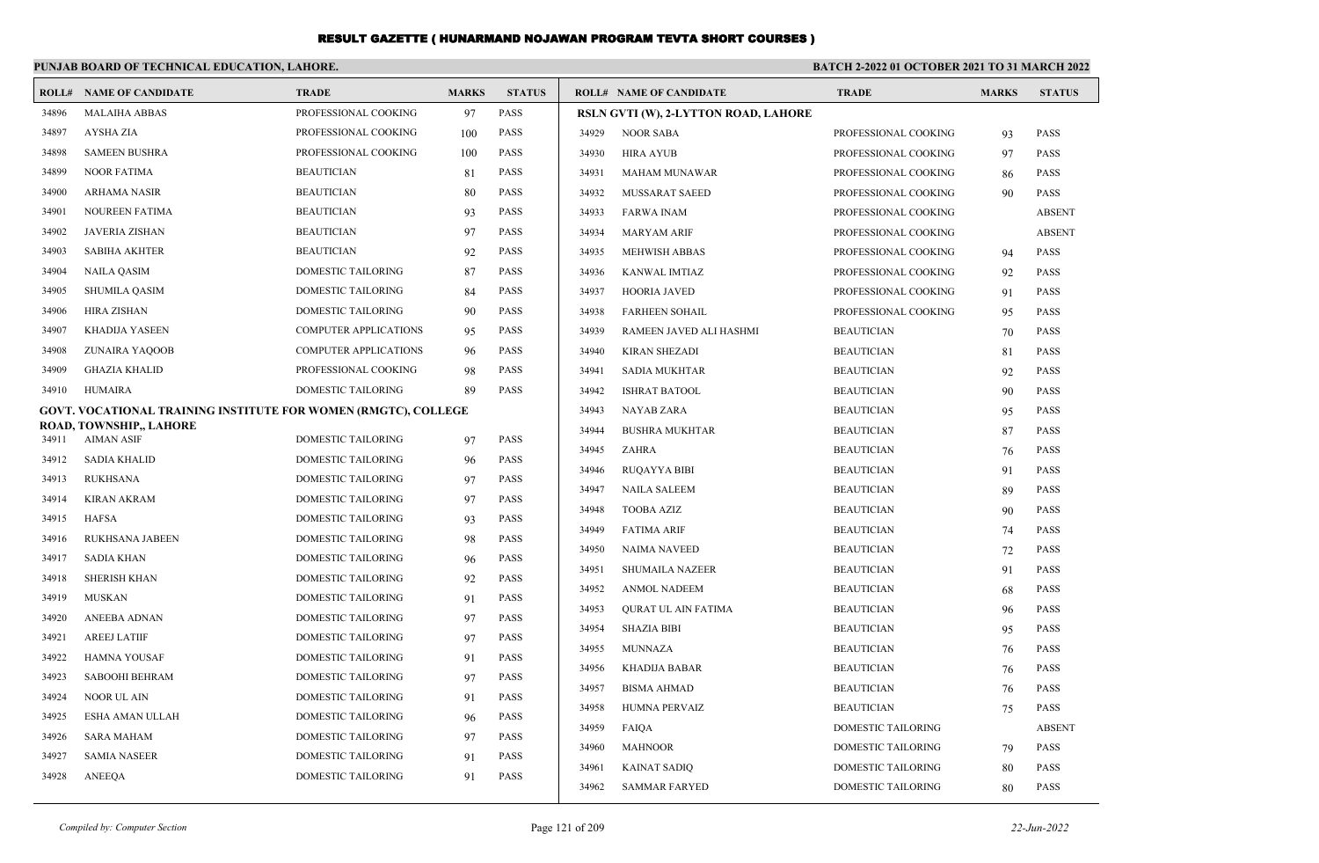|       | PUNJAB BOARD OF TECHNICAL EDUCATION, LAHORE.                   |                           |              |               | <b>BATCH 2-2022 01 OCTOBER 2021 TO 31 MARCH 2022</b> |                                      |                           |              |               |
|-------|----------------------------------------------------------------|---------------------------|--------------|---------------|------------------------------------------------------|--------------------------------------|---------------------------|--------------|---------------|
|       | <b>ROLL# NAME OF CANDIDATE</b>                                 | <b>TRADE</b>              | <b>MARKS</b> | <b>STATUS</b> |                                                      | <b>ROLL# NAME OF CANDIDATE</b>       | <b>TRADE</b>              | <b>MARKS</b> | <b>STATUS</b> |
| 34896 | <b>MALAIHA ABBAS</b>                                           | PROFESSIONAL COOKING      | 97           | <b>PASS</b>   |                                                      | RSLN GVTI (W), 2-LYTTON ROAD, LAHORE |                           |              |               |
| 34897 | <b>AYSHA ZIA</b>                                               | PROFESSIONAL COOKING      | 100          | <b>PASS</b>   | 34929                                                | <b>NOOR SABA</b>                     | PROFESSIONAL COOKING      | 93           | <b>PASS</b>   |
| 34898 | <b>SAMEEN BUSHRA</b>                                           | PROFESSIONAL COOKING      | 100          | <b>PASS</b>   | 34930                                                | <b>HIRA AYUB</b>                     | PROFESSIONAL COOKING      | 97           | <b>PASS</b>   |
| 34899 | <b>NOOR FATIMA</b>                                             | <b>BEAUTICIAN</b>         | 81           | <b>PASS</b>   | 34931                                                | <b>MAHAM MUNAWAR</b>                 | PROFESSIONAL COOKING      | 86           | <b>PASS</b>   |
| 34900 | <b>ARHAMA NASIR</b>                                            | <b>BEAUTICIAN</b>         | 80           | <b>PASS</b>   | 34932                                                | MUSSARAT SAEED                       | PROFESSIONAL COOKING      | 90           | <b>PASS</b>   |
| 34901 | <b>NOUREEN FATIMA</b>                                          | <b>BEAUTICIAN</b>         | 93           | <b>PASS</b>   | 34933                                                | <b>FARWA INAM</b>                    | PROFESSIONAL COOKING      |              | <b>ABSENT</b> |
| 34902 | <b>JAVERIA ZISHAN</b>                                          | <b>BEAUTICIAN</b>         | 97           | <b>PASS</b>   | 34934                                                | <b>MARYAM ARIF</b>                   | PROFESSIONAL COOKING      |              | <b>ABSENT</b> |
| 34903 | <b>SABIHA AKHTER</b>                                           | <b>BEAUTICIAN</b>         | 92           | PASS          | 34935                                                | <b>MEHWISH ABBAS</b>                 | PROFESSIONAL COOKING      | 94           | <b>PASS</b>   |
| 34904 | <b>NAILA QASIM</b>                                             | <b>DOMESTIC TAILORING</b> | 87           | <b>PASS</b>   | 34936                                                | <b>KANWAL IMTIAZ</b>                 | PROFESSIONAL COOKING      | 92           | <b>PASS</b>   |
| 34905 | <b>SHUMILA QASIM</b>                                           | <b>DOMESTIC TAILORING</b> | 84           | <b>PASS</b>   | 34937                                                | HOORIA JAVED                         | PROFESSIONAL COOKING      | 91           | <b>PASS</b>   |
| 34906 | <b>HIRA ZISHAN</b>                                             | <b>DOMESTIC TAILORING</b> | 90           | <b>PASS</b>   | 34938                                                | <b>FARHEEN SOHAIL</b>                | PROFESSIONAL COOKING      | 95           | PASS          |
| 34907 | <b>KHADIJA YASEEN</b>                                          | COMPUTER APPLICATIONS     | 95           | <b>PASS</b>   | 34939                                                | RAMEEN JAVED ALI HASHMI              | <b>BEAUTICIAN</b>         | 70           | <b>PASS</b>   |
| 34908 | ZUNAIRA YAQOOB                                                 | COMPUTER APPLICATIONS     | 96           | <b>PASS</b>   | 34940                                                | <b>KIRAN SHEZADI</b>                 | <b>BEAUTICIAN</b>         | 81           | <b>PASS</b>   |
| 34909 | <b>GHAZIA KHALID</b>                                           | PROFESSIONAL COOKING      | 98           | <b>PASS</b>   | 34941                                                | <b>SADIA MUKHTAR</b>                 | <b>BEAUTICIAN</b>         | 92           | <b>PASS</b>   |
| 34910 | <b>HUMAIRA</b>                                                 | DOMESTIC TAILORING        | 89           | <b>PASS</b>   | 34942                                                | <b>ISHRAT BATOOL</b>                 | <b>BEAUTICIAN</b>         | 90           | <b>PASS</b>   |
|       | GOVT. VOCATIONAL TRAINING INSTITUTE FOR WOMEN (RMGTC), COLLEGE |                           |              |               | 34943                                                | <b>NAYAB ZARA</b>                    | <b>BEAUTICIAN</b>         | 95           | <b>PASS</b>   |
| 34911 | ROAD, TOWNSHIP,, LAHORE<br><b>AIMAN ASIF</b>                   | <b>DOMESTIC TAILORING</b> | 97           | <b>PASS</b>   | 34944                                                | <b>BUSHRA MUKHTAR</b>                | <b>BEAUTICIAN</b>         | 87           | <b>PASS</b>   |
| 34912 | <b>SADIA KHALID</b>                                            | DOMESTIC TAILORING        | 96           | <b>PASS</b>   | 34945                                                | ZAHRA                                | <b>BEAUTICIAN</b>         | 76           | <b>PASS</b>   |
| 34913 | <b>RUKHSANA</b>                                                | <b>DOMESTIC TAILORING</b> | 97           | <b>PASS</b>   | 34946                                                | <b>RUQAYYA BIBI</b>                  | <b>BEAUTICIAN</b>         | 91           | <b>PASS</b>   |
| 34914 | KIRAN AKRAM                                                    | <b>DOMESTIC TAILORING</b> | 97           | <b>PASS</b>   | 34947                                                | <b>NAILA SALEEM</b>                  | <b>BEAUTICIAN</b>         | 89           | PASS          |
| 34915 | <b>HAFSA</b>                                                   | <b>DOMESTIC TAILORING</b> | 93           | <b>PASS</b>   | 34948                                                | <b>TOOBA AZIZ</b>                    | <b>BEAUTICIAN</b>         | 90           | <b>PASS</b>   |
| 34916 | <b>RUKHSANA JABEEN</b>                                         | DOMESTIC TAILORING        | 98           | <b>PASS</b>   | 34949                                                | <b>FATIMA ARIF</b>                   | <b>BEAUTICIAN</b>         | 74           | <b>PASS</b>   |
| 34917 | <b>SADIA KHAN</b>                                              | <b>DOMESTIC TAILORING</b> | 96           | <b>PASS</b>   | 34950                                                | <b>NAIMA NAVEED</b>                  | <b>BEAUTICIAN</b>         | 72           | <b>PASS</b>   |
| 34918 | <b>SHERISH KHAN</b>                                            | <b>DOMESTIC TAILORING</b> | 92           | <b>PASS</b>   | 34951                                                | <b>SHUMAILA NAZEER</b>               | <b>BEAUTICIAN</b>         | 91           | <b>PASS</b>   |
| 34919 | MUSKAN                                                         | <b>DOMESTIC TAILORING</b> | 91           | <b>PASS</b>   | 34952                                                | <b>ANMOL NADEEM</b>                  | <b>BEAUTICIAN</b>         | 68           | <b>PASS</b>   |
| 34920 | <b>ANEEBA ADNAN</b>                                            | <b>DOMESTIC TAILORING</b> | 97           | <b>PASS</b>   | 34953                                                | <b>QURAT UL AIN FATIMA</b>           | <b>BEAUTICIAN</b>         | 96           | <b>PASS</b>   |
| 34921 | <b>AREEJ LATIIF</b>                                            | DOMESTIC TAILORING        | 97           | <b>PASS</b>   | 34954                                                | <b>SHAZIA BIBI</b>                   | <b>BEAUTICIAN</b>         | 95           | <b>PASS</b>   |
| 34922 | <b>HAMNA YOUSAF</b>                                            | DOMESTIC TAILORING        | 91           | <b>PASS</b>   | 34955                                                | <b>MUNNAZA</b>                       | <b>BEAUTICIAN</b>         | 76           | <b>PASS</b>   |
| 34923 | SABOOHI BEHRAM                                                 | DOMESTIC TAILORING        | 97           | <b>PASS</b>   | 34956                                                | KHADIJA BABAR                        | <b>BEAUTICIAN</b>         | 76           | <b>PASS</b>   |
| 34924 | <b>NOOR UL AIN</b>                                             | DOMESTIC TAILORING        | 91           | <b>PASS</b>   | 34957                                                | <b>BISMA AHMAD</b>                   | <b>BEAUTICIAN</b>         | 76           | <b>PASS</b>   |
| 34925 | ESHA AMAN ULLAH                                                | <b>DOMESTIC TAILORING</b> | 96           | <b>PASS</b>   | 34958                                                | <b>HUMNA PERVAIZ</b>                 | <b>BEAUTICIAN</b>         | 75           | <b>PASS</b>   |
| 34926 | <b>SARA MAHAM</b>                                              | DOMESTIC TAILORING        | 97           | <b>PASS</b>   | 34959                                                | FAIQA                                | <b>DOMESTIC TAILORING</b> |              | <b>ABSENT</b> |
| 34927 | <b>SAMIA NASEER</b>                                            | DOMESTIC TAILORING        | 91           | <b>PASS</b>   | 34960                                                | <b>MAHNOOR</b>                       | DOMESTIC TAILORING        | 79           | <b>PASS</b>   |
| 34928 | <b>ANEEQA</b>                                                  | <b>DOMESTIC TAILORING</b> | 91           | <b>PASS</b>   | 34961                                                | <b>KAINAT SADIQ</b>                  | <b>DOMESTIC TAILORING</b> | 80           | <b>PASS</b>   |
|       |                                                                |                           |              |               | 34962                                                | <b>SAMMAR FARYED</b>                 | <b>DOMESTIC TAILORING</b> | 80           | <b>PASS</b>   |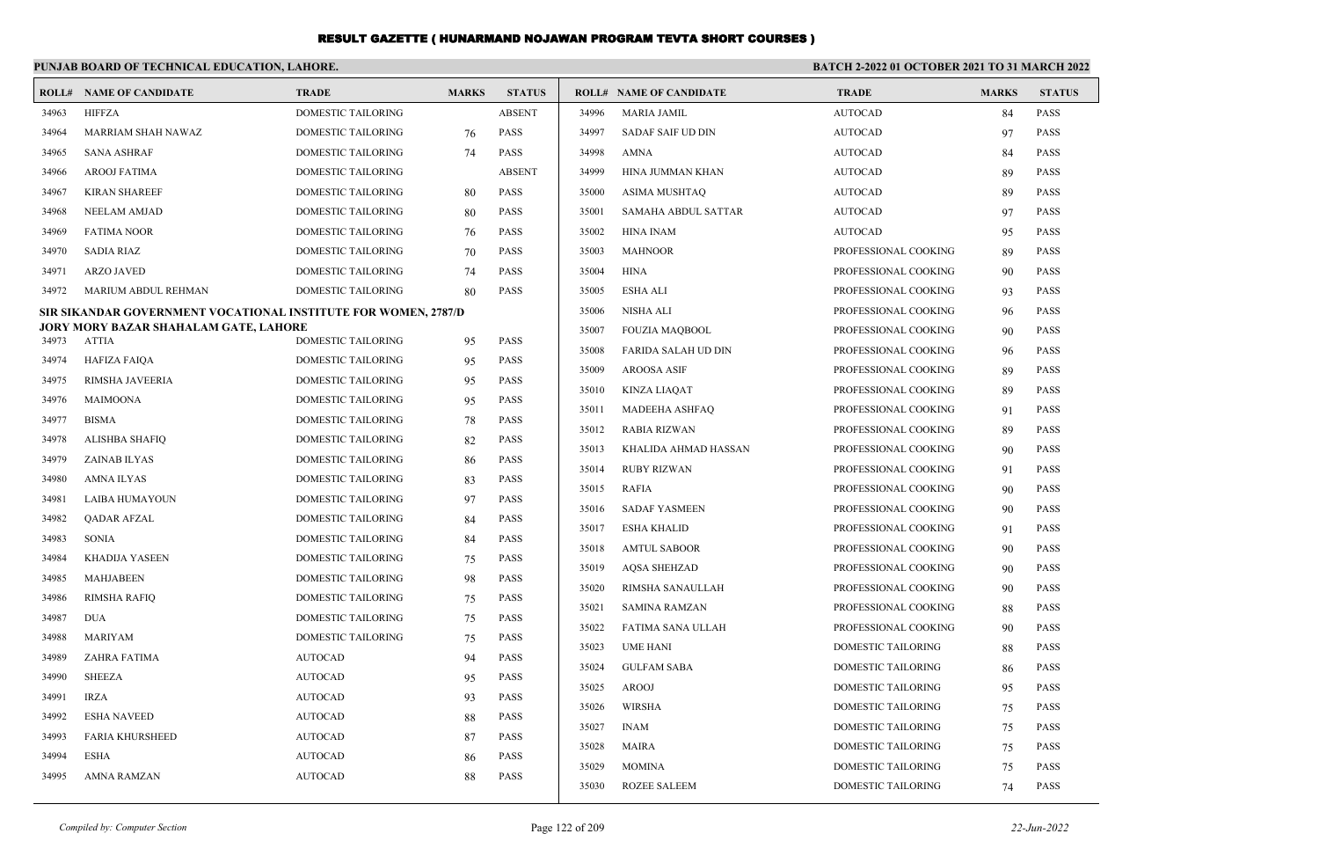|       | PUNJAB BOARD OF TECHNICAL EDUCATION, LAHORE.                   |                           |              |               | <b>BATCH 2-2022 01 OCTOBER 2021 TO 31 MARCH 2022</b> |                                |                           |              |               |
|-------|----------------------------------------------------------------|---------------------------|--------------|---------------|------------------------------------------------------|--------------------------------|---------------------------|--------------|---------------|
|       | <b>ROLL# NAME OF CANDIDATE</b>                                 | <b>TRADE</b>              | <b>MARKS</b> | <b>STATUS</b> |                                                      | <b>ROLL# NAME OF CANDIDATE</b> | <b>TRADE</b>              | <b>MARKS</b> | <b>STATUS</b> |
| 34963 | <b>HIFFZA</b>                                                  | DOMESTIC TAILORING        |              | <b>ABSENT</b> | 34996                                                | <b>MARIA JAMIL</b>             | <b>AUTOCAD</b>            | 84           | <b>PASS</b>   |
| 34964 | <b>MARRIAM SHAH NAWAZ</b>                                      | DOMESTIC TAILORING        | 76           | <b>PASS</b>   | 34997                                                | <b>SADAF SAIF UD DIN</b>       | <b>AUTOCAD</b>            | 97           | <b>PASS</b>   |
| 34965 | <b>SANA ASHRAF</b>                                             | DOMESTIC TAILORING        | 74           | PASS          | 34998                                                | AMNA                           | <b>AUTOCAD</b>            | 84           | <b>PASS</b>   |
| 34966 | <b>AROOJ FATIMA</b>                                            | DOMESTIC TAILORING        |              | <b>ABSENT</b> | 34999                                                | HINA JUMMAN KHAN               | <b>AUTOCAD</b>            | 89           | <b>PASS</b>   |
| 34967 | <b>KIRAN SHAREEF</b>                                           | DOMESTIC TAILORING        | 80           | <b>PASS</b>   | 35000                                                | ASIMA MUSHTAQ                  | <b>AUTOCAD</b>            | 89           | <b>PASS</b>   |
| 34968 | <b>NEELAM AMJAD</b>                                            | DOMESTIC TAILORING        | 80           | <b>PASS</b>   | 35001                                                | SAMAHA ABDUL SATTAR            | <b>AUTOCAD</b>            | 97           | <b>PASS</b>   |
| 34969 | <b>FATIMA NOOR</b>                                             | <b>DOMESTIC TAILORING</b> | 76           | <b>PASS</b>   | 35002                                                | HINA INAM                      | <b>AUTOCAD</b>            | 95           | <b>PASS</b>   |
| 34970 | SADIA RIAZ                                                     | <b>DOMESTIC TAILORING</b> | 70           | <b>PASS</b>   | 35003                                                | <b>MAHNOOR</b>                 | PROFESSIONAL COOKING      | 89           | <b>PASS</b>   |
| 34971 | <b>ARZO JAVED</b>                                              | DOMESTIC TAILORING        | 74           | PASS          | 35004                                                | HINA                           | PROFESSIONAL COOKING      | 90           | <b>PASS</b>   |
| 34972 | MARIUM ABDUL REHMAN                                            | DOMESTIC TAILORING        | 80           | <b>PASS</b>   | 35005                                                | <b>ESHA ALI</b>                | PROFESSIONAL COOKING      | 93           | <b>PASS</b>   |
|       | SIR SIKANDAR GOVERNMENT VOCATIONAL INSTITUTE FOR WOMEN, 2787/D |                           |              |               | 35006                                                | NISHA ALI                      | PROFESSIONAL COOKING      | 96           | <b>PASS</b>   |
| 34973 | JORY MORY BAZAR SHAHALAM GATE, LAHORE<br>ATTIA                 | DOMESTIC TAILORING        | 95           | <b>PASS</b>   | 35007                                                | <b>FOUZIA MAQBOOL</b>          | PROFESSIONAL COOKING      | 90           | <b>PASS</b>   |
| 34974 | <b>HAFIZA FAIQA</b>                                            | DOMESTIC TAILORING        | 95           | <b>PASS</b>   | 35008                                                | <b>FARIDA SALAH UD DIN</b>     | PROFESSIONAL COOKING      | 96           | <b>PASS</b>   |
| 34975 | RIMSHA JAVEERIA                                                | DOMESTIC TAILORING        | 95           | <b>PASS</b>   | 35009                                                | <b>AROOSA ASIF</b>             | PROFESSIONAL COOKING      | 89           | <b>PASS</b>   |
| 34976 | MAIMOONA                                                       | DOMESTIC TAILORING        | 95           | PASS          | 35010                                                | <b>KINZA LIAQAT</b>            | PROFESSIONAL COOKING      | 89           | <b>PASS</b>   |
| 34977 | <b>BISMA</b>                                                   | <b>DOMESTIC TAILORING</b> | 78           | <b>PASS</b>   | 35011                                                | <b>MADEEHA ASHFAQ</b>          | PROFESSIONAL COOKING      | 91           | <b>PASS</b>   |
| 34978 | ALISHBA SHAFIQ                                                 | DOMESTIC TAILORING        | 82           | <b>PASS</b>   | 35012                                                | RABIA RIZWAN                   | PROFESSIONAL COOKING      | 89           | <b>PASS</b>   |
| 34979 | ZAINAB ILYAS                                                   | DOMESTIC TAILORING        | 86           | PASS          | 35013                                                | KHALIDA AHMAD HASSAN           | PROFESSIONAL COOKING      | 90           | <b>PASS</b>   |
| 34980 | AMNA ILYAS                                                     | <b>DOMESTIC TAILORING</b> | 83           | <b>PASS</b>   | 35014                                                | <b>RUBY RIZWAN</b>             | PROFESSIONAL COOKING      | 91           | <b>PASS</b>   |
| 34981 | LAIBA HUMAYOUN                                                 | DOMESTIC TAILORING        | 97           | <b>PASS</b>   | 35015                                                | <b>RAFIA</b>                   | PROFESSIONAL COOKING      | 90           | <b>PASS</b>   |
| 34982 | QADAR AFZAL                                                    | DOMESTIC TAILORING        | 84           | <b>PASS</b>   | 35016                                                | <b>SADAF YASMEEN</b>           | PROFESSIONAL COOKING      | 90           | <b>PASS</b>   |
| 34983 | <b>SONIA</b>                                                   | <b>DOMESTIC TAILORING</b> | 84           | <b>PASS</b>   | 35017                                                | <b>ESHA KHALID</b>             | PROFESSIONAL COOKING      | 91           | <b>PASS</b>   |
| 34984 | KHADIJA YASEEN                                                 | DOMESTIC TAILORING        | 75           | <b>PASS</b>   | 35018                                                | <b>AMTUL SABOOR</b>            | PROFESSIONAL COOKING      | 90           | <b>PASS</b>   |
| 34985 | <b>MAHJABEEN</b>                                               | DOMESTIC TAILORING        | 98           | <b>PASS</b>   | 35019                                                | <b>AOSA SHEHZAD</b>            | PROFESSIONAL COOKING      | 90           | <b>PASS</b>   |
| 34986 | RIMSHA RAFIQ                                                   | DOMESTIC TAILORING        | 75           | <b>PASS</b>   | 35020                                                | RIMSHA SANAULLAH               | PROFESSIONAL COOKING      | 90           | <b>PASS</b>   |
| 34987 | <b>DUA</b>                                                     | DOMESTIC TAILORING        | 75           | PASS          | 35021                                                | <b>SAMINA RAMZAN</b>           | PROFESSIONAL COOKING      | 88           | <b>PASS</b>   |
| 34988 | <b>MARIYAM</b>                                                 | <b>DOMESTIC TAILORING</b> | 75           | <b>PASS</b>   | 35022                                                | FATIMA SANA ULLAH              | PROFESSIONAL COOKING      | 90           | <b>PASS</b>   |
| 34989 | <b>ZAHRA FATIMA</b>                                            | <b>AUTOCAD</b>            | 94           | <b>PASS</b>   | 35023                                                | <b>UME HANI</b>                | DOMESTIC TAILORING        | 88           | PASS          |
| 34990 | <b>SHEEZA</b>                                                  | <b>AUTOCAD</b>            | 95           | <b>PASS</b>   | 35024                                                | <b>GULFAM SABA</b>             | DOMESTIC TAILORING        | 86           | <b>PASS</b>   |
| 34991 | <b>IRZA</b>                                                    | <b>AUTOCAD</b>            | 93           | PASS          | 35025                                                | AROOJ                          | DOMESTIC TAILORING        | 95           | PASS          |
| 34992 | <b>ESHA NAVEED</b>                                             | <b>AUTOCAD</b>            | 88           | PASS          | 35026                                                | WIRSHA                         | DOMESTIC TAILORING        | 75           | PASS          |
| 34993 | <b>FARIA KHURSHEED</b>                                         | <b>AUTOCAD</b>            | 87           | PASS          | 35027                                                | <b>INAM</b>                    | DOMESTIC TAILORING        | 75           | PASS          |
| 34994 | <b>ESHA</b>                                                    | <b>AUTOCAD</b>            | 86           | <b>PASS</b>   | 35028                                                | MAIRA                          | DOMESTIC TAILORING        | 75           | PASS          |
| 34995 | <b>AMNA RAMZAN</b>                                             | <b>AUTOCAD</b>            | 88           | PASS          | 35029                                                | <b>MOMINA</b>                  | DOMESTIC TAILORING        | 75           | PASS          |
|       |                                                                |                           |              |               | 35030                                                | <b>ROZEE SALEEM</b>            | <b>DOMESTIC TAILORING</b> | 74           | PASS          |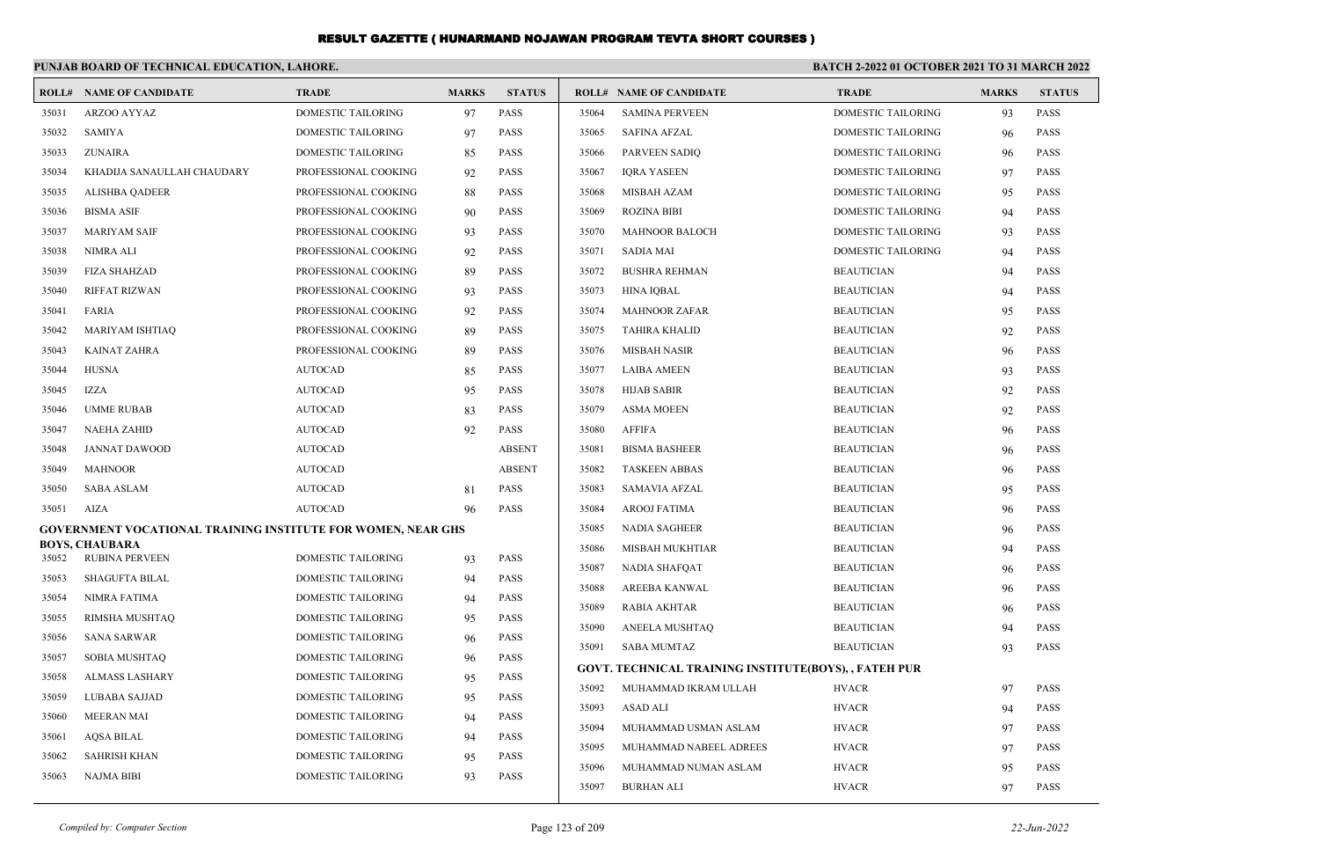|       | PUNJAB BOARD OF TECHNICAL EDUCATION, LAHORE.                 |                           |              |               | <b>BATCH 2-2022 01 OCTOBER 2021 TO 31 MARCH 2022</b> |                                                       |                           |              |               |
|-------|--------------------------------------------------------------|---------------------------|--------------|---------------|------------------------------------------------------|-------------------------------------------------------|---------------------------|--------------|---------------|
|       | <b>ROLL# NAME OF CANDIDATE</b>                               | <b>TRADE</b>              | <b>MARKS</b> | <b>STATUS</b> |                                                      | <b>ROLL# NAME OF CANDIDATE</b>                        | <b>TRADE</b>              | <b>MARKS</b> | <b>STATUS</b> |
| 35031 | ARZOO AYYAZ                                                  | <b>DOMESTIC TAILORING</b> | 97           | <b>PASS</b>   | 35064                                                | <b>SAMINA PERVEEN</b>                                 | <b>DOMESTIC TAILORING</b> | 93           | <b>PASS</b>   |
| 35032 | <b>SAMIYA</b>                                                | DOMESTIC TAILORING        | 97           | PASS          | 35065                                                | <b>SAFINA AFZAL</b>                                   | DOMESTIC TAILORING        | 96           | <b>PASS</b>   |
| 35033 | <b>ZUNAIRA</b>                                               | DOMESTIC TAILORING        | 85           | <b>PASS</b>   | 35066                                                | PARVEEN SADIQ                                         | DOMESTIC TAILORING        | 96           | <b>PASS</b>   |
| 35034 | KHADIJA SANAULLAH CHAUDARY                                   | PROFESSIONAL COOKING      | 92           | <b>PASS</b>   | 35067                                                | <b>IORA YASEEN</b>                                    | <b>DOMESTIC TAILORING</b> | 97           | <b>PASS</b>   |
| 35035 | <b>ALISHBA OADEER</b>                                        | PROFESSIONAL COOKING      | 88           | <b>PASS</b>   | 35068                                                | <b>MISBAH AZAM</b>                                    | <b>DOMESTIC TAILORING</b> | 95           | <b>PASS</b>   |
| 35036 | <b>BISMA ASIF</b>                                            | PROFESSIONAL COOKING      | 90           | <b>PASS</b>   | 35069                                                | <b>ROZINA BIBI</b>                                    | <b>DOMESTIC TAILORING</b> | 94           | <b>PASS</b>   |
| 35037 | <b>MARIYAM SAIF</b>                                          | PROFESSIONAL COOKING      | 93           | PASS          | 35070                                                | <b>MAHNOOR BALOCH</b>                                 | DOMESTIC TAILORING        | 93           | <b>PASS</b>   |
| 35038 | NIMRA ALI                                                    | PROFESSIONAL COOKING      | 92           | <b>PASS</b>   | 35071                                                | <b>SADIA MAI</b>                                      | <b>DOMESTIC TAILORING</b> | 94           | <b>PASS</b>   |
| 35039 | <b>FIZA SHAHZAD</b>                                          | PROFESSIONAL COOKING      | 89           | <b>PASS</b>   | 35072                                                | <b>BUSHRA REHMAN</b>                                  | <b>BEAUTICIAN</b>         | 94           | <b>PASS</b>   |
| 35040 | <b>RIFFAT RIZWAN</b>                                         | PROFESSIONAL COOKING      | 93           | <b>PASS</b>   | 35073                                                | <b>HINA IQBAL</b>                                     | <b>BEAUTICIAN</b>         | 94           | <b>PASS</b>   |
| 35041 | <b>FARIA</b>                                                 | PROFESSIONAL COOKING      | 92           | <b>PASS</b>   | 35074                                                | <b>MAHNOOR ZAFAR</b>                                  | <b>BEAUTICIAN</b>         | 95           | <b>PASS</b>   |
| 35042 | <b>MARIYAM ISHTIAQ</b>                                       | PROFESSIONAL COOKING      | 89           | PASS          | 35075                                                | <b>TAHIRA KHALID</b>                                  | <b>BEAUTICIAN</b>         | 92           | <b>PASS</b>   |
| 35043 | <b>KAINAT ZAHRA</b>                                          | PROFESSIONAL COOKING      | 89           | <b>PASS</b>   | 35076                                                | <b>MISBAH NASIR</b>                                   | <b>BEAUTICIAN</b>         | 96           | <b>PASS</b>   |
| 35044 | <b>HUSNA</b>                                                 | <b>AUTOCAD</b>            | 85           | <b>PASS</b>   | 35077                                                | <b>LAIBA AMEEN</b>                                    | <b>BEAUTICIAN</b>         | 93           | <b>PASS</b>   |
| 35045 | <b>IZZA</b>                                                  | <b>AUTOCAD</b>            | 95           | <b>PASS</b>   | 35078                                                | <b>HIJAB SABIR</b>                                    | <b>BEAUTICIAN</b>         | 92           | <b>PASS</b>   |
| 35046 | <b>UMME RUBAB</b>                                            | <b>AUTOCAD</b>            | 83           | PASS          | 35079                                                | <b>ASMA MOEEN</b>                                     | <b>BEAUTICIAN</b>         | 92           | <b>PASS</b>   |
| 35047 | NAEHA ZAHID                                                  | <b>AUTOCAD</b>            | 92           | <b>PASS</b>   | 35080                                                | <b>AFFIFA</b>                                         | <b>BEAUTICIAN</b>         | 96           | <b>PASS</b>   |
| 35048 | <b>JANNAT DAWOOD</b>                                         | <b>AUTOCAD</b>            |              | <b>ABSENT</b> | 35081                                                | <b>BISMA BASHEER</b>                                  | <b>BEAUTICIAN</b>         | 96           | <b>PASS</b>   |
| 35049 | <b>MAHNOOR</b>                                               | <b>AUTOCAD</b>            |              | <b>ABSENT</b> | 35082                                                | <b>TASKEEN ABBAS</b>                                  | <b>BEAUTICIAN</b>         | 96           | <b>PASS</b>   |
| 35050 | <b>SABA ASLAM</b>                                            | <b>AUTOCAD</b>            | 81           | <b>PASS</b>   | 35083                                                | <b>SAMAVIA AFZAL</b>                                  | <b>BEAUTICIAN</b>         | 95           | <b>PASS</b>   |
| 35051 | AIZA                                                         | <b>AUTOCAD</b>            | 96           | <b>PASS</b>   | 35084                                                | <b>AROOJ FATIMA</b>                                   | <b>BEAUTICIAN</b>         | 96           | <b>PASS</b>   |
|       | GOVERNMENT VOCATIONAL TRAINING INSTITUTE FOR WOMEN, NEAR GHS |                           |              |               | 35085                                                | <b>NADIA SAGHEER</b>                                  | <b>BEAUTICIAN</b>         | 96           | <b>PASS</b>   |
| 35052 | <b>BOYS, CHAUBARA</b><br><b>RUBINA PERVEEN</b>               | <b>DOMESTIC TAILORING</b> | 93           | <b>PASS</b>   | 35086                                                | <b>MISBAH MUKHTIAR</b>                                | <b>BEAUTICIAN</b>         | 94           | <b>PASS</b>   |
| 35053 | <b>SHAGUFTA BILAL</b>                                        | <b>DOMESTIC TAILORING</b> | 94           | <b>PASS</b>   | 35087                                                | <b>NADIA SHAFQAT</b>                                  | <b>BEAUTICIAN</b>         | 96           | <b>PASS</b>   |
| 35054 | NIMRA FATIMA                                                 | DOMESTIC TAILORING        | 94           | <b>PASS</b>   | 35088                                                | AREEBA KANWAL                                         | <b>BEAUTICIAN</b>         | 96           | <b>PASS</b>   |
| 35055 | RIMSHA MUSHTAQ                                               | <b>DOMESTIC TAILORING</b> | 95           | <b>PASS</b>   | 35089                                                | RABIA AKHTAR                                          | <b>BEAUTICIAN</b>         | 96           | <b>PASS</b>   |
| 35056 | <b>SANA SARWAR</b>                                           | DOMESTIC TAILORING        | 96           | <b>PASS</b>   | 35090                                                | ANEELA MUSHTAQ                                        | <b>BEAUTICIAN</b>         | 94           | <b>PASS</b>   |
| 35057 | SOBIA MUSHTAQ                                                | DOMESTIC TAILORING        | -96          | <b>PASS</b>   | 35091                                                | <b>SABA MUMTAZ</b>                                    | <b>BEAUTICIAN</b>         | 93           | <b>PASS</b>   |
| 35058 | <b>ALMASS LASHARY</b>                                        | DOMESTIC TAILORING        | 95           | PASS          |                                                      | GOVT. TECHNICAL TRAINING INSTITUTE(BOYS), , FATEH PUR |                           |              |               |
| 35059 | LUBABA SAJJAD                                                | DOMESTIC TAILORING        | 95           | PASS          | 35092                                                | MUHAMMAD IKRAM ULLAH                                  | <b>HVACR</b>              | 97           | <b>PASS</b>   |
| 35060 | <b>MEERAN MAI</b>                                            | <b>DOMESTIC TAILORING</b> | 94           | <b>PASS</b>   | 35093                                                | <b>ASAD ALI</b>                                       | <b>HVACR</b>              | 94           | <b>PASS</b>   |
| 35061 | <b>AQSA BILAL</b>                                            | DOMESTIC TAILORING        | 94           | PASS          | 35094                                                | MUHAMMAD USMAN ASLAM                                  | <b>HVACR</b>              | 97           | <b>PASS</b>   |
| 35062 | <b>SAHRISH KHAN</b>                                          | DOMESTIC TAILORING        | 95           | <b>PASS</b>   | 35095                                                | MUHAMMAD NABEEL ADREES                                | <b>HVACR</b>              | 97           | <b>PASS</b>   |
| 35063 | <b>NAJMA BIBI</b>                                            | DOMESTIC TAILORING        | 93           | <b>PASS</b>   | 35096                                                | MUHAMMAD NUMAN ASLAM                                  | <b>HVACR</b>              | 95           | <b>PASS</b>   |
|       |                                                              |                           |              |               | 35097                                                | <b>BURHAN ALI</b>                                     | <b>HVACR</b>              | 97           | <b>PASS</b>   |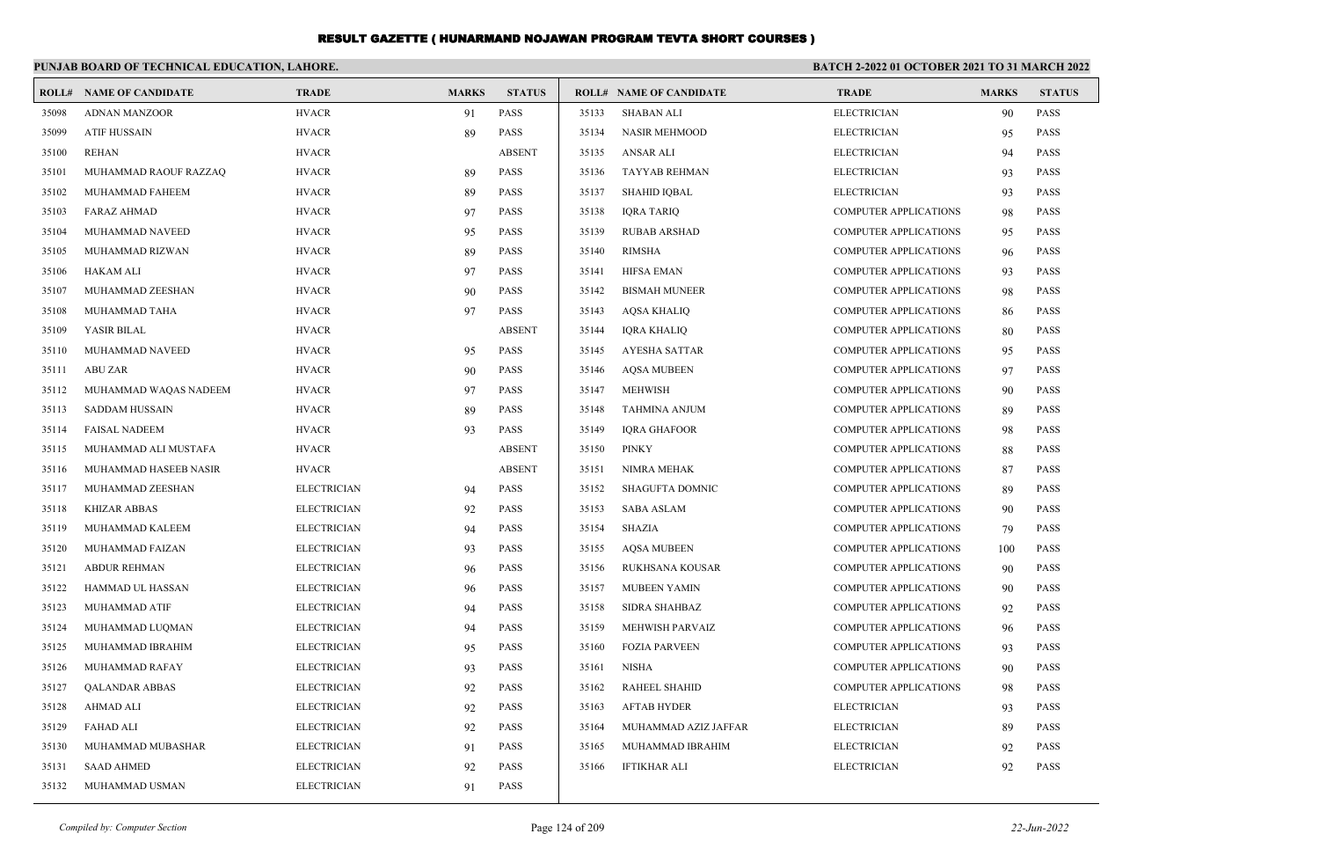|       | PUNJAB BOARD OF TECHNICAL EDUCATION, LAHORE. |                    |              | <b>BATCH 2-2022 01 OCTOBER 2021 TO 31 MARCH 2022</b> |       |                                |                              |              |               |
|-------|----------------------------------------------|--------------------|--------------|------------------------------------------------------|-------|--------------------------------|------------------------------|--------------|---------------|
| ROLL# | <b>NAME OF CANDIDATE</b>                     | <b>TRADE</b>       | <b>MARKS</b> | <b>STATUS</b>                                        |       | <b>ROLL# NAME OF CANDIDATE</b> | <b>TRADE</b>                 | <b>MARKS</b> | <b>STATUS</b> |
| 35098 | <b>ADNAN MANZOOR</b>                         | <b>HVACR</b>       | 91           | PASS                                                 | 35133 | <b>SHABAN ALI</b>              | <b>ELECTRICIAN</b>           | 90           | <b>PASS</b>   |
| 35099 | <b>ATIF HUSSAIN</b>                          | <b>HVACR</b>       | 89           | <b>PASS</b>                                          | 35134 | <b>NASIR MEHMOOD</b>           | <b>ELECTRICIAN</b>           | 95           | <b>PASS</b>   |
| 35100 | <b>REHAN</b>                                 | <b>HVACR</b>       |              | <b>ABSENT</b>                                        | 35135 | <b>ANSAR ALI</b>               | <b>ELECTRICIAN</b>           | 94           | <b>PASS</b>   |
| 35101 | MUHAMMAD RAOUF RAZZAQ                        | <b>HVACR</b>       | 89           | PASS                                                 | 35136 | TAYYAB REHMAN                  | <b>ELECTRICIAN</b>           | 93           | <b>PASS</b>   |
| 35102 | MUHAMMAD FAHEEM                              | <b>HVACR</b>       | 89           | <b>PASS</b>                                          | 35137 | <b>SHAHID IQBAL</b>            | <b>ELECTRICIAN</b>           | 93           | <b>PASS</b>   |
| 35103 | <b>FARAZ AHMAD</b>                           | <b>HVACR</b>       | 97           | PASS                                                 | 35138 | <b>IQRA TARIQ</b>              | <b>COMPUTER APPLICATIONS</b> | 98           | <b>PASS</b>   |
| 35104 | MUHAMMAD NAVEED                              | <b>HVACR</b>       | 95           | <b>PASS</b>                                          | 35139 | <b>RUBAB ARSHAD</b>            | <b>COMPUTER APPLICATIONS</b> | 95           | <b>PASS</b>   |
| 35105 | MUHAMMAD RIZWAN                              | <b>HVACR</b>       | 89           | <b>PASS</b>                                          | 35140 | <b>RIMSHA</b>                  | <b>COMPUTER APPLICATIONS</b> | 96           | <b>PASS</b>   |
| 35106 | <b>HAKAM ALI</b>                             | <b>HVACR</b>       | 97           | <b>PASS</b>                                          | 35141 | <b>HIFSA EMAN</b>              | <b>COMPUTER APPLICATIONS</b> | 93           | <b>PASS</b>   |
| 35107 | MUHAMMAD ZEESHAN                             | <b>HVACR</b>       | 90           | <b>PASS</b>                                          | 35142 | <b>BISMAH MUNEER</b>           | <b>COMPUTER APPLICATIONS</b> | 98           | <b>PASS</b>   |
| 35108 | MUHAMMAD TAHA                                | <b>HVACR</b>       | 97           | PASS                                                 | 35143 | AQSA KHALIQ                    | <b>COMPUTER APPLICATIONS</b> | 86           | <b>PASS</b>   |
| 35109 | YASIR BILAL                                  | <b>HVACR</b>       |              | <b>ABSENT</b>                                        | 35144 | <b>IORA KHALIO</b>             | <b>COMPUTER APPLICATIONS</b> | 80           | <b>PASS</b>   |
| 35110 | MUHAMMAD NAVEED                              | <b>HVACR</b>       | 95           | <b>PASS</b>                                          | 35145 | <b>AYESHA SATTAR</b>           | <b>COMPUTER APPLICATIONS</b> | 95           | <b>PASS</b>   |
| 35111 | <b>ABU ZAR</b>                               | <b>HVACR</b>       | 90           | <b>PASS</b>                                          | 35146 | <b>AOSA MUBEEN</b>             | <b>COMPUTER APPLICATIONS</b> | 97           | <b>PASS</b>   |
| 35112 | MUHAMMAD WAQAS NADEEM                        | <b>HVACR</b>       | 97           | <b>PASS</b>                                          | 35147 | <b>MEHWISH</b>                 | <b>COMPUTER APPLICATIONS</b> | 90           | <b>PASS</b>   |
| 35113 | SADDAM HUSSAIN                               | <b>HVACR</b>       | 89           | <b>PASS</b>                                          | 35148 | TAHMINA ANJUM                  | <b>COMPUTER APPLICATIONS</b> | 89           | <b>PASS</b>   |
| 35114 | <b>FAISAL NADEEM</b>                         | <b>HVACR</b>       | 93           | <b>PASS</b>                                          | 35149 | <b>IQRA GHAFOOR</b>            | <b>COMPUTER APPLICATIONS</b> | 98           | <b>PASS</b>   |
| 35115 | MUHAMMAD ALI MUSTAFA                         | <b>HVACR</b>       |              | <b>ABSENT</b>                                        | 35150 | <b>PINKY</b>                   | <b>COMPUTER APPLICATIONS</b> | 88           | <b>PASS</b>   |
| 35116 | MUHAMMAD HASEEB NASIR                        | <b>HVACR</b>       |              | <b>ABSENT</b>                                        | 35151 | NIMRA MEHAK                    | <b>COMPUTER APPLICATIONS</b> | 87           | <b>PASS</b>   |
| 35117 | MUHAMMAD ZEESHAN                             | <b>ELECTRICIAN</b> | 94           | PASS                                                 | 35152 | SHAGUFTA DOMNIC                | <b>COMPUTER APPLICATIONS</b> | 89           | <b>PASS</b>   |
| 35118 | <b>KHIZAR ABBAS</b>                          | <b>ELECTRICIAN</b> | 92           | <b>PASS</b>                                          | 35153 | <b>SABA ASLAM</b>              | <b>COMPUTER APPLICATIONS</b> | 90           | <b>PASS</b>   |
| 35119 | MUHAMMAD KALEEM                              | <b>ELECTRICIAN</b> | 94           | <b>PASS</b>                                          | 35154 | <b>SHAZIA</b>                  | <b>COMPUTER APPLICATIONS</b> | 79           | <b>PASS</b>   |
| 35120 | MUHAMMAD FAIZAN                              | <b>ELECTRICIAN</b> | 93           | <b>PASS</b>                                          | 35155 | <b>AOSA MUBEEN</b>             | <b>COMPUTER APPLICATIONS</b> | 100          | <b>PASS</b>   |
| 35121 | <b>ABDUR REHMAN</b>                          | <b>ELECTRICIAN</b> | 96           | PASS                                                 | 35156 | <b>RUKHSANA KOUSAR</b>         | <b>COMPUTER APPLICATIONS</b> | 90           | <b>PASS</b>   |
| 35122 | HAMMAD UL HASSAN                             | <b>ELECTRICIAN</b> | 96           | PASS                                                 | 35157 | <b>MUBEEN YAMIN</b>            | <b>COMPUTER APPLICATIONS</b> | 90           | <b>PASS</b>   |
| 35123 | <b>MUHAMMAD ATIF</b>                         | <b>ELECTRICIAN</b> | 94           | PASS                                                 | 35158 | <b>SIDRA SHAHBAZ</b>           | <b>COMPUTER APPLICATIONS</b> | 92           | <b>PASS</b>   |
| 35124 | MUHAMMAD LUQMAN                              | <b>ELECTRICIAN</b> | 94           | <b>PASS</b>                                          | 35159 | MEHWISH PARVAIZ                | <b>COMPUTER APPLICATIONS</b> | 96           | <b>PASS</b>   |
| 35125 | MUHAMMAD IBRAHIM                             | <b>ELECTRICIAN</b> | 95           | <b>PASS</b>                                          | 35160 | <b>FOZIA PARVEEN</b>           | <b>COMPUTER APPLICATIONS</b> | 93           | <b>PASS</b>   |
| 35126 | MUHAMMAD RAFAY                               | <b>ELECTRICIAN</b> | 93           | <b>PASS</b>                                          | 35161 | <b>NISHA</b>                   | <b>COMPUTER APPLICATIONS</b> | 90           | <b>PASS</b>   |
| 35127 | <b>OALANDAR ABBAS</b>                        | <b>ELECTRICIAN</b> | 92           | <b>PASS</b>                                          | 35162 | <b>RAHEEL SHAHID</b>           | <b>COMPUTER APPLICATIONS</b> | 98           | <b>PASS</b>   |
| 35128 | <b>AHMAD ALI</b>                             | <b>ELECTRICIAN</b> | 92           | PASS                                                 | 35163 | <b>AFTAB HYDER</b>             | <b>ELECTRICIAN</b>           | 93           | <b>PASS</b>   |
| 35129 | <b>FAHAD ALI</b>                             | <b>ELECTRICIAN</b> | 92           | PASS                                                 | 35164 | MUHAMMAD AZIZ JAFFAR           | <b>ELECTRICIAN</b>           | 89           | <b>PASS</b>   |
| 35130 | MUHAMMAD MUBASHAR                            | <b>ELECTRICIAN</b> | 91           | PASS                                                 | 35165 | MUHAMMAD IBRAHIM               | <b>ELECTRICIAN</b>           | 92           | <b>PASS</b>   |
| 35131 | <b>SAAD AHMED</b>                            | <b>ELECTRICIAN</b> | 92           | <b>PASS</b>                                          | 35166 | <b>IFTIKHAR ALI</b>            | <b>ELECTRICIAN</b>           | 92           | <b>PASS</b>   |
| 35132 | MUHAMMAD USMAN                               | <b>ELECTRICIAN</b> | 91           | <b>PASS</b>                                          |       |                                |                              |              |               |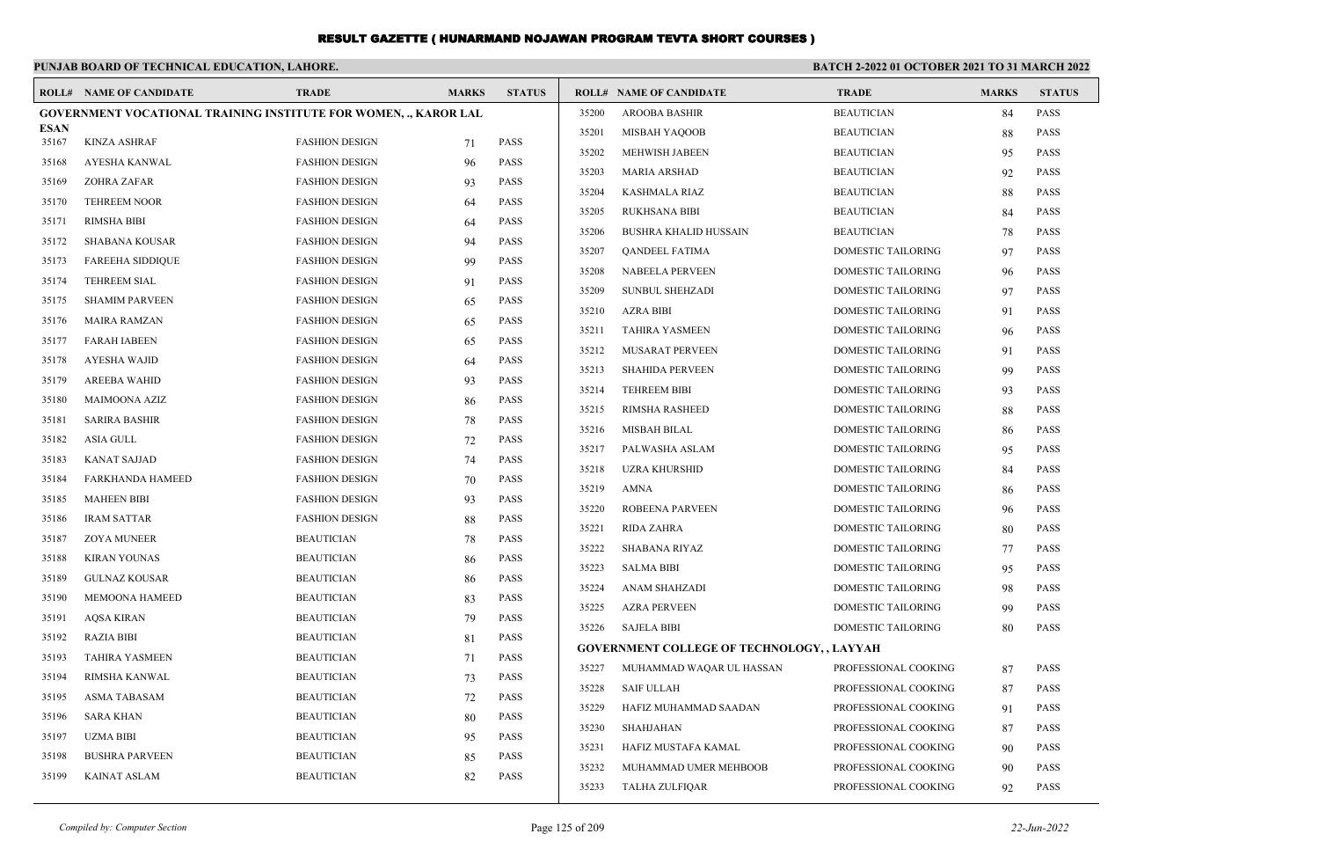|                      | PUNJAB BOARD OF TECHNICAL EDUCATION, LAHORE.                            |                       |              |               | <b>BATCH 2-2022 01 OCTOBER 2021 TO 31 MARCH 2022</b> |                                                   |                           |              |               |
|----------------------|-------------------------------------------------------------------------|-----------------------|--------------|---------------|------------------------------------------------------|---------------------------------------------------|---------------------------|--------------|---------------|
|                      | <b>ROLL# NAME OF CANDIDATE</b>                                          | <b>TRADE</b>          | <b>MARKS</b> | <b>STATUS</b> |                                                      | <b>ROLL# NAME OF CANDIDATE</b>                    | <b>TRADE</b>              | <b>MARKS</b> | <b>STATUS</b> |
|                      | <b>GOVERNMENT VOCATIONAL TRAINING INSTITUTE FOR WOMEN, ., KAROR LAL</b> |                       |              |               | 35200                                                | <b>AROOBA BASHIR</b>                              | <b>BEAUTICIAN</b>         | 84           | <b>PASS</b>   |
| <b>ESAN</b><br>35167 | <b>KINZA ASHRAF</b>                                                     | <b>FASHION DESIGN</b> |              | <b>PASS</b>   | 35201                                                | MISBAH YAQOOB                                     | <b>BEAUTICIAN</b>         | 88           | <b>PASS</b>   |
|                      |                                                                         |                       | 71           | <b>PASS</b>   | 35202                                                | MEHWISH JABEEN                                    | <b>BEAUTICIAN</b>         | 95           | <b>PASS</b>   |
| 35168                | AYESHA KANWAL                                                           | <b>FASHION DESIGN</b> | 96           |               | 35203                                                | MARIA ARSHAD                                      | <b>BEAUTICIAN</b>         | 92           | <b>PASS</b>   |
| 35169                | <b>ZOHRA ZAFAR</b>                                                      | <b>FASHION DESIGN</b> | 93           | <b>PASS</b>   | 35204                                                | <b>KASHMALA RIAZ</b>                              | <b>BEAUTICIAN</b>         | 88           | <b>PASS</b>   |
| 35170                | <b>TEHREEM NOOR</b>                                                     | <b>FASHION DESIGN</b> | 64           | <b>PASS</b>   | 35205                                                | RUKHSANA BIBI                                     | <b>BEAUTICIAN</b>         | 84           | <b>PASS</b>   |
| 35171                | <b>RIMSHA BIBI</b>                                                      | <b>FASHION DESIGN</b> | 64           | <b>PASS</b>   | 35206                                                | BUSHRA KHALID HUSSAIN                             | <b>BEAUTICIAN</b>         | 78           | <b>PASS</b>   |
| 35172                | SHABANA KOUSAR                                                          | <b>FASHION DESIGN</b> | 94           | <b>PASS</b>   | 35207                                                | QANDEEL FATIMA                                    | DOMESTIC TAILORING        | 97           | <b>PASS</b>   |
| 35173                | <b>FAREEHA SIDDIQUE</b>                                                 | <b>FASHION DESIGN</b> | 99           | <b>PASS</b>   | 35208                                                | <b>NABEELA PERVEEN</b>                            | DOMESTIC TAILORING        | 96           | <b>PASS</b>   |
| 35174                | <b>TEHREEM SIAL</b>                                                     | <b>FASHION DESIGN</b> | 91           | <b>PASS</b>   | 35209                                                | <b>SUNBUL SHEHZADI</b>                            | <b>DOMESTIC TAILORING</b> | 97           | <b>PASS</b>   |
| 35175                | <b>SHAMIM PARVEEN</b>                                                   | <b>FASHION DESIGN</b> | 65           | <b>PASS</b>   | 35210                                                | <b>AZRA BIBI</b>                                  | <b>DOMESTIC TAILORING</b> | 91           | <b>PASS</b>   |
| 35176                | <b>MAIRA RAMZAN</b>                                                     | <b>FASHION DESIGN</b> | 65           | PASS          | 35211                                                | <b>TAHIRA YASMEEN</b>                             | DOMESTIC TAILORING        | 96           | <b>PASS</b>   |
| 35177                | <b>FARAH IABEEN</b>                                                     | <b>FASHION DESIGN</b> | 65           | PASS          | 35212                                                | MUSARAT PERVEEN                                   | DOMESTIC TAILORING        | 91           | <b>PASS</b>   |
| 35178                | <b>AYESHA WAJID</b>                                                     | <b>FASHION DESIGN</b> | 64           | <b>PASS</b>   | 35213                                                | <b>SHAHIDA PERVEEN</b>                            | DOMESTIC TAILORING        | 99           | <b>PASS</b>   |
| 35179                | <b>AREEBA WAHID</b>                                                     | <b>FASHION DESIGN</b> | 93           | PASS          | 35214                                                | <b>TEHREEM BIBI</b>                               | DOMESTIC TAILORING        | 93           | <b>PASS</b>   |
| 35180                | MAIMOONA AZIZ                                                           | <b>FASHION DESIGN</b> | 86           | PASS          | 35215                                                | RIMSHA RASHEED                                    | <b>DOMESTIC TAILORING</b> | 88           | <b>PASS</b>   |
| 35181                | SARIRA BASHIR                                                           | <b>FASHION DESIGN</b> | 78           | <b>PASS</b>   | 35216                                                | <b>MISBAH BILAL</b>                               | <b>DOMESTIC TAILORING</b> | 86           | <b>PASS</b>   |
| 35182                | <b>ASIA GULL</b>                                                        | <b>FASHION DESIGN</b> | 72           | <b>PASS</b>   | 35217                                                | PALWASHA ASLAM                                    | <b>DOMESTIC TAILORING</b> | 95           | <b>PASS</b>   |
| 35183                | KANAT SAJJAD                                                            | <b>FASHION DESIGN</b> | 74           | <b>PASS</b>   | 35218                                                | <b>UZRA KHURSHID</b>                              | <b>DOMESTIC TAILORING</b> |              | <b>PASS</b>   |
| 35184                | <b>FARKHANDA HAMEED</b>                                                 | <b>FASHION DESIGN</b> | 70           | <b>PASS</b>   | 35219                                                | <b>AMNA</b>                                       |                           | 84           | <b>PASS</b>   |
| 35185                | <b>MAHEEN BIBI</b>                                                      | <b>FASHION DESIGN</b> | 93           | <b>PASS</b>   |                                                      |                                                   | <b>DOMESTIC TAILORING</b> | 86           |               |
| 35186                | <b>IRAM SATTAR</b>                                                      | <b>FASHION DESIGN</b> | 88           | <b>PASS</b>   | 35220                                                | ROBEENA PARVEEN                                   | <b>DOMESTIC TAILORING</b> | 96           | <b>PASS</b>   |
| 35187                | <b>ZOYA MUNEER</b>                                                      | <b>BEAUTICIAN</b>     | 78           | <b>PASS</b>   | 35221                                                | <b>RIDA ZAHRA</b>                                 | <b>DOMESTIC TAILORING</b> | 80           | <b>PASS</b>   |
| 35188                | <b>KIRAN YOUNAS</b>                                                     | <b>BEAUTICIAN</b>     | 86           | PASS          | 35222                                                | <b>SHABANA RIYAZ</b>                              | <b>DOMESTIC TAILORING</b> | 77           | <b>PASS</b>   |
| 35189                | <b>GULNAZ KOUSAR</b>                                                    | <b>BEAUTICIAN</b>     | 86           | <b>PASS</b>   | 35223                                                | <b>SALMA BIBI</b>                                 | <b>DOMESTIC TAILORING</b> | 95           | <b>PASS</b>   |
| 35190                | <b>MEMOONA HAMEED</b>                                                   | <b>BEAUTICIAN</b>     | 83           | <b>PASS</b>   | 35224                                                | ANAM SHAHZADI                                     | <b>DOMESTIC TAILORING</b> | 98           | <b>PASS</b>   |
| 35191                | AQSA KIRAN                                                              | <b>BEAUTICIAN</b>     | 79           | <b>PASS</b>   | 35225                                                | <b>AZRA PERVEEN</b>                               | <b>DOMESTIC TAILORING</b> | 99           | <b>PASS</b>   |
| 35192                | <b>RAZIA BIBI</b>                                                       | <b>BEAUTICIAN</b>     | 81           | <b>PASS</b>   | 35226                                                | <b>SAJELA BIBI</b>                                | <b>DOMESTIC TAILORING</b> | 80           | <b>PASS</b>   |
| 35193                | <b>TAHIRA YASMEEN</b>                                                   | <b>BEAUTICIAN</b>     | 71           | <b>PASS</b>   |                                                      | <b>GOVERNMENT COLLEGE OF TECHNOLOGY, , LAYYAH</b> |                           |              |               |
| 35194                | RIMSHA KANWAL                                                           | <b>BEAUTICIAN</b>     | 73           | <b>PASS</b>   | 35227                                                | MUHAMMAD WAQAR UL HASSAN                          | PROFESSIONAL COOKING      | 87           | <b>PASS</b>   |
| 35195                | <b>ASMA TABASAM</b>                                                     | <b>BEAUTICIAN</b>     | 72           | <b>PASS</b>   | 35228                                                | <b>SAIF ULLAH</b>                                 | PROFESSIONAL COOKING      | 87           | PASS          |
| 35196                | <b>SARA KHAN</b>                                                        | <b>BEAUTICIAN</b>     | 80           | PASS          | 35229                                                | HAFIZ MUHAMMAD SAADAN                             | PROFESSIONAL COOKING      | 91           | <b>PASS</b>   |
| 35197                | <b>UZMA BIBI</b>                                                        | <b>BEAUTICIAN</b>     | 95           | PASS          | 35230                                                | SHAHJAHAN                                         | PROFESSIONAL COOKING      | 87           | <b>PASS</b>   |
| 35198                | <b>BUSHRA PARVEEN</b>                                                   | <b>BEAUTICIAN</b>     | 85           | <b>PASS</b>   | 35231                                                | HAFIZ MUSTAFA KAMAL                               | PROFESSIONAL COOKING      | 90           | <b>PASS</b>   |
| 35199                | <b>KAINAT ASLAM</b>                                                     | <b>BEAUTICIAN</b>     | 82           | <b>PASS</b>   | 35232                                                | MUHAMMAD UMER MEHBOOB                             | PROFESSIONAL COOKING      | 90           | <b>PASS</b>   |
|                      |                                                                         |                       |              |               | 35233                                                | <b>TALHA ZULFIOAR</b>                             | PROFESSIONAL COOKING      | 92           | <b>PASS</b>   |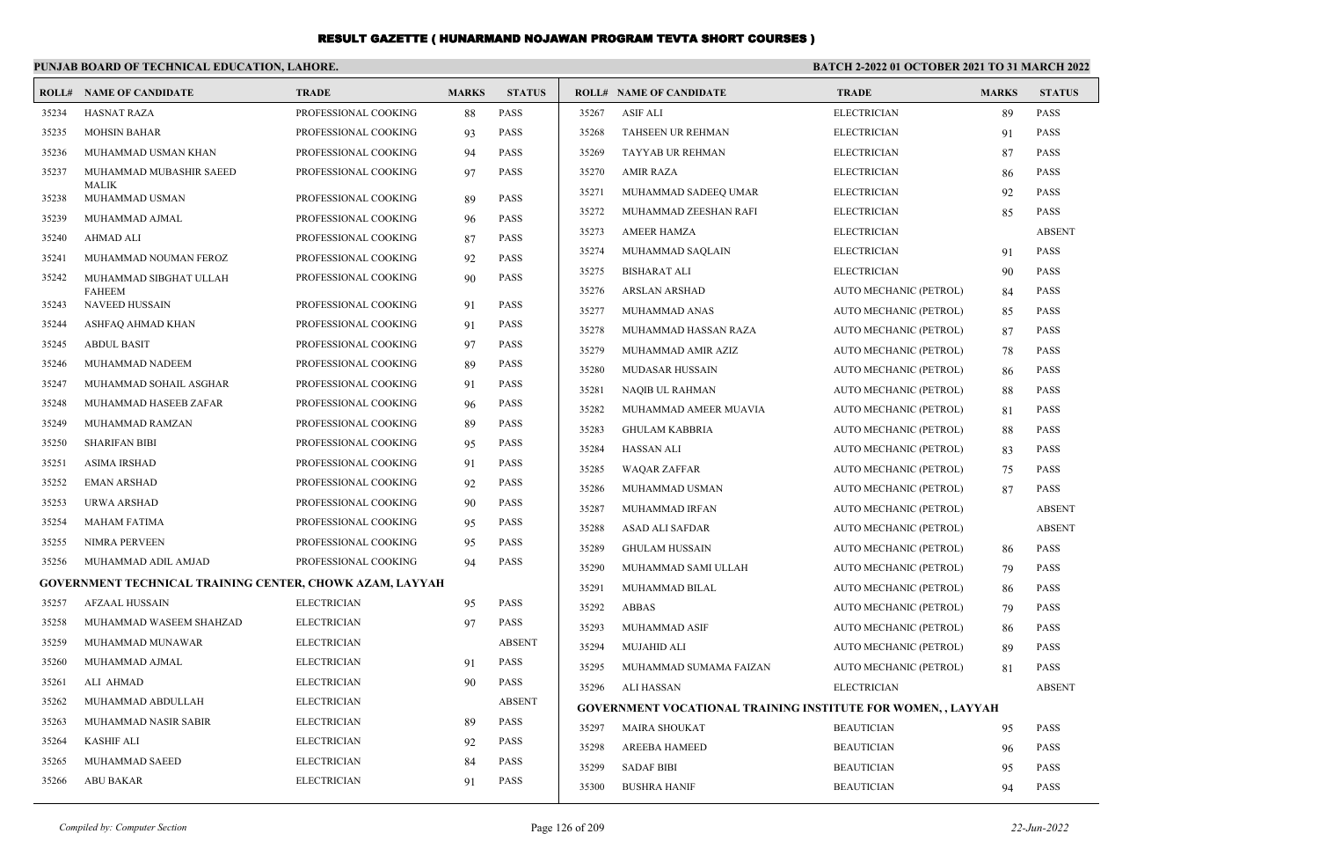|       | PUNJAB BOARD OF TECHNICAL EDUCATION, LAHORE.             |                      |              |               | BATCH 2-2022 01 OCTOBER 2021 TO 31 MARCH 2022 |                                                              |                        |              |               |
|-------|----------------------------------------------------------|----------------------|--------------|---------------|-----------------------------------------------|--------------------------------------------------------------|------------------------|--------------|---------------|
|       | <b>ROLL# NAME OF CANDIDATE</b>                           | <b>TRADE</b>         | <b>MARKS</b> | <b>STATUS</b> |                                               | <b>ROLL# NAME OF CANDIDATE</b>                               | <b>TRADE</b>           | <b>MARKS</b> | <b>STATUS</b> |
| 35234 | <b>HASNAT RAZA</b>                                       | PROFESSIONAL COOKING | 88           | <b>PASS</b>   | 35267                                         | ASIF ALI                                                     | <b>ELECTRICIAN</b>     | 89           | PASS          |
| 35235 | <b>MOHSIN BAHAR</b>                                      | PROFESSIONAL COOKING | 93           | PASS          | 35268                                         | <b>TAHSEEN UR REHMAN</b>                                     | <b>ELECTRICIAN</b>     | 91           | <b>PASS</b>   |
| 35236 | MUHAMMAD USMAN KHAN                                      | PROFESSIONAL COOKING | 94           | PASS          | 35269                                         | TAYYAB UR REHMAN                                             | <b>ELECTRICIAN</b>     | 87           | <b>PASS</b>   |
| 35237 | MUHAMMAD MUBASHIR SAEED                                  | PROFESSIONAL COOKING | 97           | PASS          | 35270                                         | <b>AMIR RAZA</b>                                             | <b>ELECTRICIAN</b>     | 86           | <b>PASS</b>   |
| 35238 | <b>MALIK</b><br>MUHAMMAD USMAN                           | PROFESSIONAL COOKING | 89           | <b>PASS</b>   | 35271                                         | MUHAMMAD SADEEQ UMAR                                         | <b>ELECTRICIAN</b>     | 92           | <b>PASS</b>   |
| 35239 | MUHAMMAD AJMAL                                           | PROFESSIONAL COOKING | 96           | <b>PASS</b>   | 35272                                         | MUHAMMAD ZEESHAN RAFI                                        | <b>ELECTRICIAN</b>     | 85           | <b>PASS</b>   |
| 35240 | AHMAD ALI                                                | PROFESSIONAL COOKING | 87           | PASS          | 35273                                         | <b>AMEER HAMZA</b>                                           | <b>ELECTRICIAN</b>     |              | <b>ABSENT</b> |
| 35241 | MUHAMMAD NOUMAN FEROZ                                    | PROFESSIONAL COOKING | 92           | <b>PASS</b>   | 35274                                         | MUHAMMAD SAQLAIN                                             | <b>ELECTRICIAN</b>     | 91           | <b>PASS</b>   |
| 35242 | MUHAMMAD SIBGHAT ULLAH                                   | PROFESSIONAL COOKING | 90           | <b>PASS</b>   | 35275                                         | BISHARAT ALI                                                 | <b>ELECTRICIAN</b>     | 90           | <b>PASS</b>   |
|       | <b>FAHEEM</b>                                            |                      |              |               | 35276                                         | <b>ARSLAN ARSHAD</b>                                         | AUTO MECHANIC (PETROL) | 84           | <b>PASS</b>   |
| 35243 | <b>NAVEED HUSSAIN</b>                                    | PROFESSIONAL COOKING | 91           | <b>PASS</b>   | 35277                                         | MUHAMMAD ANAS                                                | AUTO MECHANIC (PETROL) | 85           | <b>PASS</b>   |
| 35244 | ASHFAQ AHMAD KHAN                                        | PROFESSIONAL COOKING | 91           | <b>PASS</b>   | 35278                                         | MUHAMMAD HASSAN RAZA                                         | AUTO MECHANIC (PETROL) | 87           | <b>PASS</b>   |
| 35245 | <b>ABDUL BASIT</b>                                       | PROFESSIONAL COOKING | 97           | <b>PASS</b>   | 35279                                         | MUHAMMAD AMIR AZIZ                                           | AUTO MECHANIC (PETROL) | 78           | <b>PASS</b>   |
| 35246 | MUHAMMAD NADEEM                                          | PROFESSIONAL COOKING | 89           | PASS          | 35280                                         | <b>MUDASAR HUSSAIN</b>                                       | AUTO MECHANIC (PETROL) | 86           | <b>PASS</b>   |
| 35247 | MUHAMMAD SOHAIL ASGHAR                                   | PROFESSIONAL COOKING | 91           | <b>PASS</b>   | 35281                                         | <b>NAQIB UL RAHMAN</b>                                       | AUTO MECHANIC (PETROL) | 88           | <b>PASS</b>   |
| 35248 | MUHAMMAD HASEEB ZAFAR                                    | PROFESSIONAL COOKING | 96           | <b>PASS</b>   | 35282                                         | MUHAMMAD AMEER MUAVIA                                        | AUTO MECHANIC (PETROL) | 81           | <b>PASS</b>   |
| 35249 | MUHAMMAD RAMZAN                                          | PROFESSIONAL COOKING | 89           | PASS          | 35283                                         | <b>GHULAM KABBRIA</b>                                        | AUTO MECHANIC (PETROL) | 88           | <b>PASS</b>   |
| 35250 | <b>SHARIFAN BIBI</b>                                     | PROFESSIONAL COOKING | 95           | PASS          | 35284                                         | <b>HASSAN ALI</b>                                            | AUTO MECHANIC (PETROL) | 83           | <b>PASS</b>   |
| 35251 | <b>ASIMA IRSHAD</b>                                      | PROFESSIONAL COOKING | 91           | <b>PASS</b>   | 35285                                         | <b>WAQAR ZAFFAR</b>                                          | AUTO MECHANIC (PETROL) | 75           | <b>PASS</b>   |
| 35252 | <b>EMAN ARSHAD</b>                                       | PROFESSIONAL COOKING | 92           | PASS          | 35286                                         | MUHAMMAD USMAN                                               | AUTO MECHANIC (PETROL) | 87           | <b>PASS</b>   |
| 35253 | URWA ARSHAD                                              | PROFESSIONAL COOKING | 90           | PASS          | 35287                                         | MUHAMMAD IRFAN                                               | AUTO MECHANIC (PETROL) |              | <b>ABSENT</b> |
| 35254 | MAHAM FATIMA                                             | PROFESSIONAL COOKING | 95           | <b>PASS</b>   | 35288                                         | ASAD ALI SAFDAR                                              | AUTO MECHANIC (PETROL) |              | <b>ABSENT</b> |
| 35255 | <b>NIMRA PERVEEN</b>                                     | PROFESSIONAL COOKING | 95           | PASS          | 35289                                         | <b>GHULAM HUSSAIN</b>                                        | AUTO MECHANIC (PETROL) | 86           | <b>PASS</b>   |
| 35256 | MUHAMMAD ADIL AMJAD                                      | PROFESSIONAL COOKING | 94           | <b>PASS</b>   | 35290                                         | MUHAMMAD SAMI ULLAH                                          | AUTO MECHANIC (PETROL) | 79           | <b>PASS</b>   |
|       | GOVERNMENT TECHNICAL TRAINING CENTER, CHOWK AZAM, LAYYAH |                      |              |               | 35291                                         | MUHAMMAD BILAL                                               | AUTO MECHANIC (PETROL) | 86           | <b>PASS</b>   |
| 35257 | <b>AFZAAL HUSSAIN</b>                                    | <b>ELECTRICIAN</b>   | 95           | PASS          | 35292                                         | <b>ABBAS</b>                                                 | AUTO MECHANIC (PETROL) | 79           | <b>PASS</b>   |
| 35258 | MUHAMMAD WASEEM SHAHZAD                                  | <b>ELECTRICIAN</b>   | 97           | <b>PASS</b>   | 35293                                         | MUHAMMAD ASIF                                                | AUTO MECHANIC (PETROL) | 86           | <b>PASS</b>   |
| 35259 | MUHAMMAD MUNAWAR                                         | <b>ELECTRICIAN</b>   |              | <b>ABSENT</b> | 35294                                         | <b>MUJAHID ALI</b>                                           | AUTO MECHANIC (PETROL) | 89           | <b>PASS</b>   |
| 35260 | MUHAMMAD AJMAL                                           | <b>ELECTRICIAN</b>   | 91           | PASS          | 35295                                         | MUHAMMAD SUMAMA FAIZAN                                       | AUTO MECHANIC (PETROL) | 81           | PASS          |
| 35261 | ALI AHMAD                                                | <b>ELECTRICIAN</b>   | 90           | <b>PASS</b>   | 35296                                         | ALI HASSAN                                                   | <b>ELECTRICIAN</b>     |              | <b>ABSENT</b> |
| 35262 | MUHAMMAD ABDULLAH                                        | <b>ELECTRICIAN</b>   |              | <b>ABSENT</b> |                                               | GOVERNMENT VOCATIONAL TRAINING INSTITUTE FOR WOMEN, , LAYYAH |                        |              |               |
| 35263 | MUHAMMAD NASIR SABIR                                     | <b>ELECTRICIAN</b>   | 89           | PASS          | 35297                                         | <b>MAIRA SHOUKAT</b>                                         | <b>BEAUTICIAN</b>      | 95           | <b>PASS</b>   |
| 35264 | KASHIF ALI                                               | <b>ELECTRICIAN</b>   | 92           | PASS          | 35298                                         | <b>AREEBA HAMEED</b>                                         | <b>BEAUTICIAN</b>      | 96           | PASS          |
| 35265 | MUHAMMAD SAEED                                           | <b>ELECTRICIAN</b>   | 84           | PASS          | 35299                                         | <b>SADAF BIBI</b>                                            | <b>BEAUTICIAN</b>      | 95           | <b>PASS</b>   |
| 35266 | <b>ABU BAKAR</b>                                         | <b>ELECTRICIAN</b>   | 91           | PASS          | 35300                                         | <b>BUSHRA HANIF</b>                                          | <b>BEAUTICIAN</b>      | 94           | <b>PASS</b>   |
|       |                                                          |                      |              |               |                                               |                                                              |                        |              |               |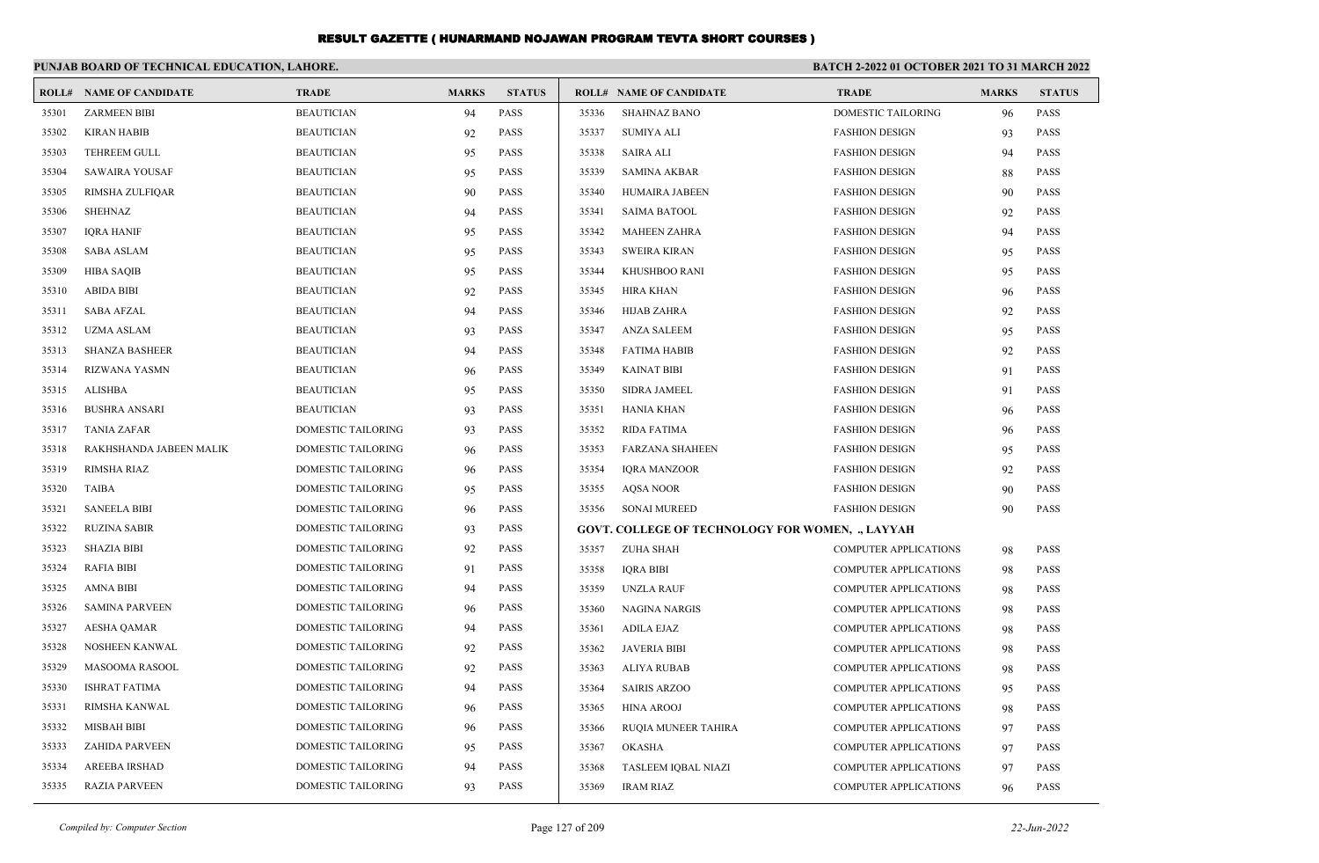|       | PUNJAB BOARD OF TECHNICAL EDUCATION, LAHORE. |                           |              |               | <b>BATCH 2-2022 01 OCTOBER 2021 TO 31 MARCH 2022</b> |                                                  |                              |              |               |
|-------|----------------------------------------------|---------------------------|--------------|---------------|------------------------------------------------------|--------------------------------------------------|------------------------------|--------------|---------------|
|       | <b>ROLL# NAME OF CANDIDATE</b>               | <b>TRADE</b>              | <b>MARKS</b> | <b>STATUS</b> |                                                      | <b>ROLL# NAME OF CANDIDATE</b>                   | <b>TRADE</b>                 | <b>MARKS</b> | <b>STATUS</b> |
| 35301 | <b>ZARMEEN BIBI</b>                          | <b>BEAUTICIAN</b>         | 94           | <b>PASS</b>   | 35336                                                | <b>SHAHNAZ BANO</b>                              | <b>DOMESTIC TAILORING</b>    | 96           | <b>PASS</b>   |
| 35302 | <b>KIRAN HABIB</b>                           | <b>BEAUTICIAN</b>         | 92           | <b>PASS</b>   | 35337                                                | <b>SUMIYA ALI</b>                                | <b>FASHION DESIGN</b>        | 93           | <b>PASS</b>   |
| 35303 | <b>TEHREEM GULL</b>                          | <b>BEAUTICIAN</b>         | 95           | <b>PASS</b>   | 35338                                                | <b>SAIRA ALI</b>                                 | <b>FASHION DESIGN</b>        | 94           | <b>PASS</b>   |
| 35304 | SAWAIRA YOUSAF                               | <b>BEAUTICIAN</b>         | 95           | PASS          | 35339                                                | <b>SAMINA AKBAR</b>                              | <b>FASHION DESIGN</b>        | 88           | <b>PASS</b>   |
| 35305 | RIMSHA ZULFIQAR                              | <b>BEAUTICIAN</b>         | 90           | <b>PASS</b>   | 35340                                                | HUMAIRA JABEEN                                   | <b>FASHION DESIGN</b>        | 90           | <b>PASS</b>   |
| 35306 | <b>SHEHNAZ</b>                               | <b>BEAUTICIAN</b>         | 94           | <b>PASS</b>   | 35341                                                | <b>SAIMA BATOOL</b>                              | <b>FASHION DESIGN</b>        | 92           | <b>PASS</b>   |
| 35307 | <b>IQRA HANIF</b>                            | <b>BEAUTICIAN</b>         | 95           | <b>PASS</b>   | 35342                                                | <b>MAHEEN ZAHRA</b>                              | <b>FASHION DESIGN</b>        | 94           | <b>PASS</b>   |
| 35308 | <b>SABA ASLAM</b>                            | <b>BEAUTICIAN</b>         | 95           | PASS          | 35343                                                | <b>SWEIRA KIRAN</b>                              | <b>FASHION DESIGN</b>        | 95           | <b>PASS</b>   |
| 35309 | <b>HIBA SAQIB</b>                            | <b>BEAUTICIAN</b>         | 95           | PASS          | 35344                                                | KHUSHBOO RANI                                    | <b>FASHION DESIGN</b>        | 95           | <b>PASS</b>   |
| 35310 | <b>ABIDA BIBI</b>                            | <b>BEAUTICIAN</b>         | 92           | PASS          | 35345                                                | <b>HIRA KHAN</b>                                 | <b>FASHION DESIGN</b>        | 96           | <b>PASS</b>   |
| 35311 | <b>SABA AFZAL</b>                            | <b>BEAUTICIAN</b>         | 94           | PASS          | 35346                                                | <b>HIJAB ZAHRA</b>                               | <b>FASHION DESIGN</b>        | 92           | <b>PASS</b>   |
| 35312 | <b>UZMA ASLAM</b>                            | <b>BEAUTICIAN</b>         | 93           | <b>PASS</b>   | 35347                                                | <b>ANZA SALEEM</b>                               | <b>FASHION DESIGN</b>        | 95           | <b>PASS</b>   |
| 35313 | <b>SHANZA BASHEER</b>                        | <b>BEAUTICIAN</b>         | 94           | <b>PASS</b>   | 35348                                                | <b>FATIMA HABIB</b>                              | <b>FASHION DESIGN</b>        | 92           | <b>PASS</b>   |
| 35314 | <b>RIZWANA YASMN</b>                         | <b>BEAUTICIAN</b>         | 96           | PASS          | 35349                                                | <b>KAINAT BIBI</b>                               | <b>FASHION DESIGN</b>        | 91           | <b>PASS</b>   |
| 35315 | <b>ALISHBA</b>                               | <b>BEAUTICIAN</b>         | 95           | <b>PASS</b>   | 35350                                                | <b>SIDRA JAMEEL</b>                              | <b>FASHION DESIGN</b>        | 91           | PASS          |
| 35316 | <b>BUSHRA ANSARI</b>                         | <b>BEAUTICIAN</b>         | 93           | <b>PASS</b>   | 35351                                                | <b>HANIA KHAN</b>                                | <b>FASHION DESIGN</b>        | 96           | <b>PASS</b>   |
| 35317 | <b>TANIA ZAFAR</b>                           | <b>DOMESTIC TAILORING</b> | 93           | <b>PASS</b>   | 35352                                                | <b>RIDA FATIMA</b>                               | <b>FASHION DESIGN</b>        | 96           | <b>PASS</b>   |
| 35318 | RAKHSHANDA JABEEN MALIK                      | DOMESTIC TAILORING        | 96           | PASS          | 35353                                                | <b>FARZANA SHAHEEN</b>                           | <b>FASHION DESIGN</b>        | 95           | <b>PASS</b>   |
| 35319 | <b>RIMSHA RIAZ</b>                           | <b>DOMESTIC TAILORING</b> | 96           | PASS          | 35354                                                | <b>IQRA MANZOOR</b>                              | <b>FASHION DESIGN</b>        | 92           | PASS          |
| 35320 | <b>TAIBA</b>                                 | <b>DOMESTIC TAILORING</b> | 95           | <b>PASS</b>   | 35355                                                | <b>AQSA NOOR</b>                                 | <b>FASHION DESIGN</b>        | 90           | <b>PASS</b>   |
| 35321 | <b>SANEELA BIBI</b>                          | <b>DOMESTIC TAILORING</b> | 96           | <b>PASS</b>   | 35356                                                | <b>SONAI MUREED</b>                              | <b>FASHION DESIGN</b>        | 90           | <b>PASS</b>   |
| 35322 | <b>RUZINA SABIR</b>                          | DOMESTIC TAILORING        | 93           | PASS          |                                                      | GOVT. COLLEGE OF TECHNOLOGY FOR WOMEN, ., LAYYAH |                              |              |               |
| 35323 | <b>SHAZIA BIBI</b>                           | DOMESTIC TAILORING        | 92           | PASS          | 35357                                                | <b>ZUHA SHAH</b>                                 | <b>COMPUTER APPLICATIONS</b> | -98          | PASS          |
| 35324 | <b>RAFIA BIBI</b>                            | DOMESTIC TAILORING        | 91           | PASS          | 35358                                                | <b>IORA BIBI</b>                                 | <b>COMPUTER APPLICATIONS</b> | 98           | <b>PASS</b>   |
| 35325 | <b>AMNA BIBI</b>                             | <b>DOMESTIC TAILORING</b> | 94           | <b>PASS</b>   | 35359                                                | <b>UNZLA RAUF</b>                                | <b>COMPUTER APPLICATIONS</b> | 98           | PASS          |
| 35326 | <b>SAMINA PARVEEN</b>                        | DOMESTIC TAILORING        | 96           | PASS          | 35360                                                | <b>NAGINA NARGIS</b>                             | <b>COMPUTER APPLICATIONS</b> | 98           | <b>PASS</b>   |
| 35327 | <b>AESHA QAMAR</b>                           | DOMESTIC TAILORING        | 94           | PASS          | 35361                                                | <b>ADILA EJAZ</b>                                | <b>COMPUTER APPLICATIONS</b> | 98           | <b>PASS</b>   |
| 35328 | NOSHEEN KANWAL                               | <b>DOMESTIC TAILORING</b> | 92           | <b>PASS</b>   | 35362                                                | <b>JAVERIA BIBI</b>                              | COMPUTER APPLICATIONS        | 98           | <b>PASS</b>   |
| 35329 | MASOOMA RASOOL                               | DOMESTIC TAILORING        | 92           | PASS          | 35363                                                | <b>ALIYA RUBAB</b>                               | <b>COMPUTER APPLICATIONS</b> | 98           | <b>PASS</b>   |
| 35330 | <b>ISHRAT FATIMA</b>                         | DOMESTIC TAILORING        | 94           | PASS          | 35364                                                | <b>SAIRIS ARZOO</b>                              | <b>COMPUTER APPLICATIONS</b> | 95           | <b>PASS</b>   |
| 35331 | RIMSHA KANWAL                                | <b>DOMESTIC TAILORING</b> | 96           | <b>PASS</b>   | 35365                                                | <b>HINA AROOJ</b>                                | <b>COMPUTER APPLICATIONS</b> | 98           | <b>PASS</b>   |
| 35332 | <b>MISBAH BIBI</b>                           | <b>DOMESTIC TAILORING</b> | 96           | <b>PASS</b>   | 35366                                                | RUQIA MUNEER TAHIRA                              | <b>COMPUTER APPLICATIONS</b> | 97           | <b>PASS</b>   |
| 35333 | <b>ZAHIDA PARVEEN</b>                        | DOMESTIC TAILORING        | 95           | <b>PASS</b>   | 35367                                                | <b>OKASHA</b>                                    | <b>COMPUTER APPLICATIONS</b> | 97           | <b>PASS</b>   |
| 35334 | AREEBA IRSHAD                                | <b>DOMESTIC TAILORING</b> | 94           | <b>PASS</b>   | 35368                                                | <b>TASLEEM IQBAL NIAZI</b>                       | <b>COMPUTER APPLICATIONS</b> | 97           | <b>PASS</b>   |
| 35335 | <b>RAZIA PARVEEN</b>                         | <b>DOMESTIC TAILORING</b> | 93           | <b>PASS</b>   | 35369                                                | <b>IRAM RIAZ</b>                                 | <b>COMPUTER APPLICATIONS</b> | 96           | <b>PASS</b>   |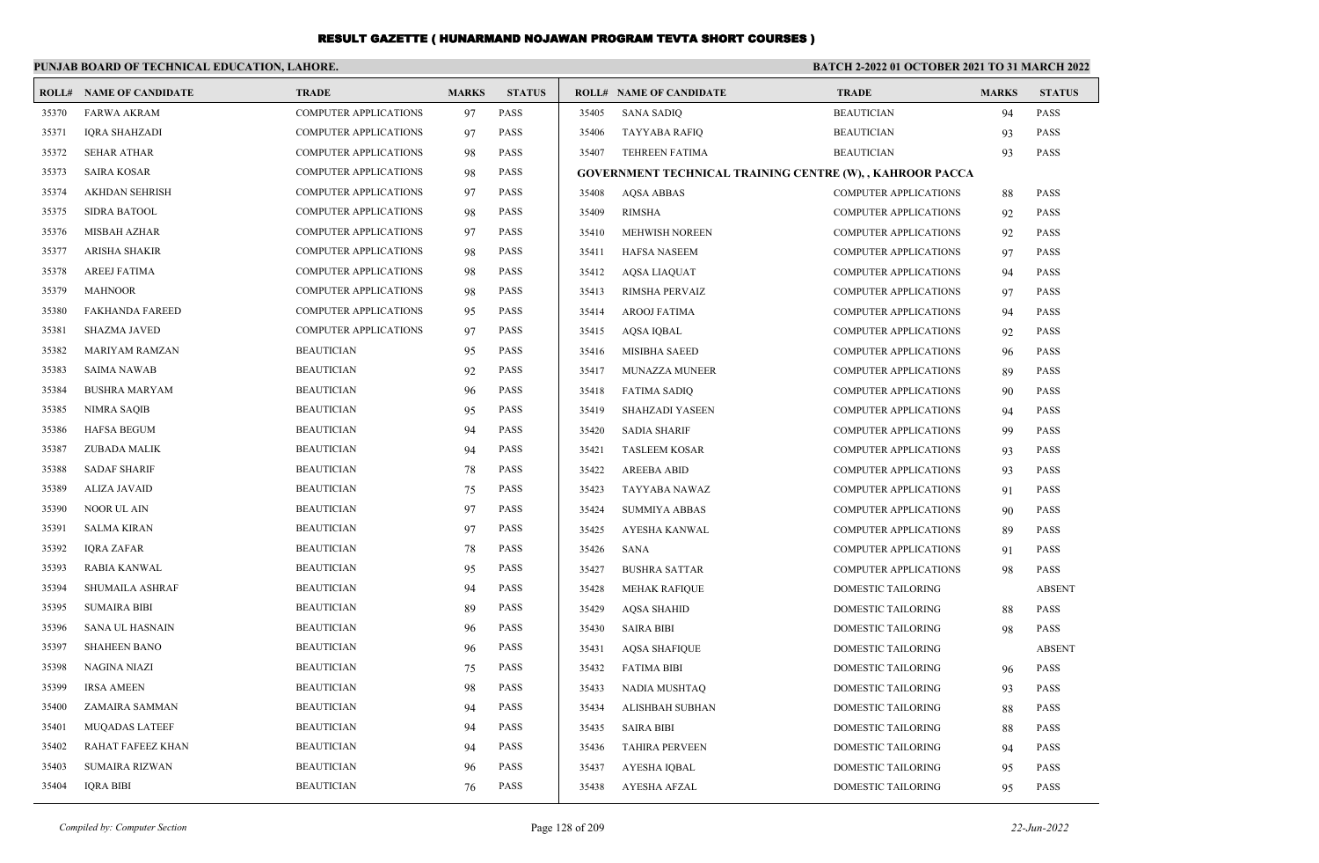#### **PUNJAB BOARD OF TECHNICAL EDUCATION, LAHORE. BATCH 2-2022 01 OCTOBER 2021 TO 31 MARCH 2022 ROLL# NAME OF CANDIDATE TRADE MARKS STATUS ROLL# NAME OF CANDIDATE TRADE MARKS STATUS** 35370 FARWA AKRAM COMPUTER APPLICATIONS 97 PASS 35371 IQRA SHAHZADI COMPUTER APPLICATIONS 97 PASS 35372 SEHAR ATHAR COMPUTER APPLICATIONS 98 PASS 35373 SAIRA KOSAR COMPUTER APPLICATIONS 98 PASS 35374 AKHDAN SEHRISH COMPUTER APPLICATIONS 97 PASS 35375 SIDRA BATOOL COMPUTER APPLICATIONS 98 PASS 35376 MISBAH AZHAR COMPUTER APPLICATIONS 97 PASS 35377 ARISHA SHAKIR COMPUTER APPLICATIONS 98 PASS 35378 AREEJ FATIMA COMPUTER APPLICATIONS 98 PASS 35379 MAHNOOR COMPUTER APPLICATIONS 98 PASS 35380 FAKHANDA FAREED COMPUTER APPLICATIONS 95 PASS 35381 SHAZMA JAVED COMPUTER APPLICATIONS 97 PASS 35382 MARIYAM RAMZAN BEAUTICIAN 95 PASS 35383 SAIMA NAWAB BEAUTICIAN 92 PASS 35384 BUSHRA MARYAM BEAUTICIAN 96 PASS 35385 NIMRA SAQIB BEAUTICIAN 95 PASS 35386 HAFSA BEGUM BEAUTICIAN 94 PASS 35387 ZUBADA MALIK BEAUTICIAN 94 PASS 35388 SADAF SHARIF BEAUTICIAN 78 PASS 35389 ALIZA JAVAID BEAUTICIAN 75 PASS 35390 NOOR UL AIN BEAUTICIAN 97 PASS 35391 SALMA KIRAN BEAUTICIAN 97 PASS 35392 IQRA ZAFAR BEAUTICIAN 78 PASS 35393 RABIA KANWAL BEAUTICIAN 95 PASS 35394 SHUMAILA ASHRAF BEAUTICIAN 94 PASS 35395 SUMAIRA BIBI BEAUTICIAN 89 PASS 35396 SANA UL HASNAIN BEAUTICIAN 96 PASS 35397 SHAHEEN BANO BEAUTICIAN 96 PASS 35398 NAGINA NIAZI BEAUTICIAN 75 PASS 35399 IRSA AMEEN BEAUTICIAN 98 PASS 35400 ZAMAIRA SAMMAN BEAUTICIAN 94 PASS 35401 MUQADAS LATEEF BEAUTICIAN 94 PASS 35402 RAHAT FAFEEZ KHAN BEAUTICIAN 94 PASS 35403 SUMAIRA RIZWAN BEAUTICIAN 96 PASS 35404 IQRA BIBI BEAUTICIAN 76 PASS 35405 SANA SADIQ BEAUTICIAN 94 PASS 35406 TAYYABA RAFIQ BEAUTICIAN 93 PASS 35407 TEHREEN FATIMA BEAUTICIAN 93 PASS **GOVERNMENT TECHNICAL TRAINING CENTRE (W), , KAHROOR PACCA** 35408 AQSA ABBAS COMPUTER APPLICATIONS 88 PASS 35409 RIMSHA COMPUTER APPLICATIONS 92 PASS 35410 MEHWISH NOREEN COMPUTER APPLICATIONS 92 PASS 35411 HAFSA NASEEM COMPUTER APPLICATIONS 97 PASS 35412 AQSA LIAQUAT COMPUTER APPLICATIONS 94 PASS 35413 RIMSHA PERVAIZ COMPUTER APPLICATIONS 97 PASS 35414 AROOJ FATIMA COMPUTER APPLICATIONS 94 PASS 35415 AQSA IQBAL COMPUTER APPLICATIONS 92 PASS 35416 MISIBHA SAEED COMPUTER APPLICATIONS 96 PASS 35417 MUNAZZA MUNEER COMPUTER APPLICATIONS 89 PASS 35418 FATIMA SADIQ COMPUTER APPLICATIONS 90 PASS 35419 SHAHZADI YASEEN COMPUTER APPLICATIONS 94 PASS 35420 SADIA SHARIF COMPUTER APPLICATIONS 99 PASS 35421 TASLEEM KOSAR COMPUTER APPLICATIONS 93 PASS 35422 AREEBA ABID COMPUTER APPLICATIONS 93 PASS 35423 TAYYABA NAWAZ COMPUTER APPLICATIONS 91 PASS 35424 SUMMIYA ABBAS COMPUTER APPLICATIONS 90 PASS 35425 AYESHA KANWAL COMPUTER APPLICATIONS 89 PASS 35426 SANA COMPUTER APPLICATIONS 91 PASS 35427 BUSHRA SATTAR COMPUTER APPLICATIONS 98 PASS 35428 MEHAK RAFIQUE DOMESTIC TAILORING ABSENT 35429 AQSA SHAHID DOMESTIC TAILORING 88 PASS 35430 SAIRA BIBI DOMESTIC TAILORING 98 PASS 35431 AQSA SHAFIQUE DOMESTIC TAILORING ABSENT 35432 FATIMA BIBI DOMESTIC TAILORING 96 PASS 35433 NADIA MUSHTAQ DOMESTIC TAILORING 93 PASS 35434 ALISHBAH SUBHAN DOMESTIC TAILORING 88 PASS 35435 SAIRA BIBI DOMESTIC TAILORING 88 PASS 35436 TAHIRA PERVEEN DOMESTIC TAILORING 94 PASS 35437 AYESHA IQBAL DOMESTIC TAILORING 95 PASS 35438 AYESHA AFZAL DOMESTIC TAILORING 95 PASS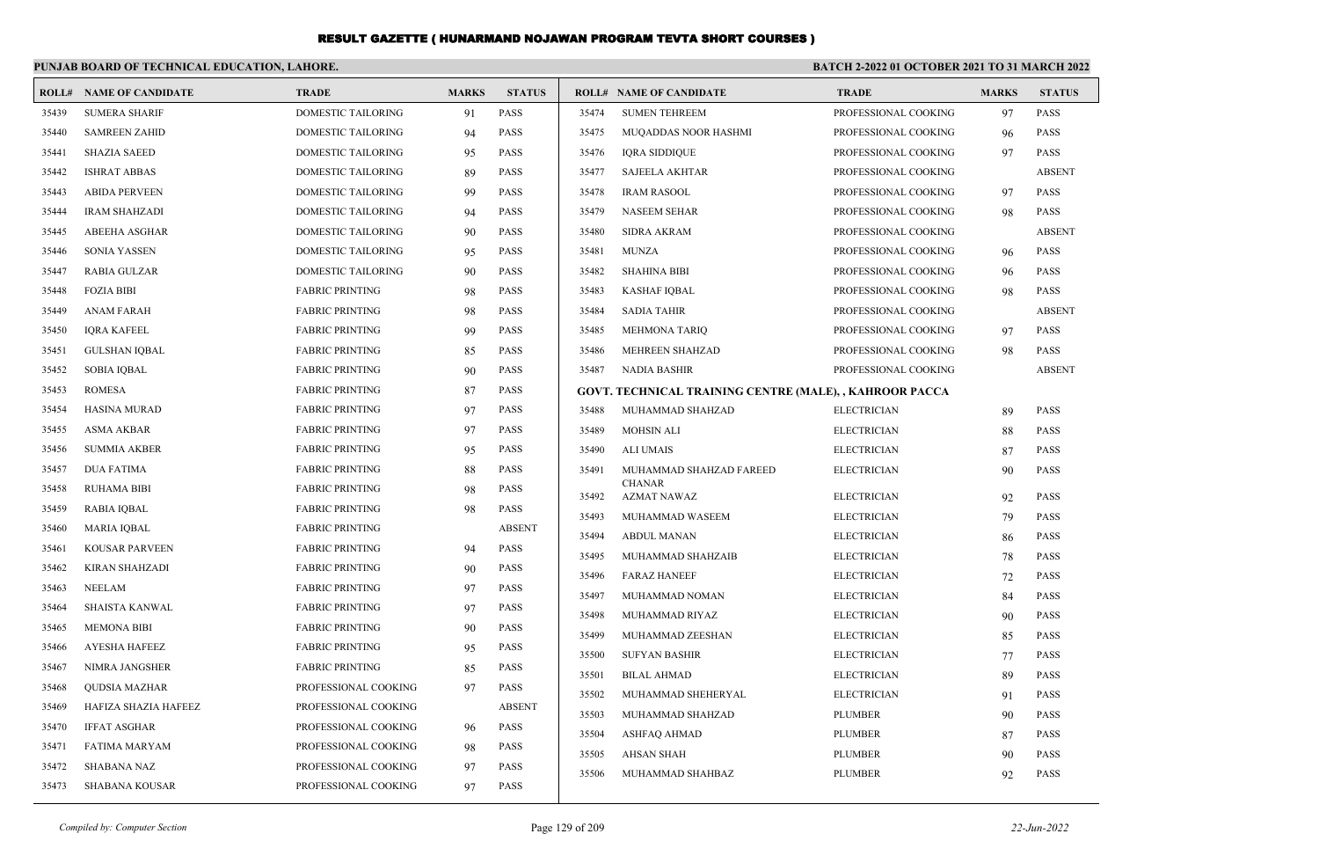|       | PUNJAB BOARD OF TECHNICAL EDUCATION, LAHORE. |                           |              |               | <b>BATCH 2-2022 01 OCTOBER 2021 TO 31 MARCH 2022</b> |                                                         |                      |              |               |
|-------|----------------------------------------------|---------------------------|--------------|---------------|------------------------------------------------------|---------------------------------------------------------|----------------------|--------------|---------------|
|       | <b>ROLL# NAME OF CANDIDATE</b>               | <b>TRADE</b>              | <b>MARKS</b> | <b>STATUS</b> |                                                      | <b>ROLL# NAME OF CANDIDATE</b>                          | <b>TRADE</b>         | <b>MARKS</b> | <b>STATUS</b> |
| 35439 | <b>SUMERA SHARIF</b>                         | <b>DOMESTIC TAILORING</b> | 91           | <b>PASS</b>   | 35474                                                | <b>SUMEN TEHREEM</b>                                    | PROFESSIONAL COOKING | 97           | <b>PASS</b>   |
| 35440 | <b>SAMREEN ZAHID</b>                         | DOMESTIC TAILORING        | 94           | <b>PASS</b>   | 35475                                                | MUQADDAS NOOR HASHMI                                    | PROFESSIONAL COOKING | 96           | <b>PASS</b>   |
| 35441 | <b>SHAZIA SAEED</b>                          | DOMESTIC TAILORING        | 95           | <b>PASS</b>   | 35476                                                | <b>IQRA SIDDIQUE</b>                                    | PROFESSIONAL COOKING | 97           | <b>PASS</b>   |
| 35442 | <b>ISHRAT ABBAS</b>                          | <b>DOMESTIC TAILORING</b> | 89           | <b>PASS</b>   | 35477                                                | <b>SAJEELA AKHTAR</b>                                   | PROFESSIONAL COOKING |              | <b>ABSENT</b> |
| 35443 | <b>ABIDA PERVEEN</b>                         | DOMESTIC TAILORING        | 99           | <b>PASS</b>   | 35478                                                | <b>IRAM RASOOL</b>                                      | PROFESSIONAL COOKING | 97           | <b>PASS</b>   |
| 35444 | <b>IRAM SHAHZADI</b>                         | DOMESTIC TAILORING        | 94           | <b>PASS</b>   | 35479                                                | <b>NASEEM SEHAR</b>                                     | PROFESSIONAL COOKING | 98           | <b>PASS</b>   |
| 35445 | <b>ABEEHA ASGHAR</b>                         | <b>DOMESTIC TAILORING</b> | 90           | <b>PASS</b>   | 35480                                                | <b>SIDRA AKRAM</b>                                      | PROFESSIONAL COOKING |              | <b>ABSENT</b> |
| 35446 | <b>SONIA YASSEN</b>                          | DOMESTIC TAILORING        | 95           | PASS          | 35481                                                | <b>MUNZA</b>                                            | PROFESSIONAL COOKING | 96           | <b>PASS</b>   |
| 35447 | <b>RABIA GULZAR</b>                          | DOMESTIC TAILORING        | 90           | <b>PASS</b>   | 35482                                                | <b>SHAHINA BIBI</b>                                     | PROFESSIONAL COOKING | 96           | PASS          |
| 35448 | <b>FOZIA BIBI</b>                            | <b>FABRIC PRINTING</b>    | 98           | <b>PASS</b>   | 35483                                                | <b>KASHAF IQBAL</b>                                     | PROFESSIONAL COOKING | 98           | <b>PASS</b>   |
| 35449 | <b>ANAM FARAH</b>                            | <b>FABRIC PRINTING</b>    | 98           | <b>PASS</b>   | 35484                                                | <b>SADIA TAHIR</b>                                      | PROFESSIONAL COOKING |              | <b>ABSENT</b> |
| 35450 | <b>IQRA KAFEEL</b>                           | <b>FABRIC PRINTING</b>    | 99           | <b>PASS</b>   | 35485                                                | <b>MEHMONA TARIQ</b>                                    | PROFESSIONAL COOKING | 97           | <b>PASS</b>   |
| 35451 | <b>GULSHAN IQBAL</b>                         | <b>FABRIC PRINTING</b>    | 85           | PASS          | 35486                                                | MEHREEN SHAHZAD                                         | PROFESSIONAL COOKING | 98           | PASS          |
| 35452 | <b>SOBIA IQBAL</b>                           | <b>FABRIC PRINTING</b>    | 90           | <b>PASS</b>   | 35487                                                | <b>NADIA BASHIR</b>                                     | PROFESSIONAL COOKING |              | <b>ABSENT</b> |
| 35453 | <b>ROMESA</b>                                | <b>FABRIC PRINTING</b>    | 87           | <b>PASS</b>   |                                                      | GOVT. TECHNICAL TRAINING CENTRE (MALE), , KAHROOR PACCA |                      |              |               |
| 35454 | <b>HASINA MURAD</b>                          | <b>FABRIC PRINTING</b>    | 97           | <b>PASS</b>   | 35488                                                | MUHAMMAD SHAHZAD                                        | <b>ELECTRICIAN</b>   | 89           | PASS          |
| 35455 | <b>ASMA AKBAR</b>                            | <b>FABRIC PRINTING</b>    | 97           | <b>PASS</b>   | 35489                                                | <b>MOHSIN ALI</b>                                       | <b>ELECTRICIAN</b>   | 88           | <b>PASS</b>   |
| 35456 | <b>SUMMIA AKBER</b>                          | <b>FABRIC PRINTING</b>    | 95           | <b>PASS</b>   | 35490                                                | <b>ALI UMAIS</b>                                        | <b>ELECTRICIAN</b>   | 87           | <b>PASS</b>   |
| 35457 | <b>DUA FATIMA</b>                            | <b>FABRIC PRINTING</b>    | 88           | <b>PASS</b>   | 35491                                                | MUHAMMAD SHAHZAD FAREED                                 | <b>ELECTRICIAN</b>   | 90           | <b>PASS</b>   |
| 35458 | <b>RUHAMA BIBI</b>                           | <b>FABRIC PRINTING</b>    | 98           | <b>PASS</b>   | 35492                                                | <b>CHANAR</b><br><b>AZMAT NAWAZ</b>                     | <b>ELECTRICIAN</b>   | 92           | PASS          |
| 35459 | RABIA IQBAL                                  | <b>FABRIC PRINTING</b>    | 98           | <b>PASS</b>   | 35493                                                | MUHAMMAD WASEEM                                         | <b>ELECTRICIAN</b>   | 79           | <b>PASS</b>   |
| 35460 | <b>MARIA IOBAL</b>                           | <b>FABRIC PRINTING</b>    |              | <b>ABSENT</b> | 35494                                                | <b>ABDUL MANAN</b>                                      | <b>ELECTRICIAN</b>   | 86           | <b>PASS</b>   |
| 35461 | <b>KOUSAR PARVEEN</b>                        | <b>FABRIC PRINTING</b>    | 94           | PASS          | 35495                                                | MUHAMMAD SHAHZAIB                                       | <b>ELECTRICIAN</b>   | 78           | <b>PASS</b>   |
| 35462 | <b>KIRAN SHAHZADI</b>                        | <b>FABRIC PRINTING</b>    | 90           | <b>PASS</b>   | 35496                                                | <b>FARAZ HANEEF</b>                                     | <b>ELECTRICIAN</b>   | 72           | PASS          |
| 35463 | <b>NEELAM</b>                                | <b>FABRIC PRINTING</b>    | 97           | <b>PASS</b>   | 35497                                                | MUHAMMAD NOMAN                                          | <b>ELECTRICIAN</b>   | 84           | <b>PASS</b>   |
| 35464 | SHAISTA KANWAL                               | <b>FABRIC PRINTING</b>    | 97           | PASS          | 35498                                                | MUHAMMAD RIYAZ                                          | <b>ELECTRICIAN</b>   | 90           | PASS          |
| 35465 | <b>MEMONA BIBI</b>                           | <b>FABRIC PRINTING</b>    | 90           | <b>PASS</b>   | 35499                                                | MUHAMMAD ZEESHAN                                        | <b>ELECTRICIAN</b>   | 85           | PASS          |
| 35466 | <b>AYESHA HAFEEZ</b>                         | <b>FABRIC PRINTING</b>    | 95           | <b>PASS</b>   | 35500                                                | <b>SUFYAN BASHIR</b>                                    | <b>ELECTRICIAN</b>   | 77           | <b>PASS</b>   |
| 35467 | NIMRA JANGSHER                               | <b>FABRIC PRINTING</b>    | 85           | <b>PASS</b>   | 35501                                                | <b>BILAL AHMAD</b>                                      | <b>ELECTRICIAN</b>   | 89           | PASS          |
| 35468 | <b>QUDSIA MAZHAR</b>                         | PROFESSIONAL COOKING      | 97           | <b>PASS</b>   | 35502                                                | MUHAMMAD SHEHERYAL                                      | <b>ELECTRICIAN</b>   | 91           | PASS          |
| 35469 | HAFIZA SHAZIA HAFEEZ                         | PROFESSIONAL COOKING      |              | <b>ABSENT</b> | 35503                                                | MUHAMMAD SHAHZAD                                        | <b>PLUMBER</b>       | 90           | <b>PASS</b>   |
| 35470 | <b>IFFAT ASGHAR</b>                          | PROFESSIONAL COOKING      | 96           | <b>PASS</b>   | 35504                                                | ASHFAQ AHMAD                                            | <b>PLUMBER</b>       | 87           | PASS          |
| 35471 | <b>FATIMA MARYAM</b>                         | PROFESSIONAL COOKING      | 98           | <b>PASS</b>   | 35505                                                | <b>AHSAN SHAH</b>                                       | PLUMBER              | 90           | PASS          |
| 35472 | <b>SHABANA NAZ</b>                           | PROFESSIONAL COOKING      | 97           | <b>PASS</b>   | 35506                                                | MUHAMMAD SHAHBAZ                                        | <b>PLUMBER</b>       | 92           | <b>PASS</b>   |
| 35473 | <b>SHABANA KOUSAR</b>                        | PROFESSIONAL COOKING      | 97           | <b>PASS</b>   |                                                      |                                                         |                      |              |               |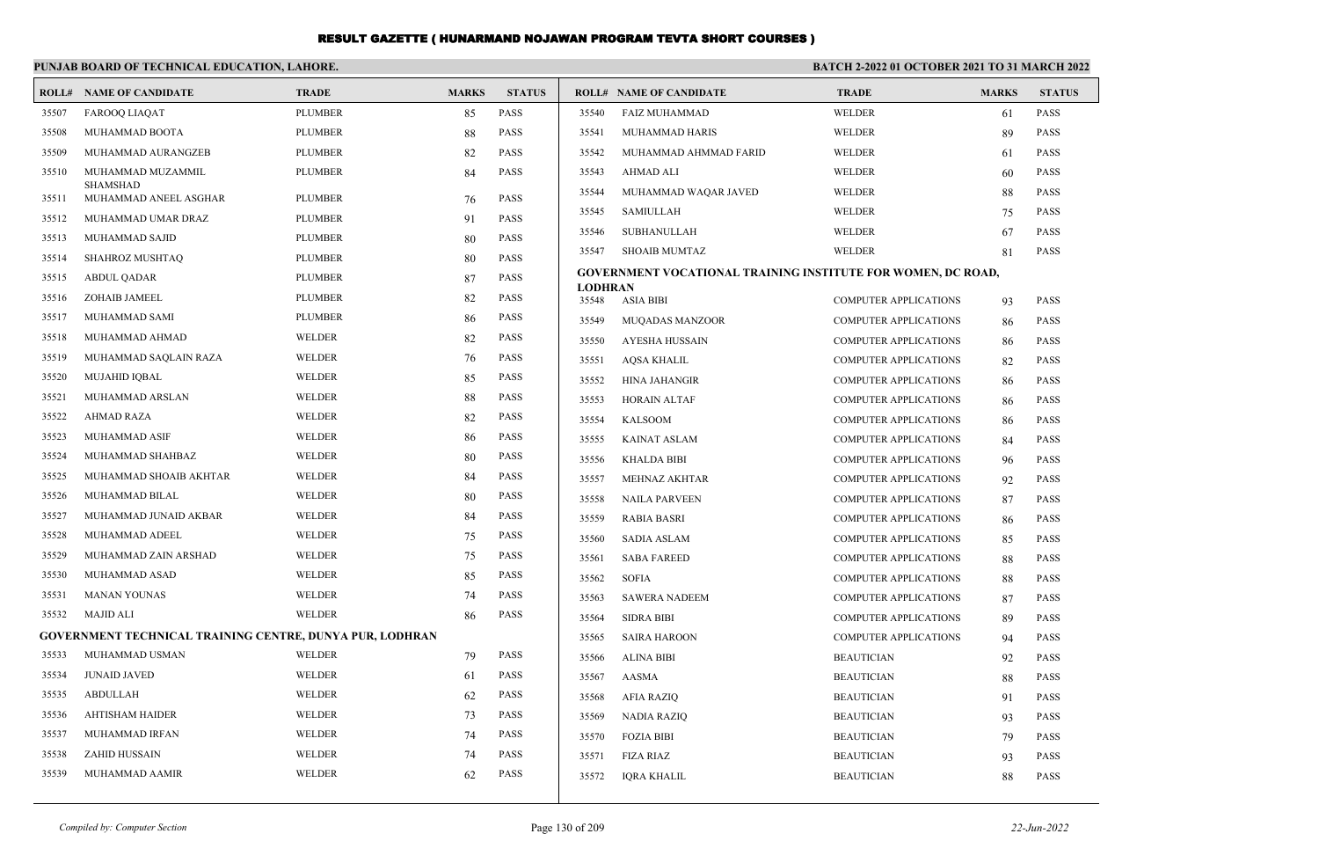|       | PUNJAB BOARD OF TECHNICAL EDUCATION, LAHORE.                    |                |              |               | <b>BATCH 2-2022 01 OCTOBER 2021 TO 31 MARCH 2022</b> |                                                                     |                              |              |               |
|-------|-----------------------------------------------------------------|----------------|--------------|---------------|------------------------------------------------------|---------------------------------------------------------------------|------------------------------|--------------|---------------|
|       | <b>ROLL# NAME OF CANDIDATE</b>                                  | <b>TRADE</b>   | <b>MARKS</b> | <b>STATUS</b> |                                                      | <b>ROLL# NAME OF CANDIDATE</b>                                      | <b>TRADE</b>                 | <b>MARKS</b> | <b>STATUS</b> |
| 35507 | FAROOQ LIAQAT                                                   | <b>PLUMBER</b> | 85           | <b>PASS</b>   | 35540                                                | <b>FAIZ MUHAMMAD</b>                                                | <b>WELDER</b>                | 61           | <b>PASS</b>   |
| 35508 | MUHAMMAD BOOTA                                                  | <b>PLUMBER</b> | 88           | <b>PASS</b>   | 35541                                                | MUHAMMAD HARIS                                                      | <b>WELDER</b>                | 89           | <b>PASS</b>   |
| 35509 | MUHAMMAD AURANGZEB                                              | <b>PLUMBER</b> | 82           | <b>PASS</b>   | 35542                                                | MUHAMMAD AHMMAD FARID                                               | <b>WELDER</b>                | 61           | <b>PASS</b>   |
| 35510 | MUHAMMAD MUZAMMIL                                               | <b>PLUMBER</b> | 84           | <b>PASS</b>   | 35543                                                | AHMAD ALI                                                           | <b>WELDER</b>                | 60           | <b>PASS</b>   |
| 35511 | <b>SHAMSHAD</b><br>MUHAMMAD ANEEL ASGHAR                        | <b>PLUMBER</b> | 76           | <b>PASS</b>   | 35544                                                | MUHAMMAD WAQAR JAVED                                                | <b>WELDER</b>                | 88           | <b>PASS</b>   |
| 35512 | MUHAMMAD UMAR DRAZ                                              | <b>PLUMBER</b> | 91           | <b>PASS</b>   | 35545                                                | SAMIULLAH                                                           | WELDER                       | 75           | <b>PASS</b>   |
| 35513 | MUHAMMAD SAJID                                                  | <b>PLUMBER</b> | 80           | <b>PASS</b>   | 35546                                                | SUBHANULLAH                                                         | <b>WELDER</b>                | 67           | <b>PASS</b>   |
| 35514 | SHAHROZ MUSHTAQ                                                 | <b>PLUMBER</b> | 80           | PASS          | 35547                                                | <b>SHOAIB MUMTAZ</b>                                                | <b>WELDER</b>                | 81           | <b>PASS</b>   |
| 35515 | <b>ABDUL QADAR</b>                                              | <b>PLUMBER</b> | 87           | PASS          |                                                      | <b>GOVERNMENT VOCATIONAL TRAINING INSTITUTE FOR WOMEN, DC ROAD,</b> |                              |              |               |
| 35516 | ZOHAIB JAMEEL                                                   | <b>PLUMBER</b> | 82           | <b>PASS</b>   | <b>LODHRAN</b><br>35548                              | ASIA BIBI                                                           | <b>COMPUTER APPLICATIONS</b> | 93           | <b>PASS</b>   |
| 35517 | MUHAMMAD SAMI                                                   | <b>PLUMBER</b> | 86           | <b>PASS</b>   | 35549                                                | <b>MUQADAS MANZOOR</b>                                              | <b>COMPUTER APPLICATIONS</b> | 86           | <b>PASS</b>   |
| 35518 | MUHAMMAD AHMAD                                                  | <b>WELDER</b>  | 82           | <b>PASS</b>   | 35550                                                | AYESHA HUSSAIN                                                      | <b>COMPUTER APPLICATIONS</b> | 86           | <b>PASS</b>   |
| 35519 | MUHAMMAD SAQLAIN RAZA                                           | <b>WELDER</b>  | 76           | <b>PASS</b>   | 35551                                                | AQSA KHALIL                                                         | <b>COMPUTER APPLICATIONS</b> | 82           | <b>PASS</b>   |
| 35520 | MUJAHID IQBAL                                                   | WELDER         | 85           | <b>PASS</b>   | 35552                                                | <b>HINA JAHANGIR</b>                                                | <b>COMPUTER APPLICATIONS</b> | 86           | <b>PASS</b>   |
| 35521 | MUHAMMAD ARSLAN                                                 | WELDER         | 88           | <b>PASS</b>   | 35553                                                | <b>HORAIN ALTAF</b>                                                 | <b>COMPUTER APPLICATIONS</b> | 86           | <b>PASS</b>   |
| 35522 | <b>AHMAD RAZA</b>                                               | WELDER         | 82           | <b>PASS</b>   | 35554                                                | <b>KALSOOM</b>                                                      | <b>COMPUTER APPLICATIONS</b> | 86           | <b>PASS</b>   |
| 35523 | MUHAMMAD ASIF                                                   | WELDER         | 86           | <b>PASS</b>   | 35555                                                | <b>KAINAT ASLAM</b>                                                 | COMPUTER APPLICATIONS        | 84           | <b>PASS</b>   |
| 35524 | MUHAMMAD SHAHBAZ                                                | <b>WELDER</b>  | 80           | <b>PASS</b>   | 35556                                                | <b>KHALDA BIBI</b>                                                  | COMPUTER APPLICATIONS        | 96           | <b>PASS</b>   |
| 35525 | MUHAMMAD SHOAIB AKHTAR                                          | <b>WELDER</b>  | 84           | <b>PASS</b>   | 35557                                                | <b>MEHNAZ AKHTAR</b>                                                | <b>COMPUTER APPLICATIONS</b> | 92           | <b>PASS</b>   |
| 35526 | MUHAMMAD BILAL                                                  | <b>WELDER</b>  | 80           | <b>PASS</b>   | 35558                                                | <b>NAILA PARVEEN</b>                                                | <b>COMPUTER APPLICATIONS</b> | 87           | <b>PASS</b>   |
| 35527 | MUHAMMAD JUNAID AKBAR                                           | WELDER         | 84           | <b>PASS</b>   | 35559                                                | <b>RABIA BASRI</b>                                                  | <b>COMPUTER APPLICATIONS</b> | 86           | <b>PASS</b>   |
| 35528 | MUHAMMAD ADEEL                                                  | WELDER         | 75           | <b>PASS</b>   | 35560                                                | <b>SADIA ASLAM</b>                                                  | <b>COMPUTER APPLICATIONS</b> | 85           | <b>PASS</b>   |
| 35529 | MUHAMMAD ZAIN ARSHAD                                            | WELDER         | 75           | <b>PASS</b>   | 35561                                                | <b>SABA FAREED</b>                                                  | <b>COMPUTER APPLICATIONS</b> | 88           | <b>PASS</b>   |
| 35530 | MUHAMMAD ASAD                                                   | WELDER         | 85           | <b>PASS</b>   | 35562                                                | <b>SOFIA</b>                                                        | COMPUTER APPLICATIONS        | 88           | <b>PASS</b>   |
| 35531 | <b>MANAN YOUNAS</b>                                             | <b>WELDER</b>  | 74           | <b>PASS</b>   | 35563                                                | <b>SAWERA NADEEM</b>                                                | COMPUTER APPLICATIONS        | 87           | <b>PASS</b>   |
| 35532 | <b>MAJID ALI</b>                                                | <b>WELDER</b>  | 86           | <b>PASS</b>   | 35564                                                | <b>SIDRA BIBI</b>                                                   | <b>COMPUTER APPLICATIONS</b> | 89           | <b>PASS</b>   |
|       | <b>GOVERNMENT TECHNICAL TRAINING CENTRE, DUNYA PUR, LODHRAN</b> |                |              |               | 35565                                                | <b>SAIRA HAROON</b>                                                 | <b>COMPUTER APPLICATIONS</b> | 94           | <b>PASS</b>   |
| 35533 | MUHAMMAD USMAN                                                  | <b>WELDER</b>  | 79           | PASS          | 35566                                                | <b>ALINA BIBI</b>                                                   | <b>BEAUTICIAN</b>            | 92           | <b>PASS</b>   |
| 35534 | <b>JUNAID JAVED</b>                                             | <b>WELDER</b>  | 61           | <b>PASS</b>   | 35567                                                | AASMA                                                               | <b>BEAUTICIAN</b>            | 88           | <b>PASS</b>   |
| 35535 | <b>ABDULLAH</b>                                                 | <b>WELDER</b>  | 62           | <b>PASS</b>   | 35568                                                | AFIA RAZIQ                                                          | <b>BEAUTICIAN</b>            | 91           | PASS          |
| 35536 | <b>AHTISHAM HAIDER</b>                                          | <b>WELDER</b>  | 73           | <b>PASS</b>   | 35569                                                | NADIA RAZIQ                                                         | <b>BEAUTICIAN</b>            | 93           | <b>PASS</b>   |
| 35537 | MUHAMMAD IRFAN                                                  | <b>WELDER</b>  | 74           | <b>PASS</b>   | 35570                                                | <b>FOZIA BIBI</b>                                                   | <b>BEAUTICIAN</b>            | 79           | <b>PASS</b>   |
| 35538 | <b>ZAHID HUSSAIN</b>                                            | <b>WELDER</b>  | 74           | <b>PASS</b>   | 35571                                                | <b>FIZA RIAZ</b>                                                    | <b>BEAUTICIAN</b>            | 93           | <b>PASS</b>   |
| 35539 | MUHAMMAD AAMIR                                                  | <b>WELDER</b>  | 62           | <b>PASS</b>   | 35572                                                | <b>IORA KHALIL</b>                                                  | <b>BEAUTICIAN</b>            | 88           | <b>PASS</b>   |
|       |                                                                 |                |              |               |                                                      |                                                                     |                              |              |               |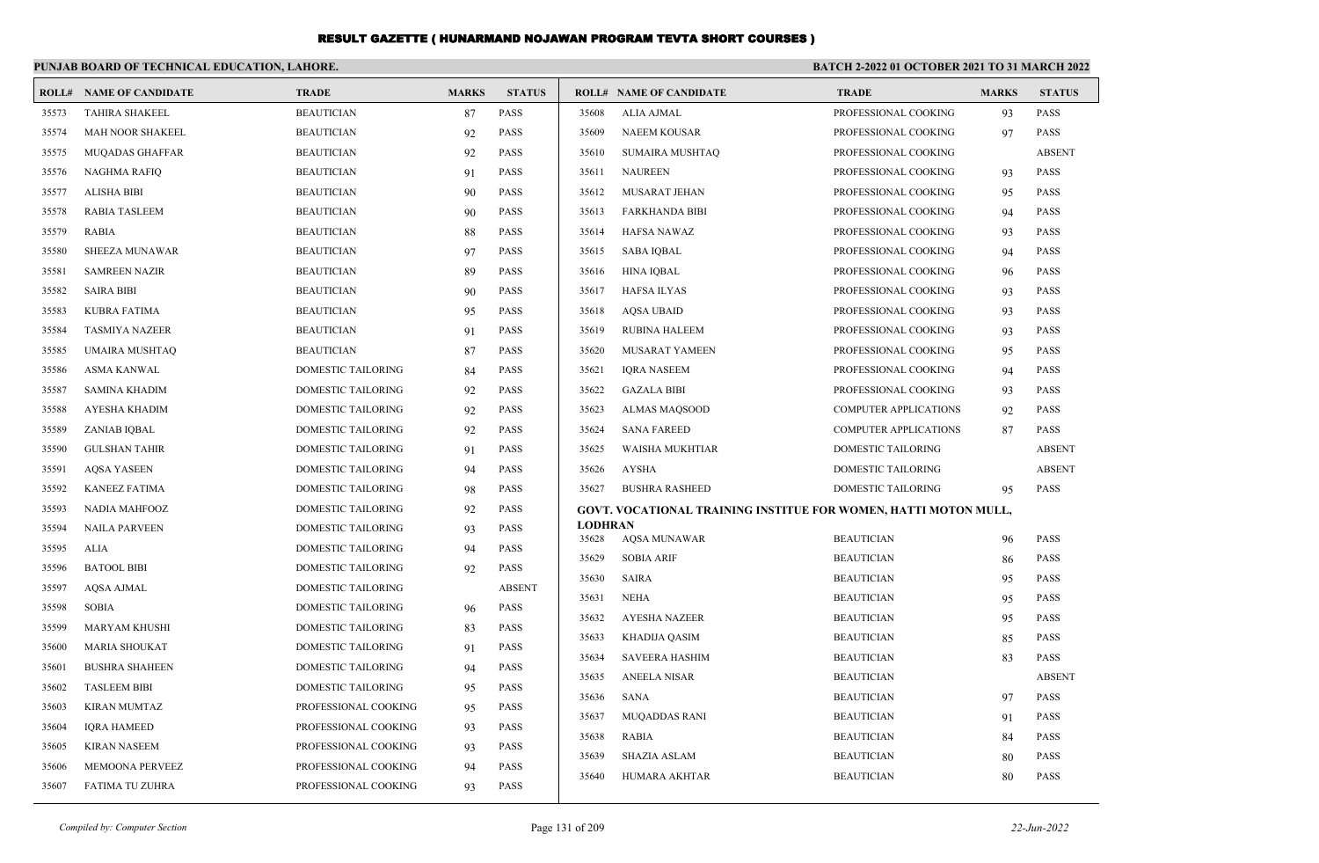|       | PUNJAB BOARD OF TECHNICAL EDUCATION, LAHORE. |                           |              |               | <b>BATCH 2-2022 01 OCTOBER 2021 TO 31 MARCH 2022</b> |                                                                 |                           |              |               |
|-------|----------------------------------------------|---------------------------|--------------|---------------|------------------------------------------------------|-----------------------------------------------------------------|---------------------------|--------------|---------------|
|       | <b>ROLL# NAME OF CANDIDATE</b>               | <b>TRADE</b>              | <b>MARKS</b> | <b>STATUS</b> |                                                      | <b>ROLL# NAME OF CANDIDATE</b>                                  | <b>TRADE</b>              | <b>MARKS</b> | <b>STATUS</b> |
| 35573 | <b>TAHIRA SHAKEEL</b>                        | <b>BEAUTICIAN</b>         | 87           | <b>PASS</b>   | 35608                                                | ALIA AJMAL                                                      | PROFESSIONAL COOKING      | 93           | <b>PASS</b>   |
| 35574 | MAH NOOR SHAKEEL                             | <b>BEAUTICIAN</b>         | 92           | <b>PASS</b>   | 35609                                                | <b>NAEEM KOUSAR</b>                                             | PROFESSIONAL COOKING      | 97           | <b>PASS</b>   |
| 35575 | <b>MUQADAS GHAFFAR</b>                       | <b>BEAUTICIAN</b>         | 92           | <b>PASS</b>   | 35610                                                | <b>SUMAIRA MUSHTAQ</b>                                          | PROFESSIONAL COOKING      |              | <b>ABSENT</b> |
| 35576 | <b>NAGHMA RAFIQ</b>                          | <b>BEAUTICIAN</b>         | 91           | <b>PASS</b>   | 35611                                                | <b>NAUREEN</b>                                                  | PROFESSIONAL COOKING      | 93           | <b>PASS</b>   |
| 35577 | <b>ALISHA BIBI</b>                           | <b>BEAUTICIAN</b>         | 90           | <b>PASS</b>   | 35612                                                | MUSARAT JEHAN                                                   | PROFESSIONAL COOKING      | 95           | <b>PASS</b>   |
| 35578 | RABIA TASLEEM                                | <b>BEAUTICIAN</b>         | 90           | <b>PASS</b>   | 35613                                                | <b>FARKHANDA BIBI</b>                                           | PROFESSIONAL COOKING      | 94           | <b>PASS</b>   |
| 35579 | <b>RABIA</b>                                 | <b>BEAUTICIAN</b>         | 88           | <b>PASS</b>   | 35614                                                | <b>HAFSA NAWAZ</b>                                              | PROFESSIONAL COOKING      | 93           | <b>PASS</b>   |
| 35580 | SHEEZA MUNAWAR                               | <b>BEAUTICIAN</b>         | 97           | <b>PASS</b>   | 35615                                                | <b>SABA IQBAL</b>                                               | PROFESSIONAL COOKING      | 94           | <b>PASS</b>   |
| 35581 | <b>SAMREEN NAZIR</b>                         | <b>BEAUTICIAN</b>         | 89           | <b>PASS</b>   | 35616                                                | <b>HINA IQBAL</b>                                               | PROFESSIONAL COOKING      | 96           | <b>PASS</b>   |
| 35582 | <b>SAIRA BIBI</b>                            | <b>BEAUTICIAN</b>         | 90           | <b>PASS</b>   | 35617                                                | <b>HAFSA ILYAS</b>                                              | PROFESSIONAL COOKING      | 93           | <b>PASS</b>   |
| 35583 | <b>KUBRA FATIMA</b>                          | <b>BEAUTICIAN</b>         | 95           | <b>PASS</b>   | 35618                                                | <b>AQSA UBAID</b>                                               | PROFESSIONAL COOKING      | 93           | PASS          |
| 35584 | <b>TASMIYA NAZEER</b>                        | <b>BEAUTICIAN</b>         | 91           | <b>PASS</b>   | 35619                                                | <b>RUBINA HALEEM</b>                                            | PROFESSIONAL COOKING      | 93           | <b>PASS</b>   |
| 35585 | <b>UMAIRA MUSHTAQ</b>                        | <b>BEAUTICIAN</b>         | 87           | <b>PASS</b>   | 35620                                                | <b>MUSARAT YAMEEN</b>                                           | PROFESSIONAL COOKING      | 95           | PASS          |
| 35586 | <b>ASMA KANWAL</b>                           | <b>DOMESTIC TAILORING</b> | 84           | <b>PASS</b>   | 35621                                                | <b>IORA NASEEM</b>                                              | PROFESSIONAL COOKING      | 94           | <b>PASS</b>   |
| 35587 | <b>SAMINA KHADIM</b>                         | DOMESTIC TAILORING        | 92           | <b>PASS</b>   | 35622                                                | <b>GAZALA BIBI</b>                                              | PROFESSIONAL COOKING      | 93           | <b>PASS</b>   |
| 35588 | <b>AYESHA KHADIM</b>                         | DOMESTIC TAILORING        | 92           | <b>PASS</b>   | 35623                                                | <b>ALMAS MAQSOOD</b>                                            | COMPUTER APPLICATIONS     | 92           | PASS          |
| 35589 | ZANIAB IQBAL                                 | DOMESTIC TAILORING        | 92           | <b>PASS</b>   | 35624                                                | <b>SANA FAREED</b>                                              | COMPUTER APPLICATIONS     | 87           | <b>PASS</b>   |
| 35590 | <b>GULSHAN TAHIR</b>                         | DOMESTIC TAILORING        | 91           | <b>PASS</b>   | 35625                                                | <b>WAISHA MUKHTIAR</b>                                          | <b>DOMESTIC TAILORING</b> |              | <b>ABSENT</b> |
| 35591 | <b>AQSA YASEEN</b>                           | DOMESTIC TAILORING        | 94           | <b>PASS</b>   | 35626                                                | <b>AYSHA</b>                                                    | <b>DOMESTIC TAILORING</b> |              | <b>ABSENT</b> |
| 35592 | <b>KANEEZ FATIMA</b>                         | DOMESTIC TAILORING        | 98           | <b>PASS</b>   | 35627                                                | <b>BUSHRA RASHEED</b>                                           | <b>DOMESTIC TAILORING</b> | 95           | <b>PASS</b>   |
| 35593 | <b>NADIA MAHFOOZ</b>                         | DOMESTIC TAILORING        | 92           | <b>PASS</b>   |                                                      | GOVT. VOCATIONAL TRAINING INSTITUE FOR WOMEN, HATTI MOTON MULL, |                           |              |               |
| 35594 | <b>NAILA PARVEEN</b>                         | <b>DOMESTIC TAILORING</b> | 93           | <b>PASS</b>   | <b>LODHRAN</b><br>35628                              | <b>AQSA MUNAWAR</b>                                             | <b>BEAUTICIAN</b>         | 96           | PASS          |
| 35595 | <b>ALIA</b>                                  | DOMESTIC TAILORING        | 94           | <b>PASS</b>   | 35629                                                | <b>SOBIA ARIF</b>                                               | <b>BEAUTICIAN</b>         | 86           | PASS          |
| 35596 | <b>BATOOL BIBI</b>                           | DOMESTIC TAILORING        | 92           | <b>PASS</b>   | 35630                                                | <b>SAIRA</b>                                                    | <b>BEAUTICIAN</b>         | 95           | PASS          |
| 35597 | <b>AQSA AJMAL</b>                            | DOMESTIC TAILORING        |              | <b>ABSENT</b> | 35631                                                | <b>NEHA</b>                                                     | <b>BEAUTICIAN</b>         | 95           | <b>PASS</b>   |
| 35598 | <b>SOBIA</b>                                 | DOMESTIC TAILORING        | 96           | <b>PASS</b>   | 35632                                                | <b>AYESHA NAZEER</b>                                            | <b>BEAUTICIAN</b>         | 95           | <b>PASS</b>   |
| 35599 | <b>MARYAM KHUSHI</b>                         | DOMESTIC TAILORING        | 83           | <b>PASS</b>   | 35633                                                | KHADIJA QASIM                                                   | <b>BEAUTICIAN</b>         | 85           | <b>PASS</b>   |
| 35600 | <b>MARIA SHOUKAT</b>                         | DOMESTIC TAILORING        | 91           | <b>PASS</b>   | 35634                                                | <b>SAVEERA HASHIM</b>                                           | <b>BEAUTICIAN</b>         | 83           | <b>PASS</b>   |
| 35601 | <b>BUSHRA SHAHEEN</b>                        | DOMESTIC TAILORING        | 94           | <b>PASS</b>   | 35635                                                | <b>ANEELA NISAR</b>                                             | <b>BEAUTICIAN</b>         |              | <b>ABSENT</b> |
| 35602 | <b>TASLEEM BIBI</b>                          | DOMESTIC TAILORING        | 95           | <b>PASS</b>   | 35636                                                | SANA                                                            | <b>BEAUTICIAN</b>         | 97           | PASS          |
| 35603 | <b>KIRAN MUMTAZ</b>                          | PROFESSIONAL COOKING      | 95           | <b>PASS</b>   | 35637                                                | MUQADDAS RANI                                                   | <b>BEAUTICIAN</b>         | 91           | PASS          |
| 35604 | <b>IQRA HAMEED</b>                           | PROFESSIONAL COOKING      | 93           | <b>PASS</b>   | 35638                                                | RABIA                                                           | <b>BEAUTICIAN</b>         | 84           | PASS          |
| 35605 | <b>KIRAN NASEEM</b>                          | PROFESSIONAL COOKING      | 93           | <b>PASS</b>   | 35639                                                | <b>SHAZIA ASLAM</b>                                             | <b>BEAUTICIAN</b>         | 80           | <b>PASS</b>   |
| 35606 | <b>MEMOONA PERVEEZ</b>                       | PROFESSIONAL COOKING      | 94           | <b>PASS</b>   | 35640                                                | HUMARA AKHTAR                                                   | <b>BEAUTICIAN</b>         | 80           | PASS          |
| 35607 | <b>FATIMA TU ZUHRA</b>                       | PROFESSIONAL COOKING      | 93           | <b>PASS</b>   |                                                      |                                                                 |                           |              |               |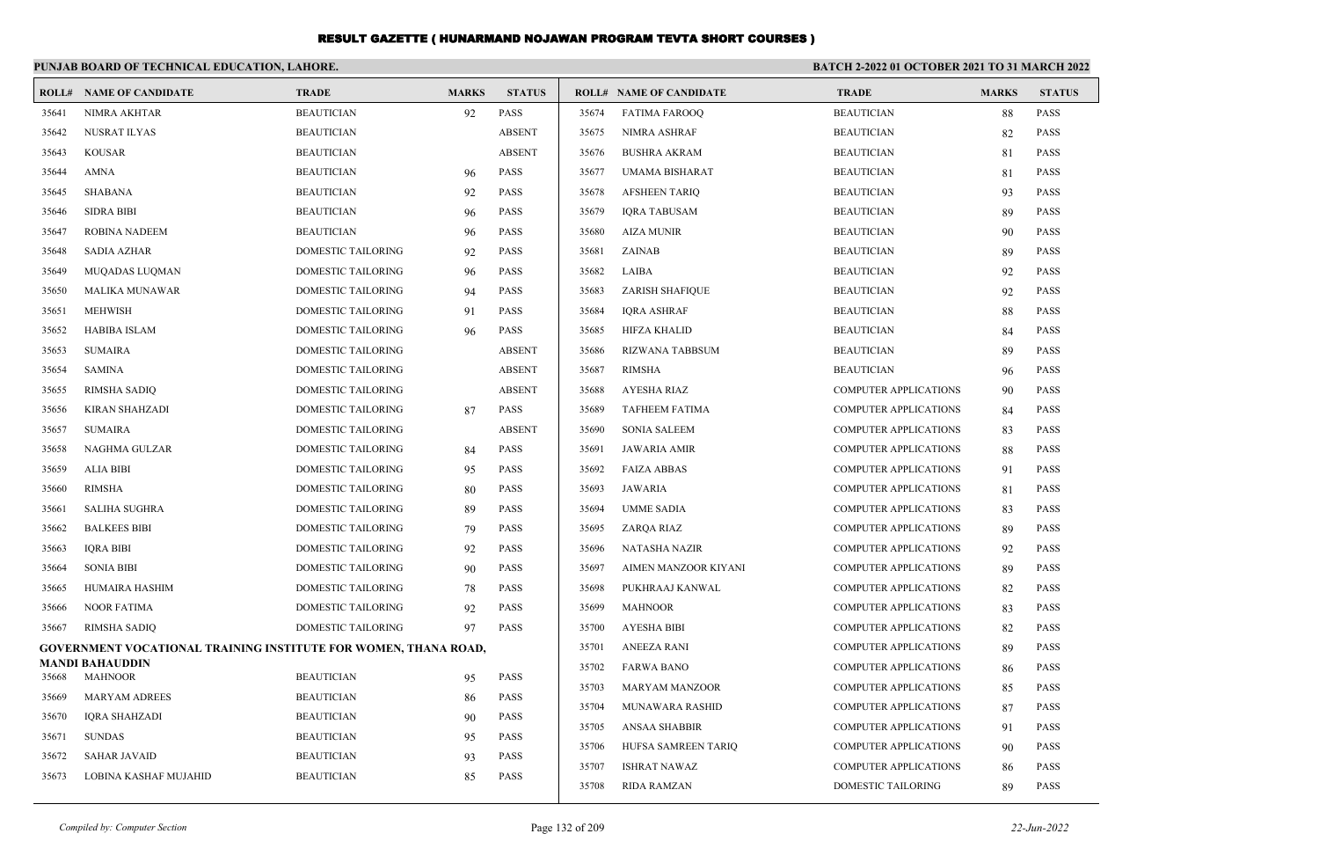|       | PUNJAB BOARD OF TECHNICAL EDUCATION, LAHORE.                    |                           |              |               |       |                                | <b>BATCH 2-2022 01 OCTOBER 2021 TO 31 MARCH 2022</b> |              |               |
|-------|-----------------------------------------------------------------|---------------------------|--------------|---------------|-------|--------------------------------|------------------------------------------------------|--------------|---------------|
|       | <b>ROLL# NAME OF CANDIDATE</b>                                  | <b>TRADE</b>              | <b>MARKS</b> | <b>STATUS</b> |       | <b>ROLL# NAME OF CANDIDATE</b> | <b>TRADE</b>                                         | <b>MARKS</b> | <b>STATUS</b> |
| 35641 | NIMRA AKHTAR                                                    | <b>BEAUTICIAN</b>         | 92           | <b>PASS</b>   | 35674 | <b>FATIMA FAROOQ</b>           | <b>BEAUTICIAN</b>                                    | 88           | <b>PASS</b>   |
| 35642 | <b>NUSRAT ILYAS</b>                                             | <b>BEAUTICIAN</b>         |              | <b>ABSENT</b> | 35675 | NIMRA ASHRAF                   | <b>BEAUTICIAN</b>                                    | 82           | <b>PASS</b>   |
| 35643 | <b>KOUSAR</b>                                                   | <b>BEAUTICIAN</b>         |              | <b>ABSENT</b> | 35676 | <b>BUSHRA AKRAM</b>            | <b>BEAUTICIAN</b>                                    | 81           | <b>PASS</b>   |
| 35644 | <b>AMNA</b>                                                     | <b>BEAUTICIAN</b>         | 96           | PASS          | 35677 | UMAMA BISHARAT                 | <b>BEAUTICIAN</b>                                    | 81           | <b>PASS</b>   |
| 35645 | <b>SHABANA</b>                                                  | <b>BEAUTICIAN</b>         | 92           | <b>PASS</b>   | 35678 | <b>AFSHEEN TARIQ</b>           | <b>BEAUTICIAN</b>                                    | 93           | <b>PASS</b>   |
| 35646 | <b>SIDRA BIBI</b>                                               | <b>BEAUTICIAN</b>         | 96           | <b>PASS</b>   | 35679 | <b>IQRA TABUSAM</b>            | <b>BEAUTICIAN</b>                                    | 89           | <b>PASS</b>   |
| 35647 | <b>ROBINA NADEEM</b>                                            | <b>BEAUTICIAN</b>         | 96           | <b>PASS</b>   | 35680 | <b>AIZA MUNIR</b>              | <b>BEAUTICIAN</b>                                    | 90           | <b>PASS</b>   |
| 35648 | <b>SADIA AZHAR</b>                                              | DOMESTIC TAILORING        | 92           | PASS          | 35681 | ZAINAB                         | <b>BEAUTICIAN</b>                                    | 89           | <b>PASS</b>   |
| 35649 | MUQADAS LUQMAN                                                  | DOMESTIC TAILORING        | 96           | PASS          | 35682 | LAIBA                          | <b>BEAUTICIAN</b>                                    | 92           | <b>PASS</b>   |
| 35650 | <b>MALIKA MUNAWAR</b>                                           | <b>DOMESTIC TAILORING</b> | 94           | <b>PASS</b>   | 35683 | <b>ZARISH SHAFIQUE</b>         | <b>BEAUTICIAN</b>                                    | 92           | <b>PASS</b>   |
| 35651 | <b>MEHWISH</b>                                                  | <b>DOMESTIC TAILORING</b> | 91           | <b>PASS</b>   | 35684 | <b>IORA ASHRAF</b>             | <b>BEAUTICIAN</b>                                    | 88           | <b>PASS</b>   |
| 35652 | <b>HABIBA ISLAM</b>                                             | <b>DOMESTIC TAILORING</b> | 96           | <b>PASS</b>   | 35685 | <b>HIFZA KHALID</b>            | <b>BEAUTICIAN</b>                                    | 84           | <b>PASS</b>   |
| 35653 | <b>SUMAIRA</b>                                                  | DOMESTIC TAILORING        |              | <b>ABSENT</b> | 35686 | <b>RIZWANA TABBSUM</b>         | <b>BEAUTICIAN</b>                                    | 89           | <b>PASS</b>   |
| 35654 | SAMINA                                                          | <b>DOMESTIC TAILORING</b> |              | <b>ABSENT</b> | 35687 | <b>RIMSHA</b>                  | <b>BEAUTICIAN</b>                                    | 96           | <b>PASS</b>   |
| 35655 | <b>RIMSHA SADIQ</b>                                             | <b>DOMESTIC TAILORING</b> |              | <b>ABSENT</b> | 35688 | <b>AYESHA RIAZ</b>             | <b>COMPUTER APPLICATIONS</b>                         | 90           | <b>PASS</b>   |
| 35656 | <b>KIRAN SHAHZADI</b>                                           | <b>DOMESTIC TAILORING</b> | 87           | <b>PASS</b>   | 35689 | <b>TAFHEEM FATIMA</b>          | <b>COMPUTER APPLICATIONS</b>                         | 84           | <b>PASS</b>   |
| 35657 | <b>SUMAIRA</b>                                                  | <b>DOMESTIC TAILORING</b> |              | <b>ABSENT</b> | 35690 | <b>SONIA SALEEM</b>            | <b>COMPUTER APPLICATIONS</b>                         | 83           | <b>PASS</b>   |
| 35658 | NAGHMA GULZAR                                                   | DOMESTIC TAILORING        | 84           | <b>PASS</b>   | 35691 | <b>JAWARIA AMIR</b>            | <b>COMPUTER APPLICATIONS</b>                         | 88           | <b>PASS</b>   |
| 35659 | <b>ALIA BIBI</b>                                                | DOMESTIC TAILORING        | 95           | <b>PASS</b>   | 35692 | <b>FAIZA ABBAS</b>             | <b>COMPUTER APPLICATIONS</b>                         | 91           | <b>PASS</b>   |
| 35660 | <b>RIMSHA</b>                                                   | <b>DOMESTIC TAILORING</b> | 80           | <b>PASS</b>   | 35693 | <b>JAWARIA</b>                 | <b>COMPUTER APPLICATIONS</b>                         | 81           | <b>PASS</b>   |
| 35661 | <b>SALIHA SUGHRA</b>                                            | <b>DOMESTIC TAILORING</b> | 89           | <b>PASS</b>   | 35694 | <b>UMME SADIA</b>              | <b>COMPUTER APPLICATIONS</b>                         | 83           | <b>PASS</b>   |
| 35662 | <b>BALKEES BIBI</b>                                             | DOMESTIC TAILORING        | 79           | PASS          | 35695 | ZARQA RIAZ                     | <b>COMPUTER APPLICATIONS</b>                         | 89           | <b>PASS</b>   |
| 35663 | <b>IQRA BIBI</b>                                                | DOMESTIC TAILORING        | 92           | <b>PASS</b>   | 35696 | NATASHA NAZIR                  | <b>COMPUTER APPLICATIONS</b>                         | 92           | <b>PASS</b>   |
| 35664 | <b>SONIA BIBI</b>                                               | DOMESTIC TAILORING        | 90           | PASS          | 35697 | AIMEN MANZOOR KIYANI           | <b>COMPUTER APPLICATIONS</b>                         | 89           | <b>PASS</b>   |
| 35665 | HUMAIRA HASHIM                                                  | <b>DOMESTIC TAILORING</b> | 78           | <b>PASS</b>   | 35698 | PUKHRAAJ KANWAL                | <b>COMPUTER APPLICATIONS</b>                         | 82           | <b>PASS</b>   |
| 35666 | <b>NOOR FATIMA</b>                                              | <b>DOMESTIC TAILORING</b> | 92           | <b>PASS</b>   | 35699 | <b>MAHNOOR</b>                 | <b>COMPUTER APPLICATIONS</b>                         | 83           | <b>PASS</b>   |
| 35667 | RIMSHA SADIQ                                                    | <b>DOMESTIC TAILORING</b> | 97           | <b>PASS</b>   | 35700 | <b>AYESHA BIBI</b>             | <b>COMPUTER APPLICATIONS</b>                         | 82           | <b>PASS</b>   |
|       | GOVERNMENT VOCATIONAL TRAINING INSTITUTE FOR WOMEN, THANA ROAD, |                           |              |               | 35701 | <b>ANEEZA RANI</b>             | <b>COMPUTER APPLICATIONS</b>                         | 89           | <b>PASS</b>   |
| 35668 | <b>MANDI BAHAUDDIN</b><br><b>MAHNOOR</b>                        | <b>BEAUTICIAN</b>         | 95           | <b>PASS</b>   | 35702 | <b>FARWA BANO</b>              | <b>COMPUTER APPLICATIONS</b>                         | 86           | <b>PASS</b>   |
| 35669 | <b>MARYAM ADREES</b>                                            | <b>BEAUTICIAN</b>         |              | <b>PASS</b>   | 35703 | <b>MARYAM MANZOOR</b>          | <b>COMPUTER APPLICATIONS</b>                         | 85           | <b>PASS</b>   |
| 35670 | IQRA SHAHZADI                                                   | <b>BEAUTICIAN</b>         | 86<br>90     | <b>PASS</b>   | 35704 | MUNAWARA RASHID                | <b>COMPUTER APPLICATIONS</b>                         | 87           | <b>PASS</b>   |
| 35671 | <b>SUNDAS</b>                                                   | <b>BEAUTICIAN</b>         | 95           | <b>PASS</b>   | 35705 | <b>ANSAA SHABBIR</b>           | <b>COMPUTER APPLICATIONS</b>                         | 91           | <b>PASS</b>   |
| 35672 | <b>SAHAR JAVAID</b>                                             | <b>BEAUTICIAN</b>         | 93           | PASS          | 35706 | HUFSA SAMREEN TARIQ            | <b>COMPUTER APPLICATIONS</b>                         | 90           | <b>PASS</b>   |
| 35673 | LOBINA KASHAF MUJAHID                                           | <b>BEAUTICIAN</b>         | 85           | <b>PASS</b>   | 35707 | <b>ISHRAT NAWAZ</b>            | <b>COMPUTER APPLICATIONS</b>                         | 86           | <b>PASS</b>   |
|       |                                                                 |                           |              |               | 35708 | <b>RIDA RAMZAN</b>             | <b>DOMESTIC TAILORING</b>                            | 89           | <b>PASS</b>   |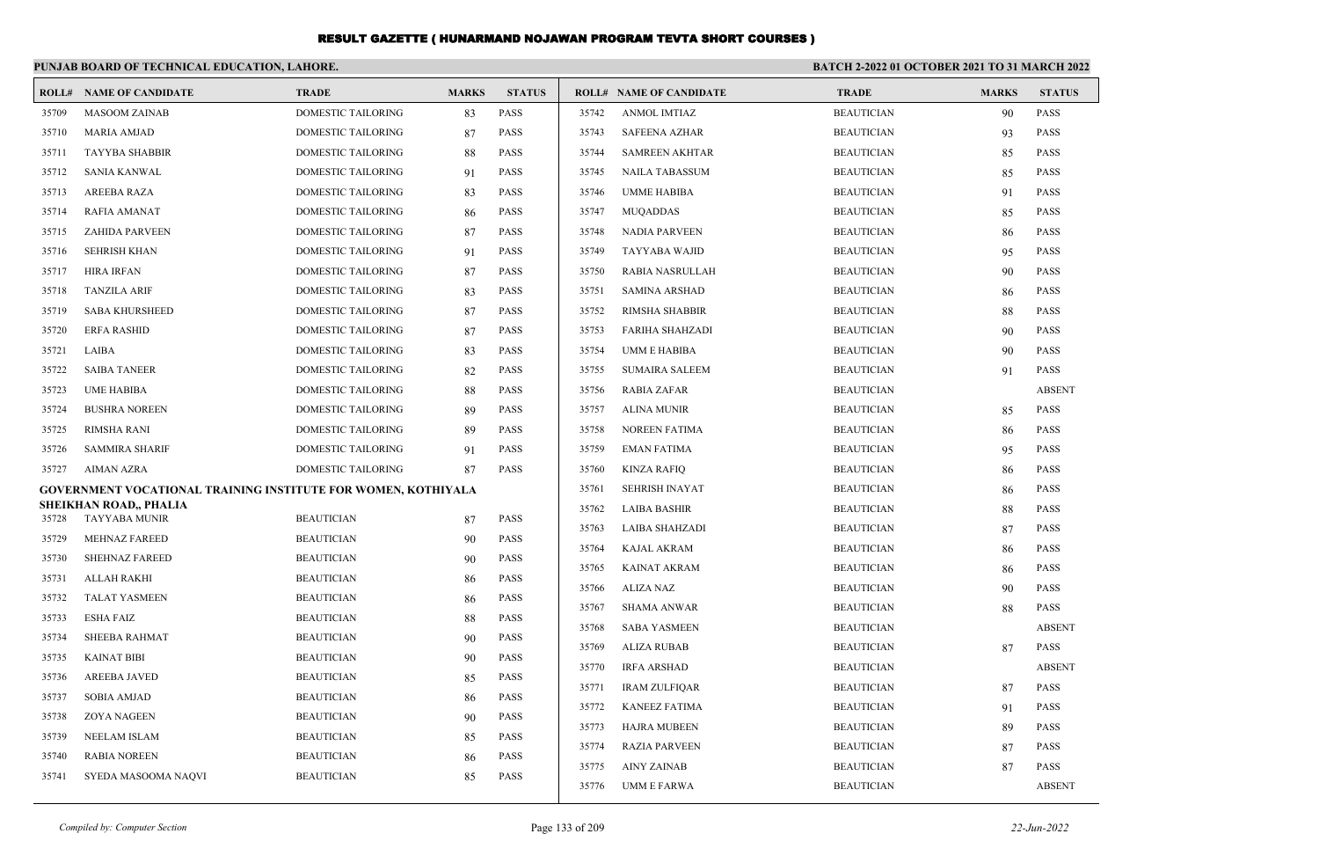|       | PUNJAB BOARD OF TECHNICAL EDUCATION, LAHORE.                  |                    |              |               |       | <b>BATCH 2-2022 01 OCTOBER 2021 TO 31 MARCH 2022</b> |                   |              |               |
|-------|---------------------------------------------------------------|--------------------|--------------|---------------|-------|------------------------------------------------------|-------------------|--------------|---------------|
|       | <b>ROLL# NAME OF CANDIDATE</b>                                | <b>TRADE</b>       | <b>MARKS</b> | <b>STATUS</b> |       | <b>ROLL# NAME OF CANDIDATE</b>                       | <b>TRADE</b>      | <b>MARKS</b> | <b>STATUS</b> |
| 35709 | <b>MASOOM ZAINAB</b>                                          | DOMESTIC TAILORING | 83           | <b>PASS</b>   | 35742 | <b>ANMOL IMTIAZ</b>                                  | <b>BEAUTICIAN</b> | 90           | <b>PASS</b>   |
| 35710 | <b>MARIA AMJAD</b>                                            | DOMESTIC TAILORING | 87           | <b>PASS</b>   | 35743 | <b>SAFEENA AZHAR</b>                                 | <b>BEAUTICIAN</b> | 93           | <b>PASS</b>   |
| 35711 | <b>TAYYBA SHABBIR</b>                                         | DOMESTIC TAILORING | 88           | <b>PASS</b>   | 35744 | <b>SAMREEN AKHTAR</b>                                | <b>BEAUTICIAN</b> | 85           | <b>PASS</b>   |
| 35712 | <b>SANIA KANWAL</b>                                           | DOMESTIC TAILORING | 91           | <b>PASS</b>   | 35745 | <b>NAILA TABASSUM</b>                                | <b>BEAUTICIAN</b> | 85           | <b>PASS</b>   |
| 35713 | AREEBA RAZA                                                   | DOMESTIC TAILORING | 83           | <b>PASS</b>   | 35746 | <b>UMME HABIBA</b>                                   | <b>BEAUTICIAN</b> | 91           | <b>PASS</b>   |
| 35714 | <b>RAFIA AMANAT</b>                                           | DOMESTIC TAILORING | -86          | <b>PASS</b>   | 35747 | <b>MUQADDAS</b>                                      | <b>BEAUTICIAN</b> | 85           | <b>PASS</b>   |
| 35715 | <b>ZAHIDA PARVEEN</b>                                         | DOMESTIC TAILORING | 87           | <b>PASS</b>   | 35748 | <b>NADIA PARVEEN</b>                                 | <b>BEAUTICIAN</b> | 86           | <b>PASS</b>   |
| 35716 | <b>SEHRISH KHAN</b>                                           | DOMESTIC TAILORING | 91           | <b>PASS</b>   | 35749 | TAYYABA WAJID                                        | <b>BEAUTICIAN</b> | 95           | <b>PASS</b>   |
| 35717 | HIRA IRFAN                                                    | DOMESTIC TAILORING | 87           | <b>PASS</b>   | 35750 | RABIA NASRULLAH                                      | <b>BEAUTICIAN</b> | 90           | <b>PASS</b>   |
| 35718 | <b>TANZILA ARIF</b>                                           | DOMESTIC TAILORING | 83           | <b>PASS</b>   | 35751 | <b>SAMINA ARSHAD</b>                                 | <b>BEAUTICIAN</b> | 86           | <b>PASS</b>   |
| 35719 | <b>SABA KHURSHEED</b>                                         | DOMESTIC TAILORING | 87           | <b>PASS</b>   | 35752 | RIMSHA SHABBIR                                       | <b>BEAUTICIAN</b> | 88           | <b>PASS</b>   |
| 35720 | <b>ERFA RASHID</b>                                            | DOMESTIC TAILORING | 87           | <b>PASS</b>   | 35753 | <b>FARIHA SHAHZADI</b>                               | <b>BEAUTICIAN</b> | 90           | <b>PASS</b>   |
| 35721 | LAIBA                                                         | DOMESTIC TAILORING | 83           | <b>PASS</b>   | 35754 | UMM E HABIBA                                         | <b>BEAUTICIAN</b> | 90           | <b>PASS</b>   |
| 35722 | <b>SAIBA TANEER</b>                                           | DOMESTIC TAILORING | 82           | <b>PASS</b>   | 35755 | <b>SUMAIRA SALEEM</b>                                | <b>BEAUTICIAN</b> | 91           | <b>PASS</b>   |
| 35723 | <b>UME HABIBA</b>                                             | DOMESTIC TAILORING | 88           | <b>PASS</b>   | 35756 | RABIA ZAFAR                                          | <b>BEAUTICIAN</b> |              | <b>ABSENT</b> |
| 35724 | <b>BUSHRA NOREEN</b>                                          | DOMESTIC TAILORING | 89           | <b>PASS</b>   | 35757 | ALINA MUNIR                                          | <b>BEAUTICIAN</b> | 85           | <b>PASS</b>   |
| 35725 | RIMSHA RANI                                                   | DOMESTIC TAILORING | -89          | <b>PASS</b>   | 35758 | NOREEN FATIMA                                        | <b>BEAUTICIAN</b> | 86           | <b>PASS</b>   |
| 35726 | SAMMIRA SHARIF                                                | DOMESTIC TAILORING | 91           | <b>PASS</b>   | 35759 | <b>EMAN FATIMA</b>                                   | <b>BEAUTICIAN</b> | 95           | <b>PASS</b>   |
| 35727 | AIMAN AZRA                                                    | DOMESTIC TAILORING | 87           | <b>PASS</b>   | 35760 | KINZA RAFIQ                                          | <b>BEAUTICIAN</b> | 86           | PASS          |
|       | GOVERNMENT VOCATIONAL TRAINING INSTITUTE FOR WOMEN, KOTHIYALA |                    |              |               | 35761 | <b>SEHRISH INAYAT</b>                                | <b>BEAUTICIAN</b> | 86           | <b>PASS</b>   |
| 35728 | SHEIKHAN ROAD,, PHALIA<br><b>TAYYABA MUNIR</b>                | <b>BEAUTICIAN</b>  | 87           | <b>PASS</b>   | 35762 | <b>LAIBA BASHIR</b>                                  | <b>BEAUTICIAN</b> | 88           | <b>PASS</b>   |
| 35729 | <b>MEHNAZ FAREED</b>                                          | <b>BEAUTICIAN</b>  | 90           | <b>PASS</b>   | 35763 | LAIBA SHAHZADI                                       | <b>BEAUTICIAN</b> | 87           | <b>PASS</b>   |
| 35730 | <b>SHEHNAZ FAREED</b>                                         | <b>BEAUTICIAN</b>  | 90           | <b>PASS</b>   | 35764 | <b>KAJAL AKRAM</b>                                   | <b>BEAUTICIAN</b> | 86           | <b>PASS</b>   |
| 35731 | ALLAH RAKHI                                                   | <b>BEAUTICIAN</b>  | 86           | <b>PASS</b>   | 35765 | KAINAT AKRAM                                         | <b>BEAUTICIAN</b> | 86           | <b>PASS</b>   |
| 35732 | <b>TALAT YASMEEN</b>                                          | <b>BEAUTICIAN</b>  | 86           | <b>PASS</b>   | 35766 | ALIZA NAZ                                            | <b>BEAUTICIAN</b> | 90           | <b>PASS</b>   |
| 35733 | ESHA FAIZ                                                     | <b>BEAUTICIAN</b>  | 88           | <b>PASS</b>   | 35767 | <b>SHAMA ANWAR</b>                                   | <b>BEAUTICIAN</b> | 88           | <b>PASS</b>   |
| 35734 | SHEEBA RAHMAT                                                 | <b>BEAUTICIAN</b>  | 90           | <b>PASS</b>   | 35768 | <b>SABA YASMEEN</b>                                  | <b>BEAUTICIAN</b> |              | <b>ABSENT</b> |
| 35735 | <b>KAINAT BIBI</b>                                            | <b>BEAUTICIAN</b>  | 90           | <b>PASS</b>   | 35769 | <b>ALIZA RUBAB</b>                                   | <b>BEAUTICIAN</b> | 87           | <b>PASS</b>   |
| 35736 | AREEBA JAVED                                                  | <b>BEAUTICIAN</b>  | 85           | <b>PASS</b>   | 35770 | <b>IRFA ARSHAD</b>                                   | <b>BEAUTICIAN</b> |              | <b>ABSENT</b> |
| 35737 | SOBIA AMJAD                                                   | <b>BEAUTICIAN</b>  | 86           | PASS          | 35771 | IRAM ZULFIQAR                                        | <b>BEAUTICIAN</b> | 87           | <b>PASS</b>   |
| 35738 | <b>ZOYA NAGEEN</b>                                            | <b>BEAUTICIAN</b>  | 90           | PASS          | 35772 | <b>KANEEZ FATIMA</b>                                 | <b>BEAUTICIAN</b> | 91           | <b>PASS</b>   |
| 35739 | <b>NEELAM ISLAM</b>                                           | <b>BEAUTICIAN</b>  | 85           | PASS          | 35773 | <b>HAJRA MUBEEN</b>                                  | <b>BEAUTICIAN</b> | 89           | <b>PASS</b>   |
| 35740 | <b>RABIA NOREEN</b>                                           | <b>BEAUTICIAN</b>  | 86           | PASS          | 35774 | <b>RAZIA PARVEEN</b>                                 | <b>BEAUTICIAN</b> | 87           | <b>PASS</b>   |
| 35741 | SYEDA MASOOMA NAQVI                                           | <b>BEAUTICIAN</b>  | 85           | PASS          | 35775 | <b>AINY ZAINAB</b>                                   | <b>BEAUTICIAN</b> | 87           | <b>PASS</b>   |
|       |                                                               |                    |              |               | 35776 | <b>UMM E FARWA</b>                                   | <b>BEAUTICIAN</b> |              | <b>ABSENT</b> |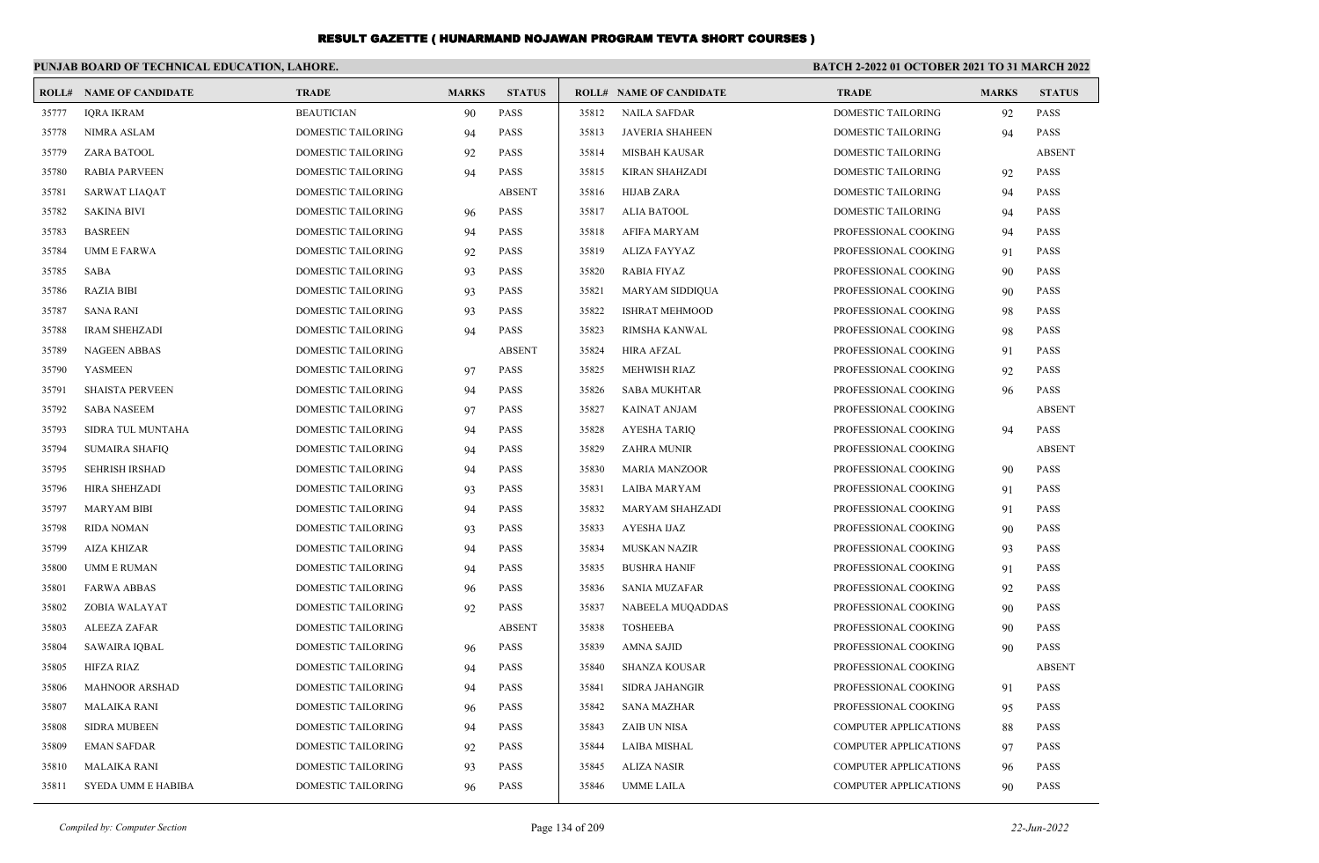|       | PUNJAB BOARD OF TECHNICAL EDUCATION, LAHORE. |                           |              |               |       |                                | BATCH 2-2022 01 OCTOBER 2021 TO 31 MARCH 2022 |              |               |
|-------|----------------------------------------------|---------------------------|--------------|---------------|-------|--------------------------------|-----------------------------------------------|--------------|---------------|
|       | <b>ROLL# NAME OF CANDIDATE</b>               | <b>TRADE</b>              | <b>MARKS</b> | <b>STATUS</b> |       | <b>ROLL# NAME OF CANDIDATE</b> | <b>TRADE</b>                                  | <b>MARKS</b> | <b>STATUS</b> |
| 35777 | <b>IORA IKRAM</b>                            | <b>BEAUTICIAN</b>         | 90           | <b>PASS</b>   | 35812 | <b>NAILA SAFDAR</b>            | <b>DOMESTIC TAILORING</b>                     | 92           | <b>PASS</b>   |
| 35778 | NIMRA ASLAM                                  | DOMESTIC TAILORING        | 94           | <b>PASS</b>   | 35813 | <b>JAVERIA SHAHEEN</b>         | <b>DOMESTIC TAILORING</b>                     | 94           | <b>PASS</b>   |
| 35779 | ZARA BATOOL                                  | DOMESTIC TAILORING        | 92           | <b>PASS</b>   | 35814 | <b>MISBAH KAUSAR</b>           | <b>DOMESTIC TAILORING</b>                     |              | <b>ABSENT</b> |
| 35780 | <b>RABIA PARVEEN</b>                         | <b>DOMESTIC TAILORING</b> | 94           | <b>PASS</b>   | 35815 | KIRAN SHAHZADI                 | <b>DOMESTIC TAILORING</b>                     | 92           | <b>PASS</b>   |
| 35781 | <b>SARWAT LIAQAT</b>                         | DOMESTIC TAILORING        |              | <b>ABSENT</b> | 35816 | <b>HIJAB ZARA</b>              | <b>DOMESTIC TAILORING</b>                     | 94           | <b>PASS</b>   |
| 35782 | <b>SAKINA BIVI</b>                           | DOMESTIC TAILORING        | 96           | <b>PASS</b>   | 35817 | <b>ALIA BATOOL</b>             | <b>DOMESTIC TAILORING</b>                     | 94           | <b>PASS</b>   |
| 35783 | <b>BASREEN</b>                               | DOMESTIC TAILORING        | 94           | <b>PASS</b>   | 35818 | AFIFA MARYAM                   | PROFESSIONAL COOKING                          | 94           | <b>PASS</b>   |
| 35784 | <b>UMM E FARWA</b>                           | DOMESTIC TAILORING        | 92           | <b>PASS</b>   | 35819 | ALIZA FAYYAZ                   | PROFESSIONAL COOKING                          | 91           | <b>PASS</b>   |
| 35785 | SABA                                         | DOMESTIC TAILORING        | 93           | <b>PASS</b>   | 35820 | <b>RABIA FIYAZ</b>             | PROFESSIONAL COOKING                          | 90           | <b>PASS</b>   |
| 35786 | <b>RAZIA BIBI</b>                            | <b>DOMESTIC TAILORING</b> | 93           | <b>PASS</b>   | 35821 | MARYAM SIDDIQUA                | PROFESSIONAL COOKING                          | 90           | <b>PASS</b>   |
| 35787 | <b>SANA RANI</b>                             | DOMESTIC TAILORING        | 93           | <b>PASS</b>   | 35822 | <b>ISHRAT MEHMOOD</b>          | PROFESSIONAL COOKING                          | 98           | <b>PASS</b>   |
| 35788 | <b>IRAM SHEHZADI</b>                         | DOMESTIC TAILORING        | 94           | <b>PASS</b>   | 35823 | RIMSHA KANWAL                  | PROFESSIONAL COOKING                          | 98           | <b>PASS</b>   |
| 35789 | <b>NAGEEN ABBAS</b>                          | DOMESTIC TAILORING        |              | <b>ABSENT</b> | 35824 | <b>HIRA AFZAL</b>              | PROFESSIONAL COOKING                          | 91           | <b>PASS</b>   |
| 35790 | <b>YASMEEN</b>                               | DOMESTIC TAILORING        | 97           | <b>PASS</b>   | 35825 | MEHWISH RIAZ                   | PROFESSIONAL COOKING                          | 92           | <b>PASS</b>   |
| 35791 | <b>SHAISTA PERVEEN</b>                       | DOMESTIC TAILORING        | 94           | PASS          | 35826 | <b>SABA MUKHTAR</b>            | PROFESSIONAL COOKING                          | 96           | <b>PASS</b>   |
| 35792 | <b>SABA NASEEM</b>                           | DOMESTIC TAILORING        | 97           | <b>PASS</b>   | 35827 | <b>KAINAT ANJAM</b>            | PROFESSIONAL COOKING                          |              | <b>ABSENT</b> |
| 35793 | SIDRA TUL MUNTAHA                            | DOMESTIC TAILORING        | 94           | <b>PASS</b>   | 35828 | <b>AYESHA TARIO</b>            | PROFESSIONAL COOKING                          | 94           | <b>PASS</b>   |
| 35794 | <b>SUMAIRA SHAFIQ</b>                        | DOMESTIC TAILORING        | 94           | <b>PASS</b>   | 35829 | ZAHRA MUNIR                    | PROFESSIONAL COOKING                          |              | <b>ABSENT</b> |
| 35795 | <b>SEHRISH IRSHAD</b>                        | DOMESTIC TAILORING        | 94           | <b>PASS</b>   | 35830 | <b>MARIA MANZOOR</b>           | PROFESSIONAL COOKING                          | 90           | <b>PASS</b>   |
| 35796 | <b>HIRA SHEHZADI</b>                         | DOMESTIC TAILORING        | 93           | <b>PASS</b>   | 35831 | <b>LAIBA MARYAM</b>            | PROFESSIONAL COOKING                          | 91           | <b>PASS</b>   |
| 35797 | <b>MARYAM BIBI</b>                           | <b>DOMESTIC TAILORING</b> | 94           | <b>PASS</b>   | 35832 | <b>MARYAM SHAHZADI</b>         | PROFESSIONAL COOKING                          | 91           | <b>PASS</b>   |
| 35798 | <b>RIDA NOMAN</b>                            | DOMESTIC TAILORING        | 93           | <b>PASS</b>   | 35833 | <b>AYESHA IJAZ</b>             | PROFESSIONAL COOKING                          | 90           | <b>PASS</b>   |
| 35799 | <b>AIZA KHIZAR</b>                           | DOMESTIC TAILORING        | 94           | <b>PASS</b>   | 35834 | <b>MUSKAN NAZIR</b>            | PROFESSIONAL COOKING                          | 93           | <b>PASS</b>   |
| 35800 | <b>UMM E RUMAN</b>                           | DOMESTIC TAILORING        | 94           | <b>PASS</b>   | 35835 | <b>BUSHRA HANIF</b>            | PROFESSIONAL COOKING                          | 91           | <b>PASS</b>   |
| 35801 | <b>FARWA ABBAS</b>                           | DOMESTIC TAILORING        | 96           | <b>PASS</b>   | 35836 | <b>SANIA MUZAFAR</b>           | PROFESSIONAL COOKING                          | 92           | <b>PASS</b>   |
| 35802 | ZOBIA WALAYAT                                | DOMESTIC TAILORING        | 92           | <b>PASS</b>   | 35837 | NABEELA MUQADDAS               | PROFESSIONAL COOKING                          | 90           | <b>PASS</b>   |
| 35803 | ALEEZA ZAFAR                                 | DOMESTIC TAILORING        |              | <b>ABSENT</b> | 35838 | <b>TOSHEEBA</b>                | PROFESSIONAL COOKING                          | 90           | <b>PASS</b>   |
| 35804 | <b>SAWAIRA IOBAL</b>                         | DOMESTIC TAILORING        | 96           | <b>PASS</b>   | 35839 | <b>AMNA SAJID</b>              | PROFESSIONAL COOKING                          | 90           | <b>PASS</b>   |
| 35805 | HIFZA RIAZ                                   | DOMESTIC TAILORING        | 94           | <b>PASS</b>   | 35840 | <b>SHANZA KOUSAR</b>           | PROFESSIONAL COOKING                          |              | <b>ABSENT</b> |
| 35806 | <b>MAHNOOR ARSHAD</b>                        | DOMESTIC TAILORING        | 94           | <b>PASS</b>   | 35841 | <b>SIDRA JAHANGIR</b>          | PROFESSIONAL COOKING                          | 91           | <b>PASS</b>   |
| 35807 | <b>MALAIKA RANI</b>                          | DOMESTIC TAILORING        | 96           | PASS          | 35842 | <b>SANA MAZHAR</b>             | PROFESSIONAL COOKING                          | 95           | <b>PASS</b>   |
| 35808 | <b>SIDRA MUBEEN</b>                          | DOMESTIC TAILORING        | 94           | <b>PASS</b>   | 35843 | ZAIB UN NISA                   | <b>COMPUTER APPLICATIONS</b>                  | 88           | <b>PASS</b>   |
| 35809 | <b>EMAN SAFDAR</b>                           | DOMESTIC TAILORING        | 92           | <b>PASS</b>   | 35844 | <b>LAIBA MISHAL</b>            | <b>COMPUTER APPLICATIONS</b>                  | 97           | <b>PASS</b>   |
| 35810 | <b>MALAIKA RANI</b>                          | <b>DOMESTIC TAILORING</b> | 93           | <b>PASS</b>   | 35845 | <b>ALIZA NASIR</b>             | <b>COMPUTER APPLICATIONS</b>                  | 96           | <b>PASS</b>   |
| 35811 | SYEDA UMM E HABIBA                           | DOMESTIC TAILORING        | 96           | <b>PASS</b>   | 35846 | <b>UMME LAILA</b>              | <b>COMPUTER APPLICATIONS</b>                  | 90           | <b>PASS</b>   |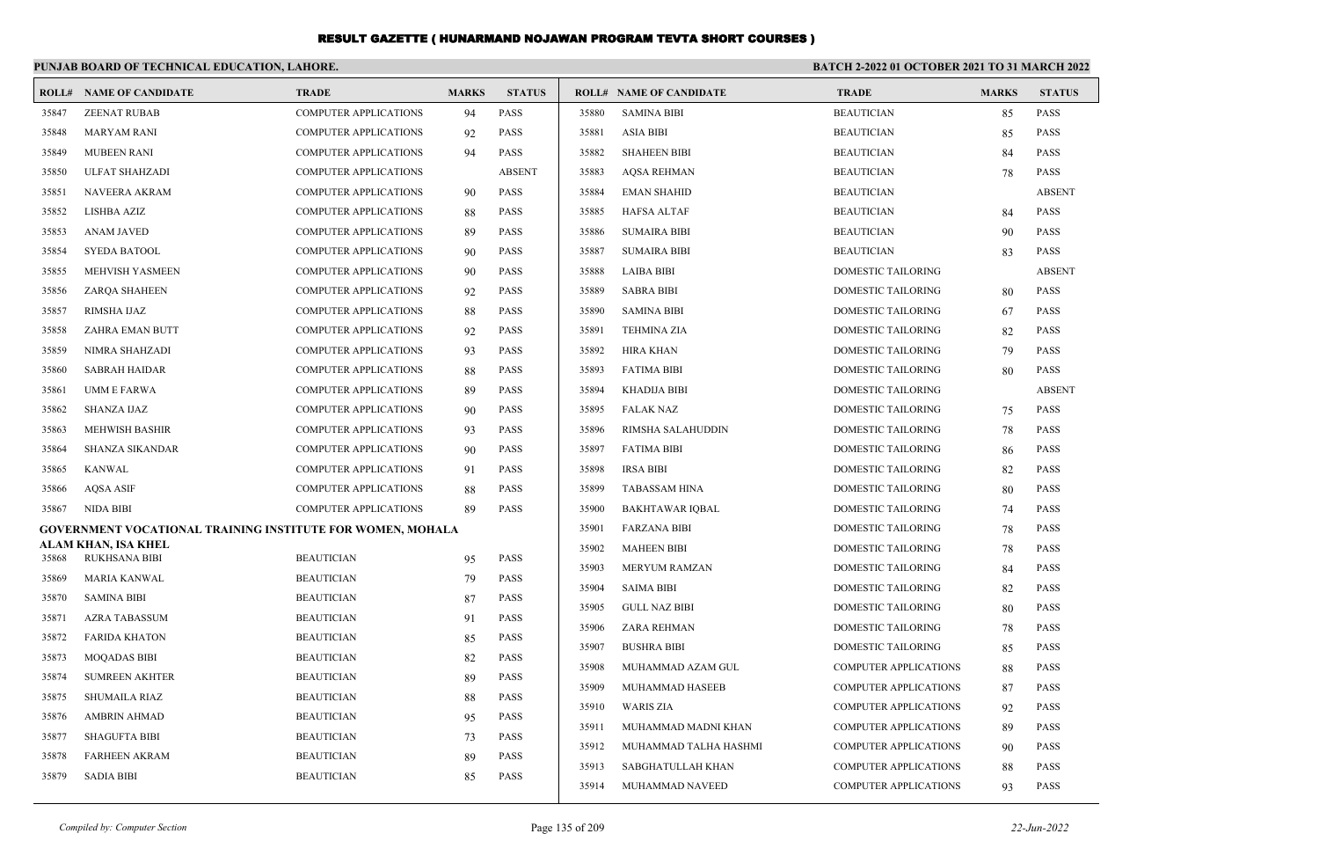|       | PUNJAB BOARD OF TECHNICAL EDUCATION, LAHORE.                      |                              |              |               | <b>BATCH 2-2022 01 OCTOBER 2021 TO 31 MARCH 2022</b> |                                |                              |              |               |
|-------|-------------------------------------------------------------------|------------------------------|--------------|---------------|------------------------------------------------------|--------------------------------|------------------------------|--------------|---------------|
|       | <b>ROLL# NAME OF CANDIDATE</b>                                    | <b>TRADE</b>                 | <b>MARKS</b> | <b>STATUS</b> |                                                      | <b>ROLL# NAME OF CANDIDATE</b> | <b>TRADE</b>                 | <b>MARKS</b> | <b>STATUS</b> |
| 35847 | <b>ZEENAT RUBAB</b>                                               | <b>COMPUTER APPLICATIONS</b> | 94           | PASS          | 35880                                                | <b>SAMINA BIBI</b>             | <b>BEAUTICIAN</b>            | 85           | <b>PASS</b>   |
| 35848 | <b>MARYAM RANI</b>                                                | COMPUTER APPLICATIONS        | 92           | <b>PASS</b>   | 35881                                                | <b>ASIA BIBI</b>               | <b>BEAUTICIAN</b>            | 85           | PASS          |
| 35849 | <b>MUBEEN RANI</b>                                                | <b>COMPUTER APPLICATIONS</b> | 94           | <b>PASS</b>   | 35882                                                | <b>SHAHEEN BIBI</b>            | <b>BEAUTICIAN</b>            | 84           | <b>PASS</b>   |
| 35850 | <b>ULFAT SHAHZADI</b>                                             | <b>COMPUTER APPLICATIONS</b> |              | <b>ABSENT</b> | 35883                                                | <b>AQSA REHMAN</b>             | <b>BEAUTICIAN</b>            | 78           | <b>PASS</b>   |
| 35851 | <b>NAVEERA AKRAM</b>                                              | <b>COMPUTER APPLICATIONS</b> | 90           | <b>PASS</b>   | 35884                                                | <b>EMAN SHAHID</b>             | <b>BEAUTICIAN</b>            |              | <b>ABSENT</b> |
| 35852 | <b>LISHBA AZIZ</b>                                                | <b>COMPUTER APPLICATIONS</b> | 88           | <b>PASS</b>   | 35885                                                | <b>HAFSA ALTAF</b>             | <b>BEAUTICIAN</b>            | 84           | <b>PASS</b>   |
| 35853 | <b>ANAM JAVED</b>                                                 | COMPUTER APPLICATIONS        | 89           | <b>PASS</b>   | 35886                                                | <b>SUMAIRA BIBI</b>            | <b>BEAUTICIAN</b>            | 90           | <b>PASS</b>   |
| 35854 | <b>SYEDA BATOOL</b>                                               | COMPUTER APPLICATIONS        | 90           | PASS          | 35887                                                | <b>SUMAIRA BIBI</b>            | <b>BEAUTICIAN</b>            | 83           | <b>PASS</b>   |
| 35855 | MEHVISH YASMEEN                                                   | COMPUTER APPLICATIONS        | 90           | PASS          | 35888                                                | <b>LAIBA BIBI</b>              | DOMESTIC TAILORING           |              | <b>ABSENT</b> |
| 35856 | <b>ZARQA SHAHEEN</b>                                              | <b>COMPUTER APPLICATIONS</b> | 92           | <b>PASS</b>   | 35889                                                | <b>SABRA BIBI</b>              | <b>DOMESTIC TAILORING</b>    | 80           | <b>PASS</b>   |
| 35857 | RIMSHA IJAZ                                                       | <b>COMPUTER APPLICATIONS</b> | 88           | <b>PASS</b>   | 35890                                                | <b>SAMINA BIBI</b>             | <b>DOMESTIC TAILORING</b>    | 67           | <b>PASS</b>   |
| 35858 | ZAHRA EMAN BUTT                                                   | <b>COMPUTER APPLICATIONS</b> | 92           | <b>PASS</b>   | 35891                                                | <b>TEHMINA ZIA</b>             | DOMESTIC TAILORING           | 82           | <b>PASS</b>   |
| 35859 | NIMRA SHAHZADI                                                    | <b>COMPUTER APPLICATIONS</b> | 93           | <b>PASS</b>   | 35892                                                | <b>HIRA KHAN</b>               | <b>DOMESTIC TAILORING</b>    | 79           | <b>PASS</b>   |
| 35860 | <b>SABRAH HAIDAR</b>                                              | <b>COMPUTER APPLICATIONS</b> | 88           | <b>PASS</b>   | 35893                                                | <b>FATIMA BIBI</b>             | <b>DOMESTIC TAILORING</b>    | 80           | <b>PASS</b>   |
| 35861 | <b>UMM E FARWA</b>                                                | <b>COMPUTER APPLICATIONS</b> | 89           | <b>PASS</b>   | 35894                                                | <b>KHADIJA BIBI</b>            | <b>DOMESTIC TAILORING</b>    |              | <b>ABSENT</b> |
| 35862 | <b>SHANZA IJAZ</b>                                                | COMPUTER APPLICATIONS        | 90           | PASS          | 35895                                                | <b>FALAK NAZ</b>               | DOMESTIC TAILORING           | 75           | <b>PASS</b>   |
| 35863 | <b>MEHWISH BASHIR</b>                                             | <b>COMPUTER APPLICATIONS</b> | 93           | <b>PASS</b>   | 35896                                                | RIMSHA SALAHUDDIN              | DOMESTIC TAILORING           | 78           | PASS          |
| 35864 | <b>SHANZA SIKANDAR</b>                                            | <b>COMPUTER APPLICATIONS</b> | 90           | <b>PASS</b>   | 35897                                                | <b>FATIMA BIBI</b>             | <b>DOMESTIC TAILORING</b>    | 86           | <b>PASS</b>   |
| 35865 | <b>KANWAL</b>                                                     | <b>COMPUTER APPLICATIONS</b> | 91           | <b>PASS</b>   | 35898                                                | <b>IRSA BIBI</b>               | <b>DOMESTIC TAILORING</b>    | 82           | <b>PASS</b>   |
| 35866 | <b>AQSA ASIF</b>                                                  | <b>COMPUTER APPLICATIONS</b> | 88           | <b>PASS</b>   | 35899                                                | <b>TABASSAM HINA</b>           | <b>DOMESTIC TAILORING</b>    | 80           | <b>PASS</b>   |
| 35867 | <b>NIDA BIBI</b>                                                  | <b>COMPUTER APPLICATIONS</b> | -89          | <b>PASS</b>   | 35900                                                | <b>BAKHTAWAR IOBAL</b>         | <b>DOMESTIC TAILORING</b>    | 74           | <b>PASS</b>   |
|       | <b>GOVERNMENT VOCATIONAL TRAINING INSTITUTE FOR WOMEN, MOHALA</b> |                              |              |               | 35901                                                | <b>FARZANA BIBI</b>            | <b>DOMESTIC TAILORING</b>    | 78           | <b>PASS</b>   |
| 35868 | ALAM KHAN, ISA KHEL<br>RUKHSANA BIBI                              | <b>BEAUTICIAN</b>            | 95           | <b>PASS</b>   | 35902                                                | <b>MAHEEN BIBI</b>             | <b>DOMESTIC TAILORING</b>    | 78           | <b>PASS</b>   |
| 35869 | MARIA KANWAL                                                      | <b>BEAUTICIAN</b>            | 79           | <b>PASS</b>   | 35903                                                | MERYUM RAMZAN                  | DOMESTIC TAILORING           | 84           | <b>PASS</b>   |
| 35870 | <b>SAMINA BIBI</b>                                                | <b>BEAUTICIAN</b>            | 87           | <b>PASS</b>   | 35904                                                | <b>SAIMA BIBI</b>              | DOMESTIC TAILORING           | 82           | <b>PASS</b>   |
| 35871 | <b>AZRA TABASSUM</b>                                              | <b>BEAUTICIAN</b>            | 91           | <b>PASS</b>   | 35905                                                | <b>GULL NAZ BIBI</b>           | DOMESTIC TAILORING           | 80           | <b>PASS</b>   |
| 35872 | <b>FARIDA KHATON</b>                                              | <b>BEAUTICIAN</b>            | 85           | PASS          | 35906                                                | <b>ZARA REHMAN</b>             | DOMESTIC TAILORING           | 78           | <b>PASS</b>   |
| 35873 | <b>MOQADAS BIBI</b>                                               | <b>BEAUTICIAN</b>            | 82           | PASS          | 35907                                                | <b>BUSHRA BIBI</b>             | DOMESTIC TAILORING           | 85           | <b>PASS</b>   |
| 35874 | <b>SUMREEN AKHTER</b>                                             | <b>BEAUTICIAN</b>            | 89           | <b>PASS</b>   | 35908                                                | MUHAMMAD AZAM GUL              | <b>COMPUTER APPLICATIONS</b> | 88           | <b>PASS</b>   |
| 35875 | <b>SHUMAILA RIAZ</b>                                              | <b>BEAUTICIAN</b>            | 88           | <b>PASS</b>   | 35909                                                | MUHAMMAD HASEEB                | <b>COMPUTER APPLICATIONS</b> | 87           | <b>PASS</b>   |
| 35876 | <b>AMBRIN AHMAD</b>                                               | <b>BEAUTICIAN</b>            | 95           | <b>PASS</b>   | 35910                                                | <b>WARIS ZIA</b>               | <b>COMPUTER APPLICATIONS</b> | 92           | <b>PASS</b>   |
| 35877 | <b>SHAGUFTA BIBI</b>                                              | <b>BEAUTICIAN</b>            | 73           | <b>PASS</b>   | 35911                                                | MUHAMMAD MADNI KHAN            | <b>COMPUTER APPLICATIONS</b> | 89           | <b>PASS</b>   |
| 35878 | <b>FARHEEN AKRAM</b>                                              | <b>BEAUTICIAN</b>            | 89           | <b>PASS</b>   | 35912                                                | MUHAMMAD TALHA HASHMI          | <b>COMPUTER APPLICATIONS</b> | 90           | <b>PASS</b>   |
| 35879 | <b>SADIA BIBI</b>                                                 | <b>BEAUTICIAN</b>            | 85           | <b>PASS</b>   | 35913                                                | SABGHATULLAH KHAN              | <b>COMPUTER APPLICATIONS</b> | 88           | <b>PASS</b>   |
|       |                                                                   |                              |              |               | 35914                                                | MUHAMMAD NAVEED                | <b>COMPUTER APPLICATIONS</b> | 93           | <b>PASS</b>   |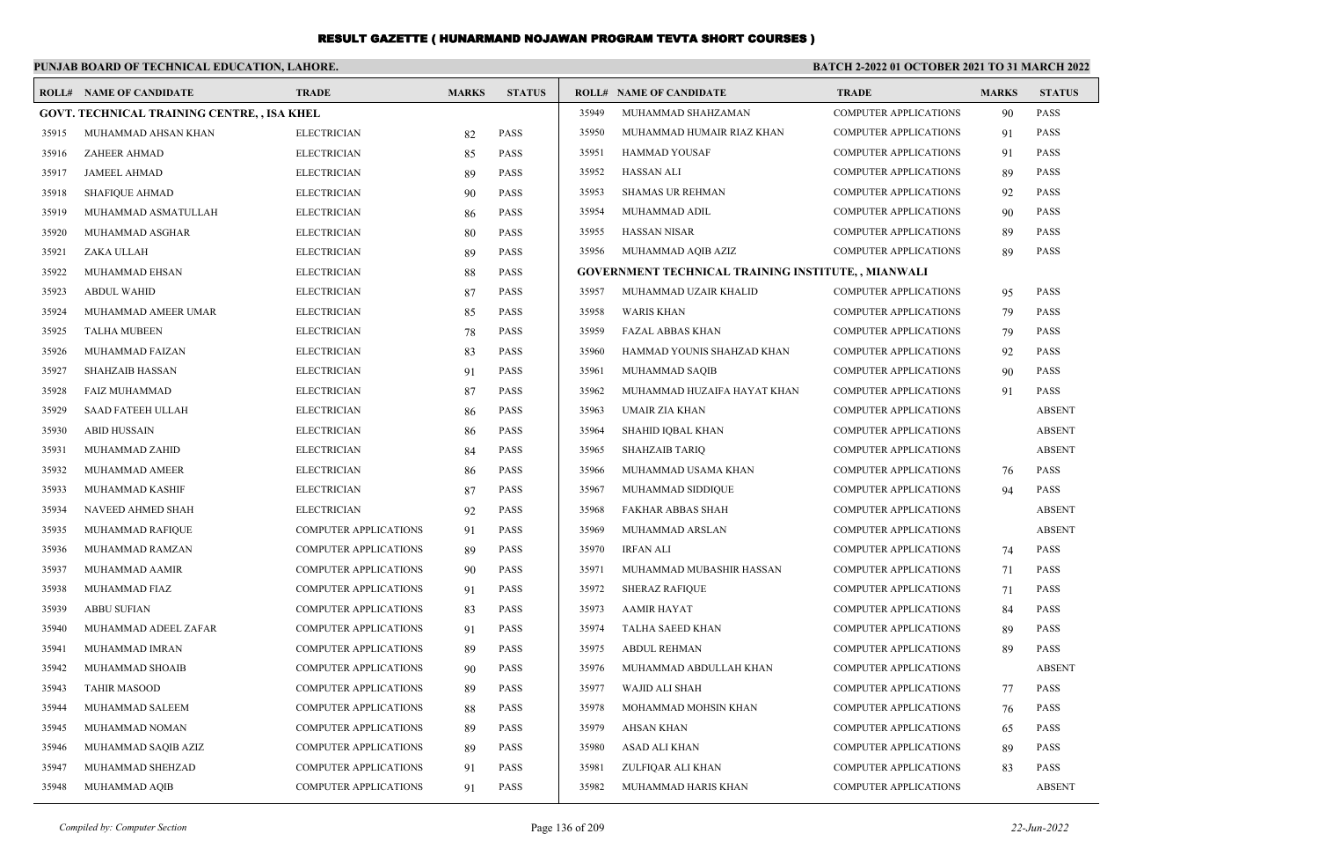|       | PUNJAB BOARD OF TECHNICAL EDUCATION, LAHORE.       |                              |              |               | <b>BATCH 2-2022 01 OCTOBER 2021 TO 31 MARCH 2022</b> |                                                           |                              |              |               |
|-------|----------------------------------------------------|------------------------------|--------------|---------------|------------------------------------------------------|-----------------------------------------------------------|------------------------------|--------------|---------------|
|       | <b>ROLL# NAME OF CANDIDATE</b>                     | <b>TRADE</b>                 | <b>MARKS</b> | <b>STATUS</b> |                                                      | <b>ROLL# NAME OF CANDIDATE</b>                            | <b>TRADE</b>                 | <b>MARKS</b> | <b>STATUS</b> |
|       | <b>GOVT. TECHNICAL TRAINING CENTRE, , ISA KHEL</b> |                              |              |               | 35949                                                | MUHAMMAD SHAHZAMAN                                        | <b>COMPUTER APPLICATIONS</b> | 90           | PASS          |
| 35915 | MUHAMMAD AHSAN KHAN                                | <b>ELECTRICIAN</b>           | 82           | <b>PASS</b>   | 35950                                                | MUHAMMAD HUMAIR RIAZ KHAN                                 | <b>COMPUTER APPLICATIONS</b> | 91           | <b>PASS</b>   |
| 35916 | ZAHEER AHMAD                                       | <b>ELECTRICIAN</b>           | 85           | <b>PASS</b>   | 35951                                                | <b>HAMMAD YOUSAF</b>                                      | <b>COMPUTER APPLICATIONS</b> | 91           | <b>PASS</b>   |
| 35917 | <b>JAMEEL AHMAD</b>                                | <b>ELECTRICIAN</b>           | 89           | <b>PASS</b>   | 35952                                                | <b>HASSAN ALI</b>                                         | <b>COMPUTER APPLICATIONS</b> | 89           | <b>PASS</b>   |
| 35918 | SHAFIQUE AHMAD                                     | <b>ELECTRICIAN</b>           | 90           | <b>PASS</b>   | 35953                                                | <b>SHAMAS UR REHMAN</b>                                   | <b>COMPUTER APPLICATIONS</b> | 92           | <b>PASS</b>   |
| 35919 | MUHAMMAD ASMATULLAH                                | <b>ELECTRICIAN</b>           | 86           | <b>PASS</b>   | 35954                                                | MUHAMMAD ADIL                                             | <b>COMPUTER APPLICATIONS</b> | 90           | <b>PASS</b>   |
| 35920 | MUHAMMAD ASGHAR                                    | <b>ELECTRICIAN</b>           | 80           | <b>PASS</b>   | 35955                                                | <b>HASSAN NISAR</b>                                       | <b>COMPUTER APPLICATIONS</b> | 89           | <b>PASS</b>   |
| 35921 | ZAKA ULLAH                                         | <b>ELECTRICIAN</b>           | 89           | <b>PASS</b>   | 35956                                                | MUHAMMAD AQIB AZIZ                                        | <b>COMPUTER APPLICATIONS</b> | 89           | <b>PASS</b>   |
| 35922 | MUHAMMAD EHSAN                                     | <b>ELECTRICIAN</b>           | 88           | <b>PASS</b>   |                                                      | <b>GOVERNMENT TECHNICAL TRAINING INSTITUTE,, MIANWALI</b> |                              |              |               |
| 35923 | <b>ABDUL WAHID</b>                                 | <b>ELECTRICIAN</b>           | 87           | PASS          | 35957                                                | MUHAMMAD UZAIR KHALID                                     | <b>COMPUTER APPLICATIONS</b> | 95           | <b>PASS</b>   |
| 35924 | MUHAMMAD AMEER UMAR                                | <b>ELECTRICIAN</b>           | 85           | PASS          | 35958                                                | <b>WARIS KHAN</b>                                         | <b>COMPUTER APPLICATIONS</b> | 79           | <b>PASS</b>   |
| 35925 | <b>TALHA MUBEEN</b>                                | <b>ELECTRICIAN</b>           | 78           | <b>PASS</b>   | 35959                                                | <b>FAZAL ABBAS KHAN</b>                                   | <b>COMPUTER APPLICATIONS</b> | 79           | <b>PASS</b>   |
| 35926 | MUHAMMAD FAIZAN                                    | <b>ELECTRICIAN</b>           | 83           | <b>PASS</b>   | 35960                                                | HAMMAD YOUNIS SHAHZAD KHAN                                | <b>COMPUTER APPLICATIONS</b> | 92           | <b>PASS</b>   |
| 35927 | <b>SHAHZAIB HASSAN</b>                             | <b>ELECTRICIAN</b>           | 91           | <b>PASS</b>   | 35961                                                | MUHAMMAD SAQIB                                            | <b>COMPUTER APPLICATIONS</b> | 90           | <b>PASS</b>   |
| 35928 | <b>FAIZ MUHAMMAD</b>                               | <b>ELECTRICIAN</b>           | 87           | <b>PASS</b>   | 35962                                                | MUHAMMAD HUZAIFA HAYAT KHAN                               | <b>COMPUTER APPLICATIONS</b> | 91           | <b>PASS</b>   |
| 35929 | <b>SAAD FATEEH ULLAH</b>                           | <b>ELECTRICIAN</b>           | 86           | PASS          | 35963                                                | UMAIR ZIA KHAN                                            | <b>COMPUTER APPLICATIONS</b> |              | <b>ABSENT</b> |
| 35930 | <b>ABID HUSSAIN</b>                                | <b>ELECTRICIAN</b>           | 86           | PASS          | 35964                                                | SHAHID IQBAL KHAN                                         | <b>COMPUTER APPLICATIONS</b> |              | <b>ABSENT</b> |
| 35931 | MUHAMMAD ZAHID                                     | <b>ELECTRICIAN</b>           | 84           | <b>PASS</b>   | 35965                                                | <b>SHAHZAIB TARIQ</b>                                     | <b>COMPUTER APPLICATIONS</b> |              | <b>ABSENT</b> |
| 35932 | MUHAMMAD AMEER                                     | <b>ELECTRICIAN</b>           | 86           | <b>PASS</b>   | 35966                                                | MUHAMMAD USAMA KHAN                                       | <b>COMPUTER APPLICATIONS</b> | 76           | <b>PASS</b>   |
| 35933 | MUHAMMAD KASHIF                                    | <b>ELECTRICIAN</b>           | 87           | <b>PASS</b>   | 35967                                                | MUHAMMAD SIDDIQUE                                         | <b>COMPUTER APPLICATIONS</b> | 94           | <b>PASS</b>   |
| 35934 | NAVEED AHMED SHAH                                  | <b>ELECTRICIAN</b>           | 92           | <b>PASS</b>   | 35968                                                | <b>FAKHAR ABBAS SHAH</b>                                  | <b>COMPUTER APPLICATIONS</b> |              | <b>ABSENT</b> |
| 35935 | MUHAMMAD RAFIQUE                                   | <b>COMPUTER APPLICATIONS</b> | 91           | <b>PASS</b>   | 35969                                                | MUHAMMAD ARSLAN                                           | <b>COMPUTER APPLICATIONS</b> |              | <b>ABSENT</b> |
| 35936 | MUHAMMAD RAMZAN                                    | <b>COMPUTER APPLICATIONS</b> | 89           | PASS          | 35970                                                | <b>IRFAN ALI</b>                                          | <b>COMPUTER APPLICATIONS</b> | 74           | <b>PASS</b>   |
| 35937 | MUHAMMAD AAMIR                                     | <b>COMPUTER APPLICATIONS</b> | 90           | PASS          | 35971                                                | MUHAMMAD MUBASHIR HASSAN                                  | <b>COMPUTER APPLICATIONS</b> | 71           | <b>PASS</b>   |
| 35938 | MUHAMMAD FIAZ                                      | <b>COMPUTER APPLICATIONS</b> | 91           | PASS          | 35972                                                | <b>SHERAZ RAFIQUE</b>                                     | <b>COMPUTER APPLICATIONS</b> | 71           | <b>PASS</b>   |
| 35939 | <b>ABBU SUFIAN</b>                                 | <b>COMPUTER APPLICATIONS</b> | 83           | PASS          | 35973                                                | <b>AAMIR HAYAT</b>                                        | <b>COMPUTER APPLICATIONS</b> | 84           | <b>PASS</b>   |
| 35940 | MUHAMMAD ADEEL ZAFAR                               | <b>COMPUTER APPLICATIONS</b> | 91           | <b>PASS</b>   | 35974                                                | <b>TALHA SAEED KHAN</b>                                   | <b>COMPUTER APPLICATIONS</b> | 89           | <b>PASS</b>   |
| 35941 | MUHAMMAD IMRAN                                     | <b>COMPUTER APPLICATIONS</b> | 89           | <b>PASS</b>   | 35975                                                | <b>ABDUL REHMAN</b>                                       | <b>COMPUTER APPLICATIONS</b> | 89           | <b>PASS</b>   |
| 35942 | MUHAMMAD SHOAIB                                    | <b>COMPUTER APPLICATIONS</b> | 90           | PASS          | 35976                                                | MUHAMMAD ABDULLAH KHAN                                    | <b>COMPUTER APPLICATIONS</b> |              | <b>ABSENT</b> |
| 35943 | <b>TAHIR MASOOD</b>                                | <b>COMPUTER APPLICATIONS</b> | 89           | PASS          | 35977                                                | WAJID ALI SHAH                                            | <b>COMPUTER APPLICATIONS</b> | 77           | <b>PASS</b>   |
| 35944 | MUHAMMAD SALEEM                                    | <b>COMPUTER APPLICATIONS</b> | 88           | <b>PASS</b>   | 35978                                                | MOHAMMAD MOHSIN KHAN                                      | <b>COMPUTER APPLICATIONS</b> | 76           | <b>PASS</b>   |
| 35945 | MUHAMMAD NOMAN                                     | <b>COMPUTER APPLICATIONS</b> | 89           | <b>PASS</b>   | 35979                                                | <b>AHSAN KHAN</b>                                         | <b>COMPUTER APPLICATIONS</b> | 65           | <b>PASS</b>   |
| 35946 | MUHAMMAD SAQIB AZIZ                                | <b>COMPUTER APPLICATIONS</b> | 89           | <b>PASS</b>   | 35980                                                | ASAD ALI KHAN                                             | <b>COMPUTER APPLICATIONS</b> | 89           | <b>PASS</b>   |
| 35947 | MUHAMMAD SHEHZAD                                   | <b>COMPUTER APPLICATIONS</b> | 91           | <b>PASS</b>   | 35981                                                | ZULFIQAR ALI KHAN                                         | <b>COMPUTER APPLICATIONS</b> | 83           | <b>PASS</b>   |
| 35948 | MUHAMMAD AQIB                                      | <b>COMPUTER APPLICATIONS</b> | 91           | <b>PASS</b>   | 35982                                                | MUHAMMAD HARIS KHAN                                       | <b>COMPUTER APPLICATIONS</b> |              | <b>ABSENT</b> |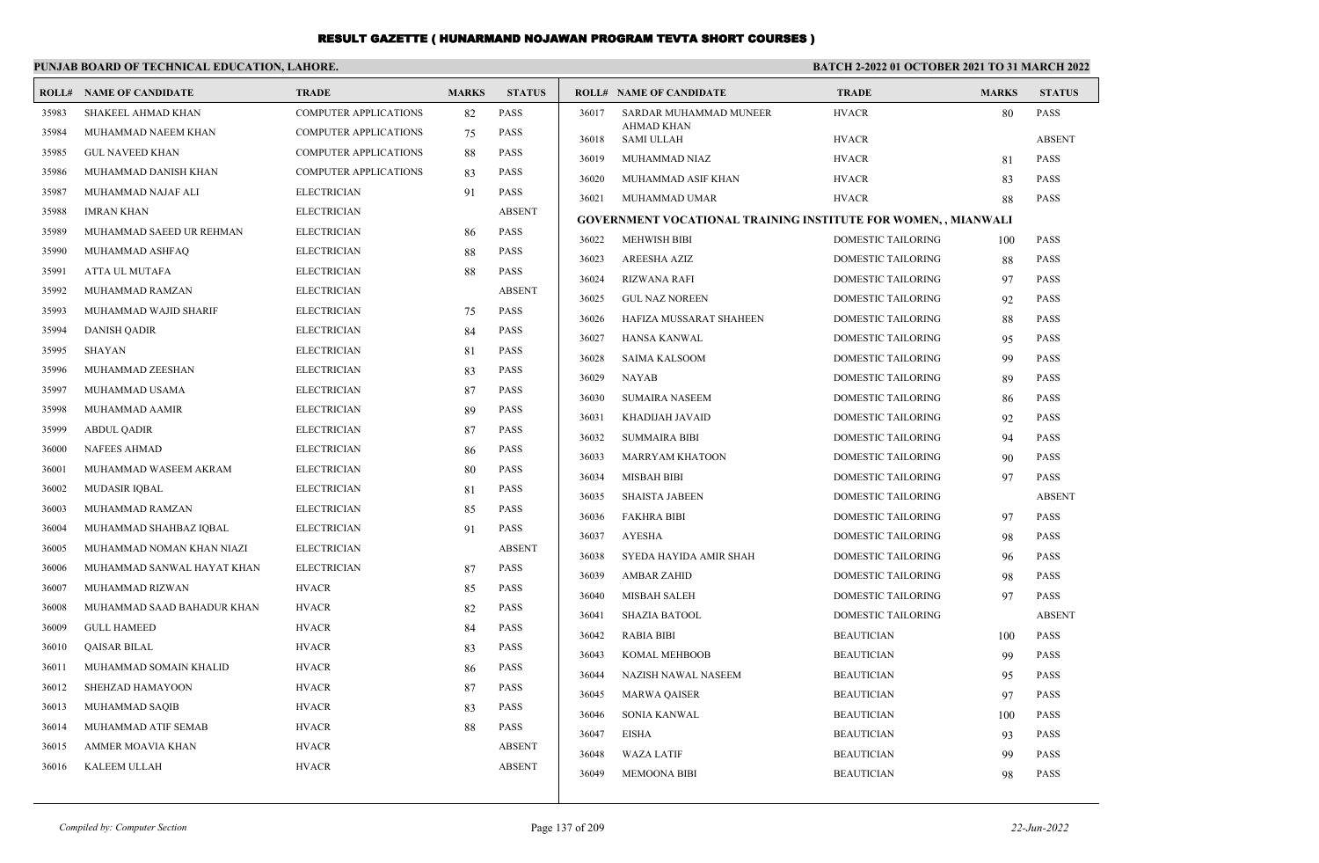|       | PUNJAB BOARD OF TECHNICAL EDUCATION, LAHORE. |                              |              | <b>BATCH 2-2022 01 OCTOBER 2021 TO 31 MARCH 2022</b> |       |                                                                       |                           |              |               |
|-------|----------------------------------------------|------------------------------|--------------|------------------------------------------------------|-------|-----------------------------------------------------------------------|---------------------------|--------------|---------------|
|       | <b>ROLL# NAME OF CANDIDATE</b>               | <b>TRADE</b>                 | <b>MARKS</b> | <b>STATUS</b>                                        |       | <b>ROLL# NAME OF CANDIDATE</b>                                        | <b>TRADE</b>              | <b>MARKS</b> | <b>STATUS</b> |
| 35983 | SHAKEEL AHMAD KHAN                           | <b>COMPUTER APPLICATIONS</b> | 82           | <b>PASS</b>                                          | 36017 | SARDAR MUHAMMAD MUNEER                                                | <b>HVACR</b>              | 80           | PASS          |
| 35984 | MUHAMMAD NAEEM KHAN                          | <b>COMPUTER APPLICATIONS</b> | 75           | <b>PASS</b>                                          | 36018 | <b>AHMAD KHAN</b><br><b>SAMI ULLAH</b>                                | <b>HVACR</b>              |              | <b>ABSENT</b> |
| 35985 | <b>GUL NAVEED KHAN</b>                       | <b>COMPUTER APPLICATIONS</b> | 88           | <b>PASS</b>                                          | 36019 | MUHAMMAD NIAZ                                                         | <b>HVACR</b>              | 81           | PASS          |
| 35986 | MUHAMMAD DANISH KHAN                         | <b>COMPUTER APPLICATIONS</b> | 83           | <b>PASS</b>                                          | 36020 | MUHAMMAD ASIF KHAN                                                    | <b>HVACR</b>              | 83           | PASS          |
| 35987 | MUHAMMAD NAJAF ALI                           | <b>ELECTRICIAN</b>           | 91           | <b>PASS</b>                                          | 36021 | MUHAMMAD UMAR                                                         | <b>HVACR</b>              | 88           | <b>PASS</b>   |
| 35988 | <b>IMRAN KHAN</b>                            | <b>ELECTRICIAN</b>           |              | <b>ABSENT</b>                                        |       | <b>GOVERNMENT VOCATIONAL TRAINING INSTITUTE FOR WOMEN, , MIANWALI</b> |                           |              |               |
| 35989 | MUHAMMAD SAEED UR REHMAN                     | <b>ELECTRICIAN</b>           | 86           | <b>PASS</b>                                          | 36022 | <b>MEHWISH BIBI</b>                                                   | <b>DOMESTIC TAILORING</b> | 100          | <b>PASS</b>   |
| 35990 | MUHAMMAD ASHFAQ                              | <b>ELECTRICIAN</b>           | 88           | <b>PASS</b>                                          | 36023 | AREESHA AZIZ                                                          | <b>DOMESTIC TAILORING</b> | 88           | <b>PASS</b>   |
| 35991 | ATTA UL MUTAFA                               | <b>ELECTRICIAN</b>           | 88           | <b>PASS</b>                                          | 36024 | <b>RIZWANA RAFI</b>                                                   | DOMESTIC TAILORING        | 97           | PASS          |
| 35992 | MUHAMMAD RAMZAN                              | <b>ELECTRICIAN</b>           |              | <b>ABSENT</b>                                        | 36025 | <b>GUL NAZ NOREEN</b>                                                 | DOMESTIC TAILORING        | 92           | <b>PASS</b>   |
| 35993 | MUHAMMAD WAJID SHARIF                        | <b>ELECTRICIAN</b>           | 75           | <b>PASS</b>                                          | 36026 | HAFIZA MUSSARAT SHAHEEN                                               | DOMESTIC TAILORING        | 88           | PASS          |
| 35994 | <b>DANISH QADIR</b>                          | <b>ELECTRICIAN</b>           | 84           | <b>PASS</b>                                          | 36027 | <b>HANSA KANWAL</b>                                                   | <b>DOMESTIC TAILORING</b> | 95           | <b>PASS</b>   |
| 35995 | <b>SHAYAN</b>                                | <b>ELECTRICIAN</b>           | 81           | <b>PASS</b>                                          | 36028 | <b>SAIMA KALSOOM</b>                                                  | DOMESTIC TAILORING        | 99           | PASS          |
| 35996 | MUHAMMAD ZEESHAN                             | <b>ELECTRICIAN</b>           | 83           | <b>PASS</b>                                          | 36029 | <b>NAYAB</b>                                                          | DOMESTIC TAILORING        | 89           | PASS          |
| 35997 | MUHAMMAD USAMA                               | <b>ELECTRICIAN</b>           | 87           | <b>PASS</b>                                          | 36030 | <b>SUMAIRA NASEEM</b>                                                 | <b>DOMESTIC TAILORING</b> | 86           | PASS          |
| 35998 | MUHAMMAD AAMIR                               | <b>ELECTRICIAN</b>           | 89           | <b>PASS</b>                                          | 36031 | KHADIJAH JAVAID                                                       | DOMESTIC TAILORING        | 92           | PASS          |
| 35999 | <b>ABDUL QADIR</b>                           | <b>ELECTRICIAN</b>           | 87           | <b>PASS</b>                                          | 36032 | <b>SUMMAIRA BIBI</b>                                                  | DOMESTIC TAILORING        | 94           | PASS          |
| 36000 | NAFEES AHMAD                                 | <b>ELECTRICIAN</b>           | 86           | <b>PASS</b>                                          | 36033 | <b>MARRYAM KHATOON</b>                                                | DOMESTIC TAILORING        | 90           | PASS          |
| 36001 | MUHAMMAD WASEEM AKRAM                        | <b>ELECTRICIAN</b>           | 80           | <b>PASS</b>                                          | 36034 | <b>MISBAH BIBI</b>                                                    | <b>DOMESTIC TAILORING</b> | 97           | <b>PASS</b>   |
| 36002 | <b>MUDASIR IOBAL</b>                         | <b>ELECTRICIAN</b>           | 81           | <b>PASS</b>                                          | 36035 | <b>SHAISTA JABEEN</b>                                                 | <b>DOMESTIC TAILORING</b> |              | <b>ABSENT</b> |
| 36003 | MUHAMMAD RAMZAN                              | <b>ELECTRICIAN</b>           | 85           | <b>PASS</b>                                          | 36036 | <b>FAKHRA BIBI</b>                                                    | DOMESTIC TAILORING        | 97           | PASS          |
| 36004 | MUHAMMAD SHAHBAZ IQBAL                       | <b>ELECTRICIAN</b>           | 91           | <b>PASS</b>                                          | 36037 | <b>AYESHA</b>                                                         | <b>DOMESTIC TAILORING</b> | 98           | PASS          |
| 36005 | MUHAMMAD NOMAN KHAN NIAZI                    | <b>ELECTRICIAN</b>           |              | <b>ABSENT</b>                                        | 36038 | SYEDA HAYIDA AMIR SHAH                                                | <b>DOMESTIC TAILORING</b> | 96           | <b>PASS</b>   |
| 36006 | MUHAMMAD SANWAL HAYAT KHAN                   | <b>ELECTRICIAN</b>           | 87           | <b>PASS</b>                                          | 36039 | <b>AMBAR ZAHID</b>                                                    | <b>DOMESTIC TAILORING</b> | 98           | <b>PASS</b>   |
| 36007 | MUHAMMAD RIZWAN                              | <b>HVACR</b>                 | 85           | <b>PASS</b>                                          | 36040 | <b>MISBAH SALEH</b>                                                   | <b>DOMESTIC TAILORING</b> | 97           | PASS          |
| 36008 | MUHAMMAD SAAD BAHADUR KHAN                   | <b>HVACR</b>                 | 82           | <b>PASS</b>                                          | 36041 | <b>SHAZIA BATOOL</b>                                                  | <b>DOMESTIC TAILORING</b> |              | <b>ABSENT</b> |
| 36009 | <b>GULL HAMEED</b>                           | <b>HVACR</b>                 | 84           | <b>PASS</b>                                          | 36042 | <b>RABIA BIBI</b>                                                     | <b>BEAUTICIAN</b>         | 100          | <b>PASS</b>   |
| 36010 | <b>QAISAR BILAL</b>                          | <b>HVACR</b>                 | 83           | <b>PASS</b>                                          | 36043 | <b>KOMAL MEHBOOB</b>                                                  | <b>BEAUTICIAN</b>         | 99           | PASS          |
| 36011 | MUHAMMAD SOMAIN KHALID                       | <b>HVACR</b>                 | 86           | <b>PASS</b>                                          | 36044 | NAZISH NAWAL NASEEM                                                   | <b>BEAUTICIAN</b>         | 95           | PASS          |
| 36012 | SHEHZAD HAMAYOON                             | <b>HVACR</b>                 | 87           | <b>PASS</b>                                          | 36045 | <b>MARWA QAISER</b>                                                   | <b>BEAUTICIAN</b>         | 97           | PASS          |
| 36013 | <b>MUHAMMAD SAQIB</b>                        | <b>HVACR</b>                 | 83           | <b>PASS</b>                                          | 36046 | <b>SONIA KANWAL</b>                                                   | <b>BEAUTICIAN</b>         | 100          | <b>PASS</b>   |
| 36014 | MUHAMMAD ATIF SEMAB                          | <b>HVACR</b>                 | 88           | <b>PASS</b>                                          | 36047 | <b>EISHA</b>                                                          | <b>BEAUTICIAN</b>         | 93           | PASS          |
| 36015 | AMMER MOAVIA KHAN                            | <b>HVACR</b>                 |              | <b>ABSENT</b>                                        | 36048 | <b>WAZA LATIF</b>                                                     | <b>BEAUTICIAN</b>         | 99           | PASS          |
| 36016 | KALEEM ULLAH                                 | <b>HVACR</b>                 |              | <b>ABSENT</b>                                        | 36049 | <b>MEMOONA BIBI</b>                                                   | <b>BEAUTICIAN</b>         | 98           | <b>PASS</b>   |
|       |                                              |                              |              |                                                      |       |                                                                       |                           |              |               |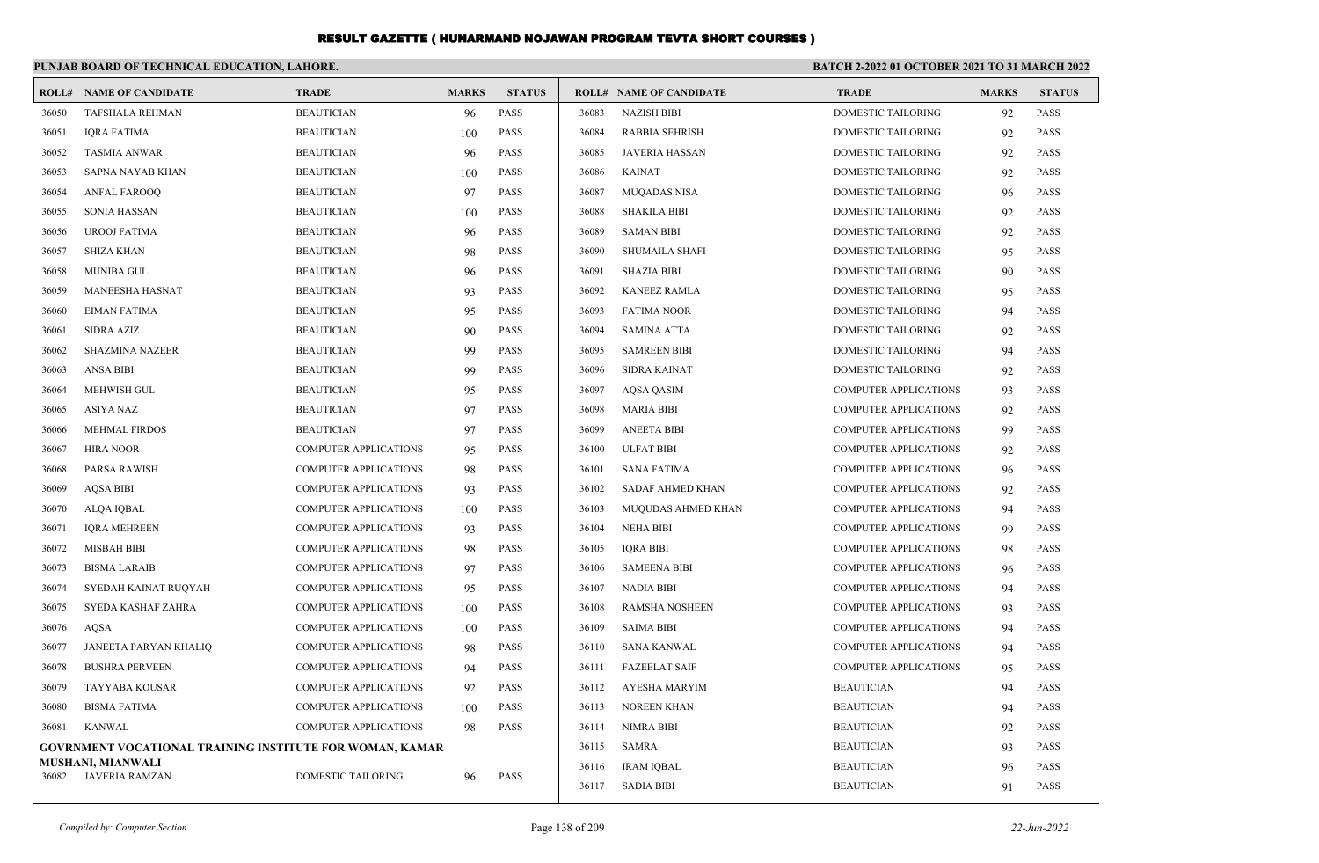|       | PUNJAB BOARD OF TECHNICAL EDUCATION, LAHORE.                    |                              |              |               | <b>BATCH 2-2022 01 OCTOBER 2021 TO 31 MARCH 2022</b> |                                |                              |              |               |
|-------|-----------------------------------------------------------------|------------------------------|--------------|---------------|------------------------------------------------------|--------------------------------|------------------------------|--------------|---------------|
|       | <b>ROLL# NAME OF CANDIDATE</b>                                  | <b>TRADE</b>                 | <b>MARKS</b> | <b>STATUS</b> |                                                      | <b>ROLL# NAME OF CANDIDATE</b> | <b>TRADE</b>                 | <b>MARKS</b> | <b>STATUS</b> |
| 36050 | <b>TAFSHALA REHMAN</b>                                          | <b>BEAUTICIAN</b>            | 96           | PASS          | 36083                                                | <b>NAZISH BIBI</b>             | DOMESTIC TAILORING           | 92           | <b>PASS</b>   |
| 36051 | <b>IQRA FATIMA</b>                                              | <b>BEAUTICIAN</b>            | 100          | <b>PASS</b>   | 36084                                                | <b>RABBIA SEHRISH</b>          | DOMESTIC TAILORING           | 92           | <b>PASS</b>   |
| 36052 | <b>TASMIA ANWAR</b>                                             | <b>BEAUTICIAN</b>            | 96           | <b>PASS</b>   | 36085                                                | <b>JAVERIA HASSAN</b>          | <b>DOMESTIC TAILORING</b>    | 92           | <b>PASS</b>   |
| 36053 | SAPNA NAYAB KHAN                                                | <b>BEAUTICIAN</b>            | 100          | <b>PASS</b>   | 36086                                                | <b>KAINAT</b>                  | <b>DOMESTIC TAILORING</b>    | 92           | <b>PASS</b>   |
| 36054 | <b>ANFAL FAROOQ</b>                                             | <b>BEAUTICIAN</b>            | 97           | <b>PASS</b>   | 36087                                                | <b>MUQADAS NISA</b>            | DOMESTIC TAILORING           | 96           | <b>PASS</b>   |
| 36055 | <b>SONIA HASSAN</b>                                             | <b>BEAUTICIAN</b>            | 100          | <b>PASS</b>   | 36088                                                | <b>SHAKILA BIBI</b>            | DOMESTIC TAILORING           | 92           | <b>PASS</b>   |
| 36056 | <b>UROOJ FATIMA</b>                                             | <b>BEAUTICIAN</b>            | 96           | <b>PASS</b>   | 36089                                                | <b>SAMAN BIBI</b>              | <b>DOMESTIC TAILORING</b>    | 92           | <b>PASS</b>   |
| 36057 | <b>SHIZA KHAN</b>                                               | <b>BEAUTICIAN</b>            | 98           | <b>PASS</b>   | 36090                                                | <b>SHUMAILA SHAFI</b>          | <b>DOMESTIC TAILORING</b>    | 95           | <b>PASS</b>   |
| 36058 | <b>MUNIBA GUL</b>                                               | <b>BEAUTICIAN</b>            | 96           | <b>PASS</b>   | 36091                                                | <b>SHAZIA BIBI</b>             | <b>DOMESTIC TAILORING</b>    | 90           | <b>PASS</b>   |
| 36059 | MANEESHA HASNAT                                                 | <b>BEAUTICIAN</b>            | 93           | <b>PASS</b>   | 36092                                                | <b>KANEEZ RAMLA</b>            | <b>DOMESTIC TAILORING</b>    | 95           | <b>PASS</b>   |
| 36060 | <b>EIMAN FATIMA</b>                                             | <b>BEAUTICIAN</b>            | 95           | <b>PASS</b>   | 36093                                                | <b>FATIMA NOOR</b>             | <b>DOMESTIC TAILORING</b>    | 94           | <b>PASS</b>   |
| 36061 | <b>SIDRA AZIZ</b>                                               | <b>BEAUTICIAN</b>            | 90           | <b>PASS</b>   | 36094                                                | <b>SAMINA ATTA</b>             | <b>DOMESTIC TAILORING</b>    | 92           | <b>PASS</b>   |
| 36062 | <b>SHAZMINA NAZEER</b>                                          | <b>BEAUTICIAN</b>            | 99           | <b>PASS</b>   | 36095                                                | <b>SAMREEN BIBI</b>            | DOMESTIC TAILORING           | 94           | <b>PASS</b>   |
| 36063 | <b>ANSA BIBI</b>                                                | <b>BEAUTICIAN</b>            | 99           | <b>PASS</b>   | 36096                                                | <b>SIDRA KAINAT</b>            | DOMESTIC TAILORING           | 92           | <b>PASS</b>   |
| 36064 | <b>MEHWISH GUL</b>                                              | <b>BEAUTICIAN</b>            | 95           | <b>PASS</b>   | 36097                                                | <b>AQSA QASIM</b>              | <b>COMPUTER APPLICATIONS</b> | 93           | <b>PASS</b>   |
| 36065 | <b>ASIYA NAZ</b>                                                | <b>BEAUTICIAN</b>            | 97           | <b>PASS</b>   | 36098                                                | <b>MARIA BIBI</b>              | <b>COMPUTER APPLICATIONS</b> | 92           | <b>PASS</b>   |
| 36066 | <b>MEHMAL FIRDOS</b>                                            | <b>BEAUTICIAN</b>            | 97           | <b>PASS</b>   | 36099                                                | <b>ANEETA BIBI</b>             | <b>COMPUTER APPLICATIONS</b> | 99           | <b>PASS</b>   |
| 36067 | <b>HIRA NOOR</b>                                                | <b>COMPUTER APPLICATIONS</b> | 95           | <b>PASS</b>   | 36100                                                | <b>ULFAT BIBI</b>              | <b>COMPUTER APPLICATIONS</b> | 92           | <b>PASS</b>   |
| 36068 | PARSA RAWISH                                                    | <b>COMPUTER APPLICATIONS</b> | 98           | <b>PASS</b>   | 36101                                                | <b>SANA FATIMA</b>             | <b>COMPUTER APPLICATIONS</b> | 96           | <b>PASS</b>   |
| 36069 | <b>AOSA BIBI</b>                                                | <b>COMPUTER APPLICATIONS</b> | 93           | <b>PASS</b>   | 36102                                                | <b>SADAF AHMED KHAN</b>        | <b>COMPUTER APPLICATIONS</b> | 92           | <b>PASS</b>   |
| 36070 | ALQA IQBAL                                                      | <b>COMPUTER APPLICATIONS</b> | 100          | <b>PASS</b>   | 36103                                                | MUQUDAS AHMED KHAN             | <b>COMPUTER APPLICATIONS</b> | 94           | <b>PASS</b>   |
| 36071 | <b>IQRA MEHREEN</b>                                             | <b>COMPUTER APPLICATIONS</b> | 93           | <b>PASS</b>   | 36104                                                | <b>NEHA BIBI</b>               | <b>COMPUTER APPLICATIONS</b> | 99           | <b>PASS</b>   |
| 36072 | <b>MISBAH BIBI</b>                                              | <b>COMPUTER APPLICATIONS</b> | 98           | <b>PASS</b>   | 36105                                                | <b>IQRA BIBI</b>               | <b>COMPUTER APPLICATIONS</b> | 98           | <b>PASS</b>   |
| 36073 | <b>BISMA LARAIB</b>                                             | <b>COMPUTER APPLICATIONS</b> | 97           | <b>PASS</b>   | 36106                                                | <b>SAMEENA BIBI</b>            | <b>COMPUTER APPLICATIONS</b> | 96           | <b>PASS</b>   |
| 36074 | SYEDAH KAINAT RUQYAH                                            | <b>COMPUTER APPLICATIONS</b> | 95           | <b>PASS</b>   | 36107                                                | NADIA BIBI                     | <b>COMPUTER APPLICATIONS</b> | 94           | <b>PASS</b>   |
| 36075 | SYEDA KASHAF ZAHRA                                              | <b>COMPUTER APPLICATIONS</b> | 100          | <b>PASS</b>   | 36108                                                | RAMSHA NOSHEEN                 | COMPUTER APPLICATIONS        | 93           | <b>PASS</b>   |
| 36076 | <b>AQSA</b>                                                     | <b>COMPUTER APPLICATIONS</b> | 100          | <b>PASS</b>   | 36109                                                | <b>SAIMA BIBI</b>              | <b>COMPUTER APPLICATIONS</b> | 94           | <b>PASS</b>   |
| 36077 | JANEETA PARYAN KHALIQ                                           | <b>COMPUTER APPLICATIONS</b> | 98           | <b>PASS</b>   | 36110                                                | <b>SANA KANWAL</b>             | <b>COMPUTER APPLICATIONS</b> | 94           | <b>PASS</b>   |
| 36078 | <b>BUSHRA PERVEEN</b>                                           | <b>COMPUTER APPLICATIONS</b> | 94           | <b>PASS</b>   | 36111                                                | <b>FAZEELAT SAIF</b>           | <b>COMPUTER APPLICATIONS</b> | 95           | <b>PASS</b>   |
| 36079 | <b>TAYYABA KOUSAR</b>                                           | <b>COMPUTER APPLICATIONS</b> | 92           | PASS          | 36112                                                | <b>AYESHA MARYIM</b>           | <b>BEAUTICIAN</b>            | 94           | <b>PASS</b>   |
| 36080 | <b>BISMA FATIMA</b>                                             | <b>COMPUTER APPLICATIONS</b> | 100          | <b>PASS</b>   | 36113                                                | <b>NOREEN KHAN</b>             | <b>BEAUTICIAN</b>            | 94           | <b>PASS</b>   |
| 36081 | <b>KANWAL</b>                                                   | <b>COMPUTER APPLICATIONS</b> | 98           | <b>PASS</b>   | 36114                                                | <b>NIMRA BIBI</b>              | <b>BEAUTICIAN</b>            | 92           | <b>PASS</b>   |
|       | <b>GOVRNMENT VOCATIONAL TRAINING INSTITUTE FOR WOMAN, KAMAR</b> |                              |              |               | 36115                                                | <b>SAMRA</b>                   | <b>BEAUTICIAN</b>            | 93           | <b>PASS</b>   |
| 36082 | MUSHANI, MIANWALI<br>JAVERIA RAMZAN                             | DOMESTIC TAILORING           | 96           | <b>PASS</b>   | 36116                                                | <b>IRAM IQBAL</b>              | <b>BEAUTICIAN</b>            | 96           | <b>PASS</b>   |
|       |                                                                 |                              |              |               | 36117                                                | <b>SADIA BIBI</b>              | <b>BEAUTICIAN</b>            | 91           | <b>PASS</b>   |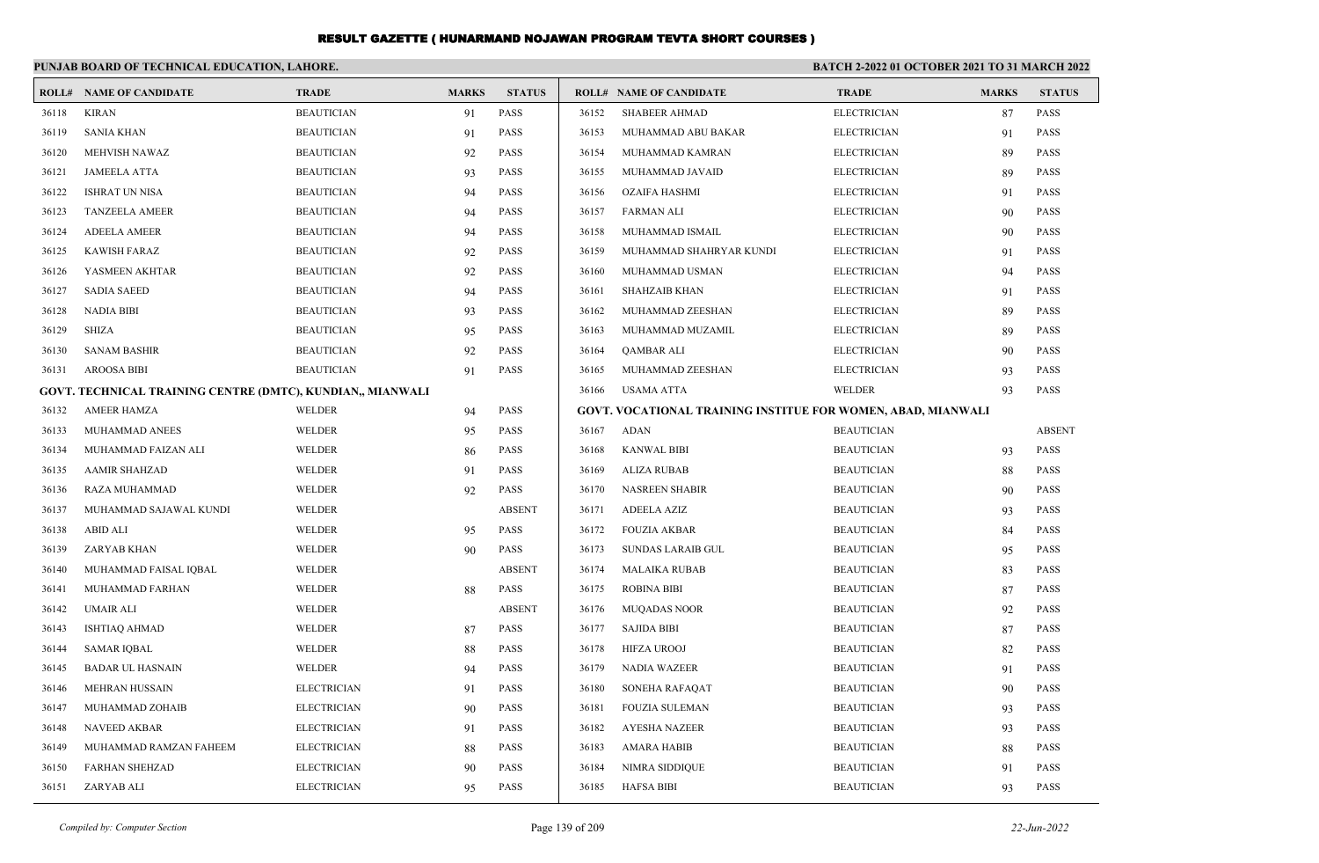|       | PUNJAB BOARD OF TECHNICAL EDUCATION, LAHORE.               |                    |              |               | <b>BATCH 2-2022 01 OCTOBER 2021 TO 31 MARCH 2022</b>                |                                |                    |              |               |  |
|-------|------------------------------------------------------------|--------------------|--------------|---------------|---------------------------------------------------------------------|--------------------------------|--------------------|--------------|---------------|--|
|       | <b>ROLL# NAME OF CANDIDATE</b>                             | <b>TRADE</b>       | <b>MARKS</b> | <b>STATUS</b> |                                                                     | <b>ROLL# NAME OF CANDIDATE</b> | <b>TRADE</b>       | <b>MARKS</b> | <b>STATUS</b> |  |
| 36118 | <b>KIRAN</b>                                               | <b>BEAUTICIAN</b>  | 91           | <b>PASS</b>   | 36152                                                               | <b>SHABEER AHMAD</b>           | <b>ELECTRICIAN</b> | 87           | <b>PASS</b>   |  |
| 36119 | <b>SANIA KHAN</b>                                          | <b>BEAUTICIAN</b>  | 91           | <b>PASS</b>   | 36153                                                               | MUHAMMAD ABU BAKAR             | <b>ELECTRICIAN</b> | 91           | <b>PASS</b>   |  |
| 36120 | <b>MEHVISH NAWAZ</b>                                       | <b>BEAUTICIAN</b>  | 92           | <b>PASS</b>   | 36154                                                               | MUHAMMAD KAMRAN                | <b>ELECTRICIAN</b> | 89           | <b>PASS</b>   |  |
| 36121 | <b>JAMEELA ATTA</b>                                        | <b>BEAUTICIAN</b>  | 93           | <b>PASS</b>   | 36155                                                               | MUHAMMAD JAVAID                | <b>ELECTRICIAN</b> | 89           | <b>PASS</b>   |  |
| 36122 | <b>ISHRAT UN NISA</b>                                      | <b>BEAUTICIAN</b>  | 94           | <b>PASS</b>   | 36156                                                               | OZAIFA HASHMI                  | <b>ELECTRICIAN</b> | 91           | <b>PASS</b>   |  |
| 36123 | <b>TANZEELA AMEER</b>                                      | <b>BEAUTICIAN</b>  | 94           | <b>PASS</b>   | 36157                                                               | FARMAN ALI                     | <b>ELECTRICIAN</b> | 90           | <b>PASS</b>   |  |
| 36124 | <b>ADEELA AMEER</b>                                        | <b>BEAUTICIAN</b>  | 94           | <b>PASS</b>   | 36158                                                               | MUHAMMAD ISMAIL                | <b>ELECTRICIAN</b> | 90           | <b>PASS</b>   |  |
| 36125 | <b>KAWISH FARAZ</b>                                        | <b>BEAUTICIAN</b>  | 92           | <b>PASS</b>   | 36159                                                               | MUHAMMAD SHAHRYAR KUNDI        | <b>ELECTRICIAN</b> | 91           | <b>PASS</b>   |  |
| 36126 | YASMEEN AKHTAR                                             | <b>BEAUTICIAN</b>  | 92           | <b>PASS</b>   | 36160                                                               | MUHAMMAD USMAN                 | <b>ELECTRICIAN</b> | 94           | <b>PASS</b>   |  |
| 36127 | <b>SADIA SAEED</b>                                         | <b>BEAUTICIAN</b>  | 94           | <b>PASS</b>   | 36161                                                               | SHAHZAIB KHAN                  | <b>ELECTRICIAN</b> | 91           | <b>PASS</b>   |  |
| 36128 | NADIA BIBI                                                 | <b>BEAUTICIAN</b>  | 93           | <b>PASS</b>   | 36162                                                               | MUHAMMAD ZEESHAN               | <b>ELECTRICIAN</b> | 89           | <b>PASS</b>   |  |
| 36129 | SHIZA                                                      | <b>BEAUTICIAN</b>  | 95           | <b>PASS</b>   | 36163                                                               | MUHAMMAD MUZAMIL               | <b>ELECTRICIAN</b> | 89           | <b>PASS</b>   |  |
| 36130 | <b>SANAM BASHIR</b>                                        | <b>BEAUTICIAN</b>  | 92           | <b>PASS</b>   | 36164                                                               | <b>QAMBAR ALI</b>              | <b>ELECTRICIAN</b> | 90           | <b>PASS</b>   |  |
| 36131 | <b>AROOSA BIBI</b>                                         | <b>BEAUTICIAN</b>  | 91           | <b>PASS</b>   | 36165                                                               | MUHAMMAD ZEESHAN               | <b>ELECTRICIAN</b> | 93           | <b>PASS</b>   |  |
|       | GOVT. TECHNICAL TRAINING CENTRE (DMTC), KUNDIAN,, MIANWALI |                    |              |               | 36166                                                               | USAMA ATTA                     | WELDER             | 93           | <b>PASS</b>   |  |
| 36132 | AMEER HAMZA                                                | WELDER             | 94           | <b>PASS</b>   | <b>GOVT. VOCATIONAL TRAINING INSTITUE FOR WOMEN, ABAD, MIANWALI</b> |                                |                    |              |               |  |
| 36133 | MUHAMMAD ANEES                                             | WELDER             | 95           | <b>PASS</b>   | 36167                                                               | ADAN                           | <b>BEAUTICIAN</b>  |              | <b>ABSENT</b> |  |
| 36134 | MUHAMMAD FAIZAN ALI                                        | WELDER             | 86           | <b>PASS</b>   | 36168                                                               | <b>KANWAL BIBI</b>             | <b>BEAUTICIAN</b>  | 93           | <b>PASS</b>   |  |
| 36135 | <b>AAMIR SHAHZAD</b>                                       | WELDER             | 91           | <b>PASS</b>   | 36169                                                               | <b>ALIZA RUBAB</b>             | <b>BEAUTICIAN</b>  | 88           | <b>PASS</b>   |  |
| 36136 | RAZA MUHAMMAD                                              | WELDER             | 92           | PASS          | 36170                                                               | <b>NASREEN SHABIR</b>          | <b>BEAUTICIAN</b>  | 90           | <b>PASS</b>   |  |
| 36137 | MUHAMMAD SAJAWAL KUNDI                                     | WELDER             |              | <b>ABSENT</b> | 36171                                                               | <b>ADEELA AZIZ</b>             | <b>BEAUTICIAN</b>  | 93           | <b>PASS</b>   |  |
| 36138 | ABID ALI                                                   | WELDER             | 95           | <b>PASS</b>   | 36172                                                               | <b>FOUZIA AKBAR</b>            | <b>BEAUTICIAN</b>  | 84           | <b>PASS</b>   |  |
| 36139 | ZARYAB KHAN                                                | WELDER             | 90           | PASS          | 36173                                                               | SUNDAS LARAIB GUL              | <b>BEAUTICIAN</b>  | 95           | <b>PASS</b>   |  |
| 36140 | MUHAMMAD FAISAL IQBAL                                      | WELDER             |              | <b>ABSENT</b> | 36174                                                               | MALAIKA RUBAB                  | <b>BEAUTICIAN</b>  | 83           | <b>PASS</b>   |  |
| 36141 | MUHAMMAD FARHAN                                            | WELDER             | 88           | PASS          | 36175                                                               | <b>ROBINA BIBI</b>             | <b>BEAUTICIAN</b>  | 87           | <b>PASS</b>   |  |
| 36142 | UMAIR ALI                                                  | WELDER             |              | <b>ABSENT</b> | 36176                                                               | <b>MUQADAS NOOR</b>            | <b>BEAUTICIAN</b>  | 92           | <b>PASS</b>   |  |
| 36143 | <b>ISHTIAO AHMAD</b>                                       | WELDER             | 87           | <b>PASS</b>   | 36177                                                               | <b>SAJIDA BIBI</b>             | <b>BEAUTICIAN</b>  | 87           | <b>PASS</b>   |  |
| 36144 | <b>SAMAR IQBAL</b>                                         | WELDER             | 88           | PASS          | 36178                                                               | HIFZA UROOJ                    | <b>BEAUTICIAN</b>  | 82           | <b>PASS</b>   |  |
| 36145 | <b>BADAR UL HASNAIN</b>                                    | WELDER             | 94           | <b>PASS</b>   | 36179                                                               | <b>NADIA WAZEER</b>            | <b>BEAUTICIAN</b>  | 91           | <b>PASS</b>   |  |
| 36146 | MEHRAN HUSSAIN                                             | <b>ELECTRICIAN</b> | 91           | PASS          |                                                                     | 36180 SONEHA RAFAQAT           | BEAUTICIAN         | 90           | PASS          |  |
| 36147 | MUHAMMAD ZOHAIB                                            | <b>ELECTRICIAN</b> | 90           | PASS          | 36181                                                               | FOUZIA SULEMAN                 | <b>BEAUTICIAN</b>  | 93           | PASS          |  |
| 36148 | NAVEED AKBAR                                               | <b>ELECTRICIAN</b> | 91           | PASS          | 36182                                                               | <b>AYESHA NAZEER</b>           | <b>BEAUTICIAN</b>  | 93           | <b>PASS</b>   |  |
| 36149 | MUHAMMAD RAMZAN FAHEEM                                     | <b>ELECTRICIAN</b> | 88           | PASS          | 36183                                                               | AMARA HABIB                    | <b>BEAUTICIAN</b>  | 88           | <b>PASS</b>   |  |
| 36150 | <b>FARHAN SHEHZAD</b>                                      | <b>ELECTRICIAN</b> | 90           | PASS          | 36184                                                               | NIMRA SIDDIQUE                 | <b>BEAUTICIAN</b>  | 91           | <b>PASS</b>   |  |
| 36151 | ZARYAB ALI                                                 | <b>ELECTRICIAN</b> | 95           | PASS          | 36185                                                               | <b>HAFSA BIBI</b>              | <b>BEAUTICIAN</b>  | 93           | <b>PASS</b>   |  |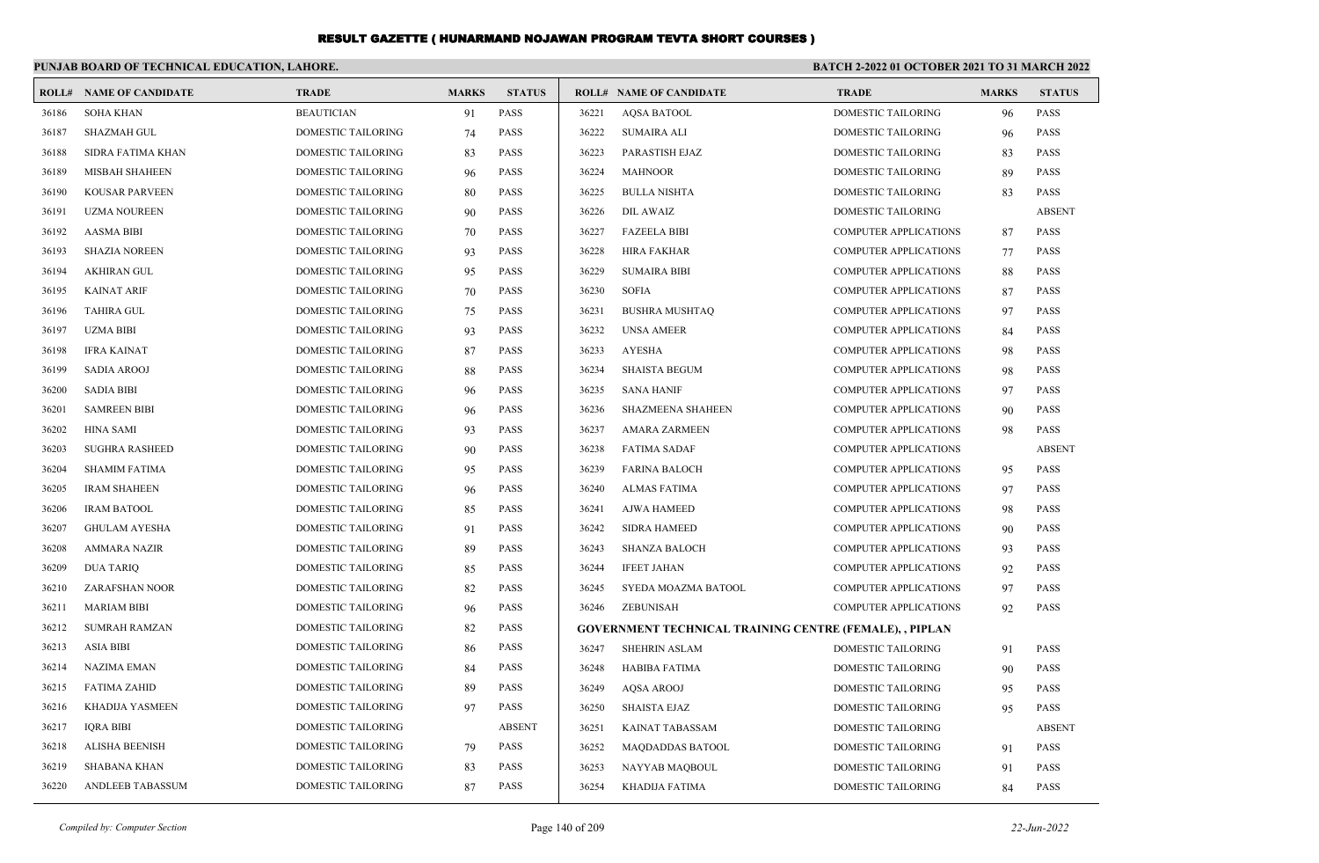|       | PUNJAB BOARD OF TECHNICAL EDUCATION, LAHORE. |                           |              |               |       |                                                                | <b>BATCH 2-2022 01 OCTOBER 2021 TO 31 MARCH 2022</b> |              |               |
|-------|----------------------------------------------|---------------------------|--------------|---------------|-------|----------------------------------------------------------------|------------------------------------------------------|--------------|---------------|
|       | <b>ROLL# NAME OF CANDIDATE</b>               | <b>TRADE</b>              | <b>MARKS</b> | <b>STATUS</b> |       | <b>ROLL# NAME OF CANDIDATE</b>                                 | <b>TRADE</b>                                         | <b>MARKS</b> | <b>STATUS</b> |
| 36186 | <b>SOHA KHAN</b>                             | <b>BEAUTICIAN</b>         | 91           | <b>PASS</b>   | 36221 | <b>AOSA BATOOL</b>                                             | <b>DOMESTIC TAILORING</b>                            | 96           | <b>PASS</b>   |
| 36187 | <b>SHAZMAH GUL</b>                           | <b>DOMESTIC TAILORING</b> | 74           | <b>PASS</b>   | 36222 | <b>SUMAIRA ALI</b>                                             | <b>DOMESTIC TAILORING</b>                            | 96           | <b>PASS</b>   |
| 36188 | SIDRA FATIMA KHAN                            | DOMESTIC TAILORING        | 83           | PASS          | 36223 | PARASTISH EJAZ                                                 | DOMESTIC TAILORING                                   | 83           | PASS          |
| 36189 | <b>MISBAH SHAHEEN</b>                        | DOMESTIC TAILORING        | 96           | <b>PASS</b>   | 36224 | <b>MAHNOOR</b>                                                 | DOMESTIC TAILORING                                   | 89           | <b>PASS</b>   |
| 36190 | <b>KOUSAR PARVEEN</b>                        | DOMESTIC TAILORING        | 80           | <b>PASS</b>   | 36225 | <b>BULLA NISHTA</b>                                            | <b>DOMESTIC TAILORING</b>                            | 83           | <b>PASS</b>   |
| 36191 | <b>UZMA NOUREEN</b>                          | <b>DOMESTIC TAILORING</b> | 90           | <b>PASS</b>   | 36226 | <b>DIL AWAIZ</b>                                               | <b>DOMESTIC TAILORING</b>                            |              | <b>ABSENT</b> |
| 36192 | <b>AASMA BIBI</b>                            | DOMESTIC TAILORING        | 70           | <b>PASS</b>   | 36227 | <b>FAZEELA BIBI</b>                                            | <b>COMPUTER APPLICATIONS</b>                         | 87           | <b>PASS</b>   |
| 36193 | <b>SHAZIA NOREEN</b>                         | DOMESTIC TAILORING        | 93           | <b>PASS</b>   | 36228 | <b>HIRA FAKHAR</b>                                             | <b>COMPUTER APPLICATIONS</b>                         | 77           | <b>PASS</b>   |
| 36194 | <b>AKHIRAN GUL</b>                           | DOMESTIC TAILORING        | 95           | <b>PASS</b>   | 36229 | <b>SUMAIRA BIBI</b>                                            | <b>COMPUTER APPLICATIONS</b>                         | 88           | <b>PASS</b>   |
| 36195 | <b>KAINAT ARIF</b>                           | DOMESTIC TAILORING        | 70           | <b>PASS</b>   | 36230 | <b>SOFIA</b>                                                   | <b>COMPUTER APPLICATIONS</b>                         | 87           | <b>PASS</b>   |
| 36196 | <b>TAHIRA GUL</b>                            | DOMESTIC TAILORING        | 75           | <b>PASS</b>   | 36231 | <b>BUSHRA MUSHTAQ</b>                                          | <b>COMPUTER APPLICATIONS</b>                         | 97           | <b>PASS</b>   |
| 36197 | <b>UZMA BIBI</b>                             | DOMESTIC TAILORING        | 93           | <b>PASS</b>   | 36232 | <b>UNSA AMEER</b>                                              | <b>COMPUTER APPLICATIONS</b>                         | 84           | <b>PASS</b>   |
| 36198 | <b>IFRA KAINAT</b>                           | DOMESTIC TAILORING        | 87           | <b>PASS</b>   | 36233 | <b>AYESHA</b>                                                  | <b>COMPUTER APPLICATIONS</b>                         | 98           | <b>PASS</b>   |
| 36199 | <b>SADIA AROOJ</b>                           | <b>DOMESTIC TAILORING</b> | 88           | <b>PASS</b>   | 36234 | <b>SHAISTA BEGUM</b>                                           | <b>COMPUTER APPLICATIONS</b>                         | 98           | <b>PASS</b>   |
| 36200 | <b>SADIA BIBI</b>                            | DOMESTIC TAILORING        | 96           | <b>PASS</b>   | 36235 | <b>SANA HANIF</b>                                              | <b>COMPUTER APPLICATIONS</b>                         | 97           | <b>PASS</b>   |
| 36201 | <b>SAMREEN BIBI</b>                          | DOMESTIC TAILORING        | 96           | PASS          | 36236 | <b>SHAZMEENA SHAHEEN</b>                                       | <b>COMPUTER APPLICATIONS</b>                         | 90           | PASS          |
| 36202 | <b>HINA SAMI</b>                             | DOMESTIC TAILORING        | 93           | <b>PASS</b>   | 36237 | <b>AMARA ZARMEEN</b>                                           | <b>COMPUTER APPLICATIONS</b>                         | 98           | <b>PASS</b>   |
| 36203 | <b>SUGHRA RASHEED</b>                        | <b>DOMESTIC TAILORING</b> | 90           | <b>PASS</b>   | 36238 | <b>FATIMA SADAF</b>                                            | <b>COMPUTER APPLICATIONS</b>                         |              | <b>ABSENT</b> |
| 36204 | <b>SHAMIM FATIMA</b>                         | DOMESTIC TAILORING        | 95           | <b>PASS</b>   | 36239 | <b>FARINA BALOCH</b>                                           | <b>COMPUTER APPLICATIONS</b>                         | 95           | <b>PASS</b>   |
| 36205 | <b>IRAM SHAHEEN</b>                          | DOMESTIC TAILORING        | 96           | PASS          | 36240 | <b>ALMAS FATIMA</b>                                            | <b>COMPUTER APPLICATIONS</b>                         | 97           | <b>PASS</b>   |
| 36206 | <b>IRAM BATOOL</b>                           | DOMESTIC TAILORING        | 85           | <b>PASS</b>   | 36241 | <b>AJWA HAMEED</b>                                             | <b>COMPUTER APPLICATIONS</b>                         | 98           | <b>PASS</b>   |
| 36207 | <b>GHULAM AYESHA</b>                         | DOMESTIC TAILORING        | 91           | <b>PASS</b>   | 36242 | <b>SIDRA HAMEED</b>                                            | <b>COMPUTER APPLICATIONS</b>                         | 90           | <b>PASS</b>   |
| 36208 | <b>AMMARA NAZIR</b>                          | DOMESTIC TAILORING        | 89           | <b>PASS</b>   | 36243 | <b>SHANZA BALOCH</b>                                           | <b>COMPUTER APPLICATIONS</b>                         | 93           | <b>PASS</b>   |
| 36209 | <b>DUA TARIQ</b>                             | DOMESTIC TAILORING        | 85           | <b>PASS</b>   | 36244 | <b>IFEET JAHAN</b>                                             | <b>COMPUTER APPLICATIONS</b>                         | 92           | <b>PASS</b>   |
| 36210 | ZARAFSHAN NOOR                               | DOMESTIC TAILORING        | 82           | <b>PASS</b>   | 36245 | SYEDA MOAZMA BATOOL                                            | <b>COMPUTER APPLICATIONS</b>                         | 97           | <b>PASS</b>   |
| 36211 | <b>MARIAM BIBI</b>                           | DOMESTIC TAILORING        | 96           | <b>PASS</b>   | 36246 | ZEBUNISAH                                                      | <b>COMPUTER APPLICATIONS</b>                         | 92           | <b>PASS</b>   |
| 36212 | <b>SUMRAH RAMZAN</b>                         | DOMESTIC TAILORING        | 82           | <b>PASS</b>   |       | <b>GOVERNMENT TECHNICAL TRAINING CENTRE (FEMALE), , PIPLAN</b> |                                                      |              |               |
| 36213 | <b>ASIA BIBI</b>                             | DOMESTIC TAILORING        | 86           | <b>PASS</b>   | 36247 | <b>SHEHRIN ASLAM</b>                                           | DOMESTIC TAILORING                                   | 91           | <b>PASS</b>   |
| 36214 | <b>NAZIMA EMAN</b>                           | DOMESTIC TAILORING        | 84           | <b>PASS</b>   | 36248 | <b>HABIBA FATIMA</b>                                           | DOMESTIC TAILORING                                   | 90           | <b>PASS</b>   |
| 36215 | <b>FATIMA ZAHID</b>                          | DOMESTIC TAILORING        | 89           | <b>PASS</b>   | 36249 | <b>AQSA AROOJ</b>                                              | DOMESTIC TAILORING                                   | 95           | <b>PASS</b>   |
| 36216 | KHADIJA YASMEEN                              | <b>DOMESTIC TAILORING</b> | 97           | <b>PASS</b>   | 36250 | <b>SHAISTA EJAZ</b>                                            | DOMESTIC TAILORING                                   | 95           | <b>PASS</b>   |
| 36217 | <b>IQRA BIBI</b>                             | DOMESTIC TAILORING        |              | <b>ABSENT</b> | 36251 | KAINAT TABASSAM                                                | DOMESTIC TAILORING                                   |              | <b>ABSENT</b> |
| 36218 | ALISHA BEENISH                               | DOMESTIC TAILORING        | 79           | <b>PASS</b>   | 36252 | <b>MAQDADDAS BATOOL</b>                                        | DOMESTIC TAILORING                                   | 91           | <b>PASS</b>   |
| 36219 | <b>SHABANA KHAN</b>                          | DOMESTIC TAILORING        | 83           | <b>PASS</b>   | 36253 | NAYYAB MAQBOUL                                                 | <b>DOMESTIC TAILORING</b>                            | 91           | <b>PASS</b>   |
| 36220 | <b>ANDLEEB TABASSUM</b>                      | <b>DOMESTIC TAILORING</b> | 87           | <b>PASS</b>   | 36254 | KHADIJA FATIMA                                                 | DOMESTIC TAILORING                                   | 84           | <b>PASS</b>   |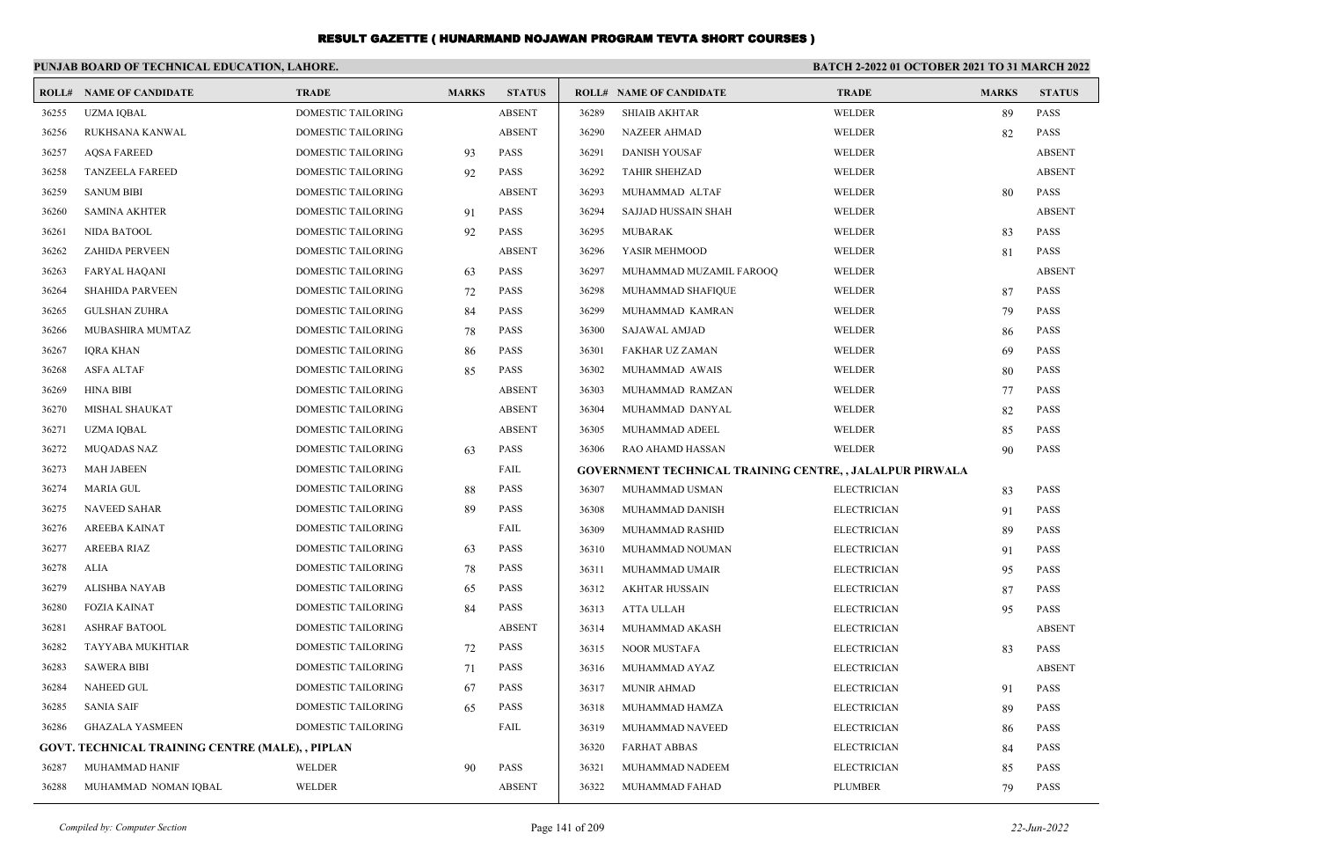|       | PUNJAB BOARD OF TECHNICAL EDUCATION, LAHORE.     |                           |              |               | <b>BATCH 2-2022 01 OCTOBER 2021 TO 31 MARCH 2022</b> |                                                                 |                    |              |               |
|-------|--------------------------------------------------|---------------------------|--------------|---------------|------------------------------------------------------|-----------------------------------------------------------------|--------------------|--------------|---------------|
|       | <b>ROLL# NAME OF CANDIDATE</b>                   | <b>TRADE</b>              | <b>MARKS</b> | <b>STATUS</b> |                                                      | <b>ROLL# NAME OF CANDIDATE</b>                                  | <b>TRADE</b>       | <b>MARKS</b> | <b>STATUS</b> |
| 36255 | <b>UZMA IQBAL</b>                                | DOMESTIC TAILORING        |              | <b>ABSENT</b> | 36289                                                | <b>SHIAIB AKHTAR</b>                                            | WELDER             | 89           | <b>PASS</b>   |
| 36256 | RUKHSANA KANWAL                                  | DOMESTIC TAILORING        |              | <b>ABSENT</b> | 36290                                                | <b>NAZEER AHMAD</b>                                             | WELDER             | 82           | <b>PASS</b>   |
| 36257 | <b>AQSA FAREED</b>                               | DOMESTIC TAILORING        | 93           | <b>PASS</b>   | 36291                                                | <b>DANISH YOUSAF</b>                                            | WELDER             |              | <b>ABSENT</b> |
| 36258 | <b>TANZEELA FAREED</b>                           | DOMESTIC TAILORING        | 92           | <b>PASS</b>   | 36292                                                | <b>TAHIR SHEHZAD</b>                                            | WELDER             |              | <b>ABSENT</b> |
| 36259 | <b>SANUM BIBI</b>                                | DOMESTIC TAILORING        |              | <b>ABSENT</b> | 36293                                                | MUHAMMAD ALTAF                                                  | WELDER             | 80           | <b>PASS</b>   |
| 36260 | <b>SAMINA AKHTER</b>                             | DOMESTIC TAILORING        | 91           | <b>PASS</b>   | 36294                                                | SAJJAD HUSSAIN SHAH                                             | WELDER             |              | <b>ABSENT</b> |
| 36261 | NIDA BATOOL                                      | DOMESTIC TAILORING        | 92           | <b>PASS</b>   | 36295                                                | MUBARAK                                                         | WELDER             | 83           | <b>PASS</b>   |
| 36262 | <b>ZAHIDA PERVEEN</b>                            | DOMESTIC TAILORING        |              | <b>ABSENT</b> | 36296                                                | YASIR MEHMOOD                                                   | WELDER             | 81           | <b>PASS</b>   |
| 36263 | <b>FARYAL HAQANI</b>                             | DOMESTIC TAILORING        | 63           | <b>PASS</b>   | 36297                                                | MUHAMMAD MUZAMIL FAROOQ                                         | WELDER             |              | <b>ABSENT</b> |
| 36264 | <b>SHAHIDA PARVEEN</b>                           | DOMESTIC TAILORING        | 72           | <b>PASS</b>   | 36298                                                | MUHAMMAD SHAFIQUE                                               | WELDER             | 87           | <b>PASS</b>   |
| 36265 | <b>GULSHAN ZUHRA</b>                             | DOMESTIC TAILORING        | 84           | <b>PASS</b>   | 36299                                                | MUHAMMAD KAMRAN                                                 | WELDER             | 79           | <b>PASS</b>   |
| 36266 | MUBASHIRA MUMTAZ                                 | DOMESTIC TAILORING        | 78           | <b>PASS</b>   | 36300                                                | <b>SAJAWAL AMJAD</b>                                            | WELDER             | 86           | <b>PASS</b>   |
| 36267 | <b>IQRA KHAN</b>                                 | DOMESTIC TAILORING        | 86           | <b>PASS</b>   | 36301                                                | <b>FAKHAR UZ ZAMAN</b>                                          | WELDER             | 69           | <b>PASS</b>   |
| 36268 | ASFA ALTAF                                       | DOMESTIC TAILORING        | 85           | <b>PASS</b>   | 36302                                                | MUHAMMAD AWAIS                                                  | WELDER             | 80           | <b>PASS</b>   |
| 36269 | <b>HINA BIBI</b>                                 | DOMESTIC TAILORING        |              | <b>ABSENT</b> | 36303                                                | MUHAMMAD RAMZAN                                                 | WELDER             | 77           | <b>PASS</b>   |
| 36270 | MISHAL SHAUKAT                                   | DOMESTIC TAILORING        |              | <b>ABSENT</b> | 36304                                                | MUHAMMAD DANYAL                                                 | WELDER             | 82           | <b>PASS</b>   |
| 36271 | UZMA IQBAL                                       | DOMESTIC TAILORING        |              | <b>ABSENT</b> | 36305                                                | MUHAMMAD ADEEL                                                  | WELDER             | 85           | <b>PASS</b>   |
| 36272 | <b>MUQADAS NAZ</b>                               | <b>DOMESTIC TAILORING</b> | 63           | <b>PASS</b>   | 36306                                                | RAO AHAMD HASSAN                                                | WELDER             | 90           | <b>PASS</b>   |
| 36273 | <b>MAH JABEEN</b>                                | DOMESTIC TAILORING        |              | FAIL          |                                                      | <b>GOVERNMENT TECHNICAL TRAINING CENTRE, , JALALPUR PIRWALA</b> |                    |              |               |
| 36274 | <b>MARIA GUL</b>                                 | DOMESTIC TAILORING        | 88           | <b>PASS</b>   | 36307                                                | MUHAMMAD USMAN                                                  | <b>ELECTRICIAN</b> | 83           | <b>PASS</b>   |
| 36275 | <b>NAVEED SAHAR</b>                              | DOMESTIC TAILORING        | 89           | PASS          | 36308                                                | MUHAMMAD DANISH                                                 | <b>ELECTRICIAN</b> | 91           | <b>PASS</b>   |
| 36276 | AREEBA KAINAT                                    | DOMESTIC TAILORING        |              | FAIL          | 36309                                                | MUHAMMAD RASHID                                                 | <b>ELECTRICIAN</b> | 89           | <b>PASS</b>   |
| 36277 | <b>AREEBA RIAZ</b>                               | DOMESTIC TAILORING        | 63           | <b>PASS</b>   | 36310                                                | MUHAMMAD NOUMAN                                                 | <b>ELECTRICIAN</b> | 91           | <b>PASS</b>   |
| 36278 | ALIA                                             | DOMESTIC TAILORING        | 78           | <b>PASS</b>   | 36311                                                | MUHAMMAD UMAIR                                                  | <b>ELECTRICIAN</b> | 95           | <b>PASS</b>   |
| 36279 | ALISHBA NAYAB                                    | DOMESTIC TAILORING        | 65           | <b>PASS</b>   | 36312                                                | AKHTAR HUSSAIN                                                  | <b>ELECTRICIAN</b> | 87           | <b>PASS</b>   |
| 36280 | <b>FOZIA KAINAT</b>                              | DOMESTIC TAILORING        | 84           | <b>PASS</b>   | 36313                                                | ATTA ULLAH                                                      | <b>ELECTRICIAN</b> | 95           | <b>PASS</b>   |
| 36281 | <b>ASHRAF BATOOL</b>                             | DOMESTIC TAILORING        |              | <b>ABSENT</b> | 36314                                                | MUHAMMAD AKASH                                                  | <b>ELECTRICIAN</b> |              | <b>ABSENT</b> |
| 36282 | TAYYABA MUKHTIAR                                 | DOMESTIC TAILORING        | 72           | <b>PASS</b>   | 36315                                                | <b>NOOR MUSTAFA</b>                                             | <b>ELECTRICIAN</b> | 83           | <b>PASS</b>   |
| 36283 | <b>SAWERA BIBI</b>                               | DOMESTIC TAILORING        | 71           | <b>PASS</b>   | 36316                                                | MUHAMMAD AYAZ                                                   | <b>ELECTRICIAN</b> |              | <b>ABSENT</b> |
| 36284 | NAHEED GUL                                       | DOMESTIC TAILORING        | 67           | <b>PASS</b>   |                                                      | 36317 MUNIR AHMAD                                               | <b>ELECTRICIAN</b> | 91           | PASS          |
| 36285 | <b>SANIA SAIF</b>                                | DOMESTIC TAILORING        | 65           | <b>PASS</b>   | 36318                                                | MUHAMMAD HAMZA                                                  | <b>ELECTRICIAN</b> | 89           | <b>PASS</b>   |
| 36286 | <b>GHAZALA YASMEEN</b>                           | DOMESTIC TAILORING        |              | FAIL          | 36319                                                | MUHAMMAD NAVEED                                                 | <b>ELECTRICIAN</b> | 86           | <b>PASS</b>   |
|       | GOVT. TECHNICAL TRAINING CENTRE (MALE), , PIPLAN |                           |              |               | 36320                                                | <b>FARHAT ABBAS</b>                                             | <b>ELECTRICIAN</b> | 84           | <b>PASS</b>   |
| 36287 | MUHAMMAD HANIF                                   | WELDER                    | 90           | PASS          | 36321                                                | MUHAMMAD NADEEM                                                 | <b>ELECTRICIAN</b> | 85           | PASS          |
| 36288 | MUHAMMAD NOMAN IQBAL                             | <b>WELDER</b>             |              | <b>ABSENT</b> | 36322                                                | MUHAMMAD FAHAD                                                  | <b>PLUMBER</b>     | 79           | PASS          |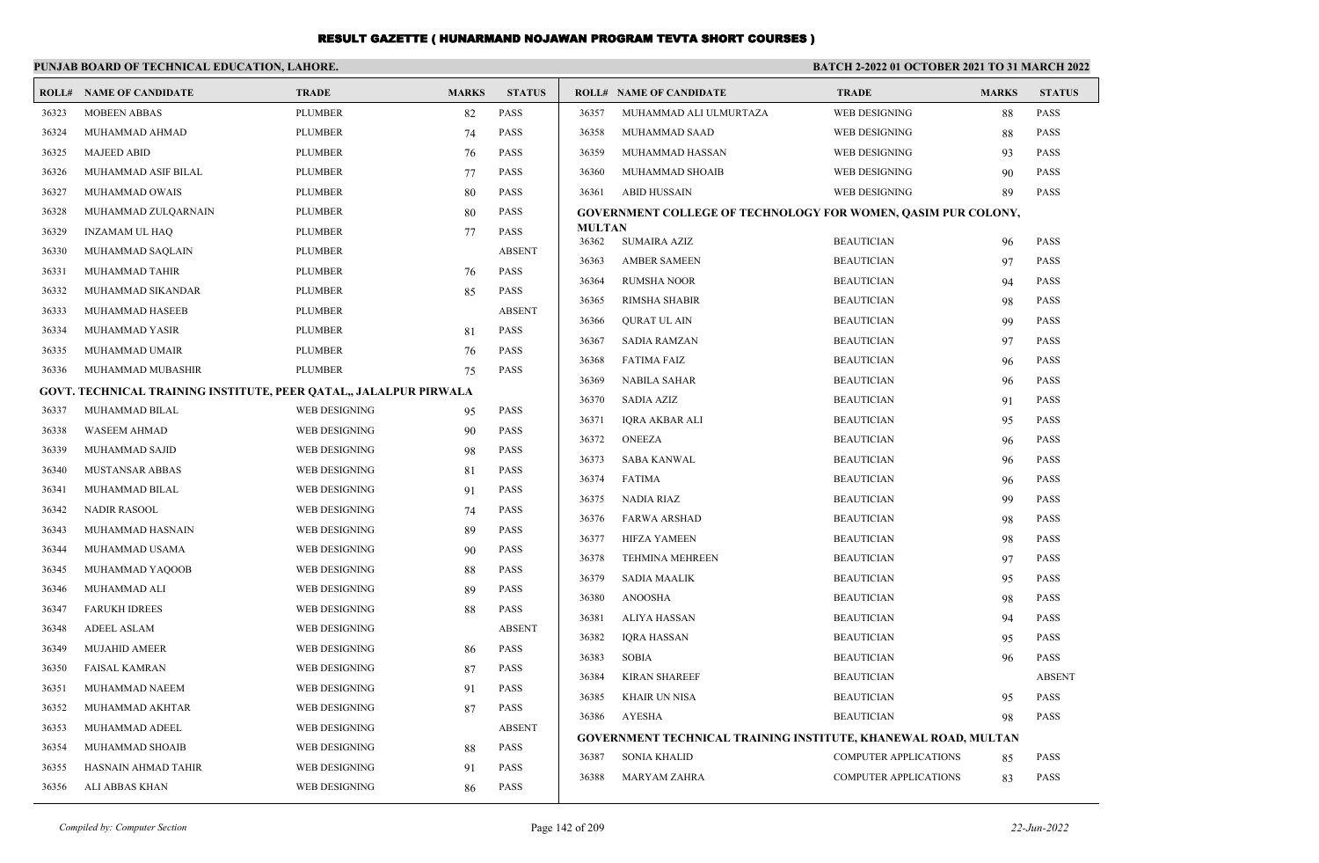|       | PUNJAB BOARD OF TECHNICAL EDUCATION, LAHORE.                      |                |              |               |                        |                                          | BATCH 2-2022 01 OCTOBER 2021 TO 31 MARCH 2022                        |              |                            |
|-------|-------------------------------------------------------------------|----------------|--------------|---------------|------------------------|------------------------------------------|----------------------------------------------------------------------|--------------|----------------------------|
|       | <b>ROLL# NAME OF CANDIDATE</b>                                    | <b>TRADE</b>   | <b>MARKS</b> | <b>STATUS</b> |                        | <b>ROLL# NAME OF CANDIDATE</b>           | <b>TRADE</b>                                                         | <b>MARKS</b> | <b>STATUS</b>              |
| 36323 | <b>MOBEEN ABBAS</b>                                               | <b>PLUMBER</b> | 82           | <b>PASS</b>   | 36357                  | MUHAMMAD ALI ULMURTAZA                   | WEB DESIGNING                                                        | 88           | <b>PASS</b>                |
| 36324 | MUHAMMAD AHMAD                                                    | <b>PLUMBER</b> | 74           | <b>PASS</b>   | 36358                  | MUHAMMAD SAAD                            | WEB DESIGNING                                                        | 88           | PASS                       |
| 36325 | <b>MAJEED ABID</b>                                                | <b>PLUMBER</b> | 76           | <b>PASS</b>   | 36359                  | MUHAMMAD HASSAN                          | WEB DESIGNING                                                        | 93           | <b>PASS</b>                |
| 36326 | MUHAMMAD ASIF BILAL                                               | <b>PLUMBER</b> | 77           | <b>PASS</b>   | 36360                  | MUHAMMAD SHOAIB                          | WEB DESIGNING                                                        | 90           | <b>PASS</b>                |
| 36327 | MUHAMMAD OWAIS                                                    | <b>PLUMBER</b> | 80           | PASS          | 36361                  | <b>ABID HUSSAIN</b>                      | WEB DESIGNING                                                        | 89           | <b>PASS</b>                |
| 36328 | MUHAMMAD ZULQARNAIN                                               | <b>PLUMBER</b> | 80           | PASS          |                        |                                          | <b>GOVERNMENT COLLEGE OF TECHNOLOGY FOR WOMEN, QASIM PUR COLONY,</b> |              |                            |
| 36329 | <b>INZAMAM UL HAQ</b>                                             | <b>PLUMBER</b> | 77           | PASS          | <b>MULTAN</b><br>36362 | <b>SUMAIRA AZIZ</b>                      | <b>BEAUTICIAN</b>                                                    |              | <b>PASS</b>                |
| 36330 | MUHAMMAD SAQLAIN                                                  | <b>PLUMBER</b> |              | <b>ABSENT</b> | 36363                  | <b>AMBER SAMEEN</b>                      | <b>BEAUTICIAN</b>                                                    | 96<br>97     | PASS                       |
| 36331 | MUHAMMAD TAHIR                                                    | <b>PLUMBER</b> | 76           | PASS          | 36364                  | <b>RUMSHA NOOR</b>                       | <b>BEAUTICIAN</b>                                                    |              | PASS                       |
| 36332 | MUHAMMAD SIKANDAR                                                 | <b>PLUMBER</b> | 85           | <b>PASS</b>   |                        |                                          |                                                                      | 94           | PASS                       |
| 36333 | MUHAMMAD HASEEB                                                   | <b>PLUMBER</b> |              | <b>ABSENT</b> | 36365<br>36366         | <b>RIMSHA SHABIR</b>                     | <b>BEAUTICIAN</b><br><b>BEAUTICIAN</b>                               | 98           | PASS                       |
| 36334 | MUHAMMAD YASIR                                                    | <b>PLUMBER</b> | 81           | PASS          |                        | <b>QURAT UL AIN</b>                      |                                                                      | 99           | PASS                       |
| 36335 | MUHAMMAD UMAIR                                                    | <b>PLUMBER</b> | 76           | <b>PASS</b>   | 36367                  | <b>SADIA RAMZAN</b>                      | <b>BEAUTICIAN</b>                                                    | 97           | PASS                       |
| 36336 | MUHAMMAD MUBASHIR                                                 | <b>PLUMBER</b> | 75           | <b>PASS</b>   | 36368                  | <b>FATIMA FAIZ</b>                       | <b>BEAUTICIAN</b>                                                    | 96           |                            |
|       | GOVT. TECHNICAL TRAINING INSTITUTE, PEER QATAL,, JALALPUR PIRWALA |                |              |               | 36369<br>36370         | <b>NABILA SAHAR</b><br><b>SADIA AZIZ</b> | <b>BEAUTICIAN</b><br><b>BEAUTICIAN</b>                               | 96           | <b>PASS</b><br>PASS        |
| 36337 | MUHAMMAD BILAL                                                    | WEB DESIGNING  | 95           | <b>PASS</b>   |                        |                                          | <b>BEAUTICIAN</b>                                                    | 91           |                            |
| 36338 | <b>WASEEM AHMAD</b>                                               | WEB DESIGNING  | 90           | PASS          | 36371<br>36372         | <b>IQRA AKBAR ALI</b><br><b>ONEEZA</b>   | <b>BEAUTICIAN</b>                                                    | 95           | PASS<br>PASS               |
| 36339 | MUHAMMAD SAJID                                                    | WEB DESIGNING  | 98           | <b>PASS</b>   |                        |                                          |                                                                      | 96           |                            |
| 36340 | <b>MUSTANSAR ABBAS</b>                                            | WEB DESIGNING  | 81           | <b>PASS</b>   | 36373                  | <b>SABA KANWAL</b>                       | <b>BEAUTICIAN</b>                                                    | 96           | PASS                       |
| 36341 | MUHAMMAD BILAL                                                    | WEB DESIGNING  | 91           | <b>PASS</b>   | 36374<br>36375         | <b>FATIMA</b>                            | <b>BEAUTICIAN</b>                                                    | 96           | <b>PASS</b><br><b>PASS</b> |
| 36342 | <b>NADIR RASOOL</b>                                               | WEB DESIGNING  | 74           | <b>PASS</b>   |                        | NADIA RIAZ                               | <b>BEAUTICIAN</b>                                                    | 99           |                            |
| 36343 | MUHAMMAD HASNAIN                                                  | WEB DESIGNING  | 89           | <b>PASS</b>   | 36376                  | <b>FARWA ARSHAD</b>                      | <b>BEAUTICIAN</b>                                                    | 98           | <b>PASS</b>                |
| 36344 | MUHAMMAD USAMA                                                    | WEB DESIGNING  | 90           | PASS          | 36377                  | <b>HIFZA YAMEEN</b>                      | <b>BEAUTICIAN</b>                                                    | 98           | <b>PASS</b>                |
| 36345 | MUHAMMAD YAQOOB                                                   | WEB DESIGNING  | 88           | PASS          | 36378                  | <b>TEHMINA MEHREEN</b>                   | <b>BEAUTICIAN</b>                                                    | 97           | <b>PASS</b>                |
| 36346 | MUHAMMAD ALI                                                      | WEB DESIGNING  | 89           | PASS          | 36379                  | <b>SADIA MAALIK</b>                      | <b>BEAUTICIAN</b>                                                    | 95           | <b>PASS</b>                |
| 36347 | <b>FARUKH IDREES</b>                                              | WEB DESIGNING  | 88           | PASS          | 36380                  | <b>ANOOSHA</b>                           | <b>BEAUTICIAN</b>                                                    | 98           | <b>PASS</b>                |
| 36348 | <b>ADEEL ASLAM</b>                                                | WEB DESIGNING  |              | <b>ABSENT</b> | 36381                  | <b>ALIYA HASSAN</b>                      | <b>BEAUTICIAN</b>                                                    | 94           | PASS                       |
| 36349 | <b>MUJAHID AMEER</b>                                              | WEB DESIGNING  | 86           | <b>PASS</b>   | 36382                  | <b>IORA HASSAN</b>                       | <b>BEAUTICIAN</b>                                                    | 95           | PASS                       |
| 36350 | <b>FAISAL KAMRAN</b>                                              | WEB DESIGNING  | 87           | PASS          | 36383                  | <b>SOBIA</b>                             | <b>BEAUTICIAN</b>                                                    | 96           | <b>PASS</b>                |
| 36351 | MUHAMMAD NAEEM                                                    | WEB DESIGNING  | 91           | <b>PASS</b>   | 36384                  | <b>KIRAN SHAREEF</b>                     | <b>BEAUTICIAN</b>                                                    |              | <b>ABSENT</b>              |
| 36352 | MUHAMMAD AKHTAR                                                   | WEB DESIGNING  | 87           | PASS          | 36385                  | <b>KHAIR UN NISA</b>                     | <b>BEAUTICIAN</b>                                                    | 95           | PASS                       |
| 36353 | MUHAMMAD ADEEL                                                    | WEB DESIGNING  |              | <b>ABSENT</b> | 36386                  | <b>AYESHA</b>                            | <b>BEAUTICIAN</b>                                                    | 98           | <b>PASS</b>                |
| 36354 | MUHAMMAD SHOAIB                                                   | WEB DESIGNING  | 88           | PASS          |                        |                                          | GOVERNMENT TECHNICAL TRAINING INSTITUTE, KHANEWAL ROAD, MULTAN       |              |                            |
| 36355 | HASNAIN AHMAD TAHIR                                               | WEB DESIGNING  | 91           | <b>PASS</b>   | 36387                  | <b>SONIA KHALID</b>                      | <b>COMPUTER APPLICATIONS</b>                                         | 85           | PASS                       |
| 36356 | ALI ABBAS KHAN                                                    | WEB DESIGNING  | 86           | PASS          | 36388                  | <b>MARYAM ZAHRA</b>                      | <b>COMPUTER APPLICATIONS</b>                                         | 83           | PASS                       |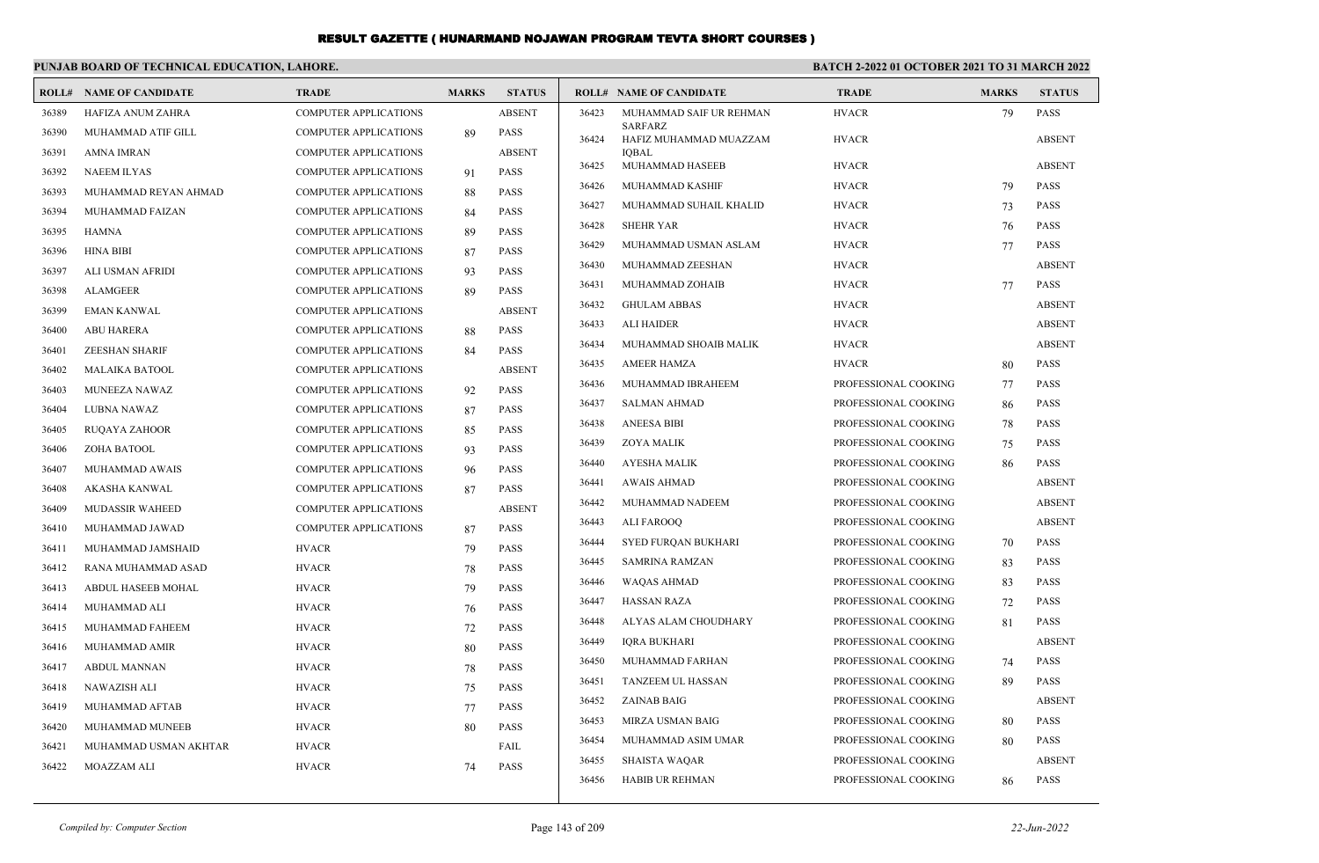| PUNJAB BOARD OF TECHNICAL EDUCATION, LAHORE. |                          |                              |              |               |       | <b>BATCH 2-2022 01 OCTOBER 2021 TO 31 MARCH 2022</b> |                      |              |               |
|----------------------------------------------|--------------------------|------------------------------|--------------|---------------|-------|------------------------------------------------------|----------------------|--------------|---------------|
| ROLL#                                        | <b>NAME OF CANDIDATE</b> | <b>TRADE</b>                 | <b>MARKS</b> | <b>STATUS</b> |       | <b>ROLL# NAME OF CANDIDATE</b>                       | <b>TRADE</b>         | <b>MARKS</b> | <b>STATUS</b> |
| 36389                                        | HAFIZA ANUM ZAHRA        | <b>COMPUTER APPLICATIONS</b> |              | <b>ABSENT</b> | 36423 | MUHAMMAD SAIF UR REHMAN                              | <b>HVACR</b>         | 79           | <b>PASS</b>   |
| 36390                                        | MUHAMMAD ATIF GILL       | <b>COMPUTER APPLICATIONS</b> | 89           | <b>PASS</b>   | 36424 | <b>SARFARZ</b><br>HAFIZ MUHAMMAD MUAZZAM             | <b>HVACR</b>         |              | <b>ABSENT</b> |
| 36391                                        | <b>AMNA IMRAN</b>        | COMPUTER APPLICATIONS        |              | <b>ABSENT</b> |       | <b>IOBAL</b>                                         |                      |              |               |
| 36392                                        | <b>NAEEM ILYAS</b>       | COMPUTER APPLICATIONS        | 91           | <b>PASS</b>   | 36425 | MUHAMMAD HASEEB                                      | <b>HVACR</b>         |              | <b>ABSENT</b> |
| 36393                                        | MUHAMMAD REYAN AHMAD     | <b>COMPUTER APPLICATIONS</b> | -88          | <b>PASS</b>   | 36426 | <b>MUHAMMAD KASHIF</b>                               | <b>HVACR</b>         | 79           | <b>PASS</b>   |
| 36394                                        | MUHAMMAD FAIZAN          | <b>COMPUTER APPLICATIONS</b> | 84           | <b>PASS</b>   | 36427 | MUHAMMAD SUHAIL KHALID                               | <b>HVACR</b>         | 73           | PASS          |
| 36395                                        | <b>HAMNA</b>             | <b>COMPUTER APPLICATIONS</b> | -89          | <b>PASS</b>   | 36428 | <b>SHEHR YAR</b>                                     | <b>HVACR</b>         | 76           | <b>PASS</b>   |
| 36396                                        | <b>HINA BIBI</b>         | <b>COMPUTER APPLICATIONS</b> | 87           | <b>PASS</b>   | 36429 | MUHAMMAD USMAN ASLAM                                 | <b>HVACR</b>         | 77           | <b>PASS</b>   |
| 36397                                        | ALI USMAN AFRIDI         | <b>COMPUTER APPLICATIONS</b> | 93           | <b>PASS</b>   | 36430 | MUHAMMAD ZEESHAN                                     | <b>HVACR</b>         |              | <b>ABSENT</b> |
| 36398                                        | <b>ALAMGEER</b>          | <b>COMPUTER APPLICATIONS</b> | 89           | <b>PASS</b>   | 36431 | MUHAMMAD ZOHAIB                                      | <b>HVACR</b>         | 77           | <b>PASS</b>   |
| 36399                                        | <b>EMAN KANWAL</b>       | COMPUTER APPLICATIONS        |              | <b>ABSENT</b> | 36432 | <b>GHULAM ABBAS</b>                                  | <b>HVACR</b>         |              | <b>ABSENT</b> |
| 36400                                        | <b>ABU HARERA</b>        | <b>COMPUTER APPLICATIONS</b> | 88           | <b>PASS</b>   | 36433 | <b>ALI HAIDER</b>                                    | <b>HVACR</b>         |              | <b>ABSENT</b> |
| 36401                                        | <b>ZEESHAN SHARIF</b>    | <b>COMPUTER APPLICATIONS</b> | 84           | <b>PASS</b>   | 36434 | MUHAMMAD SHOAIB MALIK                                | <b>HVACR</b>         |              | <b>ABSENT</b> |
| 36402                                        | <b>MALAIKA BATOOL</b>    | <b>COMPUTER APPLICATIONS</b> |              | <b>ABSENT</b> | 36435 | <b>AMEER HAMZA</b>                                   | <b>HVACR</b>         | 80           | <b>PASS</b>   |
| 36403                                        | MUNEEZA NAWAZ            | COMPUTER APPLICATIONS        | 92           | <b>PASS</b>   | 36436 | MUHAMMAD IBRAHEEM                                    | PROFESSIONAL COOKING | 77           | <b>PASS</b>   |
| 36404                                        | LUBNA NAWAZ              | <b>COMPUTER APPLICATIONS</b> | 87           | <b>PASS</b>   | 36437 | <b>SALMAN AHMAD</b>                                  | PROFESSIONAL COOKING | 86           | <b>PASS</b>   |
| 36405                                        | <b>RUQAYA ZAHOOR</b>     | <b>COMPUTER APPLICATIONS</b> | 85           | <b>PASS</b>   | 36438 | <b>ANEESA BIBI</b>                                   | PROFESSIONAL COOKING | 78           | <b>PASS</b>   |
| 36406                                        | ZOHA BATOOL              | <b>COMPUTER APPLICATIONS</b> | 93           | <b>PASS</b>   | 36439 | <b>ZOYA MALIK</b>                                    | PROFESSIONAL COOKING | 75           | <b>PASS</b>   |
| 36407                                        | MUHAMMAD AWAIS           | <b>COMPUTER APPLICATIONS</b> | 96           | <b>PASS</b>   | 36440 | <b>AYESHA MALIK</b>                                  | PROFESSIONAL COOKING | 86           | <b>PASS</b>   |
| 36408                                        | AKASHA KANWAL            | <b>COMPUTER APPLICATIONS</b> | 87           | <b>PASS</b>   | 36441 | <b>AWAIS AHMAD</b>                                   | PROFESSIONAL COOKING |              | <b>ABSENT</b> |
| 36409                                        | <b>MUDASSIR WAHEED</b>   | <b>COMPUTER APPLICATIONS</b> |              | <b>ABSENT</b> | 36442 | MUHAMMAD NADEEM                                      | PROFESSIONAL COOKING |              | <b>ABSENT</b> |
| 36410                                        | MUHAMMAD JAWAD           | <b>COMPUTER APPLICATIONS</b> | 87           | <b>PASS</b>   | 36443 | <b>ALI FAROOO</b>                                    | PROFESSIONAL COOKING |              | <b>ABSENT</b> |
| 36411                                        | MUHAMMAD JAMSHAID        | <b>HVACR</b>                 | 79           | <b>PASS</b>   | 36444 | <b>SYED FURQAN BUKHARI</b>                           | PROFESSIONAL COOKING | 70           | <b>PASS</b>   |
| 36412                                        | RANA MUHAMMAD ASAD       | <b>HVACR</b>                 | 78           | <b>PASS</b>   | 36445 | <b>SAMRINA RAMZAN</b>                                | PROFESSIONAL COOKING | 83           | <b>PASS</b>   |
| 36413                                        | ABDUL HASEEB MOHAL       | <b>HVACR</b>                 | 79           | <b>PASS</b>   | 36446 | WAQAS AHMAD                                          | PROFESSIONAL COOKING | 83           | <b>PASS</b>   |
| 36414                                        | MUHAMMAD ALI             | <b>HVACR</b>                 | 76           | <b>PASS</b>   | 36447 | <b>HASSAN RAZA</b>                                   | PROFESSIONAL COOKING | 72           | <b>PASS</b>   |
| 36415                                        | MUHAMMAD FAHEEM          | <b>HVACR</b>                 | 72           | <b>PASS</b>   | 36448 | ALYAS ALAM CHOUDHARY                                 | PROFESSIONAL COOKING | 81           | <b>PASS</b>   |
| 36416                                        | MUHAMMAD AMIR            | <b>HVACR</b>                 | 80           | <b>PASS</b>   | 36449 | IQRA BUKHARI                                         | PROFESSIONAL COOKING |              | <b>ABSENT</b> |
| 36417                                        | <b>ABDUL MANNAN</b>      | <b>HVACR</b>                 | 78           | PASS          | 36450 | MUHAMMAD FARHAN                                      | PROFESSIONAL COOKING | 74           | <b>PASS</b>   |
| 36418                                        | NAWAZISH ALI             | <b>HVACR</b>                 | 75           | PASS          | 36451 | TANZEEM UL HASSAN                                    | PROFESSIONAL COOKING | 89           | <b>PASS</b>   |
| 36419                                        | MUHAMMAD AFTAB           | <b>HVACR</b>                 | 77           | <b>PASS</b>   | 36452 | <b>ZAINAB BAIG</b>                                   | PROFESSIONAL COOKING |              | <b>ABSENT</b> |
| 36420                                        | MUHAMMAD MUNEEB          | <b>HVACR</b>                 | 80           | <b>PASS</b>   | 36453 | MIRZA USMAN BAIG                                     | PROFESSIONAL COOKING | 80           | <b>PASS</b>   |
| 36421                                        | MUHAMMAD USMAN AKHTAR    | <b>HVACR</b>                 |              | FAIL          | 36454 | MUHAMMAD ASIM UMAR                                   | PROFESSIONAL COOKING | 80           | <b>PASS</b>   |
| 36422                                        | MOAZZAM ALI              | <b>HVACR</b>                 | 74           | <b>PASS</b>   | 36455 | <b>SHAISTA WAQAR</b>                                 | PROFESSIONAL COOKING |              | <b>ABSENT</b> |
|                                              |                          |                              |              |               | 36456 | <b>HABIB UR REHMAN</b>                               | PROFESSIONAL COOKING | 86           | <b>PASS</b>   |
|                                              |                          |                              |              |               |       |                                                      |                      |              |               |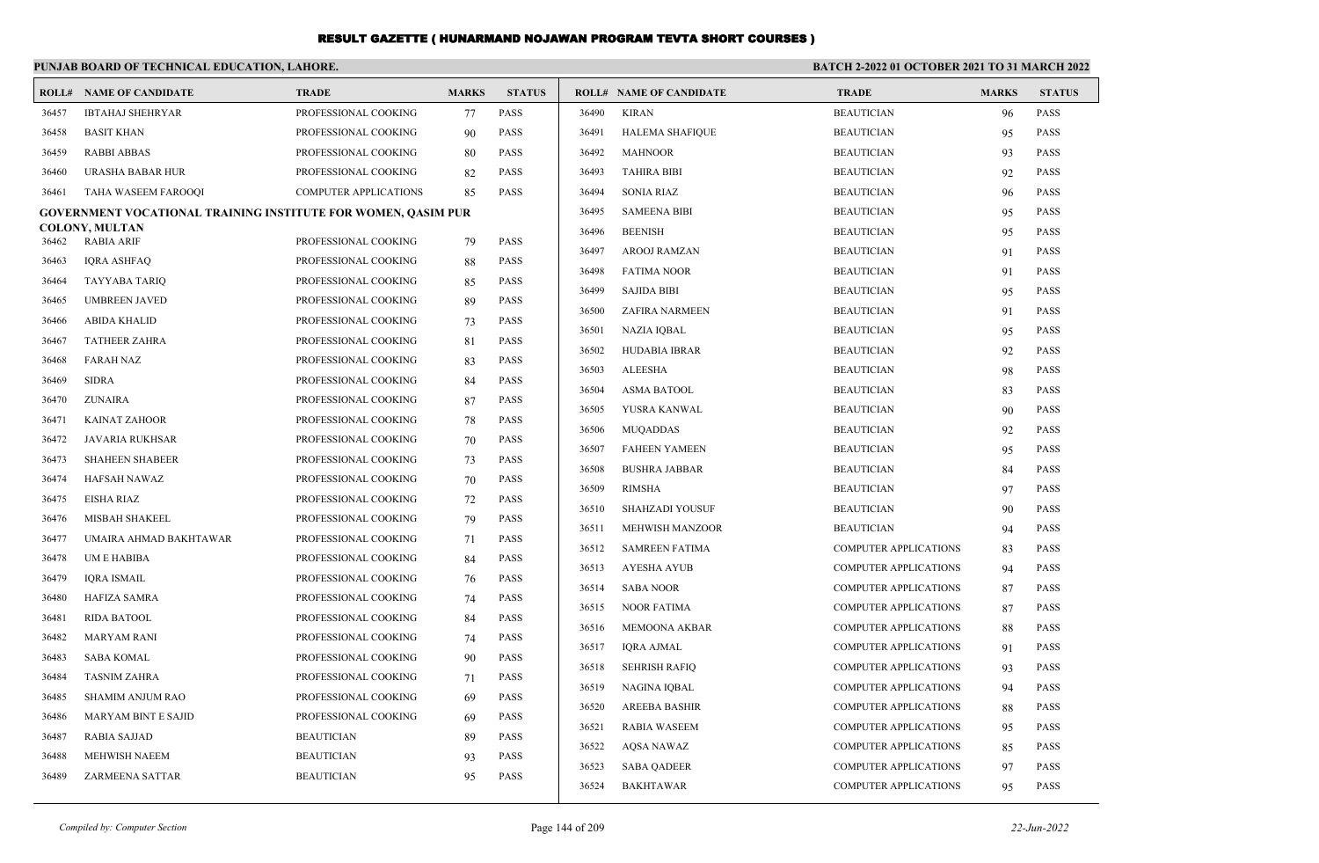|       | PUNJAB BOARD OF TECHNICAL EDUCATION, LAHORE.                         |                              |              |               |                                 |                              | <b>BATCH 2-2022 01 OCTOBER 2021 TO 31 MARCH 2022</b> |               |
|-------|----------------------------------------------------------------------|------------------------------|--------------|---------------|---------------------------------|------------------------------|------------------------------------------------------|---------------|
|       | <b>ROLL# NAME OF CANDIDATE</b>                                       | <b>TRADE</b>                 | <b>MARKS</b> | <b>STATUS</b> | <b>ROLL# NAME OF CANDIDATE</b>  | <b>TRADE</b>                 | <b>MARKS</b>                                         | <b>STATUS</b> |
| 36457 | <b>IBTAHAJ SHEHRYAR</b>                                              | PROFESSIONAL COOKING         | 77           | <b>PASS</b>   | <b>KIRAN</b><br>36490           | <b>BEAUTICIAN</b>            | 96                                                   | <b>PASS</b>   |
| 36458 | <b>BASIT KHAN</b>                                                    | PROFESSIONAL COOKING         | 90           | <b>PASS</b>   | 36491<br>HALEMA SHAFIQUE        | <b>BEAUTICIAN</b>            | 95                                                   | <b>PASS</b>   |
| 36459 | <b>RABBI ABBAS</b>                                                   | PROFESSIONAL COOKING         | 80           | <b>PASS</b>   | 36492<br><b>MAHNOOR</b>         | <b>BEAUTICIAN</b>            | 93                                                   | <b>PASS</b>   |
| 36460 | URASHA BABAR HUR                                                     | PROFESSIONAL COOKING         | 82           | <b>PASS</b>   | 36493<br><b>TAHIRA BIBI</b>     | <b>BEAUTICIAN</b>            | 92                                                   | <b>PASS</b>   |
| 36461 | TAHA WASEEM FAROOQI                                                  | <b>COMPUTER APPLICATIONS</b> | 85           | <b>PASS</b>   | 36494<br>SONIA RIAZ             | <b>BEAUTICIAN</b>            | 96                                                   | <b>PASS</b>   |
|       | <b>GOVERNMENT VOCATIONAL TRAINING INSTITUTE FOR WOMEN, QASIM PUR</b> |                              |              |               | 36495<br><b>SAMEENA BIBI</b>    | <b>BEAUTICIAN</b>            | 95                                                   | <b>PASS</b>   |
| 36462 | <b>COLONY, MULTAN</b><br><b>RABIA ARIF</b>                           | PROFESSIONAL COOKING         | 79           | <b>PASS</b>   | 36496<br><b>BEENISH</b>         | <b>BEAUTICIAN</b>            | 95                                                   | <b>PASS</b>   |
| 36463 | <b>IQRA ASHFAQ</b>                                                   | PROFESSIONAL COOKING         | 88           | <b>PASS</b>   | 36497<br>AROOJ RAMZAN           | <b>BEAUTICIAN</b>            | 91                                                   | <b>PASS</b>   |
| 36464 | TAYYABA TARIQ                                                        | PROFESSIONAL COOKING         | 85           | <b>PASS</b>   | <b>FATIMA NOOR</b><br>36498     | <b>BEAUTICIAN</b>            | 91                                                   | <b>PASS</b>   |
| 36465 | <b>UMBREEN JAVED</b>                                                 | PROFESSIONAL COOKING         | 89           | <b>PASS</b>   | 36499<br><b>SAJIDA BIBI</b>     | <b>BEAUTICIAN</b>            | 95                                                   | <b>PASS</b>   |
| 36466 | ABIDA KHALID                                                         | PROFESSIONAL COOKING         | 73           | <b>PASS</b>   | 36500<br>ZAFIRA NARMEEN         | <b>BEAUTICIAN</b>            | 91                                                   | <b>PASS</b>   |
| 36467 | <b>TATHEER ZAHRA</b>                                                 | PROFESSIONAL COOKING         | 81           | <b>PASS</b>   | 36501<br>NAZIA IQBAL            | <b>BEAUTICIAN</b>            | 95                                                   | <b>PASS</b>   |
| 36468 | <b>FARAH NAZ</b>                                                     | PROFESSIONAL COOKING         | 83           | <b>PASS</b>   | 36502<br>HUDABIA IBRAR          | <b>BEAUTICIAN</b>            | 92                                                   | <b>PASS</b>   |
| 36469 | <b>SIDRA</b>                                                         | PROFESSIONAL COOKING         | 84           | <b>PASS</b>   | 36503<br>ALEESHA                | <b>BEAUTICIAN</b>            | 98                                                   | <b>PASS</b>   |
| 36470 | <b>ZUNAIRA</b>                                                       | PROFESSIONAL COOKING         | 87           | <b>PASS</b>   | 36504<br><b>ASMA BATOOL</b>     | <b>BEAUTICIAN</b>            | 83                                                   | <b>PASS</b>   |
| 36471 | <b>KAINAT ZAHOOR</b>                                                 | PROFESSIONAL COOKING         | 78           | <b>PASS</b>   | 36505<br>YUSRA KANWAL           | <b>BEAUTICIAN</b>            | 90                                                   | <b>PASS</b>   |
| 36472 | JAVARIA RUKHSAR                                                      | PROFESSIONAL COOKING         | 70           | <b>PASS</b>   | 36506<br><b>MUQADDAS</b>        | <b>BEAUTICIAN</b>            | 92                                                   | <b>PASS</b>   |
| 36473 | <b>SHAHEEN SHABEER</b>                                               | PROFESSIONAL COOKING         | 73           | <b>PASS</b>   | 36507<br><b>FAHEEN YAMEEN</b>   | <b>BEAUTICIAN</b>            | 95                                                   | <b>PASS</b>   |
| 36474 | HAFSAH NAWAZ                                                         | PROFESSIONAL COOKING         | 70           | <b>PASS</b>   | 36508<br><b>BUSHRA JABBAR</b>   | <b>BEAUTICIAN</b>            | 84                                                   | <b>PASS</b>   |
| 36475 | EISHA RIAZ                                                           | PROFESSIONAL COOKING         | 72           | <b>PASS</b>   | 36509<br><b>RIMSHA</b>          | <b>BEAUTICIAN</b>            | 97                                                   | <b>PASS</b>   |
| 36476 | <b>MISBAH SHAKEEL</b>                                                | PROFESSIONAL COOKING         | 79           | <b>PASS</b>   | <b>SHAHZADI YOUSUF</b><br>36510 | <b>BEAUTICIAN</b>            | 90                                                   | <b>PASS</b>   |
| 36477 | UMAIRA AHMAD BAKHTAWAR                                               | PROFESSIONAL COOKING         | 71           | <b>PASS</b>   | 36511<br><b>MEHWISH MANZOOR</b> | <b>BEAUTICIAN</b>            | 94                                                   | <b>PASS</b>   |
| 36478 | UM E HABIBA                                                          | PROFESSIONAL COOKING         | 84           | <b>PASS</b>   | 36512<br><b>SAMREEN FATIMA</b>  | <b>COMPUTER APPLICATIONS</b> | 83                                                   | <b>PASS</b>   |
| 36479 | <b>IQRA ISMAIL</b>                                                   | PROFESSIONAL COOKING         | 76           | <b>PASS</b>   | 36513<br>AYESHA AYUB            | <b>COMPUTER APPLICATIONS</b> | 94                                                   | <b>PASS</b>   |
| 36480 | HAFIZA SAMRA                                                         | PROFESSIONAL COOKING         | 74           | <b>PASS</b>   | <b>SABA NOOR</b><br>36514       | <b>COMPUTER APPLICATIONS</b> | 87                                                   | <b>PASS</b>   |
| 36481 | RIDA BATOOL                                                          | PROFESSIONAL COOKING         | 84           | <b>PASS</b>   | <b>NOOR FATIMA</b><br>36515     | <b>COMPUTER APPLICATIONS</b> | 87                                                   | <b>PASS</b>   |
| 36482 | <b>MARYAM RANI</b>                                                   | PROFESSIONAL COOKING         | 74           | <b>PASS</b>   | MEMOONA AKBAR<br>36516          | <b>COMPUTER APPLICATIONS</b> | 88                                                   | <b>PASS</b>   |
| 36483 | <b>SABA KOMAL</b>                                                    | PROFESSIONAL COOKING         | 90           | <b>PASS</b>   | 36517<br>IQRA AJMAL             | <b>COMPUTER APPLICATIONS</b> | 91                                                   | <b>PASS</b>   |
| 36484 | <b>TASNIM ZAHRA</b>                                                  | PROFESSIONAL COOKING         | 71           | <b>PASS</b>   | <b>SEHRISH RAFIQ</b><br>36518   | <b>COMPUTER APPLICATIONS</b> | 93                                                   | <b>PASS</b>   |
| 36485 | SHAMIM ANJUM RAO                                                     | PROFESSIONAL COOKING         | 69           | PASS          | 36519 NAGINA IOBAL              | <b>COMPUTER APPLICATIONS</b> | 94                                                   | <b>PASS</b>   |
| 36486 | MARYAM BINT E SAJID                                                  | PROFESSIONAL COOKING         | 69           | PASS          | 36520<br>AREEBA BASHIR          | <b>COMPUTER APPLICATIONS</b> | 88                                                   | <b>PASS</b>   |
| 36487 | RABIA SAJJAD                                                         | <b>BEAUTICIAN</b>            | 89           | PASS          | <b>RABIA WASEEM</b><br>36521    | <b>COMPUTER APPLICATIONS</b> | 95                                                   | PASS          |
| 36488 | MEHWISH NAEEM                                                        | <b>BEAUTICIAN</b>            | 93           | PASS          | 36522<br>AQSA NAWAZ             | <b>COMPUTER APPLICATIONS</b> | 85                                                   | PASS          |
| 36489 | ZARMEENA SATTAR                                                      | <b>BEAUTICIAN</b>            | 95           | PASS          | 36523<br><b>SABA QADEER</b>     | <b>COMPUTER APPLICATIONS</b> | 97                                                   | <b>PASS</b>   |
|       |                                                                      |                              |              |               | <b>BAKHTAWAR</b><br>36524       | <b>COMPUTER APPLICATIONS</b> | 95                                                   | PASS          |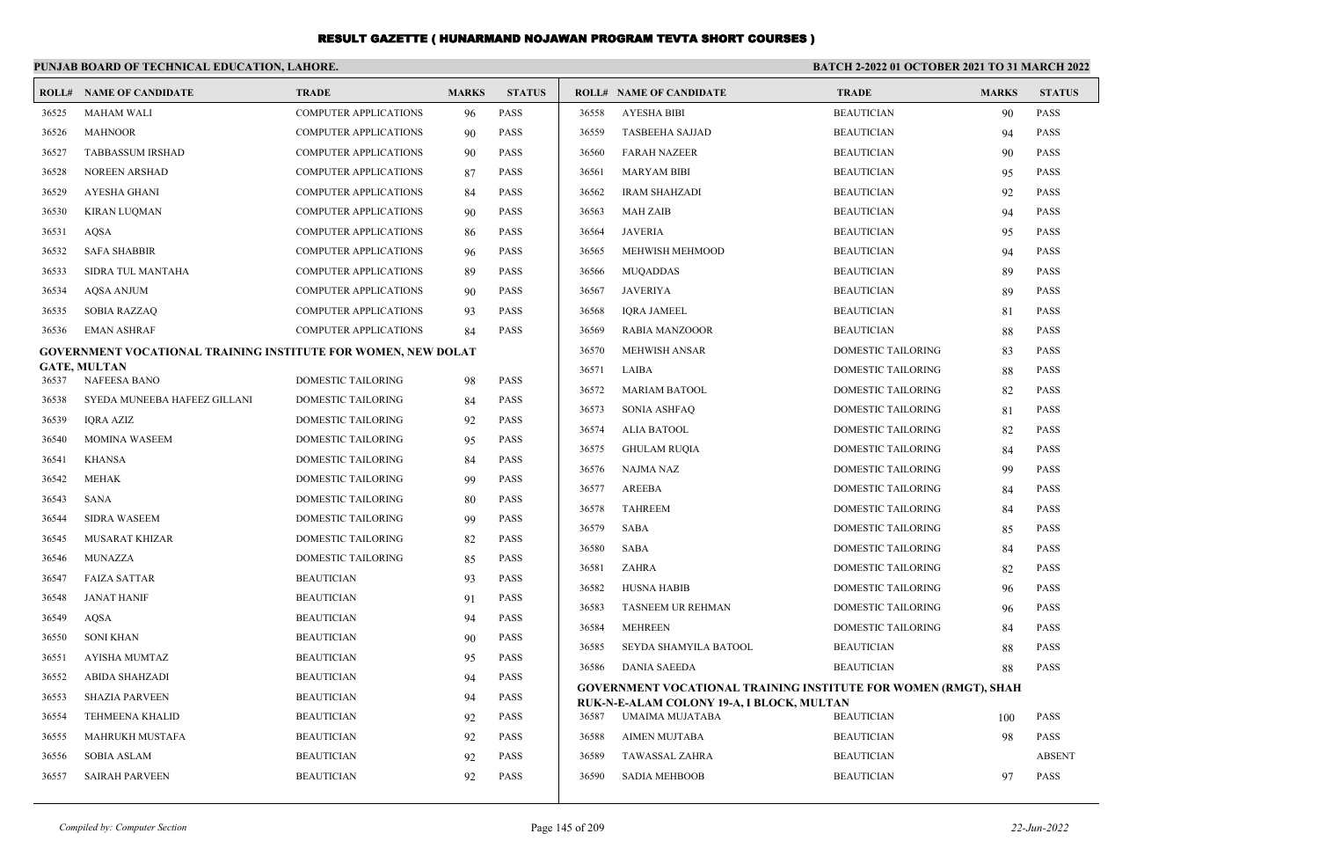|                | PUNJAB BOARD OF TECHNICAL EDUCATION, LAHORE.                  |                                        |              |                            | <b>BATCH 2-2022 01 OCTOBER 2021 TO 31 MARCH 2022</b> |                                                                        |                                        |              |               |
|----------------|---------------------------------------------------------------|----------------------------------------|--------------|----------------------------|------------------------------------------------------|------------------------------------------------------------------------|----------------------------------------|--------------|---------------|
|                | <b>ROLL# NAME OF CANDIDATE</b>                                | <b>TRADE</b>                           | <b>MARKS</b> | <b>STATUS</b>              |                                                      | <b>ROLL# NAME OF CANDIDATE</b>                                         | <b>TRADE</b>                           | <b>MARKS</b> | <b>STATUS</b> |
| 36525          | <b>MAHAM WALI</b>                                             | <b>COMPUTER APPLICATIONS</b>           | 96           | <b>PASS</b>                | 36558                                                | <b>AYESHA BIBI</b>                                                     | <b>BEAUTICIAN</b>                      | 90           | PASS          |
| 36526          | <b>MAHNOOR</b>                                                | <b>COMPUTER APPLICATIONS</b>           | 90           | <b>PASS</b>                | 36559                                                | <b>TASBEEHA SAJJAD</b>                                                 | <b>BEAUTICIAN</b>                      | 94           | <b>PASS</b>   |
| 36527          | <b>TABBASSUM IRSHAD</b>                                       | <b>COMPUTER APPLICATIONS</b>           | 90           | <b>PASS</b>                | 36560                                                | <b>FARAH NAZEER</b>                                                    | <b>BEAUTICIAN</b>                      | 90           | <b>PASS</b>   |
| 36528          | <b>NOREEN ARSHAD</b>                                          | <b>COMPUTER APPLICATIONS</b>           | 87           | <b>PASS</b>                | 36561                                                | <b>MARYAM BIBI</b>                                                     | <b>BEAUTICIAN</b>                      | 95           | <b>PASS</b>   |
| 36529          | <b>AYESHA GHANI</b>                                           | <b>COMPUTER APPLICATIONS</b>           | 84           | <b>PASS</b>                | 36562                                                | <b>IRAM SHAHZADI</b>                                                   | <b>BEAUTICIAN</b>                      | 92           | <b>PASS</b>   |
| 36530          | <b>KIRAN LUOMAN</b>                                           | <b>COMPUTER APPLICATIONS</b>           | 90           | <b>PASS</b>                | 36563                                                | <b>MAH ZAIB</b>                                                        | <b>BEAUTICIAN</b>                      | 94           | <b>PASS</b>   |
| 36531          | AQSA                                                          | <b>COMPUTER APPLICATIONS</b>           | 86           | <b>PASS</b>                | 36564                                                | <b>JAVERIA</b>                                                         | <b>BEAUTICIAN</b>                      | 95           | <b>PASS</b>   |
| 36532          | <b>SAFA SHABBIR</b>                                           | COMPUTER APPLICATIONS                  | 96           | <b>PASS</b>                | 36565                                                | MEHWISH MEHMOOD                                                        | <b>BEAUTICIAN</b>                      | 94           | <b>PASS</b>   |
| 36533          | SIDRA TUL MANTAHA                                             | <b>COMPUTER APPLICATIONS</b>           | 89           | <b>PASS</b>                | 36566                                                | <b>MUQADDAS</b>                                                        | <b>BEAUTICIAN</b>                      | 89           | <b>PASS</b>   |
| 36534          | <b>AOSA ANJUM</b>                                             | <b>COMPUTER APPLICATIONS</b>           | 90           | <b>PASS</b>                | 36567                                                | <b>JAVERIYA</b>                                                        | <b>BEAUTICIAN</b>                      | 89           | <b>PASS</b>   |
| 36535          | <b>SOBIA RAZZAQ</b>                                           | <b>COMPUTER APPLICATIONS</b>           | 93           | <b>PASS</b>                | 36568                                                | <b>IQRA JAMEEL</b>                                                     | <b>BEAUTICIAN</b>                      | 81           | <b>PASS</b>   |
| 36536          | <b>EMAN ASHRAF</b>                                            | <b>COMPUTER APPLICATIONS</b>           | 84           | <b>PASS</b>                | 36569                                                | <b>RABIA MANZOOOR</b>                                                  | <b>BEAUTICIAN</b>                      | 88           | <b>PASS</b>   |
|                | GOVERNMENT VOCATIONAL TRAINING INSTITUTE FOR WOMEN, NEW DOLAT |                                        |              |                            | 36570                                                | <b>MEHWISH ANSAR</b>                                                   | <b>DOMESTIC TAILORING</b>              | 83           | <b>PASS</b>   |
| 36537          | <b>GATE, MULTAN</b><br>NAFEESA BANO                           | DOMESTIC TAILORING                     | 98           | <b>PASS</b>                | 36571                                                | LAIBA                                                                  | DOMESTIC TAILORING                     | 88           | <b>PASS</b>   |
| 36538          | SYEDA MUNEEBA HAFEEZ GILLANI                                  | DOMESTIC TAILORING                     | 84           | <b>PASS</b>                | 36572                                                | <b>MARIAM BATOOL</b>                                                   | DOMESTIC TAILORING                     | 82           | <b>PASS</b>   |
| 36539          | <b>IQRA AZIZ</b>                                              | DOMESTIC TAILORING                     | 92           | <b>PASS</b>                | 36573                                                | <b>SONIA ASHFAQ</b>                                                    | DOMESTIC TAILORING                     | 81           | PASS          |
| 36540          | <b>MOMINA WASEEM</b>                                          | DOMESTIC TAILORING                     | 95           | <b>PASS</b>                | 36574                                                | <b>ALIA BATOOL</b>                                                     | <b>DOMESTIC TAILORING</b>              | 82           | <b>PASS</b>   |
| 36541          | <b>KHANSA</b>                                                 | DOMESTIC TAILORING                     | 84           | PASS                       | 36575                                                | <b>GHULAM RUOIA</b>                                                    | DOMESTIC TAILORING                     | 84           | <b>PASS</b>   |
| 36542          | <b>MEHAK</b>                                                  | <b>DOMESTIC TAILORING</b>              | 99           | <b>PASS</b>                | 36576                                                | <b>NAJMA NAZ</b>                                                       | DOMESTIC TAILORING                     | 99           | <b>PASS</b>   |
| 36543          | <b>SANA</b>                                                   | <b>DOMESTIC TAILORING</b>              | 80           | <b>PASS</b>                | 36577                                                | <b>AREEBA</b>                                                          | DOMESTIC TAILORING                     | 84           | PASS          |
| 36544          | <b>SIDRA WASEEM</b>                                           | DOMESTIC TAILORING                     | 99           | PASS                       | 36578                                                | <b>TAHREEM</b>                                                         | DOMESTIC TAILORING                     | 84           | <b>PASS</b>   |
| 36545          | MUSARAT KHIZAR                                                | DOMESTIC TAILORING                     |              | PASS                       | 36579                                                | <b>SABA</b>                                                            | <b>DOMESTIC TAILORING</b>              | 85           | <b>PASS</b>   |
| 36546          | <b>MUNAZZA</b>                                                | <b>DOMESTIC TAILORING</b>              | 82<br>85     | <b>PASS</b>                | 36580                                                | <b>SABA</b>                                                            | <b>DOMESTIC TAILORING</b>              | 84           | <b>PASS</b>   |
| 36547          | <b>FAIZA SATTAR</b>                                           | <b>BEAUTICIAN</b>                      |              | <b>PASS</b>                | 36581                                                | ZAHRA                                                                  | DOMESTIC TAILORING                     | 82           | <b>PASS</b>   |
| 36548          | JANAT HANIF                                                   | <b>BEAUTICIAN</b>                      | 93           | <b>PASS</b>                | 36582                                                | <b>HUSNA HABIB</b>                                                     | <b>DOMESTIC TAILORING</b>              | 96           | <b>PASS</b>   |
| 36549          | AQSA                                                          | <b>BEAUTICIAN</b>                      | 91<br>94     | <b>PASS</b>                | 36583                                                | TASNEEM UR REHMAN                                                      | <b>DOMESTIC TAILORING</b>              | 96           | <b>PASS</b>   |
| 36550          | <b>SONI KHAN</b>                                              | <b>BEAUTICIAN</b>                      | 90           | <b>PASS</b>                | 36584                                                | <b>MEHREEN</b>                                                         | <b>DOMESTIC TAILORING</b>              | 84           | <b>PASS</b>   |
| 36551          | AYISHA MUMTAZ                                                 | <b>BEAUTICIAN</b>                      |              | <b>PASS</b>                | 36585                                                | SEYDA SHAMYILA BATOOL                                                  | <b>BEAUTICIAN</b>                      | 88           | <b>PASS</b>   |
| 36552          | <b>ABIDA SHAHZADI</b>                                         | <b>BEAUTICIAN</b>                      | 95<br>94     | <b>PASS</b>                | 36586                                                | <b>DANIA SAEEDA</b>                                                    | <b>BEAUTICIAN</b>                      | 88           | <b>PASS</b>   |
| 36553          | <b>SHAZIA PARVEEN</b>                                         | <b>BEAUTICIAN</b>                      |              | <b>PASS</b>                |                                                      | <b>GOVERNMENT VOCATIONAL TRAINING INSTITUTE FOR WOMEN (RMGT), SHAH</b> |                                        |              |               |
|                |                                                               |                                        | 94           |                            |                                                      | RUK-N-E-ALAM COLONY 19-A, I BLOCK, MULTAN                              |                                        |              | <b>PASS</b>   |
| 36554<br>36555 | <b>TEHMEENA KHALID</b><br><b>MAHRUKH MUSTAFA</b>              | <b>BEAUTICIAN</b><br><b>BEAUTICIAN</b> | 92           | <b>PASS</b><br><b>PASS</b> | 36587<br>36588                                       | UMAIMA MUJATABA<br><b>AIMEN MUJTABA</b>                                | <b>BEAUTICIAN</b><br><b>BEAUTICIAN</b> | 100          | <b>PASS</b>   |
| 36556          | <b>SOBIA ASLAM</b>                                            | <b>BEAUTICIAN</b>                      | 92           | <b>PASS</b>                | 36589                                                | <b>TAWASSAL ZAHRA</b>                                                  | <b>BEAUTICIAN</b>                      | 98           | <b>ABSENT</b> |
|                |                                                               |                                        | 92           |                            |                                                      |                                                                        |                                        |              |               |
| 36557          | <b>SAIRAH PARVEEN</b>                                         | <b>BEAUTICIAN</b>                      | 92           | <b>PASS</b>                | 36590                                                | <b>SADIA MEHBOOB</b>                                                   | <b>BEAUTICIAN</b>                      | 97           | <b>PASS</b>   |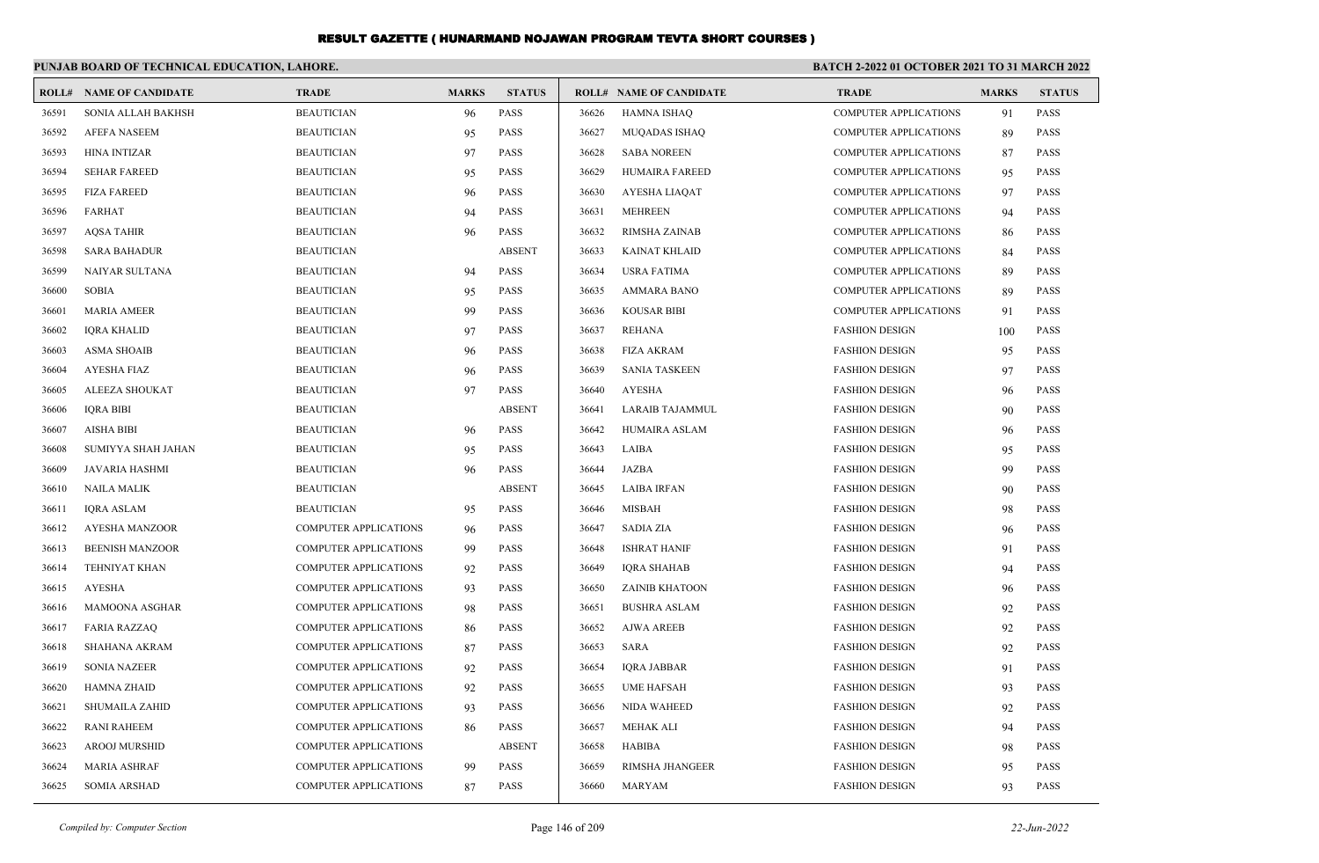|       | PUNJAB BOARD OF TECHNICAL EDUCATION, LAHORE. |                              |              |               | <b>BATCH 2-2022 01 OCTOBER 2021 TO 31 MARCH 2022</b> |                                |                              |              |               |
|-------|----------------------------------------------|------------------------------|--------------|---------------|------------------------------------------------------|--------------------------------|------------------------------|--------------|---------------|
|       | <b>ROLL# NAME OF CANDIDATE</b>               | <b>TRADE</b>                 | <b>MARKS</b> | <b>STATUS</b> |                                                      | <b>ROLL# NAME OF CANDIDATE</b> | <b>TRADE</b>                 | <b>MARKS</b> | <b>STATUS</b> |
| 36591 | SONIA ALLAH BAKHSH                           | <b>BEAUTICIAN</b>            | 96           | <b>PASS</b>   | 36626                                                | <b>HAMNA ISHAQ</b>             | <b>COMPUTER APPLICATIONS</b> | 91           | <b>PASS</b>   |
| 36592 | <b>AFEFA NASEEM</b>                          | <b>BEAUTICIAN</b>            | 95           | <b>PASS</b>   | 36627                                                | MUQADAS ISHAQ                  | <b>COMPUTER APPLICATIONS</b> | 89           | <b>PASS</b>   |
| 36593 | <b>HINA INTIZAR</b>                          | <b>BEAUTICIAN</b>            | 97           | PASS          | 36628                                                | <b>SABA NOREEN</b>             | <b>COMPUTER APPLICATIONS</b> | 87           | PASS          |
| 36594 | <b>SEHAR FAREED</b>                          | <b>BEAUTICIAN</b>            | 95           | <b>PASS</b>   | 36629                                                | <b>HUMAIRA FAREED</b>          | <b>COMPUTER APPLICATIONS</b> | 95           | <b>PASS</b>   |
| 36595 | <b>FIZA FAREED</b>                           | <b>BEAUTICIAN</b>            | 96           | <b>PASS</b>   | 36630                                                | <b>AYESHA LIAQAT</b>           | <b>COMPUTER APPLICATIONS</b> | 97           | <b>PASS</b>   |
| 36596 | <b>FARHAT</b>                                | <b>BEAUTICIAN</b>            | 94           | <b>PASS</b>   | 36631                                                | <b>MEHREEN</b>                 | <b>COMPUTER APPLICATIONS</b> | 94           | <b>PASS</b>   |
| 36597 | <b>AQSA TAHIR</b>                            | <b>BEAUTICIAN</b>            | 96           | <b>PASS</b>   | 36632                                                | <b>RIMSHA ZAINAB</b>           | COMPUTER APPLICATIONS        | 86           | <b>PASS</b>   |
| 36598 | <b>SARA BAHADUR</b>                          | <b>BEAUTICIAN</b>            |              | <b>ABSENT</b> | 36633                                                | <b>KAINAT KHLAID</b>           | <b>COMPUTER APPLICATIONS</b> | 84           | <b>PASS</b>   |
| 36599 | NAIYAR SULTANA                               | <b>BEAUTICIAN</b>            | 94           | <b>PASS</b>   | 36634                                                | <b>USRA FATIMA</b>             | <b>COMPUTER APPLICATIONS</b> | 89           | <b>PASS</b>   |
| 36600 | <b>SOBIA</b>                                 | <b>BEAUTICIAN</b>            | 95           | <b>PASS</b>   | 36635                                                | <b>AMMARA BANO</b>             | <b>COMPUTER APPLICATIONS</b> | 89           | <b>PASS</b>   |
| 36601 | <b>MARIA AMEER</b>                           | <b>BEAUTICIAN</b>            | 99           | <b>PASS</b>   | 36636                                                | <b>KOUSAR BIBI</b>             | <b>COMPUTER APPLICATIONS</b> | 91           | <b>PASS</b>   |
| 36602 | <b>IORA KHALID</b>                           | <b>BEAUTICIAN</b>            | 97           | <b>PASS</b>   | 36637                                                | <b>REHANA</b>                  | <b>FASHION DESIGN</b>        | 100          | <b>PASS</b>   |
| 36603 | <b>ASMA SHOAIB</b>                           | <b>BEAUTICIAN</b>            | 96           | <b>PASS</b>   | 36638                                                | <b>FIZA AKRAM</b>              | <b>FASHION DESIGN</b>        | 95           | <b>PASS</b>   |
| 36604 | <b>AYESHA FIAZ</b>                           | <b>BEAUTICIAN</b>            | 96           | <b>PASS</b>   | 36639                                                | <b>SANIA TASKEEN</b>           | <b>FASHION DESIGN</b>        | 97           | <b>PASS</b>   |
| 36605 | ALEEZA SHOUKAT                               | <b>BEAUTICIAN</b>            | 97           | <b>PASS</b>   | 36640                                                | <b>AYESHA</b>                  | <b>FASHION DESIGN</b>        | 96           | <b>PASS</b>   |
| 36606 | <b>IQRA BIBI</b>                             | <b>BEAUTICIAN</b>            |              | <b>ABSENT</b> | 36641                                                | LARAIB TAJAMMUL                | <b>FASHION DESIGN</b>        | 90           | PASS          |
| 36607 | <b>AISHA BIBI</b>                            | <b>BEAUTICIAN</b>            | 96           | <b>PASS</b>   | 36642                                                | HUMAIRA ASLAM                  | <b>FASHION DESIGN</b>        | 96           | <b>PASS</b>   |
| 36608 | SUMIYYA SHAH JAHAN                           | <b>BEAUTICIAN</b>            | 95           | <b>PASS</b>   | 36643                                                | LAIBA                          | <b>FASHION DESIGN</b>        | 95           | <b>PASS</b>   |
| 36609 | <b>JAVARIA HASHMI</b>                        | <b>BEAUTICIAN</b>            | 96           | <b>PASS</b>   | 36644                                                | <b>JAZBA</b>                   | <b>FASHION DESIGN</b>        | 99           | <b>PASS</b>   |
| 36610 | <b>NAILA MALIK</b>                           | <b>BEAUTICIAN</b>            |              | <b>ABSENT</b> | 36645                                                | <b>LAIBA IRFAN</b>             | <b>FASHION DESIGN</b>        | 90           | PASS          |
| 36611 | <b>IQRA ASLAM</b>                            | <b>BEAUTICIAN</b>            | 95           | <b>PASS</b>   | 36646                                                | <b>MISBAH</b>                  | <b>FASHION DESIGN</b>        | 98           | <b>PASS</b>   |
| 36612 | <b>AYESHA MANZOOR</b>                        | <b>COMPUTER APPLICATIONS</b> | 96           | <b>PASS</b>   | 36647                                                | <b>SADIA ZIA</b>               | <b>FASHION DESIGN</b>        | 96           | <b>PASS</b>   |
| 36613 | <b>BEENISH MANZOOR</b>                       | <b>COMPUTER APPLICATIONS</b> | 99           | <b>PASS</b>   | 36648                                                | <b>ISHRAT HANIF</b>            | <b>FASHION DESIGN</b>        | 91           | <b>PASS</b>   |
| 36614 | <b>TEHNIYAT KHAN</b>                         | <b>COMPUTER APPLICATIONS</b> | 92           | <b>PASS</b>   | 36649                                                | IQRA SHAHAB                    | <b>FASHION DESIGN</b>        | 94           | PASS          |
| 36615 | <b>AYESHA</b>                                | <b>COMPUTER APPLICATIONS</b> | 93           | <b>PASS</b>   | 36650                                                | <b>ZAINIB KHATOON</b>          | <b>FASHION DESIGN</b>        | 96           | <b>PASS</b>   |
| 36616 | <b>MAMOONA ASGHAR</b>                        | <b>COMPUTER APPLICATIONS</b> | 98           | <b>PASS</b>   | 36651                                                | <b>BUSHRA ASLAM</b>            | <b>FASHION DESIGN</b>        | 92           | <b>PASS</b>   |
| 36617 | <b>FARIA RAZZAO</b>                          | <b>COMPUTER APPLICATIONS</b> | 86           | <b>PASS</b>   | 36652                                                | <b>AJWA AREEB</b>              | <b>FASHION DESIGN</b>        | 92           | <b>PASS</b>   |
| 36618 | SHAHANA AKRAM                                | <b>COMPUTER APPLICATIONS</b> | 87           | <b>PASS</b>   | 36653                                                | <b>SARA</b>                    | <b>FASHION DESIGN</b>        | 92           | <b>PASS</b>   |
| 36619 | <b>SONIA NAZEER</b>                          | <b>COMPUTER APPLICATIONS</b> | 92           | <b>PASS</b>   | 36654                                                | <b>IORA JABBAR</b>             | <b>FASHION DESIGN</b>        | 91           | <b>PASS</b>   |
| 36620 | <b>HAMNA ZHAID</b>                           | <b>COMPUTER APPLICATIONS</b> | 92           | <b>PASS</b>   | 36655                                                | <b>UME HAFSAH</b>              | <b>FASHION DESIGN</b>        | 93           | <b>PASS</b>   |
| 36621 | <b>SHUMAILA ZAHID</b>                        | <b>COMPUTER APPLICATIONS</b> | 93           | <b>PASS</b>   | 36656                                                | <b>NIDA WAHEED</b>             | <b>FASHION DESIGN</b>        | 92           | <b>PASS</b>   |
| 36622 | <b>RANI RAHEEM</b>                           | <b>COMPUTER APPLICATIONS</b> | 86           | <b>PASS</b>   | 36657                                                | <b>MEHAK ALI</b>               | <b>FASHION DESIGN</b>        | 94           | <b>PASS</b>   |
| 36623 | <b>AROOJ MURSHID</b>                         | <b>COMPUTER APPLICATIONS</b> |              | <b>ABSENT</b> | 36658                                                | <b>HABIBA</b>                  | <b>FASHION DESIGN</b>        | 98           | <b>PASS</b>   |
| 36624 | <b>MARIA ASHRAF</b>                          | <b>COMPUTER APPLICATIONS</b> | 99           | <b>PASS</b>   | 36659                                                | <b>RIMSHA JHANGEER</b>         | <b>FASHION DESIGN</b>        | 95           | <b>PASS</b>   |
| 36625 | <b>SOMIA ARSHAD</b>                          | <b>COMPUTER APPLICATIONS</b> | 87           | <b>PASS</b>   | 36660                                                | <b>MARYAM</b>                  | <b>FASHION DESIGN</b>        | 93           | <b>PASS</b>   |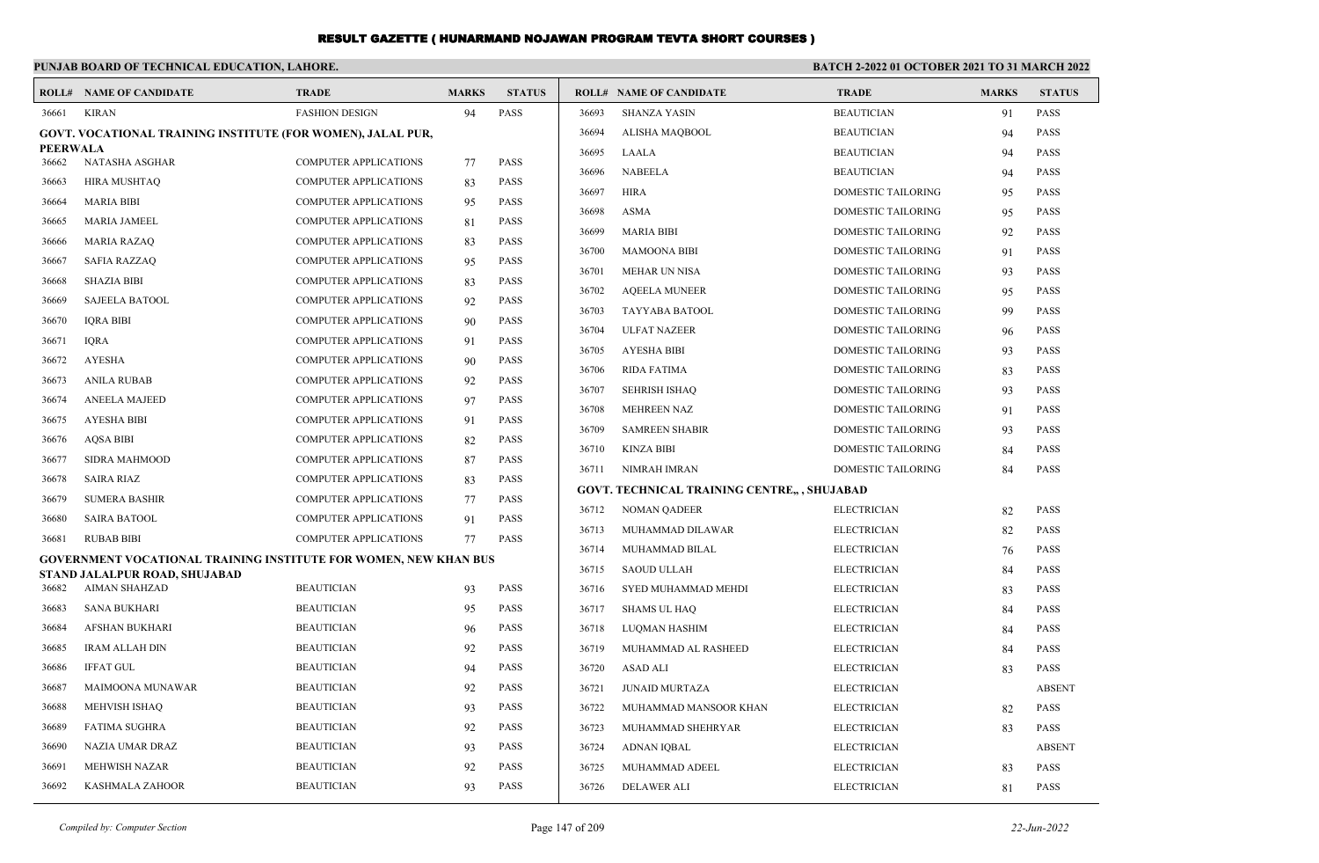|                          | PUNJAB BOARD OF TECHNICAL EDUCATION, LAHORE.                            |                              |              |               |       |                                              | BATCH 2-2022 01 OCTOBER 2021 TO 31 MARCH 2022 |              |               |
|--------------------------|-------------------------------------------------------------------------|------------------------------|--------------|---------------|-------|----------------------------------------------|-----------------------------------------------|--------------|---------------|
|                          | <b>ROLL# NAME OF CANDIDATE</b>                                          | <b>TRADE</b>                 | <b>MARKS</b> | <b>STATUS</b> |       | <b>ROLL# NAME OF CANDIDATE</b>               | <b>TRADE</b>                                  | <b>MARKS</b> | <b>STATUS</b> |
| 36661                    | <b>KIRAN</b>                                                            | <b>FASHION DESIGN</b>        | 94           | <b>PASS</b>   | 36693 | <b>SHANZA YASIN</b>                          | <b>BEAUTICIAN</b>                             | 91           | <b>PASS</b>   |
|                          | GOVT. VOCATIONAL TRAINING INSTITUTE (FOR WOMEN), JALAL PUR,             |                              |              |               | 36694 | ALISHA MAQBOOL                               | <b>BEAUTICIAN</b>                             | 94           | <b>PASS</b>   |
| <b>PEERWALA</b><br>36662 | NATASHA ASGHAR                                                          | <b>COMPUTER APPLICATIONS</b> | 77           | <b>PASS</b>   | 36695 | LAALA                                        | <b>BEAUTICIAN</b>                             | 94           | <b>PASS</b>   |
| 36663                    | <b>HIRA MUSHTAQ</b>                                                     | <b>COMPUTER APPLICATIONS</b> | 83           | <b>PASS</b>   | 36696 | <b>NABEELA</b>                               | <b>BEAUTICIAN</b>                             | 94           | <b>PASS</b>   |
| 36664                    | <b>MARIA BIBI</b>                                                       | <b>COMPUTER APPLICATIONS</b> |              | <b>PASS</b>   | 36697 | <b>HIRA</b>                                  | DOMESTIC TAILORING                            | 95           | <b>PASS</b>   |
|                          |                                                                         |                              | 95           |               | 36698 | <b>ASMA</b>                                  | DOMESTIC TAILORING                            | 95           | <b>PASS</b>   |
| 36665                    | <b>MARIA JAMEEL</b>                                                     | <b>COMPUTER APPLICATIONS</b> | 81           | <b>PASS</b>   | 36699 | <b>MARIA BIBI</b>                            | DOMESTIC TAILORING                            | 92           | <b>PASS</b>   |
| 36666                    | <b>MARIA RAZAQ</b>                                                      | <b>COMPUTER APPLICATIONS</b> | 83           | <b>PASS</b>   | 36700 | <b>MAMOONA BIBI</b>                          | DOMESTIC TAILORING                            | 91           | <b>PASS</b>   |
| 36667                    | <b>SAFIA RAZZAO</b>                                                     | <b>COMPUTER APPLICATIONS</b> | 95           | <b>PASS</b>   | 36701 | <b>MEHAR UN NISA</b>                         | DOMESTIC TAILORING                            | 93           | <b>PASS</b>   |
| 36668                    | <b>SHAZIA BIBI</b>                                                      | <b>COMPUTER APPLICATIONS</b> | 83           | <b>PASS</b>   | 36702 | <b>AQEELA MUNEER</b>                         | DOMESTIC TAILORING                            | 95           | <b>PASS</b>   |
| 36669                    | <b>SAJEELA BATOOL</b>                                                   | <b>COMPUTER APPLICATIONS</b> | 92           | <b>PASS</b>   | 36703 | <b>TAYYABA BATOOL</b>                        | DOMESTIC TAILORING                            | 99           | <b>PASS</b>   |
| 36670                    | <b>IORA BIBI</b>                                                        | <b>COMPUTER APPLICATIONS</b> | 90           | <b>PASS</b>   | 36704 | <b>ULFAT NAZEER</b>                          | DOMESTIC TAILORING                            | 96           | <b>PASS</b>   |
| 36671                    | <b>IQRA</b>                                                             | <b>COMPUTER APPLICATIONS</b> | 91           | <b>PASS</b>   | 36705 | <b>AYESHA BIBI</b>                           | DOMESTIC TAILORING                            | 93           | <b>PASS</b>   |
| 36672                    | <b>AYESHA</b>                                                           | <b>COMPUTER APPLICATIONS</b> | 90           | <b>PASS</b>   | 36706 | <b>RIDA FATIMA</b>                           | DOMESTIC TAILORING                            | 83           | <b>PASS</b>   |
| 36673                    | <b>ANILA RUBAB</b>                                                      | <b>COMPUTER APPLICATIONS</b> | 92           | <b>PASS</b>   | 36707 | <b>SEHRISH ISHAQ</b>                         | DOMESTIC TAILORING                            | 93           | <b>PASS</b>   |
| 36674                    | <b>ANEELA MAJEED</b>                                                    | <b>COMPUTER APPLICATIONS</b> | 97           | <b>PASS</b>   | 36708 | <b>MEHREEN NAZ</b>                           | DOMESTIC TAILORING                            | 91           | <b>PASS</b>   |
| 36675                    | <b>AYESHA BIBI</b>                                                      | <b>COMPUTER APPLICATIONS</b> | 91           | <b>PASS</b>   | 36709 | <b>SAMREEN SHABIR</b>                        | DOMESTIC TAILORING                            | 93           | <b>PASS</b>   |
| 36676                    | <b>AQSA BIBI</b>                                                        | <b>COMPUTER APPLICATIONS</b> | 82           | <b>PASS</b>   | 36710 | <b>KINZA BIBI</b>                            | DOMESTIC TAILORING                            | 84           | <b>PASS</b>   |
| 36677                    | <b>SIDRA MAHMOOD</b>                                                    | <b>COMPUTER APPLICATIONS</b> | 87           | <b>PASS</b>   | 36711 | NIMRAH IMRAN                                 | DOMESTIC TAILORING                            | 84           | <b>PASS</b>   |
| 36678                    | <b>SAIRA RIAZ</b>                                                       | <b>COMPUTER APPLICATIONS</b> | 83           | <b>PASS</b>   |       | GOVT. TECHNICAL TRAINING CENTRE,, , SHUJABAD |                                               |              |               |
| 36679                    | <b>SUMERA BASHIR</b>                                                    | <b>COMPUTER APPLICATIONS</b> | 77           | <b>PASS</b>   | 36712 | <b>NOMAN QADEER</b>                          | <b>ELECTRICIAN</b>                            | 82           | PASS          |
| 36680                    | <b>SAIRA BATOOL</b>                                                     | <b>COMPUTER APPLICATIONS</b> | 91           | <b>PASS</b>   | 36713 | MUHAMMAD DILAWAR                             | <b>ELECTRICIAN</b>                            |              | <b>PASS</b>   |
| 36681                    | <b>RUBAB BIBI</b>                                                       | <b>COMPUTER APPLICATIONS</b> | 77           | <b>PASS</b>   | 36714 |                                              |                                               | 82           |               |
|                          | <b>GOVERNMENT VOCATIONAL TRAINING INSTITUTE FOR WOMEN, NEW KHAN BUS</b> |                              |              |               | 36715 | MUHAMMAD BILAL                               | <b>ELECTRICIAN</b>                            | 76           | PASS          |
| 36682                    | STAND JALALPUR ROAD, SHUJABAD<br><b>AIMAN SHAHZAD</b>                   | <b>BEAUTICIAN</b>            |              | <b>PASS</b>   |       | <b>SAOUD ULLAH</b>                           | <b>ELECTRICIAN</b>                            | 84           | PASS          |
|                          |                                                                         |                              | 93           |               | 36716 | SYED MUHAMMAD MEHDI                          | <b>ELECTRICIAN</b>                            | 83           | <b>PASS</b>   |
| 36683                    | SANA BUKHARI                                                            | <b>BEAUTICIAN</b>            | 95           | <b>PASS</b>   | 36717 | <b>SHAMS UL HAQ</b>                          | <b>ELECTRICIAN</b>                            | 84           | <b>PASS</b>   |
| 36684                    | <b>AFSHAN BUKHARI</b>                                                   | <b>BEAUTICIAN</b>            | 96           | <b>PASS</b>   | 36718 | LUQMAN HASHIM                                | <b>ELECTRICIAN</b>                            | 84           | <b>PASS</b>   |
| 36685                    | <b>IRAM ALLAH DIN</b>                                                   | <b>BEAUTICIAN</b>            | 92           | <b>PASS</b>   | 36719 | MUHAMMAD AL RASHEED                          | <b>ELECTRICIAN</b>                            | 84           | <b>PASS</b>   |
| 36686                    | <b>IFFAT GUL</b>                                                        | <b>BEAUTICIAN</b>            | 94           | <b>PASS</b>   | 36720 | <b>ASAD ALI</b>                              | <b>ELECTRICIAN</b>                            | 83           | <b>PASS</b>   |
| 36687                    | MAIMOONA MUNAWAR                                                        | <b>BEAUTICIAN</b>            | 92           | <b>PASS</b>   | 36721 | <b>JUNAID MURTAZA</b>                        | <b>ELECTRICIAN</b>                            |              | <b>ABSENT</b> |
| 36688                    | <b>MEHVISH ISHAQ</b>                                                    | <b>BEAUTICIAN</b>            | 93           | <b>PASS</b>   | 36722 | MUHAMMAD MANSOOR KHAN                        | <b>ELECTRICIAN</b>                            | 82           | <b>PASS</b>   |
| 36689                    | <b>FATIMA SUGHRA</b>                                                    | <b>BEAUTICIAN</b>            | 92           | <b>PASS</b>   | 36723 | MUHAMMAD SHEHRYAR                            | <b>ELECTRICIAN</b>                            | 83           | <b>PASS</b>   |
| 36690                    | NAZIA UMAR DRAZ                                                         | <b>BEAUTICIAN</b>            | 93           | <b>PASS</b>   | 36724 | ADNAN IQBAL                                  | <b>ELECTRICIAN</b>                            |              | <b>ABSENT</b> |
| 36691                    | <b>MEHWISH NAZAR</b>                                                    | <b>BEAUTICIAN</b>            | 92           | <b>PASS</b>   | 36725 | MUHAMMAD ADEEL                               | <b>ELECTRICIAN</b>                            | 83           | <b>PASS</b>   |
| 36692                    | <b>KASHMALA ZAHOOR</b>                                                  | <b>BEAUTICIAN</b>            | 93           | <b>PASS</b>   | 36726 | <b>DELAWER ALI</b>                           | <b>ELECTRICIAN</b>                            | 81           | <b>PASS</b>   |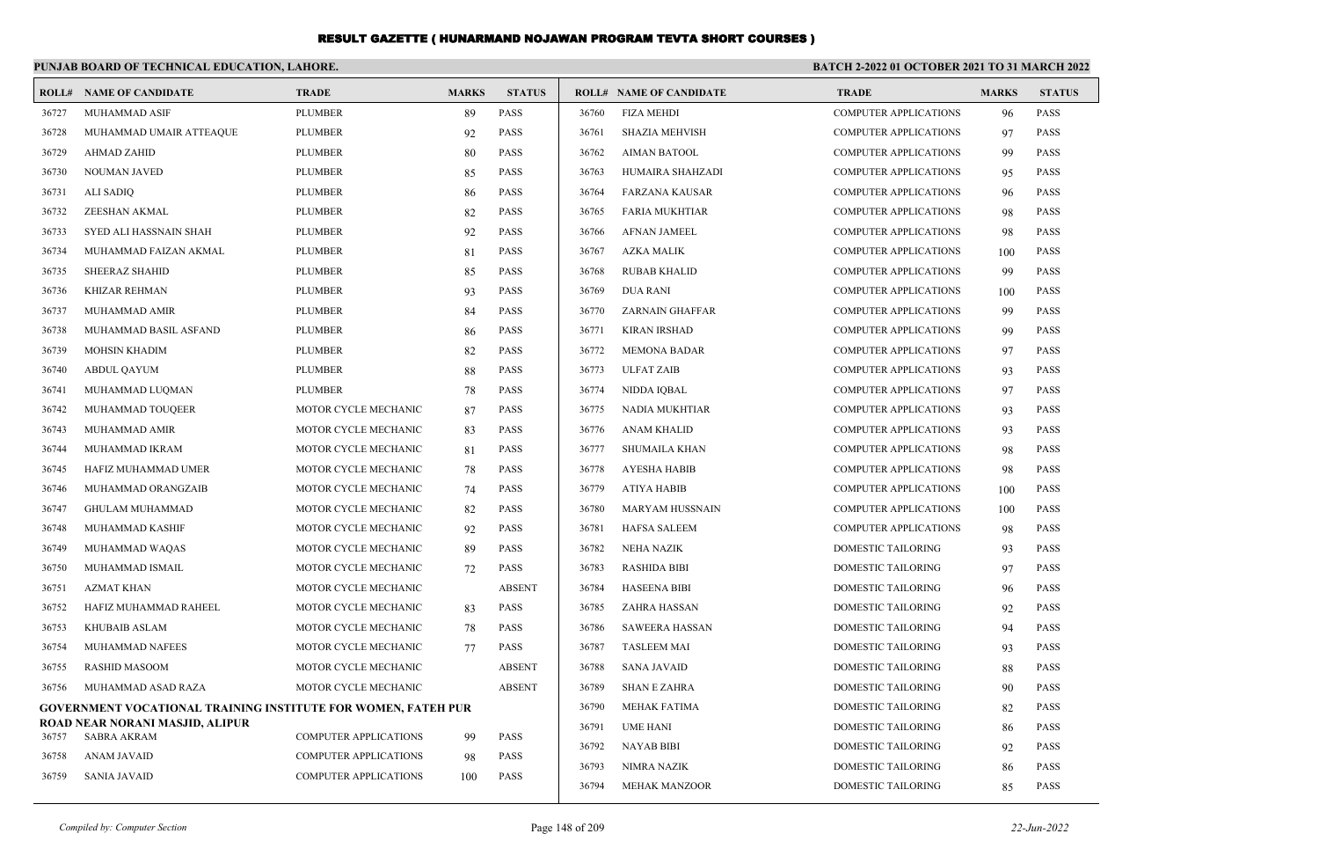|       | PUNJAB BOARD OF TECHNICAL EDUCATION, LAHORE.                         |                              |              |               | <b>BATCH 2-2022 01 OCTOBER 2021 TO 31 MARCH 2022</b> |                                |                              |              |               |
|-------|----------------------------------------------------------------------|------------------------------|--------------|---------------|------------------------------------------------------|--------------------------------|------------------------------|--------------|---------------|
| ROLL# | <b>NAME OF CANDIDATE</b>                                             | <b>TRADE</b>                 | <b>MARKS</b> | <b>STATUS</b> |                                                      | <b>ROLL# NAME OF CANDIDATE</b> | <b>TRADE</b>                 | <b>MARKS</b> | <b>STATUS</b> |
| 36727 | <b>MUHAMMAD ASIF</b>                                                 | <b>PLUMBER</b>               | 89           | <b>PASS</b>   | 36760                                                | <b>FIZA MEHDI</b>              | <b>COMPUTER APPLICATIONS</b> | 96           | <b>PASS</b>   |
| 36728 | MUHAMMAD UMAIR ATTEAQUE                                              | <b>PLUMBER</b>               | 92           | <b>PASS</b>   | 36761                                                | <b>SHAZIA MEHVISH</b>          | <b>COMPUTER APPLICATIONS</b> | 97           | <b>PASS</b>   |
| 36729 | <b>AHMAD ZAHID</b>                                                   | <b>PLUMBER</b>               | 80           | <b>PASS</b>   | 36762                                                | <b>AIMAN BATOOL</b>            | <b>COMPUTER APPLICATIONS</b> | 99           | <b>PASS</b>   |
| 36730 | NOUMAN JAVED                                                         | <b>PLUMBER</b>               | 85           | <b>PASS</b>   | 36763                                                | HUMAIRA SHAHZADI               | <b>COMPUTER APPLICATIONS</b> | 95           | <b>PASS</b>   |
| 36731 | ALI SADIQ                                                            | <b>PLUMBER</b>               | 86           | PASS          | 36764                                                | <b>FARZANA KAUSAR</b>          | <b>COMPUTER APPLICATIONS</b> | 96           | <b>PASS</b>   |
| 36732 | ZEESHAN AKMAL                                                        | <b>PLUMBER</b>               | 82           | PASS          | 36765                                                | <b>FARIA MUKHTIAR</b>          | <b>COMPUTER APPLICATIONS</b> | 98           | <b>PASS</b>   |
| 36733 | SYED ALI HASSNAIN SHAH                                               | <b>PLUMBER</b>               | 92           | PASS          | 36766                                                | <b>AFNAN JAMEEL</b>            | <b>COMPUTER APPLICATIONS</b> | 98           | <b>PASS</b>   |
| 36734 | MUHAMMAD FAIZAN AKMAL                                                | <b>PLUMBER</b>               | 81           | PASS          | 36767                                                | <b>AZKA MALIK</b>              | <b>COMPUTER APPLICATIONS</b> | 100          | <b>PASS</b>   |
| 36735 | <b>SHEERAZ SHAHID</b>                                                | <b>PLUMBER</b>               | 85           | PASS          | 36768                                                | <b>RUBAB KHALID</b>            | <b>COMPUTER APPLICATIONS</b> | 99           | <b>PASS</b>   |
| 36736 | <b>KHIZAR REHMAN</b>                                                 | <b>PLUMBER</b>               | 93           | <b>PASS</b>   | 36769                                                | <b>DUA RANI</b>                | <b>COMPUTER APPLICATIONS</b> | 100          | <b>PASS</b>   |
| 36737 | <b>MUHAMMAD AMIR</b>                                                 | <b>PLUMBER</b>               | 84           | <b>PASS</b>   | 36770                                                | <b>ZARNAIN GHAFFAR</b>         | <b>COMPUTER APPLICATIONS</b> | 99           | <b>PASS</b>   |
| 36738 | MUHAMMAD BASIL ASFAND                                                | <b>PLUMBER</b>               | 86           | PASS          | 36771                                                | <b>KIRAN IRSHAD</b>            | <b>COMPUTER APPLICATIONS</b> | 99           | <b>PASS</b>   |
| 36739 | <b>MOHSIN KHADIM</b>                                                 | <b>PLUMBER</b>               | 82           | <b>PASS</b>   | 36772                                                | <b>MEMONA BADAR</b>            | <b>COMPUTER APPLICATIONS</b> | 97           | <b>PASS</b>   |
| 36740 | <b>ABDUL QAYUM</b>                                                   | <b>PLUMBER</b>               | 88           | PASS          | 36773                                                | <b>ULFAT ZAIB</b>              | <b>COMPUTER APPLICATIONS</b> | 93           | <b>PASS</b>   |
| 36741 | MUHAMMAD LUQMAN                                                      | <b>PLUMBER</b>               | 78           | PASS          | 36774                                                | NIDDA IQBAL                    | <b>COMPUTER APPLICATIONS</b> | 97           | <b>PASS</b>   |
| 36742 | MUHAMMAD TOUQEER                                                     | MOTOR CYCLE MECHANIC         | 87           | PASS          | 36775                                                | NADIA MUKHTIAR                 | <b>COMPUTER APPLICATIONS</b> | 93           | <b>PASS</b>   |
| 36743 | MUHAMMAD AMIR                                                        | MOTOR CYCLE MECHANIC         | 83           | PASS          | 36776                                                | <b>ANAM KHALID</b>             | <b>COMPUTER APPLICATIONS</b> | 93           | <b>PASS</b>   |
| 36744 | MUHAMMAD IKRAM                                                       | MOTOR CYCLE MECHANIC         | 81           | <b>PASS</b>   | 36777                                                | <b>SHUMAILA KHAN</b>           | <b>COMPUTER APPLICATIONS</b> | 98           | <b>PASS</b>   |
| 36745 | HAFIZ MUHAMMAD UMER                                                  | MOTOR CYCLE MECHANIC         | 78           | PASS          | 36778                                                | <b>AYESHA HABIB</b>            | <b>COMPUTER APPLICATIONS</b> | 98           | <b>PASS</b>   |
| 36746 | MUHAMMAD ORANGZAIB                                                   | MOTOR CYCLE MECHANIC         | 74           | <b>PASS</b>   | 36779                                                | <b>ATIYA HABIB</b>             | <b>COMPUTER APPLICATIONS</b> | 100          | <b>PASS</b>   |
| 36747 | <b>GHULAM MUHAMMAD</b>                                               | MOTOR CYCLE MECHANIC         | 82           | <b>PASS</b>   | 36780                                                | <b>MARYAM HUSSNAIN</b>         | <b>COMPUTER APPLICATIONS</b> | 100          | <b>PASS</b>   |
| 36748 | MUHAMMAD KASHIF                                                      | MOTOR CYCLE MECHANIC         | 92           | <b>PASS</b>   | 36781                                                | <b>HAFSA SALEEM</b>            | <b>COMPUTER APPLICATIONS</b> | 98           | <b>PASS</b>   |
| 36749 | MUHAMMAD WAQAS                                                       | MOTOR CYCLE MECHANIC         | 89           | <b>PASS</b>   | 36782                                                | NEHA NAZIK                     | <b>DOMESTIC TAILORING</b>    | 93           | <b>PASS</b>   |
| 36750 | MUHAMMAD ISMAIL                                                      | MOTOR CYCLE MECHANIC         | 72           | <b>PASS</b>   | 36783                                                | RASHIDA BIBI                   | <b>DOMESTIC TAILORING</b>    | 97           | <b>PASS</b>   |
| 36751 | <b>AZMAT KHAN</b>                                                    | MOTOR CYCLE MECHANIC         |              | <b>ABSENT</b> | 36784                                                | <b>HASEENA BIBI</b>            | DOMESTIC TAILORING           | 96           | <b>PASS</b>   |
| 36752 | HAFIZ MUHAMMAD RAHEEL                                                | MOTOR CYCLE MECHANIC         | 83           | <b>PASS</b>   | 36785                                                | ZAHRA HASSAN                   | DOMESTIC TAILORING           | 92           | <b>PASS</b>   |
| 36753 | <b>KHUBAIB ASLAM</b>                                                 | MOTOR CYCLE MECHANIC         | 78           | PASS          | 36786                                                | <b>SAWEERA HASSAN</b>          | DOMESTIC TAILORING           | 94           | <b>PASS</b>   |
| 36754 | MUHAMMAD NAFEES                                                      | MOTOR CYCLE MECHANIC         | 77           | <b>PASS</b>   | 36787                                                | <b>TASLEEM MAI</b>             | DOMESTIC TAILORING           | 93           | <b>PASS</b>   |
| 36755 | <b>RASHID MASOOM</b>                                                 | MOTOR CYCLE MECHANIC         |              | <b>ABSENT</b> | 36788                                                | <b>SANA JAVAID</b>             | <b>DOMESTIC TAILORING</b>    | 88           | <b>PASS</b>   |
| 36756 | MUHAMMAD ASAD RAZA                                                   | MOTOR CYCLE MECHANIC         |              | <b>ABSENT</b> | 36789                                                | <b>SHAN E ZAHRA</b>            | <b>DOMESTIC TAILORING</b>    | 90           | <b>PASS</b>   |
|       | <b>GOVERNMENT VOCATIONAL TRAINING INSTITUTE FOR WOMEN, FATEH PUR</b> |                              |              |               | 36790                                                | MEHAK FATIMA                   | DOMESTIC TAILORING           | 82           | <b>PASS</b>   |
| 36757 | ROAD NEAR NORANI MASJID, ALIPUR<br>SABRA AKRAM                       | <b>COMPUTER APPLICATIONS</b> |              | <b>PASS</b>   | 36791                                                | <b>UME HANI</b>                | DOMESTIC TAILORING           | 86           | <b>PASS</b>   |
| 36758 | <b>ANAM JAVAID</b>                                                   | <b>COMPUTER APPLICATIONS</b> | 99           | <b>PASS</b>   | 36792                                                | <b>NAYAB BIBI</b>              | DOMESTIC TAILORING           | 92           | <b>PASS</b>   |
| 36759 | <b>SANIA JAVAID</b>                                                  | <b>COMPUTER APPLICATIONS</b> | 98           | <b>PASS</b>   | 36793                                                | <b>NIMRA NAZIK</b>             | <b>DOMESTIC TAILORING</b>    | 86           | <b>PASS</b>   |
|       |                                                                      |                              | 100          |               | 36794                                                | <b>MEHAK MANZOOR</b>           | <b>DOMESTIC TAILORING</b>    | 85           | <b>PASS</b>   |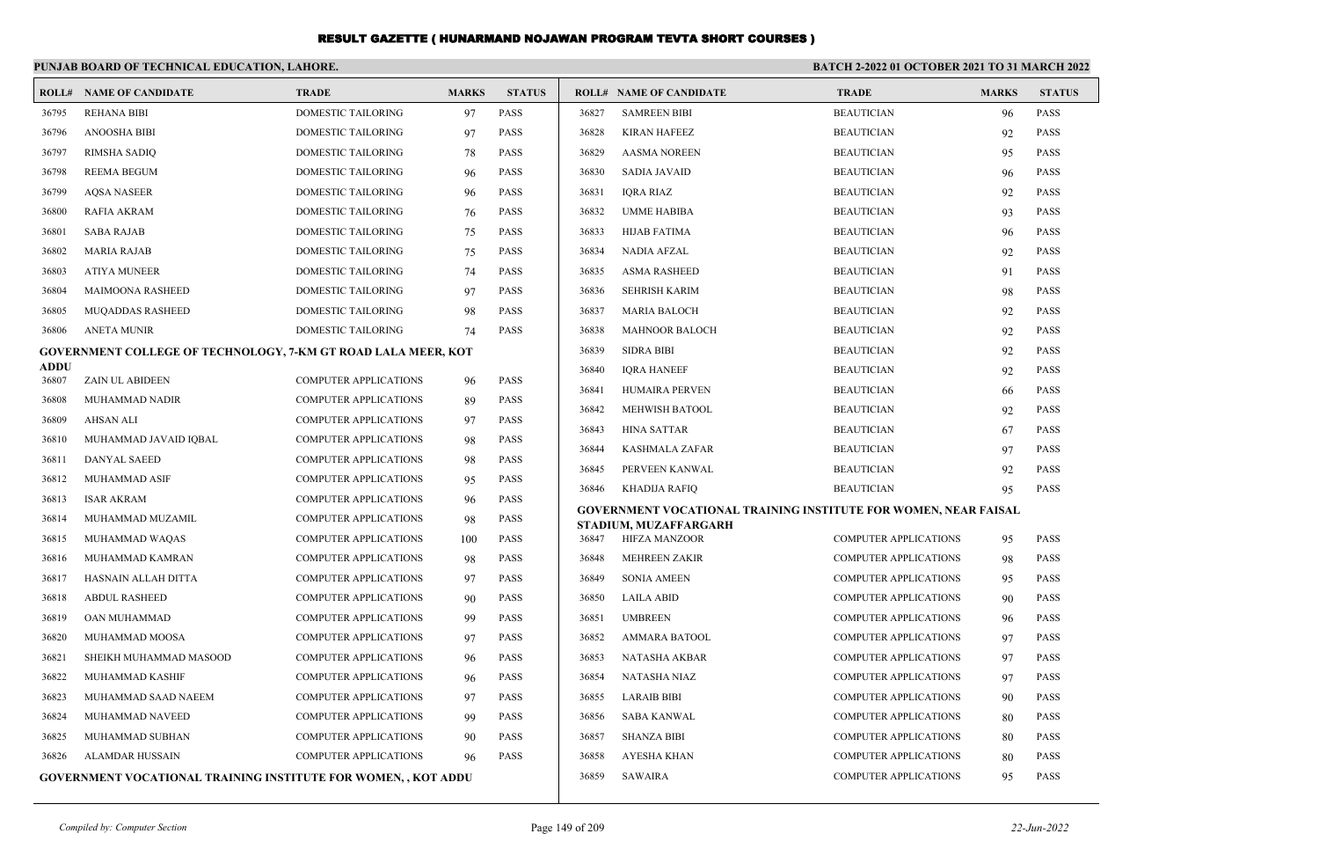|                      | PUNJAB BOARD OF TECHNICAL EDUCATION, LAHORE.                         |                              |              |               | <b>BATCH 2-2022 01 OCTOBER 2021 TO 31 MARCH 2022</b> |                                                                        |                              |              |               |
|----------------------|----------------------------------------------------------------------|------------------------------|--------------|---------------|------------------------------------------------------|------------------------------------------------------------------------|------------------------------|--------------|---------------|
|                      | <b>ROLL# NAME OF CANDIDATE</b>                                       | <b>TRADE</b>                 | <b>MARKS</b> | <b>STATUS</b> |                                                      | <b>ROLL# NAME OF CANDIDATE</b>                                         | <b>TRADE</b>                 | <b>MARKS</b> | <b>STATUS</b> |
| 36795                | <b>REHANA BIBI</b>                                                   | DOMESTIC TAILORING           | 97           | <b>PASS</b>   | 36827                                                | <b>SAMREEN BIBI</b>                                                    | <b>BEAUTICIAN</b>            | 96           | <b>PASS</b>   |
| 36796                | ANOOSHA BIBI                                                         | DOMESTIC TAILORING           | 97           | <b>PASS</b>   | 36828                                                | <b>KIRAN HAFEEZ</b>                                                    | <b>BEAUTICIAN</b>            | 92           | <b>PASS</b>   |
| 36797                | <b>RIMSHA SADIQ</b>                                                  | <b>DOMESTIC TAILORING</b>    | 78           | <b>PASS</b>   | 36829                                                | <b>AASMA NOREEN</b>                                                    | <b>BEAUTICIAN</b>            | 95           | <b>PASS</b>   |
| 36798                | <b>REEMA BEGUM</b>                                                   | <b>DOMESTIC TAILORING</b>    | 96           | <b>PASS</b>   | 36830                                                | <b>SADIA JAVAID</b>                                                    | <b>BEAUTICIAN</b>            | 96           | <b>PASS</b>   |
| 36799                | <b>AQSA NASEER</b>                                                   | DOMESTIC TAILORING           | 96           | <b>PASS</b>   | 36831                                                | <b>IQRA RIAZ</b>                                                       | <b>BEAUTICIAN</b>            | 92           | PASS          |
| 36800                | <b>RAFIA AKRAM</b>                                                   | DOMESTIC TAILORING           | 76           | <b>PASS</b>   | 36832                                                | <b>UMME HABIBA</b>                                                     | <b>BEAUTICIAN</b>            | 93           | PASS          |
| 36801                | <b>SABA RAJAB</b>                                                    | <b>DOMESTIC TAILORING</b>    | 75           | <b>PASS</b>   | 36833                                                | <b>HIJAB FATIMA</b>                                                    | <b>BEAUTICIAN</b>            | 96           | <b>PASS</b>   |
| 36802                | <b>MARIA RAJAB</b>                                                   | <b>DOMESTIC TAILORING</b>    | 75           | <b>PASS</b>   | 36834                                                | <b>NADIA AFZAL</b>                                                     | <b>BEAUTICIAN</b>            | 92           | <b>PASS</b>   |
| 36803                | <b>ATIYA MUNEER</b>                                                  | <b>DOMESTIC TAILORING</b>    | 74           | <b>PASS</b>   | 36835                                                | <b>ASMA RASHEED</b>                                                    | <b>BEAUTICIAN</b>            | 91           | <b>PASS</b>   |
| 36804                | <b>MAIMOONA RASHEED</b>                                              | <b>DOMESTIC TAILORING</b>    | 97           | <b>PASS</b>   | 36836                                                | <b>SEHRISH KARIM</b>                                                   | <b>BEAUTICIAN</b>            | 98           | <b>PASS</b>   |
| 36805                | MUQADDAS RASHEED                                                     | DOMESTIC TAILORING           | 98           | <b>PASS</b>   | 36837                                                | <b>MARIA BALOCH</b>                                                    | <b>BEAUTICIAN</b>            | 92           | <b>PASS</b>   |
| 36806                | <b>ANETA MUNIR</b>                                                   | DOMESTIC TAILORING           | 74           | <b>PASS</b>   | 36838                                                | <b>MAHNOOR BALOCH</b>                                                  | <b>BEAUTICIAN</b>            | 92           | <b>PASS</b>   |
|                      | <b>GOVERNMENT COLLEGE OF TECHNOLOGY, 7-KM GT ROAD LALA MEER, KOT</b> |                              |              |               | 36839                                                | <b>SIDRA BIBI</b>                                                      | <b>BEAUTICIAN</b>            | 92           | <b>PASS</b>   |
| <b>ADDU</b><br>36807 | ZAIN UL ABIDEEN                                                      | <b>COMPUTER APPLICATIONS</b> | 96           | <b>PASS</b>   | 36840                                                | <b>IORA HANEEF</b>                                                     | <b>BEAUTICIAN</b>            | 92           | <b>PASS</b>   |
| 36808                | MUHAMMAD NADIR                                                       | <b>COMPUTER APPLICATIONS</b> | 89           | <b>PASS</b>   | 36841                                                | <b>HUMAIRA PERVEN</b>                                                  | <b>BEAUTICIAN</b>            | 66           | <b>PASS</b>   |
| 36809                | <b>AHSAN ALI</b>                                                     | <b>COMPUTER APPLICATIONS</b> | 97           | <b>PASS</b>   | 36842                                                | <b>MEHWISH BATOOL</b>                                                  | <b>BEAUTICIAN</b>            | 92           | <b>PASS</b>   |
| 36810                | MUHAMMAD JAVAID IQBAL                                                | <b>COMPUTER APPLICATIONS</b> | 98           | <b>PASS</b>   | 36843                                                | <b>HINA SATTAR</b>                                                     | <b>BEAUTICIAN</b>            | 67           | PASS          |
| 36811                | <b>DANYAL SAEED</b>                                                  | <b>COMPUTER APPLICATIONS</b> | 98           | <b>PASS</b>   | 36844                                                | <b>KASHMALA ZAFAR</b>                                                  | <b>BEAUTICIAN</b>            | 97           | PASS          |
| 36812                | MUHAMMAD ASIF                                                        | <b>COMPUTER APPLICATIONS</b> | 95           | <b>PASS</b>   | 36845                                                | PERVEEN KANWAL                                                         | <b>BEAUTICIAN</b>            | 92           | <b>PASS</b>   |
| 36813                | <b>ISAR AKRAM</b>                                                    | <b>COMPUTER APPLICATIONS</b> | 96           | <b>PASS</b>   | 36846                                                | KHADIJA RAFIQ                                                          | <b>BEAUTICIAN</b>            | 95           | <b>PASS</b>   |
| 36814                | MUHAMMAD MUZAMIL                                                     | <b>COMPUTER APPLICATIONS</b> | 98           | <b>PASS</b>   |                                                      | <b>GOVERNMENT VOCATIONAL TRAINING INSTITUTE FOR WOMEN, NEAR FAISAL</b> |                              |              |               |
| 36815                | MUHAMMAD WAQAS                                                       | <b>COMPUTER APPLICATIONS</b> | 100          | <b>PASS</b>   | 36847                                                | STADIUM, MUZAFFARGARH<br><b>HIFZA MANZOOR</b>                          | <b>COMPUTER APPLICATIONS</b> | 95           | <b>PASS</b>   |
| 36816                | MUHAMMAD KAMRAN                                                      | <b>COMPUTER APPLICATIONS</b> | 98           | <b>PASS</b>   | 36848                                                | MEHREEN ZAKIR                                                          | <b>COMPUTER APPLICATIONS</b> | 98           | <b>PASS</b>   |
| 36817                | HASNAIN ALLAH DITTA                                                  | <b>COMPUTER APPLICATIONS</b> | 97           | <b>PASS</b>   | 36849                                                | <b>SONIA AMEEN</b>                                                     | <b>COMPUTER APPLICATIONS</b> | 95           | <b>PASS</b>   |
| 36818                | <b>ABDUL RASHEED</b>                                                 | <b>COMPUTER APPLICATIONS</b> | 90           | <b>PASS</b>   | 36850                                                | <b>LAILA ABID</b>                                                      | COMPUTER APPLICATIONS        | 90           | <b>PASS</b>   |
| 36819                | OAN MUHAMMAD                                                         | <b>COMPUTER APPLICATIONS</b> | 99           | <b>PASS</b>   | 36851                                                | <b>UMBREEN</b>                                                         | <b>COMPUTER APPLICATIONS</b> | 96           | <b>PASS</b>   |
| 36820                | MUHAMMAD MOOSA                                                       | <b>COMPUTER APPLICATIONS</b> | 97           | <b>PASS</b>   | 36852                                                | AMMARA BATOOL                                                          | COMPUTER APPLICATIONS        | 97           | <b>PASS</b>   |
| 36821                | SHEIKH MUHAMMAD MASOOD                                               | <b>COMPUTER APPLICATIONS</b> | 96           | <b>PASS</b>   | 36853                                                | NATASHA AKBAR                                                          | COMPUTER APPLICATIONS        | 97           | <b>PASS</b>   |
| 36822                | MUHAMMAD KASHIF                                                      | <b>COMPUTER APPLICATIONS</b> | 96           | <b>PASS</b>   | 36854                                                | NATASHA NIAZ                                                           | <b>COMPUTER APPLICATIONS</b> | 97           | <b>PASS</b>   |
| 36823                | MUHAMMAD SAAD NAEEM                                                  | COMPUTER APPLICATIONS        | 97           | <b>PASS</b>   | 36855                                                | <b>LARAIB BIBI</b>                                                     | <b>COMPUTER APPLICATIONS</b> | 90           | <b>PASS</b>   |
| 36824                | MUHAMMAD NAVEED                                                      | <b>COMPUTER APPLICATIONS</b> | 99           | <b>PASS</b>   | 36856                                                | <b>SABA KANWAL</b>                                                     | COMPUTER APPLICATIONS        | 80           | <b>PASS</b>   |
| 36825                | MUHAMMAD SUBHAN                                                      | <b>COMPUTER APPLICATIONS</b> | 90           | <b>PASS</b>   | 36857                                                | <b>SHANZA BIBI</b>                                                     | COMPUTER APPLICATIONS        | 80           | <b>PASS</b>   |
| 36826                | ALAMDAR HUSSAIN                                                      | <b>COMPUTER APPLICATIONS</b> | 96           | <b>PASS</b>   | 36858                                                | <b>AYESHA KHAN</b>                                                     | COMPUTER APPLICATIONS        | 80           | <b>PASS</b>   |
|                      | <b>GOVERNMENT VOCATIONAL TRAINING INSTITUTE FOR WOMEN,, KOT ADDU</b> |                              |              |               | 36859                                                | <b>SAWAIRA</b>                                                         | <b>COMPUTER APPLICATIONS</b> | 95           | <b>PASS</b>   |
|                      |                                                                      |                              |              |               |                                                      |                                                                        |                              |              |               |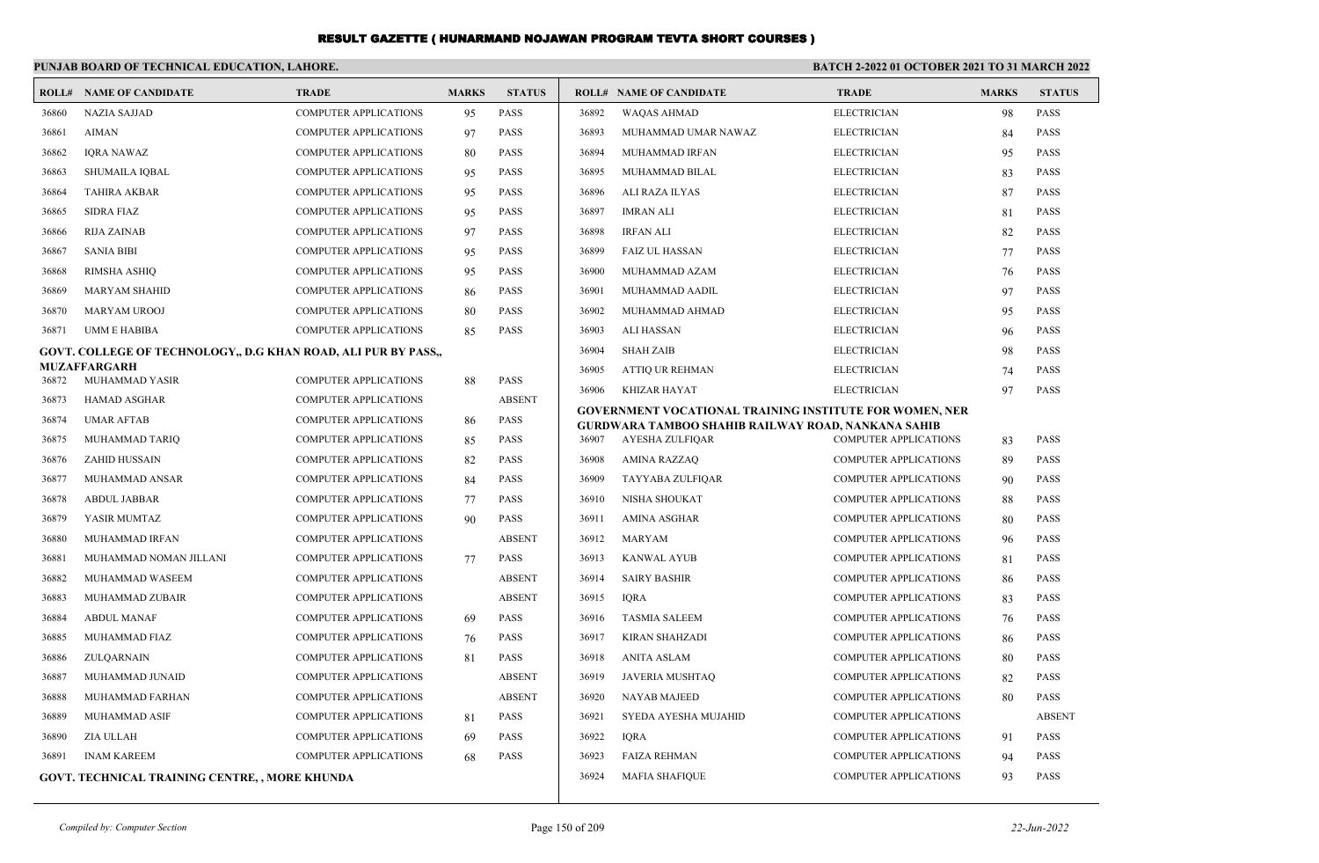|       | PUNJAB BOARD OF TECHNICAL EDUCATION, LAHORE.                   |                              |              |                              | <b>BATCH 2-2022 01 OCTOBER 2021 TO 31 MARCH 2022</b> |                                                                |                              |              |               |
|-------|----------------------------------------------------------------|------------------------------|--------------|------------------------------|------------------------------------------------------|----------------------------------------------------------------|------------------------------|--------------|---------------|
|       | <b>ROLL# NAME OF CANDIDATE</b>                                 | <b>TRADE</b>                 | <b>MARKS</b> | <b>STATUS</b>                |                                                      | <b>ROLL# NAME OF CANDIDATE</b>                                 | <b>TRADE</b>                 | <b>MARKS</b> | <b>STATUS</b> |
| 36860 | <b>NAZIA SAJJAD</b>                                            | <b>COMPUTER APPLICATIONS</b> | 95           | <b>PASS</b>                  | 36892                                                | <b>WAQAS AHMAD</b>                                             | <b>ELECTRICIAN</b>           | 98           | <b>PASS</b>   |
| 36861 | <b>AIMAN</b>                                                   | <b>COMPUTER APPLICATIONS</b> | 97           | <b>PASS</b>                  | 36893                                                | MUHAMMAD UMAR NAWAZ                                            | <b>ELECTRICIAN</b>           | 84           | <b>PASS</b>   |
| 36862 | <b>IQRA NAWAZ</b>                                              | <b>COMPUTER APPLICATIONS</b> | 80           | <b>PASS</b>                  | 36894                                                | MUHAMMAD IRFAN                                                 | <b>ELECTRICIAN</b>           | 95           | <b>PASS</b>   |
| 36863 | <b>SHUMAILA IQBAL</b>                                          | <b>COMPUTER APPLICATIONS</b> | 95           | <b>PASS</b>                  | 36895                                                | MUHAMMAD BILAL                                                 | <b>ELECTRICIAN</b>           | 83           | <b>PASS</b>   |
| 36864 | <b>TAHIRA AKBAR</b>                                            | <b>COMPUTER APPLICATIONS</b> | 95           | <b>PASS</b>                  | 36896                                                | ALI RAZA ILYAS                                                 | <b>ELECTRICIAN</b>           | 87           | <b>PASS</b>   |
| 36865 | <b>SIDRA FIAZ</b>                                              | <b>COMPUTER APPLICATIONS</b> | 95           | <b>PASS</b>                  | 36897                                                | <b>IMRAN ALI</b>                                               | <b>ELECTRICIAN</b>           | 81           | <b>PASS</b>   |
| 36866 | <b>RIJA ZAINAB</b>                                             | <b>COMPUTER APPLICATIONS</b> | 97           | <b>PASS</b>                  | 36898                                                | <b>IRFAN ALI</b>                                               | <b>ELECTRICIAN</b>           | 82           | <b>PASS</b>   |
| 36867 | <b>SANIA BIBI</b>                                              | <b>COMPUTER APPLICATIONS</b> | 95           | <b>PASS</b>                  | 36899                                                | <b>FAIZ UL HASSAN</b>                                          | <b>ELECTRICIAN</b>           | 77           | <b>PASS</b>   |
| 36868 | <b>RIMSHA ASHIQ</b>                                            | <b>COMPUTER APPLICATIONS</b> | 95           | <b>PASS</b>                  | 36900                                                | MUHAMMAD AZAM                                                  | <b>ELECTRICIAN</b>           | 76           | <b>PASS</b>   |
| 36869 | <b>MARYAM SHAHID</b>                                           | <b>COMPUTER APPLICATIONS</b> | 86           | <b>PASS</b>                  | 36901                                                | MUHAMMAD AADIL                                                 | <b>ELECTRICIAN</b>           | 97           | <b>PASS</b>   |
| 36870 | <b>MARYAM UROOJ</b>                                            | <b>COMPUTER APPLICATIONS</b> | 80           | <b>PASS</b>                  | 36902                                                | MUHAMMAD AHMAD                                                 | <b>ELECTRICIAN</b>           | 95           | <b>PASS</b>   |
| 36871 | <b>UMM E HABIBA</b>                                            | <b>COMPUTER APPLICATIONS</b> | 85           | <b>PASS</b>                  | 36903                                                | ALI HASSAN                                                     | <b>ELECTRICIAN</b>           | 96           | <b>PASS</b>   |
|       | GOVT. COLLEGE OF TECHNOLOGY,, D.G KHAN ROAD, ALI PUR BY PASS,, |                              |              |                              | 36904                                                | <b>SHAH ZAIB</b>                                               | <b>ELECTRICIAN</b>           | 98           | <b>PASS</b>   |
|       | <b>MUZAFFARGARH</b>                                            |                              |              |                              | 36905                                                | <b>ATTIO UR REHMAN</b>                                         | <b>ELECTRICIAN</b>           | 74           | <b>PASS</b>   |
| 36872 | MUHAMMAD YASIR                                                 | <b>COMPUTER APPLICATIONS</b> | 88           | <b>PASS</b><br><b>ABSENT</b> | 36906                                                | <b>KHIZAR HAYAT</b>                                            | <b>ELECTRICIAN</b>           | 97           | <b>PASS</b>   |
| 36873 | <b>HAMAD ASGHAR</b>                                            | <b>COMPUTER APPLICATIONS</b> |              |                              |                                                      | <b>GOVERNMENT VOCATIONAL TRAINING INSTITUTE FOR WOMEN, NER</b> |                              |              |               |
| 36874 | <b>UMAR AFTAB</b>                                              | <b>COMPUTER APPLICATIONS</b> | 86           | <b>PASS</b><br><b>PASS</b>   |                                                      | GURDWARA TAMBOO SHAHIB RAILWAY ROAD, NANKANA SAHIB             |                              |              | <b>PASS</b>   |
| 36875 | MUHAMMAD TARIQ                                                 | <b>COMPUTER APPLICATIONS</b> | 85           | <b>PASS</b>                  | 36907                                                | AYESHA ZULFIQAR                                                | <b>COMPUTER APPLICATIONS</b> | 83           | <b>PASS</b>   |
| 36876 | <b>ZAHID HUSSAIN</b>                                           | <b>COMPUTER APPLICATIONS</b> | 82           |                              | 36908                                                | <b>AMINA RAZZAQ</b>                                            | COMPUTER APPLICATIONS        | 89           |               |
| 36877 | MUHAMMAD ANSAR                                                 | <b>COMPUTER APPLICATIONS</b> | 84           | <b>PASS</b>                  | 36909                                                | TAYYABA ZULFIQAR                                               | <b>COMPUTER APPLICATIONS</b> | 90           | <b>PASS</b>   |
| 36878 | <b>ABDUL JABBAR</b>                                            | <b>COMPUTER APPLICATIONS</b> | 77           | <b>PASS</b>                  | 36910                                                | NISHA SHOUKAT                                                  | <b>COMPUTER APPLICATIONS</b> | 88           | <b>PASS</b>   |
| 36879 | YASIR MUMTAZ                                                   | <b>COMPUTER APPLICATIONS</b> | 90           | <b>PASS</b>                  | 36911                                                | <b>AMINA ASGHAR</b>                                            | <b>COMPUTER APPLICATIONS</b> | 80           | <b>PASS</b>   |
| 36880 | MUHAMMAD IRFAN                                                 | <b>COMPUTER APPLICATIONS</b> |              | <b>ABSENT</b>                | 36912                                                | MARYAM                                                         | <b>COMPUTER APPLICATIONS</b> | 96           | <b>PASS</b>   |
| 36881 | MUHAMMAD NOMAN JILLANI                                         | <b>COMPUTER APPLICATIONS</b> | 77           | <b>PASS</b>                  | 36913                                                | <b>KANWAL AYUB</b>                                             | <b>COMPUTER APPLICATIONS</b> | 81           | <b>PASS</b>   |
| 36882 | MUHAMMAD WASEEM                                                | <b>COMPUTER APPLICATIONS</b> |              | <b>ABSENT</b>                | 36914                                                | SAIRY BASHIR                                                   | <b>COMPUTER APPLICATIONS</b> | 86           | <b>PASS</b>   |
| 36883 | MUHAMMAD ZUBAIR                                                | <b>COMPUTER APPLICATIONS</b> |              | <b>ABSENT</b>                | 36915                                                | <b>IQRA</b>                                                    | COMPUTER APPLICATIONS        | 83           | <b>PASS</b>   |
| 36884 | <b>ABDUL MANAF</b>                                             | <b>COMPUTER APPLICATIONS</b> | 69           | <b>PASS</b>                  | 36916                                                | <b>TASMIA SALEEM</b>                                           | COMPUTER APPLICATIONS        | 76           | <b>PASS</b>   |
| 36885 | MUHAMMAD FIAZ                                                  | COMPUTER APPLICATIONS        | 76           | <b>PASS</b>                  | 36917                                                | <b>KIRAN SHAHZADI</b>                                          | COMPUTER APPLICATIONS        | 86           | <b>PASS</b>   |
| 36886 | ZULQARNAIN                                                     | COMPUTER APPLICATIONS        | 81           | <b>PASS</b>                  | 36918                                                | <b>ANITA ASLAM</b>                                             | COMPUTER APPLICATIONS        | 80           | <b>PASS</b>   |
| 36887 | MUHAMMAD JUNAID                                                | <b>COMPUTER APPLICATIONS</b> |              | <b>ABSENT</b>                | 36919                                                | JAVERIA MUSHTAQ                                                | COMPUTER APPLICATIONS        | 82           | <b>PASS</b>   |
| 36888 | MUHAMMAD FARHAN                                                | <b>COMPUTER APPLICATIONS</b> |              | <b>ABSENT</b>                | 36920                                                | <b>NAYAB MAJEED</b>                                            | COMPUTER APPLICATIONS        | 80           | <b>PASS</b>   |
| 36889 | <b>MUHAMMAD ASIF</b>                                           | <b>COMPUTER APPLICATIONS</b> | 81           | <b>PASS</b>                  | 36921                                                | SYEDA AYESHA MUJAHID                                           | <b>COMPUTER APPLICATIONS</b> |              | <b>ABSENT</b> |
| 36890 | ZIA ULLAH                                                      | <b>COMPUTER APPLICATIONS</b> | 69           | <b>PASS</b>                  | 36922                                                | <b>IQRA</b>                                                    | <b>COMPUTER APPLICATIONS</b> | 91           | <b>PASS</b>   |
| 36891 | <b>INAM KAREEM</b>                                             | <b>COMPUTER APPLICATIONS</b> | 68           | <b>PASS</b>                  | 36923                                                | <b>FAIZA REHMAN</b>                                            | <b>COMPUTER APPLICATIONS</b> | 94           | <b>PASS</b>   |
|       | <b>GOVT. TECHNICAL TRAINING CENTRE, , MORE KHUNDA</b>          |                              |              |                              | 36924                                                | <b>MAFIA SHAFIQUE</b>                                          | <b>COMPUTER APPLICATIONS</b> | 93           | <b>PASS</b>   |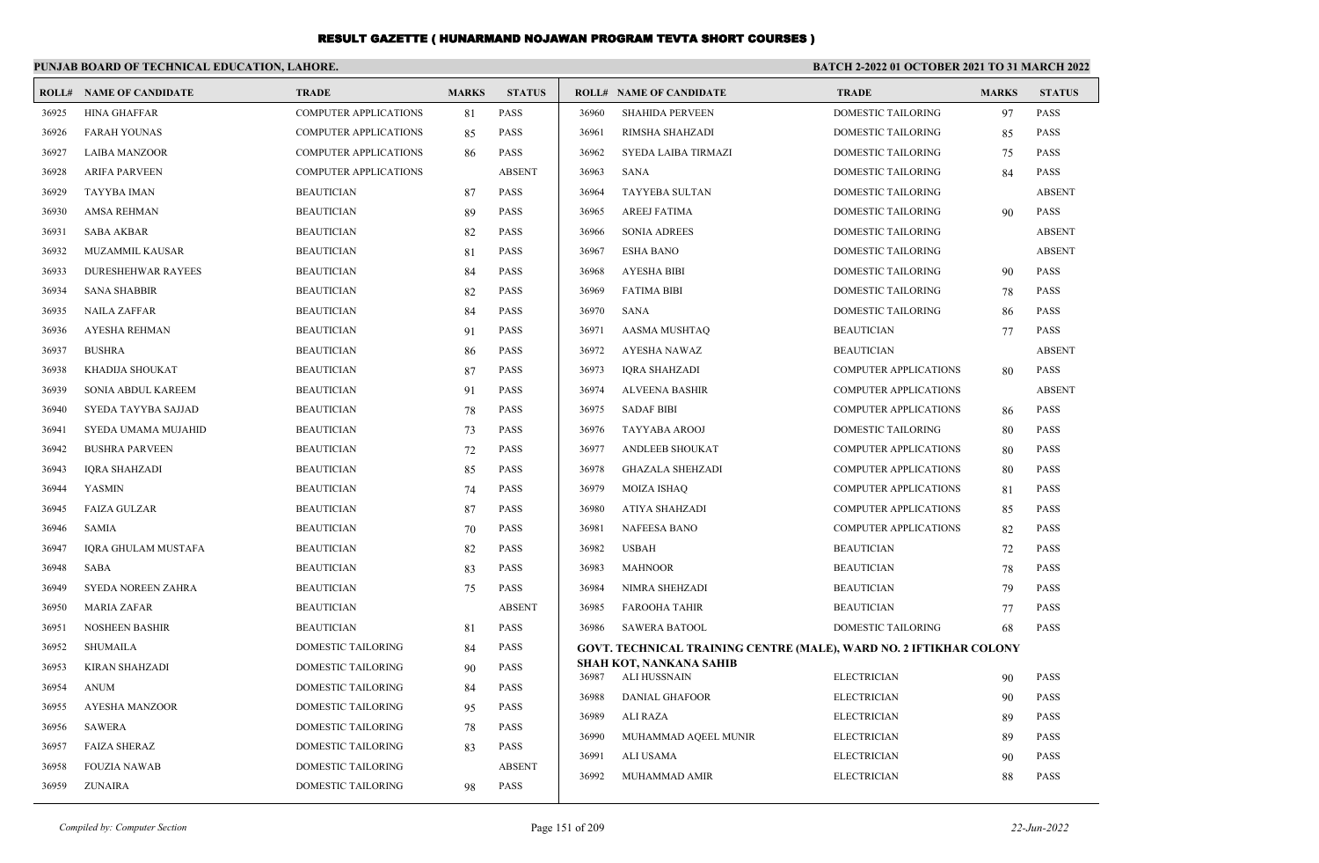|       | PUNJAB BOARD OF TECHNICAL EDUCATION, LAHORE. |                              |              |               | BATCH 2-2022 01 OCTOBER 2021 TO 31 MARCH 2022 |                                                                           |                              |              |               |
|-------|----------------------------------------------|------------------------------|--------------|---------------|-----------------------------------------------|---------------------------------------------------------------------------|------------------------------|--------------|---------------|
|       | <b>ROLL# NAME OF CANDIDATE</b>               | <b>TRADE</b>                 | <b>MARKS</b> | <b>STATUS</b> |                                               | <b>ROLL# NAME OF CANDIDATE</b>                                            | <b>TRADE</b>                 | <b>MARKS</b> | <b>STATUS</b> |
| 36925 | <b>HINA GHAFFAR</b>                          | <b>COMPUTER APPLICATIONS</b> | 81           | PASS          | 36960                                         | <b>SHAHIDA PERVEEN</b>                                                    | <b>DOMESTIC TAILORING</b>    | 97           | <b>PASS</b>   |
| 36926 | <b>FARAH YOUNAS</b>                          | <b>COMPUTER APPLICATIONS</b> | 85           | <b>PASS</b>   | 36961                                         | RIMSHA SHAHZADI                                                           | <b>DOMESTIC TAILORING</b>    | 85           | <b>PASS</b>   |
| 36927 | <b>LAIBA MANZOOR</b>                         | COMPUTER APPLICATIONS        | 86           | <b>PASS</b>   | 36962                                         | SYEDA LAIBA TIRMAZI                                                       | DOMESTIC TAILORING           | 75           | PASS          |
| 36928 | <b>ARIFA PARVEEN</b>                         | <b>COMPUTER APPLICATIONS</b> |              | <b>ABSENT</b> | 36963                                         | <b>SANA</b>                                                               | DOMESTIC TAILORING           | 84           | <b>PASS</b>   |
| 36929 | <b>TAYYBA IMAN</b>                           | <b>BEAUTICIAN</b>            | 87           | <b>PASS</b>   | 36964                                         | <b>TAYYEBA SULTAN</b>                                                     | <b>DOMESTIC TAILORING</b>    |              | <b>ABSENT</b> |
| 36930 | <b>AMSA REHMAN</b>                           | <b>BEAUTICIAN</b>            | 89           | <b>PASS</b>   | 36965                                         | <b>AREEJ FATIMA</b>                                                       | <b>DOMESTIC TAILORING</b>    | 90           | <b>PASS</b>   |
| 36931 | <b>SABA AKBAR</b>                            | <b>BEAUTICIAN</b>            | 82           | <b>PASS</b>   | 36966                                         | <b>SONIA ADREES</b>                                                       | DOMESTIC TAILORING           |              | <b>ABSENT</b> |
| 36932 | <b>MUZAMMIL KAUSAR</b>                       | <b>BEAUTICIAN</b>            | 81           | <b>PASS</b>   | 36967                                         | <b>ESHA BANO</b>                                                          | DOMESTIC TAILORING           |              | <b>ABSENT</b> |
| 36933 | <b>DURESHEHWAR RAYEES</b>                    | <b>BEAUTICIAN</b>            | 84           | <b>PASS</b>   | 36968                                         | <b>AYESHA BIBI</b>                                                        | <b>DOMESTIC TAILORING</b>    | 90           | <b>PASS</b>   |
| 36934 | <b>SANA SHABBIR</b>                          | <b>BEAUTICIAN</b>            | 82           | <b>PASS</b>   | 36969                                         | <b>FATIMA BIBI</b>                                                        | <b>DOMESTIC TAILORING</b>    | 78           | <b>PASS</b>   |
| 36935 | <b>NAILA ZAFFAR</b>                          | <b>BEAUTICIAN</b>            | 84           | <b>PASS</b>   | 36970                                         | <b>SANA</b>                                                               | DOMESTIC TAILORING           | 86           | <b>PASS</b>   |
| 36936 | <b>AYESHA REHMAN</b>                         | <b>BEAUTICIAN</b>            | 91           | <b>PASS</b>   | 36971                                         | AASMA MUSHTAQ                                                             | <b>BEAUTICIAN</b>            | 77           | <b>PASS</b>   |
| 36937 | <b>BUSHRA</b>                                | <b>BEAUTICIAN</b>            | 86           | <b>PASS</b>   | 36972                                         | <b>AYESHA NAWAZ</b>                                                       | <b>BEAUTICIAN</b>            |              | <b>ABSENT</b> |
| 36938 | KHADIJA SHOUKAT                              | <b>BEAUTICIAN</b>            | 87           | <b>PASS</b>   | 36973                                         | <b>IORA SHAHZADI</b>                                                      | <b>COMPUTER APPLICATIONS</b> | 80           | <b>PASS</b>   |
| 36939 | SONIA ABDUL KAREEM                           | <b>BEAUTICIAN</b>            | 91           | <b>PASS</b>   | 36974                                         | <b>ALVEENA BASHIR</b>                                                     | <b>COMPUTER APPLICATIONS</b> |              | <b>ABSENT</b> |
| 36940 | SYEDA TAYYBA SAJJAD                          | <b>BEAUTICIAN</b>            | 78           | PASS          | 36975                                         | <b>SADAF BIBI</b>                                                         | <b>COMPUTER APPLICATIONS</b> | 86           | <b>PASS</b>   |
| 36941 | SYEDA UMAMA MUJAHID                          | <b>BEAUTICIAN</b>            | 73           | <b>PASS</b>   | 36976                                         | TAYYABA AROOJ                                                             | <b>DOMESTIC TAILORING</b>    | 80           | <b>PASS</b>   |
| 36942 | <b>BUSHRA PARVEEN</b>                        | <b>BEAUTICIAN</b>            | 72           | <b>PASS</b>   | 36977                                         | <b>ANDLEEB SHOUKAT</b>                                                    | <b>COMPUTER APPLICATIONS</b> | 80           | <b>PASS</b>   |
| 36943 | <b>IQRA SHAHZADI</b>                         | <b>BEAUTICIAN</b>            | 85           | <b>PASS</b>   | 36978                                         | <b>GHAZALA SHEHZADI</b>                                                   | <b>COMPUTER APPLICATIONS</b> | 80           | <b>PASS</b>   |
| 36944 | <b>YASMIN</b>                                | <b>BEAUTICIAN</b>            | 74           | PASS          | 36979                                         | <b>MOIZA ISHAQ</b>                                                        | <b>COMPUTER APPLICATIONS</b> | 81           | PASS          |
| 36945 | <b>FAIZA GULZAR</b>                          | <b>BEAUTICIAN</b>            | 87           | <b>PASS</b>   | 36980                                         | ATIYA SHAHZADI                                                            | <b>COMPUTER APPLICATIONS</b> | 85           | <b>PASS</b>   |
| 36946 | <b>SAMIA</b>                                 | <b>BEAUTICIAN</b>            | 70           | <b>PASS</b>   | 36981                                         | <b>NAFEESA BANO</b>                                                       | <b>COMPUTER APPLICATIONS</b> | 82           | <b>PASS</b>   |
| 36947 | IQRA GHULAM MUSTAFA                          | <b>BEAUTICIAN</b>            | 82           | <b>PASS</b>   | 36982                                         | <b>USBAH</b>                                                              | <b>BEAUTICIAN</b>            | 72           | <b>PASS</b>   |
| 36948 | <b>SABA</b>                                  | <b>BEAUTICIAN</b>            | 83           | PASS          | 36983                                         | <b>MAHNOOR</b>                                                            | <b>BEAUTICIAN</b>            | 78           | PASS          |
| 36949 | SYEDA NOREEN ZAHRA                           | <b>BEAUTICIAN</b>            | 75           | <b>PASS</b>   | 36984                                         | NIMRA SHEHZADI                                                            | <b>BEAUTICIAN</b>            | 79           | <b>PASS</b>   |
| 36950 | <b>MARIA ZAFAR</b>                           | <b>BEAUTICIAN</b>            |              | <b>ABSENT</b> | 36985                                         | <b>FAROOHA TAHIR</b>                                                      | <b>BEAUTICIAN</b>            | 77           | <b>PASS</b>   |
| 36951 | <b>NOSHEEN BASHIR</b>                        | <b>BEAUTICIAN</b>            | 81           | <b>PASS</b>   | 36986                                         | <b>SAWERA BATOOL</b>                                                      | <b>DOMESTIC TAILORING</b>    | 68           | <b>PASS</b>   |
| 36952 | SHUMAILA                                     | DOMESTIC TAILORING           | 84           | <b>PASS</b>   |                                               | <b>GOVT. TECHNICAL TRAINING CENTRE (MALE), WARD NO. 2 IFTIKHAR COLONY</b> |                              |              |               |
| 36953 | <b>KIRAN SHAHZADI</b>                        | <b>DOMESTIC TAILORING</b>    | 90           | <b>PASS</b>   | 36987                                         | SHAH KOT, NANKANA SAHIB<br><b>ALI HUSSNAIN</b>                            | <b>ELECTRICIAN</b>           | 90           | <b>PASS</b>   |
| 36954 | <b>ANUM</b>                                  | <b>DOMESTIC TAILORING</b>    | 84           | <b>PASS</b>   | 36988                                         | <b>DANIAL GHAFOOR</b>                                                     | <b>ELECTRICIAN</b>           | 90           | <b>PASS</b>   |
| 36955 | <b>AYESHA MANZOOR</b>                        | <b>DOMESTIC TAILORING</b>    | 95           | <b>PASS</b>   | 36989                                         | ALI RAZA                                                                  | <b>ELECTRICIAN</b>           | 89           | <b>PASS</b>   |
| 36956 | <b>SAWERA</b>                                | DOMESTIC TAILORING           | 78           | <b>PASS</b>   | 36990                                         | MUHAMMAD AQEEL MUNIR                                                      | <b>ELECTRICIAN</b>           | 89           | <b>PASS</b>   |
| 36957 | <b>FAIZA SHERAZ</b>                          | DOMESTIC TAILORING           | 83           | <b>PASS</b>   | 36991                                         | ALI USAMA                                                                 | <b>ELECTRICIAN</b>           | 90           | <b>PASS</b>   |
| 36958 | <b>FOUZIA NAWAB</b>                          | <b>DOMESTIC TAILORING</b>    |              | <b>ABSENT</b> | 36992                                         | MUHAMMAD AMIR                                                             | <b>ELECTRICIAN</b>           | 88           | <b>PASS</b>   |
| 36959 | <b>ZUNAIRA</b>                               | <b>DOMESTIC TAILORING</b>    | 98           | <b>PASS</b>   |                                               |                                                                           |                              |              |               |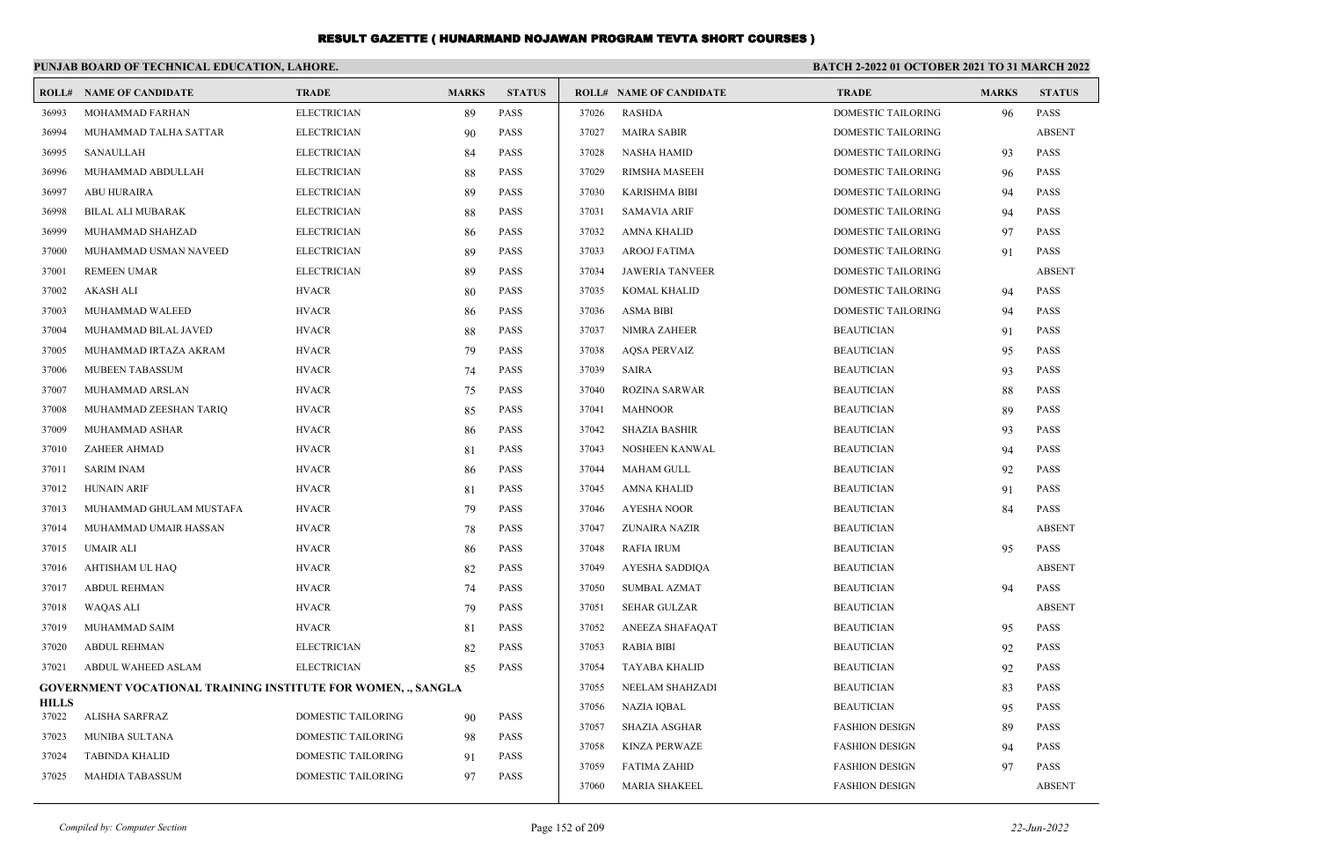|                       | PUNJAB BOARD OF TECHNICAL EDUCATION, LAHORE.                         |                           |              |               | <b>BATCH 2-2022 01 OCTOBER 2021 TO 31 MARCH 2022</b> |                                |                           |              |               |
|-----------------------|----------------------------------------------------------------------|---------------------------|--------------|---------------|------------------------------------------------------|--------------------------------|---------------------------|--------------|---------------|
|                       | <b>ROLL# NAME OF CANDIDATE</b>                                       | <b>TRADE</b>              | <b>MARKS</b> | <b>STATUS</b> |                                                      | <b>ROLL# NAME OF CANDIDATE</b> | <b>TRADE</b>              | <b>MARKS</b> | <b>STATUS</b> |
| 36993                 | MOHAMMAD FARHAN                                                      | <b>ELECTRICIAN</b>        | 89           | <b>PASS</b>   | 37026                                                | <b>RASHDA</b>                  | DOMESTIC TAILORING        | 96           | <b>PASS</b>   |
| 36994                 | MUHAMMAD TALHA SATTAR                                                | <b>ELECTRICIAN</b>        | 90           | <b>PASS</b>   | 37027                                                | <b>MAIRA SABIR</b>             | DOMESTIC TAILORING        |              | <b>ABSENT</b> |
| 36995                 | SANAULLAH                                                            | <b>ELECTRICIAN</b>        | 84           | <b>PASS</b>   | 37028                                                | <b>NASHA HAMID</b>             | DOMESTIC TAILORING        | 93           | <b>PASS</b>   |
| 36996                 | MUHAMMAD ABDULLAH                                                    | <b>ELECTRICIAN</b>        | 88           | <b>PASS</b>   | 37029                                                | <b>RIMSHA MASEEH</b>           | DOMESTIC TAILORING        | 96           | <b>PASS</b>   |
| 36997                 | <b>ABU HURAIRA</b>                                                   | <b>ELECTRICIAN</b>        | 89           | <b>PASS</b>   | 37030                                                | <b>KARISHMA BIBI</b>           | <b>DOMESTIC TAILORING</b> | 94           | <b>PASS</b>   |
| 36998                 | <b>BILAL ALI MUBARAK</b>                                             | <b>ELECTRICIAN</b>        | 88           | <b>PASS</b>   | 37031                                                | <b>SAMAVIA ARIF</b>            | DOMESTIC TAILORING        | 94           | <b>PASS</b>   |
| 36999                 | MUHAMMAD SHAHZAD                                                     | <b>ELECTRICIAN</b>        | 86           | <b>PASS</b>   | 37032                                                | <b>AMNA KHALID</b>             | DOMESTIC TAILORING        | 97           | <b>PASS</b>   |
| 37000                 | MUHAMMAD USMAN NAVEED                                                | <b>ELECTRICIAN</b>        | 89           | <b>PASS</b>   | 37033                                                | <b>AROOJ FATIMA</b>            | DOMESTIC TAILORING        | 91           | <b>PASS</b>   |
| 37001                 | <b>REMEEN UMAR</b>                                                   | <b>ELECTRICIAN</b>        | 89           | <b>PASS</b>   | 37034                                                | <b>JAWERIA TANVEER</b>         | DOMESTIC TAILORING        |              | <b>ABSENT</b> |
| 37002                 | <b>AKASH ALI</b>                                                     | <b>HVACR</b>              | 80           | <b>PASS</b>   | 37035                                                | <b>KOMAL KHALID</b>            | <b>DOMESTIC TAILORING</b> | 94           | <b>PASS</b>   |
| 37003                 | MUHAMMAD WALEED                                                      | <b>HVACR</b>              | 86           | <b>PASS</b>   | 37036                                                | <b>ASMA BIBI</b>               | <b>DOMESTIC TAILORING</b> | 94           | <b>PASS</b>   |
| 37004                 | MUHAMMAD BILAL JAVED                                                 | <b>HVACR</b>              | 88           | <b>PASS</b>   | 37037                                                | <b>NIMRA ZAHEER</b>            | <b>BEAUTICIAN</b>         | 91           | <b>PASS</b>   |
| 37005                 | MUHAMMAD IRTAZA AKRAM                                                | <b>HVACR</b>              | 79           | <b>PASS</b>   | 37038                                                | <b>AQSA PERVAIZ</b>            | <b>BEAUTICIAN</b>         | 95           | <b>PASS</b>   |
| 37006                 | MUBEEN TABASSUM                                                      | <b>HVACR</b>              | 74           | PASS          | 37039                                                | <b>SAIRA</b>                   | <b>BEAUTICIAN</b>         | 93           | <b>PASS</b>   |
| 37007                 | MUHAMMAD ARSLAN                                                      | <b>HVACR</b>              | 75           | <b>PASS</b>   | 37040                                                | <b>ROZINA SARWAR</b>           | <b>BEAUTICIAN</b>         | 88           | <b>PASS</b>   |
| 37008                 | MUHAMMAD ZEESHAN TARIQ                                               | <b>HVACR</b>              | 85           | <b>PASS</b>   | 37041                                                | <b>MAHNOOR</b>                 | <b>BEAUTICIAN</b>         | 89           | <b>PASS</b>   |
| 37009                 | MUHAMMAD ASHAR                                                       | <b>HVACR</b>              | 86           | <b>PASS</b>   | 37042                                                | <b>SHAZIA BASHIR</b>           | <b>BEAUTICIAN</b>         | 93           | PASS          |
| 37010                 | <b>ZAHEER AHMAD</b>                                                  | <b>HVACR</b>              | 81           | <b>PASS</b>   | 37043                                                | NOSHEEN KANWAL                 | <b>BEAUTICIAN</b>         | 94           | PASS          |
| 37011                 | <b>SARIM INAM</b>                                                    | <b>HVACR</b>              | 86           | <b>PASS</b>   | 37044                                                | <b>MAHAM GULL</b>              | <b>BEAUTICIAN</b>         | 92           | PASS          |
| 37012                 | <b>HUNAIN ARIF</b>                                                   | <b>HVACR</b>              | 81           | <b>PASS</b>   | 37045                                                | AMNA KHALID                    | <b>BEAUTICIAN</b>         | 91           | PASS          |
| 37013                 | MUHAMMAD GHULAM MUSTAFA                                              | <b>HVACR</b>              | 79           | PASS          | 37046                                                | <b>AYESHA NOOR</b>             | <b>BEAUTICIAN</b>         | 84           | <b>PASS</b>   |
| 37014                 | MUHAMMAD UMAIR HASSAN                                                | <b>HVACR</b>              | 78           | <b>PASS</b>   | 37047                                                | <b>ZUNAIRA NAZIR</b>           | <b>BEAUTICIAN</b>         |              | <b>ABSENT</b> |
| 37015                 | <b>UMAIR ALI</b>                                                     | <b>HVACR</b>              | 86           | <b>PASS</b>   | 37048                                                | <b>RAFIA IRUM</b>              | <b>BEAUTICIAN</b>         | 95           | <b>PASS</b>   |
| 37016                 | AHTISHAM UL HAQ                                                      | <b>HVACR</b>              | 82           | <b>PASS</b>   | 37049                                                | AYESHA SADDIQA                 | <b>BEAUTICIAN</b>         |              | <b>ABSENT</b> |
| 37017                 | <b>ABDUL REHMAN</b>                                                  | <b>HVACR</b>              | 74           | <b>PASS</b>   | 37050                                                | <b>SUMBAL AZMAT</b>            | <b>BEAUTICIAN</b>         | 94           | <b>PASS</b>   |
| 37018                 | <b>WAQAS ALI</b>                                                     | <b>HVACR</b>              | 79           | <b>PASS</b>   | 37051                                                | <b>SEHAR GULZAR</b>            | <b>BEAUTICIAN</b>         |              | <b>ABSENT</b> |
| 37019                 | MUHAMMAD SAIM                                                        | <b>HVACR</b>              | 81           | <b>PASS</b>   | 37052                                                | ANEEZA SHAFAQAT                | <b>BEAUTICIAN</b>         | 95           | <b>PASS</b>   |
| 37020                 | <b>ABDUL REHMAN</b>                                                  | <b>ELECTRICIAN</b>        | 82           | <b>PASS</b>   | 37053                                                | <b>RABIA BIBI</b>              | <b>BEAUTICIAN</b>         | 92           | <b>PASS</b>   |
| 37021                 | ABDUL WAHEED ASLAM                                                   | <b>ELECTRICIAN</b>        | 85           | <b>PASS</b>   | 37054                                                | <b>TAYABA KHALID</b>           | <b>BEAUTICIAN</b>         | 92           | <b>PASS</b>   |
|                       | <b>GOVERNMENT VOCATIONAL TRAINING INSTITUTE FOR WOMEN, ., SANGLA</b> |                           |              |               | 37055                                                | NEELAM SHAHZADI                | <b>BEAUTICIAN</b>         | 83           | <b>PASS</b>   |
| <b>HILLS</b><br>37022 | <b>ALISHA SARFRAZ</b>                                                | <b>DOMESTIC TAILORING</b> | 90           | <b>PASS</b>   | 37056                                                | <b>NAZIA IQBAL</b>             | <b>BEAUTICIAN</b>         | 95           | <b>PASS</b>   |
| 37023                 | MUNIBA SULTANA                                                       | <b>DOMESTIC TAILORING</b> |              | PASS          | 37057                                                | <b>SHAZIA ASGHAR</b>           | <b>FASHION DESIGN</b>     | 89           | <b>PASS</b>   |
| 37024                 | <b>TABINDA KHALID</b>                                                | <b>DOMESTIC TAILORING</b> | 98<br>91     | <b>PASS</b>   | 37058                                                | <b>KINZA PERWAZE</b>           | <b>FASHION DESIGN</b>     | 94           | PASS          |
| 37025                 | <b>MAHDIA TABASSUM</b>                                               | <b>DOMESTIC TAILORING</b> | 97           | <b>PASS</b>   | 37059                                                | <b>FATIMA ZAHID</b>            | <b>FASHION DESIGN</b>     | 97           | PASS          |
|                       |                                                                      |                           |              |               | 37060                                                | <b>MARIA SHAKEEL</b>           | <b>FASHION DESIGN</b>     |              | <b>ABSENT</b> |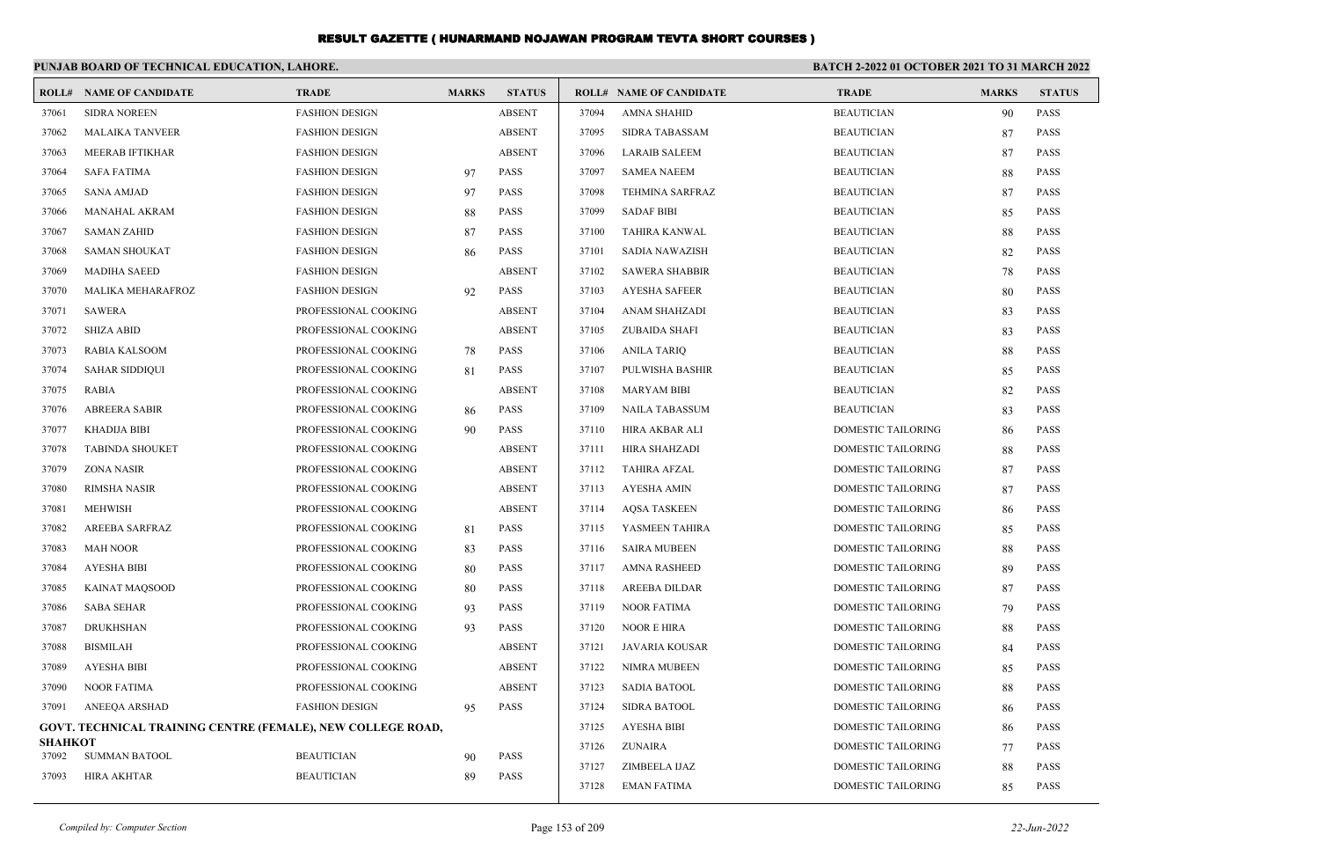|                         | PUNJAB BOARD OF TECHNICAL EDUCATION, LAHORE.                       |                       |              |               | BATCH 2-2022 01 OCTOBER 2021 TO 31 MARCH 2022 |                                |                           |              |               |
|-------------------------|--------------------------------------------------------------------|-----------------------|--------------|---------------|-----------------------------------------------|--------------------------------|---------------------------|--------------|---------------|
|                         | <b>ROLL# NAME OF CANDIDATE</b>                                     | <b>TRADE</b>          | <b>MARKS</b> | <b>STATUS</b> |                                               | <b>ROLL# NAME OF CANDIDATE</b> | <b>TRADE</b>              | <b>MARKS</b> | <b>STATUS</b> |
| 37061                   | <b>SIDRA NOREEN</b>                                                | <b>FASHION DESIGN</b> |              | <b>ABSENT</b> | 37094                                         | <b>AMNA SHAHID</b>             | <b>BEAUTICIAN</b>         | 90           | <b>PASS</b>   |
| 37062                   | <b>MALAIKA TANVEER</b>                                             | <b>FASHION DESIGN</b> |              | <b>ABSENT</b> | 37095                                         | <b>SIDRA TABASSAM</b>          | <b>BEAUTICIAN</b>         | 87           | <b>PASS</b>   |
| 37063                   | <b>MEERAB IFTIKHAR</b>                                             | <b>FASHION DESIGN</b> |              | <b>ABSENT</b> | 37096                                         | <b>LARAIB SALEEM</b>           | <b>BEAUTICIAN</b>         | 87           | <b>PASS</b>   |
| 37064                   | <b>SAFA FATIMA</b>                                                 | <b>FASHION DESIGN</b> | 97           | <b>PASS</b>   | 37097                                         | <b>SAMEA NAEEM</b>             | <b>BEAUTICIAN</b>         | 88           | <b>PASS</b>   |
| 37065                   | <b>SANA AMJAD</b>                                                  | <b>FASHION DESIGN</b> | 97           | <b>PASS</b>   | 37098                                         | <b>TEHMINA SARFRAZ</b>         | <b>BEAUTICIAN</b>         | 87           | <b>PASS</b>   |
| 37066                   | <b>MANAHAL AKRAM</b>                                               | <b>FASHION DESIGN</b> | 88           | <b>PASS</b>   | 37099                                         | <b>SADAF BIBI</b>              | <b>BEAUTICIAN</b>         | 85           | <b>PASS</b>   |
| 37067                   | <b>SAMAN ZAHID</b>                                                 | <b>FASHION DESIGN</b> | 87           | <b>PASS</b>   | 37100                                         | TAHIRA KANWAL                  | <b>BEAUTICIAN</b>         | 88           | <b>PASS</b>   |
| 37068                   | <b>SAMAN SHOUKAT</b>                                               | <b>FASHION DESIGN</b> | 86           | <b>PASS</b>   | 37101                                         | SADIA NAWAZISH                 | <b>BEAUTICIAN</b>         | 82           | <b>PASS</b>   |
| 37069                   | <b>MADIHA SAEED</b>                                                | <b>FASHION DESIGN</b> |              | <b>ABSENT</b> | 37102                                         | <b>SAWERA SHABBIR</b>          | <b>BEAUTICIAN</b>         | 78           | <b>PASS</b>   |
| 37070                   | MALIKA MEHARAFROZ                                                  | <b>FASHION DESIGN</b> | 92           | <b>PASS</b>   | 37103                                         | <b>AYESHA SAFEER</b>           | <b>BEAUTICIAN</b>         | 80           | <b>PASS</b>   |
| 37071                   | <b>SAWERA</b>                                                      | PROFESSIONAL COOKING  |              | <b>ABSENT</b> | 37104                                         | ANAM SHAHZADI                  | <b>BEAUTICIAN</b>         | 83           | <b>PASS</b>   |
| 37072                   | <b>SHIZA ABID</b>                                                  | PROFESSIONAL COOKING  |              | <b>ABSENT</b> | 37105                                         | <b>ZUBAIDA SHAFI</b>           | <b>BEAUTICIAN</b>         | 83           | <b>PASS</b>   |
| 37073                   | <b>RABIA KALSOOM</b>                                               | PROFESSIONAL COOKING  | 78           | <b>PASS</b>   | 37106                                         | <b>ANILA TARIQ</b>             | <b>BEAUTICIAN</b>         | 88           | <b>PASS</b>   |
| 37074                   | <b>SAHAR SIDDIQUI</b>                                              | PROFESSIONAL COOKING  | 81           | <b>PASS</b>   | 37107                                         | PULWISHA BASHIR                | <b>BEAUTICIAN</b>         | 85           | <b>PASS</b>   |
| 37075                   | <b>RABIA</b>                                                       | PROFESSIONAL COOKING  |              | <b>ABSENT</b> | 37108                                         | MARYAM BIBI                    | <b>BEAUTICIAN</b>         | 82           | <b>PASS</b>   |
| 37076                   | <b>ABREERA SABIR</b>                                               | PROFESSIONAL COOKING  | 86           | <b>PASS</b>   | 37109                                         | <b>NAILA TABASSUM</b>          | <b>BEAUTICIAN</b>         | 83           | <b>PASS</b>   |
| 37077                   | <b>KHADIJA BIBI</b>                                                | PROFESSIONAL COOKING  | 90           | <b>PASS</b>   | 37110                                         | HIRA AKBAR ALI                 | DOMESTIC TAILORING        | 86           | <b>PASS</b>   |
| 37078                   | <b>TABINDA SHOUKET</b>                                             | PROFESSIONAL COOKING  |              | <b>ABSENT</b> | 37111                                         | HIRA SHAHZADI                  | DOMESTIC TAILORING        | 88           | <b>PASS</b>   |
| 37079                   | <b>ZONA NASIR</b>                                                  | PROFESSIONAL COOKING  |              | <b>ABSENT</b> | 37112                                         | <b>TAHIRA AFZAL</b>            | DOMESTIC TAILORING        | 87           | <b>PASS</b>   |
| 37080                   | <b>RIMSHA NASIR</b>                                                | PROFESSIONAL COOKING  |              | <b>ABSENT</b> | 37113                                         | AYESHA AMIN                    | <b>DOMESTIC TAILORING</b> | 87           | <b>PASS</b>   |
| 37081                   | <b>MEHWISH</b>                                                     | PROFESSIONAL COOKING  |              | <b>ABSENT</b> | 37114                                         | <b>AOSA TASKEEN</b>            | <b>DOMESTIC TAILORING</b> | 86           | <b>PASS</b>   |
| 37082                   | AREEBA SARFRAZ                                                     | PROFESSIONAL COOKING  | 81           | <b>PASS</b>   | 37115                                         | YASMEEN TAHIRA                 | DOMESTIC TAILORING        | 85           | <b>PASS</b>   |
| 37083                   | <b>MAH NOOR</b>                                                    | PROFESSIONAL COOKING  | 83           | <b>PASS</b>   | 37116                                         | <b>SAIRA MUBEEN</b>            | <b>DOMESTIC TAILORING</b> | 88           | <b>PASS</b>   |
| 37084                   | <b>AYESHA BIBI</b>                                                 | PROFESSIONAL COOKING  | 80           | <b>PASS</b>   | 37117                                         | <b>AMNA RASHEED</b>            | <b>DOMESTIC TAILORING</b> | 89           | <b>PASS</b>   |
| 37085                   | <b>KAINAT MAOSOOD</b>                                              | PROFESSIONAL COOKING  | 80           | <b>PASS</b>   | 37118                                         | AREEBA DILDAR                  | DOMESTIC TAILORING        | 87           | <b>PASS</b>   |
| 37086                   | <b>SABA SEHAR</b>                                                  | PROFESSIONAL COOKING  | 93           | <b>PASS</b>   | 37119                                         | <b>NOOR FATIMA</b>             | DOMESTIC TAILORING        | 79           | <b>PASS</b>   |
| 37087                   | <b>DRUKHSHAN</b>                                                   | PROFESSIONAL COOKING  | 93           | <b>PASS</b>   | 37120                                         | NOOR E HIRA                    | DOMESTIC TAILORING        | 88           | <b>PASS</b>   |
| 37088                   | <b>BISMILAH</b>                                                    | PROFESSIONAL COOKING  |              | <b>ABSENT</b> | 37121                                         | JAVARIA KOUSAR                 | DOMESTIC TAILORING        | 84           | <b>PASS</b>   |
| 37089                   | <b>AYESHA BIBI</b>                                                 | PROFESSIONAL COOKING  |              | <b>ABSENT</b> | 37122                                         | NIMRA MUBEEN                   | DOMESTIC TAILORING        | 85           | <b>PASS</b>   |
| 37090                   | <b>NOOR FATIMA</b>                                                 | PROFESSIONAL COOKING  |              | <b>ABSENT</b> | 37123                                         | <b>SADIA BATOOL</b>            | DOMESTIC TAILORING        | 88           | <b>PASS</b>   |
| 37091                   | ANEEQA ARSHAD                                                      | <b>FASHION DESIGN</b> | 95           | <b>PASS</b>   | 37124                                         | <b>SIDRA BATOOL</b>            | DOMESTIC TAILORING        | 86           | <b>PASS</b>   |
|                         | <b>GOVT. TECHNICAL TRAINING CENTRE (FEMALE), NEW COLLEGE ROAD,</b> |                       |              |               | 37125                                         | <b>AYESHA BIBI</b>             | DOMESTIC TAILORING        | 86           | <b>PASS</b>   |
| <b>SHAHKOT</b><br>37092 | <b>SUMMAN BATOOL</b>                                               | <b>BEAUTICIAN</b>     |              | <b>PASS</b>   | 37126                                         | <b>ZUNAIRA</b>                 | DOMESTIC TAILORING        | 77           | <b>PASS</b>   |
| 37093                   | <b>HIRA AKHTAR</b>                                                 | <b>BEAUTICIAN</b>     | 90           | <b>PASS</b>   | 37127                                         | ZIMBEELA IJAZ                  | <b>DOMESTIC TAILORING</b> | 88           | <b>PASS</b>   |
|                         |                                                                    |                       | 89           |               | 37128                                         | <b>EMAN FATIMA</b>             | <b>DOMESTIC TAILORING</b> | 85           | PASS          |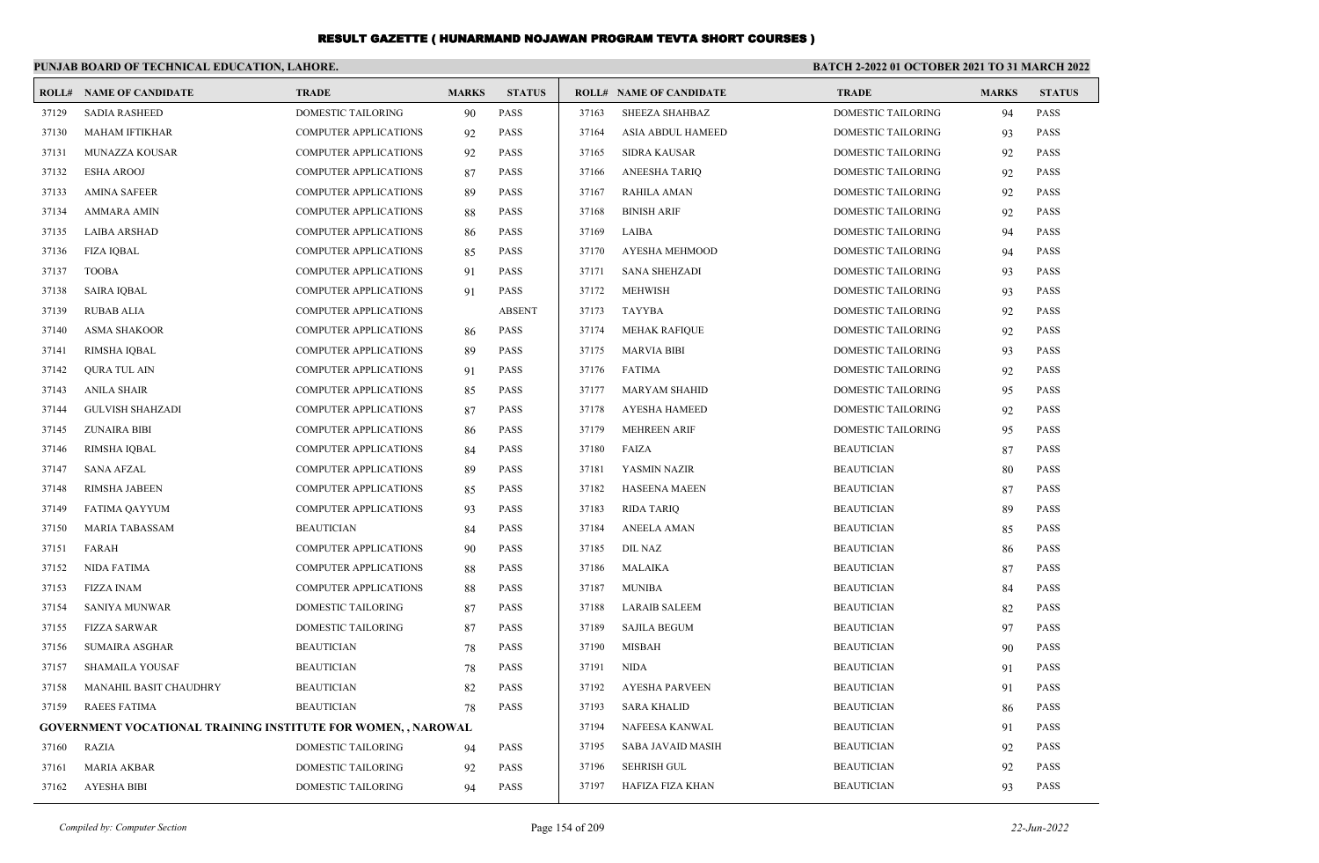|       | PUNJAB BOARD OF TECHNICAL EDUCATION, LAHORE.                         |                              |              |               |       |                          | BATCH 2-2022 01 OCTOBER 2021 TO 31 MARCH 2022 |              |               |
|-------|----------------------------------------------------------------------|------------------------------|--------------|---------------|-------|--------------------------|-----------------------------------------------|--------------|---------------|
|       | <b>ROLL# NAME OF CANDIDATE</b>                                       | <b>TRADE</b>                 | <b>MARKS</b> | <b>STATUS</b> |       | ROLL# NAME OF CANDIDATE  | <b>TRADE</b>                                  | <b>MARKS</b> | <b>STATUS</b> |
| 37129 | <b>SADIA RASHEED</b>                                                 | <b>DOMESTIC TAILORING</b>    | 90           | <b>PASS</b>   | 37163 | <b>SHEEZA SHAHBAZ</b>    | <b>DOMESTIC TAILORING</b>                     | 94           | <b>PASS</b>   |
| 37130 | <b>MAHAM IFTIKHAR</b>                                                | <b>COMPUTER APPLICATIONS</b> | 92           | <b>PASS</b>   | 37164 | ASIA ABDUL HAMEED        | <b>DOMESTIC TAILORING</b>                     | 93           | <b>PASS</b>   |
| 37131 | <b>MUNAZZA KOUSAR</b>                                                | <b>COMPUTER APPLICATIONS</b> | 92           | <b>PASS</b>   | 37165 | <b>SIDRA KAUSAR</b>      | <b>DOMESTIC TAILORING</b>                     | 92           | <b>PASS</b>   |
| 37132 | <b>ESHA AROOJ</b>                                                    | <b>COMPUTER APPLICATIONS</b> | 87           | <b>PASS</b>   | 37166 | <b>ANEESHA TARIO</b>     | <b>DOMESTIC TAILORING</b>                     | 92           | <b>PASS</b>   |
| 37133 | <b>AMINA SAFEER</b>                                                  | <b>COMPUTER APPLICATIONS</b> | 89           | <b>PASS</b>   | 37167 | <b>RAHILA AMAN</b>       | DOMESTIC TAILORING                            | 92           | <b>PASS</b>   |
| 37134 | <b>AMMARA AMIN</b>                                                   | <b>COMPUTER APPLICATIONS</b> | 88           | <b>PASS</b>   | 37168 | <b>BINISH ARIF</b>       | DOMESTIC TAILORING                            | 92           | <b>PASS</b>   |
| 37135 | <b>LAIBA ARSHAD</b>                                                  | <b>COMPUTER APPLICATIONS</b> | 86           | <b>PASS</b>   | 37169 | LAIBA                    | DOMESTIC TAILORING                            | 94           | <b>PASS</b>   |
| 37136 | <b>FIZA IQBAL</b>                                                    | <b>COMPUTER APPLICATIONS</b> | 85           | <b>PASS</b>   | 37170 | <b>AYESHA MEHMOOD</b>    | DOMESTIC TAILORING                            | 94           | <b>PASS</b>   |
| 37137 | <b>TOOBA</b>                                                         | <b>COMPUTER APPLICATIONS</b> | 91           | <b>PASS</b>   | 37171 | <b>SANA SHEHZADI</b>     | DOMESTIC TAILORING                            | 93           | <b>PASS</b>   |
| 37138 | <b>SAIRA IOBAL</b>                                                   | <b>COMPUTER APPLICATIONS</b> | 91           | <b>PASS</b>   | 37172 | <b>MEHWISH</b>           | DOMESTIC TAILORING                            | 93           | <b>PASS</b>   |
| 37139 | <b>RUBAB ALIA</b>                                                    | <b>COMPUTER APPLICATIONS</b> |              | <b>ABSENT</b> | 37173 | <b>TAYYBA</b>            | DOMESTIC TAILORING                            | 92           | <b>PASS</b>   |
| 37140 | <b>ASMA SHAKOOR</b>                                                  | <b>COMPUTER APPLICATIONS</b> | 86           | <b>PASS</b>   | 37174 | <b>MEHAK RAFIQUE</b>     | DOMESTIC TAILORING                            | 92           | <b>PASS</b>   |
| 37141 | <b>RIMSHA IQBAL</b>                                                  | <b>COMPUTER APPLICATIONS</b> | 89           | <b>PASS</b>   | 37175 | <b>MARVIA BIBI</b>       | DOMESTIC TAILORING                            | 93           | <b>PASS</b>   |
| 37142 | <b>QURA TUL AIN</b>                                                  | <b>COMPUTER APPLICATIONS</b> | 91           | <b>PASS</b>   | 37176 | <b>FATIMA</b>            | DOMESTIC TAILORING                            | 92           | <b>PASS</b>   |
| 37143 | <b>ANILA SHAIR</b>                                                   | <b>COMPUTER APPLICATIONS</b> | 85           | <b>PASS</b>   | 37177 | <b>MARYAM SHAHID</b>     | DOMESTIC TAILORING                            | 95           | <b>PASS</b>   |
| 37144 | <b>GULVISH SHAHZADI</b>                                              | <b>COMPUTER APPLICATIONS</b> | 87           | <b>PASS</b>   | 37178 | <b>AYESHA HAMEED</b>     | <b>DOMESTIC TAILORING</b>                     | 92           | <b>PASS</b>   |
| 37145 | <b>ZUNAIRA BIBI</b>                                                  | <b>COMPUTER APPLICATIONS</b> | 86           | <b>PASS</b>   | 37179 | <b>MEHREEN ARIF</b>      | DOMESTIC TAILORING                            | 95           | <b>PASS</b>   |
| 37146 | RIMSHA IQBAL                                                         | COMPUTER APPLICATIONS        | 84           | <b>PASS</b>   | 37180 | FAIZA                    | <b>BEAUTICIAN</b>                             | 87           | <b>PASS</b>   |
| 37147 | <b>SANA AFZAL</b>                                                    | <b>COMPUTER APPLICATIONS</b> | 89           | <b>PASS</b>   | 37181 | YASMIN NAZIR             | <b>BEAUTICIAN</b>                             | 80           | <b>PASS</b>   |
| 37148 | <b>RIMSHA JABEEN</b>                                                 | COMPUTER APPLICATIONS        | 85           | <b>PASS</b>   | 37182 | <b>HASEENA MAEEN</b>     | <b>BEAUTICIAN</b>                             | 87           | PASS          |
| 37149 | FATIMA QAYYUM                                                        | <b>COMPUTER APPLICATIONS</b> | 93           | <b>PASS</b>   | 37183 | <b>RIDA TARIQ</b>        | <b>BEAUTICIAN</b>                             | 89           | <b>PASS</b>   |
| 37150 | <b>MARIA TABASSAM</b>                                                | <b>BEAUTICIAN</b>            | 84           | <b>PASS</b>   | 37184 | <b>ANEELA AMAN</b>       | <b>BEAUTICIAN</b>                             | 85           | <b>PASS</b>   |
| 37151 | FARAH                                                                | <b>COMPUTER APPLICATIONS</b> | 90           | <b>PASS</b>   | 37185 | <b>DIL NAZ</b>           | <b>BEAUTICIAN</b>                             | 86           | <b>PASS</b>   |
| 37152 | <b>NIDA FATIMA</b>                                                   | <b>COMPUTER APPLICATIONS</b> | 88           | <b>PASS</b>   | 37186 | MALAIKA                  | <b>BEAUTICIAN</b>                             | 87           | <b>PASS</b>   |
| 37153 | <b>FIZZA INAM</b>                                                    | <b>COMPUTER APPLICATIONS</b> | 88           | <b>PASS</b>   | 37187 | <b>MUNIBA</b>            | <b>BEAUTICIAN</b>                             | 84           | <b>PASS</b>   |
| 37154 | SANIYA MUNWAR                                                        | DOMESTIC TAILORING           | 87           | <b>PASS</b>   | 37188 | <b>LARAIB SALEEM</b>     | <b>BEAUTICIAN</b>                             | 82           | <b>PASS</b>   |
| 37155 | <b>FIZZA SARWAR</b>                                                  | <b>DOMESTIC TAILORING</b>    | 87           | <b>PASS</b>   | 37189 | <b>SAJILA BEGUM</b>      | <b>BEAUTICIAN</b>                             | 97           | <b>PASS</b>   |
| 37156 | <b>SUMAIRA ASGHAR</b>                                                | <b>BEAUTICIAN</b>            | 78           | <b>PASS</b>   | 37190 | <b>MISBAH</b>            | <b>BEAUTICIAN</b>                             | 90           | <b>PASS</b>   |
| 37157 | <b>SHAMAILA YOUSAF</b>                                               | <b>BEAUTICIAN</b>            | 78           | <b>PASS</b>   | 37191 | <b>NIDA</b>              | <b>BEAUTICIAN</b>                             | 91           | <b>PASS</b>   |
| 37158 | MANAHIL BASIT CHAUDHRY                                               | <b>BEAUTICIAN</b>            | 82           | <b>PASS</b>   | 37192 | <b>AYESHA PARVEEN</b>    | <b>BEAUTICIAN</b>                             | 91           | <b>PASS</b>   |
| 37159 | <b>RAEES FATIMA</b>                                                  | <b>BEAUTICIAN</b>            | 78           | PASS          | 37193 | <b>SARA KHALID</b>       | <b>BEAUTICIAN</b>                             | 86           | <b>PASS</b>   |
|       | <b>GOVERNMENT VOCATIONAL TRAINING INSTITUTE FOR WOMEN, , NAROWAL</b> |                              |              |               | 37194 | NAFEESA KANWAL           | <b>BEAUTICIAN</b>                             | 91           | <b>PASS</b>   |
| 37160 | RAZIA                                                                | DOMESTIC TAILORING           | 94           | <b>PASS</b>   | 37195 | <b>SABA JAVAID MASIH</b> | <b>BEAUTICIAN</b>                             | 92           | <b>PASS</b>   |
| 37161 | <b>MARIA AKBAR</b>                                                   | <b>DOMESTIC TAILORING</b>    | 92           | <b>PASS</b>   | 37196 | <b>SEHRISH GUL</b>       | <b>BEAUTICIAN</b>                             | 92           | <b>PASS</b>   |
| 37162 | <b>AYESHA BIBI</b>                                                   | <b>DOMESTIC TAILORING</b>    | 94           | <b>PASS</b>   | 37197 | HAFIZA FIZA KHAN         | <b>BEAUTICIAN</b>                             | 93           | <b>PASS</b>   |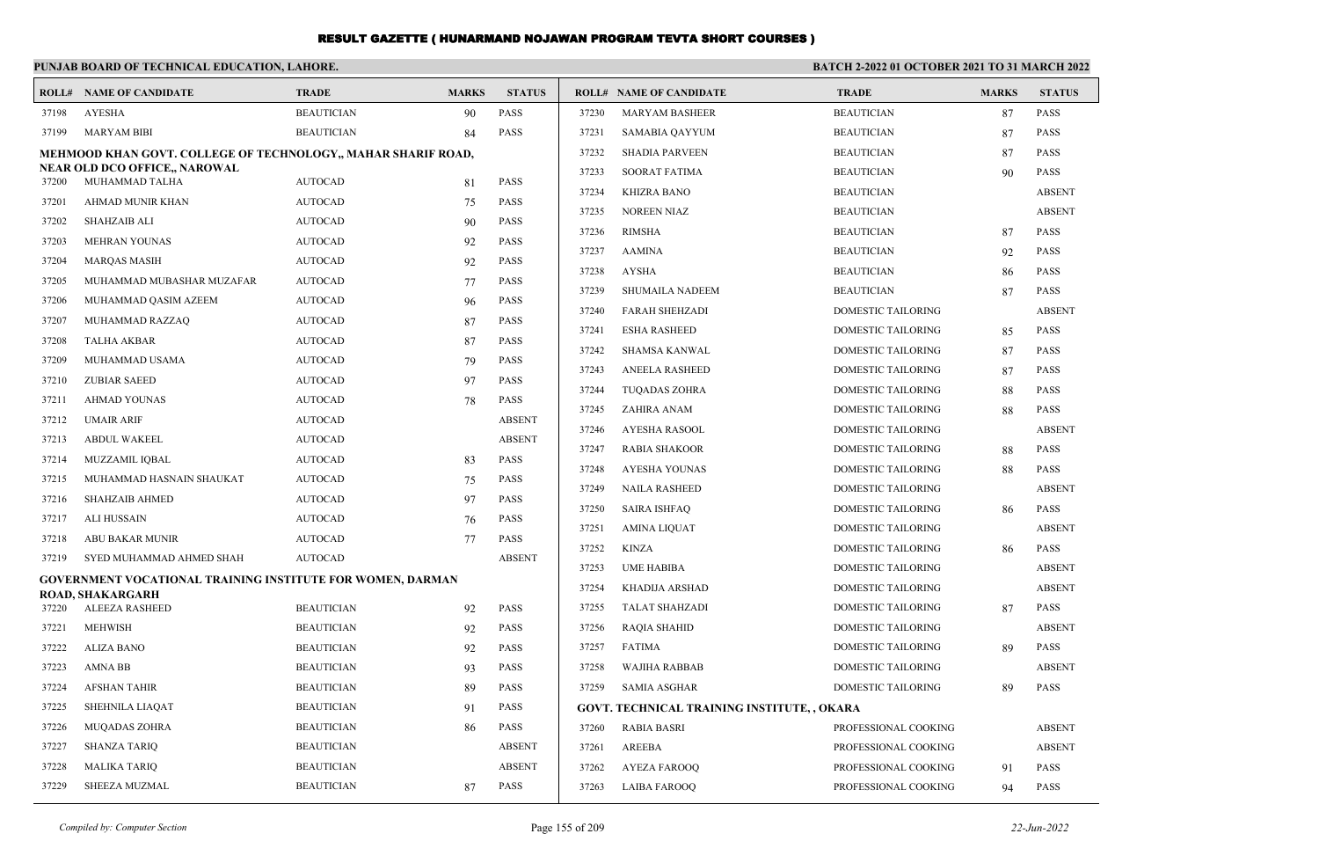|       | PUNJAB BOARD OF TECHNICAL EDUCATION, LAHORE.                  |                   |              |               | <b>BATCH 2-2022 01 OCTOBER 2021 TO 31 MARCH 2022</b> |                                                    |                           |              |               |
|-------|---------------------------------------------------------------|-------------------|--------------|---------------|------------------------------------------------------|----------------------------------------------------|---------------------------|--------------|---------------|
|       | <b>ROLL# NAME OF CANDIDATE</b>                                | <b>TRADE</b>      | <b>MARKS</b> | <b>STATUS</b> |                                                      | <b>ROLL# NAME OF CANDIDATE</b>                     | <b>TRADE</b>              | <b>MARKS</b> | <b>STATUS</b> |
| 37198 | <b>AYESHA</b>                                                 | <b>BEAUTICIAN</b> | 90           | <b>PASS</b>   | 37230                                                | <b>MARYAM BASHEER</b>                              | <b>BEAUTICIAN</b>         | 87           | <b>PASS</b>   |
| 37199 | <b>MARYAM BIBI</b>                                            | <b>BEAUTICIAN</b> | 84           | <b>PASS</b>   | 37231                                                | SAMABIA QAYYUM                                     | <b>BEAUTICIAN</b>         | 87           | <b>PASS</b>   |
|       | MEHMOOD KHAN GOVT. COLLEGE OF TECHNOLOGY,, MAHAR SHARIF ROAD, |                   |              |               | 37232                                                | <b>SHADIA PARVEEN</b>                              | <b>BEAUTICIAN</b>         | 87           | <b>PASS</b>   |
| 37200 | NEAR OLD DCO OFFICE., NAROWAL<br>MUHAMMAD TALHA               | <b>AUTOCAD</b>    | 81           | <b>PASS</b>   | 37233                                                | <b>SOORAT FATIMA</b>                               | <b>BEAUTICIAN</b>         | 90           | <b>PASS</b>   |
| 37201 | AHMAD MUNIR KHAN                                              | <b>AUTOCAD</b>    | 75           | <b>PASS</b>   | 37234                                                | <b>KHIZRA BANO</b>                                 | <b>BEAUTICIAN</b>         |              | <b>ABSENT</b> |
| 37202 | <b>SHAHZAIB ALI</b>                                           | <b>AUTOCAD</b>    | 90           | <b>PASS</b>   | 37235                                                | <b>NOREEN NIAZ</b>                                 | <b>BEAUTICIAN</b>         |              | <b>ABSENT</b> |
| 37203 | <b>MEHRAN YOUNAS</b>                                          | <b>AUTOCAD</b>    | 92           | <b>PASS</b>   | 37236                                                | <b>RIMSHA</b>                                      | <b>BEAUTICIAN</b>         | 87           | <b>PASS</b>   |
| 37204 | <b>MARQAS MASIH</b>                                           | <b>AUTOCAD</b>    | 92           | <b>PASS</b>   | 37237                                                | <b>AAMINA</b>                                      | <b>BEAUTICIAN</b>         | 92           | <b>PASS</b>   |
| 37205 | MUHAMMAD MUBASHAR MUZAFAR                                     | <b>AUTOCAD</b>    | 77           | PASS          | 37238                                                | <b>AYSHA</b>                                       | <b>BEAUTICIAN</b>         | 86           | <b>PASS</b>   |
| 37206 | MUHAMMAD QASIM AZEEM                                          | <b>AUTOCAD</b>    | 96           | <b>PASS</b>   | 37239                                                | <b>SHUMAILA NADEEM</b>                             | <b>BEAUTICIAN</b>         | 87           | <b>PASS</b>   |
| 37207 | MUHAMMAD RAZZAQ                                               | <b>AUTOCAD</b>    | 87           | PASS          | 37240                                                | <b>FARAH SHEHZADI</b>                              | <b>DOMESTIC TAILORING</b> |              | <b>ABSENT</b> |
| 37208 | <b>TALHA AKBAR</b>                                            | <b>AUTOCAD</b>    | 87           | PASS          | 37241                                                | <b>ESHA RASHEED</b>                                | DOMESTIC TAILORING        | 85           | <b>PASS</b>   |
| 37209 | MUHAMMAD USAMA                                                | <b>AUTOCAD</b>    | 79           | <b>PASS</b>   | 37242                                                | SHAMSA KANWAL                                      | DOMESTIC TAILORING        | 87           | <b>PASS</b>   |
| 37210 | <b>ZUBIAR SAEED</b>                                           | <b>AUTOCAD</b>    | 97           | <b>PASS</b>   | 37243                                                | <b>ANEELA RASHEED</b>                              | DOMESTIC TAILORING        | 87           | <b>PASS</b>   |
| 37211 | <b>AHMAD YOUNAS</b>                                           | <b>AUTOCAD</b>    | 78           | PASS          | 37244                                                | <b>TUOADAS ZOHRA</b>                               | DOMESTIC TAILORING        | 88           | <b>PASS</b>   |
| 37212 | <b>UMAIR ARIF</b>                                             | <b>AUTOCAD</b>    |              | <b>ABSENT</b> | 37245                                                | ZAHIRA ANAM                                        | DOMESTIC TAILORING        | 88           | <b>PASS</b>   |
| 37213 | <b>ABDUL WAKEEL</b>                                           | <b>AUTOCAD</b>    |              | <b>ABSENT</b> | 37246                                                | AYESHA RASOOL                                      | <b>DOMESTIC TAILORING</b> |              | <b>ABSENT</b> |
| 37214 | MUZZAMIL IQBAL                                                | <b>AUTOCAD</b>    | 83           | <b>PASS</b>   | 37247                                                | <b>RABIA SHAKOOR</b>                               | DOMESTIC TAILORING        | 88           | <b>PASS</b>   |
| 37215 | MUHAMMAD HASNAIN SHAUKAT                                      | <b>AUTOCAD</b>    | 75           | <b>PASS</b>   | 37248                                                | <b>AYESHA YOUNAS</b>                               | DOMESTIC TAILORING        | 88           | <b>PASS</b>   |
| 37216 | <b>SHAHZAIB AHMED</b>                                         | <b>AUTOCAD</b>    | 97           | <b>PASS</b>   | 37249                                                | <b>NAILA RASHEED</b>                               | DOMESTIC TAILORING        |              | <b>ABSENT</b> |
| 37217 | ALI HUSSAIN                                                   | <b>AUTOCAD</b>    | 76           | PASS          | 37250                                                | <b>SAIRA ISHFAQ</b>                                | DOMESTIC TAILORING        | 86           | <b>PASS</b>   |
| 37218 | ABU BAKAR MUNIR                                               | <b>AUTOCAD</b>    | 77           | <b>PASS</b>   | 37251                                                | <b>AMINA LIQUAT</b>                                | DOMESTIC TAILORING        |              | <b>ABSENT</b> |
| 37219 | SYED MUHAMMAD AHMED SHAH                                      | <b>AUTOCAD</b>    |              | <b>ABSENT</b> | 37252                                                | <b>KINZA</b>                                       | DOMESTIC TAILORING        | 86           | <b>PASS</b>   |
|       | GOVERNMENT VOCATIONAL TRAINING INSTITUTE FOR WOMEN, DARMAN    |                   |              |               | 37253                                                | <b>UME HABIBA</b>                                  | DOMESTIC TAILORING        |              | <b>ABSENT</b> |
|       | ROAD, SHAKARGARH                                              |                   |              |               | 37254                                                | KHADIJA ARSHAD                                     | DOMESTIC TAILORING        |              | <b>ABSENT</b> |
| 37220 | <b>ALEEZA RASHEED</b>                                         | <b>BEAUTICIAN</b> | 92           | <b>PASS</b>   | 37255                                                | <b>TALAT SHAHZADI</b>                              | DOMESTIC TAILORING        | 87           | <b>PASS</b>   |
| 37221 | <b>MEHWISH</b>                                                | <b>BEAUTICIAN</b> | 92           | <b>PASS</b>   | 37256                                                | <b>RAQIA SHAHID</b>                                | DOMESTIC TAILORING        |              | <b>ABSENT</b> |
| 37222 | <b>ALIZA BANO</b>                                             | <b>BEAUTICIAN</b> | 92           | <b>PASS</b>   | 37257                                                | <b>FATIMA</b>                                      | DOMESTIC TAILORING        | 89           | <b>PASS</b>   |
| 37223 | AMNA BB                                                       | <b>BEAUTICIAN</b> | 93           | <b>PASS</b>   | 37258                                                | WAJIHA RABBAB                                      | DOMESTIC TAILORING        |              | <b>ABSENT</b> |
| 37224 | AFSHAN TAHIR                                                  | <b>BEAUTICIAN</b> | 89           | PASS          | 37259                                                | SAMIA ASGHAR                                       | DOMESTIC TAILORING        | 89           | <b>PASS</b>   |
| 37225 | SHEHNILA LIAQAT                                               | <b>BEAUTICIAN</b> | 91           | PASS          |                                                      | <b>GOVT. TECHNICAL TRAINING INSTITUTE, , OKARA</b> |                           |              |               |
| 37226 | MUQADAS ZOHRA                                                 | <b>BEAUTICIAN</b> | 86           | PASS          | 37260                                                | <b>RABIA BASRI</b>                                 | PROFESSIONAL COOKING      |              | <b>ABSENT</b> |
| 37227 | <b>SHANZA TARIQ</b>                                           | <b>BEAUTICIAN</b> |              | <b>ABSENT</b> | 37261                                                | AREEBA                                             | PROFESSIONAL COOKING      |              | <b>ABSENT</b> |
| 37228 | <b>MALIKA TARIQ</b>                                           | <b>BEAUTICIAN</b> |              | ABSENT        | 37262                                                | <b>AYEZA FAROOQ</b>                                | PROFESSIONAL COOKING      | 91           | <b>PASS</b>   |
| 37229 | SHEEZA MUZMAL                                                 | <b>BEAUTICIAN</b> | 87           | PASS          | 37263                                                | <b>LAIBA FAROOQ</b>                                | PROFESSIONAL COOKING      | 94           | PASS          |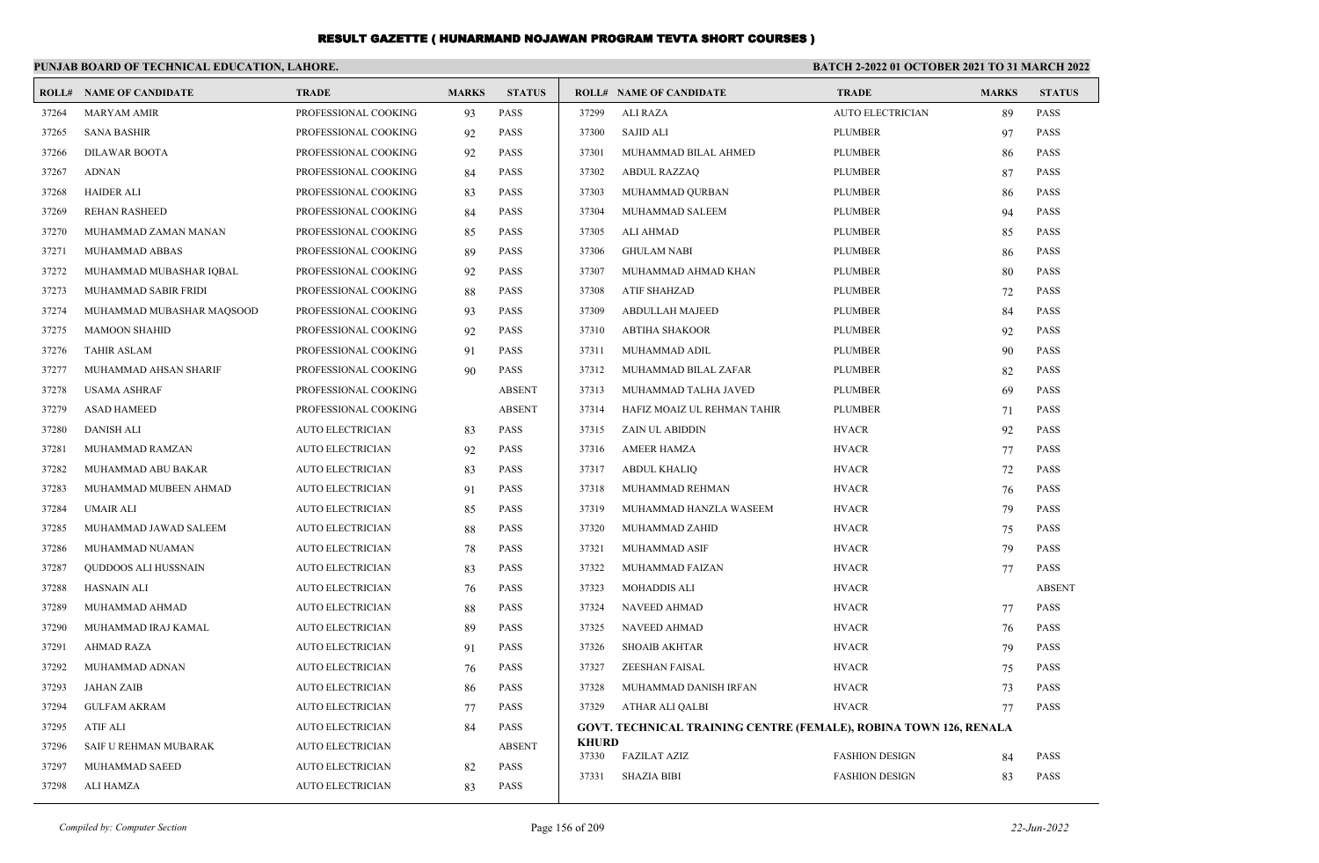|       | PUNJAB BOARD OF TECHNICAL EDUCATION, LAHORE. |                         |              |               | BATCH 2-2022 01 OCTOBER 2021 TO 31 MARCH 2022 |                                                                          |                         |              |               |
|-------|----------------------------------------------|-------------------------|--------------|---------------|-----------------------------------------------|--------------------------------------------------------------------------|-------------------------|--------------|---------------|
|       | <b>ROLL# NAME OF CANDIDATE</b>               | <b>TRADE</b>            | <b>MARKS</b> | <b>STATUS</b> |                                               | <b>ROLL# NAME OF CANDIDATE</b>                                           | <b>TRADE</b>            | <b>MARKS</b> | <b>STATUS</b> |
| 37264 | <b>MARYAM AMIR</b>                           | PROFESSIONAL COOKING    | 93           | PASS          | 37299                                         | <b>ALI RAZA</b>                                                          | <b>AUTO ELECTRICIAN</b> | 89           | PASS          |
| 37265 | <b>SANA BASHIR</b>                           | PROFESSIONAL COOKING    | 92           | <b>PASS</b>   | 37300                                         | <b>SAJID ALI</b>                                                         | <b>PLUMBER</b>          | 97           | <b>PASS</b>   |
| 37266 | <b>DILAWAR BOOTA</b>                         | PROFESSIONAL COOKING    | 92           | <b>PASS</b>   | 37301                                         | MUHAMMAD BILAL AHMED                                                     | <b>PLUMBER</b>          | 86           | <b>PASS</b>   |
| 37267 | <b>ADNAN</b>                                 | PROFESSIONAL COOKING    | 84           | <b>PASS</b>   | 37302                                         | <b>ABDUL RAZZAQ</b>                                                      | <b>PLUMBER</b>          | 87           | <b>PASS</b>   |
| 37268 | <b>HAIDER ALI</b>                            | PROFESSIONAL COOKING    | 83           | <b>PASS</b>   | 37303                                         | MUHAMMAD QURBAN                                                          | <b>PLUMBER</b>          | 86           | <b>PASS</b>   |
| 37269 | <b>REHAN RASHEED</b>                         | PROFESSIONAL COOKING    | 84           | <b>PASS</b>   | 37304                                         | MUHAMMAD SALEEM                                                          | <b>PLUMBER</b>          | 94           | <b>PASS</b>   |
| 37270 | MUHAMMAD ZAMAN MANAN                         | PROFESSIONAL COOKING    | 85           | PASS          | 37305                                         | <b>ALI AHMAD</b>                                                         | <b>PLUMBER</b>          | 85           | <b>PASS</b>   |
| 37271 | MUHAMMAD ABBAS                               | PROFESSIONAL COOKING    | 89           | <b>PASS</b>   | 37306                                         | <b>GHULAM NABI</b>                                                       | <b>PLUMBER</b>          | 86           | <b>PASS</b>   |
| 37272 | MUHAMMAD MUBASHAR IOBAL                      | PROFESSIONAL COOKING    | 92           | <b>PASS</b>   | 37307                                         | MUHAMMAD AHMAD KHAN                                                      | <b>PLUMBER</b>          | 80           | <b>PASS</b>   |
| 37273 | MUHAMMAD SABIR FRIDI                         | PROFESSIONAL COOKING    | 88           | <b>PASS</b>   | 37308                                         | <b>ATIF SHAHZAD</b>                                                      | <b>PLUMBER</b>          | 72           | <b>PASS</b>   |
| 37274 | MUHAMMAD MUBASHAR MAQSOOD                    | PROFESSIONAL COOKING    | 93           | <b>PASS</b>   | 37309                                         | <b>ABDULLAH MAJEED</b>                                                   | <b>PLUMBER</b>          | 84           | <b>PASS</b>   |
| 37275 | <b>MAMOON SHAHID</b>                         | PROFESSIONAL COOKING    | 92           | <b>PASS</b>   | 37310                                         | <b>ABTIHA SHAKOOR</b>                                                    | <b>PLUMBER</b>          | 92           | <b>PASS</b>   |
| 37276 | <b>TAHIR ASLAM</b>                           | PROFESSIONAL COOKING    | 91           | <b>PASS</b>   | 37311                                         | MUHAMMAD ADIL                                                            | <b>PLUMBER</b>          | 90           | <b>PASS</b>   |
| 37277 | MUHAMMAD AHSAN SHARIF                        | PROFESSIONAL COOKING    | 90           | PASS          | 37312                                         | MUHAMMAD BILAL ZAFAR                                                     | <b>PLUMBER</b>          | 82           | <b>PASS</b>   |
| 37278 | <b>USAMA ASHRAF</b>                          | PROFESSIONAL COOKING    |              | <b>ABSENT</b> | 37313                                         | MUHAMMAD TALHA JAVED                                                     | <b>PLUMBER</b>          | 69           | <b>PASS</b>   |
| 37279 | <b>ASAD HAMEED</b>                           | PROFESSIONAL COOKING    |              | <b>ABSENT</b> | 37314                                         | HAFIZ MOAIZ UL REHMAN TAHIR                                              | <b>PLUMBER</b>          | 71           | <b>PASS</b>   |
| 37280 | <b>DANISH ALI</b>                            | <b>AUTO ELECTRICIAN</b> | 83           | PASS          | 37315                                         | ZAIN UL ABIDDIN                                                          | <b>HVACR</b>            | 92           | <b>PASS</b>   |
| 37281 | MUHAMMAD RAMZAN                              | <b>AUTO ELECTRICIAN</b> | 92           | PASS          | 37316                                         | <b>AMEER HAMZA</b>                                                       | <b>HVACR</b>            | 77           | <b>PASS</b>   |
| 37282 | MUHAMMAD ABU BAKAR                           | <b>AUTO ELECTRICIAN</b> | 83           | <b>PASS</b>   | 37317                                         | <b>ABDUL KHALIQ</b>                                                      | <b>HVACR</b>            | 72           | <b>PASS</b>   |
| 37283 | MUHAMMAD MUBEEN AHMAD                        | <b>AUTO ELECTRICIAN</b> | 91           | PASS          | 37318                                         | MUHAMMAD REHMAN                                                          | <b>HVACR</b>            | 76           | <b>PASS</b>   |
| 37284 | <b>UMAIR ALI</b>                             | <b>AUTO ELECTRICIAN</b> | 85           | PASS          | 37319                                         | MUHAMMAD HANZLA WASEEM                                                   | <b>HVACR</b>            | 79           | <b>PASS</b>   |
| 37285 | MUHAMMAD JAWAD SALEEM                        | <b>AUTO ELECTRICIAN</b> | 88           | <b>PASS</b>   | 37320                                         | MUHAMMAD ZAHID                                                           | <b>HVACR</b>            | 75           | <b>PASS</b>   |
| 37286 | MUHAMMAD NUAMAN                              | <b>AUTO ELECTRICIAN</b> | 78           | <b>PASS</b>   | 37321                                         | MUHAMMAD ASIF                                                            | <b>HVACR</b>            | 79           | <b>PASS</b>   |
| 37287 | QUDDOOS ALI HUSSNAIN                         | <b>AUTO ELECTRICIAN</b> | 83           | PASS          | 37322                                         | MUHAMMAD FAIZAN                                                          | <b>HVACR</b>            | 77           | <b>PASS</b>   |
| 37288 | <b>HASNAIN ALI</b>                           | <b>AUTO ELECTRICIAN</b> | 76           | <b>PASS</b>   | 37323                                         | <b>MOHADDIS ALI</b>                                                      | <b>HVACR</b>            |              | <b>ABSENT</b> |
| 37289 | MUHAMMAD AHMAD                               | <b>AUTO ELECTRICIAN</b> | 88           | <b>PASS</b>   | 37324                                         | <b>NAVEED AHMAD</b>                                                      | <b>HVACR</b>            | 77           | <b>PASS</b>   |
| 37290 | MUHAMMAD IRAJ KAMAL                          | <b>AUTO ELECTRICIAN</b> | 89           | PASS          | 37325                                         | NAVEED AHMAD                                                             | <b>HVACR</b>            | 76           | <b>PASS</b>   |
| 37291 | <b>AHMAD RAZA</b>                            | <b>AUTO ELECTRICIAN</b> | 91           | <b>PASS</b>   | 37326                                         | <b>SHOAIB AKHTAR</b>                                                     | <b>HVACR</b>            | 79           | <b>PASS</b>   |
| 37292 | MUHAMMAD ADNAN                               | <b>AUTO ELECTRICIAN</b> | 76           | <b>PASS</b>   | 37327                                         | <b>ZEESHAN FAISAL</b>                                                    | <b>HVACR</b>            | 75           | <b>PASS</b>   |
| 37293 | <b>JAHAN ZAIB</b>                            | <b>AUTO ELECTRICIAN</b> | 86           | <b>PASS</b>   | 37328                                         | MUHAMMAD DANISH IRFAN                                                    | <b>HVACR</b>            | 73           | <b>PASS</b>   |
| 37294 | <b>GULFAM AKRAM</b>                          | <b>AUTO ELECTRICIAN</b> | 77           | <b>PASS</b>   | 37329                                         | ATHAR ALI QALBI                                                          | <b>HVACR</b>            | 77           | <b>PASS</b>   |
| 37295 | <b>ATIF ALI</b>                              | <b>AUTO ELECTRICIAN</b> | 84           | <b>PASS</b>   |                                               | <b>GOVT. TECHNICAL TRAINING CENTRE (FEMALE), ROBINA TOWN 126, RENALA</b> |                         |              |               |
| 37296 | SAIF U REHMAN MUBARAK                        | <b>AUTO ELECTRICIAN</b> |              | <b>ABSENT</b> | <b>KHURD</b><br>37330                         | <b>FAZILAT AZIZ</b>                                                      | <b>FASHION DESIGN</b>   |              | <b>PASS</b>   |
| 37297 | MUHAMMAD SAEED                               | <b>AUTO ELECTRICIAN</b> | 82           | <b>PASS</b>   | 37331                                         | <b>SHAZIA BIBI</b>                                                       | <b>FASHION DESIGN</b>   | 84           | <b>PASS</b>   |
| 37298 | ALI HAMZA                                    | <b>AUTO ELECTRICIAN</b> | 83           | <b>PASS</b>   |                                               |                                                                          |                         | 83           |               |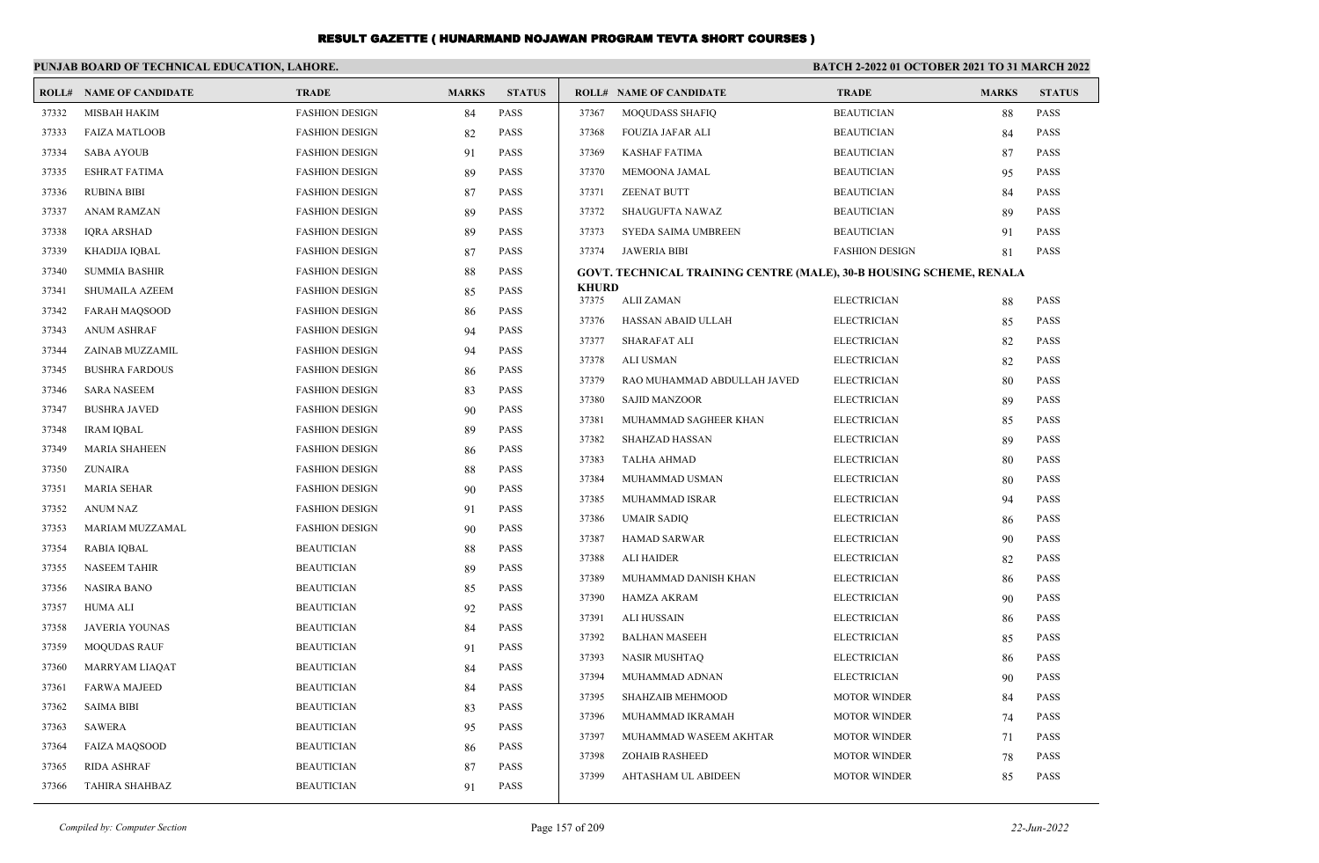|       | PUNJAB BOARD OF TECHNICAL EDUCATION, LAHORE. |                       |              |               | <b>BATCH 2-2022 01 OCTOBER 2021 TO 31 MARCH 2022</b> |                                                                            |                       |              |               |
|-------|----------------------------------------------|-----------------------|--------------|---------------|------------------------------------------------------|----------------------------------------------------------------------------|-----------------------|--------------|---------------|
|       | <b>ROLL# NAME OF CANDIDATE</b>               | <b>TRADE</b>          | <b>MARKS</b> | <b>STATUS</b> |                                                      | <b>ROLL# NAME OF CANDIDATE</b>                                             | <b>TRADE</b>          | <b>MARKS</b> | <b>STATUS</b> |
| 37332 | <b>MISBAH HAKIM</b>                          | <b>FASHION DESIGN</b> | 84           | <b>PASS</b>   | 37367                                                | <b>MOQUDASS SHAFIO</b>                                                     | <b>BEAUTICIAN</b>     | 88           | <b>PASS</b>   |
| 37333 | <b>FAIZA MATLOOB</b>                         | <b>FASHION DESIGN</b> | 82           | <b>PASS</b>   | 37368                                                | FOUZIA JAFAR ALI                                                           | <b>BEAUTICIAN</b>     | 84           | <b>PASS</b>   |
| 37334 | <b>SABA AYOUB</b>                            | <b>FASHION DESIGN</b> | 91           | <b>PASS</b>   | 37369                                                | <b>KASHAF FATIMA</b>                                                       | <b>BEAUTICIAN</b>     | 87           | <b>PASS</b>   |
| 37335 | <b>ESHRAT FATIMA</b>                         | <b>FASHION DESIGN</b> | 89           | <b>PASS</b>   | 37370                                                | MEMOONA JAMAL                                                              | <b>BEAUTICIAN</b>     | 95           | <b>PASS</b>   |
| 37336 | <b>RUBINA BIBI</b>                           | <b>FASHION DESIGN</b> | 87           | <b>PASS</b>   | 37371                                                | <b>ZEENAT BUTT</b>                                                         | <b>BEAUTICIAN</b>     | 84           | <b>PASS</b>   |
| 37337 | ANAM RAMZAN                                  | <b>FASHION DESIGN</b> | 89           | <b>PASS</b>   | 37372                                                | SHAUGUFTA NAWAZ                                                            | <b>BEAUTICIAN</b>     | 89           | <b>PASS</b>   |
| 37338 | <b>IQRA ARSHAD</b>                           | <b>FASHION DESIGN</b> | 89           | <b>PASS</b>   | 37373                                                | SYEDA SAIMA UMBREEN                                                        | <b>BEAUTICIAN</b>     | 91           | <b>PASS</b>   |
| 37339 | KHADIJA IQBAL                                | <b>FASHION DESIGN</b> | 87           | <b>PASS</b>   | 37374                                                | <b>JAWERIA BIBI</b>                                                        | <b>FASHION DESIGN</b> | 81           | PASS          |
| 37340 | <b>SUMMIA BASHIR</b>                         | <b>FASHION DESIGN</b> | 88           | <b>PASS</b>   |                                                      | <b>GOVT. TECHNICAL TRAINING CENTRE (MALE), 30-B HOUSING SCHEME, RENALA</b> |                       |              |               |
| 37341 | <b>SHUMAILA AZEEM</b>                        | <b>FASHION DESIGN</b> | 85           | <b>PASS</b>   | <b>KHURD</b><br>37375                                | <b>ALII ZAMAN</b>                                                          | <b>ELECTRICIAN</b>    | 88           | <b>PASS</b>   |
| 37342 | <b>FARAH MAQSOOD</b>                         | <b>FASHION DESIGN</b> | 86           | <b>PASS</b>   | 37376                                                | HASSAN ABAID ULLAH                                                         | <b>ELECTRICIAN</b>    | 85           | <b>PASS</b>   |
| 37343 | <b>ANUM ASHRAF</b>                           | <b>FASHION DESIGN</b> | 94           | <b>PASS</b>   | 37377                                                | <b>SHARAFAT ALI</b>                                                        | <b>ELECTRICIAN</b>    | 82           | PASS          |
| 37344 | ZAINAB MUZZAMIL                              | <b>FASHION DESIGN</b> | 94           | <b>PASS</b>   | 37378                                                | <b>ALI USMAN</b>                                                           | <b>ELECTRICIAN</b>    | 82           | <b>PASS</b>   |
| 37345 | <b>BUSHRA FARDOUS</b>                        | <b>FASHION DESIGN</b> | -86          | <b>PASS</b>   | 37379                                                | RAO MUHAMMAD ABDULLAH JAVED                                                | <b>ELECTRICIAN</b>    | 80           | <b>PASS</b>   |
| 37346 | <b>SARA NASEEM</b>                           | <b>FASHION DESIGN</b> | 83           | <b>PASS</b>   | 37380                                                | <b>SAJID MANZOOR</b>                                                       | <b>ELECTRICIAN</b>    | 89           | PASS          |
| 37347 | <b>BUSHRA JAVED</b>                          | <b>FASHION DESIGN</b> | 90           | <b>PASS</b>   | 37381                                                | MUHAMMAD SAGHEER KHAN                                                      | <b>ELECTRICIAN</b>    | 85           | <b>PASS</b>   |
| 37348 | <b>IRAM IQBAL</b>                            | <b>FASHION DESIGN</b> | 89           | <b>PASS</b>   | 37382                                                | <b>SHAHZAD HASSAN</b>                                                      | <b>ELECTRICIAN</b>    | 89           | <b>PASS</b>   |
| 37349 | <b>MARIA SHAHEEN</b>                         | <b>FASHION DESIGN</b> | -86          | <b>PASS</b>   | 37383                                                | <b>TALHA AHMAD</b>                                                         | <b>ELECTRICIAN</b>    | 80           | PASS          |
| 37350 | ZUNAIRA                                      | <b>FASHION DESIGN</b> | 88           | <b>PASS</b>   | 37384                                                | MUHAMMAD USMAN                                                             | <b>ELECTRICIAN</b>    | 80           | <b>PASS</b>   |
| 37351 | <b>MARIA SEHAR</b>                           | <b>FASHION DESIGN</b> | 90           | <b>PASS</b>   | 37385                                                | MUHAMMAD ISRAR                                                             | <b>ELECTRICIAN</b>    | 94           | <b>PASS</b>   |
| 37352 | <b>ANUM NAZ</b>                              | <b>FASHION DESIGN</b> | 91           | <b>PASS</b>   | 37386                                                | <b>UMAIR SADIQ</b>                                                         | <b>ELECTRICIAN</b>    | 86           | PASS          |
| 37353 | MARIAM MUZZAMAL                              | <b>FASHION DESIGN</b> | 90           | <b>PASS</b>   | 37387                                                | <b>HAMAD SARWAR</b>                                                        | <b>ELECTRICIAN</b>    | 90           | <b>PASS</b>   |
| 37354 | <b>RABIA IQBAL</b>                           | <b>BEAUTICIAN</b>     | 88           | <b>PASS</b>   | 37388                                                | <b>ALI HAIDER</b>                                                          | <b>ELECTRICIAN</b>    | 82           | <b>PASS</b>   |
| 37355 | <b>NASEEM TAHIR</b>                          | <b>BEAUTICIAN</b>     | 89           | <b>PASS</b>   | 37389                                                | MUHAMMAD DANISH KHAN                                                       | <b>ELECTRICIAN</b>    | 86           | <b>PASS</b>   |
| 37356 | <b>NASIRA BANO</b>                           | <b>BEAUTICIAN</b>     | 85           | <b>PASS</b>   | 37390                                                | <b>HAMZA AKRAM</b>                                                         | <b>ELECTRICIAN</b>    | 90           | <b>PASS</b>   |
| 37357 | HUMA ALI                                     | <b>BEAUTICIAN</b>     | 92           | <b>PASS</b>   | 37391                                                | <b>ALI HUSSAIN</b>                                                         | <b>ELECTRICIAN</b>    | 86           | <b>PASS</b>   |
| 37358 | <b>JAVERIA YOUNAS</b>                        | <b>BEAUTICIAN</b>     | 84           | <b>PASS</b>   | 37392                                                | <b>BALHAN MASEEH</b>                                                       | <b>ELECTRICIAN</b>    | 85           | PASS          |
| 37359 | <b>MOOUDAS RAUF</b>                          | <b>BEAUTICIAN</b>     | 91           | <b>PASS</b>   | 37393                                                | <b>NASIR MUSHTAQ</b>                                                       | <b>ELECTRICIAN</b>    | 86           | <b>PASS</b>   |
| 37360 | MARRYAM LIAQAT                               | <b>BEAUTICIAN</b>     | 84           | <b>PASS</b>   | 37394                                                | MUHAMMAD ADNAN                                                             | <b>ELECTRICIAN</b>    | 90           | <b>PASS</b>   |
| 37361 | <b>FARWA MAJEED</b>                          | <b>BEAUTICIAN</b>     | 84           | <b>PASS</b>   | 37395                                                | <b>SHAHZAIB MEHMOOD</b>                                                    | <b>MOTOR WINDER</b>   | 84           | PASS          |
| 37362 | <b>SAIMA BIBI</b>                            | <b>BEAUTICIAN</b>     | 83           | <b>PASS</b>   | 37396                                                | MUHAMMAD IKRAMAH                                                           | <b>MOTOR WINDER</b>   | 74           | <b>PASS</b>   |
| 37363 | <b>SAWERA</b>                                | <b>BEAUTICIAN</b>     | 95           | <b>PASS</b>   | 37397                                                | MUHAMMAD WASEEM AKHTAR                                                     | <b>MOTOR WINDER</b>   | 71           | <b>PASS</b>   |
| 37364 | <b>FAIZA MAQSOOD</b>                         | <b>BEAUTICIAN</b>     | -86          | <b>PASS</b>   | 37398                                                | <b>ZOHAIB RASHEED</b>                                                      | <b>MOTOR WINDER</b>   | 78           | PASS          |
| 37365 | <b>RIDA ASHRAF</b>                           | <b>BEAUTICIAN</b>     | 87           | <b>PASS</b>   | 37399                                                | AHTASHAM UL ABIDEEN                                                        | <b>MOTOR WINDER</b>   | 85           | <b>PASS</b>   |
| 37366 | <b>TAHIRA SHAHBAZ</b>                        | <b>BEAUTICIAN</b>     | 91           | <b>PASS</b>   |                                                      |                                                                            |                       |              |               |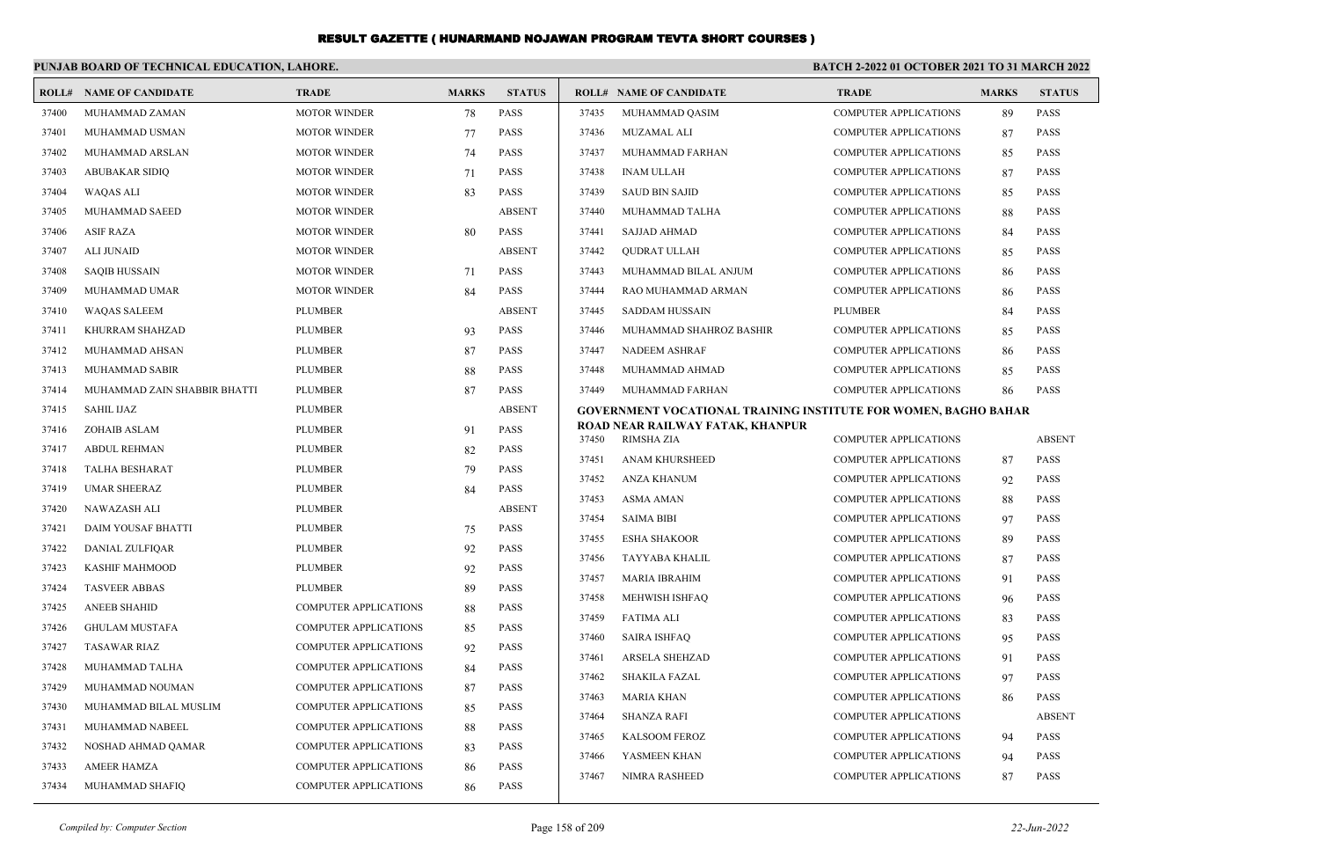|       | PUNJAB BOARD OF TECHNICAL EDUCATION, LAHORE. |                              |              |               | <b>BATCH 2-2022 01 OCTOBER 2021 TO 31 MARCH 2022</b> |                                                                        |                              |              |               |
|-------|----------------------------------------------|------------------------------|--------------|---------------|------------------------------------------------------|------------------------------------------------------------------------|------------------------------|--------------|---------------|
|       | <b>ROLL# NAME OF CANDIDATE</b>               | <b>TRADE</b>                 | <b>MARKS</b> | <b>STATUS</b> |                                                      | <b>ROLL# NAME OF CANDIDATE</b>                                         | <b>TRADE</b>                 | <b>MARKS</b> | <b>STATUS</b> |
| 37400 | MUHAMMAD ZAMAN                               | <b>MOTOR WINDER</b>          | 78           | <b>PASS</b>   | 37435                                                | MUHAMMAD QASIM                                                         | <b>COMPUTER APPLICATIONS</b> | 89           | <b>PASS</b>   |
| 37401 | MUHAMMAD USMAN                               | <b>MOTOR WINDER</b>          | 77           | <b>PASS</b>   | 37436                                                | <b>MUZAMAL ALI</b>                                                     | <b>COMPUTER APPLICATIONS</b> | 87           | <b>PASS</b>   |
| 37402 | MUHAMMAD ARSLAN                              | <b>MOTOR WINDER</b>          | 74           | <b>PASS</b>   | 37437                                                | MUHAMMAD FARHAN                                                        | <b>COMPUTER APPLICATIONS</b> | 85           | <b>PASS</b>   |
| 37403 | <b>ABUBAKAR SIDIQ</b>                        | <b>MOTOR WINDER</b>          | 71           | <b>PASS</b>   | 37438                                                | <b>INAM ULLAH</b>                                                      | COMPUTER APPLICATIONS        | 87           | <b>PASS</b>   |
| 37404 | <b>WAQAS ALI</b>                             | <b>MOTOR WINDER</b>          | 83           | <b>PASS</b>   | 37439                                                | <b>SAUD BIN SAJID</b>                                                  | <b>COMPUTER APPLICATIONS</b> | 85           | PASS          |
| 37405 | MUHAMMAD SAEED                               | <b>MOTOR WINDER</b>          |              | <b>ABSENT</b> | 37440                                                | MUHAMMAD TALHA                                                         | <b>COMPUTER APPLICATIONS</b> | 88           | <b>PASS</b>   |
| 37406 | <b>ASIF RAZA</b>                             | <b>MOTOR WINDER</b>          | 80           | <b>PASS</b>   | 37441                                                | <b>SAJJAD AHMAD</b>                                                    | <b>COMPUTER APPLICATIONS</b> | 84           | PASS          |
| 37407 | <b>ALI JUNAID</b>                            | <b>MOTOR WINDER</b>          |              | <b>ABSENT</b> | 37442                                                | <b>QUDRAT ULLAH</b>                                                    | <b>COMPUTER APPLICATIONS</b> | 85           | PASS          |
| 37408 | <b>SAOIB HUSSAIN</b>                         | <b>MOTOR WINDER</b>          | 71           | <b>PASS</b>   | 37443                                                | MUHAMMAD BILAL ANJUM                                                   | <b>COMPUTER APPLICATIONS</b> | 86           | <b>PASS</b>   |
| 37409 | MUHAMMAD UMAR                                | <b>MOTOR WINDER</b>          | 84           | <b>PASS</b>   | 37444                                                | RAO MUHAMMAD ARMAN                                                     | <b>COMPUTER APPLICATIONS</b> | 86           | <b>PASS</b>   |
| 37410 | <b>WAQAS SALEEM</b>                          | <b>PLUMBER</b>               |              | <b>ABSENT</b> | 37445                                                | <b>SADDAM HUSSAIN</b>                                                  | <b>PLUMBER</b>               | 84           | PASS          |
| 37411 | KHURRAM SHAHZAD                              | <b>PLUMBER</b>               | 93           | <b>PASS</b>   | 37446                                                | MUHAMMAD SHAHROZ BASHIR                                                | <b>COMPUTER APPLICATIONS</b> | 85           | <b>PASS</b>   |
| 37412 | MUHAMMAD AHSAN                               | <b>PLUMBER</b>               | 87           | <b>PASS</b>   | 37447                                                | <b>NADEEM ASHRAF</b>                                                   | <b>COMPUTER APPLICATIONS</b> | 86           | <b>PASS</b>   |
| 37413 | <b>MUHAMMAD SABIR</b>                        | <b>PLUMBER</b>               | 88           | <b>PASS</b>   | 37448                                                | MUHAMMAD AHMAD                                                         | <b>COMPUTER APPLICATIONS</b> | 85           | <b>PASS</b>   |
| 37414 | MUHAMMAD ZAIN SHABBIR BHATTI                 | <b>PLUMBER</b>               | 87           | <b>PASS</b>   | 37449                                                | MUHAMMAD FARHAN                                                        | <b>COMPUTER APPLICATIONS</b> | 86           | <b>PASS</b>   |
| 37415 | <b>SAHIL IJAZ</b>                            | <b>PLUMBER</b>               |              | <b>ABSENT</b> |                                                      | <b>GOVERNMENT VOCATIONAL TRAINING INSTITUTE FOR WOMEN, BAGHO BAHAR</b> |                              |              |               |
| 37416 | ZOHAIB ASLAM                                 | <b>PLUMBER</b>               | 91           | <b>PASS</b>   | 37450                                                | ROAD NEAR RAILWAY FATAK, KHANPUR<br><b>RIMSHA ZIA</b>                  | <b>COMPUTER APPLICATIONS</b> |              | <b>ABSENT</b> |
| 37417 | <b>ABDUL REHMAN</b>                          | <b>PLUMBER</b>               | 82           | <b>PASS</b>   | 37451                                                | <b>ANAM KHURSHEED</b>                                                  | <b>COMPUTER APPLICATIONS</b> | 87           | <b>PASS</b>   |
| 37418 | <b>TALHA BESHARAT</b>                        | <b>PLUMBER</b>               | 79           | <b>PASS</b>   | 37452                                                | ANZA KHANUM                                                            | <b>COMPUTER APPLICATIONS</b> | 92           | PASS          |
| 37419 | <b>UMAR SHEERAZ</b>                          | <b>PLUMBER</b>               | 84           | <b>PASS</b>   | 37453                                                | <b>ASMA AMAN</b>                                                       | <b>COMPUTER APPLICATIONS</b> | 88           | PASS          |
| 37420 | <b>NAWAZASH ALI</b>                          | <b>PLUMBER</b>               |              | <b>ABSENT</b> | 37454                                                | <b>SAIMA BIBI</b>                                                      | <b>COMPUTER APPLICATIONS</b> | 97           | <b>PASS</b>   |
| 37421 | DAIM YOUSAF BHATTI                           | <b>PLUMBER</b>               | 75           | <b>PASS</b>   | 37455                                                | <b>ESHA SHAKOOR</b>                                                    | <b>COMPUTER APPLICATIONS</b> | 89           | <b>PASS</b>   |
| 37422 | DANIAL ZULFIQAR                              | <b>PLUMBER</b>               | 92           | <b>PASS</b>   | 37456                                                | TAYYABA KHALIL                                                         | <b>COMPUTER APPLICATIONS</b> | 87           | PASS          |
| 37423 | <b>KASHIF MAHMOOD</b>                        | <b>PLUMBER</b>               | 92           | <b>PASS</b>   | 37457                                                | <b>MARIA IBRAHIM</b>                                                   | <b>COMPUTER APPLICATIONS</b> | 91           | PASS          |
| 37424 | <b>TASVEER ABBAS</b>                         | <b>PLUMBER</b>               | 89           | <b>PASS</b>   | 37458                                                | MEHWISH ISHFAO                                                         | <b>COMPUTER APPLICATIONS</b> | 96           | <b>PASS</b>   |
| 37425 | <b>ANEEB SHAHID</b>                          | <b>COMPUTER APPLICATIONS</b> | 88           | <b>PASS</b>   | 37459                                                | <b>FATIMA ALI</b>                                                      | <b>COMPUTER APPLICATIONS</b> | 83           | <b>PASS</b>   |
| 37426 | <b>GHULAM MUSTAFA</b>                        | <b>COMPUTER APPLICATIONS</b> | 85           | <b>PASS</b>   | 37460                                                | <b>SAIRA ISHFAO</b>                                                    | <b>COMPUTER APPLICATIONS</b> | 95           | <b>PASS</b>   |
| 37427 | <b>TASAWAR RIAZ</b>                          | <b>COMPUTER APPLICATIONS</b> | 92           | <b>PASS</b>   | 37461                                                | <b>ARSELA SHEHZAD</b>                                                  | <b>COMPUTER APPLICATIONS</b> | 91           | <b>PASS</b>   |
| 37428 | MUHAMMAD TALHA                               | <b>COMPUTER APPLICATIONS</b> | 84           | <b>PASS</b>   | 37462                                                | <b>SHAKILA FAZAL</b>                                                   | <b>COMPUTER APPLICATIONS</b> | 97           | <b>PASS</b>   |
| 37429 | MUHAMMAD NOUMAN                              | <b>COMPUTER APPLICATIONS</b> | 87           | <b>PASS</b>   | 37463                                                | <b>MARIA KHAN</b>                                                      | <b>COMPUTER APPLICATIONS</b> | 86           | <b>PASS</b>   |
| 37430 | MUHAMMAD BILAL MUSLIM                        | <b>COMPUTER APPLICATIONS</b> | 85           | <b>PASS</b>   | 37464                                                | <b>SHANZA RAFI</b>                                                     | <b>COMPUTER APPLICATIONS</b> |              | <b>ABSENT</b> |
| 37431 | MUHAMMAD NABEEL                              | <b>COMPUTER APPLICATIONS</b> | 88           | <b>PASS</b>   | 37465                                                | <b>KALSOOM FEROZ</b>                                                   | COMPUTER APPLICATIONS        | 94           | <b>PASS</b>   |
| 37432 | NOSHAD AHMAD QAMAR                           | <b>COMPUTER APPLICATIONS</b> | 83           | <b>PASS</b>   | 37466                                                | YASMEEN KHAN                                                           | COMPUTER APPLICATIONS        | 94           | <b>PASS</b>   |
| 37433 | <b>AMEER HAMZA</b>                           | <b>COMPUTER APPLICATIONS</b> | 86           | <b>PASS</b>   | 37467                                                | NIMRA RASHEED                                                          | <b>COMPUTER APPLICATIONS</b> | 87           | <b>PASS</b>   |
| 37434 | MUHAMMAD SHAFIQ                              | <b>COMPUTER APPLICATIONS</b> | 86           | <b>PASS</b>   |                                                      |                                                                        |                              |              |               |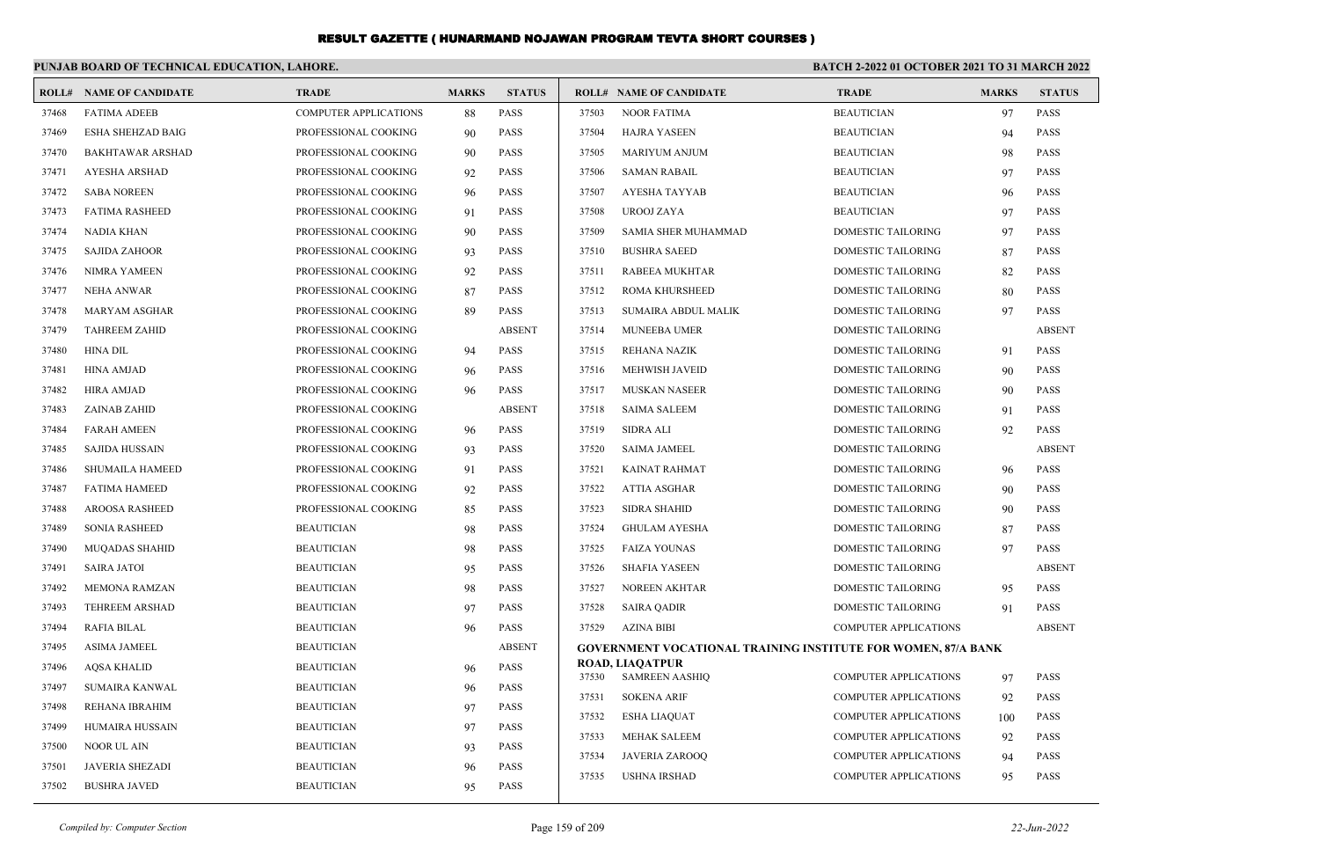|       | PUNJAB BOARD OF TECHNICAL EDUCATION, LAHORE. |                              |              |               | <b>BATCH 2-2022 01 OCTOBER 2021 TO 31 MARCH 2022</b> |                                                                      |                              |              |               |  |  |
|-------|----------------------------------------------|------------------------------|--------------|---------------|------------------------------------------------------|----------------------------------------------------------------------|------------------------------|--------------|---------------|--|--|
| ROLL# | <b>NAME OF CANDIDATE</b>                     | <b>TRADE</b>                 | <b>MARKS</b> | <b>STATUS</b> |                                                      | <b>ROLL# NAME OF CANDIDATE</b>                                       | <b>TRADE</b>                 | <b>MARKS</b> | <b>STATUS</b> |  |  |
| 37468 | <b>FATIMA ADEEB</b>                          | <b>COMPUTER APPLICATIONS</b> | 88           | <b>PASS</b>   | 37503                                                | <b>NOOR FATIMA</b>                                                   | <b>BEAUTICIAN</b>            | 97           | <b>PASS</b>   |  |  |
| 37469 | ESHA SHEHZAD BAIG                            | PROFESSIONAL COOKING         | 90           | <b>PASS</b>   | 37504                                                | <b>HAJRA YASEEN</b>                                                  | <b>BEAUTICIAN</b>            | 94           | <b>PASS</b>   |  |  |
| 37470 | <b>BAKHTAWAR ARSHAD</b>                      | PROFESSIONAL COOKING         | 90           | <b>PASS</b>   | 37505                                                | <b>MARIYUM ANJUM</b>                                                 | <b>BEAUTICIAN</b>            | 98           | <b>PASS</b>   |  |  |
| 37471 | <b>AYESHA ARSHAD</b>                         | PROFESSIONAL COOKING         | 92           | <b>PASS</b>   | 37506                                                | <b>SAMAN RABAIL</b>                                                  | <b>BEAUTICIAN</b>            | 97           | <b>PASS</b>   |  |  |
| 37472 | <b>SABA NOREEN</b>                           | PROFESSIONAL COOKING         | 96           | <b>PASS</b>   | 37507                                                | AYESHA TAYYAB                                                        | <b>BEAUTICIAN</b>            | 96           | <b>PASS</b>   |  |  |
| 37473 | <b>FATIMA RASHEED</b>                        | PROFESSIONAL COOKING         | 91           | PASS          | 37508                                                | UROOJ ZAYA                                                           | <b>BEAUTICIAN</b>            | 97           | <b>PASS</b>   |  |  |
| 37474 | <b>NADIA KHAN</b>                            | PROFESSIONAL COOKING         | 90           | <b>PASS</b>   | 37509                                                | SAMIA SHER MUHAMMAD                                                  | <b>DOMESTIC TAILORING</b>    | 97           | <b>PASS</b>   |  |  |
| 37475 | <b>SAJIDA ZAHOOR</b>                         | PROFESSIONAL COOKING         | 93           | <b>PASS</b>   | 37510                                                | <b>BUSHRA SAEED</b>                                                  | <b>DOMESTIC TAILORING</b>    | 87           | <b>PASS</b>   |  |  |
| 37476 | <b>NIMRA YAMEEN</b>                          | PROFESSIONAL COOKING         | 92           | <b>PASS</b>   | 37511                                                | RABEEA MUKHTAR                                                       | DOMESTIC TAILORING           | 82           | <b>PASS</b>   |  |  |
| 37477 | <b>NEHA ANWAR</b>                            | PROFESSIONAL COOKING         | 87           | <b>PASS</b>   | 37512                                                | <b>ROMA KHURSHEED</b>                                                | DOMESTIC TAILORING           | 80           | <b>PASS</b>   |  |  |
| 37478 | <b>MARYAM ASGHAR</b>                         | PROFESSIONAL COOKING         | 89           | <b>PASS</b>   | 37513                                                | SUMAIRA ABDUL MALIK                                                  | DOMESTIC TAILORING           | 97           | <b>PASS</b>   |  |  |
| 37479 | <b>TAHREEM ZAHID</b>                         | PROFESSIONAL COOKING         |              | <b>ABSENT</b> | 37514                                                | MUNEEBA UMER                                                         | DOMESTIC TAILORING           |              | <b>ABSENT</b> |  |  |
| 37480 | <b>HINA DIL</b>                              | PROFESSIONAL COOKING         | 94           | <b>PASS</b>   | 37515                                                | <b>REHANA NAZIK</b>                                                  | DOMESTIC TAILORING           | 91           | <b>PASS</b>   |  |  |
| 37481 | <b>HINA AMJAD</b>                            | PROFESSIONAL COOKING         | 96           | <b>PASS</b>   | 37516                                                | MEHWISH JAVEID                                                       | <b>DOMESTIC TAILORING</b>    | 90           | <b>PASS</b>   |  |  |
| 37482 | <b>HIRA AMJAD</b>                            | PROFESSIONAL COOKING         | 96           | <b>PASS</b>   | 37517                                                | MUSKAN NASEER                                                        | DOMESTIC TAILORING           | 90           | <b>PASS</b>   |  |  |
| 37483 | ZAINAB ZAHID                                 | PROFESSIONAL COOKING         |              | <b>ABSENT</b> | 37518                                                | <b>SAIMA SALEEM</b>                                                  | <b>DOMESTIC TAILORING</b>    | 91           | <b>PASS</b>   |  |  |
| 37484 | <b>FARAH AMEEN</b>                           | PROFESSIONAL COOKING         | 96           | <b>PASS</b>   | 37519                                                | <b>SIDRA ALI</b>                                                     | DOMESTIC TAILORING           | 92           | <b>PASS</b>   |  |  |
| 37485 | <b>SAJIDA HUSSAIN</b>                        | PROFESSIONAL COOKING         | 93           | <b>PASS</b>   | 37520                                                | <b>SAIMA JAMEEL</b>                                                  | DOMESTIC TAILORING           |              | <b>ABSENT</b> |  |  |
| 37486 | SHUMAILA HAMEED                              | PROFESSIONAL COOKING         | 91           | <b>PASS</b>   | 37521                                                | <b>KAINAT RAHMAT</b>                                                 | DOMESTIC TAILORING           | 96           | PASS          |  |  |
| 37487 | <b>FATIMA HAMEED</b>                         | PROFESSIONAL COOKING         | 92           | <b>PASS</b>   | 37522                                                | <b>ATTIA ASGHAR</b>                                                  | <b>DOMESTIC TAILORING</b>    | 90           | <b>PASS</b>   |  |  |
| 37488 | <b>AROOSA RASHEED</b>                        | PROFESSIONAL COOKING         | 85           | <b>PASS</b>   | 37523                                                | <b>SIDRA SHAHID</b>                                                  | DOMESTIC TAILORING           | 90           | <b>PASS</b>   |  |  |
| 37489 | <b>SONIA RASHEED</b>                         | <b>BEAUTICIAN</b>            | 98           | <b>PASS</b>   | 37524                                                | <b>GHULAM AYESHA</b>                                                 | DOMESTIC TAILORING           | 87           | <b>PASS</b>   |  |  |
| 37490 | <b>MUQADAS SHAHID</b>                        | <b>BEAUTICIAN</b>            | 98           | <b>PASS</b>   | 37525                                                | <b>FAIZA YOUNAS</b>                                                  | <b>DOMESTIC TAILORING</b>    | 97           | <b>PASS</b>   |  |  |
| 37491 | <b>SAIRA JATOI</b>                           | <b>BEAUTICIAN</b>            | 95           | <b>PASS</b>   | 37526                                                | <b>SHAFIA YASEEN</b>                                                 | DOMESTIC TAILORING           |              | <b>ABSENT</b> |  |  |
| 37492 | <b>MEMONA RAMZAN</b>                         | <b>BEAUTICIAN</b>            | 98           | <b>PASS</b>   | 37527                                                | <b>NOREEN AKHTAR</b>                                                 | DOMESTIC TAILORING           | 95           | <b>PASS</b>   |  |  |
| 37493 | <b>TEHREEM ARSHAD</b>                        | <b>BEAUTICIAN</b>            | 97           | <b>PASS</b>   | 37528                                                | <b>SAIRA QADIR</b>                                                   | DOMESTIC TAILORING           | 91           | <b>PASS</b>   |  |  |
| 37494 | <b>RAFIA BILAL</b>                           | <b>BEAUTICIAN</b>            | 96           | <b>PASS</b>   | 37529                                                | <b>AZINA BIBI</b>                                                    | <b>COMPUTER APPLICATIONS</b> |              | <b>ABSENT</b> |  |  |
| 37495 | <b>ASIMA JAMEEL</b>                          | <b>BEAUTICIAN</b>            |              | <b>ABSENT</b> |                                                      | <b>GOVERNMENT VOCATIONAL TRAINING INSTITUTE FOR WOMEN, 87/A BANK</b> |                              |              |               |  |  |
| 37496 | <b>AQSA KHALID</b>                           | <b>BEAUTICIAN</b>            | 96           | <b>PASS</b>   | 37530                                                | <b>ROAD, LIAQATPUR</b><br><b>SAMREEN AASHIQ</b>                      | <b>COMPUTER APPLICATIONS</b> | 97           | <b>PASS</b>   |  |  |
| 37497 | <b>SUMAIRA KANWAL</b>                        | <b>BEAUTICIAN</b>            | 96           | <b>PASS</b>   | 37531                                                | <b>SOKENA ARIF</b>                                                   | <b>COMPUTER APPLICATIONS</b> | 92           | <b>PASS</b>   |  |  |
| 37498 | REHANA IBRAHIM                               | <b>BEAUTICIAN</b>            | 97           | <b>PASS</b>   | 37532                                                | ESHA LIAQUAT                                                         | <b>COMPUTER APPLICATIONS</b> | 100          | <b>PASS</b>   |  |  |
| 37499 | HUMAIRA HUSSAIN                              | <b>BEAUTICIAN</b>            | 97           | <b>PASS</b>   | 37533                                                | <b>MEHAK SALEEM</b>                                                  | <b>COMPUTER APPLICATIONS</b> | 92           | <b>PASS</b>   |  |  |
| 37500 | <b>NOOR UL AIN</b>                           | <b>BEAUTICIAN</b>            | 93           | <b>PASS</b>   | 37534                                                | <b>JAVERIA ZAROOQ</b>                                                | <b>COMPUTER APPLICATIONS</b> | 94           | <b>PASS</b>   |  |  |
| 37501 | <b>JAVERIA SHEZADI</b>                       | <b>BEAUTICIAN</b>            | 96           | <b>PASS</b>   | 37535                                                | <b>USHNA IRSHAD</b>                                                  | <b>COMPUTER APPLICATIONS</b> | 95           | <b>PASS</b>   |  |  |
| 37502 | <b>BUSHRA JAVED</b>                          | <b>BEAUTICIAN</b>            | 95           | <b>PASS</b>   |                                                      |                                                                      |                              |              |               |  |  |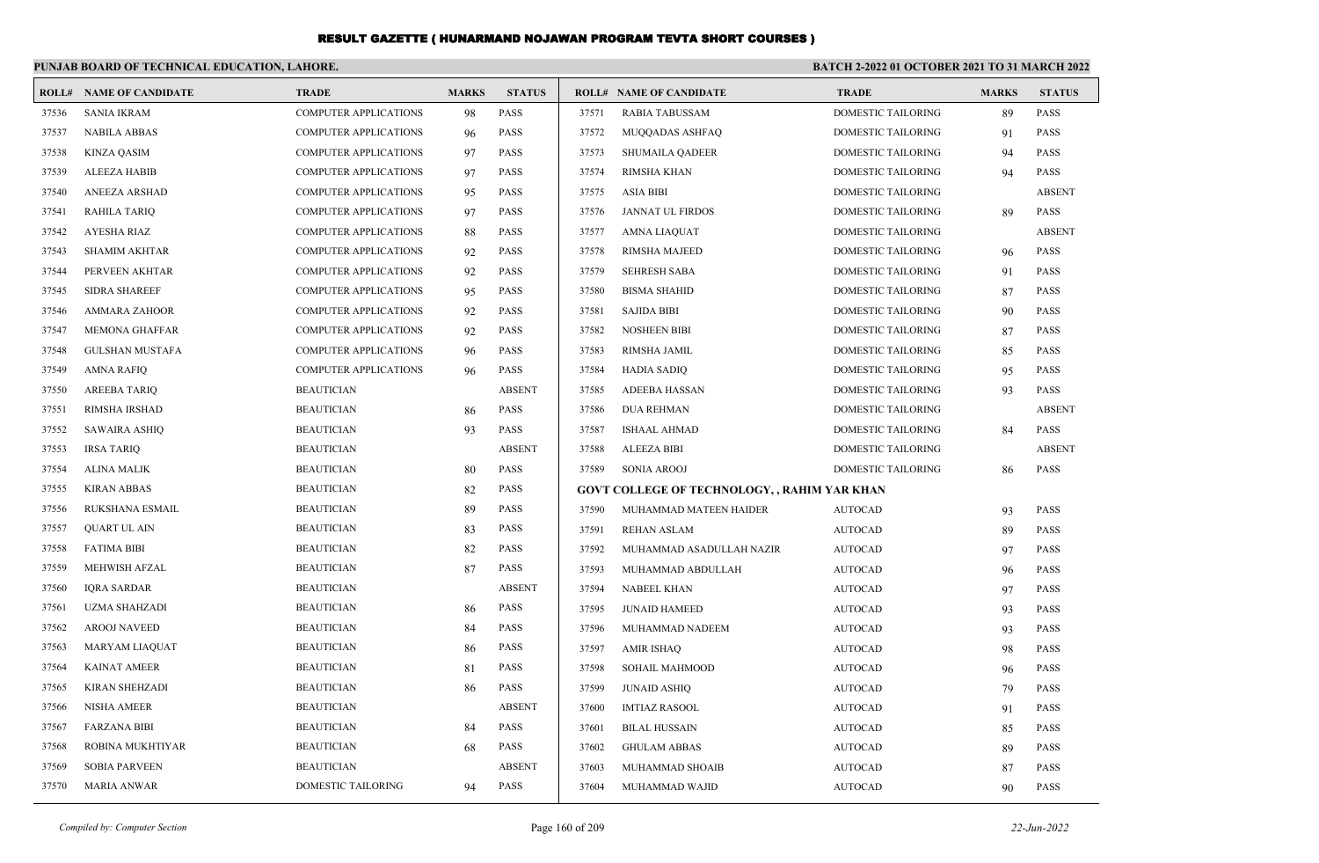|       | PUNJAB BOARD OF TECHNICAL EDUCATION, LAHORE. |                              |              |               | BATCH 2-2022 01 OCTOBER 2021 TO 31 MARCH 2022 |                                              |                           |              |               |
|-------|----------------------------------------------|------------------------------|--------------|---------------|-----------------------------------------------|----------------------------------------------|---------------------------|--------------|---------------|
|       | <b>ROLL# NAME OF CANDIDATE</b>               | <b>TRADE</b>                 | <b>MARKS</b> | <b>STATUS</b> |                                               | <b>ROLL# NAME OF CANDIDATE</b>               | <b>TRADE</b>              | <b>MARKS</b> | <b>STATUS</b> |
| 37536 | <b>SANIA IKRAM</b>                           | <b>COMPUTER APPLICATIONS</b> | 98           | <b>PASS</b>   | 37571                                         | <b>RABIA TABUSSAM</b>                        | <b>DOMESTIC TAILORING</b> | 89           | <b>PASS</b>   |
| 37537 | <b>NABILA ABBAS</b>                          | <b>COMPUTER APPLICATIONS</b> | 96           | <b>PASS</b>   | 37572                                         | MUQQADAS ASHFAQ                              | DOMESTIC TAILORING        | 91           | <b>PASS</b>   |
| 37538 | <b>KINZA QASIM</b>                           | <b>COMPUTER APPLICATIONS</b> | 97           | <b>PASS</b>   | 37573                                         | <b>SHUMAILA QADEER</b>                       | DOMESTIC TAILORING        | 94           | <b>PASS</b>   |
| 37539 | <b>ALEEZA HABIB</b>                          | <b>COMPUTER APPLICATIONS</b> | 97           | <b>PASS</b>   | 37574                                         | <b>RIMSHA KHAN</b>                           | DOMESTIC TAILORING        | 94           | <b>PASS</b>   |
| 37540 | ANEEZA ARSHAD                                | <b>COMPUTER APPLICATIONS</b> | 95           | <b>PASS</b>   | 37575                                         | <b>ASIA BIBI</b>                             | DOMESTIC TAILORING        |              | <b>ABSENT</b> |
| 37541 | <b>RAHILA TARIQ</b>                          | <b>COMPUTER APPLICATIONS</b> | 97           | <b>PASS</b>   | 37576                                         | <b>JANNAT UL FIRDOS</b>                      | DOMESTIC TAILORING        | 89           | <b>PASS</b>   |
| 37542 | <b>AYESHA RIAZ</b>                           | <b>COMPUTER APPLICATIONS</b> | 88           | <b>PASS</b>   | 37577                                         | AMNA LIAQUAT                                 | DOMESTIC TAILORING        |              | <b>ABSENT</b> |
| 37543 | <b>SHAMIM AKHTAR</b>                         | <b>COMPUTER APPLICATIONS</b> | 92           | <b>PASS</b>   | 37578                                         | RIMSHA MAJEED                                | DOMESTIC TAILORING        | 96           | <b>PASS</b>   |
| 37544 | PERVEEN AKHTAR                               | <b>COMPUTER APPLICATIONS</b> | 92           | <b>PASS</b>   | 37579                                         | <b>SEHRESH SABA</b>                          | DOMESTIC TAILORING        | 91           | <b>PASS</b>   |
| 37545 | <b>SIDRA SHAREEF</b>                         | <b>COMPUTER APPLICATIONS</b> | 95           | <b>PASS</b>   | 37580                                         | <b>BISMA SHAHID</b>                          | DOMESTIC TAILORING        | 87           | <b>PASS</b>   |
| 37546 | AMMARA ZAHOOR                                | <b>COMPUTER APPLICATIONS</b> | 92           | <b>PASS</b>   | 37581                                         | <b>SAJIDA BIBI</b>                           | DOMESTIC TAILORING        | 90           | <b>PASS</b>   |
| 37547 | <b>MEMONA GHAFFAR</b>                        | <b>COMPUTER APPLICATIONS</b> | 92           | <b>PASS</b>   | 37582                                         | <b>NOSHEEN BIBI</b>                          | DOMESTIC TAILORING        | 87           | <b>PASS</b>   |
| 37548 | <b>GULSHAN MUSTAFA</b>                       | <b>COMPUTER APPLICATIONS</b> | 96           | <b>PASS</b>   | 37583                                         | RIMSHA JAMIL                                 | <b>DOMESTIC TAILORING</b> | 85           | <b>PASS</b>   |
| 37549 | <b>AMNA RAFIQ</b>                            | <b>COMPUTER APPLICATIONS</b> | 96           | <b>PASS</b>   | 37584                                         | <b>HADIA SADIQ</b>                           | DOMESTIC TAILORING        | 95           | <b>PASS</b>   |
| 37550 | <b>AREEBA TARIQ</b>                          | <b>BEAUTICIAN</b>            |              | <b>ABSENT</b> | 37585                                         | <b>ADEEBA HASSAN</b>                         | DOMESTIC TAILORING        | 93           | <b>PASS</b>   |
| 37551 | RIMSHA IRSHAD                                | <b>BEAUTICIAN</b>            | 86           | <b>PASS</b>   | 37586                                         | <b>DUA REHMAN</b>                            | DOMESTIC TAILORING        |              | <b>ABSENT</b> |
| 37552 | <b>SAWAIRA ASHIO</b>                         | <b>BEAUTICIAN</b>            | 93           | <b>PASS</b>   | 37587                                         | ISHAAL AHMAD                                 | DOMESTIC TAILORING        | 84           | <b>PASS</b>   |
| 37553 | <b>IRSA TARIO</b>                            | <b>BEAUTICIAN</b>            |              | <b>ABSENT</b> | 37588                                         | <b>ALEEZA BIBI</b>                           | DOMESTIC TAILORING        |              | <b>ABSENT</b> |
| 37554 | ALINA MALIK                                  | <b>BEAUTICIAN</b>            | 80           | <b>PASS</b>   | 37589                                         | <b>SONIA AROOJ</b>                           | DOMESTIC TAILORING        | 86           | <b>PASS</b>   |
| 37555 | <b>KIRAN ABBAS</b>                           | <b>BEAUTICIAN</b>            | 82           | <b>PASS</b>   |                                               | GOVT COLLEGE OF TECHNOLOGY, , RAHIM YAR KHAN |                           |              |               |
| 37556 | RUKSHANA ESMAIL                              | <b>BEAUTICIAN</b>            | 89           | <b>PASS</b>   | 37590                                         | MUHAMMAD MATEEN HAIDER                       | <b>AUTOCAD</b>            | 93           | <b>PASS</b>   |
| 37557 | <b>QUART UL AIN</b>                          | <b>BEAUTICIAN</b>            | 83           | <b>PASS</b>   | 37591                                         | <b>REHAN ASLAM</b>                           | <b>AUTOCAD</b>            | 89           | <b>PASS</b>   |
| 37558 | <b>FATIMA BIBI</b>                           | <b>BEAUTICIAN</b>            | 82           | <b>PASS</b>   | 37592                                         | MUHAMMAD ASADULLAH NAZIR                     | <b>AUTOCAD</b>            | 97           | <b>PASS</b>   |
| 37559 | MEHWISH AFZAL                                | <b>BEAUTICIAN</b>            | 87           | <b>PASS</b>   | 37593                                         | MUHAMMAD ABDULLAH                            | <b>AUTOCAD</b>            | 96           | <b>PASS</b>   |
| 37560 | <b>IQRA SARDAR</b>                           | <b>BEAUTICIAN</b>            |              | <b>ABSENT</b> | 37594                                         | <b>NABEEL KHAN</b>                           | <b>AUTOCAD</b>            | 97           | <b>PASS</b>   |
| 37561 | <b>UZMA SHAHZADI</b>                         | <b>BEAUTICIAN</b>            | 86           | <b>PASS</b>   | 37595                                         | <b>JUNAID HAMEED</b>                         | <b>AUTOCAD</b>            | 93           | <b>PASS</b>   |
| 37562 | <b>AROOJ NAVEED</b>                          | <b>BEAUTICIAN</b>            | 84           | <b>PASS</b>   | 37596                                         | MUHAMMAD NADEEM                              | <b>AUTOCAD</b>            | 93           | <b>PASS</b>   |
| 37563 | MARYAM LIAQUAT                               | <b>BEAUTICIAN</b>            | 86           | <b>PASS</b>   | 37597                                         | AMIR ISHAQ                                   | <b>AUTOCAD</b>            | 98           | <b>PASS</b>   |
| 37564 | <b>KAINAT AMEER</b>                          | <b>BEAUTICIAN</b>            | 81           | <b>PASS</b>   | 37598                                         | SOHAIL MAHMOOD                               | <b>AUTOCAD</b>            | 96           | <b>PASS</b>   |
| 37565 | KIRAN SHEHZADI                               | <b>BEAUTICIAN</b>            | 86           | <b>PASS</b>   | 37599                                         | JUNAID ASHIQ                                 | AUTOCAD                   | 79           | PASS          |
| 37566 | <b>NISHA AMEER</b>                           | <b>BEAUTICIAN</b>            |              | <b>ABSENT</b> | 37600                                         | IMTIAZ RASOOL                                | AUTOCAD                   | 91           | PASS          |
| 37567 | <b>FARZANA BIBI</b>                          | <b>BEAUTICIAN</b>            | 84           | PASS          | 37601                                         | <b>BILAL HUSSAIN</b>                         | <b>AUTOCAD</b>            | 85           | <b>PASS</b>   |
| 37568 | ROBINA MUKHTIYAR                             | <b>BEAUTICIAN</b>            | 68           | <b>PASS</b>   | 37602                                         | <b>GHULAM ABBAS</b>                          | AUTOCAD                   | 89           | PASS          |
| 37569 | <b>SOBIA PARVEEN</b>                         | <b>BEAUTICIAN</b>            |              | <b>ABSENT</b> | 37603                                         | MUHAMMAD SHOAIB                              | <b>AUTOCAD</b>            | 87           | PASS          |
| 37570 | <b>MARIA ANWAR</b>                           | <b>DOMESTIC TAILORING</b>    | 94           | <b>PASS</b>   | 37604                                         | MUHAMMAD WAJID                               | <b>AUTOCAD</b>            | 90           | PASS          |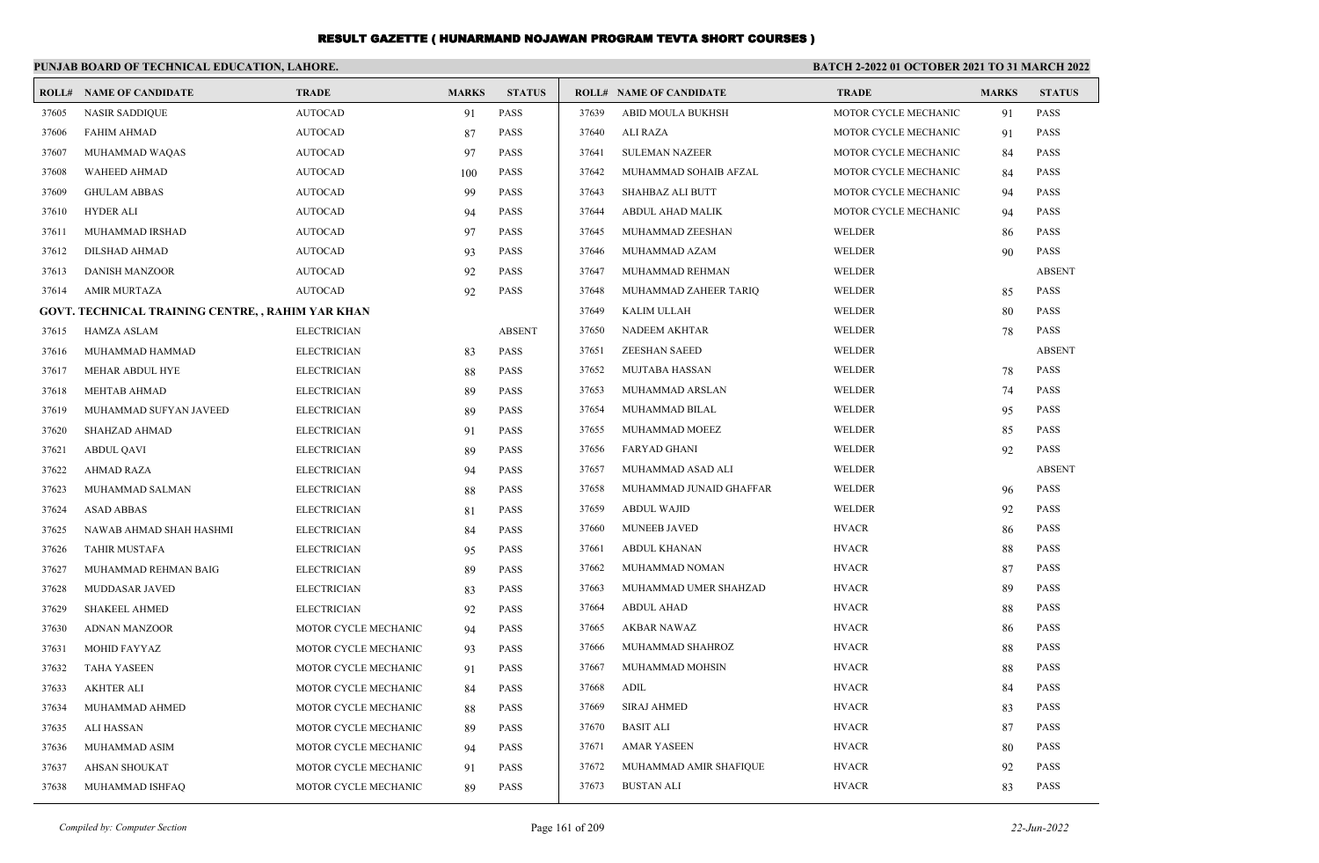|       | PUNJAB BOARD OF TECHNICAL EDUCATION, LAHORE.      |                      |              |               | <b>BATCH 2-2022 01 OCTOBER 2021 TO 31 MARCH 2022</b> |                                |                             |              |               |  |
|-------|---------------------------------------------------|----------------------|--------------|---------------|------------------------------------------------------|--------------------------------|-----------------------------|--------------|---------------|--|
|       | <b>ROLL# NAME OF CANDIDATE</b>                    | <b>TRADE</b>         | <b>MARKS</b> | <b>STATUS</b> |                                                      | <b>ROLL# NAME OF CANDIDATE</b> | <b>TRADE</b>                | <b>MARKS</b> | <b>STATUS</b> |  |
| 37605 | <b>NASIR SADDIQUE</b>                             | <b>AUTOCAD</b>       | 91           | <b>PASS</b>   | 37639                                                | ABID MOULA BUKHSH              | MOTOR CYCLE MECHANIC        | 91           | <b>PASS</b>   |  |
| 37606 | <b>FAHIM AHMAD</b>                                | <b>AUTOCAD</b>       | 87           | <b>PASS</b>   | 37640                                                | ALI RAZA                       | MOTOR CYCLE MECHANIC        | 91           | <b>PASS</b>   |  |
| 37607 | MUHAMMAD WAQAS                                    | <b>AUTOCAD</b>       | 97           | <b>PASS</b>   | 37641                                                | <b>SULEMAN NAZEER</b>          | MOTOR CYCLE MECHANIC        | 84           | <b>PASS</b>   |  |
| 37608 | <b>WAHEED AHMAD</b>                               | <b>AUTOCAD</b>       | 100          | <b>PASS</b>   | 37642                                                | MUHAMMAD SOHAIB AFZAL          | <b>MOTOR CYCLE MECHANIC</b> | 84           | <b>PASS</b>   |  |
| 37609 | <b>GHULAM ABBAS</b>                               | <b>AUTOCAD</b>       | 99           | <b>PASS</b>   | 37643                                                | SHAHBAZ ALI BUTT               | MOTOR CYCLE MECHANIC        | 94           | <b>PASS</b>   |  |
| 37610 | <b>HYDER ALI</b>                                  | <b>AUTOCAD</b>       | 94           | <b>PASS</b>   | 37644                                                | ABDUL AHAD MALIK               | MOTOR CYCLE MECHANIC        | 94           | <b>PASS</b>   |  |
| 37611 | MUHAMMAD IRSHAD                                   | <b>AUTOCAD</b>       | 97           | <b>PASS</b>   | 37645                                                | MUHAMMAD ZEESHAN               | WELDER                      | 86           | <b>PASS</b>   |  |
| 37612 | DILSHAD AHMAD                                     | <b>AUTOCAD</b>       | 93           | <b>PASS</b>   | 37646                                                | MUHAMMAD AZAM                  | WELDER                      | 90           | <b>PASS</b>   |  |
| 37613 | <b>DANISH MANZOOR</b>                             | <b>AUTOCAD</b>       | 92           | <b>PASS</b>   | 37647                                                | MUHAMMAD REHMAN                | WELDER                      |              | <b>ABSENT</b> |  |
| 37614 | <b>AMIR MURTAZA</b>                               | <b>AUTOCAD</b>       | 92           | <b>PASS</b>   | 37648                                                | MUHAMMAD ZAHEER TARIQ          | WELDER                      | 85           | <b>PASS</b>   |  |
|       | GOVT. TECHNICAL TRAINING CENTRE, , RAHIM YAR KHAN |                      |              |               | 37649                                                | KALIM ULLAH                    | WELDER                      | 80           | <b>PASS</b>   |  |
| 37615 | <b>HAMZA ASLAM</b>                                | <b>ELECTRICIAN</b>   |              | <b>ABSENT</b> | 37650                                                | NADEEM AKHTAR                  | WELDER                      | 78           | <b>PASS</b>   |  |
| 37616 | MUHAMMAD HAMMAD                                   | <b>ELECTRICIAN</b>   | 83           | <b>PASS</b>   | 37651                                                | <b>ZEESHAN SAEED</b>           | WELDER                      |              | <b>ABSENT</b> |  |
| 37617 | MEHAR ABDUL HYE                                   | <b>ELECTRICIAN</b>   | 88           | <b>PASS</b>   | 37652                                                | MUJTABA HASSAN                 | WELDER                      | 78           | <b>PASS</b>   |  |
| 37618 | <b>MEHTAB AHMAD</b>                               | <b>ELECTRICIAN</b>   | 89           | <b>PASS</b>   | 37653                                                | MUHAMMAD ARSLAN                | WELDER                      | 74           | <b>PASS</b>   |  |
| 37619 | MUHAMMAD SUFYAN JAVEED                            | <b>ELECTRICIAN</b>   | 89           | <b>PASS</b>   | 37654                                                | MUHAMMAD BILAL                 | WELDER                      | 95           | <b>PASS</b>   |  |
| 37620 | SHAHZAD AHMAD                                     | <b>ELECTRICIAN</b>   | 91           | <b>PASS</b>   | 37655                                                | MUHAMMAD MOEEZ                 | WELDER                      | 85           | <b>PASS</b>   |  |
| 37621 | <b>ABDUL QAVI</b>                                 | <b>ELECTRICIAN</b>   | 89           | <b>PASS</b>   | 37656                                                | <b>FARYAD GHANI</b>            | WELDER                      | 92           | <b>PASS</b>   |  |
| 37622 | AHMAD RAZA                                        | <b>ELECTRICIAN</b>   | 94           | <b>PASS</b>   | 37657                                                | MUHAMMAD ASAD ALI              | WELDER                      |              | <b>ABSENT</b> |  |
| 37623 | MUHAMMAD SALMAN                                   | <b>ELECTRICIAN</b>   | 88           | <b>PASS</b>   | 37658                                                | MUHAMMAD JUNAID GHAFFAR        | WELDER                      | 96           | <b>PASS</b>   |  |
| 37624 | <b>ASAD ABBAS</b>                                 | <b>ELECTRICIAN</b>   | 81           | <b>PASS</b>   | 37659                                                | <b>ABDUL WAJID</b>             | WELDER                      | 92           | <b>PASS</b>   |  |
| 37625 | NAWAB AHMAD SHAH HASHMI                           | <b>ELECTRICIAN</b>   | 84           | <b>PASS</b>   | 37660                                                | <b>MUNEEB JAVED</b>            | <b>HVACR</b>                | 86           | <b>PASS</b>   |  |
| 37626 | <b>TAHIR MUSTAFA</b>                              | <b>ELECTRICIAN</b>   | 95           | <b>PASS</b>   | 37661                                                | <b>ABDUL KHANAN</b>            | <b>HVACR</b>                | 88           | <b>PASS</b>   |  |
| 37627 | MUHAMMAD REHMAN BAIG                              | <b>ELECTRICIAN</b>   | 89           | <b>PASS</b>   | 37662                                                | MUHAMMAD NOMAN                 | <b>HVACR</b>                | 87           | <b>PASS</b>   |  |
| 37628 | MUDDASAR JAVED                                    | <b>ELECTRICIAN</b>   | 83           | <b>PASS</b>   | 37663                                                | MUHAMMAD UMER SHAHZAD          | <b>HVACR</b>                | 89           | <b>PASS</b>   |  |
| 37629 | <b>SHAKEEL AHMED</b>                              | <b>ELECTRICIAN</b>   | 92           | <b>PASS</b>   | 37664                                                | <b>ABDUL AHAD</b>              | <b>HVACR</b>                | 88           | <b>PASS</b>   |  |
| 37630 | <b>ADNAN MANZOOR</b>                              | MOTOR CYCLE MECHANIC | 94           | <b>PASS</b>   | 37665                                                | <b>AKBAR NAWAZ</b>             | <b>HVACR</b>                | 86           | <b>PASS</b>   |  |
| 37631 | <b>MOHID FAYYAZ</b>                               | MOTOR CYCLE MECHANIC | 93           | PASS          | 37666                                                | MUHAMMAD SHAHROZ               | <b>HVACR</b>                | 88           | <b>PASS</b>   |  |
| 37632 | <b>TAHA YASEEN</b>                                | MOTOR CYCLE MECHANIC | 91           | <b>PASS</b>   | 37667                                                | MUHAMMAD MOHSIN                | <b>HVACR</b>                | 88           | PASS          |  |
| 37633 | AKHTER ALI                                        | MOTOR CYCLE MECHANIC | 84           | PASS          | 37668                                                | ADIL                           | <b>HVACR</b>                | 84           | <b>PASS</b>   |  |
| 37634 | MUHAMMAD AHMED                                    | MOTOR CYCLE MECHANIC | 88           | PASS          | 37669                                                | <b>SIRAJ AHMED</b>             | <b>HVACR</b>                | 83           | <b>PASS</b>   |  |
| 37635 | <b>ALI HASSAN</b>                                 | MOTOR CYCLE MECHANIC | 89           | <b>PASS</b>   | 37670                                                | <b>BASIT ALI</b>               | <b>HVACR</b>                | 87           | PASS          |  |
| 37636 | MUHAMMAD ASIM                                     | MOTOR CYCLE MECHANIC | 94           | PASS          | 37671                                                | <b>AMAR YASEEN</b>             | <b>HVACR</b>                | 80           | <b>PASS</b>   |  |
| 37637 | <b>AHSAN SHOUKAT</b>                              | MOTOR CYCLE MECHANIC | 91           | PASS          | 37672                                                | MUHAMMAD AMIR SHAFIQUE         | <b>HVACR</b>                | 92           | <b>PASS</b>   |  |
| 37638 | MUHAMMAD ISHFAQ                                   | MOTOR CYCLE MECHANIC | 89           | <b>PASS</b>   | 37673                                                | <b>BUSTAN ALI</b>              | <b>HVACR</b>                | 83           | PASS          |  |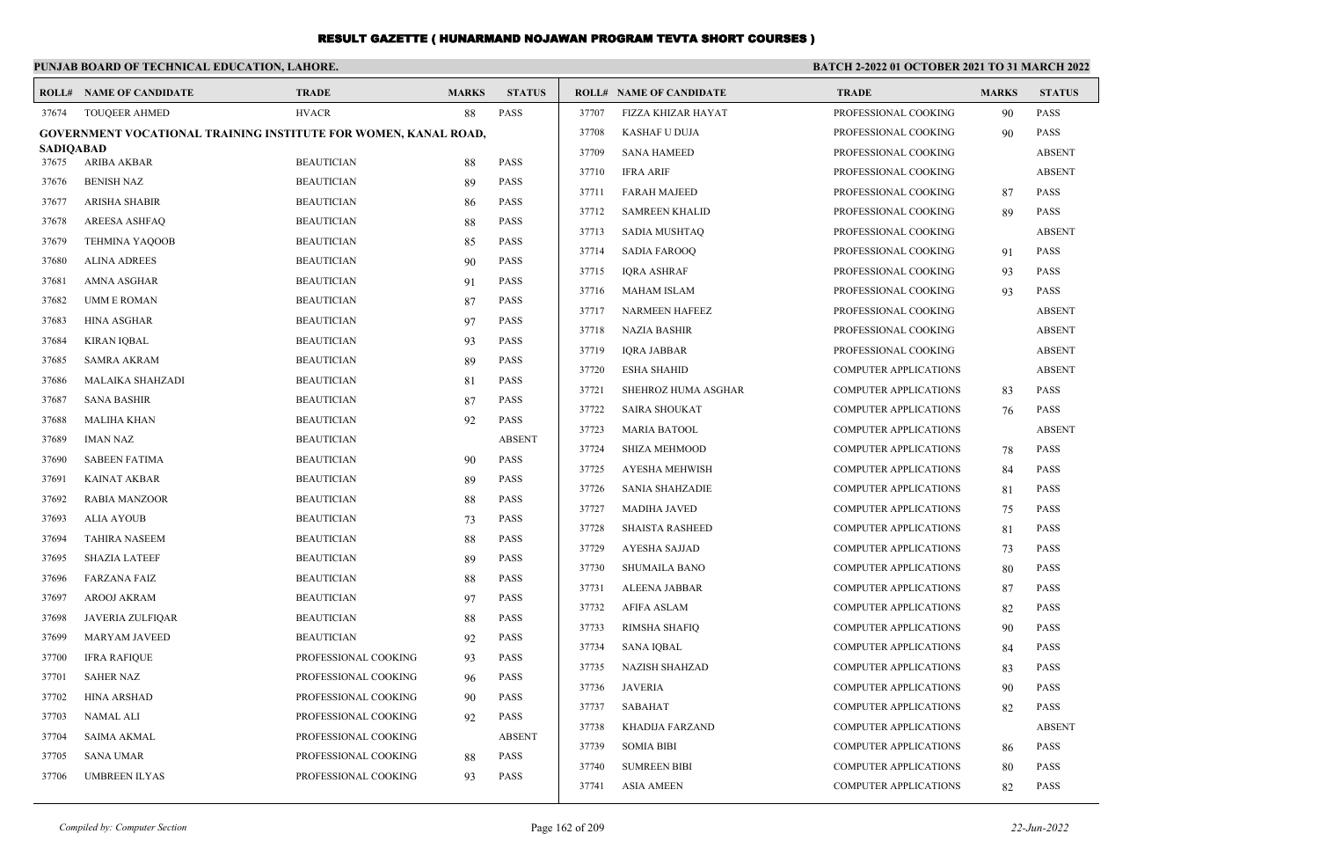#### **PUNJAB BOARD OF TECHNICAL EDUCATION, LAHORE. BATCH 2-2022 01 OCTOBER 2021 TO 31 MARCH 2022 ROLL# NAME OF CANDIDATE TRADE MARKS STATUS ROLL# NAME OF CANDIDATE TRADE MARKS STATUS** 37674 TOUQEER AHMED HVACR 88 PASS **GOVERNMENT VOCATIONAL TRAINING INSTITUTE FOR WOMEN, KANAL ROAD, SADIQABAD** 37675 ARIBA AKBAR BEAUTICIAN 88 PASS 37676 BENISH NAZ BEAUTICIAN 89 PASS 37677 ARISHA SHABIR BEAUTICIAN 86 PASS 37678 AREESA ASHFAQ BEAUTICIAN 88 PASS 37679 TEHMINA YAQOOB BEAUTICIAN 85 PASS 37680 ALINA ADREES BEAUTICIAN 90 PASS 37681 AMNA ASGHAR BEAUTICIAN 91 PASS 37682 UMM E ROMAN BEAUTICIAN BEAUTICIAN 87 PASS 37683 HINA ASGHAR BEAUTICIAN 97 PASS 37684 KIRAN IQBAL BEAUTICIAN 93 PASS 37685 SAMRA AKRAM BEAUTICIAN 89 PASS 37686 MALAIKA SHAHZADI BEAUTICIAN 81 PASS 37687 SANA BASHIR BEAUTICIAN 87 PASS 37688 MALIHA KHAN BEAUTICIAN 92 PASS 37689 IMAN NAZ BEAUTICIAN ABSENT 37690 SABEEN FATIMA BEAUTICIAN 90 PASS 37691 KAINAT AKBAR BEAUTICIAN 89 PASS 37692 RABIA MANZOOR BEAUTICIAN 88 PASS 37693 ALIA AYOUB BEAUTICIAN 73 PASS 37694 TAHIRA NASEEM BEAUTICIAN 88 PASS 37695 SHAZIA LATEEF BEAUTICIAN 89 PASS 37696 FARZANA FAIZ BEAUTICIAN 88 PASS 37697 AROOJ AKRAM BEAUTICIAN 97 PASS 37698 JAVERIA ZULFIQAR BEAUTICIAN 88 PASS 37699 MARYAM JAVEED BEAUTICIAN 92 PASS 37700 IFRA RAFIQUE PROFESSIONAL COOKING 93 PASS 37701 SAHER NAZ PROFESSIONAL COOKING 96 PASS 37702 HINA ARSHAD PROFESSIONAL COOKING 90 PASS 37703 NAMAL ALI PROFESSIONAL COOKING 92 PASS 37704 SAIMA AKMAL PROFESSIONAL COOKING ABSENT 37705 SANA UMAR PROFESSIONAL COOKING 88 PASS 37706 UMBREEN ILYAS PROFESSIONAL COOKING 93 PASS 37707 FIZZA KHIZAR HAYAT PROFESSIONAL COOKING 90 PASS 37708 KASHAF U DUJA PROFESSIONAL COOKING 90 PASS 37709 SANA HAMEED PROFESSIONAL COOKING ABSENT 37710 IFRA ARIF PROFESSIONAL COOKING ABSENT 37711 FARAH MAJEED PROFESSIONAL COOKING 87 PASS 37712 SAMREEN KHALID PROFESSIONAL COOKING 89 PASS 37713 SADIA MUSHTAQ PROFESSIONAL COOKING ABSENT 37714 SADIA FAROOQ PROFESSIONAL COOKING 91 PASS 37715 IQRA ASHRAF PROFESSIONAL COOKING 93 PASS 37716 MAHAM ISLAM PROFESSIONAL COOKING 93 PASS 37717 NARMEEN HAFEEZ PROFESSIONAL COOKING ABSENT 37718 NAZIA BASHIR PROFESSIONAL COOKING ABSENT 37719 IQRA JABBAR PROFESSIONAL COOKING ABSENT 37720 ESHA SHAHID COMPUTER APPLICATIONS ABSENT 37721 SHEHROZ HUMA ASGHAR COMPUTER APPLICATIONS 83 PASS 37722 SAIRA SHOUKAT COMPUTER APPLICATIONS 76 PASS 37723 MARIA BATOOL COMPUTER APPLICATIONS ABSENT 37724 SHIZA MEHMOOD COMPUTER APPLICATIONS 78 PASS 37725 AYESHA MEHWISH COMPUTER APPLICATIONS 84 PASS 37726 SANIA SHAHZADIE COMPUTER APPLICATIONS 81 PASS 37727 MADIHA JAVED COMPUTER APPLICATIONS 75 PASS 37728 SHAISTA RASHEED COMPUTER APPLICATIONS 81 PASS 37729 AYESHA SAJJAD COMPUTER APPLICATIONS 73 PASS 37730 SHUMAILA BANO COMPUTER APPLICATIONS 80 PASS 37731 ALEENA JABBAR COMPUTER APPLICATIONS 87 PASS 37732 AFIFA ASLAM COMPUTER APPLICATIONS 82 PASS 37733 RIMSHA SHAFIQ COMPUTER APPLICATIONS 90 PASS 37734 SANA IQBAL COMPUTER APPLICATIONS 84 PASS 37735 NAZISH SHAHZAD COMPUTER APPLICATIONS 83 PASS 37736 JAVERIA COMPUTER APPLICATIONS 90 PASS 37737 SABAHAT COMPUTER APPLICATIONS 82 PASS 37738 KHADIJA FARZAND COMPUTER APPLICATIONS ABSENT 37739 SOMIA BIBI COMPUTER APPLICATIONS 86 PASS 37740 SUMREEN BIBI COMPUTER APPLICATIONS 80 PASS 37741 ASIA AMEEN COMPUTER APPLICATIONS 82 PASS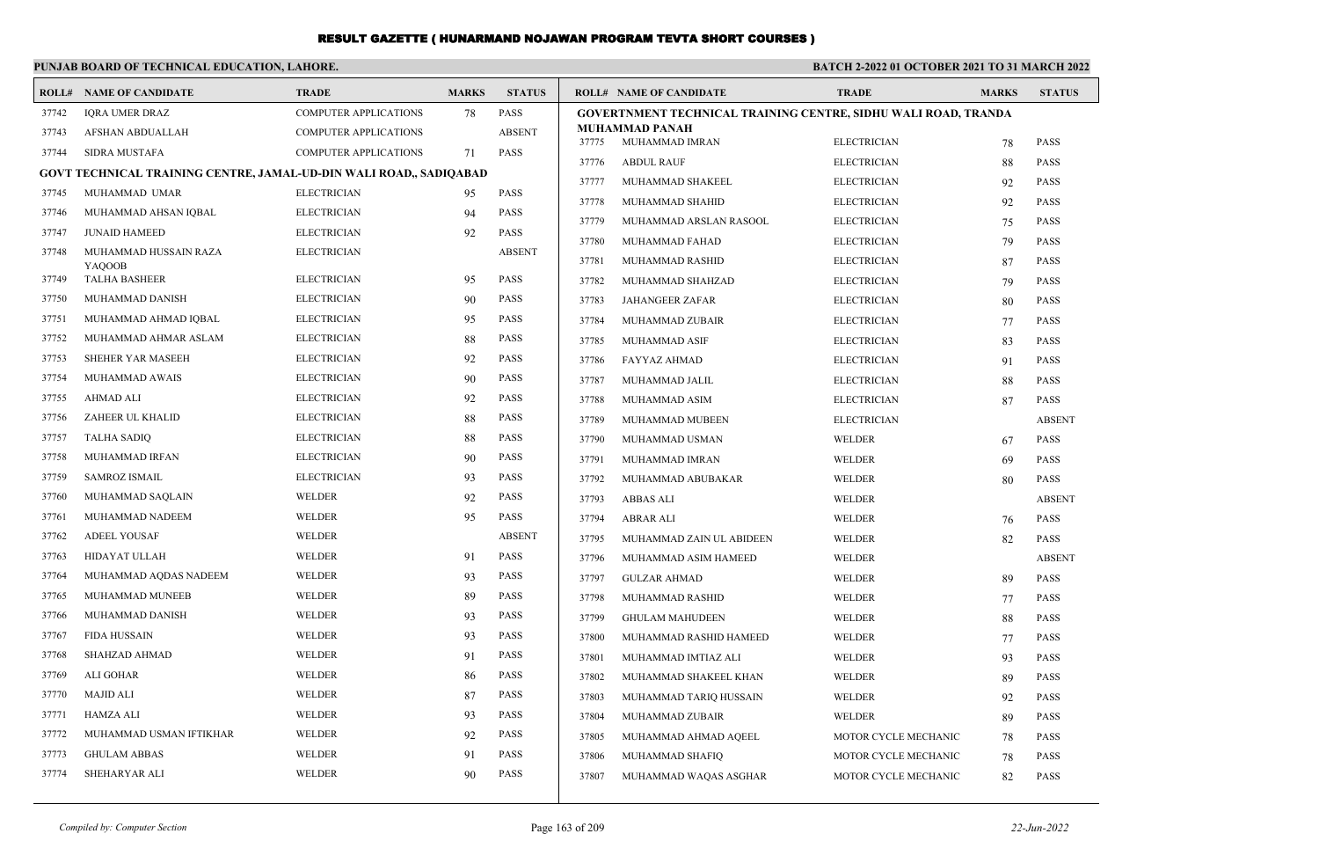|       | PUNJAB BOARD OF TECHNICAL EDUCATION, LAHORE.                       |                              |              |               | <b>BATCH 2-2022 01 OCTOBER 2021 TO 31 MARCH 2022</b> |                                                                |                                          |              |               |
|-------|--------------------------------------------------------------------|------------------------------|--------------|---------------|------------------------------------------------------|----------------------------------------------------------------|------------------------------------------|--------------|---------------|
|       | <b>ROLL# NAME OF CANDIDATE</b>                                     | <b>TRADE</b>                 | <b>MARKS</b> | <b>STATUS</b> |                                                      | <b>ROLL# NAME OF CANDIDATE</b>                                 | <b>TRADE</b>                             | <b>MARKS</b> | <b>STATUS</b> |
| 37742 | <b>IORA UMER DRAZ</b>                                              | <b>COMPUTER APPLICATIONS</b> | 78           | <b>PASS</b>   |                                                      | GOVERTNMENT TECHNICAL TRAINING CENTRE, SIDHU WALI ROAD, TRANDA |                                          |              |               |
| 37743 | AFSHAN ABDUALLAH                                                   | <b>COMPUTER APPLICATIONS</b> |              | <b>ABSENT</b> | 37775                                                | <b>MUHAMMAD PANAH</b><br>MUHAMMAD IMRAN                        | <b>ELECTRICIAN</b>                       |              | <b>PASS</b>   |
| 37744 | <b>SIDRA MUSTAFA</b>                                               | <b>COMPUTER APPLICATIONS</b> | 71           | <b>PASS</b>   | 37776                                                | <b>ABDUL RAUF</b>                                              | <b>ELECTRICIAN</b>                       | 78           | <b>PASS</b>   |
|       | GOVT TECHNICAL TRAINING CENTRE, JAMAL-UD-DIN WALI ROAD,, SADIQABAD |                              |              |               | 37777                                                | MUHAMMAD SHAKEEL                                               | <b>ELECTRICIAN</b>                       | 88           | <b>PASS</b>   |
| 37745 | MUHAMMAD UMAR                                                      | <b>ELECTRICIAN</b>           | 95           | <b>PASS</b>   | 37778                                                | MUHAMMAD SHAHID                                                | <b>ELECTRICIAN</b>                       | 92           | <b>PASS</b>   |
| 37746 | MUHAMMAD AHSAN IQBAL                                               | <b>ELECTRICIAN</b>           | 94           | <b>PASS</b>   | 37779                                                |                                                                |                                          | 92           | <b>PASS</b>   |
| 37747 | <b>JUNAID HAMEED</b>                                               | <b>ELECTRICIAN</b>           | 92           | <b>PASS</b>   | 37780                                                | MUHAMMAD ARSLAN RASOOL<br>MUHAMMAD FAHAD                       | <b>ELECTRICIAN</b><br><b>ELECTRICIAN</b> | 75           | <b>PASS</b>   |
| 37748 | MUHAMMAD HUSSAIN RAZA                                              | <b>ELECTRICIAN</b>           |              | <b>ABSENT</b> | 37781                                                | MUHAMMAD RASHID                                                | <b>ELECTRICIAN</b>                       | 79<br>87     | <b>PASS</b>   |
| 37749 | YAQOOB<br><b>TALHA BASHEER</b>                                     | <b>ELECTRICIAN</b>           | 95           | <b>PASS</b>   | 37782                                                | MUHAMMAD SHAHZAD                                               | <b>ELECTRICIAN</b>                       | 79           | PASS          |
| 37750 | MUHAMMAD DANISH                                                    | <b>ELECTRICIAN</b>           | 90           | <b>PASS</b>   | 37783                                                | <b>JAHANGEER ZAFAR</b>                                         | <b>ELECTRICIAN</b>                       | 80           | <b>PASS</b>   |
| 37751 | MUHAMMAD AHMAD IQBAL                                               | <b>ELECTRICIAN</b>           | 95           | PASS          | 37784                                                | MUHAMMAD ZUBAIR                                                | <b>ELECTRICIAN</b>                       | 77           | <b>PASS</b>   |
| 37752 | MUHAMMAD AHMAR ASLAM                                               | <b>ELECTRICIAN</b>           | 88           | <b>PASS</b>   | 37785                                                | MUHAMMAD ASIF                                                  | <b>ELECTRICIAN</b>                       | 83           | PASS          |
| 37753 | <b>SHEHER YAR MASEEH</b>                                           | <b>ELECTRICIAN</b>           | 92           | <b>PASS</b>   | 37786                                                | FAYYAZ AHMAD                                                   | <b>ELECTRICIAN</b>                       | 91           | <b>PASS</b>   |
| 37754 | MUHAMMAD AWAIS                                                     | <b>ELECTRICIAN</b>           | 90           | PASS          | 37787                                                | MUHAMMAD JALIL                                                 | <b>ELECTRICIAN</b>                       | 88           | <b>PASS</b>   |
| 37755 | <b>AHMAD ALI</b>                                                   | <b>ELECTRICIAN</b>           | 92           | PASS          | 37788                                                | MUHAMMAD ASIM                                                  | <b>ELECTRICIAN</b>                       | 87           | <b>PASS</b>   |
| 37756 | ZAHEER UL KHALID                                                   | <b>ELECTRICIAN</b>           | 88           | <b>PASS</b>   | 37789                                                | MUHAMMAD MUBEEN                                                | <b>ELECTRICIAN</b>                       |              | <b>ABSENT</b> |
| 37757 | <b>TALHA SADIO</b>                                                 | <b>ELECTRICIAN</b>           | 88           | <b>PASS</b>   | 37790                                                | MUHAMMAD USMAN                                                 | <b>WELDER</b>                            | 67           | <b>PASS</b>   |
| 37758 | MUHAMMAD IRFAN                                                     | <b>ELECTRICIAN</b>           | 90           | PASS          | 37791                                                | MUHAMMAD IMRAN                                                 | <b>WELDER</b>                            | 69           | <b>PASS</b>   |
| 37759 | <b>SAMROZ ISMAIL</b>                                               | <b>ELECTRICIAN</b>           | 93           | <b>PASS</b>   | 37792                                                | MUHAMMAD ABUBAKAR                                              | WELDER                                   | 80           | <b>PASS</b>   |
| 37760 | MUHAMMAD SAQLAIN                                                   | <b>WELDER</b>                | 92           | <b>PASS</b>   | 37793                                                | <b>ABBAS ALI</b>                                               | <b>WELDER</b>                            |              | <b>ABSENT</b> |
| 37761 | MUHAMMAD NADEEM                                                    | WELDER                       | 95           | <b>PASS</b>   | 37794                                                | ABRAR ALI                                                      | WELDER                                   | 76           | <b>PASS</b>   |
| 37762 | <b>ADEEL YOUSAF</b>                                                | WELDER                       |              | <b>ABSENT</b> | 37795                                                | MUHAMMAD ZAIN UL ABIDEEN                                       | WELDER                                   | 82           | PASS          |
| 37763 | HIDAYAT ULLAH                                                      | <b>WELDER</b>                | 91           | <b>PASS</b>   | 37796                                                | MUHAMMAD ASIM HAMEED                                           | WELDER                                   |              | <b>ABSENT</b> |
| 37764 | MUHAMMAD AQDAS NADEEM                                              | WELDER                       | 93           | PASS          | 37797                                                | <b>GULZAR AHMAD</b>                                            | WELDER                                   | 89           | <b>PASS</b>   |
| 37765 | MUHAMMAD MUNEEB                                                    | <b>WELDER</b>                | 89           | <b>PASS</b>   | 37798                                                | MUHAMMAD RASHID                                                | WELDER                                   | 77           | <b>PASS</b>   |
| 37766 | MUHAMMAD DANISH                                                    | <b>WELDER</b>                | 93           | <b>PASS</b>   | 37799                                                | <b>GHULAM MAHUDEEN</b>                                         | <b>WELDER</b>                            | 88           | <b>PASS</b>   |
| 37767 | <b>FIDA HUSSAIN</b>                                                | WELDER                       | 93           | <b>PASS</b>   | 37800                                                | MUHAMMAD RASHID HAMEED                                         | <b>WELDER</b>                            | 77           | <b>PASS</b>   |
| 37768 | <b>SHAHZAD AHMAD</b>                                               | WELDER                       | 91           | <b>PASS</b>   | 37801                                                | MUHAMMAD IMTIAZ ALI                                            | <b>WELDER</b>                            | 93           | <b>PASS</b>   |
| 37769 | <b>ALI GOHAR</b>                                                   | <b>WELDER</b>                | 86           | <b>PASS</b>   | 37802                                                | MUHAMMAD SHAKEEL KHAN                                          | WELDER                                   | 89           | <b>PASS</b>   |
| 37770 | <b>MAJID ALI</b>                                                   | <b>WELDER</b>                | 87           | <b>PASS</b>   | 37803                                                | MUHAMMAD TARIQ HUSSAIN                                         | <b>WELDER</b>                            | 92           | <b>PASS</b>   |
| 37771 | HAMZA ALI                                                          | WELDER                       | 93           | <b>PASS</b>   | 37804                                                | MUHAMMAD ZUBAIR                                                | <b>WELDER</b>                            | 89           | <b>PASS</b>   |
| 37772 | MUHAMMAD USMAN IFTIKHAR                                            | <b>WELDER</b>                | 92           | <b>PASS</b>   | 37805                                                | MUHAMMAD AHMAD AQEEL                                           | MOTOR CYCLE MECHANIC                     | 78           | PASS          |
| 37773 | <b>GHULAM ABBAS</b>                                                | <b>WELDER</b>                | 91           | <b>PASS</b>   | 37806                                                | MUHAMMAD SHAFIQ                                                | MOTOR CYCLE MECHANIC                     | 78           | <b>PASS</b>   |
| 37774 | SHEHARYAR ALI                                                      | WELDER                       | 90           | <b>PASS</b>   | 37807                                                | MUHAMMAD WAQAS ASGHAR                                          | MOTOR CYCLE MECHANIC                     | 82           | <b>PASS</b>   |
|       |                                                                    |                              |              |               |                                                      |                                                                |                                          |              |               |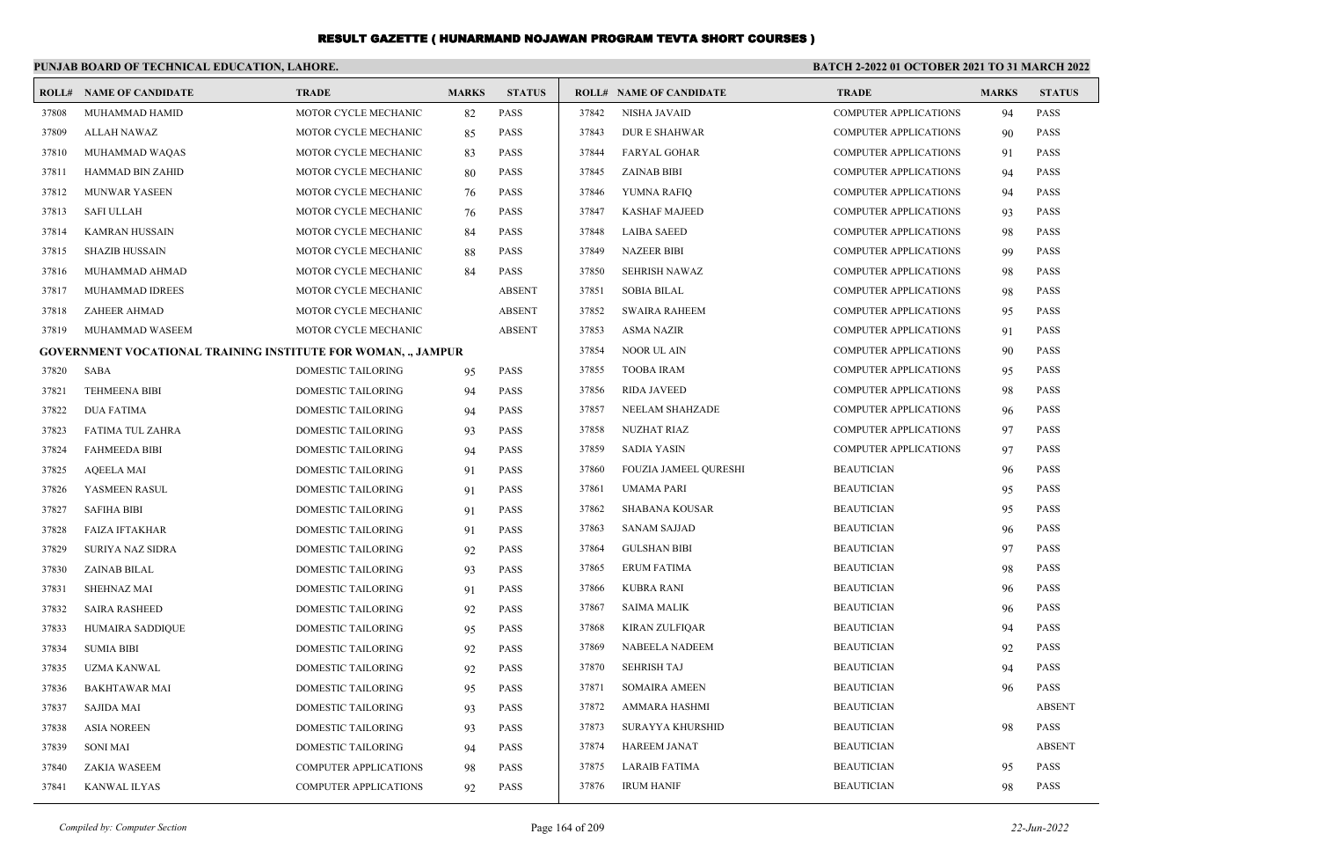|       | PUNJAB BOARD OF TECHNICAL EDUCATION, LAHORE.                         |                              |              |               | <b>BATCH 2-2022 01 OCTOBER 2021 TO 31 MARCH 2022</b> |                                |                              |              |               |
|-------|----------------------------------------------------------------------|------------------------------|--------------|---------------|------------------------------------------------------|--------------------------------|------------------------------|--------------|---------------|
|       | <b>ROLL# NAME OF CANDIDATE</b>                                       | <b>TRADE</b>                 | <b>MARKS</b> | <b>STATUS</b> |                                                      | <b>ROLL# NAME OF CANDIDATE</b> | <b>TRADE</b>                 | <b>MARKS</b> | <b>STATUS</b> |
| 37808 | MUHAMMAD HAMID                                                       | MOTOR CYCLE MECHANIC         | 82           | PASS          | 37842                                                | <b>NISHA JAVAID</b>            | <b>COMPUTER APPLICATIONS</b> | 94           | <b>PASS</b>   |
| 37809 | <b>ALLAH NAWAZ</b>                                                   | MOTOR CYCLE MECHANIC         | 85           | <b>PASS</b>   | 37843                                                | <b>DURE SHAHWAR</b>            | <b>COMPUTER APPLICATIONS</b> | 90           | PASS          |
| 37810 | MUHAMMAD WAQAS                                                       | MOTOR CYCLE MECHANIC         | 83           | <b>PASS</b>   | 37844                                                | <b>FARYAL GOHAR</b>            | <b>COMPUTER APPLICATIONS</b> | 91           | <b>PASS</b>   |
| 37811 | HAMMAD BIN ZAHID                                                     | MOTOR CYCLE MECHANIC         | 80           | <b>PASS</b>   | 37845                                                | <b>ZAINAB BIBI</b>             | <b>COMPUTER APPLICATIONS</b> | 94           | <b>PASS</b>   |
| 37812 | MUNWAR YASEEN                                                        | MOTOR CYCLE MECHANIC         | 76           | PASS          | 37846                                                | YUMNA RAFIQ                    | <b>COMPUTER APPLICATIONS</b> | 94           | <b>PASS</b>   |
| 37813 | <b>SAFI ULLAH</b>                                                    | MOTOR CYCLE MECHANIC         | 76           | PASS          | 37847                                                | <b>KASHAF MAJEED</b>           | <b>COMPUTER APPLICATIONS</b> | 93           | <b>PASS</b>   |
| 37814 | KAMRAN HUSSAIN                                                       | MOTOR CYCLE MECHANIC         | 84           | PASS          | 37848                                                | <b>LAIBA SAEED</b>             | <b>COMPUTER APPLICATIONS</b> | 98           | <b>PASS</b>   |
| 37815 | <b>SHAZIB HUSSAIN</b>                                                | MOTOR CYCLE MECHANIC         | 88           | <b>PASS</b>   | 37849                                                | <b>NAZEER BIBI</b>             | <b>COMPUTER APPLICATIONS</b> | -99          | <b>PASS</b>   |
| 37816 | MUHAMMAD AHMAD                                                       | MOTOR CYCLE MECHANIC         | 84           | <b>PASS</b>   | 37850                                                | <b>SEHRISH NAWAZ</b>           | <b>COMPUTER APPLICATIONS</b> | -98          | <b>PASS</b>   |
| 37817 | MUHAMMAD IDREES                                                      | MOTOR CYCLE MECHANIC         |              | <b>ABSENT</b> | 37851                                                | <b>SOBIA BILAL</b>             | <b>COMPUTER APPLICATIONS</b> | 98           | <b>PASS</b>   |
| 37818 | ZAHEER AHMAD                                                         | MOTOR CYCLE MECHANIC         |              | <b>ABSENT</b> | 37852                                                | <b>SWAIRA RAHEEM</b>           | <b>COMPUTER APPLICATIONS</b> | 95           | <b>PASS</b>   |
| 37819 | MUHAMMAD WASEEM                                                      | MOTOR CYCLE MECHANIC         |              | <b>ABSENT</b> | 37853                                                | <b>ASMA NAZIR</b>              | <b>COMPUTER APPLICATIONS</b> | 91           | <b>PASS</b>   |
|       | <b>GOVERNMENT VOCATIONAL TRAINING INSTITUTE FOR WOMAN, ., JAMPUR</b> |                              |              |               | 37854                                                | <b>NOOR UL AIN</b>             | <b>COMPUTER APPLICATIONS</b> | -90          | <b>PASS</b>   |
| 37820 | SABA                                                                 | <b>DOMESTIC TAILORING</b>    | 95           | PASS          | 37855                                                | <b>TOOBA IRAM</b>              | <b>COMPUTER APPLICATIONS</b> | 95           | <b>PASS</b>   |
| 37821 | <b>TEHMEENA BIBI</b>                                                 | DOMESTIC TAILORING           | 94           | <b>PASS</b>   | 37856                                                | <b>RIDA JAVEED</b>             | <b>COMPUTER APPLICATIONS</b> | 98           | <b>PASS</b>   |
| 37822 | <b>DUA FATIMA</b>                                                    | DOMESTIC TAILORING           | 94           | <b>PASS</b>   | 37857                                                | NEELAM SHAHZADE                | <b>COMPUTER APPLICATIONS</b> | -96          | <b>PASS</b>   |
| 37823 | FATIMA TUL ZAHRA                                                     | DOMESTIC TAILORING           | 93           | <b>PASS</b>   | 37858                                                | <b>NUZHAT RIAZ</b>             | <b>COMPUTER APPLICATIONS</b> | 97           | <b>PASS</b>   |
| 37824 | <b>FAHMEEDA BIBI</b>                                                 | DOMESTIC TAILORING           | 94           | <b>PASS</b>   | 37859                                                | <b>SADIA YASIN</b>             | <b>COMPUTER APPLICATIONS</b> | 97           | <b>PASS</b>   |
| 37825 | <b>AQEELA MAI</b>                                                    | DOMESTIC TAILORING           | 91           | <b>PASS</b>   | 37860                                                | <b>FOUZIA JAMEEL QURESHI</b>   | <b>BEAUTICIAN</b>            | 96           | <b>PASS</b>   |
| 37826 | YASMEEN RASUL                                                        | <b>DOMESTIC TAILORING</b>    | 91           | <b>PASS</b>   | 37861                                                | <b>UMAMA PARI</b>              | <b>BEAUTICIAN</b>            | 95           | <b>PASS</b>   |
| 37827 | <b>SAFIHA BIBI</b>                                                   | DOMESTIC TAILORING           | 91           | <b>PASS</b>   | 37862                                                | <b>SHABANA KOUSAR</b>          | <b>BEAUTICIAN</b>            | 95           | <b>PASS</b>   |
| 37828 | <b>FAIZA IFTAKHAR</b>                                                | DOMESTIC TAILORING           | 91           | <b>PASS</b>   | 37863                                                | <b>SANAM SAJJAD</b>            | <b>BEAUTICIAN</b>            | 96           | <b>PASS</b>   |
| 37829 | <b>SURIYA NAZ SIDRA</b>                                              | <b>DOMESTIC TAILORING</b>    | 92           | <b>PASS</b>   | 37864                                                | <b>GULSHAN BIBI</b>            | <b>BEAUTICIAN</b>            | 97           | <b>PASS</b>   |
| 37830 | ZAINAB BILAL                                                         | DOMESTIC TAILORING           | 93           | <b>PASS</b>   | 37865                                                | <b>ERUM FATIMA</b>             | <b>BEAUTICIAN</b>            | 98           | <b>PASS</b>   |
| 37831 | <b>SHEHNAZ MAI</b>                                                   | DOMESTIC TAILORING           | 91           | <b>PASS</b>   | 37866                                                | <b>KUBRA RANI</b>              | <b>BEAUTICIAN</b>            | 96           | <b>PASS</b>   |
| 37832 | <b>SAIRA RASHEED</b>                                                 | <b>DOMESTIC TAILORING</b>    | 92           | <b>PASS</b>   | 37867                                                | <b>SAIMA MALIK</b>             | <b>BEAUTICIAN</b>            | 96           | <b>PASS</b>   |
| 37833 | HUMAIRA SADDIQUE                                                     | DOMESTIC TAILORING           | 95           | PASS          | 37868                                                | <b>KIRAN ZULFIQAR</b>          | <b>BEAUTICIAN</b>            | 94           | <b>PASS</b>   |
| 37834 | <b>SUMIA BIBI</b>                                                    | DOMESTIC TAILORING           | 92           | <b>PASS</b>   | 37869                                                | <b>NABEELA NADEEM</b>          | <b>BEAUTICIAN</b>            | 92           | <b>PASS</b>   |
| 37835 | UZMA KANWAL                                                          | DOMESTIC TAILORING           | 92           | PASS          | 37870                                                | <b>SEHRISH TAJ</b>             | <b>BEAUTICIAN</b>            | 94           | <b>PASS</b>   |
| 37836 | <b>BAKHTAWAR MAI</b>                                                 | DOMESTIC TAILORING           | 95           | PASS          | 37871                                                | <b>SOMAIRA AMEEN</b>           | <b>BEAUTICIAN</b>            | 96           | <b>PASS</b>   |
| 37837 | <b>SAJIDA MAI</b>                                                    | <b>DOMESTIC TAILORING</b>    | 93           | <b>PASS</b>   | 37872                                                | AMMARA HASHMI                  | <b>BEAUTICIAN</b>            |              | <b>ABSENT</b> |
| 37838 | <b>ASIA NOREEN</b>                                                   | <b>DOMESTIC TAILORING</b>    | 93           | PASS          | 37873                                                | <b>SURAYYA KHURSHID</b>        | <b>BEAUTICIAN</b>            | 98           | <b>PASS</b>   |
| 37839 | <b>SONI MAI</b>                                                      | DOMESTIC TAILORING           | 94           | <b>PASS</b>   | 37874                                                | <b>HAREEM JANAT</b>            | <b>BEAUTICIAN</b>            |              | <b>ABSENT</b> |
| 37840 | <b>ZAKIA WASEEM</b>                                                  | <b>COMPUTER APPLICATIONS</b> | 98           | <b>PASS</b>   | 37875                                                | <b>LARAIB FATIMA</b>           | <b>BEAUTICIAN</b>            | 95           | <b>PASS</b>   |
| 37841 | <b>KANWAL ILYAS</b>                                                  | COMPUTER APPLICATIONS        | 92           | PASS          | 37876                                                | <b>IRUM HANIF</b>              | <b>BEAUTICIAN</b>            | 98           | <b>PASS</b>   |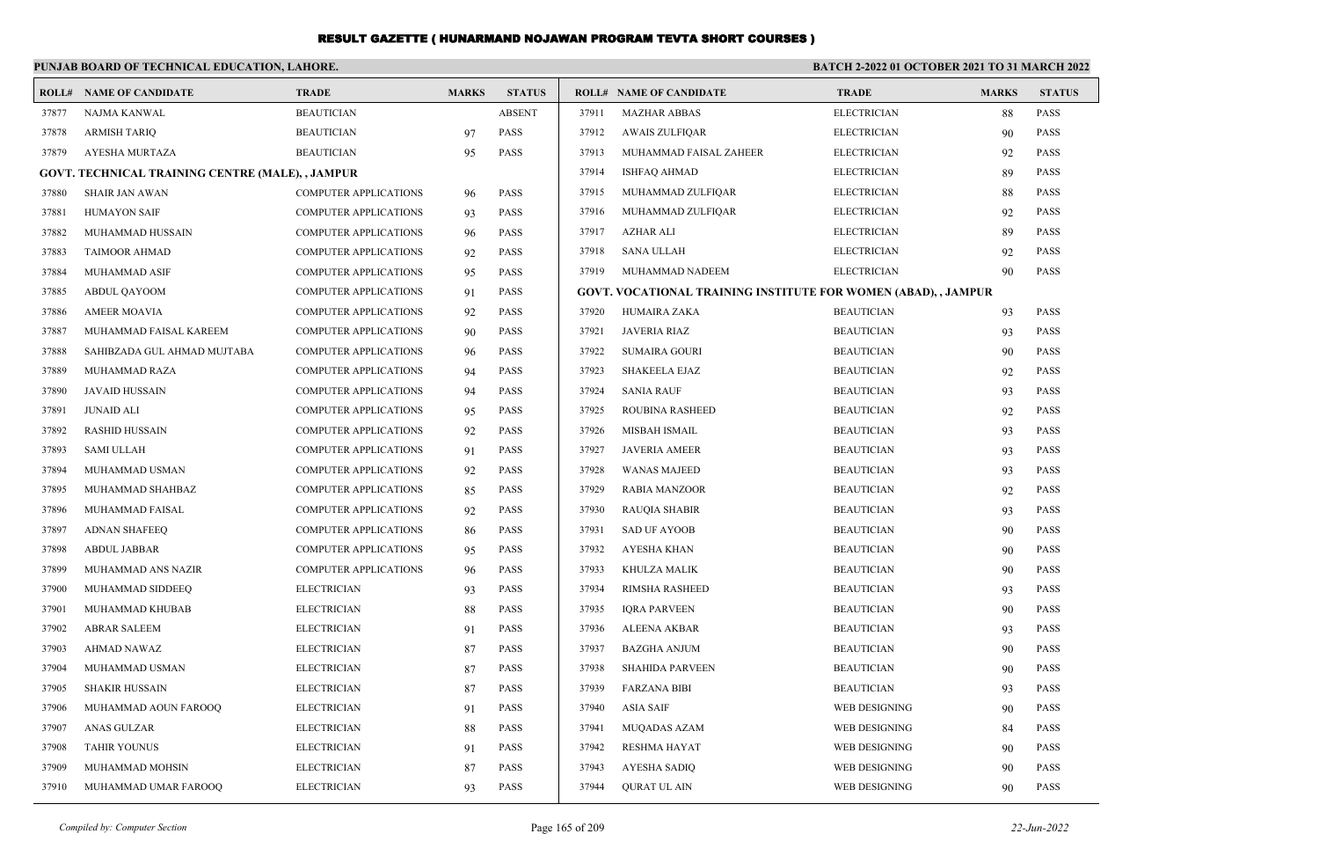|       | PUNJAB BOARD OF TECHNICAL EDUCATION, LAHORE.     |                              |              | <b>BATCH 2-2022 01 OCTOBER 2021 TO 31 MARCH 2022</b> |       |                                                                |                    |              |               |
|-------|--------------------------------------------------|------------------------------|--------------|------------------------------------------------------|-------|----------------------------------------------------------------|--------------------|--------------|---------------|
|       | <b>ROLL# NAME OF CANDIDATE</b>                   | <b>TRADE</b>                 | <b>MARKS</b> | <b>STATUS</b>                                        |       | <b>ROLL# NAME OF CANDIDATE</b>                                 | <b>TRADE</b>       | <b>MARKS</b> | <b>STATUS</b> |
| 37877 | NAJMA KANWAL                                     | <b>BEAUTICIAN</b>            |              | <b>ABSENT</b>                                        | 37911 | <b>MAZHAR ABBAS</b>                                            | <b>ELECTRICIAN</b> | 88           | <b>PASS</b>   |
| 37878 | <b>ARMISH TARIQ</b>                              | <b>BEAUTICIAN</b>            | 97           | <b>PASS</b>                                          | 37912 | <b>AWAIS ZULFIQAR</b>                                          | <b>ELECTRICIAN</b> | 90           | <b>PASS</b>   |
| 37879 | AYESHA MURTAZA                                   | <b>BEAUTICIAN</b>            | 95           | <b>PASS</b>                                          | 37913 | MUHAMMAD FAISAL ZAHEER                                         | <b>ELECTRICIAN</b> | 92           | <b>PASS</b>   |
|       | GOVT. TECHNICAL TRAINING CENTRE (MALE), , JAMPUR |                              |              |                                                      | 37914 | <b>ISHFAQ AHMAD</b>                                            | <b>ELECTRICIAN</b> | 89           | <b>PASS</b>   |
| 37880 | <b>SHAIR JAN AWAN</b>                            | <b>COMPUTER APPLICATIONS</b> | 96           | <b>PASS</b>                                          | 37915 | MUHAMMAD ZULFIQAR                                              | <b>ELECTRICIAN</b> | 88           | PASS          |
| 37881 | <b>HUMAYON SAIF</b>                              | <b>COMPUTER APPLICATIONS</b> | 93           | <b>PASS</b>                                          | 37916 | MUHAMMAD ZULFIQAR                                              | <b>ELECTRICIAN</b> | 92           | <b>PASS</b>   |
| 37882 | MUHAMMAD HUSSAIN                                 | <b>COMPUTER APPLICATIONS</b> | 96           | PASS                                                 | 37917 | <b>AZHAR ALI</b>                                               | <b>ELECTRICIAN</b> | 89           | <b>PASS</b>   |
| 37883 | <b>TAIMOOR AHMAD</b>                             | <b>COMPUTER APPLICATIONS</b> | 92           | <b>PASS</b>                                          | 37918 | <b>SANA ULLAH</b>                                              | <b>ELECTRICIAN</b> | 92           | PASS          |
| 37884 | <b>MUHAMMAD ASIF</b>                             | <b>COMPUTER APPLICATIONS</b> | 95           | <b>PASS</b>                                          | 37919 | MUHAMMAD NADEEM                                                | <b>ELECTRICIAN</b> | 90           | <b>PASS</b>   |
| 37885 | ABDUL QAYOOM                                     | <b>COMPUTER APPLICATIONS</b> | 91           | <b>PASS</b>                                          |       | GOVT. VOCATIONAL TRAINING INSTITUTE FOR WOMEN (ABAD), , JAMPUR |                    |              |               |
| 37886 | <b>AMEER MOAVIA</b>                              | COMPUTER APPLICATIONS        | 92           | PASS                                                 | 37920 | <b>HUMAIRA ZAKA</b>                                            | <b>BEAUTICIAN</b>  | 93           | <b>PASS</b>   |
| 37887 | MUHAMMAD FAISAL KAREEM                           | <b>COMPUTER APPLICATIONS</b> | 90           | <b>PASS</b>                                          | 37921 | <b>JAVERIA RIAZ</b>                                            | <b>BEAUTICIAN</b>  | 93           | <b>PASS</b>   |
| 37888 | SAHIBZADA GUL AHMAD MUJTABA                      | <b>COMPUTER APPLICATIONS</b> | 96           | PASS                                                 | 37922 | <b>SUMAIRA GOURI</b>                                           | <b>BEAUTICIAN</b>  | 90           | <b>PASS</b>   |
| 37889 | MUHAMMAD RAZA                                    | <b>COMPUTER APPLICATIONS</b> | 94           | PASS                                                 | 37923 | <b>SHAKEELA EJAZ</b>                                           | <b>BEAUTICIAN</b>  | 92           | <b>PASS</b>   |
| 37890 | <b>JAVAID HUSSAIN</b>                            | <b>COMPUTER APPLICATIONS</b> | 94           | <b>PASS</b>                                          | 37924 | <b>SANIA RAUF</b>                                              | <b>BEAUTICIAN</b>  | 93           | <b>PASS</b>   |
| 37891 | <b>JUNAID ALI</b>                                | <b>COMPUTER APPLICATIONS</b> | 95           | PASS                                                 | 37925 | ROUBINA RASHEED                                                | <b>BEAUTICIAN</b>  | 92           | <b>PASS</b>   |
| 37892 | <b>RASHID HUSSAIN</b>                            | <b>COMPUTER APPLICATIONS</b> | 92           | PASS                                                 | 37926 | <b>MISBAH ISMAIL</b>                                           | <b>BEAUTICIAN</b>  | 93           | <b>PASS</b>   |
| 37893 | <b>SAMI ULLAH</b>                                | <b>COMPUTER APPLICATIONS</b> | 91           | <b>PASS</b>                                          | 37927 | <b>JAVERIA AMEER</b>                                           | <b>BEAUTICIAN</b>  | 93           | <b>PASS</b>   |
| 37894 | MUHAMMAD USMAN                                   | <b>COMPUTER APPLICATIONS</b> | 92           | PASS                                                 | 37928 | <b>WANAS MAJEED</b>                                            | <b>BEAUTICIAN</b>  | 93           | <b>PASS</b>   |
| 37895 | MUHAMMAD SHAHBAZ                                 | <b>COMPUTER APPLICATIONS</b> | 85           | PASS                                                 | 37929 | <b>RABIA MANZOOR</b>                                           | <b>BEAUTICIAN</b>  | 92           | <b>PASS</b>   |
| 37896 | MUHAMMAD FAISAL                                  | <b>COMPUTER APPLICATIONS</b> | 92           | <b>PASS</b>                                          | 37930 | <b>RAUQIA SHABIR</b>                                           | <b>BEAUTICIAN</b>  | 93           | <b>PASS</b>   |
| 37897 | <b>ADNAN SHAFEEQ</b>                             | <b>COMPUTER APPLICATIONS</b> | 86           | PASS                                                 | 37931 | <b>SAD UF AYOOB</b>                                            | <b>BEAUTICIAN</b>  | 90           | <b>PASS</b>   |
| 37898 | <b>ABDUL JABBAR</b>                              | <b>COMPUTER APPLICATIONS</b> | 95           | PASS                                                 | 37932 | <b>AYESHA KHAN</b>                                             | <b>BEAUTICIAN</b>  | 90           | <b>PASS</b>   |
| 37899 | MUHAMMAD ANS NAZIR                               | <b>COMPUTER APPLICATIONS</b> | 96           | <b>PASS</b>                                          | 37933 | KHULZA MALIK                                                   | <b>BEAUTICIAN</b>  | 90           | <b>PASS</b>   |
| 37900 | MUHAMMAD SIDDEEQ                                 | <b>ELECTRICIAN</b>           | 93           | <b>PASS</b>                                          | 37934 | RIMSHA RASHEED                                                 | <b>BEAUTICIAN</b>  | 93           | <b>PASS</b>   |
| 37901 | MUHAMMAD KHUBAB                                  | <b>ELECTRICIAN</b>           | 88           | <b>PASS</b>                                          | 37935 | <b>IQRA PARVEEN</b>                                            | <b>BEAUTICIAN</b>  | 90           | <b>PASS</b>   |
| 37902 | <b>ABRAR SALEEM</b>                              | <b>ELECTRICIAN</b>           | 91           | <b>PASS</b>                                          | 37936 | <b>ALEENA AKBAR</b>                                            | <b>BEAUTICIAN</b>  | 93           | <b>PASS</b>   |
| 37903 | AHMAD NAWAZ                                      | <b>ELECTRICIAN</b>           | 87           | PASS                                                 | 37937 | BAZGHA ANJUM                                                   | <b>BEAUTICIAN</b>  | 90           | <b>PASS</b>   |
| 37904 | MUHAMMAD USMAN                                   | <b>ELECTRICIAN</b>           | 87           | <b>PASS</b>                                          | 37938 | <b>SHAHIDA PARVEEN</b>                                         | <b>BEAUTICIAN</b>  | 90           | <b>PASS</b>   |
| 37905 | <b>SHAKIR HUSSAIN</b>                            | <b>ELECTRICIAN</b>           | 87           | <b>PASS</b>                                          | 37939 | <b>FARZANA BIBI</b>                                            | <b>BEAUTICIAN</b>  | 93           | <b>PASS</b>   |
| 37906 | MUHAMMAD AOUN FAROOQ                             | <b>ELECTRICIAN</b>           | 91           | PASS                                                 | 37940 | ASIA SAIF                                                      | WEB DESIGNING      | 90           | <b>PASS</b>   |
| 37907 | <b>ANAS GULZAR</b>                               | <b>ELECTRICIAN</b>           | 88           | <b>PASS</b>                                          | 37941 | MUQADAS AZAM                                                   | WEB DESIGNING      | 84           | <b>PASS</b>   |
| 37908 | <b>TAHIR YOUNUS</b>                              | <b>ELECTRICIAN</b>           | 91           | <b>PASS</b>                                          | 37942 | <b>RESHMA HAYAT</b>                                            | WEB DESIGNING      | 90           | <b>PASS</b>   |
| 37909 | MUHAMMAD MOHSIN                                  | <b>ELECTRICIAN</b>           | 87           | PASS                                                 | 37943 | AYESHA SADIQ                                                   | WEB DESIGNING      | 90           | PASS          |
| 37910 | MUHAMMAD UMAR FAROOO                             | <b>ELECTRICIAN</b>           | 93           | PASS                                                 | 37944 | <b>OURAT UL AIN</b>                                            | WEB DESIGNING      | 90           | <b>PASS</b>   |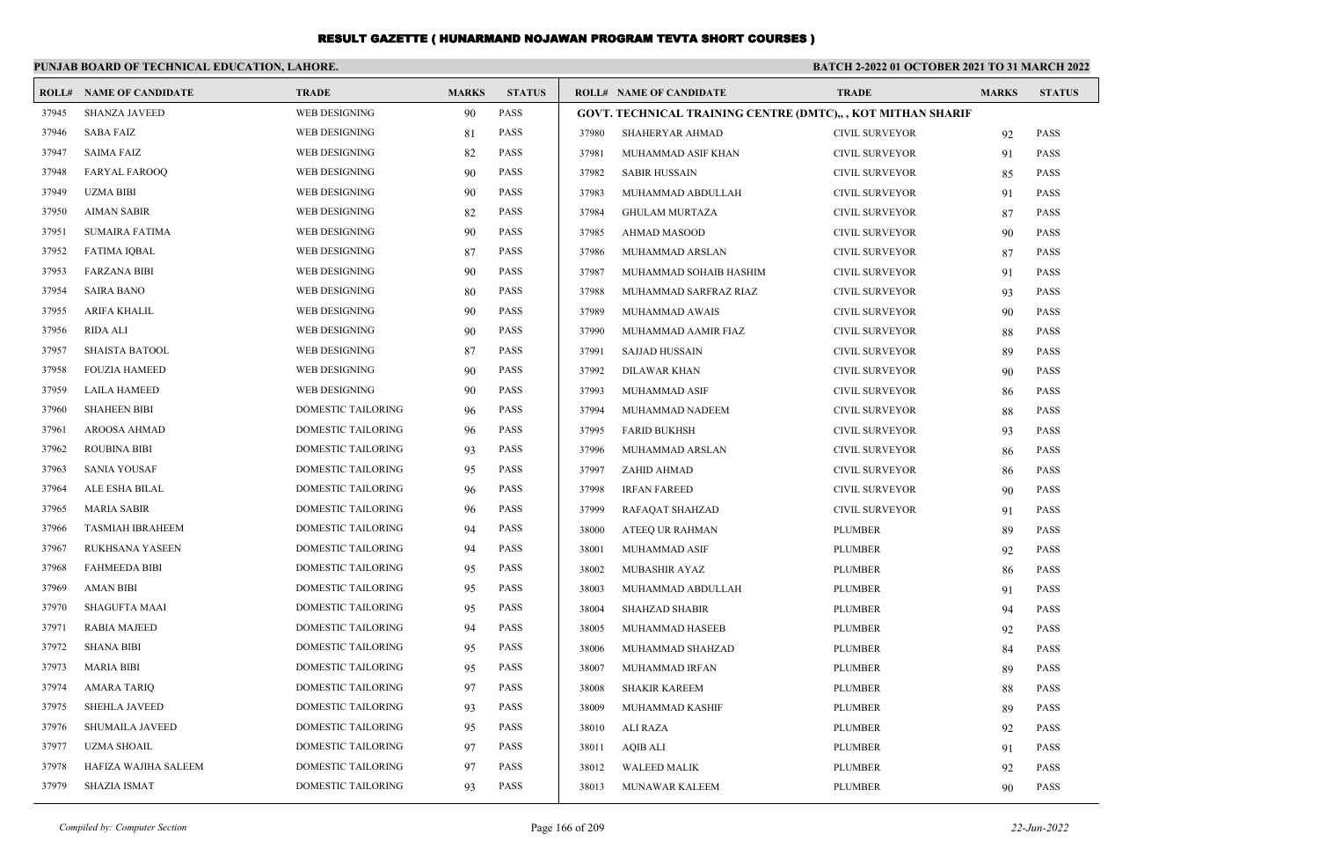|       | PUNJAB BOARD OF TECHNICAL EDUCATION, LAHORE. |                           |              |               | <b>BATCH 2-2022 01 OCTOBER 2021 TO 31 MARCH 2022</b> |                                                              |                       |              |               |
|-------|----------------------------------------------|---------------------------|--------------|---------------|------------------------------------------------------|--------------------------------------------------------------|-----------------------|--------------|---------------|
|       | <b>ROLL# NAME OF CANDIDATE</b>               | <b>TRADE</b>              | <b>MARKS</b> | <b>STATUS</b> |                                                      | <b>ROLL# NAME OF CANDIDATE</b>                               | <b>TRADE</b>          | <b>MARKS</b> | <b>STATUS</b> |
| 37945 | <b>SHANZA JAVEED</b>                         | WEB DESIGNING             | 90           | <b>PASS</b>   |                                                      | GOVT. TECHNICAL TRAINING CENTRE (DMTC),, , KOT MITHAN SHARIF |                       |              |               |
| 37946 | SABA FAIZ                                    | WEB DESIGNING             | 81           | <b>PASS</b>   | 37980                                                | SHAHERYAR AHMAD                                              | <b>CIVIL SURVEYOR</b> | 92           | <b>PASS</b>   |
| 37947 | <b>SAIMA FAIZ</b>                            | WEB DESIGNING             | 82           | <b>PASS</b>   | 37981                                                | MUHAMMAD ASIF KHAN                                           | CIVIL SURVEYOR        | 91           | <b>PASS</b>   |
| 37948 | <b>FARYAL FAROOQ</b>                         | WEB DESIGNING             | 90           | <b>PASS</b>   | 37982                                                | <b>SABIR HUSSAIN</b>                                         | CIVIL SURVEYOR        | 85           | <b>PASS</b>   |
| 37949 | <b>UZMA BIBI</b>                             | WEB DESIGNING             | 90           | <b>PASS</b>   | 37983                                                | MUHAMMAD ABDULLAH                                            | CIVIL SURVEYOR        | 91           | <b>PASS</b>   |
| 37950 | <b>AIMAN SABIR</b>                           | WEB DESIGNING             | 82           | <b>PASS</b>   | 37984                                                | <b>GHULAM MURTAZA</b>                                        | CIVIL SURVEYOR        | 87           | <b>PASS</b>   |
| 37951 | <b>SUMAIRA FATIMA</b>                        | WEB DESIGNING             | 90           | <b>PASS</b>   | 37985                                                | AHMAD MASOOD                                                 | CIVIL SURVEYOR        | 90           | <b>PASS</b>   |
| 37952 | <b>FATIMA IQBAL</b>                          | WEB DESIGNING             | 87           | <b>PASS</b>   | 37986                                                | MUHAMMAD ARSLAN                                              | <b>CIVIL SURVEYOR</b> | 87           | <b>PASS</b>   |
| 37953 | <b>FARZANA BIBI</b>                          | WEB DESIGNING             | 90           | <b>PASS</b>   | 37987                                                | MUHAMMAD SOHAIB HASHIM                                       | CIVIL SURVEYOR        | 91           | <b>PASS</b>   |
| 37954 | <b>SAIRA BANO</b>                            | WEB DESIGNING             | 80           | <b>PASS</b>   | 37988                                                | MUHAMMAD SARFRAZ RIAZ                                        | <b>CIVIL SURVEYOR</b> | 93           | <b>PASS</b>   |
| 37955 | ARIFA KHALIL                                 | WEB DESIGNING             | 90           | <b>PASS</b>   | 37989                                                | MUHAMMAD AWAIS                                               | CIVIL SURVEYOR        | 90           | <b>PASS</b>   |
| 37956 | <b>RIDA ALI</b>                              | WEB DESIGNING             | 90           | <b>PASS</b>   | 37990                                                | MUHAMMAD AAMIR FIAZ                                          | CIVIL SURVEYOR        | 88           | <b>PASS</b>   |
| 37957 | <b>SHAISTA BATOOL</b>                        | WEB DESIGNING             | 87           | <b>PASS</b>   | 37991                                                | <b>SAJJAD HUSSAIN</b>                                        | <b>CIVIL SURVEYOR</b> | 89           | <b>PASS</b>   |
| 37958 | <b>FOUZIA HAMEED</b>                         | WEB DESIGNING             | 90           | <b>PASS</b>   | 37992                                                | DILAWAR KHAN                                                 | CIVIL SURVEYOR        | 90           | <b>PASS</b>   |
| 37959 | LAILA HAMEED                                 | WEB DESIGNING             | 90           | <b>PASS</b>   | 37993                                                | MUHAMMAD ASIF                                                | CIVIL SURVEYOR        | 86           | <b>PASS</b>   |
| 37960 | <b>SHAHEEN BIBI</b>                          | DOMESTIC TAILORING        | 96           | <b>PASS</b>   | 37994                                                | MUHAMMAD NADEEM                                              | <b>CIVIL SURVEYOR</b> | 88           | <b>PASS</b>   |
| 37961 | AROOSA AHMAD                                 | DOMESTIC TAILORING        | 96           | <b>PASS</b>   | 37995                                                | <b>FARID BUKHSH</b>                                          | <b>CIVIL SURVEYOR</b> | 93           | <b>PASS</b>   |
| 37962 | <b>ROUBINA BIBI</b>                          | DOMESTIC TAILORING        | 93           | <b>PASS</b>   | 37996                                                | MUHAMMAD ARSLAN                                              | <b>CIVIL SURVEYOR</b> | 86           | <b>PASS</b>   |
| 37963 | SANIA YOUSAF                                 | DOMESTIC TAILORING        | 95           | <b>PASS</b>   | 37997                                                | ZAHID AHMAD                                                  | <b>CIVIL SURVEYOR</b> | 86           | <b>PASS</b>   |
| 37964 | ALE ESHA BILAL                               | DOMESTIC TAILORING        | 96           | <b>PASS</b>   | 37998                                                | <b>IRFAN FAREED</b>                                          | CIVIL SURVEYOR        | 90           | <b>PASS</b>   |
| 37965 | <b>MARIA SABIR</b>                           | DOMESTIC TAILORING        | 96           | <b>PASS</b>   | 37999                                                | RAFAQAT SHAHZAD                                              | <b>CIVIL SURVEYOR</b> | 91           | <b>PASS</b>   |
| 37966 | <b>TASMIAH IBRAHEEM</b>                      | DOMESTIC TAILORING        | 94           | <b>PASS</b>   | 38000                                                | ATEEQ UR RAHMAN                                              | <b>PLUMBER</b>        | 89           | <b>PASS</b>   |
| 37967 | RUKHSANA YASEEN                              | DOMESTIC TAILORING        | 94           | <b>PASS</b>   | 38001                                                | MUHAMMAD ASIF                                                | <b>PLUMBER</b>        | 92           | <b>PASS</b>   |
| 37968 | <b>FAHMEEDA BIBI</b>                         | DOMESTIC TAILORING        | 95           | <b>PASS</b>   | 38002                                                | MUBASHIR AYAZ                                                | <b>PLUMBER</b>        | 86           | <b>PASS</b>   |
| 37969 | <b>AMAN BIBI</b>                             | <b>DOMESTIC TAILORING</b> | 95           | <b>PASS</b>   | 38003                                                | MUHAMMAD ABDULLAH                                            | PLUMBER               | 91           | <b>PASS</b>   |
| 37970 | <b>SHAGUFTA MAAI</b>                         | DOMESTIC TAILORING        | 95           | <b>PASS</b>   | 38004                                                | <b>SHAHZAD SHABIR</b>                                        | <b>PLUMBER</b>        | 94           | <b>PASS</b>   |
| 37971 | <b>RABIA MAJEED</b>                          | DOMESTIC TAILORING        | 94           | <b>PASS</b>   | 38005                                                | MUHAMMAD HASEEB                                              | <b>PLUMBER</b>        | 92           | <b>PASS</b>   |
| 37972 | <b>SHANA BIBI</b>                            | DOMESTIC TAILORING        | 95           | <b>PASS</b>   | 38006                                                | MUHAMMAD SHAHZAD                                             | PLUMBER               | 84           | <b>PASS</b>   |
| 37973 | MARIA BIBI                                   | <b>DOMESTIC TAILORING</b> | 95           | <b>PASS</b>   | 38007                                                | <b>MUHAMMAD IRFAN</b>                                        | <b>PLUMBER</b>        | 89           | <b>PASS</b>   |
|       | 37974 AMARA TARIO                            | <b>DOMESTIC TAILORING</b> | 97           | <b>PASS</b>   | 38008                                                | SHAKIR KAREEM                                                | PLUMBER               | 88           | PASS          |
| 37975 | <b>SHEHLA JAVEED</b>                         | DOMESTIC TAILORING        | 93           | PASS          | 38009                                                | MUHAMMAD KASHIF                                              | PLUMBER               | 89           | <b>PASS</b>   |
| 37976 | SHUMAILA JAVEED                              | DOMESTIC TAILORING        | 95           | PASS          | 38010                                                | ALI RAZA                                                     | <b>PLUMBER</b>        | 92           | <b>PASS</b>   |
| 37977 | <b>UZMA SHOAIL</b>                           | DOMESTIC TAILORING        | 97           | <b>PASS</b>   | 38011                                                | AQIB ALI                                                     | <b>PLUMBER</b>        | 91           | <b>PASS</b>   |
| 37978 | HAFIZA WAJIHA SALEEM                         | DOMESTIC TAILORING        | 97           | <b>PASS</b>   | 38012                                                | <b>WALEED MALIK</b>                                          | <b>PLUMBER</b>        | 92           | <b>PASS</b>   |
| 37979 | <b>SHAZIA ISMAT</b>                          | <b>DOMESTIC TAILORING</b> | 93           | PASS          | 38013                                                | MUNAWAR KALEEM                                               | <b>PLUMBER</b>        | 90           | <b>PASS</b>   |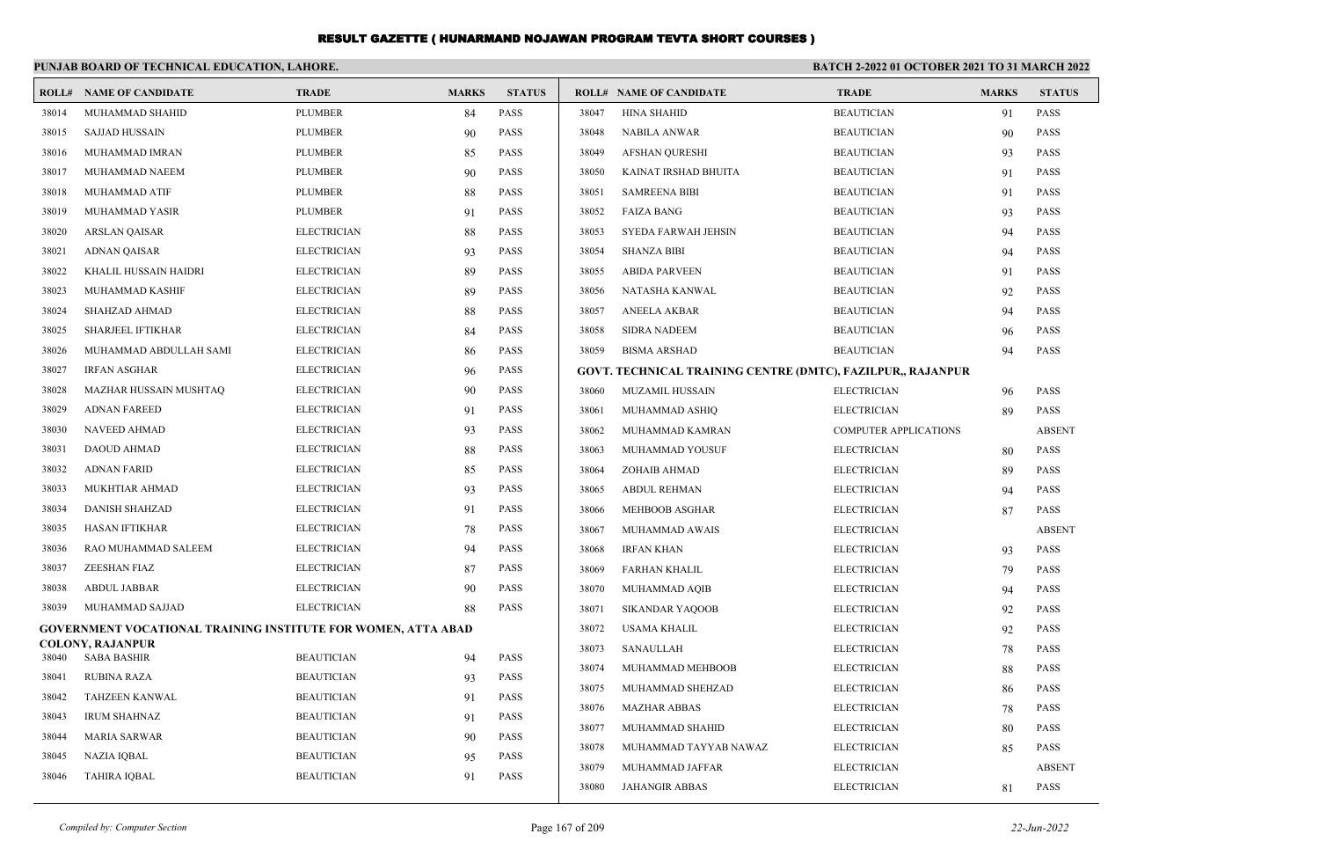|       | PUNJAB BOARD OF TECHNICAL EDUCATION, LAHORE.                         |                    |              |               | <b>BATCH 2-2022 01 OCTOBER 2021 TO 31 MARCH 2022</b> |                                |                                                             |              |               |
|-------|----------------------------------------------------------------------|--------------------|--------------|---------------|------------------------------------------------------|--------------------------------|-------------------------------------------------------------|--------------|---------------|
| ROLL# | <b>NAME OF CANDIDATE</b>                                             | <b>TRADE</b>       | <b>MARKS</b> | <b>STATUS</b> |                                                      | <b>ROLL# NAME OF CANDIDATE</b> | <b>TRADE</b>                                                | <b>MARKS</b> | <b>STATUS</b> |
| 38014 | MUHAMMAD SHAHID                                                      | <b>PLUMBER</b>     | 84           | <b>PASS</b>   | 38047                                                | <b>HINA SHAHID</b>             | <b>BEAUTICIAN</b>                                           | 91           | <b>PASS</b>   |
| 38015 | <b>SAJJAD HUSSAIN</b>                                                | <b>PLUMBER</b>     | 90           | <b>PASS</b>   | 38048                                                | NABILA ANWAR                   | <b>BEAUTICIAN</b>                                           | 90           | <b>PASS</b>   |
| 38016 | MUHAMMAD IMRAN                                                       | <b>PLUMBER</b>     | 85           | <b>PASS</b>   | 38049                                                | <b>AFSHAN QURESHI</b>          | <b>BEAUTICIAN</b>                                           | 93           | <b>PASS</b>   |
| 38017 | MUHAMMAD NAEEM                                                       | <b>PLUMBER</b>     | 90           | <b>PASS</b>   | 38050                                                | KAINAT IRSHAD BHUITA           | <b>BEAUTICIAN</b>                                           | 91           | <b>PASS</b>   |
| 38018 | MUHAMMAD ATIF                                                        | <b>PLUMBER</b>     | 88           | <b>PASS</b>   | 38051                                                | <b>SAMREENA BIBI</b>           | <b>BEAUTICIAN</b>                                           | 91           | <b>PASS</b>   |
| 38019 | MUHAMMAD YASIR                                                       | <b>PLUMBER</b>     | 91           | <b>PASS</b>   | 38052                                                | <b>FAIZA BANG</b>              | <b>BEAUTICIAN</b>                                           | 93           | <b>PASS</b>   |
| 38020 | <b>ARSLAN QAISAR</b>                                                 | <b>ELECTRICIAN</b> | 88           | <b>PASS</b>   | 38053                                                | SYEDA FARWAH JEHSIN            | <b>BEAUTICIAN</b>                                           | 94           | <b>PASS</b>   |
| 38021 | <b>ADNAN QAISAR</b>                                                  | <b>ELECTRICIAN</b> | 93           | <b>PASS</b>   | 38054                                                | <b>SHANZA BIBI</b>             | <b>BEAUTICIAN</b>                                           | 94           | <b>PASS</b>   |
| 38022 | KHALIL HUSSAIN HAIDRI                                                | <b>ELECTRICIAN</b> | 89           | <b>PASS</b>   | 38055                                                | <b>ABIDA PARVEEN</b>           | <b>BEAUTICIAN</b>                                           | 91           | <b>PASS</b>   |
| 38023 | MUHAMMAD KASHIF                                                      | <b>ELECTRICIAN</b> | 89           | <b>PASS</b>   | 38056                                                | NATASHA KANWAL                 | <b>BEAUTICIAN</b>                                           | 92           | <b>PASS</b>   |
| 38024 | SHAHZAD AHMAD                                                        | <b>ELECTRICIAN</b> | 88           | <b>PASS</b>   | 38057                                                | <b>ANEELA AKBAR</b>            | <b>BEAUTICIAN</b>                                           | 94           | <b>PASS</b>   |
| 38025 | <b>SHARJEEL IFTIKHAR</b>                                             | <b>ELECTRICIAN</b> | 84           | <b>PASS</b>   | 38058                                                | <b>SIDRA NADEEM</b>            | <b>BEAUTICIAN</b>                                           | 96           | <b>PASS</b>   |
| 38026 | MUHAMMAD ABDULLAH SAMI                                               | <b>ELECTRICIAN</b> | 86           | <b>PASS</b>   | 38059                                                | <b>BISMA ARSHAD</b>            | <b>BEAUTICIAN</b>                                           | 94           | <b>PASS</b>   |
| 38027 | <b>IRFAN ASGHAR</b>                                                  | <b>ELECTRICIAN</b> | 96           | <b>PASS</b>   |                                                      |                                | GOVT. TECHNICAL TRAINING CENTRE (DMTC), FAZILPUR,, RAJANPUR |              |               |
| 38028 | MAZHAR HUSSAIN MUSHTAQ                                               | <b>ELECTRICIAN</b> | 90           | <b>PASS</b>   | 38060                                                | <b>MUZAMIL HUSSAIN</b>         | <b>ELECTRICIAN</b>                                          | 96           | <b>PASS</b>   |
| 38029 | <b>ADNAN FAREED</b>                                                  | <b>ELECTRICIAN</b> | 91           | <b>PASS</b>   | 38061                                                | MUHAMMAD ASHIQ                 | <b>ELECTRICIAN</b>                                          | 89           | <b>PASS</b>   |
| 38030 | NAVEED AHMAD                                                         | <b>ELECTRICIAN</b> | 93           | <b>PASS</b>   | 38062                                                | MUHAMMAD KAMRAN                | <b>COMPUTER APPLICATIONS</b>                                |              | <b>ABSENT</b> |
| 38031 | DAOUD AHMAD                                                          | <b>ELECTRICIAN</b> | 88           | <b>PASS</b>   | 38063                                                | MUHAMMAD YOUSUF                | <b>ELECTRICIAN</b>                                          | 80           | <b>PASS</b>   |
| 38032 | <b>ADNAN FARID</b>                                                   | <b>ELECTRICIAN</b> | 85           | <b>PASS</b>   | 38064                                                | ZOHAIB AHMAD                   | <b>ELECTRICIAN</b>                                          | 89           | <b>PASS</b>   |
| 38033 | MUKHTIAR AHMAD                                                       | <b>ELECTRICIAN</b> | 93           | <b>PASS</b>   | 38065                                                | <b>ABDUL REHMAN</b>            | <b>ELECTRICIAN</b>                                          | 94           | <b>PASS</b>   |
| 38034 | DANISH SHAHZAD                                                       | <b>ELECTRICIAN</b> | 91           | <b>PASS</b>   | 38066                                                | MEHBOOB ASGHAR                 | <b>ELECTRICIAN</b>                                          | 87           | <b>PASS</b>   |
| 38035 | <b>HASAN IFTIKHAR</b>                                                | <b>ELECTRICIAN</b> | 78           | <b>PASS</b>   | 38067                                                | MUHAMMAD AWAIS                 | <b>ELECTRICIAN</b>                                          |              | <b>ABSENT</b> |
| 38036 | RAO MUHAMMAD SALEEM                                                  | <b>ELECTRICIAN</b> | 94           | <b>PASS</b>   | 38068                                                | <b>IRFAN KHAN</b>              | <b>ELECTRICIAN</b>                                          | 93           | <b>PASS</b>   |
| 38037 | ZEESHAN FIAZ                                                         | <b>ELECTRICIAN</b> | 87           | PASS          | 38069                                                | FARHAN KHALIL                  | <b>ELECTRICIAN</b>                                          | 79           | <b>PASS</b>   |
| 38038 | <b>ABDUL JABBAR</b>                                                  | <b>ELECTRICIAN</b> | 90           | <b>PASS</b>   | 38070                                                | MUHAMMAD AQIB                  | <b>ELECTRICIAN</b>                                          | 94           | <b>PASS</b>   |
| 38039 | MUHAMMAD SAJJAD                                                      | <b>ELECTRICIAN</b> | 88           | <b>PASS</b>   | 38071                                                | <b>SIKANDAR YAQOOB</b>         | <b>ELECTRICIAN</b>                                          | 92           | <b>PASS</b>   |
|       | <b>GOVERNMENT VOCATIONAL TRAINING INSTITUTE FOR WOMEN, ATTA ABAD</b> |                    |              |               | 38072                                                | <b>USAMA KHALIL</b>            | <b>ELECTRICIAN</b>                                          | 92           | <b>PASS</b>   |
| 38040 | <b>COLONY, RAJANPUR</b><br>SABA BASHIR                               | <b>BEAUTICIAN</b>  | 94           | <b>PASS</b>   | 38073                                                | <b>SANAULLAH</b>               | <b>ELECTRICIAN</b>                                          | 78           | <b>PASS</b>   |
| 38041 | <b>RUBINA RAZA</b>                                                   | <b>BEAUTICIAN</b>  | 93           | <b>PASS</b>   | 38074                                                | MUHAMMAD MEHBOOB               | <b>ELECTRICIAN</b>                                          | 88           | <b>PASS</b>   |
| 38042 | <b>TAHZEEN KANWAL</b>                                                | <b>BEAUTICIAN</b>  | 91           | <b>PASS</b>   | 38075                                                | MUHAMMAD SHEHZAD               | <b>ELECTRICIAN</b>                                          | 86           | <b>PASS</b>   |
| 38043 | <b>IRUM SHAHNAZ</b>                                                  | <b>BEAUTICIAN</b>  | 91           | <b>PASS</b>   | 38076                                                | <b>MAZHAR ABBAS</b>            | <b>ELECTRICIAN</b>                                          | 78           | <b>PASS</b>   |
| 38044 | <b>MARIA SARWAR</b>                                                  | <b>BEAUTICIAN</b>  | 90           | <b>PASS</b>   | 38077                                                | MUHAMMAD SHAHID                | <b>ELECTRICIAN</b>                                          | 80           | <b>PASS</b>   |
| 38045 | <b>NAZIA IOBAL</b>                                                   | <b>BEAUTICIAN</b>  | 95           | <b>PASS</b>   | 38078                                                | MUHAMMAD TAYYAB NAWAZ          | <b>ELECTRICIAN</b>                                          | 85           | <b>PASS</b>   |
| 38046 | <b>TAHIRA IQBAL</b>                                                  | <b>BEAUTICIAN</b>  | 91           | <b>PASS</b>   | 38079                                                | MUHAMMAD JAFFAR                | <b>ELECTRICIAN</b>                                          |              | <b>ABSENT</b> |
|       |                                                                      |                    |              |               | 38080                                                | <b>JAHANGIR ABBAS</b>          | <b>ELECTRICIAN</b>                                          | 81           | <b>PASS</b>   |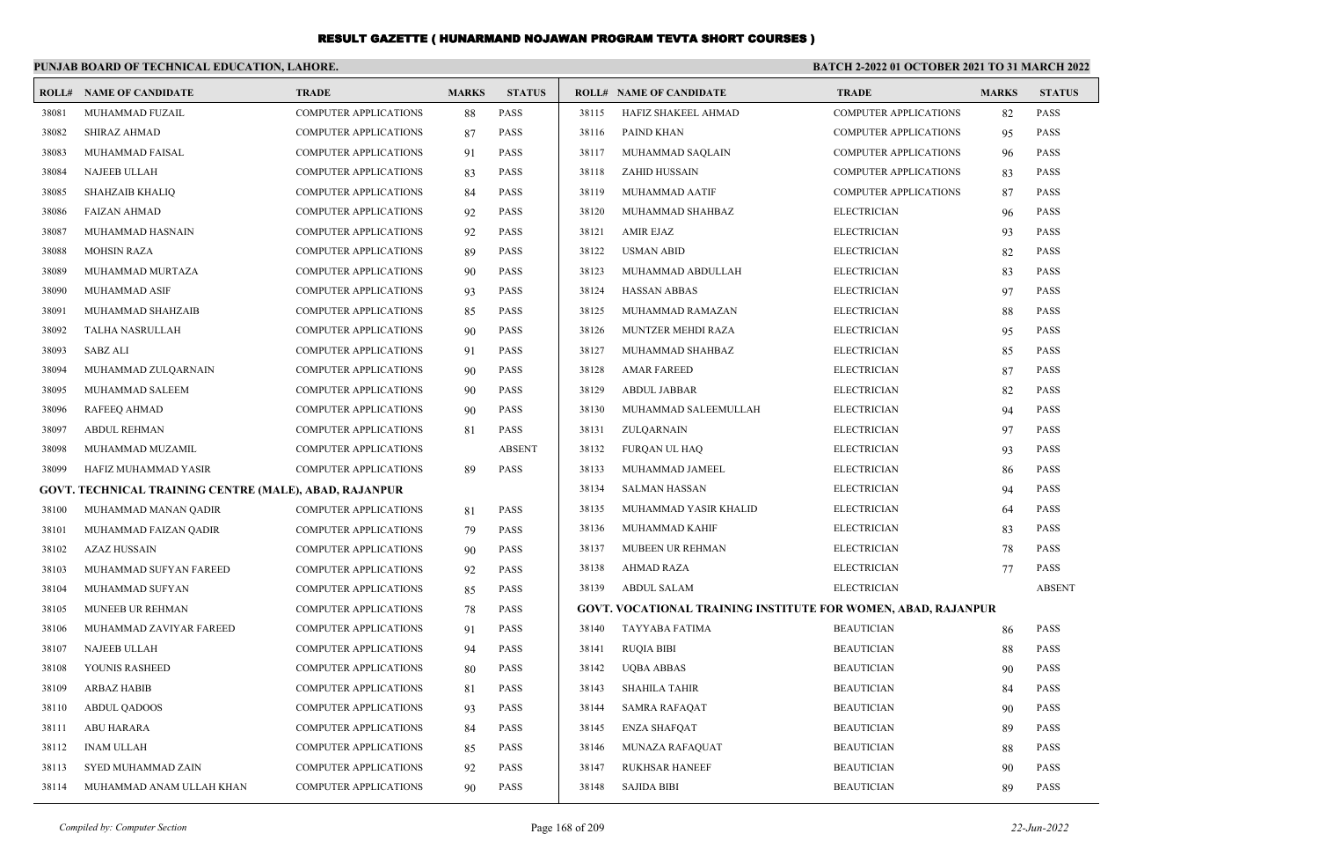|       | PUNJAB BOARD OF TECHNICAL EDUCATION, LAHORE.           |                              |              |               | <b>BATCH 2-2022 01 OCTOBER 2021 TO 31 MARCH 2022</b> |                                                                      |                              |              |               |
|-------|--------------------------------------------------------|------------------------------|--------------|---------------|------------------------------------------------------|----------------------------------------------------------------------|------------------------------|--------------|---------------|
|       | <b>ROLL# NAME OF CANDIDATE</b>                         | <b>TRADE</b>                 | <b>MARKS</b> | <b>STATUS</b> |                                                      | <b>ROLL# NAME OF CANDIDATE</b>                                       | <b>TRADE</b>                 | <b>MARKS</b> | <b>STATUS</b> |
| 38081 | MUHAMMAD FUZAIL                                        | <b>COMPUTER APPLICATIONS</b> | 88           | PASS          | 38115                                                | HAFIZ SHAKEEL AHMAD                                                  | <b>COMPUTER APPLICATIONS</b> | 82           | PASS          |
| 38082 | <b>SHIRAZ AHMAD</b>                                    | <b>COMPUTER APPLICATIONS</b> | 87           | <b>PASS</b>   | 38116                                                | PAIND KHAN                                                           | <b>COMPUTER APPLICATIONS</b> | 95           | PASS          |
| 38083 | MUHAMMAD FAISAL                                        | <b>COMPUTER APPLICATIONS</b> | 91           | <b>PASS</b>   | 38117                                                | MUHAMMAD SAQLAIN                                                     | <b>COMPUTER APPLICATIONS</b> | 96           | <b>PASS</b>   |
| 38084 | NAJEEB ULLAH                                           | <b>COMPUTER APPLICATIONS</b> | 83           | <b>PASS</b>   | 38118                                                | ZAHID HUSSAIN                                                        | <b>COMPUTER APPLICATIONS</b> | 83           | <b>PASS</b>   |
| 38085 | <b>SHAHZAIB KHALIQ</b>                                 | <b>COMPUTER APPLICATIONS</b> | 84           | <b>PASS</b>   | 38119                                                | MUHAMMAD AATIF                                                       | <b>COMPUTER APPLICATIONS</b> | 87           | PASS          |
| 38086 | <b>FAIZAN AHMAD</b>                                    | <b>COMPUTER APPLICATIONS</b> | 92           | <b>PASS</b>   | 38120                                                | MUHAMMAD SHAHBAZ                                                     | <b>ELECTRICIAN</b>           | 96           | <b>PASS</b>   |
| 38087 | MUHAMMAD HASNAIN                                       | <b>COMPUTER APPLICATIONS</b> | 92           | <b>PASS</b>   | 38121                                                | <b>AMIR EJAZ</b>                                                     | <b>ELECTRICIAN</b>           | 93           | <b>PASS</b>   |
| 38088 | <b>MOHSIN RAZA</b>                                     | <b>COMPUTER APPLICATIONS</b> | 89           | <b>PASS</b>   | 38122                                                | <b>USMAN ABID</b>                                                    | <b>ELECTRICIAN</b>           | 82           | PASS          |
| 38089 | MUHAMMAD MURTAZA                                       | <b>COMPUTER APPLICATIONS</b> | 90           | <b>PASS</b>   | 38123                                                | MUHAMMAD ABDULLAH                                                    | <b>ELECTRICIAN</b>           | 83           | <b>PASS</b>   |
| 38090 | MUHAMMAD ASIF                                          | <b>COMPUTER APPLICATIONS</b> | 93           | <b>PASS</b>   | 38124                                                | <b>HASSAN ABBAS</b>                                                  | <b>ELECTRICIAN</b>           | 97           | PASS          |
| 38091 | MUHAMMAD SHAHZAIB                                      | COMPUTER APPLICATIONS        | 85           | <b>PASS</b>   | 38125                                                | MUHAMMAD RAMAZAN                                                     | <b>ELECTRICIAN</b>           | 88           | PASS          |
| 38092 | <b>TALHA NASRULLAH</b>                                 | <b>COMPUTER APPLICATIONS</b> | 90           | <b>PASS</b>   | 38126                                                | MUNTZER MEHDI RAZA                                                   | <b>ELECTRICIAN</b>           | 95           | <b>PASS</b>   |
| 38093 | <b>SABZ ALI</b>                                        | <b>COMPUTER APPLICATIONS</b> | 91           | <b>PASS</b>   | 38127                                                | MUHAMMAD SHAHBAZ                                                     | <b>ELECTRICIAN</b>           | 85           | <b>PASS</b>   |
| 38094 | MUHAMMAD ZULQARNAIN                                    | COMPUTER APPLICATIONS        | 90           | <b>PASS</b>   | 38128                                                | <b>AMAR FAREED</b>                                                   | <b>ELECTRICIAN</b>           | 87           | <b>PASS</b>   |
| 38095 | MUHAMMAD SALEEM                                        | <b>COMPUTER APPLICATIONS</b> | 90           | <b>PASS</b>   | 38129                                                | <b>ABDUL JABBAR</b>                                                  | <b>ELECTRICIAN</b>           | 82           | <b>PASS</b>   |
| 38096 | <b>RAFEEQ AHMAD</b>                                    | <b>COMPUTER APPLICATIONS</b> | 90           | <b>PASS</b>   | 38130                                                | MUHAMMAD SALEEMULLAH                                                 | <b>ELECTRICIAN</b>           | 94           | <b>PASS</b>   |
| 38097 | <b>ABDUL REHMAN</b>                                    | COMPUTER APPLICATIONS        | 81           | <b>PASS</b>   | 38131                                                | ZULQARNAIN                                                           | <b>ELECTRICIAN</b>           | 97           | PASS          |
| 38098 | MUHAMMAD MUZAMIL                                       | <b>COMPUTER APPLICATIONS</b> |              | <b>ABSENT</b> | 38132                                                | <b>FURQAN UL HAQ</b>                                                 | <b>ELECTRICIAN</b>           | 93           | <b>PASS</b>   |
| 38099 | HAFIZ MUHAMMAD YASIR                                   | <b>COMPUTER APPLICATIONS</b> | 89           | <b>PASS</b>   | 38133                                                | MUHAMMAD JAMEEL                                                      | <b>ELECTRICIAN</b>           | 86           | <b>PASS</b>   |
|       | GOVT. TECHNICAL TRAINING CENTRE (MALE), ABAD, RAJANPUR |                              |              |               | 38134                                                | <b>SALMAN HASSAN</b>                                                 | <b>ELECTRICIAN</b>           | 94           | <b>PASS</b>   |
| 38100 | MUHAMMAD MANAN QADIR                                   | <b>COMPUTER APPLICATIONS</b> | 81           | <b>PASS</b>   | 38135                                                | MUHAMMAD YASIR KHALID                                                | <b>ELECTRICIAN</b>           | 64           | <b>PASS</b>   |
| 38101 | MUHAMMAD FAIZAN QADIR                                  | COMPUTER APPLICATIONS        | 79           | <b>PASS</b>   | 38136                                                | MUHAMMAD KAHIF                                                       | <b>ELECTRICIAN</b>           | 83           | <b>PASS</b>   |
| 38102 | <b>AZAZ HUSSAIN</b>                                    | <b>COMPUTER APPLICATIONS</b> | 90           | <b>PASS</b>   | 38137                                                | MUBEEN UR REHMAN                                                     | <b>ELECTRICIAN</b>           | 78           | <b>PASS</b>   |
| 38103 | MUHAMMAD SUFYAN FAREED                                 | <b>COMPUTER APPLICATIONS</b> | 92           | <b>PASS</b>   | 38138                                                | <b>AHMAD RAZA</b>                                                    | <b>ELECTRICIAN</b>           | 77           | <b>PASS</b>   |
| 38104 | MUHAMMAD SUFYAN                                        | <b>COMPUTER APPLICATIONS</b> | 85           | <b>PASS</b>   | 38139                                                | <b>ABDUL SALAM</b>                                                   | <b>ELECTRICIAN</b>           |              | <b>ABSENT</b> |
| 38105 | MUNEEB UR REHMAN                                       | <b>COMPUTER APPLICATIONS</b> | 78           | <b>PASS</b>   |                                                      | <b>GOVT. VOCATIONAL TRAINING INSTITUTE FOR WOMEN, ABAD, RAJANPUR</b> |                              |              |               |
| 38106 | MUHAMMAD ZAVIYAR FAREED                                | <b>COMPUTER APPLICATIONS</b> | 91           | <b>PASS</b>   | 38140                                                | TAYYABA FATIMA                                                       | <b>BEAUTICIAN</b>            | 86           | <b>PASS</b>   |
| 38107 | NAJEEB ULLAH                                           | COMPUTER APPLICATIONS        | 94           | <b>PASS</b>   | 38141                                                | <b>RUQIA BIBI</b>                                                    | <b>BEAUTICIAN</b>            | 88           | PASS          |
| 38108 | YOUNIS RASHEED                                         | <b>COMPUTER APPLICATIONS</b> | 80           | <b>PASS</b>   | 38142                                                | <b>UOBA ABBAS</b>                                                    | <b>BEAUTICIAN</b>            | 90           | <b>PASS</b>   |
| 38109 | <b>ARBAZ HABIB</b>                                     | <b>COMPUTER APPLICATIONS</b> | 81           | <b>PASS</b>   | 38143                                                | <b>SHAHILA TAHIR</b>                                                 | <b>BEAUTICIAN</b>            | 84           | <b>PASS</b>   |
| 38110 | <b>ABDUL QADOOS</b>                                    | <b>COMPUTER APPLICATIONS</b> | 93           | <b>PASS</b>   | 38144                                                | SAMRA RAFAQAT                                                        | <b>BEAUTICIAN</b>            | 90           | PASS          |
| 38111 | <b>ABU HARARA</b>                                      | <b>COMPUTER APPLICATIONS</b> | 84           | <b>PASS</b>   | 38145                                                | <b>ENZA SHAFQAT</b>                                                  | <b>BEAUTICIAN</b>            | 89           | <b>PASS</b>   |
| 38112 | <b>INAM ULLAH</b>                                      | <b>COMPUTER APPLICATIONS</b> | 85           | <b>PASS</b>   | 38146                                                | <b>MUNAZA RAFAQUAT</b>                                               | <b>BEAUTICIAN</b>            | 88           | <b>PASS</b>   |
| 38113 | SYED MUHAMMAD ZAIN                                     | <b>COMPUTER APPLICATIONS</b> | 92           | <b>PASS</b>   | 38147                                                | <b>RUKHSAR HANEEF</b>                                                | <b>BEAUTICIAN</b>            | 90           | <b>PASS</b>   |
| 38114 | MUHAMMAD ANAM ULLAH KHAN                               | <b>COMPUTER APPLICATIONS</b> | 90           | <b>PASS</b>   | 38148                                                | <b>SAJIDA BIBI</b>                                                   | <b>BEAUTICIAN</b>            | 89           | <b>PASS</b>   |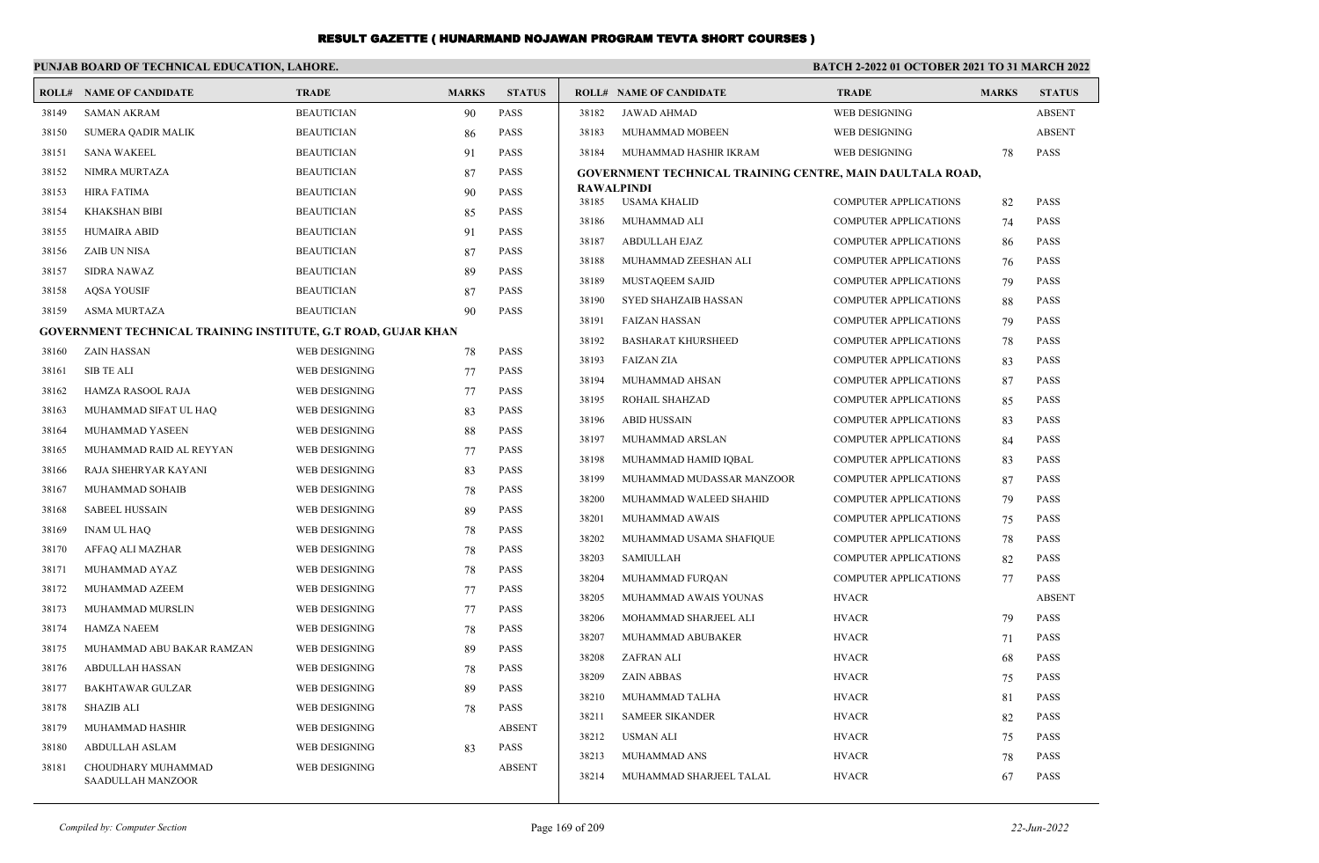#### **PUNJAB BOARD OF TECHNICAL EDUCATION, LAHORE.**

#### **BATCH 2-2022 01 OCTOBER 2021 TO 31 MARCH 2022**

|       | <b>ROLL# NAME OF CANDIDATE</b>                                       | <b>TRADE</b>      | <b>MARKS</b> | <b>STATUS</b> |       | <b>ROLL# NAME OF CANDIDATE</b>                            | <b>TRADE</b>                 | <b>MARKS</b> | <b>STATUS</b> |
|-------|----------------------------------------------------------------------|-------------------|--------------|---------------|-------|-----------------------------------------------------------|------------------------------|--------------|---------------|
| 38149 | <b>SAMAN AKRAM</b>                                                   | <b>BEAUTICIAN</b> | 90           | <b>PASS</b>   | 38182 | <b>JAWAD AHMAD</b>                                        | WEB DESIGNING                |              | <b>ABSENT</b> |
| 38150 | <b>SUMERA QADIR MALIK</b>                                            | <b>BEAUTICIAN</b> | 86           | <b>PASS</b>   | 38183 | MUHAMMAD MOBEEN                                           | WEB DESIGNING                |              | <b>ABSENT</b> |
| 38151 | <b>SANA WAKEEL</b>                                                   | <b>BEAUTICIAN</b> | 91           | <b>PASS</b>   | 38184 | MUHAMMAD HASHIR IKRAM                                     | WEB DESIGNING                | 78           | <b>PASS</b>   |
| 38152 | NIMRA MURTAZA                                                        | <b>BEAUTICIAN</b> | 87           | <b>PASS</b>   |       | GOVERNMENT TECHNICAL TRAINING CENTRE, MAIN DAULTALA ROAD, |                              |              |               |
| 38153 | <b>HIRA FATIMA</b>                                                   | <b>BEAUTICIAN</b> | 90           | <b>PASS</b>   |       | <b>RAWALPINDI</b>                                         |                              |              |               |
| 38154 | <b>KHAKSHAN BIBI</b>                                                 | <b>BEAUTICIAN</b> | 85           | <b>PASS</b>   | 38185 | USAMA KHALID                                              | <b>COMPUTER APPLICATIONS</b> | 82           | <b>PASS</b>   |
| 38155 | <b>HUMAIRA ABID</b>                                                  | <b>BEAUTICIAN</b> | 91           | <b>PASS</b>   | 38186 | MUHAMMAD ALI                                              | <b>COMPUTER APPLICATIONS</b> | 74           | PASS          |
| 38156 | <b>ZAIB UN NISA</b>                                                  | <b>BEAUTICIAN</b> | 87           | <b>PASS</b>   | 38187 | <b>ABDULLAH EJAZ</b>                                      | <b>COMPUTER APPLICATIONS</b> | 86           | <b>PASS</b>   |
| 38157 | <b>SIDRA NAWAZ</b>                                                   | <b>BEAUTICIAN</b> | 89           | <b>PASS</b>   | 38188 | MUHAMMAD ZEESHAN ALI                                      | <b>COMPUTER APPLICATIONS</b> | 76           | <b>PASS</b>   |
| 38158 | <b>AQSA YOUSIF</b>                                                   | <b>BEAUTICIAN</b> | 87           | <b>PASS</b>   | 38189 | MUSTAQEEM SAJID                                           | <b>COMPUTER APPLICATIONS</b> | 79           | <b>PASS</b>   |
| 38159 | <b>ASMA MURTAZA</b>                                                  | <b>BEAUTICIAN</b> | 90           | PASS          | 38190 | SYED SHAHZAIB HASSAN                                      | <b>COMPUTER APPLICATIONS</b> | 88           | <b>PASS</b>   |
|       | <b>GOVERNMENT TECHNICAL TRAINING INSTITUTE, G.T ROAD, GUJAR KHAN</b> |                   |              |               | 38191 | <b>FAIZAN HASSAN</b>                                      | <b>COMPUTER APPLICATIONS</b> | 79           | <b>PASS</b>   |
| 38160 | <b>ZAIN HASSAN</b>                                                   | WEB DESIGNING     | 78           | <b>PASS</b>   | 38192 | <b>BASHARAT KHURSHEED</b>                                 | <b>COMPUTER APPLICATIONS</b> | 78           | PASS          |
| 38161 | <b>SIB TE ALI</b>                                                    | WEB DESIGNING     | 77           | PASS          | 38193 | <b>FAIZAN ZIA</b>                                         | <b>COMPUTER APPLICATIONS</b> | 83           | <b>PASS</b>   |
| 38162 | HAMZA RASOOL RAJA                                                    | WEB DESIGNING     | 77           | <b>PASS</b>   | 38194 | MUHAMMAD AHSAN                                            | <b>COMPUTER APPLICATIONS</b> | 87           | <b>PASS</b>   |
| 38163 | MUHAMMAD SIFAT UL HAQ                                                | WEB DESIGNING     | 83           | <b>PASS</b>   | 38195 | ROHAIL SHAHZAD                                            | <b>COMPUTER APPLICATIONS</b> | 85           | <b>PASS</b>   |
| 38164 | MUHAMMAD YASEEN                                                      | WEB DESIGNING     |              | <b>PASS</b>   | 38196 | <b>ABID HUSSAIN</b>                                       | <b>COMPUTER APPLICATIONS</b> | 83           | <b>PASS</b>   |
|       |                                                                      |                   | 88           |               | 38197 | MUHAMMAD ARSLAN                                           | <b>COMPUTER APPLICATIONS</b> | 84           | <b>PASS</b>   |
| 38165 | MUHAMMAD RAID AL REYYAN                                              | WEB DESIGNING     | 77           | <b>PASS</b>   | 38198 | MUHAMMAD HAMID IQBAL                                      | <b>COMPUTER APPLICATIONS</b> | 83           | <b>PASS</b>   |
| 38166 | RAJA SHEHRYAR KAYANI                                                 | WEB DESIGNING     | 83           | <b>PASS</b>   | 38199 | MUHAMMAD MUDASSAR MANZOOR                                 | <b>COMPUTER APPLICATIONS</b> | 87           | <b>PASS</b>   |
| 38167 | MUHAMMAD SOHAIB                                                      | WEB DESIGNING     | 78           | PASS          | 38200 | MUHAMMAD WALEED SHAHID                                    | <b>COMPUTER APPLICATIONS</b> | 79           | <b>PASS</b>   |
| 38168 | <b>SABEEL HUSSAIN</b>                                                | WEB DESIGNING     | 89           | <b>PASS</b>   | 38201 | MUHAMMAD AWAIS                                            | <b>COMPUTER APPLICATIONS</b> | 75           | PASS          |
| 38169 | <b>INAM UL HAQ</b>                                                   | WEB DESIGNING     | 78           | <b>PASS</b>   | 38202 | MUHAMMAD USAMA SHAFIQUE                                   | <b>COMPUTER APPLICATIONS</b> | 78           | PASS          |
| 38170 | AFFAQ ALI MAZHAR                                                     | WEB DESIGNING     | 78           | <b>PASS</b>   | 38203 | <b>SAMIULLAH</b>                                          | <b>COMPUTER APPLICATIONS</b> | 82           | <b>PASS</b>   |
| 38171 | MUHAMMAD AYAZ                                                        | WEB DESIGNING     | 78           | PASS          | 38204 | MUHAMMAD FURQAN                                           | <b>COMPUTER APPLICATIONS</b> | 77           | <b>PASS</b>   |
| 38172 | MUHAMMAD AZEEM                                                       | WEB DESIGNING     | 77           | <b>PASS</b>   | 38205 | MUHAMMAD AWAIS YOUNAS                                     | <b>HVACR</b>                 |              | <b>ABSENT</b> |
| 38173 | MUHAMMAD MURSLIN                                                     | WEB DESIGNING     | 77           | PASS          | 38206 | MOHAMMAD SHARJEEL ALI                                     | <b>HVACR</b>                 | 79           | <b>PASS</b>   |
| 38174 | <b>HAMZA NAEEM</b>                                                   | WEB DESIGNING     | 78           | PASS          | 38207 | MUHAMMAD ABUBAKER                                         | <b>HVACR</b>                 | 71           | <b>PASS</b>   |
| 38175 | MUHAMMAD ABU BAKAR RAMZAN                                            | WEB DESIGNING     | 89           | <b>PASS</b>   | 38208 | ZAFRAN ALI                                                | <b>HVACR</b>                 | 68           | <b>PASS</b>   |
| 38176 | ABDULLAH HASSAN                                                      | WEB DESIGNING     | 78           | <b>PASS</b>   | 38209 | <b>ZAIN ABBAS</b>                                         | <b>HVACR</b>                 | 75           | <b>PASS</b>   |
| 38177 | <b>BAKHTAWAR GULZAR</b>                                              | WEB DESIGNING     | 89           | <b>PASS</b>   | 38210 | MUHAMMAD TALHA                                            | <b>HVACR</b>                 | 81           | <b>PASS</b>   |
| 38178 | <b>SHAZIB ALI</b>                                                    | WEB DESIGNING     | 78           | <b>PASS</b>   | 38211 | <b>SAMEER SIKANDER</b>                                    | <b>HVACR</b>                 | 82           | <b>PASS</b>   |
| 38179 | MUHAMMAD HASHIR                                                      | WEB DESIGNING     |              | <b>ABSENT</b> | 38212 | <b>USMAN ALI</b>                                          | <b>HVACR</b>                 | 75           | <b>PASS</b>   |
| 38180 | ABDULLAH ASLAM                                                       | WEB DESIGNING     | 83           | <b>PASS</b>   | 38213 | MUHAMMAD ANS                                              | <b>HVACR</b>                 |              | <b>PASS</b>   |
| 38181 | CHOUDHARY MUHAMMAD<br><b>SAADULLAH MANZOOR</b>                       | WEB DESIGNING     |              | <b>ABSENT</b> | 38214 | MUHAMMAD SHARJEEL TALAL                                   | <b>HVACR</b>                 | 78<br>67     | PASS          |
|       |                                                                      |                   |              |               |       |                                                           |                              |              |               |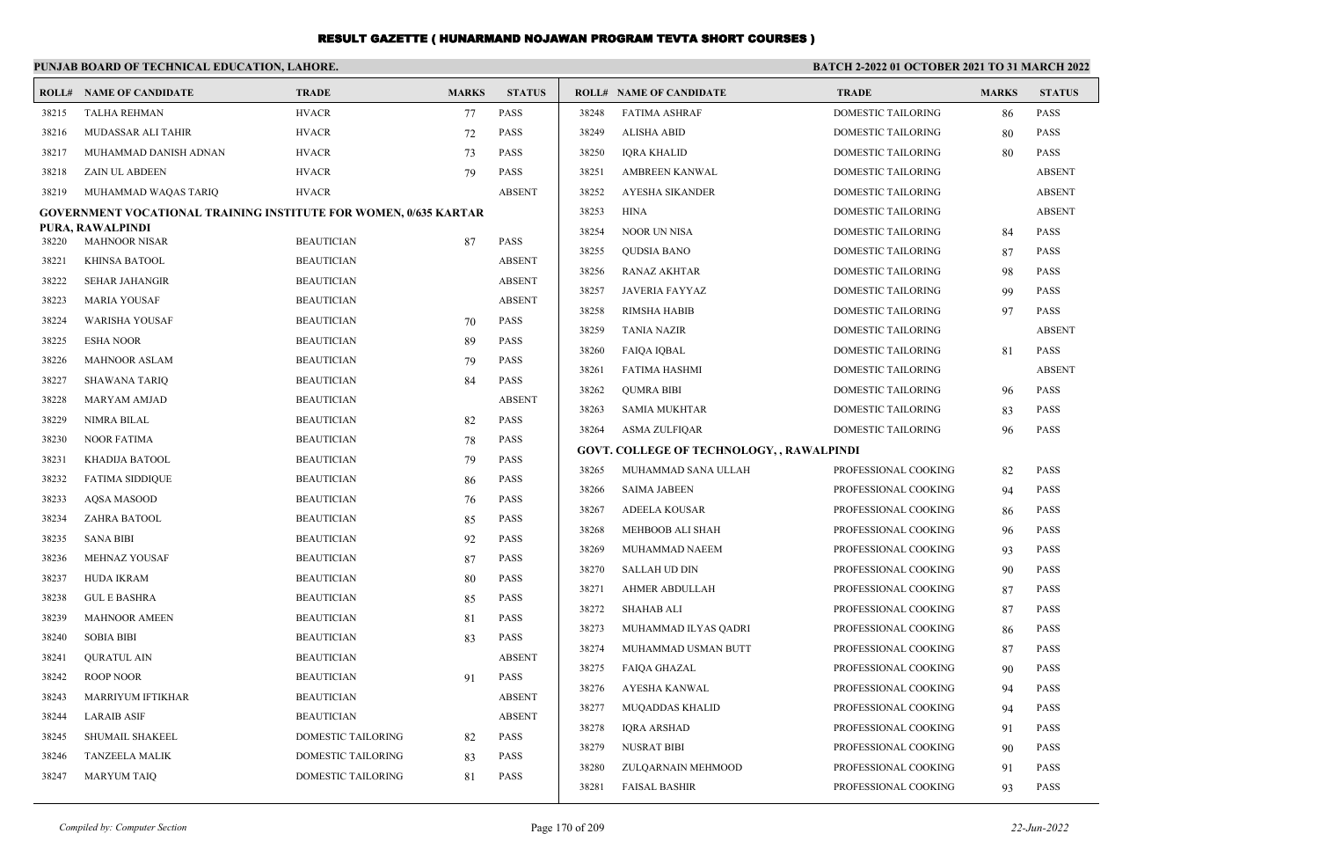|                | PUNJAB BOARD OF TECHNICAL EDUCATION, LAHORE.                            |                           |              |               |       |                                                  | BATCH 2-2022 01 OCTOBER 2021 TO 31 MARCH 2022 |              |               |
|----------------|-------------------------------------------------------------------------|---------------------------|--------------|---------------|-------|--------------------------------------------------|-----------------------------------------------|--------------|---------------|
|                | <b>ROLL# NAME OF CANDIDATE</b>                                          | <b>TRADE</b>              | <b>MARKS</b> | <b>STATUS</b> |       | <b>ROLL# NAME OF CANDIDATE</b>                   | <b>TRADE</b>                                  | <b>MARKS</b> | <b>STATUS</b> |
| 38215          | <b>TALHA REHMAN</b>                                                     | <b>HVACR</b>              | 77           | <b>PASS</b>   | 38248 | <b>FATIMA ASHRAF</b>                             | DOMESTIC TAILORING                            | 86           | <b>PASS</b>   |
| 38216          | MUDASSAR ALI TAHIR                                                      | <b>HVACR</b>              | 72           | <b>PASS</b>   | 38249 | <b>ALISHA ABID</b>                               | DOMESTIC TAILORING                            | 80           | <b>PASS</b>   |
| 38217          | MUHAMMAD DANISH ADNAN                                                   | <b>HVACR</b>              | 73           | <b>PASS</b>   | 38250 | <b>IORA KHALID</b>                               | <b>DOMESTIC TAILORING</b>                     | 80           | <b>PASS</b>   |
| 38218          | <b>ZAIN UL ABDEEN</b>                                                   | <b>HVACR</b>              | 79           | <b>PASS</b>   | 38251 | AMBREEN KANWAL                                   | <b>DOMESTIC TAILORING</b>                     |              | <b>ABSENT</b> |
| 38219          | MUHAMMAD WAQAS TARIQ                                                    | <b>HVACR</b>              |              | <b>ABSENT</b> | 38252 | <b>AYESHA SIKANDER</b>                           | DOMESTIC TAILORING                            |              | <b>ABSENT</b> |
|                | <b>GOVERNMENT VOCATIONAL TRAINING INSTITUTE FOR WOMEN, 0/635 KARTAR</b> |                           |              |               | 38253 | <b>HINA</b>                                      | DOMESTIC TAILORING                            |              | <b>ABSENT</b> |
| 38220          | PURA, RAWALPINDI<br><b>MAHNOOR NISAR</b>                                | <b>BEAUTICIAN</b>         |              | <b>PASS</b>   | 38254 | <b>NOOR UN NISA</b>                              | DOMESTIC TAILORING                            | 84           | <b>PASS</b>   |
|                |                                                                         | <b>BEAUTICIAN</b>         | 87           | <b>ABSENT</b> | 38255 | <b>QUDSIA BANO</b>                               | DOMESTIC TAILORING                            | 87           | <b>PASS</b>   |
| 38221<br>38222 | KHINSA BATOOL                                                           |                           |              | <b>ABSENT</b> | 38256 | <b>RANAZ AKHTAR</b>                              | DOMESTIC TAILORING                            | 98           | <b>PASS</b>   |
|                | <b>SEHAR JAHANGIR</b>                                                   | <b>BEAUTICIAN</b>         |              |               | 38257 | <b>JAVERIA FAYYAZ</b>                            | DOMESTIC TAILORING                            | 99           | <b>PASS</b>   |
| 38223          | <b>MARIA YOUSAF</b>                                                     | <b>BEAUTICIAN</b>         |              | <b>ABSENT</b> | 38258 | <b>RIMSHA HABIB</b>                              | DOMESTIC TAILORING                            | 97           | <b>PASS</b>   |
| 38224          | <b>WARISHA YOUSAF</b>                                                   | <b>BEAUTICIAN</b>         | 70           | <b>PASS</b>   | 38259 | <b>TANIA NAZIR</b>                               | DOMESTIC TAILORING                            |              | <b>ABSENT</b> |
| 38225          | <b>ESHA NOOR</b>                                                        | <b>BEAUTICIAN</b>         | 89           | <b>PASS</b>   | 38260 | <b>FAIQA IQBAL</b>                               | DOMESTIC TAILORING                            | 81           | <b>PASS</b>   |
| 38226          | <b>MAHNOOR ASLAM</b>                                                    | <b>BEAUTICIAN</b>         | 79           | <b>PASS</b>   | 38261 | <b>FATIMA HASHMI</b>                             | <b>DOMESTIC TAILORING</b>                     |              | <b>ABSENT</b> |
| 38227          | <b>SHAWANA TARIQ</b>                                                    | <b>BEAUTICIAN</b>         | 84           | <b>PASS</b>   | 38262 | <b>OUMRA BIBI</b>                                | <b>DOMESTIC TAILORING</b>                     | 96           | <b>PASS</b>   |
| 38228          | MARYAM AMJAD                                                            | <b>BEAUTICIAN</b>         |              | <b>ABSENT</b> | 38263 | <b>SAMIA MUKHTAR</b>                             | <b>DOMESTIC TAILORING</b>                     | 83           | <b>PASS</b>   |
| 38229          | <b>NIMRA BILAL</b>                                                      | <b>BEAUTICIAN</b>         | 82           | <b>PASS</b>   | 38264 | <b>ASMA ZULFIOAR</b>                             | <b>DOMESTIC TAILORING</b>                     | 96           | <b>PASS</b>   |
| 38230          | <b>NOOR FATIMA</b>                                                      | <b>BEAUTICIAN</b>         | 78           | <b>PASS</b>   |       | <b>GOVT. COLLEGE OF TECHNOLOGY, , RAWALPINDI</b> |                                               |              |               |
| 38231          | KHADIJA BATOOL                                                          | <b>BEAUTICIAN</b>         | 79           | <b>PASS</b>   | 38265 | MUHAMMAD SANA ULLAH                              | PROFESSIONAL COOKING                          | 82           | PASS          |
| 38232          | <b>FATIMA SIDDIQUE</b>                                                  | <b>BEAUTICIAN</b>         | 86           | <b>PASS</b>   | 38266 | <b>SAIMA JABEEN</b>                              | PROFESSIONAL COOKING                          | 94           | <b>PASS</b>   |
| 38233          | <b>AQSA MASOOD</b>                                                      | <b>BEAUTICIAN</b>         | 76           | <b>PASS</b>   | 38267 | ADEELA KOUSAR                                    | PROFESSIONAL COOKING                          | 86           | <b>PASS</b>   |
| 38234          | ZAHRA BATOOL                                                            | <b>BEAUTICIAN</b>         | 85           | <b>PASS</b>   | 38268 | MEHBOOB ALI SHAH                                 | PROFESSIONAL COOKING                          | 96           | <b>PASS</b>   |
| 38235          | <b>SANA BIBI</b>                                                        | <b>BEAUTICIAN</b>         | 92           | <b>PASS</b>   | 38269 | MUHAMMAD NAEEM                                   | PROFESSIONAL COOKING                          | 93           | <b>PASS</b>   |
| 38236          | <b>MEHNAZ YOUSAF</b>                                                    | <b>BEAUTICIAN</b>         | 87           | <b>PASS</b>   | 38270 | <b>SALLAH UD DIN</b>                             | PROFESSIONAL COOKING                          | 90           | <b>PASS</b>   |
| 38237          | <b>HUDA IKRAM</b>                                                       | <b>BEAUTICIAN</b>         | 80           | <b>PASS</b>   | 38271 | <b>AHMER ABDULLAH</b>                            | PROFESSIONAL COOKING                          | 87           | <b>PASS</b>   |
| 38238          | <b>GUL E BASHRA</b>                                                     | <b>BEAUTICIAN</b>         | 85           | <b>PASS</b>   | 38272 | <b>SHAHAB ALI</b>                                | PROFESSIONAL COOKING                          | 87           | <b>PASS</b>   |
| 38239          | <b>MAHNOOR AMEEN</b>                                                    | <b>BEAUTICIAN</b>         | 81           | <b>PASS</b>   | 38273 | MUHAMMAD ILYAS QADRI                             | PROFESSIONAL COOKING                          | 86           | <b>PASS</b>   |
| 38240          | <b>SOBIA BIBI</b>                                                       | <b>BEAUTICIAN</b>         | 83           | <b>PASS</b>   | 38274 | MUHAMMAD USMAN BUTT                              | PROFESSIONAL COOKING                          | 87           | <b>PASS</b>   |
| 38241          | <b>QURATUL AIN</b>                                                      | <b>BEAUTICIAN</b>         |              | <b>ABSENT</b> | 38275 | <b>FAIOA GHAZAL</b>                              | PROFESSIONAL COOKING                          | 90           | <b>PASS</b>   |
| 38242          | <b>ROOP NOOR</b>                                                        | <b>BEAUTICIAN</b>         | 91           | <b>PASS</b>   | 38276 | <b>AYESHA KANWAL</b>                             | PROFESSIONAL COOKING                          | 94           | <b>PASS</b>   |
| 38243          | MARRIYUM IFTIKHAR                                                       | <b>BEAUTICIAN</b>         |              | <b>ABSENT</b> | 38277 | <b>MUQADDAS KHALID</b>                           | PROFESSIONAL COOKING                          | 94           | PASS          |
| 38244          | <b>LARAIB ASIF</b>                                                      | <b>BEAUTICIAN</b>         |              | <b>ABSENT</b> | 38278 | <b>IQRA ARSHAD</b>                               | PROFESSIONAL COOKING                          | 91           | PASS          |
| 38245          | SHUMAIL SHAKEEL                                                         | DOMESTIC TAILORING        | 82           | <b>PASS</b>   | 38279 | <b>NUSRAT BIBI</b>                               | PROFESSIONAL COOKING                          | 90           | <b>PASS</b>   |
| 38246          | <b>TANZEELA MALIK</b>                                                   | DOMESTIC TAILORING        | 83           | <b>PASS</b>   | 38280 | ZULQARNAIN MEHMOOD                               | PROFESSIONAL COOKING                          | 91           | <b>PASS</b>   |
| 38247          | <b>MARYUM TAIQ</b>                                                      | <b>DOMESTIC TAILORING</b> | 81           | <b>PASS</b>   | 38281 | <b>FAISAL BASHIR</b>                             | PROFESSIONAL COOKING                          | 93           | <b>PASS</b>   |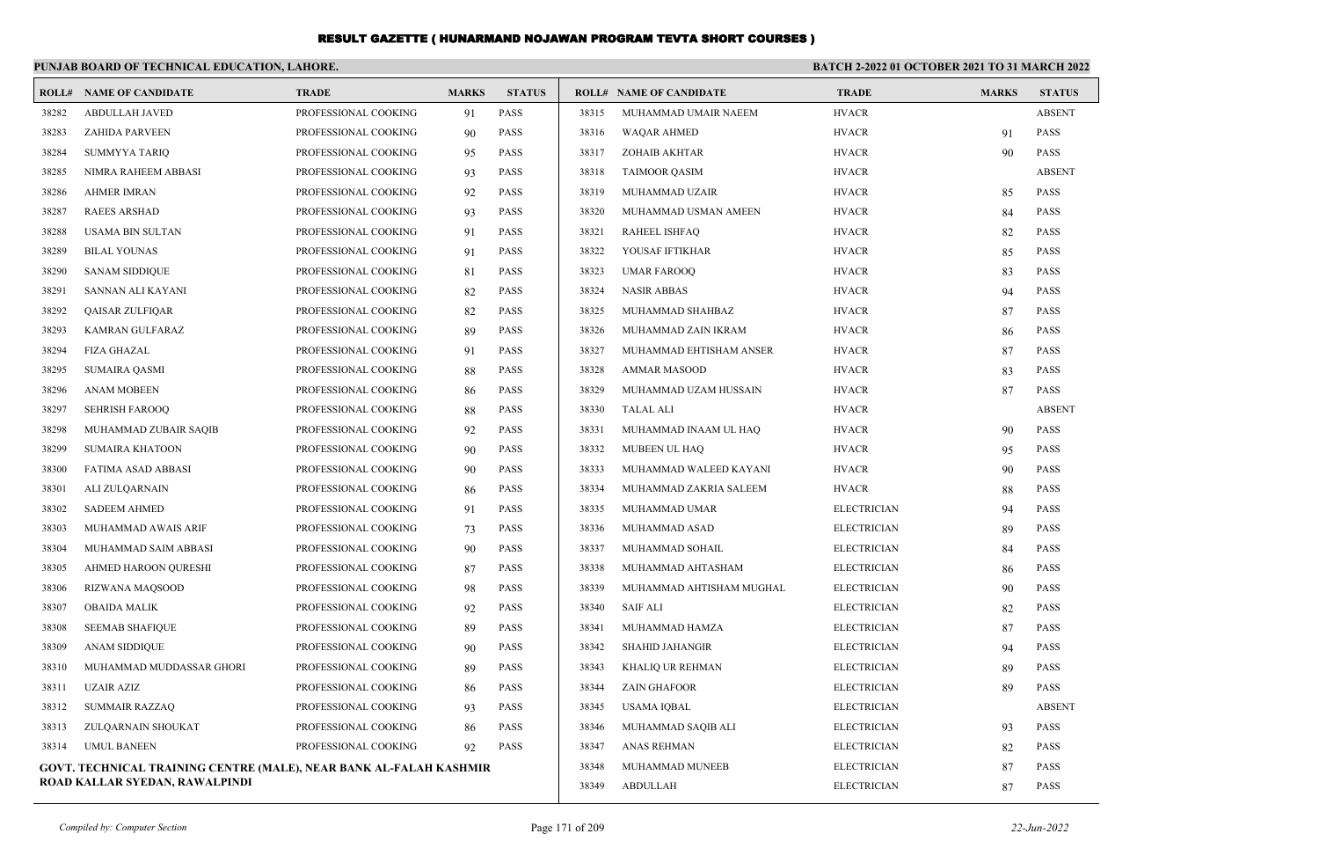|       | PUNJAB BOARD OF TECHNICAL EDUCATION, LAHORE.                       |                      |              |                 |                    | <b>BATCH 2-2022 01 OCTOBER 2021 TO 31 MARCH 2022</b> |                    |              |               |
|-------|--------------------------------------------------------------------|----------------------|--------------|-----------------|--------------------|------------------------------------------------------|--------------------|--------------|---------------|
|       | <b>ROLL# NAME OF CANDIDATE</b>                                     | <b>TRADE</b>         | <b>MARKS</b> | <b>STATUS</b>   |                    | <b>ROLL# NAME OF CANDIDATE</b>                       | <b>TRADE</b>       | <b>MARKS</b> | <b>STATUS</b> |
| 38282 | <b>ABDULLAH JAVED</b>                                              | PROFESSIONAL COOKING | 91           | <b>PASS</b>     | 38315              | MUHAMMAD UMAIR NAEEM                                 | <b>HVACR</b>       |              | <b>ABSENT</b> |
| 38283 | <b>ZAHIDA PARVEEN</b>                                              | PROFESSIONAL COOKING | 90           | <b>PASS</b>     | 38316              | <b>WAQAR AHMED</b>                                   | <b>HVACR</b>       | 91           | <b>PASS</b>   |
| 38284 | <b>SUMMYYA TARIQ</b>                                               | PROFESSIONAL COOKING | 95           | <b>PASS</b>     | 38317              | ZOHAIB AKHTAR                                        | <b>HVACR</b>       | 90           | <b>PASS</b>   |
| 38285 | NIMRA RAHEEM ABBASI                                                | PROFESSIONAL COOKING | 93           | <b>PASS</b>     | 38318              | <b>TAIMOOR QASIM</b>                                 | <b>HVACR</b>       |              | <b>ABSENT</b> |
| 38286 | <b>AHMER IMRAN</b>                                                 | PROFESSIONAL COOKING | 92           | <b>PASS</b>     | 38319              | MUHAMMAD UZAIR                                       | <b>HVACR</b>       | 85           | <b>PASS</b>   |
| 38287 | <b>RAEES ARSHAD</b>                                                | PROFESSIONAL COOKING | 93           | <b>PASS</b>     | 38320              | MUHAMMAD USMAN AMEEN                                 | <b>HVACR</b>       | 84           | <b>PASS</b>   |
| 38288 | <b>USAMA BIN SULTAN</b>                                            | PROFESSIONAL COOKING | 91           | <b>PASS</b>     | 38321              | <b>RAHEEL ISHFAQ</b>                                 | <b>HVACR</b>       | 82           | <b>PASS</b>   |
| 38289 | <b>BILAL YOUNAS</b>                                                | PROFESSIONAL COOKING | 91           | <b>PASS</b>     | 38322              | YOUSAF IFTIKHAR                                      | <b>HVACR</b>       | 85           | <b>PASS</b>   |
| 38290 | <b>SANAM SIDDIQUE</b>                                              | PROFESSIONAL COOKING | 81           | <b>PASS</b>     | 38323              | <b>UMAR FAROOQ</b>                                   | <b>HVACR</b>       | 83           | <b>PASS</b>   |
| 38291 | SANNAN ALI KAYANI                                                  | PROFESSIONAL COOKING | 82           | <b>PASS</b>     | 38324              | <b>NASIR ABBAS</b>                                   | <b>HVACR</b>       | 94           | <b>PASS</b>   |
| 38292 | QAISAR ZULFIQAR                                                    | PROFESSIONAL COOKING | 82           | <b>PASS</b>     | 38325              | MUHAMMAD SHAHBAZ                                     | <b>HVACR</b>       | 87           | <b>PASS</b>   |
| 38293 | KAMRAN GULFARAZ                                                    | PROFESSIONAL COOKING | 89           | <b>PASS</b>     | 38326              | MUHAMMAD ZAIN IKRAM                                  | <b>HVACR</b>       | 86           | <b>PASS</b>   |
| 38294 | <b>FIZA GHAZAL</b>                                                 | PROFESSIONAL COOKING | 91           | PASS            | 38327              | MUHAMMAD EHTISHAM ANSER                              | <b>HVACR</b>       | 87           | <b>PASS</b>   |
| 38295 | <b>SUMAIRA QASMI</b>                                               | PROFESSIONAL COOKING | 88           | <b>PASS</b>     | 38328              | <b>AMMAR MASOOD</b>                                  | <b>HVACR</b>       | 83           | <b>PASS</b>   |
| 38296 | <b>ANAM MOBEEN</b>                                                 | PROFESSIONAL COOKING | 86           | <b>PASS</b>     | 38329              | MUHAMMAD UZAM HUSSAIN                                | <b>HVACR</b>       | 87           | <b>PASS</b>   |
| 38297 | <b>SEHRISH FAROOQ</b>                                              | PROFESSIONAL COOKING | 88           | PASS            | 38330              | <b>TALAL ALI</b>                                     | <b>HVACR</b>       |              | <b>ABSENT</b> |
| 38298 | MUHAMMAD ZUBAIR SAQIB                                              | PROFESSIONAL COOKING | 92           | <b>PASS</b>     | 38331              | MUHAMMAD INAAM UL HAQ                                | <b>HVACR</b>       | 90           | <b>PASS</b>   |
| 38299 | <b>SUMAIRA KHATOON</b>                                             | PROFESSIONAL COOKING | 90           | <b>PASS</b>     | 38332              | MUBEEN UL HAO                                        | <b>HVACR</b>       | 95           | <b>PASS</b>   |
| 38300 | FATIMA ASAD ABBASI                                                 | PROFESSIONAL COOKING | 90           | <b>PASS</b>     | 38333              | MUHAMMAD WALEED KAYANI                               | <b>HVACR</b>       | 90           | <b>PASS</b>   |
| 38301 | ALI ZULQARNAIN                                                     | PROFESSIONAL COOKING | 86           | <b>PASS</b>     | 38334              | MUHAMMAD ZAKRIA SALEEM                               | <b>HVACR</b>       | 88           | <b>PASS</b>   |
| 38302 | <b>SADEEM AHMED</b>                                                | PROFESSIONAL COOKING | 91           | <b>PASS</b>     | 38335              | MUHAMMAD UMAR                                        | <b>ELECTRICIAN</b> | 94           | <b>PASS</b>   |
| 38303 | MUHAMMAD AWAIS ARIF                                                | PROFESSIONAL COOKING | 73           | <b>PASS</b>     | 38336              | MUHAMMAD ASAD                                        | <b>ELECTRICIAN</b> | 89           | <b>PASS</b>   |
| 38304 | MUHAMMAD SAIM ABBASI                                               | PROFESSIONAL COOKING | 90           | <b>PASS</b>     | 38337              | MUHAMMAD SOHAIL                                      | <b>ELECTRICIAN</b> | 84           | <b>PASS</b>   |
| 38305 | AHMED HAROON QURESHI                                               | PROFESSIONAL COOKING | 87           | <b>PASS</b>     | 38338              | MUHAMMAD AHTASHAM                                    | <b>ELECTRICIAN</b> | 86           | <b>PASS</b>   |
| 38306 | RIZWANA MAQSOOD                                                    | PROFESSIONAL COOKING | 98           | PASS            | 38339              | MUHAMMAD AHTISHAM MUGHAL                             | <b>ELECTRICIAN</b> | 90           | <b>PASS</b>   |
| 38307 | <b>OBAIDA MALIK</b>                                                | PROFESSIONAL COOKING | 92           | <b>PASS</b>     | 38340              | <b>SAIF ALI</b>                                      | <b>ELECTRICIAN</b> | 82           | <b>PASS</b>   |
| 38308 | <b>SEEMAB SHAFIQUE</b>                                             | PROFESSIONAL COOKING | 89           | <b>PASS</b>     | 38341              | MUHAMMAD HAMZA                                       | <b>ELECTRICIAN</b> | 87           | <b>PASS</b>   |
| 38309 | <b>ANAM SIDDIQUE</b>                                               | PROFESSIONAL COOKING | 90           | PASS            | 38342              | <b>SHAHID JAHANGIR</b>                               | <b>ELECTRICIAN</b> | 94           | <b>PASS</b>   |
| 38310 | MUHAMMAD MUDDASSAR GHORI                                           | PROFESSIONAL COOKING | 89           | <b>PASS</b>     | 38343              | KHALIQ UR REHMAN                                     | <b>ELECTRICIAN</b> | 89           | <b>PASS</b>   |
| 38311 | <b>UZAIR AZIZ</b>                                                  | PROFESSIONAL COOKING | 86           | <b>PASS</b>     | 38344              | <b>ZAIN GHAFOOR</b>                                  | <b>ELECTRICIAN</b> | 89           | <b>PASS</b>   |
| 38312 | <b>SUMMAIR RAZZAQ</b>                                              | PROFESSIONAL COOKING | 93           | <b>PASS</b>     | 38345              | USAMA IQBAL                                          | <b>ELECTRICIAN</b> |              | <b>ABSENT</b> |
| 38313 | ZULQARNAIN SHOUKAT                                                 | PROFESSIONAL COOKING | 86           | <b>PASS</b>     | 38346              | MUHAMMAD SAQIB ALI                                   | <b>ELECTRICIAN</b> | 93           | <b>PASS</b>   |
| 38314 | <b>UMUL BANEEN</b>                                                 | PROFESSIONAL COOKING | 92           | <b>PASS</b>     | 38347              | <b>ANAS REHMAN</b>                                   | <b>ELECTRICIAN</b> | 82           | <b>PASS</b>   |
|       | GOVT. TECHNICAL TRAINING CENTRE (MALE), NEAR BANK AL-FALAH KASHMIR |                      | 38348        | MUHAMMAD MUNEEB | <b>ELECTRICIAN</b> | 87                                                   | <b>PASS</b>        |              |               |
|       | ROAD KALLAR SYEDAN, RAWALPINDI                                     |                      |              | 38349           | <b>ABDULLAH</b>    | <b>ELECTRICIAN</b>                                   | 87                 | <b>PASS</b>  |               |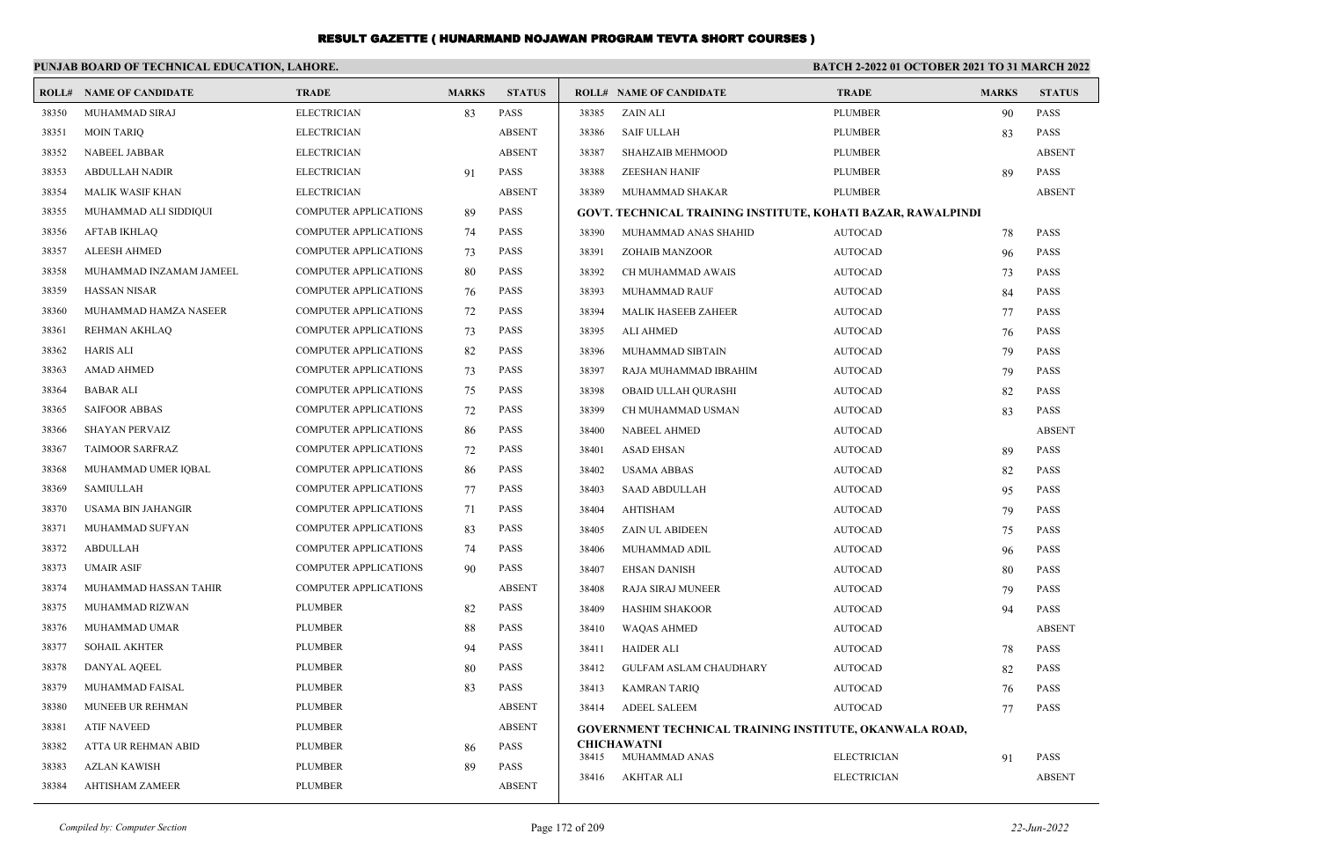|       | PUNJAB BOARD OF TECHNICAL EDUCATION, LAHORE. |                              |              |               |       | <b>BATCH 2-2022 01 OCTOBER 2021 TO 31 MARCH 2022</b>           |                    |              |               |
|-------|----------------------------------------------|------------------------------|--------------|---------------|-------|----------------------------------------------------------------|--------------------|--------------|---------------|
|       | <b>ROLL# NAME OF CANDIDATE</b>               | <b>TRADE</b>                 | <b>MARKS</b> | <b>STATUS</b> |       | <b>ROLL# NAME OF CANDIDATE</b>                                 | <b>TRADE</b>       | <b>MARKS</b> | <b>STATUS</b> |
| 38350 | MUHAMMAD SIRAJ                               | <b>ELECTRICIAN</b>           | 83           | <b>PASS</b>   | 38385 | ZAIN ALI                                                       | <b>PLUMBER</b>     | 90           | <b>PASS</b>   |
| 38351 | <b>MOIN TARIO</b>                            | <b>ELECTRICIAN</b>           |              | <b>ABSENT</b> | 38386 | <b>SAIF ULLAH</b>                                              | <b>PLUMBER</b>     | 83           | <b>PASS</b>   |
| 38352 | NABEEL JABBAR                                | <b>ELECTRICIAN</b>           |              | <b>ABSENT</b> | 38387 | SHAHZAIB MEHMOOD                                               | <b>PLUMBER</b>     |              | <b>ABSENT</b> |
| 38353 | <b>ABDULLAH NADIR</b>                        | <b>ELECTRICIAN</b>           | 91           | <b>PASS</b>   | 38388 | <b>ZEESHAN HANIF</b>                                           | <b>PLUMBER</b>     | 89           | <b>PASS</b>   |
| 38354 | <b>MALIK WASIF KHAN</b>                      | <b>ELECTRICIAN</b>           |              | <b>ABSENT</b> | 38389 | MUHAMMAD SHAKAR                                                | <b>PLUMBER</b>     |              | <b>ABSENT</b> |
| 38355 | MUHAMMAD ALI SIDDIQUI                        | <b>COMPUTER APPLICATIONS</b> | 89           | <b>PASS</b>   |       | GOVT. TECHNICAL TRAINING INSTITUTE, KOHATI BAZAR, RAWALPINDI   |                    |              |               |
| 38356 | <b>AFTAB IKHLAQ</b>                          | <b>COMPUTER APPLICATIONS</b> | 74           | <b>PASS</b>   | 38390 | MUHAMMAD ANAS SHAHID                                           | <b>AUTOCAD</b>     | 78           | <b>PASS</b>   |
| 38357 | <b>ALEESH AHMED</b>                          | <b>COMPUTER APPLICATIONS</b> | 73           | <b>PASS</b>   | 38391 | ZOHAIB MANZOOR                                                 | <b>AUTOCAD</b>     | 96           | <b>PASS</b>   |
| 38358 | MUHAMMAD INZAMAM JAMEEL                      | <b>COMPUTER APPLICATIONS</b> | 80           | <b>PASS</b>   | 38392 | CH MUHAMMAD AWAIS                                              | <b>AUTOCAD</b>     | 73           | <b>PASS</b>   |
| 38359 | <b>HASSAN NISAR</b>                          | <b>COMPUTER APPLICATIONS</b> | 76           | <b>PASS</b>   | 38393 | MUHAMMAD RAUF                                                  | <b>AUTOCAD</b>     | 84           | <b>PASS</b>   |
| 38360 | MUHAMMAD HAMZA NASEER                        | COMPUTER APPLICATIONS        | 72           | <b>PASS</b>   | 38394 | <b>MALIK HASEEB ZAHEER</b>                                     | <b>AUTOCAD</b>     | 77           | <b>PASS</b>   |
| 38361 | REHMAN AKHLAQ                                | <b>COMPUTER APPLICATIONS</b> | 73           | <b>PASS</b>   | 38395 | ALI AHMED                                                      | <b>AUTOCAD</b>     | 76           | <b>PASS</b>   |
| 38362 | <b>HARIS ALI</b>                             | <b>COMPUTER APPLICATIONS</b> | 82           | <b>PASS</b>   | 38396 | MUHAMMAD SIBTAIN                                               | <b>AUTOCAD</b>     | 79           | <b>PASS</b>   |
| 38363 | <b>AMAD AHMED</b>                            | <b>COMPUTER APPLICATIONS</b> | 73           | <b>PASS</b>   | 38397 | RAJA MUHAMMAD IBRAHIM                                          | <b>AUTOCAD</b>     | 79           | <b>PASS</b>   |
| 38364 | <b>BABAR ALI</b>                             | <b>COMPUTER APPLICATIONS</b> | 75           | <b>PASS</b>   | 38398 | OBAID ULLAH QURASHI                                            | <b>AUTOCAD</b>     | 82           | <b>PASS</b>   |
| 38365 | <b>SAIFOOR ABBAS</b>                         | <b>COMPUTER APPLICATIONS</b> | 72           | PASS          | 38399 | CH MUHAMMAD USMAN                                              | <b>AUTOCAD</b>     | 83           | <b>PASS</b>   |
| 38366 | <b>SHAYAN PERVAIZ</b>                        | <b>COMPUTER APPLICATIONS</b> | 86           | PASS          | 38400 | <b>NABEEL AHMED</b>                                            | <b>AUTOCAD</b>     |              | <b>ABSENT</b> |
| 38367 | <b>TAIMOOR SARFRAZ</b>                       | <b>COMPUTER APPLICATIONS</b> | 72           | <b>PASS</b>   | 38401 | ASAD EHSAN                                                     | <b>AUTOCAD</b>     | 89           | <b>PASS</b>   |
| 38368 | MUHAMMAD UMER IQBAL                          | <b>COMPUTER APPLICATIONS</b> | 86           | <b>PASS</b>   | 38402 | <b>USAMA ABBAS</b>                                             | <b>AUTOCAD</b>     | 82           | <b>PASS</b>   |
| 38369 | <b>SAMIULLAH</b>                             | <b>COMPUTER APPLICATIONS</b> | 77           | PASS          | 38403 | SAAD ABDULLAH                                                  | <b>AUTOCAD</b>     | 95           | <b>PASS</b>   |
| 38370 | USAMA BIN JAHANGIR                           | <b>COMPUTER APPLICATIONS</b> | 71           | <b>PASS</b>   | 38404 | AHTISHAM                                                       | <b>AUTOCAD</b>     | 79           | <b>PASS</b>   |
| 38371 | MUHAMMAD SUFYAN                              | <b>COMPUTER APPLICATIONS</b> | 83           | <b>PASS</b>   | 38405 | <b>ZAIN UL ABIDEEN</b>                                         | <b>AUTOCAD</b>     | 75           | <b>PASS</b>   |
| 38372 | <b>ABDULLAH</b>                              | <b>COMPUTER APPLICATIONS</b> | 74           | <b>PASS</b>   | 38406 | MUHAMMAD ADIL                                                  | <b>AUTOCAD</b>     | 96           | <b>PASS</b>   |
| 38373 | UMAIR ASIF                                   | <b>COMPUTER APPLICATIONS</b> | 90           | PASS          | 38407 | <b>EHSAN DANISH</b>                                            | <b>AUTOCAD</b>     | 80           | <b>PASS</b>   |
| 38374 | MUHAMMAD HASSAN TAHIR                        | <b>COMPUTER APPLICATIONS</b> |              | <b>ABSENT</b> | 38408 | <b>RAJA SIRAJ MUNEER</b>                                       | <b>AUTOCAD</b>     | 79           | <b>PASS</b>   |
| 38375 | MUHAMMAD RIZWAN                              | <b>PLUMBER</b>               | 82           | <b>PASS</b>   | 38409 | <b>HASHIM SHAKOOR</b>                                          | <b>AUTOCAD</b>     | 94           | <b>PASS</b>   |
| 38376 | MUHAMMAD UMAR                                | <b>PLUMBER</b>               | 88           | <b>PASS</b>   | 38410 | <b>WAQAS AHMED</b>                                             | <b>AUTOCAD</b>     |              | <b>ABSENT</b> |
| 38377 | <b>SOHAIL AKHTER</b>                         | PLUMBER                      | 94           | <b>PASS</b>   | 38411 | <b>HAIDER ALI</b>                                              | <b>AUTOCAD</b>     | 78           | <b>PASS</b>   |
| 38378 | <b>DANYAL AQEEL</b>                          | <b>PLUMBER</b>               | 80           | <b>PASS</b>   | 38412 | <b>GULFAM ASLAM CHAUDHARY</b>                                  | <b>AUTOCAD</b>     | 82           | <b>PASS</b>   |
| 38379 | MUHAMMAD FAISAL                              | <b>PLUMBER</b>               | 83           | <b>PASS</b>   | 38413 | <b>KAMRAN TARIQ</b>                                            | <b>AUTOCAD</b>     | 76           | <b>PASS</b>   |
| 38380 | MUNEEB UR REHMAN                             | <b>PLUMBER</b>               |              | <b>ABSENT</b> | 38414 | <b>ADEEL SALEEM</b>                                            | <b>AUTOCAD</b>     | 77           | <b>PASS</b>   |
| 38381 | <b>ATIF NAVEED</b>                           | <b>PLUMBER</b>               |              | <b>ABSENT</b> |       | <b>GOVERNMENT TECHNICAL TRAINING INSTITUTE, OKANWALA ROAD,</b> |                    |              |               |
| 38382 | ATTA UR REHMAN ABID                          | <b>PLUMBER</b>               | 86           | <b>PASS</b>   |       | <b>CHICHAWATNI</b>                                             |                    |              |               |
| 38383 | <b>AZLAN KAWISH</b>                          | <b>PLUMBER</b>               | 89           | <b>PASS</b>   | 38415 | MUHAMMAD ANAS                                                  | <b>ELECTRICIAN</b> | 91           | <b>PASS</b>   |
| 38384 | <b>AHTISHAM ZAMEER</b>                       | <b>PLUMBER</b>               |              | <b>ABSENT</b> | 38416 | AKHTAR ALI                                                     | <b>ELECTRICIAN</b> |              | <b>ABSENT</b> |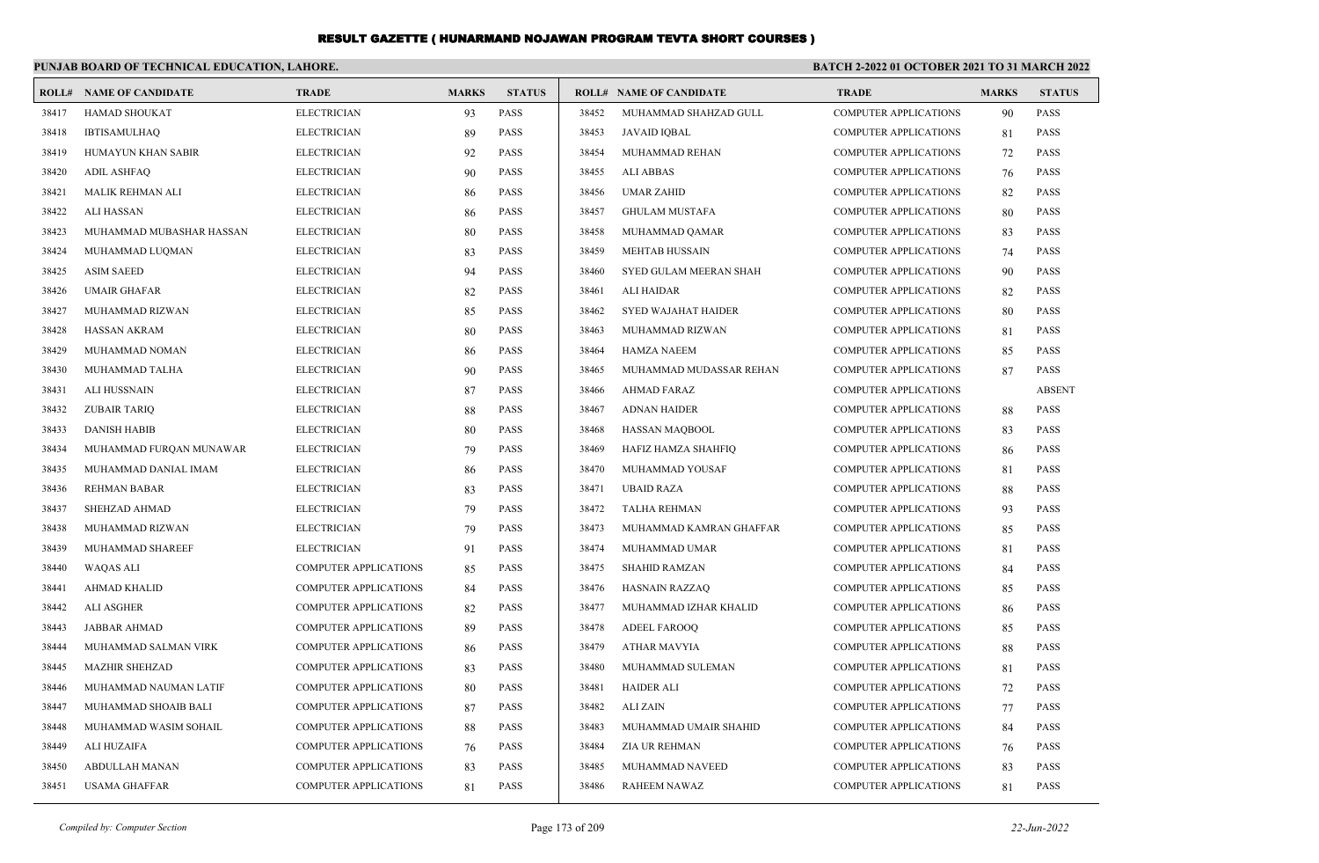|       | PUNJAB BOARD OF TECHNICAL EDUCATION, LAHORE. |                              |              |               |       |                                | BATCH 2-2022 01 OCTOBER 2021 TO 31 MARCH 2022 |              |               |  |  |
|-------|----------------------------------------------|------------------------------|--------------|---------------|-------|--------------------------------|-----------------------------------------------|--------------|---------------|--|--|
| ROLL# | <b>NAME OF CANDIDATE</b>                     | <b>TRADE</b>                 | <b>MARKS</b> | <b>STATUS</b> |       | <b>ROLL# NAME OF CANDIDATE</b> | <b>TRADE</b>                                  | <b>MARKS</b> | <b>STATUS</b> |  |  |
| 38417 | <b>HAMAD SHOUKAT</b>                         | <b>ELECTRICIAN</b>           | 93           | PASS          | 38452 | MUHAMMAD SHAHZAD GULL          | <b>COMPUTER APPLICATIONS</b>                  | 90           | <b>PASS</b>   |  |  |
| 38418 | <b>IBTISAMULHAQ</b>                          | <b>ELECTRICIAN</b>           | 89           | <b>PASS</b>   | 38453 | <b>JAVAID IOBAL</b>            | <b>COMPUTER APPLICATIONS</b>                  | 81           | <b>PASS</b>   |  |  |
| 38419 | HUMAYUN KHAN SABIR                           | <b>ELECTRICIAN</b>           | 92           | <b>PASS</b>   | 38454 | MUHAMMAD REHAN                 | <b>COMPUTER APPLICATIONS</b>                  | 72           | <b>PASS</b>   |  |  |
| 38420 | <b>ADIL ASHFAQ</b>                           | <b>ELECTRICIAN</b>           | 90           | <b>PASS</b>   | 38455 | <b>ALI ABBAS</b>               | <b>COMPUTER APPLICATIONS</b>                  | 76           | <b>PASS</b>   |  |  |
| 38421 | MALIK REHMAN ALI                             | <b>ELECTRICIAN</b>           | 86           | <b>PASS</b>   | 38456 | <b>UMAR ZAHID</b>              | <b>COMPUTER APPLICATIONS</b>                  | 82           | <b>PASS</b>   |  |  |
| 38422 | <b>ALI HASSAN</b>                            | <b>ELECTRICIAN</b>           | 86           | <b>PASS</b>   | 38457 | <b>GHULAM MUSTAFA</b>          | <b>COMPUTER APPLICATIONS</b>                  | 80           | <b>PASS</b>   |  |  |
| 38423 | MUHAMMAD MUBASHAR HASSAN                     | <b>ELECTRICIAN</b>           | 80           | <b>PASS</b>   | 38458 | MUHAMMAD QAMAR                 | <b>COMPUTER APPLICATIONS</b>                  | 83           | <b>PASS</b>   |  |  |
| 38424 | MUHAMMAD LUQMAN                              | <b>ELECTRICIAN</b>           | 83           | <b>PASS</b>   | 38459 | <b>MEHTAB HUSSAIN</b>          | <b>COMPUTER APPLICATIONS</b>                  | 74           | <b>PASS</b>   |  |  |
| 38425 | <b>ASIM SAEED</b>                            | <b>ELECTRICIAN</b>           | 94           | <b>PASS</b>   | 38460 | SYED GULAM MEERAN SHAH         | <b>COMPUTER APPLICATIONS</b>                  | 90           | <b>PASS</b>   |  |  |
| 38426 | <b>UMAIR GHAFAR</b>                          | <b>ELECTRICIAN</b>           | 82           | <b>PASS</b>   | 38461 | ALI HAIDAR                     | <b>COMPUTER APPLICATIONS</b>                  | 82           | <b>PASS</b>   |  |  |
| 38427 | MUHAMMAD RIZWAN                              | <b>ELECTRICIAN</b>           | 85           | <b>PASS</b>   | 38462 | <b>SYED WAJAHAT HAIDER</b>     | <b>COMPUTER APPLICATIONS</b>                  | 80           | <b>PASS</b>   |  |  |
| 38428 | <b>HASSAN AKRAM</b>                          | <b>ELECTRICIAN</b>           | 80           | <b>PASS</b>   | 38463 | MUHAMMAD RIZWAN                | <b>COMPUTER APPLICATIONS</b>                  | 81           | <b>PASS</b>   |  |  |
| 38429 | MUHAMMAD NOMAN                               | <b>ELECTRICIAN</b>           | 86           | <b>PASS</b>   | 38464 | <b>HAMZA NAEEM</b>             | <b>COMPUTER APPLICATIONS</b>                  | 85           | PASS          |  |  |
| 38430 | MUHAMMAD TALHA                               | <b>ELECTRICIAN</b>           | 90           | <b>PASS</b>   | 38465 | MUHAMMAD MUDASSAR REHAN        | <b>COMPUTER APPLICATIONS</b>                  | 87           | <b>PASS</b>   |  |  |
| 38431 | <b>ALI HUSSNAIN</b>                          | <b>ELECTRICIAN</b>           | 87           | <b>PASS</b>   | 38466 | <b>AHMAD FARAZ</b>             | <b>COMPUTER APPLICATIONS</b>                  |              | <b>ABSENT</b> |  |  |
| 38432 | <b>ZUBAIR TARIQ</b>                          | <b>ELECTRICIAN</b>           | 88           | <b>PASS</b>   | 38467 | <b>ADNAN HAIDER</b>            | <b>COMPUTER APPLICATIONS</b>                  | 88           | <b>PASS</b>   |  |  |
| 38433 | <b>DANISH HABIB</b>                          | <b>ELECTRICIAN</b>           | 80           | <b>PASS</b>   | 38468 | <b>HASSAN MAQBOOL</b>          | COMPUTER APPLICATIONS                         | 83           | <b>PASS</b>   |  |  |
| 38434 | MUHAMMAD FURQAN MUNAWAR                      | <b>ELECTRICIAN</b>           | 79           | <b>PASS</b>   | 38469 | HAFIZ HAMZA SHAHFIQ            | <b>COMPUTER APPLICATIONS</b>                  | 86           | <b>PASS</b>   |  |  |
| 38435 | MUHAMMAD DANIAL IMAM                         | <b>ELECTRICIAN</b>           | 86           | <b>PASS</b>   | 38470 | MUHAMMAD YOUSAF                | <b>COMPUTER APPLICATIONS</b>                  | 81           | <b>PASS</b>   |  |  |
| 38436 | <b>REHMAN BABAR</b>                          | <b>ELECTRICIAN</b>           | 83           | <b>PASS</b>   | 38471 | <b>UBAID RAZA</b>              | <b>COMPUTER APPLICATIONS</b>                  | 88           | <b>PASS</b>   |  |  |
| 38437 | SHEHZAD AHMAD                                | <b>ELECTRICIAN</b>           | 79           | <b>PASS</b>   | 38472 | <b>TALHA REHMAN</b>            | <b>COMPUTER APPLICATIONS</b>                  | 93           | <b>PASS</b>   |  |  |
| 38438 | MUHAMMAD RIZWAN                              | <b>ELECTRICIAN</b>           | 79           | <b>PASS</b>   | 38473 | MUHAMMAD KAMRAN GHAFFAR        | <b>COMPUTER APPLICATIONS</b>                  | 85           | <b>PASS</b>   |  |  |
| 38439 | MUHAMMAD SHAREEF                             | <b>ELECTRICIAN</b>           | 91           | <b>PASS</b>   | 38474 | MUHAMMAD UMAR                  | <b>COMPUTER APPLICATIONS</b>                  | 81           | <b>PASS</b>   |  |  |
| 38440 | WAQAS ALI                                    | <b>COMPUTER APPLICATIONS</b> | 85           | <b>PASS</b>   | 38475 | <b>SHAHID RAMZAN</b>           | <b>COMPUTER APPLICATIONS</b>                  | 84           | <b>PASS</b>   |  |  |
| 38441 | <b>AHMAD KHALID</b>                          | COMPUTER APPLICATIONS        | 84           | <b>PASS</b>   | 38476 | <b>HASNAIN RAZZAQ</b>          | <b>COMPUTER APPLICATIONS</b>                  | 85           | PASS          |  |  |
| 38442 | <b>ALI ASGHER</b>                            | <b>COMPUTER APPLICATIONS</b> | 82           | <b>PASS</b>   | 38477 | MUHAMMAD IZHAR KHALID          | <b>COMPUTER APPLICATIONS</b>                  | 86           | PASS          |  |  |
| 38443 | <b>JABBAR AHMAD</b>                          | COMPUTER APPLICATIONS        | 89           | <b>PASS</b>   | 38478 | <b>ADEEL FAROOQ</b>            | <b>COMPUTER APPLICATIONS</b>                  | 85           | <b>PASS</b>   |  |  |
| 38444 | MUHAMMAD SALMAN VIRK                         | <b>COMPUTER APPLICATIONS</b> | 86           | <b>PASS</b>   | 38479 | <b>ATHAR MAVYIA</b>            | <b>COMPUTER APPLICATIONS</b>                  | 88           | <b>PASS</b>   |  |  |
| 38445 | <b>MAZHIR SHEHZAD</b>                        | <b>COMPUTER APPLICATIONS</b> | 83           | <b>PASS</b>   | 38480 | MUHAMMAD SULEMAN               | <b>COMPUTER APPLICATIONS</b>                  | 81           | PASS          |  |  |
| 38446 | MUHAMMAD NAUMAN LATIF                        | COMPUTER APPLICATIONS        | 80           | <b>PASS</b>   | 38481 | <b>HAIDER ALI</b>              | <b>COMPUTER APPLICATIONS</b>                  | 72           | PASS          |  |  |
| 38447 | MUHAMMAD SHOAIB BALI                         | <b>COMPUTER APPLICATIONS</b> | 87           | PASS          | 38482 | ALI ZAIN                       | <b>COMPUTER APPLICATIONS</b>                  | 77           | <b>PASS</b>   |  |  |
| 38448 | MUHAMMAD WASIM SOHAIL                        | <b>COMPUTER APPLICATIONS</b> | 88           | <b>PASS</b>   | 38483 | MUHAMMAD UMAIR SHAHID          | <b>COMPUTER APPLICATIONS</b>                  | 84           | <b>PASS</b>   |  |  |
| 38449 | ALI HUZAIFA                                  | <b>COMPUTER APPLICATIONS</b> | 76           | <b>PASS</b>   | 38484 | <b>ZIA UR REHMAN</b>           | <b>COMPUTER APPLICATIONS</b>                  | 76           | <b>PASS</b>   |  |  |
| 38450 | ABDULLAH MANAN                               | <b>COMPUTER APPLICATIONS</b> | 83           | PASS          | 38485 | MUHAMMAD NAVEED                | <b>COMPUTER APPLICATIONS</b>                  | 83           | <b>PASS</b>   |  |  |
| 38451 | <b>USAMA GHAFFAR</b>                         | <b>COMPUTER APPLICATIONS</b> | 81           | <b>PASS</b>   | 38486 | <b>RAHEEM NAWAZ</b>            | <b>COMPUTER APPLICATIONS</b>                  | 81           | <b>PASS</b>   |  |  |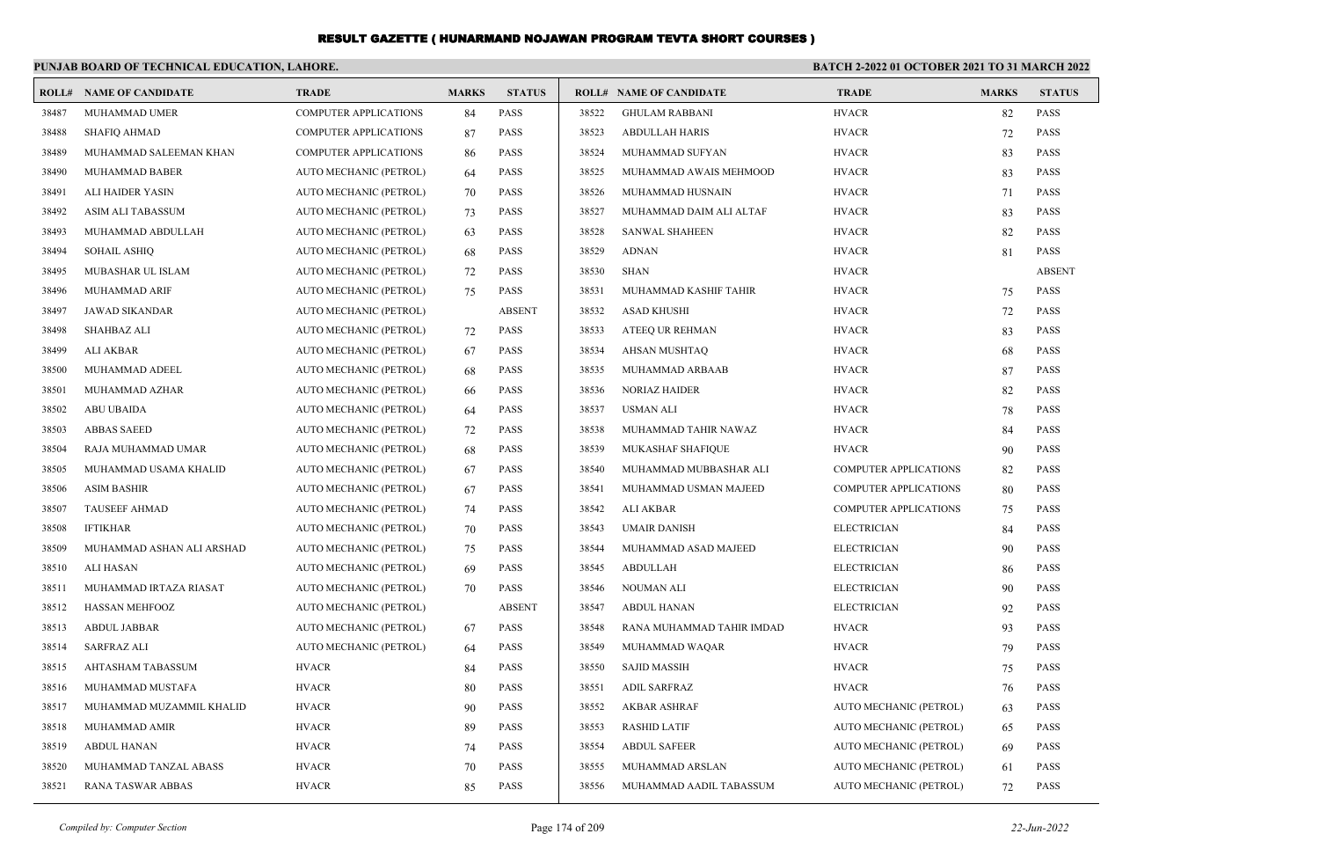|       | PUNJAB BOARD OF TECHNICAL EDUCATION, LAHORE. |                              |              |               | <b>BATCH 2-2022 01 OCTOBER 2021 TO 31 MARCH 2022</b> |                                |                              |              |               |
|-------|----------------------------------------------|------------------------------|--------------|---------------|------------------------------------------------------|--------------------------------|------------------------------|--------------|---------------|
|       | <b>ROLL# NAME OF CANDIDATE</b>               | <b>TRADE</b>                 | <b>MARKS</b> | <b>STATUS</b> |                                                      | <b>ROLL# NAME OF CANDIDATE</b> | <b>TRADE</b>                 | <b>MARKS</b> | <b>STATUS</b> |
| 38487 | MUHAMMAD UMER                                | <b>COMPUTER APPLICATIONS</b> | 84           | <b>PASS</b>   | 38522                                                | <b>GHULAM RABBANI</b>          | <b>HVACR</b>                 | 82           | <b>PASS</b>   |
| 38488 | <b>SHAFIO AHMAD</b>                          | <b>COMPUTER APPLICATIONS</b> | 87           | PASS          | 38523                                                | <b>ABDULLAH HARIS</b>          | <b>HVACR</b>                 | 72           | <b>PASS</b>   |
| 38489 | MUHAMMAD SALEEMAN KHAN                       | <b>COMPUTER APPLICATIONS</b> | 86           | <b>PASS</b>   | 38524                                                | MUHAMMAD SUFYAN                | <b>HVACR</b>                 | 83           | <b>PASS</b>   |
| 38490 | MUHAMMAD BABER                               | AUTO MECHANIC (PETROL)       | 64           | <b>PASS</b>   | 38525                                                | MUHAMMAD AWAIS MEHMOOD         | <b>HVACR</b>                 | 83           | <b>PASS</b>   |
| 38491 | ALI HAIDER YASIN                             | AUTO MECHANIC (PETROL)       | 70           | <b>PASS</b>   | 38526                                                | MUHAMMAD HUSNAIN               | <b>HVACR</b>                 | 71           | <b>PASS</b>   |
| 38492 | ASIM ALI TABASSUM                            | AUTO MECHANIC (PETROL)       | 73           | <b>PASS</b>   | 38527                                                | MUHAMMAD DAIM ALI ALTAF        | <b>HVACR</b>                 | 83           | <b>PASS</b>   |
| 38493 | MUHAMMAD ABDULLAH                            | AUTO MECHANIC (PETROL)       | 63           | <b>PASS</b>   | 38528                                                | <b>SANWAL SHAHEEN</b>          | <b>HVACR</b>                 | 82           | <b>PASS</b>   |
| 38494 | SOHAIL ASHIQ                                 | AUTO MECHANIC (PETROL)       | 68           | <b>PASS</b>   | 38529                                                | <b>ADNAN</b>                   | <b>HVACR</b>                 | 81           | <b>PASS</b>   |
| 38495 | MUBASHAR UL ISLAM                            | AUTO MECHANIC (PETROL)       | 72           | <b>PASS</b>   | 38530                                                | <b>SHAN</b>                    | <b>HVACR</b>                 |              | <b>ABSENT</b> |
| 38496 | MUHAMMAD ARIF                                | AUTO MECHANIC (PETROL)       | 75           | <b>PASS</b>   | 38531                                                | MUHAMMAD KASHIF TAHIR          | <b>HVACR</b>                 | 75           | <b>PASS</b>   |
| 38497 | <b>JAWAD SIKANDAR</b>                        | AUTO MECHANIC (PETROL)       |              | <b>ABSENT</b> | 38532                                                | <b>ASAD KHUSHI</b>             | <b>HVACR</b>                 | 72           | <b>PASS</b>   |
| 38498 | SHAHBAZ ALI                                  | AUTO MECHANIC (PETROL)       | 72           | <b>PASS</b>   | 38533                                                | ATEEQ UR REHMAN                | <b>HVACR</b>                 | 83           | <b>PASS</b>   |
| 38499 | ALI AKBAR                                    | AUTO MECHANIC (PETROL)       | 67           | <b>PASS</b>   | 38534                                                | AHSAN MUSHTAQ                  | <b>HVACR</b>                 | 68           | <b>PASS</b>   |
| 38500 | MUHAMMAD ADEEL                               | AUTO MECHANIC (PETROL)       | 68           | <b>PASS</b>   | 38535                                                | MUHAMMAD ARBAAB                | <b>HVACR</b>                 | 87           | <b>PASS</b>   |
| 38501 | MUHAMMAD AZHAR                               | AUTO MECHANIC (PETROL)       | 66           | <b>PASS</b>   | 38536                                                | <b>NORIAZ HAIDER</b>           | <b>HVACR</b>                 | 82           | <b>PASS</b>   |
| 38502 | <b>ABU UBAIDA</b>                            | AUTO MECHANIC (PETROL)       | 64           | <b>PASS</b>   | 38537                                                | USMAN ALI                      | <b>HVACR</b>                 | 78           | <b>PASS</b>   |
| 38503 | <b>ABBAS SAEED</b>                           | AUTO MECHANIC (PETROL)       | 72           | <b>PASS</b>   | 38538                                                | MUHAMMAD TAHIR NAWAZ           | <b>HVACR</b>                 | 84           | <b>PASS</b>   |
| 38504 | RAJA MUHAMMAD UMAR                           | AUTO MECHANIC (PETROL)       | 68           | <b>PASS</b>   | 38539                                                | MUKASHAF SHAFIQUE              | <b>HVACR</b>                 | 90           | <b>PASS</b>   |
| 38505 | MUHAMMAD USAMA KHALID                        | AUTO MECHANIC (PETROL)       | 67           | <b>PASS</b>   | 38540                                                | MUHAMMAD MUBBASHAR ALI         | <b>COMPUTER APPLICATIONS</b> | 82           | <b>PASS</b>   |
| 38506 | <b>ASIM BASHIR</b>                           | AUTO MECHANIC (PETROL)       | 67           | <b>PASS</b>   | 38541                                                | MUHAMMAD USMAN MAJEED          | <b>COMPUTER APPLICATIONS</b> | 80           | <b>PASS</b>   |
| 38507 | <b>TAUSEEF AHMAD</b>                         | AUTO MECHANIC (PETROL)       | 74           | <b>PASS</b>   | 38542                                                | ALI AKBAR                      | <b>COMPUTER APPLICATIONS</b> | 75           | <b>PASS</b>   |
| 38508 | <b>IFTIKHAR</b>                              | AUTO MECHANIC (PETROL)       | 70           | <b>PASS</b>   | 38543                                                | <b>UMAIR DANISH</b>            | <b>ELECTRICIAN</b>           | 84           | <b>PASS</b>   |
| 38509 | MUHAMMAD ASHAN ALI ARSHAD                    | AUTO MECHANIC (PETROL)       | 75           | <b>PASS</b>   | 38544                                                | MUHAMMAD ASAD MAJEED           | <b>ELECTRICIAN</b>           | 90           | <b>PASS</b>   |
| 38510 | ALI HASAN                                    | AUTO MECHANIC (PETROL)       | 69           | <b>PASS</b>   | 38545                                                | ABDULLAH                       | <b>ELECTRICIAN</b>           | 86           | <b>PASS</b>   |
| 38511 | MUHAMMAD IRTAZA RIASAT                       | AUTO MECHANIC (PETROL)       | 70           | <b>PASS</b>   | 38546                                                | <b>NOUMAN ALI</b>              | <b>ELECTRICIAN</b>           | 90           | <b>PASS</b>   |
| 38512 | <b>HASSAN MEHFOOZ</b>                        | AUTO MECHANIC (PETROL)       |              | <b>ABSENT</b> | 38547                                                | <b>ABDUL HANAN</b>             | <b>ELECTRICIAN</b>           | 92           | <b>PASS</b>   |
| 38513 | <b>ABDUL JABBAR</b>                          | AUTO MECHANIC (PETROL)       | 67           | <b>PASS</b>   | 38548                                                | RANA MUHAMMAD TAHIR IMDAD      | <b>HVACR</b>                 | 93           | <b>PASS</b>   |
| 38514 | SARFRAZ ALI                                  | AUTO MECHANIC (PETROL)       | 64           | <b>PASS</b>   | 38549                                                | MUHAMMAD WAQAR                 | <b>HVACR</b>                 | 79           | <b>PASS</b>   |
| 38515 | AHTASHAM TABASSUM                            | <b>HVACR</b>                 | 84           | <b>PASS</b>   | 38550                                                | <b>SAJID MASSIH</b>            | <b>HVACR</b>                 | 75           | <b>PASS</b>   |
| 38516 | MUHAMMAD MUSTAFA                             | <b>HVACR</b>                 | 80           | <b>PASS</b>   | 38551                                                | <b>ADIL SARFRAZ</b>            | <b>HVACR</b>                 | 76           | <b>PASS</b>   |
| 38517 | MUHAMMAD MUZAMMIL KHALID                     | <b>HVACR</b>                 | 90           | PASS          | 38552                                                | <b>AKBAR ASHRAF</b>            | AUTO MECHANIC (PETROL)       | 63           | PASS          |
| 38518 | MUHAMMAD AMIR                                | <b>HVACR</b>                 | 89           | PASS          | 38553                                                | <b>RASHID LATIF</b>            | AUTO MECHANIC (PETROL)       | 65           | PASS          |
| 38519 | <b>ABDUL HANAN</b>                           | <b>HVACR</b>                 | 74           | <b>PASS</b>   | 38554                                                | <b>ABDUL SAFEER</b>            | AUTO MECHANIC (PETROL)       | 69           | <b>PASS</b>   |
| 38520 | MUHAMMAD TANZAL ABASS                        | <b>HVACR</b>                 | 70           | PASS          | 38555                                                | MUHAMMAD ARSLAN                | AUTO MECHANIC (PETROL)       | 61           | PASS          |
| 38521 | <b>RANA TASWAR ABBAS</b>                     | <b>HVACR</b>                 | 85           | PASS          | 38556                                                | MUHAMMAD AADIL TABASSUM        | AUTO MECHANIC (PETROL)       | 72           | PASS          |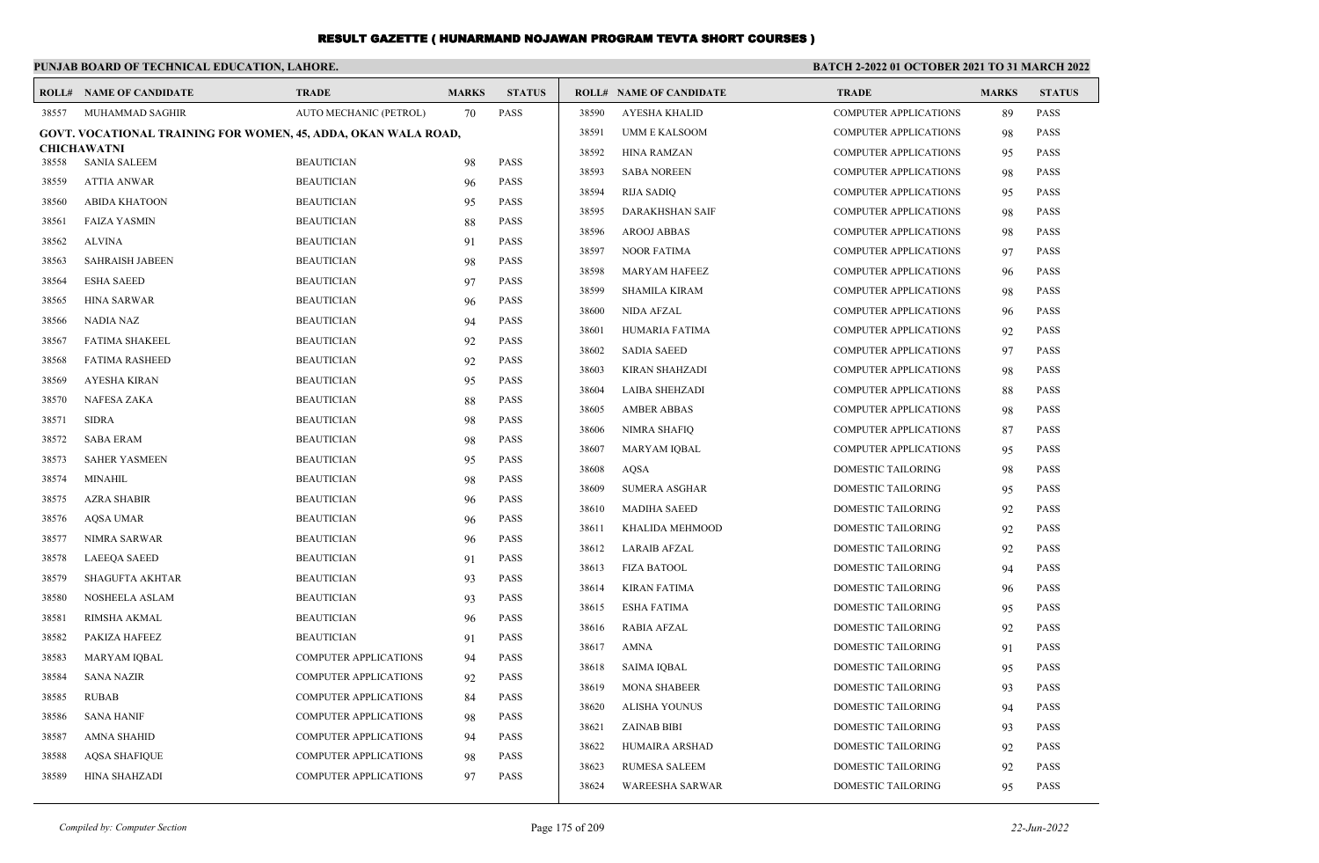#### **PUNJAB BOARD OF TECHNICAL EDUCATION, LAHORE. BATCH 2-2022 01 OCTOBER 2021 TO 31 MARCH 2022 ROLL# NAME OF CANDIDATE TRADE MARKS STATUS ROLL# NAME OF CANDIDATE TRADE MARKS STATUS** 38557 MUHAMMAD SAGHIR AUTO MECHANIC (PETROL) 70 PASS **GOVT. VOCATIONAL TRAINING FOR WOMEN, 45, ADDA, OKAN WALA ROAD, CHICHAWATNI** 38558 SANIA SALEEM BEAUTICIAN 98 PASS 38559 ATTIA ANWAR BEAUTICIAN 96 PASS 38560 ABIDA KHATOON BEAUTICIAN 95 PASS 38561 FAIZA YASMIN BEAUTICIAN 88 PASS 38562 ALVINA BEAUTICIAN 91 PASS 38563 SAHRAISH JABEEN BEAUTICIAN 98 PASS 38564 ESHA SAEED BEAUTICIAN 97 PASS 38565 HINA SARWAR BEAUTICIAN 96 PASS 38566 NADIA NAZ BEAUTICIAN 94 PASS 38567 FATIMA SHAKEEL BEAUTICIAN 92 PASS 38568 FATIMA RASHEED BEAUTICIAN 92 PASS 38569 AYESHA KIRAN BEAUTICIAN 95 PASS 38570 NAFESA ZAKA BEAUTICIAN 88 PASS 38571 SIDRA BEAUTICIAN 98 PASS 38572 SABA ERAM BEAUTICIAN 98 PASS 38573 SAHER YASMEEN BEAUTICIAN 95 PASS 38574 MINAHIL BEAUTICIAN 98 PASS 38575 AZRA SHABIR BEAUTICIAN 96 PASS 38576 AQSA UMAR BEAUTICIAN 96 PASS 38577 NIMRA SARWAR BEAUTICIAN 96 PASS 38578 LAEEQA SAEED BEAUTICIAN 91 PASS 38579 SHAGUFTA AKHTAR BEAUTICIAN 93 PASS 38580 NOSHEELA ASLAM BEAUTICIAN 93 PASS 38581 RIMSHA AKMAL BEAUTICIAN 96 PASS 38582 PAKIZA HAFEEZ BEAUTICIAN 91 PASS 38583 MARYAM IQBAL COMPUTER APPLICATIONS 94 PASS 38584 SANA NAZIR COMPUTER APPLICATIONS 92 PASS 38585 RUBAB COMPUTER APPLICATIONS 84 PASS 38586 SANA HANIF COMPUTER APPLICATIONS 98 PASS 38587 AMNA SHAHID COMPUTER APPLICATIONS 94 PASS 38588 AQSA SHAFIQUE COMPUTER APPLICATIONS 98 PASS 38589 HINA SHAHZADI COMPUTER APPLICATIONS 97 PASS 38590 AYESHA KHALID COMPUTER APPLICATIONS 89 PASS 38591 UMM E KALSOOM COMPUTER APPLICATIONS 98 PASS 38592 HINA RAMZAN COMPUTER APPLICATIONS 95 PASS 38593 SABA NOREEN COMPUTER APPLICATIONS 98 PASS 38594 RIJA SADIQ COMPUTER APPLICATIONS 95 PASS 38595 DARAKHSHAN SAIF COMPUTER APPLICATIONS 98 PASS 38596 AROOJ ABBAS COMPUTER APPLICATIONS 98 PASS 38597 NOOR FATIMA COMPUTER APPLICATIONS 97 PASS 38598 MARYAM HAFEEZ COMPUTER APPLICATIONS 96 PASS 38599 SHAMILA KIRAM COMPUTER APPLICATIONS 98 PASS 38600 NIDA AFZAL COMPUTER APPLICATIONS 96 PASS 38601 HUMARIA FATIMA COMPUTER APPLICATIONS 92 PASS 38602 SADIA SAEED COMPUTER APPLICATIONS 97 PASS 38603 KIRAN SHAHZADI COMPUTER APPLICATIONS 98 PASS 38604 LAIBA SHEHZADI COMPUTER APPLICATIONS 88 PASS 38605 AMBER ABBAS COMPUTER APPLICATIONS 98 PASS 38606 NIMRA SHAFIQ COMPUTER APPLICATIONS 87 PASS 38607 MARYAM IQBAL COMPUTER APPLICATIONS 95 PASS 38608 AQSA DOMESTIC TAILORING 98 PASS 38609 SUMERA ASGHAR DOMESTIC TAILORING 95 PASS 38610 MADIHA SAEED DOMESTIC TAILORING 92 PASS 38611 KHALIDA MEHMOOD DOMESTIC TAILORING 92 PASS 38612 LARAIB AFZAL DOMESTIC TAILORING 92 PASS 38613 FIZA BATOOL DOMESTIC TAILORING 94 PASS 38614 KIRAN FATIMA DOMESTIC TAILORING 96 PASS 38615 ESHA FATIMA DOMESTIC TAILORING 95 PASS 38616 RABIA AFZAL DOMESTIC TAILORING 92 PASS 38617 AMNA DOMESTIC TAILORING 91 PASS 38618 SAIMA IQBAL DOMESTIC TAILORING 95 PASS 38619 MONA SHABEER DOMESTIC TAILORING 93 PASS 38620 ALISHA YOUNUS DOMESTIC TAILORING 94 PASS 38621 ZAINAB BIBI DOMESTIC TAILORING 93 PASS 38622 HUMAIRA ARSHAD DOMESTIC TAILORING 92 PASS 38623 RUMESA SALEEM DOMESTIC TAILORING 92 PASS 38624 WAREESHA SARWAR DOMESTIC TAILORING 95 PASS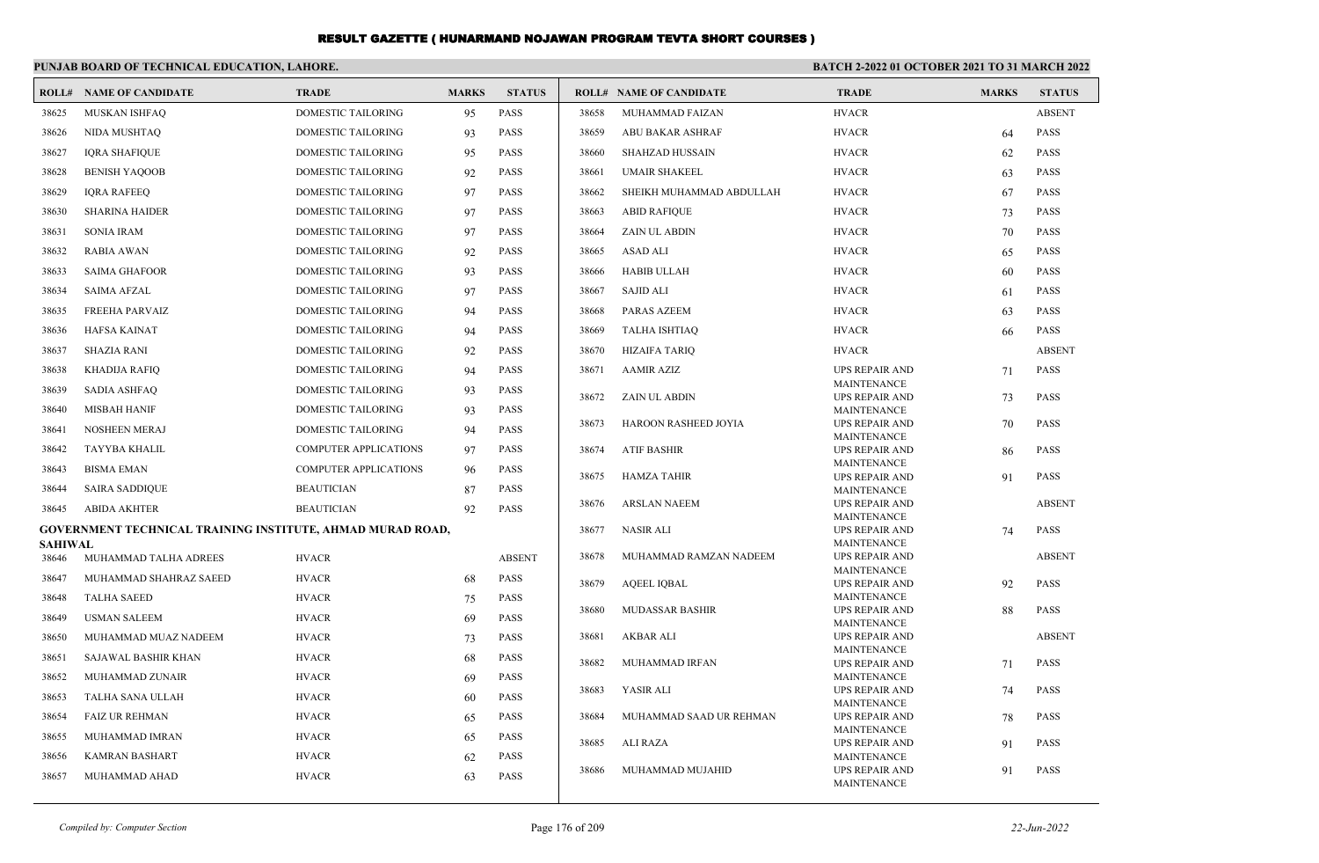|                | PUNJAB BOARD OF TECHNICAL EDUCATION, LAHORE.                      |                              |              |               | <b>BATCH 2-2022 01 OCTOBER 2021 TO 31 MARCH 2022</b> |                                |                                             |              |               |
|----------------|-------------------------------------------------------------------|------------------------------|--------------|---------------|------------------------------------------------------|--------------------------------|---------------------------------------------|--------------|---------------|
|                | <b>ROLL# NAME OF CANDIDATE</b>                                    | <b>TRADE</b>                 | <b>MARKS</b> | <b>STATUS</b> |                                                      | <b>ROLL# NAME OF CANDIDATE</b> | <b>TRADE</b>                                | <b>MARKS</b> | <b>STATUS</b> |
| 38625          | MUSKAN ISHFAO                                                     | <b>DOMESTIC TAILORING</b>    | 95           | <b>PASS</b>   | 38658                                                | MUHAMMAD FAIZAN                | <b>HVACR</b>                                |              | <b>ABSENT</b> |
| 38626          | NIDA MUSHTAO                                                      | DOMESTIC TAILORING           | 93           | <b>PASS</b>   | 38659                                                | <b>ABU BAKAR ASHRAF</b>        | <b>HVACR</b>                                | 64           | <b>PASS</b>   |
| 38627          | <b>IORA SHAFIOUE</b>                                              | <b>DOMESTIC TAILORING</b>    | 95           | <b>PASS</b>   | 38660                                                | <b>SHAHZAD HUSSAIN</b>         | <b>HVACR</b>                                | 62           | <b>PASS</b>   |
| 38628          | <b>BENISH YAQOOB</b>                                              | DOMESTIC TAILORING           | 92           | <b>PASS</b>   | 38661                                                | <b>UMAIR SHAKEEL</b>           | <b>HVACR</b>                                | 63           | <b>PASS</b>   |
| 38629          | <b>IQRA RAFEEQ</b>                                                | DOMESTIC TAILORING           | 97           | <b>PASS</b>   | 38662                                                | SHEIKH MUHAMMAD ABDULLAH       | <b>HVACR</b>                                | 67           | <b>PASS</b>   |
| 38630          | <b>SHARINA HAIDER</b>                                             | DOMESTIC TAILORING           | 97           | <b>PASS</b>   | 38663                                                | <b>ABID RAFIQUE</b>            | <b>HVACR</b>                                | 73           | <b>PASS</b>   |
| 38631          | <b>SONIA IRAM</b>                                                 | DOMESTIC TAILORING           | 97           | <b>PASS</b>   | 38664                                                | <b>ZAIN UL ABDIN</b>           | <b>HVACR</b>                                | 70           | <b>PASS</b>   |
| 38632          | <b>RABIA AWAN</b>                                                 | DOMESTIC TAILORING           | 92           | <b>PASS</b>   | 38665                                                | <b>ASAD ALI</b>                | <b>HVACR</b>                                | 65           | <b>PASS</b>   |
| 38633          | <b>SAIMA GHAFOOR</b>                                              | DOMESTIC TAILORING           | 93           | <b>PASS</b>   | 38666                                                | <b>HABIB ULLAH</b>             | <b>HVACR</b>                                | 60           | <b>PASS</b>   |
| 38634          | <b>SAIMA AFZAL</b>                                                | <b>DOMESTIC TAILORING</b>    | 97           | <b>PASS</b>   | 38667                                                | <b>SAJID ALI</b>               | <b>HVACR</b>                                | 61           | <b>PASS</b>   |
| 38635          | <b>FREEHA PARVAIZ</b>                                             | <b>DOMESTIC TAILORING</b>    | 94           | <b>PASS</b>   | 38668                                                | <b>PARAS AZEEM</b>             | <b>HVACR</b>                                | 63           | <b>PASS</b>   |
| 38636          | <b>HAFSA KAINAT</b>                                               | DOMESTIC TAILORING           | 94           | <b>PASS</b>   | 38669                                                | <b>TALHA ISHTIAQ</b>           | <b>HVACR</b>                                | 66           | <b>PASS</b>   |
| 38637          | <b>SHAZIA RANI</b>                                                | DOMESTIC TAILORING           | 92           | <b>PASS</b>   | 38670                                                | <b>HIZAIFA TARIQ</b>           | <b>HVACR</b>                                |              | <b>ABSENT</b> |
| 38638          | KHADIJA RAFIQ                                                     | <b>DOMESTIC TAILORING</b>    | 94           | <b>PASS</b>   | 38671                                                | <b>AAMIR AZIZ</b>              | <b>UPS REPAIR AND</b>                       | 71           | <b>PASS</b>   |
| 38639          | <b>SADIA ASHFAQ</b>                                               | <b>DOMESTIC TAILORING</b>    | 93           | <b>PASS</b>   | 38672                                                | <b>ZAIN UL ABDIN</b>           | <b>MAINTENANCE</b><br>UPS REPAIR AND        |              | <b>PASS</b>   |
| 38640          | <b>MISBAH HANIF</b>                                               | <b>DOMESTIC TAILORING</b>    | 93           | <b>PASS</b>   |                                                      |                                | <b>MAINTENANCE</b>                          | 73           |               |
| 38641          | <b>NOSHEEN MERAJ</b>                                              | DOMESTIC TAILORING           | 94           | <b>PASS</b>   | 38673                                                | HAROON RASHEED JOYIA           | UPS REPAIR AND                              | 70           | <b>PASS</b>   |
| 38642          | TAYYBA KHALIL                                                     | <b>COMPUTER APPLICATIONS</b> | 97           | <b>PASS</b>   | 38674                                                | <b>ATIF BASHIR</b>             | <b>MAINTENANCE</b><br><b>UPS REPAIR AND</b> | 86           | <b>PASS</b>   |
| 38643          | <b>BISMA EMAN</b>                                                 | <b>COMPUTER APPLICATIONS</b> | 96           | <b>PASS</b>   | 38675                                                | <b>HAMZA TAHIR</b>             | <b>MAINTENANCE</b>                          |              | <b>PASS</b>   |
| 38644          | <b>SAIRA SADDIQUE</b>                                             | <b>BEAUTICIAN</b>            | 87           | <b>PASS</b>   |                                                      |                                | <b>UPS REPAIR AND</b><br><b>MAINTENANCE</b> | 91           |               |
| 38645          | <b>ABIDA AKHTER</b>                                               | <b>BEAUTICIAN</b>            | 92           | <b>PASS</b>   | 38676                                                | <b>ARSLAN NAEEM</b>            | <b>UPS REPAIR AND</b>                       |              | <b>ABSENT</b> |
|                | <b>GOVERNMENT TECHNICAL TRAINING INSTITUTE, AHMAD MURAD ROAD,</b> |                              |              |               | 38677                                                | <b>NASIR ALI</b>               | <b>MAINTENANCE</b><br><b>UPS REPAIR AND</b> | 74           | <b>PASS</b>   |
| <b>SAHIWAL</b> |                                                                   |                              |              |               |                                                      |                                | <b>MAINTENANCE</b>                          |              |               |
| 38646          | MUHAMMAD TALHA ADREES                                             | <b>HVACR</b>                 |              | <b>ABSENT</b> | 38678                                                | MUHAMMAD RAMZAN NADEEM         | <b>UPS REPAIR AND</b><br><b>MAINTENANCE</b> |              | <b>ABSENT</b> |
| 38647          | MUHAMMAD SHAHRAZ SAEED                                            | <b>HVACR</b>                 | 68           | <b>PASS</b>   | 38679                                                | <b>AQEEL IQBAL</b>             | <b>UPS REPAIR AND</b>                       | 92           | <b>PASS</b>   |
| 38648          | <b>TALHA SAEED</b>                                                | <b>HVACR</b>                 | 75           | <b>PASS</b>   | 38680                                                | <b>MUDASSAR BASHIR</b>         | <b>MAINTENANCE</b><br><b>UPS REPAIR AND</b> | 88           | <b>PASS</b>   |
| 38649          | <b>USMAN SALEEM</b>                                               | <b>HVACR</b>                 | 69           | <b>PASS</b>   |                                                      |                                | <b>MAINTENANCE</b>                          |              |               |
| 38650          | MUHAMMAD MUAZ NADEEM                                              | <b>HVACR</b>                 | 73           | <b>PASS</b>   | 38681                                                | AKBAR ALI                      | <b>UPS REPAIR AND</b>                       |              | <b>ABSENT</b> |
| 38651          | SAJAWAL BASHIR KHAN                                               | <b>HVACR</b>                 | 68           | <b>PASS</b>   | 38682                                                | MUHAMMAD IRFAN                 | <b>MAINTENANCE</b><br><b>UPS REPAIR AND</b> | 71           | <b>PASS</b>   |
| 38652          | MUHAMMAD ZUNAIR                                                   | <b>HVACR</b>                 | 69           | <b>PASS</b>   |                                                      |                                | <b>MAINTENANCE</b>                          |              |               |
| 38653          | TALHA SANA ULLAH                                                  | <b>HVACR</b>                 | -60          | <b>PASS</b>   | 38683                                                | YASIR ALI                      | <b>UPS REPAIR AND</b><br><b>MAINTENANCE</b> | 74           | <b>PASS</b>   |
| 38654          | <b>FAIZ UR REHMAN</b>                                             | <b>HVACR</b>                 | 65           | <b>PASS</b>   | 38684                                                | MUHAMMAD SAAD UR REHMAN        | <b>UPS REPAIR AND</b>                       | 78           | <b>PASS</b>   |
| 38655          | MUHAMMAD IMRAN                                                    | <b>HVACR</b>                 | 65           | <b>PASS</b>   | 38685                                                | ALI RAZA                       | <b>MAINTENANCE</b><br><b>UPS REPAIR AND</b> | 91           | <b>PASS</b>   |
| 38656          | <b>KAMRAN BASHART</b>                                             | <b>HVACR</b>                 | 62           | <b>PASS</b>   |                                                      |                                | <b>MAINTENANCE</b>                          |              |               |
| 38657          | MUHAMMAD AHAD                                                     | <b>HVACR</b>                 | 63           | <b>PASS</b>   | 38686                                                | MUHAMMAD MUJAHID               | <b>UPS REPAIR AND</b><br><b>MAINTENANCE</b> | 91           | <b>PASS</b>   |
|                |                                                                   |                              |              |               |                                                      |                                |                                             |              |               |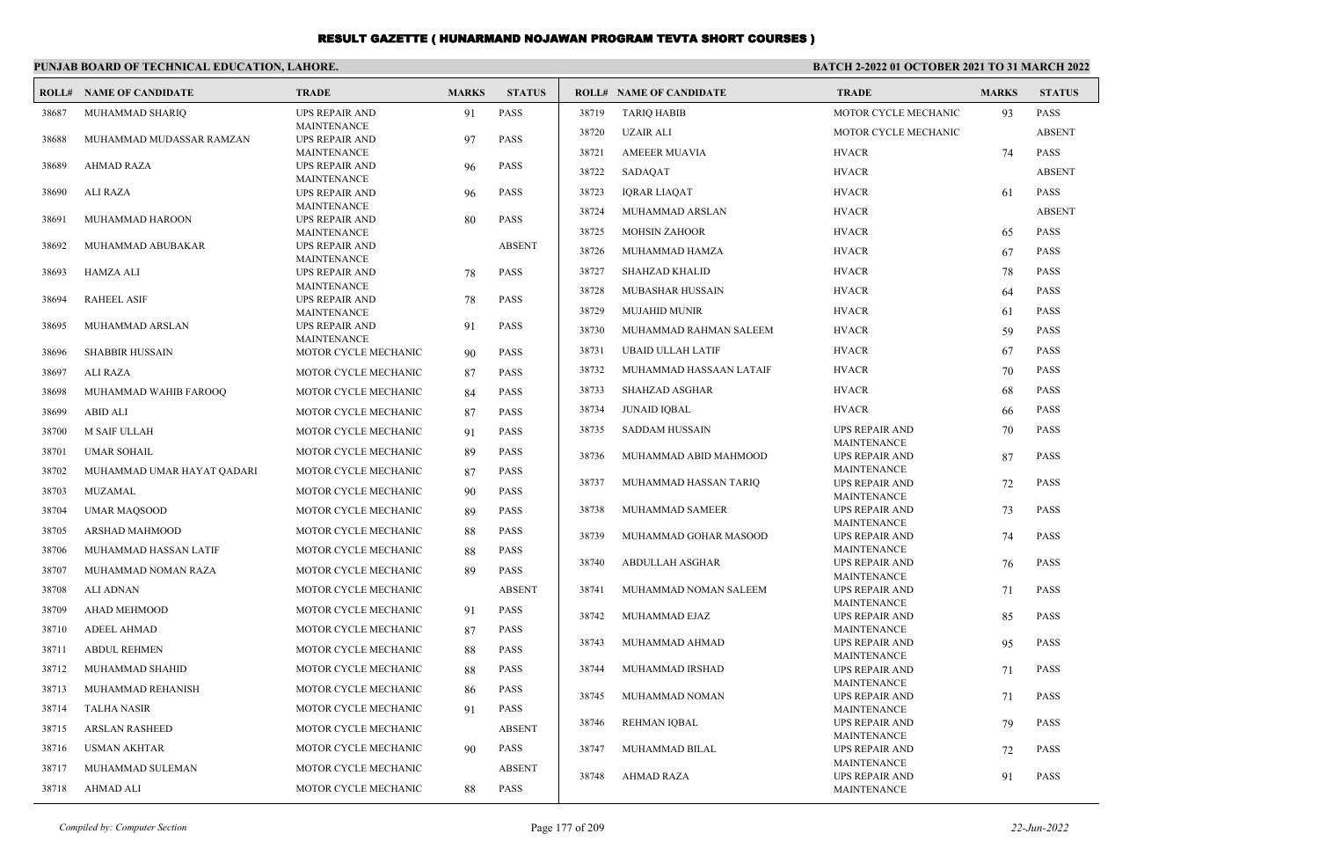|       | PUNJAB BOARD OF TECHNICAL EDUCATION, LAHORE. |                                             |              | BATCH 2-2022 01 OCTOBER 2021 TO 31 MARCH 2022 |       |                                |                                             |              |               |
|-------|----------------------------------------------|---------------------------------------------|--------------|-----------------------------------------------|-------|--------------------------------|---------------------------------------------|--------------|---------------|
| ROLL# | <b>NAME OF CANDIDATE</b>                     | <b>TRADE</b>                                | <b>MARKS</b> | <b>STATUS</b>                                 |       | <b>ROLL# NAME OF CANDIDATE</b> | <b>TRADE</b>                                | <b>MARKS</b> | <b>STATUS</b> |
| 38687 | MUHAMMAD SHARIQ                              | <b>UPS REPAIR AND</b>                       | 91           | <b>PASS</b>                                   | 38719 | <b>TARIQ HABIB</b>             | MOTOR CYCLE MECHANIC                        | 93           | PASS          |
| 38688 | MUHAMMAD MUDASSAR RAMZAN                     | <b>MAINTENANCE</b><br><b>UPS REPAIR AND</b> | 97           | <b>PASS</b>                                   | 38720 | <b>UZAIR ALI</b>               | MOTOR CYCLE MECHANIC                        |              | <b>ABSENT</b> |
|       |                                              | <b>MAINTENANCE</b>                          |              |                                               | 38721 | <b>AMEEER MUAVIA</b>           | <b>HVACR</b>                                | 74           | <b>PASS</b>   |
| 38689 | <b>AHMAD RAZA</b>                            | <b>UPS REPAIR AND</b><br><b>MAINTENANCE</b> | 96           | <b>PASS</b>                                   | 38722 | SADAQAT                        | <b>HVACR</b>                                |              | <b>ABSENT</b> |
| 38690 | <b>ALI RAZA</b>                              | <b>UPS REPAIR AND</b>                       | 96           | <b>PASS</b>                                   | 38723 | <b>IQRAR LIAQAT</b>            | <b>HVACR</b>                                | 61           | <b>PASS</b>   |
|       |                                              | <b>MAINTENANCE</b>                          |              |                                               | 38724 | MUHAMMAD ARSLAN                | <b>HVACR</b>                                |              | <b>ABSENT</b> |
| 38691 | MUHAMMAD HAROON                              | <b>UPS REPAIR AND</b><br><b>MAINTENANCE</b> | 80           | PASS                                          | 38725 | <b>MOHSIN ZAHOOR</b>           | <b>HVACR</b>                                | 65           | <b>PASS</b>   |
| 38692 | MUHAMMAD ABUBAKAR                            | <b>UPS REPAIR AND</b>                       |              | <b>ABSENT</b>                                 | 38726 | MUHAMMAD HAMZA                 | <b>HVACR</b>                                | 67           | <b>PASS</b>   |
| 38693 | HAMZA ALI                                    | <b>MAINTENANCE</b><br><b>UPS REPAIR AND</b> | 78           | <b>PASS</b>                                   | 38727 | <b>SHAHZAD KHALID</b>          | <b>HVACR</b>                                | 78           | <b>PASS</b>   |
|       |                                              | MAINTENANCE                                 |              |                                               | 38728 | MUBASHAR HUSSAIN               | <b>HVACR</b>                                | 64           | <b>PASS</b>   |
| 38694 | <b>RAHEEL ASIF</b>                           | <b>UPS REPAIR AND</b><br>MAINTENANCE        | 78           | <b>PASS</b>                                   | 38729 | <b>MUJAHID MUNIR</b>           | <b>HVACR</b>                                | 61           | <b>PASS</b>   |
| 38695 | MUHAMMAD ARSLAN                              | <b>UPS REPAIR AND</b>                       | 91           | <b>PASS</b>                                   | 38730 | MUHAMMAD RAHMAN SALEEM         | <b>HVACR</b>                                | 59           | <b>PASS</b>   |
| 38696 | <b>SHABBIR HUSSAIN</b>                       | <b>MAINTENANCE</b><br>MOTOR CYCLE MECHANIC  |              | <b>PASS</b>                                   | 38731 | <b>UBAID ULLAH LATIF</b>       | <b>HVACR</b>                                | 67           | <b>PASS</b>   |
|       |                                              |                                             | 90           | <b>PASS</b>                                   | 38732 | MUHAMMAD HASSAAN LATAIF        | <b>HVACR</b>                                | 70           | <b>PASS</b>   |
| 38697 | <b>ALI RAZA</b>                              | MOTOR CYCLE MECHANIC                        | 87           |                                               | 38733 | SHAHZAD ASGHAR                 | <b>HVACR</b>                                | 68           | PASS          |
| 38698 | MUHAMMAD WAHIB FAROOO                        | MOTOR CYCLE MECHANIC                        | 84           | <b>PASS</b>                                   | 38734 | <b>JUNAID IOBAL</b>            | <b>HVACR</b>                                |              | <b>PASS</b>   |
| 38699 | <b>ABID ALI</b>                              | MOTOR CYCLE MECHANIC                        | 87           | <b>PASS</b>                                   |       |                                |                                             | 66           |               |
| 38700 | <b>M SAIF ULLAH</b>                          | MOTOR CYCLE MECHANIC                        | 91           | <b>PASS</b>                                   | 38735 | <b>SADDAM HUSSAIN</b>          | <b>UPS REPAIR AND</b><br>MAINTENANCE        | 70           | <b>PASS</b>   |
| 38701 | <b>UMAR SOHAIL</b>                           | MOTOR CYCLE MECHANIC                        | 89           | <b>PASS</b>                                   | 38736 | MUHAMMAD ABID MAHMOOD          | <b>UPS REPAIR AND</b>                       | 87           | <b>PASS</b>   |
| 38702 | MUHAMMAD UMAR HAYAT QADARI                   | MOTOR CYCLE MECHANIC                        | 87           | PASS                                          | 38737 | MUHAMMAD HASSAN TARIO          | <b>MAINTENANCE</b><br><b>UPS REPAIR AND</b> | 72           | <b>PASS</b>   |
| 38703 | <b>MUZAMAL</b>                               | MOTOR CYCLE MECHANIC                        | 90           | <b>PASS</b>                                   |       |                                | MAINTENANCE                                 |              |               |
| 38704 | <b>UMAR MAQSOOD</b>                          | MOTOR CYCLE MECHANIC                        | 89           | <b>PASS</b>                                   | 38738 | MUHAMMAD SAMEER                | <b>UPS REPAIR AND</b><br><b>MAINTENANCE</b> | 73           | <b>PASS</b>   |
| 38705 | ARSHAD MAHMOOD                               | MOTOR CYCLE MECHANIC                        | 88           | <b>PASS</b>                                   | 38739 | MUHAMMAD GOHAR MASOOD          | <b>UPS REPAIR AND</b>                       | 74           | <b>PASS</b>   |
| 38706 | MUHAMMAD HASSAN LATIF                        | MOTOR CYCLE MECHANIC                        | 88           | PASS                                          |       |                                | <b>MAINTENANCE</b>                          |              |               |
| 38707 | MUHAMMAD NOMAN RAZA                          | MOTOR CYCLE MECHANIC                        | 89           | <b>PASS</b>                                   | 38740 | <b>ABDULLAH ASGHAR</b>         | <b>UPS REPAIR AND</b><br>MAINTENANCE        | 76           | <b>PASS</b>   |
| 38708 | <b>ALI ADNAN</b>                             | MOTOR CYCLE MECHANIC                        |              | <b>ABSENT</b>                                 | 38741 | MUHAMMAD NOMAN SALEEM          | <b>UPS REPAIR AND</b>                       | 71           | <b>PASS</b>   |
| 38709 | AHAD MEHMOOD                                 | MOTOR CYCLE MECHANIC                        | 91           | <b>PASS</b>                                   | 38742 | MUHAMMAD EJAZ                  | MAINTENANCE<br><b>UPS REPAIR AND</b>        | 85           | <b>PASS</b>   |
| 38710 | <b>ADEEL AHMAD</b>                           | MOTOR CYCLE MECHANIC                        | 87           | <b>PASS</b>                                   |       |                                | MAINTENANCE                                 |              |               |
| 38711 | <b>ABDUL REHMEN</b>                          | MOTOR CYCLE MECHANIC                        | 88           | <b>PASS</b>                                   | 38743 | MUHAMMAD AHMAD                 | <b>UPS REPAIR AND</b><br><b>MAINTENANCE</b> | 95           | <b>PASS</b>   |
| 38712 | MUHAMMAD SHAHID                              | MOTOR CYCLE MECHANIC                        | 88           | <b>PASS</b>                                   | 38744 | MUHAMMAD IRSHAD                | <b>UPS REPAIR AND</b>                       | 71           | <b>PASS</b>   |
| 38713 | MUHAMMAD REHANISH                            | MOTOR CYCLE MECHANIC                        | 86           | <b>PASS</b>                                   |       |                                | <b>MAINTENANCE</b>                          |              |               |
| 38714 | <b>TALHA NASIR</b>                           | MOTOR CYCLE MECHANIC                        | 91           | <b>PASS</b>                                   | 38745 | MUHAMMAD NOMAN                 | <b>UPS REPAIR AND</b><br>MAINTENANCE        | 71           | <b>PASS</b>   |
| 38715 | <b>ARSLAN RASHEED</b>                        | MOTOR CYCLE MECHANIC                        |              | <b>ABSENT</b>                                 | 38746 | REHMAN IQBAL                   | <b>UPS REPAIR AND</b>                       | 79           | <b>PASS</b>   |
| 38716 | <b>USMAN AKHTAR</b>                          | MOTOR CYCLE MECHANIC                        | 90           | <b>PASS</b>                                   | 38747 | MUHAMMAD BILAL                 | <b>MAINTENANCE</b><br><b>UPS REPAIR AND</b> | 72           | <b>PASS</b>   |
| 38717 | MUHAMMAD SULEMAN                             | MOTOR CYCLE MECHANIC                        |              | <b>ABSENT</b>                                 |       |                                | MAINTENANCE                                 |              |               |
| 38718 | AHMAD ALI                                    | MOTOR CYCLE MECHANIC                        | 88           | <b>PASS</b>                                   | 38748 | AHMAD RAZA                     | <b>UPS REPAIR AND</b><br><b>MAINTENANCE</b> | 91           | <b>PASS</b>   |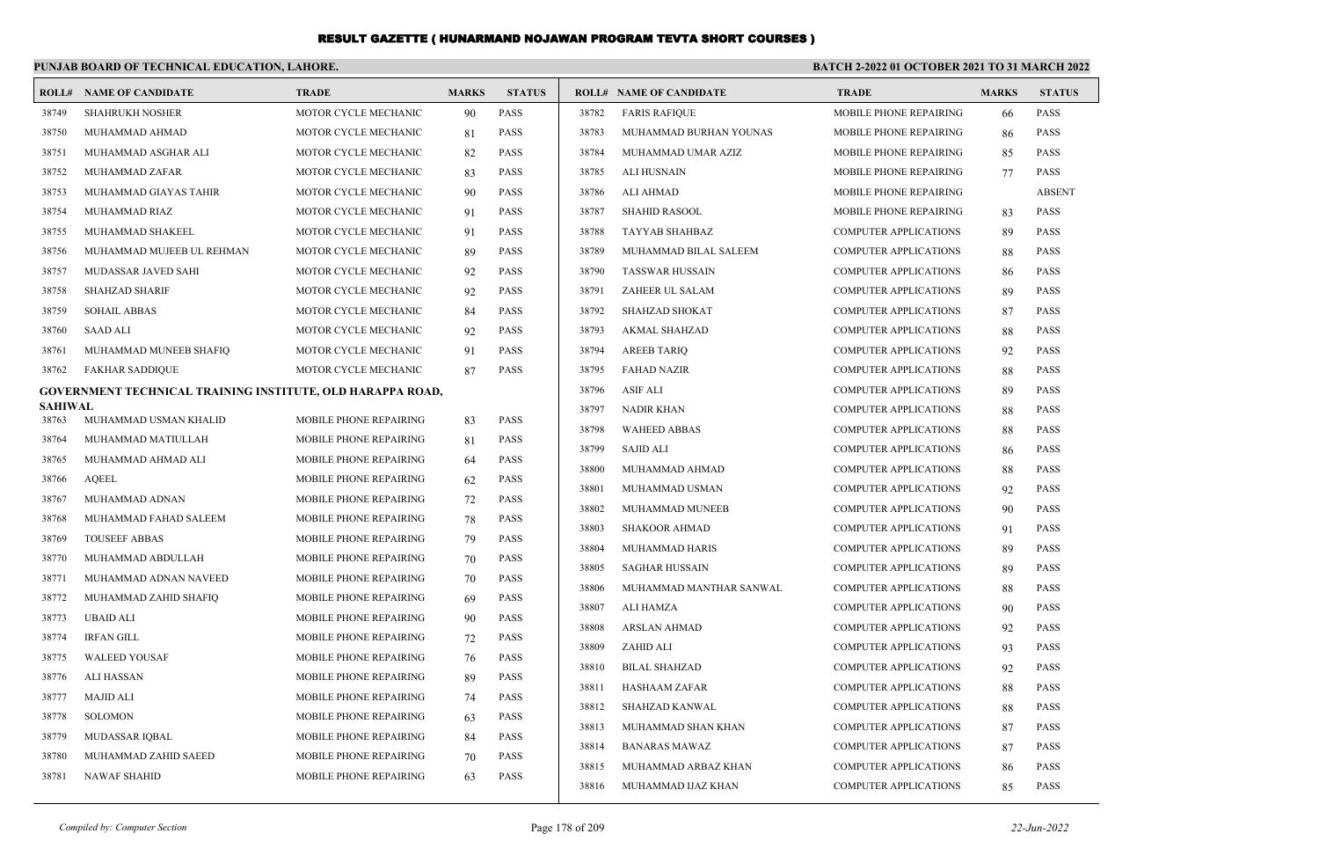|                | PUNJAB BOARD OF TECHNICAL EDUCATION, LAHORE.               |                               |              |               | BATCH 2-2022 01 OCTOBER 2021 TO 31 MARCH 2022 |                                |                              |              |               |
|----------------|------------------------------------------------------------|-------------------------------|--------------|---------------|-----------------------------------------------|--------------------------------|------------------------------|--------------|---------------|
| ROLL#          | <b>NAME OF CANDIDATE</b>                                   | <b>TRADE</b>                  | <b>MARKS</b> | <b>STATUS</b> |                                               | <b>ROLL# NAME OF CANDIDATE</b> | <b>TRADE</b>                 | <b>MARKS</b> | <b>STATUS</b> |
| 38749          | <b>SHAHRUKH NOSHER</b>                                     | MOTOR CYCLE MECHANIC          | 90           | PASS          | 38782                                         | <b>FARIS RAFIQUE</b>           | MOBILE PHONE REPAIRING       | 66           | <b>PASS</b>   |
| 38750          | MUHAMMAD AHMAD                                             | MOTOR CYCLE MECHANIC          | 81           | <b>PASS</b>   | 38783                                         | MUHAMMAD BURHAN YOUNAS         | MOBILE PHONE REPAIRING       | 86           | <b>PASS</b>   |
| 38751          | MUHAMMAD ASGHAR ALI                                        | MOTOR CYCLE MECHANIC          | 82           | <b>PASS</b>   | 38784                                         | MUHAMMAD UMAR AZIZ             | MOBILE PHONE REPAIRING       | 85           | <b>PASS</b>   |
| 38752          | MUHAMMAD ZAFAR                                             | MOTOR CYCLE MECHANIC          | 83           | <b>PASS</b>   | 38785                                         | <b>ALI HUSNAIN</b>             | MOBILE PHONE REPAIRING       | 77           | <b>PASS</b>   |
| 38753          | MUHAMMAD GIAYAS TAHIR                                      | MOTOR CYCLE MECHANIC          | 90           | <b>PASS</b>   | 38786                                         | ALI AHMAD                      | MOBILE PHONE REPAIRING       |              | <b>ABSENT</b> |
| 38754          | MUHAMMAD RIAZ                                              | MOTOR CYCLE MECHANIC          | 91           | <b>PASS</b>   | 38787                                         | <b>SHAHID RASOOL</b>           | MOBILE PHONE REPAIRING       | 83           | <b>PASS</b>   |
| 38755          | MUHAMMAD SHAKEEL                                           | MOTOR CYCLE MECHANIC          | 91           | <b>PASS</b>   | 38788                                         | TAYYAB SHAHBAZ                 | <b>COMPUTER APPLICATIONS</b> | 89           | <b>PASS</b>   |
| 38756          | MUHAMMAD MUJEEB UL REHMAN                                  | MOTOR CYCLE MECHANIC          | 89           | PASS          | 38789                                         | MUHAMMAD BILAL SALEEM          | <b>COMPUTER APPLICATIONS</b> | 88           | <b>PASS</b>   |
| 38757          | MUDASSAR JAVED SAHI                                        | MOTOR CYCLE MECHANIC          | 92           | PASS          | 38790                                         | <b>TASSWAR HUSSAIN</b>         | <b>COMPUTER APPLICATIONS</b> | 86           | <b>PASS</b>   |
| 38758          | <b>SHAHZAD SHARIF</b>                                      | MOTOR CYCLE MECHANIC          | 92           | <b>PASS</b>   | 38791                                         | ZAHEER UL SALAM                | <b>COMPUTER APPLICATIONS</b> | 89           | <b>PASS</b>   |
| 38759          | <b>SOHAIL ABBAS</b>                                        | MOTOR CYCLE MECHANIC          | 84           | <b>PASS</b>   | 38792                                         | <b>SHAHZAD SHOKAT</b>          | <b>COMPUTER APPLICATIONS</b> | 87           | <b>PASS</b>   |
| 38760          | <b>SAAD ALI</b>                                            | MOTOR CYCLE MECHANIC          | 92           | <b>PASS</b>   | 38793                                         | AKMAL SHAHZAD                  | <b>COMPUTER APPLICATIONS</b> | 88           | <b>PASS</b>   |
| 38761          | MUHAMMAD MUNEEB SHAFIQ                                     | MOTOR CYCLE MECHANIC          | 91           | <b>PASS</b>   | 38794                                         | <b>AREEB TARIO</b>             | <b>COMPUTER APPLICATIONS</b> | 92           | <b>PASS</b>   |
| 38762          | <b>FAKHAR SADDIQUE</b>                                     | MOTOR CYCLE MECHANIC          | 87           | <b>PASS</b>   | 38795                                         | <b>FAHAD NAZIR</b>             | <b>COMPUTER APPLICATIONS</b> | 88           | <b>PASS</b>   |
|                | GOVERNMENT TECHNICAL TRAINING INSTITUTE, OLD HARAPPA ROAD, |                               |              |               | 38796                                         | <b>ASIF ALI</b>                | <b>COMPUTER APPLICATIONS</b> | 89           | <b>PASS</b>   |
| <b>SAHIWAL</b> |                                                            |                               |              |               | 38797                                         | <b>NADIR KHAN</b>              | <b>COMPUTER APPLICATIONS</b> | 88           | <b>PASS</b>   |
| 38763          | MUHAMMAD USMAN KHALID                                      | MOBILE PHONE REPAIRING        | 83           | <b>PASS</b>   | 38798                                         | <b>WAHEED ABBAS</b>            | <b>COMPUTER APPLICATIONS</b> | 88           | <b>PASS</b>   |
| 38764          | MUHAMMAD MATIULLAH                                         | MOBILE PHONE REPAIRING        | 81           | <b>PASS</b>   | 38799                                         | <b>SAJID ALI</b>               | <b>COMPUTER APPLICATIONS</b> | 86           | <b>PASS</b>   |
| 38765          | MUHAMMAD AHMAD ALI                                         | MOBILE PHONE REPAIRING        | 64           | <b>PASS</b>   | 38800                                         | MUHAMMAD AHMAD                 | <b>COMPUTER APPLICATIONS</b> | 88           | <b>PASS</b>   |
| 38766          | <b>AQEEL</b>                                               | MOBILE PHONE REPAIRING        | 62           | PASS          | 38801                                         | MUHAMMAD USMAN                 | <b>COMPUTER APPLICATIONS</b> | 92           | <b>PASS</b>   |
| 38767          | MUHAMMAD ADNAN                                             | <b>MOBILE PHONE REPAIRING</b> | 72           | PASS          | 38802                                         | MUHAMMAD MUNEEB                | <b>COMPUTER APPLICATIONS</b> | 90           | <b>PASS</b>   |
| 38768          | MUHAMMAD FAHAD SALEEM                                      | MOBILE PHONE REPAIRING        | 78           | <b>PASS</b>   | 38803                                         | <b>SHAKOOR AHMAD</b>           | <b>COMPUTER APPLICATIONS</b> | 91           | <b>PASS</b>   |
| 38769          | <b>TOUSEEF ABBAS</b>                                       | MOBILE PHONE REPAIRING        | 79           | <b>PASS</b>   | 38804                                         | <b>MUHAMMAD HARIS</b>          | COMPUTER APPLICATIONS        | 89           | <b>PASS</b>   |
| 38770          | MUHAMMAD ABDULLAH                                          | MOBILE PHONE REPAIRING        | 70           | <b>PASS</b>   | 38805                                         | <b>SAGHAR HUSSAIN</b>          | <b>COMPUTER APPLICATIONS</b> | 89           | <b>PASS</b>   |
| 38771          | MUHAMMAD ADNAN NAVEED                                      | MOBILE PHONE REPAIRING        | 70           | <b>PASS</b>   | 38806                                         | MUHAMMAD MANTHAR SANWAL        | <b>COMPUTER APPLICATIONS</b> | 88           | <b>PASS</b>   |
| 38772          | MUHAMMAD ZAHID SHAFIQ                                      | MOBILE PHONE REPAIRING        | 69           | <b>PASS</b>   | 38807                                         | ALI HAMZA                      | <b>COMPUTER APPLICATIONS</b> | 90           | <b>PASS</b>   |
| 38773          | <b>UBAID ALI</b>                                           | MOBILE PHONE REPAIRING        | 90           | <b>PASS</b>   | 38808                                         | <b>ARSLAN AHMAD</b>            | <b>COMPUTER APPLICATIONS</b> | 92           | <b>PASS</b>   |
| 38774          | <b>IRFAN GILL</b>                                          | MOBILE PHONE REPAIRING        | 72           | PASS          | 38809                                         | ZAHID ALI                      | <b>COMPUTER APPLICATIONS</b> | 93           | <b>PASS</b>   |
| 38775          | <b>WALEED YOUSAF</b>                                       | MOBILE PHONE REPAIRING        | 76           | PASS          | 38810                                         | <b>BILAL SHAHZAD</b>           | <b>COMPUTER APPLICATIONS</b> | 92           | <b>PASS</b>   |
| 38776          | <b>ALI HASSAN</b>                                          | MOBILE PHONE REPAIRING        | 89           | <b>PASS</b>   | 38811                                         | <b>HASHAAM ZAFAR</b>           | <b>COMPUTER APPLICATIONS</b> | 88           | <b>PASS</b>   |
| 38777          | <b>MAJID ALI</b>                                           | MOBILE PHONE REPAIRING        | 74           | <b>PASS</b>   | 38812                                         | SHAHZAD KANWAL                 | <b>COMPUTER APPLICATIONS</b> | 88           | <b>PASS</b>   |
| 38778          | <b>SOLOMON</b>                                             | MOBILE PHONE REPAIRING        | 63           | <b>PASS</b>   | 38813                                         | MUHAMMAD SHAN KHAN             | COMPUTER APPLICATIONS        | 87           | <b>PASS</b>   |
| 38779          | MUDASSAR IQBAL                                             | MOBILE PHONE REPAIRING        | 84           | <b>PASS</b>   | 38814                                         | <b>BANARAS MAWAZ</b>           | <b>COMPUTER APPLICATIONS</b> | 87           | <b>PASS</b>   |
| 38780          | MUHAMMAD ZAHID SAEED                                       | MOBILE PHONE REPAIRING        | 70           | <b>PASS</b>   | 38815                                         | MUHAMMAD ARBAZ KHAN            | <b>COMPUTER APPLICATIONS</b> | 86           | <b>PASS</b>   |
| 38781          | <b>NAWAF SHAHID</b>                                        | MOBILE PHONE REPAIRING        | 63           | <b>PASS</b>   | 38816                                         | MUHAMMAD IJAZ KHAN             | <b>COMPUTER APPLICATIONS</b> | 85           | <b>PASS</b>   |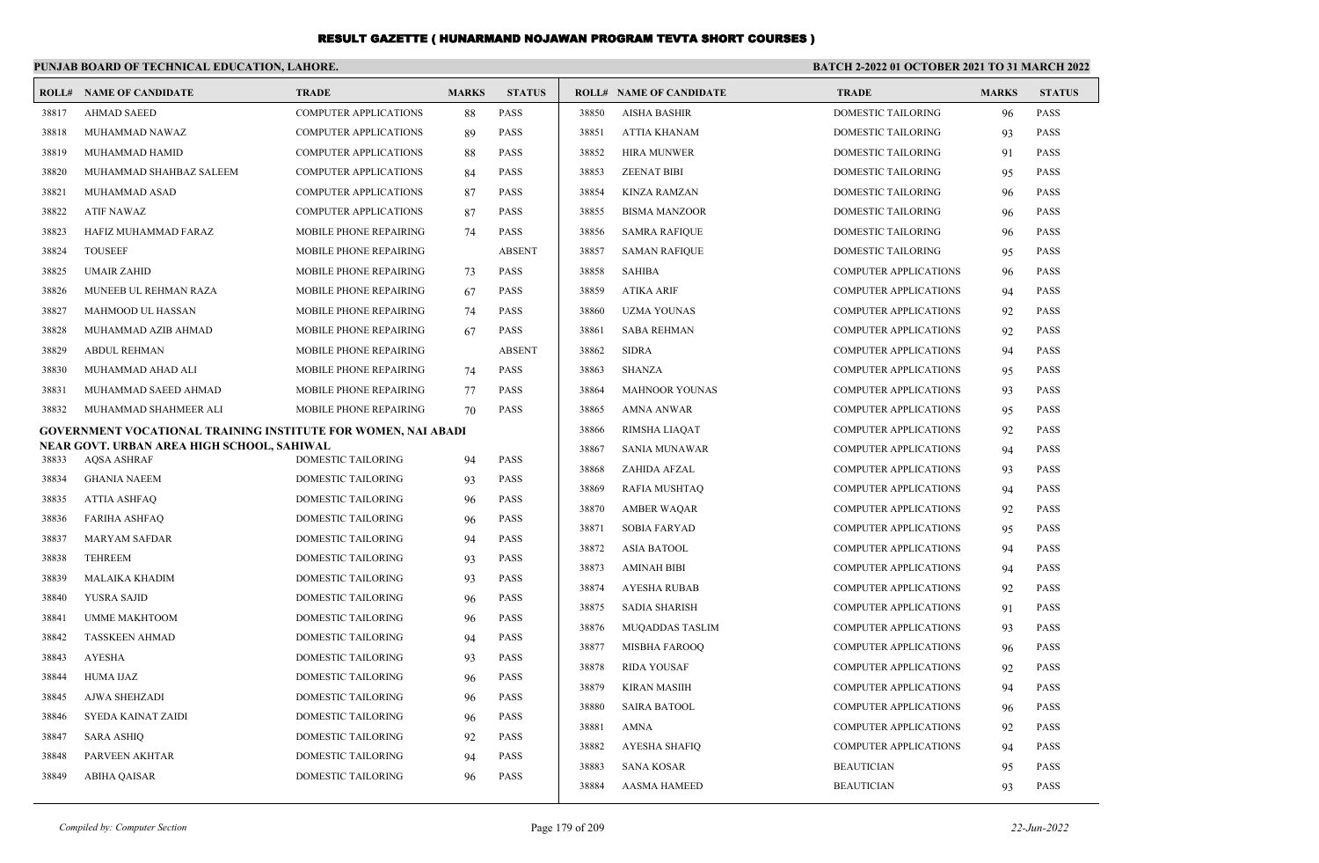|       | PUNJAB BOARD OF TECHNICAL EDUCATION, LAHORE.                     |                               |              | BATCH 2-2022 01 OCTOBER 2021 TO 31 MARCH 2022 |       |                                |                              |              |               |
|-------|------------------------------------------------------------------|-------------------------------|--------------|-----------------------------------------------|-------|--------------------------------|------------------------------|--------------|---------------|
|       | <b>ROLL# NAME OF CANDIDATE</b>                                   | <b>TRADE</b>                  | <b>MARKS</b> | <b>STATUS</b>                                 |       | <b>ROLL# NAME OF CANDIDATE</b> | <b>TRADE</b>                 | <b>MARKS</b> | <b>STATUS</b> |
| 38817 | <b>AHMAD SAEED</b>                                               | <b>COMPUTER APPLICATIONS</b>  | 88           | <b>PASS</b>                                   | 38850 | <b>AISHA BASHIR</b>            | <b>DOMESTIC TAILORING</b>    | 96           | <b>PASS</b>   |
| 38818 | MUHAMMAD NAWAZ                                                   | <b>COMPUTER APPLICATIONS</b>  | 89           | <b>PASS</b>                                   | 38851 | ATTIA KHANAM                   | DOMESTIC TAILORING           | 93           | <b>PASS</b>   |
| 38819 | MUHAMMAD HAMID                                                   | <b>COMPUTER APPLICATIONS</b>  | 88           | <b>PASS</b>                                   | 38852 | <b>HIRA MUNWER</b>             | DOMESTIC TAILORING           | 91           | <b>PASS</b>   |
| 38820 | MUHAMMAD SHAHBAZ SALEEM                                          | <b>COMPUTER APPLICATIONS</b>  | 84           | <b>PASS</b>                                   | 38853 | <b>ZEENAT BIBI</b>             | DOMESTIC TAILORING           | 95           | <b>PASS</b>   |
| 38821 | MUHAMMAD ASAD                                                    | <b>COMPUTER APPLICATIONS</b>  | 87           | <b>PASS</b>                                   | 38854 | <b>KINZA RAMZAN</b>            | DOMESTIC TAILORING           | 96           | <b>PASS</b>   |
| 38822 | <b>ATIF NAWAZ</b>                                                | <b>COMPUTER APPLICATIONS</b>  | 87           | <b>PASS</b>                                   | 38855 | <b>BISMA MANZOOR</b>           | DOMESTIC TAILORING           | 96           | <b>PASS</b>   |
| 38823 | HAFIZ MUHAMMAD FARAZ                                             | MOBILE PHONE REPAIRING        | 74           | PASS                                          | 38856 | <b>SAMRA RAFIQUE</b>           | DOMESTIC TAILORING           | 96           | <b>PASS</b>   |
| 38824 | <b>TOUSEEF</b>                                                   | MOBILE PHONE REPAIRING        |              | <b>ABSENT</b>                                 | 38857 | <b>SAMAN RAFIQUE</b>           | DOMESTIC TAILORING           | 95           | <b>PASS</b>   |
| 38825 | <b>UMAIR ZAHID</b>                                               | MOBILE PHONE REPAIRING        | 73           | <b>PASS</b>                                   | 38858 | <b>SAHIBA</b>                  | <b>COMPUTER APPLICATIONS</b> | 96           | <b>PASS</b>   |
| 38826 | MUNEEB UL REHMAN RAZA                                            | MOBILE PHONE REPAIRING        | 67           | <b>PASS</b>                                   | 38859 | <b>ATIKA ARIF</b>              | <b>COMPUTER APPLICATIONS</b> | 94           | <b>PASS</b>   |
| 38827 | <b>MAHMOOD UL HASSAN</b>                                         | MOBILE PHONE REPAIRING        | 74           | <b>PASS</b>                                   | 38860 | <b>UZMA YOUNAS</b>             | <b>COMPUTER APPLICATIONS</b> | 92           | <b>PASS</b>   |
| 38828 | MUHAMMAD AZIB AHMAD                                              | <b>MOBILE PHONE REPAIRING</b> | 67           | <b>PASS</b>                                   | 38861 | <b>SABA REHMAN</b>             | COMPUTER APPLICATIONS        | 92           | <b>PASS</b>   |
| 38829 | <b>ABDUL REHMAN</b>                                              | MOBILE PHONE REPAIRING        |              | <b>ABSENT</b>                                 | 38862 | <b>SIDRA</b>                   | <b>COMPUTER APPLICATIONS</b> | 94           | <b>PASS</b>   |
| 38830 | MUHAMMAD AHAD ALI                                                | MOBILE PHONE REPAIRING        | 74           | <b>PASS</b>                                   | 38863 | <b>SHANZA</b>                  | <b>COMPUTER APPLICATIONS</b> | 95           | <b>PASS</b>   |
| 38831 | MUHAMMAD SAEED AHMAD                                             | MOBILE PHONE REPAIRING        | 77           | <b>PASS</b>                                   | 38864 | <b>MAHNOOR YOUNAS</b>          | <b>COMPUTER APPLICATIONS</b> | 93           | <b>PASS</b>   |
| 38832 | MUHAMMAD SHAHMEER ALI                                            | MOBILE PHONE REPAIRING        | 70           | <b>PASS</b>                                   | 38865 | <b>AMNA ANWAR</b>              | <b>COMPUTER APPLICATIONS</b> | 95           | <b>PASS</b>   |
|       | GOVERNMENT VOCATIONAL TRAINING INSTITUTE FOR WOMEN, NAI ABADI    |                               |              |                                               | 38866 | RIMSHA LIAQAT                  | <b>COMPUTER APPLICATIONS</b> | 92           | <b>PASS</b>   |
| 38833 | NEAR GOVT. URBAN AREA HIGH SCHOOL, SAHIWAL<br><b>AQSA ASHRAF</b> | DOMESTIC TAILORING            | 94           | PASS                                          | 38867 | <b>SANIA MUNAWAR</b>           | <b>COMPUTER APPLICATIONS</b> | 94           | <b>PASS</b>   |
| 38834 | <b>GHANIA NAEEM</b>                                              | DOMESTIC TAILORING            | 93           | PASS                                          | 38868 | ZAHIDA AFZAL                   | <b>COMPUTER APPLICATIONS</b> | 93           | <b>PASS</b>   |
| 38835 | <b>ATTIA ASHFAQ</b>                                              | DOMESTIC TAILORING            | 96           | <b>PASS</b>                                   | 38869 | <b>RAFIA MUSHTAO</b>           | <b>COMPUTER APPLICATIONS</b> | 94           | <b>PASS</b>   |
| 38836 | <b>FARIHA ASHFAO</b>                                             | <b>DOMESTIC TAILORING</b>     | 96           | <b>PASS</b>                                   | 38870 | <b>AMBER WAQAR</b>             | <b>COMPUTER APPLICATIONS</b> | 92           | <b>PASS</b>   |
| 38837 | <b>MARYAM SAFDAR</b>                                             | <b>DOMESTIC TAILORING</b>     | 94           | <b>PASS</b>                                   | 38871 | <b>SOBIA FARYAD</b>            | <b>COMPUTER APPLICATIONS</b> | 95           | <b>PASS</b>   |
| 38838 | <b>TEHREEM</b>                                                   | <b>DOMESTIC TAILORING</b>     | 93           | <b>PASS</b>                                   | 38872 | <b>ASIA BATOOL</b>             | <b>COMPUTER APPLICATIONS</b> | 94           | <b>PASS</b>   |
| 38839 | <b>MALAIKA KHADIM</b>                                            | DOMESTIC TAILORING            | 93           | <b>PASS</b>                                   | 38873 | <b>AMINAH BIBI</b>             | <b>COMPUTER APPLICATIONS</b> | 94           | <b>PASS</b>   |
| 38840 | YUSRA SAJID                                                      | <b>DOMESTIC TAILORING</b>     | 96           | <b>PASS</b>                                   | 38874 | AYESHA RUBAB                   | <b>COMPUTER APPLICATIONS</b> | 92           | <b>PASS</b>   |
| 38841 | <b>UMME MAKHTOOM</b>                                             | <b>DOMESTIC TAILORING</b>     | 96           | <b>PASS</b>                                   | 38875 | <b>SADIA SHARISH</b>           | <b>COMPUTER APPLICATIONS</b> | 91           | <b>PASS</b>   |
| 38842 | <b>TASSKEEN AHMAD</b>                                            | DOMESTIC TAILORING            | 94           | PASS                                          | 38876 | <b>MUQADDAS TASLIM</b>         | <b>COMPUTER APPLICATIONS</b> | 93           | <b>PASS</b>   |
| 38843 | <b>AYESHA</b>                                                    | DOMESTIC TAILORING            | 93           | PASS                                          | 38877 | <b>MISBHA FAROOQ</b>           | <b>COMPUTER APPLICATIONS</b> | 96           | <b>PASS</b>   |
| 38844 | HUMA IJAZ                                                        | DOMESTIC TAILORING            | 96           | <b>PASS</b>                                   | 38878 | <b>RIDA YOUSAF</b>             | <b>COMPUTER APPLICATIONS</b> | 92           | <b>PASS</b>   |
| 38845 | AJWA SHEHZADI                                                    | DOMESTIC TAILORING            | 96           | PASS                                          | 38879 | <b>KIRAN MASIIH</b>            | <b>COMPUTER APPLICATIONS</b> | 94           | <b>PASS</b>   |
| 38846 | SYEDA KAINAT ZAIDI                                               | DOMESTIC TAILORING            | 96           | <b>PASS</b>                                   | 38880 | <b>SAIRA BATOOL</b>            | <b>COMPUTER APPLICATIONS</b> | 96           | <b>PASS</b>   |
| 38847 | <b>SARA ASHIQ</b>                                                | DOMESTIC TAILORING            | 92           | <b>PASS</b>                                   | 38881 | <b>AMNA</b>                    | <b>COMPUTER APPLICATIONS</b> | 92           | <b>PASS</b>   |
| 38848 | PARVEEN AKHTAR                                                   | <b>DOMESTIC TAILORING</b>     | 94           | <b>PASS</b>                                   | 38882 | <b>AYESHA SHAFIQ</b>           | COMPUTER APPLICATIONS        | 94           | <b>PASS</b>   |
| 38849 | <b>ABIHA QAISAR</b>                                              | <b>DOMESTIC TAILORING</b>     | 96           | <b>PASS</b>                                   | 38883 | <b>SANA KOSAR</b>              | <b>BEAUTICIAN</b>            | 95           | <b>PASS</b>   |
|       |                                                                  |                               |              |                                               | 38884 | <b>AASMA HAMEED</b>            | <b>BEAUTICIAN</b>            | 93           | <b>PASS</b>   |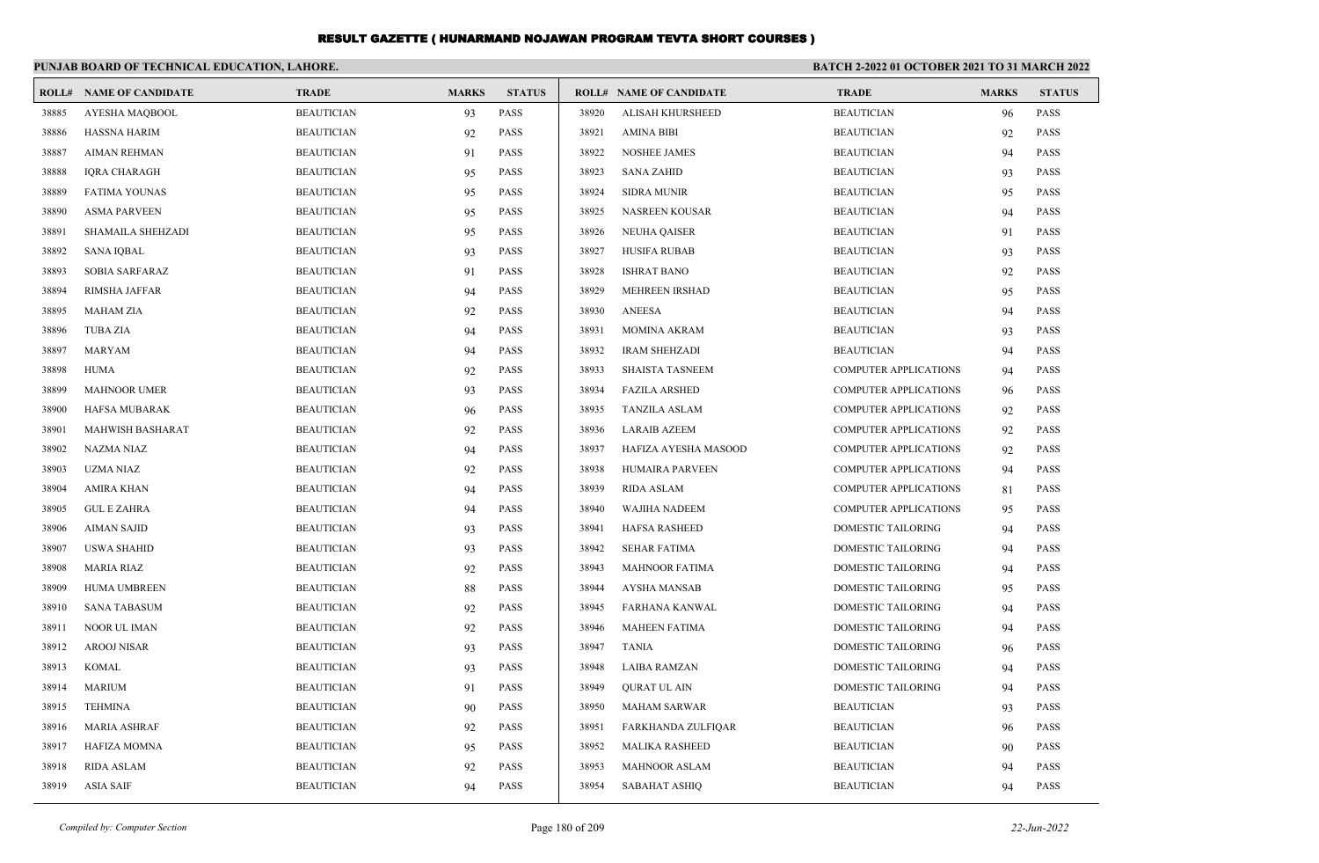|       | PUNJAB BOARD OF TECHNICAL EDUCATION, LAHORE. |                   |              |               | <b>BATCH 2-2022 01 OCTOBER 2021 TO 31 MARCH 2022</b> |                                |                              |              |               |
|-------|----------------------------------------------|-------------------|--------------|---------------|------------------------------------------------------|--------------------------------|------------------------------|--------------|---------------|
|       | <b>ROLL# NAME OF CANDIDATE</b>               | <b>TRADE</b>      | <b>MARKS</b> | <b>STATUS</b> |                                                      | <b>ROLL# NAME OF CANDIDATE</b> | <b>TRADE</b>                 | <b>MARKS</b> | <b>STATUS</b> |
| 38885 | AYESHA MAQBOOL                               | <b>BEAUTICIAN</b> | 93           | <b>PASS</b>   | 38920                                                | ALISAH KHURSHEED               | <b>BEAUTICIAN</b>            | 96           | <b>PASS</b>   |
| 38886 | <b>HASSNA HARIM</b>                          | <b>BEAUTICIAN</b> | 92           | PASS          | 38921                                                | <b>AMINA BIBI</b>              | <b>BEAUTICIAN</b>            | 92           | <b>PASS</b>   |
| 38887 | <b>AIMAN REHMAN</b>                          | <b>BEAUTICIAN</b> | 91           | PASS          | 38922                                                | <b>NOSHEE JAMES</b>            | <b>BEAUTICIAN</b>            | 94           | <b>PASS</b>   |
| 38888 | IQRA CHARAGH                                 | <b>BEAUTICIAN</b> | 95           | PASS          | 38923                                                | <b>SANA ZAHID</b>              | <b>BEAUTICIAN</b>            | 93           | PASS          |
| 38889 | <b>FATIMA YOUNAS</b>                         | <b>BEAUTICIAN</b> | 95           | <b>PASS</b>   | 38924                                                | <b>SIDRA MUNIR</b>             | <b>BEAUTICIAN</b>            | 95           | <b>PASS</b>   |
| 38890 | <b>ASMA PARVEEN</b>                          | <b>BEAUTICIAN</b> | 95           | PASS          | 38925                                                | <b>NASREEN KOUSAR</b>          | <b>BEAUTICIAN</b>            | 94           | <b>PASS</b>   |
| 38891 | SHAMAILA SHEHZADI                            | <b>BEAUTICIAN</b> | 95           | PASS          | 38926                                                | <b>NEUHA QAISER</b>            | <b>BEAUTICIAN</b>            | 91           | <b>PASS</b>   |
| 38892 | <b>SANA IQBAL</b>                            | <b>BEAUTICIAN</b> | 93           | <b>PASS</b>   | 38927                                                | <b>HUSIFA RUBAB</b>            | <b>BEAUTICIAN</b>            | 93           | <b>PASS</b>   |
| 38893 | <b>SOBIA SARFARAZ</b>                        | <b>BEAUTICIAN</b> | 91           | <b>PASS</b>   | 38928                                                | <b>ISHRAT BANO</b>             | <b>BEAUTICIAN</b>            | 92           | <b>PASS</b>   |
| 38894 | <b>RIMSHA JAFFAR</b>                         | <b>BEAUTICIAN</b> | 94           | PASS          | 38929                                                | MEHREEN IRSHAD                 | <b>BEAUTICIAN</b>            | 95           | <b>PASS</b>   |
| 38895 | <b>MAHAM ZIA</b>                             | <b>BEAUTICIAN</b> | 92           | <b>PASS</b>   | 38930                                                | <b>ANEESA</b>                  | <b>BEAUTICIAN</b>            | 94           | <b>PASS</b>   |
| 38896 | <b>TUBA ZIA</b>                              | <b>BEAUTICIAN</b> | 94           | PASS          | 38931                                                | <b>MOMINA AKRAM</b>            | <b>BEAUTICIAN</b>            | 93           | <b>PASS</b>   |
| 38897 | <b>MARYAM</b>                                | <b>BEAUTICIAN</b> | 94           | <b>PASS</b>   | 38932                                                | <b>IRAM SHEHZADI</b>           | <b>BEAUTICIAN</b>            | 94           | <b>PASS</b>   |
| 38898 | <b>HUMA</b>                                  | <b>BEAUTICIAN</b> | 92           | PASS          | 38933                                                | <b>SHAISTA TASNEEM</b>         | <b>COMPUTER APPLICATIONS</b> | 94           | <b>PASS</b>   |
| 38899 | <b>MAHNOOR UMER</b>                          | <b>BEAUTICIAN</b> | 93           | PASS          | 38934                                                | <b>FAZILA ARSHED</b>           | <b>COMPUTER APPLICATIONS</b> | 96           | <b>PASS</b>   |
| 38900 | HAFSA MUBARAK                                | <b>BEAUTICIAN</b> | 96           | PASS          | 38935                                                | <b>TANZILA ASLAM</b>           | <b>COMPUTER APPLICATIONS</b> | 92           | <b>PASS</b>   |
| 38901 | <b>MAHWISH BASHARAT</b>                      | <b>BEAUTICIAN</b> | 92           | <b>PASS</b>   | 38936                                                | <b>LARAIB AZEEM</b>            | <b>COMPUTER APPLICATIONS</b> | 92           | <b>PASS</b>   |
| 38902 | <b>NAZMA NIAZ</b>                            | <b>BEAUTICIAN</b> | 94           | PASS          | 38937                                                | HAFIZA AYESHA MASOOD           | <b>COMPUTER APPLICATIONS</b> | 92           | <b>PASS</b>   |
| 38903 | UZMA NIAZ                                    | <b>BEAUTICIAN</b> | 92           | PASS          | 38938                                                | HUMAIRA PARVEEN                | <b>COMPUTER APPLICATIONS</b> | 94           | <b>PASS</b>   |
| 38904 | <b>AMIRA KHAN</b>                            | <b>BEAUTICIAN</b> | 94           | PASS          | 38939                                                | RIDA ASLAM                     | <b>COMPUTER APPLICATIONS</b> | 81           | <b>PASS</b>   |
| 38905 | <b>GUL E ZAHRA</b>                           | <b>BEAUTICIAN</b> | 94           | PASS          | 38940                                                | WAJIHA NADEEM                  | <b>COMPUTER APPLICATIONS</b> | 95           | <b>PASS</b>   |
| 38906 | <b>AIMAN SAJID</b>                           | <b>BEAUTICIAN</b> | 93           | PASS          | 38941                                                | <b>HAFSA RASHEED</b>           | DOMESTIC TAILORING           | 94           | <b>PASS</b>   |
| 38907 | <b>USWA SHAHID</b>                           | <b>BEAUTICIAN</b> | 93           | PASS          | 38942                                                | <b>SEHAR FATIMA</b>            | DOMESTIC TAILORING           | 94           | <b>PASS</b>   |
| 38908 | <b>MARIA RIAZ</b>                            | <b>BEAUTICIAN</b> | 92           | PASS          | 38943                                                | <b>MAHNOOR FATIMA</b>          | DOMESTIC TAILORING           | 94           | <b>PASS</b>   |
| 38909 | HUMA UMBREEN                                 | <b>BEAUTICIAN</b> | 88           | PASS          | 38944                                                | <b>AYSHA MANSAB</b>            | DOMESTIC TAILORING           | 95           | <b>PASS</b>   |
| 38910 | <b>SANA TABASUM</b>                          | <b>BEAUTICIAN</b> | 92           | PASS          | 38945                                                | <b>FARHANA KANWAL</b>          | DOMESTIC TAILORING           | 94           | <b>PASS</b>   |
| 38911 | <b>NOOR UL IMAN</b>                          | <b>BEAUTICIAN</b> | 92           | PASS          | 38946                                                | <b>MAHEEN FATIMA</b>           | DOMESTIC TAILORING           | 94           | <b>PASS</b>   |
| 38912 | <b>AROOJ NISAR</b>                           | <b>BEAUTICIAN</b> | 93           | PASS          | 38947                                                | <b>TANIA</b>                   | DOMESTIC TAILORING           | 96           | <b>PASS</b>   |
| 38913 | <b>KOMAL</b>                                 | <b>BEAUTICIAN</b> | 93           | PASS          | 38948                                                | LAIBA RAMZAN                   | DOMESTIC TAILORING           | 94           | <b>PASS</b>   |
| 38914 | <b>MARIUM</b>                                | <b>BEAUTICIAN</b> | 91           | PASS          | 38949                                                | <b>QURAT UL AIN</b>            | DOMESTIC TAILORING           | 94           | <b>PASS</b>   |
| 38915 | <b>TEHMINA</b>                               | <b>BEAUTICIAN</b> | 90           | PASS          | 38950                                                | <b>MAHAM SARWAR</b>            | <b>BEAUTICIAN</b>            | 93           | <b>PASS</b>   |
| 38916 | <b>MARIA ASHRAF</b>                          | <b>BEAUTICIAN</b> | 92           | PASS          | 38951                                                | FARKHANDA ZULFIQAR             | <b>BEAUTICIAN</b>            | 96           | <b>PASS</b>   |
| 38917 | <b>HAFIZA MOMNA</b>                          | <b>BEAUTICIAN</b> | 95           | PASS          | 38952                                                | <b>MALIKA RASHEED</b>          | <b>BEAUTICIAN</b>            | 90           | <b>PASS</b>   |
| 38918 | <b>RIDA ASLAM</b>                            | <b>BEAUTICIAN</b> | 92           | <b>PASS</b>   | 38953                                                | <b>MAHNOOR ASLAM</b>           | <b>BEAUTICIAN</b>            | 94           | <b>PASS</b>   |
| 38919 | <b>ASIA SAIF</b>                             | <b>BEAUTICIAN</b> | 94           | <b>PASS</b>   | 38954                                                | <b>SABAHAT ASHIQ</b>           | <b>BEAUTICIAN</b>            | 94           | <b>PASS</b>   |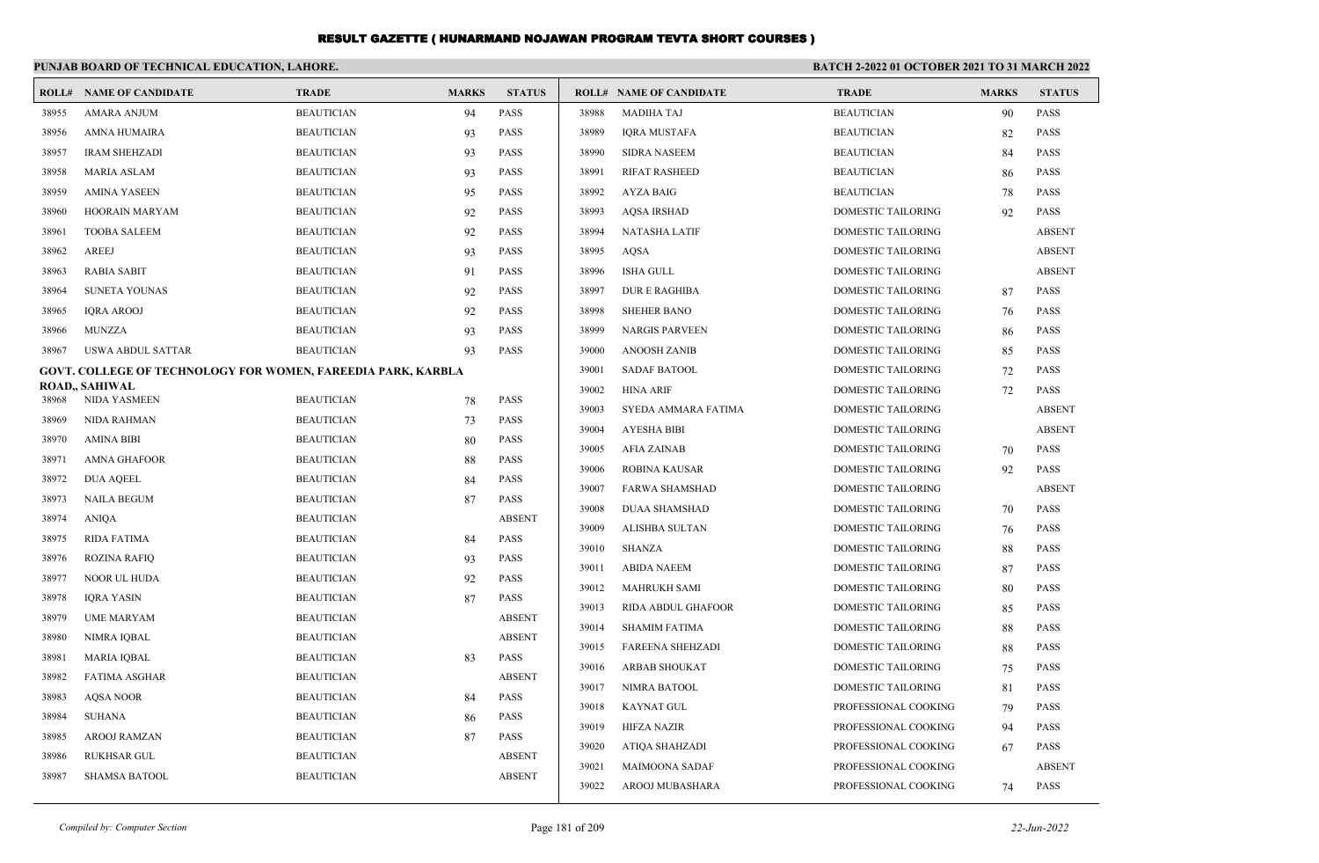|       | PUNJAB BOARD OF TECHNICAL EDUCATION, LAHORE.                        |                   |              |               | <b>BATCH 2-2022 01 OCTOBER 2021 TO 31 MARCH 2022</b> |                                |                           |              |               |
|-------|---------------------------------------------------------------------|-------------------|--------------|---------------|------------------------------------------------------|--------------------------------|---------------------------|--------------|---------------|
| ROLL# | <b>NAME OF CANDIDATE</b>                                            | <b>TRADE</b>      | <b>MARKS</b> | <b>STATUS</b> |                                                      | <b>ROLL# NAME OF CANDIDATE</b> | <b>TRADE</b>              | <b>MARKS</b> | <b>STATUS</b> |
| 38955 | <b>AMARA ANJUM</b>                                                  | <b>BEAUTICIAN</b> | 94           | <b>PASS</b>   | 38988                                                | <b>MADIHA TAJ</b>              | <b>BEAUTICIAN</b>         | 90           | <b>PASS</b>   |
| 38956 | AMNA HUMAIRA                                                        | <b>BEAUTICIAN</b> | 93           | <b>PASS</b>   | 38989                                                | <b>IQRA MUSTAFA</b>            | <b>BEAUTICIAN</b>         | 82           | <b>PASS</b>   |
| 38957 | <b>IRAM SHEHZADI</b>                                                | <b>BEAUTICIAN</b> | 93           | <b>PASS</b>   | 38990                                                | <b>SIDRA NASEEM</b>            | <b>BEAUTICIAN</b>         | 84           | <b>PASS</b>   |
| 38958 | <b>MARIA ASLAM</b>                                                  | <b>BEAUTICIAN</b> | 93           | <b>PASS</b>   | 38991                                                | <b>RIFAT RASHEED</b>           | <b>BEAUTICIAN</b>         | 86           | <b>PASS</b>   |
| 38959 | <b>AMINA YASEEN</b>                                                 | <b>BEAUTICIAN</b> | 95           | <b>PASS</b>   | 38992                                                | <b>AYZA BAIG</b>               | <b>BEAUTICIAN</b>         | 78           | <b>PASS</b>   |
| 38960 | <b>HOORAIN MARYAM</b>                                               | <b>BEAUTICIAN</b> | 92           | <b>PASS</b>   | 38993                                                | <b>AQSA IRSHAD</b>             | DOMESTIC TAILORING        | 92           | <b>PASS</b>   |
| 38961 | <b>TOOBA SALEEM</b>                                                 | <b>BEAUTICIAN</b> | 92           | <b>PASS</b>   | 38994                                                | <b>NATASHA LATIF</b>           | <b>DOMESTIC TAILORING</b> |              | <b>ABSENT</b> |
| 38962 | <b>AREEJ</b>                                                        | <b>BEAUTICIAN</b> | 93           | <b>PASS</b>   | 38995                                                | <b>AQSA</b>                    | <b>DOMESTIC TAILORING</b> |              | <b>ABSENT</b> |
| 38963 | <b>RABIA SABIT</b>                                                  | <b>BEAUTICIAN</b> | 91           | <b>PASS</b>   | 38996                                                | <b>ISHA GULL</b>               | <b>DOMESTIC TAILORING</b> |              | <b>ABSENT</b> |
| 38964 | <b>SUNETA YOUNAS</b>                                                | <b>BEAUTICIAN</b> | 92           | <b>PASS</b>   | 38997                                                | <b>DURE RAGHIBA</b>            | DOMESTIC TAILORING        | 87           | <b>PASS</b>   |
| 38965 | <b>IORA AROOJ</b>                                                   | <b>BEAUTICIAN</b> | 92           | <b>PASS</b>   | 38998                                                | <b>SHEHER BANO</b>             | <b>DOMESTIC TAILORING</b> | 76           | <b>PASS</b>   |
| 38966 | <b>MUNZZA</b>                                                       | <b>BEAUTICIAN</b> | 93           | <b>PASS</b>   | 38999                                                | <b>NARGIS PARVEEN</b>          | DOMESTIC TAILORING        | 86           | <b>PASS</b>   |
| 38967 | <b>USWA ABDUL SATTAR</b>                                            | <b>BEAUTICIAN</b> | 93           | <b>PASS</b>   | 39000                                                | <b>ANOOSH ZANIB</b>            | DOMESTIC TAILORING        | 85           | <b>PASS</b>   |
|       | <b>GOVT. COLLEGE OF TECHNOLOGY FOR WOMEN, FAREEDIA PARK, KARBLA</b> |                   |              |               | 39001                                                | <b>SADAF BATOOL</b>            | DOMESTIC TAILORING        | 72           | <b>PASS</b>   |
| 38968 | <b>ROAD,, SAHIWAL</b><br>NIDA YASMEEN                               | <b>BEAUTICIAN</b> |              | <b>PASS</b>   | 39002                                                | <b>HINA ARIF</b>               | DOMESTIC TAILORING        | 72           | <b>PASS</b>   |
| 38969 | NIDA RAHMAN                                                         | <b>BEAUTICIAN</b> | 78<br>73     | <b>PASS</b>   | 39003                                                | SYEDA AMMARA FATIMA            | <b>DOMESTIC TAILORING</b> |              | <b>ABSENT</b> |
| 38970 | <b>AMINA BIBI</b>                                                   | <b>BEAUTICIAN</b> | 80           | <b>PASS</b>   | 39004                                                | <b>AYESHA BIBI</b>             | <b>DOMESTIC TAILORING</b> |              | <b>ABSENT</b> |
| 38971 | AMNA GHAFOOR                                                        | <b>BEAUTICIAN</b> | 88           | <b>PASS</b>   | 39005                                                | <b>AFIA ZAINAB</b>             | <b>DOMESTIC TAILORING</b> | 70           | <b>PASS</b>   |
| 38972 | <b>DUA AQEEL</b>                                                    | <b>BEAUTICIAN</b> | 84           | <b>PASS</b>   | 39006                                                | ROBINA KAUSAR                  | DOMESTIC TAILORING        | 92           | <b>PASS</b>   |
| 38973 | <b>NAILA BEGUM</b>                                                  | <b>BEAUTICIAN</b> | 87           | <b>PASS</b>   | 39007                                                | <b>FARWA SHAMSHAD</b>          | <b>DOMESTIC TAILORING</b> |              | <b>ABSENT</b> |
| 38974 | <b>ANIOA</b>                                                        | <b>BEAUTICIAN</b> |              | <b>ABSENT</b> | 39008                                                | <b>DUAA SHAMSHAD</b>           | <b>DOMESTIC TAILORING</b> | 70           | <b>PASS</b>   |
| 38975 | <b>RIDA FATIMA</b>                                                  | <b>BEAUTICIAN</b> | 84           | <b>PASS</b>   | 39009                                                | <b>ALISHBA SULTAN</b>          | <b>DOMESTIC TAILORING</b> | 76           | <b>PASS</b>   |
| 38976 | <b>ROZINA RAFIQ</b>                                                 | <b>BEAUTICIAN</b> | 93           | <b>PASS</b>   | 39010                                                | <b>SHANZA</b>                  | <b>DOMESTIC TAILORING</b> | 88           | <b>PASS</b>   |
| 38977 | NOOR UL HUDA                                                        | <b>BEAUTICIAN</b> | 92           | <b>PASS</b>   | 39011                                                | <b>ABIDA NAEEM</b>             | <b>DOMESTIC TAILORING</b> | 87           | <b>PASS</b>   |
| 38978 | <b>IQRA YASIN</b>                                                   | <b>BEAUTICIAN</b> | 87           | <b>PASS</b>   | 39012                                                | <b>MAHRUKH SAMI</b>            | DOMESTIC TAILORING        | 80           | <b>PASS</b>   |
| 38979 | <b>UME MARYAM</b>                                                   | <b>BEAUTICIAN</b> |              | <b>ABSENT</b> | 39013                                                | RIDA ABDUL GHAFOOR             | DOMESTIC TAILORING        | 85           | <b>PASS</b>   |
| 38980 | NIMRA IQBAL                                                         | <b>BEAUTICIAN</b> |              | <b>ABSENT</b> | 39014                                                | <b>SHAMIM FATIMA</b>           | DOMESTIC TAILORING        | 88           | <b>PASS</b>   |
| 38981 | <b>MARIA IOBAL</b>                                                  | <b>BEAUTICIAN</b> | 83           | <b>PASS</b>   | 39015                                                | <b>FAREENA SHEHZADI</b>        | DOMESTIC TAILORING        | 88           | <b>PASS</b>   |
| 38982 | <b>FATIMA ASGHAR</b>                                                | <b>BEAUTICIAN</b> |              | <b>ABSENT</b> | 39016                                                | <b>ARBAB SHOUKAT</b>           | DOMESTIC TAILORING        | 75           | <b>PASS</b>   |
| 38983 | <b>AQSA NOOR</b>                                                    | <b>BEAUTICIAN</b> | 84           | <b>PASS</b>   | 39017                                                | NIMRA BATOOL                   | DOMESTIC TAILORING        | 81           | <b>PASS</b>   |
| 38984 | <b>SUHANA</b>                                                       | <b>BEAUTICIAN</b> | 86           | <b>PASS</b>   | 39018                                                | <b>KAYNAT GUL</b>              | PROFESSIONAL COOKING      | 79           | <b>PASS</b>   |
| 38985 | AROOJ RAMZAN                                                        | <b>BEAUTICIAN</b> | 87           | <b>PASS</b>   | 39019                                                | <b>HIFZA NAZIR</b>             | PROFESSIONAL COOKING      | 94           | <b>PASS</b>   |
| 38986 | <b>RUKHSAR GUL</b>                                                  | <b>BEAUTICIAN</b> |              | <b>ABSENT</b> | 39020                                                | <b>ATIQA SHAHZADI</b>          | PROFESSIONAL COOKING      | 67           | <b>PASS</b>   |
| 38987 | <b>SHAMSA BATOOL</b>                                                | <b>BEAUTICIAN</b> |              | <b>ABSENT</b> | 39021                                                | <b>MAIMOONA SADAF</b>          | PROFESSIONAL COOKING      |              | <b>ABSENT</b> |
|       |                                                                     |                   |              |               | 39022                                                | AROOJ MUBASHARA                | PROFESSIONAL COOKING      | 74           | <b>PASS</b>   |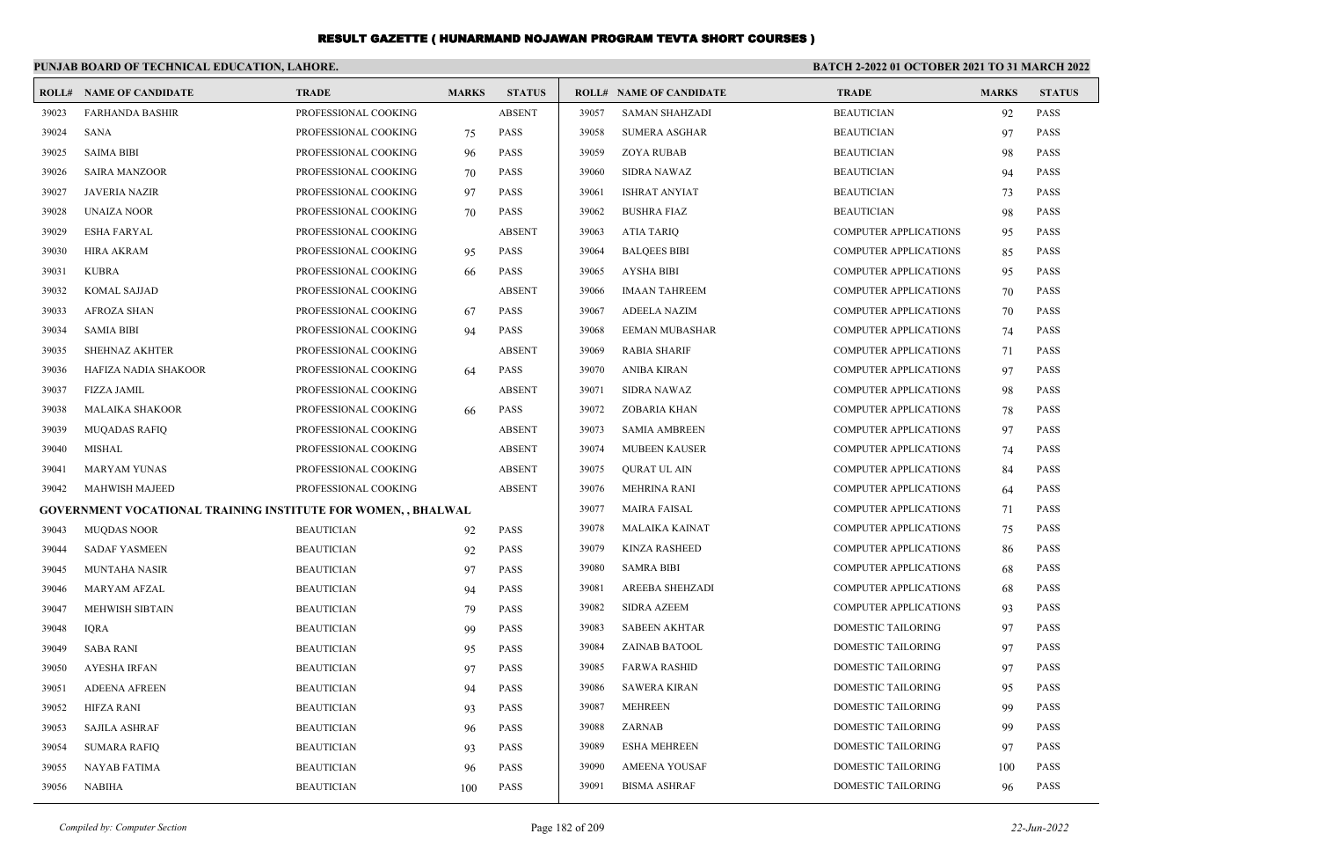|       | PUNJAB BOARD OF TECHNICAL EDUCATION, LAHORE.                        |                      |              |               |       |                                | <b>BATCH 2-2022 01 OCTOBER 2021 TO 31 MARCH 2022</b> |              |               |
|-------|---------------------------------------------------------------------|----------------------|--------------|---------------|-------|--------------------------------|------------------------------------------------------|--------------|---------------|
|       | <b>ROLL# NAME OF CANDIDATE</b>                                      | <b>TRADE</b>         | <b>MARKS</b> | <b>STATUS</b> |       | <b>ROLL# NAME OF CANDIDATE</b> | <b>TRADE</b>                                         | <b>MARKS</b> | <b>STATUS</b> |
| 39023 | <b>FARHANDA BASHIR</b>                                              | PROFESSIONAL COOKING |              | <b>ABSENT</b> | 39057 | <b>SAMAN SHAHZADI</b>          | <b>BEAUTICIAN</b>                                    | 92           | <b>PASS</b>   |
| 39024 | SANA                                                                | PROFESSIONAL COOKING | 75           | <b>PASS</b>   | 39058 | <b>SUMERA ASGHAR</b>           | <b>BEAUTICIAN</b>                                    | 97           | <b>PASS</b>   |
| 39025 | <b>SAIMA BIBI</b>                                                   | PROFESSIONAL COOKING | 96           | PASS          | 39059 | <b>ZOYA RUBAB</b>              | <b>BEAUTICIAN</b>                                    | 98           | <b>PASS</b>   |
| 39026 | <b>SAIRA MANZOOR</b>                                                | PROFESSIONAL COOKING | 70           | <b>PASS</b>   | 39060 | <b>SIDRA NAWAZ</b>             | <b>BEAUTICIAN</b>                                    | 94           | <b>PASS</b>   |
| 39027 | JAVERIA NAZIR                                                       | PROFESSIONAL COOKING | 97           | <b>PASS</b>   | 39061 | <b>ISHRAT ANYIAT</b>           | <b>BEAUTICIAN</b>                                    | 73           | <b>PASS</b>   |
| 39028 | <b>UNAIZA NOOR</b>                                                  | PROFESSIONAL COOKING | 70           | <b>PASS</b>   | 39062 | <b>BUSHRA FIAZ</b>             | <b>BEAUTICIAN</b>                                    | 98           | <b>PASS</b>   |
| 39029 | <b>ESHA FARYAL</b>                                                  | PROFESSIONAL COOKING |              | <b>ABSENT</b> | 39063 | <b>ATIA TARIQ</b>              | <b>COMPUTER APPLICATIONS</b>                         | 95           | <b>PASS</b>   |
| 39030 | HIRA AKRAM                                                          | PROFESSIONAL COOKING | 95           | <b>PASS</b>   | 39064 | <b>BALQEES BIBI</b>            | <b>COMPUTER APPLICATIONS</b>                         | 85           | <b>PASS</b>   |
| 39031 | KUBRA                                                               | PROFESSIONAL COOKING | 66           | <b>PASS</b>   | 39065 | <b>AYSHA BIBI</b>              | <b>COMPUTER APPLICATIONS</b>                         | 95           | <b>PASS</b>   |
| 39032 | <b>KOMAL SAJJAD</b>                                                 | PROFESSIONAL COOKING |              | <b>ABSENT</b> | 39066 | <b>IMAAN TAHREEM</b>           | <b>COMPUTER APPLICATIONS</b>                         | 70           | <b>PASS</b>   |
| 39033 | AFROZA SHAN                                                         | PROFESSIONAL COOKING | 67           | <b>PASS</b>   | 39067 | <b>ADEELA NAZIM</b>            | <b>COMPUTER APPLICATIONS</b>                         | 70           | <b>PASS</b>   |
| 39034 | <b>SAMIA BIBI</b>                                                   | PROFESSIONAL COOKING | 94           | <b>PASS</b>   | 39068 | <b>EEMAN MUBASHAR</b>          | <b>COMPUTER APPLICATIONS</b>                         | 74           | <b>PASS</b>   |
| 39035 | <b>SHEHNAZ AKHTER</b>                                               | PROFESSIONAL COOKING |              | <b>ABSENT</b> | 39069 | <b>RABIA SHARIF</b>            | <b>COMPUTER APPLICATIONS</b>                         | 71           | <b>PASS</b>   |
| 39036 | HAFIZA NADIA SHAKOOR                                                | PROFESSIONAL COOKING | 64           | PASS          | 39070 | ANIBA KIRAN                    | COMPUTER APPLICATIONS                                | 97           | <b>PASS</b>   |
| 39037 | <b>FIZZA JAMIL</b>                                                  | PROFESSIONAL COOKING |              | <b>ABSENT</b> | 39071 | <b>SIDRA NAWAZ</b>             | <b>COMPUTER APPLICATIONS</b>                         | -98          | <b>PASS</b>   |
| 39038 | <b>MALAIKA SHAKOOR</b>                                              | PROFESSIONAL COOKING | 66           | PASS          | 39072 | ZOBARIA KHAN                   | <b>COMPUTER APPLICATIONS</b>                         | 78           | <b>PASS</b>   |
| 39039 | <b>MUQADAS RAFIQ</b>                                                | PROFESSIONAL COOKING |              | <b>ABSENT</b> | 39073 | <b>SAMIA AMBREEN</b>           | <b>COMPUTER APPLICATIONS</b>                         | 97           | <b>PASS</b>   |
| 39040 | MISHAL                                                              | PROFESSIONAL COOKING |              | <b>ABSENT</b> | 39074 | <b>MUBEEN KAUSER</b>           | <b>COMPUTER APPLICATIONS</b>                         | 74           | <b>PASS</b>   |
| 39041 | MARYAM YUNAS                                                        | PROFESSIONAL COOKING |              | <b>ABSENT</b> | 39075 | QURAT UL AIN                   | <b>COMPUTER APPLICATIONS</b>                         | 84           | <b>PASS</b>   |
| 39042 | MAHWISH MAJEED                                                      | PROFESSIONAL COOKING |              | <b>ABSENT</b> | 39076 | <b>MEHRINA RANI</b>            | <b>COMPUTER APPLICATIONS</b>                         | 64           | <b>PASS</b>   |
|       | <b>GOVERNMENT VOCATIONAL TRAINING INSTITUTE FOR WOMEN,, BHALWAL</b> |                      |              |               | 39077 | <b>MAIRA FAISAL</b>            | <b>COMPUTER APPLICATIONS</b>                         | 71           | <b>PASS</b>   |
| 39043 | <b>MUQDAS NOOR</b>                                                  | <b>BEAUTICIAN</b>    | 92           | <b>PASS</b>   | 39078 | MALAIKA KAINAT                 | <b>COMPUTER APPLICATIONS</b>                         | 75           | <b>PASS</b>   |
| 39044 | <b>SADAF YASMEEN</b>                                                | <b>BEAUTICIAN</b>    | 92           | <b>PASS</b>   | 39079 | <b>KINZA RASHEED</b>           | <b>COMPUTER APPLICATIONS</b>                         | 86           | <b>PASS</b>   |
| 39045 | MUNTAHA NASIR                                                       | <b>BEAUTICIAN</b>    | 97           | <b>PASS</b>   | 39080 | <b>SAMRA BIBI</b>              | <b>COMPUTER APPLICATIONS</b>                         | 68           | <b>PASS</b>   |
| 39046 | MARYAM AFZAL                                                        | <b>BEAUTICIAN</b>    | 94           | <b>PASS</b>   | 39081 | AREEBA SHEHZADI                | <b>COMPUTER APPLICATIONS</b>                         | -68          | <b>PASS</b>   |
| 39047 | MEHWISH SIBTAIN                                                     | <b>BEAUTICIAN</b>    | 79           | <b>PASS</b>   | 39082 | <b>SIDRA AZEEM</b>             | <b>COMPUTER APPLICATIONS</b>                         | 93           | <b>PASS</b>   |
| 39048 | <b>IQRA</b>                                                         | <b>BEAUTICIAN</b>    | 99           | <b>PASS</b>   | 39083 | <b>SABEEN AKHTAR</b>           | DOMESTIC TAILORING                                   | 97           | <b>PASS</b>   |
| 39049 | <b>SABA RANI</b>                                                    | <b>BEAUTICIAN</b>    | 95           | <b>PASS</b>   | 39084 | ZAINAB BATOOL                  | DOMESTIC TAILORING                                   | 97           | <b>PASS</b>   |
| 39050 | <b>AYESHA IRFAN</b>                                                 | <b>BEAUTICIAN</b>    | 97           | <b>PASS</b>   | 39085 | <b>FARWA RASHID</b>            | DOMESTIC TAILORING                                   | 97           | <b>PASS</b>   |
| 39051 | ADEENA AFREEN                                                       | <b>BEAUTICIAN</b>    | 94           | PASS          | 39086 | SAWERA KIRAN                   | <b>DOMESTIC TAILORING</b>                            | 95           | <b>PASS</b>   |
| 39052 | HIFZA RANI                                                          | <b>BEAUTICIAN</b>    | 93           | PASS          | 39087 | <b>MEHREEN</b>                 | DOMESTIC TAILORING                                   | 99           | <b>PASS</b>   |
| 39053 | <b>SAJILA ASHRAF</b>                                                | <b>BEAUTICIAN</b>    | 96           | <b>PASS</b>   | 39088 | ZARNAB                         | DOMESTIC TAILORING                                   | 99           | PASS          |
| 39054 | SUMARA RAFIQ                                                        | <b>BEAUTICIAN</b>    | 93           | <b>PASS</b>   | 39089 | <b>ESHA MEHREEN</b>            | DOMESTIC TAILORING                                   | 97           | <b>PASS</b>   |
| 39055 | <b>NAYAB FATIMA</b>                                                 | <b>BEAUTICIAN</b>    | 96           | PASS          | 39090 | <b>AMEENA YOUSAF</b>           | <b>DOMESTIC TAILORING</b>                            | 100          | <b>PASS</b>   |
| 39056 | NABIHA                                                              | <b>BEAUTICIAN</b>    | 100          | PASS          | 39091 | <b>BISMA ASHRAF</b>            | DOMESTIC TAILORING                                   | 96           | <b>PASS</b>   |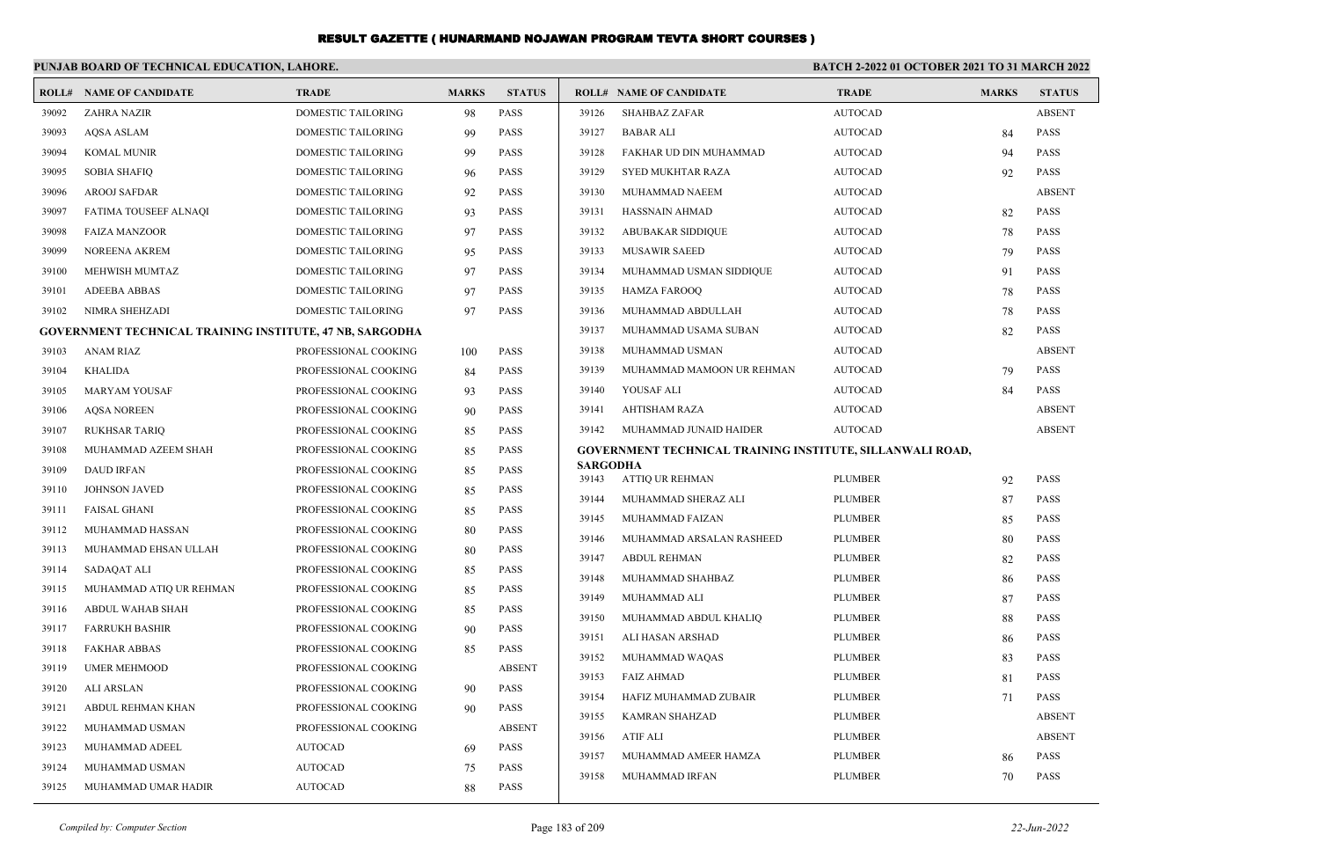|       | PUNJAB BOARD OF TECHNICAL EDUCATION, LAHORE.                    |                      |              |               |                          |                                                                  | <b>BATCH 2-2022 01 OCTOBER 2021 TO 31 MARCH 2022</b> |              |               |
|-------|-----------------------------------------------------------------|----------------------|--------------|---------------|--------------------------|------------------------------------------------------------------|------------------------------------------------------|--------------|---------------|
|       | <b>ROLL# NAME OF CANDIDATE</b>                                  | <b>TRADE</b>         | <b>MARKS</b> | <b>STATUS</b> |                          | <b>ROLL# NAME OF CANDIDATE</b>                                   | <b>TRADE</b>                                         | <b>MARKS</b> | <b>STATUS</b> |
| 39092 | <b>ZAHRA NAZIR</b>                                              | DOMESTIC TAILORING   | 98           | PASS          | 39126                    | <b>SHAHBAZ ZAFAR</b>                                             | <b>AUTOCAD</b>                                       |              | <b>ABSENT</b> |
| 39093 | <b>AQSA ASLAM</b>                                               | DOMESTIC TAILORING   | 99           | PASS          | 39127                    | <b>BABAR ALI</b>                                                 | <b>AUTOCAD</b>                                       | 84           | PASS          |
| 39094 | <b>KOMAL MUNIR</b>                                              | DOMESTIC TAILORING   | 99           | <b>PASS</b>   | 39128                    | FAKHAR UD DIN MUHAMMAD                                           | <b>AUTOCAD</b>                                       | 94           | <b>PASS</b>   |
| 39095 | <b>SOBIA SHAFIQ</b>                                             | DOMESTIC TAILORING   | 96           | <b>PASS</b>   | 39129                    | <b>SYED MUKHTAR RAZA</b>                                         | <b>AUTOCAD</b>                                       | 92           | <b>PASS</b>   |
| 39096 | <b>AROOJ SAFDAR</b>                                             | DOMESTIC TAILORING   | 92           | PASS          | 39130                    | MUHAMMAD NAEEM                                                   | <b>AUTOCAD</b>                                       |              | <b>ABSENT</b> |
| 39097 | FATIMA TOUSEEF ALNAQI                                           | DOMESTIC TAILORING   | 93           | <b>PASS</b>   | 39131                    | HASSNAIN AHMAD                                                   | <b>AUTOCAD</b>                                       | 82           | <b>PASS</b>   |
| 39098 | <b>FAIZA MANZOOR</b>                                            | DOMESTIC TAILORING   | 97           | <b>PASS</b>   | 39132                    | <b>ABUBAKAR SIDDIQUE</b>                                         | <b>AUTOCAD</b>                                       | 78           | PASS          |
| 39099 | NOREENA AKREM                                                   | DOMESTIC TAILORING   | 95           | <b>PASS</b>   | 39133                    | <b>MUSAWIR SAEED</b>                                             | <b>AUTOCAD</b>                                       | 79           | PASS          |
| 39100 | MEHWISH MUMTAZ                                                  | DOMESTIC TAILORING   | 97           | <b>PASS</b>   | 39134                    | MUHAMMAD USMAN SIDDIQUE                                          | <b>AUTOCAD</b>                                       | 91           | <b>PASS</b>   |
| 39101 | <b>ADEEBA ABBAS</b>                                             | DOMESTIC TAILORING   | 97           | <b>PASS</b>   | 39135                    | <b>HAMZA FAROOQ</b>                                              | <b>AUTOCAD</b>                                       | 78           | PASS          |
| 39102 | NIMRA SHEHZADI                                                  | DOMESTIC TAILORING   | 97           | PASS          | 39136                    | MUHAMMAD ABDULLAH                                                | <b>AUTOCAD</b>                                       | 78           | PASS          |
|       | <b>GOVERNMENT TECHNICAL TRAINING INSTITUTE, 47 NB, SARGODHA</b> |                      |              |               | 39137                    | MUHAMMAD USAMA SUBAN                                             | <b>AUTOCAD</b>                                       | 82           | <b>PASS</b>   |
| 39103 | <b>ANAM RIAZ</b>                                                | PROFESSIONAL COOKING | 100          | <b>PASS</b>   | 39138                    | MUHAMMAD USMAN                                                   | <b>AUTOCAD</b>                                       |              | <b>ABSENT</b> |
| 39104 | <b>KHALIDA</b>                                                  | PROFESSIONAL COOKING | 84           | <b>PASS</b>   | 39139                    | MUHAMMAD MAMOON UR REHMAN                                        | <b>AUTOCAD</b>                                       | 79           | <b>PASS</b>   |
| 39105 | <b>MARYAM YOUSAF</b>                                            | PROFESSIONAL COOKING | 93           | <b>PASS</b>   | 39140                    | YOUSAF ALI                                                       | <b>AUTOCAD</b>                                       | 84           | <b>PASS</b>   |
| 39106 | <b>AQSA NOREEN</b>                                              | PROFESSIONAL COOKING | 90           | PASS          | 39141                    | <b>AHTISHAM RAZA</b>                                             | <b>AUTOCAD</b>                                       |              | <b>ABSENT</b> |
| 39107 | <b>RUKHSAR TARIQ</b>                                            | PROFESSIONAL COOKING | 85           | <b>PASS</b>   | 39142                    | MUHAMMAD JUNAID HAIDER                                           | <b>AUTOCAD</b>                                       |              | <b>ABSENT</b> |
| 39108 | MUHAMMAD AZEEM SHAH                                             | PROFESSIONAL COOKING | 85           | <b>PASS</b>   |                          | <b>GOVERNMENT TECHNICAL TRAINING INSTITUTE, SILLANWALI ROAD,</b> |                                                      |              |               |
| 39109 | <b>DAUD IRFAN</b>                                               | PROFESSIONAL COOKING | 85           | PASS          | <b>SARGODHA</b><br>39143 | <b>ATTIO UR REHMAN</b>                                           | <b>PLUMBER</b>                                       | 92           | <b>PASS</b>   |
| 39110 | <b>JOHNSON JAVED</b>                                            | PROFESSIONAL COOKING | 85           | <b>PASS</b>   | 39144                    | MUHAMMAD SHERAZ ALI                                              | <b>PLUMBER</b>                                       | 87           | <b>PASS</b>   |
| 39111 | <b>FAISAL GHANI</b>                                             | PROFESSIONAL COOKING | 85           | <b>PASS</b>   | 39145                    | MUHAMMAD FAIZAN                                                  | <b>PLUMBER</b>                                       | 85           | <b>PASS</b>   |
| 39112 | MUHAMMAD HASSAN                                                 | PROFESSIONAL COOKING | 80           | <b>PASS</b>   | 39146                    | MUHAMMAD ARSALAN RASHEED                                         | <b>PLUMBER</b>                                       | 80           | <b>PASS</b>   |
| 39113 | MUHAMMAD EHSAN ULLAH                                            | PROFESSIONAL COOKING | 80           | <b>PASS</b>   | 39147                    | <b>ABDUL REHMAN</b>                                              | <b>PLUMBER</b>                                       | 82           | <b>PASS</b>   |
| 39114 | SADAQAT ALI                                                     | PROFESSIONAL COOKING | 85           | <b>PASS</b>   | 39148                    | MUHAMMAD SHAHBAZ                                                 | <b>PLUMBER</b>                                       | 86           | PASS          |
| 39115 | MUHAMMAD ATIQ UR REHMAN                                         | PROFESSIONAL COOKING | 85           | <b>PASS</b>   | 39149                    | MUHAMMAD ALI                                                     | <b>PLUMBER</b>                                       | 87           | <b>PASS</b>   |
| 39116 | ABDUL WAHAB SHAH                                                | PROFESSIONAL COOKING | 85           | <b>PASS</b>   | 39150                    | MUHAMMAD ABDUL KHALIQ                                            | <b>PLUMBER</b>                                       | 88           | <b>PASS</b>   |
| 39117 | <b>FARRUKH BASHIR</b>                                           | PROFESSIONAL COOKING | 90           | <b>PASS</b>   | 39151                    | ALI HASAN ARSHAD                                                 | <b>PLUMBER</b>                                       | 86           | PASS          |
| 39118 | <b>FAKHAR ABBAS</b>                                             | PROFESSIONAL COOKING | 85           | <b>PASS</b>   | 39152                    | MUHAMMAD WAQAS                                                   | <b>PLUMBER</b>                                       | 83           | <b>PASS</b>   |
| 39119 | <b>UMER MEHMOOD</b>                                             | PROFESSIONAL COOKING |              | <b>ABSENT</b> | 39153                    | <b>FAIZ AHMAD</b>                                                | <b>PLUMBER</b>                                       | 81           | <b>PASS</b>   |
| 39120 | <b>ALI ARSLAN</b>                                               | PROFESSIONAL COOKING | 90           | <b>PASS</b>   | 39154                    | HAFIZ MUHAMMAD ZUBAIR                                            | <b>PLUMBER</b>                                       | 71           | PASS          |
| 39121 | ABDUL REHMAN KHAN                                               | PROFESSIONAL COOKING | 90           | <b>PASS</b>   | 39155                    | <b>KAMRAN SHAHZAD</b>                                            | <b>PLUMBER</b>                                       |              | <b>ABSENT</b> |
| 39122 | MUHAMMAD USMAN                                                  | PROFESSIONAL COOKING |              | <b>ABSENT</b> | 39156                    | <b>ATIF ALI</b>                                                  | <b>PLUMBER</b>                                       |              | <b>ABSENT</b> |
| 39123 | MUHAMMAD ADEEL                                                  | <b>AUTOCAD</b>       | 69           | <b>PASS</b>   | 39157                    | MUHAMMAD AMEER HAMZA                                             | <b>PLUMBER</b>                                       | 86           | <b>PASS</b>   |
| 39124 | MUHAMMAD USMAN                                                  | <b>AUTOCAD</b>       | 75           | <b>PASS</b>   | 39158                    | MUHAMMAD IRFAN                                                   | <b>PLUMBER</b>                                       | 70           | <b>PASS</b>   |
| 39125 | MUHAMMAD UMAR HADIR                                             | <b>AUTOCAD</b>       | 88           | <b>PASS</b>   |                          |                                                                  |                                                      |              |               |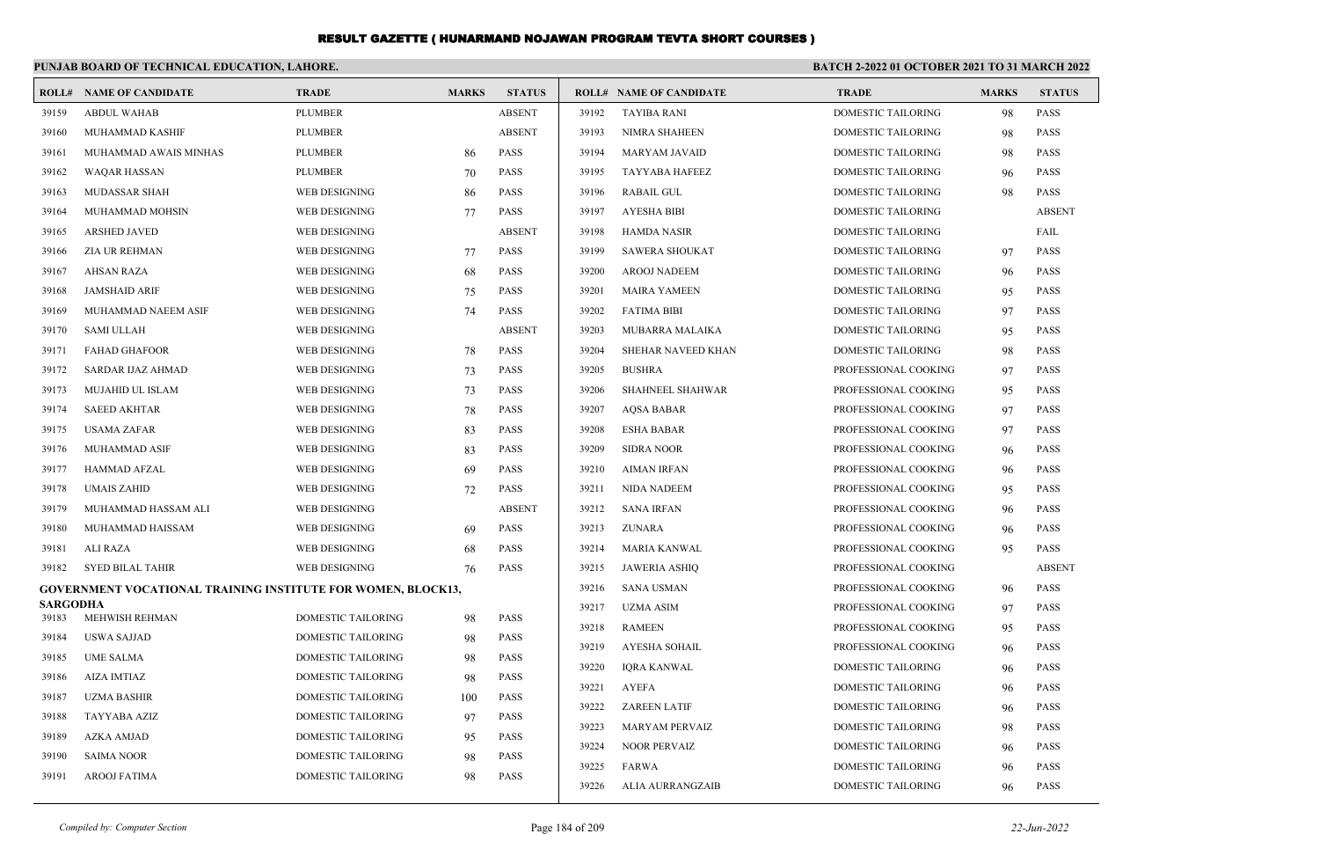|                          | PUNJAB BOARD OF TECHNICAL EDUCATION, LAHORE.                        |                           |              |               | <b>BATCH 2-2022 01 OCTOBER 2021 TO 31 MARCH 2022</b> |                                |                           |              |               |
|--------------------------|---------------------------------------------------------------------|---------------------------|--------------|---------------|------------------------------------------------------|--------------------------------|---------------------------|--------------|---------------|
|                          | <b>ROLL# NAME OF CANDIDATE</b>                                      | <b>TRADE</b>              | <b>MARKS</b> | <b>STATUS</b> |                                                      | <b>ROLL# NAME OF CANDIDATE</b> | <b>TRADE</b>              | <b>MARKS</b> | <b>STATUS</b> |
| 39159                    | <b>ABDUL WAHAB</b>                                                  | <b>PLUMBER</b>            |              | <b>ABSENT</b> | 39192                                                | <b>TAYIBA RANI</b>             | <b>DOMESTIC TAILORING</b> | 98           | <b>PASS</b>   |
| 39160                    | MUHAMMAD KASHIF                                                     | <b>PLUMBER</b>            |              | <b>ABSENT</b> | 39193                                                | NIMRA SHAHEEN                  | DOMESTIC TAILORING        | 98           | <b>PASS</b>   |
| 39161                    | MUHAMMAD AWAIS MINHAS                                               | <b>PLUMBER</b>            | 86           | <b>PASS</b>   | 39194                                                | <b>MARYAM JAVAID</b>           | <b>DOMESTIC TAILORING</b> | 98           | <b>PASS</b>   |
| 39162                    | <b>WAQAR HASSAN</b>                                                 | <b>PLUMBER</b>            | 70           | <b>PASS</b>   | 39195                                                | TAYYABA HAFEEZ                 | DOMESTIC TAILORING        | 96           | <b>PASS</b>   |
| 39163                    | MUDASSAR SHAH                                                       | WEB DESIGNING             | 86           | <b>PASS</b>   | 39196                                                | <b>RABAIL GUL</b>              | DOMESTIC TAILORING        | 98           | <b>PASS</b>   |
| 39164                    | MUHAMMAD MOHSIN                                                     | WEB DESIGNING             | 77           | <b>PASS</b>   | 39197                                                | <b>AYESHA BIBI</b>             | DOMESTIC TAILORING        |              | <b>ABSENT</b> |
| 39165                    | <b>ARSHED JAVED</b>                                                 | WEB DESIGNING             |              | <b>ABSENT</b> | 39198                                                | <b>HAMDA NASIR</b>             | DOMESTIC TAILORING        |              | FAIL          |
| 39166                    | <b>ZIA UR REHMAN</b>                                                | WEB DESIGNING             | 77           | <b>PASS</b>   | 39199                                                | <b>SAWERA SHOUKAT</b>          | DOMESTIC TAILORING        | 97           | <b>PASS</b>   |
| 39167                    | <b>AHSAN RAZA</b>                                                   | WEB DESIGNING             | 68           | <b>PASS</b>   | 39200                                                | <b>AROOJ NADEEM</b>            | <b>DOMESTIC TAILORING</b> | 96           | <b>PASS</b>   |
| 39168                    | <b>JAMSHAID ARIF</b>                                                | WEB DESIGNING             | 75           | <b>PASS</b>   | 39201                                                | <b>MAIRA YAMEEN</b>            | <b>DOMESTIC TAILORING</b> | 95           | <b>PASS</b>   |
| 39169                    | MUHAMMAD NAEEM ASIF                                                 | WEB DESIGNING             | 74           | <b>PASS</b>   | 39202                                                | <b>FATIMA BIBI</b>             | <b>DOMESTIC TAILORING</b> | 97           | <b>PASS</b>   |
| 39170                    | <b>SAMI ULLAH</b>                                                   | WEB DESIGNING             |              | <b>ABSENT</b> | 39203                                                | MUBARRA MALAIKA                | DOMESTIC TAILORING        | 95           | <b>PASS</b>   |
| 39171                    | <b>FAHAD GHAFOOR</b>                                                | WEB DESIGNING             | 78           | <b>PASS</b>   | 39204                                                | SHEHAR NAVEED KHAN             | DOMESTIC TAILORING        | 98           | <b>PASS</b>   |
| 39172                    | <b>SARDAR IJAZ AHMAD</b>                                            | WEB DESIGNING             | 73           | <b>PASS</b>   | 39205                                                | <b>BUSHRA</b>                  | PROFESSIONAL COOKING      | 97           | <b>PASS</b>   |
| 39173                    | MUJAHID UL ISLAM                                                    | <b>WEB DESIGNING</b>      | 73           | <b>PASS</b>   | 39206                                                | <b>SHAHNEEL SHAHWAR</b>        | PROFESSIONAL COOKING      | 95           | <b>PASS</b>   |
| 39174                    | <b>SAEED AKHTAR</b>                                                 | WEB DESIGNING             | 78           | <b>PASS</b>   | 39207                                                | <b>AQSA BABAR</b>              | PROFESSIONAL COOKING      | 97           | <b>PASS</b>   |
| 39175                    | <b>USAMA ZAFAR</b>                                                  | WEB DESIGNING             | 83           | <b>PASS</b>   | 39208                                                | <b>ESHA BABAR</b>              | PROFESSIONAL COOKING      | 97           | <b>PASS</b>   |
| 39176                    | MUHAMMAD ASIF                                                       | WEB DESIGNING             | 83           | <b>PASS</b>   | 39209                                                | <b>SIDRA NOOR</b>              | PROFESSIONAL COOKING      | 96           | <b>PASS</b>   |
| 39177                    | <b>HAMMAD AFZAL</b>                                                 | WEB DESIGNING             | 69           | <b>PASS</b>   | 39210                                                | <b>AIMAN IRFAN</b>             | PROFESSIONAL COOKING      | 96           | <b>PASS</b>   |
| 39178                    | <b>UMAIS ZAHID</b>                                                  | WEB DESIGNING             | 72           | <b>PASS</b>   | 39211                                                | NIDA NADEEM                    | PROFESSIONAL COOKING      | 95           | <b>PASS</b>   |
| 39179                    | MUHAMMAD HASSAM ALI                                                 | WEB DESIGNING             |              | <b>ABSENT</b> | 39212                                                | <b>SANA IRFAN</b>              | PROFESSIONAL COOKING      | 96           | <b>PASS</b>   |
| 39180                    | MUHAMMAD HAISSAM                                                    | WEB DESIGNING             | -69          | <b>PASS</b>   | 39213                                                | <b>ZUNARA</b>                  | PROFESSIONAL COOKING      | 96           | <b>PASS</b>   |
| 39181                    | <b>ALI RAZA</b>                                                     | WEB DESIGNING             | 68           | <b>PASS</b>   | 39214                                                | <b>MARIA KANWAL</b>            | PROFESSIONAL COOKING      | 95           | <b>PASS</b>   |
| 39182                    | <b>SYED BILAL TAHIR</b>                                             | WEB DESIGNING             | 76           | <b>PASS</b>   | 39215                                                | <b>JAWERIA ASHIO</b>           | PROFESSIONAL COOKING      |              | <b>ABSENT</b> |
|                          | <b>GOVERNMENT VOCATIONAL TRAINING INSTITUTE FOR WOMEN, BLOCK13,</b> |                           |              |               | 39216                                                | <b>SANA USMAN</b>              | PROFESSIONAL COOKING      | 96           | <b>PASS</b>   |
| <b>SARGODHA</b><br>39183 | MEHWISH REHMAN                                                      | <b>DOMESTIC TAILORING</b> | 98           | <b>PASS</b>   | 39217                                                | <b>UZMA ASIM</b>               | PROFESSIONAL COOKING      | 97           | <b>PASS</b>   |
| 39184                    | <b>USWA SAJJAD</b>                                                  | <b>DOMESTIC TAILORING</b> | 98           | <b>PASS</b>   | 39218                                                | <b>RAMEEN</b>                  | PROFESSIONAL COOKING      | 95           | <b>PASS</b>   |
| 39185                    | <b>UME SALMA</b>                                                    | <b>DOMESTIC TAILORING</b> | 98           | <b>PASS</b>   | 39219                                                | <b>AYESHA SOHAIL</b>           | PROFESSIONAL COOKING      | 96           | <b>PASS</b>   |
| 39186                    | <b>AIZA IMTIAZ</b>                                                  | <b>DOMESTIC TAILORING</b> | 98           | <b>PASS</b>   | 39220                                                | <b>IORA KANWAL</b>             | DOMESTIC TAILORING        | 96           | <b>PASS</b>   |
| 39187                    | <b>UZMA BASHIR</b>                                                  | DOMESTIC TAILORING        | 100          | <b>PASS</b>   | 39221                                                | <b>AYEFA</b>                   | <b>DOMESTIC TAILORING</b> | 96           | <b>PASS</b>   |
| 39188                    | <b>TAYYABA AZIZ</b>                                                 | <b>DOMESTIC TAILORING</b> | 97           | <b>PASS</b>   | 39222                                                | <b>ZAREEN LATIF</b>            | DOMESTIC TAILORING        | 96           | <b>PASS</b>   |
| 39189                    | <b>AZKA AMJAD</b>                                                   | DOMESTIC TAILORING        | 95           | <b>PASS</b>   | 39223                                                | <b>MARYAM PERVAIZ</b>          | DOMESTIC TAILORING        | 98           | <b>PASS</b>   |
| 39190                    | <b>SAIMA NOOR</b>                                                   | DOMESTIC TAILORING        | 98           | <b>PASS</b>   | 39224                                                | <b>NOOR PERVAIZ</b>            | DOMESTIC TAILORING        | 96           | <b>PASS</b>   |
| 39191                    | <b>AROOJ FATIMA</b>                                                 | <b>DOMESTIC TAILORING</b> | 98           | <b>PASS</b>   | 39225                                                | <b>FARWA</b>                   | DOMESTIC TAILORING        | 96           | <b>PASS</b>   |
|                          |                                                                     |                           |              |               | 39226                                                | ALIA AURRANGZAIB               | DOMESTIC TAILORING        | 96           | <b>PASS</b>   |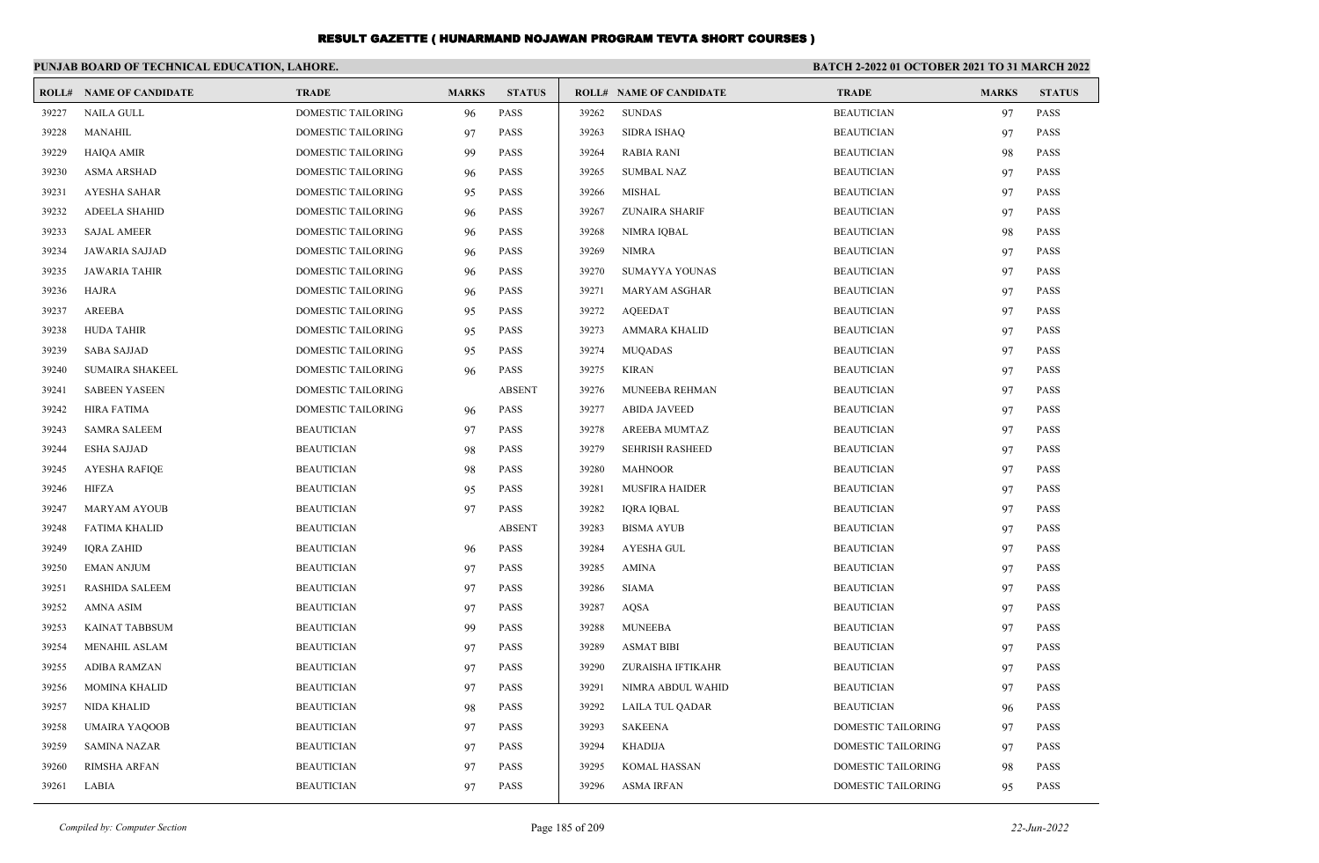|       | PUNJAB BOARD OF TECHNICAL EDUCATION, LAHORE. |                           |              |               | BATCH 2-2022 01 OCTOBER 2021 TO 31 MARCH 2022 |                                |                    |              |               |
|-------|----------------------------------------------|---------------------------|--------------|---------------|-----------------------------------------------|--------------------------------|--------------------|--------------|---------------|
|       | <b>ROLL# NAME OF CANDIDATE</b>               | <b>TRADE</b>              | <b>MARKS</b> | <b>STATUS</b> |                                               | <b>ROLL# NAME OF CANDIDATE</b> | <b>TRADE</b>       | <b>MARKS</b> | <b>STATUS</b> |
| 39227 | <b>NAILA GULL</b>                            | <b>DOMESTIC TAILORING</b> | 96           | PASS          | 39262                                         | <b>SUNDAS</b>                  | <b>BEAUTICIAN</b>  | 97           | <b>PASS</b>   |
| 39228 | <b>MANAHIL</b>                               | <b>DOMESTIC TAILORING</b> | 97           | PASS          | 39263                                         | <b>SIDRA ISHAO</b>             | <b>BEAUTICIAN</b>  | 97           | <b>PASS</b>   |
| 39229 | <b>HAIQA AMIR</b>                            | DOMESTIC TAILORING        | 99           | PASS          | 39264                                         | <b>RABIA RANI</b>              | <b>BEAUTICIAN</b>  | 98           | PASS          |
| 39230 | <b>ASMA ARSHAD</b>                           | DOMESTIC TAILORING        | 96           | PASS          | 39265                                         | <b>SUMBAL NAZ</b>              | <b>BEAUTICIAN</b>  | 97           | <b>PASS</b>   |
| 39231 | AYESHA SAHAR                                 | DOMESTIC TAILORING        | 95           | <b>PASS</b>   | 39266                                         | MISHAL                         | <b>BEAUTICIAN</b>  | 97           | PASS          |
| 39232 | <b>ADEELA SHAHID</b>                         | <b>DOMESTIC TAILORING</b> | 96           | <b>PASS</b>   | 39267                                         | <b>ZUNAIRA SHARIF</b>          | <b>BEAUTICIAN</b>  | 97           | PASS          |
| 39233 | <b>SAJAL AMEER</b>                           | <b>DOMESTIC TAILORING</b> | 96           | PASS          | 39268                                         | NIMRA IQBAL                    | <b>BEAUTICIAN</b>  | 98           | <b>PASS</b>   |
| 39234 | JAWARIA SAJJAD                               | DOMESTIC TAILORING        | 96           | <b>PASS</b>   | 39269                                         | NIMRA                          | <b>BEAUTICIAN</b>  | 97           | PASS          |
| 39235 | <b>JAWARIA TAHIR</b>                         | DOMESTIC TAILORING        | 96           | <b>PASS</b>   | 39270                                         | SUMAYYA YOUNAS                 | <b>BEAUTICIAN</b>  | 97           | <b>PASS</b>   |
| 39236 | <b>HAJRA</b>                                 | DOMESTIC TAILORING        | 96           | PASS          | 39271                                         | <b>MARYAM ASGHAR</b>           | <b>BEAUTICIAN</b>  | 97           | <b>PASS</b>   |
| 39237 | AREEBA                                       | DOMESTIC TAILORING        | 95           | <b>PASS</b>   | 39272                                         | <b>AQEEDAT</b>                 | <b>BEAUTICIAN</b>  | 97           | PASS          |
| 39238 | <b>HUDA TAHIR</b>                            | DOMESTIC TAILORING        | 95           | PASS          | 39273                                         | <b>AMMARA KHALID</b>           | <b>BEAUTICIAN</b>  | 97           | <b>PASS</b>   |
| 39239 | <b>SABA SAJJAD</b>                           | <b>DOMESTIC TAILORING</b> | 95           | PASS          | 39274                                         | MUQADAS                        | <b>BEAUTICIAN</b>  | 97           | <b>PASS</b>   |
| 39240 | <b>SUMAIRA SHAKEEL</b>                       | DOMESTIC TAILORING        | 96           | <b>PASS</b>   | 39275                                         | <b>KIRAN</b>                   | <b>BEAUTICIAN</b>  | 97           | <b>PASS</b>   |
| 39241 | <b>SABEEN YASEEN</b>                         | <b>DOMESTIC TAILORING</b> |              | <b>ABSENT</b> | 39276                                         | MUNEEBA REHMAN                 | <b>BEAUTICIAN</b>  | 97           | <b>PASS</b>   |
| 39242 | <b>HIRA FATIMA</b>                           | DOMESTIC TAILORING        | 96           | <b>PASS</b>   | 39277                                         | <b>ABIDA JAVEED</b>            | <b>BEAUTICIAN</b>  | 97           | PASS          |
| 39243 | <b>SAMRA SALEEM</b>                          | <b>BEAUTICIAN</b>         | 97           | <b>PASS</b>   | 39278                                         | <b>AREEBA MUMTAZ</b>           | <b>BEAUTICIAN</b>  | 97           | PASS          |
| 39244 | <b>ESHA SAJJAD</b>                           | <b>BEAUTICIAN</b>         | 98           | <b>PASS</b>   | 39279                                         | <b>SEHRISH RASHEED</b>         | <b>BEAUTICIAN</b>  | 97           | <b>PASS</b>   |
| 39245 | <b>AYESHA RAFIQE</b>                         | <b>BEAUTICIAN</b>         | 98           | <b>PASS</b>   | 39280                                         | <b>MAHNOOR</b>                 | <b>BEAUTICIAN</b>  | 97           | PASS          |
| 39246 | <b>HIFZA</b>                                 | <b>BEAUTICIAN</b>         | 95           | <b>PASS</b>   | 39281                                         | <b>MUSFIRA HAIDER</b>          | <b>BEAUTICIAN</b>  | 97           | <b>PASS</b>   |
| 39247 | <b>MARYAM AYOUB</b>                          | <b>BEAUTICIAN</b>         | 97           | <b>PASS</b>   | 39282                                         | IQRA IQBAL                     | <b>BEAUTICIAN</b>  | 97           | <b>PASS</b>   |
| 39248 | <b>FATIMA KHALID</b>                         | <b>BEAUTICIAN</b>         |              | <b>ABSENT</b> | 39283                                         | <b>BISMA AYUB</b>              | <b>BEAUTICIAN</b>  | 97           | PASS          |
| 39249 | <b>IQRA ZAHID</b>                            | <b>BEAUTICIAN</b>         | 96           | <b>PASS</b>   | 39284                                         | AYESHA GUL                     | <b>BEAUTICIAN</b>  | 97           | <b>PASS</b>   |
| 39250 | <b>EMAN ANJUM</b>                            | <b>BEAUTICIAN</b>         | 97           | PASS          | 39285                                         | <b>AMINA</b>                   | <b>BEAUTICIAN</b>  | 97           | <b>PASS</b>   |
| 39251 | RASHIDA SALEEM                               | <b>BEAUTICIAN</b>         | 97           | PASS          | 39286                                         | <b>SIAMA</b>                   | <b>BEAUTICIAN</b>  | 97           | <b>PASS</b>   |
| 39252 | <b>AMNA ASIM</b>                             | <b>BEAUTICIAN</b>         | 97           | <b>PASS</b>   | 39287                                         | <b>AQSA</b>                    | <b>BEAUTICIAN</b>  | 97           | <b>PASS</b>   |
| 39253 | KAINAT TABBSUM                               | <b>BEAUTICIAN</b>         | 99           | PASS          | 39288                                         | <b>MUNEEBA</b>                 | <b>BEAUTICIAN</b>  | 97           | <b>PASS</b>   |
| 39254 | <b>MENAHIL ASLAM</b>                         | <b>BEAUTICIAN</b>         | 97           | PASS          | 39289                                         | <b>ASMAT BIBI</b>              | <b>BEAUTICIAN</b>  | 97           | PASS          |
| 39255 | <b>ADIBA RAMZAN</b>                          | <b>BEAUTICIAN</b>         | 97           | <b>PASS</b>   | 39290                                         | ZURAISHA IFTIKAHR              | <b>BEAUTICIAN</b>  | 97           | <b>PASS</b>   |
| 39256 | <b>MOMINA KHALID</b>                         | <b>BEAUTICIAN</b>         | 97           | PASS          | 39291                                         | NIMRA ABDUL WAHID              | <b>BEAUTICIAN</b>  | 97           | <b>PASS</b>   |
| 39257 | NIDA KHALID                                  | <b>BEAUTICIAN</b>         | 98           | PASS          | 39292                                         | LAILA TUL QADAR                | <b>BEAUTICIAN</b>  | 96           | PASS          |
| 39258 | <b>UMAIRA YAQOOB</b>                         | <b>BEAUTICIAN</b>         | 97           | PASS          | 39293                                         | <b>SAKEENA</b>                 | DOMESTIC TAILORING | 97           | <b>PASS</b>   |
| 39259 | <b>SAMINA NAZAR</b>                          | <b>BEAUTICIAN</b>         | 97           | PASS          | 39294                                         | <b>KHADIJA</b>                 | DOMESTIC TAILORING | 97           | <b>PASS</b>   |
| 39260 | <b>RIMSHA ARFAN</b>                          | <b>BEAUTICIAN</b>         | 97           | PASS          | 39295                                         | KOMAL HASSAN                   | DOMESTIC TAILORING | 98           | <b>PASS</b>   |
| 39261 | LABIA                                        | <b>BEAUTICIAN</b>         | 97           | PASS          | 39296                                         | <b>ASMA IRFAN</b>              | DOMESTIC TAILORING | 95           | PASS          |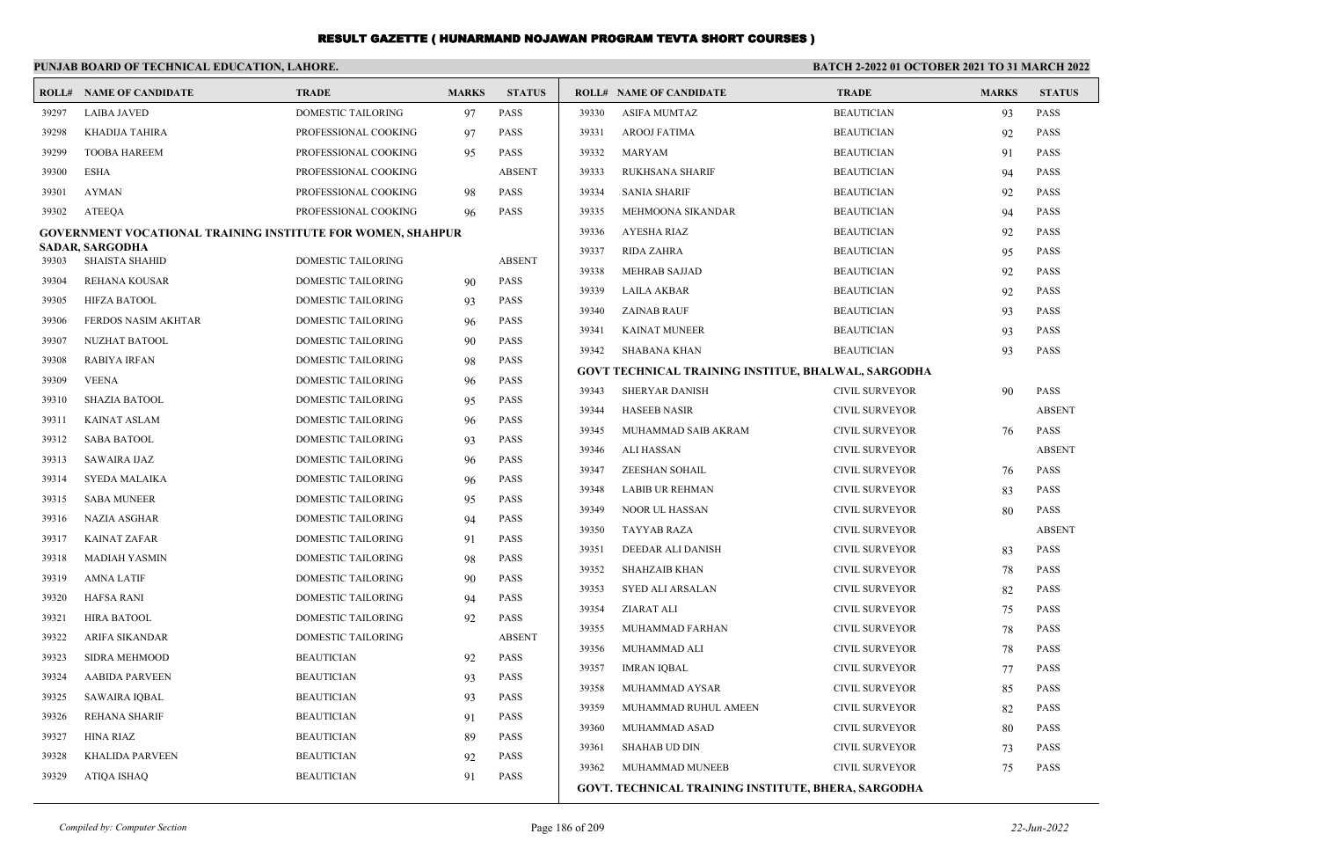|       | PUNJAB BOARD OF TECHNICAL EDUCATION, LAHORE.                       |                           |              |               |       |                                                            | <b>BATCH 2-2022 01 OCTOBER 2021 TO 31 MARCH 2022</b> |              |               |  |
|-------|--------------------------------------------------------------------|---------------------------|--------------|---------------|-------|------------------------------------------------------------|------------------------------------------------------|--------------|---------------|--|
|       | <b>ROLL# NAME OF CANDIDATE</b>                                     | <b>TRADE</b>              | <b>MARKS</b> | <b>STATUS</b> |       | <b>ROLL# NAME OF CANDIDATE</b>                             | <b>TRADE</b>                                         | <b>MARKS</b> | <b>STATUS</b> |  |
| 39297 | <b>LAIBA JAVED</b>                                                 | <b>DOMESTIC TAILORING</b> | 97           | <b>PASS</b>   | 39330 | <b>ASIFA MUMTAZ</b>                                        | <b>BEAUTICIAN</b>                                    | 93           | <b>PASS</b>   |  |
| 39298 | <b>KHADIJA TAHIRA</b>                                              | PROFESSIONAL COOKING      | 97           | <b>PASS</b>   | 39331 | <b>AROOJ FATIMA</b>                                        | <b>BEAUTICIAN</b>                                    | 92           | <b>PASS</b>   |  |
| 39299 | <b>TOOBA HAREEM</b>                                                | PROFESSIONAL COOKING      | 95           | <b>PASS</b>   | 39332 | <b>MARYAM</b>                                              | <b>BEAUTICIAN</b>                                    | 91           | <b>PASS</b>   |  |
| 39300 | <b>ESHA</b>                                                        | PROFESSIONAL COOKING      |              | <b>ABSENT</b> | 39333 | <b>RUKHSANA SHARIF</b>                                     | <b>BEAUTICIAN</b>                                    | 94           | <b>PASS</b>   |  |
| 39301 | <b>AYMAN</b>                                                       | PROFESSIONAL COOKING      | 98           | <b>PASS</b>   | 39334 | <b>SANIA SHARIF</b>                                        | <b>BEAUTICIAN</b>                                    | 92           | <b>PASS</b>   |  |
| 39302 | <b>ATEEOA</b>                                                      | PROFESSIONAL COOKING      | 96           | <b>PASS</b>   | 39335 | MEHMOONA SIKANDAR                                          | <b>BEAUTICIAN</b>                                    | 94           | <b>PASS</b>   |  |
|       | <b>GOVERNMENT VOCATIONAL TRAINING INSTITUTE FOR WOMEN, SHAHPUR</b> |                           |              |               | 39336 | <b>AYESHA RIAZ</b>                                         | <b>BEAUTICIAN</b>                                    | 92           | <b>PASS</b>   |  |
| 39303 | <b>SADAR, SARGODHA</b><br><b>SHAISTA SHAHID</b>                    | <b>DOMESTIC TAILORING</b> |              | <b>ABSENT</b> | 39337 | <b>RIDA ZAHRA</b>                                          | <b>BEAUTICIAN</b>                                    | 95           | <b>PASS</b>   |  |
| 39304 | REHANA KOUSAR                                                      | <b>DOMESTIC TAILORING</b> | 90           | PASS          | 39338 | <b>MEHRAB SAJJAD</b>                                       | <b>BEAUTICIAN</b>                                    | 92           | <b>PASS</b>   |  |
| 39305 | <b>HIFZA BATOOL</b>                                                | DOMESTIC TAILORING        | 93           | <b>PASS</b>   | 39339 | <b>LAILA AKBAR</b>                                         | <b>BEAUTICIAN</b>                                    | 92           | <b>PASS</b>   |  |
| 39306 | FERDOS NASIM AKHTAR                                                | DOMESTIC TAILORING        | 96           | <b>PASS</b>   | 39340 | <b>ZAINAB RAUF</b>                                         | <b>BEAUTICIAN</b>                                    | 93           | <b>PASS</b>   |  |
| 39307 | NUZHAT BATOOL                                                      | <b>DOMESTIC TAILORING</b> | 90           | <b>PASS</b>   | 39341 | <b>KAINAT MUNEER</b>                                       | <b>BEAUTICIAN</b>                                    | 93           | <b>PASS</b>   |  |
| 39308 | <b>RABIYA IRFAN</b>                                                | DOMESTIC TAILORING        | 98           | <b>PASS</b>   | 39342 | SHABANA KHAN                                               | <b>BEAUTICIAN</b>                                    | 93           | <b>PASS</b>   |  |
| 39309 | <b>VEENA</b>                                                       | <b>DOMESTIC TAILORING</b> | 96           | <b>PASS</b>   |       | GOVT TECHNICAL TRAINING INSTITUE, BHALWAL, SARGODHA        |                                                      |              |               |  |
| 39310 | <b>SHAZIA BATOOL</b>                                               | <b>DOMESTIC TAILORING</b> |              | <b>PASS</b>   | 39343 | <b>SHERYAR DANISH</b>                                      | <b>CIVIL SURVEYOR</b>                                | 90           | <b>PASS</b>   |  |
| 39311 | <b>KAINAT ASLAM</b>                                                | DOMESTIC TAILORING        | 95           | <b>PASS</b>   | 39344 | <b>HASEEB NASIR</b>                                        | <b>CIVIL SURVEYOR</b>                                |              | <b>ABSENT</b> |  |
| 39312 | <b>SABA BATOOL</b>                                                 | DOMESTIC TAILORING        | 96           | <b>PASS</b>   | 39345 | MUHAMMAD SAIB AKRAM                                        | <b>CIVIL SURVEYOR</b>                                | 76           | <b>PASS</b>   |  |
| 39313 | <b>SAWAIRA IJAZ</b>                                                | DOMESTIC TAILORING        | 93<br>96     | <b>PASS</b>   | 39346 | ALI HASSAN                                                 | <b>CIVIL SURVEYOR</b>                                |              | <b>ABSENT</b> |  |
| 39314 | <b>SYEDA MALAIKA</b>                                               | <b>DOMESTIC TAILORING</b> | 96           | <b>PASS</b>   | 39347 | <b>ZEESHAN SOHAIL</b>                                      | <b>CIVIL SURVEYOR</b>                                | 76           | <b>PASS</b>   |  |
| 39315 | <b>SABA MUNEER</b>                                                 | DOMESTIC TAILORING        | 95           | <b>PASS</b>   | 39348 | <b>LABIB UR REHMAN</b>                                     | <b>CIVIL SURVEYOR</b>                                | 83           | <b>PASS</b>   |  |
| 39316 | <b>NAZIA ASGHAR</b>                                                | DOMESTIC TAILORING        | 94           | <b>PASS</b>   | 39349 | NOOR UL HASSAN                                             | <b>CIVIL SURVEYOR</b>                                | 80           | <b>PASS</b>   |  |
| 39317 | <b>KAINAT ZAFAR</b>                                                | <b>DOMESTIC TAILORING</b> | 91           | <b>PASS</b>   | 39350 | <b>TAYYAB RAZA</b>                                         | <b>CIVIL SURVEYOR</b>                                |              | <b>ABSENT</b> |  |
| 39318 | <b>MADIAH YASMIN</b>                                               | <b>DOMESTIC TAILORING</b> | 98           | <b>PASS</b>   | 39351 | DEEDAR ALI DANISH                                          | <b>CIVIL SURVEYOR</b>                                | 83           | <b>PASS</b>   |  |
| 39319 | <b>AMNA LATIF</b>                                                  | DOMESTIC TAILORING        | 90           | <b>PASS</b>   | 39352 | <b>SHAHZAIB KHAN</b>                                       | <b>CIVIL SURVEYOR</b>                                | 78           | <b>PASS</b>   |  |
| 39320 | <b>HAFSA RANI</b>                                                  | DOMESTIC TAILORING        | 94           | <b>PASS</b>   | 39353 | <b>SYED ALI ARSALAN</b>                                    | <b>CIVIL SURVEYOR</b>                                | 82           | PASS          |  |
| 39321 | <b>HIRA BATOOL</b>                                                 | <b>DOMESTIC TAILORING</b> | 92           | <b>PASS</b>   | 39354 | ZIARAT ALI                                                 | <b>CIVIL SURVEYOR</b>                                | 75           | <b>PASS</b>   |  |
| 39322 | ARIFA SIKANDAR                                                     | <b>DOMESTIC TAILORING</b> |              | <b>ABSENT</b> | 39355 | MUHAMMAD FARHAN                                            | <b>CIVIL SURVEYOR</b>                                | 78           | <b>PASS</b>   |  |
| 39323 | <b>SIDRA MEHMOOD</b>                                               | <b>BEAUTICIAN</b>         | 92           | <b>PASS</b>   | 39356 | MUHAMMAD ALI                                               | <b>CIVIL SURVEYOR</b>                                | 78           | <b>PASS</b>   |  |
| 39324 | <b>AABIDA PARVEEN</b>                                              | <b>BEAUTICIAN</b>         | 93           | <b>PASS</b>   | 39357 | <b>IMRAN IQBAL</b>                                         | <b>CIVIL SURVEYOR</b>                                | 77           | <b>PASS</b>   |  |
| 39325 | <b>SAWAIRA IQBAL</b>                                               | <b>BEAUTICIAN</b>         | 93           | <b>PASS</b>   | 39358 | MUHAMMAD AYSAR                                             | <b>CIVIL SURVEYOR</b>                                | 85           | <b>PASS</b>   |  |
| 39326 | <b>REHANA SHARIF</b>                                               | <b>BEAUTICIAN</b>         | 91           | <b>PASS</b>   | 39359 | MUHAMMAD RUHUL AMEEN                                       | <b>CIVIL SURVEYOR</b>                                | 82           | <b>PASS</b>   |  |
| 39327 | <b>HINA RIAZ</b>                                                   | <b>BEAUTICIAN</b>         | 89           | <b>PASS</b>   | 39360 | MUHAMMAD ASAD                                              | <b>CIVIL SURVEYOR</b>                                | 80           | <b>PASS</b>   |  |
| 39328 | <b>KHALIDA PARVEEN</b>                                             | <b>BEAUTICIAN</b>         | 92           | <b>PASS</b>   | 39361 | <b>SHAHAB UD DIN</b>                                       | <b>CIVIL SURVEYOR</b>                                | 73           | <b>PASS</b>   |  |
| 39329 | <b>ATIQA ISHAQ</b>                                                 | <b>BEAUTICIAN</b>         | 91           | <b>PASS</b>   | 39362 | MUHAMMAD MUNEEB                                            | <b>CIVIL SURVEYOR</b>                                | 75           | <b>PASS</b>   |  |
|       |                                                                    |                           |              |               |       | <b>GOVT. TECHNICAL TRAINING INSTITUTE, BHERA, SARGODHA</b> |                                                      |              |               |  |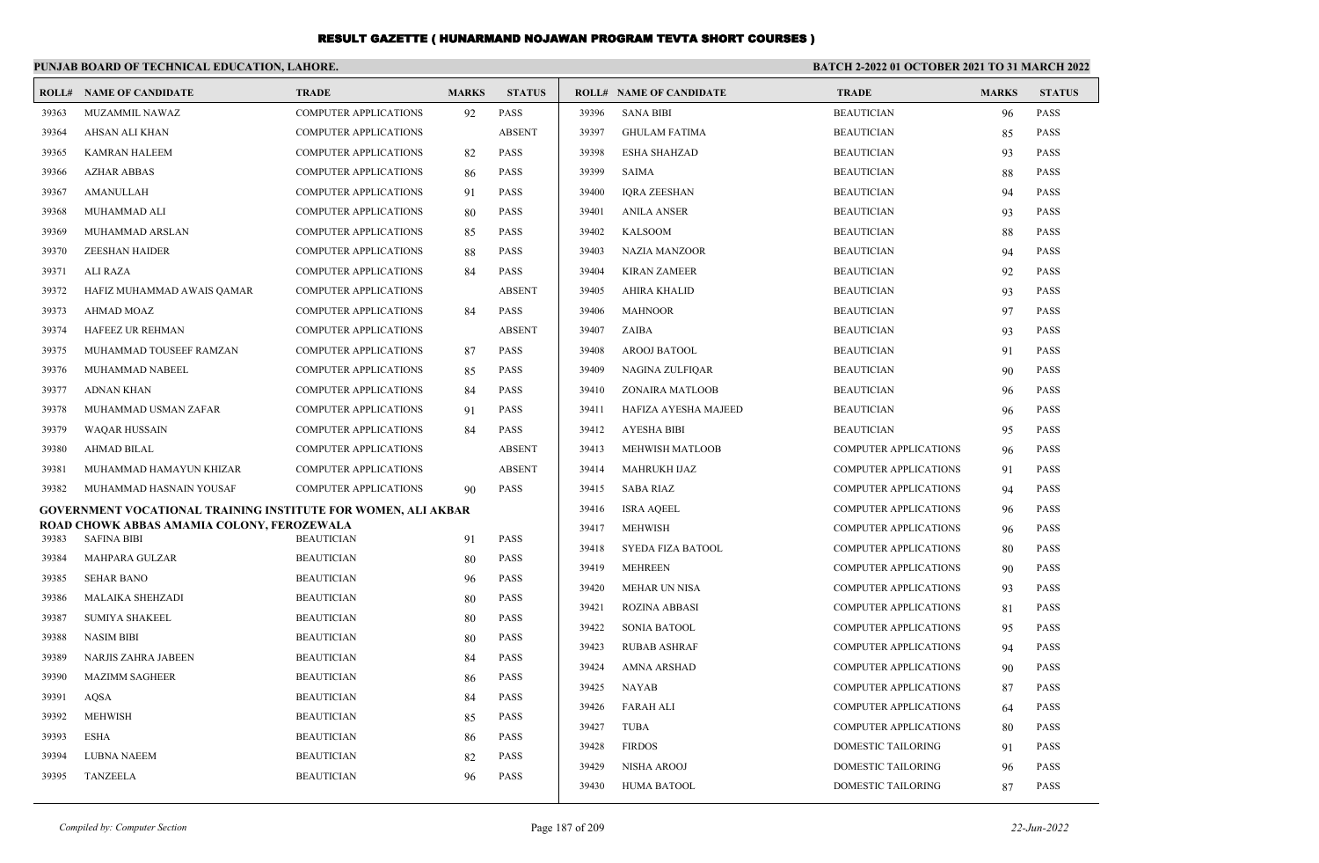|       | PUNJAB BOARD OF TECHNICAL EDUCATION, LAHORE.                     |                              |              |               | <b>BATCH 2-2022 01 OCTOBER 2021 TO 31 MARCH 2022</b> |                                |                              |              |               |
|-------|------------------------------------------------------------------|------------------------------|--------------|---------------|------------------------------------------------------|--------------------------------|------------------------------|--------------|---------------|
|       | <b>ROLL# NAME OF CANDIDATE</b>                                   | <b>TRADE</b>                 | <b>MARKS</b> | <b>STATUS</b> |                                                      | <b>ROLL# NAME OF CANDIDATE</b> | <b>TRADE</b>                 | <b>MARKS</b> | <b>STATUS</b> |
| 39363 | MUZAMMIL NAWAZ                                                   | <b>COMPUTER APPLICATIONS</b> | 92           | PASS          | 39396                                                | <b>SANA BIBI</b>               | <b>BEAUTICIAN</b>            | 96           | <b>PASS</b>   |
| 39364 | <b>AHSAN ALI KHAN</b>                                            | <b>COMPUTER APPLICATIONS</b> |              | <b>ABSENT</b> | 39397                                                | <b>GHULAM FATIMA</b>           | <b>BEAUTICIAN</b>            | 85           | <b>PASS</b>   |
| 39365 | <b>KAMRAN HALEEM</b>                                             | <b>COMPUTER APPLICATIONS</b> | 82           | PASS          | 39398                                                | <b>ESHA SHAHZAD</b>            | <b>BEAUTICIAN</b>            | 93           | <b>PASS</b>   |
| 39366 | <b>AZHAR ABBAS</b>                                               | <b>COMPUTER APPLICATIONS</b> | 86           | PASS          | 39399                                                | SAIMA                          | <b>BEAUTICIAN</b>            | 88           | <b>PASS</b>   |
| 39367 | <b>AMANULLAH</b>                                                 | <b>COMPUTER APPLICATIONS</b> | 91           | <b>PASS</b>   | 39400                                                | <b>IORA ZEESHAN</b>            | <b>BEAUTICIAN</b>            | 94           | <b>PASS</b>   |
| 39368 | MUHAMMAD ALI                                                     | <b>COMPUTER APPLICATIONS</b> | 80           | <b>PASS</b>   | 39401                                                | <b>ANILA ANSER</b>             | <b>BEAUTICIAN</b>            | 93           | <b>PASS</b>   |
| 39369 | MUHAMMAD ARSLAN                                                  | <b>COMPUTER APPLICATIONS</b> | 85           | PASS          | 39402                                                | <b>KALSOOM</b>                 | <b>BEAUTICIAN</b>            | 88           | <b>PASS</b>   |
| 39370 | <b>ZEESHAN HAIDER</b>                                            | <b>COMPUTER APPLICATIONS</b> | 88           | PASS          | 39403                                                | <b>NAZIA MANZOOR</b>           | <b>BEAUTICIAN</b>            | 94           | <b>PASS</b>   |
| 39371 | <b>ALI RAZA</b>                                                  | <b>COMPUTER APPLICATIONS</b> | 84           | <b>PASS</b>   | 39404                                                | <b>KIRAN ZAMEER</b>            | <b>BEAUTICIAN</b>            | 92           | <b>PASS</b>   |
| 39372 | HAFIZ MUHAMMAD AWAIS QAMAR                                       | <b>COMPUTER APPLICATIONS</b> |              | <b>ABSENT</b> | 39405                                                | <b>AHIRA KHALID</b>            | <b>BEAUTICIAN</b>            | 93           | <b>PASS</b>   |
| 39373 | <b>AHMAD MOAZ</b>                                                | <b>COMPUTER APPLICATIONS</b> | 84           | PASS          | 39406                                                | <b>MAHNOOR</b>                 | <b>BEAUTICIAN</b>            | 97           | <b>PASS</b>   |
| 39374 | HAFEEZ UR REHMAN                                                 | <b>COMPUTER APPLICATIONS</b> |              | <b>ABSENT</b> | 39407                                                | ZAIBA                          | <b>BEAUTICIAN</b>            | 93           | <b>PASS</b>   |
| 39375 | MUHAMMAD TOUSEEF RAMZAN                                          | <b>COMPUTER APPLICATIONS</b> | 87           | <b>PASS</b>   | 39408                                                | <b>AROOJ BATOOL</b>            | <b>BEAUTICIAN</b>            | 91           | <b>PASS</b>   |
| 39376 | MUHAMMAD NABEEL                                                  | <b>COMPUTER APPLICATIONS</b> | 85           | <b>PASS</b>   | 39409                                                | NAGINA ZULFIQAR                | <b>BEAUTICIAN</b>            | 90           | <b>PASS</b>   |
| 39377 | <b>ADNAN KHAN</b>                                                | <b>COMPUTER APPLICATIONS</b> | 84           | <b>PASS</b>   | 39410                                                | ZONAIRA MATLOOB                | <b>BEAUTICIAN</b>            | 96           | <b>PASS</b>   |
| 39378 | MUHAMMAD USMAN ZAFAR                                             | <b>COMPUTER APPLICATIONS</b> | 91           | <b>PASS</b>   | 39411                                                | HAFIZA AYESHA MAJEED           | <b>BEAUTICIAN</b>            | 96           | <b>PASS</b>   |
| 39379 | <b>WAQAR HUSSAIN</b>                                             | <b>COMPUTER APPLICATIONS</b> | 84           | <b>PASS</b>   | 39412                                                | <b>AYESHA BIBI</b>             | <b>BEAUTICIAN</b>            | 95           | <b>PASS</b>   |
| 39380 | <b>AHMAD BILAL</b>                                               | <b>COMPUTER APPLICATIONS</b> |              | <b>ABSENT</b> | 39413                                                | <b>MEHWISH MATLOOB</b>         | <b>COMPUTER APPLICATIONS</b> | 96           | <b>PASS</b>   |
| 39381 | MUHAMMAD HAMAYUN KHIZAR                                          | <b>COMPUTER APPLICATIONS</b> |              | <b>ABSENT</b> | 39414                                                | <b>MAHRUKH IJAZ</b>            | <b>COMPUTER APPLICATIONS</b> | 91           | <b>PASS</b>   |
| 39382 | MUHAMMAD HASNAIN YOUSAF                                          | <b>COMPUTER APPLICATIONS</b> | 90           | <b>PASS</b>   | 39415                                                | <b>SABA RIAZ</b>               | <b>COMPUTER APPLICATIONS</b> | 94           | <b>PASS</b>   |
|       | GOVERNMENT VOCATIONAL TRAINING INSTITUTE FOR WOMEN, ALI AKBAR    |                              |              |               | 39416                                                | <b>ISRA AQEEL</b>              | <b>COMPUTER APPLICATIONS</b> | 96           | <b>PASS</b>   |
| 39383 | ROAD CHOWK ABBAS AMAMIA COLONY, FEROZEWALA<br><b>SAFINA BIBI</b> | <b>BEAUTICIAN</b>            | 91           | <b>PASS</b>   | 39417                                                | <b>MEHWISH</b>                 | <b>COMPUTER APPLICATIONS</b> | 96           | <b>PASS</b>   |
| 39384 | MAHPARA GULZAR                                                   | <b>BEAUTICIAN</b>            | 80           | PASS          | 39418                                                | <b>SYEDA FIZA BATOOL</b>       | <b>COMPUTER APPLICATIONS</b> | 80           | <b>PASS</b>   |
| 39385 | <b>SEHAR BANO</b>                                                | <b>BEAUTICIAN</b>            | 96           | PASS          | 39419                                                | <b>MEHREEN</b>                 | <b>COMPUTER APPLICATIONS</b> | 90           | <b>PASS</b>   |
| 39386 | MALAIKA SHEHZADI                                                 | <b>BEAUTICIAN</b>            | 80           | <b>PASS</b>   | 39420                                                | <b>MEHAR UN NISA</b>           | <b>COMPUTER APPLICATIONS</b> | 93           | <b>PASS</b>   |
| 39387 | <b>SUMIYA SHAKEEL</b>                                            | <b>BEAUTICIAN</b>            | 80           | <b>PASS</b>   | 39421                                                | <b>ROZINA ABBASI</b>           | <b>COMPUTER APPLICATIONS</b> | 81           | <b>PASS</b>   |
| 39388 | <b>NASIM BIBI</b>                                                | <b>BEAUTICIAN</b>            | 80           | PASS          | 39422                                                | <b>SONIA BATOOL</b>            | <b>COMPUTER APPLICATIONS</b> | 95           | <b>PASS</b>   |
| 39389 | NARJIS ZAHRA JABEEN                                              | <b>BEAUTICIAN</b>            | 84           | PASS          | 39423                                                | <b>RUBAB ASHRAF</b>            | <b>COMPUTER APPLICATIONS</b> | 94           | <b>PASS</b>   |
| 39390 | <b>MAZIMM SAGHEER</b>                                            | <b>BEAUTICIAN</b>            | 86           | <b>PASS</b>   | 39424                                                | <b>AMNA ARSHAD</b>             | <b>COMPUTER APPLICATIONS</b> | 90           | <b>PASS</b>   |
| 39391 | <b>AOSA</b>                                                      | <b>BEAUTICIAN</b>            | 84           | <b>PASS</b>   | 39425                                                | NAYAB                          | <b>COMPUTER APPLICATIONS</b> | 87           | <b>PASS</b>   |
| 39392 | <b>MEHWISH</b>                                                   | <b>BEAUTICIAN</b>            | 85           | <b>PASS</b>   | 39426                                                | <b>FARAH ALI</b>               | <b>COMPUTER APPLICATIONS</b> | 64           | <b>PASS</b>   |
| 39393 | <b>ESHA</b>                                                      | <b>BEAUTICIAN</b>            | 86           | <b>PASS</b>   | 39427                                                | <b>TUBA</b>                    | <b>COMPUTER APPLICATIONS</b> | 80           | <b>PASS</b>   |
| 39394 | <b>LUBNA NAEEM</b>                                               | <b>BEAUTICIAN</b>            | 82           | <b>PASS</b>   | 39428                                                | <b>FIRDOS</b>                  | DOMESTIC TAILORING           | 91           | <b>PASS</b>   |
| 39395 | <b>TANZEELA</b>                                                  | <b>BEAUTICIAN</b>            | 96           | <b>PASS</b>   | 39429                                                | <b>NISHA AROOJ</b>             | DOMESTIC TAILORING           | 96           | <b>PASS</b>   |
|       |                                                                  |                              |              |               | 39430                                                | HUMA BATOOL                    | DOMESTIC TAILORING           | 87           | <b>PASS</b>   |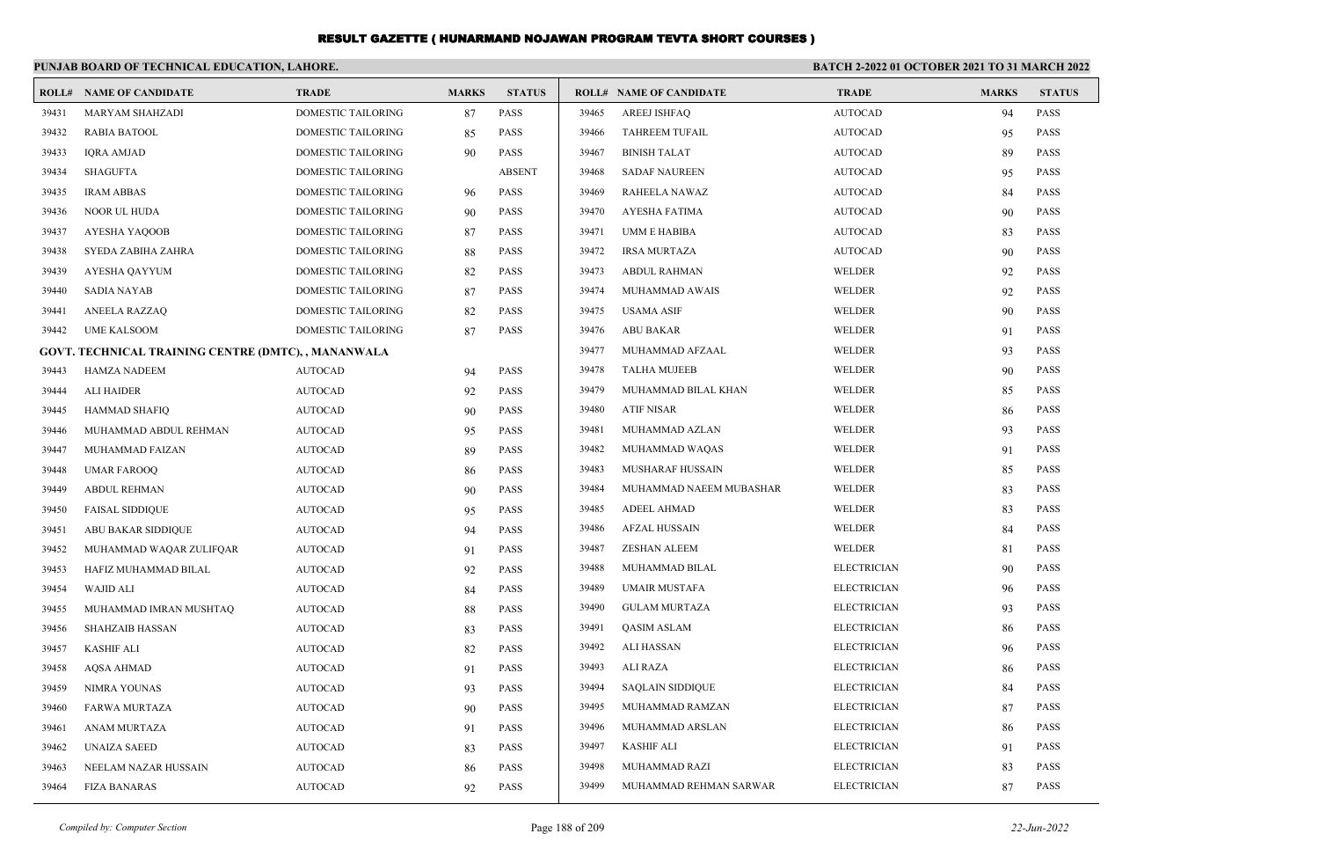|       | PUNJAB BOARD OF TECHNICAL EDUCATION, LAHORE.               |                    |              |               |       |                                | <b>BATCH 2-2022 01 OCTOBER 2021 TO 31 MARCH 2022</b> |              |               |  |
|-------|------------------------------------------------------------|--------------------|--------------|---------------|-------|--------------------------------|------------------------------------------------------|--------------|---------------|--|
|       | <b>ROLL# NAME OF CANDIDATE</b>                             | <b>TRADE</b>       | <b>MARKS</b> | <b>STATUS</b> |       | <b>ROLL# NAME OF CANDIDATE</b> | <b>TRADE</b>                                         | <b>MARKS</b> | <b>STATUS</b> |  |
| 39431 | MARYAM SHAHZADI                                            | DOMESTIC TAILORING | 87           | <b>PASS</b>   | 39465 | <b>AREEJ ISHFAQ</b>            | <b>AUTOCAD</b>                                       | 94           | <b>PASS</b>   |  |
| 39432 | RABIA BATOOL                                               | DOMESTIC TAILORING | 85           | <b>PASS</b>   | 39466 | <b>TAHREEM TUFAIL</b>          | <b>AUTOCAD</b>                                       | 95           | <b>PASS</b>   |  |
| 39433 | <b>IQRA AMJAD</b>                                          | DOMESTIC TAILORING | 90           | <b>PASS</b>   | 39467 | <b>BINISH TALAT</b>            | <b>AUTOCAD</b>                                       | 89           | <b>PASS</b>   |  |
| 39434 | <b>SHAGUFTA</b>                                            | DOMESTIC TAILORING |              | <b>ABSENT</b> | 39468 | <b>SADAF NAUREEN</b>           | <b>AUTOCAD</b>                                       | 95           | <b>PASS</b>   |  |
| 39435 | <b>IRAM ABBAS</b>                                          | DOMESTIC TAILORING | 96           | <b>PASS</b>   | 39469 | RAHEELA NAWAZ                  | <b>AUTOCAD</b>                                       | 84           | <b>PASS</b>   |  |
| 39436 | <b>NOOR UL HUDA</b>                                        | DOMESTIC TAILORING | 90           | <b>PASS</b>   | 39470 | AYESHA FATIMA                  | <b>AUTOCAD</b>                                       | 90           | <b>PASS</b>   |  |
| 39437 | AYESHA YAQOOB                                              | DOMESTIC TAILORING | 87           | <b>PASS</b>   | 39471 | <b>UMM E HABIBA</b>            | <b>AUTOCAD</b>                                       | 83           | <b>PASS</b>   |  |
| 39438 | SYEDA ZABIHA ZAHRA                                         | DOMESTIC TAILORING | 88           | <b>PASS</b>   | 39472 | <b>IRSA MURTAZA</b>            | <b>AUTOCAD</b>                                       | 90           | <b>PASS</b>   |  |
| 39439 | AYESHA QAYYUM                                              | DOMESTIC TAILORING | 82           | <b>PASS</b>   | 39473 | <b>ABDUL RAHMAN</b>            | WELDER                                               | 92           | <b>PASS</b>   |  |
| 39440 | <b>SADIA NAYAB</b>                                         | DOMESTIC TAILORING | 87           | <b>PASS</b>   | 39474 | MUHAMMAD AWAIS                 | WELDER                                               | 92           | <b>PASS</b>   |  |
| 39441 | ANEELA RAZZAQ                                              | DOMESTIC TAILORING | 82           | <b>PASS</b>   | 39475 | USAMA ASIF                     | WELDER                                               | 90           | <b>PASS</b>   |  |
| 39442 | <b>UME KALSOOM</b>                                         | DOMESTIC TAILORING | 87           | <b>PASS</b>   | 39476 | <b>ABU BAKAR</b>               | WELDER                                               | 91           | <b>PASS</b>   |  |
|       | <b>GOVT. TECHNICAL TRAINING CENTRE (DMTC), , MANANWALA</b> |                    |              |               | 39477 | MUHAMMAD AFZAAL                | WELDER                                               | 93           | <b>PASS</b>   |  |
| 39443 | <b>HAMZA NADEEM</b>                                        | <b>AUTOCAD</b>     | 94           | <b>PASS</b>   | 39478 | <b>TALHA MUJEEB</b>            | WELDER                                               | 90           | <b>PASS</b>   |  |
| 39444 | ALI HAIDER                                                 | <b>AUTOCAD</b>     | 92           | <b>PASS</b>   | 39479 | MUHAMMAD BILAL KHAN            | WELDER                                               | 85           | <b>PASS</b>   |  |
| 39445 | <b>HAMMAD SHAFIQ</b>                                       | <b>AUTOCAD</b>     | 90           | <b>PASS</b>   | 39480 | ATIF NISAR                     | WELDER                                               | 86           | <b>PASS</b>   |  |
| 39446 | MUHAMMAD ABDUL REHMAN                                      | <b>AUTOCAD</b>     | 95           | <b>PASS</b>   | 39481 | MUHAMMAD AZLAN                 | WELDER                                               | 93           | <b>PASS</b>   |  |
| 39447 | MUHAMMAD FAIZAN                                            | <b>AUTOCAD</b>     | 89           | <b>PASS</b>   | 39482 | MUHAMMAD WAQAS                 | WELDER                                               | 91           | <b>PASS</b>   |  |
| 39448 | <b>UMAR FAROOQ</b>                                         | <b>AUTOCAD</b>     | 86           | <b>PASS</b>   | 39483 | MUSHARAF HUSSAIN               | WELDER                                               | 85           | <b>PASS</b>   |  |
| 39449 | <b>ABDUL REHMAN</b>                                        | <b>AUTOCAD</b>     | 90           | <b>PASS</b>   | 39484 | MUHAMMAD NAEEM MUBASHAR        | WELDER                                               | 83           | <b>PASS</b>   |  |
| 39450 | <b>FAISAL SIDDIQUE</b>                                     | <b>AUTOCAD</b>     | 95           | <b>PASS</b>   | 39485 | ADEEL AHMAD                    | WELDER                                               | 83           | <b>PASS</b>   |  |
| 39451 | ABU BAKAR SIDDIQUE                                         | <b>AUTOCAD</b>     | 94           | <b>PASS</b>   | 39486 | AFZAL HUSSAIN                  | WELDER                                               | 84           | <b>PASS</b>   |  |
| 39452 | MUHAMMAD WAQAR ZULIFQAR                                    | <b>AUTOCAD</b>     | 91           | <b>PASS</b>   | 39487 | ZESHAN ALEEM                   | WELDER                                               | 81           | <b>PASS</b>   |  |
| 39453 | HAFIZ MUHAMMAD BILAL                                       | <b>AUTOCAD</b>     | 92           | <b>PASS</b>   | 39488 | MUHAMMAD BILAL                 | <b>ELECTRICIAN</b>                                   | 90           | <b>PASS</b>   |  |
| 39454 | <b>WAJID ALI</b>                                           | <b>AUTOCAD</b>     | 84           | <b>PASS</b>   | 39489 | <b>UMAIR MUSTAFA</b>           | <b>ELECTRICIAN</b>                                   | 96           | <b>PASS</b>   |  |
| 39455 | MUHAMMAD IMRAN MUSHTAQ                                     | <b>AUTOCAD</b>     | 88           | <b>PASS</b>   | 39490 | <b>GULAM MURTAZA</b>           | <b>ELECTRICIAN</b>                                   | 93           | <b>PASS</b>   |  |
| 39456 | <b>SHAHZAIB HASSAN</b>                                     | <b>AUTOCAD</b>     | 83           | <b>PASS</b>   | 39491 | QASIM ASLAM                    | <b>ELECTRICIAN</b>                                   | 86           | <b>PASS</b>   |  |
| 39457 | KASHIF ALI                                                 | <b>AUTOCAD</b>     | 82           | <b>PASS</b>   | 39492 | ALI HASSAN                     | <b>ELECTRICIAN</b>                                   | 96           | <b>PASS</b>   |  |
| 39458 | AQSA AHMAD                                                 | <b>AUTOCAD</b>     | 91           | <b>PASS</b>   | 39493 | ALI RAZA                       | <b>ELECTRICIAN</b>                                   | 86           | <b>PASS</b>   |  |
| 39459 | NIMRA YOUNAS                                               | <b>AUTOCAD</b>     | 93           | PASS          | 39494 | <b>SAQLAIN SIDDIQUE</b>        | <b>ELECTRICIAN</b>                                   | 84           | <b>PASS</b>   |  |
| 39460 | FARWA MURTAZA                                              | <b>AUTOCAD</b>     | 90           | PASS          | 39495 | MUHAMMAD RAMZAN                | <b>ELECTRICIAN</b>                                   | 87           | <b>PASS</b>   |  |
| 39461 | ANAM MURTAZA                                               | <b>AUTOCAD</b>     | 91           | <b>PASS</b>   | 39496 | MUHAMMAD ARSLAN                | <b>ELECTRICIAN</b>                                   | 86           | PASS          |  |
| 39462 | <b>UNAIZA SAEED</b>                                        | <b>AUTOCAD</b>     | 83           | <b>PASS</b>   | 39497 | KASHIF ALI                     | <b>ELECTRICIAN</b>                                   | 91           | <b>PASS</b>   |  |
| 39463 | NEELAM NAZAR HUSSAIN                                       | <b>AUTOCAD</b>     | 86           | <b>PASS</b>   | 39498 | MUHAMMAD RAZI                  | <b>ELECTRICIAN</b>                                   | 83           | <b>PASS</b>   |  |
| 39464 | <b>FIZA BANARAS</b>                                        | <b>AUTOCAD</b>     | 92           | PASS          | 39499 | MUHAMMAD REHMAN SARWAR         | <b>ELECTRICIAN</b>                                   | 87           | PASS          |  |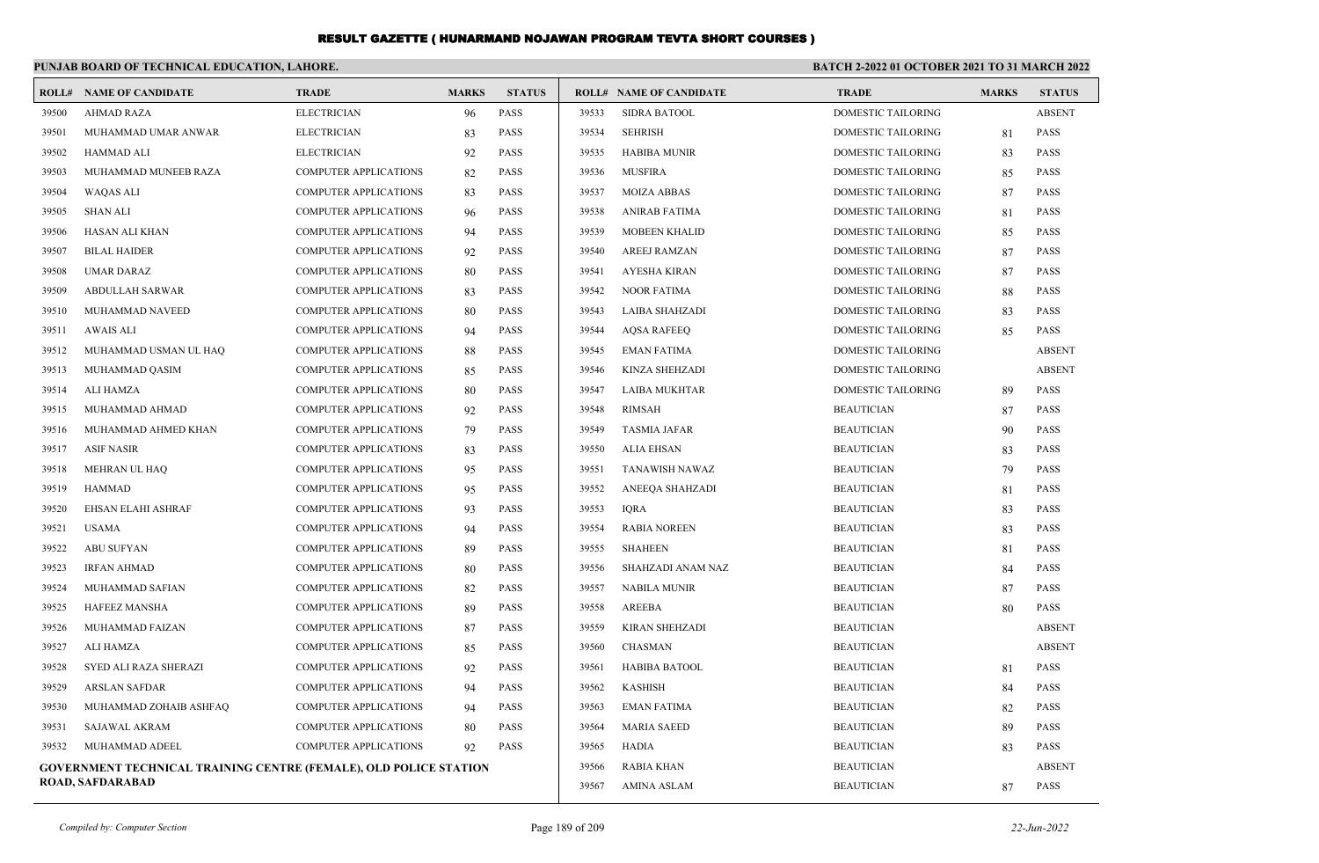|       | PUNJAB BOARD OF TECHNICAL EDUCATION, LAHORE.                             |                              |              |               |                    | BATCH 2-2022 01 OCTOBER 2021 TO 31 MARCH 2022 |                           |              |               |  |
|-------|--------------------------------------------------------------------------|------------------------------|--------------|---------------|--------------------|-----------------------------------------------|---------------------------|--------------|---------------|--|
|       | <b>ROLL# NAME OF CANDIDATE</b>                                           | <b>TRADE</b>                 | <b>MARKS</b> | <b>STATUS</b> |                    | <b>ROLL# NAME OF CANDIDATE</b>                | <b>TRADE</b>              | <b>MARKS</b> | <b>STATUS</b> |  |
| 39500 | <b>AHMAD RAZA</b>                                                        | <b>ELECTRICIAN</b>           | 96           | <b>PASS</b>   | 39533              | <b>SIDRA BATOOL</b>                           | DOMESTIC TAILORING        |              | <b>ABSENT</b> |  |
| 39501 | MUHAMMAD UMAR ANWAR                                                      | <b>ELECTRICIAN</b>           | 83           | <b>PASS</b>   | 39534              | <b>SEHRISH</b>                                | <b>DOMESTIC TAILORING</b> | 81           | <b>PASS</b>   |  |
| 39502 | <b>HAMMAD ALI</b>                                                        | <b>ELECTRICIAN</b>           | 92           | <b>PASS</b>   | 39535              | <b>HABIBA MUNIR</b>                           | DOMESTIC TAILORING        | 83           | <b>PASS</b>   |  |
| 39503 | MUHAMMAD MUNEEB RAZA                                                     | <b>COMPUTER APPLICATIONS</b> | 82           | <b>PASS</b>   | 39536              | <b>MUSFIRA</b>                                | DOMESTIC TAILORING        | 85           | PASS          |  |
| 39504 | WAQAS ALI                                                                | <b>COMPUTER APPLICATIONS</b> | 83           | <b>PASS</b>   | 39537              | MOIZA ABBAS                                   | DOMESTIC TAILORING        | 87           | <b>PASS</b>   |  |
| 39505 | <b>SHAN ALI</b>                                                          | <b>COMPUTER APPLICATIONS</b> | 96           | <b>PASS</b>   | 39538              | <b>ANIRAB FATIMA</b>                          | DOMESTIC TAILORING        | 81           | <b>PASS</b>   |  |
| 39506 | HASAN ALI KHAN                                                           | <b>COMPUTER APPLICATIONS</b> | 94           | <b>PASS</b>   | 39539              | <b>MOBEEN KHALID</b>                          | DOMESTIC TAILORING        | 85           | <b>PASS</b>   |  |
| 39507 | <b>BILAL HAIDER</b>                                                      | <b>COMPUTER APPLICATIONS</b> | 92           | <b>PASS</b>   | 39540              | <b>AREEJ RAMZAN</b>                           | DOMESTIC TAILORING        | 87           | <b>PASS</b>   |  |
| 39508 | UMAR DARAZ                                                               | <b>COMPUTER APPLICATIONS</b> | 80           | <b>PASS</b>   | 39541              | <b>AYESHA KIRAN</b>                           | DOMESTIC TAILORING        | 87           | <b>PASS</b>   |  |
| 39509 | <b>ABDULLAH SARWAR</b>                                                   | <b>COMPUTER APPLICATIONS</b> | 83           | <b>PASS</b>   | 39542              | <b>NOOR FATIMA</b>                            | <b>DOMESTIC TAILORING</b> | 88           | <b>PASS</b>   |  |
| 39510 | MUHAMMAD NAVEED                                                          | <b>COMPUTER APPLICATIONS</b> | 80           | <b>PASS</b>   | 39543              | <b>LAIBA SHAHZADI</b>                         | <b>DOMESTIC TAILORING</b> | 83           | <b>PASS</b>   |  |
| 39511 | AWAIS ALI                                                                | COMPUTER APPLICATIONS        | 94           | <b>PASS</b>   | 39544              | <b>AQSA RAFEEQ</b>                            | DOMESTIC TAILORING        | 85           | PASS          |  |
| 39512 | MUHAMMAD USMAN UL HAQ                                                    | <b>COMPUTER APPLICATIONS</b> | 88           | <b>PASS</b>   | 39545              | <b>EMAN FATIMA</b>                            | DOMESTIC TAILORING        |              | <b>ABSENT</b> |  |
| 39513 | MUHAMMAD QASIM                                                           | <b>COMPUTER APPLICATIONS</b> | 85           | <b>PASS</b>   | 39546              | <b>KINZA SHEHZADI</b>                         | <b>DOMESTIC TAILORING</b> |              | <b>ABSENT</b> |  |
| 39514 | ALI HAMZA                                                                | <b>COMPUTER APPLICATIONS</b> | 80           | <b>PASS</b>   | 39547              | <b>LAIBA MUKHTAR</b>                          | <b>DOMESTIC TAILORING</b> | 89           | <b>PASS</b>   |  |
| 39515 | MUHAMMAD AHMAD                                                           | <b>COMPUTER APPLICATIONS</b> | 92           | <b>PASS</b>   | 39548              | <b>RIMSAH</b>                                 | <b>BEAUTICIAN</b>         | 87           | <b>PASS</b>   |  |
| 39516 | MUHAMMAD AHMED KHAN                                                      | <b>COMPUTER APPLICATIONS</b> | 79           | <b>PASS</b>   | 39549              | <b>TASMIA JAFAR</b>                           | <b>BEAUTICIAN</b>         | 90           | <b>PASS</b>   |  |
| 39517 | <b>ASIF NASIR</b>                                                        | <b>COMPUTER APPLICATIONS</b> | 83           | <b>PASS</b>   | 39550              | <b>ALIA EHSAN</b>                             | <b>BEAUTICIAN</b>         | 83           | <b>PASS</b>   |  |
| 39518 | MEHRAN UL HAQ                                                            | <b>COMPUTER APPLICATIONS</b> | 95           | <b>PASS</b>   | 39551              | TANAWISH NAWAZ                                | <b>BEAUTICIAN</b>         | 79           | <b>PASS</b>   |  |
| 39519 | <b>HAMMAD</b>                                                            | <b>COMPUTER APPLICATIONS</b> | 95           | <b>PASS</b>   | 39552              | ANEEQA SHAHZADI                               | <b>BEAUTICIAN</b>         | 81           | <b>PASS</b>   |  |
| 39520 | EHSAN ELAHI ASHRAF                                                       | <b>COMPUTER APPLICATIONS</b> | 93           | <b>PASS</b>   | 39553              | <b>IQRA</b>                                   | <b>BEAUTICIAN</b>         | 83           | PASS          |  |
| 39521 | <b>USAMA</b>                                                             | COMPUTER APPLICATIONS        | 94           | <b>PASS</b>   | 39554              | <b>RABIA NOREEN</b>                           | <b>BEAUTICIAN</b>         | 83           | <b>PASS</b>   |  |
| 39522 | <b>ABU SUFYAN</b>                                                        | <b>COMPUTER APPLICATIONS</b> | 89           | <b>PASS</b>   | 39555              | <b>SHAHEEN</b>                                | <b>BEAUTICIAN</b>         | 81           | <b>PASS</b>   |  |
| 39523 | <b>IRFAN AHMAD</b>                                                       | <b>COMPUTER APPLICATIONS</b> | 80           | <b>PASS</b>   | 39556              | SHAHZADI ANAM NAZ                             | <b>BEAUTICIAN</b>         | 84           | <b>PASS</b>   |  |
| 39524 | MUHAMMAD SAFIAN                                                          | <b>COMPUTER APPLICATIONS</b> | 82           | PASS          | 39557              | <b>NABILA MUNIR</b>                           | <b>BEAUTICIAN</b>         | 87           | <b>PASS</b>   |  |
| 39525 | <b>HAFEEZ MANSHA</b>                                                     | <b>COMPUTER APPLICATIONS</b> | 89           | <b>PASS</b>   | 39558              | <b>AREEBA</b>                                 | <b>BEAUTICIAN</b>         | 80           | <b>PASS</b>   |  |
| 39526 | MUHAMMAD FAIZAN                                                          | <b>COMPUTER APPLICATIONS</b> | 87           | <b>PASS</b>   | 39559              | KIRAN SHEHZADI                                | <b>BEAUTICIAN</b>         |              | <b>ABSENT</b> |  |
| 39527 | ALI HAMZA                                                                | <b>COMPUTER APPLICATIONS</b> | 85           | <b>PASS</b>   | 39560              | <b>CHASMAN</b>                                | <b>BEAUTICIAN</b>         |              | <b>ABSENT</b> |  |
| 39528 | SYED ALI RAZA SHERAZI                                                    | COMPUTER APPLICATIONS        | 92           | <b>PASS</b>   | 39561              | <b>HABIBA BATOOL</b>                          | <b>BEAUTICIAN</b>         | 81           | <b>PASS</b>   |  |
| 39529 | <b>ARSLAN SAFDAR</b>                                                     | <b>COMPUTER APPLICATIONS</b> | 94           | <b>PASS</b>   | 39562              | <b>KASHISH</b>                                | <b>BEAUTICIAN</b>         | 84           | <b>PASS</b>   |  |
| 39530 | MUHAMMAD ZOHAIB ASHFAQ                                                   | <b>COMPUTER APPLICATIONS</b> | 94           | <b>PASS</b>   | 39563              | <b>EMAN FATIMA</b>                            | <b>BEAUTICIAN</b>         | 82           | <b>PASS</b>   |  |
| 39531 | SAJAWAL AKRAM                                                            | <b>COMPUTER APPLICATIONS</b> | 80           | <b>PASS</b>   | 39564              | <b>MARIA SAEED</b>                            | <b>BEAUTICIAN</b>         | 89           | <b>PASS</b>   |  |
| 39532 | MUHAMMAD ADEEL                                                           | <b>COMPUTER APPLICATIONS</b> | <b>PASS</b>  | 39565         | <b>HADIA</b>       | <b>BEAUTICIAN</b>                             | 83                        | <b>PASS</b>  |               |  |
|       | <b>GOVERNMENT TECHNICAL TRAINING CENTRE (FEMALE), OLD POLICE STATION</b> |                              |              |               | 39566              | <b>RABIA KHAN</b>                             | <b>BEAUTICIAN</b>         |              | <b>ABSENT</b> |  |
|       | <b>ROAD, SAFDARABAD</b>                                                  |                              |              | 39567         | <b>AMINA ASLAM</b> | <b>BEAUTICIAN</b>                             | 87                        | <b>PASS</b>  |               |  |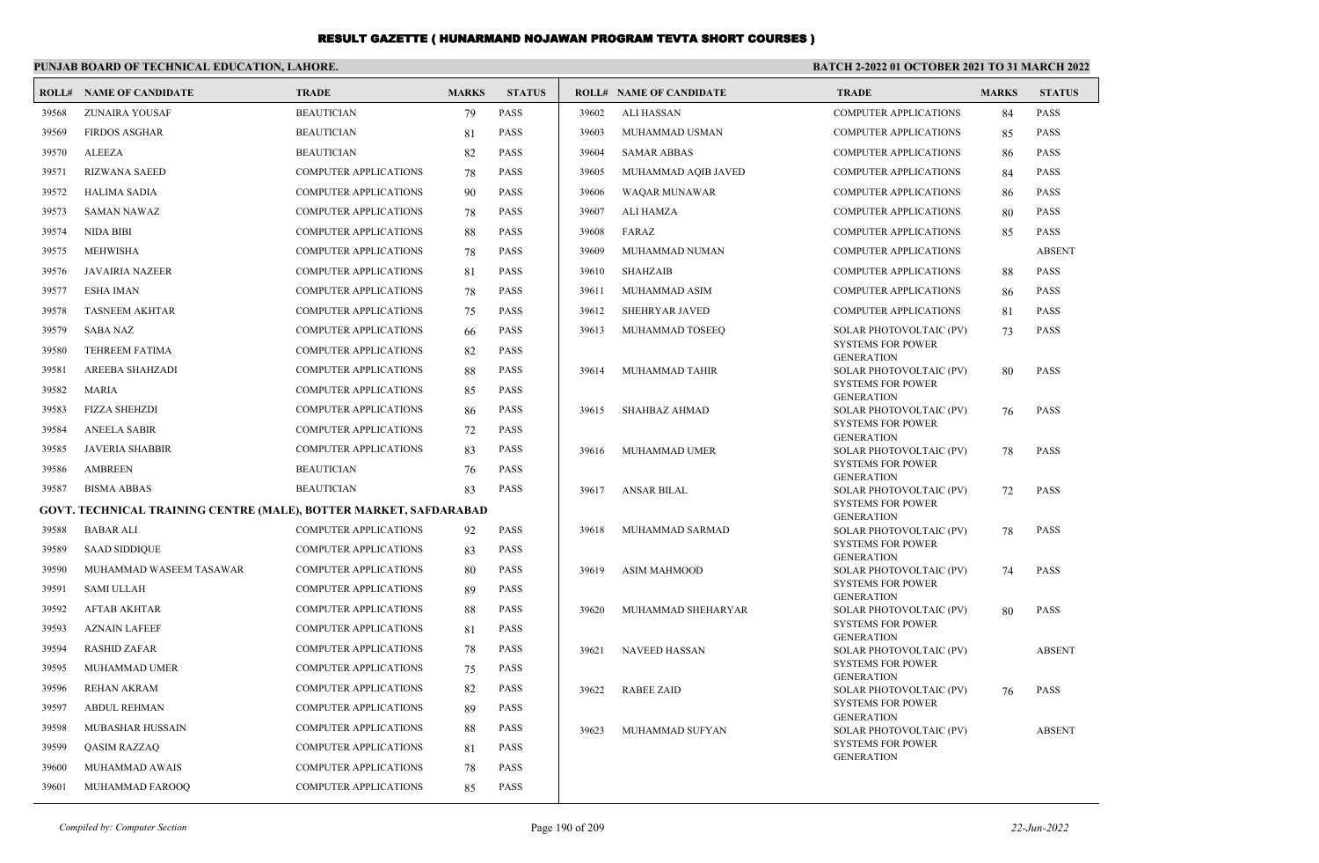|       | PUNJAB BOARD OF TECHNICAL EDUCATION, LAHORE.                      |                              |              |               | <b>BATCH 2-2022 01 OCTOBER 2021 TO 31 MARCH 2022</b> |                                |                                               |              |               |
|-------|-------------------------------------------------------------------|------------------------------|--------------|---------------|------------------------------------------------------|--------------------------------|-----------------------------------------------|--------------|---------------|
|       | <b>ROLL# NAME OF CANDIDATE</b>                                    | <b>TRADE</b>                 | <b>MARKS</b> | <b>STATUS</b> |                                                      | <b>ROLL# NAME OF CANDIDATE</b> | <b>TRADE</b>                                  | <b>MARKS</b> | <b>STATUS</b> |
| 39568 | <b>ZUNAIRA YOUSAF</b>                                             | <b>BEAUTICIAN</b>            | 79           | <b>PASS</b>   | 39602                                                | <b>ALI HASSAN</b>              | <b>COMPUTER APPLICATIONS</b>                  | 84           | <b>PASS</b>   |
| 39569 | <b>FIRDOS ASGHAR</b>                                              | <b>BEAUTICIAN</b>            | 81           | <b>PASS</b>   | 39603                                                | MUHAMMAD USMAN                 | <b>COMPUTER APPLICATIONS</b>                  | 85           | PASS          |
| 39570 | <b>ALEEZA</b>                                                     | <b>BEAUTICIAN</b>            | 82           | <b>PASS</b>   | 39604                                                | <b>SAMAR ABBAS</b>             | <b>COMPUTER APPLICATIONS</b>                  | 86           | <b>PASS</b>   |
| 39571 | <b>RIZWANA SAEED</b>                                              | <b>COMPUTER APPLICATIONS</b> | 78           | <b>PASS</b>   | 39605                                                | MUHAMMAD AQIB JAVED            | <b>COMPUTER APPLICATIONS</b>                  | 84           | <b>PASS</b>   |
| 39572 | <b>HALIMA SADIA</b>                                               | <b>COMPUTER APPLICATIONS</b> | 90           | <b>PASS</b>   | 39606                                                | <b>WAQAR MUNAWAR</b>           | <b>COMPUTER APPLICATIONS</b>                  | 86           | <b>PASS</b>   |
| 39573 | <b>SAMAN NAWAZ</b>                                                | <b>COMPUTER APPLICATIONS</b> | 78           | <b>PASS</b>   | 39607                                                | <b>ALI HAMZA</b>               | <b>COMPUTER APPLICATIONS</b>                  | 80           | <b>PASS</b>   |
| 39574 | <b>NIDA BIBI</b>                                                  | COMPUTER APPLICATIONS        | 88           | <b>PASS</b>   | 39608                                                | FARAZ                          | <b>COMPUTER APPLICATIONS</b>                  | 85           | PASS          |
| 39575 | <b>MEHWISHA</b>                                                   | <b>COMPUTER APPLICATIONS</b> | 78           | <b>PASS</b>   | 39609                                                | MUHAMMAD NUMAN                 | <b>COMPUTER APPLICATIONS</b>                  |              | <b>ABSENT</b> |
| 39576 | <b>JAVAIRIA NAZEER</b>                                            | <b>COMPUTER APPLICATIONS</b> | 81           | <b>PASS</b>   | 39610                                                | <b>SHAHZAIB</b>                | <b>COMPUTER APPLICATIONS</b>                  | 88           | <b>PASS</b>   |
| 39577 | <b>ESHA IMAN</b>                                                  | <b>COMPUTER APPLICATIONS</b> | 78           | <b>PASS</b>   | 39611                                                | MUHAMMAD ASIM                  | <b>COMPUTER APPLICATIONS</b>                  | 86           | <b>PASS</b>   |
| 39578 | <b>TASNEEM AKHTAR</b>                                             | <b>COMPUTER APPLICATIONS</b> | 75           | <b>PASS</b>   | 39612                                                | <b>SHEHRYAR JAVED</b>          | <b>COMPUTER APPLICATIONS</b>                  | 81           | <b>PASS</b>   |
| 39579 | <b>SABA NAZ</b>                                                   | COMPUTER APPLICATIONS        | 66           | <b>PASS</b>   | 39613                                                | MUHAMMAD TOSEEQ                | SOLAR PHOTOVOLTAIC (PV)                       | 73           | PASS          |
| 39580 | <b>TEHREEM FATIMA</b>                                             | COMPUTER APPLICATIONS        | 82           | <b>PASS</b>   |                                                      |                                | <b>SYSTEMS FOR POWER</b><br><b>GENERATION</b> |              |               |
| 39581 | AREEBA SHAHZADI                                                   | COMPUTER APPLICATIONS        | 88           | <b>PASS</b>   | 39614                                                | MUHAMMAD TAHIR                 | SOLAR PHOTOVOLTAIC (PV)                       | 80           | <b>PASS</b>   |
| 39582 | <b>MARIA</b>                                                      | <b>COMPUTER APPLICATIONS</b> | 85           | <b>PASS</b>   |                                                      |                                | <b>SYSTEMS FOR POWER</b><br><b>GENERATION</b> |              |               |
| 39583 | <b>FIZZA SHEHZDI</b>                                              | COMPUTER APPLICATIONS        | 86           | <b>PASS</b>   | 39615                                                | <b>SHAHBAZ AHMAD</b>           | SOLAR PHOTOVOLTAIC (PV)                       | 76           | <b>PASS</b>   |
| 39584 | <b>ANEELA SABIR</b>                                               | COMPUTER APPLICATIONS        | 72           | <b>PASS</b>   |                                                      |                                | <b>SYSTEMS FOR POWER</b><br><b>GENERATION</b> |              |               |
| 39585 | <b>JAVERIA SHABBIR</b>                                            | <b>COMPUTER APPLICATIONS</b> | 83           | <b>PASS</b>   | 39616                                                | MUHAMMAD UMER                  | SOLAR PHOTOVOLTAIC (PV)                       | 78           | <b>PASS</b>   |
| 39586 | <b>AMBREEN</b>                                                    | <b>BEAUTICIAN</b>            | 76           | <b>PASS</b>   |                                                      |                                | <b>SYSTEMS FOR POWER</b><br><b>GENERATION</b> |              |               |
| 39587 | <b>BISMA ABBAS</b>                                                | <b>BEAUTICIAN</b>            | 83           | <b>PASS</b>   | 39617                                                | ANSAR BILAL                    | SOLAR PHOTOVOLTAIC (PV)                       | 72           | <b>PASS</b>   |
|       | GOVT. TECHNICAL TRAINING CENTRE (MALE), BOTTER MARKET, SAFDARABAD |                              |              |               |                                                      |                                | <b>SYSTEMS FOR POWER</b><br><b>GENERATION</b> |              |               |
| 39588 | <b>BABAR ALI</b>                                                  | COMPUTER APPLICATIONS        | 92           | <b>PASS</b>   | 39618                                                | MUHAMMAD SARMAD                | SOLAR PHOTOVOLTAIC (PV)                       | 78           | <b>PASS</b>   |
| 39589 | <b>SAAD SIDDIQUE</b>                                              | COMPUTER APPLICATIONS        | 83           | <b>PASS</b>   |                                                      |                                | <b>SYSTEMS FOR POWER</b><br><b>GENERATION</b> |              |               |
| 39590 | MUHAMMAD WASEEM TASAWAR                                           | COMPUTER APPLICATIONS        | 80           | <b>PASS</b>   | 39619                                                | <b>ASIM MAHMOOD</b>            | SOLAR PHOTOVOLTAIC (PV)                       | 74           | <b>PASS</b>   |
| 39591 | <b>SAMI ULLAH</b>                                                 | COMPUTER APPLICATIONS        | 89           | <b>PASS</b>   |                                                      |                                | <b>SYSTEMS FOR POWER</b><br><b>GENERATION</b> |              |               |
| 39592 | <b>AFTAB AKHTAR</b>                                               | COMPUTER APPLICATIONS        | 88           | <b>PASS</b>   | 39620                                                | MUHAMMAD SHEHARYAR             | SOLAR PHOTOVOLTAIC (PV)                       | 80           | <b>PASS</b>   |
| 39593 | <b>AZNAIN LAFEEF</b>                                              | <b>COMPUTER APPLICATIONS</b> | 81           | <b>PASS</b>   |                                                      |                                | <b>SYSTEMS FOR POWER</b><br><b>GENERATION</b> |              |               |
| 39594 | <b>RASHID ZAFAR</b>                                               | <b>COMPUTER APPLICATIONS</b> | 78           | <b>PASS</b>   | 39621                                                | <b>NAVEED HASSAN</b>           | SOLAR PHOTOVOLTAIC (PV)                       |              | <b>ABSENT</b> |
| 39595 | MUHAMMAD UMER                                                     | COMPUTER APPLICATIONS        | 75           | <b>PASS</b>   |                                                      |                                | <b>SYSTEMS FOR POWER</b><br><b>GENERATION</b> |              |               |
| 39596 | <b>REHAN AKRAM</b>                                                | COMPUTER APPLICATIONS        | 82           | <b>PASS</b>   | 39622                                                | <b>RABEE ZAID</b>              | SOLAR PHOTOVOLTAIC (PV)                       | 76           | <b>PASS</b>   |
| 39597 | <b>ABDUL REHMAN</b>                                               | <b>COMPUTER APPLICATIONS</b> | 89           | <b>PASS</b>   |                                                      |                                | <b>SYSTEMS FOR POWER</b><br><b>GENERATION</b> |              |               |
| 39598 | <b>MUBASHAR HUSSAIN</b>                                           | <b>COMPUTER APPLICATIONS</b> | 88           | <b>PASS</b>   | 39623                                                | MUHAMMAD SUFYAN                | SOLAR PHOTOVOLTAIC (PV)                       |              | <b>ABSENT</b> |
| 39599 | <b>QASIM RAZZAQ</b>                                               | COMPUTER APPLICATIONS        | 81           | <b>PASS</b>   |                                                      |                                | <b>SYSTEMS FOR POWER</b><br><b>GENERATION</b> |              |               |
| 39600 | MUHAMMAD AWAIS                                                    | COMPUTER APPLICATIONS        | 78           | <b>PASS</b>   |                                                      |                                |                                               |              |               |
| 39601 | MUHAMMAD FAROOO                                                   | <b>COMPUTER APPLICATIONS</b> | 85           | <b>PASS</b>   |                                                      |                                |                                               |              |               |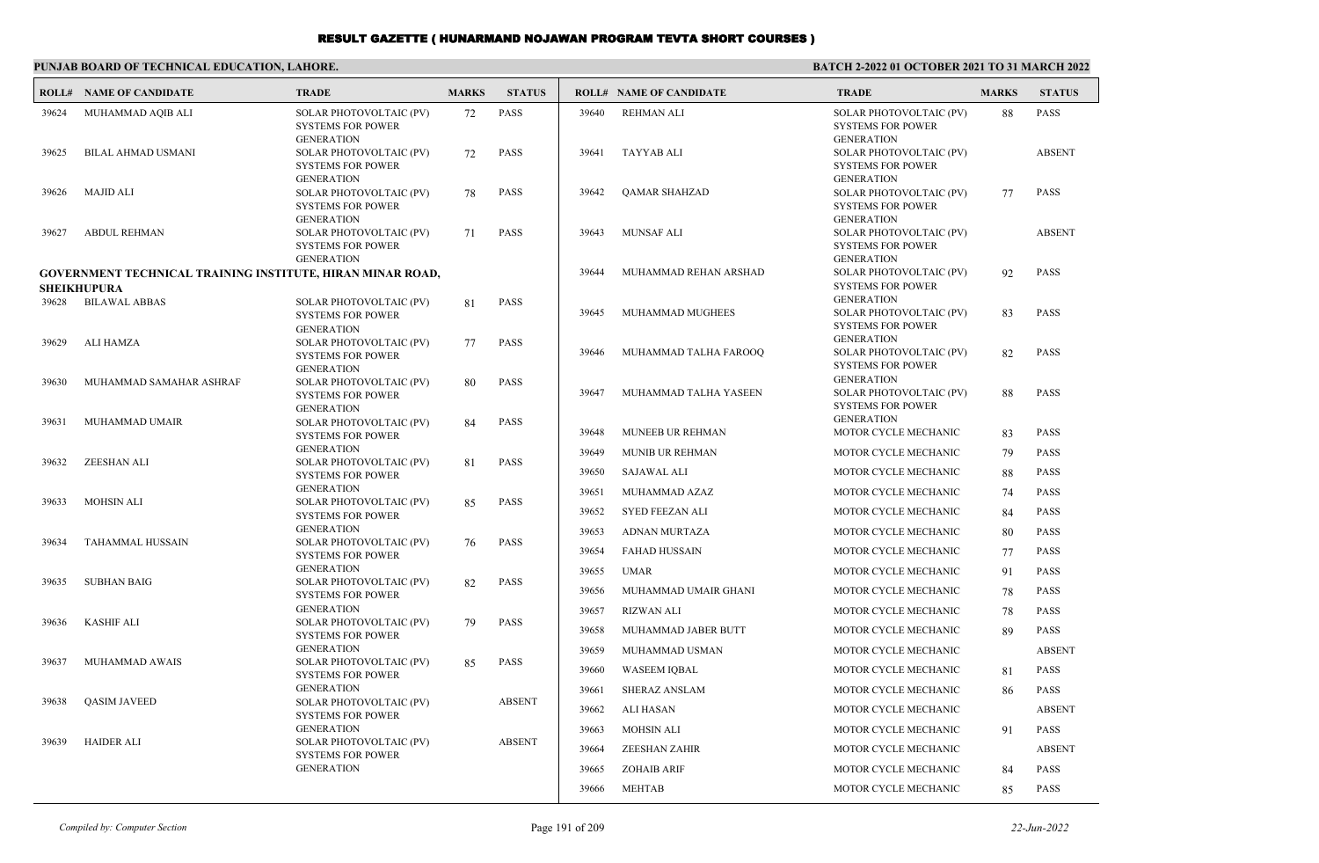| PUNJAB BOARD OF TECHNICAL EDUCATION. LAHORE. |  |
|----------------------------------------------|--|
|----------------------------------------------|--|

#### **BATCH 2-2022 01 OCTOBER 2021 TO 31 MARCH 2022**

| ROLL# | <b>NAME OF CANDIDATE</b>                                                                | <b>TRADE</b>                                                             | <b>MARKS</b> | <b>STATUS</b> |       | <b>ROLL# NAME OF CANDIDATE</b> | <b>TRADE</b>                                                             | <b>MARKS</b> | <b>STATUS</b> |
|-------|-----------------------------------------------------------------------------------------|--------------------------------------------------------------------------|--------------|---------------|-------|--------------------------------|--------------------------------------------------------------------------|--------------|---------------|
| 39624 | MUHAMMAD AQIB ALI                                                                       | SOLAR PHOTOVOLTAIC (PV)<br><b>SYSTEMS FOR POWER</b><br><b>GENERATION</b> | 72           | <b>PASS</b>   | 39640 | <b>REHMAN ALI</b>              | SOLAR PHOTOVOLTAIC (PV)<br><b>SYSTEMS FOR POWER</b><br><b>GENERATION</b> | 88           | <b>PASS</b>   |
| 39625 | <b>BILAL AHMAD USMANI</b>                                                               | SOLAR PHOTOVOLTAIC (PV)<br><b>SYSTEMS FOR POWER</b><br><b>GENERATION</b> | 72           | <b>PASS</b>   | 39641 | TAYYAB ALI                     | SOLAR PHOTOVOLTAIC (PV)<br><b>SYSTEMS FOR POWER</b><br><b>GENERATION</b> |              | <b>ABSENT</b> |
| 39626 | <b>MAJID ALI</b>                                                                        | SOLAR PHOTOVOLTAIC (PV)<br><b>SYSTEMS FOR POWER</b><br><b>GENERATION</b> | 78           | <b>PASS</b>   | 39642 | <b>QAMAR SHAHZAD</b>           | SOLAR PHOTOVOLTAIC (PV)<br><b>SYSTEMS FOR POWER</b><br><b>GENERATION</b> | 77           | <b>PASS</b>   |
| 39627 | <b>ABDUL REHMAN</b>                                                                     | SOLAR PHOTOVOLTAIC (PV)<br><b>SYSTEMS FOR POWER</b><br><b>GENERATION</b> | 71           | <b>PASS</b>   | 39643 | <b>MUNSAF ALI</b>              | SOLAR PHOTOVOLTAIC (PV)<br><b>SYSTEMS FOR POWER</b><br><b>GENERATION</b> |              | <b>ABSENT</b> |
|       | <b>GOVERNMENT TECHNICAL TRAINING INSTITUTE, HIRAN MINAR ROAD,</b><br><b>SHEIKHUPURA</b> |                                                                          |              |               | 39644 | MUHAMMAD REHAN ARSHAD          | SOLAR PHOTOVOLTAIC (PV)<br><b>SYSTEMS FOR POWER</b>                      | 92           | <b>PASS</b>   |
| 39628 | <b>BILAWAL ABBAS</b>                                                                    | SOLAR PHOTOVOLTAIC (PV)<br><b>SYSTEMS FOR POWER</b><br><b>GENERATION</b> | 81           | <b>PASS</b>   | 39645 | MUHAMMAD MUGHEES               | <b>GENERATION</b><br>SOLAR PHOTOVOLTAIC (PV)<br><b>SYSTEMS FOR POWER</b> | 83           | <b>PASS</b>   |
| 39629 | ALI HAMZA                                                                               | SOLAR PHOTOVOLTAIC (PV)<br><b>SYSTEMS FOR POWER</b><br><b>GENERATION</b> | 77           | <b>PASS</b>   | 39646 | MUHAMMAD TALHA FAROOQ          | <b>GENERATION</b><br>SOLAR PHOTOVOLTAIC (PV)<br><b>SYSTEMS FOR POWER</b> | 82           | <b>PASS</b>   |
| 39630 | MUHAMMAD SAMAHAR ASHRAF                                                                 | SOLAR PHOTOVOLTAIC (PV)<br><b>SYSTEMS FOR POWER</b><br><b>GENERATION</b> | 80           | <b>PASS</b>   | 39647 | MUHAMMAD TALHA YASEEN          | <b>GENERATION</b><br>SOLAR PHOTOVOLTAIC (PV)<br><b>SYSTEMS FOR POWER</b> | 88           | <b>PASS</b>   |
| 39631 | MUHAMMAD UMAIR                                                                          | SOLAR PHOTOVOLTAIC (PV)<br><b>SYSTEMS FOR POWER</b>                      | 84           | <b>PASS</b>   | 39648 | <b>MUNEEB UR REHMAN</b>        | <b>GENERATION</b><br>MOTOR CYCLE MECHANIC                                | 83           | <b>PASS</b>   |
| 39632 | ZEESHAN ALI                                                                             | <b>GENERATION</b><br>SOLAR PHOTOVOLTAIC (PV)                             | 81           | <b>PASS</b>   | 39649 | <b>MUNIB UR REHMAN</b>         | MOTOR CYCLE MECHANIC                                                     | 79           | <b>PASS</b>   |
|       |                                                                                         | <b>SYSTEMS FOR POWER</b>                                                 |              |               | 39650 | <b>SAJAWAL ALI</b>             | MOTOR CYCLE MECHANIC                                                     | 88           | <b>PASS</b>   |
| 39633 | <b>MOHSIN ALI</b>                                                                       | <b>GENERATION</b>                                                        |              | <b>PASS</b>   | 39651 | MUHAMMAD AZAZ                  | MOTOR CYCLE MECHANIC                                                     | 74           | <b>PASS</b>   |
|       |                                                                                         | SOLAR PHOTOVOLTAIC (PV)<br><b>SYSTEMS FOR POWER</b>                      | 85           |               | 39652 | <b>SYED FEEZAN ALI</b>         | MOTOR CYCLE MECHANIC                                                     | 84           | <b>PASS</b>   |
|       |                                                                                         | <b>GENERATION</b>                                                        |              |               | 39653 | <b>ADNAN MURTAZA</b>           | MOTOR CYCLE MECHANIC                                                     | 80           | <b>PASS</b>   |
| 39634 | TAHAMMAL HUSSAIN                                                                        | SOLAR PHOTOVOLTAIC (PV)<br><b>SYSTEMS FOR POWER</b>                      | 76           | <b>PASS</b>   | 39654 | <b>FAHAD HUSSAIN</b>           | MOTOR CYCLE MECHANIC                                                     | 77           | <b>PASS</b>   |
|       |                                                                                         | <b>GENERATION</b>                                                        |              |               | 39655 | <b>UMAR</b>                    | MOTOR CYCLE MECHANIC                                                     | 91           | <b>PASS</b>   |
| 39635 | <b>SUBHAN BAIG</b>                                                                      | SOLAR PHOTOVOLTAIC (PV)<br><b>SYSTEMS FOR POWER</b>                      | 82           | <b>PASS</b>   | 39656 | MUHAMMAD UMAIR GHANI           | MOTOR CYCLE MECHANIC                                                     | 78           | <b>PASS</b>   |
|       |                                                                                         | <b>GENERATION</b>                                                        |              |               | 39657 | <b>RIZWAN ALI</b>              | MOTOR CYCLE MECHANIC                                                     | 78           | <b>PASS</b>   |
| 39636 | <b>KASHIF ALI</b>                                                                       | SOLAR PHOTOVOLTAIC (PV)<br><b>SYSTEMS FOR POWER</b>                      | 79           | <b>PASS</b>   | 39658 | MUHAMMAD JABER BUTT            | MOTOR CYCLE MECHANIC                                                     | 89           | <b>PASS</b>   |
|       |                                                                                         | <b>GENERATION</b>                                                        |              |               | 39659 | MUHAMMAD USMAN                 | MOTOR CYCLE MECHANIC                                                     |              | <b>ABSENT</b> |
| 39637 | MUHAMMAD AWAIS                                                                          | SOLAR PHOTOVOLTAIC (PV)<br><b>SYSTEMS FOR POWER</b>                      | 85           | <b>PASS</b>   | 39660 | <b>WASEEM IOBAL</b>            | MOTOR CYCLE MECHANIC                                                     | 81           | <b>PASS</b>   |
|       |                                                                                         | <b>GENERATION</b>                                                        |              |               | 39661 | <b>SHERAZ ANSLAM</b>           | MOTOR CYCLE MECHANIC                                                     | 86           | <b>PASS</b>   |
| 39638 | <b>QASIM JAVEED</b>                                                                     | SOLAR PHOTOVOLTAIC (PV)<br><b>SYSTEMS FOR POWER</b>                      |              | <b>ABSENT</b> | 39662 | <b>ALI HASAN</b>               | MOTOR CYCLE MECHANIC                                                     |              | <b>ABSENT</b> |
|       |                                                                                         | <b>GENERATION</b>                                                        |              |               | 39663 | <b>MOHSIN ALI</b>              | MOTOR CYCLE MECHANIC                                                     | 91           | <b>PASS</b>   |
| 39639 | <b>HAIDER ALI</b>                                                                       | SOLAR PHOTOVOLTAIC (PV)<br><b>SYSTEMS FOR POWER</b>                      |              | <b>ABSENT</b> | 39664 | <b>ZEESHAN ZAHIR</b>           | MOTOR CYCLE MECHANIC                                                     |              | <b>ABSENT</b> |
|       |                                                                                         | <b>GENERATION</b>                                                        |              |               | 39665 | <b>ZOHAIB ARIF</b>             | MOTOR CYCLE MECHANIC                                                     | 84           | <b>PASS</b>   |
|       |                                                                                         |                                                                          |              |               | 39666 | <b>MEHTAB</b>                  | MOTOR CYCLE MECHANIC                                                     | 85           | <b>PASS</b>   |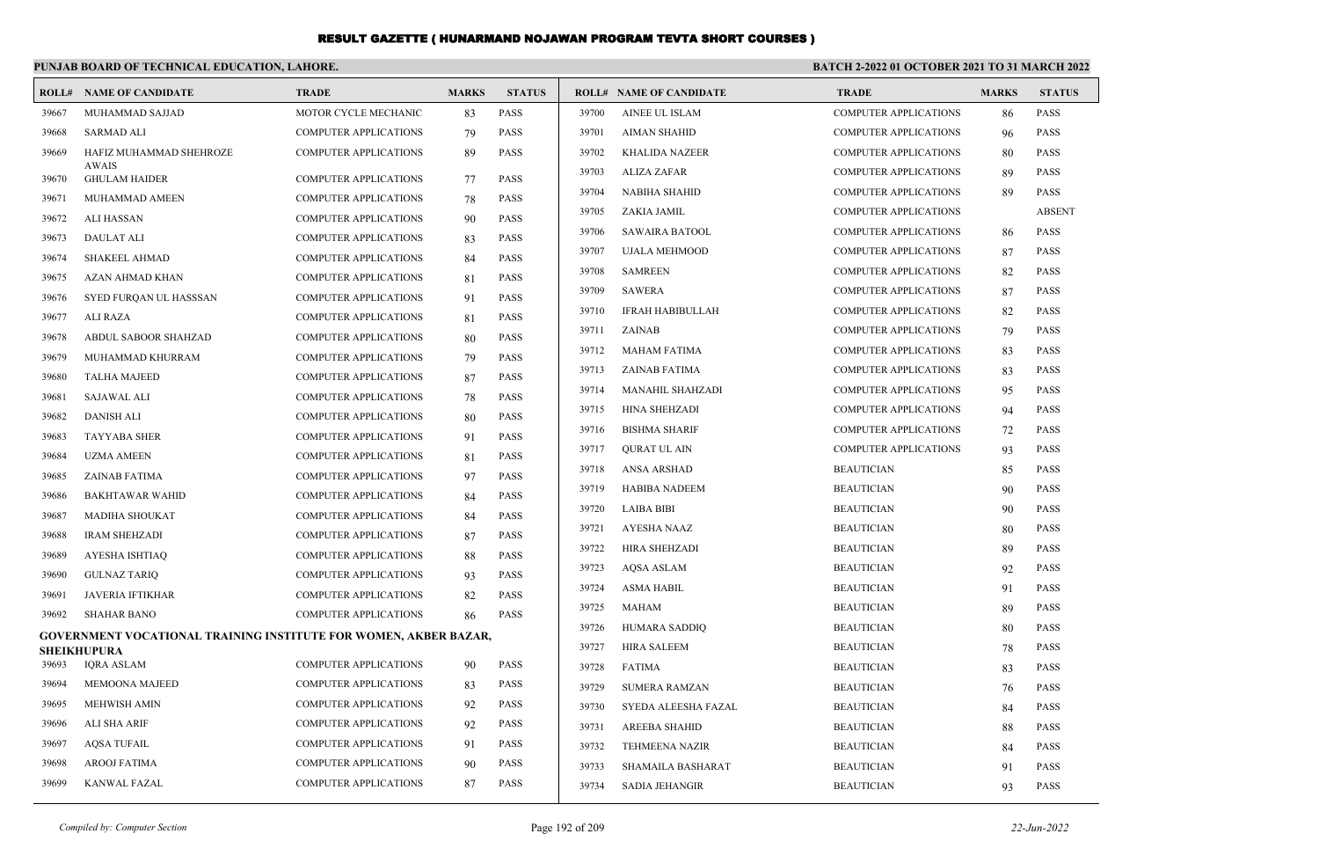#### **PUNJAB BOARD OF TECHNICAL EDUCATION, LAHORE. BATCH 2-2022 01 OCTOBER 2021 TO 31 MARCH 2022 ROLL# NAME OF CANDIDATE TRADE MARKS STATUS ROLL# NAME OF CANDIDATE TRADE MARKS STATUS** 39667 MUHAMMAD SAJJAD MOTOR CYCLE MECHANIC 83 PASS 39668 SARMAD ALI COMPUTER APPLICATIONS 79 PASS HAFIZ MUHAMMAD SHEHROZE COMPUTER APPLICATIONS 89 PASS AWAIS 39669 39670 GHULAM HAIDER **COMPUTER APPLICATIONS** 77 PASS 39671 MUHAMMAD AMEEN COMPUTER APPLICATIONS 78 PASS 39672 ALI HASSAN COMPUTER APPLICATIONS 90 PASS 39673 DAULAT ALI COMPUTER APPLICATIONS 83 PASS 39674 SHAKEEL AHMAD COMPUTER APPLICATIONS 84 PASS 39675 AZAN AHMAD KHAN COMPUTER APPLICATIONS 81 PASS 39676 SYED FURQAN UL HASSSAN COMPUTER APPLICATIONS 91 PASS 39677 ALI RAZA COMPUTER APPLICATIONS 81 PASS 39678 ABDUL SABOOR SHAHZAD COMPUTER APPLICATIONS 80 PASS 39679 MUHAMMAD KHURRAM COMPUTER APPLICATIONS 79 PASS 39680 TALHA MAJEED COMPUTER APPLICATIONS 87 PASS 39681 SAJAWAL ALI COMPUTER APPLICATIONS 78 PASS 39682 DANISH ALI COMPUTER APPLICATIONS 80 PASS 39683 TAYYABA SHER COMPUTER APPLICATIONS 91 PASS 39684 UZMA AMEEN COMPUTER APPLICATIONS 81 PASS 39685 ZAINAB FATIMA COMPUTER APPLICATIONS 97 PASS 39686 BAKHTAWAR WAHID COMPUTER APPLICATIONS 84 PASS 39687 MADIHA SHOUKAT COMPUTER APPLICATIONS 84 PASS 39688 IRAM SHEHZADI COMPUTER APPLICATIONS 87 PASS 39689 AYESHA ISHTIAQ COMPUTER APPLICATIONS 88 PASS 39690 GULNAZ TARIQ COMPUTER APPLICATIONS 93 PASS 39691 JAVERIA IFTIKHAR COMPUTER APPLICATIONS 82 PASS 39692 SHAHAR BANO COMPUTER APPLICATIONS 86 PASS **GOVERNMENT VOCATIONAL TRAINING INSTITUTE FOR WOMEN, AKBER BAZAR, SHEIKHUPURA** 39693 IQRA ASLAM COMPUTER APPLICATIONS 90 PASS 39694 MEMOONA MAJEED COMPUTER APPLICATIONS 83 PASS 39695 MEHWISH AMIN COMPUTER APPLICATIONS 92 PASS 39696 ALI SHA ARIF COMPUTER APPLICATIONS 92 PASS 39697 AQSA TUFAIL COMPUTER APPLICATIONS 91 PASS 39698 AROOJ FATIMA COMPUTER APPLICATIONS 90 PASS 39699 KANWAL FAZAL COMPUTER APPLICATIONS 87 PASS 39700 AINEE UL ISLAM COMPUTER APPLICATIONS 86 PASS 39701 AIMAN SHAHID COMPUTER APPLICATIONS 96 PASS 39702 KHALIDA NAZEER COMPUTER APPLICATIONS 80 PASS 39703 ALIZA ZAFAR COMPUTER APPLICATIONS 89 PASS 39704 NABIHA SHAHID COMPUTER APPLICATIONS 89 PASS 39705 ZAKIA JAMIL COMPUTER APPLICATIONS ABSENT 39706 SAWAIRA BATOOL COMPUTER APPLICATIONS 86 PASS 39707 UJALA MEHMOOD COMPUTER APPLICATIONS 87 PASS 39708 SAMREEN COMPUTER APPLICATIONS 82 PASS 39709 SAWERA COMPUTER APPLICATIONS 87 PASS 39710 IFRAH HABIBULLAH COMPUTER APPLICATIONS 82 PASS 39711 ZAINAB COMPUTER APPLICATIONS 79 PASS 39712 MAHAM FATIMA COMPUTER APPLICATIONS 83 PASS 39713 ZAINAB FATIMA COMPUTER APPLICATIONS 83 PASS 39714 MANAHIL SHAHZADI COMPUTER APPLICATIONS 95 PASS 39715 HINA SHEHZADI COMPUTER APPLICATIONS 94 PASS 39716 BISHMA SHARIF COMPUTER APPLICATIONS 72 PASS 39717 QURAT UL AIN COMPUTER APPLICATIONS 93 PASS 39718 ANSA ARSHAD BEAUTICIAN 85 PASS 39719 HABIBA NADEEM BEAUTICIAN 90 PASS 39720 LAIBA BIBI BEAUTICIAN 90 PASS 39721 AYESHA NAAZ BEAUTICIAN 80 PASS 39722 HIRA SHEHZADI BEAUTICIAN 89 PASS 39723 AQSA ASLAM BEAUTICIAN 92 PASS 39724 ASMA HABIL BEAUTICIAN 91 PASS 39725 MAHAM BEAUTICIAN 89 PASS 39726 HUMARA SADDIQ BEAUTICIAN 80 PASS 39727 HIRA SALEEM BEAUTICIAN 78 PASS 39728 FATIMA BEAUTICIAN 83 PASS 39729 SUMERA RAMZAN BEAUTICIAN 76 PASS 39730 SYEDA ALEESHA FAZAL BEAUTICIAN 84 PASS 39731 AREEBA SHAHID BEAUTICIAN 88 PASS 39732 TEHMEENA NAZIR BEAUTICIAN 84 PASS 39733 SHAMAILA BASHARAT BEAUTICIAN 91 PASS 39734 SADIA JEHANGIR BEAUTICIAN 93 PASS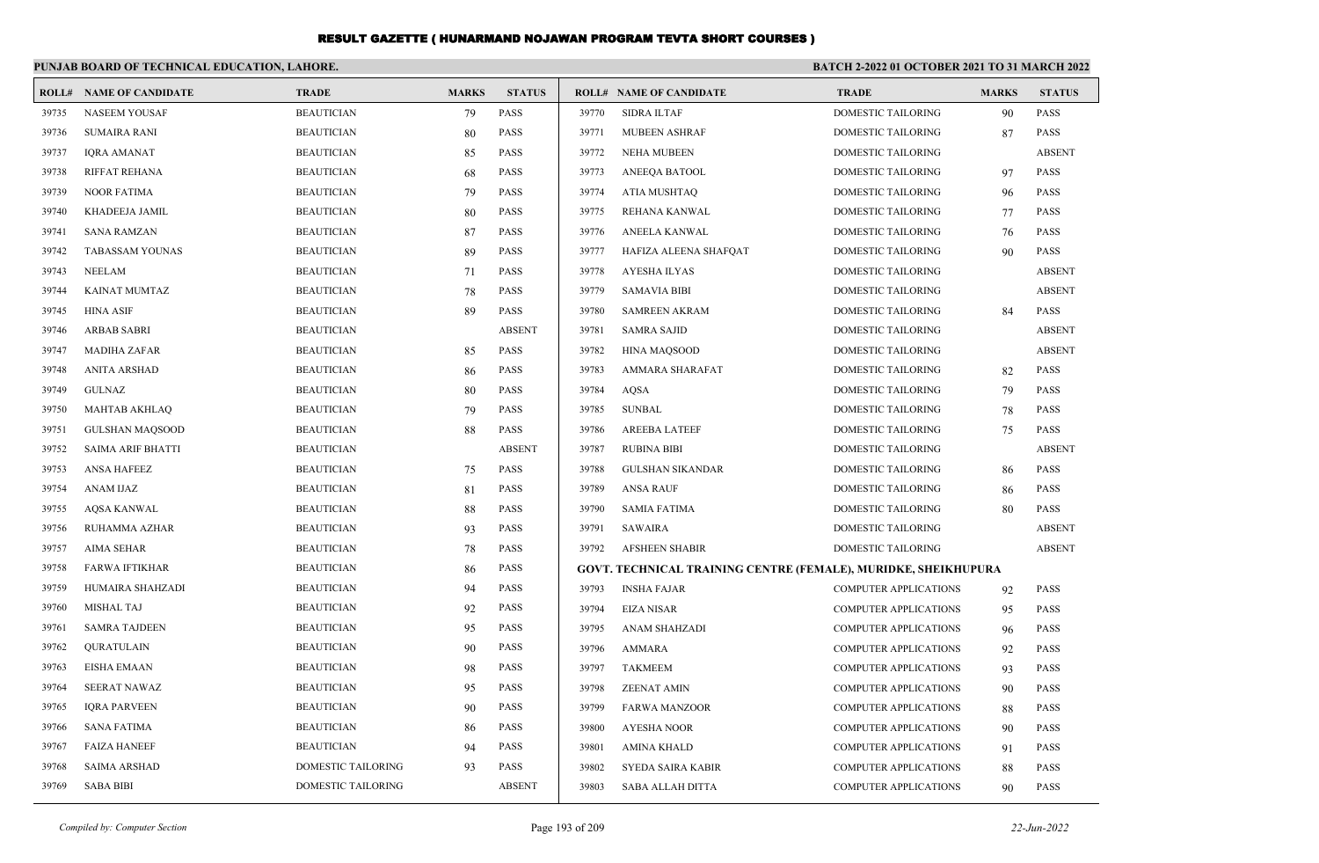|       | PUNJAB BOARD OF TECHNICAL EDUCATION, LAHORE. |                           |              |               | <b>BATCH 2-2022 01 OCTOBER 2021 TO 31 MARCH 2022</b> |                                                                |                              |              |               |
|-------|----------------------------------------------|---------------------------|--------------|---------------|------------------------------------------------------|----------------------------------------------------------------|------------------------------|--------------|---------------|
| ROLL# | <b>NAME OF CANDIDATE</b>                     | <b>TRADE</b>              | <b>MARKS</b> | <b>STATUS</b> |                                                      | <b>ROLL# NAME OF CANDIDATE</b>                                 | <b>TRADE</b>                 | <b>MARKS</b> | <b>STATUS</b> |
| 39735 | <b>NASEEM YOUSAF</b>                         | <b>BEAUTICIAN</b>         | 79           | PASS          | 39770                                                | <b>SIDRA ILTAF</b>                                             | <b>DOMESTIC TAILORING</b>    | 90           | PASS          |
| 39736 | <b>SUMAIRA RANI</b>                          | <b>BEAUTICIAN</b>         | 80           | <b>PASS</b>   | 39771                                                | MUBEEN ASHRAF                                                  | DOMESTIC TAILORING           | 87           | <b>PASS</b>   |
| 39737 | <b>IQRA AMANAT</b>                           | <b>BEAUTICIAN</b>         | 85           | PASS          | 39772                                                | <b>NEHA MUBEEN</b>                                             | DOMESTIC TAILORING           |              | <b>ABSENT</b> |
| 39738 | RIFFAT REHANA                                | <b>BEAUTICIAN</b>         | 68           | PASS          | 39773                                                | ANEEQA BATOOL                                                  | DOMESTIC TAILORING           | 97           | <b>PASS</b>   |
| 39739 | <b>NOOR FATIMA</b>                           | <b>BEAUTICIAN</b>         | 79           | PASS          | 39774                                                | ATIA MUSHTAQ                                                   | DOMESTIC TAILORING           | 96           | <b>PASS</b>   |
| 39740 | KHADEEJA JAMIL                               | <b>BEAUTICIAN</b>         | 80           | PASS          | 39775                                                | REHANA KANWAL                                                  | DOMESTIC TAILORING           | 77           | <b>PASS</b>   |
| 39741 | <b>SANA RAMZAN</b>                           | <b>BEAUTICIAN</b>         | 87           | PASS          | 39776                                                | ANEELA KANWAL                                                  | DOMESTIC TAILORING           | 76           | <b>PASS</b>   |
| 39742 | <b>TABASSAM YOUNAS</b>                       | <b>BEAUTICIAN</b>         | 89           | PASS          | 39777                                                | HAFIZA ALEENA SHAFQAT                                          | DOMESTIC TAILORING           | 90           | <b>PASS</b>   |
| 39743 | <b>NEELAM</b>                                | <b>BEAUTICIAN</b>         | 71           | PASS          | 39778                                                | <b>AYESHA ILYAS</b>                                            | DOMESTIC TAILORING           |              | <b>ABSENT</b> |
| 39744 | KAINAT MUMTAZ                                | <b>BEAUTICIAN</b>         | 78           | <b>PASS</b>   | 39779                                                | <b>SAMAVIA BIBI</b>                                            | DOMESTIC TAILORING           |              | <b>ABSENT</b> |
| 39745 | <b>HINA ASIF</b>                             | <b>BEAUTICIAN</b>         | 89           | <b>PASS</b>   | 39780                                                | <b>SAMREEN AKRAM</b>                                           | DOMESTIC TAILORING           | 84           | <b>PASS</b>   |
| 39746 | <b>ARBAB SABRI</b>                           | <b>BEAUTICIAN</b>         |              | <b>ABSENT</b> | 39781                                                | <b>SAMRA SAJID</b>                                             | DOMESTIC TAILORING           |              | <b>ABSENT</b> |
| 39747 | <b>MADIHA ZAFAR</b>                          | <b>BEAUTICIAN</b>         | 85           | PASS          | 39782                                                | <b>HINA MAQSOOD</b>                                            | DOMESTIC TAILORING           |              | <b>ABSENT</b> |
| 39748 | <b>ANITA ARSHAD</b>                          | <b>BEAUTICIAN</b>         | 86           | <b>PASS</b>   | 39783                                                | AMMARA SHARAFAT                                                | <b>DOMESTIC TAILORING</b>    | 82           | <b>PASS</b>   |
| 39749 | <b>GULNAZ</b>                                | <b>BEAUTICIAN</b>         | 80           | PASS          | 39784                                                | <b>AQSA</b>                                                    | DOMESTIC TAILORING           | 79           | <b>PASS</b>   |
| 39750 | <b>MAHTAB AKHLAQ</b>                         | <b>BEAUTICIAN</b>         | 79           | <b>PASS</b>   | 39785                                                | <b>SUNBAL</b>                                                  | DOMESTIC TAILORING           | 78           | <b>PASS</b>   |
| 39751 | <b>GULSHAN MAOSOOD</b>                       | <b>BEAUTICIAN</b>         | 88           | <b>PASS</b>   | 39786                                                | <b>AREEBA LATEEF</b>                                           | <b>DOMESTIC TAILORING</b>    | 75           | <b>PASS</b>   |
| 39752 | <b>SAIMA ARIF BHATTI</b>                     | <b>BEAUTICIAN</b>         |              | <b>ABSENT</b> | 39787                                                | <b>RUBINA BIBI</b>                                             | DOMESTIC TAILORING           |              | <b>ABSENT</b> |
| 39753 | <b>ANSA HAFEEZ</b>                           | <b>BEAUTICIAN</b>         | 75           | <b>PASS</b>   | 39788                                                | <b>GULSHAN SIKANDAR</b>                                        | DOMESTIC TAILORING           | 86           | <b>PASS</b>   |
| 39754 | ANAM IJAZ                                    | <b>BEAUTICIAN</b>         | 81           | <b>PASS</b>   | 39789                                                | <b>ANSA RAUF</b>                                               | DOMESTIC TAILORING           | 86           | <b>PASS</b>   |
| 39755 | <b>AOSA KANWAL</b>                           | <b>BEAUTICIAN</b>         | 88           | <b>PASS</b>   | 39790                                                | <b>SAMIA FATIMA</b>                                            | <b>DOMESTIC TAILORING</b>    | 80           | <b>PASS</b>   |
| 39756 | RUHAMMA AZHAR                                | <b>BEAUTICIAN</b>         | 93           | PASS          | 39791                                                | <b>SAWAIRA</b>                                                 | DOMESTIC TAILORING           |              | <b>ABSENT</b> |
| 39757 | <b>AIMA SEHAR</b>                            | <b>BEAUTICIAN</b>         | 78           | <b>PASS</b>   | 39792                                                | <b>AFSHEEN SHABIR</b>                                          | <b>DOMESTIC TAILORING</b>    |              | <b>ABSENT</b> |
| 39758 | <b>FARWA IFTIKHAR</b>                        | <b>BEAUTICIAN</b>         | 86           | <b>PASS</b>   |                                                      | GOVT. TECHNICAL TRAINING CENTRE (FEMALE), MURIDKE, SHEIKHUPURA |                              |              |               |
| 39759 | HUMAIRA SHAHZADI                             | <b>BEAUTICIAN</b>         | 94           | PASS          | 39793                                                | <b>INSHA FAJAR</b>                                             | <b>COMPUTER APPLICATIONS</b> | 92           | <b>PASS</b>   |
| 39760 | <b>MISHAL TAJ</b>                            | <b>BEAUTICIAN</b>         | 92           | <b>PASS</b>   | 39794                                                | <b>EIZA NISAR</b>                                              | <b>COMPUTER APPLICATIONS</b> | 95           | <b>PASS</b>   |
| 39761 | <b>SAMRA TAJDEEN</b>                         | <b>BEAUTICIAN</b>         | 95           | <b>PASS</b>   | 39795                                                | <b>ANAM SHAHZADI</b>                                           | <b>COMPUTER APPLICATIONS</b> | 96           | <b>PASS</b>   |
| 39762 | QURATULAIN                                   | <b>BEAUTICIAN</b>         | 90           | <b>PASS</b>   | 39796                                                | AMMARA                                                         | <b>COMPUTER APPLICATIONS</b> | 92           | <b>PASS</b>   |
| 39763 | <b>EISHA EMAAN</b>                           | <b>BEAUTICIAN</b>         | 98           | <b>PASS</b>   | 39797                                                | <b>TAKMEEM</b>                                                 | <b>COMPUTER APPLICATIONS</b> | 93           | <b>PASS</b>   |
| 39764 | <b>SEERAT NAWAZ</b>                          | <b>BEAUTICIAN</b>         | 95           | <b>PASS</b>   | 39798                                                | <b>ZEENAT AMIN</b>                                             | <b>COMPUTER APPLICATIONS</b> | 90           | <b>PASS</b>   |
| 39765 | <b>IQRA PARVEEN</b>                          | <b>BEAUTICIAN</b>         | 90           | PASS          | 39799                                                | <b>FARWA MANZOOR</b>                                           | <b>COMPUTER APPLICATIONS</b> | 88           | <b>PASS</b>   |
| 39766 | <b>SANA FATIMA</b>                           | <b>BEAUTICIAN</b>         | 86           | PASS          | 39800                                                | <b>AYESHA NOOR</b>                                             | <b>COMPUTER APPLICATIONS</b> | 90           | <b>PASS</b>   |
| 39767 | <b>FAIZA HANEEF</b>                          | <b>BEAUTICIAN</b>         | 94           | PASS          | 39801                                                | <b>AMINA KHALD</b>                                             | <b>COMPUTER APPLICATIONS</b> | 91           | <b>PASS</b>   |
| 39768 | <b>SAIMA ARSHAD</b>                          | <b>DOMESTIC TAILORING</b> | 93           | <b>PASS</b>   | 39802                                                | SYEDA SAIRA KABIR                                              | <b>COMPUTER APPLICATIONS</b> | 88           | <b>PASS</b>   |
| 39769 | <b>SABA BIBI</b>                             | DOMESTIC TAILORING        |              | <b>ABSENT</b> | 39803                                                | <b>SABA ALLAH DITTA</b>                                        | <b>COMPUTER APPLICATIONS</b> | 90           | <b>PASS</b>   |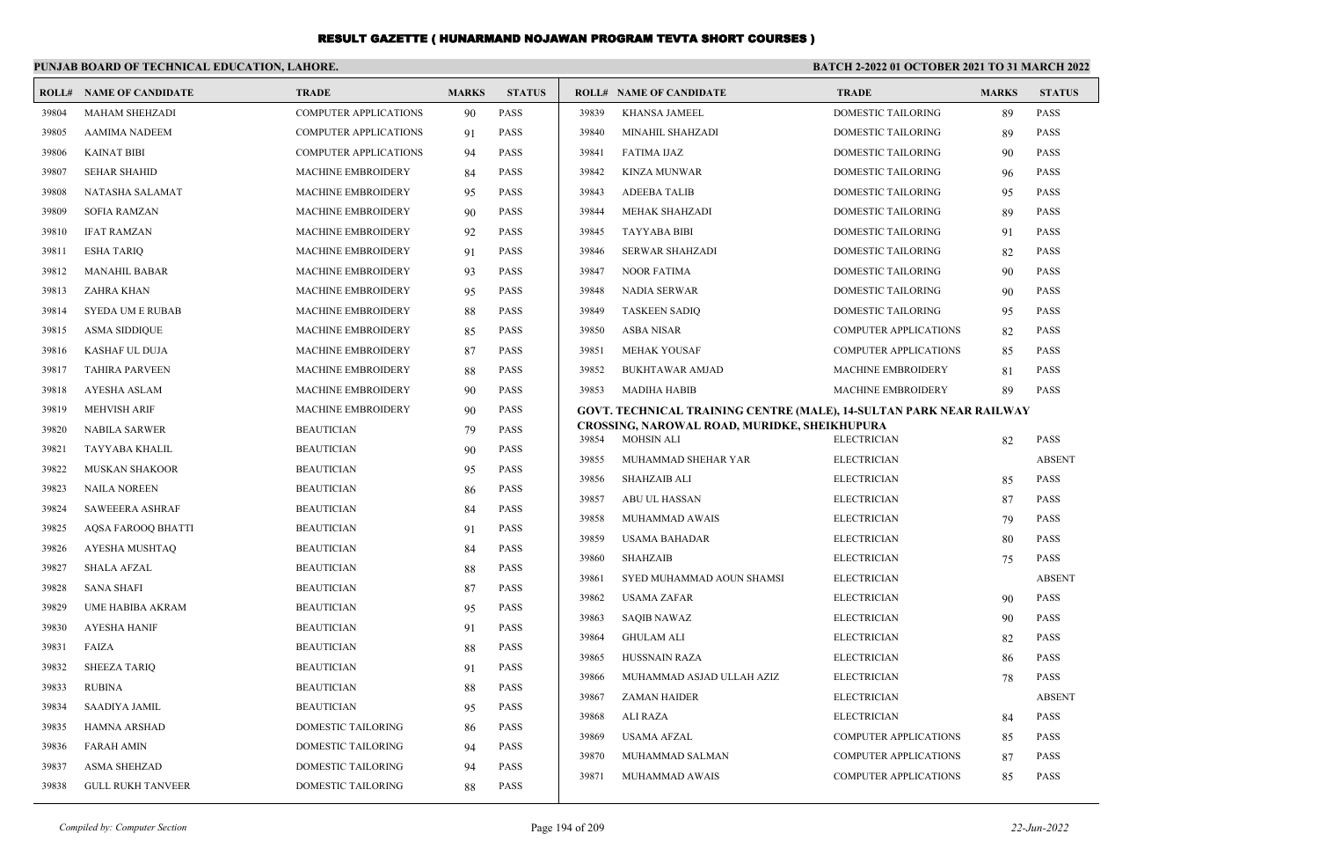|       | PUNJAB BOARD OF TECHNICAL EDUCATION, LAHORE. |                              |              |               | BATCH 2-2022 01 OCTOBER 2021 TO 31 MARCH 2022 |                                                                            |                              |              |               |
|-------|----------------------------------------------|------------------------------|--------------|---------------|-----------------------------------------------|----------------------------------------------------------------------------|------------------------------|--------------|---------------|
|       | <b>ROLL# NAME OF CANDIDATE</b>               | <b>TRADE</b>                 | <b>MARKS</b> | <b>STATUS</b> |                                               | <b>ROLL# NAME OF CANDIDATE</b>                                             | <b>TRADE</b>                 | <b>MARKS</b> | <b>STATUS</b> |
| 39804 | <b>MAHAM SHEHZADI</b>                        | <b>COMPUTER APPLICATIONS</b> | 90           | <b>PASS</b>   | 39839                                         | <b>KHANSA JAMEEL</b>                                                       | <b>DOMESTIC TAILORING</b>    | 89           | <b>PASS</b>   |
| 39805 | <b>AAMIMA NADEEM</b>                         | <b>COMPUTER APPLICATIONS</b> | 91           | <b>PASS</b>   | 39840                                         | MINAHIL SHAHZADI                                                           | <b>DOMESTIC TAILORING</b>    | 89           | <b>PASS</b>   |
| 39806 | <b>KAINAT BIBI</b>                           | <b>COMPUTER APPLICATIONS</b> | 94           | <b>PASS</b>   | 39841                                         | <b>FATIMA IJAZ</b>                                                         | DOMESTIC TAILORING           | 90           | <b>PASS</b>   |
| 39807 | <b>SEHAR SHAHID</b>                          | <b>MACHINE EMBROIDERY</b>    | 84           | <b>PASS</b>   | 39842                                         | <b>KINZA MUNWAR</b>                                                        | <b>DOMESTIC TAILORING</b>    | 96           | <b>PASS</b>   |
| 39808 | NATASHA SALAMAT                              | MACHINE EMBROIDERY           | 95           | <b>PASS</b>   | 39843                                         | <b>ADEEBA TALIB</b>                                                        | <b>DOMESTIC TAILORING</b>    | 95           | <b>PASS</b>   |
| 39809 | <b>SOFIA RAMZAN</b>                          | <b>MACHINE EMBROIDERY</b>    | 90           | <b>PASS</b>   | 39844                                         | MEHAK SHAHZADI                                                             | <b>DOMESTIC TAILORING</b>    | 89           | <b>PASS</b>   |
| 39810 | <b>IFAT RAMZAN</b>                           | MACHINE EMBROIDERY           | 92           | <b>PASS</b>   | 39845                                         | <b>TAYYABA BIBI</b>                                                        | DOMESTIC TAILORING           | 91           | PASS          |
| 39811 | <b>ESHA TARIQ</b>                            | MACHINE EMBROIDERY           | 91           | <b>PASS</b>   | 39846                                         | <b>SERWAR SHAHZADI</b>                                                     | DOMESTIC TAILORING           | 82           | PASS          |
| 39812 | <b>MANAHIL BABAR</b>                         | MACHINE EMBROIDERY           | 93           | <b>PASS</b>   | 39847                                         | <b>NOOR FATIMA</b>                                                         | DOMESTIC TAILORING           | 90           | PASS          |
| 39813 | ZAHRA KHAN                                   | MACHINE EMBROIDERY           | 95           | <b>PASS</b>   | 39848                                         | <b>NADIA SERWAR</b>                                                        | DOMESTIC TAILORING           | 90           | PASS          |
| 39814 | <b>SYEDA UM E RUBAB</b>                      | <b>MACHINE EMBROIDERY</b>    | 88           | <b>PASS</b>   | 39849                                         | <b>TASKEEN SADIQ</b>                                                       | DOMESTIC TAILORING           | 95           | <b>PASS</b>   |
| 39815 | <b>ASMA SIDDIQUE</b>                         | <b>MACHINE EMBROIDERY</b>    | 85           | <b>PASS</b>   | 39850                                         | <b>ASBA NISAR</b>                                                          | <b>COMPUTER APPLICATIONS</b> | 82           | <b>PASS</b>   |
| 39816 | KASHAF UL DUJA                               | <b>MACHINE EMBROIDERY</b>    | 87           | <b>PASS</b>   | 39851                                         | <b>MEHAK YOUSAF</b>                                                        | COMPUTER APPLICATIONS        | 85           | <b>PASS</b>   |
| 39817 | <b>TAHIRA PARVEEN</b>                        | <b>MACHINE EMBROIDERY</b>    | 88           | <b>PASS</b>   | 39852                                         | <b>BUKHTAWAR AMJAD</b>                                                     | <b>MACHINE EMBROIDERY</b>    | 81           | <b>PASS</b>   |
| 39818 | AYESHA ASLAM                                 | <b>MACHINE EMBROIDERY</b>    | 90           | <b>PASS</b>   | 39853                                         | <b>MADIHA HABIB</b>                                                        | <b>MACHINE EMBROIDERY</b>    | 89           | <b>PASS</b>   |
| 39819 | <b>MEHVISH ARIF</b>                          | <b>MACHINE EMBROIDERY</b>    | 90           | <b>PASS</b>   |                                               | <b>GOVT. TECHNICAL TRAINING CENTRE (MALE), 14-SULTAN PARK NEAR RAILWAY</b> |                              |              |               |
| 39820 | <b>NABILA SARWER</b>                         | <b>BEAUTICIAN</b>            | 79           | <b>PASS</b>   | 39854                                         | CROSSING, NAROWAL ROAD, MURIDKE, SHEIKHUPURA<br><b>MOHSIN ALI</b>          | <b>ELECTRICIAN</b>           | 82           | PASS          |
| 39821 | TAYYABA KHALIL                               | <b>BEAUTICIAN</b>            | 90           | <b>PASS</b>   | 39855                                         | MUHAMMAD SHEHAR YAR                                                        | <b>ELECTRICIAN</b>           |              | <b>ABSENT</b> |
| 39822 | MUSKAN SHAKOOR                               | <b>BEAUTICIAN</b>            | 95           | <b>PASS</b>   | 39856                                         | <b>SHAHZAIB ALI</b>                                                        | <b>ELECTRICIAN</b>           | 85           | PASS          |
| 39823 | <b>NAILA NOREEN</b>                          | <b>BEAUTICIAN</b>            | 86           | <b>PASS</b>   | 39857                                         | ABU UL HASSAN                                                              | <b>ELECTRICIAN</b>           | 87           | PASS          |
| 39824 | <b>SAWEEERA ASHRAF</b>                       | <b>BEAUTICIAN</b>            | 84           | <b>PASS</b>   | 39858                                         | MUHAMMAD AWAIS                                                             | <b>ELECTRICIAN</b>           | 79           | <b>PASS</b>   |
| 39825 | AQSA FAROOQ BHATTI                           | <b>BEAUTICIAN</b>            | 91           | <b>PASS</b>   | 39859                                         | USAMA BAHADAR                                                              | <b>ELECTRICIAN</b>           | 80           | <b>PASS</b>   |
| 39826 | AYESHA MUSHTAQ                               | <b>BEAUTICIAN</b>            | 84           | <b>PASS</b>   | 39860                                         | <b>SHAHZAIB</b>                                                            | <b>ELECTRICIAN</b>           | 75           | <b>PASS</b>   |
| 39827 | <b>SHALA AFZAL</b>                           | <b>BEAUTICIAN</b>            | 88           | <b>PASS</b>   | 39861                                         | SYED MUHAMMAD AOUN SHAMSI                                                  | <b>ELECTRICIAN</b>           |              | <b>ABSENT</b> |
| 39828 | <b>SANA SHAFI</b>                            | <b>BEAUTICIAN</b>            | 87           | <b>PASS</b>   | 39862                                         | <b>USAMA ZAFAR</b>                                                         | <b>ELECTRICIAN</b>           | 90           | PASS          |
| 39829 | <b>UME HABIBA AKRAM</b>                      | <b>BEAUTICIAN</b>            | 95           | <b>PASS</b>   | 39863                                         | <b>SAQIB NAWAZ</b>                                                         | <b>ELECTRICIAN</b>           | 90           | PASS          |
| 39830 | <b>AYESHA HANIF</b>                          | <b>BEAUTICIAN</b>            | 91           | <b>PASS</b>   | 39864                                         | <b>GHULAM ALI</b>                                                          | <b>ELECTRICIAN</b>           | 82           | <b>PASS</b>   |
| 39831 | FAIZA                                        | <b>BEAUTICIAN</b>            | 88           | <b>PASS</b>   | 39865                                         | <b>HUSSNAIN RAZA</b>                                                       | <b>ELECTRICIAN</b>           | 86           | <b>PASS</b>   |
| 39832 | <b>SHEEZA TARIQ</b>                          | <b>BEAUTICIAN</b>            | 91           | <b>PASS</b>   | 39866                                         | MUHAMMAD ASJAD ULLAH AZIZ                                                  | <b>ELECTRICIAN</b>           | 78           | <b>PASS</b>   |
| 39833 | <b>RUBINA</b>                                | <b>BEAUTICIAN</b>            | 88           | <b>PASS</b>   | 39867                                         | <b>ZAMAN HAIDER</b>                                                        | <b>ELECTRICIAN</b>           |              | <b>ABSENT</b> |
| 39834 | SAADIYA JAMIL                                | <b>BEAUTICIAN</b>            | 95           | <b>PASS</b>   | 39868                                         | ALI RAZA                                                                   | <b>ELECTRICIAN</b>           | 84           | <b>PASS</b>   |
| 39835 | <b>HAMNA ARSHAD</b>                          | DOMESTIC TAILORING           | 86           | <b>PASS</b>   | 39869                                         | <b>USAMA AFZAL</b>                                                         | <b>COMPUTER APPLICATIONS</b> | 85           | <b>PASS</b>   |
| 39836 | <b>FARAH AMIN</b>                            | DOMESTIC TAILORING           | 94           | <b>PASS</b>   | 39870                                         | MUHAMMAD SALMAN                                                            | <b>COMPUTER APPLICATIONS</b> | 87           | <b>PASS</b>   |
| 39837 | <b>ASMA SHEHZAD</b>                          | <b>DOMESTIC TAILORING</b>    | 94           | <b>PASS</b>   | 39871                                         | MUHAMMAD AWAIS                                                             | <b>COMPUTER APPLICATIONS</b> | 85           | <b>PASS</b>   |
| 39838 | <b>GULL RUKH TANVEER</b>                     | <b>DOMESTIC TAILORING</b>    | 88           | <b>PASS</b>   |                                               |                                                                            |                              |              |               |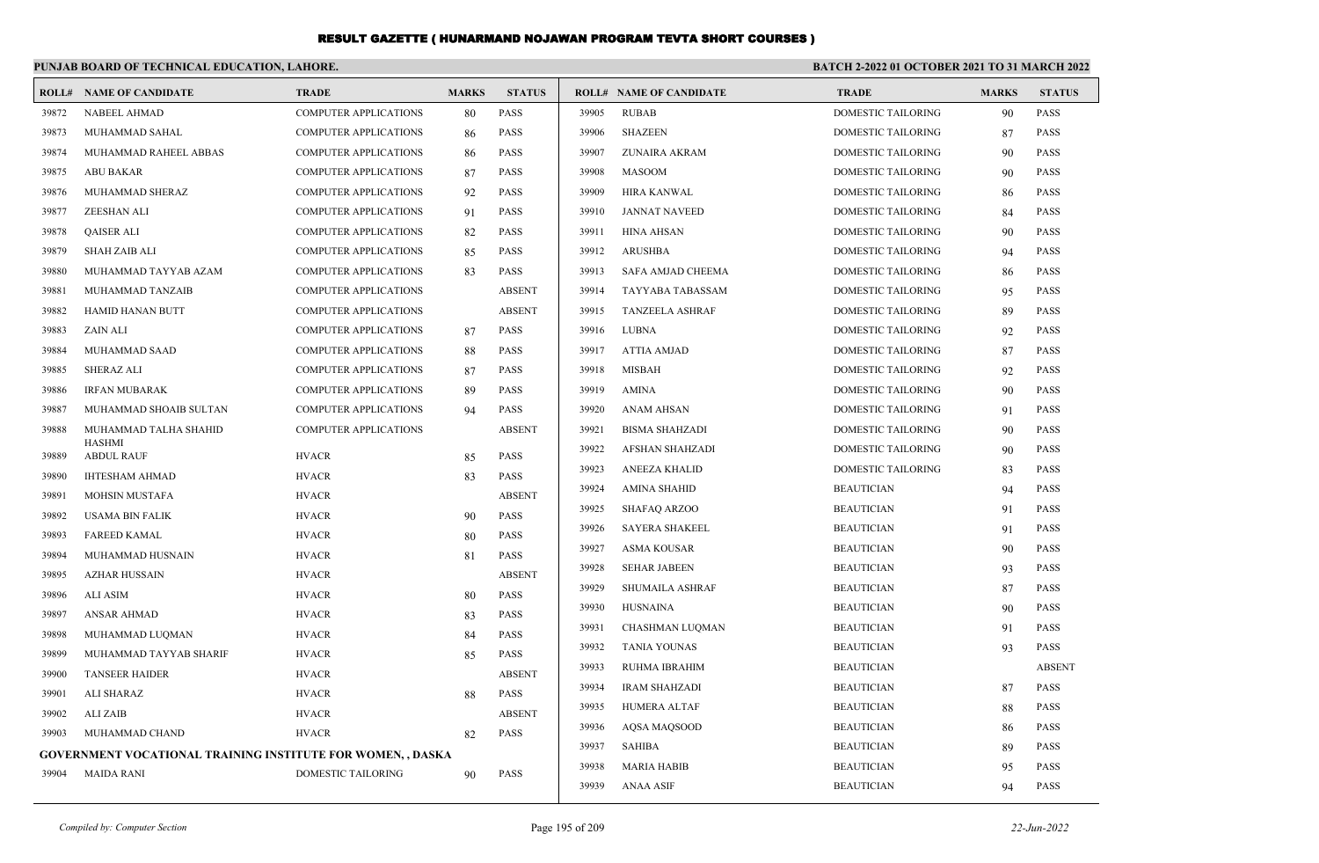|       | PUNJAB BOARD OF TECHNICAL EDUCATION, LAHORE.                |                              |              |               |       |                                |                           | <b>BATCH 2-2022 01 OCTOBER 2021 TO 31 MARCH 2022</b> |               |  |
|-------|-------------------------------------------------------------|------------------------------|--------------|---------------|-------|--------------------------------|---------------------------|------------------------------------------------------|---------------|--|
|       | <b>ROLL# NAME OF CANDIDATE</b>                              | <b>TRADE</b>                 | <b>MARKS</b> | <b>STATUS</b> |       | <b>ROLL# NAME OF CANDIDATE</b> | <b>TRADE</b>              | <b>MARKS</b>                                         | <b>STATUS</b> |  |
| 39872 | <b>NABEEL AHMAD</b>                                         | <b>COMPUTER APPLICATIONS</b> | 80           | <b>PASS</b>   | 39905 | <b>RUBAB</b>                   | <b>DOMESTIC TAILORING</b> | 90                                                   | PASS          |  |
| 39873 | MUHAMMAD SAHAL                                              | <b>COMPUTER APPLICATIONS</b> | 86           | PASS          | 39906 | <b>SHAZEEN</b>                 | DOMESTIC TAILORING        | 87                                                   | <b>PASS</b>   |  |
| 39874 | MUHAMMAD RAHEEL ABBAS                                       | <b>COMPUTER APPLICATIONS</b> | 86           | <b>PASS</b>   | 39907 | ZUNAIRA AKRAM                  | DOMESTIC TAILORING        | -90                                                  | <b>PASS</b>   |  |
| 39875 | <b>ABU BAKAR</b>                                            | <b>COMPUTER APPLICATIONS</b> | 87           | <b>PASS</b>   | 39908 | <b>MASOOM</b>                  | <b>DOMESTIC TAILORING</b> | 90                                                   | <b>PASS</b>   |  |
| 39876 | MUHAMMAD SHERAZ                                             | <b>COMPUTER APPLICATIONS</b> | 92           | <b>PASS</b>   | 39909 | <b>HIRA KANWAL</b>             | <b>DOMESTIC TAILORING</b> | 86                                                   | <b>PASS</b>   |  |
| 39877 | <b>ZEESHAN ALI</b>                                          | COMPUTER APPLICATIONS        | 91           | <b>PASS</b>   | 39910 | <b>JANNAT NAVEED</b>           | DOMESTIC TAILORING        | 84                                                   | <b>PASS</b>   |  |
| 39878 | <b>QAISER ALI</b>                                           | <b>COMPUTER APPLICATIONS</b> | 82           | <b>PASS</b>   | 39911 | <b>HINA AHSAN</b>              | DOMESTIC TAILORING        | -90                                                  | <b>PASS</b>   |  |
| 39879 | <b>SHAH ZAIB ALI</b>                                        | <b>COMPUTER APPLICATIONS</b> | 85           | <b>PASS</b>   | 39912 | <b>ARUSHBA</b>                 | DOMESTIC TAILORING        | 94                                                   | <b>PASS</b>   |  |
| 39880 | MUHAMMAD TAYYAB AZAM                                        | <b>COMPUTER APPLICATIONS</b> | 83           | <b>PASS</b>   | 39913 | SAFA AMJAD CHEEMA              | <b>DOMESTIC TAILORING</b> | 86                                                   | <b>PASS</b>   |  |
| 39881 | MUHAMMAD TANZAIB                                            | COMPUTER APPLICATIONS        |              | <b>ABSENT</b> | 39914 | <b>TAYYABA TABASSAM</b>        | DOMESTIC TAILORING        | 95                                                   | <b>PASS</b>   |  |
| 39882 | <b>HAMID HANAN BUTT</b>                                     | <b>COMPUTER APPLICATIONS</b> |              | <b>ABSENT</b> | 39915 | <b>TANZEELA ASHRAF</b>         | DOMESTIC TAILORING        | 89                                                   | <b>PASS</b>   |  |
| 39883 | ZAIN ALI                                                    | <b>COMPUTER APPLICATIONS</b> | 87           | <b>PASS</b>   | 39916 | <b>LUBNA</b>                   | DOMESTIC TAILORING        | 92                                                   | <b>PASS</b>   |  |
| 39884 | MUHAMMAD SAAD                                               | <b>COMPUTER APPLICATIONS</b> | 88           | <b>PASS</b>   | 39917 | <b>ATTIA AMJAD</b>             | DOMESTIC TAILORING        | 87                                                   | <b>PASS</b>   |  |
| 39885 | <b>SHERAZ ALI</b>                                           | COMPUTER APPLICATIONS        | 87           | PASS          | 39918 | <b>MISBAH</b>                  | DOMESTIC TAILORING        | 92                                                   | <b>PASS</b>   |  |
| 39886 | <b>IRFAN MUBARAK</b>                                        | <b>COMPUTER APPLICATIONS</b> | 89           | <b>PASS</b>   | 39919 | <b>AMINA</b>                   | DOMESTIC TAILORING        | 90                                                   | <b>PASS</b>   |  |
| 39887 | MUHAMMAD SHOAIB SULTAN                                      | COMPUTER APPLICATIONS        | 94           | <b>PASS</b>   | 39920 | <b>ANAM AHSAN</b>              | DOMESTIC TAILORING        | 91                                                   | <b>PASS</b>   |  |
| 39888 | MUHAMMAD TALHA SHAHID                                       | <b>COMPUTER APPLICATIONS</b> |              | <b>ABSENT</b> | 39921 | <b>BISMA SHAHZADI</b>          | DOMESTIC TAILORING        | 90                                                   | <b>PASS</b>   |  |
| 39889 | <b>HASHMI</b><br><b>ABDUL RAUF</b>                          | <b>HVACR</b>                 | 85           | <b>PASS</b>   | 39922 | <b>AFSHAN SHAHZADI</b>         | <b>DOMESTIC TAILORING</b> | 90                                                   | <b>PASS</b>   |  |
| 39890 | <b>IHTESHAM AHMAD</b>                                       | <b>HVACR</b>                 | 83           | <b>PASS</b>   | 39923 | ANEEZA KHALID                  | DOMESTIC TAILORING        | 83                                                   | <b>PASS</b>   |  |
| 39891 | MOHSIN MUSTAFA                                              | <b>HVACR</b>                 |              | <b>ABSENT</b> | 39924 | <b>AMINA SHAHID</b>            | <b>BEAUTICIAN</b>         | 94                                                   | <b>PASS</b>   |  |
| 39892 | <b>USAMA BIN FALIK</b>                                      | <b>HVACR</b>                 | 90           | <b>PASS</b>   | 39925 | <b>SHAFAO ARZOO</b>            | <b>BEAUTICIAN</b>         | 91                                                   | <b>PASS</b>   |  |
| 39893 | <b>FAREED KAMAL</b>                                         | <b>HVACR</b>                 | 80           | PASS          | 39926 | <b>SAYERA SHAKEEL</b>          | <b>BEAUTICIAN</b>         | 91                                                   | <b>PASS</b>   |  |
| 39894 | MUHAMMAD HUSNAIN                                            | <b>HVACR</b>                 | 81           | <b>PASS</b>   | 39927 | ASMA KOUSAR                    | <b>BEAUTICIAN</b>         | 90                                                   | <b>PASS</b>   |  |
| 39895 | <b>AZHAR HUSSAIN</b>                                        | <b>HVACR</b>                 |              | <b>ABSENT</b> | 39928 | <b>SEHAR JABEEN</b>            | <b>BEAUTICIAN</b>         | 93                                                   | PASS          |  |
| 39896 | <b>ALI ASIM</b>                                             | <b>HVACR</b>                 | 80           | <b>PASS</b>   | 39929 | <b>SHUMAILA ASHRAF</b>         | <b>BEAUTICIAN</b>         | 87                                                   | <b>PASS</b>   |  |
| 39897 | <b>ANSAR AHMAD</b>                                          | <b>HVACR</b>                 | 83           | <b>PASS</b>   | 39930 | <b>HUSNAINA</b>                | <b>BEAUTICIAN</b>         | 90                                                   | <b>PASS</b>   |  |
| 39898 | MUHAMMAD LUQMAN                                             | <b>HVACR</b>                 | 84           | <b>PASS</b>   | 39931 | CHASHMAN LUQMAN                | <b>BEAUTICIAN</b>         | 91                                                   | <b>PASS</b>   |  |
| 39899 | MUHAMMAD TAYYAB SHARIF                                      | <b>HVACR</b>                 | 85           | <b>PASS</b>   | 39932 | <b>TANIA YOUNAS</b>            | <b>BEAUTICIAN</b>         | 93                                                   | <b>PASS</b>   |  |
| 39900 | <b>TANSEER HAIDER</b>                                       | <b>HVACR</b>                 |              | <b>ABSENT</b> | 39933 | RUHMA IBRAHIM                  | <b>BEAUTICIAN</b>         |                                                      | <b>ABSENT</b> |  |
| 39901 | ALI SHARAZ                                                  | <b>HVACR</b>                 | 88           | <b>PASS</b>   | 39934 | <b>IRAM SHAHZADI</b>           | <b>BEAUTICIAN</b>         | 87                                                   | <b>PASS</b>   |  |
| 39902 | ALI ZAIB                                                    | <b>HVACR</b>                 |              | <b>ABSENT</b> | 39935 | <b>HUMERA ALTAF</b>            | <b>BEAUTICIAN</b>         | 88                                                   | <b>PASS</b>   |  |
| 39903 | MUHAMMAD CHAND                                              | <b>HVACR</b>                 | 82           | <b>PASS</b>   | 39936 | AQSA MAQSOOD                   | <b>BEAUTICIAN</b>         | 86                                                   | <b>PASS</b>   |  |
|       | GOVERNMENT VOCATIONAL TRAINING INSTITUTE FOR WOMEN, , DASKA |                              |              |               | 39937 | <b>SAHIBA</b>                  | <b>BEAUTICIAN</b>         | 89                                                   | <b>PASS</b>   |  |
| 39904 | <b>MAIDA RANI</b>                                           | <b>DOMESTIC TAILORING</b>    | 90           | <b>PASS</b>   | 39938 | <b>MARIA HABIB</b>             | <b>BEAUTICIAN</b>         | 95                                                   | <b>PASS</b>   |  |
|       |                                                             |                              |              |               | 39939 | <b>ANAA ASIF</b>               | <b>BEAUTICIAN</b>         | 94                                                   | <b>PASS</b>   |  |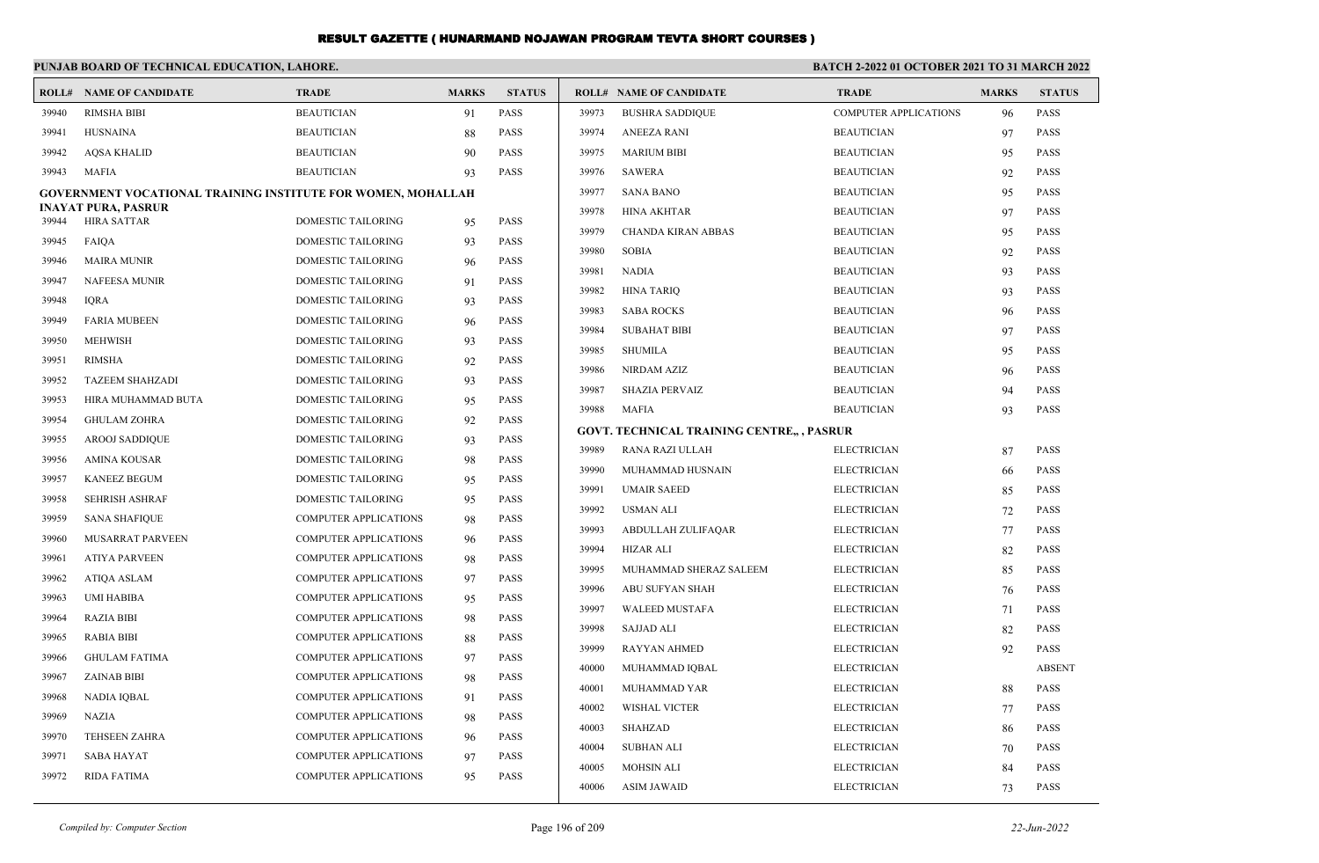|                | PUNJAB BOARD OF TECHNICAL EDUCATION, LAHORE.                        |                                                              |              |                            |       |                                                   | BATCH 2-2022 01 OCTOBER 2021 TO 31 MARCH 2022 |              |               |  |
|----------------|---------------------------------------------------------------------|--------------------------------------------------------------|--------------|----------------------------|-------|---------------------------------------------------|-----------------------------------------------|--------------|---------------|--|
|                | <b>ROLL# NAME OF CANDIDATE</b>                                      | <b>TRADE</b>                                                 | <b>MARKS</b> | <b>STATUS</b>              |       | <b>ROLL# NAME OF CANDIDATE</b>                    | <b>TRADE</b>                                  | <b>MARKS</b> | <b>STATUS</b> |  |
| 39940          | <b>RIMSHA BIBI</b>                                                  | <b>BEAUTICIAN</b>                                            | 91           | <b>PASS</b>                | 39973 | <b>BUSHRA SADDIQUE</b>                            | COMPUTER APPLICATIONS                         | 96           | PASS          |  |
| 39941          | <b>HUSNAINA</b>                                                     | <b>BEAUTICIAN</b>                                            | 88           | <b>PASS</b>                | 39974 | <b>ANEEZA RANI</b>                                | <b>BEAUTICIAN</b>                             | 97           | PASS          |  |
| 39942          | AQSA KHALID                                                         | <b>BEAUTICIAN</b>                                            | 90           | <b>PASS</b>                | 39975 | <b>MARIUM BIBI</b>                                | <b>BEAUTICIAN</b>                             | 95           | <b>PASS</b>   |  |
| 39943          | <b>MAFIA</b>                                                        | <b>BEAUTICIAN</b>                                            | 93           | <b>PASS</b>                | 39976 | <b>SAWERA</b>                                     | <b>BEAUTICIAN</b>                             | 92           | <b>PASS</b>   |  |
|                | <b>GOVERNMENT VOCATIONAL TRAINING INSTITUTE FOR WOMEN, MOHALLAH</b> |                                                              |              |                            | 39977 | <b>SANA BANO</b>                                  | <b>BEAUTICIAN</b>                             | 95           | <b>PASS</b>   |  |
| 39944          | <b>INAYAT PURA, PASRUR</b><br><b>HIRA SATTAR</b>                    | <b>DOMESTIC TAILORING</b>                                    |              | <b>PASS</b>                | 39978 | <b>HINA AKHTAR</b>                                | <b>BEAUTICIAN</b>                             | 97           | <b>PASS</b>   |  |
| 39945          | <b>FAIOA</b>                                                        | <b>DOMESTIC TAILORING</b>                                    | 95           | <b>PASS</b>                | 39979 | <b>CHANDA KIRAN ABBAS</b>                         | <b>BEAUTICIAN</b>                             | 95           | <b>PASS</b>   |  |
|                |                                                                     |                                                              | 93           |                            | 39980 | <b>SOBIA</b>                                      | <b>BEAUTICIAN</b>                             | 92           | <b>PASS</b>   |  |
| 39946<br>39947 | <b>MAIRA MUNIR</b><br><b>NAFEESA MUNIR</b>                          | DOMESTIC TAILORING                                           | 96           | <b>PASS</b>                | 39981 | <b>NADIA</b>                                      | <b>BEAUTICIAN</b>                             | 93           | <b>PASS</b>   |  |
|                |                                                                     | DOMESTIC TAILORING                                           | 91           | <b>PASS</b>                | 39982 | <b>HINA TARIO</b>                                 | <b>BEAUTICIAN</b>                             | 93           | <b>PASS</b>   |  |
| 39948          | <b>IORA</b>                                                         | DOMESTIC TAILORING                                           | 93           | <b>PASS</b>                | 39983 | <b>SABA ROCKS</b>                                 | <b>BEAUTICIAN</b>                             | 96           | PASS          |  |
| 39949          | <b>FARIA MUBEEN</b><br><b>MEHWISH</b>                               | DOMESTIC TAILORING                                           | 96           | <b>PASS</b>                | 39984 | <b>SUBAHAT BIBI</b>                               | <b>BEAUTICIAN</b>                             | 97           | <b>PASS</b>   |  |
| 39950          | <b>RIMSHA</b>                                                       | <b>DOMESTIC TAILORING</b>                                    | 93           | <b>PASS</b>                | 39985 | <b>SHUMILA</b>                                    | <b>BEAUTICIAN</b>                             | 95           | <b>PASS</b>   |  |
| 39951          |                                                                     | DOMESTIC TAILORING                                           | 92           | <b>PASS</b>                | 39986 | <b>NIRDAM AZIZ</b>                                | <b>BEAUTICIAN</b>                             | 96           | <b>PASS</b>   |  |
| 39952          | <b>TAZEEM SHAHZADI</b>                                              | DOMESTIC TAILORING                                           | 93           | <b>PASS</b>                | 39987 | <b>SHAZIA PERVAIZ</b>                             | <b>BEAUTICIAN</b>                             | 94           | <b>PASS</b>   |  |
| 39953<br>39954 | HIRA MUHAMMAD BUTA                                                  | DOMESTIC TAILORING                                           | 95           | <b>PASS</b><br><b>PASS</b> | 39988 | <b>MAFIA</b>                                      | <b>BEAUTICIAN</b>                             | 93           | <b>PASS</b>   |  |
| 39955          | <b>GHULAM ZOHRA</b><br><b>AROOJ SADDIQUE</b>                        | DOMESTIC TAILORING<br><b>DOMESTIC TAILORING</b>              | 92<br>93     | <b>PASS</b>                |       | <b>GOVT. TECHNICAL TRAINING CENTRE,, , PASRUR</b> |                                               |              |               |  |
| 39956          | AMINA KOUSAR                                                        | <b>DOMESTIC TAILORING</b>                                    | 98           | <b>PASS</b>                | 39989 | RANA RAZI ULLAH                                   | <b>ELECTRICIAN</b>                            | 87           | <b>PASS</b>   |  |
| 39957          | <b>KANEEZ BEGUM</b>                                                 | DOMESTIC TAILORING                                           | 95           | <b>PASS</b>                | 39990 | MUHAMMAD HUSNAIN                                  | <b>ELECTRICIAN</b>                            | 66           | <b>PASS</b>   |  |
| 39958          | <b>SEHRISH ASHRAF</b>                                               | DOMESTIC TAILORING                                           |              | <b>PASS</b>                | 39991 | <b>UMAIR SAEED</b>                                | <b>ELECTRICIAN</b>                            | 85           | <b>PASS</b>   |  |
| 39959          |                                                                     | <b>COMPUTER APPLICATIONS</b>                                 | 95<br>98     | <b>PASS</b>                | 39992 | <b>USMAN ALI</b>                                  | <b>ELECTRICIAN</b>                            | 72           | PASS          |  |
| 39960          | <b>SANA SHAFIQUE</b><br>MUSARRAT PARVEEN                            | <b>COMPUTER APPLICATIONS</b>                                 |              | <b>PASS</b>                | 39993 | ABDULLAH ZULIFAQAR                                | <b>ELECTRICIAN</b>                            | 77           | PASS          |  |
| 39961          | <b>ATIYA PARVEEN</b>                                                | <b>COMPUTER APPLICATIONS</b>                                 | 96           | <b>PASS</b>                | 39994 | <b>HIZAR ALI</b>                                  | <b>ELECTRICIAN</b>                            | 82           | <b>PASS</b>   |  |
| 39962          | <b>ATIQA ASLAM</b>                                                  | <b>COMPUTER APPLICATIONS</b>                                 | 98<br>97     | <b>PASS</b>                | 39995 | MUHAMMAD SHERAZ SALEEM                            | <b>ELECTRICIAN</b>                            | 85           | <b>PASS</b>   |  |
| 39963          | <b>UMI HABIBA</b>                                                   | <b>COMPUTER APPLICATIONS</b>                                 |              | <b>PASS</b>                | 39996 | <b>ABU SUFYAN SHAH</b>                            | <b>ELECTRICIAN</b>                            | 76           | <b>PASS</b>   |  |
| 39964          | <b>RAZIA BIBI</b>                                                   | <b>COMPUTER APPLICATIONS</b>                                 | 95           | <b>PASS</b>                | 39997 | <b>WALEED MUSTAFA</b>                             | <b>ELECTRICIAN</b>                            | 71           | <b>PASS</b>   |  |
| 39965          | <b>RABIA BIBI</b>                                                   | <b>COMPUTER APPLICATIONS</b>                                 | 98           | <b>PASS</b>                | 39998 | <b>SAJJAD ALI</b>                                 | <b>ELECTRICIAN</b>                            | 82           | PASS          |  |
| 39966          | <b>GHULAM FATIMA</b>                                                | <b>COMPUTER APPLICATIONS</b>                                 | 88           | <b>PASS</b>                | 39999 | RAYYAN AHMED                                      | <b>ELECTRICIAN</b>                            | 92           | PASS          |  |
| 39967          | <b>ZAINAB BIBI</b>                                                  | <b>COMPUTER APPLICATIONS</b>                                 | 97           | <b>PASS</b>                | 40000 | MUHAMMAD IQBAL                                    | <b>ELECTRICIAN</b>                            |              | <b>ABSENT</b> |  |
| 39968          | NADIA IQBAL                                                         | COMPUTER APPLICATIONS                                        | 98           | PASS                       | 40001 | MUHAMMAD YAR                                      | <b>ELECTRICIAN</b>                            | 88           | <b>PASS</b>   |  |
|                |                                                                     |                                                              | 91           |                            | 40002 | <b>WISHAL VICTER</b>                              | <b>ELECTRICIAN</b>                            | 77           | <b>PASS</b>   |  |
| 39969<br>39970 | <b>NAZIA</b><br><b>TEHSEEN ZAHRA</b>                                | <b>COMPUTER APPLICATIONS</b><br><b>COMPUTER APPLICATIONS</b> | 98           | <b>PASS</b><br><b>PASS</b> | 40003 | <b>SHAHZAD</b>                                    | <b>ELECTRICIAN</b>                            | 86           | <b>PASS</b>   |  |
| 39971          | <b>SABA HAYAT</b>                                                   | COMPUTER APPLICATIONS                                        | 96           | <b>PASS</b>                | 40004 | <b>SUBHAN ALI</b>                                 | <b>ELECTRICIAN</b>                            | 70           | PASS          |  |
| 39972          | <b>RIDA FATIMA</b>                                                  | <b>COMPUTER APPLICATIONS</b>                                 | 97           | <b>PASS</b>                | 40005 | <b>MOHSIN ALI</b>                                 | <b>ELECTRICIAN</b>                            | 84           | <b>PASS</b>   |  |
|                |                                                                     |                                                              | 95           |                            | 40006 | <b>ASIM JAWAID</b>                                | <b>ELECTRICIAN</b>                            | 73           | <b>PASS</b>   |  |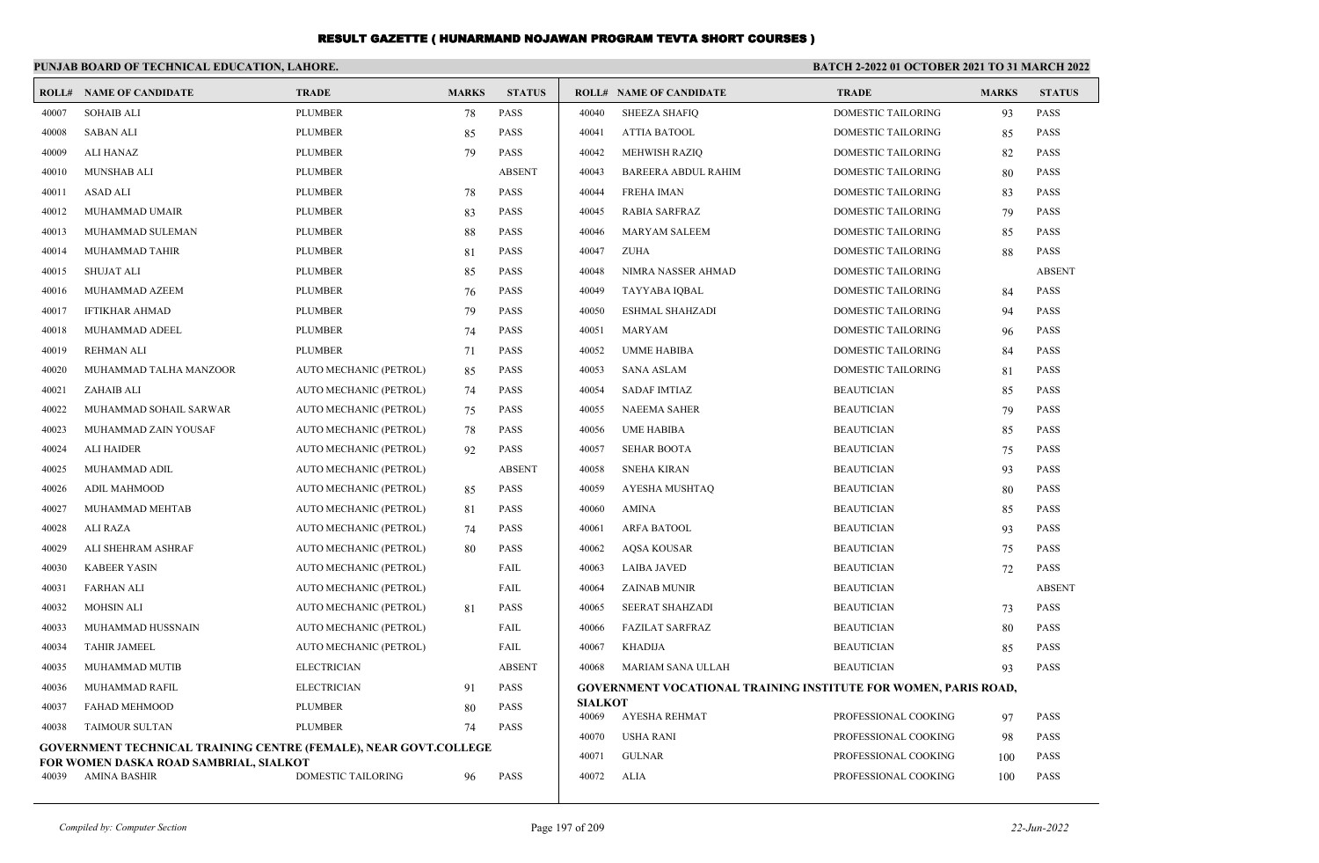|                                                                       | PUNJAB BOARD OF TECHNICAL EDUCATION, LAHORE.                                                                       |                        |              |               | BATCH 2-2022 01 OCTOBER 2021 TO 31 MARCH 2022 |                                                                        |                           |              |               |
|-----------------------------------------------------------------------|--------------------------------------------------------------------------------------------------------------------|------------------------|--------------|---------------|-----------------------------------------------|------------------------------------------------------------------------|---------------------------|--------------|---------------|
|                                                                       | <b>ROLL# NAME OF CANDIDATE</b>                                                                                     | <b>TRADE</b>           | <b>MARKS</b> | <b>STATUS</b> |                                               | <b>ROLL# NAME OF CANDIDATE</b>                                         | <b>TRADE</b>              | <b>MARKS</b> | <b>STATUS</b> |
| 40007                                                                 | <b>SOHAIB ALI</b>                                                                                                  | <b>PLUMBER</b>         | 78           | <b>PASS</b>   | 40040                                         | <b>SHEEZA SHAFIQ</b>                                                   | DOMESTIC TAILORING        | 93           | <b>PASS</b>   |
| 40008                                                                 | <b>SABAN ALI</b>                                                                                                   | <b>PLUMBER</b>         | 85           | PASS          | 40041                                         | <b>ATTIA BATOOL</b>                                                    | DOMESTIC TAILORING        | 85           | <b>PASS</b>   |
| 40009                                                                 | <b>ALI HANAZ</b>                                                                                                   | <b>PLUMBER</b>         | 79           | <b>PASS</b>   | 40042                                         | MEHWISH RAZIQ                                                          | DOMESTIC TAILORING        | 82           | <b>PASS</b>   |
| 40010                                                                 | <b>MUNSHAB ALI</b>                                                                                                 | <b>PLUMBER</b>         |              | <b>ABSENT</b> | 40043                                         | <b>BAREERA ABDUL RAHIM</b>                                             | DOMESTIC TAILORING        | 80           | <b>PASS</b>   |
| 40011                                                                 | <b>ASAD ALI</b>                                                                                                    | <b>PLUMBER</b>         | 78           | <b>PASS</b>   | 40044                                         | <b>FREHA IMAN</b>                                                      | <b>DOMESTIC TAILORING</b> | 83           | <b>PASS</b>   |
| 40012                                                                 | MUHAMMAD UMAIR                                                                                                     | <b>PLUMBER</b>         | 83           | <b>PASS</b>   | 40045                                         | <b>RABIA SARFRAZ</b>                                                   | DOMESTIC TAILORING        | 79           | <b>PASS</b>   |
| 40013                                                                 | MUHAMMAD SULEMAN                                                                                                   | <b>PLUMBER</b>         | 88           | <b>PASS</b>   | 40046                                         | MARYAM SALEEM                                                          | DOMESTIC TAILORING        | 85           | <b>PASS</b>   |
| 40014                                                                 | MUHAMMAD TAHIR                                                                                                     | <b>PLUMBER</b>         | 81           | <b>PASS</b>   | 40047                                         | <b>ZUHA</b>                                                            | DOMESTIC TAILORING        | 88           | <b>PASS</b>   |
| 40015                                                                 | <b>SHUJAT ALI</b>                                                                                                  | <b>PLUMBER</b>         | 85           | <b>PASS</b>   | 40048                                         | NIMRA NASSER AHMAD                                                     | <b>DOMESTIC TAILORING</b> |              | <b>ABSENT</b> |
| 40016                                                                 | MUHAMMAD AZEEM                                                                                                     | <b>PLUMBER</b>         | 76           | <b>PASS</b>   | 40049                                         | TAYYABA IQBAL                                                          | <b>DOMESTIC TAILORING</b> | 84           | <b>PASS</b>   |
| 40017                                                                 | <b>IFTIKHAR AHMAD</b>                                                                                              | <b>PLUMBER</b>         | 79           | <b>PASS</b>   | 40050                                         | <b>ESHMAL SHAHZADI</b>                                                 | <b>DOMESTIC TAILORING</b> | 94           | <b>PASS</b>   |
| 40018                                                                 | MUHAMMAD ADEEL                                                                                                     | <b>PLUMBER</b>         | 74           | <b>PASS</b>   | 40051                                         | <b>MARYAM</b>                                                          | DOMESTIC TAILORING        | 96           | <b>PASS</b>   |
| 40019                                                                 | REHMAN ALI                                                                                                         | <b>PLUMBER</b>         | 71           | <b>PASS</b>   | 40052                                         | <b>UMME HABIBA</b>                                                     | DOMESTIC TAILORING        | 84           | <b>PASS</b>   |
| 40020                                                                 | MUHAMMAD TALHA MANZOOR                                                                                             | AUTO MECHANIC (PETROL) | 85           | <b>PASS</b>   | 40053                                         | <b>SANA ASLAM</b>                                                      | DOMESTIC TAILORING        | 81           | <b>PASS</b>   |
| 40021                                                                 | ZAHAIB ALI                                                                                                         | AUTO MECHANIC (PETROL) | 74           | <b>PASS</b>   | 40054                                         | <b>SADAF IMTIAZ</b>                                                    | <b>BEAUTICIAN</b>         | 85           | <b>PASS</b>   |
| 40022                                                                 | MUHAMMAD SOHAIL SARWAR                                                                                             | AUTO MECHANIC (PETROL) | 75           | <b>PASS</b>   | 40055                                         | <b>NAEEMA SAHER</b>                                                    | <b>BEAUTICIAN</b>         | 79           | <b>PASS</b>   |
| 40023                                                                 | MUHAMMAD ZAIN YOUSAF                                                                                               | AUTO MECHANIC (PETROL) | 78           | <b>PASS</b>   | 40056                                         | <b>UME HABIBA</b>                                                      | <b>BEAUTICIAN</b>         | 85           | <b>PASS</b>   |
| 40024                                                                 | <b>ALI HAIDER</b>                                                                                                  | AUTO MECHANIC (PETROL) | 92           | <b>PASS</b>   | 40057                                         | <b>SEHAR BOOTA</b>                                                     | <b>BEAUTICIAN</b>         | 75           | <b>PASS</b>   |
| 40025                                                                 | MUHAMMAD ADIL                                                                                                      | AUTO MECHANIC (PETROL) |              | <b>ABSENT</b> | 40058                                         | <b>SNEHA KIRAN</b>                                                     | <b>BEAUTICIAN</b>         | 93           | <b>PASS</b>   |
| 40026                                                                 | <b>ADIL MAHMOOD</b>                                                                                                | AUTO MECHANIC (PETROL) | 85           | <b>PASS</b>   | 40059                                         | AYESHA MUSHTAQ                                                         | <b>BEAUTICIAN</b>         | 80           | <b>PASS</b>   |
| 40027                                                                 | MUHAMMAD MEHTAB                                                                                                    | AUTO MECHANIC (PETROL) | 81           | <b>PASS</b>   | 40060                                         | <b>AMINA</b>                                                           | <b>BEAUTICIAN</b>         | 85           | <b>PASS</b>   |
| 40028                                                                 | <b>ALI RAZA</b>                                                                                                    | AUTO MECHANIC (PETROL) | 74           | <b>PASS</b>   | 40061                                         | <b>ARFA BATOOL</b>                                                     | <b>BEAUTICIAN</b>         | 93           | <b>PASS</b>   |
| 40029                                                                 | ALI SHEHRAM ASHRAF                                                                                                 | AUTO MECHANIC (PETROL) | 80           | <b>PASS</b>   | 40062                                         | <b>AQSA KOUSAR</b>                                                     | <b>BEAUTICIAN</b>         | 75           | <b>PASS</b>   |
| 40030                                                                 | <b>KABEER YASIN</b>                                                                                                | AUTO MECHANIC (PETROL) |              | FAIL          | 40063                                         | <b>LAIBA JAVED</b>                                                     | <b>BEAUTICIAN</b>         | 72           | <b>PASS</b>   |
| 40031                                                                 | <b>FARHAN ALI</b>                                                                                                  | AUTO MECHANIC (PETROL) |              | FAIL          | 40064                                         | <b>ZAINAB MUNIR</b>                                                    | <b>BEAUTICIAN</b>         |              | <b>ABSENT</b> |
| 40032                                                                 | <b>MOHSIN ALI</b>                                                                                                  | AUTO MECHANIC (PETROL) | 81           | <b>PASS</b>   | 40065                                         | <b>SEERAT SHAHZADI</b>                                                 | <b>BEAUTICIAN</b>         | 73           | <b>PASS</b>   |
| 40033                                                                 | MUHAMMAD HUSSNAIN                                                                                                  | AUTO MECHANIC (PETROL) |              | FAIL          | 40066                                         | FAZILAT SARFRAZ                                                        | <b>BEAUTICIAN</b>         | 80           | <b>PASS</b>   |
| 40034                                                                 | <b>TAHIR JAMEEL</b>                                                                                                | AUTO MECHANIC (PETROL) |              | FAIL          | 40067                                         | <b>KHADIJA</b>                                                         | <b>BEAUTICIAN</b>         | 85           | <b>PASS</b>   |
| 40035                                                                 | MUHAMMAD MUTIB                                                                                                     | <b>ELECTRICIAN</b>     |              | <b>ABSENT</b> | 40068                                         | MARIAM SANA ULLAH                                                      | <b>BEAUTICIAN</b>         | 93           | <b>PASS</b>   |
| 40036                                                                 | MUHAMMAD RAFIL                                                                                                     | <b>ELECTRICIAN</b>     | 91           | <b>PASS</b>   |                                               | <b>GOVERNMENT VOCATIONAL TRAINING INSTITUTE FOR WOMEN, PARIS ROAD,</b> |                           |              |               |
| 40037                                                                 | <b>FAHAD MEHMOOD</b>                                                                                               | <b>PLUMBER</b>         | 80           | <b>PASS</b>   | <b>SIALKOT</b><br>40069                       | AYESHA REHMAT                                                          | PROFESSIONAL COOKING      |              | <b>PASS</b>   |
| <b>PLUMBER</b><br><b>PASS</b><br>40038<br><b>TAIMOUR SULTAN</b><br>74 |                                                                                                                    |                        |              |               | 40070                                         | <b>USHA RANI</b>                                                       | PROFESSIONAL COOKING      | 97<br>98     | <b>PASS</b>   |
|                                                                       | <b>GOVERNMENT TECHNICAL TRAINING CENTRE (FEMALE), NEAR GOVT.COLLEGE</b>                                            |                        |              |               | 40071                                         | <b>GULNAR</b>                                                          | PROFESSIONAL COOKING      | 100          | <b>PASS</b>   |
|                                                                       | FOR WOMEN DASKA ROAD SAMBRIAL, SIALKOT<br>40039<br><b>DOMESTIC TAILORING</b><br><b>PASS</b><br>AMINA BASHIR<br>-96 |                        |              |               | 40072                                         | <b>ALIA</b>                                                            | PROFESSIONAL COOKING      | 100          | <b>PASS</b>   |
|                                                                       |                                                                                                                    |                        |              |               |                                               |                                                                        |                           |              |               |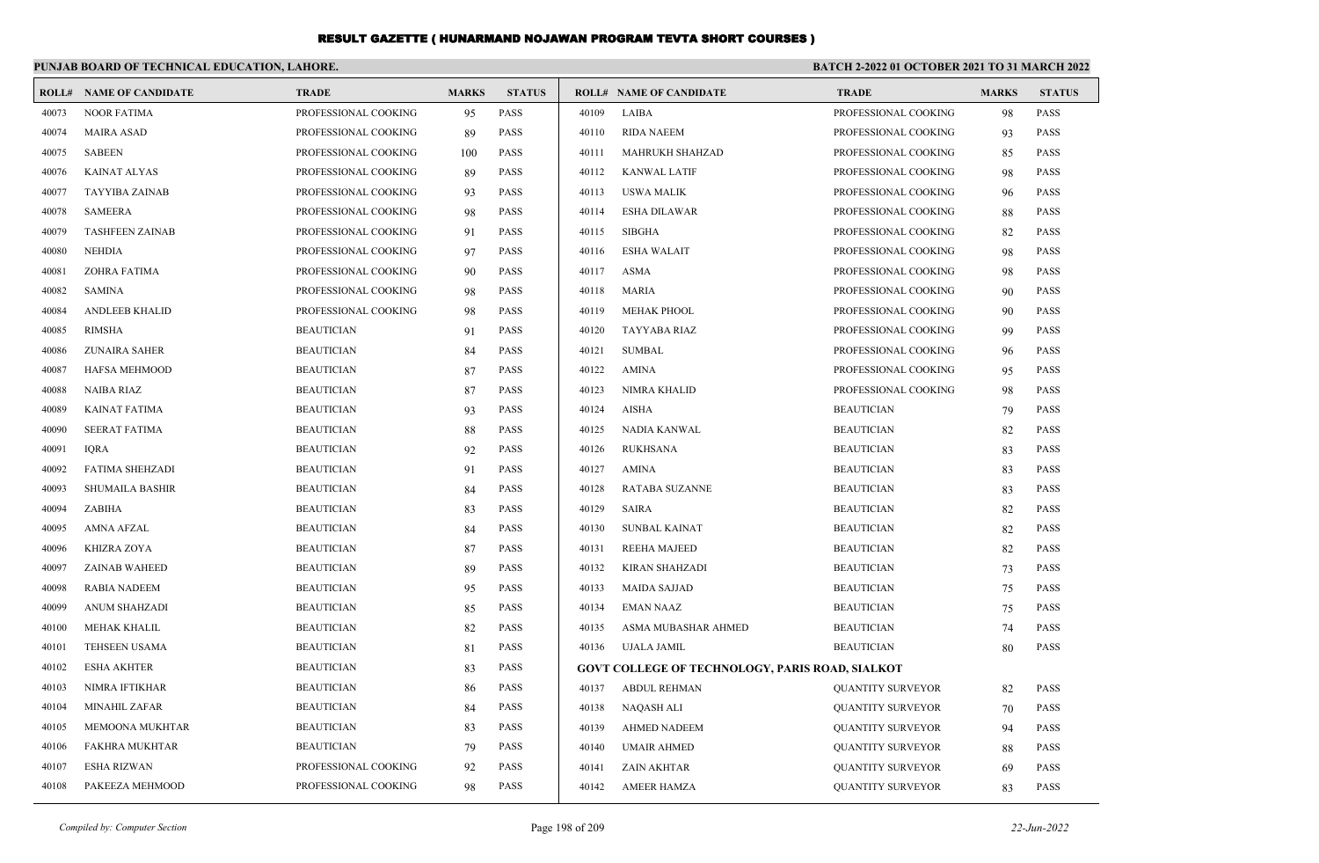|       | PUNJAB BOARD OF TECHNICAL EDUCATION, LAHORE. |                      |              |               |       |                                                 | <b>BATCH 2-2022 01 OCTOBER 2021 TO 31 MARCH 2022</b> |              |               |
|-------|----------------------------------------------|----------------------|--------------|---------------|-------|-------------------------------------------------|------------------------------------------------------|--------------|---------------|
|       | <b>ROLL# NAME OF CANDIDATE</b>               | <b>TRADE</b>         | <b>MARKS</b> | <b>STATUS</b> |       | <b>ROLL# NAME OF CANDIDATE</b>                  | <b>TRADE</b>                                         | <b>MARKS</b> | <b>STATUS</b> |
| 40073 | <b>NOOR FATIMA</b>                           | PROFESSIONAL COOKING | 95           | PASS          | 40109 | LAIBA                                           | PROFESSIONAL COOKING                                 | 98           | <b>PASS</b>   |
| 40074 | <b>MAIRA ASAD</b>                            | PROFESSIONAL COOKING | 89           | PASS          | 40110 | <b>RIDA NAEEM</b>                               | PROFESSIONAL COOKING                                 | 93           | <b>PASS</b>   |
| 40075 | <b>SABEEN</b>                                | PROFESSIONAL COOKING | 100          | <b>PASS</b>   | 40111 | <b>MAHRUKH SHAHZAD</b>                          | PROFESSIONAL COOKING                                 | 85           | <b>PASS</b>   |
| 40076 | <b>KAINAT ALYAS</b>                          | PROFESSIONAL COOKING | 89           | <b>PASS</b>   | 40112 | <b>KANWAL LATIF</b>                             | PROFESSIONAL COOKING                                 | 98           | <b>PASS</b>   |
| 40077 | <b>TAYYIBA ZAINAB</b>                        | PROFESSIONAL COOKING | 93           | <b>PASS</b>   | 40113 | <b>USWA MALIK</b>                               | PROFESSIONAL COOKING                                 | 96           | <b>PASS</b>   |
| 40078 | <b>SAMEERA</b>                               | PROFESSIONAL COOKING | 98           | <b>PASS</b>   | 40114 | <b>ESHA DILAWAR</b>                             | PROFESSIONAL COOKING                                 | 88           | <b>PASS</b>   |
| 40079 | <b>TASHFEEN ZAINAB</b>                       | PROFESSIONAL COOKING | 91           | <b>PASS</b>   | 40115 | <b>SIBGHA</b>                                   | PROFESSIONAL COOKING                                 | 82           | <b>PASS</b>   |
| 40080 | <b>NEHDIA</b>                                | PROFESSIONAL COOKING | 97           | <b>PASS</b>   | 40116 | <b>ESHA WALAIT</b>                              | PROFESSIONAL COOKING                                 | 98           | <b>PASS</b>   |
| 40081 | <b>ZOHRA FATIMA</b>                          | PROFESSIONAL COOKING | 90           | <b>PASS</b>   | 40117 | <b>ASMA</b>                                     | PROFESSIONAL COOKING                                 | 98           | <b>PASS</b>   |
| 40082 | <b>SAMINA</b>                                | PROFESSIONAL COOKING | 98           | PASS          | 40118 | <b>MARIA</b>                                    | PROFESSIONAL COOKING                                 | 90           | <b>PASS</b>   |
| 40084 | <b>ANDLEEB KHALID</b>                        | PROFESSIONAL COOKING | 98           | <b>PASS</b>   | 40119 | <b>MEHAK PHOOL</b>                              | PROFESSIONAL COOKING                                 | 90           | <b>PASS</b>   |
| 40085 | <b>RIMSHA</b>                                | <b>BEAUTICIAN</b>    | 91           | <b>PASS</b>   | 40120 | <b>TAYYABA RIAZ</b>                             | PROFESSIONAL COOKING                                 | 99           | <b>PASS</b>   |
| 40086 | <b>ZUNAIRA SAHER</b>                         | <b>BEAUTICIAN</b>    | 84           | <b>PASS</b>   | 40121 | <b>SUMBAL</b>                                   | PROFESSIONAL COOKING                                 | 96           | <b>PASS</b>   |
| 40087 | <b>HAFSA MEHMOOD</b>                         | <b>BEAUTICIAN</b>    | 87           | <b>PASS</b>   | 40122 | <b>AMINA</b>                                    | PROFESSIONAL COOKING                                 | 95           | <b>PASS</b>   |
| 40088 | <b>NAIBA RIAZ</b>                            | <b>BEAUTICIAN</b>    | 87           | <b>PASS</b>   | 40123 | <b>NIMRA KHALID</b>                             | PROFESSIONAL COOKING                                 | 98           | <b>PASS</b>   |
| 40089 | <b>KAINAT FATIMA</b>                         | <b>BEAUTICIAN</b>    | 93           | <b>PASS</b>   | 40124 | <b>AISHA</b>                                    | <b>BEAUTICIAN</b>                                    | 79           | <b>PASS</b>   |
| 40090 | <b>SEERAT FATIMA</b>                         | <b>BEAUTICIAN</b>    | 88           | <b>PASS</b>   | 40125 | NADIA KANWAL                                    | <b>BEAUTICIAN</b>                                    | 82           | <b>PASS</b>   |
| 40091 | <b>IQRA</b>                                  | <b>BEAUTICIAN</b>    | 92           | <b>PASS</b>   | 40126 | <b>RUKHSANA</b>                                 | <b>BEAUTICIAN</b>                                    | 83           | <b>PASS</b>   |
| 40092 | <b>FATIMA SHEHZADI</b>                       | <b>BEAUTICIAN</b>    | 91           | <b>PASS</b>   | 40127 | <b>AMINA</b>                                    | <b>BEAUTICIAN</b>                                    | 83           | <b>PASS</b>   |
| 40093 | SHUMAILA BASHIR                              | <b>BEAUTICIAN</b>    | 84           | PASS          | 40128 | RATABA SUZANNE                                  | <b>BEAUTICIAN</b>                                    | 83           | <b>PASS</b>   |
| 40094 | ZABIHA                                       | <b>BEAUTICIAN</b>    | 83           | PASS          | 40129 | <b>SAIRA</b>                                    | <b>BEAUTICIAN</b>                                    | 82           | <b>PASS</b>   |
| 40095 | <b>AMNA AFZAL</b>                            | <b>BEAUTICIAN</b>    | 84           | <b>PASS</b>   | 40130 | <b>SUNBAL KAINAT</b>                            | <b>BEAUTICIAN</b>                                    | 82           | <b>PASS</b>   |
| 40096 | <b>KHIZRA ZOYA</b>                           | <b>BEAUTICIAN</b>    | 87           | <b>PASS</b>   | 40131 | <b>REEHA MAJEED</b>                             | <b>BEAUTICIAN</b>                                    | 82           | <b>PASS</b>   |
| 40097 | ZAINAB WAHEED                                | <b>BEAUTICIAN</b>    | 89           | PASS          | 40132 | KIRAN SHAHZADI                                  | <b>BEAUTICIAN</b>                                    | 73           | <b>PASS</b>   |
| 40098 | RABIA NADEEM                                 | <b>BEAUTICIAN</b>    | 95           | <b>PASS</b>   | 40133 | <b>MAIDA SAJJAD</b>                             | <b>BEAUTICIAN</b>                                    | 75           | <b>PASS</b>   |
| 40099 | <b>ANUM SHAHZADI</b>                         | <b>BEAUTICIAN</b>    | 85           | <b>PASS</b>   | 40134 | <b>EMAN NAAZ</b>                                | <b>BEAUTICIAN</b>                                    | 75           | <b>PASS</b>   |
| 40100 | MEHAK KHALIL                                 | <b>BEAUTICIAN</b>    | 82           | <b>PASS</b>   | 40135 | ASMA MUBASHAR AHMED                             | <b>BEAUTICIAN</b>                                    | 74           | <b>PASS</b>   |
| 40101 | <b>TEHSEEN USAMA</b>                         | <b>BEAUTICIAN</b>    | 81           | <b>PASS</b>   | 40136 | UJALA JAMIL                                     | <b>BEAUTICIAN</b>                                    | 80           | <b>PASS</b>   |
| 40102 | <b>ESHA AKHTER</b>                           | <b>BEAUTICIAN</b>    | 83           | <b>PASS</b>   |       | GOVT COLLEGE OF TECHNOLOGY, PARIS ROAD, SIALKOT |                                                      |              |               |
| 40103 | NIMRA IFTIKHAR                               | <b>BEAUTICIAN</b>    | 86           | <b>PASS</b>   | 40137 | <b>ABDUL REHMAN</b>                             | <b>QUANTITY SURVEYOR</b>                             | 82           | <b>PASS</b>   |
| 40104 | <b>MINAHIL ZAFAR</b>                         | <b>BEAUTICIAN</b>    | 84           | <b>PASS</b>   | 40138 | <b>NAQASH ALI</b>                               | <b>QUANTITY SURVEYOR</b>                             | 70           | <b>PASS</b>   |
| 40105 | MEMOONA MUKHTAR                              | <b>BEAUTICIAN</b>    | 83           | PASS          | 40139 | <b>AHMED NADEEM</b>                             | <b>QUANTITY SURVEYOR</b>                             | 94           | <b>PASS</b>   |
| 40106 | FAKHRA MUKHTAR                               | <b>BEAUTICIAN</b>    | 79           | <b>PASS</b>   | 40140 | <b>UMAIR AHMED</b>                              | <b>QUANTITY SURVEYOR</b>                             | 88           | <b>PASS</b>   |
| 40107 | <b>ESHA RIZWAN</b>                           | PROFESSIONAL COOKING | 92           | PASS          | 40141 | <b>ZAIN AKHTAR</b>                              | <b>QUANTITY SURVEYOR</b>                             | 69           | <b>PASS</b>   |
| 40108 | PAKEEZA MEHMOOD                              | PROFESSIONAL COOKING | 98           | <b>PASS</b>   | 40142 | <b>AMEER HAMZA</b>                              | <b>OUANTITY SURVEYOR</b>                             | 83           | <b>PASS</b>   |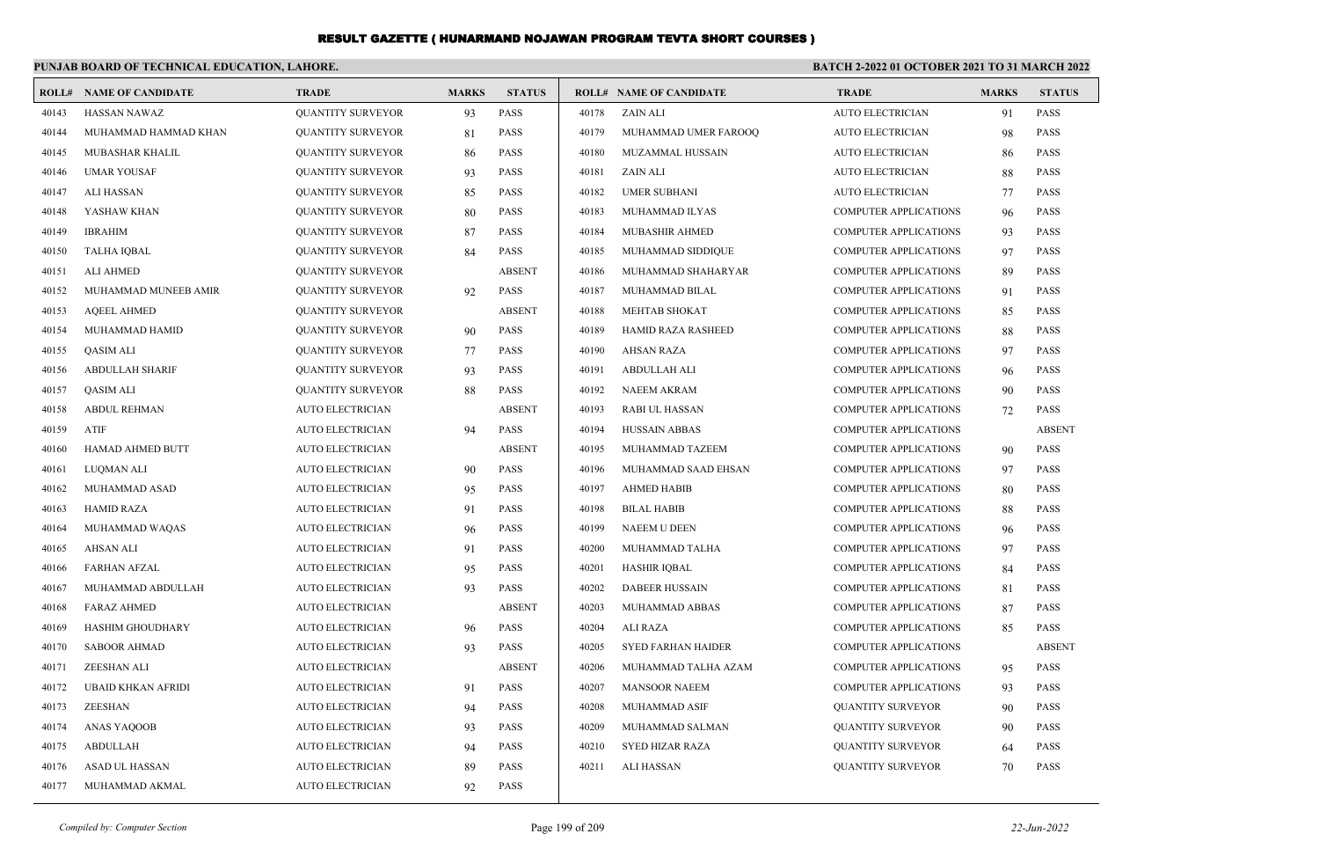|       | PUNJAB BOARD OF TECHNICAL EDUCATION, LAHORE. |                          |              |               | BATCH 2-2022 01 OCTOBER 2021 TO 31 MARCH 2022 |                           |                              |              |               |  |
|-------|----------------------------------------------|--------------------------|--------------|---------------|-----------------------------------------------|---------------------------|------------------------------|--------------|---------------|--|
|       | <b>ROLL# NAME OF CANDIDATE</b>               | <b>TRADE</b>             | <b>MARKS</b> | <b>STATUS</b> |                                               | ROLL# NAME OF CANDIDATE   | <b>TRADE</b>                 | <b>MARKS</b> | <b>STATUS</b> |  |
| 40143 | <b>HASSAN NAWAZ</b>                          | <b>QUANTITY SURVEYOR</b> | 93           | <b>PASS</b>   | 40178                                         | ZAIN ALI                  | <b>AUTO ELECTRICIAN</b>      | 91           | <b>PASS</b>   |  |
| 40144 | MUHAMMAD HAMMAD KHAN                         | <b>QUANTITY SURVEYOR</b> | 81           | <b>PASS</b>   | 40179                                         | MUHAMMAD UMER FAROOQ      | <b>AUTO ELECTRICIAN</b>      | 98           | <b>PASS</b>   |  |
| 40145 | MUBASHAR KHALIL                              | <b>QUANTITY SURVEYOR</b> | -86          | PASS          | 40180                                         | MUZAMMAL HUSSAIN          | AUTO ELECTRICIAN             | 86           | <b>PASS</b>   |  |
| 40146 | <b>UMAR YOUSAF</b>                           | <b>QUANTITY SURVEYOR</b> | 93           | <b>PASS</b>   | 40181                                         | ZAIN ALI                  | <b>AUTO ELECTRICIAN</b>      | 88           | PASS          |  |
| 40147 | <b>ALI HASSAN</b>                            | <b>QUANTITY SURVEYOR</b> | 85           | <b>PASS</b>   | 40182                                         | <b>UMER SUBHANI</b>       | <b>AUTO ELECTRICIAN</b>      | 77           | <b>PASS</b>   |  |
| 40148 | YASHAW KHAN                                  | <b>QUANTITY SURVEYOR</b> | 80           | <b>PASS</b>   | 40183                                         | MUHAMMAD ILYAS            | <b>COMPUTER APPLICATIONS</b> | 96           | <b>PASS</b>   |  |
| 40149 | <b>IBRAHIM</b>                               | <b>QUANTITY SURVEYOR</b> | 87           | <b>PASS</b>   | 40184                                         | MUBASHIR AHMED            | <b>COMPUTER APPLICATIONS</b> | 93           | PASS          |  |
| 40150 | <b>TALHA IQBAL</b>                           | <b>QUANTITY SURVEYOR</b> | 84           | <b>PASS</b>   | 40185                                         | MUHAMMAD SIDDIQUE         | <b>COMPUTER APPLICATIONS</b> | 97           | <b>PASS</b>   |  |
| 40151 | <b>ALI AHMED</b>                             | <b>QUANTITY SURVEYOR</b> |              | <b>ABSENT</b> | 40186                                         | MUHAMMAD SHAHARYAR        | <b>COMPUTER APPLICATIONS</b> | 89           | <b>PASS</b>   |  |
| 40152 | MUHAMMAD MUNEEB AMIR                         | <b>QUANTITY SURVEYOR</b> | 92           | <b>PASS</b>   | 40187                                         | MUHAMMAD BILAL            | <b>COMPUTER APPLICATIONS</b> | 91           | <b>PASS</b>   |  |
| 40153 | <b>AOEEL AHMED</b>                           | <b>QUANTITY SURVEYOR</b> |              | <b>ABSENT</b> | 40188                                         | MEHTAB SHOKAT             | <b>COMPUTER APPLICATIONS</b> | 85           | <b>PASS</b>   |  |
| 40154 | MUHAMMAD HAMID                               | <b>QUANTITY SURVEYOR</b> | 90           | <b>PASS</b>   | 40189                                         | <b>HAMID RAZA RASHEED</b> | <b>COMPUTER APPLICATIONS</b> | 88           | <b>PASS</b>   |  |
| 40155 | <b>QASIM ALI</b>                             | <b>QUANTITY SURVEYOR</b> | 77           | <b>PASS</b>   | 40190                                         | <b>AHSAN RAZA</b>         | <b>COMPUTER APPLICATIONS</b> | 97           | <b>PASS</b>   |  |
| 40156 | <b>ABDULLAH SHARIF</b>                       | <b>QUANTITY SURVEYOR</b> | 93           | PASS          | 40191                                         | ABDULLAH ALI              | <b>COMPUTER APPLICATIONS</b> | 96           | <b>PASS</b>   |  |
| 40157 | <b>QASIM ALI</b>                             | <b>QUANTITY SURVEYOR</b> | 88           | <b>PASS</b>   | 40192                                         | <b>NAEEM AKRAM</b>        | <b>COMPUTER APPLICATIONS</b> | 90           | <b>PASS</b>   |  |
| 40158 | <b>ABDUL REHMAN</b>                          | <b>AUTO ELECTRICIAN</b>  |              | <b>ABSENT</b> | 40193                                         | RABI UL HASSAN            | <b>COMPUTER APPLICATIONS</b> | 72           | <b>PASS</b>   |  |
| 40159 | ATIF                                         | AUTO ELECTRICIAN         | 94           | PASS          | 40194                                         | <b>HUSSAIN ABBAS</b>      | <b>COMPUTER APPLICATIONS</b> |              | <b>ABSENT</b> |  |
| 40160 | <b>HAMAD AHMED BUTT</b>                      | <b>AUTO ELECTRICIAN</b>  |              | <b>ABSENT</b> | 40195                                         | MUHAMMAD TAZEEM           | <b>COMPUTER APPLICATIONS</b> | 90           | <b>PASS</b>   |  |
| 40161 | <b>LUOMAN ALI</b>                            | <b>AUTO ELECTRICIAN</b>  | 90           | <b>PASS</b>   | 40196                                         | MUHAMMAD SAAD EHSAN       | <b>COMPUTER APPLICATIONS</b> | 97           | <b>PASS</b>   |  |
| 40162 | MUHAMMAD ASAD                                | AUTO ELECTRICIAN         | 95           | PASS          | 40197                                         | <b>AHMED HABIB</b>        | <b>COMPUTER APPLICATIONS</b> | 80           | <b>PASS</b>   |  |
| 40163 | <b>HAMID RAZA</b>                            | <b>AUTO ELECTRICIAN</b>  | 91           | PASS          | 40198                                         | <b>BILAL HABIB</b>        | <b>COMPUTER APPLICATIONS</b> | 88           | <b>PASS</b>   |  |
| 40164 | MUHAMMAD WAQAS                               | <b>AUTO ELECTRICIAN</b>  | 96           | <b>PASS</b>   | 40199                                         | <b>NAEEM U DEEN</b>       | <b>COMPUTER APPLICATIONS</b> | 96           | <b>PASS</b>   |  |
| 40165 | <b>AHSAN ALI</b>                             | AUTO ELECTRICIAN         | 91           | PASS          | 40200                                         | MUHAMMAD TALHA            | <b>COMPUTER APPLICATIONS</b> | 97           | <b>PASS</b>   |  |
| 40166 | <b>FARHAN AFZAL</b>                          | AUTO ELECTRICIAN         | 95           | PASS          | 40201                                         | <b>HASHIR IQBAL</b>       | COMPUTER APPLICATIONS        | 84           | <b>PASS</b>   |  |
| 40167 | MUHAMMAD ABDULLAH                            | <b>AUTO ELECTRICIAN</b>  | 93           | <b>PASS</b>   | 40202                                         | <b>DABEER HUSSAIN</b>     | <b>COMPUTER APPLICATIONS</b> | 81           | <b>PASS</b>   |  |
| 40168 | <b>FARAZ AHMED</b>                           | <b>AUTO ELECTRICIAN</b>  |              | <b>ABSENT</b> | 40203                                         | MUHAMMAD ABBAS            | <b>COMPUTER APPLICATIONS</b> | 87           | <b>PASS</b>   |  |
| 40169 | <b>HASHIM GHOUDHARY</b>                      | <b>AUTO ELECTRICIAN</b>  | 96           | <b>PASS</b>   | 40204                                         | <b>ALI RAZA</b>           | <b>COMPUTER APPLICATIONS</b> | 85           | <b>PASS</b>   |  |
| 40170 | <b>SABOOR AHMAD</b>                          | <b>AUTO ELECTRICIAN</b>  | 93           | <b>PASS</b>   | 40205                                         | <b>SYED FARHAN HAIDER</b> | <b>COMPUTER APPLICATIONS</b> |              | <b>ABSENT</b> |  |
| 40171 | <b>ZEESHAN ALI</b>                           | <b>AUTO ELECTRICIAN</b>  |              | <b>ABSENT</b> | 40206                                         | MUHAMMAD TALHA AZAM       | <b>COMPUTER APPLICATIONS</b> | 95           | <b>PASS</b>   |  |
| 40172 | <b>UBAID KHKAN AFRIDI</b>                    | <b>AUTO ELECTRICIAN</b>  | 91           | PASS          | 40207                                         | <b>MANSOOR NAEEM</b>      | <b>COMPUTER APPLICATIONS</b> | 93           | <b>PASS</b>   |  |
| 40173 | ZEESHAN                                      | <b>AUTO ELECTRICIAN</b>  | 94           | <b>PASS</b>   | 40208                                         | MUHAMMAD ASIF             | <b>QUANTITY SURVEYOR</b>     | 90           | <b>PASS</b>   |  |
| 40174 | ANAS YAQOOB                                  | <b>AUTO ELECTRICIAN</b>  | 93           | <b>PASS</b>   | 40209                                         | MUHAMMAD SALMAN           | <b>QUANTITY SURVEYOR</b>     | 90           | <b>PASS</b>   |  |
| 40175 | <b>ABDULLAH</b>                              | <b>AUTO ELECTRICIAN</b>  | 94           | PASS          | 40210                                         | <b>SYED HIZAR RAZA</b>    | <b>QUANTITY SURVEYOR</b>     | 64           | <b>PASS</b>   |  |
| 40176 | ASAD UL HASSAN                               | <b>AUTO ELECTRICIAN</b>  | 89           | <b>PASS</b>   | 40211                                         | <b>ALI HASSAN</b>         | <b>QUANTITY SURVEYOR</b>     | 70           | <b>PASS</b>   |  |
| 40177 | MUHAMMAD AKMAL                               | <b>AUTO ELECTRICIAN</b>  | 92           | <b>PASS</b>   |                                               |                           |                              |              |               |  |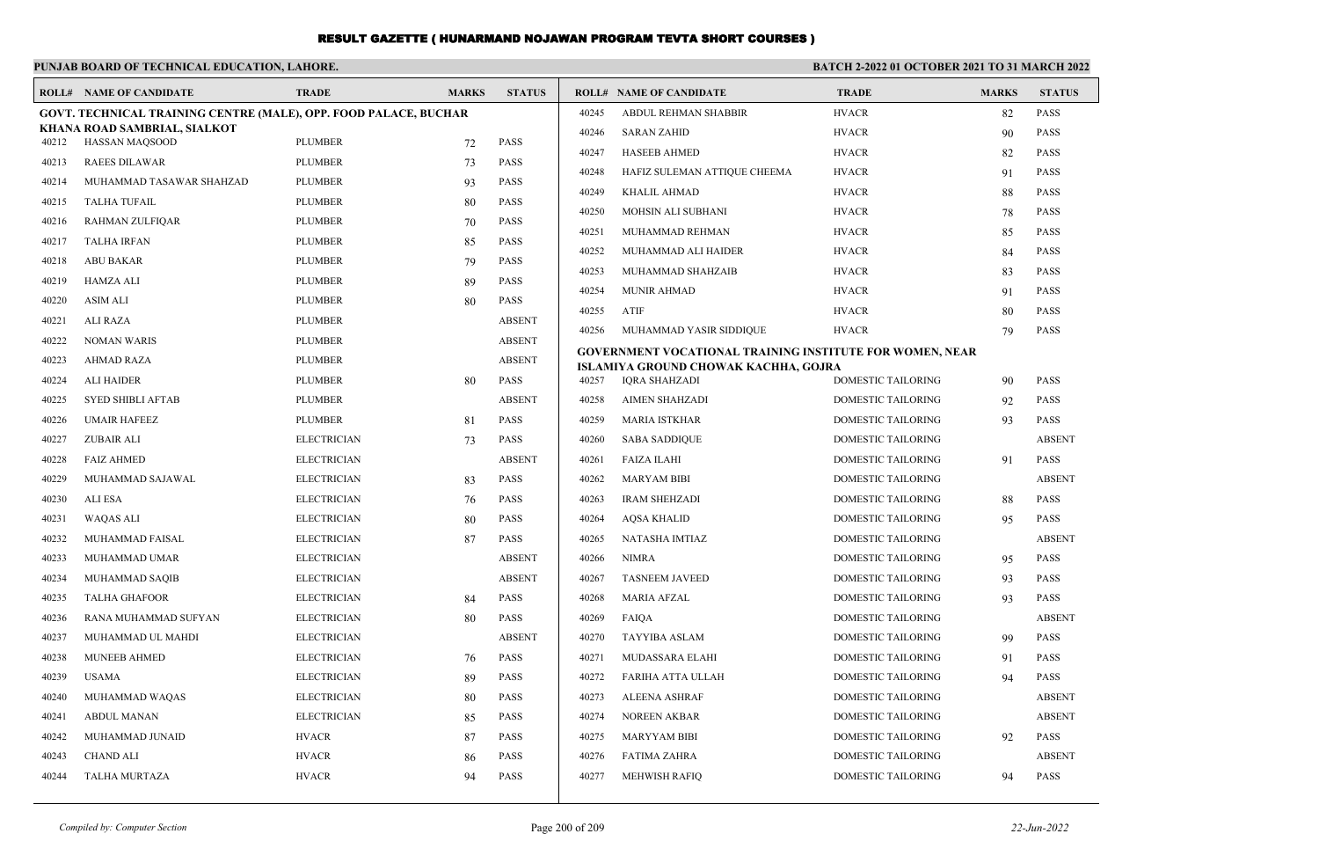|       | PUNJAB BOARD OF TECHNICAL EDUCATION, LAHORE.                            |                    |              |               | BATCH 2-2022 01 OCTOBER 2021 TO 31 MARCH 2022 |                                                                 |                           |              |               |
|-------|-------------------------------------------------------------------------|--------------------|--------------|---------------|-----------------------------------------------|-----------------------------------------------------------------|---------------------------|--------------|---------------|
|       | <b>ROLL# NAME OF CANDIDATE</b>                                          | <b>TRADE</b>       | <b>MARKS</b> | <b>STATUS</b> |                                               | <b>ROLL# NAME OF CANDIDATE</b>                                  | <b>TRADE</b>              | <b>MARKS</b> | <b>STATUS</b> |
|       | <b>GOVT. TECHNICAL TRAINING CENTRE (MALE), OPP. FOOD PALACE, BUCHAR</b> |                    |              |               | 40245                                         | ABDUL REHMAN SHABBIR                                            | <b>HVACR</b>              | 82           | <b>PASS</b>   |
| 40212 | KHANA ROAD SAMBRIAL, SIALKOT<br><b>HASSAN MAOSOOD</b>                   | <b>PLUMBER</b>     | 72           | <b>PASS</b>   | 40246                                         | <b>SARAN ZAHID</b>                                              | <b>HVACR</b>              | 90           | <b>PASS</b>   |
| 40213 | <b>RAEES DILAWAR</b>                                                    | <b>PLUMBER</b>     | 73           | PASS          | 40247                                         | <b>HASEEB AHMED</b>                                             | <b>HVACR</b>              | 82           | <b>PASS</b>   |
| 40214 | MUHAMMAD TASAWAR SHAHZAD                                                | <b>PLUMBER</b>     | 93           | PASS          | 40248                                         | HAFIZ SULEMAN ATTIQUE CHEEMA                                    | <b>HVACR</b>              | 91           | <b>PASS</b>   |
| 40215 | <b>TALHA TUFAIL</b>                                                     | <b>PLUMBER</b>     | 80           | PASS          | 40249                                         | KHALIL AHMAD                                                    | <b>HVACR</b>              | 88           | <b>PASS</b>   |
| 40216 | RAHMAN ZULFIQAR                                                         | <b>PLUMBER</b>     | 70           | <b>PASS</b>   | 40250                                         | MOHSIN ALI SUBHANI                                              | <b>HVACR</b>              | 78           | <b>PASS</b>   |
| 40217 | <b>TALHA IRFAN</b>                                                      | <b>PLUMBER</b>     | 85           | PASS          | 40251                                         | MUHAMMAD REHMAN                                                 | <b>HVACR</b>              | 85           | <b>PASS</b>   |
| 40218 | <b>ABU BAKAR</b>                                                        | <b>PLUMBER</b>     | 79           | PASS          | 40252                                         | MUHAMMAD ALI HAIDER                                             | <b>HVACR</b>              | 84           | <b>PASS</b>   |
| 40219 | <b>HAMZA ALI</b>                                                        | <b>PLUMBER</b>     | 89           | PASS          | 40253                                         | MUHAMMAD SHAHZAIB                                               | <b>HVACR</b>              | 83           | <b>PASS</b>   |
| 40220 | <b>ASIM ALI</b>                                                         | <b>PLUMBER</b>     | 80           | PASS          | 40254                                         | <b>MUNIR AHMAD</b>                                              | <b>HVACR</b>              | 91           | <b>PASS</b>   |
| 40221 | <b>ALI RAZA</b>                                                         | <b>PLUMBER</b>     |              | <b>ABSENT</b> | 40255                                         | <b>ATIF</b>                                                     | <b>HVACR</b>              | 80           | PASS          |
| 40222 | <b>NOMAN WARIS</b>                                                      | <b>PLUMBER</b>     |              | <b>ABSENT</b> | 40256                                         | MUHAMMAD YASIR SIDDIQUE                                         | <b>HVACR</b>              | 79           | PASS          |
| 40223 | <b>AHMAD RAZA</b>                                                       | <b>PLUMBER</b>     |              | <b>ABSENT</b> |                                               | <b>GOVERNMENT VOCATIONAL TRAINING INSTITUTE FOR WOMEN, NEAR</b> |                           |              |               |
| 40224 | <b>ALI HAIDER</b>                                                       | <b>PLUMBER</b>     | 80           | <b>PASS</b>   | 40257                                         | ISLAMIYA GROUND CHOWAK KACHHA, GOJRA<br>IQRA SHAHZADI           | <b>DOMESTIC TAILORING</b> | 90           | <b>PASS</b>   |
| 40225 | <b>SYED SHIBLI AFTAB</b>                                                | <b>PLUMBER</b>     |              | <b>ABSENT</b> | 40258                                         | <b>AIMEN SHAHZADI</b>                                           | <b>DOMESTIC TAILORING</b> | 92           | <b>PASS</b>   |
| 40226 | <b>UMAIR HAFEEZ</b>                                                     | <b>PLUMBER</b>     | 81           | <b>PASS</b>   | 40259                                         | <b>MARIA ISTKHAR</b>                                            | DOMESTIC TAILORING        | 93           | <b>PASS</b>   |
| 40227 | <b>ZUBAIR ALI</b>                                                       | <b>ELECTRICIAN</b> | 73           | <b>PASS</b>   | 40260                                         | <b>SABA SADDIQUE</b>                                            | DOMESTIC TAILORING        |              | <b>ABSENT</b> |
| 40228 | <b>FAIZ AHMED</b>                                                       | <b>ELECTRICIAN</b> |              | <b>ABSENT</b> | 40261                                         | <b>FAIZA ILAHI</b>                                              | <b>DOMESTIC TAILORING</b> | 91           | <b>PASS</b>   |
| 40229 | MUHAMMAD SAJAWAL                                                        | <b>ELECTRICIAN</b> | 83           | <b>PASS</b>   | 40262                                         | <b>MARYAM BIBI</b>                                              | DOMESTIC TAILORING        |              | <b>ABSENT</b> |
| 40230 | ALI ESA                                                                 | <b>ELECTRICIAN</b> | 76           | <b>PASS</b>   | 40263                                         | <b>IRAM SHEHZADI</b>                                            | DOMESTIC TAILORING        | 88           | <b>PASS</b>   |
| 40231 | WAQAS ALI                                                               | <b>ELECTRICIAN</b> | 80           | PASS          | 40264                                         | <b>AQSA KHALID</b>                                              | DOMESTIC TAILORING        | 95           | <b>PASS</b>   |
| 40232 | MUHAMMAD FAISAL                                                         | <b>ELECTRICIAN</b> | 87           | <b>PASS</b>   | 40265                                         | <b>NATASHA IMTIAZ</b>                                           | DOMESTIC TAILORING        |              | <b>ABSENT</b> |
| 40233 | MUHAMMAD UMAR                                                           | <b>ELECTRICIAN</b> |              | <b>ABSENT</b> | 40266                                         | NIMRA                                                           | DOMESTIC TAILORING        | 95           | <b>PASS</b>   |
| 40234 | MUHAMMAD SAQIB                                                          | <b>ELECTRICIAN</b> |              | <b>ABSENT</b> | 40267                                         | <b>TASNEEM JAVEED</b>                                           | <b>DOMESTIC TAILORING</b> | 93           | <b>PASS</b>   |
| 40235 | <b>TALHA GHAFOOR</b>                                                    | <b>ELECTRICIAN</b> | 84           | <b>PASS</b>   | 40268                                         | <b>MARIA AFZAL</b>                                              | DOMESTIC TAILORING        | 93           | <b>PASS</b>   |
| 40236 | RANA MUHAMMAD SUFYAN                                                    | <b>ELECTRICIAN</b> | 80           | <b>PASS</b>   | 40269                                         | <b>FAIQA</b>                                                    | <b>DOMESTIC TAILORING</b> |              | <b>ABSENT</b> |
| 40237 | MUHAMMAD UL MAHDI                                                       | <b>ELECTRICIAN</b> |              | <b>ABSENT</b> | 40270                                         | <b>TAYYIBA ASLAM</b>                                            | DOMESTIC TAILORING        | 99           | <b>PASS</b>   |
| 40238 | <b>MUNEEB AHMED</b>                                                     | <b>ELECTRICIAN</b> | 76           | <b>PASS</b>   | 40271                                         | MUDASSARA ELAHI                                                 | DOMESTIC TAILORING        | 91           | <b>PASS</b>   |
| 40239 | <b>USAMA</b>                                                            | <b>ELECTRICIAN</b> | 89           | PASS          | 40272                                         | FARIHA ATTA ULLAH                                               | <b>DOMESTIC TAILORING</b> | 94           | <b>PASS</b>   |
| 40240 | MUHAMMAD WAQAS                                                          | <b>ELECTRICIAN</b> | 80           | <b>PASS</b>   | 40273                                         | <b>ALEENA ASHRAF</b>                                            | <b>DOMESTIC TAILORING</b> |              | <b>ABSENT</b> |
| 40241 | <b>ABDUL MANAN</b>                                                      | <b>ELECTRICIAN</b> | 85           | <b>PASS</b>   | 40274                                         | <b>NOREEN AKBAR</b>                                             | <b>DOMESTIC TAILORING</b> |              | <b>ABSENT</b> |
| 40242 | MUHAMMAD JUNAID                                                         | <b>HVACR</b>       | 87           | <b>PASS</b>   | 40275                                         | <b>MARYYAM BIBI</b>                                             | <b>DOMESTIC TAILORING</b> | 92           | <b>PASS</b>   |
| 40243 | <b>CHAND ALI</b>                                                        | <b>HVACR</b>       | 86           | PASS          | 40276                                         | <b>FATIMA ZAHRA</b>                                             | DOMESTIC TAILORING        |              | <b>ABSENT</b> |
| 40244 | <b>TALHA MURTAZA</b>                                                    | <b>HVACR</b>       | 94           | PASS          | 40277                                         | <b>MEHWISH RAFIQ</b>                                            | <b>DOMESTIC TAILORING</b> | 94           | <b>PASS</b>   |
|       |                                                                         |                    |              |               |                                               |                                                                 |                           |              |               |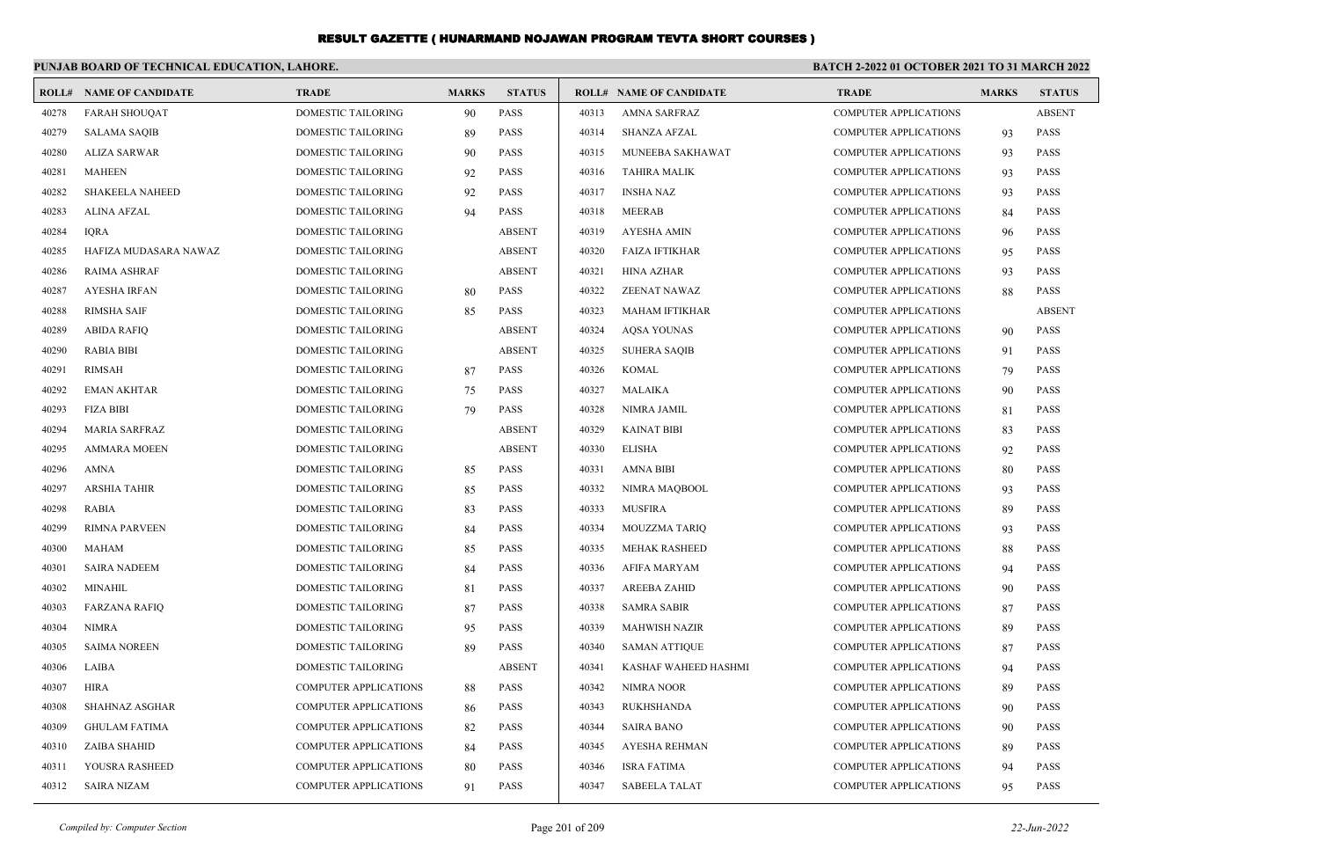|       | PUNJAB BOARD OF TECHNICAL EDUCATION, LAHORE. |                              |              |               |       |                                |                              | <b>BATCH 2-2022 01 OCTOBER 2021 TO 31 MARCH 2022</b> |               |  |
|-------|----------------------------------------------|------------------------------|--------------|---------------|-------|--------------------------------|------------------------------|------------------------------------------------------|---------------|--|
|       | <b>ROLL# NAME OF CANDIDATE</b>               | <b>TRADE</b>                 | <b>MARKS</b> | <b>STATUS</b> |       | <b>ROLL# NAME OF CANDIDATE</b> | <b>TRADE</b>                 | <b>MARKS</b>                                         | <b>STATUS</b> |  |
| 40278 | <b>FARAH SHOUQAT</b>                         | <b>DOMESTIC TAILORING</b>    | 90           | <b>PASS</b>   | 40313 | <b>AMNA SARFRAZ</b>            | <b>COMPUTER APPLICATIONS</b> |                                                      | <b>ABSENT</b> |  |
| 40279 | <b>SALAMA SAQIB</b>                          | DOMESTIC TAILORING           | 89           | PASS          | 40314 | <b>SHANZA AFZAL</b>            | <b>COMPUTER APPLICATIONS</b> | 93                                                   | <b>PASS</b>   |  |
| 40280 | <b>ALIZA SARWAR</b>                          | DOMESTIC TAILORING           | 90           | <b>PASS</b>   | 40315 | MUNEEBA SAKHAWAT               | <b>COMPUTER APPLICATIONS</b> | 93                                                   | <b>PASS</b>   |  |
| 40281 | <b>MAHEEN</b>                                | <b>DOMESTIC TAILORING</b>    | 92           | <b>PASS</b>   | 40316 | <b>TAHIRA MALIK</b>            | <b>COMPUTER APPLICATIONS</b> | 93                                                   | <b>PASS</b>   |  |
| 40282 | <b>SHAKEELA NAHEED</b>                       | DOMESTIC TAILORING           | 92           | PASS          | 40317 | <b>INSHA NAZ</b>               | <b>COMPUTER APPLICATIONS</b> | 93                                                   | PASS          |  |
| 40283 | <b>ALINA AFZAL</b>                           | <b>DOMESTIC TAILORING</b>    | 94           | <b>PASS</b>   | 40318 | <b>MEERAB</b>                  | <b>COMPUTER APPLICATIONS</b> | 84                                                   | <b>PASS</b>   |  |
| 40284 | <b>IQRA</b>                                  | DOMESTIC TAILORING           |              | <b>ABSENT</b> | 40319 | <b>AYESHA AMIN</b>             | <b>COMPUTER APPLICATIONS</b> | 96                                                   | <b>PASS</b>   |  |
| 40285 | HAFIZA MUDASARA NAWAZ                        | DOMESTIC TAILORING           |              | <b>ABSENT</b> | 40320 | <b>FAIZA IFTIKHAR</b>          | <b>COMPUTER APPLICATIONS</b> | 95                                                   | PASS          |  |
| 40286 | <b>RAIMA ASHRAF</b>                          | DOMESTIC TAILORING           |              | <b>ABSENT</b> | 40321 | <b>HINA AZHAR</b>              | <b>COMPUTER APPLICATIONS</b> | 93                                                   | <b>PASS</b>   |  |
| 40287 | <b>AYESHA IRFAN</b>                          | DOMESTIC TAILORING           | 80           | <b>PASS</b>   | 40322 | ZEENAT NAWAZ                   | <b>COMPUTER APPLICATIONS</b> | 88                                                   | <b>PASS</b>   |  |
| 40288 | <b>RIMSHA SAIF</b>                           | DOMESTIC TAILORING           | 85           | <b>PASS</b>   | 40323 | <b>MAHAM IFTIKHAR</b>          | <b>COMPUTER APPLICATIONS</b> |                                                      | <b>ABSENT</b> |  |
| 40289 | <b>ABIDA RAFIO</b>                           | <b>DOMESTIC TAILORING</b>    |              | <b>ABSENT</b> | 40324 | <b>AOSA YOUNAS</b>             | <b>COMPUTER APPLICATIONS</b> | 90                                                   | <b>PASS</b>   |  |
| 40290 | <b>RABIA BIBI</b>                            | DOMESTIC TAILORING           |              | <b>ABSENT</b> | 40325 | <b>SUHERA SAQIB</b>            | <b>COMPUTER APPLICATIONS</b> | 91                                                   | <b>PASS</b>   |  |
| 40291 | <b>RIMSAH</b>                                | <b>DOMESTIC TAILORING</b>    | 87           | <b>PASS</b>   | 40326 | <b>KOMAL</b>                   | <b>COMPUTER APPLICATIONS</b> | 79                                                   | <b>PASS</b>   |  |
| 40292 | <b>EMAN AKHTAR</b>                           | <b>DOMESTIC TAILORING</b>    | 75           | <b>PASS</b>   | 40327 | <b>MALAIKA</b>                 | <b>COMPUTER APPLICATIONS</b> | 90                                                   | <b>PASS</b>   |  |
| 40293 | <b>FIZA BIBI</b>                             | <b>DOMESTIC TAILORING</b>    | 79           | <b>PASS</b>   | 40328 | NIMRA JAMIL                    | <b>COMPUTER APPLICATIONS</b> | 81                                                   | <b>PASS</b>   |  |
| 40294 | MARIA SARFRAZ                                | <b>DOMESTIC TAILORING</b>    |              | <b>ABSENT</b> | 40329 | <b>KAINAT BIBI</b>             | <b>COMPUTER APPLICATIONS</b> | 83                                                   | <b>PASS</b>   |  |
| 40295 | <b>AMMARA MOEEN</b>                          | <b>DOMESTIC TAILORING</b>    |              | <b>ABSENT</b> | 40330 | <b>ELISHA</b>                  | <b>COMPUTER APPLICATIONS</b> | 92                                                   | <b>PASS</b>   |  |
| 40296 | AMNA                                         | DOMESTIC TAILORING           | 85           | <b>PASS</b>   | 40331 | <b>AMNA BIBI</b>               | <b>COMPUTER APPLICATIONS</b> | 80                                                   | <b>PASS</b>   |  |
| 40297 | <b>ARSHIA TAHIR</b>                          | <b>DOMESTIC TAILORING</b>    | 85           | <b>PASS</b>   | 40332 | NIMRA MAQBOOL                  | <b>COMPUTER APPLICATIONS</b> | 93                                                   | <b>PASS</b>   |  |
| 40298 | <b>RABIA</b>                                 | <b>DOMESTIC TAILORING</b>    | 83           | <b>PASS</b>   | 40333 | <b>MUSFIRA</b>                 | <b>COMPUTER APPLICATIONS</b> | 89                                                   | <b>PASS</b>   |  |
| 40299 | <b>RIMNA PARVEEN</b>                         | <b>DOMESTIC TAILORING</b>    | 84           | <b>PASS</b>   | 40334 | <b>MOUZZMA TARIQ</b>           | <b>COMPUTER APPLICATIONS</b> | 93                                                   | PASS          |  |
| 40300 | <b>MAHAM</b>                                 | <b>DOMESTIC TAILORING</b>    | 85           | <b>PASS</b>   | 40335 | <b>MEHAK RASHEED</b>           | <b>COMPUTER APPLICATIONS</b> | 88                                                   | <b>PASS</b>   |  |
| 40301 | <b>SAIRA NADEEM</b>                          | <b>DOMESTIC TAILORING</b>    | 84           | <b>PASS</b>   | 40336 | <b>AFIFA MARYAM</b>            | <b>COMPUTER APPLICATIONS</b> | 94                                                   | <b>PASS</b>   |  |
| 40302 | MINAHIL                                      | <b>DOMESTIC TAILORING</b>    | -81          | <b>PASS</b>   | 40337 | <b>AREEBA ZAHID</b>            | <b>COMPUTER APPLICATIONS</b> | 90                                                   | <b>PASS</b>   |  |
| 40303 | <b>FARZANA RAFIQ</b>                         | <b>DOMESTIC TAILORING</b>    | 87           | <b>PASS</b>   | 40338 | <b>SAMRA SABIR</b>             | <b>COMPUTER APPLICATIONS</b> | 87                                                   | <b>PASS</b>   |  |
| 40304 | <b>NIMRA</b>                                 | <b>DOMESTIC TAILORING</b>    | 95           | <b>PASS</b>   | 40339 | <b>MAHWISH NAZIR</b>           | <b>COMPUTER APPLICATIONS</b> | 89                                                   | <b>PASS</b>   |  |
| 40305 | <b>SAIMA NOREEN</b>                          | <b>DOMESTIC TAILORING</b>    | 89           | <b>PASS</b>   | 40340 | <b>SAMAN ATTIQUE</b>           | <b>COMPUTER APPLICATIONS</b> | 87                                                   | <b>PASS</b>   |  |
| 40306 | LAIBA                                        | <b>DOMESTIC TAILORING</b>    |              | <b>ABSENT</b> | 40341 | KASHAF WAHEED HASHMI           | <b>COMPUTER APPLICATIONS</b> | 94                                                   | <b>PASS</b>   |  |
| 40307 | <b>HIRA</b>                                  | <b>COMPUTER APPLICATIONS</b> | 88           | <b>PASS</b>   | 40342 | NIMRA NOOR                     | <b>COMPUTER APPLICATIONS</b> | 89                                                   | <b>PASS</b>   |  |
| 40308 | <b>SHAHNAZ ASGHAR</b>                        | <b>COMPUTER APPLICATIONS</b> | 86           | <b>PASS</b>   | 40343 | <b>RUKHSHANDA</b>              | <b>COMPUTER APPLICATIONS</b> | 90                                                   | <b>PASS</b>   |  |
| 40309 | <b>GHULAM FATIMA</b>                         | <b>COMPUTER APPLICATIONS</b> | 82           | <b>PASS</b>   | 40344 | <b>SAIRA BANO</b>              | <b>COMPUTER APPLICATIONS</b> | 90                                                   | <b>PASS</b>   |  |
| 40310 | ZAIBA SHAHID                                 | <b>COMPUTER APPLICATIONS</b> | 84           | <b>PASS</b>   | 40345 | <b>AYESHA REHMAN</b>           | <b>COMPUTER APPLICATIONS</b> | 89                                                   | <b>PASS</b>   |  |
| 40311 | YOUSRA RASHEED                               | <b>COMPUTER APPLICATIONS</b> | 80           | <b>PASS</b>   | 40346 | <b>ISRA FATIMA</b>             | <b>COMPUTER APPLICATIONS</b> | 94                                                   | <b>PASS</b>   |  |
| 40312 | <b>SAIRA NIZAM</b>                           | <b>COMPUTER APPLICATIONS</b> | 91           | <b>PASS</b>   | 40347 | <b>SABEELA TALAT</b>           | <b>COMPUTER APPLICATIONS</b> | 95                                                   | <b>PASS</b>   |  |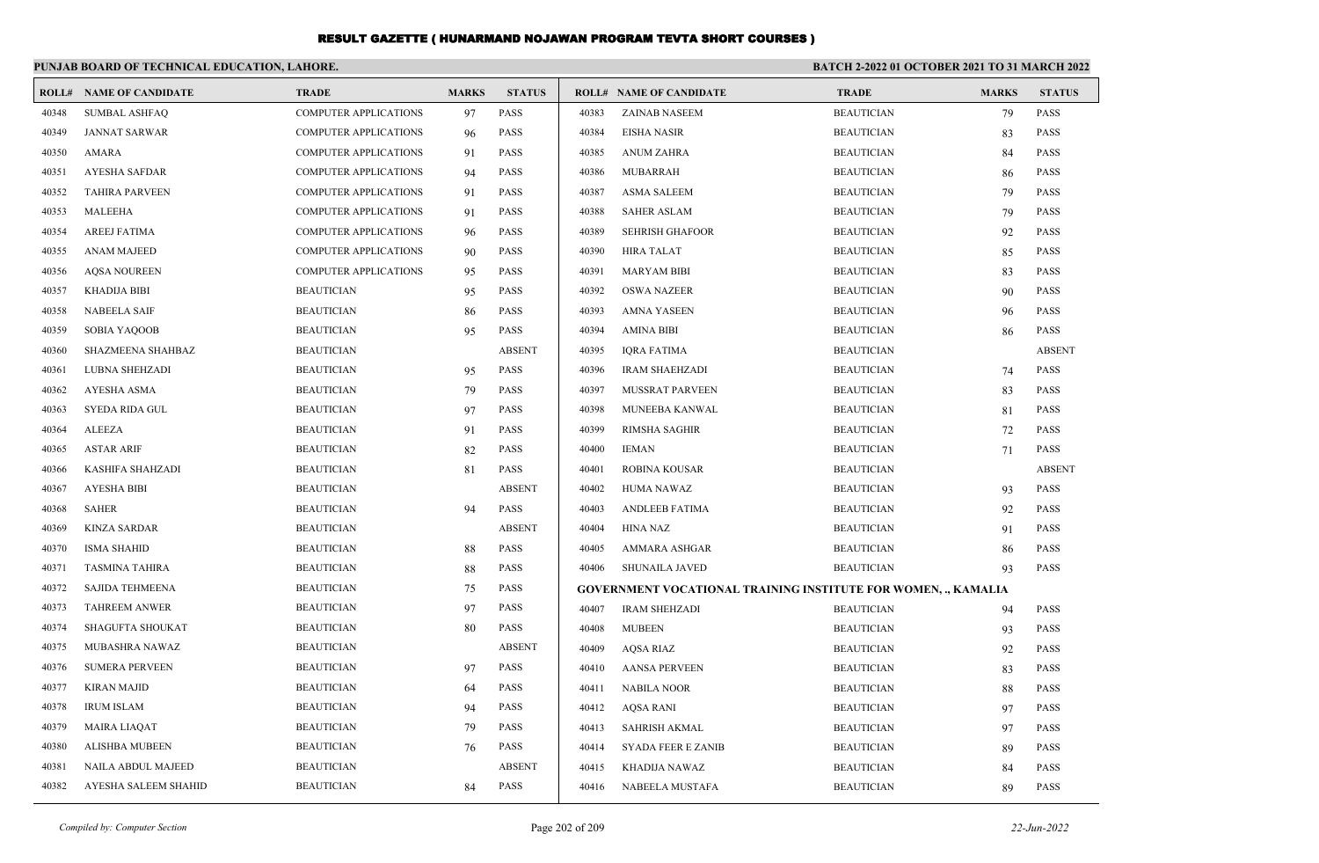|       | PUNJAB BOARD OF TECHNICAL EDUCATION, LAHORE. |                              |              |               | <b>BATCH 2-2022 01 OCTOBER 2021 TO 31 MARCH 2022</b> |                                                                       |                   |              |               |
|-------|----------------------------------------------|------------------------------|--------------|---------------|------------------------------------------------------|-----------------------------------------------------------------------|-------------------|--------------|---------------|
|       | <b>ROLL# NAME OF CANDIDATE</b>               | <b>TRADE</b>                 | <b>MARKS</b> | <b>STATUS</b> |                                                      | <b>ROLL# NAME OF CANDIDATE</b>                                        | <b>TRADE</b>      | <b>MARKS</b> | <b>STATUS</b> |
| 40348 | <b>SUMBAL ASHFAQ</b>                         | <b>COMPUTER APPLICATIONS</b> | 97           | <b>PASS</b>   | 40383                                                | ZAINAB NASEEM                                                         | <b>BEAUTICIAN</b> | 79           | <b>PASS</b>   |
| 40349 | <b>JANNAT SARWAR</b>                         | <b>COMPUTER APPLICATIONS</b> | 96           | <b>PASS</b>   | 40384                                                | <b>EISHA NASIR</b>                                                    | <b>BEAUTICIAN</b> | 83           | <b>PASS</b>   |
| 40350 | AMARA                                        | <b>COMPUTER APPLICATIONS</b> | 91           | <b>PASS</b>   | 40385                                                | <b>ANUM ZAHRA</b>                                                     | <b>BEAUTICIAN</b> | 84           | <b>PASS</b>   |
| 40351 | <b>AYESHA SAFDAR</b>                         | <b>COMPUTER APPLICATIONS</b> | 94           | <b>PASS</b>   | 40386                                                | MUBARRAH                                                              | <b>BEAUTICIAN</b> | 86           | <b>PASS</b>   |
| 40352 | <b>TAHIRA PARVEEN</b>                        | <b>COMPUTER APPLICATIONS</b> | 91           | <b>PASS</b>   | 40387                                                | <b>ASMA SALEEM</b>                                                    | <b>BEAUTICIAN</b> | 79           | <b>PASS</b>   |
| 40353 | <b>MALEEHA</b>                               | <b>COMPUTER APPLICATIONS</b> | 91           | <b>PASS</b>   | 40388                                                | <b>SAHER ASLAM</b>                                                    | <b>BEAUTICIAN</b> | 79           | <b>PASS</b>   |
| 40354 | <b>AREEJ FATIMA</b>                          | <b>COMPUTER APPLICATIONS</b> | 96           | <b>PASS</b>   | 40389                                                | <b>SEHRISH GHAFOOR</b>                                                | <b>BEAUTICIAN</b> | 92           | <b>PASS</b>   |
| 40355 | <b>ANAM MAJEED</b>                           | <b>COMPUTER APPLICATIONS</b> | 90           | <b>PASS</b>   | 40390                                                | <b>HIRA TALAT</b>                                                     | <b>BEAUTICIAN</b> | 85           | <b>PASS</b>   |
| 40356 | <b>AQSA NOUREEN</b>                          | <b>COMPUTER APPLICATIONS</b> | 95           | <b>PASS</b>   | 40391                                                | <b>MARYAM BIBI</b>                                                    | <b>BEAUTICIAN</b> | 83           | <b>PASS</b>   |
| 40357 | KHADIJA BIBI                                 | <b>BEAUTICIAN</b>            | 95           | PASS          | 40392                                                | <b>OSWA NAZEER</b>                                                    | <b>BEAUTICIAN</b> | 90           | <b>PASS</b>   |
| 40358 | <b>NABEELA SAIF</b>                          | <b>BEAUTICIAN</b>            | 86           | <b>PASS</b>   | 40393                                                | AMNA YASEEN                                                           | <b>BEAUTICIAN</b> | 96           | <b>PASS</b>   |
| 40359 | SOBIA YAQOOB                                 | <b>BEAUTICIAN</b>            | 95           | <b>PASS</b>   | 40394                                                | AMINA BIBI                                                            | <b>BEAUTICIAN</b> | 86           | <b>PASS</b>   |
| 40360 | SHAZMEENA SHAHBAZ                            | <b>BEAUTICIAN</b>            |              | <b>ABSENT</b> | 40395                                                | <b>IORA FATIMA</b>                                                    | <b>BEAUTICIAN</b> |              | <b>ABSENT</b> |
| 40361 | LUBNA SHEHZADI                               | <b>BEAUTICIAN</b>            | 95           | <b>PASS</b>   | 40396                                                | <b>IRAM SHAEHZADI</b>                                                 | <b>BEAUTICIAN</b> | 74           | <b>PASS</b>   |
| 40362 | AYESHA ASMA                                  | <b>BEAUTICIAN</b>            | 79           | PASS          | 40397                                                | MUSSRAT PARVEEN                                                       | <b>BEAUTICIAN</b> | 83           | <b>PASS</b>   |
| 40363 | <b>SYEDA RIDA GUL</b>                        | <b>BEAUTICIAN</b>            | 97           | <b>PASS</b>   | 40398                                                | MUNEEBA KANWAL                                                        | <b>BEAUTICIAN</b> | 81           | <b>PASS</b>   |
| 40364 | ALEEZA                                       | <b>BEAUTICIAN</b>            | 91           | <b>PASS</b>   | 40399                                                | RIMSHA SAGHIR                                                         | <b>BEAUTICIAN</b> | 72           | <b>PASS</b>   |
| 40365 | <b>ASTAR ARIF</b>                            | <b>BEAUTICIAN</b>            | 82           | <b>PASS</b>   | 40400                                                | <b>IEMAN</b>                                                          | <b>BEAUTICIAN</b> | 71           | <b>PASS</b>   |
| 40366 | <b>KASHIFA SHAHZADI</b>                      | <b>BEAUTICIAN</b>            | 81           | <b>PASS</b>   | 40401                                                | <b>ROBINA KOUSAR</b>                                                  | <b>BEAUTICIAN</b> |              | <b>ABSENT</b> |
| 40367 | AYESHA BIBI                                  | <b>BEAUTICIAN</b>            |              | <b>ABSENT</b> | 40402                                                | HUMA NAWAZ                                                            | <b>BEAUTICIAN</b> | 93           | <b>PASS</b>   |
| 40368 | <b>SAHER</b>                                 | <b>BEAUTICIAN</b>            | 94           | PASS          | 40403                                                | ANDLEEB FATIMA                                                        | <b>BEAUTICIAN</b> | 92           | <b>PASS</b>   |
| 40369 | <b>KINZA SARDAR</b>                          | <b>BEAUTICIAN</b>            |              | <b>ABSENT</b> | 40404                                                | HINA NAZ                                                              | <b>BEAUTICIAN</b> | 91           | <b>PASS</b>   |
| 40370 | <b>ISMA SHAHID</b>                           | <b>BEAUTICIAN</b>            | 88           | <b>PASS</b>   | 40405                                                | AMMARA ASHGAR                                                         | <b>BEAUTICIAN</b> | 86           | <b>PASS</b>   |
| 40371 | <b>TASMINA TAHIRA</b>                        | <b>BEAUTICIAN</b>            | 88           | PASS          | 40406                                                | <b>SHUNAILA JAVED</b>                                                 | <b>BEAUTICIAN</b> | 93           | <b>PASS</b>   |
| 40372 | <b>SAJIDA TEHMEENA</b>                       | <b>BEAUTICIAN</b>            | 75           | PASS          |                                                      | <b>GOVERNMENT VOCATIONAL TRAINING INSTITUTE FOR WOMEN, ., KAMALIA</b> |                   |              |               |
| 40373 | <b>TAHREEM ANWER</b>                         | <b>BEAUTICIAN</b>            | 97           | PASS          | 40407                                                | <b>IRAM SHEHZADI</b>                                                  | <b>BEAUTICIAN</b> | 94           | <b>PASS</b>   |
| 40374 | <b>SHAGUFTA SHOUKAT</b>                      | <b>BEAUTICIAN</b>            | 80           | PASS          | 40408                                                | <b>MUBEEN</b>                                                         | <b>BEAUTICIAN</b> | 93           | <b>PASS</b>   |
| 40375 | MUBASHRA NAWAZ                               | <b>BEAUTICIAN</b>            |              | <b>ABSENT</b> | 40409                                                | <b>AOSA RIAZ</b>                                                      | <b>BEAUTICIAN</b> | 92           | <b>PASS</b>   |
| 40376 | <b>SUMERA PERVEEN</b>                        | <b>BEAUTICIAN</b>            | 97           | <b>PASS</b>   | 40410                                                | <b>AANSA PERVEEN</b>                                                  | <b>BEAUTICIAN</b> | 83           | <b>PASS</b>   |
| 40377 | KIRAN MAJID                                  | <b>BEAUTICIAN</b>            | 64           | PASS          |                                                      | 40411 NABILA NOOR                                                     | <b>BEAUTICIAN</b> | 88           | <b>PASS</b>   |
| 40378 | <b>IRUM ISLAM</b>                            | <b>BEAUTICIAN</b>            | 94           | PASS          | 40412                                                | AQSA RANI                                                             | <b>BEAUTICIAN</b> | 97           | <b>PASS</b>   |
| 40379 | MAIRA LIAQAT                                 | <b>BEAUTICIAN</b>            | 79           | PASS          | 40413                                                | <b>SAHRISH AKMAL</b>                                                  | <b>BEAUTICIAN</b> | 97           | PASS          |
| 40380 | ALISHBA MUBEEN                               | <b>BEAUTICIAN</b>            | 76           | PASS          | 40414                                                | <b>SYADA FEER E ZANIB</b>                                             | <b>BEAUTICIAN</b> | 89           | <b>PASS</b>   |
| 40381 | NAILA ABDUL MAJEED                           | <b>BEAUTICIAN</b>            |              | <b>ABSENT</b> | 40415                                                | KHADIJA NAWAZ                                                         | <b>BEAUTICIAN</b> | 84           | PASS          |
| 40382 | AYESHA SALEEM SHAHID                         | <b>BEAUTICIAN</b>            | 84           | PASS          | 40416                                                | NABEELA MUSTAFA                                                       | <b>BEAUTICIAN</b> | 89           | PASS          |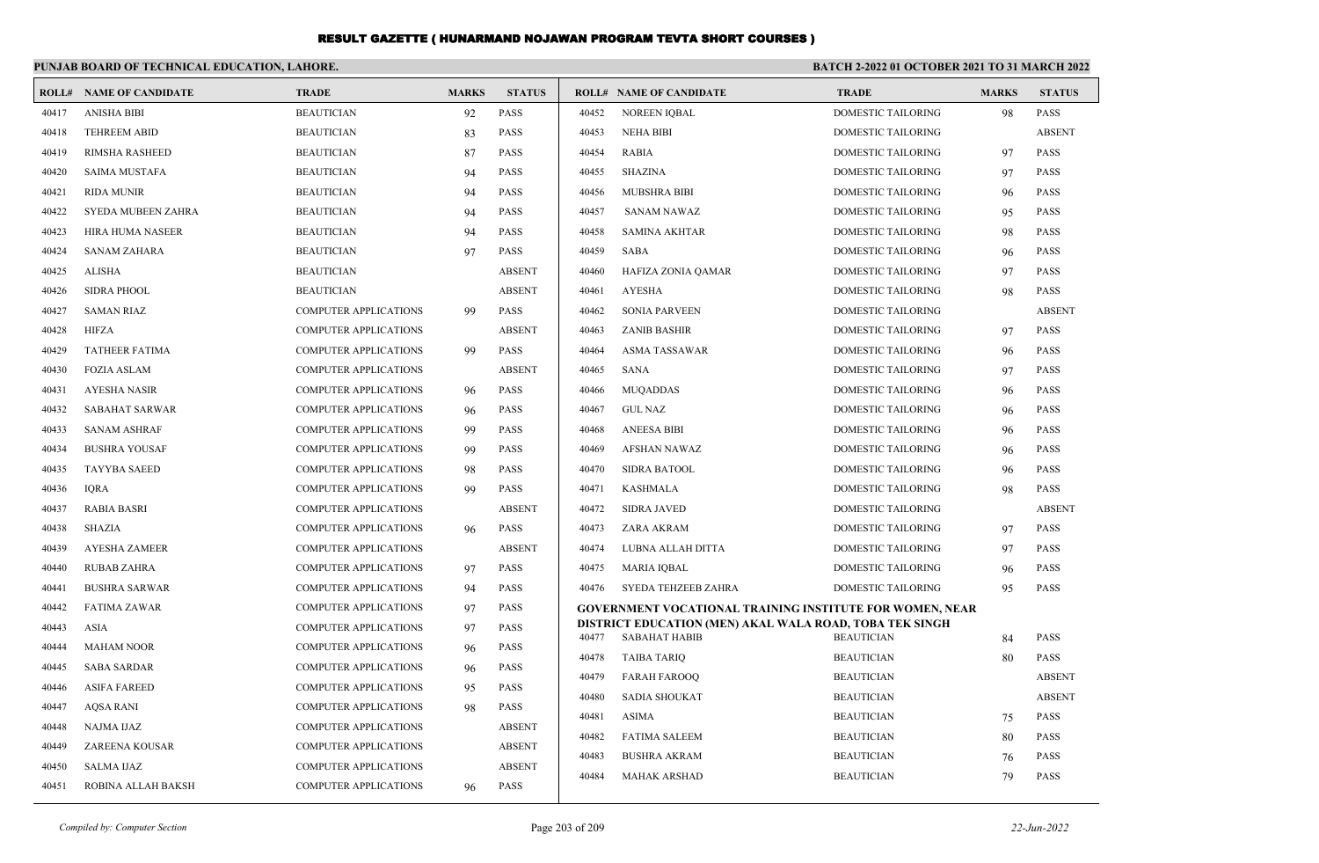|       | PUNJAB BOARD OF TECHNICAL EDUCATION, LAHORE. |                              |              |               | BATCH 2-2022 01 OCTOBER 2021 TO 31 MARCH 2022 |                                                                                 |                    |              |               |
|-------|----------------------------------------------|------------------------------|--------------|---------------|-----------------------------------------------|---------------------------------------------------------------------------------|--------------------|--------------|---------------|
|       | <b>ROLL# NAME OF CANDIDATE</b>               | <b>TRADE</b>                 | <b>MARKS</b> | <b>STATUS</b> |                                               | <b>ROLL# NAME OF CANDIDATE</b>                                                  | <b>TRADE</b>       | <b>MARKS</b> | <b>STATUS</b> |
| 40417 | ANISHA BIBI                                  | <b>BEAUTICIAN</b>            | 92           | PASS          | 40452                                         | <b>NOREEN IQBAL</b>                                                             | DOMESTIC TAILORING | 98           | <b>PASS</b>   |
| 40418 | <b>TEHREEM ABID</b>                          | <b>BEAUTICIAN</b>            | 83           | <b>PASS</b>   | 40453                                         | <b>NEHA BIBI</b>                                                                | DOMESTIC TAILORING |              | <b>ABSENT</b> |
| 40419 | <b>RIMSHA RASHEED</b>                        | <b>BEAUTICIAN</b>            | 87           | <b>PASS</b>   | 40454                                         | <b>RABIA</b>                                                                    | DOMESTIC TAILORING | 97           | <b>PASS</b>   |
| 40420 | <b>SAIMA MUSTAFA</b>                         | <b>BEAUTICIAN</b>            | 94           | <b>PASS</b>   | 40455                                         | <b>SHAZINA</b>                                                                  | DOMESTIC TAILORING | 97           | <b>PASS</b>   |
| 40421 | <b>RIDA MUNIR</b>                            | <b>BEAUTICIAN</b>            | 94           | <b>PASS</b>   | 40456                                         | <b>MUBSHRA BIBI</b>                                                             | DOMESTIC TAILORING | 96           | <b>PASS</b>   |
| 40422 | SYEDA MUBEEN ZAHRA                           | <b>BEAUTICIAN</b>            | 94           | <b>PASS</b>   | 40457                                         | <b>SANAM NAWAZ</b>                                                              | DOMESTIC TAILORING | 95           | <b>PASS</b>   |
| 40423 | HIRA HUMA NASEER                             | <b>BEAUTICIAN</b>            | 94           | <b>PASS</b>   | 40458                                         | <b>SAMINA AKHTAR</b>                                                            | DOMESTIC TAILORING | 98           | <b>PASS</b>   |
| 40424 | <b>SANAM ZAHARA</b>                          | <b>BEAUTICIAN</b>            | 97           | <b>PASS</b>   | 40459                                         | <b>SABA</b>                                                                     | DOMESTIC TAILORING | 96           | PASS          |
| 40425 | <b>ALISHA</b>                                | <b>BEAUTICIAN</b>            |              | <b>ABSENT</b> | 40460                                         | HAFIZA ZONIA QAMAR                                                              | DOMESTIC TAILORING | 97           | <b>PASS</b>   |
| 40426 | <b>SIDRA PHOOL</b>                           | <b>BEAUTICIAN</b>            |              | <b>ABSENT</b> | 40461                                         | <b>AYESHA</b>                                                                   | DOMESTIC TAILORING | 98           | <b>PASS</b>   |
| 40427 | <b>SAMAN RIAZ</b>                            | COMPUTER APPLICATIONS        | 99           | <b>PASS</b>   | 40462                                         | <b>SONIA PARVEEN</b>                                                            | DOMESTIC TAILORING |              | <b>ABSENT</b> |
| 40428 | HIFZA                                        | <b>COMPUTER APPLICATIONS</b> |              | <b>ABSENT</b> | 40463                                         | <b>ZANIB BASHIR</b>                                                             | DOMESTIC TAILORING | 97           | <b>PASS</b>   |
| 40429 | <b>TATHEER FATIMA</b>                        | <b>COMPUTER APPLICATIONS</b> | 99           | <b>PASS</b>   | 40464                                         | <b>ASMA TASSAWAR</b>                                                            | DOMESTIC TAILORING | 96           | <b>PASS</b>   |
| 40430 | <b>FOZIA ASLAM</b>                           | COMPUTER APPLICATIONS        |              | <b>ABSENT</b> | 40465                                         | <b>SANA</b>                                                                     | DOMESTIC TAILORING | 97           | <b>PASS</b>   |
| 40431 | <b>AYESHA NASIR</b>                          | COMPUTER APPLICATIONS        | 96           | <b>PASS</b>   | 40466                                         | <b>MUQADDAS</b>                                                                 | DOMESTIC TAILORING | 96           | <b>PASS</b>   |
| 40432 | <b>SABAHAT SARWAR</b>                        | <b>COMPUTER APPLICATIONS</b> | 96           | <b>PASS</b>   | 40467                                         | <b>GUL NAZ</b>                                                                  | DOMESTIC TAILORING | 96           | <b>PASS</b>   |
| 40433 | <b>SANAM ASHRAF</b>                          | <b>COMPUTER APPLICATIONS</b> | -99          | <b>PASS</b>   | 40468                                         | <b>ANEESA BIBI</b>                                                              | DOMESTIC TAILORING | 96           | <b>PASS</b>   |
| 40434 | <b>BUSHRA YOUSAF</b>                         | <b>COMPUTER APPLICATIONS</b> | -99          | <b>PASS</b>   | 40469                                         | <b>AFSHAN NAWAZ</b>                                                             | DOMESTIC TAILORING | 96           | <b>PASS</b>   |
| 40435 | <b>TAYYBA SAEED</b>                          | <b>COMPUTER APPLICATIONS</b> | 98           | <b>PASS</b>   | 40470                                         | <b>SIDRA BATOOL</b>                                                             | DOMESTIC TAILORING | 96           | <b>PASS</b>   |
| 40436 | IQRA                                         | <b>COMPUTER APPLICATIONS</b> | 99           | <b>PASS</b>   | 40471                                         | <b>KASHMALA</b>                                                                 | DOMESTIC TAILORING | 98           | <b>PASS</b>   |
| 40437 | <b>RABIA BASRI</b>                           | <b>COMPUTER APPLICATIONS</b> |              | <b>ABSENT</b> | 40472                                         | <b>SIDRA JAVED</b>                                                              | DOMESTIC TAILORING |              | <b>ABSENT</b> |
| 40438 | <b>SHAZIA</b>                                | <b>COMPUTER APPLICATIONS</b> | 96           | <b>PASS</b>   | 40473                                         | ZARA AKRAM                                                                      | DOMESTIC TAILORING | 97           | <b>PASS</b>   |
| 40439 | <b>AYESHA ZAMEER</b>                         | <b>COMPUTER APPLICATIONS</b> |              | <b>ABSENT</b> | 40474                                         | LUBNA ALLAH DITTA                                                               | DOMESTIC TAILORING | 97           | <b>PASS</b>   |
| 40440 | <b>RUBAB ZAHRA</b>                           | <b>COMPUTER APPLICATIONS</b> | 97           | <b>PASS</b>   | 40475                                         | MARIA IQBAL                                                                     | DOMESTIC TAILORING | 96           | <b>PASS</b>   |
| 40441 | <b>BUSHRA SARWAR</b>                         | <b>COMPUTER APPLICATIONS</b> | 94           | <b>PASS</b>   | 40476                                         | SYEDA TEHZEEB ZAHRA                                                             | DOMESTIC TAILORING | 95           | <b>PASS</b>   |
| 40442 | <b>FATIMA ZAWAR</b>                          | <b>COMPUTER APPLICATIONS</b> | 97           | <b>PASS</b>   |                                               | <b>GOVERNMENT VOCATIONAL TRAINING INSTITUTE FOR WOMEN, NEAR</b>                 |                    |              |               |
| 40443 | <b>ASIA</b>                                  | <b>COMPUTER APPLICATIONS</b> | 97           | <b>PASS</b>   | 40477                                         | DISTRICT EDUCATION (MEN) AKAL WALA ROAD, TOBA TEK SINGH<br><b>SABAHAT HABIB</b> | <b>BEAUTICIAN</b>  | 84           | <b>PASS</b>   |
| 40444 | <b>MAHAM NOOR</b>                            | <b>COMPUTER APPLICATIONS</b> | 96           | <b>PASS</b>   | 40478                                         | <b>TAIBA TARIQ</b>                                                              | <b>BEAUTICIAN</b>  | 80           | <b>PASS</b>   |
| 40445 | <b>SABA SARDAR</b>                           | COMPUTER APPLICATIONS        | 96           | <b>PASS</b>   | 40479                                         | <b>FARAH FAROOQ</b>                                                             | <b>BEAUTICIAN</b>  |              | <b>ABSENT</b> |
| 40446 | <b>ASIFA FAREED</b>                          | COMPUTER APPLICATIONS        | 95           | <b>PASS</b>   | 40480                                         | <b>SADIA SHOUKAT</b>                                                            | <b>BEAUTICIAN</b>  |              | <b>ABSENT</b> |
| 40447 | <b>AQSA RANI</b>                             | <b>COMPUTER APPLICATIONS</b> | 98           | <b>PASS</b>   | 40481                                         | <b>ASIMA</b>                                                                    | <b>BEAUTICIAN</b>  | 75           | PASS          |
| 40448 | NAJMA IJAZ                                   | <b>COMPUTER APPLICATIONS</b> |              | <b>ABSENT</b> | 40482                                         | <b>FATIMA SALEEM</b>                                                            | <b>BEAUTICIAN</b>  | 80           | <b>PASS</b>   |
| 40449 | ZAREENA KOUSAR                               | <b>COMPUTER APPLICATIONS</b> |              | <b>ABSENT</b> | 40483                                         | <b>BUSHRA AKRAM</b>                                                             | <b>BEAUTICIAN</b>  | 76           | <b>PASS</b>   |
| 40450 | <b>SALMA IJAZ</b>                            | <b>COMPUTER APPLICATIONS</b> |              | <b>ABSENT</b> | 40484                                         | <b>MAHAK ARSHAD</b>                                                             | <b>BEAUTICIAN</b>  | 79           | <b>PASS</b>   |
| 40451 | ROBINA ALLAH BAKSH                           | <b>COMPUTER APPLICATIONS</b> | 96           | <b>PASS</b>   |                                               |                                                                                 |                    |              |               |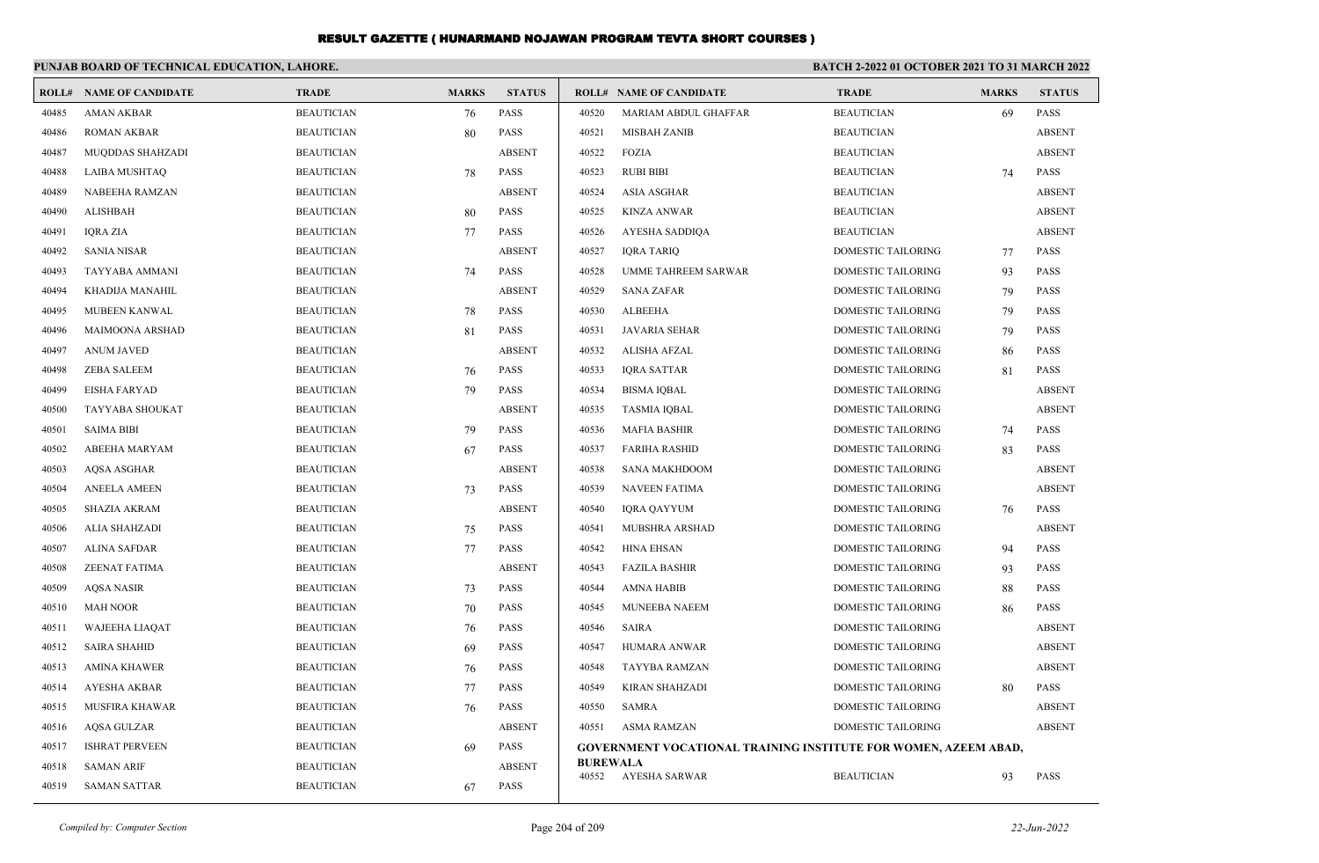|       | PUNJAB BOARD OF TECHNICAL EDUCATION, LAHORE. |                   |              |               | <b>BATCH 2-2022 01 OCTOBER 2021 TO 31 MARCH 2022</b> |                                                                        |                           |              |               |
|-------|----------------------------------------------|-------------------|--------------|---------------|------------------------------------------------------|------------------------------------------------------------------------|---------------------------|--------------|---------------|
|       | <b>ROLL# NAME OF CANDIDATE</b>               | <b>TRADE</b>      | <b>MARKS</b> | <b>STATUS</b> |                                                      | <b>ROLL# NAME OF CANDIDATE</b>                                         | <b>TRADE</b>              | <b>MARKS</b> | <b>STATUS</b> |
| 40485 | <b>AMAN AKBAR</b>                            | <b>BEAUTICIAN</b> | 76           | <b>PASS</b>   | 40520                                                | MARIAM ABDUL GHAFFAR                                                   | <b>BEAUTICIAN</b>         | 69           | <b>PASS</b>   |
| 40486 | <b>ROMAN AKBAR</b>                           | <b>BEAUTICIAN</b> | 80           | <b>PASS</b>   | 40521                                                | <b>MISBAH ZANIB</b>                                                    | <b>BEAUTICIAN</b>         |              | <b>ABSENT</b> |
| 40487 | <b>MUQDDAS SHAHZADI</b>                      | <b>BEAUTICIAN</b> |              | <b>ABSENT</b> | 40522                                                | <b>FOZIA</b>                                                           | <b>BEAUTICIAN</b>         |              | <b>ABSENT</b> |
| 40488 | LAIBA MUSHTAQ                                | <b>BEAUTICIAN</b> | 78           | PASS          | 40523                                                | <b>RUBI BIBI</b>                                                       | <b>BEAUTICIAN</b>         | 74           | <b>PASS</b>   |
| 40489 | NABEEHA RAMZAN                               | <b>BEAUTICIAN</b> |              | <b>ABSENT</b> | 40524                                                | <b>ASIA ASGHAR</b>                                                     | <b>BEAUTICIAN</b>         |              | <b>ABSENT</b> |
| 40490 | <b>ALISHBAH</b>                              | <b>BEAUTICIAN</b> | 80           | <b>PASS</b>   | 40525                                                | <b>KINZA ANWAR</b>                                                     | <b>BEAUTICIAN</b>         |              | <b>ABSENT</b> |
| 40491 | <b>IQRA ZIA</b>                              | <b>BEAUTICIAN</b> | 77           | <b>PASS</b>   | 40526                                                | AYESHA SADDIQA                                                         | <b>BEAUTICIAN</b>         |              | <b>ABSENT</b> |
| 40492 | <b>SANIA NISAR</b>                           | <b>BEAUTICIAN</b> |              | <b>ABSENT</b> | 40527                                                | <b>IQRA TARIQ</b>                                                      | DOMESTIC TAILORING        | 77           | <b>PASS</b>   |
| 40493 | <b>TAYYABA AMMANI</b>                        | <b>BEAUTICIAN</b> | 74           | <b>PASS</b>   | 40528                                                | <b>UMME TAHREEM SARWAR</b>                                             | <b>DOMESTIC TAILORING</b> | 93           | <b>PASS</b>   |
| 40494 | KHADIJA MANAHIL                              | <b>BEAUTICIAN</b> |              | <b>ABSENT</b> | 40529                                                | <b>SANA ZAFAR</b>                                                      | <b>DOMESTIC TAILORING</b> | 79           | <b>PASS</b>   |
| 40495 | MUBEEN KANWAL                                | <b>BEAUTICIAN</b> | 78           | <b>PASS</b>   | 40530                                                | <b>ALBEEHA</b>                                                         | DOMESTIC TAILORING        | 79           | <b>PASS</b>   |
| 40496 | <b>MAIMOONA ARSHAD</b>                       | <b>BEAUTICIAN</b> | 81           | <b>PASS</b>   | 40531                                                | <b>JAVARIA SEHAR</b>                                                   | <b>DOMESTIC TAILORING</b> | 79           | <b>PASS</b>   |
| 40497 | <b>ANUM JAVED</b>                            | <b>BEAUTICIAN</b> |              | <b>ABSENT</b> | 40532                                                | <b>ALISHA AFZAL</b>                                                    | <b>DOMESTIC TAILORING</b> | 86           | <b>PASS</b>   |
| 40498 | <b>ZEBA SALEEM</b>                           | <b>BEAUTICIAN</b> | 76           | <b>PASS</b>   | 40533                                                | <b>IQRA SATTAR</b>                                                     | DOMESTIC TAILORING        | 81           | <b>PASS</b>   |
| 40499 | <b>EISHA FARYAD</b>                          | <b>BEAUTICIAN</b> | 79           | <b>PASS</b>   | 40534                                                | <b>BISMA IQBAL</b>                                                     | DOMESTIC TAILORING        |              | <b>ABSENT</b> |
| 40500 | TAYYABA SHOUKAT                              | <b>BEAUTICIAN</b> |              | <b>ABSENT</b> | 40535                                                | <b>TASMIA IQBAL</b>                                                    | <b>DOMESTIC TAILORING</b> |              | <b>ABSENT</b> |
| 40501 | <b>SAIMA BIBI</b>                            | <b>BEAUTICIAN</b> | 79           | <b>PASS</b>   | 40536                                                | <b>MAFIA BASHIR</b>                                                    | <b>DOMESTIC TAILORING</b> | 74           | <b>PASS</b>   |
| 40502 | ABEEHA MARYAM                                | <b>BEAUTICIAN</b> | 67           | <b>PASS</b>   | 40537                                                | <b>FARIHA RASHID</b>                                                   | DOMESTIC TAILORING        | 83           | <b>PASS</b>   |
| 40503 | <b>AQSA ASGHAR</b>                           | <b>BEAUTICIAN</b> |              | <b>ABSENT</b> | 40538                                                | <b>SANA MAKHDOOM</b>                                                   | DOMESTIC TAILORING        |              | <b>ABSENT</b> |
| 40504 | <b>ANEELA AMEEN</b>                          | <b>BEAUTICIAN</b> | 73           | <b>PASS</b>   | 40539                                                | <b>NAVEEN FATIMA</b>                                                   | <b>DOMESTIC TAILORING</b> |              | <b>ABSENT</b> |
| 40505 | <b>SHAZIA AKRAM</b>                          | <b>BEAUTICIAN</b> |              | <b>ABSENT</b> | 40540                                                | <b>IQRA QAYYUM</b>                                                     | DOMESTIC TAILORING        | 76           | <b>PASS</b>   |
| 40506 | ALIA SHAHZADI                                | <b>BEAUTICIAN</b> | 75           | <b>PASS</b>   | 40541                                                | MUBSHRA ARSHAD                                                         | DOMESTIC TAILORING        |              | <b>ABSENT</b> |
| 40507 | <b>ALINA SAFDAR</b>                          | <b>BEAUTICIAN</b> | 77           | <b>PASS</b>   | 40542                                                | <b>HINA EHSAN</b>                                                      | DOMESTIC TAILORING        | 94           | <b>PASS</b>   |
| 40508 | ZEENAT FATIMA                                | <b>BEAUTICIAN</b> |              | <b>ABSENT</b> | 40543                                                | <b>FAZILA BASHIR</b>                                                   | DOMESTIC TAILORING        | 93           | <b>PASS</b>   |
| 40509 | <b>AQSA NASIR</b>                            | <b>BEAUTICIAN</b> | 73           | <b>PASS</b>   | 40544                                                | <b>AMNA HABIB</b>                                                      | DOMESTIC TAILORING        | 88           | <b>PASS</b>   |
| 40510 | <b>MAH NOOR</b>                              | <b>BEAUTICIAN</b> | 70           | <b>PASS</b>   | 40545                                                | <b>MUNEEBA NAEEM</b>                                                   | DOMESTIC TAILORING        | 86           | <b>PASS</b>   |
| 40511 | <b>WAJEEHA LIAQAT</b>                        | <b>BEAUTICIAN</b> | 76           | <b>PASS</b>   | 40546                                                | <b>SAIRA</b>                                                           | DOMESTIC TAILORING        |              | <b>ABSENT</b> |
| 40512 | <b>SAIRA SHAHID</b>                          | <b>BEAUTICIAN</b> | 69           | PASS          | 40547                                                | HUMARA ANWAR                                                           | DOMESTIC TAILORING        |              | <b>ABSENT</b> |
| 40513 | <b>AMINA KHAWER</b>                          | <b>BEAUTICIAN</b> | 76           | <b>PASS</b>   | 40548                                                | TAYYBA RAMZAN                                                          | <b>DOMESTIC TAILORING</b> |              | <b>ABSENT</b> |
| 40514 | <b>AYESHA AKBAR</b>                          | <b>BEAUTICIAN</b> | 77           | <b>PASS</b>   | 40549                                                | <b>KIRAN SHAHZADI</b>                                                  | <b>DOMESTIC TAILORING</b> | 80           | <b>PASS</b>   |
| 40515 | <b>MUSFIRA KHAWAR</b>                        | <b>BEAUTICIAN</b> | 76           | <b>PASS</b>   | 40550                                                | <b>SAMRA</b>                                                           | <b>DOMESTIC TAILORING</b> |              | <b>ABSENT</b> |
| 40516 | <b>AQSA GULZAR</b>                           | <b>BEAUTICIAN</b> |              | <b>ABSENT</b> | 40551                                                | <b>ASMA RAMZAN</b>                                                     | <b>DOMESTIC TAILORING</b> |              | <b>ABSENT</b> |
| 40517 | <b>ISHRAT PERVEEN</b>                        | <b>BEAUTICIAN</b> | 69           | <b>PASS</b>   |                                                      | <b>GOVERNMENT VOCATIONAL TRAINING INSTITUTE FOR WOMEN, AZEEM ABAD,</b> |                           |              |               |
| 40518 | <b>SAMAN ARIF</b>                            | <b>BEAUTICIAN</b> |              | <b>ABSENT</b> | <b>BUREWALA</b><br>40552                             | AYESHA SARWAR                                                          | <b>BEAUTICIAN</b>         | 93           | <b>PASS</b>   |
| 40519 | <b>SAMAN SATTAR</b>                          | <b>BEAUTICIAN</b> | 67           | <b>PASS</b>   |                                                      |                                                                        |                           |              |               |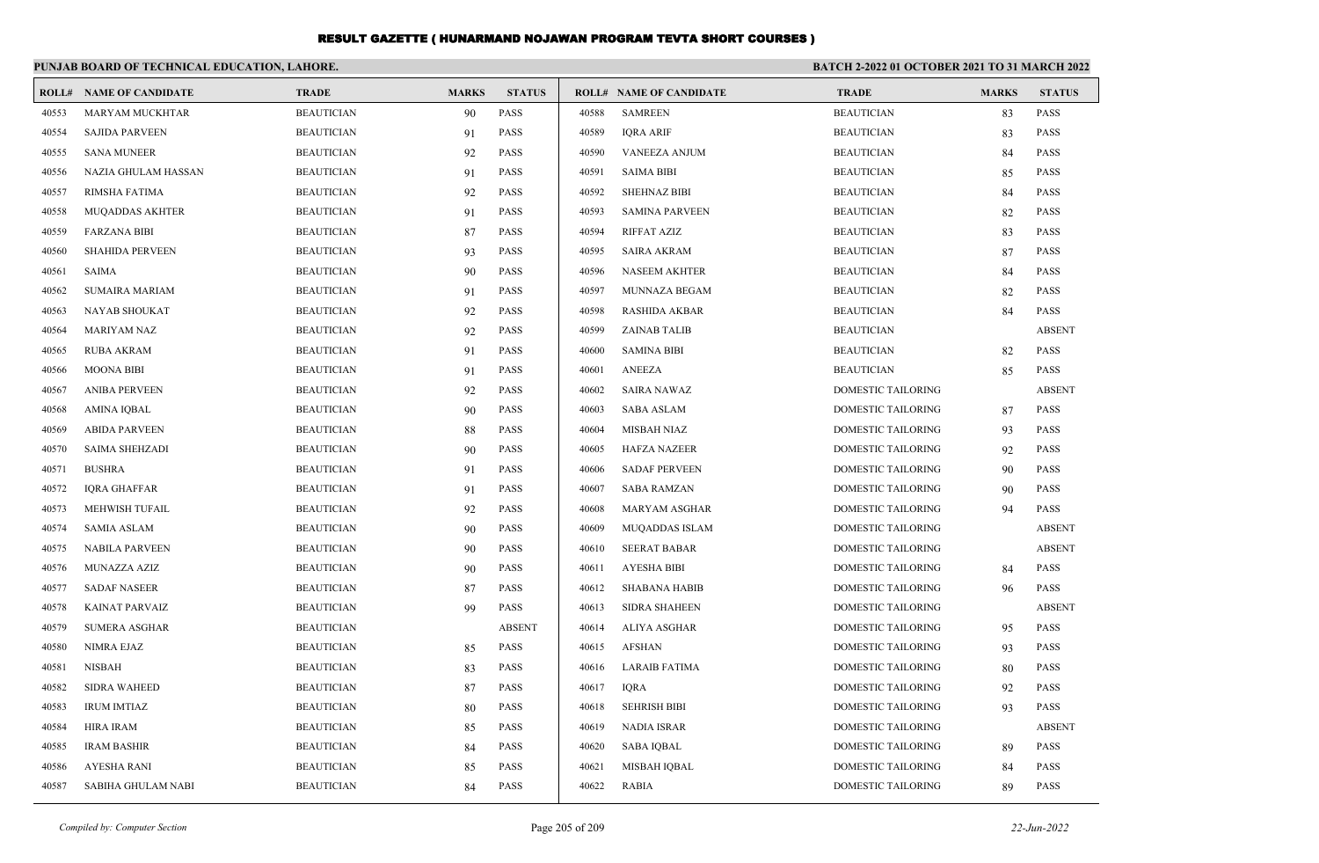|       | PUNJAB BOARD OF TECHNICAL EDUCATION, LAHORE. |                   |              |               |       | <b>BATCH 2-2022 01 OCTOBER 2021 TO 31 MARCH 2022</b> |                    |              |               |
|-------|----------------------------------------------|-------------------|--------------|---------------|-------|------------------------------------------------------|--------------------|--------------|---------------|
|       | <b>ROLL# NAME OF CANDIDATE</b>               | <b>TRADE</b>      | <b>MARKS</b> | <b>STATUS</b> |       | <b>ROLL# NAME OF CANDIDATE</b>                       | <b>TRADE</b>       | <b>MARKS</b> | <b>STATUS</b> |
| 40553 | MARYAM MUCKHTAR                              | <b>BEAUTICIAN</b> | 90           | PASS          | 40588 | <b>SAMREEN</b>                                       | <b>BEAUTICIAN</b>  | 83           | <b>PASS</b>   |
| 40554 | <b>SAJIDA PARVEEN</b>                        | <b>BEAUTICIAN</b> | 91           | <b>PASS</b>   | 40589 | <b>IQRA ARIF</b>                                     | <b>BEAUTICIAN</b>  | 83           | <b>PASS</b>   |
| 40555 | <b>SANA MUNEER</b>                           | <b>BEAUTICIAN</b> | 92           | <b>PASS</b>   | 40590 | <b>VANEEZA ANJUM</b>                                 | <b>BEAUTICIAN</b>  | 84           | <b>PASS</b>   |
| 40556 | NAZIA GHULAM HASSAN                          | <b>BEAUTICIAN</b> | 91           | <b>PASS</b>   | 40591 | <b>SAIMA BIBI</b>                                    | <b>BEAUTICIAN</b>  | 85           | <b>PASS</b>   |
| 40557 | RIMSHA FATIMA                                | <b>BEAUTICIAN</b> | 92           | <b>PASS</b>   | 40592 | <b>SHEHNAZ BIBI</b>                                  | <b>BEAUTICIAN</b>  | 84           | <b>PASS</b>   |
| 40558 | MUQADDAS AKHTER                              | <b>BEAUTICIAN</b> | 91           | <b>PASS</b>   | 40593 | <b>SAMINA PARVEEN</b>                                | <b>BEAUTICIAN</b>  | 82           | <b>PASS</b>   |
| 40559 | <b>FARZANA BIBI</b>                          | <b>BEAUTICIAN</b> | 87           | <b>PASS</b>   | 40594 | RIFFAT AZIZ                                          | <b>BEAUTICIAN</b>  | 83           | <b>PASS</b>   |
| 40560 | <b>SHAHIDA PERVEEN</b>                       | <b>BEAUTICIAN</b> | 93           | <b>PASS</b>   | 40595 | <b>SAIRA AKRAM</b>                                   | <b>BEAUTICIAN</b>  | 87           | <b>PASS</b>   |
| 40561 | <b>SAIMA</b>                                 | <b>BEAUTICIAN</b> | 90           | <b>PASS</b>   | 40596 | <b>NASEEM AKHTER</b>                                 | <b>BEAUTICIAN</b>  | 84           | <b>PASS</b>   |
| 40562 | <b>SUMAIRA MARIAM</b>                        | <b>BEAUTICIAN</b> | 91           | <b>PASS</b>   | 40597 | MUNNAZA BEGAM                                        | <b>BEAUTICIAN</b>  | 82           | <b>PASS</b>   |
| 40563 | NAYAB SHOUKAT                                | <b>BEAUTICIAN</b> | 92           | <b>PASS</b>   | 40598 | <b>RASHIDA AKBAR</b>                                 | <b>BEAUTICIAN</b>  | 84           | <b>PASS</b>   |
| 40564 | <b>MARIYAM NAZ</b>                           | <b>BEAUTICIAN</b> | 92           | <b>PASS</b>   | 40599 | <b>ZAINAB TALIB</b>                                  | <b>BEAUTICIAN</b>  |              | <b>ABSENT</b> |
| 40565 | <b>RUBA AKRAM</b>                            | <b>BEAUTICIAN</b> | 91           | <b>PASS</b>   | 40600 | <b>SAMINA BIBI</b>                                   | <b>BEAUTICIAN</b>  | 82           | <b>PASS</b>   |
| 40566 | <b>MOONA BIBI</b>                            | <b>BEAUTICIAN</b> | 91           | <b>PASS</b>   | 40601 | <b>ANEEZA</b>                                        | <b>BEAUTICIAN</b>  | 85           | <b>PASS</b>   |
| 40567 | <b>ANIBA PERVEEN</b>                         | <b>BEAUTICIAN</b> | 92           | <b>PASS</b>   | 40602 | <b>SAIRA NAWAZ</b>                                   | DOMESTIC TAILORING |              | <b>ABSENT</b> |
| 40568 | <b>AMINA IQBAL</b>                           | <b>BEAUTICIAN</b> | 90           | <b>PASS</b>   | 40603 | <b>SABA ASLAM</b>                                    | DOMESTIC TAILORING | 87           | <b>PASS</b>   |
| 40569 | <b>ABIDA PARVEEN</b>                         | <b>BEAUTICIAN</b> | 88           | <b>PASS</b>   | 40604 | <b>MISBAH NIAZ</b>                                   | DOMESTIC TAILORING | 93           | <b>PASS</b>   |
| 40570 | SAIMA SHEHZADI                               | <b>BEAUTICIAN</b> | 90           | <b>PASS</b>   | 40605 | <b>HAFZA NAZEER</b>                                  | DOMESTIC TAILORING | 92           | <b>PASS</b>   |
| 40571 | <b>BUSHRA</b>                                | <b>BEAUTICIAN</b> | 91           | <b>PASS</b>   | 40606 | <b>SADAF PERVEEN</b>                                 | DOMESTIC TAILORING | 90           | <b>PASS</b>   |
| 40572 | <b>IORA GHAFFAR</b>                          | <b>BEAUTICIAN</b> | 91           | <b>PASS</b>   | 40607 | <b>SABA RAMZAN</b>                                   | DOMESTIC TAILORING | 90           | <b>PASS</b>   |
| 40573 | MEHWISH TUFAIL                               | <b>BEAUTICIAN</b> | 92           | <b>PASS</b>   | 40608 | MARYAM ASGHAR                                        | DOMESTIC TAILORING | 94           | <b>PASS</b>   |
| 40574 | <b>SAMIA ASLAM</b>                           | <b>BEAUTICIAN</b> | 90           | <b>PASS</b>   | 40609 | <b>MUQADDAS ISLAM</b>                                | DOMESTIC TAILORING |              | <b>ABSENT</b> |
| 40575 | <b>NABILA PARVEEN</b>                        | <b>BEAUTICIAN</b> | 90           | <b>PASS</b>   | 40610 | <b>SEERAT BABAR</b>                                  | DOMESTIC TAILORING |              | <b>ABSENT</b> |
| 40576 | MUNAZZA AZIZ                                 | <b>BEAUTICIAN</b> | 90           | <b>PASS</b>   | 40611 | <b>AYESHA BIBI</b>                                   | DOMESTIC TAILORING | 84           | <b>PASS</b>   |
| 40577 | <b>SADAF NASEER</b>                          | <b>BEAUTICIAN</b> | 87           | <b>PASS</b>   | 40612 | <b>SHABANA HABIB</b>                                 | DOMESTIC TAILORING | 96           | <b>PASS</b>   |
| 40578 | KAINAT PARVAIZ                               | <b>BEAUTICIAN</b> | 99           | <b>PASS</b>   | 40613 | <b>SIDRA SHAHEEN</b>                                 | DOMESTIC TAILORING |              | <b>ABSENT</b> |
| 40579 | <b>SUMERA ASGHAR</b>                         | <b>BEAUTICIAN</b> |              | <b>ABSENT</b> | 40614 | <b>ALIYA ASGHAR</b>                                  | DOMESTIC TAILORING | 95           | <b>PASS</b>   |
| 40580 | <b>NIMRA EJAZ</b>                            | <b>BEAUTICIAN</b> | 85           | PASS          | 40615 | <b>AFSHAN</b>                                        | DOMESTIC TAILORING | 93           | <b>PASS</b>   |
| 40581 | <b>NISBAH</b>                                | <b>BEAUTICIAN</b> | 83           | <b>PASS</b>   | 40616 | <b>LARAIB FATIMA</b>                                 | DOMESTIC TAILORING | 80           | <b>PASS</b>   |
| 40582 | <b>SIDRA WAHEED</b>                          | <b>BEAUTICIAN</b> | 87           | <b>PASS</b>   | 40617 | <b>IORA</b>                                          | DOMESTIC TAILORING | 92           | <b>PASS</b>   |
| 40583 | <b>IRUM IMTIAZ</b>                           | <b>BEAUTICIAN</b> | 80           | <b>PASS</b>   | 40618 | <b>SEHRISH BIBI</b>                                  | DOMESTIC TAILORING | 93           | <b>PASS</b>   |
| 40584 | <b>HIRA IRAM</b>                             | <b>BEAUTICIAN</b> | 85           | <b>PASS</b>   | 40619 | <b>NADIA ISRAR</b>                                   | DOMESTIC TAILORING |              | <b>ABSENT</b> |
| 40585 | <b>IRAM BASHIR</b>                           | <b>BEAUTICIAN</b> | 84           | <b>PASS</b>   | 40620 | <b>SABA IOBAL</b>                                    | DOMESTIC TAILORING | 89           | <b>PASS</b>   |
| 40586 | AYESHA RANI                                  | <b>BEAUTICIAN</b> | 85           | <b>PASS</b>   | 40621 | MISBAH IQBAL                                         | DOMESTIC TAILORING | 84           | <b>PASS</b>   |
| 40587 | <b>SABIHA GHULAM NABI</b>                    | <b>BEAUTICIAN</b> | 84           | <b>PASS</b>   | 40622 | <b>RABIA</b>                                         | DOMESTIC TAILORING | 89           | <b>PASS</b>   |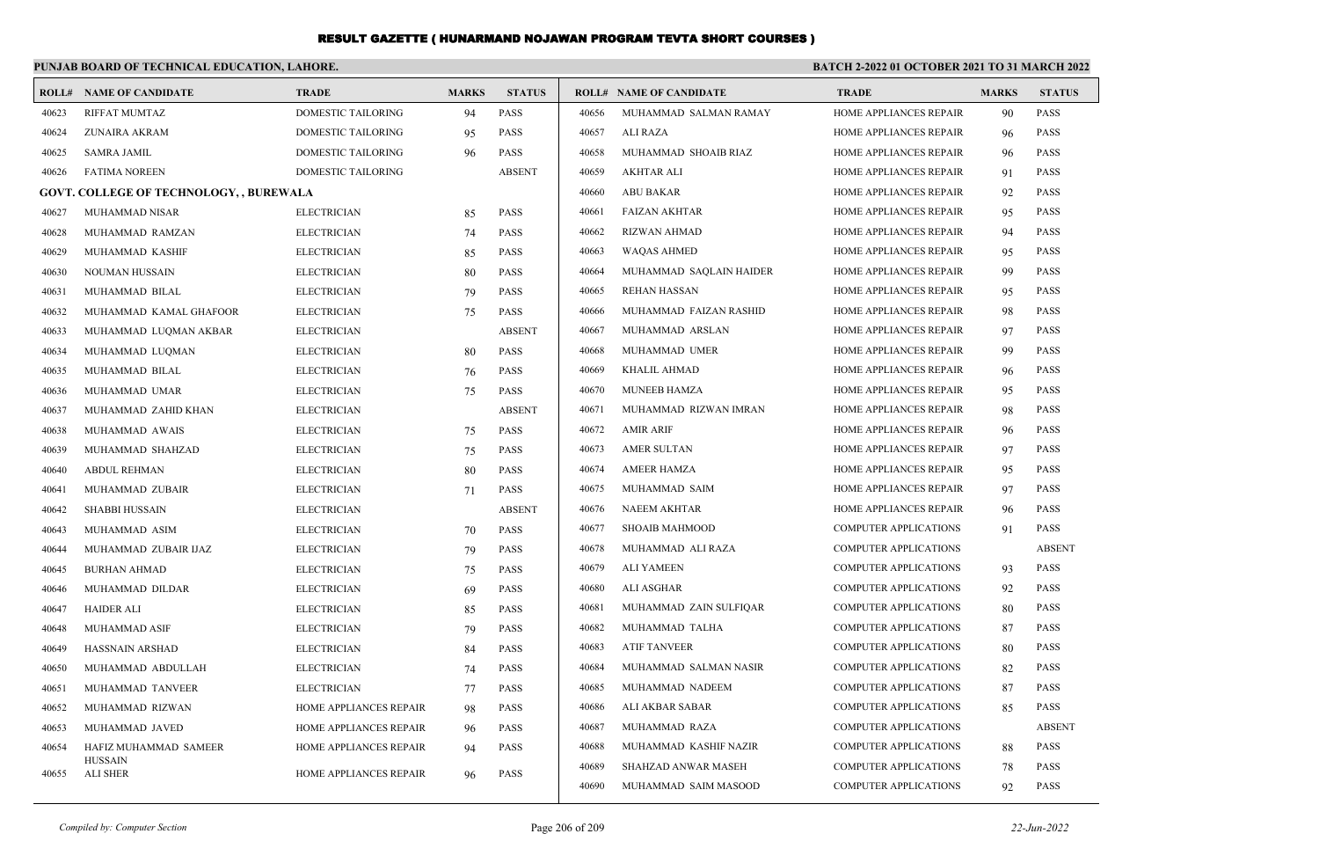### **PUNJAB BOARD OF TECHNICAL EDUCATION, LAHORE.**

#### **BATCH 2-2022 01 OCTOBER 2021 TO 31 MARCH 2022**

|       | <b>ROLL# NAME OF CANDIDATE</b>                 | <b>TRADE</b>              | <b>MARKS</b> | <b>STATUS</b> |       | <b>ROLL# NAME OF CANDIDATE</b> | <b>TRADE</b>                 | <b>MARKS</b> | <b>STATUS</b> |
|-------|------------------------------------------------|---------------------------|--------------|---------------|-------|--------------------------------|------------------------------|--------------|---------------|
| 40623 | <b>RIFFAT MUMTAZ</b>                           | DOMESTIC TAILORING        | 94           | <b>PASS</b>   | 40656 | MUHAMMAD SALMAN RAMAY          | HOME APPLIANCES REPAIR       | 90           | <b>PASS</b>   |
| 40624 | ZUNAIRA AKRAM                                  | DOMESTIC TAILORING        | 95           | <b>PASS</b>   | 40657 | <b>ALI RAZA</b>                | HOME APPLIANCES REPAIR       | 96           | <b>PASS</b>   |
| 40625 | <b>SAMRA JAMIL</b>                             | DOMESTIC TAILORING        | 96           | <b>PASS</b>   | 40658 | MUHAMMAD SHOAIB RIAZ           | HOME APPLIANCES REPAIR       | 96           | <b>PASS</b>   |
| 40626 | <b>FATIMA NOREEN</b>                           | <b>DOMESTIC TAILORING</b> |              | <b>ABSENT</b> | 40659 | <b>AKHTAR ALI</b>              | HOME APPLIANCES REPAIR       | 91           | <b>PASS</b>   |
|       | <b>GOVT. COLLEGE OF TECHNOLOGY, , BUREWALA</b> |                           |              |               | 40660 | <b>ABU BAKAR</b>               | HOME APPLIANCES REPAIR       | 92           | <b>PASS</b>   |
| 40627 | <b>MUHAMMAD NISAR</b>                          | <b>ELECTRICIAN</b>        | 85           | <b>PASS</b>   | 40661 | <b>FAIZAN AKHTAR</b>           | HOME APPLIANCES REPAIR       | 95           | <b>PASS</b>   |
| 40628 | MUHAMMAD RAMZAN                                | <b>ELECTRICIAN</b>        | 74           | <b>PASS</b>   | 40662 | <b>RIZWAN AHMAD</b>            | HOME APPLIANCES REPAIR       | 94           | <b>PASS</b>   |
| 40629 | MUHAMMAD KASHIF                                | <b>ELECTRICIAN</b>        | 85           | <b>PASS</b>   | 40663 | <b>WAQAS AHMED</b>             | HOME APPLIANCES REPAIR       | 95           | <b>PASS</b>   |
| 40630 | NOUMAN HUSSAIN                                 | <b>ELECTRICIAN</b>        | 80           | <b>PASS</b>   | 40664 | MUHAMMAD SAQLAIN HAIDER        | HOME APPLIANCES REPAIR       | 99           | <b>PASS</b>   |
| 40631 | MUHAMMAD BILAL                                 | <b>ELECTRICIAN</b>        | 79           | <b>PASS</b>   | 40665 | <b>REHAN HASSAN</b>            | HOME APPLIANCES REPAIR       | 95           | <b>PASS</b>   |
| 40632 | MUHAMMAD KAMAL GHAFOOR                         | <b>ELECTRICIAN</b>        | 75           | <b>PASS</b>   | 40666 | MUHAMMAD FAIZAN RASHID         | HOME APPLIANCES REPAIR       | 98           | <b>PASS</b>   |
| 40633 | MUHAMMAD LUQMAN AKBAR                          | <b>ELECTRICIAN</b>        |              | <b>ABSENT</b> | 40667 | MUHAMMAD ARSLAN                | HOME APPLIANCES REPAIR       | 97           | <b>PASS</b>   |
| 40634 | MUHAMMAD LUQMAN                                | <b>ELECTRICIAN</b>        | 80           | <b>PASS</b>   | 40668 | MUHAMMAD UMER                  | HOME APPLIANCES REPAIR       | 99           | <b>PASS</b>   |
| 40635 | MUHAMMAD BILAL                                 | <b>ELECTRICIAN</b>        | 76           | <b>PASS</b>   | 40669 | <b>KHALIL AHMAD</b>            | HOME APPLIANCES REPAIR       | 96           | <b>PASS</b>   |
| 40636 | MUHAMMAD UMAR                                  | <b>ELECTRICIAN</b>        | 75           | <b>PASS</b>   | 40670 | <b>MUNEEB HAMZA</b>            | HOME APPLIANCES REPAIR       | 95           | <b>PASS</b>   |
| 40637 | MUHAMMAD ZAHID KHAN                            | <b>ELECTRICIAN</b>        |              | <b>ABSENT</b> | 40671 | MUHAMMAD RIZWAN IMRAN          | HOME APPLIANCES REPAIR       | 98           | <b>PASS</b>   |
| 40638 | MUHAMMAD AWAIS                                 | <b>ELECTRICIAN</b>        | 75           | <b>PASS</b>   | 40672 | <b>AMIR ARIF</b>               | HOME APPLIANCES REPAIR       | 96           | <b>PASS</b>   |
| 40639 | MUHAMMAD SHAHZAD                               | <b>ELECTRICIAN</b>        | 75           | <b>PASS</b>   | 40673 | <b>AMER SULTAN</b>             | HOME APPLIANCES REPAIR       | 97           | <b>PASS</b>   |
| 40640 | <b>ABDUL REHMAN</b>                            | <b>ELECTRICIAN</b>        | 80           | <b>PASS</b>   | 40674 | <b>AMEER HAMZA</b>             | HOME APPLIANCES REPAIR       | 95           | <b>PASS</b>   |
| 40641 | MUHAMMAD ZUBAIR                                | <b>ELECTRICIAN</b>        | 71           | <b>PASS</b>   | 40675 | MUHAMMAD SAIM                  | HOME APPLIANCES REPAIR       | 97           | <b>PASS</b>   |
| 40642 | <b>SHABBI HUSSAIN</b>                          | <b>ELECTRICIAN</b>        |              | <b>ABSENT</b> | 40676 | <b>NAEEM AKHTAR</b>            | HOME APPLIANCES REPAIR       | 96           | <b>PASS</b>   |
| 40643 | MUHAMMAD ASIM                                  | <b>ELECTRICIAN</b>        | 70           | <b>PASS</b>   | 40677 | <b>SHOAIB MAHMOOD</b>          | <b>COMPUTER APPLICATIONS</b> | 91           | <b>PASS</b>   |
| 40644 | MUHAMMAD ZUBAIR IJAZ                           | <b>ELECTRICIAN</b>        | 79           | <b>PASS</b>   | 40678 | MUHAMMAD ALI RAZA              | <b>COMPUTER APPLICATIONS</b> |              | <b>ABSENT</b> |
| 40645 | <b>BURHAN AHMAD</b>                            | <b>ELECTRICIAN</b>        | 75           | <b>PASS</b>   | 40679 | <b>ALI YAMEEN</b>              | <b>COMPUTER APPLICATIONS</b> | 93           | <b>PASS</b>   |
| 40646 | MUHAMMAD DILDAR                                | <b>ELECTRICIAN</b>        | 69           | <b>PASS</b>   | 40680 | ALI ASGHAR                     | <b>COMPUTER APPLICATIONS</b> | 92           | <b>PASS</b>   |
| 40647 | <b>HAIDER ALI</b>                              | <b>ELECTRICIAN</b>        | 85           | <b>PASS</b>   | 40681 | MUHAMMAD ZAIN SULFIQAR         | <b>COMPUTER APPLICATIONS</b> | 80           | <b>PASS</b>   |
| 40648 | MUHAMMAD ASIF                                  | <b>ELECTRICIAN</b>        | 79           | <b>PASS</b>   | 40682 | MUHAMMAD TALHA                 | <b>COMPUTER APPLICATIONS</b> | 87           | <b>PASS</b>   |
| 40649 | <b>HASSNAIN ARSHAD</b>                         | <b>ELECTRICIAN</b>        | 84           | <b>PASS</b>   | 40683 | <b>ATIF TANVEER</b>            | <b>COMPUTER APPLICATIONS</b> | 80           | <b>PASS</b>   |
| 40650 | MUHAMMAD ABDULLAH                              | <b>ELECTRICIAN</b>        | 74           | <b>PASS</b>   | 40684 | MUHAMMAD SALMAN NASIR          | <b>COMPUTER APPLICATIONS</b> | 82           | <b>PASS</b>   |
| 40651 | MUHAMMAD TANVEER                               | <b>ELECTRICIAN</b>        | 77           | <b>PASS</b>   | 40685 | MUHAMMAD NADEEM                | <b>COMPUTER APPLICATIONS</b> | 87           | <b>PASS</b>   |
| 40652 | MUHAMMAD RIZWAN                                | HOME APPLIANCES REPAIR    | 98           | <b>PASS</b>   | 40686 | ALI AKBAR SABAR                | <b>COMPUTER APPLICATIONS</b> | 85           | <b>PASS</b>   |
| 40653 | MUHAMMAD JAVED                                 | HOME APPLIANCES REPAIR    | 96           | <b>PASS</b>   | 40687 | MUHAMMAD RAZA                  | <b>COMPUTER APPLICATIONS</b> |              | <b>ABSENT</b> |
| 40654 | HAFIZ MUHAMMAD SAMEER                          | HOME APPLIANCES REPAIR    | 94           | <b>PASS</b>   | 40688 | MUHAMMAD KASHIF NAZIR          | <b>COMPUTER APPLICATIONS</b> | 88           | <b>PASS</b>   |
| 40655 | <b>HUSSAIN</b><br><b>ALI SHER</b>              | HOME APPLIANCES REPAIR    | 96           | <b>PASS</b>   | 40689 | SHAHZAD ANWAR MASEH            | <b>COMPUTER APPLICATIONS</b> | 78           | <b>PASS</b>   |
|       |                                                |                           |              |               | 40690 | MUHAMMAD SAIM MASOOD           | <b>COMPUTER APPLICATIONS</b> | 92           | <b>PASS</b>   |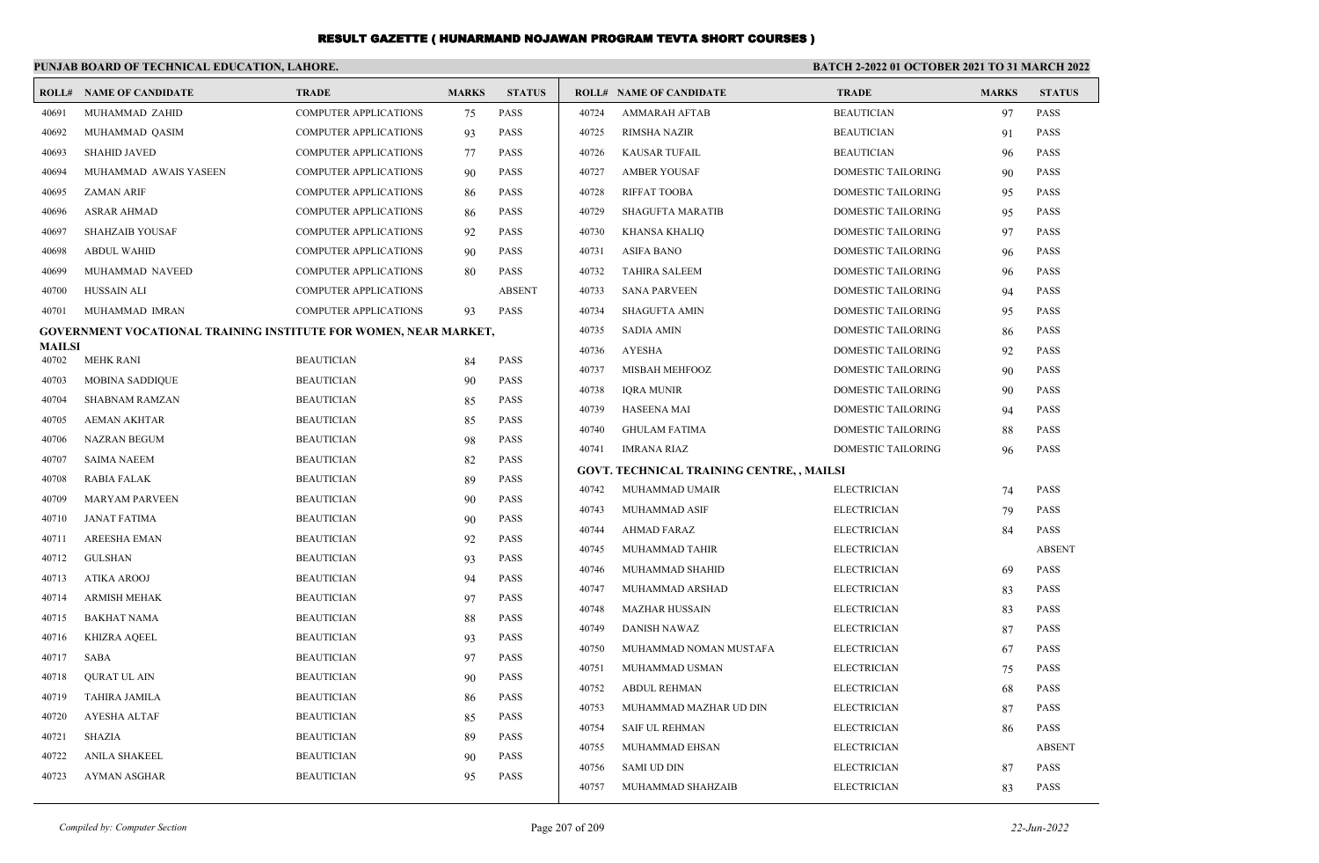| PUNJAB BOARD OF TECHNICAL EDUCATION, LAHORE.<br><b>BATCH 2-2022 01 OCTOBER 2021 TO 31 MARCH 2022</b> |                                                                  |                              |              |               |       |                                           |                           |              |               |
|------------------------------------------------------------------------------------------------------|------------------------------------------------------------------|------------------------------|--------------|---------------|-------|-------------------------------------------|---------------------------|--------------|---------------|
|                                                                                                      | <b>ROLL# NAME OF CANDIDATE</b>                                   | <b>TRADE</b>                 | <b>MARKS</b> | <b>STATUS</b> |       | <b>ROLL# NAME OF CANDIDATE</b>            | <b>TRADE</b>              | <b>MARKS</b> | <b>STATUS</b> |
| 40691                                                                                                | MUHAMMAD ZAHID                                                   | <b>COMPUTER APPLICATIONS</b> | 75           | PASS          | 40724 | <b>AMMARAH AFTAB</b>                      | <b>BEAUTICIAN</b>         | 97           | <b>PASS</b>   |
| 40692                                                                                                | MUHAMMAD QASIM                                                   | COMPUTER APPLICATIONS        | 93           | PASS          | 40725 | <b>RIMSHA NAZIR</b>                       | <b>BEAUTICIAN</b>         | 91           | <b>PASS</b>   |
| 40693                                                                                                | <b>SHAHID JAVED</b>                                              | <b>COMPUTER APPLICATIONS</b> | 77           | <b>PASS</b>   | 40726 | <b>KAUSAR TUFAIL</b>                      | <b>BEAUTICIAN</b>         | 96           | <b>PASS</b>   |
| 40694                                                                                                | MUHAMMAD AWAIS YASEEN                                            | <b>COMPUTER APPLICATIONS</b> | 90           | <b>PASS</b>   | 40727 | <b>AMBER YOUSAF</b>                       | <b>DOMESTIC TAILORING</b> | 90           | <b>PASS</b>   |
| 40695                                                                                                | <b>ZAMAN ARIF</b>                                                | COMPUTER APPLICATIONS        | 86           | <b>PASS</b>   | 40728 | <b>RIFFAT TOOBA</b>                       | DOMESTIC TAILORING        | 95           | <b>PASS</b>   |
| 40696                                                                                                | <b>ASRAR AHMAD</b>                                               | <b>COMPUTER APPLICATIONS</b> | 86           | <b>PASS</b>   | 40729 | <b>SHAGUFTA MARATIB</b>                   | DOMESTIC TAILORING        | 95           | <b>PASS</b>   |
| 40697                                                                                                | <b>SHAHZAIB YOUSAF</b>                                           | <b>COMPUTER APPLICATIONS</b> | 92           | <b>PASS</b>   | 40730 | <b>KHANSA KHALIQ</b>                      | DOMESTIC TAILORING        | 97           | <b>PASS</b>   |
| 40698                                                                                                | <b>ABDUL WAHID</b>                                               | <b>COMPUTER APPLICATIONS</b> | 90           | <b>PASS</b>   | 40731 | <b>ASIFA BANO</b>                         | <b>DOMESTIC TAILORING</b> | 96           | <b>PASS</b>   |
| 40699                                                                                                | MUHAMMAD NAVEED                                                  | <b>COMPUTER APPLICATIONS</b> | 80           | <b>PASS</b>   | 40732 | <b>TAHIRA SALEEM</b>                      | <b>DOMESTIC TAILORING</b> | 96           | <b>PASS</b>   |
| 40700                                                                                                | <b>HUSSAIN ALI</b>                                               | <b>COMPUTER APPLICATIONS</b> |              | <b>ABSENT</b> | 40733 | <b>SANA PARVEEN</b>                       | DOMESTIC TAILORING        | 94           | <b>PASS</b>   |
| 40701                                                                                                | MUHAMMAD IMRAN                                                   | <b>COMPUTER APPLICATIONS</b> | 93           | <b>PASS</b>   | 40734 | <b>SHAGUFTA AMIN</b>                      | DOMESTIC TAILORING        | 95           | <b>PASS</b>   |
|                                                                                                      | GOVERNMENT VOCATIONAL TRAINING INSTITUTE FOR WOMEN, NEAR MARKET, |                              |              |               | 40735 | <b>SADIA AMIN</b>                         | DOMESTIC TAILORING        | 86           | <b>PASS</b>   |
| <b>MAILSI</b><br>40702                                                                               | MEHK RANI                                                        | <b>BEAUTICIAN</b>            | 84           | PASS          | 40736 | <b>AYESHA</b>                             | DOMESTIC TAILORING        | 92           | <b>PASS</b>   |
| 40703                                                                                                | <b>MOBINA SADDIQUE</b>                                           | <b>BEAUTICIAN</b>            | 90           | <b>PASS</b>   | 40737 | MISBAH MEHFOOZ                            | DOMESTIC TAILORING        | 90           | <b>PASS</b>   |
| 40704                                                                                                | <b>SHABNAM RAMZAN</b>                                            | <b>BEAUTICIAN</b>            | 85           | <b>PASS</b>   | 40738 | <b>IQRA MUNIR</b>                         | DOMESTIC TAILORING        | 90           | <b>PASS</b>   |
| 40705                                                                                                | <b>AEMAN AKHTAR</b>                                              | <b>BEAUTICIAN</b>            | 85           | <b>PASS</b>   | 40739 | <b>HASEENA MAI</b>                        | <b>DOMESTIC TAILORING</b> | 94           | <b>PASS</b>   |
| 40706                                                                                                | <b>NAZRAN BEGUM</b>                                              | <b>BEAUTICIAN</b>            | 98           | <b>PASS</b>   | 40740 | <b>GHULAM FATIMA</b>                      | DOMESTIC TAILORING        | 88           | <b>PASS</b>   |
| 40707                                                                                                | <b>SAIMA NAEEM</b>                                               | <b>BEAUTICIAN</b>            | 82           | <b>PASS</b>   | 40741 | IMRANA RIAZ                               | DOMESTIC TAILORING        | 96           | <b>PASS</b>   |
| 40708                                                                                                | RABIA FALAK                                                      | <b>BEAUTICIAN</b>            | 89           | <b>PASS</b>   |       | GOVT. TECHNICAL TRAINING CENTRE, , MAILSI |                           |              |               |
| 40709                                                                                                | <b>MARYAM PARVEEN</b>                                            | <b>BEAUTICIAN</b>            | 90           | <b>PASS</b>   | 40742 | MUHAMMAD UMAIR                            | <b>ELECTRICIAN</b>        | 74           | <b>PASS</b>   |
| 40710                                                                                                | JANAT FATIMA                                                     | <b>BEAUTICIAN</b>            | 90           | <b>PASS</b>   | 40743 | MUHAMMAD ASIF                             | <b>ELECTRICIAN</b>        | 79           | <b>PASS</b>   |
| 40711                                                                                                | <b>AREESHA EMAN</b>                                              | <b>BEAUTICIAN</b>            | 92           | <b>PASS</b>   | 40744 | <b>AHMAD FARAZ</b>                        | <b>ELECTRICIAN</b>        | 84           | <b>PASS</b>   |
| 40712                                                                                                | GULSHAN                                                          | <b>BEAUTICIAN</b>            | 93           | <b>PASS</b>   | 40745 | MUHAMMAD TAHIR                            | <b>ELECTRICIAN</b>        |              | <b>ABSENT</b> |
| 40713                                                                                                | ATIKA AROOJ                                                      | <b>BEAUTICIAN</b>            | 94           | <b>PASS</b>   | 40746 | MUHAMMAD SHAHID                           | <b>ELECTRICIAN</b>        | 69           | <b>PASS</b>   |
| 40714                                                                                                | <b>ARMISH MEHAK</b>                                              | <b>BEAUTICIAN</b>            | 97           | <b>PASS</b>   | 40747 | MUHAMMAD ARSHAD                           | <b>ELECTRICIAN</b>        | 83           | <b>PASS</b>   |
| 40715                                                                                                | <b>BAKHAT NAMA</b>                                               | <b>BEAUTICIAN</b>            | 88           | <b>PASS</b>   | 40748 | <b>MAZHAR HUSSAIN</b>                     | <b>ELECTRICIAN</b>        | 83           | <b>PASS</b>   |
| 40716                                                                                                | <b>KHIZRA AQEEL</b>                                              | <b>BEAUTICIAN</b>            | 93           | <b>PASS</b>   | 40749 | <b>DANISH NAWAZ</b>                       | <b>ELECTRICIAN</b>        | 87           | <b>PASS</b>   |
| 40717                                                                                                | SABA                                                             | <b>BEAUTICIAN</b>            | 97           | PASS          | 40750 | MUHAMMAD NOMAN MUSTAFA                    | <b>ELECTRICIAN</b>        | 67           | <b>PASS</b>   |
| 40718                                                                                                | <b>OURAT UL AIN</b>                                              | <b>BEAUTICIAN</b>            | 90           | <b>PASS</b>   | 40751 | MUHAMMAD USMAN                            | <b>ELECTRICIAN</b>        | 75           | <b>PASS</b>   |
| 40719                                                                                                | TAHIRA JAMILA                                                    | <b>BEAUTICIAN</b>            | 86           | <b>PASS</b>   | 40752 | <b>ABDUL REHMAN</b>                       | <b>ELECTRICIAN</b>        | 68           | <b>PASS</b>   |
| 40720                                                                                                | <b>AYESHA ALTAF</b>                                              | <b>BEAUTICIAN</b>            | 85           | <b>PASS</b>   | 40753 | MUHAMMAD MAZHAR UD DIN                    | <b>ELECTRICIAN</b>        | 87           | <b>PASS</b>   |
| 40721                                                                                                | SHAZIA                                                           | <b>BEAUTICIAN</b>            | 89           | <b>PASS</b>   | 40754 | <b>SAIF UL REHMAN</b>                     | <b>ELECTRICIAN</b>        | 86           | <b>PASS</b>   |
| 40722                                                                                                | <b>ANILA SHAKEEL</b>                                             | <b>BEAUTICIAN</b>            | 90           | PASS          | 40755 | MUHAMMAD EHSAN                            | <b>ELECTRICIAN</b>        |              | <b>ABSENT</b> |
| 40723                                                                                                | <b>AYMAN ASGHAR</b>                                              | <b>BEAUTICIAN</b>            | 95           | <b>PASS</b>   | 40756 | <b>SAMI UD DIN</b>                        | <b>ELECTRICIAN</b>        | 87           | <b>PASS</b>   |
|                                                                                                      |                                                                  |                              |              |               | 40757 | MUHAMMAD SHAHZAIB                         | <b>ELECTRICIAN</b>        | 83           | <b>PASS</b>   |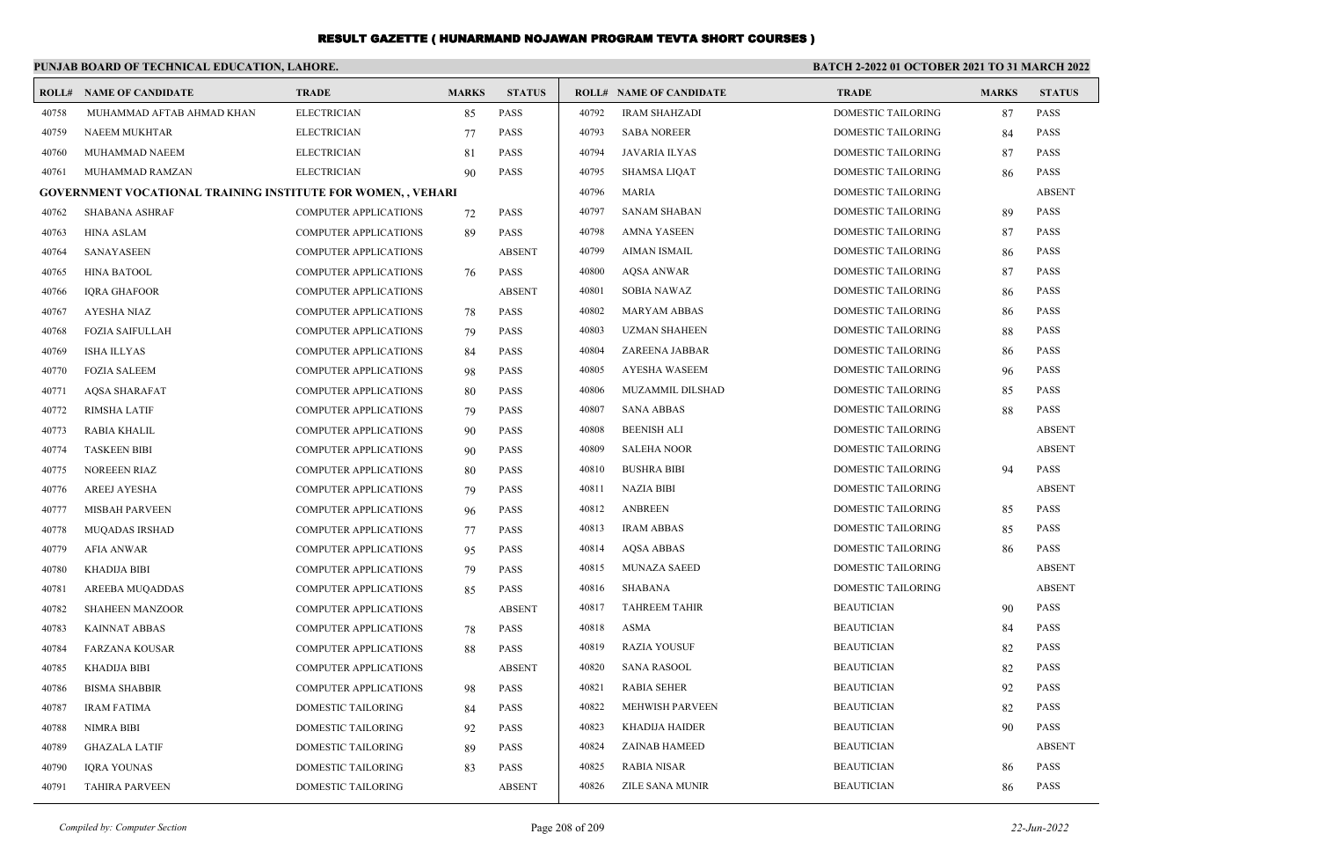| PUNJAB BOARD OF TECHNICAL EDUCATION, LAHORE. |                                                                    |                              |              |               | <b>BATCH 2-2022 01 OCTOBER 2021 TO 31 MARCH 2022</b> |                                |                           |              |               |
|----------------------------------------------|--------------------------------------------------------------------|------------------------------|--------------|---------------|------------------------------------------------------|--------------------------------|---------------------------|--------------|---------------|
|                                              | <b>ROLL# NAME OF CANDIDATE</b>                                     | <b>TRADE</b>                 | <b>MARKS</b> | <b>STATUS</b> |                                                      | <b>ROLL# NAME OF CANDIDATE</b> | <b>TRADE</b>              | <b>MARKS</b> | <b>STATUS</b> |
| 40758                                        | MUHAMMAD AFTAB AHMAD KHAN                                          | <b>ELECTRICIAN</b>           | 85           | PASS          | 40792                                                | <b>IRAM SHAHZADI</b>           | DOMESTIC TAILORING        | 87           | <b>PASS</b>   |
| 40759                                        | <b>NAEEM MUKHTAR</b>                                               | <b>ELECTRICIAN</b>           | 77           | <b>PASS</b>   | 40793                                                | <b>SABA NOREER</b>             | <b>DOMESTIC TAILORING</b> | 84           | <b>PASS</b>   |
| 40760                                        | MUHAMMAD NAEEM                                                     | <b>ELECTRICIAN</b>           | 81           | <b>PASS</b>   | 40794                                                | <b>JAVARIA ILYAS</b>           | DOMESTIC TAILORING        | 87           | PASS          |
| 40761                                        | MUHAMMAD RAMZAN                                                    | <b>ELECTRICIAN</b>           | 90           | <b>PASS</b>   | 40795                                                | <b>SHAMSA LIQAT</b>            | DOMESTIC TAILORING        | 86           | <b>PASS</b>   |
|                                              | <b>GOVERNMENT VOCATIONAL TRAINING INSTITUTE FOR WOMEN,, VEHARI</b> |                              |              |               | 40796                                                | <b>MARIA</b>                   | DOMESTIC TAILORING        |              | <b>ABSENT</b> |
| 40762                                        | <b>SHABANA ASHRAF</b>                                              | <b>COMPUTER APPLICATIONS</b> | 72           | <b>PASS</b>   | 40797                                                | <b>SANAM SHABAN</b>            | <b>DOMESTIC TAILORING</b> | 89           | <b>PASS</b>   |
| 40763                                        | <b>HINA ASLAM</b>                                                  | <b>COMPUTER APPLICATIONS</b> | 89           | <b>PASS</b>   | 40798                                                | <b>AMNA YASEEN</b>             | DOMESTIC TAILORING        | 87           | PASS          |
| 40764                                        | SANAYASEEN                                                         | <b>COMPUTER APPLICATIONS</b> |              | <b>ABSENT</b> | 40799                                                | <b>AIMAN ISMAIL</b>            | DOMESTIC TAILORING        | 86           | <b>PASS</b>   |
| 40765                                        | <b>HINA BATOOL</b>                                                 | <b>COMPUTER APPLICATIONS</b> | 76           | <b>PASS</b>   | 40800                                                | <b>AQSA ANWAR</b>              | DOMESTIC TAILORING        | 87           | <b>PASS</b>   |
| 40766                                        | <b>IQRA GHAFOOR</b>                                                | <b>COMPUTER APPLICATIONS</b> |              | <b>ABSENT</b> | 40801                                                | <b>SOBIA NAWAZ</b>             | DOMESTIC TAILORING        | 86           | PASS          |
| 40767                                        | <b>AYESHA NIAZ</b>                                                 | <b>COMPUTER APPLICATIONS</b> | 78           | <b>PASS</b>   | 40802                                                | <b>MARYAM ABBAS</b>            | DOMESTIC TAILORING        | 86           | PASS          |
| 40768                                        | FOZIA SAIFULLAH                                                    | <b>COMPUTER APPLICATIONS</b> | 79           | <b>PASS</b>   | 40803                                                | <b>UZMAN SHAHEEN</b>           | <b>DOMESTIC TAILORING</b> | 88           | <b>PASS</b>   |
| 40769                                        | <b>ISHA ILLYAS</b>                                                 | COMPUTER APPLICATIONS        | 84           | <b>PASS</b>   | 40804                                                | ZAREENA JABBAR                 | <b>DOMESTIC TAILORING</b> | 86           | <b>PASS</b>   |
| 40770                                        | <b>FOZIA SALEEM</b>                                                | <b>COMPUTER APPLICATIONS</b> | 98           | PASS          | 40805                                                | <b>AYESHA WASEEM</b>           | DOMESTIC TAILORING        | 96           | <b>PASS</b>   |
| 40771                                        | <b>AQSA SHARAFAT</b>                                               | <b>COMPUTER APPLICATIONS</b> | 80           | <b>PASS</b>   | 40806                                                | MUZAMMIL DILSHAD               | DOMESTIC TAILORING        | 85           | <b>PASS</b>   |
| 40772                                        | <b>RIMSHA LATIF</b>                                                | COMPUTER APPLICATIONS        | 79           | <b>PASS</b>   | 40807                                                | <b>SANA ABBAS</b>              | <b>DOMESTIC TAILORING</b> | 88           | <b>PASS</b>   |
| 40773                                        | RABIA KHALIL                                                       | COMPUTER APPLICATIONS        | 90           | <b>PASS</b>   | 40808                                                | <b>BEENISH ALI</b>             | <b>DOMESTIC TAILORING</b> |              | <b>ABSENT</b> |
| 40774                                        | <b>TASKEEN BIBI</b>                                                | <b>COMPUTER APPLICATIONS</b> | 90           | <b>PASS</b>   | 40809                                                | <b>SALEHA NOOR</b>             | DOMESTIC TAILORING        |              | <b>ABSENT</b> |
| 40775                                        | <b>NOREEEN RIAZ</b>                                                | <b>COMPUTER APPLICATIONS</b> | 80           | <b>PASS</b>   | 40810                                                | <b>BUSHRA BIBI</b>             | DOMESTIC TAILORING        | 94           | <b>PASS</b>   |
| 40776                                        | <b>AREEJ AYESHA</b>                                                | <b>COMPUTER APPLICATIONS</b> | 79           | <b>PASS</b>   | 40811                                                | <b>NAZIA BIBI</b>              | DOMESTIC TAILORING        |              | <b>ABSENT</b> |
| 40777                                        | MISBAH PARVEEN                                                     | COMPUTER APPLICATIONS        | 96           | PASS          | 40812                                                | <b>ANBREEN</b>                 | <b>DOMESTIC TAILORING</b> | 85           | <b>PASS</b>   |
| 40778                                        | <b>MUQADAS IRSHAD</b>                                              | COMPUTER APPLICATIONS        | 77           | PASS          | 40813                                                | <b>IRAM ABBAS</b>              | DOMESTIC TAILORING        | 85           | PASS          |
| 40779                                        | <b>AFIA ANWAR</b>                                                  | <b>COMPUTER APPLICATIONS</b> | 95           | <b>PASS</b>   | 40814                                                | <b>AQSA ABBAS</b>              | DOMESTIC TAILORING        | 86           | <b>PASS</b>   |
| 40780                                        | <b>KHADIJA BIBI</b>                                                | <b>COMPUTER APPLICATIONS</b> | 79           | <b>PASS</b>   | 40815                                                | <b>MUNAZA SAEED</b>            | DOMESTIC TAILORING        |              | <b>ABSENT</b> |
| 40781                                        | AREEBA MUQADDAS                                                    | <b>COMPUTER APPLICATIONS</b> | 85           | <b>PASS</b>   | 40816                                                | <b>SHABANA</b>                 | <b>DOMESTIC TAILORING</b> |              | <b>ABSENT</b> |
| 40782                                        | <b>SHAHEEN MANZOOR</b>                                             | <b>COMPUTER APPLICATIONS</b> |              | <b>ABSENT</b> | 40817                                                | <b>TAHREEM TAHIR</b>           | <b>BEAUTICIAN</b>         | 90           | <b>PASS</b>   |
| 40783                                        | <b>KAINNAT ABBAS</b>                                               | <b>COMPUTER APPLICATIONS</b> | 78           | <b>PASS</b>   | 40818                                                | <b>ASMA</b>                    | <b>BEAUTICIAN</b>         | 84           | <b>PASS</b>   |
| 40784                                        | <b>FARZANA KOUSAR</b>                                              | COMPUTER APPLICATIONS        | 88           | <b>PASS</b>   | 40819                                                | <b>RAZIA YOUSUF</b>            | <b>BEAUTICIAN</b>         | 82           | <b>PASS</b>   |
| 40785                                        | <b>KHADIJA BIBI</b>                                                | <b>COMPUTER APPLICATIONS</b> |              | <b>ABSENT</b> | 40820                                                | <b>SANA RASOOL</b>             | <b>BEAUTICIAN</b>         | 82           | PASS          |
| 40786                                        | <b>BISMA SHABBIR</b>                                               | <b>COMPUTER APPLICATIONS</b> | 98           | <b>PASS</b>   | 40821                                                | <b>RABIA SEHER</b>             | <b>BEAUTICIAN</b>         | 92           | PASS          |
| 40787                                        | <b>IRAM FATIMA</b>                                                 | <b>DOMESTIC TAILORING</b>    | 84           | <b>PASS</b>   | 40822                                                | <b>MEHWISH PARVEEN</b>         | <b>BEAUTICIAN</b>         | 82           | <b>PASS</b>   |
| 40788                                        | <b>NIMRA BIBI</b>                                                  | DOMESTIC TAILORING           | 92           | <b>PASS</b>   | 40823                                                | <b>KHADIJA HAIDER</b>          | <b>BEAUTICIAN</b>         | 90           | <b>PASS</b>   |
| 40789                                        | <b>GHAZALA LATIF</b>                                               | DOMESTIC TAILORING           | 89           | PASS          | 40824                                                | <b>ZAINAB HAMEED</b>           | <b>BEAUTICIAN</b>         |              | <b>ABSENT</b> |
| 40790                                        | <b>IQRA YOUNAS</b>                                                 | <b>DOMESTIC TAILORING</b>    | 83           | <b>PASS</b>   | 40825                                                | <b>RABIA NISAR</b>             | <b>BEAUTICIAN</b>         | 86           | <b>PASS</b>   |
| 40791                                        | <b>TAHIRA PARVEEN</b>                                              | <b>DOMESTIC TAILORING</b>    |              | <b>ABSENT</b> | 40826                                                | <b>ZILE SANA MUNIR</b>         | <b>BEAUTICIAN</b>         | 86           | <b>PASS</b>   |